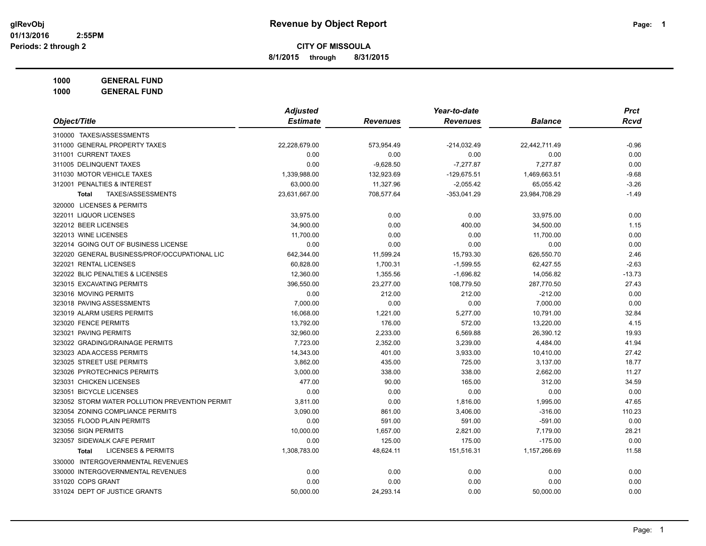**8/1/2015 through 8/31/2015**

**1000 GENERAL FUND**

|                                                | <b>Adjusted</b> |                 | Year-to-date    |                | <b>Prct</b> |
|------------------------------------------------|-----------------|-----------------|-----------------|----------------|-------------|
| Object/Title                                   | <b>Estimate</b> | <b>Revenues</b> | <b>Revenues</b> | <b>Balance</b> | <b>Rcvd</b> |
| 310000 TAXES/ASSESSMENTS                       |                 |                 |                 |                |             |
| 311000 GENERAL PROPERTY TAXES                  | 22,228,679.00   | 573,954.49      | $-214,032.49$   | 22,442,711.49  | $-0.96$     |
| 311001 CURRENT TAXES                           | 0.00            | 0.00            | 0.00            | 0.00           | 0.00        |
| 311005 DELINQUENT TAXES                        | 0.00            | $-9,628.50$     | $-7,277.87$     | 7,277.87       | 0.00        |
| 311030 MOTOR VEHICLE TAXES                     | 1,339,988.00    | 132,923.69      | $-129,675.51$   | 1,469,663.51   | $-9.68$     |
| 312001 PENALTIES & INTEREST                    | 63,000.00       | 11,327.96       | $-2,055.42$     | 65,055.42      | $-3.26$     |
| TAXES/ASSESSMENTS<br><b>Total</b>              | 23,631,667.00   | 708,577.64      | $-353,041.29$   | 23,984,708.29  | $-1.49$     |
| 320000 LICENSES & PERMITS                      |                 |                 |                 |                |             |
| 322011 LIQUOR LICENSES                         | 33,975.00       | 0.00            | 0.00            | 33,975.00      | 0.00        |
| 322012 BEER LICENSES                           | 34,900.00       | 0.00            | 400.00          | 34,500.00      | 1.15        |
| 322013 WINE LICENSES                           | 11,700.00       | 0.00            | 0.00            | 11,700.00      | 0.00        |
| 322014 GOING OUT OF BUSINESS LICENSE           | 0.00            | 0.00            | 0.00            | 0.00           | 0.00        |
| 322020 GENERAL BUSINESS/PROF/OCCUPATIONAL LIC  | 642,344.00      | 11,599.24       | 15,793.30       | 626,550.70     | 2.46        |
| 322021 RENTAL LICENSES                         | 60,828.00       | 1,700.31        | $-1,599.55$     | 62,427.55      | $-2.63$     |
| 322022 BLIC PENALTIES & LICENSES               | 12,360.00       | 1,355.56        | $-1,696.82$     | 14,056.82      | $-13.73$    |
| 323015 EXCAVATING PERMITS                      | 396,550.00      | 23,277.00       | 108,779.50      | 287,770.50     | 27.43       |
| 323016 MOVING PERMITS                          | 0.00            | 212.00          | 212.00          | $-212.00$      | 0.00        |
| 323018 PAVING ASSESSMENTS                      | 7,000.00        | 0.00            | 0.00            | 7,000.00       | 0.00        |
| 323019 ALARM USERS PERMITS                     | 16,068.00       | 1,221.00        | 5,277.00        | 10,791.00      | 32.84       |
| 323020 FENCE PERMITS                           | 13,792.00       | 176.00          | 572.00          | 13,220.00      | 4.15        |
| 323021 PAVING PERMITS                          | 32,960.00       | 2,233.00        | 6,569.88        | 26,390.12      | 19.93       |
| 323022 GRADING/DRAINAGE PERMITS                | 7,723.00        | 2,352.00        | 3,239.00        | 4,484.00       | 41.94       |
| 323023 ADA ACCESS PERMITS                      | 14,343.00       | 401.00          | 3,933.00        | 10,410.00      | 27.42       |
| 323025 STREET USE PERMITS                      | 3,862.00        | 435.00          | 725.00          | 3,137.00       | 18.77       |
| 323026 PYROTECHNICS PERMITS                    | 3,000.00        | 338.00          | 338.00          | 2,662.00       | 11.27       |
| 323031 CHICKEN LICENSES                        | 477.00          | 90.00           | 165.00          | 312.00         | 34.59       |
| 323051 BICYCLE LICENSES                        | 0.00            | 0.00            | 0.00            | 0.00           | 0.00        |
| 323052 STORM WATER POLLUTION PREVENTION PERMIT | 3,811.00        | 0.00            | 1,816.00        | 1,995.00       | 47.65       |
| 323054 ZONING COMPLIANCE PERMITS               | 3,090.00        | 861.00          | 3,406.00        | $-316.00$      | 110.23      |
| 323055 FLOOD PLAIN PERMITS                     | 0.00            | 591.00          | 591.00          | $-591.00$      | 0.00        |
| 323056 SIGN PERMITS                            | 10,000.00       | 1,657.00        | 2,821.00        | 7,179.00       | 28.21       |
| 323057 SIDEWALK CAFE PERMIT                    | 0.00            | 125.00          | 175.00          | $-175.00$      | 0.00        |
| <b>LICENSES &amp; PERMITS</b><br><b>Total</b>  | 1,308,783.00    | 48,624.11       | 151,516.31      | 1,157,266.69   | 11.58       |
| 330000 INTERGOVERNMENTAL REVENUES              |                 |                 |                 |                |             |
| 330000 INTERGOVERNMENTAL REVENUES              | 0.00            | 0.00            | 0.00            | 0.00           | 0.00        |
| 331020 COPS GRANT                              | 0.00            | 0.00            | 0.00            | 0.00           | 0.00        |
| 331024 DEPT OF JUSTICE GRANTS                  | 50,000.00       | 24,293.14       | 0.00            | 50,000.00      | 0.00        |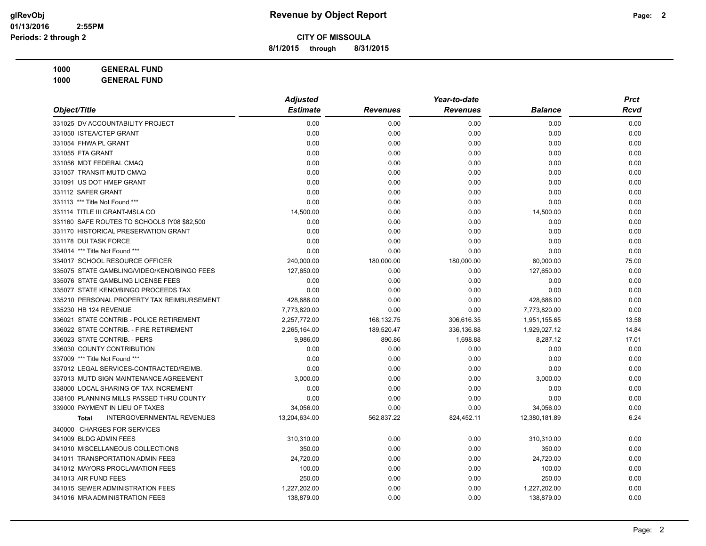**8/1/2015 through 8/31/2015**

| Object/Title                                      | <b>Adjusted</b> |                 | Year-to-date    |                | <b>Prct</b> |
|---------------------------------------------------|-----------------|-----------------|-----------------|----------------|-------------|
|                                                   | <b>Estimate</b> | <b>Revenues</b> | <b>Revenues</b> | <b>Balance</b> | Rcvd        |
| 331025 DV ACCOUNTABILITY PROJECT                  | 0.00            | 0.00            | 0.00            | 0.00           | 0.00        |
| 331050 ISTEA/CTEP GRANT                           | 0.00            | 0.00            | 0.00            | 0.00           | 0.00        |
| 331054 FHWA PL GRANT                              | 0.00            | 0.00            | 0.00            | 0.00           | 0.00        |
| 331055 FTA GRANT                                  | 0.00            | 0.00            | 0.00            | 0.00           | 0.00        |
| 331056 MDT FEDERAL CMAQ                           | 0.00            | 0.00            | 0.00            | 0.00           | 0.00        |
| 331057 TRANSIT-MUTD CMAQ                          | 0.00            | 0.00            | 0.00            | 0.00           | 0.00        |
| 331091 US DOT HMEP GRANT                          | 0.00            | 0.00            | 0.00            | 0.00           | 0.00        |
| 331112 SAFER GRANT                                | 0.00            | 0.00            | 0.00            | 0.00           | 0.00        |
| 331113 *** Title Not Found ***                    | 0.00            | 0.00            | 0.00            | 0.00           | 0.00        |
| 331114 TITLE III GRANT-MSLA CO                    | 14,500.00       | 0.00            | 0.00            | 14,500.00      | 0.00        |
| 331160 SAFE ROUTES TO SCHOOLS fY08 \$82,500       | 0.00            | 0.00            | 0.00            | 0.00           | 0.00        |
| 331170 HISTORICAL PRESERVATION GRANT              | 0.00            | 0.00            | 0.00            | 0.00           | 0.00        |
| 331178 DUI TASK FORCE                             | 0.00            | 0.00            | 0.00            | 0.00           | 0.00        |
| 334014 *** Title Not Found ***                    | 0.00            | 0.00            | 0.00            | 0.00           | 0.00        |
| 334017 SCHOOL RESOURCE OFFICER                    | 240,000.00      | 180,000.00      | 180,000.00      | 60,000.00      | 75.00       |
| 335075 STATE GAMBLING/VIDEO/KENO/BINGO FEES       | 127,650.00      | 0.00            | 0.00            | 127,650.00     | 0.00        |
| 335076 STATE GAMBLING LICENSE FEES                | 0.00            | 0.00            | 0.00            | 0.00           | 0.00        |
| 335077 STATE KENO/BINGO PROCEEDS TAX              | 0.00            | 0.00            | 0.00            | 0.00           | 0.00        |
| 335210 PERSONAL PROPERTY TAX REIMBURSEMENT        | 428,686.00      | 0.00            | 0.00            | 428,686.00     | 0.00        |
| 335230 HB 124 REVENUE                             | 7,773,820.00    | 0.00            | 0.00            | 7,773,820.00   | 0.00        |
| 336021 STATE CONTRIB - POLICE RETIREMENT          | 2,257,772.00    | 168,132.75      | 306,616.35      | 1,951,155.65   | 13.58       |
| 336022 STATE CONTRIB. - FIRE RETIREMENT           | 2,265,164.00    | 189,520.47      | 336,136.88      | 1,929,027.12   | 14.84       |
| 336023 STATE CONTRIB. - PERS                      | 9,986.00        | 890.86          | 1,698.88        | 8,287.12       | 17.01       |
| 336030 COUNTY CONTRIBUTION                        | 0.00            | 0.00            | 0.00            | 0.00           | 0.00        |
| 337009 *** Title Not Found ***                    | 0.00            | 0.00            | 0.00            | 0.00           | 0.00        |
| 337012 LEGAL SERVICES-CONTRACTED/REIMB.           | 0.00            | 0.00            | 0.00            | 0.00           | 0.00        |
| 337013 MUTD SIGN MAINTENANCE AGREEMENT            | 3,000.00        | 0.00            | 0.00            | 3,000.00       | 0.00        |
| 338000 LOCAL SHARING OF TAX INCREMENT             | 0.00            | 0.00            | 0.00            | 0.00           | 0.00        |
| 338100 PLANNING MILLS PASSED THRU COUNTY          | 0.00            | 0.00            | 0.00            | 0.00           | 0.00        |
| 339000 PAYMENT IN LIEU OF TAXES                   | 34,056.00       | 0.00            | 0.00            | 34,056.00      | 0.00        |
| <b>INTERGOVERNMENTAL REVENUES</b><br><b>Total</b> | 13,204,634.00   | 562,837.22      | 824,452.11      | 12,380,181.89  | 6.24        |
| 340000 CHARGES FOR SERVICES                       |                 |                 |                 |                |             |
| 341009 BLDG ADMIN FEES                            | 310,310.00      | 0.00            | 0.00            | 310,310.00     | 0.00        |
| 341010 MISCELLANEOUS COLLECTIONS                  | 350.00          | 0.00            | 0.00            | 350.00         | 0.00        |
| 341011 TRANSPORTATION ADMIN FEES                  | 24,720.00       | 0.00            | 0.00            | 24,720.00      | 0.00        |
| 341012 MAYORS PROCLAMATION FEES                   | 100.00          | 0.00            | 0.00            | 100.00         | 0.00        |
| 341013 AIR FUND FEES                              | 250.00          | 0.00            | 0.00            | 250.00         | 0.00        |
| 341015 SEWER ADMINISTRATION FEES                  | 1,227,202.00    | 0.00            | 0.00            | 1,227,202.00   | 0.00        |
| 341016 MRA ADMINISTRATION FEES                    | 138,879.00      | 0.00            | 0.00            | 138,879.00     | 0.00        |
|                                                   |                 |                 |                 |                |             |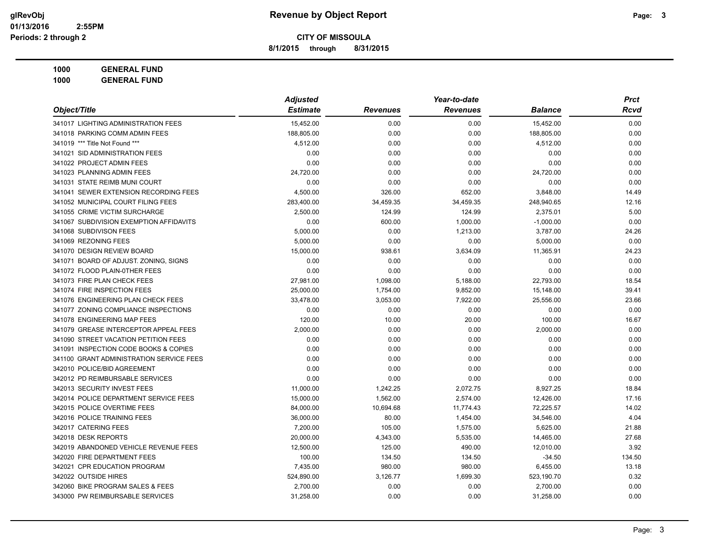**8/1/2015 through 8/31/2015**

| Object/Title                             | <b>Adjusted</b> |                 | Year-to-date    |                | <b>Prct</b> |
|------------------------------------------|-----------------|-----------------|-----------------|----------------|-------------|
|                                          | <b>Estimate</b> | <b>Revenues</b> | <b>Revenues</b> | <b>Balance</b> | Rcvd        |
| 341017 LIGHTING ADMINISTRATION FEES      | 15,452.00       | 0.00            | 0.00            | 15,452.00      | 0.00        |
| 341018 PARKING COMM ADMIN FEES           | 188,805.00      | 0.00            | 0.00            | 188,805.00     | 0.00        |
| 341019 *** Title Not Found ***           | 4,512.00        | 0.00            | 0.00            | 4,512.00       | 0.00        |
| 341021 SID ADMINISTRATION FEES           | 0.00            | 0.00            | 0.00            | 0.00           | 0.00        |
| 341022 PROJECT ADMIN FEES                | 0.00            | 0.00            | 0.00            | 0.00           | 0.00        |
| 341023 PLANNING ADMIN FEES               | 24,720.00       | 0.00            | 0.00            | 24,720.00      | 0.00        |
| 341031 STATE REIMB MUNI COURT            | 0.00            | 0.00            | 0.00            | 0.00           | 0.00        |
| 341041 SEWER EXTENSION RECORDING FEES    | 4,500.00        | 326.00          | 652.00          | 3,848.00       | 14.49       |
| 341052 MUNICIPAL COURT FILING FEES       | 283,400.00      | 34,459.35       | 34,459.35       | 248,940.65     | 12.16       |
| 341055 CRIME VICTIM SURCHARGE            | 2,500.00        | 124.99          | 124.99          | 2,375.01       | 5.00        |
| 341067 SUBDIVISION EXEMPTION AFFIDAVITS  | 0.00            | 600.00          | 1,000.00        | $-1,000.00$    | 0.00        |
| 341068 SUBDIVISON FEES                   | 5,000.00        | 0.00            | 1,213.00        | 3,787.00       | 24.26       |
| 341069 REZONING FEES                     | 5,000.00        | 0.00            | 0.00            | 5,000.00       | 0.00        |
| 341070 DESIGN REVIEW BOARD               | 15,000.00       | 938.61          | 3,634.09        | 11,365.91      | 24.23       |
| 341071 BOARD OF ADJUST. ZONING, SIGNS    | 0.00            | 0.00            | 0.00            | 0.00           | 0.00        |
| 341072 FLOOD PLAIN-0THER FEES            | 0.00            | 0.00            | 0.00            | 0.00           | 0.00        |
| 341073 FIRE PLAN CHECK FEES              | 27,981.00       | 1,098.00        | 5,188.00        | 22,793.00      | 18.54       |
| 341074 FIRE INSPECTION FEES              | 25,000.00       | 1,754.00        | 9,852.00        | 15,148.00      | 39.41       |
| 341076 ENGINEERING PLAN CHECK FEES       | 33,478.00       | 3,053.00        | 7,922.00        | 25,556.00      | 23.66       |
| 341077 ZONING COMPLIANCE INSPECTIONS     | 0.00            | 0.00            | 0.00            | 0.00           | 0.00        |
| 341078 ENGINEERING MAP FEES              | 120.00          | 10.00           | 20.00           | 100.00         | 16.67       |
| 341079 GREASE INTERCEPTOR APPEAL FEES    | 2,000.00        | 0.00            | 0.00            | 2,000.00       | 0.00        |
| 341090 STREET VACATION PETITION FEES     | 0.00            | 0.00            | 0.00            | 0.00           | 0.00        |
| 341091 INSPECTION CODE BOOKS & COPIES    | 0.00            | 0.00            | 0.00            | 0.00           | 0.00        |
| 341100 GRANT ADMINISTRATION SERVICE FEES | 0.00            | 0.00            | 0.00            | 0.00           | 0.00        |
| 342010 POLICE/BID AGREEMENT              | 0.00            | 0.00            | 0.00            | 0.00           | 0.00        |
| 342012 PD REIMBURSABLE SERVICES          | 0.00            | 0.00            | 0.00            | 0.00           | 0.00        |
| 342013 SECURITY INVEST FEES              | 11,000.00       | 1,242.25        | 2,072.75        | 8,927.25       | 18.84       |
| 342014 POLICE DEPARTMENT SERVICE FEES    | 15,000.00       | 1,562.00        | 2,574.00        | 12,426.00      | 17.16       |
| 342015 POLICE OVERTIME FEES              | 84,000.00       | 10,694.68       | 11,774.43       | 72,225.57      | 14.02       |
| 342016 POLICE TRAINING FEES              | 36,000.00       | 80.00           | 1,454.00        | 34,546.00      | 4.04        |
| 342017 CATERING FEES                     | 7,200.00        | 105.00          | 1,575.00        | 5,625.00       | 21.88       |
| 342018 DESK REPORTS                      | 20,000.00       | 4,343.00        | 5,535.00        | 14,465.00      | 27.68       |
| 342019 ABANDONED VEHICLE REVENUE FEES    | 12,500.00       | 125.00          | 490.00          | 12,010.00      | 3.92        |
| 342020 FIRE DEPARTMENT FEES              | 100.00          | 134.50          | 134.50          | $-34.50$       | 134.50      |
| 342021 CPR EDUCATION PROGRAM             | 7,435.00        | 980.00          | 980.00          | 6,455.00       | 13.18       |
| 342022 OUTSIDE HIRES                     | 524,890.00      | 3,126.77        | 1,699.30        | 523,190.70     | 0.32        |
| 342060 BIKE PROGRAM SALES & FEES         | 2,700.00        | 0.00            | 0.00            | 2,700.00       | 0.00        |
| 343000 PW REIMBURSABLE SERVICES          | 31,258.00       | 0.00            | 0.00            | 31,258.00      | 0.00        |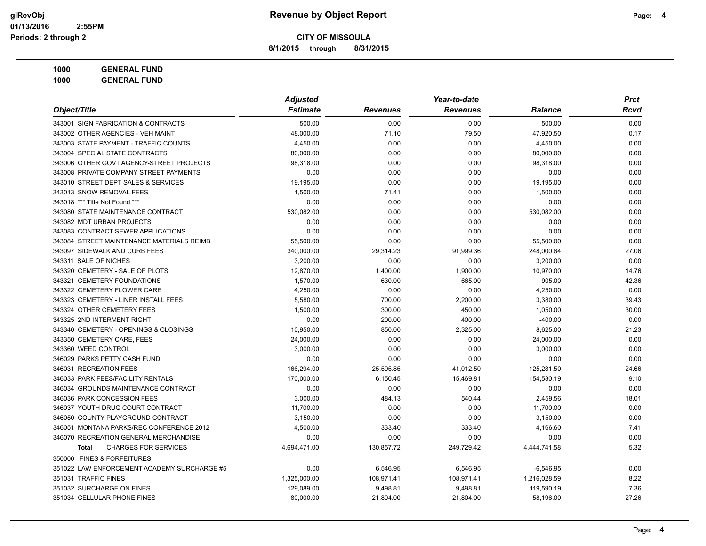**8/1/2015 through 8/31/2015**

|                                             | <b>Adjusted</b> |                 | Year-to-date    |                | <b>Prct</b> |  |
|---------------------------------------------|-----------------|-----------------|-----------------|----------------|-------------|--|
| Object/Title                                | <b>Estimate</b> | <b>Revenues</b> | <b>Revenues</b> | <b>Balance</b> | <b>Rcvd</b> |  |
| 343001 SIGN FABRICATION & CONTRACTS         | 500.00          | 0.00            | 0.00            | 500.00         | 0.00        |  |
| 343002 OTHER AGENCIES - VEH MAINT           | 48,000.00       | 71.10           | 79.50           | 47,920.50      | 0.17        |  |
| 343003 STATE PAYMENT - TRAFFIC COUNTS       | 4,450.00        | 0.00            | 0.00            | 4,450.00       | 0.00        |  |
| 343004 SPECIAL STATE CONTRACTS              | 80,000.00       | 0.00            | 0.00            | 80,000.00      | 0.00        |  |
| 343006 OTHER GOVT AGENCY-STREET PROJECTS    | 98,318.00       | 0.00            | 0.00            | 98,318.00      | 0.00        |  |
| 343008 PRIVATE COMPANY STREET PAYMENTS      | 0.00            | 0.00            | 0.00            | 0.00           | 0.00        |  |
| 343010 STREET DEPT SALES & SERVICES         | 19,195.00       | 0.00            | 0.00            | 19,195.00      | 0.00        |  |
| 343013 SNOW REMOVAL FEES                    | 1,500.00        | 71.41           | 0.00            | 1,500.00       | 0.00        |  |
| 343018 *** Title Not Found ***              | 0.00            | 0.00            | 0.00            | 0.00           | 0.00        |  |
| 343080 STATE MAINTENANCE CONTRACT           | 530,082.00      | 0.00            | 0.00            | 530,082.00     | 0.00        |  |
| 343082 MDT URBAN PROJECTS                   | 0.00            | 0.00            | 0.00            | 0.00           | 0.00        |  |
| 343083 CONTRACT SEWER APPLICATIONS          | 0.00            | 0.00            | 0.00            | 0.00           | 0.00        |  |
| 343084 STREET MAINTENANCE MATERIALS REIMB   | 55,500.00       | 0.00            | 0.00            | 55,500.00      | 0.00        |  |
| 343097 SIDEWALK AND CURB FEES               | 340,000.00      | 29,314.23       | 91,999.36       | 248,000.64     | 27.06       |  |
| 343311 SALE OF NICHES                       | 3,200.00        | 0.00            | 0.00            | 3,200.00       | 0.00        |  |
| 343320 CEMETERY - SALE OF PLOTS             | 12,870.00       | 1,400.00        | 1,900.00        | 10,970.00      | 14.76       |  |
| 343321 CEMETERY FOUNDATIONS                 | 1,570.00        | 630.00          | 665.00          | 905.00         | 42.36       |  |
| 343322 CEMETERY FLOWER CARE                 | 4,250.00        | 0.00            | 0.00            | 4,250.00       | 0.00        |  |
| 343323 CEMETERY - LINER INSTALL FEES        | 5,580.00        | 700.00          | 2,200.00        | 3,380.00       | 39.43       |  |
| 343324 OTHER CEMETERY FEES                  | 1,500.00        | 300.00          | 450.00          | 1,050.00       | 30.00       |  |
| 343325 2ND INTERMENT RIGHT                  | 0.00            | 200.00          | 400.00          | $-400.00$      | 0.00        |  |
| 343340 CEMETERY - OPENINGS & CLOSINGS       | 10,950.00       | 850.00          | 2,325.00        | 8,625.00       | 21.23       |  |
| 343350 CEMETERY CARE, FEES                  | 24,000.00       | 0.00            | 0.00            | 24,000.00      | 0.00        |  |
| 343360 WEED CONTROL                         | 3,000.00        | 0.00            | 0.00            | 3,000.00       | 0.00        |  |
| 346029 PARKS PETTY CASH FUND                | 0.00            | 0.00            | 0.00            | 0.00           | 0.00        |  |
| 346031 RECREATION FEES                      | 166,294.00      | 25,595.85       | 41,012.50       | 125,281.50     | 24.66       |  |
| 346033 PARK FEES/FACILITY RENTALS           | 170,000.00      | 6,150.45        | 15,469.81       | 154,530.19     | 9.10        |  |
| 346034 GROUNDS MAINTENANCE CONTRACT         | 0.00            | 0.00            | 0.00            | 0.00           | 0.00        |  |
| 346036 PARK CONCESSION FEES                 | 3,000.00        | 484.13          | 540.44          | 2,459.56       | 18.01       |  |
| 346037 YOUTH DRUG COURT CONTRACT            | 11,700.00       | 0.00            | 0.00            | 11,700.00      | 0.00        |  |
| 346050 COUNTY PLAYGROUND CONTRACT           | 3,150.00        | 0.00            | 0.00            | 3,150.00       | 0.00        |  |
| 346051 MONTANA PARKS/REC CONFERENCE 2012    | 4,500.00        | 333.40          | 333.40          | 4,166.60       | 7.41        |  |
| 346070 RECREATION GENERAL MERCHANDISE       | 0.00            | 0.00            | 0.00            | 0.00           | 0.00        |  |
| <b>CHARGES FOR SERVICES</b><br><b>Total</b> | 4,694,471.00    | 130,857.72      | 249,729.42      | 4,444,741.58   | 5.32        |  |
| 350000 FINES & FORFEITURES                  |                 |                 |                 |                |             |  |
| 351022 LAW ENFORCEMENT ACADEMY SURCHARGE #5 | 0.00            | 6,546.95        | 6,546.95        | $-6,546.95$    | 0.00        |  |
| 351031 TRAFFIC FINES                        | 1,325,000.00    | 108,971.41      | 108,971.41      | 1,216,028.59   | 8.22        |  |
| 351032 SURCHARGE ON FINES                   | 129,089.00      | 9,498.81        | 9,498.81        | 119,590.19     | 7.36        |  |
| 351034 CELLULAR PHONE FINES                 | 80,000.00       | 21,804.00       | 21,804.00       | 58,196.00      | 27.26       |  |
|                                             |                 |                 |                 |                |             |  |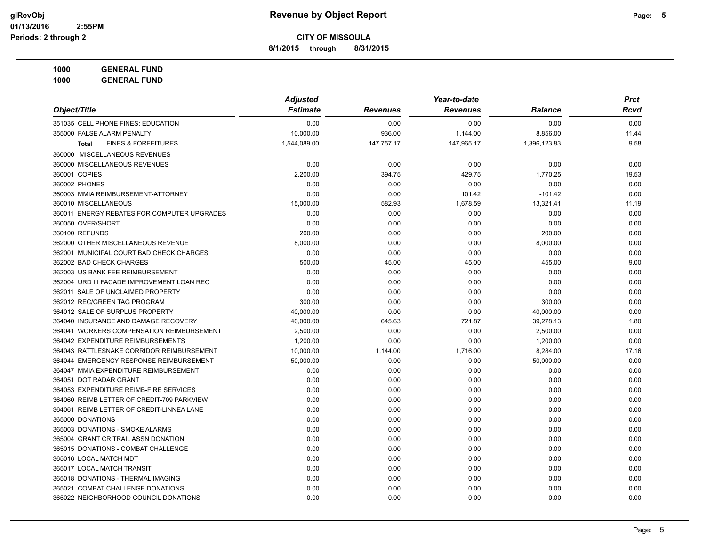**8/1/2015 through 8/31/2015**

|                                                | <b>Adjusted</b> | Year-to-date    |                 |                | <b>Prct</b> |
|------------------------------------------------|-----------------|-----------------|-----------------|----------------|-------------|
| Object/Title                                   | <b>Estimate</b> | <b>Revenues</b> | <b>Revenues</b> | <b>Balance</b> | Rcvd        |
| 351035 CELL PHONE FINES: EDUCATION             | 0.00            | 0.00            | 0.00            | 0.00           | 0.00        |
| 355000 FALSE ALARM PENALTY                     | 10,000.00       | 936.00          | 1,144.00        | 8,856.00       | 11.44       |
| <b>FINES &amp; FORFEITURES</b><br><b>Total</b> | 1,544,089.00    | 147,757.17      | 147,965.17      | 1,396,123.83   | 9.58        |
| 360000 MISCELLANEOUS REVENUES                  |                 |                 |                 |                |             |
| 360000 MISCELLANEOUS REVENUES                  | 0.00            | 0.00            | 0.00            | 0.00           | 0.00        |
| 360001 COPIES                                  | 2,200.00        | 394.75          | 429.75          | 1,770.25       | 19.53       |
| 360002 PHONES                                  | 0.00            | 0.00            | 0.00            | 0.00           | 0.00        |
| 360003 MMIA REIMBURSEMENT-ATTORNEY             | 0.00            | 0.00            | 101.42          | $-101.42$      | 0.00        |
| 360010 MISCELLANEOUS                           | 15,000.00       | 582.93          | 1,678.59        | 13,321.41      | 11.19       |
| 360011 ENERGY REBATES FOR COMPUTER UPGRADES    | 0.00            | 0.00            | 0.00            | 0.00           | 0.00        |
| 360050 OVER/SHORT                              | 0.00            | 0.00            | 0.00            | 0.00           | 0.00        |
| 360100 REFUNDS                                 | 200.00          | 0.00            | 0.00            | 200.00         | 0.00        |
| 362000 OTHER MISCELLANEOUS REVENUE             | 8,000.00        | 0.00            | 0.00            | 8,000.00       | 0.00        |
| 362001 MUNICIPAL COURT BAD CHECK CHARGES       | 0.00            | 0.00            | 0.00            | 0.00           | 0.00        |
| 362002 BAD CHECK CHARGES                       | 500.00          | 45.00           | 45.00           | 455.00         | 9.00        |
| 362003 US BANK FEE REIMBURSEMENT               | 0.00            | 0.00            | 0.00            | 0.00           | 0.00        |
| 362004 URD III FACADE IMPROVEMENT LOAN REC     | 0.00            | 0.00            | 0.00            | 0.00           | 0.00        |
| 362011 SALE OF UNCLAIMED PROPERTY              | 0.00            | 0.00            | 0.00            | 0.00           | 0.00        |
| 362012 REC/GREEN TAG PROGRAM                   | 300.00          | 0.00            | 0.00            | 300.00         | 0.00        |
| 364012 SALE OF SURPLUS PROPERTY                | 40,000.00       | 0.00            | 0.00            | 40,000.00      | 0.00        |
| 364040 INSURANCE AND DAMAGE RECOVERY           | 40,000.00       | 645.63          | 721.87          | 39,278.13      | 1.80        |
| 364041 WORKERS COMPENSATION REIMBURSEMENT      | 2,500.00        | 0.00            | 0.00            | 2,500.00       | 0.00        |
| 364042 EXPENDITURE REIMBURSEMENTS              | 1,200.00        | 0.00            | 0.00            | 1,200.00       | 0.00        |
| 364043 RATTLESNAKE CORRIDOR REIMBURSEMENT      | 10,000.00       | 1,144.00        | 1,716.00        | 8,284.00       | 17.16       |
| 364044 EMERGENCY RESPONSE REIMBURSEMENT        | 50,000.00       | 0.00            | 0.00            | 50,000.00      | 0.00        |
| 364047 MMIA EXPENDITURE REIMBURSEMENT          | 0.00            | 0.00            | 0.00            | 0.00           | 0.00        |
| 364051 DOT RADAR GRANT                         | 0.00            | 0.00            | 0.00            | 0.00           | 0.00        |
| 364053 EXPENDITURE REIMB-FIRE SERVICES         | 0.00            | 0.00            | 0.00            | 0.00           | 0.00        |
| 364060 REIMB LETTER OF CREDIT-709 PARKVIEW     | 0.00            | 0.00            | 0.00            | 0.00           | 0.00        |
| 364061 REIMB LETTER OF CREDIT-LINNEA LANE      | 0.00            | 0.00            | 0.00            | 0.00           | 0.00        |
| 365000 DONATIONS                               | 0.00            | 0.00            | 0.00            | 0.00           | 0.00        |
| 365003 DONATIONS - SMOKE ALARMS                | 0.00            | 0.00            | 0.00            | 0.00           | 0.00        |
| 365004 GRANT CR TRAIL ASSN DONATION            | 0.00            | 0.00            | 0.00            | 0.00           | 0.00        |
| 365015 DONATIONS - COMBAT CHALLENGE            | 0.00            | 0.00            | 0.00            | 0.00           | 0.00        |
| 365016 LOCAL MATCH MDT                         | 0.00            | 0.00            | 0.00            | 0.00           | 0.00        |
| 365017 LOCAL MATCH TRANSIT                     | 0.00            | 0.00            | 0.00            | 0.00           | 0.00        |
| 365018 DONATIONS - THERMAL IMAGING             | 0.00            | 0.00            | 0.00            | 0.00           | 0.00        |
| 365021 COMBAT CHALLENGE DONATIONS              | 0.00            | 0.00            | 0.00            | 0.00           | 0.00        |
| 365022 NEIGHBORHOOD COUNCIL DONATIONS          | 0.00            | 0.00            | 0.00            | 0.00           | 0.00        |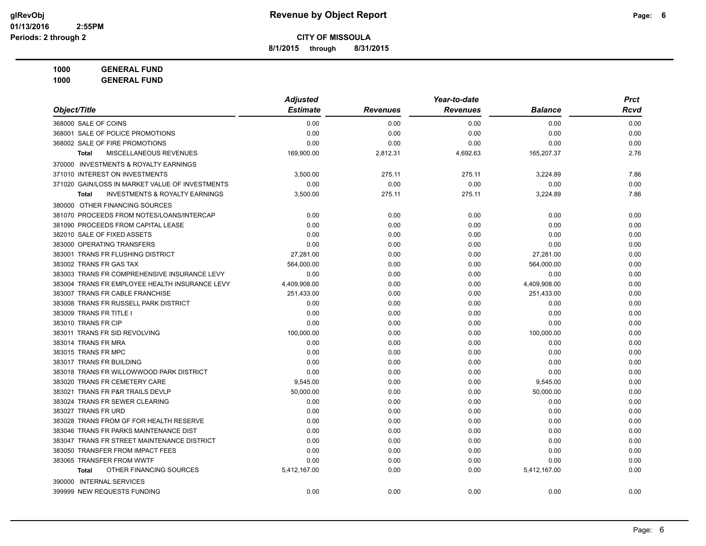**8/1/2015 through 8/31/2015**

|                                                    | <b>Adjusted</b> |                 | Year-to-date    |                | <b>Prct</b> |
|----------------------------------------------------|-----------------|-----------------|-----------------|----------------|-------------|
| Object/Title                                       | <b>Estimate</b> | <b>Revenues</b> | <b>Revenues</b> | <b>Balance</b> | <b>Rcvd</b> |
| 368000 SALE OF COINS                               | 0.00            | 0.00            | 0.00            | 0.00           | 0.00        |
| 368001 SALE OF POLICE PROMOTIONS                   | 0.00            | 0.00            | 0.00            | 0.00           | 0.00        |
| 368002 SALE OF FIRE PROMOTIONS                     | 0.00            | 0.00            | 0.00            | 0.00           | 0.00        |
| MISCELLANEOUS REVENUES<br><b>Total</b>             | 169,900.00      | 2,812.31        | 4,692.63        | 165,207.37     | 2.76        |
| 370000 INVESTMENTS & ROYALTY EARNINGS              |                 |                 |                 |                |             |
| 371010 INTEREST ON INVESTMENTS                     | 3,500.00        | 275.11          | 275.11          | 3,224.89       | 7.86        |
| 371020 GAIN/LOSS IN MARKET VALUE OF INVESTMENTS    | 0.00            | 0.00            | 0.00            | 0.00           | 0.00        |
| <b>INVESTMENTS &amp; ROYALTY EARNINGS</b><br>Total | 3,500.00        | 275.11          | 275.11          | 3,224.89       | 7.86        |
| 380000 OTHER FINANCING SOURCES                     |                 |                 |                 |                |             |
| 381070 PROCEEDS FROM NOTES/LOANS/INTERCAP          | 0.00            | 0.00            | 0.00            | 0.00           | 0.00        |
| 381090 PROCEEDS FROM CAPITAL LEASE                 | 0.00            | 0.00            | 0.00            | 0.00           | 0.00        |
| 382010 SALE OF FIXED ASSETS                        | 0.00            | 0.00            | 0.00            | 0.00           | 0.00        |
| 383000 OPERATING TRANSFERS                         | 0.00            | 0.00            | 0.00            | 0.00           | 0.00        |
| 383001 TRANS FR FLUSHING DISTRICT                  | 27,281.00       | 0.00            | 0.00            | 27,281.00      | 0.00        |
| 383002 TRANS FR GAS TAX                            | 564,000.00      | 0.00            | 0.00            | 564,000.00     | 0.00        |
| 383003 TRANS FR COMPREHENSIVE INSURANCE LEVY       | 0.00            | 0.00            | 0.00            | 0.00           | 0.00        |
| 383004 TRANS FR EMPLOYEE HEALTH INSURANCE LEVY     | 4,409,908.00    | 0.00            | 0.00            | 4,409,908.00   | 0.00        |
| 383007 TRANS FR CABLE FRANCHISE                    | 251,433.00      | 0.00            | 0.00            | 251,433.00     | 0.00        |
| 383008 TRANS FR RUSSELL PARK DISTRICT              | 0.00            | 0.00            | 0.00            | 0.00           | 0.00        |
| 383009 TRANS FR TITLE I                            | 0.00            | 0.00            | 0.00            | 0.00           | 0.00        |
| 383010 TRANS FR CIP                                | 0.00            | 0.00            | 0.00            | 0.00           | 0.00        |
| 383011 TRANS FR SID REVOLVING                      | 100,000.00      | 0.00            | 0.00            | 100,000.00     | 0.00        |
| 383014 TRANS FR MRA                                | 0.00            | 0.00            | 0.00            | 0.00           | 0.00        |
| 383015 TRANS FR MPC                                | 0.00            | 0.00            | 0.00            | 0.00           | 0.00        |
| 383017 TRANS FR BUILDING                           | 0.00            | 0.00            | 0.00            | 0.00           | 0.00        |
| 383018 TRANS FR WILLOWWOOD PARK DISTRICT           | 0.00            | 0.00            | 0.00            | 0.00           | 0.00        |
| 383020 TRANS FR CEMETERY CARE                      | 9,545.00        | 0.00            | 0.00            | 9,545.00       | 0.00        |
| 383021 TRANS FR P&R TRAILS DEVLP                   | 50,000.00       | 0.00            | 0.00            | 50,000.00      | 0.00        |
| 383024 TRANS FR SEWER CLEARING                     | 0.00            | 0.00            | 0.00            | 0.00           | 0.00        |
| 383027 TRANS FR URD                                | 0.00            | 0.00            | 0.00            | 0.00           | 0.00        |
| 383028 TRANS FROM GF FOR HEALTH RESERVE            | 0.00            | 0.00            | 0.00            | 0.00           | 0.00        |
| 383046 TRANS FR PARKS MAINTENANCE DIST             | 0.00            | 0.00            | 0.00            | 0.00           | 0.00        |
| 383047 TRANS FR STREET MAINTENANCE DISTRICT        | 0.00            | 0.00            | 0.00            | 0.00           | 0.00        |
| 383050 TRANSFER FROM IMPACT FEES                   | 0.00            | 0.00            | 0.00            | 0.00           | 0.00        |
| 383065 TRANSFER FROM WWTF                          | 0.00            | 0.00            | 0.00            | 0.00           | 0.00        |
| OTHER FINANCING SOURCES<br><b>Total</b>            | 5,412,167.00    | 0.00            | 0.00            | 5,412,167.00   | 0.00        |
| 390000 INTERNAL SERVICES                           |                 |                 |                 |                |             |
| 399999 NEW REQUESTS FUNDING                        | 0.00            | 0.00            | 0.00            | 0.00           | 0.00        |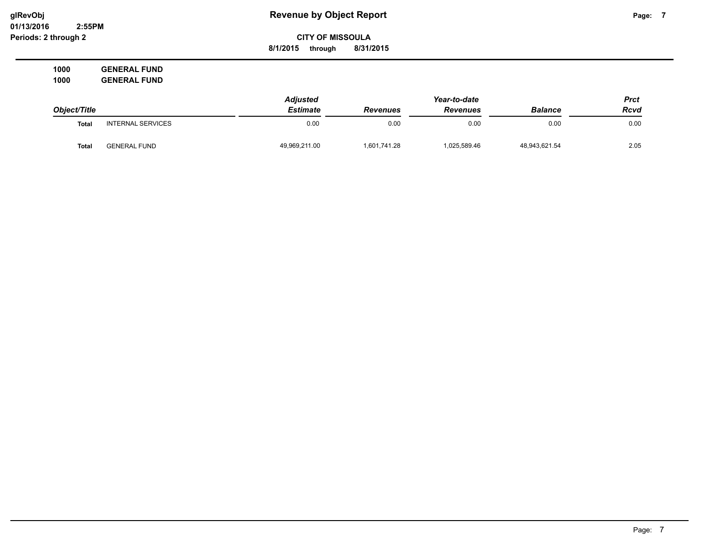**01/13/2016 2:55PM Periods: 2 through 2**

# **glRevObj Revenue by Object Report Page: 7**

**CITY OF MISSOULA 8/1/2015 through 8/31/2015**

|              |                          | <b>Adjusted</b> |                 | Year-to-date    |                | Prct |
|--------------|--------------------------|-----------------|-----------------|-----------------|----------------|------|
| Object/Title |                          | Estimate        | <b>Revenues</b> | <b>Revenues</b> | <b>Balance</b> | Rcvd |
| <b>Total</b> | <b>INTERNAL SERVICES</b> | 0.00            | 0.00            | 0.00            | 0.00           | 0.00 |
| Total        | <b>GENERAL FUND</b>      | 49,969,211.00   | 1,601,741.28    | 1,025,589.46    | 48,943,621.54  | 2.05 |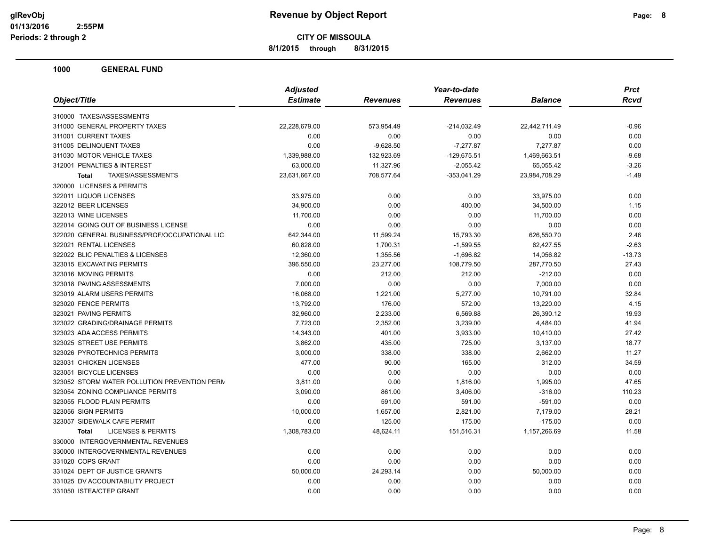**8/1/2015 through 8/31/2015**

|                                               | <b>Adjusted</b> |                 | Year-to-date    |                | <b>Prct</b> |
|-----------------------------------------------|-----------------|-----------------|-----------------|----------------|-------------|
| Object/Title                                  | <b>Estimate</b> | <b>Revenues</b> | <b>Revenues</b> | <b>Balance</b> | Rcvd        |
| 310000 TAXES/ASSESSMENTS                      |                 |                 |                 |                |             |
| 311000 GENERAL PROPERTY TAXES                 | 22,228,679.00   | 573,954.49      | $-214,032.49$   | 22,442,711.49  | $-0.96$     |
| 311001 CURRENT TAXES                          | 0.00            | 0.00            | 0.00            | 0.00           | 0.00        |
| 311005 DELINQUENT TAXES                       | 0.00            | $-9,628.50$     | $-7,277.87$     | 7,277.87       | 0.00        |
| 311030 MOTOR VEHICLE TAXES                    | 1,339,988.00    | 132,923.69      | $-129,675.51$   | 1,469,663.51   | $-9.68$     |
| 312001 PENALTIES & INTEREST                   | 63,000.00       | 11,327.96       | $-2,055.42$     | 65,055.42      | $-3.26$     |
| <b>TAXES/ASSESSMENTS</b><br><b>Total</b>      | 23,631,667.00   | 708,577.64      | $-353,041.29$   | 23,984,708.29  | $-1.49$     |
| 320000 LICENSES & PERMITS                     |                 |                 |                 |                |             |
| 322011 LIQUOR LICENSES                        | 33,975.00       | 0.00            | 0.00            | 33,975.00      | 0.00        |
| 322012 BEER LICENSES                          | 34,900.00       | 0.00            | 400.00          | 34,500.00      | 1.15        |
| 322013 WINE LICENSES                          | 11,700.00       | 0.00            | 0.00            | 11,700.00      | 0.00        |
| 322014 GOING OUT OF BUSINESS LICENSE          | 0.00            | 0.00            | 0.00            | 0.00           | 0.00        |
| 322020 GENERAL BUSINESS/PROF/OCCUPATIONAL LIC | 642,344.00      | 11,599.24       | 15,793.30       | 626,550.70     | 2.46        |
| 322021 RENTAL LICENSES                        | 60,828.00       | 1,700.31        | $-1,599.55$     | 62,427.55      | $-2.63$     |
| 322022 BLIC PENALTIES & LICENSES              | 12,360.00       | 1,355.56        | $-1,696.82$     | 14,056.82      | $-13.73$    |
| 323015 EXCAVATING PERMITS                     | 396,550.00      | 23,277.00       | 108,779.50      | 287,770.50     | 27.43       |
| 323016 MOVING PERMITS                         | 0.00            | 212.00          | 212.00          | $-212.00$      | 0.00        |
| 323018 PAVING ASSESSMENTS                     | 7,000.00        | 0.00            | 0.00            | 7,000.00       | 0.00        |
| 323019 ALARM USERS PERMITS                    | 16,068.00       | 1,221.00        | 5,277.00        | 10,791.00      | 32.84       |
| 323020 FENCE PERMITS                          | 13,792.00       | 176.00          | 572.00          | 13,220.00      | 4.15        |
| 323021 PAVING PERMITS                         | 32,960.00       | 2,233.00        | 6,569.88        | 26,390.12      | 19.93       |
| 323022 GRADING/DRAINAGE PERMITS               | 7,723.00        | 2,352.00        | 3,239.00        | 4,484.00       | 41.94       |
| 323023 ADA ACCESS PERMITS                     | 14,343.00       | 401.00          | 3,933.00        | 10,410.00      | 27.42       |
| 323025 STREET USE PERMITS                     | 3,862.00        | 435.00          | 725.00          | 3,137.00       | 18.77       |
| 323026 PYROTECHNICS PERMITS                   | 3,000.00        | 338.00          | 338.00          | 2,662.00       | 11.27       |
| 323031 CHICKEN LICENSES                       | 477.00          | 90.00           | 165.00          | 312.00         | 34.59       |
| 323051 BICYCLE LICENSES                       | 0.00            | 0.00            | 0.00            | 0.00           | 0.00        |
| 323052 STORM WATER POLLUTION PREVENTION PERM  | 3,811.00        | 0.00            | 1,816.00        | 1,995.00       | 47.65       |
| 323054 ZONING COMPLIANCE PERMITS              | 3,090.00        | 861.00          | 3,406.00        | $-316.00$      | 110.23      |
| 323055 FLOOD PLAIN PERMITS                    | 0.00            | 591.00          | 591.00          | $-591.00$      | 0.00        |
| 323056 SIGN PERMITS                           | 10,000.00       | 1,657.00        | 2,821.00        | 7,179.00       | 28.21       |
| 323057 SIDEWALK CAFE PERMIT                   | 0.00            | 125.00          | 175.00          | $-175.00$      | 0.00        |
| <b>LICENSES &amp; PERMITS</b><br><b>Total</b> | 1,308,783.00    | 48,624.11       | 151,516.31      | 1,157,266.69   | 11.58       |
| 330000 INTERGOVERNMENTAL REVENUES             |                 |                 |                 |                |             |
| 330000 INTERGOVERNMENTAL REVENUES             | 0.00            | 0.00            | 0.00            | 0.00           | 0.00        |
| 331020 COPS GRANT                             | 0.00            | 0.00            | 0.00            | 0.00           | 0.00        |
| 331024 DEPT OF JUSTICE GRANTS                 | 50,000.00       | 24,293.14       | 0.00            | 50,000.00      | 0.00        |
| 331025 DV ACCOUNTABILITY PROJECT              | 0.00            | 0.00            | 0.00            | 0.00           | 0.00        |
| 331050 ISTEA/CTEP GRANT                       | 0.00            | 0.00            | 0.00            | 0.00           | 0.00        |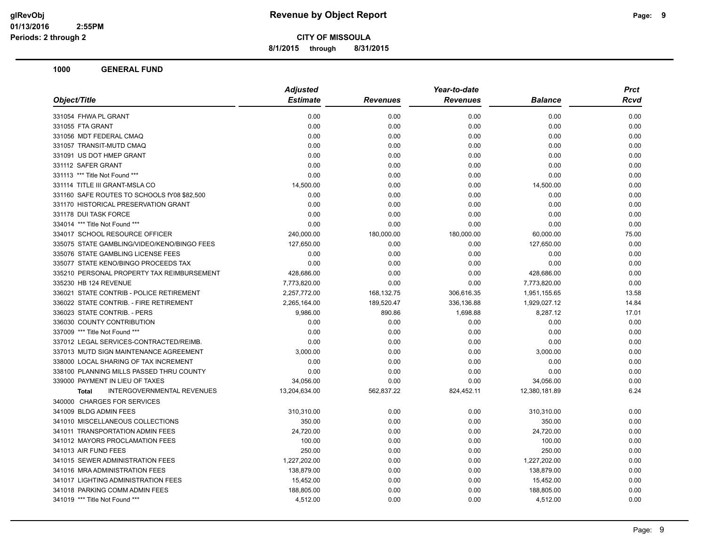**8/1/2015 through 8/31/2015**

| <b>Estimate</b><br><b>Revenues</b><br><b>Revenues</b><br><b>Balance</b><br>0.00<br>0.00<br>0.00<br>0.00<br>0.00<br>0.00<br>0.00<br>0.00<br>0.00<br>0.00<br>0.00<br>0.00<br>0.00<br>0.00<br>0.00<br>0.00<br>0.00<br>0.00<br>0.00<br>0.00<br>0.00<br>0.00<br>0.00<br>0.00<br>0.00<br>0.00<br>0.00<br>0.00<br>14,500.00<br>0.00<br>0.00<br>14,500.00<br>0.00<br>0.00<br>0.00<br>0.00<br>0.00<br>0.00<br>0.00<br>0.00<br>0.00<br>0.00<br>0.00<br>0.00<br>0.00<br>0.00<br>0.00<br>0.00<br>240,000.00<br>180,000.00<br>180,000.00<br>60,000.00<br>127,650.00<br>0.00<br>0.00<br>127,650.00<br>0.00<br>0.00<br>0.00<br>0.00<br>0.00<br>0.00<br>0.00<br>0.00<br>428,686.00<br>0.00<br>0.00<br>428,686.00<br>7,773,820.00<br>0.00<br>0.00<br>7,773,820.00<br>2,257,772.00<br>306,616.35<br>168,132.75<br>1,951,155.65<br>189,520.47<br>2,265,164.00<br>336,136.88<br>1,929,027.12<br>9,986.00<br>890.86<br>1,698.88<br>8,287.12<br>0.00<br>0.00<br>0.00<br>0.00<br>0.00<br>0.00<br>0.00<br>0.00<br>0.00<br>0.00<br>0.00<br>0.00<br>3,000.00<br>0.00<br>0.00<br>3,000.00<br>0.00<br>0.00<br>0.00<br>0.00<br>0.00<br>0.00<br>0.00<br>0.00<br>34,056.00<br>0.00<br>0.00<br>34,056.00<br><b>INTERGOVERNMENTAL REVENUES</b><br>13,204,634.00<br>824,452.11<br>12,380,181.89<br>562,837.22<br><b>Total</b><br>310,310.00<br>0.00<br>0.00<br>310,310.00<br>350.00<br>0.00<br>0.00<br>350.00<br>24,720.00<br>0.00<br>0.00<br>24,720.00<br>100.00<br>0.00<br>0.00<br>100.00<br>250.00<br>0.00<br>0.00<br>250.00<br>1,227,202.00<br>1,227,202.00<br>0.00<br>0.00<br>138,879.00<br>138,879.00<br>0.00<br>0.00<br>15,452.00<br>0.00<br>0.00<br>15,452.00<br>188,805.00<br>0.00<br>0.00<br>188,805.00<br>4,512.00<br>0.00<br>0.00<br>4,512.00 | Object/Title                                | <b>Adjusted</b> | Year-to-date | <b>Prct</b> |
|-------------------------------------------------------------------------------------------------------------------------------------------------------------------------------------------------------------------------------------------------------------------------------------------------------------------------------------------------------------------------------------------------------------------------------------------------------------------------------------------------------------------------------------------------------------------------------------------------------------------------------------------------------------------------------------------------------------------------------------------------------------------------------------------------------------------------------------------------------------------------------------------------------------------------------------------------------------------------------------------------------------------------------------------------------------------------------------------------------------------------------------------------------------------------------------------------------------------------------------------------------------------------------------------------------------------------------------------------------------------------------------------------------------------------------------------------------------------------------------------------------------------------------------------------------------------------------------------------------------------------------------------------------------------------------------------------------------------------|---------------------------------------------|-----------------|--------------|-------------|
|                                                                                                                                                                                                                                                                                                                                                                                                                                                                                                                                                                                                                                                                                                                                                                                                                                                                                                                                                                                                                                                                                                                                                                                                                                                                                                                                                                                                                                                                                                                                                                                                                                                                                                                         |                                             |                 |              | Rcvd        |
|                                                                                                                                                                                                                                                                                                                                                                                                                                                                                                                                                                                                                                                                                                                                                                                                                                                                                                                                                                                                                                                                                                                                                                                                                                                                                                                                                                                                                                                                                                                                                                                                                                                                                                                         | 331054 FHWA PL GRANT                        |                 |              | 0.00        |
|                                                                                                                                                                                                                                                                                                                                                                                                                                                                                                                                                                                                                                                                                                                                                                                                                                                                                                                                                                                                                                                                                                                                                                                                                                                                                                                                                                                                                                                                                                                                                                                                                                                                                                                         | 331055 FTA GRANT                            |                 |              | 0.00        |
|                                                                                                                                                                                                                                                                                                                                                                                                                                                                                                                                                                                                                                                                                                                                                                                                                                                                                                                                                                                                                                                                                                                                                                                                                                                                                                                                                                                                                                                                                                                                                                                                                                                                                                                         | 331056 MDT FEDERAL CMAQ                     |                 |              | 0.00        |
|                                                                                                                                                                                                                                                                                                                                                                                                                                                                                                                                                                                                                                                                                                                                                                                                                                                                                                                                                                                                                                                                                                                                                                                                                                                                                                                                                                                                                                                                                                                                                                                                                                                                                                                         | 331057 TRANSIT-MUTD CMAQ                    |                 |              | 0.00        |
|                                                                                                                                                                                                                                                                                                                                                                                                                                                                                                                                                                                                                                                                                                                                                                                                                                                                                                                                                                                                                                                                                                                                                                                                                                                                                                                                                                                                                                                                                                                                                                                                                                                                                                                         | 331091 US DOT HMEP GRANT                    |                 |              | 0.00        |
|                                                                                                                                                                                                                                                                                                                                                                                                                                                                                                                                                                                                                                                                                                                                                                                                                                                                                                                                                                                                                                                                                                                                                                                                                                                                                                                                                                                                                                                                                                                                                                                                                                                                                                                         | 331112 SAFER GRANT                          |                 |              | 0.00        |
|                                                                                                                                                                                                                                                                                                                                                                                                                                                                                                                                                                                                                                                                                                                                                                                                                                                                                                                                                                                                                                                                                                                                                                                                                                                                                                                                                                                                                                                                                                                                                                                                                                                                                                                         | 331113 *** Title Not Found ***              |                 |              | 0.00        |
|                                                                                                                                                                                                                                                                                                                                                                                                                                                                                                                                                                                                                                                                                                                                                                                                                                                                                                                                                                                                                                                                                                                                                                                                                                                                                                                                                                                                                                                                                                                                                                                                                                                                                                                         | 331114 TITLE III GRANT-MSLA CO              |                 |              | 0.00        |
|                                                                                                                                                                                                                                                                                                                                                                                                                                                                                                                                                                                                                                                                                                                                                                                                                                                                                                                                                                                                                                                                                                                                                                                                                                                                                                                                                                                                                                                                                                                                                                                                                                                                                                                         | 331160 SAFE ROUTES TO SCHOOLS fY08 \$82,500 |                 |              | 0.00        |
|                                                                                                                                                                                                                                                                                                                                                                                                                                                                                                                                                                                                                                                                                                                                                                                                                                                                                                                                                                                                                                                                                                                                                                                                                                                                                                                                                                                                                                                                                                                                                                                                                                                                                                                         | 331170 HISTORICAL PRESERVATION GRANT        |                 |              | 0.00        |
|                                                                                                                                                                                                                                                                                                                                                                                                                                                                                                                                                                                                                                                                                                                                                                                                                                                                                                                                                                                                                                                                                                                                                                                                                                                                                                                                                                                                                                                                                                                                                                                                                                                                                                                         | 331178 DUI TASK FORCE                       |                 |              | 0.00        |
|                                                                                                                                                                                                                                                                                                                                                                                                                                                                                                                                                                                                                                                                                                                                                                                                                                                                                                                                                                                                                                                                                                                                                                                                                                                                                                                                                                                                                                                                                                                                                                                                                                                                                                                         | 334014 *** Title Not Found ***              |                 |              | 0.00        |
|                                                                                                                                                                                                                                                                                                                                                                                                                                                                                                                                                                                                                                                                                                                                                                                                                                                                                                                                                                                                                                                                                                                                                                                                                                                                                                                                                                                                                                                                                                                                                                                                                                                                                                                         | 334017 SCHOOL RESOURCE OFFICER              |                 |              | 75.00       |
|                                                                                                                                                                                                                                                                                                                                                                                                                                                                                                                                                                                                                                                                                                                                                                                                                                                                                                                                                                                                                                                                                                                                                                                                                                                                                                                                                                                                                                                                                                                                                                                                                                                                                                                         | 335075 STATE GAMBLING/VIDEO/KENO/BINGO FEES |                 |              | 0.00        |
|                                                                                                                                                                                                                                                                                                                                                                                                                                                                                                                                                                                                                                                                                                                                                                                                                                                                                                                                                                                                                                                                                                                                                                                                                                                                                                                                                                                                                                                                                                                                                                                                                                                                                                                         | 335076 STATE GAMBLING LICENSE FEES          |                 |              | 0.00        |
|                                                                                                                                                                                                                                                                                                                                                                                                                                                                                                                                                                                                                                                                                                                                                                                                                                                                                                                                                                                                                                                                                                                                                                                                                                                                                                                                                                                                                                                                                                                                                                                                                                                                                                                         | 335077 STATE KENO/BINGO PROCEEDS TAX        |                 |              | 0.00        |
|                                                                                                                                                                                                                                                                                                                                                                                                                                                                                                                                                                                                                                                                                                                                                                                                                                                                                                                                                                                                                                                                                                                                                                                                                                                                                                                                                                                                                                                                                                                                                                                                                                                                                                                         | 335210 PERSONAL PROPERTY TAX REIMBURSEMENT  |                 |              | 0.00        |
|                                                                                                                                                                                                                                                                                                                                                                                                                                                                                                                                                                                                                                                                                                                                                                                                                                                                                                                                                                                                                                                                                                                                                                                                                                                                                                                                                                                                                                                                                                                                                                                                                                                                                                                         | 335230 HB 124 REVENUE                       |                 |              | 0.00        |
|                                                                                                                                                                                                                                                                                                                                                                                                                                                                                                                                                                                                                                                                                                                                                                                                                                                                                                                                                                                                                                                                                                                                                                                                                                                                                                                                                                                                                                                                                                                                                                                                                                                                                                                         | 336021 STATE CONTRIB - POLICE RETIREMENT    |                 |              | 13.58       |
|                                                                                                                                                                                                                                                                                                                                                                                                                                                                                                                                                                                                                                                                                                                                                                                                                                                                                                                                                                                                                                                                                                                                                                                                                                                                                                                                                                                                                                                                                                                                                                                                                                                                                                                         | 336022 STATE CONTRIB. - FIRE RETIREMENT     |                 |              | 14.84       |
|                                                                                                                                                                                                                                                                                                                                                                                                                                                                                                                                                                                                                                                                                                                                                                                                                                                                                                                                                                                                                                                                                                                                                                                                                                                                                                                                                                                                                                                                                                                                                                                                                                                                                                                         | 336023 STATE CONTRIB. - PERS                |                 |              | 17.01       |
|                                                                                                                                                                                                                                                                                                                                                                                                                                                                                                                                                                                                                                                                                                                                                                                                                                                                                                                                                                                                                                                                                                                                                                                                                                                                                                                                                                                                                                                                                                                                                                                                                                                                                                                         | 336030 COUNTY CONTRIBUTION                  |                 |              | 0.00        |
|                                                                                                                                                                                                                                                                                                                                                                                                                                                                                                                                                                                                                                                                                                                                                                                                                                                                                                                                                                                                                                                                                                                                                                                                                                                                                                                                                                                                                                                                                                                                                                                                                                                                                                                         | 337009 *** Title Not Found ***              |                 |              | 0.00        |
|                                                                                                                                                                                                                                                                                                                                                                                                                                                                                                                                                                                                                                                                                                                                                                                                                                                                                                                                                                                                                                                                                                                                                                                                                                                                                                                                                                                                                                                                                                                                                                                                                                                                                                                         | 337012 LEGAL SERVICES-CONTRACTED/REIMB.     |                 |              | 0.00        |
|                                                                                                                                                                                                                                                                                                                                                                                                                                                                                                                                                                                                                                                                                                                                                                                                                                                                                                                                                                                                                                                                                                                                                                                                                                                                                                                                                                                                                                                                                                                                                                                                                                                                                                                         | 337013 MUTD SIGN MAINTENANCE AGREEMENT      |                 |              | 0.00        |
|                                                                                                                                                                                                                                                                                                                                                                                                                                                                                                                                                                                                                                                                                                                                                                                                                                                                                                                                                                                                                                                                                                                                                                                                                                                                                                                                                                                                                                                                                                                                                                                                                                                                                                                         | 338000 LOCAL SHARING OF TAX INCREMENT       |                 |              | 0.00        |
|                                                                                                                                                                                                                                                                                                                                                                                                                                                                                                                                                                                                                                                                                                                                                                                                                                                                                                                                                                                                                                                                                                                                                                                                                                                                                                                                                                                                                                                                                                                                                                                                                                                                                                                         | 338100 PLANNING MILLS PASSED THRU COUNTY    |                 |              | 0.00        |
|                                                                                                                                                                                                                                                                                                                                                                                                                                                                                                                                                                                                                                                                                                                                                                                                                                                                                                                                                                                                                                                                                                                                                                                                                                                                                                                                                                                                                                                                                                                                                                                                                                                                                                                         | 339000 PAYMENT IN LIEU OF TAXES             |                 |              | 0.00        |
|                                                                                                                                                                                                                                                                                                                                                                                                                                                                                                                                                                                                                                                                                                                                                                                                                                                                                                                                                                                                                                                                                                                                                                                                                                                                                                                                                                                                                                                                                                                                                                                                                                                                                                                         |                                             |                 |              | 6.24        |
|                                                                                                                                                                                                                                                                                                                                                                                                                                                                                                                                                                                                                                                                                                                                                                                                                                                                                                                                                                                                                                                                                                                                                                                                                                                                                                                                                                                                                                                                                                                                                                                                                                                                                                                         | 340000 CHARGES FOR SERVICES                 |                 |              |             |
|                                                                                                                                                                                                                                                                                                                                                                                                                                                                                                                                                                                                                                                                                                                                                                                                                                                                                                                                                                                                                                                                                                                                                                                                                                                                                                                                                                                                                                                                                                                                                                                                                                                                                                                         | 341009 BLDG ADMIN FEES                      |                 |              | 0.00        |
|                                                                                                                                                                                                                                                                                                                                                                                                                                                                                                                                                                                                                                                                                                                                                                                                                                                                                                                                                                                                                                                                                                                                                                                                                                                                                                                                                                                                                                                                                                                                                                                                                                                                                                                         | 341010 MISCELLANEOUS COLLECTIONS            |                 |              | 0.00        |
|                                                                                                                                                                                                                                                                                                                                                                                                                                                                                                                                                                                                                                                                                                                                                                                                                                                                                                                                                                                                                                                                                                                                                                                                                                                                                                                                                                                                                                                                                                                                                                                                                                                                                                                         | 341011 TRANSPORTATION ADMIN FEES            |                 |              | 0.00        |
|                                                                                                                                                                                                                                                                                                                                                                                                                                                                                                                                                                                                                                                                                                                                                                                                                                                                                                                                                                                                                                                                                                                                                                                                                                                                                                                                                                                                                                                                                                                                                                                                                                                                                                                         | 341012 MAYORS PROCLAMATION FEES             |                 |              | 0.00        |
|                                                                                                                                                                                                                                                                                                                                                                                                                                                                                                                                                                                                                                                                                                                                                                                                                                                                                                                                                                                                                                                                                                                                                                                                                                                                                                                                                                                                                                                                                                                                                                                                                                                                                                                         | 341013 AIR FUND FEES                        |                 |              | 0.00        |
|                                                                                                                                                                                                                                                                                                                                                                                                                                                                                                                                                                                                                                                                                                                                                                                                                                                                                                                                                                                                                                                                                                                                                                                                                                                                                                                                                                                                                                                                                                                                                                                                                                                                                                                         | 341015 SEWER ADMINISTRATION FEES            |                 |              | 0.00        |
|                                                                                                                                                                                                                                                                                                                                                                                                                                                                                                                                                                                                                                                                                                                                                                                                                                                                                                                                                                                                                                                                                                                                                                                                                                                                                                                                                                                                                                                                                                                                                                                                                                                                                                                         | 341016 MRA ADMINISTRATION FEES              |                 |              | 0.00        |
|                                                                                                                                                                                                                                                                                                                                                                                                                                                                                                                                                                                                                                                                                                                                                                                                                                                                                                                                                                                                                                                                                                                                                                                                                                                                                                                                                                                                                                                                                                                                                                                                                                                                                                                         | 341017 LIGHTING ADMINISTRATION FEES         |                 |              | 0.00        |
|                                                                                                                                                                                                                                                                                                                                                                                                                                                                                                                                                                                                                                                                                                                                                                                                                                                                                                                                                                                                                                                                                                                                                                                                                                                                                                                                                                                                                                                                                                                                                                                                                                                                                                                         | 341018 PARKING COMM ADMIN FEES              |                 |              | 0.00        |
|                                                                                                                                                                                                                                                                                                                                                                                                                                                                                                                                                                                                                                                                                                                                                                                                                                                                                                                                                                                                                                                                                                                                                                                                                                                                                                                                                                                                                                                                                                                                                                                                                                                                                                                         | 341019 *** Title Not Found ***              |                 |              | 0.00        |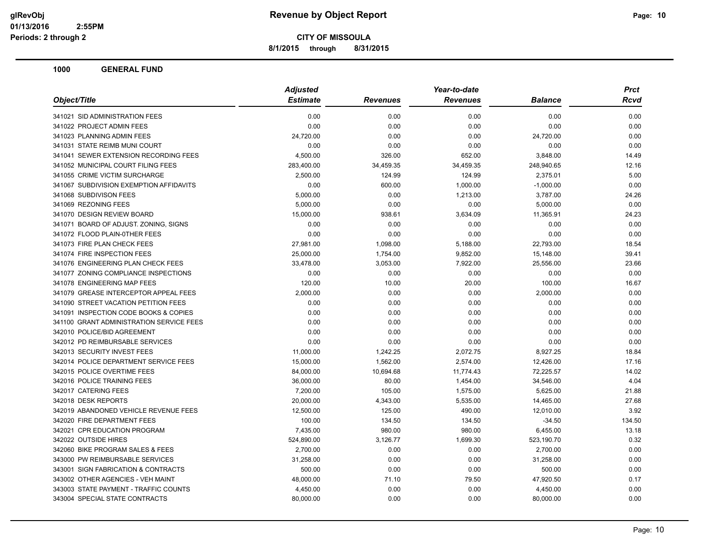**8/1/2015 through 8/31/2015**

| Object/Title                             | <b>Adjusted</b> |                 | Year-to-date    |                | Prct   |
|------------------------------------------|-----------------|-----------------|-----------------|----------------|--------|
|                                          | <b>Estimate</b> | <b>Revenues</b> | <b>Revenues</b> | <b>Balance</b> | Rcvd   |
| 341021 SID ADMINISTRATION FEES           | 0.00            | 0.00            | 0.00            | 0.00           | 0.00   |
| 341022 PROJECT ADMIN FEES                | 0.00            | 0.00            | 0.00            | 0.00           | 0.00   |
| 341023 PLANNING ADMIN FEES               | 24,720.00       | 0.00            | 0.00            | 24,720.00      | 0.00   |
| 341031 STATE REIMB MUNI COURT            | 0.00            | 0.00            | 0.00            | 0.00           | 0.00   |
| 341041 SEWER EXTENSION RECORDING FEES    | 4,500.00        | 326.00          | 652.00          | 3,848.00       | 14.49  |
| 341052 MUNICIPAL COURT FILING FEES       | 283,400.00      | 34,459.35       | 34,459.35       | 248,940.65     | 12.16  |
| 341055 CRIME VICTIM SURCHARGE            | 2,500.00        | 124.99          | 124.99          | 2,375.01       | 5.00   |
| 341067 SUBDIVISION EXEMPTION AFFIDAVITS  | 0.00            | 600.00          | 1,000.00        | $-1,000.00$    | 0.00   |
| 341068 SUBDIVISON FEES                   | 5,000.00        | 0.00            | 1,213.00        | 3,787.00       | 24.26  |
| 341069 REZONING FEES                     | 5,000.00        | 0.00            | 0.00            | 5,000.00       | 0.00   |
| 341070 DESIGN REVIEW BOARD               | 15,000.00       | 938.61          | 3,634.09        | 11,365.91      | 24.23  |
| 341071 BOARD OF ADJUST. ZONING, SIGNS    | 0.00            | 0.00            | 0.00            | 0.00           | 0.00   |
| 341072 FLOOD PLAIN-0THER FEES            | 0.00            | 0.00            | 0.00            | 0.00           | 0.00   |
| 341073 FIRE PLAN CHECK FEES              | 27,981.00       | 1,098.00        | 5,188.00        | 22,793.00      | 18.54  |
| 341074 FIRE INSPECTION FEES              | 25,000.00       | 1,754.00        | 9,852.00        | 15,148.00      | 39.41  |
| 341076 ENGINEERING PLAN CHECK FEES       | 33,478.00       | 3,053.00        | 7,922.00        | 25,556.00      | 23.66  |
| 341077 ZONING COMPLIANCE INSPECTIONS     | 0.00            | 0.00            | 0.00            | 0.00           | 0.00   |
| 341078 ENGINEERING MAP FEES              | 120.00          | 10.00           | 20.00           | 100.00         | 16.67  |
| 341079 GREASE INTERCEPTOR APPEAL FEES    | 2,000.00        | 0.00            | 0.00            | 2,000.00       | 0.00   |
| 341090 STREET VACATION PETITION FEES     | 0.00            | 0.00            | 0.00            | 0.00           | 0.00   |
| 341091 INSPECTION CODE BOOKS & COPIES    | 0.00            | 0.00            | 0.00            | 0.00           | 0.00   |
| 341100 GRANT ADMINISTRATION SERVICE FEES | 0.00            | 0.00            | 0.00            | 0.00           | 0.00   |
| 342010 POLICE/BID AGREEMENT              | 0.00            | 0.00            | 0.00            | 0.00           | 0.00   |
| 342012 PD REIMBURSABLE SERVICES          | 0.00            | 0.00            | 0.00            | 0.00           | 0.00   |
| 342013 SECURITY INVEST FEES              | 11,000.00       | 1,242.25        | 2,072.75        | 8,927.25       | 18.84  |
| 342014 POLICE DEPARTMENT SERVICE FEES    | 15,000.00       | 1,562.00        | 2,574.00        | 12,426.00      | 17.16  |
| 342015 POLICE OVERTIME FEES              | 84,000.00       | 10,694.68       | 11,774.43       | 72,225.57      | 14.02  |
| 342016 POLICE TRAINING FEES              | 36,000.00       | 80.00           | 1,454.00        | 34,546.00      | 4.04   |
| 342017 CATERING FEES                     | 7,200.00        | 105.00          | 1,575.00        | 5,625.00       | 21.88  |
| 342018 DESK REPORTS                      | 20,000.00       | 4,343.00        | 5,535.00        | 14,465.00      | 27.68  |
| 342019 ABANDONED VEHICLE REVENUE FEES    | 12,500.00       | 125.00          | 490.00          | 12,010.00      | 3.92   |
| 342020 FIRE DEPARTMENT FEES              | 100.00          | 134.50          | 134.50          | $-34.50$       | 134.50 |
| 342021 CPR EDUCATION PROGRAM             | 7,435.00        | 980.00          | 980.00          | 6,455.00       | 13.18  |
| 342022 OUTSIDE HIRES                     | 524,890.00      | 3,126.77        | 1,699.30        | 523,190.70     | 0.32   |
| 342060 BIKE PROGRAM SALES & FEES         | 2,700.00        | 0.00            | 0.00            | 2,700.00       | 0.00   |
| 343000 PW REIMBURSABLE SERVICES          | 31,258.00       | 0.00            | 0.00            | 31,258.00      | 0.00   |
| 343001 SIGN FABRICATION & CONTRACTS      | 500.00          | 0.00            | 0.00            | 500.00         | 0.00   |
| 343002 OTHER AGENCIES - VEH MAINT        | 48,000.00       | 71.10           | 79.50           | 47,920.50      | 0.17   |
| 343003 STATE PAYMENT - TRAFFIC COUNTS    | 4,450.00        | 0.00            | 0.00            | 4,450.00       | 0.00   |
| 343004 SPECIAL STATE CONTRACTS           | 80,000.00       | 0.00            | 0.00            | 80,000.00      | 0.00   |
|                                          |                 |                 |                 |                |        |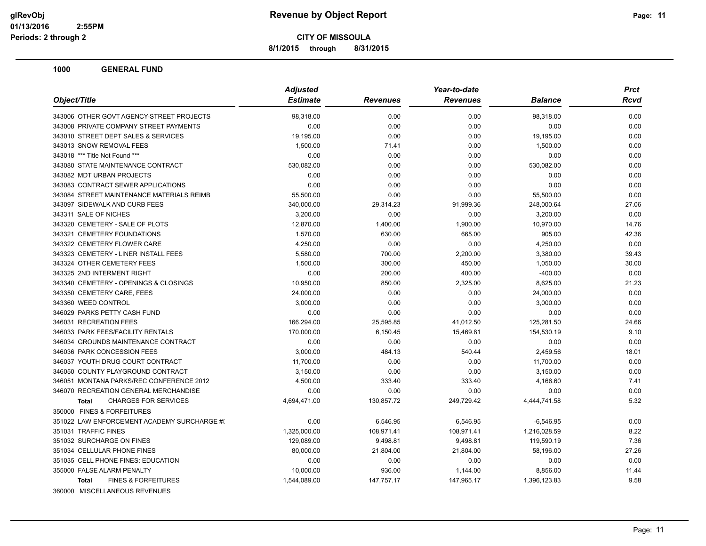**8/1/2015 through 8/31/2015**

|                                                | <b>Adjusted</b> |                 | Year-to-date    |                | <b>Prct</b> |
|------------------------------------------------|-----------------|-----------------|-----------------|----------------|-------------|
| Object/Title                                   | <b>Estimate</b> | <b>Revenues</b> | <b>Revenues</b> | <b>Balance</b> | <b>Rcvd</b> |
| 343006 OTHER GOVT AGENCY-STREET PROJECTS       | 98,318.00       | 0.00            | 0.00            | 98,318.00      | 0.00        |
| 343008 PRIVATE COMPANY STREET PAYMENTS         | 0.00            | 0.00            | 0.00            | 0.00           | 0.00        |
| 343010 STREET DEPT SALES & SERVICES            | 19,195.00       | 0.00            | 0.00            | 19,195.00      | 0.00        |
| 343013 SNOW REMOVAL FEES                       | 1,500.00        | 71.41           | 0.00            | 1,500.00       | 0.00        |
| 343018 *** Title Not Found ***                 | 0.00            | 0.00            | 0.00            | 0.00           | 0.00        |
| 343080 STATE MAINTENANCE CONTRACT              | 530,082.00      | 0.00            | 0.00            | 530,082.00     | 0.00        |
| 343082 MDT URBAN PROJECTS                      | 0.00            | 0.00            | 0.00            | 0.00           | 0.00        |
| 343083 CONTRACT SEWER APPLICATIONS             | 0.00            | 0.00            | 0.00            | 0.00           | 0.00        |
| 343084 STREET MAINTENANCE MATERIALS REIMB      | 55,500.00       | 0.00            | 0.00            | 55,500.00      | 0.00        |
| 343097 SIDEWALK AND CURB FEES                  | 340,000.00      | 29,314.23       | 91,999.36       | 248,000.64     | 27.06       |
| 343311 SALE OF NICHES                          | 3,200.00        | 0.00            | 0.00            | 3,200.00       | 0.00        |
| 343320 CEMETERY - SALE OF PLOTS                | 12,870.00       | 1,400.00        | 1,900.00        | 10,970.00      | 14.76       |
| 343321 CEMETERY FOUNDATIONS                    | 1,570.00        | 630.00          | 665.00          | 905.00         | 42.36       |
| 343322 CEMETERY FLOWER CARE                    | 4,250.00        | 0.00            | 0.00            | 4,250.00       | 0.00        |
| 343323 CEMETERY - LINER INSTALL FEES           | 5.580.00        | 700.00          | 2,200.00        | 3,380.00       | 39.43       |
| 343324 OTHER CEMETERY FEES                     | 1,500.00        | 300.00          | 450.00          | 1,050.00       | 30.00       |
| 343325 2ND INTERMENT RIGHT                     | 0.00            | 200.00          | 400.00          | $-400.00$      | 0.00        |
| 343340 CEMETERY - OPENINGS & CLOSINGS          | 10,950.00       | 850.00          | 2,325.00        | 8,625.00       | 21.23       |
| 343350 CEMETERY CARE, FEES                     | 24,000.00       | 0.00            | 0.00            | 24,000.00      | 0.00        |
| 343360 WEED CONTROL                            | 3,000.00        | 0.00            | 0.00            | 3,000.00       | 0.00        |
| 346029 PARKS PETTY CASH FUND                   | 0.00            | 0.00            | 0.00            | 0.00           | 0.00        |
| 346031 RECREATION FEES                         | 166,294.00      | 25,595.85       | 41,012.50       | 125,281.50     | 24.66       |
| 346033 PARK FEES/FACILITY RENTALS              | 170,000.00      | 6,150.45        | 15,469.81       | 154,530.19     | 9.10        |
| 346034 GROUNDS MAINTENANCE CONTRACT            | 0.00            | 0.00            | 0.00            | 0.00           | 0.00        |
| 346036 PARK CONCESSION FEES                    | 3,000.00        | 484.13          | 540.44          | 2,459.56       | 18.01       |
| 346037 YOUTH DRUG COURT CONTRACT               | 11,700.00       | 0.00            | 0.00            | 11,700.00      | 0.00        |
| 346050 COUNTY PLAYGROUND CONTRACT              | 3,150.00        | 0.00            | 0.00            | 3,150.00       | 0.00        |
| 346051 MONTANA PARKS/REC CONFERENCE 2012       | 4,500.00        | 333.40          | 333.40          | 4,166.60       | 7.41        |
| 346070 RECREATION GENERAL MERCHANDISE          | 0.00            | 0.00            | 0.00            | 0.00           | 0.00        |
| <b>CHARGES FOR SERVICES</b><br><b>Total</b>    | 4,694,471.00    | 130,857.72      | 249,729.42      | 4,444,741.58   | 5.32        |
| 350000 FINES & FORFEITURES                     |                 |                 |                 |                |             |
| 351022 LAW ENFORCEMENT ACADEMY SURCHARGE #!    | 0.00            | 6,546.95        | 6,546.95        | $-6,546.95$    | 0.00        |
| 351031 TRAFFIC FINES                           | 1,325,000.00    | 108,971.41      | 108,971.41      | 1,216,028.59   | 8.22        |
| 351032 SURCHARGE ON FINES                      | 129,089.00      | 9,498.81        | 9,498.81        | 119,590.19     | 7.36        |
| 351034 CELLULAR PHONE FINES                    | 80,000.00       | 21,804.00       | 21,804.00       | 58,196.00      | 27.26       |
| 351035 CELL PHONE FINES: EDUCATION             | 0.00            | 0.00            | 0.00            | 0.00           | 0.00        |
| 355000 FALSE ALARM PENALTY                     | 10,000.00       | 936.00          | 1,144.00        | 8,856.00       | 11.44       |
| <b>FINES &amp; FORFEITURES</b><br><b>Total</b> | 1,544,089.00    | 147,757.17      | 147,965.17      | 1,396,123.83   | 9.58        |
| 360000 MISCELLANEOUS REVENUES                  |                 |                 |                 |                |             |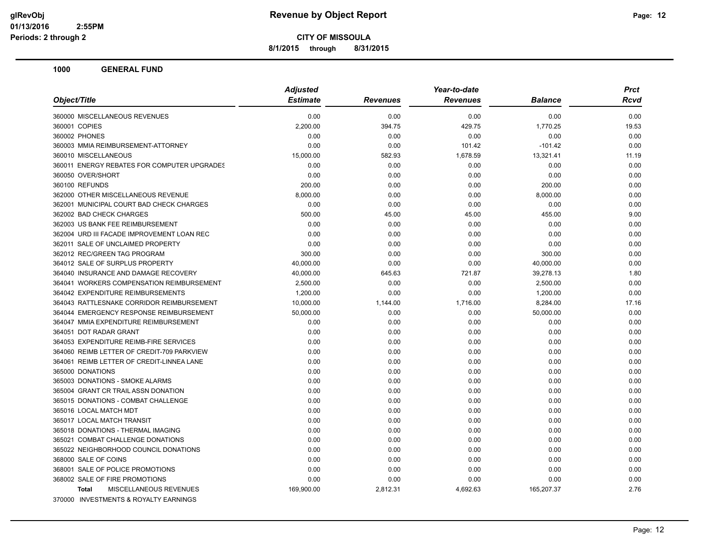**8/1/2015 through 8/31/2015**

|                                               | <b>Adjusted</b> |                 | Year-to-date    |                | <b>Prct</b> |
|-----------------------------------------------|-----------------|-----------------|-----------------|----------------|-------------|
| Object/Title                                  | <b>Estimate</b> | <b>Revenues</b> | <b>Revenues</b> | <b>Balance</b> | Rcvd        |
| 360000 MISCELLANEOUS REVENUES                 | 0.00            | 0.00            | 0.00            | 0.00           | 0.00        |
| 360001 COPIES                                 | 2,200.00        | 394.75          | 429.75          | 1,770.25       | 19.53       |
| 360002 PHONES                                 | 0.00            | 0.00            | 0.00            | 0.00           | 0.00        |
| 360003 MMIA REIMBURSEMENT-ATTORNEY            | 0.00            | 0.00            | 101.42          | $-101.42$      | 0.00        |
| 360010 MISCELLANEOUS                          | 15,000.00       | 582.93          | 1.678.59        | 13,321.41      | 11.19       |
| 360011 ENERGY REBATES FOR COMPUTER UPGRADES   | 0.00            | 0.00            | 0.00            | 0.00           | 0.00        |
| 360050 OVER/SHORT                             | 0.00            | 0.00            | 0.00            | 0.00           | 0.00        |
| 360100 REFUNDS                                | 200.00          | 0.00            | 0.00            | 200.00         | 0.00        |
| 362000 OTHER MISCELLANEOUS REVENUE            | 8,000.00        | 0.00            | 0.00            | 8,000.00       | 0.00        |
| 362001 MUNICIPAL COURT BAD CHECK CHARGES      | 0.00            | 0.00            | 0.00            | 0.00           | 0.00        |
| 362002 BAD CHECK CHARGES                      | 500.00          | 45.00           | 45.00           | 455.00         | 9.00        |
| 362003 US BANK FEE REIMBURSEMENT              | 0.00            | 0.00            | 0.00            | 0.00           | 0.00        |
| 362004 URD III FACADE IMPROVEMENT LOAN REC    | 0.00            | 0.00            | 0.00            | 0.00           | 0.00        |
| 362011 SALE OF UNCLAIMED PROPERTY             | 0.00            | 0.00            | 0.00            | 0.00           | 0.00        |
| 362012 REC/GREEN TAG PROGRAM                  | 300.00          | 0.00            | 0.00            | 300.00         | 0.00        |
| 364012 SALE OF SURPLUS PROPERTY               | 40,000.00       | 0.00            | 0.00            | 40,000.00      | 0.00        |
| 364040 INSURANCE AND DAMAGE RECOVERY          | 40,000.00       | 645.63          | 721.87          | 39,278.13      | 1.80        |
| 364041 WORKERS COMPENSATION REIMBURSEMENT     | 2,500.00        | 0.00            | 0.00            | 2,500.00       | 0.00        |
| 364042 EXPENDITURE REIMBURSEMENTS             | 1,200.00        | 0.00            | 0.00            | 1,200.00       | 0.00        |
| 364043 RATTLESNAKE CORRIDOR REIMBURSEMENT     | 10,000.00       | 1,144.00        | 1,716.00        | 8,284.00       | 17.16       |
| 364044 EMERGENCY RESPONSE REIMBURSEMENT       | 50,000.00       | 0.00            | 0.00            | 50,000.00      | 0.00        |
| 364047 MMIA EXPENDITURE REIMBURSEMENT         | 0.00            | 0.00            | 0.00            | 0.00           | 0.00        |
| 364051 DOT RADAR GRANT                        | 0.00            | 0.00            | 0.00            | 0.00           | 0.00        |
| 364053 EXPENDITURE REIMB-FIRE SERVICES        | 0.00            | 0.00            | 0.00            | 0.00           | 0.00        |
| 364060 REIMB LETTER OF CREDIT-709 PARKVIEW    | 0.00            | 0.00            | 0.00            | 0.00           | 0.00        |
| 364061 REIMB LETTER OF CREDIT-LINNEA LANE     | 0.00            | 0.00            | 0.00            | 0.00           | 0.00        |
| 365000 DONATIONS                              | 0.00            | 0.00            | 0.00            | 0.00           | 0.00        |
| 365003 DONATIONS - SMOKE ALARMS               | 0.00            | 0.00            | 0.00            | 0.00           | 0.00        |
| 365004 GRANT CR TRAIL ASSN DONATION           | 0.00            | 0.00            | 0.00            | 0.00           | 0.00        |
| 365015 DONATIONS - COMBAT CHALLENGE           | 0.00            | 0.00            | 0.00            | 0.00           | 0.00        |
| 365016 LOCAL MATCH MDT                        | 0.00            | 0.00            | 0.00            | 0.00           | 0.00        |
| 365017 LOCAL MATCH TRANSIT                    | 0.00            | 0.00            | 0.00            | 0.00           | 0.00        |
| 365018 DONATIONS - THERMAL IMAGING            | 0.00            | 0.00            | 0.00            | 0.00           | 0.00        |
| 365021 COMBAT CHALLENGE DONATIONS             | 0.00            | 0.00            | 0.00            | 0.00           | 0.00        |
| 365022 NEIGHBORHOOD COUNCIL DONATIONS         | 0.00            | 0.00            | 0.00            | 0.00           | 0.00        |
| 368000 SALE OF COINS                          | 0.00            | 0.00            | 0.00            | 0.00           | 0.00        |
| 368001 SALE OF POLICE PROMOTIONS              | 0.00            | 0.00            | 0.00            | 0.00           | 0.00        |
| 368002 SALE OF FIRE PROMOTIONS                | 0.00            | 0.00            | 0.00            | 0.00           | 0.00        |
| <b>MISCELLANEOUS REVENUES</b><br><b>Total</b> | 169,900.00      | 2,812.31        | 4,692.63        | 165,207.37     | 2.76        |
| 370000 INVESTMENTS & ROYALTY EARNINGS         |                 |                 |                 |                |             |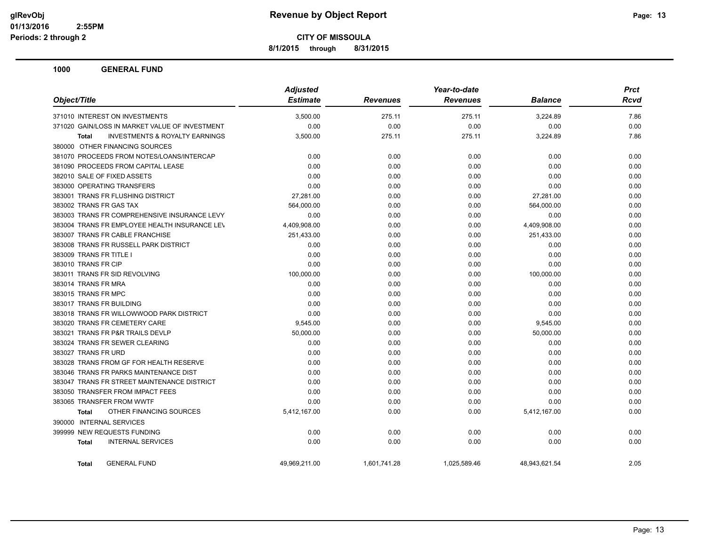**8/1/2015 through 8/31/2015**

|                                                           | <b>Adjusted</b> |                 |                 | <b>Prct</b>    |             |
|-----------------------------------------------------------|-----------------|-----------------|-----------------|----------------|-------------|
| Object/Title                                              | <b>Estimate</b> | <b>Revenues</b> | <b>Revenues</b> | <b>Balance</b> | <b>Rcvd</b> |
| 371010 INTEREST ON INVESTMENTS                            | 3,500.00        | 275.11          | 275.11          | 3,224.89       | 7.86        |
| 371020 GAIN/LOSS IN MARKET VALUE OF INVESTMENT            | 0.00            | 0.00            | 0.00            | 0.00           | 0.00        |
| <b>INVESTMENTS &amp; ROYALTY EARNINGS</b><br><b>Total</b> | 3,500.00        | 275.11          | 275.11          | 3,224.89       | 7.86        |
| 380000 OTHER FINANCING SOURCES                            |                 |                 |                 |                |             |
| 381070 PROCEEDS FROM NOTES/LOANS/INTERCAP                 | 0.00            | 0.00            | 0.00            | 0.00           | 0.00        |
| 381090 PROCEEDS FROM CAPITAL LEASE                        | 0.00            | 0.00            | 0.00            | 0.00           | 0.00        |
| 382010 SALE OF FIXED ASSETS                               | 0.00            | 0.00            | 0.00            | 0.00           | 0.00        |
| 383000 OPERATING TRANSFERS                                | 0.00            | 0.00            | 0.00            | 0.00           | 0.00        |
| 383001 TRANS FR FLUSHING DISTRICT                         | 27,281.00       | 0.00            | 0.00            | 27,281.00      | 0.00        |
| 383002 TRANS FR GAS TAX                                   | 564,000.00      | 0.00            | 0.00            | 564,000.00     | 0.00        |
| 383003 TRANS FR COMPREHENSIVE INSURANCE LEVY              | 0.00            | 0.00            | 0.00            | 0.00           | 0.00        |
| 383004 TRANS FR EMPLOYEE HEALTH INSURANCE LEV             | 4,409,908.00    | 0.00            | 0.00            | 4,409,908.00   | 0.00        |
| 383007 TRANS FR CABLE FRANCHISE                           | 251,433.00      | 0.00            | 0.00            | 251,433.00     | 0.00        |
| 383008 TRANS FR RUSSELL PARK DISTRICT                     | 0.00            | 0.00            | 0.00            | 0.00           | 0.00        |
| 383009 TRANS FR TITLE I                                   | 0.00            | 0.00            | 0.00            | 0.00           | 0.00        |
| 383010 TRANS FR CIP                                       | 0.00            | 0.00            | 0.00            | 0.00           | 0.00        |
| 383011 TRANS FR SID REVOLVING                             | 100,000.00      | 0.00            | 0.00            | 100,000.00     | 0.00        |
| 383014 TRANS FR MRA                                       | 0.00            | 0.00            | 0.00            | 0.00           | 0.00        |
| 383015 TRANS FR MPC                                       | 0.00            | 0.00            | 0.00            | 0.00           | 0.00        |
| 383017 TRANS FR BUILDING                                  | 0.00            | 0.00            | 0.00            | 0.00           | 0.00        |
| 383018 TRANS FR WILLOWWOOD PARK DISTRICT                  | 0.00            | 0.00            | 0.00            | 0.00           | 0.00        |
| 383020 TRANS FR CEMETERY CARE                             | 9,545.00        | 0.00            | 0.00            | 9,545.00       | 0.00        |
| 383021 TRANS FR P&R TRAILS DEVLP                          | 50,000.00       | 0.00            | 0.00            | 50,000.00      | 0.00        |
| 383024 TRANS FR SEWER CLEARING                            | 0.00            | 0.00            | 0.00            | 0.00           | 0.00        |
| 383027 TRANS FR URD                                       | 0.00            | 0.00            | 0.00            | 0.00           | 0.00        |
| 383028 TRANS FROM GF FOR HEALTH RESERVE                   | 0.00            | 0.00            | 0.00            | 0.00           | 0.00        |
| 383046 TRANS FR PARKS MAINTENANCE DIST                    | 0.00            | 0.00            | 0.00            | 0.00           | 0.00        |
| 383047 TRANS FR STREET MAINTENANCE DISTRICT               | 0.00            | 0.00            | 0.00            | 0.00           | 0.00        |
| 383050 TRANSFER FROM IMPACT FEES                          | 0.00            | 0.00            | 0.00            | 0.00           | 0.00        |
| 383065 TRANSFER FROM WWTF                                 | 0.00            | 0.00            | 0.00            | 0.00           | 0.00        |
| OTHER FINANCING SOURCES<br><b>Total</b>                   | 5,412,167.00    | 0.00            | 0.00            | 5,412,167.00   | 0.00        |
| 390000 INTERNAL SERVICES                                  |                 |                 |                 |                |             |
| 399999 NEW REQUESTS FUNDING                               | 0.00            | 0.00            | 0.00            | 0.00           | 0.00        |
| <b>INTERNAL SERVICES</b><br><b>Total</b>                  | 0.00            | 0.00            | 0.00            | 0.00           | 0.00        |
| <b>GENERAL FUND</b><br><b>Total</b>                       | 49,969,211.00   | 1,601,741.28    | 1,025,589.46    | 48,943,621.54  | 2.05        |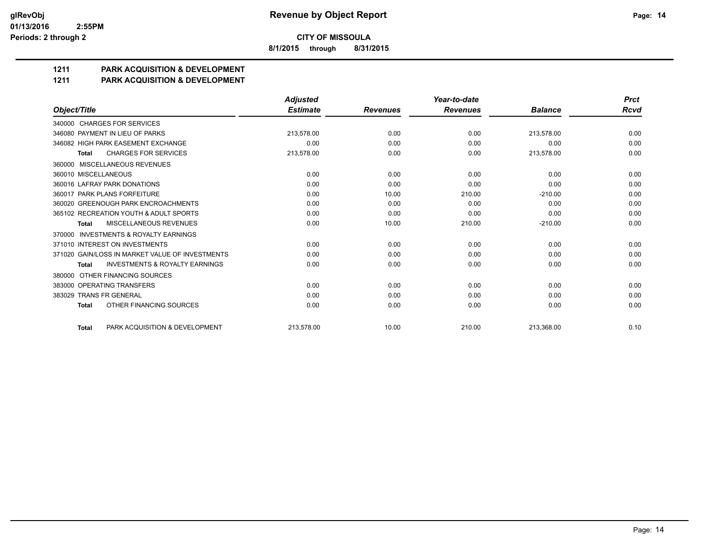**8/1/2015 through 8/31/2015**

# **1211 PARK ACQUISITION & DEVELOPMENT**

#### **1211 PARK ACQUISITION & DEVELOPMENT**

|                                                           | <b>Adjusted</b> |                 | Year-to-date    |                |             |
|-----------------------------------------------------------|-----------------|-----------------|-----------------|----------------|-------------|
| Object/Title                                              | <b>Estimate</b> | <b>Revenues</b> | <b>Revenues</b> | <b>Balance</b> | <b>Rcvd</b> |
| 340000 CHARGES FOR SERVICES                               |                 |                 |                 |                |             |
| 346080 PAYMENT IN LIEU OF PARKS                           | 213,578.00      | 0.00            | 0.00            | 213.578.00     | 0.00        |
| 346082 HIGH PARK EASEMENT EXCHANGE                        | 0.00            | 0.00            | 0.00            | 0.00           | 0.00        |
| <b>CHARGES FOR SERVICES</b><br>Total                      | 213,578.00      | 0.00            | 0.00            | 213,578.00     | 0.00        |
| MISCELLANEOUS REVENUES<br>360000                          |                 |                 |                 |                |             |
| 360010 MISCELLANEOUS                                      | 0.00            | 0.00            | 0.00            | 0.00           | 0.00        |
| 360016 LAFRAY PARK DONATIONS                              | 0.00            | 0.00            | 0.00            | 0.00           | 0.00        |
| 360017 PARK PLANS FORFEITURE                              | 0.00            | 10.00           | 210.00          | $-210.00$      | 0.00        |
| 360020 GREENOUGH PARK ENCROACHMENTS                       | 0.00            | 0.00            | 0.00            | 0.00           | 0.00        |
| 365102 RECREATION YOUTH & ADULT SPORTS                    | 0.00            | 0.00            | 0.00            | 0.00           | 0.00        |
| MISCELLANEOUS REVENUES<br><b>Total</b>                    | 0.00            | 10.00           | 210.00          | $-210.00$      | 0.00        |
| <b>INVESTMENTS &amp; ROYALTY EARNINGS</b><br>370000       |                 |                 |                 |                |             |
| 371010 INTEREST ON INVESTMENTS                            | 0.00            | 0.00            | 0.00            | 0.00           | 0.00        |
| 371020 GAIN/LOSS IN MARKET VALUE OF INVESTMENTS           | 0.00            | 0.00            | 0.00            | 0.00           | 0.00        |
| <b>INVESTMENTS &amp; ROYALTY EARNINGS</b><br><b>Total</b> | 0.00            | 0.00            | 0.00            | 0.00           | 0.00        |
| OTHER FINANCING SOURCES<br>380000                         |                 |                 |                 |                |             |
| 383000 OPERATING TRANSFERS                                | 0.00            | 0.00            | 0.00            | 0.00           | 0.00        |
| 383029 TRANS FR GENERAL                                   | 0.00            | 0.00            | 0.00            | 0.00           | 0.00        |
| OTHER FINANCING SOURCES<br><b>Total</b>                   | 0.00            | 0.00            | 0.00            | 0.00           | 0.00        |
| PARK ACQUISITION & DEVELOPMENT<br><b>Total</b>            | 213.578.00      | 10.00           | 210.00          | 213.368.00     | 0.10        |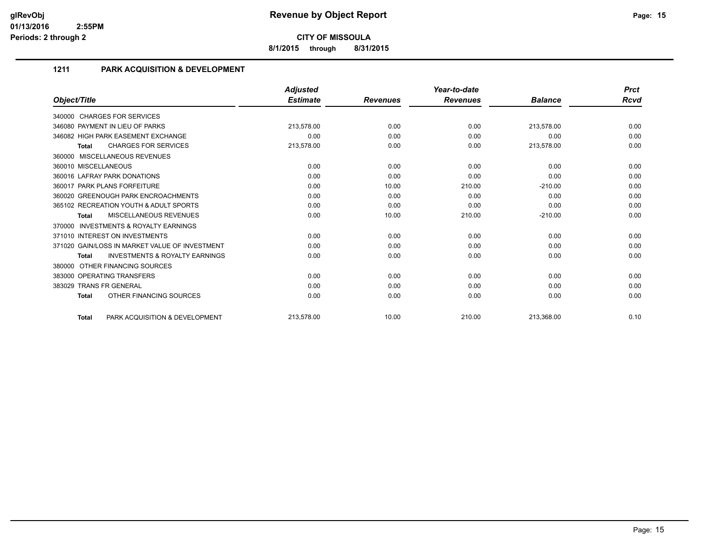**8/1/2015 through 8/31/2015**

# **1211 PARK ACQUISITION & DEVELOPMENT**

|                                                           | <b>Adjusted</b> |                 | Year-to-date    |                | <b>Prct</b> |
|-----------------------------------------------------------|-----------------|-----------------|-----------------|----------------|-------------|
| Object/Title                                              | <b>Estimate</b> | <b>Revenues</b> | <b>Revenues</b> | <b>Balance</b> | Rcvd        |
| 340000 CHARGES FOR SERVICES                               |                 |                 |                 |                |             |
| 346080 PAYMENT IN LIEU OF PARKS                           | 213,578.00      | 0.00            | 0.00            | 213,578.00     | 0.00        |
| 346082 HIGH PARK EASEMENT EXCHANGE                        | 0.00            | 0.00            | 0.00            | 0.00           | 0.00        |
| <b>CHARGES FOR SERVICES</b><br><b>Total</b>               | 213,578.00      | 0.00            | 0.00            | 213,578.00     | 0.00        |
| MISCELLANEOUS REVENUES<br>360000                          |                 |                 |                 |                |             |
| 360010 MISCELLANEOUS                                      | 0.00            | 0.00            | 0.00            | 0.00           | 0.00        |
| 360016 LAFRAY PARK DONATIONS                              | 0.00            | 0.00            | 0.00            | 0.00           | 0.00        |
| 360017 PARK PLANS FORFEITURE                              | 0.00            | 10.00           | 210.00          | $-210.00$      | 0.00        |
| 360020 GREENOUGH PARK ENCROACHMENTS                       | 0.00            | 0.00            | 0.00            | 0.00           | 0.00        |
| 365102 RECREATION YOUTH & ADULT SPORTS                    | 0.00            | 0.00            | 0.00            | 0.00           | 0.00        |
| <b>MISCELLANEOUS REVENUES</b><br><b>Total</b>             | 0.00            | 10.00           | 210.00          | $-210.00$      | 0.00        |
| <b>INVESTMENTS &amp; ROYALTY EARNINGS</b><br>370000       |                 |                 |                 |                |             |
| 371010 INTEREST ON INVESTMENTS                            | 0.00            | 0.00            | 0.00            | 0.00           | 0.00        |
| 371020 GAIN/LOSS IN MARKET VALUE OF INVESTMENT            | 0.00            | 0.00            | 0.00            | 0.00           | 0.00        |
| <b>INVESTMENTS &amp; ROYALTY EARNINGS</b><br><b>Total</b> | 0.00            | 0.00            | 0.00            | 0.00           | 0.00        |
| OTHER FINANCING SOURCES<br>380000                         |                 |                 |                 |                |             |
| 383000 OPERATING TRANSFERS                                | 0.00            | 0.00            | 0.00            | 0.00           | 0.00        |
| 383029 TRANS FR GENERAL                                   | 0.00            | 0.00            | 0.00            | 0.00           | 0.00        |
| OTHER FINANCING SOURCES<br><b>Total</b>                   | 0.00            | 0.00            | 0.00            | 0.00           | 0.00        |
| PARK ACQUISITION & DEVELOPMENT<br><b>Total</b>            | 213,578.00      | 10.00           | 210.00          | 213,368.00     | 0.10        |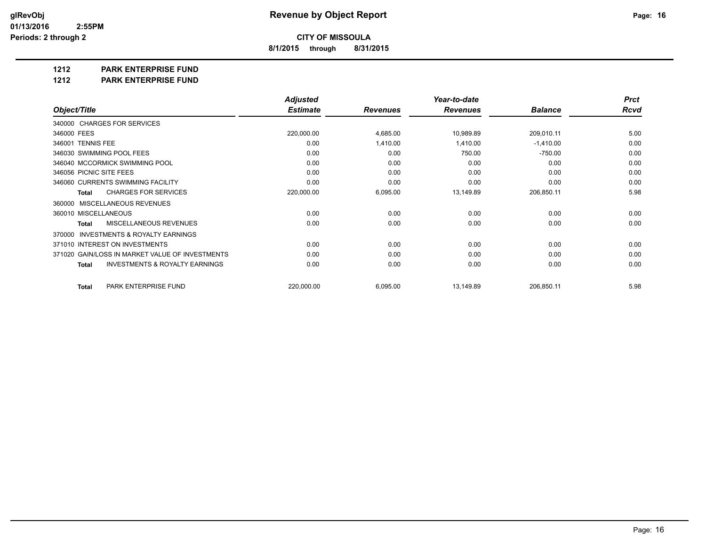**8/1/2015 through 8/31/2015**

**1212 PARK ENTERPRISE FUND**

**1212 PARK ENTERPRISE FUND**

|                                                           | <b>Adjusted</b> |                 | Year-to-date    |                | <b>Prct</b> |
|-----------------------------------------------------------|-----------------|-----------------|-----------------|----------------|-------------|
| Object/Title                                              | <b>Estimate</b> | <b>Revenues</b> | <b>Revenues</b> | <b>Balance</b> | <b>Rcvd</b> |
| 340000 CHARGES FOR SERVICES                               |                 |                 |                 |                |             |
| 346000 FEES                                               | 220,000.00      | 4,685.00        | 10,989.89       | 209,010.11     | 5.00        |
| 346001 TENNIS FEE                                         | 0.00            | 1,410.00        | 1,410.00        | $-1,410.00$    | 0.00        |
| 346030 SWIMMING POOL FEES                                 | 0.00            | 0.00            | 750.00          | $-750.00$      | 0.00        |
| 346040 MCCORMICK SWIMMING POOL                            | 0.00            | 0.00            | 0.00            | 0.00           | 0.00        |
| 346056 PICNIC SITE FEES                                   | 0.00            | 0.00            | 0.00            | 0.00           | 0.00        |
| 346060 CURRENTS SWIMMING FACILITY                         | 0.00            | 0.00            | 0.00            | 0.00           | 0.00        |
| <b>CHARGES FOR SERVICES</b><br>Total                      | 220,000.00      | 6,095.00        | 13,149.89       | 206,850.11     | 5.98        |
| <b>MISCELLANEOUS REVENUES</b><br>360000                   |                 |                 |                 |                |             |
| 360010 MISCELLANEOUS                                      | 0.00            | 0.00            | 0.00            | 0.00           | 0.00        |
| MISCELLANEOUS REVENUES<br><b>Total</b>                    | 0.00            | 0.00            | 0.00            | 0.00           | 0.00        |
| <b>INVESTMENTS &amp; ROYALTY EARNINGS</b><br>370000       |                 |                 |                 |                |             |
| 371010 INTEREST ON INVESTMENTS                            | 0.00            | 0.00            | 0.00            | 0.00           | 0.00        |
| 371020 GAIN/LOSS IN MARKET VALUE OF INVESTMENTS           | 0.00            | 0.00            | 0.00            | 0.00           | 0.00        |
| <b>INVESTMENTS &amp; ROYALTY EARNINGS</b><br><b>Total</b> | 0.00            | 0.00            | 0.00            | 0.00           | 0.00        |
| PARK ENTERPRISE FUND<br><b>Total</b>                      | 220,000.00      | 6,095.00        | 13,149.89       | 206,850.11     | 5.98        |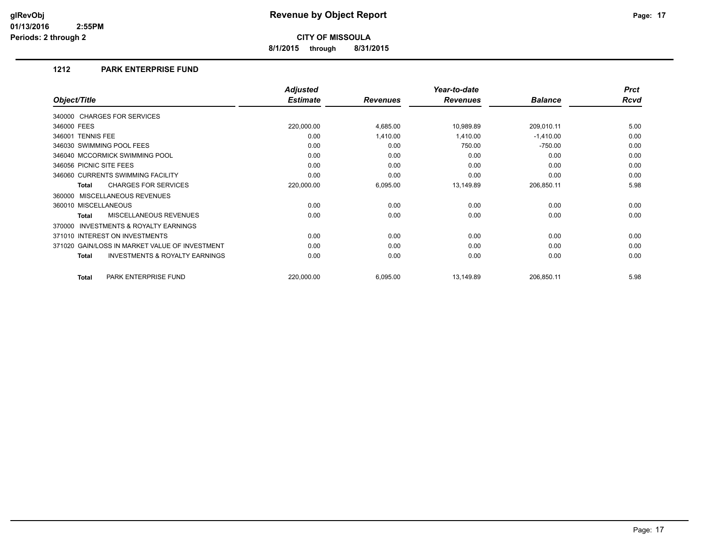**8/1/2015 through 8/31/2015**

# **1212 PARK ENTERPRISE FUND**

|                                                           | <b>Adjusted</b> |                 | Year-to-date    |                | <b>Prct</b> |
|-----------------------------------------------------------|-----------------|-----------------|-----------------|----------------|-------------|
| Object/Title                                              | <b>Estimate</b> | <b>Revenues</b> | <b>Revenues</b> | <b>Balance</b> | <b>Rcvd</b> |
| 340000 CHARGES FOR SERVICES                               |                 |                 |                 |                |             |
| 346000 FEES                                               | 220,000.00      | 4,685.00        | 10,989.89       | 209,010.11     | 5.00        |
| 346001 TENNIS FEE                                         | 0.00            | 1,410.00        | 1,410.00        | $-1,410.00$    | 0.00        |
| 346030 SWIMMING POOL FEES                                 | 0.00            | 0.00            | 750.00          | $-750.00$      | 0.00        |
| 346040 MCCORMICK SWIMMING POOL                            | 0.00            | 0.00            | 0.00            | 0.00           | 0.00        |
| 346056 PICNIC SITE FEES                                   | 0.00            | 0.00            | 0.00            | 0.00           | 0.00        |
| 346060 CURRENTS SWIMMING FACILITY                         | 0.00            | 0.00            | 0.00            | 0.00           | 0.00        |
| <b>CHARGES FOR SERVICES</b><br><b>Total</b>               | 220,000.00      | 6,095.00        | 13,149.89       | 206,850.11     | 5.98        |
| 360000 MISCELLANEOUS REVENUES                             |                 |                 |                 |                |             |
| 360010 MISCELLANEOUS                                      | 0.00            | 0.00            | 0.00            | 0.00           | 0.00        |
| MISCELLANEOUS REVENUES<br>Total                           | 0.00            | 0.00            | 0.00            | 0.00           | 0.00        |
| INVESTMENTS & ROYALTY EARNINGS<br>370000                  |                 |                 |                 |                |             |
| 371010 INTEREST ON INVESTMENTS                            | 0.00            | 0.00            | 0.00            | 0.00           | 0.00        |
| 371020 GAIN/LOSS IN MARKET VALUE OF INVESTMENT            | 0.00            | 0.00            | 0.00            | 0.00           | 0.00        |
| <b>INVESTMENTS &amp; ROYALTY EARNINGS</b><br><b>Total</b> | 0.00            | 0.00            | 0.00            | 0.00           | 0.00        |
| PARK ENTERPRISE FUND<br><b>Total</b>                      | 220,000.00      | 6,095.00        | 13,149.89       | 206,850.11     | 5.98        |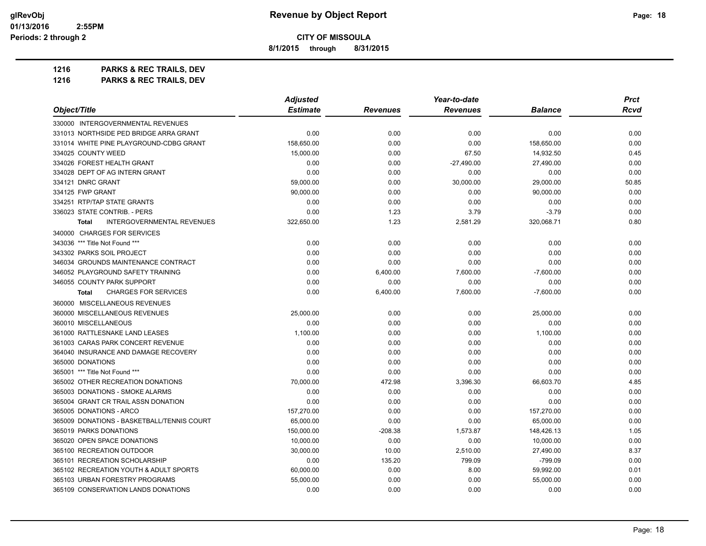**8/1/2015 through 8/31/2015**

**1216 PARKS & REC TRAILS, DEV 1216 PARKS & REC TRAILS, DEV**

|                                                   | <b>Adjusted</b> |                 | Year-to-date    |                | Prct        |
|---------------------------------------------------|-----------------|-----------------|-----------------|----------------|-------------|
| Object/Title                                      | <b>Estimate</b> | <b>Revenues</b> | <b>Revenues</b> | <b>Balance</b> | <b>Rcvd</b> |
| 330000 INTERGOVERNMENTAL REVENUES                 |                 |                 |                 |                |             |
| 331013 NORTHSIDE PED BRIDGE ARRA GRANT            | 0.00            | 0.00            | 0.00            | 0.00           | 0.00        |
| 331014 WHITE PINE PLAYGROUND-CDBG GRANT           | 158,650.00      | 0.00            | 0.00            | 158,650.00     | 0.00        |
| 334025 COUNTY WEED                                | 15,000.00       | 0.00            | 67.50           | 14,932.50      | 0.45        |
| 334026 FOREST HEALTH GRANT                        | 0.00            | 0.00            | $-27,490.00$    | 27,490.00      | 0.00        |
| 334028 DEPT OF AG INTERN GRANT                    | 0.00            | 0.00            | 0.00            | 0.00           | 0.00        |
| 334121 DNRC GRANT                                 | 59,000.00       | 0.00            | 30,000.00       | 29,000.00      | 50.85       |
| 334125 FWP GRANT                                  | 90,000.00       | 0.00            | 0.00            | 90,000.00      | 0.00        |
| 334251 RTP/TAP STATE GRANTS                       | 0.00            | 0.00            | 0.00            | 0.00           | 0.00        |
| 336023 STATE CONTRIB. - PERS                      | 0.00            | 1.23            | 3.79            | $-3.79$        | 0.00        |
| <b>INTERGOVERNMENTAL REVENUES</b><br><b>Total</b> | 322,650.00      | 1.23            | 2,581.29        | 320,068.71     | 0.80        |
| 340000 CHARGES FOR SERVICES                       |                 |                 |                 |                |             |
| 343036 *** Title Not Found ***                    | 0.00            | 0.00            | 0.00            | 0.00           | 0.00        |
| 343302 PARKS SOIL PROJECT                         | 0.00            | 0.00            | 0.00            | 0.00           | 0.00        |
| 346034 GROUNDS MAINTENANCE CONTRACT               | 0.00            | 0.00            | 0.00            | 0.00           | 0.00        |
| 346052 PLAYGROUND SAFETY TRAINING                 | 0.00            | 6,400.00        | 7,600.00        | $-7,600.00$    | 0.00        |
| 346055 COUNTY PARK SUPPORT                        | 0.00            | 0.00            | 0.00            | 0.00           | 0.00        |
| <b>CHARGES FOR SERVICES</b><br><b>Total</b>       | 0.00            | 6,400.00        | 7,600.00        | $-7,600.00$    | 0.00        |
| 360000 MISCELLANEOUS REVENUES                     |                 |                 |                 |                |             |
| 360000 MISCELLANEOUS REVENUES                     | 25,000.00       | 0.00            | 0.00            | 25,000.00      | 0.00        |
| 360010 MISCELLANEOUS                              | 0.00            | 0.00            | 0.00            | 0.00           | 0.00        |
| 361000 RATTLESNAKE LAND LEASES                    | 1,100.00        | 0.00            | 0.00            | 1,100.00       | 0.00        |
| 361003 CARAS PARK CONCERT REVENUE                 | 0.00            | 0.00            | 0.00            | 0.00           | 0.00        |
| 364040 INSURANCE AND DAMAGE RECOVERY              | 0.00            | 0.00            | 0.00            | 0.00           | 0.00        |
| 365000 DONATIONS                                  | 0.00            | 0.00            | 0.00            | 0.00           | 0.00        |
| 365001 *** Title Not Found ***                    | 0.00            | 0.00            | 0.00            | 0.00           | 0.00        |
| 365002 OTHER RECREATION DONATIONS                 | 70,000.00       | 472.98          | 3,396.30        | 66,603.70      | 4.85        |
| 365003 DONATIONS - SMOKE ALARMS                   | 0.00            | 0.00            | 0.00            | 0.00           | 0.00        |
| 365004 GRANT CR TRAIL ASSN DONATION               | 0.00            | 0.00            | 0.00            | 0.00           | 0.00        |
| 365005 DONATIONS - ARCO                           | 157,270.00      | 0.00            | 0.00            | 157,270.00     | 0.00        |
| 365009 DONATIONS - BASKETBALL/TENNIS COURT        | 65,000.00       | 0.00            | 0.00            | 65,000.00      | 0.00        |
| 365019 PARKS DONATIONS                            | 150,000.00      | $-208.38$       | 1,573.87        | 148,426.13     | 1.05        |
| 365020 OPEN SPACE DONATIONS                       | 10,000.00       | 0.00            | 0.00            | 10,000.00      | 0.00        |
| 365100 RECREATION OUTDOOR                         | 30,000.00       | 10.00           | 2,510.00        | 27,490.00      | 8.37        |
| 365101 RECREATION SCHOLARSHIP                     | 0.00            | 135.20          | 799.09          | $-799.09$      | 0.00        |
| 365102 RECREATION YOUTH & ADULT SPORTS            | 60,000.00       | 0.00            | 8.00            | 59,992.00      | 0.01        |
| 365103 URBAN FORESTRY PROGRAMS                    | 55,000.00       | 0.00            | 0.00            | 55,000.00      | 0.00        |
| 365109 CONSERVATION LANDS DONATIONS               | 0.00            | 0.00            | 0.00            | 0.00           | 0.00        |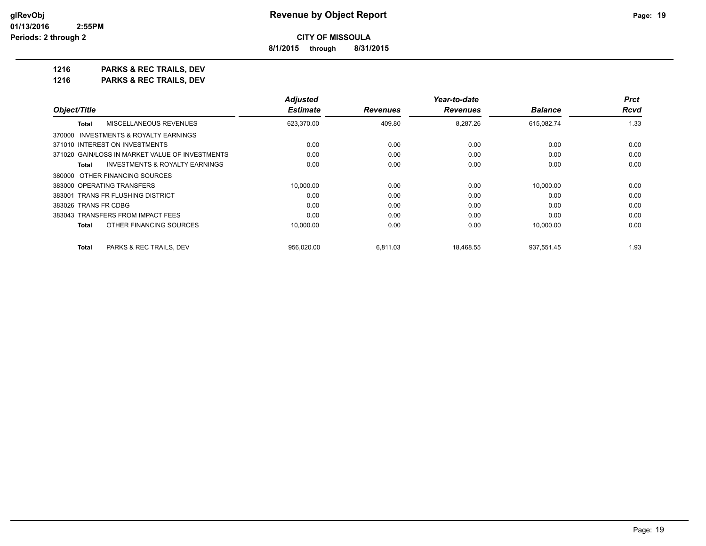**8/1/2015 through 8/31/2015**

**1216 PARKS & REC TRAILS, DEV 1216 PARKS & REC TRAILS, DEV**

|                                                    | <b>Adjusted</b> |                 | Year-to-date    |                | <b>Prct</b> |
|----------------------------------------------------|-----------------|-----------------|-----------------|----------------|-------------|
| Object/Title                                       | <b>Estimate</b> | <b>Revenues</b> | <b>Revenues</b> | <b>Balance</b> | Rcvd        |
| MISCELLANEOUS REVENUES<br>Total                    | 623,370.00      | 409.80          | 8,287.26        | 615,082.74     | 1.33        |
| 370000 INVESTMENTS & ROYALTY EARNINGS              |                 |                 |                 |                |             |
| 371010 INTEREST ON INVESTMENTS                     | 0.00            | 0.00            | 0.00            | 0.00           | 0.00        |
| 371020 GAIN/LOSS IN MARKET VALUE OF INVESTMENTS    | 0.00            | 0.00            | 0.00            | 0.00           | 0.00        |
| <b>INVESTMENTS &amp; ROYALTY EARNINGS</b><br>Total | 0.00            | 0.00            | 0.00            | 0.00           | 0.00        |
| 380000 OTHER FINANCING SOURCES                     |                 |                 |                 |                |             |
| 383000 OPERATING TRANSFERS                         | 10.000.00       | 0.00            | 0.00            | 10,000.00      | 0.00        |
| 383001 TRANS FR FLUSHING DISTRICT                  | 0.00            | 0.00            | 0.00            | 0.00           | 0.00        |
| 383026 TRANS FR CDBG                               | 0.00            | 0.00            | 0.00            | 0.00           | 0.00        |
| 383043 TRANSFERS FROM IMPACT FEES                  | 0.00            | 0.00            | 0.00            | 0.00           | 0.00        |
| OTHER FINANCING SOURCES<br><b>Total</b>            | 10,000.00       | 0.00            | 0.00            | 10.000.00      | 0.00        |
| <b>Total</b><br>PARKS & REC TRAILS, DEV            | 956.020.00      | 6,811.03        | 18.468.55       | 937.551.45     | 1.93        |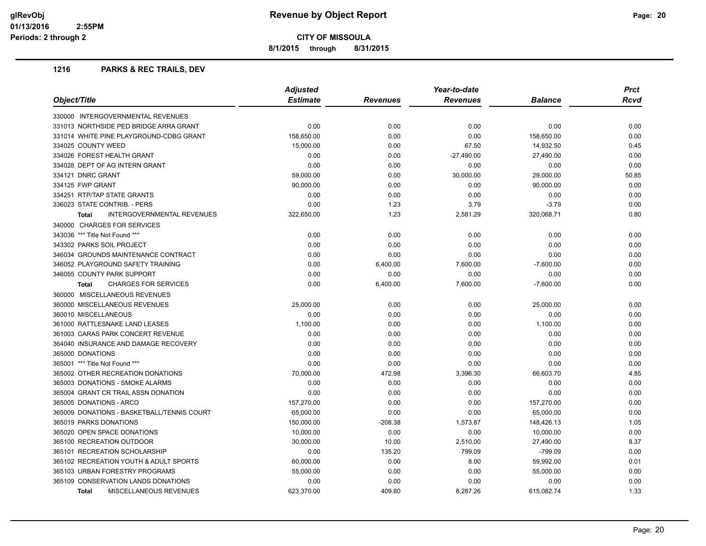**8/1/2015 through 8/31/2015**

# **1216 PARKS & REC TRAILS, DEV**

| Object/Title                                      | <b>Adjusted</b> |                 | Year-to-date    |                |       |
|---------------------------------------------------|-----------------|-----------------|-----------------|----------------|-------|
|                                                   | <b>Estimate</b> | <b>Revenues</b> | <b>Revenues</b> | <b>Balance</b> | Rcvd  |
| 330000 INTERGOVERNMENTAL REVENUES                 |                 |                 |                 |                |       |
| 331013 NORTHSIDE PED BRIDGE ARRA GRANT            | 0.00            | 0.00            | 0.00            | 0.00           | 0.00  |
| 331014 WHITE PINE PLAYGROUND-CDBG GRANT           | 158,650.00      | 0.00            | 0.00            | 158,650.00     | 0.00  |
| 334025 COUNTY WEED                                | 15,000.00       | 0.00            | 67.50           | 14,932.50      | 0.45  |
| 334026 FOREST HEALTH GRANT                        | 0.00            | 0.00            | $-27,490.00$    | 27,490.00      | 0.00  |
| 334028 DEPT OF AG INTERN GRANT                    | 0.00            | 0.00            | 0.00            | 0.00           | 0.00  |
| 334121 DNRC GRANT                                 | 59,000.00       | 0.00            | 30,000.00       | 29,000.00      | 50.85 |
| 334125 FWP GRANT                                  | 90,000.00       | 0.00            | 0.00            | 90,000.00      | 0.00  |
| 334251 RTP/TAP STATE GRANTS                       | 0.00            | 0.00            | 0.00            | 0.00           | 0.00  |
| 336023 STATE CONTRIB. - PERS                      | 0.00            | 1.23            | 3.79            | $-3.79$        | 0.00  |
| <b>INTERGOVERNMENTAL REVENUES</b><br><b>Total</b> | 322,650.00      | 1.23            | 2,581.29        | 320,068.71     | 0.80  |
| 340000 CHARGES FOR SERVICES                       |                 |                 |                 |                |       |
| 343036 *** Title Not Found ***                    | 0.00            | 0.00            | 0.00            | 0.00           | 0.00  |
| 343302 PARKS SOIL PROJECT                         | 0.00            | 0.00            | 0.00            | 0.00           | 0.00  |
| 346034 GROUNDS MAINTENANCE CONTRACT               | 0.00            | 0.00            | 0.00            | 0.00           | 0.00  |
| 346052 PLAYGROUND SAFETY TRAINING                 | 0.00            | 6,400.00        | 7,600.00        | $-7,600.00$    | 0.00  |
| 346055 COUNTY PARK SUPPORT                        | 0.00            | 0.00            | 0.00            | 0.00           | 0.00  |
| <b>CHARGES FOR SERVICES</b><br><b>Total</b>       | 0.00            | 6,400.00        | 7,600.00        | $-7,600.00$    | 0.00  |
| 360000 MISCELLANEOUS REVENUES                     |                 |                 |                 |                |       |
| 360000 MISCELLANEOUS REVENUES                     | 25,000.00       | 0.00            | 0.00            | 25,000.00      | 0.00  |
| 360010 MISCELLANEOUS                              | 0.00            | 0.00            | 0.00            | 0.00           | 0.00  |
| 361000 RATTLESNAKE LAND LEASES                    | 1,100.00        | 0.00            | 0.00            | 1,100.00       | 0.00  |
| 361003 CARAS PARK CONCERT REVENUE                 | 0.00            | 0.00            | 0.00            | 0.00           | 0.00  |
| 364040 INSURANCE AND DAMAGE RECOVERY              | 0.00            | 0.00            | 0.00            | 0.00           | 0.00  |
| 365000 DONATIONS                                  | 0.00            | 0.00            | 0.00            | 0.00           | 0.00  |
| 365001 *** Title Not Found ***                    | 0.00            | 0.00            | 0.00            | 0.00           | 0.00  |
| 365002 OTHER RECREATION DONATIONS                 | 70,000.00       | 472.98          | 3,396.30        | 66,603.70      | 4.85  |
| 365003 DONATIONS - SMOKE ALARMS                   | 0.00            | 0.00            | 0.00            | 0.00           | 0.00  |
| 365004 GRANT CR TRAIL ASSN DONATION               | 0.00            | 0.00            | 0.00            | 0.00           | 0.00  |
| 365005 DONATIONS - ARCO                           | 157,270.00      | 0.00            | 0.00            | 157,270.00     | 0.00  |
| 365009 DONATIONS - BASKETBALL/TENNIS COURT        | 65,000.00       | 0.00            | 0.00            | 65,000.00      | 0.00  |
| 365019 PARKS DONATIONS                            | 150,000.00      | $-208.38$       | 1,573.87        | 148,426.13     | 1.05  |
| 365020 OPEN SPACE DONATIONS                       | 10,000.00       | 0.00            | 0.00            | 10,000.00      | 0.00  |
| 365100 RECREATION OUTDOOR                         | 30,000.00       | 10.00           | 2,510.00        | 27,490.00      | 8.37  |
| 365101 RECREATION SCHOLARSHIP                     | 0.00            | 135.20          | 799.09          | $-799.09$      | 0.00  |
| 365102 RECREATION YOUTH & ADULT SPORTS            | 60,000.00       | 0.00            | 8.00            | 59,992.00      | 0.01  |
| 365103 URBAN FORESTRY PROGRAMS                    | 55,000.00       | 0.00            | 0.00            | 55,000.00      | 0.00  |
| 365109 CONSERVATION LANDS DONATIONS               | 0.00            | 0.00            | 0.00            | 0.00           | 0.00  |
| <b>MISCELLANEOUS REVENUES</b><br><b>Total</b>     | 623.370.00      | 409.80          | 8.287.26        | 615.082.74     | 1.33  |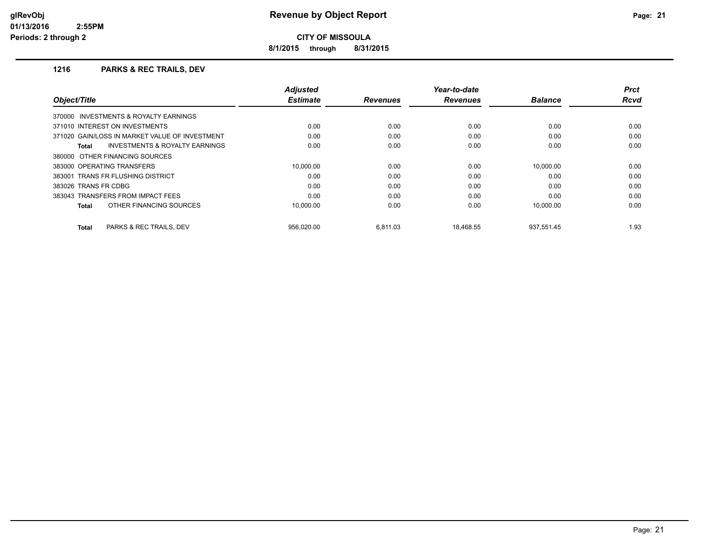**8/1/2015 through 8/31/2015**

# **1216 PARKS & REC TRAILS, DEV**

|                                                    | <b>Adjusted</b> |                 | Year-to-date    |                | <b>Prct</b> |
|----------------------------------------------------|-----------------|-----------------|-----------------|----------------|-------------|
| Object/Title                                       | <b>Estimate</b> | <b>Revenues</b> | <b>Revenues</b> | <b>Balance</b> | Rcvd        |
| 370000 INVESTMENTS & ROYALTY EARNINGS              |                 |                 |                 |                |             |
| 371010 INTEREST ON INVESTMENTS                     | 0.00            | 0.00            | 0.00            | 0.00           | 0.00        |
| 371020 GAIN/LOSS IN MARKET VALUE OF INVESTMENT     | 0.00            | 0.00            | 0.00            | 0.00           | 0.00        |
| <b>INVESTMENTS &amp; ROYALTY EARNINGS</b><br>Total | 0.00            | 0.00            | 0.00            | 0.00           | 0.00        |
| 380000 OTHER FINANCING SOURCES                     |                 |                 |                 |                |             |
| 383000 OPERATING TRANSFERS                         | 10.000.00       | 0.00            | 0.00            | 10.000.00      | 0.00        |
| 383001 TRANS FR FLUSHING DISTRICT                  | 0.00            | 0.00            | 0.00            | 0.00           | 0.00        |
| 383026 TRANS FR CDBG                               | 0.00            | 0.00            | 0.00            | 0.00           | 0.00        |
| 383043 TRANSFERS FROM IMPACT FEES                  | 0.00            | 0.00            | 0.00            | 0.00           | 0.00        |
| OTHER FINANCING SOURCES<br>Total                   | 10.000.00       | 0.00            | 0.00            | 10,000.00      | 0.00        |
| PARKS & REC TRAILS, DEV<br>Total                   | 956.020.00      | 6.811.03        | 18.468.55       | 937.551.45     | 1.93        |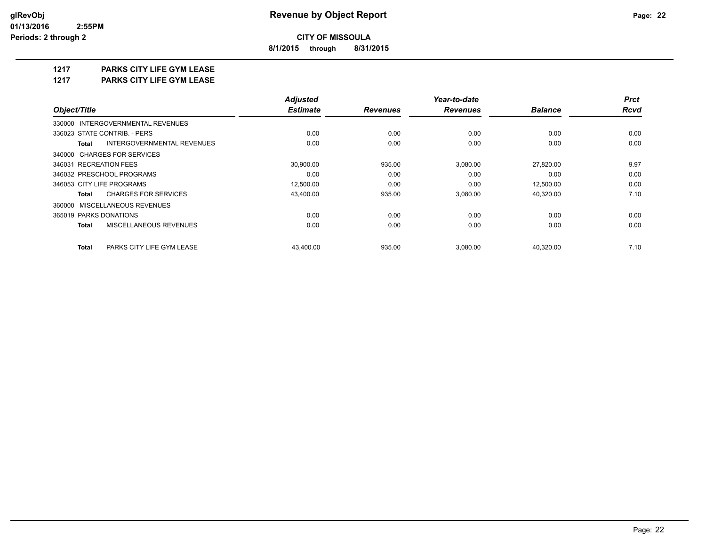**8/1/2015 through 8/31/2015**

# **1217 PARKS CITY LIFE GYM LEASE**

**1217 PARKS CITY LIFE GYM LEASE**

|                                            | <b>Adjusted</b> |                 | Year-to-date    | <b>Prct</b>    |             |
|--------------------------------------------|-----------------|-----------------|-----------------|----------------|-------------|
| Object/Title                               | <b>Estimate</b> | <b>Revenues</b> | <b>Revenues</b> | <b>Balance</b> | <b>Rcvd</b> |
| 330000 INTERGOVERNMENTAL REVENUES          |                 |                 |                 |                |             |
| 336023 STATE CONTRIB. - PERS               | 0.00            | 0.00            | 0.00            | 0.00           | 0.00        |
| INTERGOVERNMENTAL REVENUES<br><b>Total</b> | 0.00            | 0.00            | 0.00            | 0.00           | 0.00        |
| 340000 CHARGES FOR SERVICES                |                 |                 |                 |                |             |
| 346031 RECREATION FEES                     | 30,900.00       | 935.00          | 3,080.00        | 27,820.00      | 9.97        |
| 346032 PRESCHOOL PROGRAMS                  | 0.00            | 0.00            | 0.00            | 0.00           | 0.00        |
| 346053 CITY LIFE PROGRAMS                  | 12,500.00       | 0.00            | 0.00            | 12,500.00      | 0.00        |
| <b>CHARGES FOR SERVICES</b><br>Total       | 43,400.00       | 935.00          | 3,080.00        | 40,320.00      | 7.10        |
| 360000 MISCELLANEOUS REVENUES              |                 |                 |                 |                |             |
| 365019 PARKS DONATIONS                     | 0.00            | 0.00            | 0.00            | 0.00           | 0.00        |
| MISCELLANEOUS REVENUES<br><b>Total</b>     | 0.00            | 0.00            | 0.00            | 0.00           | 0.00        |
| <b>Total</b><br>PARKS CITY LIFE GYM LEASE  | 43.400.00       | 935.00          | 3,080.00        | 40.320.00      | 7.10        |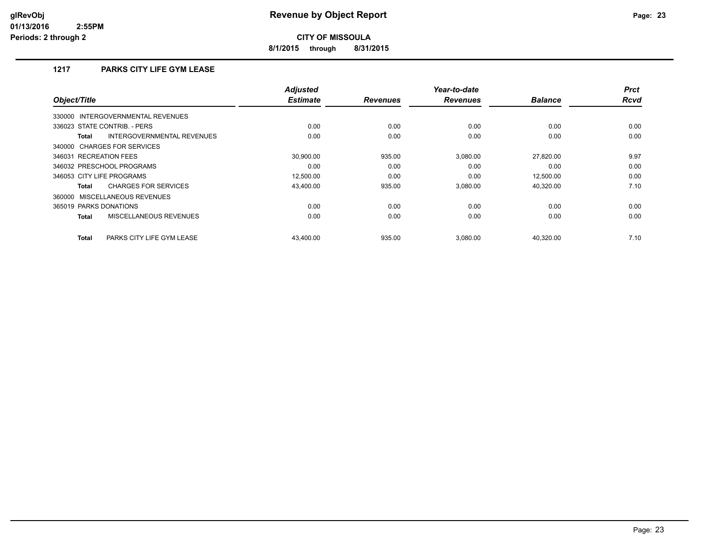**8/1/2015 through 8/31/2015**

# **1217 PARKS CITY LIFE GYM LEASE**

| Object/Title                                | <b>Adjusted</b><br><b>Estimate</b> | <b>Revenues</b> | Year-to-date<br><b>Revenues</b> | <b>Balance</b> | <b>Prct</b><br><b>Rcvd</b> |
|---------------------------------------------|------------------------------------|-----------------|---------------------------------|----------------|----------------------------|
| 330000 INTERGOVERNMENTAL REVENUES           |                                    |                 |                                 |                |                            |
| 336023 STATE CONTRIB. - PERS                | 0.00                               | 0.00            | 0.00                            | 0.00           | 0.00                       |
| INTERGOVERNMENTAL REVENUES<br><b>Total</b>  | 0.00                               | 0.00            | 0.00                            | 0.00           | 0.00                       |
| 340000 CHARGES FOR SERVICES                 |                                    |                 |                                 |                |                            |
| 346031 RECREATION FEES                      | 30.900.00                          | 935.00          | 3,080.00                        | 27.820.00      | 9.97                       |
| 346032 PRESCHOOL PROGRAMS                   | 0.00                               | 0.00            | 0.00                            | 0.00           | 0.00                       |
| 346053 CITY LIFE PROGRAMS                   | 12,500.00                          | 0.00            | 0.00                            | 12.500.00      | 0.00                       |
| <b>CHARGES FOR SERVICES</b><br><b>Total</b> | 43,400.00                          | 935.00          | 3,080.00                        | 40,320.00      | 7.10                       |
| 360000 MISCELLANEOUS REVENUES               |                                    |                 |                                 |                |                            |
| 365019 PARKS DONATIONS                      | 0.00                               | 0.00            | 0.00                            | 0.00           | 0.00                       |
| MISCELLANEOUS REVENUES<br><b>Total</b>      | 0.00                               | 0.00            | 0.00                            | 0.00           | 0.00                       |
| <b>Total</b><br>PARKS CITY LIFE GYM LEASE   | 43.400.00                          | 935.00          | 3.080.00                        | 40.320.00      | 7.10                       |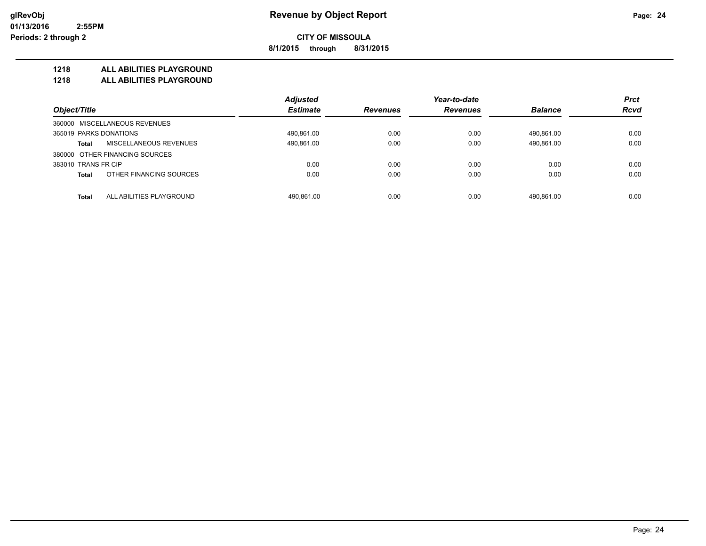**8/1/2015 through 8/31/2015**

# **1218 ALL ABILITIES PLAYGROUND**

**1218 ALL ABILITIES PLAYGROUND**

|                                          | <b>Adjusted</b> |                 | Year-to-date    |                | <b>Prct</b> |
|------------------------------------------|-----------------|-----------------|-----------------|----------------|-------------|
| Object/Title                             | <b>Estimate</b> | <b>Revenues</b> | <b>Revenues</b> | <b>Balance</b> | <b>Rcvd</b> |
| 360000 MISCELLANEOUS REVENUES            |                 |                 |                 |                |             |
| 365019 PARKS DONATIONS                   | 490,861.00      | 0.00            | 0.00            | 490.861.00     | 0.00        |
| MISCELLANEOUS REVENUES<br><b>Total</b>   | 490,861.00      | 0.00            | 0.00            | 490,861.00     | 0.00        |
| 380000 OTHER FINANCING SOURCES           |                 |                 |                 |                |             |
| 383010 TRANS FR CIP                      | 0.00            | 0.00            | 0.00            | 0.00           | 0.00        |
| OTHER FINANCING SOURCES<br><b>Total</b>  | 0.00            | 0.00            | 0.00            | 0.00           | 0.00        |
| ALL ABILITIES PLAYGROUND<br><b>Total</b> | 490.861.00      | 0.00            | 0.00            | 490.861.00     | 0.00        |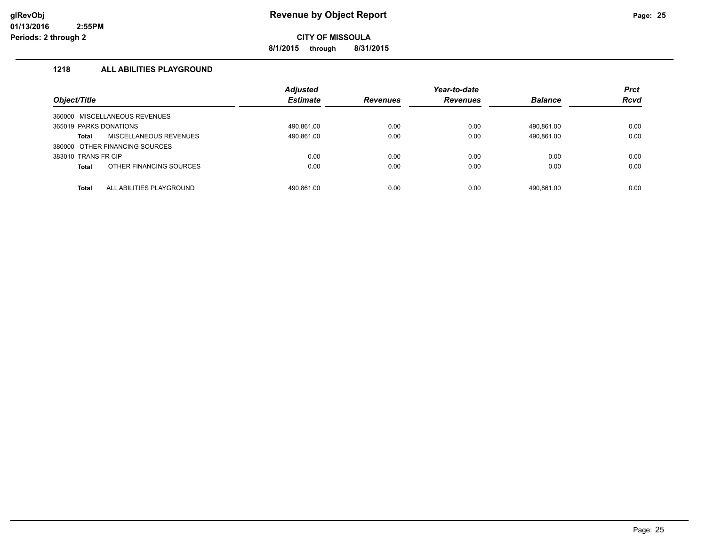**8/1/2015 through 8/31/2015**

# **1218 ALL ABILITIES PLAYGROUND**

| Object/Title                             | <b>Adjusted</b><br><b>Estimate</b> | <b>Revenues</b> | Year-to-date<br><b>Revenues</b> | <b>Balance</b> | <b>Prct</b><br><b>Rcvd</b> |
|------------------------------------------|------------------------------------|-----------------|---------------------------------|----------------|----------------------------|
| 360000 MISCELLANEOUS REVENUES            |                                    |                 |                                 |                |                            |
| 365019 PARKS DONATIONS                   | 490.861.00                         | 0.00            | 0.00                            | 490.861.00     | 0.00                       |
| MISCELLANEOUS REVENUES<br>Total          | 490,861.00                         | 0.00            | 0.00                            | 490,861.00     | 0.00                       |
| 380000 OTHER FINANCING SOURCES           |                                    |                 |                                 |                |                            |
| 383010 TRANS FR CIP                      | 0.00                               | 0.00            | 0.00                            | 0.00           | 0.00                       |
| OTHER FINANCING SOURCES<br><b>Total</b>  | 0.00                               | 0.00            | 0.00                            | 0.00           | 0.00                       |
|                                          |                                    |                 |                                 |                |                            |
| ALL ABILITIES PLAYGROUND<br><b>Total</b> | 490.861.00                         | 0.00            | 0.00                            | 490.861.00     | 0.00                       |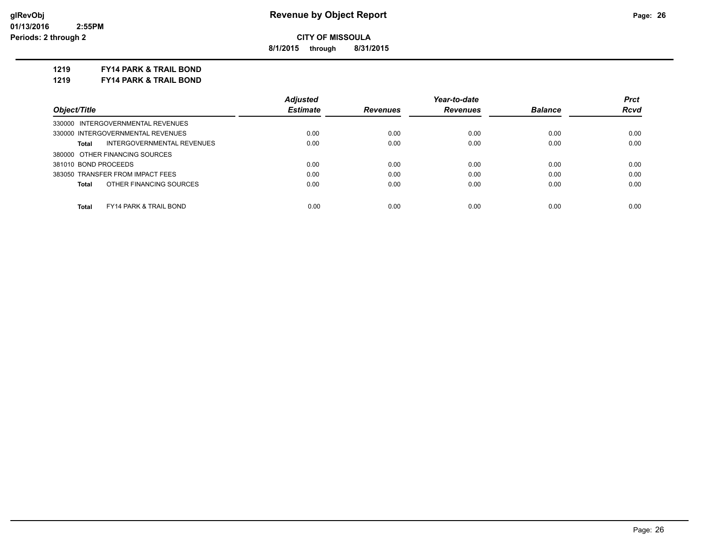**8/1/2015 through 8/31/2015**

# **1219 FY14 PARK & TRAIL BOND**

**1219 FY14 PARK & TRAIL BOND**

|                                            | <b>Adjusted</b> |                 | Year-to-date    |                | <b>Prct</b> |
|--------------------------------------------|-----------------|-----------------|-----------------|----------------|-------------|
| Object/Title                               | <b>Estimate</b> | <b>Revenues</b> | <b>Revenues</b> | <b>Balance</b> | <b>Rcvd</b> |
| 330000 INTERGOVERNMENTAL REVENUES          |                 |                 |                 |                |             |
| 330000 INTERGOVERNMENTAL REVENUES          | 0.00            | 0.00            | 0.00            | 0.00           | 0.00        |
| INTERGOVERNMENTAL REVENUES<br>Total        | 0.00            | 0.00            | 0.00            | 0.00           | 0.00        |
| 380000 OTHER FINANCING SOURCES             |                 |                 |                 |                |             |
| 381010 BOND PROCEEDS                       | 0.00            | 0.00            | 0.00            | 0.00           | 0.00        |
| 383050 TRANSFER FROM IMPACT FEES           | 0.00            | 0.00            | 0.00            | 0.00           | 0.00        |
| OTHER FINANCING SOURCES<br>Total           | 0.00            | 0.00            | 0.00            | 0.00           | 0.00        |
|                                            |                 |                 |                 |                |             |
| <b>FY14 PARK &amp; TRAIL BOND</b><br>Total | 0.00            | 0.00            | 0.00            | 0.00           | 0.00        |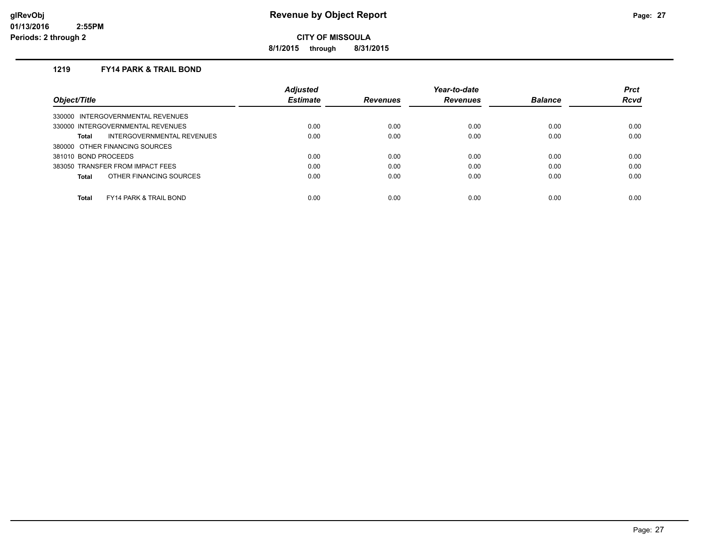**8/1/2015 through 8/31/2015**

# **1219 FY14 PARK & TRAIL BOND**

|                                            | <b>Adjusted</b> |                 | Year-to-date    |                | <b>Prct</b> |
|--------------------------------------------|-----------------|-----------------|-----------------|----------------|-------------|
| Object/Title                               | <b>Estimate</b> | <b>Revenues</b> | <b>Revenues</b> | <b>Balance</b> | <b>Rcvd</b> |
| 330000 INTERGOVERNMENTAL REVENUES          |                 |                 |                 |                |             |
| 330000 INTERGOVERNMENTAL REVENUES          | 0.00            | 0.00            | 0.00            | 0.00           | 0.00        |
| INTERGOVERNMENTAL REVENUES<br>Total        | 0.00            | 0.00            | 0.00            | 0.00           | 0.00        |
| 380000 OTHER FINANCING SOURCES             |                 |                 |                 |                |             |
| 381010 BOND PROCEEDS                       | 0.00            | 0.00            | 0.00            | 0.00           | 0.00        |
| 383050 TRANSFER FROM IMPACT FEES           | 0.00            | 0.00            | 0.00            | 0.00           | 0.00        |
| OTHER FINANCING SOURCES<br>Total           | 0.00            | 0.00            | 0.00            | 0.00           | 0.00        |
|                                            |                 |                 |                 |                |             |
| Total<br><b>FY14 PARK &amp; TRAIL BOND</b> | 0.00            | 0.00            | 0.00            | 0.00           | 0.00        |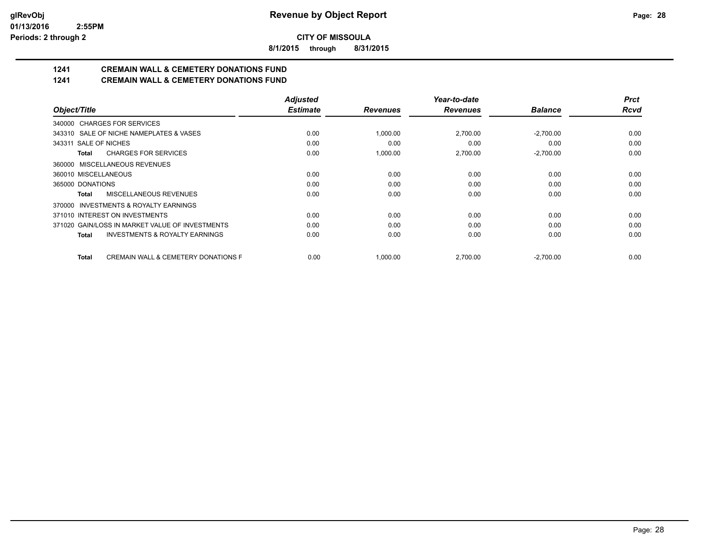**8/1/2015 through 8/31/2015**

# **1241 CREMAIN WALL & CEMETERY DONATIONS FUND**

# **1241 CREMAIN WALL & CEMETERY DONATIONS FUND**

|                                                         | <b>Adjusted</b> |                 | Year-to-date    |                | <b>Prct</b> |
|---------------------------------------------------------|-----------------|-----------------|-----------------|----------------|-------------|
| Object/Title                                            | <b>Estimate</b> | <b>Revenues</b> | <b>Revenues</b> | <b>Balance</b> | <b>Rcvd</b> |
| 340000 CHARGES FOR SERVICES                             |                 |                 |                 |                |             |
| 343310 SALE OF NICHE NAMEPLATES & VASES                 | 0.00            | 1,000.00        | 2,700.00        | $-2.700.00$    | 0.00        |
| 343311 SALE OF NICHES                                   | 0.00            | 0.00            | 0.00            | 0.00           | 0.00        |
| <b>CHARGES FOR SERVICES</b><br>Total                    | 0.00            | 1,000.00        | 2,700.00        | $-2,700.00$    | 0.00        |
| MISCELLANEOUS REVENUES<br>360000                        |                 |                 |                 |                |             |
| 360010 MISCELLANEOUS                                    | 0.00            | 0.00            | 0.00            | 0.00           | 0.00        |
| 365000 DONATIONS                                        | 0.00            | 0.00            | 0.00            | 0.00           | 0.00        |
| MISCELLANEOUS REVENUES<br>Total                         | 0.00            | 0.00            | 0.00            | 0.00           | 0.00        |
| INVESTMENTS & ROYALTY EARNINGS<br>370000                |                 |                 |                 |                |             |
| 371010 INTEREST ON INVESTMENTS                          | 0.00            | 0.00            | 0.00            | 0.00           | 0.00        |
| 371020 GAIN/LOSS IN MARKET VALUE OF INVESTMENTS         | 0.00            | 0.00            | 0.00            | 0.00           | 0.00        |
| <b>INVESTMENTS &amp; ROYALTY EARNINGS</b><br>Total      | 0.00            | 0.00            | 0.00            | 0.00           | 0.00        |
| <b>CREMAIN WALL &amp; CEMETERY DONATIONS F</b><br>Total | 0.00            | 1,000.00        | 2,700.00        | $-2,700.00$    | 0.00        |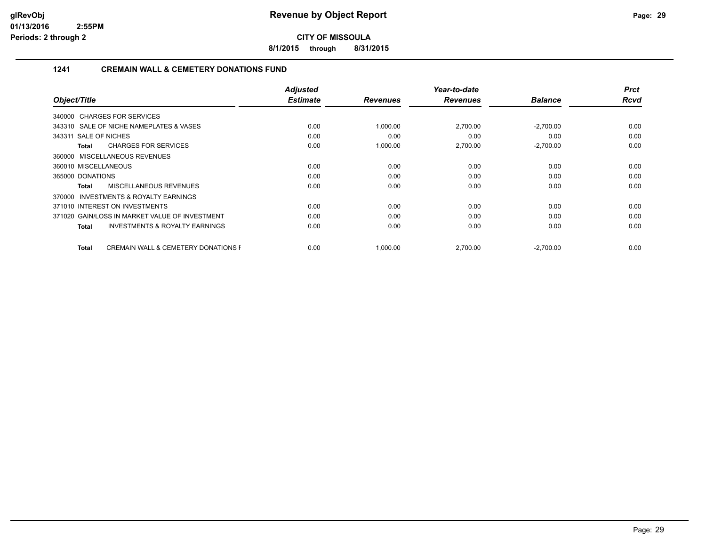**8/1/2015 through 8/31/2015**

# **1241 CREMAIN WALL & CEMETERY DONATIONS FUND**

|                                                         | <b>Adjusted</b> |                 | Year-to-date    |                | <b>Prct</b> |
|---------------------------------------------------------|-----------------|-----------------|-----------------|----------------|-------------|
| Object/Title                                            | <b>Estimate</b> | <b>Revenues</b> | <b>Revenues</b> | <b>Balance</b> | <b>Rcvd</b> |
| 340000 CHARGES FOR SERVICES                             |                 |                 |                 |                |             |
| 343310 SALE OF NICHE NAMEPLATES & VASES                 | 0.00            | 1,000.00        | 2,700.00        | $-2,700.00$    | 0.00        |
| 343311 SALE OF NICHES                                   | 0.00            | 0.00            | 0.00            | 0.00           | 0.00        |
| <b>CHARGES FOR SERVICES</b><br>Total                    | 0.00            | 1,000.00        | 2,700.00        | $-2,700.00$    | 0.00        |
| 360000 MISCELLANEOUS REVENUES                           |                 |                 |                 |                |             |
| 360010 MISCELLANEOUS                                    | 0.00            | 0.00            | 0.00            | 0.00           | 0.00        |
| 365000 DONATIONS                                        | 0.00            | 0.00            | 0.00            | 0.00           | 0.00        |
| MISCELLANEOUS REVENUES<br>Total                         | 0.00            | 0.00            | 0.00            | 0.00           | 0.00        |
| INVESTMENTS & ROYALTY EARNINGS<br>370000                |                 |                 |                 |                |             |
| 371010 INTEREST ON INVESTMENTS                          | 0.00            | 0.00            | 0.00            | 0.00           | 0.00        |
| 371020 GAIN/LOSS IN MARKET VALUE OF INVESTMENT          | 0.00            | 0.00            | 0.00            | 0.00           | 0.00        |
| <b>INVESTMENTS &amp; ROYALTY EARNINGS</b><br>Total      | 0.00            | 0.00            | 0.00            | 0.00           | 0.00        |
| <b>CREMAIN WALL &amp; CEMETERY DONATIONS F</b><br>Total | 0.00            | 1,000.00        | 2,700.00        | $-2,700.00$    | 0.00        |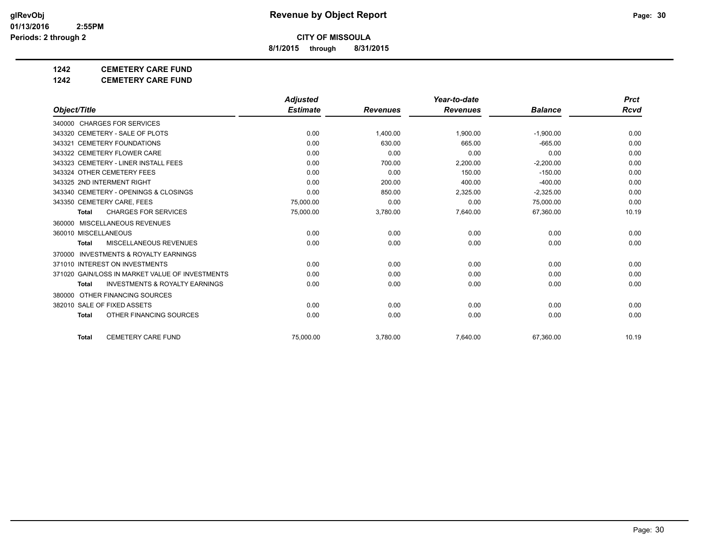**8/1/2015 through 8/31/2015**

# **1242 CEMETERY CARE FUND**

**1242 CEMETERY CARE FUND**

|                                                     | <b>Adjusted</b> |                 | Year-to-date    |                | <b>Prct</b> |
|-----------------------------------------------------|-----------------|-----------------|-----------------|----------------|-------------|
| Object/Title                                        | <b>Estimate</b> | <b>Revenues</b> | <b>Revenues</b> | <b>Balance</b> | Rcvd        |
| 340000 CHARGES FOR SERVICES                         |                 |                 |                 |                |             |
| 343320 CEMETERY - SALE OF PLOTS                     | 0.00            | 1,400.00        | 1,900.00        | $-1,900.00$    | 0.00        |
| 343321 CEMETERY FOUNDATIONS                         | 0.00            | 630.00          | 665.00          | $-665.00$      | 0.00        |
| 343322 CEMETERY FLOWER CARE                         | 0.00            | 0.00            | 0.00            | 0.00           | 0.00        |
| 343323 CEMETERY - LINER INSTALL FEES                | 0.00            | 700.00          | 2,200.00        | $-2,200.00$    | 0.00        |
| 343324 OTHER CEMETERY FEES                          | 0.00            | 0.00            | 150.00          | $-150.00$      | 0.00        |
| 343325 2ND INTERMENT RIGHT                          | 0.00            | 200.00          | 400.00          | $-400.00$      | 0.00        |
| 343340 CEMETERY - OPENINGS & CLOSINGS               | 0.00            | 850.00          | 2,325.00        | $-2,325.00$    | 0.00        |
| 343350 CEMETERY CARE, FEES                          | 75,000.00       | 0.00            | 0.00            | 75,000.00      | 0.00        |
| <b>CHARGES FOR SERVICES</b><br><b>Total</b>         | 75,000.00       | 3,780.00        | 7,640.00        | 67,360.00      | 10.19       |
| MISCELLANEOUS REVENUES<br>360000                    |                 |                 |                 |                |             |
| 360010 MISCELLANEOUS                                | 0.00            | 0.00            | 0.00            | 0.00           | 0.00        |
| MISCELLANEOUS REVENUES<br><b>Total</b>              | 0.00            | 0.00            | 0.00            | 0.00           | 0.00        |
| <b>INVESTMENTS &amp; ROYALTY EARNINGS</b><br>370000 |                 |                 |                 |                |             |
| 371010 INTEREST ON INVESTMENTS                      | 0.00            | 0.00            | 0.00            | 0.00           | 0.00        |
| 371020 GAIN/LOSS IN MARKET VALUE OF INVESTMENTS     | 0.00            | 0.00            | 0.00            | 0.00           | 0.00        |
| <b>INVESTMENTS &amp; ROYALTY EARNINGS</b><br>Total  | 0.00            | 0.00            | 0.00            | 0.00           | 0.00        |
| 380000 OTHER FINANCING SOURCES                      |                 |                 |                 |                |             |
| 382010 SALE OF FIXED ASSETS                         | 0.00            | 0.00            | 0.00            | 0.00           | 0.00        |
| OTHER FINANCING SOURCES<br><b>Total</b>             | 0.00            | 0.00            | 0.00            | 0.00           | 0.00        |
| <b>CEMETERY CARE FUND</b><br><b>Total</b>           | 75.000.00       | 3,780.00        | 7.640.00        | 67,360.00      | 10.19       |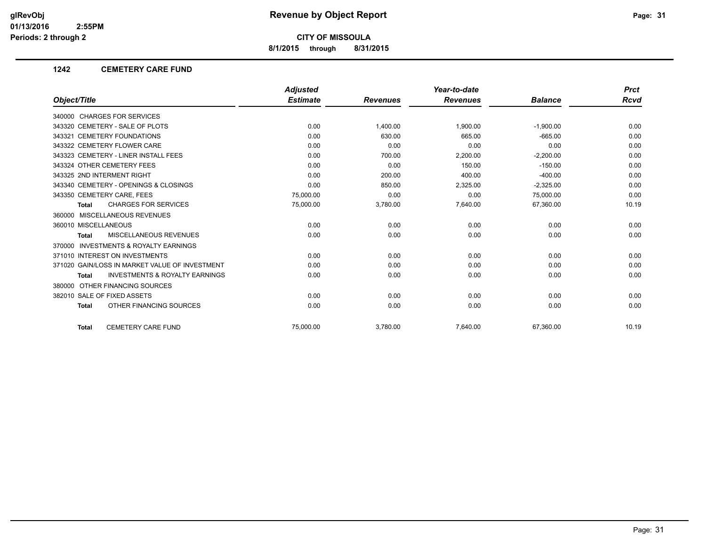**8/1/2015 through 8/31/2015**

## **1242 CEMETERY CARE FUND**

|                                                           | <b>Adjusted</b> |                 | Year-to-date    |                | <b>Prct</b> |
|-----------------------------------------------------------|-----------------|-----------------|-----------------|----------------|-------------|
| Object/Title                                              | <b>Estimate</b> | <b>Revenues</b> | <b>Revenues</b> | <b>Balance</b> | <b>Rcvd</b> |
| 340000 CHARGES FOR SERVICES                               |                 |                 |                 |                |             |
| 343320 CEMETERY - SALE OF PLOTS                           | 0.00            | 1.400.00        | 1.900.00        | $-1,900.00$    | 0.00        |
| 343321 CEMETERY FOUNDATIONS                               | 0.00            | 630.00          | 665.00          | $-665.00$      | 0.00        |
| 343322 CEMETERY FLOWER CARE                               | 0.00            | 0.00            | 0.00            | 0.00           | 0.00        |
| 343323 CEMETERY - LINER INSTALL FEES                      | 0.00            | 700.00          | 2,200.00        | $-2,200.00$    | 0.00        |
| 343324 OTHER CEMETERY FEES                                | 0.00            | 0.00            | 150.00          | $-150.00$      | 0.00        |
| 343325 2ND INTERMENT RIGHT                                | 0.00            | 200.00          | 400.00          | $-400.00$      | 0.00        |
| 343340 CEMETERY - OPENINGS & CLOSINGS                     | 0.00            | 850.00          | 2,325.00        | $-2,325.00$    | 0.00        |
| 343350 CEMETERY CARE, FEES                                | 75,000.00       | 0.00            | 0.00            | 75,000.00      | 0.00        |
| <b>CHARGES FOR SERVICES</b><br><b>Total</b>               | 75,000.00       | 3,780.00        | 7,640.00        | 67,360.00      | 10.19       |
| 360000 MISCELLANEOUS REVENUES                             |                 |                 |                 |                |             |
| 360010 MISCELLANEOUS                                      | 0.00            | 0.00            | 0.00            | 0.00           | 0.00        |
| <b>MISCELLANEOUS REVENUES</b><br><b>Total</b>             | 0.00            | 0.00            | 0.00            | 0.00           | 0.00        |
| <b>INVESTMENTS &amp; ROYALTY EARNINGS</b><br>370000       |                 |                 |                 |                |             |
| 371010 INTEREST ON INVESTMENTS                            | 0.00            | 0.00            | 0.00            | 0.00           | 0.00        |
| 371020 GAIN/LOSS IN MARKET VALUE OF INVESTMENT            | 0.00            | 0.00            | 0.00            | 0.00           | 0.00        |
| <b>INVESTMENTS &amp; ROYALTY EARNINGS</b><br><b>Total</b> | 0.00            | 0.00            | 0.00            | 0.00           | 0.00        |
| 380000 OTHER FINANCING SOURCES                            |                 |                 |                 |                |             |
| 382010 SALE OF FIXED ASSETS                               | 0.00            | 0.00            | 0.00            | 0.00           | 0.00        |
| OTHER FINANCING SOURCES<br><b>Total</b>                   | 0.00            | 0.00            | 0.00            | 0.00           | 0.00        |
| <b>CEMETERY CARE FUND</b><br><b>Total</b>                 | 75.000.00       | 3,780.00        | 7,640.00        | 67.360.00      | 10.19       |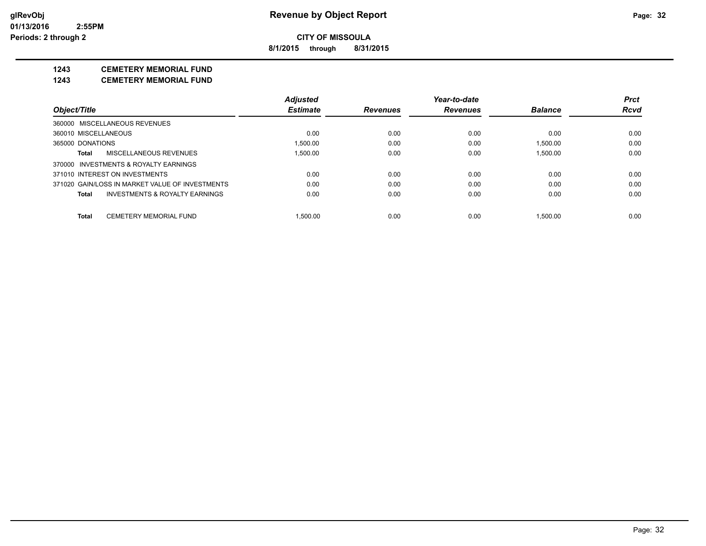**8/1/2015 through 8/31/2015**

# **1243 CEMETERY MEMORIAL FUND**

**1243 CEMETERY MEMORIAL FUND**

|                      |                                                 | <b>Adjusted</b> |                 | Year-to-date    |                | <b>Prct</b> |
|----------------------|-------------------------------------------------|-----------------|-----------------|-----------------|----------------|-------------|
| Object/Title         |                                                 | <b>Estimate</b> | <b>Revenues</b> | <b>Revenues</b> | <b>Balance</b> | <b>Rcvd</b> |
|                      | 360000 MISCELLANEOUS REVENUES                   |                 |                 |                 |                |             |
| 360010 MISCELLANEOUS |                                                 | 0.00            | 0.00            | 0.00            | 0.00           | 0.00        |
| 365000 DONATIONS     |                                                 | 1.500.00        | 0.00            | 0.00            | 1.500.00       | 0.00        |
| Total                | MISCELLANEOUS REVENUES                          | 1.500.00        | 0.00            | 0.00            | 1.500.00       | 0.00        |
|                      | 370000 INVESTMENTS & ROYALTY EARNINGS           |                 |                 |                 |                |             |
|                      | 371010 INTEREST ON INVESTMENTS                  | 0.00            | 0.00            | 0.00            | 0.00           | 0.00        |
|                      | 371020 GAIN/LOSS IN MARKET VALUE OF INVESTMENTS | 0.00            | 0.00            | 0.00            | 0.00           | 0.00        |
| Total                | INVESTMENTS & ROYALTY EARNINGS                  | 0.00            | 0.00            | 0.00            | 0.00           | 0.00        |
| Total                | <b>CEMETERY MEMORIAL FUND</b>                   | 1.500.00        | 0.00            | 0.00            | 1.500.00       | 0.00        |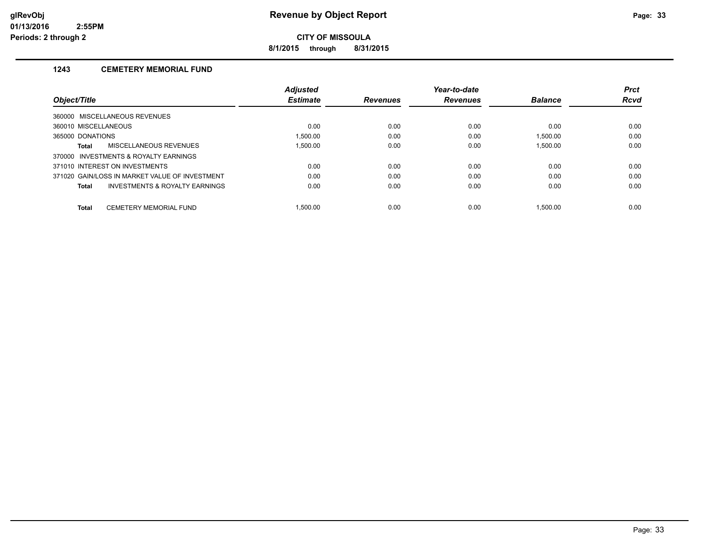**8/1/2015 through 8/31/2015**

# **1243 CEMETERY MEMORIAL FUND**

|                                                |                                | <b>Adjusted</b> |                 | Year-to-date    |                | <b>Prct</b> |
|------------------------------------------------|--------------------------------|-----------------|-----------------|-----------------|----------------|-------------|
| Object/Title                                   |                                | <b>Estimate</b> | <b>Revenues</b> | <b>Revenues</b> | <b>Balance</b> | <b>Rcvd</b> |
| 360000 MISCELLANEOUS REVENUES                  |                                |                 |                 |                 |                |             |
| 360010 MISCELLANEOUS                           |                                | 0.00            | 0.00            | 0.00            | 0.00           | 0.00        |
| 365000 DONATIONS                               |                                | 1.500.00        | 0.00            | 0.00            | 1.500.00       | 0.00        |
| Total                                          | MISCELLANEOUS REVENUES         | 1.500.00        | 0.00            | 0.00            | 1.500.00       | 0.00        |
| 370000 INVESTMENTS & ROYALTY EARNINGS          |                                |                 |                 |                 |                |             |
| 371010 INTEREST ON INVESTMENTS                 |                                | 0.00            | 0.00            | 0.00            | 0.00           | 0.00        |
| 371020 GAIN/LOSS IN MARKET VALUE OF INVESTMENT |                                | 0.00            | 0.00            | 0.00            | 0.00           | 0.00        |
| Total                                          | INVESTMENTS & ROYALTY EARNINGS | 0.00            | 0.00            | 0.00            | 0.00           | 0.00        |
| <b>Total</b>                                   | CEMETERY MEMORIAL FUND         | 1.500.00        | 0.00            | 0.00            | 1.500.00       | 0.00        |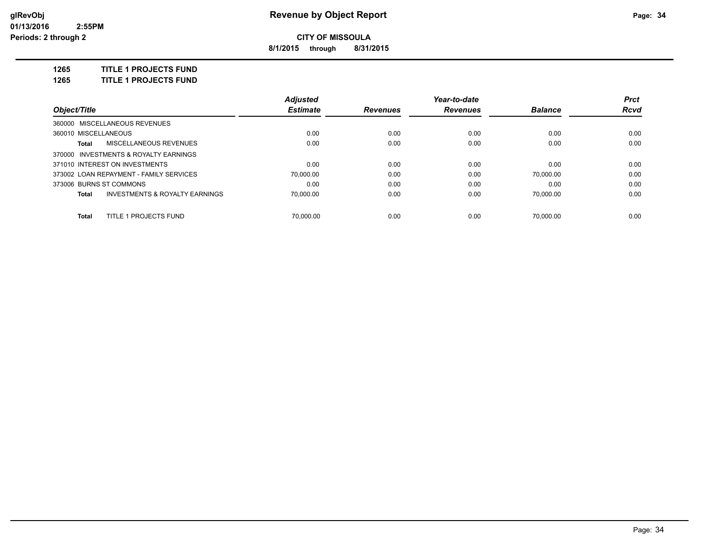**8/1/2015 through 8/31/2015**

**1265 TITLE 1 PROJECTS FUND**

**1265 TITLE 1 PROJECTS FUND**

|                                         | Adjusted        |                 | Year-to-date    |                | <b>Prct</b> |
|-----------------------------------------|-----------------|-----------------|-----------------|----------------|-------------|
| Object/Title                            | <b>Estimate</b> | <b>Revenues</b> | <b>Revenues</b> | <b>Balance</b> | Rcvd        |
| 360000 MISCELLANEOUS REVENUES           |                 |                 |                 |                |             |
| 360010 MISCELLANEOUS                    | 0.00            | 0.00            | 0.00            | 0.00           | 0.00        |
| MISCELLANEOUS REVENUES<br>Total         | 0.00            | 0.00            | 0.00            | 0.00           | 0.00        |
| 370000 INVESTMENTS & ROYALTY EARNINGS   |                 |                 |                 |                |             |
| 371010 INTEREST ON INVESTMENTS          | 0.00            | 0.00            | 0.00            | 0.00           | 0.00        |
| 373002 LOAN REPAYMENT - FAMILY SERVICES | 70.000.00       | 0.00            | 0.00            | 70.000.00      | 0.00        |
| 373006 BURNS ST COMMONS                 | 0.00            | 0.00            | 0.00            | 0.00           | 0.00        |
| INVESTMENTS & ROYALTY EARNINGS<br>Total | 70.000.00       | 0.00            | 0.00            | 70.000.00      | 0.00        |
| TITLE 1 PROJECTS FUND<br><b>Total</b>   | 70.000.00       | 0.00            | 0.00            | 70.000.00      | 0.00        |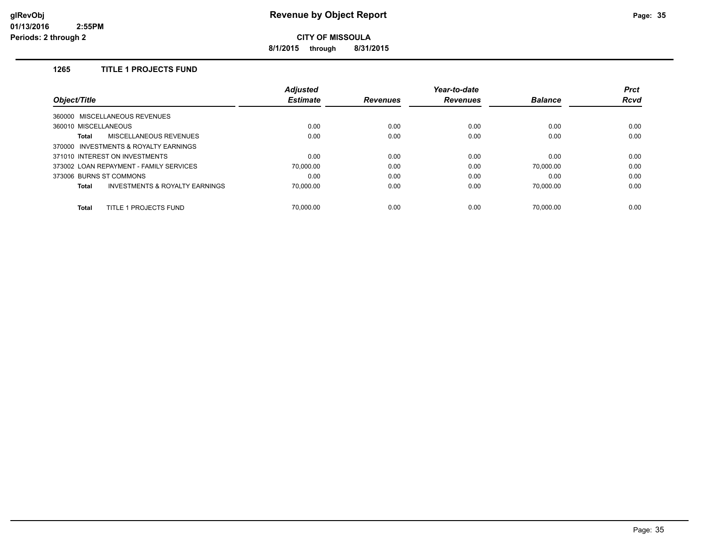**8/1/2015 through 8/31/2015**

# **1265 TITLE 1 PROJECTS FUND**

|                                                    | <b>Adjusted</b> |                 | Year-to-date    |                | <b>Prct</b> |
|----------------------------------------------------|-----------------|-----------------|-----------------|----------------|-------------|
| Object/Title                                       | <b>Estimate</b> | <b>Revenues</b> | <b>Revenues</b> | <b>Balance</b> | <b>Rcvd</b> |
| 360000 MISCELLANEOUS REVENUES                      |                 |                 |                 |                |             |
| 360010 MISCELLANEOUS                               | 0.00            | 0.00            | 0.00            | 0.00           | 0.00        |
| <b>MISCELLANEOUS REVENUES</b><br>Total             | 0.00            | 0.00            | 0.00            | 0.00           | 0.00        |
| 370000 INVESTMENTS & ROYALTY EARNINGS              |                 |                 |                 |                |             |
| 371010 INTEREST ON INVESTMENTS                     | 0.00            | 0.00            | 0.00            | 0.00           | 0.00        |
| 373002 LOAN REPAYMENT - FAMILY SERVICES            | 70.000.00       | 0.00            | 0.00            | 70.000.00      | 0.00        |
| 373006 BURNS ST COMMONS                            | 0.00            | 0.00            | 0.00            | 0.00           | 0.00        |
| <b>INVESTMENTS &amp; ROYALTY EARNINGS</b><br>Total | 70.000.00       | 0.00            | 0.00            | 70.000.00      | 0.00        |
| TITLE 1 PROJECTS FUND<br><b>Total</b>              | 70.000.00       | 0.00            | 0.00            | 70.000.00      | 0.00        |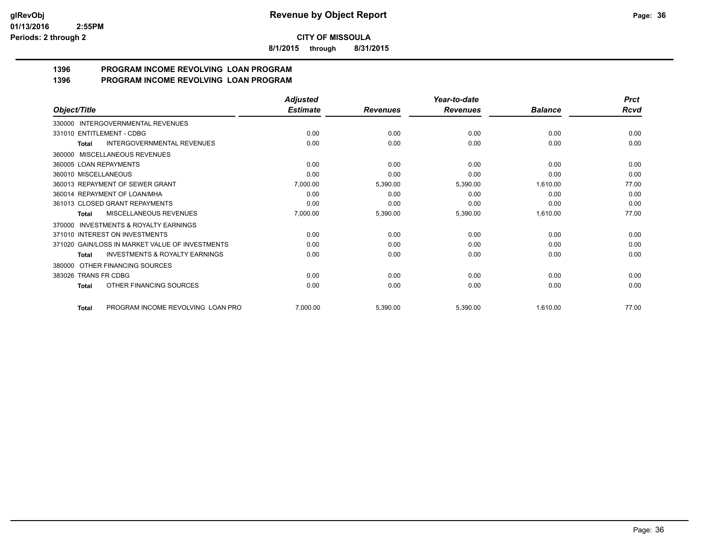**8/1/2015 through 8/31/2015**

#### **1396 PROGRAM INCOME REVOLVING LOAN PROGRAM 1396 PROGRAM INCOME REVOLVING LOAN PROGRAM**

|                                                    | <b>Adjusted</b> |                 | Year-to-date    |                | <b>Prct</b> |
|----------------------------------------------------|-----------------|-----------------|-----------------|----------------|-------------|
| Object/Title                                       | <b>Estimate</b> | <b>Revenues</b> | <b>Revenues</b> | <b>Balance</b> | Rcvd        |
| 330000 INTERGOVERNMENTAL REVENUES                  |                 |                 |                 |                |             |
| 331010 ENTITLEMENT - CDBG                          | 0.00            | 0.00            | 0.00            | 0.00           | 0.00        |
| <b>INTERGOVERNMENTAL REVENUES</b><br><b>Total</b>  | 0.00            | 0.00            | 0.00            | 0.00           | 0.00        |
| 360000 MISCELLANEOUS REVENUES                      |                 |                 |                 |                |             |
| 360005 LOAN REPAYMENTS                             | 0.00            | 0.00            | 0.00            | 0.00           | 0.00        |
| 360010 MISCELLANEOUS                               | 0.00            | 0.00            | 0.00            | 0.00           | 0.00        |
| 360013 REPAYMENT OF SEWER GRANT                    | 7,000.00        | 5,390.00        | 5,390.00        | 1,610.00       | 77.00       |
| 360014 REPAYMENT OF LOAN/MHA                       | 0.00            | 0.00            | 0.00            | 0.00           | 0.00        |
| 361013 CLOSED GRANT REPAYMENTS                     | 0.00            | 0.00            | 0.00            | 0.00           | 0.00        |
| MISCELLANEOUS REVENUES<br>Total                    | 7,000.00        | 5,390.00        | 5,390.00        | 1,610.00       | 77.00       |
| 370000 INVESTMENTS & ROYALTY EARNINGS              |                 |                 |                 |                |             |
| 371010 INTEREST ON INVESTMENTS                     | 0.00            | 0.00            | 0.00            | 0.00           | 0.00        |
| 371020 GAIN/LOSS IN MARKET VALUE OF INVESTMENTS    | 0.00            | 0.00            | 0.00            | 0.00           | 0.00        |
| <b>INVESTMENTS &amp; ROYALTY EARNINGS</b><br>Total | 0.00            | 0.00            | 0.00            | 0.00           | 0.00        |
| 380000 OTHER FINANCING SOURCES                     |                 |                 |                 |                |             |
| 383026 TRANS FR CDBG                               | 0.00            | 0.00            | 0.00            | 0.00           | 0.00        |
| OTHER FINANCING SOURCES<br>Total                   | 0.00            | 0.00            | 0.00            | 0.00           | 0.00        |
| PROGRAM INCOME REVOLVING LOAN PRO<br><b>Total</b>  | 7,000.00        | 5,390.00        | 5,390.00        | 1,610.00       | 77.00       |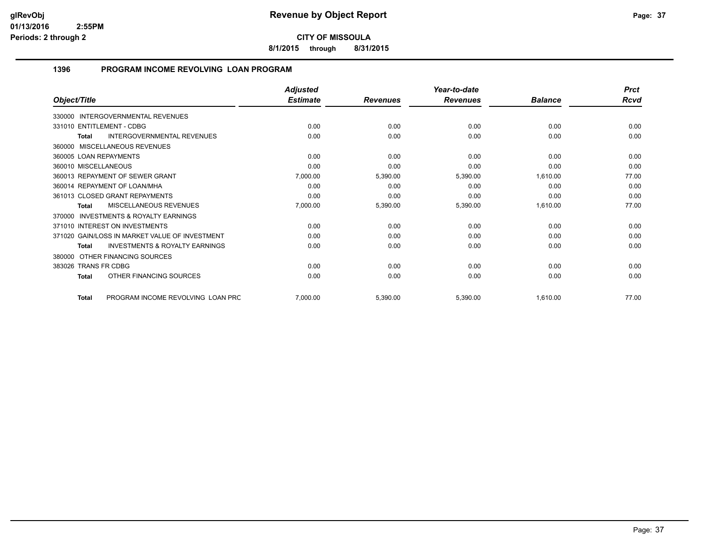**8/1/2015 through 8/31/2015**

#### **1396 PROGRAM INCOME REVOLVING LOAN PROGRAM**

|                                                           | <b>Adjusted</b> |                 | Year-to-date    |                | <b>Prct</b> |
|-----------------------------------------------------------|-----------------|-----------------|-----------------|----------------|-------------|
| Object/Title                                              | <b>Estimate</b> | <b>Revenues</b> | <b>Revenues</b> | <b>Balance</b> | <b>Rcvd</b> |
| 330000 INTERGOVERNMENTAL REVENUES                         |                 |                 |                 |                |             |
| 331010 ENTITLEMENT - CDBG                                 | 0.00            | 0.00            | 0.00            | 0.00           | 0.00        |
| INTERGOVERNMENTAL REVENUES<br><b>Total</b>                | 0.00            | 0.00            | 0.00            | 0.00           | 0.00        |
| 360000 MISCELLANEOUS REVENUES                             |                 |                 |                 |                |             |
| 360005 LOAN REPAYMENTS                                    | 0.00            | 0.00            | 0.00            | 0.00           | 0.00        |
| 360010 MISCELLANEOUS                                      | 0.00            | 0.00            | 0.00            | 0.00           | 0.00        |
| 360013 REPAYMENT OF SEWER GRANT                           | 7,000.00        | 5,390.00        | 5,390.00        | 1,610.00       | 77.00       |
| 360014 REPAYMENT OF LOAN/MHA                              | 0.00            | 0.00            | 0.00            | 0.00           | 0.00        |
| 361013 CLOSED GRANT REPAYMENTS                            | 0.00            | 0.00            | 0.00            | 0.00           | 0.00        |
| MISCELLANEOUS REVENUES<br><b>Total</b>                    | 7,000.00        | 5,390.00        | 5,390.00        | 1,610.00       | 77.00       |
| <b>INVESTMENTS &amp; ROYALTY EARNINGS</b><br>370000       |                 |                 |                 |                |             |
| 371010 INTEREST ON INVESTMENTS                            | 0.00            | 0.00            | 0.00            | 0.00           | 0.00        |
| 371020 GAIN/LOSS IN MARKET VALUE OF INVESTMENT            | 0.00            | 0.00            | 0.00            | 0.00           | 0.00        |
| <b>INVESTMENTS &amp; ROYALTY EARNINGS</b><br><b>Total</b> | 0.00            | 0.00            | 0.00            | 0.00           | 0.00        |
| 380000 OTHER FINANCING SOURCES                            |                 |                 |                 |                |             |
| 383026 TRANS FR CDBG                                      | 0.00            | 0.00            | 0.00            | 0.00           | 0.00        |
| OTHER FINANCING SOURCES<br><b>Total</b>                   | 0.00            | 0.00            | 0.00            | 0.00           | 0.00        |
| PROGRAM INCOME REVOLVING LOAN PRC<br><b>Total</b>         | 7,000.00        | 5,390.00        | 5,390.00        | 1,610.00       | 77.00       |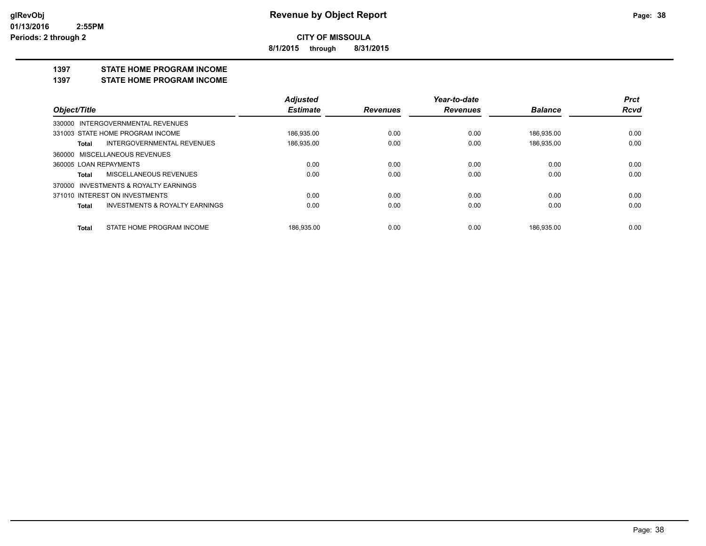**8/1/2015 through 8/31/2015**

#### **1397 STATE HOME PROGRAM INCOME**

**1397 STATE HOME PROGRAM INCOME**

|                                                    | <b>Adjusted</b> |                 | Year-to-date    |                | <b>Prct</b> |
|----------------------------------------------------|-----------------|-----------------|-----------------|----------------|-------------|
| Object/Title                                       | <b>Estimate</b> | <b>Revenues</b> | <b>Revenues</b> | <b>Balance</b> | <b>Rcvd</b> |
| 330000 INTERGOVERNMENTAL REVENUES                  |                 |                 |                 |                |             |
| 331003 STATE HOME PROGRAM INCOME                   | 186.935.00      | 0.00            | 0.00            | 186.935.00     | 0.00        |
| INTERGOVERNMENTAL REVENUES<br>Total                | 186,935.00      | 0.00            | 0.00            | 186,935.00     | 0.00        |
| 360000 MISCELLANEOUS REVENUES                      |                 |                 |                 |                |             |
| 360005 LOAN REPAYMENTS                             | 0.00            | 0.00            | 0.00            | 0.00           | 0.00        |
| MISCELLANEOUS REVENUES<br>Total                    | 0.00            | 0.00            | 0.00            | 0.00           | 0.00        |
| 370000 INVESTMENTS & ROYALTY EARNINGS              |                 |                 |                 |                |             |
| 371010 INTEREST ON INVESTMENTS                     | 0.00            | 0.00            | 0.00            | 0.00           | 0.00        |
| <b>INVESTMENTS &amp; ROYALTY EARNINGS</b><br>Total | 0.00            | 0.00            | 0.00            | 0.00           | 0.00        |
| STATE HOME PROGRAM INCOME<br>Total                 | 186.935.00      | 0.00            | 0.00            | 186.935.00     | 0.00        |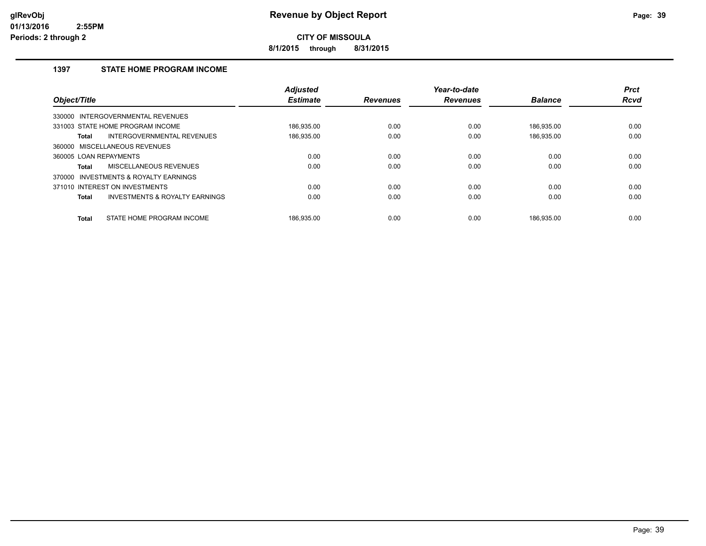**8/1/2015 through 8/31/2015**

#### **1397 STATE HOME PROGRAM INCOME**

| Object/Title           |                                           | <b>Adjusted</b><br><b>Estimate</b> | <b>Revenues</b> | Year-to-date<br><b>Revenues</b> | <b>Balance</b> | <b>Prct</b><br><b>Rcvd</b> |
|------------------------|-------------------------------------------|------------------------------------|-----------------|---------------------------------|----------------|----------------------------|
|                        | 330000 INTERGOVERNMENTAL REVENUES         |                                    |                 |                                 |                |                            |
|                        | 331003 STATE HOME PROGRAM INCOME          | 186,935.00                         | 0.00            | 0.00                            | 186.935.00     | 0.00                       |
| Total                  | INTERGOVERNMENTAL REVENUES                | 186.935.00                         | 0.00            | 0.00                            | 186,935.00     | 0.00                       |
|                        | 360000 MISCELLANEOUS REVENUES             |                                    |                 |                                 |                |                            |
| 360005 LOAN REPAYMENTS |                                           | 0.00                               | 0.00            | 0.00                            | 0.00           | 0.00                       |
| Total                  | MISCELLANEOUS REVENUES                    | 0.00                               | 0.00            | 0.00                            | 0.00           | 0.00                       |
|                        | 370000 INVESTMENTS & ROYALTY EARNINGS     |                                    |                 |                                 |                |                            |
|                        | 371010 INTEREST ON INVESTMENTS            | 0.00                               | 0.00            | 0.00                            | 0.00           | 0.00                       |
| Total                  | <b>INVESTMENTS &amp; ROYALTY EARNINGS</b> | 0.00                               | 0.00            | 0.00                            | 0.00           | 0.00                       |
| <b>Total</b>           | STATE HOME PROGRAM INCOME                 | 186.935.00                         | 0.00            | 0.00                            | 186.935.00     | 0.00                       |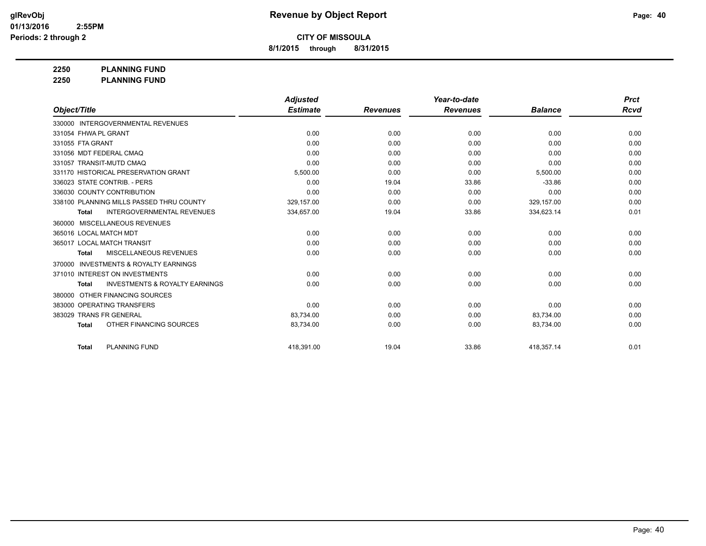**8/1/2015 through 8/31/2015**

**2250 PLANNING FUND**

**2250 PLANNING FUND**

|                                                           | <b>Adjusted</b> |                 | Year-to-date    |                | <b>Prct</b> |
|-----------------------------------------------------------|-----------------|-----------------|-----------------|----------------|-------------|
| Object/Title                                              | <b>Estimate</b> | <b>Revenues</b> | <b>Revenues</b> | <b>Balance</b> | Rcvd        |
| 330000 INTERGOVERNMENTAL REVENUES                         |                 |                 |                 |                |             |
| 331054 FHWA PL GRANT                                      | 0.00            | 0.00            | 0.00            | 0.00           | 0.00        |
| 331055 FTA GRANT                                          | 0.00            | 0.00            | 0.00            | 0.00           | 0.00        |
| 331056 MDT FEDERAL CMAQ                                   | 0.00            | 0.00            | 0.00            | 0.00           | 0.00        |
| 331057 TRANSIT-MUTD CMAQ                                  | 0.00            | 0.00            | 0.00            | 0.00           | 0.00        |
| 331170 HISTORICAL PRESERVATION GRANT                      | 5,500.00        | 0.00            | 0.00            | 5,500.00       | 0.00        |
| 336023 STATE CONTRIB. - PERS                              | 0.00            | 19.04           | 33.86           | $-33.86$       | 0.00        |
| 336030 COUNTY CONTRIBUTION                                | 0.00            | 0.00            | 0.00            | 0.00           | 0.00        |
| 338100 PLANNING MILLS PASSED THRU COUNTY                  | 329,157.00      | 0.00            | 0.00            | 329,157.00     | 0.00        |
| <b>INTERGOVERNMENTAL REVENUES</b><br><b>Total</b>         | 334,657.00      | 19.04           | 33.86           | 334,623.14     | 0.01        |
| MISCELLANEOUS REVENUES<br>360000                          |                 |                 |                 |                |             |
| 365016 LOCAL MATCH MDT                                    | 0.00            | 0.00            | 0.00            | 0.00           | 0.00        |
| 365017 LOCAL MATCH TRANSIT                                | 0.00            | 0.00            | 0.00            | 0.00           | 0.00        |
| <b>MISCELLANEOUS REVENUES</b><br><b>Total</b>             | 0.00            | 0.00            | 0.00            | 0.00           | 0.00        |
| <b>INVESTMENTS &amp; ROYALTY EARNINGS</b><br>370000       |                 |                 |                 |                |             |
| 371010 INTEREST ON INVESTMENTS                            | 0.00            | 0.00            | 0.00            | 0.00           | 0.00        |
| <b>INVESTMENTS &amp; ROYALTY EARNINGS</b><br><b>Total</b> | 0.00            | 0.00            | 0.00            | 0.00           | 0.00        |
| OTHER FINANCING SOURCES<br>380000                         |                 |                 |                 |                |             |
| 383000 OPERATING TRANSFERS                                | 0.00            | 0.00            | 0.00            | 0.00           | 0.00        |
| 383029 TRANS FR GENERAL                                   | 83,734.00       | 0.00            | 0.00            | 83,734.00      | 0.00        |
| OTHER FINANCING SOURCES<br><b>Total</b>                   | 83,734.00       | 0.00            | 0.00            | 83,734.00      | 0.00        |
| PLANNING FUND<br><b>Total</b>                             | 418,391.00      | 19.04           | 33.86           | 418,357.14     | 0.01        |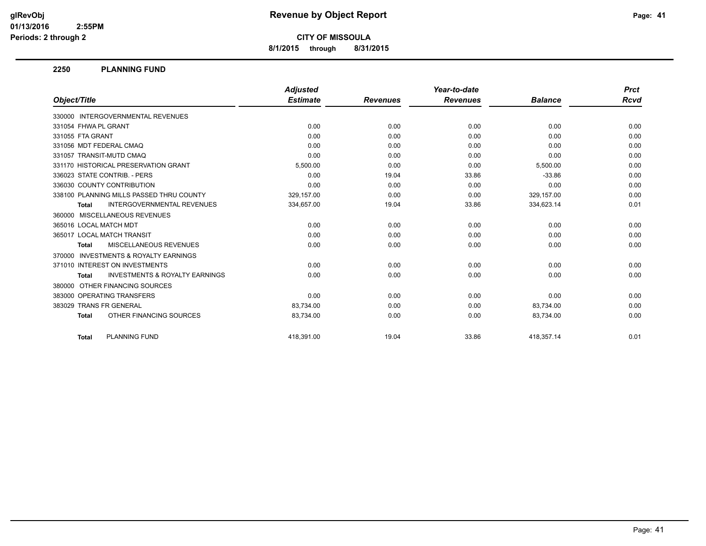**8/1/2015 through 8/31/2015**

#### **2250 PLANNING FUND**

|                                                           | <b>Adjusted</b> |                 | Year-to-date    |                | <b>Prct</b> |
|-----------------------------------------------------------|-----------------|-----------------|-----------------|----------------|-------------|
| Object/Title                                              | <b>Estimate</b> | <b>Revenues</b> | <b>Revenues</b> | <b>Balance</b> | Rcvd        |
| 330000 INTERGOVERNMENTAL REVENUES                         |                 |                 |                 |                |             |
| 331054 FHWA PL GRANT                                      | 0.00            | 0.00            | 0.00            | 0.00           | 0.00        |
| 331055 FTA GRANT                                          | 0.00            | 0.00            | 0.00            | 0.00           | 0.00        |
| 331056 MDT FEDERAL CMAQ                                   | 0.00            | 0.00            | 0.00            | 0.00           | 0.00        |
| 331057 TRANSIT-MUTD CMAQ                                  | 0.00            | 0.00            | 0.00            | 0.00           | 0.00        |
| 331170 HISTORICAL PRESERVATION GRANT                      | 5,500.00        | 0.00            | 0.00            | 5,500.00       | 0.00        |
| 336023 STATE CONTRIB. - PERS                              | 0.00            | 19.04           | 33.86           | $-33.86$       | 0.00        |
| 336030 COUNTY CONTRIBUTION                                | 0.00            | 0.00            | 0.00            | 0.00           | 0.00        |
| 338100 PLANNING MILLS PASSED THRU COUNTY                  | 329,157.00      | 0.00            | 0.00            | 329,157.00     | 0.00        |
| <b>INTERGOVERNMENTAL REVENUES</b><br>Total                | 334,657.00      | 19.04           | 33.86           | 334,623.14     | 0.01        |
| 360000 MISCELLANEOUS REVENUES                             |                 |                 |                 |                |             |
| 365016 LOCAL MATCH MDT                                    | 0.00            | 0.00            | 0.00            | 0.00           | 0.00        |
| 365017 LOCAL MATCH TRANSIT                                | 0.00            | 0.00            | 0.00            | 0.00           | 0.00        |
| MISCELLANEOUS REVENUES<br><b>Total</b>                    | 0.00            | 0.00            | 0.00            | 0.00           | 0.00        |
| <b>INVESTMENTS &amp; ROYALTY EARNINGS</b><br>370000       |                 |                 |                 |                |             |
| 371010 INTEREST ON INVESTMENTS                            | 0.00            | 0.00            | 0.00            | 0.00           | 0.00        |
| <b>INVESTMENTS &amp; ROYALTY EARNINGS</b><br><b>Total</b> | 0.00            | 0.00            | 0.00            | 0.00           | 0.00        |
| OTHER FINANCING SOURCES<br>380000                         |                 |                 |                 |                |             |
| 383000 OPERATING TRANSFERS                                | 0.00            | 0.00            | 0.00            | 0.00           | 0.00        |
| 383029 TRANS FR GENERAL                                   | 83,734.00       | 0.00            | 0.00            | 83,734.00      | 0.00        |
| OTHER FINANCING SOURCES<br><b>Total</b>                   | 83,734.00       | 0.00            | 0.00            | 83,734.00      | 0.00        |
| <b>PLANNING FUND</b><br><b>Total</b>                      | 418.391.00      | 19.04           | 33.86           | 418.357.14     | 0.01        |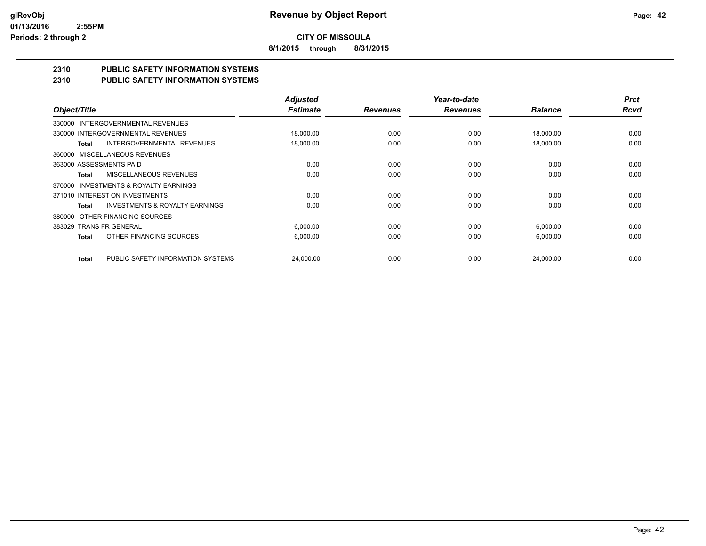**8/1/2015 through 8/31/2015**

# **2310 PUBLIC SAFETY INFORMATION SYSTEMS**

### **2310 PUBLIC SAFETY INFORMATION SYSTEMS**

|                                                     | <b>Adjusted</b> |                 | Year-to-date    |                | <b>Prct</b> |
|-----------------------------------------------------|-----------------|-----------------|-----------------|----------------|-------------|
| Object/Title                                        | <b>Estimate</b> | <b>Revenues</b> | <b>Revenues</b> | <b>Balance</b> | <b>Rcvd</b> |
| INTERGOVERNMENTAL REVENUES<br>330000                |                 |                 |                 |                |             |
| 330000 INTERGOVERNMENTAL REVENUES                   | 18,000.00       | 0.00            | 0.00            | 18,000.00      | 0.00        |
| INTERGOVERNMENTAL REVENUES<br>Total                 | 18,000.00       | 0.00            | 0.00            | 18,000.00      | 0.00        |
| <b>MISCELLANEOUS REVENUES</b><br>360000             |                 |                 |                 |                |             |
| 363000 ASSESSMENTS PAID                             | 0.00            | 0.00            | 0.00            | 0.00           | 0.00        |
| MISCELLANEOUS REVENUES<br>Total                     | 0.00            | 0.00            | 0.00            | 0.00           | 0.00        |
| <b>INVESTMENTS &amp; ROYALTY EARNINGS</b><br>370000 |                 |                 |                 |                |             |
| 371010 INTEREST ON INVESTMENTS                      | 0.00            | 0.00            | 0.00            | 0.00           | 0.00        |
| <b>INVESTMENTS &amp; ROYALTY EARNINGS</b><br>Total  | 0.00            | 0.00            | 0.00            | 0.00           | 0.00        |
| OTHER FINANCING SOURCES<br>380000                   |                 |                 |                 |                |             |
| 383029 TRANS FR GENERAL                             | 6,000.00        | 0.00            | 0.00            | 6,000.00       | 0.00        |
| OTHER FINANCING SOURCES<br><b>Total</b>             | 6,000.00        | 0.00            | 0.00            | 6,000.00       | 0.00        |
|                                                     |                 |                 |                 |                |             |
| PUBLIC SAFETY INFORMATION SYSTEMS<br><b>Total</b>   | 24.000.00       | 0.00            | 0.00            | 24,000.00      | 0.00        |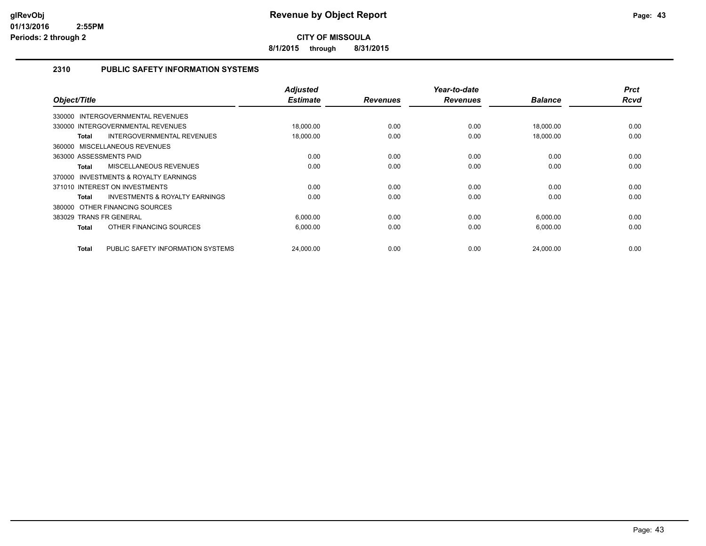**8/1/2015 through 8/31/2015**

#### **2310 PUBLIC SAFETY INFORMATION SYSTEMS**

| Object/Title                                       | <b>Adjusted</b><br><b>Estimate</b> | <b>Revenues</b> | Year-to-date<br><b>Revenues</b> | <b>Balance</b> | <b>Prct</b><br><b>Rcvd</b> |
|----------------------------------------------------|------------------------------------|-----------------|---------------------------------|----------------|----------------------------|
| <b>INTERGOVERNMENTAL REVENUES</b><br>330000        |                                    |                 |                                 |                |                            |
| 330000 INTERGOVERNMENTAL REVENUES                  | 18,000.00                          | 0.00            | 0.00                            | 18,000.00      | 0.00                       |
| INTERGOVERNMENTAL REVENUES<br>Total                | 18,000.00                          | 0.00            | 0.00                            | 18,000.00      | 0.00                       |
| 360000 MISCELLANEOUS REVENUES                      |                                    |                 |                                 |                |                            |
| 363000 ASSESSMENTS PAID                            | 0.00                               | 0.00            | 0.00                            | 0.00           | 0.00                       |
| MISCELLANEOUS REVENUES<br>Total                    | 0.00                               | 0.00            | 0.00                            | 0.00           | 0.00                       |
| INVESTMENTS & ROYALTY EARNINGS<br>370000           |                                    |                 |                                 |                |                            |
| 371010 INTEREST ON INVESTMENTS                     | 0.00                               | 0.00            | 0.00                            | 0.00           | 0.00                       |
| <b>INVESTMENTS &amp; ROYALTY EARNINGS</b><br>Total | 0.00                               | 0.00            | 0.00                            | 0.00           | 0.00                       |
| 380000 OTHER FINANCING SOURCES                     |                                    |                 |                                 |                |                            |
| 383029 TRANS FR GENERAL                            | 6,000.00                           | 0.00            | 0.00                            | 6,000.00       | 0.00                       |
| OTHER FINANCING SOURCES<br>Total                   | 6,000.00                           | 0.00            | 0.00                            | 6,000.00       | 0.00                       |
|                                                    |                                    |                 |                                 |                |                            |
| PUBLIC SAFETY INFORMATION SYSTEMS<br><b>Total</b>  | 24,000.00                          | 0.00            | 0.00                            | 24.000.00      | 0.00                       |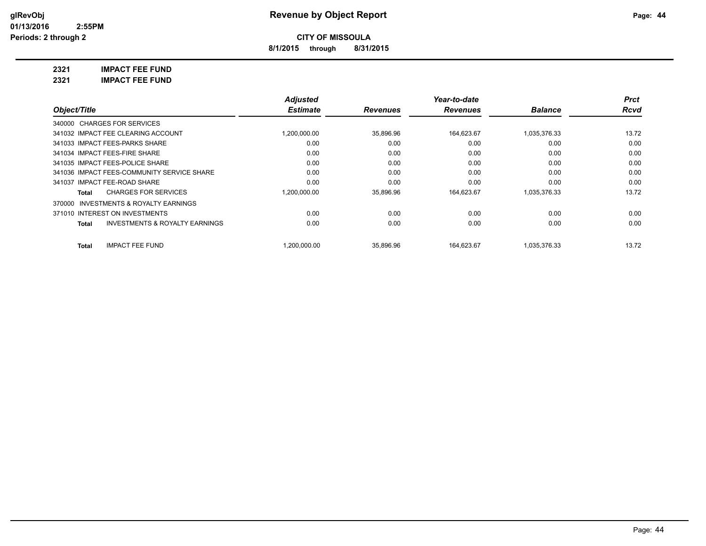**8/1/2015 through 8/31/2015**

**2321 IMPACT FEE FUND**

**2321 IMPACT FEE FUND**

|                                                    | <b>Adjusted</b> |                 | Year-to-date    |                | <b>Prct</b> |
|----------------------------------------------------|-----------------|-----------------|-----------------|----------------|-------------|
| Object/Title                                       | <b>Estimate</b> | <b>Revenues</b> | <b>Revenues</b> | <b>Balance</b> | Rcvd        |
| 340000 CHARGES FOR SERVICES                        |                 |                 |                 |                |             |
| 341032 IMPACT FEE CLEARING ACCOUNT                 | 1,200,000.00    | 35,896.96       | 164,623.67      | 1,035,376.33   | 13.72       |
| 341033 IMPACT FEES-PARKS SHARE                     | 0.00            | 0.00            | 0.00            | 0.00           | 0.00        |
| 341034 IMPACT FEES-FIRE SHARE                      | 0.00            | 0.00            | 0.00            | 0.00           | 0.00        |
| 341035 IMPACT FEES-POLICE SHARE                    | 0.00            | 0.00            | 0.00            | 0.00           | 0.00        |
| 341036 IMPACT FEES-COMMUNITY SERVICE SHARE         | 0.00            | 0.00            | 0.00            | 0.00           | 0.00        |
| 341037 IMPACT FEE-ROAD SHARE                       | 0.00            | 0.00            | 0.00            | 0.00           | 0.00        |
| <b>CHARGES FOR SERVICES</b><br>Total               | 1,200,000.00    | 35,896.96       | 164,623.67      | 1,035,376.33   | 13.72       |
| 370000 INVESTMENTS & ROYALTY EARNINGS              |                 |                 |                 |                |             |
| 371010 INTEREST ON INVESTMENTS                     | 0.00            | 0.00            | 0.00            | 0.00           | 0.00        |
| <b>INVESTMENTS &amp; ROYALTY EARNINGS</b><br>Total | 0.00            | 0.00            | 0.00            | 0.00           | 0.00        |
| <b>IMPACT FEE FUND</b><br>Total                    | .200.000.00     | 35,896.96       | 164.623.67      | 1.035.376.33   | 13.72       |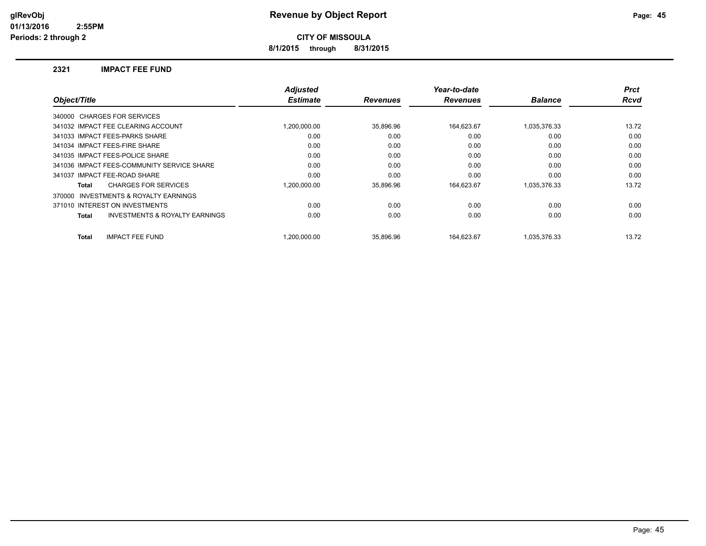**8/1/2015 through 8/31/2015**

#### **2321 IMPACT FEE FUND**

| Object/Title                                       | <b>Adjusted</b><br><b>Estimate</b> | <b>Revenues</b> | Year-to-date<br><b>Revenues</b> | <b>Balance</b> | <b>Prct</b><br><b>Rcvd</b> |
|----------------------------------------------------|------------------------------------|-----------------|---------------------------------|----------------|----------------------------|
|                                                    |                                    |                 |                                 |                |                            |
| 340000 CHARGES FOR SERVICES                        |                                    |                 |                                 |                |                            |
| 341032 IMPACT FEE CLEARING ACCOUNT                 | 1.200.000.00                       | 35,896.96       | 164,623.67                      | 1,035,376.33   | 13.72                      |
| 341033 IMPACT FEES-PARKS SHARE                     | 0.00                               | 0.00            | 0.00                            | 0.00           | 0.00                       |
| 341034 IMPACT FEES-FIRE SHARE                      | 0.00                               | 0.00            | 0.00                            | 0.00           | 0.00                       |
| 341035 IMPACT FEES-POLICE SHARE                    | 0.00                               | 0.00            | 0.00                            | 0.00           | 0.00                       |
| 341036 IMPACT FEES-COMMUNITY SERVICE SHARE         | 0.00                               | 0.00            | 0.00                            | 0.00           | 0.00                       |
| 341037 IMPACT FEE-ROAD SHARE                       | 0.00                               | 0.00            | 0.00                            | 0.00           | 0.00                       |
| <b>CHARGES FOR SERVICES</b><br>Total               | 1.200.000.00                       | 35.896.96       | 164,623.67                      | 1,035,376.33   | 13.72                      |
| INVESTMENTS & ROYALTY EARNINGS<br>370000           |                                    |                 |                                 |                |                            |
| 371010 INTEREST ON INVESTMENTS                     | 0.00                               | 0.00            | 0.00                            | 0.00           | 0.00                       |
| <b>INVESTMENTS &amp; ROYALTY EARNINGS</b><br>Total | 0.00                               | 0.00            | 0.00                            | 0.00           | 0.00                       |
| <b>IMPACT FEE FUND</b><br><b>Total</b>             | 1.200.000.00                       | 35.896.96       | 164.623.67                      | 1,035,376.33   | 13.72                      |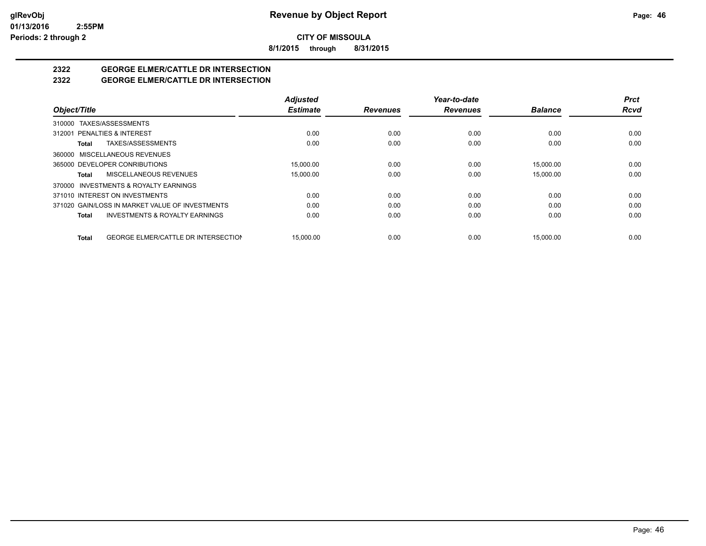**8/1/2015 through 8/31/2015**

# **2322 GEORGE ELMER/CATTLE DR INTERSECTION**

#### **2322 GEORGE ELMER/CATTLE DR INTERSECTION**

|                                                            | <b>Adjusted</b> |                 | Year-to-date    |                | <b>Prct</b> |
|------------------------------------------------------------|-----------------|-----------------|-----------------|----------------|-------------|
| Object/Title                                               | <b>Estimate</b> | <b>Revenues</b> | <b>Revenues</b> | <b>Balance</b> | <b>Rcvd</b> |
| 310000 TAXES/ASSESSMENTS                                   |                 |                 |                 |                |             |
| 312001 PENALTIES & INTEREST                                | 0.00            | 0.00            | 0.00            | 0.00           | 0.00        |
| TAXES/ASSESSMENTS<br>Total                                 | 0.00            | 0.00            | 0.00            | 0.00           | 0.00        |
| MISCELLANEOUS REVENUES<br>360000                           |                 |                 |                 |                |             |
| 365000 DEVELOPER CONRIBUTIONS                              | 15.000.00       | 0.00            | 0.00            | 15.000.00      | 0.00        |
| MISCELLANEOUS REVENUES<br>Total                            | 15,000.00       | 0.00            | 0.00            | 15,000.00      | 0.00        |
| INVESTMENTS & ROYALTY EARNINGS<br>370000                   |                 |                 |                 |                |             |
| 371010 INTEREST ON INVESTMENTS                             | 0.00            | 0.00            | 0.00            | 0.00           | 0.00        |
| 371020 GAIN/LOSS IN MARKET VALUE OF INVESTMENTS            | 0.00            | 0.00            | 0.00            | 0.00           | 0.00        |
| <b>INVESTMENTS &amp; ROYALTY EARNINGS</b><br>Total         | 0.00            | 0.00            | 0.00            | 0.00           | 0.00        |
| <b>GEORGE ELMER/CATTLE DR INTERSECTION</b><br><b>Total</b> | 15.000.00       | 0.00            | 0.00            | 15.000.00      | 0.00        |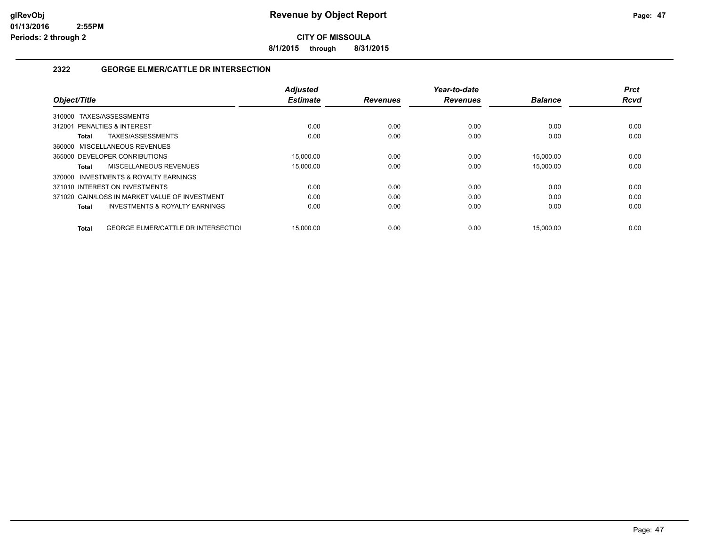**8/1/2015 through 8/31/2015**

#### **2322 GEORGE ELMER/CATTLE DR INTERSECTION**

| Object/Title                                        | <b>Adjusted</b><br><b>Estimate</b> | <b>Revenues</b> | Year-to-date<br><b>Revenues</b> | <b>Balance</b> | <b>Prct</b><br><b>Rcvd</b> |
|-----------------------------------------------------|------------------------------------|-----------------|---------------------------------|----------------|----------------------------|
|                                                     |                                    |                 |                                 |                |                            |
| TAXES/ASSESSMENTS<br>310000                         |                                    |                 |                                 |                |                            |
| 312001 PENALTIES & INTEREST                         | 0.00                               | 0.00            | 0.00                            | 0.00           | 0.00                       |
| TAXES/ASSESSMENTS<br>Total                          | 0.00                               | 0.00            | 0.00                            | 0.00           | 0.00                       |
| 360000 MISCELLANEOUS REVENUES                       |                                    |                 |                                 |                |                            |
| 365000 DEVELOPER CONRIBUTIONS                       | 15.000.00                          | 0.00            | 0.00                            | 15.000.00      | 0.00                       |
| MISCELLANEOUS REVENUES<br>Total                     | 15,000.00                          | 0.00            | 0.00                            | 15,000.00      | 0.00                       |
| 370000 INVESTMENTS & ROYALTY EARNINGS               |                                    |                 |                                 |                |                            |
| 371010 INTEREST ON INVESTMENTS                      | 0.00                               | 0.00            | 0.00                            | 0.00           | 0.00                       |
| 371020 GAIN/LOSS IN MARKET VALUE OF INVESTMENT      | 0.00                               | 0.00            | 0.00                            | 0.00           | 0.00                       |
| <b>INVESTMENTS &amp; ROYALTY EARNINGS</b><br>Total  | 0.00                               | 0.00            | 0.00                            | 0.00           | 0.00                       |
|                                                     |                                    |                 |                                 |                |                            |
| <b>GEORGE ELMER/CATTLE DR INTERSECTIOL</b><br>Total | 15.000.00                          | 0.00            | 0.00                            | 15.000.00      | 0.00                       |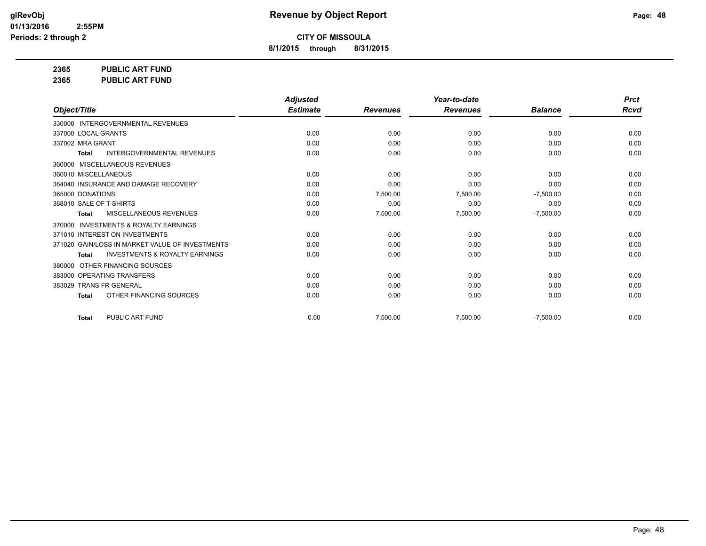**8/1/2015 through 8/31/2015**

**2365 PUBLIC ART FUND**

**2365 PUBLIC ART FUND**

|                                                           | <b>Adjusted</b> |                 | Year-to-date    |                | <b>Prct</b> |
|-----------------------------------------------------------|-----------------|-----------------|-----------------|----------------|-------------|
| Object/Title                                              | <b>Estimate</b> | <b>Revenues</b> | <b>Revenues</b> | <b>Balance</b> | <b>Rcvd</b> |
| 330000 INTERGOVERNMENTAL REVENUES                         |                 |                 |                 |                |             |
| 337000 LOCAL GRANTS                                       | 0.00            | 0.00            | 0.00            | 0.00           | 0.00        |
| 337002 MRA GRANT                                          | 0.00            | 0.00            | 0.00            | 0.00           | 0.00        |
| INTERGOVERNMENTAL REVENUES<br><b>Total</b>                | 0.00            | 0.00            | 0.00            | 0.00           | 0.00        |
| MISCELLANEOUS REVENUES<br>360000                          |                 |                 |                 |                |             |
| 360010 MISCELLANEOUS                                      | 0.00            | 0.00            | 0.00            | 0.00           | 0.00        |
| 364040 INSURANCE AND DAMAGE RECOVERY                      | 0.00            | 0.00            | 0.00            | 0.00           | 0.00        |
| 365000 DONATIONS                                          | 0.00            | 7,500.00        | 7,500.00        | $-7,500.00$    | 0.00        |
| 368010 SALE OF T-SHIRTS                                   | 0.00            | 0.00            | 0.00            | 0.00           | 0.00        |
| MISCELLANEOUS REVENUES<br><b>Total</b>                    | 0.00            | 7,500.00        | 7,500.00        | $-7,500.00$    | 0.00        |
| <b>INVESTMENTS &amp; ROYALTY EARNINGS</b><br>370000       |                 |                 |                 |                |             |
| 371010 INTEREST ON INVESTMENTS                            | 0.00            | 0.00            | 0.00            | 0.00           | 0.00        |
| 371020 GAIN/LOSS IN MARKET VALUE OF INVESTMENTS           | 0.00            | 0.00            | 0.00            | 0.00           | 0.00        |
| <b>INVESTMENTS &amp; ROYALTY EARNINGS</b><br><b>Total</b> | 0.00            | 0.00            | 0.00            | 0.00           | 0.00        |
| OTHER FINANCING SOURCES<br>380000                         |                 |                 |                 |                |             |
| 383000 OPERATING TRANSFERS                                | 0.00            | 0.00            | 0.00            | 0.00           | 0.00        |
| 383029 TRANS FR GENERAL                                   | 0.00            | 0.00            | 0.00            | 0.00           | 0.00        |
| OTHER FINANCING SOURCES<br><b>Total</b>                   | 0.00            | 0.00            | 0.00            | 0.00           | 0.00        |
| PUBLIC ART FUND<br><b>Total</b>                           | 0.00            | 7,500.00        | 7,500.00        | $-7,500.00$    | 0.00        |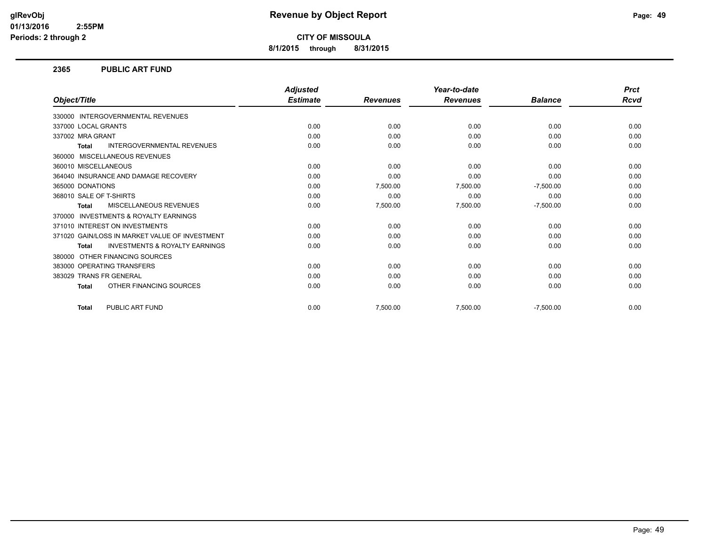**8/1/2015 through 8/31/2015**

#### **2365 PUBLIC ART FUND**

|                                                           | <b>Adjusted</b> |                 | Year-to-date    |                | <b>Prct</b> |
|-----------------------------------------------------------|-----------------|-----------------|-----------------|----------------|-------------|
| Object/Title                                              | <b>Estimate</b> | <b>Revenues</b> | <b>Revenues</b> | <b>Balance</b> | <b>Rcvd</b> |
| <b>INTERGOVERNMENTAL REVENUES</b><br>330000               |                 |                 |                 |                |             |
| 337000 LOCAL GRANTS                                       | 0.00            | 0.00            | 0.00            | 0.00           | 0.00        |
| 337002 MRA GRANT                                          | 0.00            | 0.00            | 0.00            | 0.00           | 0.00        |
| <b>INTERGOVERNMENTAL REVENUES</b><br><b>Total</b>         | 0.00            | 0.00            | 0.00            | 0.00           | 0.00        |
| MISCELLANEOUS REVENUES<br>360000                          |                 |                 |                 |                |             |
| 360010 MISCELLANEOUS                                      | 0.00            | 0.00            | 0.00            | 0.00           | 0.00        |
| 364040 INSURANCE AND DAMAGE RECOVERY                      | 0.00            | 0.00            | 0.00            | 0.00           | 0.00        |
| 365000 DONATIONS                                          | 0.00            | 7,500.00        | 7,500.00        | $-7,500.00$    | 0.00        |
| 368010 SALE OF T-SHIRTS                                   | 0.00            | 0.00            | 0.00            | 0.00           | 0.00        |
| <b>MISCELLANEOUS REVENUES</b><br><b>Total</b>             | 0.00            | 7,500.00        | 7,500.00        | $-7,500.00$    | 0.00        |
| <b>INVESTMENTS &amp; ROYALTY EARNINGS</b><br>370000       |                 |                 |                 |                |             |
| 371010 INTEREST ON INVESTMENTS                            | 0.00            | 0.00            | 0.00            | 0.00           | 0.00        |
| 371020 GAIN/LOSS IN MARKET VALUE OF INVESTMENT            | 0.00            | 0.00            | 0.00            | 0.00           | 0.00        |
| <b>INVESTMENTS &amp; ROYALTY EARNINGS</b><br><b>Total</b> | 0.00            | 0.00            | 0.00            | 0.00           | 0.00        |
| OTHER FINANCING SOURCES<br>380000                         |                 |                 |                 |                |             |
| 383000 OPERATING TRANSFERS                                | 0.00            | 0.00            | 0.00            | 0.00           | 0.00        |
| 383029 TRANS FR GENERAL                                   | 0.00            | 0.00            | 0.00            | 0.00           | 0.00        |
| OTHER FINANCING SOURCES<br><b>Total</b>                   | 0.00            | 0.00            | 0.00            | 0.00           | 0.00        |
| PUBLIC ART FUND<br><b>Total</b>                           | 0.00            | 7,500.00        | 7,500.00        | $-7,500.00$    | 0.00        |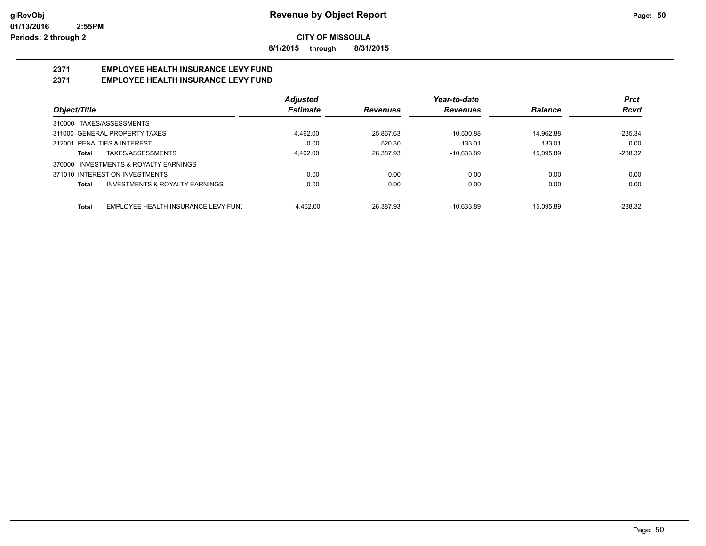**8/1/2015 through 8/31/2015**

## **2371 EMPLOYEE HEALTH INSURANCE LEVY FUND**

### **2371 EMPLOYEE HEALTH INSURANCE LEVY FUND**

|                                                           | <b>Adjusted</b> |                 | Year-to-date    |                | <b>Prct</b> |
|-----------------------------------------------------------|-----------------|-----------------|-----------------|----------------|-------------|
| Object/Title                                              | <b>Estimate</b> | <b>Revenues</b> | <b>Revenues</b> | <b>Balance</b> | Rcvd        |
| 310000 TAXES/ASSESSMENTS                                  |                 |                 |                 |                |             |
| 311000 GENERAL PROPERTY TAXES                             | 4.462.00        | 25.867.63       | $-10.500.88$    | 14.962.88      | $-235.34$   |
| 312001 PENALTIES & INTEREST                               | 0.00            | 520.30          | $-133.01$       | 133.01         | 0.00        |
| TAXES/ASSESSMENTS<br>Total                                | 4.462.00        | 26.387.93       | $-10.633.89$    | 15.095.89      | $-238.32$   |
| INVESTMENTS & ROYALTY EARNINGS<br>370000                  |                 |                 |                 |                |             |
| 371010 INTEREST ON INVESTMENTS                            | 0.00            | 0.00            | 0.00            | 0.00           | 0.00        |
| <b>INVESTMENTS &amp; ROYALTY EARNINGS</b><br><b>Total</b> | 0.00            | 0.00            | 0.00            | 0.00           | 0.00        |
| <b>Total</b><br>EMPLOYEE HEALTH INSURANCE LEVY FUNI       | 4.462.00        | 26.387.93       | $-10.633.89$    | 15.095.89      | $-238.32$   |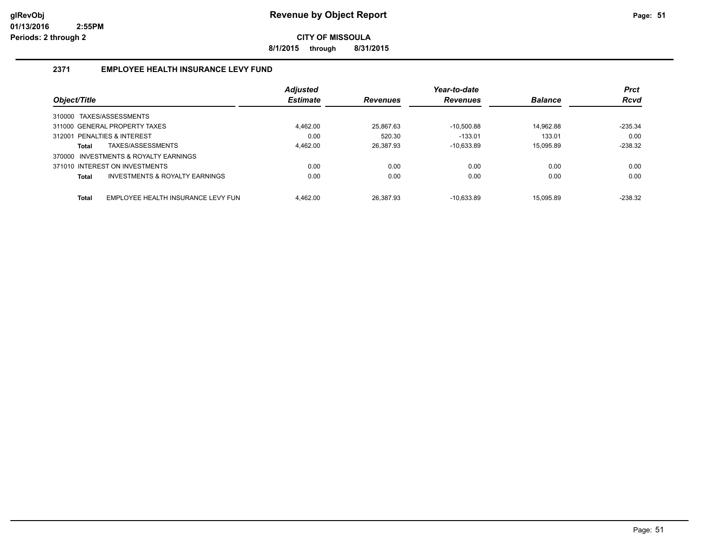**8/1/2015 through 8/31/2015**

#### **2371 EMPLOYEE HEALTH INSURANCE LEVY FUND**

|                                                    | <b>Adjusted</b> |                 | Year-to-date    |                | <b>Prct</b> |
|----------------------------------------------------|-----------------|-----------------|-----------------|----------------|-------------|
| Object/Title                                       | <b>Estimate</b> | <b>Revenues</b> | <b>Revenues</b> | <b>Balance</b> | <b>Rcvd</b> |
| TAXES/ASSESSMENTS<br>310000                        |                 |                 |                 |                |             |
| 311000 GENERAL PROPERTY TAXES                      | 4,462.00        | 25,867.63       | $-10.500.88$    | 14.962.88      | $-235.34$   |
| 312001 PENALTIES & INTEREST                        | 0.00            | 520.30          | $-133.01$       | 133.01         | 0.00        |
| TAXES/ASSESSMENTS<br><b>Total</b>                  | 4.462.00        | 26.387.93       | $-10.633.89$    | 15.095.89      | $-238.32$   |
| 370000 INVESTMENTS & ROYALTY EARNINGS              |                 |                 |                 |                |             |
| 371010 INTEREST ON INVESTMENTS                     | 0.00            | 0.00            | 0.00            | 0.00           | 0.00        |
| INVESTMENTS & ROYALTY EARNINGS<br><b>Total</b>     | 0.00            | 0.00            | 0.00            | 0.00           | 0.00        |
| <b>Total</b><br>EMPLOYEE HEALTH INSURANCE LEVY FUN | 4.462.00        | 26.387.93       | $-10.633.89$    | 15.095.89      | $-238.32$   |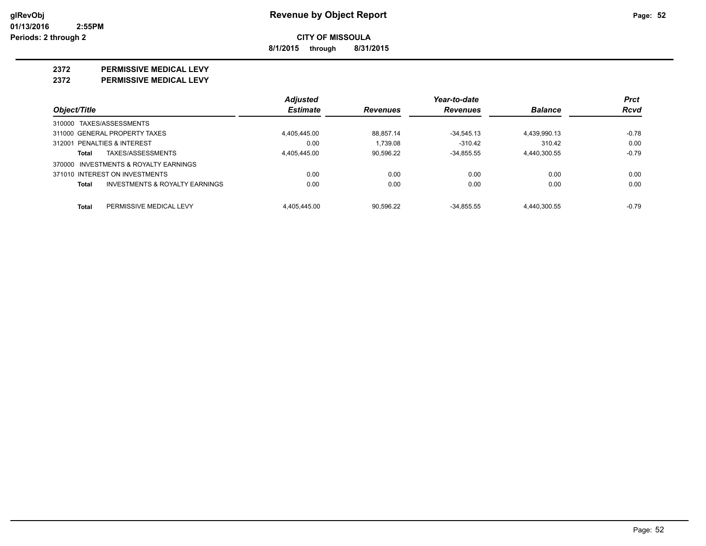**8/1/2015 through 8/31/2015**

#### **2372 PERMISSIVE MEDICAL LEVY**

**2372 PERMISSIVE MEDICAL LEVY**

|                                                    | <b>Adjusted</b> |                 | Year-to-date    |                | <b>Prct</b> |
|----------------------------------------------------|-----------------|-----------------|-----------------|----------------|-------------|
| Object/Title                                       | <b>Estimate</b> | <b>Revenues</b> | <b>Revenues</b> | <b>Balance</b> | Rcvd        |
| 310000 TAXES/ASSESSMENTS                           |                 |                 |                 |                |             |
| 311000 GENERAL PROPERTY TAXES                      | 4,405,445.00    | 88.857.14       | $-34,545.13$    | 4,439,990.13   | $-0.78$     |
| 312001 PENALTIES & INTEREST                        | 0.00            | 1.739.08        | $-310.42$       | 310.42         | 0.00        |
| TAXES/ASSESSMENTS<br>Total                         | 4.405.445.00    | 90.596.22       | $-34.855.55$    | 4.440.300.55   | $-0.79$     |
| 370000 INVESTMENTS & ROYALTY EARNINGS              |                 |                 |                 |                |             |
| 371010 INTEREST ON INVESTMENTS                     | 0.00            | 0.00            | 0.00            | 0.00           | 0.00        |
| <b>INVESTMENTS &amp; ROYALTY EARNINGS</b><br>Total | 0.00            | 0.00            | 0.00            | 0.00           | 0.00        |
| PERMISSIVE MEDICAL LEVY<br>Total                   | 4.405.445.00    | 90.596.22       | $-34.855.55$    | 4.440.300.55   | $-0.79$     |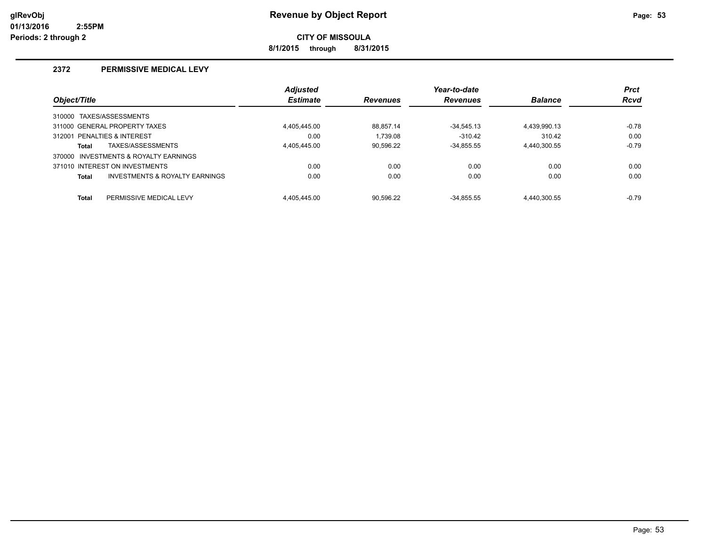**8/1/2015 through 8/31/2015**

#### **2372 PERMISSIVE MEDICAL LEVY**

|              |                                       | <b>Adjusted</b> |                 | Year-to-date    |                | <b>Prct</b> |
|--------------|---------------------------------------|-----------------|-----------------|-----------------|----------------|-------------|
| Object/Title |                                       | <b>Estimate</b> | <b>Revenues</b> | <b>Revenues</b> | <b>Balance</b> | <b>Rcvd</b> |
|              | 310000 TAXES/ASSESSMENTS              |                 |                 |                 |                |             |
|              | 311000 GENERAL PROPERTY TAXES         | 4.405.445.00    | 88.857.14       | $-34.545.13$    | 4,439,990.13   | $-0.78$     |
|              | 312001 PENALTIES & INTEREST           | 0.00            | 1.739.08        | $-310.42$       | 310.42         | 0.00        |
| <b>Total</b> | TAXES/ASSESSMENTS                     | 4.405.445.00    | 90,596.22       | $-34.855.55$    | 4,440,300.55   | $-0.79$     |
|              | 370000 INVESTMENTS & ROYALTY EARNINGS |                 |                 |                 |                |             |
|              | 371010 INTEREST ON INVESTMENTS        | 0.00            | 0.00            | 0.00            | 0.00           | 0.00        |
| <b>Total</b> | INVESTMENTS & ROYALTY EARNINGS        | 0.00            | 0.00            | 0.00            | 0.00           | 0.00        |
| <b>Total</b> | PERMISSIVE MEDICAL LEVY               | 4.405.445.00    | 90.596.22       | $-34.855.55$    | 4.440.300.55   | $-0.79$     |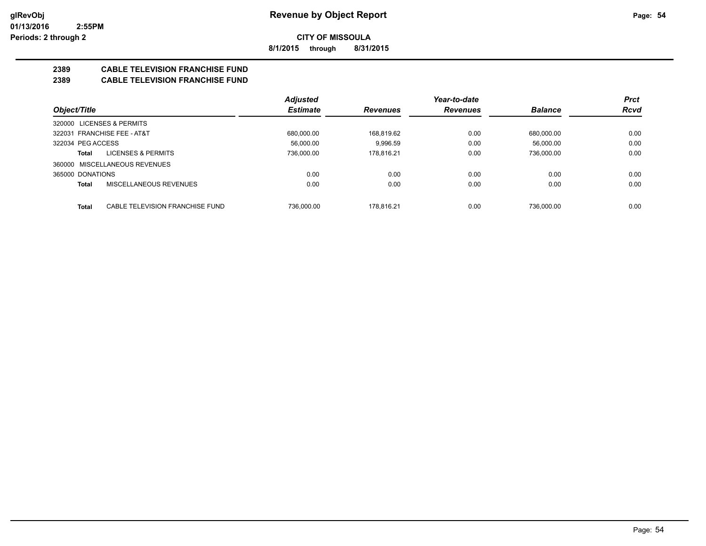**8/1/2015 through 8/31/2015**

## **2389 CABLE TELEVISION FRANCHISE FUND**

#### **2389 CABLE TELEVISION FRANCHISE FUND**

|                                                 | <b>Adjusted</b> |                 | Year-to-date    |                | <b>Prct</b> |
|-------------------------------------------------|-----------------|-----------------|-----------------|----------------|-------------|
| Object/Title                                    | <b>Estimate</b> | <b>Revenues</b> | <b>Revenues</b> | <b>Balance</b> | <b>Rcvd</b> |
| <b>LICENSES &amp; PERMITS</b><br>320000         |                 |                 |                 |                |             |
| 322031 FRANCHISE FEE - AT&T                     | 680.000.00      | 168.819.62      | 0.00            | 680.000.00     | 0.00        |
| 322034 PEG ACCESS                               | 56.000.00       | 9.996.59        | 0.00            | 56.000.00      | 0.00        |
| <b>LICENSES &amp; PERMITS</b><br>Total          | 736.000.00      | 178.816.21      | 0.00            | 736,000.00     | 0.00        |
| 360000 MISCELLANEOUS REVENUES                   |                 |                 |                 |                |             |
| 365000 DONATIONS                                | 0.00            | 0.00            | 0.00            | 0.00           | 0.00        |
| MISCELLANEOUS REVENUES<br><b>Total</b>          | 0.00            | 0.00            | 0.00            | 0.00           | 0.00        |
|                                                 |                 |                 |                 |                |             |
| <b>Total</b><br>CABLE TELEVISION FRANCHISE FUND | 736.000.00      | 178.816.21      | 0.00            | 736.000.00     | 0.00        |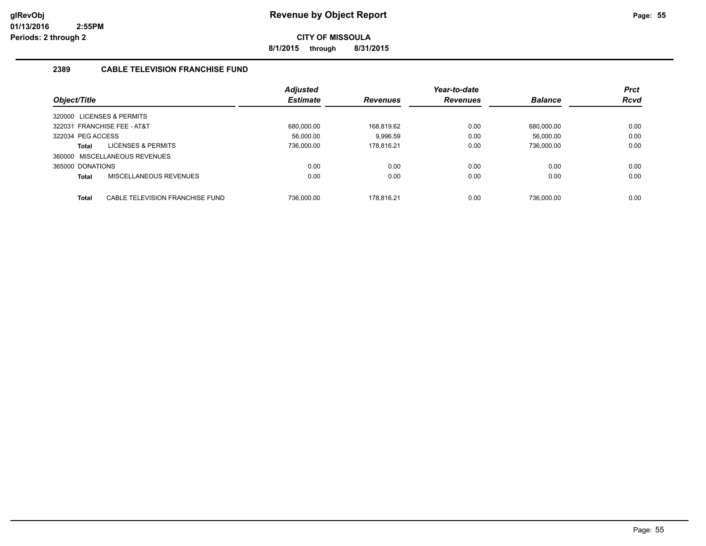**8/1/2015 through 8/31/2015**

#### **2389 CABLE TELEVISION FRANCHISE FUND**

|                   |                                 | <b>Adjusted</b> |                 | Year-to-date    |                | <b>Prct</b> |
|-------------------|---------------------------------|-----------------|-----------------|-----------------|----------------|-------------|
| Object/Title      |                                 | <b>Estimate</b> | <b>Revenues</b> | <b>Revenues</b> | <b>Balance</b> | <b>Rcvd</b> |
|                   | 320000 LICENSES & PERMITS       |                 |                 |                 |                |             |
|                   | 322031 FRANCHISE FEE - AT&T     | 680.000.00      | 168.819.62      | 0.00            | 680.000.00     | 0.00        |
| 322034 PEG ACCESS |                                 | 56.000.00       | 9.996.59        | 0.00            | 56.000.00      | 0.00        |
| Total             | LICENSES & PERMITS              | 736,000.00      | 178,816.21      | 0.00            | 736,000.00     | 0.00        |
|                   | 360000 MISCELLANEOUS REVENUES   |                 |                 |                 |                |             |
| 365000 DONATIONS  |                                 | 0.00            | 0.00            | 0.00            | 0.00           | 0.00        |
| Total             | MISCELLANEOUS REVENUES          | 0.00            | 0.00            | 0.00            | 0.00           | 0.00        |
|                   |                                 |                 |                 |                 |                |             |
| Total             | CABLE TELEVISION FRANCHISE FUND | 736.000.00      | 178.816.21      | 0.00            | 736.000.00     | 0.00        |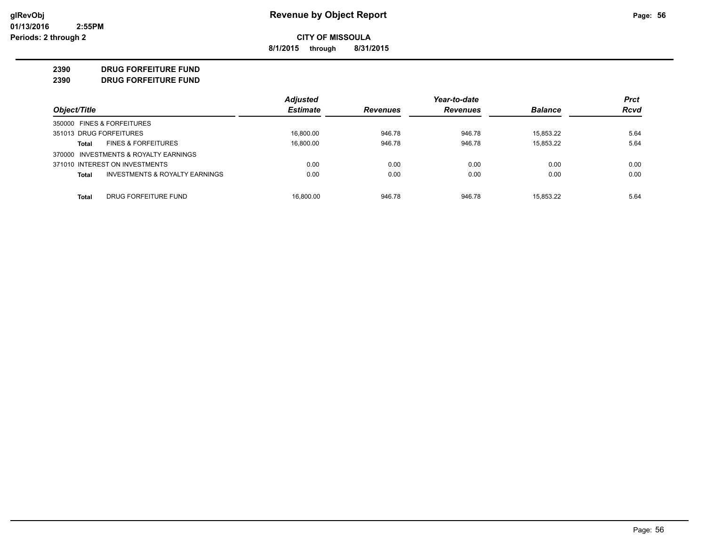**8/1/2015 through 8/31/2015**

#### **2390 DRUG FORFEITURE FUND**

**2390 DRUG FORFEITURE FUND**

|                            |                                       | <b>Adjusted</b> |                 | Year-to-date    |                | <b>Prct</b> |
|----------------------------|---------------------------------------|-----------------|-----------------|-----------------|----------------|-------------|
| Object/Title               |                                       | <b>Estimate</b> | <b>Revenues</b> | <b>Revenues</b> | <b>Balance</b> | <b>Rcvd</b> |
| 350000 FINES & FORFEITURES |                                       |                 |                 |                 |                |             |
| 351013 DRUG FORFEITURES    |                                       | 16.800.00       | 946.78          | 946.78          | 15.853.22      | 5.64        |
| Total                      | <b>FINES &amp; FORFEITURES</b>        | 16.800.00       | 946.78          | 946.78          | 15.853.22      | 5.64        |
|                            | 370000 INVESTMENTS & ROYALTY EARNINGS |                 |                 |                 |                |             |
|                            | 371010 INTEREST ON INVESTMENTS        | 0.00            | 0.00            | 0.00            | 0.00           | 0.00        |
| <b>Total</b>               | INVESTMENTS & ROYALTY EARNINGS        | 0.00            | 0.00            | 0.00            | 0.00           | 0.00        |
| Total                      | DRUG FORFEITURE FUND                  | 16.800.00       | 946.78          | 946.78          | 15.853.22      | 5.64        |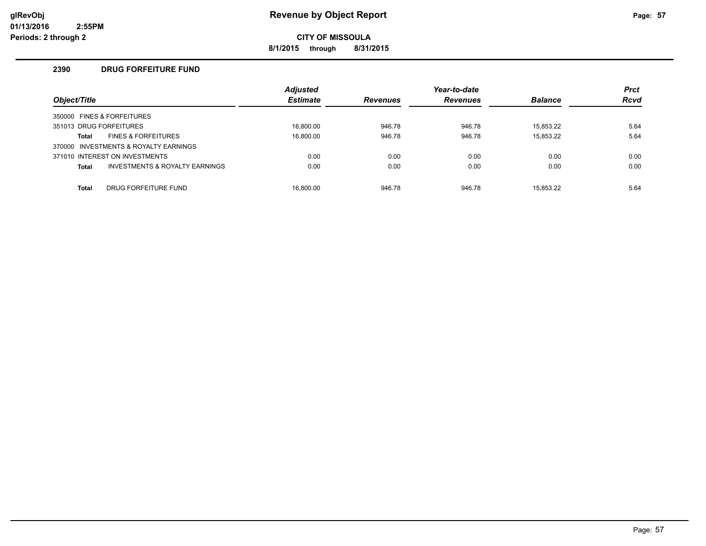**8/1/2015 through 8/31/2015**

#### **2390 DRUG FORFEITURE FUND**

| Object/Title |                                           | <b>Adjusted</b><br><b>Estimate</b> | <b>Revenues</b> | Year-to-date<br><b>Revenues</b> | <b>Balance</b> | <b>Prct</b><br><b>Rcvd</b> |
|--------------|-------------------------------------------|------------------------------------|-----------------|---------------------------------|----------------|----------------------------|
|              |                                           |                                    |                 |                                 |                |                            |
|              | 350000 FINES & FORFEITURES                |                                    |                 |                                 |                |                            |
|              | 351013 DRUG FORFEITURES                   | 16.800.00                          | 946.78          | 946.78                          | 15.853.22      | 5.64                       |
| Total        | <b>FINES &amp; FORFEITURES</b>            | 16.800.00                          | 946.78          | 946.78                          | 15.853.22      | 5.64                       |
|              | 370000 INVESTMENTS & ROYALTY EARNINGS     |                                    |                 |                                 |                |                            |
|              | 371010 INTEREST ON INVESTMENTS            | 0.00                               | 0.00            | 0.00                            | 0.00           | 0.00                       |
| <b>Total</b> | <b>INVESTMENTS &amp; ROYALTY EARNINGS</b> | 0.00                               | 0.00            | 0.00                            | 0.00           | 0.00                       |
|              |                                           |                                    |                 |                                 |                |                            |
| <b>Total</b> | DRUG FORFEITURE FUND                      | 16.800.00                          | 946.78          | 946.78                          | 15.853.22      | 5.64                       |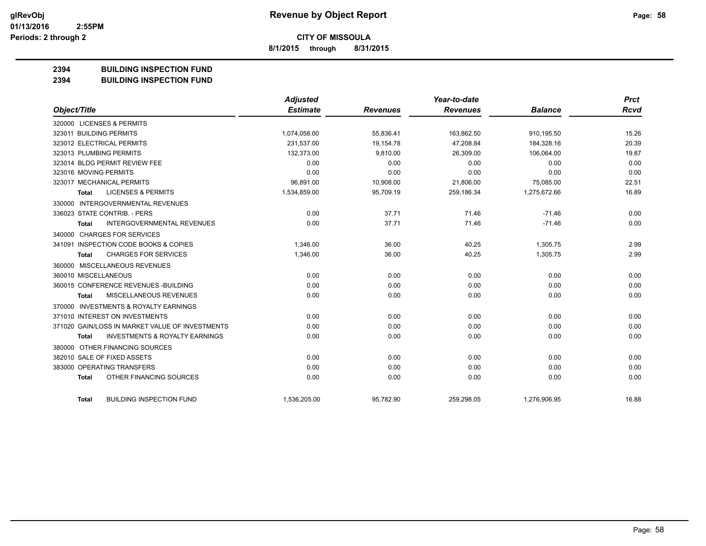**8/1/2015 through 8/31/2015**

#### **2394 BUILDING INSPECTION FUND**

**2394 BUILDING INSPECTION FUND**

|                                                           | Adjusted        |                 | Year-to-date    |                | <b>Prct</b> |
|-----------------------------------------------------------|-----------------|-----------------|-----------------|----------------|-------------|
| Object/Title                                              | <b>Estimate</b> | <b>Revenues</b> | <b>Revenues</b> | <b>Balance</b> | <b>Rcvd</b> |
| 320000 LICENSES & PERMITS                                 |                 |                 |                 |                |             |
| 323011 BUILDING PERMITS                                   | 1,074,058.00    | 55,836.41       | 163,862.50      | 910,195.50     | 15.26       |
| 323012 ELECTRICAL PERMITS                                 | 231,537.00      | 19.154.78       | 47.208.84       | 184,328.16     | 20.39       |
| 323013 PLUMBING PERMITS                                   | 132,373.00      | 9,810.00        | 26,309.00       | 106,064.00     | 19.87       |
| 323014 BLDG PERMIT REVIEW FEE                             | 0.00            | 0.00            | 0.00            | 0.00           | 0.00        |
| 323016 MOVING PERMITS                                     | 0.00            | 0.00            | 0.00            | 0.00           | 0.00        |
| 323017 MECHANICAL PERMITS                                 | 96,891.00       | 10,908.00       | 21,806.00       | 75,085.00      | 22.51       |
| <b>LICENSES &amp; PERMITS</b><br><b>Total</b>             | 1,534,859.00    | 95,709.19       | 259,186.34      | 1,275,672.66   | 16.89       |
| 330000 INTERGOVERNMENTAL REVENUES                         |                 |                 |                 |                |             |
| 336023 STATE CONTRIB. - PERS                              | 0.00            | 37.71           | 71.46           | $-71.46$       | 0.00        |
| <b>INTERGOVERNMENTAL REVENUES</b><br><b>Total</b>         | 0.00            | 37.71           | 71.46           | $-71.46$       | 0.00        |
| 340000 CHARGES FOR SERVICES                               |                 |                 |                 |                |             |
| 341091 INSPECTION CODE BOOKS & COPIES                     | 1,346.00        | 36.00           | 40.25           | 1,305.75       | 2.99        |
| <b>CHARGES FOR SERVICES</b><br><b>Total</b>               | 1,346.00        | 36.00           | 40.25           | 1,305.75       | 2.99        |
| 360000 MISCELLANEOUS REVENUES                             |                 |                 |                 |                |             |
| 360010 MISCELLANEOUS                                      | 0.00            | 0.00            | 0.00            | 0.00           | 0.00        |
| 360015 CONFERENCE REVENUES - BUILDING                     | 0.00            | 0.00            | 0.00            | 0.00           | 0.00        |
| MISCELLANEOUS REVENUES<br><b>Total</b>                    | 0.00            | 0.00            | 0.00            | 0.00           | 0.00        |
| 370000 INVESTMENTS & ROYALTY EARNINGS                     |                 |                 |                 |                |             |
| 371010 INTEREST ON INVESTMENTS                            | 0.00            | 0.00            | 0.00            | 0.00           | 0.00        |
| 371020 GAIN/LOSS IN MARKET VALUE OF INVESTMENTS           | 0.00            | 0.00            | 0.00            | 0.00           | 0.00        |
| <b>INVESTMENTS &amp; ROYALTY EARNINGS</b><br><b>Total</b> | 0.00            | 0.00            | 0.00            | 0.00           | 0.00        |
| 380000 OTHER FINANCING SOURCES                            |                 |                 |                 |                |             |
| 382010 SALE OF FIXED ASSETS                               | 0.00            | 0.00            | 0.00            | 0.00           | 0.00        |
| 383000 OPERATING TRANSFERS                                | 0.00            | 0.00            | 0.00            | 0.00           | 0.00        |
| OTHER FINANCING SOURCES<br><b>Total</b>                   | 0.00            | 0.00            | 0.00            | 0.00           | 0.00        |
| <b>BUILDING INSPECTION FUND</b><br><b>Total</b>           | 1,536,205.00    | 95,782.90       | 259,298.05      | 1,276,906.95   | 16.88       |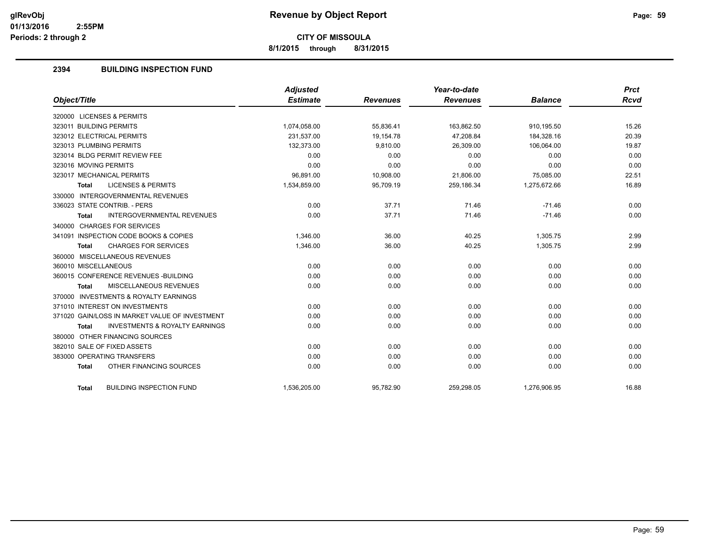**8/1/2015 through 8/31/2015**

#### **2394 BUILDING INSPECTION FUND**

| Object/Title                                              | <b>Adjusted</b><br><b>Estimate</b> | <b>Revenues</b> | Year-to-date<br><b>Revenues</b> | <b>Balance</b> | <b>Prct</b><br><b>Rcvd</b> |
|-----------------------------------------------------------|------------------------------------|-----------------|---------------------------------|----------------|----------------------------|
| 320000 LICENSES & PERMITS                                 |                                    |                 |                                 |                |                            |
| 323011 BUILDING PERMITS                                   | 1,074,058.00                       | 55,836.41       | 163,862.50                      | 910,195.50     | 15.26                      |
| 323012 ELECTRICAL PERMITS                                 | 231.537.00                         | 19.154.78       | 47.208.84                       | 184.328.16     | 20.39                      |
|                                                           |                                    |                 |                                 |                |                            |
| 323013 PLUMBING PERMITS                                   | 132,373.00                         | 9,810.00        | 26,309.00                       | 106,064.00     | 19.87                      |
| 323014 BLDG PERMIT REVIEW FEE                             | 0.00                               | 0.00            | 0.00                            | 0.00           | 0.00                       |
| 323016 MOVING PERMITS                                     | 0.00                               | 0.00            | 0.00                            | 0.00           | 0.00                       |
| 323017 MECHANICAL PERMITS                                 | 96,891.00                          | 10,908.00       | 21,806.00                       | 75,085.00      | 22.51                      |
| <b>LICENSES &amp; PERMITS</b><br><b>Total</b>             | 1,534,859.00                       | 95,709.19       | 259,186.34                      | 1,275,672.66   | 16.89                      |
| 330000 INTERGOVERNMENTAL REVENUES                         |                                    |                 |                                 |                |                            |
| 336023 STATE CONTRIB. - PERS                              | 0.00                               | 37.71           | 71.46                           | $-71.46$       | 0.00                       |
| <b>INTERGOVERNMENTAL REVENUES</b><br><b>Total</b>         | 0.00                               | 37.71           | 71.46                           | $-71.46$       | 0.00                       |
| 340000 CHARGES FOR SERVICES                               |                                    |                 |                                 |                |                            |
| 341091 INSPECTION CODE BOOKS & COPIES                     | 1,346.00                           | 36.00           | 40.25                           | 1,305.75       | 2.99                       |
| <b>CHARGES FOR SERVICES</b><br><b>Total</b>               | 1,346.00                           | 36.00           | 40.25                           | 1,305.75       | 2.99                       |
| 360000 MISCELLANEOUS REVENUES                             |                                    |                 |                                 |                |                            |
| 360010 MISCELLANEOUS                                      | 0.00                               | 0.00            | 0.00                            | 0.00           | 0.00                       |
| 360015 CONFERENCE REVENUES - BUILDING                     | 0.00                               | 0.00            | 0.00                            | 0.00           | 0.00                       |
| MISCELLANEOUS REVENUES<br><b>Total</b>                    | 0.00                               | 0.00            | 0.00                            | 0.00           | 0.00                       |
| 370000 INVESTMENTS & ROYALTY EARNINGS                     |                                    |                 |                                 |                |                            |
| 371010 INTEREST ON INVESTMENTS                            | 0.00                               | 0.00            | 0.00                            | 0.00           | 0.00                       |
| 371020 GAIN/LOSS IN MARKET VALUE OF INVESTMENT            | 0.00                               | 0.00            | 0.00                            | 0.00           | 0.00                       |
| <b>INVESTMENTS &amp; ROYALTY EARNINGS</b><br><b>Total</b> | 0.00                               | 0.00            | 0.00                            | 0.00           | 0.00                       |
| 380000 OTHER FINANCING SOURCES                            |                                    |                 |                                 |                |                            |
| 382010 SALE OF FIXED ASSETS                               | 0.00                               | 0.00            | 0.00                            | 0.00           | 0.00                       |
| 383000 OPERATING TRANSFERS                                | 0.00                               | 0.00            | 0.00                            | 0.00           | 0.00                       |
| OTHER FINANCING SOURCES<br><b>Total</b>                   | 0.00                               | 0.00            | 0.00                            | 0.00           | 0.00                       |
|                                                           |                                    |                 |                                 |                |                            |
| <b>BUILDING INSPECTION FUND</b><br><b>Total</b>           | 1,536,205.00                       | 95,782.90       | 259,298.05                      | 1,276,906.95   | 16.88                      |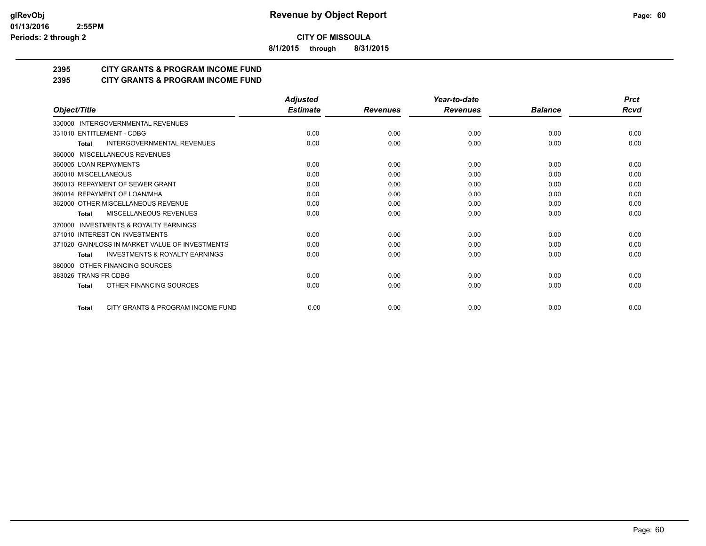**8/1/2015 through 8/31/2015**

## **2395 CITY GRANTS & PROGRAM INCOME FUND**

#### **2395 CITY GRANTS & PROGRAM INCOME FUND**

|                                                     | <b>Adjusted</b> |                 | Year-to-date    |                | <b>Prct</b> |
|-----------------------------------------------------|-----------------|-----------------|-----------------|----------------|-------------|
| Object/Title                                        | <b>Estimate</b> | <b>Revenues</b> | <b>Revenues</b> | <b>Balance</b> | Rcvd        |
| 330000 INTERGOVERNMENTAL REVENUES                   |                 |                 |                 |                |             |
| 331010 ENTITLEMENT - CDBG                           | 0.00            | 0.00            | 0.00            | 0.00           | 0.00        |
| <b>INTERGOVERNMENTAL REVENUES</b><br><b>Total</b>   | 0.00            | 0.00            | 0.00            | 0.00           | 0.00        |
| 360000 MISCELLANEOUS REVENUES                       |                 |                 |                 |                |             |
| 360005 LOAN REPAYMENTS                              | 0.00            | 0.00            | 0.00            | 0.00           | 0.00        |
| 360010 MISCELLANEOUS                                | 0.00            | 0.00            | 0.00            | 0.00           | 0.00        |
| 360013 REPAYMENT OF SEWER GRANT                     | 0.00            | 0.00            | 0.00            | 0.00           | 0.00        |
| 360014 REPAYMENT OF LOAN/MHA                        | 0.00            | 0.00            | 0.00            | 0.00           | 0.00        |
| 362000 OTHER MISCELLANEOUS REVENUE                  | 0.00            | 0.00            | 0.00            | 0.00           | 0.00        |
| MISCELLANEOUS REVENUES<br>Total                     | 0.00            | 0.00            | 0.00            | 0.00           | 0.00        |
| <b>INVESTMENTS &amp; ROYALTY EARNINGS</b><br>370000 |                 |                 |                 |                |             |
| 371010 INTEREST ON INVESTMENTS                      | 0.00            | 0.00            | 0.00            | 0.00           | 0.00        |
| 371020 GAIN/LOSS IN MARKET VALUE OF INVESTMENTS     | 0.00            | 0.00            | 0.00            | 0.00           | 0.00        |
| <b>INVESTMENTS &amp; ROYALTY EARNINGS</b><br>Total  | 0.00            | 0.00            | 0.00            | 0.00           | 0.00        |
| OTHER FINANCING SOURCES<br>380000                   |                 |                 |                 |                |             |
| 383026 TRANS FR CDBG                                | 0.00            | 0.00            | 0.00            | 0.00           | 0.00        |
| OTHER FINANCING SOURCES<br><b>Total</b>             | 0.00            | 0.00            | 0.00            | 0.00           | 0.00        |
| CITY GRANTS & PROGRAM INCOME FUND<br><b>Total</b>   | 0.00            | 0.00            | 0.00            | 0.00           | 0.00        |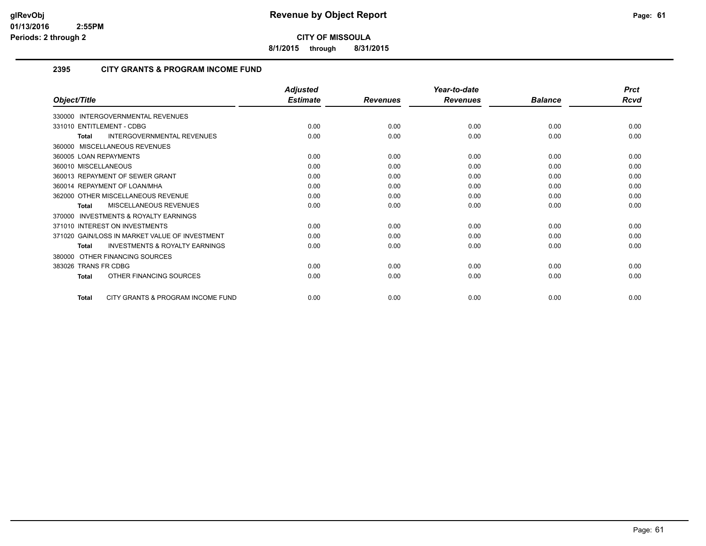**8/1/2015 through 8/31/2015**

#### **2395 CITY GRANTS & PROGRAM INCOME FUND**

|                                                           | <b>Adjusted</b> |                 | Year-to-date    |                | <b>Prct</b> |
|-----------------------------------------------------------|-----------------|-----------------|-----------------|----------------|-------------|
| Object/Title                                              | <b>Estimate</b> | <b>Revenues</b> | <b>Revenues</b> | <b>Balance</b> | Rcvd        |
| 330000 INTERGOVERNMENTAL REVENUES                         |                 |                 |                 |                |             |
| 331010 ENTITLEMENT - CDBG                                 | 0.00            | 0.00            | 0.00            | 0.00           | 0.00        |
| INTERGOVERNMENTAL REVENUES<br><b>Total</b>                | 0.00            | 0.00            | 0.00            | 0.00           | 0.00        |
| 360000 MISCELLANEOUS REVENUES                             |                 |                 |                 |                |             |
| 360005 LOAN REPAYMENTS                                    | 0.00            | 0.00            | 0.00            | 0.00           | 0.00        |
| 360010 MISCELLANEOUS                                      | 0.00            | 0.00            | 0.00            | 0.00           | 0.00        |
| 360013 REPAYMENT OF SEWER GRANT                           | 0.00            | 0.00            | 0.00            | 0.00           | 0.00        |
| 360014 REPAYMENT OF LOAN/MHA                              | 0.00            | 0.00            | 0.00            | 0.00           | 0.00        |
| 362000 OTHER MISCELLANEOUS REVENUE                        | 0.00            | 0.00            | 0.00            | 0.00           | 0.00        |
| MISCELLANEOUS REVENUES<br><b>Total</b>                    | 0.00            | 0.00            | 0.00            | 0.00           | 0.00        |
| <b>INVESTMENTS &amp; ROYALTY EARNINGS</b><br>370000       |                 |                 |                 |                |             |
| 371010 INTEREST ON INVESTMENTS                            | 0.00            | 0.00            | 0.00            | 0.00           | 0.00        |
| 371020 GAIN/LOSS IN MARKET VALUE OF INVESTMENT            | 0.00            | 0.00            | 0.00            | 0.00           | 0.00        |
| <b>INVESTMENTS &amp; ROYALTY EARNINGS</b><br><b>Total</b> | 0.00            | 0.00            | 0.00            | 0.00           | 0.00        |
| OTHER FINANCING SOURCES<br>380000                         |                 |                 |                 |                |             |
| 383026 TRANS FR CDBG                                      | 0.00            | 0.00            | 0.00            | 0.00           | 0.00        |
| OTHER FINANCING SOURCES<br><b>Total</b>                   | 0.00            | 0.00            | 0.00            | 0.00           | 0.00        |
| CITY GRANTS & PROGRAM INCOME FUND<br><b>Total</b>         | 0.00            | 0.00            | 0.00            | 0.00           | 0.00        |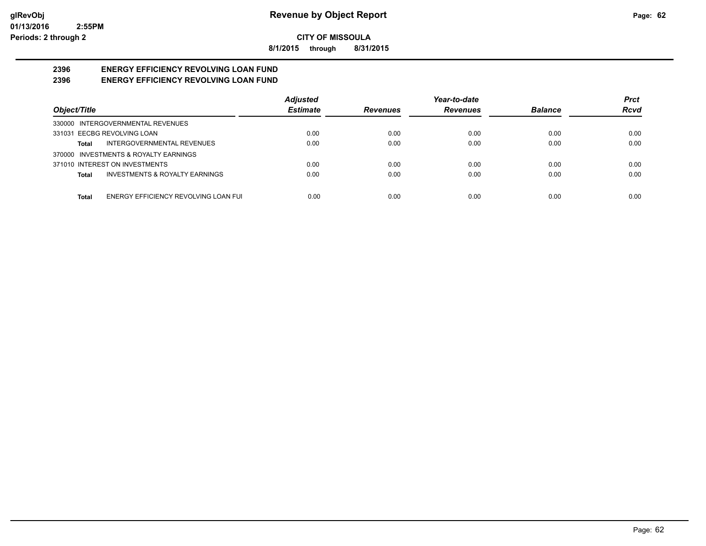**8/1/2015 through 8/31/2015**

#### **2396 ENERGY EFFICIENCY REVOLVING LOAN FUND 2396 ENERGY EFFICIENCY REVOLVING LOAN FUND**

|                                                    | <b>Adjusted</b> |                 | Year-to-date    |                | <b>Prct</b> |
|----------------------------------------------------|-----------------|-----------------|-----------------|----------------|-------------|
| Object/Title                                       | <b>Estimate</b> | <b>Revenues</b> | <b>Revenues</b> | <b>Balance</b> | Rcvd        |
| 330000 INTERGOVERNMENTAL REVENUES                  |                 |                 |                 |                |             |
| 331031 EECBG REVOLVING LOAN                        | 0.00            | 0.00            | 0.00            | 0.00           | 0.00        |
| INTERGOVERNMENTAL REVENUES<br>Total                | 0.00            | 0.00            | 0.00            | 0.00           | 0.00        |
| 370000 INVESTMENTS & ROYALTY EARNINGS              |                 |                 |                 |                |             |
| 371010 INTEREST ON INVESTMENTS                     | 0.00            | 0.00            | 0.00            | 0.00           | 0.00        |
| <b>INVESTMENTS &amp; ROYALTY EARNINGS</b><br>Total | 0.00            | 0.00            | 0.00            | 0.00           | 0.00        |
|                                                    |                 |                 |                 |                |             |
| ENERGY EFFICIENCY REVOLVING LOAN FUI<br>Total      | 0.00            | 0.00            | 0.00            | 0.00           | 0.00        |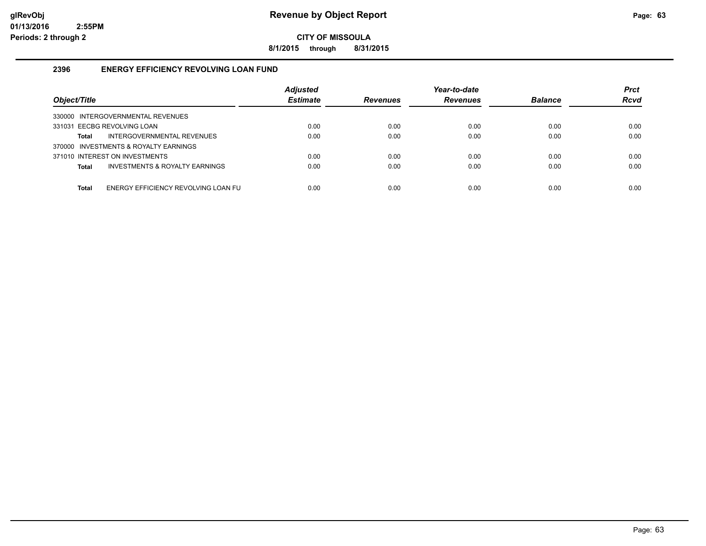**8/1/2015 through 8/31/2015**

#### **2396 ENERGY EFFICIENCY REVOLVING LOAN FUND**

| Object/Title                                   | <b>Adjusted</b><br><b>Estimate</b> | <b>Revenues</b> | Year-to-date<br><b>Revenues</b> | <b>Balance</b> | <b>Prct</b><br><b>Rcvd</b> |
|------------------------------------------------|------------------------------------|-----------------|---------------------------------|----------------|----------------------------|
| 330000 INTERGOVERNMENTAL REVENUES              |                                    |                 |                                 |                |                            |
| 331031 EECBG REVOLVING LOAN                    | 0.00                               | 0.00            | 0.00                            | 0.00           | 0.00                       |
| INTERGOVERNMENTAL REVENUES<br>Total            | 0.00                               | 0.00            | 0.00                            | 0.00           | 0.00                       |
| 370000 INVESTMENTS & ROYALTY EARNINGS          |                                    |                 |                                 |                |                            |
| 371010 INTEREST ON INVESTMENTS                 | 0.00                               | 0.00            | 0.00                            | 0.00           | 0.00                       |
| INVESTMENTS & ROYALTY EARNINGS<br><b>Total</b> | 0.00                               | 0.00            | 0.00                            | 0.00           | 0.00                       |
|                                                |                                    |                 |                                 |                |                            |
| ENERGY EFFICIENCY REVOLVING LOAN FU<br>Total   | 0.00                               | 0.00            | 0.00                            | 0.00           | 0.00                       |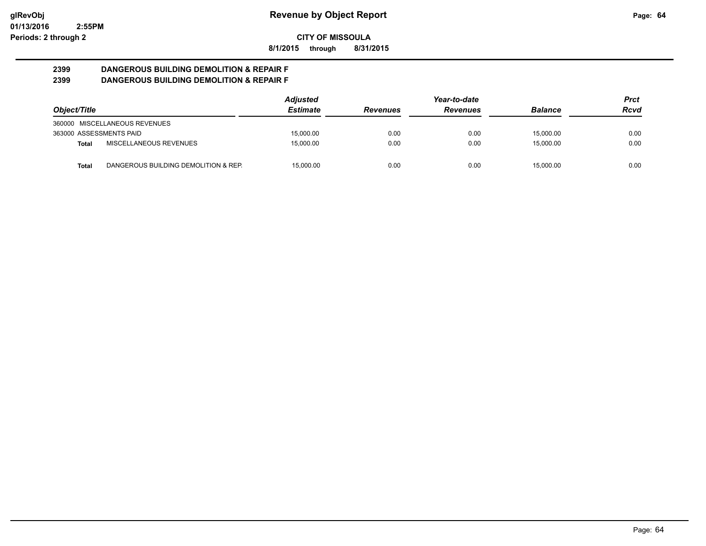**8/1/2015 through 8/31/2015**

#### **2399 DANGEROUS BUILDING DEMOLITION & REPAIR F 2399 DANGEROUS BUILDING DEMOLITION & REPAIR F**

|                         |                                      | <b>Adjusted</b> |                 | Year-to-date    |                | Prct |
|-------------------------|--------------------------------------|-----------------|-----------------|-----------------|----------------|------|
| Object/Title            |                                      | <b>Estimate</b> | <b>Revenues</b> | <b>Revenues</b> | <b>Balance</b> | Rcvd |
|                         | 360000 MISCELLANEOUS REVENUES        |                 |                 |                 |                |      |
| 363000 ASSESSMENTS PAID |                                      | 15.000.00       | 0.00            | 0.00            | 15.000.00      | 0.00 |
| Total                   | MISCELLANEOUS REVENUES               | 15.000.00       | 0.00            | 0.00            | 15.000.00      | 0.00 |
| <b>Total</b>            | DANGEROUS BUILDING DEMOLITION & REP. | 15.000.00       | 0.00            | 0.00            | 15.000.00      | 0.00 |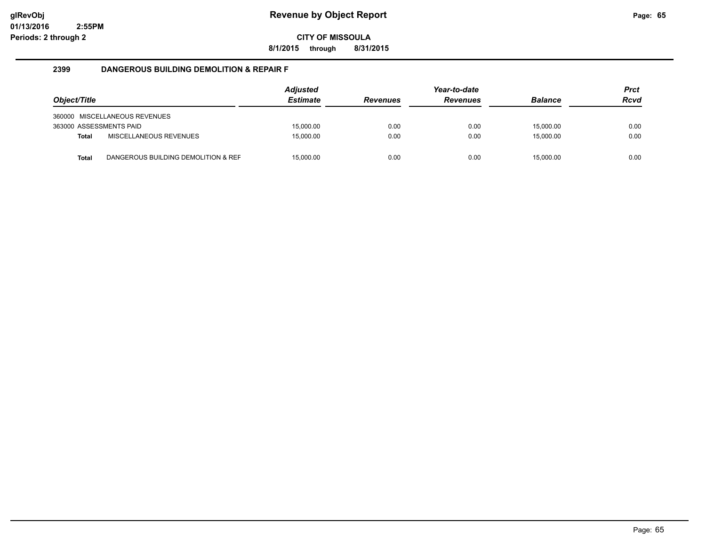**8/1/2015 through 8/31/2015**

#### **2399 DANGEROUS BUILDING DEMOLITION & REPAIR F**

| Object/Title            |                                     | Adjusted<br><b>Estimate</b> | <b>Revenues</b> | Year-to-date<br><b>Revenues</b> | <b>Balance</b> | <b>Prct</b><br><b>Rcvd</b> |
|-------------------------|-------------------------------------|-----------------------------|-----------------|---------------------------------|----------------|----------------------------|
|                         | 360000 MISCELLANEOUS REVENUES       |                             |                 |                                 |                |                            |
| 363000 ASSESSMENTS PAID |                                     | 15.000.00                   | 0.00            | 0.00                            | 15.000.00      | 0.00                       |
| <b>Total</b>            | <b>MISCELLANEOUS REVENUES</b>       | 15.000.00                   | 0.00            | 0.00                            | 15.000.00      | 0.00                       |
| Total                   | DANGEROUS BUILDING DEMOLITION & REF | 15,000.00                   | 0.00            | 0.00                            | 15,000.00      | 0.00                       |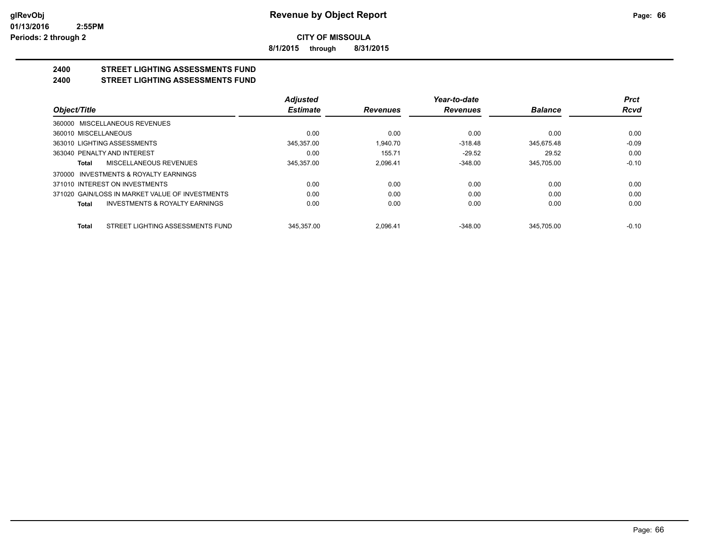**8/1/2015 through 8/31/2015**

#### **2400 STREET LIGHTING ASSESSMENTS FUND 2400 STREET LIGHTING ASSESSMENTS FUND**

|                                                 |                                           | <b>Adjusted</b> |                 | Year-to-date    |                | <b>Prct</b> |
|-------------------------------------------------|-------------------------------------------|-----------------|-----------------|-----------------|----------------|-------------|
| Object/Title                                    |                                           | <b>Estimate</b> | <b>Revenues</b> | <b>Revenues</b> | <b>Balance</b> | <b>Rcvd</b> |
| 360000 MISCELLANEOUS REVENUES                   |                                           |                 |                 |                 |                |             |
| 360010 MISCELLANEOUS                            |                                           | 0.00            | 0.00            | 0.00            | 0.00           | 0.00        |
| 363010 LIGHTING ASSESSMENTS                     |                                           | 345.357.00      | 1.940.70        | $-318.48$       | 345.675.48     | $-0.09$     |
| 363040 PENALTY AND INTEREST                     |                                           | 0.00            | 155.71          | $-29.52$        | 29.52          | 0.00        |
| MISCELLANEOUS REVENUES<br>Total                 |                                           | 345.357.00      | 2.096.41        | $-348.00$       | 345.705.00     | $-0.10$     |
| 370000 INVESTMENTS & ROYALTY EARNINGS           |                                           |                 |                 |                 |                |             |
| 371010 INTEREST ON INVESTMENTS                  |                                           | 0.00            | 0.00            | 0.00            | 0.00           | 0.00        |
| 371020 GAIN/LOSS IN MARKET VALUE OF INVESTMENTS |                                           | 0.00            | 0.00            | 0.00            | 0.00           | 0.00        |
| Total                                           | <b>INVESTMENTS &amp; ROYALTY EARNINGS</b> | 0.00            | 0.00            | 0.00            | 0.00           | 0.00        |
| <b>Total</b>                                    | STREET LIGHTING ASSESSMENTS FUND          | 345.357.00      | 2.096.41        | $-348.00$       | 345.705.00     | $-0.10$     |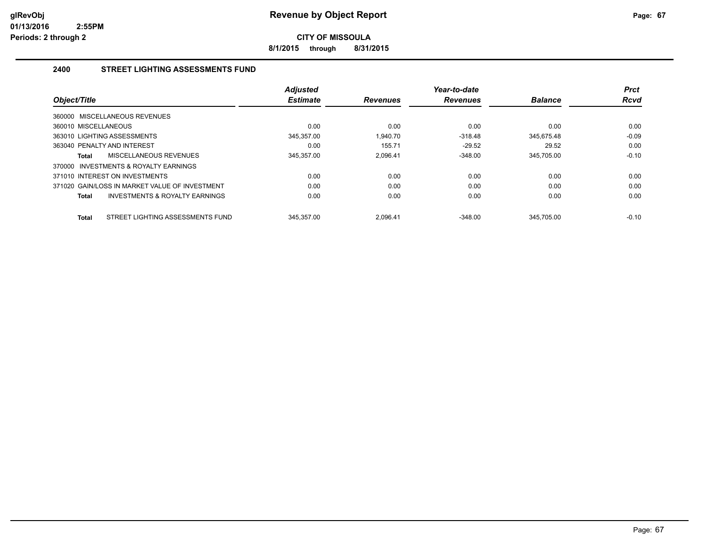**8/1/2015 through 8/31/2015**

#### **2400 STREET LIGHTING ASSESSMENTS FUND**

| Object/Title                                       | <b>Adjusted</b><br><b>Estimate</b> | <b>Revenues</b> | Year-to-date<br><b>Revenues</b> | <b>Balance</b> | <b>Prct</b><br><b>Rcvd</b> |
|----------------------------------------------------|------------------------------------|-----------------|---------------------------------|----------------|----------------------------|
| 360000 MISCELLANEOUS REVENUES                      |                                    |                 |                                 |                |                            |
| 360010 MISCELLANEOUS                               | 0.00                               | 0.00            | 0.00                            | 0.00           | 0.00                       |
| 363010 LIGHTING ASSESSMENTS                        | 345.357.00                         | 1.940.70        | $-318.48$                       | 345.675.48     | $-0.09$                    |
| 363040 PENALTY AND INTEREST                        | 0.00                               | 155.71          | $-29.52$                        | 29.52          | 0.00                       |
| MISCELLANEOUS REVENUES<br>Total                    | 345.357.00                         | 2.096.41        | $-348.00$                       | 345.705.00     | $-0.10$                    |
| 370000 INVESTMENTS & ROYALTY EARNINGS              |                                    |                 |                                 |                |                            |
| 371010 INTEREST ON INVESTMENTS                     | 0.00                               | 0.00            | 0.00                            | 0.00           | 0.00                       |
| 371020 GAIN/LOSS IN MARKET VALUE OF INVESTMENT     | 0.00                               | 0.00            | 0.00                            | 0.00           | 0.00                       |
| <b>INVESTMENTS &amp; ROYALTY EARNINGS</b><br>Total | 0.00                               | 0.00            | 0.00                            | 0.00           | 0.00                       |
| STREET LIGHTING ASSESSMENTS FUND<br><b>Total</b>   | 345.357.00                         | 2.096.41        | $-348.00$                       | 345.705.00     | $-0.10$                    |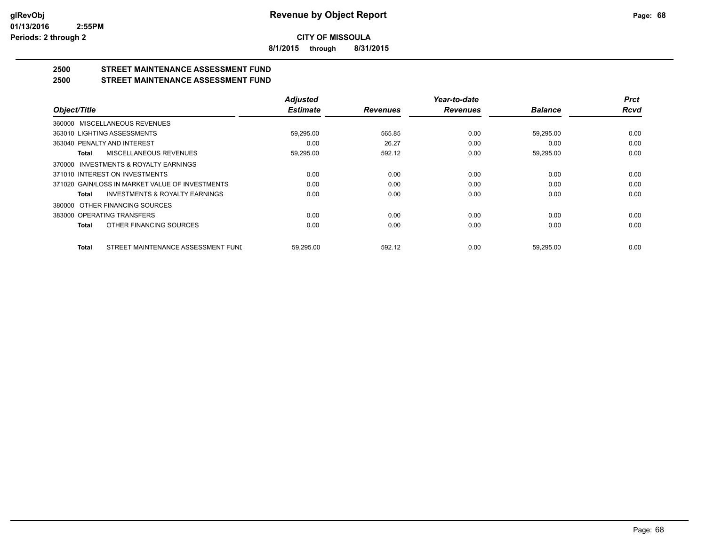**8/1/2015 through 8/31/2015**

## **2500 STREET MAINTENANCE ASSESSMENT FUND**

#### **2500 STREET MAINTENANCE ASSESSMENT FUND**

|                                                    | <b>Adjusted</b> |                 | Year-to-date    |                | <b>Prct</b> |
|----------------------------------------------------|-----------------|-----------------|-----------------|----------------|-------------|
| Object/Title                                       | <b>Estimate</b> | <b>Revenues</b> | <b>Revenues</b> | <b>Balance</b> | <b>Rcvd</b> |
| 360000 MISCELLANEOUS REVENUES                      |                 |                 |                 |                |             |
| 363010 LIGHTING ASSESSMENTS                        | 59,295.00       | 565.85          | 0.00            | 59,295.00      | 0.00        |
| 363040 PENALTY AND INTEREST                        | 0.00            | 26.27           | 0.00            | 0.00           | 0.00        |
| <b>MISCELLANEOUS REVENUES</b><br>Total             | 59,295.00       | 592.12          | 0.00            | 59,295.00      | 0.00        |
| 370000 INVESTMENTS & ROYALTY EARNINGS              |                 |                 |                 |                |             |
| 371010 INTEREST ON INVESTMENTS                     | 0.00            | 0.00            | 0.00            | 0.00           | 0.00        |
| 371020 GAIN/LOSS IN MARKET VALUE OF INVESTMENTS    | 0.00            | 0.00            | 0.00            | 0.00           | 0.00        |
| <b>INVESTMENTS &amp; ROYALTY EARNINGS</b><br>Total | 0.00            | 0.00            | 0.00            | 0.00           | 0.00        |
| OTHER FINANCING SOURCES<br>380000                  |                 |                 |                 |                |             |
| 383000 OPERATING TRANSFERS                         | 0.00            | 0.00            | 0.00            | 0.00           | 0.00        |
| OTHER FINANCING SOURCES<br>Total                   | 0.00            | 0.00            | 0.00            | 0.00           | 0.00        |
| STREET MAINTENANCE ASSESSMENT FUND<br><b>Total</b> | 59.295.00       | 592.12          | 0.00            | 59.295.00      | 0.00        |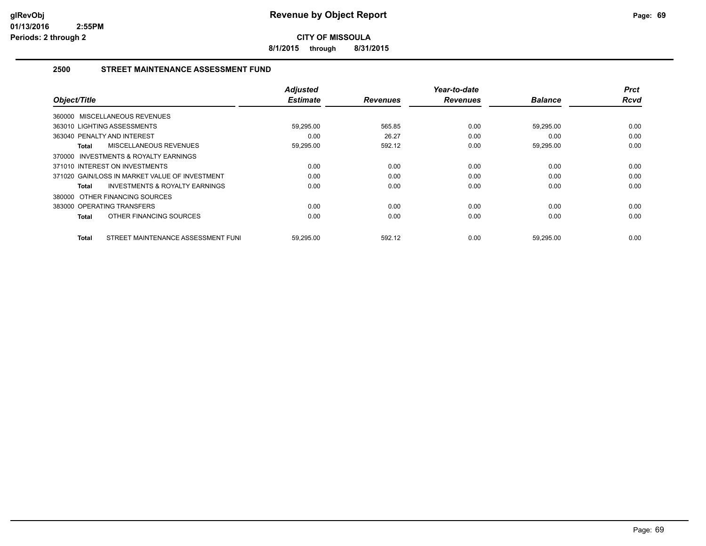**8/1/2015 through 8/31/2015**

#### **2500 STREET MAINTENANCE ASSESSMENT FUND**

| Object/Title                                       | <b>Adjusted</b><br><b>Estimate</b> | <b>Revenues</b> | Year-to-date<br><b>Revenues</b> | <b>Balance</b> | <b>Prct</b><br><b>Rcvd</b> |
|----------------------------------------------------|------------------------------------|-----------------|---------------------------------|----------------|----------------------------|
| 360000 MISCELLANEOUS REVENUES                      |                                    |                 |                                 |                |                            |
| 363010 LIGHTING ASSESSMENTS                        | 59,295.00                          | 565.85          | 0.00                            | 59,295.00      | 0.00                       |
| 363040 PENALTY AND INTEREST                        | 0.00                               | 26.27           | 0.00                            | 0.00           | 0.00                       |
| MISCELLANEOUS REVENUES<br>Total                    | 59,295.00                          | 592.12          | 0.00                            | 59,295.00      | 0.00                       |
| 370000 INVESTMENTS & ROYALTY EARNINGS              |                                    |                 |                                 |                |                            |
| 371010 INTEREST ON INVESTMENTS                     | 0.00                               | 0.00            | 0.00                            | 0.00           | 0.00                       |
| 371020 GAIN/LOSS IN MARKET VALUE OF INVESTMENT     | 0.00                               | 0.00            | 0.00                            | 0.00           | 0.00                       |
| <b>INVESTMENTS &amp; ROYALTY EARNINGS</b><br>Total | 0.00                               | 0.00            | 0.00                            | 0.00           | 0.00                       |
| 380000 OTHER FINANCING SOURCES                     |                                    |                 |                                 |                |                            |
| 383000 OPERATING TRANSFERS                         | 0.00                               | 0.00            | 0.00                            | 0.00           | 0.00                       |
| OTHER FINANCING SOURCES<br>Total                   | 0.00                               | 0.00            | 0.00                            | 0.00           | 0.00                       |
| STREET MAINTENANCE ASSESSMENT FUNI<br>Total        | 59,295.00                          | 592.12          | 0.00                            | 59,295.00      | 0.00                       |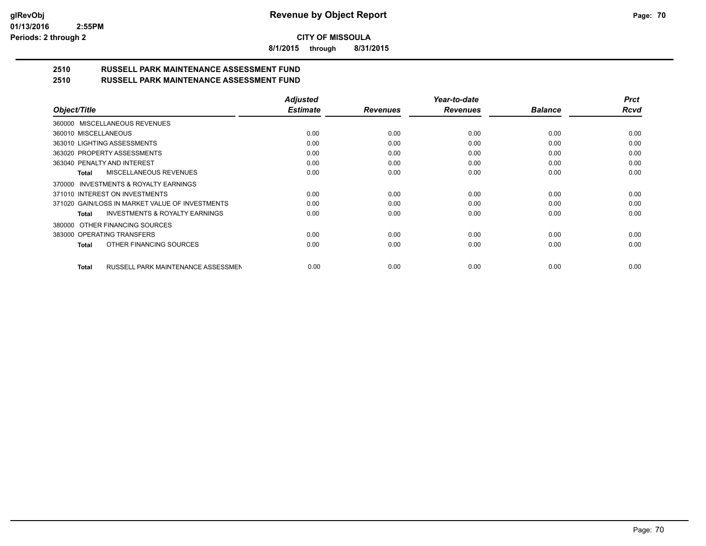**8/1/2015 through 8/31/2015**

# **2510 RUSSELL PARK MAINTENANCE ASSESSMENT FUND**

| 2510 | <b>RUSSELL PARK MAINTENANCE ASSESSMENT FUND</b> |  |
|------|-------------------------------------------------|--|
|      |                                                 |  |

|                                                    | <b>Adjusted</b> |                 | Year-to-date    |                | <b>Prct</b> |
|----------------------------------------------------|-----------------|-----------------|-----------------|----------------|-------------|
| Object/Title                                       | <b>Estimate</b> | <b>Revenues</b> | <b>Revenues</b> | <b>Balance</b> | <b>Rcvd</b> |
| 360000 MISCELLANEOUS REVENUES                      |                 |                 |                 |                |             |
| 360010 MISCELLANEOUS                               | 0.00            | 0.00            | 0.00            | 0.00           | 0.00        |
| 363010 LIGHTING ASSESSMENTS                        | 0.00            | 0.00            | 0.00            | 0.00           | 0.00        |
| 363020 PROPERTY ASSESSMENTS                        | 0.00            | 0.00            | 0.00            | 0.00           | 0.00        |
| 363040 PENALTY AND INTEREST                        | 0.00            | 0.00            | 0.00            | 0.00           | 0.00        |
| <b>MISCELLANEOUS REVENUES</b><br>Total             | 0.00            | 0.00            | 0.00            | 0.00           | 0.00        |
| INVESTMENTS & ROYALTY EARNINGS<br>370000           |                 |                 |                 |                |             |
| 371010 INTEREST ON INVESTMENTS                     | 0.00            | 0.00            | 0.00            | 0.00           | 0.00        |
| 371020 GAIN/LOSS IN MARKET VALUE OF INVESTMENTS    | 0.00            | 0.00            | 0.00            | 0.00           | 0.00        |
| <b>INVESTMENTS &amp; ROYALTY EARNINGS</b><br>Total | 0.00            | 0.00            | 0.00            | 0.00           | 0.00        |
| OTHER FINANCING SOURCES<br>380000                  |                 |                 |                 |                |             |
| 383000 OPERATING TRANSFERS                         | 0.00            | 0.00            | 0.00            | 0.00           | 0.00        |
| OTHER FINANCING SOURCES<br>Total                   | 0.00            | 0.00            | 0.00            | 0.00           | 0.00        |
|                                                    |                 |                 |                 |                |             |
| RUSSELL PARK MAINTENANCE ASSESSMEN<br><b>Total</b> | 0.00            | 0.00            | 0.00            | 0.00           | 0.00        |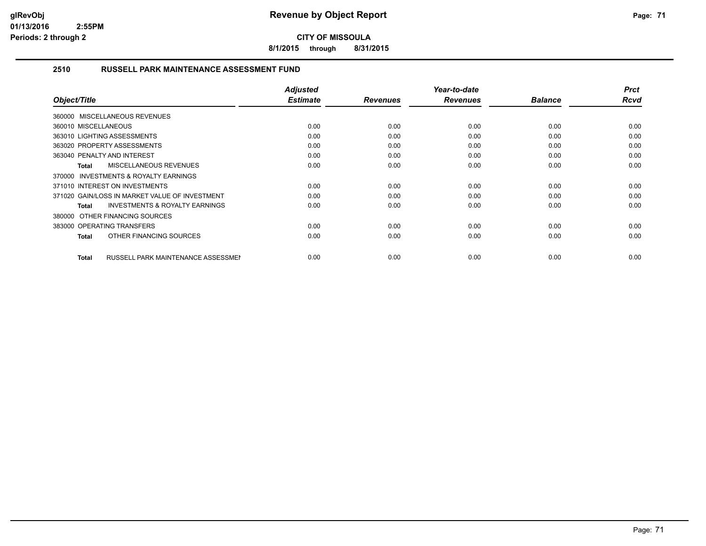**8/1/2015 through 8/31/2015**

#### **2510 RUSSELL PARK MAINTENANCE ASSESSMENT FUND**

| Object/Title                                       | <b>Adjusted</b><br><b>Estimate</b> | <b>Revenues</b> | Year-to-date<br><b>Revenues</b> | <b>Balance</b> | <b>Prct</b><br><b>Rcvd</b> |
|----------------------------------------------------|------------------------------------|-----------------|---------------------------------|----------------|----------------------------|
| 360000 MISCELLANEOUS REVENUES                      |                                    |                 |                                 |                |                            |
| 360010 MISCELLANEOUS                               | 0.00                               | 0.00            | 0.00                            | 0.00           | 0.00                       |
| 363010 LIGHTING ASSESSMENTS                        | 0.00                               | 0.00            | 0.00                            | 0.00           | 0.00                       |
| 363020 PROPERTY ASSESSMENTS                        | 0.00                               | 0.00            | 0.00                            | 0.00           | 0.00                       |
| 363040 PENALTY AND INTEREST                        | 0.00                               | 0.00            | 0.00                            | 0.00           | 0.00                       |
| <b>MISCELLANEOUS REVENUES</b><br><b>Total</b>      | 0.00                               | 0.00            | 0.00                            | 0.00           | 0.00                       |
| 370000 INVESTMENTS & ROYALTY EARNINGS              |                                    |                 |                                 |                |                            |
| 371010 INTEREST ON INVESTMENTS                     | 0.00                               | 0.00            | 0.00                            | 0.00           | 0.00                       |
| 371020 GAIN/LOSS IN MARKET VALUE OF INVESTMENT     | 0.00                               | 0.00            | 0.00                            | 0.00           | 0.00                       |
| <b>INVESTMENTS &amp; ROYALTY EARNINGS</b><br>Total | 0.00                               | 0.00            | 0.00                            | 0.00           | 0.00                       |
| 380000 OTHER FINANCING SOURCES                     |                                    |                 |                                 |                |                            |
| 383000 OPERATING TRANSFERS                         | 0.00                               | 0.00            | 0.00                            | 0.00           | 0.00                       |
| OTHER FINANCING SOURCES<br>Total                   | 0.00                               | 0.00            | 0.00                            | 0.00           | 0.00                       |
|                                                    |                                    |                 |                                 |                |                            |
| <b>RUSSELL PARK MAINTENANCE ASSESSMEN</b><br>Total | 0.00                               | 0.00            | 0.00                            | 0.00           | 0.00                       |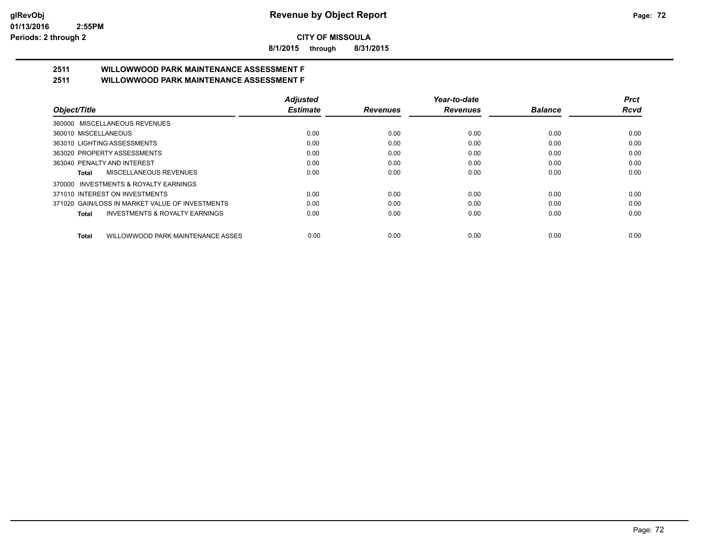**8/1/2015 through 8/31/2015**

# **2511 WILLOWWOOD PARK MAINTENANCE ASSESSMENT F**

**2511 WILLOWWOOD PARK MAINTENANCE ASSESSMENT F**

| Object/Title                                       | <b>Adjusted</b> |                 | Year-to-date    |                | Prct |
|----------------------------------------------------|-----------------|-----------------|-----------------|----------------|------|
|                                                    | <b>Estimate</b> | <b>Revenues</b> | <b>Revenues</b> | <b>Balance</b> | Rcvd |
| 360000 MISCELLANEOUS REVENUES                      |                 |                 |                 |                |      |
| 360010 MISCELLANEOUS                               | 0.00            | 0.00            | 0.00            | 0.00           | 0.00 |
| 363010 LIGHTING ASSESSMENTS                        | 0.00            | 0.00            | 0.00            | 0.00           | 0.00 |
| 363020 PROPERTY ASSESSMENTS                        | 0.00            | 0.00            | 0.00            | 0.00           | 0.00 |
| 363040 PENALTY AND INTEREST                        | 0.00            | 0.00            | 0.00            | 0.00           | 0.00 |
| MISCELLANEOUS REVENUES<br>Total                    | 0.00            | 0.00            | 0.00            | 0.00           | 0.00 |
| 370000 INVESTMENTS & ROYALTY EARNINGS              |                 |                 |                 |                |      |
| 371010 INTEREST ON INVESTMENTS                     | 0.00            | 0.00            | 0.00            | 0.00           | 0.00 |
| 371020 GAIN/LOSS IN MARKET VALUE OF INVESTMENTS    | 0.00            | 0.00            | 0.00            | 0.00           | 0.00 |
| <b>INVESTMENTS &amp; ROYALTY EARNINGS</b><br>Total | 0.00            | 0.00            | 0.00            | 0.00           | 0.00 |
| WILLOWWOOD PARK MAINTENANCE ASSES<br><b>Total</b>  | 0.00            | 0.00            | 0.00            | 0.00           | 0.00 |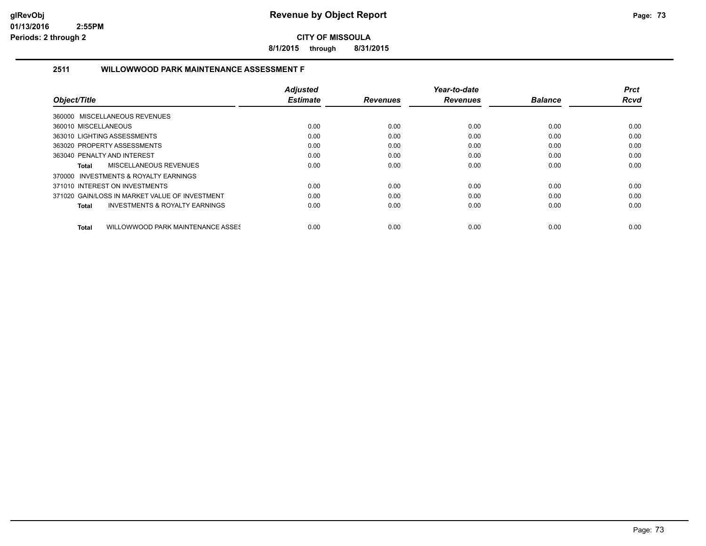**8/1/2015 through 8/31/2015**

## **2511 WILLOWWOOD PARK MAINTENANCE ASSESSMENT F**

|                                                    | <b>Adjusted</b> |                 | Year-to-date    |                | <b>Prct</b> |
|----------------------------------------------------|-----------------|-----------------|-----------------|----------------|-------------|
| Object/Title                                       | <b>Estimate</b> | <b>Revenues</b> | <b>Revenues</b> | <b>Balance</b> | <b>Rcvd</b> |
| 360000 MISCELLANEOUS REVENUES                      |                 |                 |                 |                |             |
| 360010 MISCELLANEOUS                               | 0.00            | 0.00            | 0.00            | 0.00           | 0.00        |
| 363010 LIGHTING ASSESSMENTS                        | 0.00            | 0.00            | 0.00            | 0.00           | 0.00        |
| 363020 PROPERTY ASSESSMENTS                        | 0.00            | 0.00            | 0.00            | 0.00           | 0.00        |
| 363040 PENALTY AND INTEREST                        | 0.00            | 0.00            | 0.00            | 0.00           | 0.00        |
| <b>MISCELLANEOUS REVENUES</b><br>Total             | 0.00            | 0.00            | 0.00            | 0.00           | 0.00        |
| 370000 INVESTMENTS & ROYALTY EARNINGS              |                 |                 |                 |                |             |
| 371010 INTEREST ON INVESTMENTS                     | 0.00            | 0.00            | 0.00            | 0.00           | 0.00        |
| 371020 GAIN/LOSS IN MARKET VALUE OF INVESTMENT     | 0.00            | 0.00            | 0.00            | 0.00           | 0.00        |
| <b>INVESTMENTS &amp; ROYALTY EARNINGS</b><br>Total | 0.00            | 0.00            | 0.00            | 0.00           | 0.00        |
| WILLOWWOOD PARK MAINTENANCE ASSES<br><b>Total</b>  | 0.00            | 0.00            | 0.00            | 0.00           | 0.00        |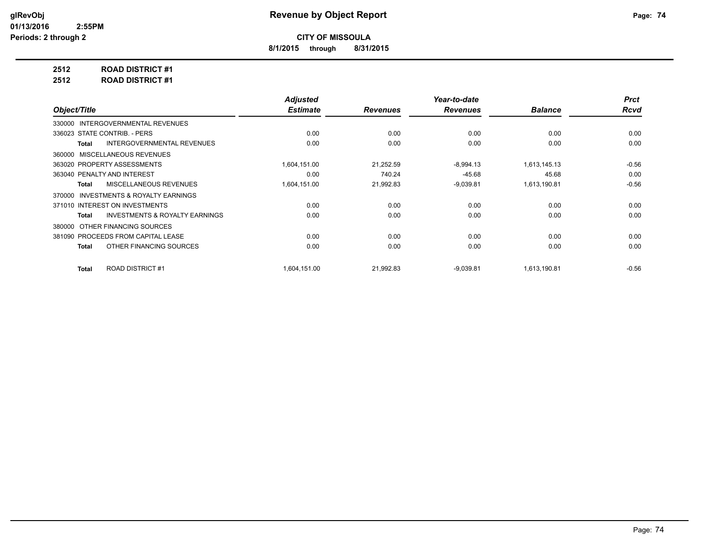**8/1/2015 through 8/31/2015**

**2512 ROAD DISTRICT #1**

**2512 ROAD DISTRICT #1**

|                                                    | <b>Adjusted</b> |                 | Year-to-date    |                | <b>Prct</b> |
|----------------------------------------------------|-----------------|-----------------|-----------------|----------------|-------------|
| Object/Title                                       | <b>Estimate</b> | <b>Revenues</b> | <b>Revenues</b> | <b>Balance</b> | <b>Rcvd</b> |
| 330000 INTERGOVERNMENTAL REVENUES                  |                 |                 |                 |                |             |
| 336023 STATE CONTRIB. - PERS                       | 0.00            | 0.00            | 0.00            | 0.00           | 0.00        |
| <b>INTERGOVERNMENTAL REVENUES</b><br>Total         | 0.00            | 0.00            | 0.00            | 0.00           | 0.00        |
| 360000 MISCELLANEOUS REVENUES                      |                 |                 |                 |                |             |
| 363020 PROPERTY ASSESSMENTS                        | 1,604,151.00    | 21,252.59       | $-8,994.13$     | 1,613,145.13   | $-0.56$     |
| 363040 PENALTY AND INTEREST                        | 0.00            | 740.24          | $-45.68$        | 45.68          | 0.00        |
| MISCELLANEOUS REVENUES<br><b>Total</b>             | 1,604,151.00    | 21,992.83       | $-9,039.81$     | 1,613,190.81   | $-0.56$     |
| INVESTMENTS & ROYALTY EARNINGS<br>370000           |                 |                 |                 |                |             |
| 371010 INTEREST ON INVESTMENTS                     | 0.00            | 0.00            | 0.00            | 0.00           | 0.00        |
| <b>INVESTMENTS &amp; ROYALTY EARNINGS</b><br>Total | 0.00            | 0.00            | 0.00            | 0.00           | 0.00        |
| OTHER FINANCING SOURCES<br>380000                  |                 |                 |                 |                |             |
| 381090 PROCEEDS FROM CAPITAL LEASE                 | 0.00            | 0.00            | 0.00            | 0.00           | 0.00        |
| OTHER FINANCING SOURCES<br>Total                   | 0.00            | 0.00            | 0.00            | 0.00           | 0.00        |
| <b>ROAD DISTRICT #1</b><br><b>Total</b>            | 1.604.151.00    | 21.992.83       | $-9,039.81$     | 1,613,190.81   | $-0.56$     |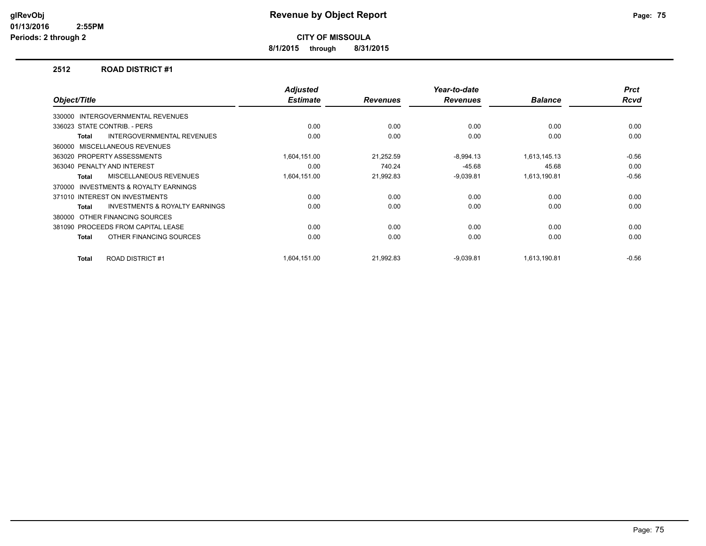**8/1/2015 through 8/31/2015**

#### **2512 ROAD DISTRICT #1**

| Object/Title |                                           | <b>Adjusted</b><br><b>Estimate</b> | <b>Revenues</b> | Year-to-date<br><b>Revenues</b> | <b>Balance</b> | <b>Prct</b><br><b>Rcvd</b> |
|--------------|-------------------------------------------|------------------------------------|-----------------|---------------------------------|----------------|----------------------------|
| 330000       | <b>INTERGOVERNMENTAL REVENUES</b>         |                                    |                 |                                 |                |                            |
|              | 336023 STATE CONTRIB. - PERS              | 0.00                               | 0.00            | 0.00                            | 0.00           | 0.00                       |
| Total        | <b>INTERGOVERNMENTAL REVENUES</b>         | 0.00                               | 0.00            | 0.00                            | 0.00           | 0.00                       |
|              | 360000 MISCELLANEOUS REVENUES             |                                    |                 |                                 |                |                            |
|              | 363020 PROPERTY ASSESSMENTS               | 1,604,151.00                       | 21,252.59       | $-8,994.13$                     | 1,613,145.13   | $-0.56$                    |
|              | 363040 PENALTY AND INTEREST               | 0.00                               | 740.24          | $-45.68$                        | 45.68          | 0.00                       |
| <b>Total</b> | <b>MISCELLANEOUS REVENUES</b>             | 1,604,151.00                       | 21,992.83       | $-9,039.81$                     | 1,613,190.81   | $-0.56$                    |
| 370000       | <b>INVESTMENTS &amp; ROYALTY EARNINGS</b> |                                    |                 |                                 |                |                            |
|              | 371010 INTEREST ON INVESTMENTS            | 0.00                               | 0.00            | 0.00                            | 0.00           | 0.00                       |
| Total        | <b>INVESTMENTS &amp; ROYALTY EARNINGS</b> | 0.00                               | 0.00            | 0.00                            | 0.00           | 0.00                       |
| 380000       | OTHER FINANCING SOURCES                   |                                    |                 |                                 |                |                            |
|              | 381090 PROCEEDS FROM CAPITAL LEASE        | 0.00                               | 0.00            | 0.00                            | 0.00           | 0.00                       |
| Total        | OTHER FINANCING SOURCES                   | 0.00                               | 0.00            | 0.00                            | 0.00           | 0.00                       |
| Total        | <b>ROAD DISTRICT #1</b>                   | 1,604,151.00                       | 21,992.83       | $-9,039.81$                     | 1,613,190.81   | $-0.56$                    |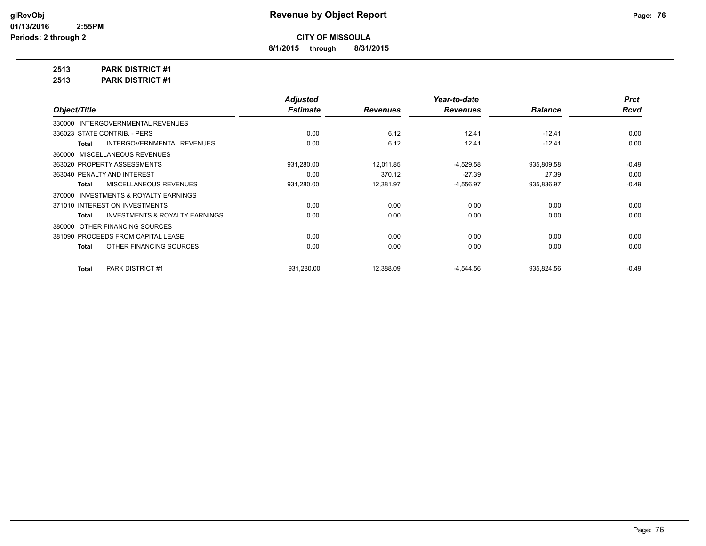**8/1/2015 through 8/31/2015**

**2513 PARK DISTRICT #1**

**2513 PARK DISTRICT #1**

|                                                    | <b>Adjusted</b> |                 | Year-to-date    |                | <b>Prct</b> |
|----------------------------------------------------|-----------------|-----------------|-----------------|----------------|-------------|
| Object/Title                                       | <b>Estimate</b> | <b>Revenues</b> | <b>Revenues</b> | <b>Balance</b> | <b>Rcvd</b> |
| 330000 INTERGOVERNMENTAL REVENUES                  |                 |                 |                 |                |             |
| 336023 STATE CONTRIB. - PERS                       | 0.00            | 6.12            | 12.41           | $-12.41$       | 0.00        |
| <b>INTERGOVERNMENTAL REVENUES</b><br>Total         | 0.00            | 6.12            | 12.41           | $-12.41$       | 0.00        |
| 360000 MISCELLANEOUS REVENUES                      |                 |                 |                 |                |             |
| 363020 PROPERTY ASSESSMENTS                        | 931,280.00      | 12.011.85       | $-4,529.58$     | 935,809.58     | $-0.49$     |
| 363040 PENALTY AND INTEREST                        | 0.00            | 370.12          | $-27.39$        | 27.39          | 0.00        |
| MISCELLANEOUS REVENUES<br>Total                    | 931,280.00      | 12,381.97       | $-4,556.97$     | 935,836.97     | $-0.49$     |
| 370000 INVESTMENTS & ROYALTY EARNINGS              |                 |                 |                 |                |             |
| 371010 INTEREST ON INVESTMENTS                     | 0.00            | 0.00            | 0.00            | 0.00           | 0.00        |
| <b>INVESTMENTS &amp; ROYALTY EARNINGS</b><br>Total | 0.00            | 0.00            | 0.00            | 0.00           | 0.00        |
| 380000 OTHER FINANCING SOURCES                     |                 |                 |                 |                |             |
| 381090 PROCEEDS FROM CAPITAL LEASE                 | 0.00            | 0.00            | 0.00            | 0.00           | 0.00        |
| OTHER FINANCING SOURCES<br>Total                   | 0.00            | 0.00            | 0.00            | 0.00           | 0.00        |
|                                                    |                 |                 |                 |                |             |
| <b>PARK DISTRICT #1</b><br><b>Total</b>            | 931,280.00      | 12,388.09       | $-4,544.56$     | 935,824.56     | $-0.49$     |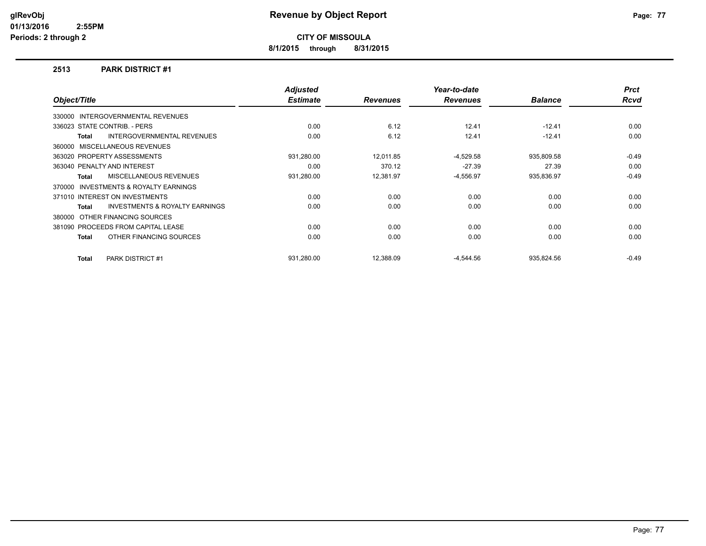**8/1/2015 through 8/31/2015**

#### **2513 PARK DISTRICT #1**

|              |                                           | <b>Adjusted</b> |                 | Year-to-date    |                | <b>Prct</b> |
|--------------|-------------------------------------------|-----------------|-----------------|-----------------|----------------|-------------|
| Object/Title |                                           | <b>Estimate</b> | <b>Revenues</b> | <b>Revenues</b> | <b>Balance</b> | <b>Rcvd</b> |
|              | 330000 INTERGOVERNMENTAL REVENUES         |                 |                 |                 |                |             |
|              | 336023 STATE CONTRIB. - PERS              | 0.00            | 6.12            | 12.41           | $-12.41$       | 0.00        |
| Total        | <b>INTERGOVERNMENTAL REVENUES</b>         | 0.00            | 6.12            | 12.41           | $-12.41$       | 0.00        |
|              | 360000 MISCELLANEOUS REVENUES             |                 |                 |                 |                |             |
|              | 363020 PROPERTY ASSESSMENTS               | 931,280.00      | 12.011.85       | $-4,529.58$     | 935,809.58     | $-0.49$     |
|              | 363040 PENALTY AND INTEREST               | 0.00            | 370.12          | $-27.39$        | 27.39          | 0.00        |
| Total        | MISCELLANEOUS REVENUES                    | 931,280.00      | 12,381.97       | $-4,556.97$     | 935,836.97     | $-0.49$     |
|              | 370000 INVESTMENTS & ROYALTY EARNINGS     |                 |                 |                 |                |             |
|              | 371010 INTEREST ON INVESTMENTS            | 0.00            | 0.00            | 0.00            | 0.00           | 0.00        |
| Total        | <b>INVESTMENTS &amp; ROYALTY EARNINGS</b> | 0.00            | 0.00            | 0.00            | 0.00           | 0.00        |
|              | 380000 OTHER FINANCING SOURCES            |                 |                 |                 |                |             |
|              | 381090 PROCEEDS FROM CAPITAL LEASE        | 0.00            | 0.00            | 0.00            | 0.00           | 0.00        |
| Total        | OTHER FINANCING SOURCES                   | 0.00            | 0.00            | 0.00            | 0.00           | 0.00        |
| Total        | <b>PARK DISTRICT #1</b>                   | 931.280.00      | 12.388.09       | $-4,544.56$     | 935.824.56     | $-0.49$     |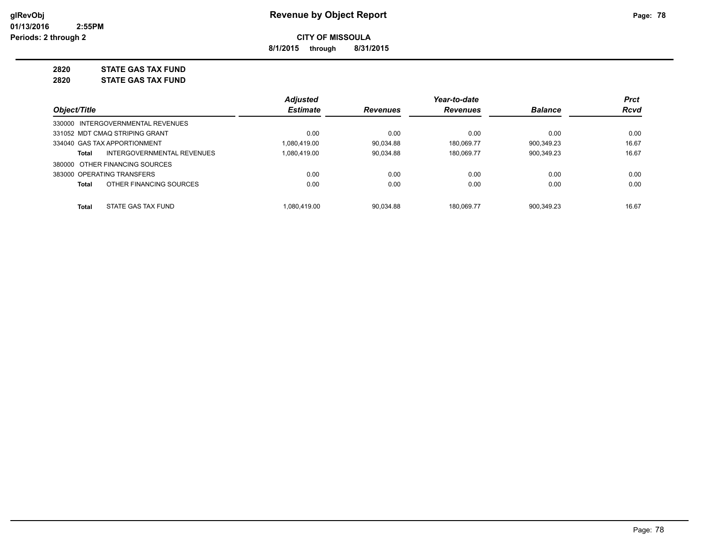**8/1/2015 through 8/31/2015**

## **2820 STATE GAS TAX FUND**

**2820 STATE GAS TAX FUND**

|                                   |                            | <b>Adjusted</b> |                 | Year-to-date    |                | <b>Prct</b> |
|-----------------------------------|----------------------------|-----------------|-----------------|-----------------|----------------|-------------|
| Object/Title                      |                            | <b>Estimate</b> | <b>Revenues</b> | <b>Revenues</b> | <b>Balance</b> | Rcvd        |
| 330000 INTERGOVERNMENTAL REVENUES |                            |                 |                 |                 |                |             |
| 331052 MDT CMAQ STRIPING GRANT    |                            | 0.00            | 0.00            | 0.00            | 0.00           | 0.00        |
| 334040 GAS TAX APPORTIONMENT      |                            | 1.080.419.00    | 90.034.88       | 180.069.77      | 900.349.23     | 16.67       |
| Total                             | INTERGOVERNMENTAL REVENUES | 1,080,419.00    | 90.034.88       | 180.069.77      | 900,349.23     | 16.67       |
| 380000 OTHER FINANCING SOURCES    |                            |                 |                 |                 |                |             |
| 383000 OPERATING TRANSFERS        |                            | 0.00            | 0.00            | 0.00            | 0.00           | 0.00        |
| Total                             | OTHER FINANCING SOURCES    | 0.00            | 0.00            | 0.00            | 0.00           | 0.00        |
| STATE GAS TAX FUND<br>Total       |                            | 1.080.419.00    | 90.034.88       | 180.069.77      | 900.349.23     | 16.67       |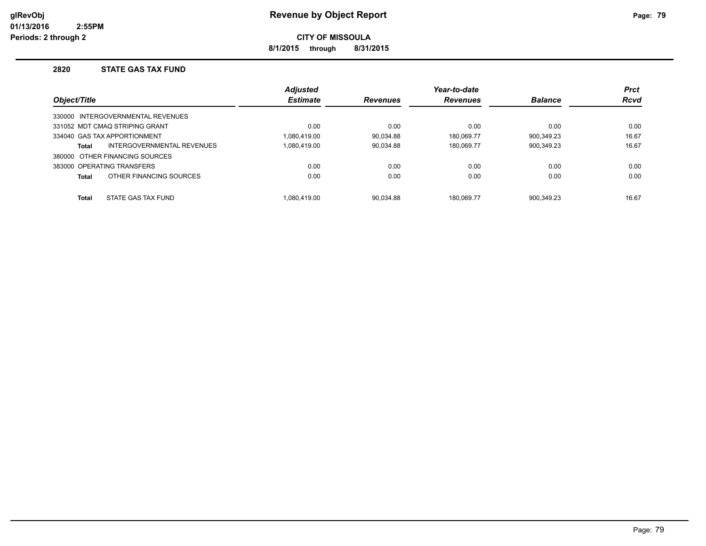**8/1/2015 through 8/31/2015**

#### **2820 STATE GAS TAX FUND**

|              |                                   | <b>Adjusted</b> |                 | Year-to-date    |                | <b>Prct</b> |
|--------------|-----------------------------------|-----------------|-----------------|-----------------|----------------|-------------|
| Object/Title |                                   | <b>Estimate</b> | <b>Revenues</b> | <b>Revenues</b> | <b>Balance</b> | <b>Rcvd</b> |
|              | 330000 INTERGOVERNMENTAL REVENUES |                 |                 |                 |                |             |
|              | 331052 MDT CMAQ STRIPING GRANT    | 0.00            | 0.00            | 0.00            | 0.00           | 0.00        |
|              | 334040 GAS TAX APPORTIONMENT      | 1.080.419.00    | 90.034.88       | 180.069.77      | 900.349.23     | 16.67       |
| <b>Total</b> | INTERGOVERNMENTAL REVENUES        | 1.080.419.00    | 90.034.88       | 180.069.77      | 900.349.23     | 16.67       |
|              | 380000 OTHER FINANCING SOURCES    |                 |                 |                 |                |             |
|              | 383000 OPERATING TRANSFERS        | 0.00            | 0.00            | 0.00            | 0.00           | 0.00        |
| <b>Total</b> | OTHER FINANCING SOURCES           | 0.00            | 0.00            | 0.00            | 0.00           | 0.00        |
| <b>Total</b> | STATE GAS TAX FUND                | 1.080.419.00    | 90.034.88       | 180.069.77      | 900.349.23     | 16.67       |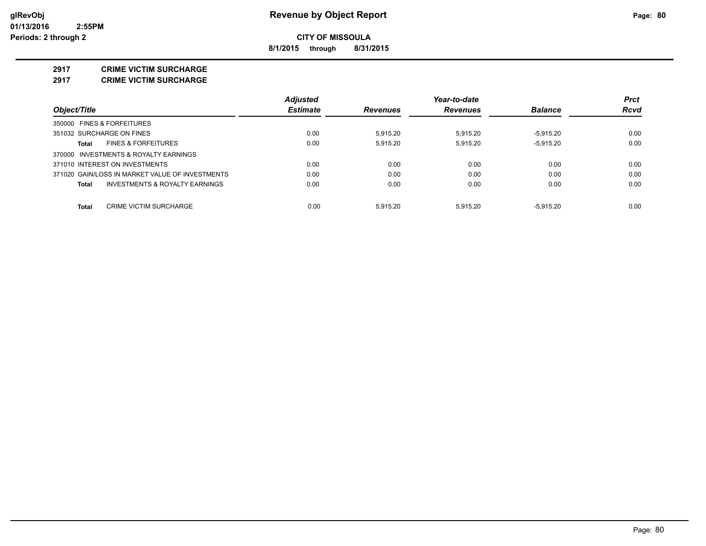**8/1/2015 through 8/31/2015**

#### **2917 CRIME VICTIM SURCHARGE**

**2917 CRIME VICTIM SURCHARGE**

|                                                 | <b>Adjusted</b> |                 | Year-to-date    |                | <b>Prct</b> |
|-------------------------------------------------|-----------------|-----------------|-----------------|----------------|-------------|
| Object/Title                                    | <b>Estimate</b> | <b>Revenues</b> | <b>Revenues</b> | <b>Balance</b> | Rcvd        |
| 350000 FINES & FORFEITURES                      |                 |                 |                 |                |             |
| 351032 SURCHARGE ON FINES                       | 0.00            | 5.915.20        | 5.915.20        | $-5.915.20$    | 0.00        |
| <b>FINES &amp; FORFEITURES</b><br>Total         | 0.00            | 5.915.20        | 5.915.20        | $-5.915.20$    | 0.00        |
| 370000 INVESTMENTS & ROYALTY EARNINGS           |                 |                 |                 |                |             |
| 371010 INTEREST ON INVESTMENTS                  | 0.00            | 0.00            | 0.00            | 0.00           | 0.00        |
| 371020 GAIN/LOSS IN MARKET VALUE OF INVESTMENTS | 0.00            | 0.00            | 0.00            | 0.00           | 0.00        |
| INVESTMENTS & ROYALTY EARNINGS<br>Total         | 0.00            | 0.00            | 0.00            | 0.00           | 0.00        |
| Total<br><b>CRIME VICTIM SURCHARGE</b>          | 0.00            | 5.915.20        | 5.915.20        | $-5.915.20$    | 0.00        |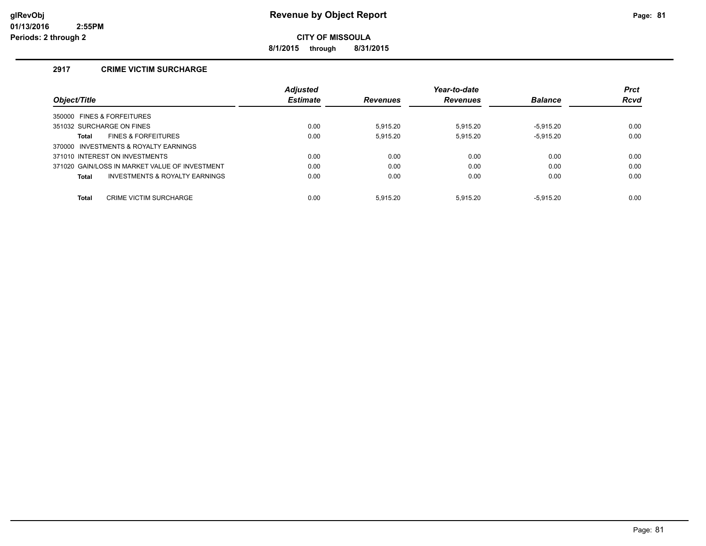**8/1/2015 through 8/31/2015**

## **2917 CRIME VICTIM SURCHARGE**

|                                                | <b>Adjusted</b> |                 | Year-to-date    |                | <b>Prct</b> |
|------------------------------------------------|-----------------|-----------------|-----------------|----------------|-------------|
| Object/Title                                   | <b>Estimate</b> | <b>Revenues</b> | <b>Revenues</b> | <b>Balance</b> | <b>Rcvd</b> |
| 350000 FINES & FORFEITURES                     |                 |                 |                 |                |             |
| 351032 SURCHARGE ON FINES                      | 0.00            | 5.915.20        | 5.915.20        | $-5.915.20$    | 0.00        |
| <b>FINES &amp; FORFEITURES</b><br>Total        | 0.00            | 5.915.20        | 5.915.20        | $-5.915.20$    | 0.00        |
| 370000 INVESTMENTS & ROYALTY EARNINGS          |                 |                 |                 |                |             |
| 371010 INTEREST ON INVESTMENTS                 | 0.00            | 0.00            | 0.00            | 0.00           | 0.00        |
| 371020 GAIN/LOSS IN MARKET VALUE OF INVESTMENT | 0.00            | 0.00            | 0.00            | 0.00           | 0.00        |
| INVESTMENTS & ROYALTY EARNINGS<br>Total        | 0.00            | 0.00            | 0.00            | 0.00           | 0.00        |
| <b>Total</b><br><b>CRIME VICTIM SURCHARGE</b>  | 0.00            | 5.915.20        | 5.915.20        | $-5.915.20$    | 0.00        |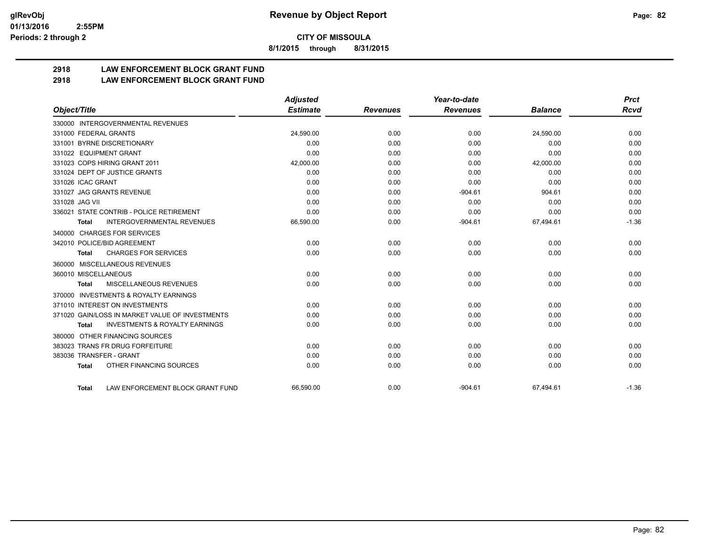**8/1/2015 through 8/31/2015**

## **2918 LAW ENFORCEMENT BLOCK GRANT FUND**

**2918 LAW ENFORCEMENT BLOCK GRANT FUND**

|                                                           | <b>Adjusted</b> |                 | Year-to-date    |                | <b>Prct</b> |
|-----------------------------------------------------------|-----------------|-----------------|-----------------|----------------|-------------|
| Object/Title                                              | <b>Estimate</b> | <b>Revenues</b> | <b>Revenues</b> | <b>Balance</b> | <b>Rcvd</b> |
| 330000 INTERGOVERNMENTAL REVENUES                         |                 |                 |                 |                |             |
| 331000 FEDERAL GRANTS                                     | 24,590.00       | 0.00            | 0.00            | 24,590.00      | 0.00        |
| 331001 BYRNE DISCRETIONARY                                | 0.00            | 0.00            | 0.00            | 0.00           | 0.00        |
| 331022 EQUIPMENT GRANT                                    | 0.00            | 0.00            | 0.00            | 0.00           | 0.00        |
| 331023 COPS HIRING GRANT 2011                             | 42,000.00       | 0.00            | 0.00            | 42,000.00      | 0.00        |
| 331024 DEPT OF JUSTICE GRANTS                             | 0.00            | 0.00            | 0.00            | 0.00           | 0.00        |
| 331026 ICAC GRANT                                         | 0.00            | 0.00            | 0.00            | 0.00           | 0.00        |
| 331027 JAG GRANTS REVENUE                                 | 0.00            | 0.00            | $-904.61$       | 904.61         | 0.00        |
| 331028 JAG VII                                            | 0.00            | 0.00            | 0.00            | 0.00           | 0.00        |
| 336021 STATE CONTRIB - POLICE RETIREMENT                  | 0.00            | 0.00            | 0.00            | 0.00           | 0.00        |
| <b>INTERGOVERNMENTAL REVENUES</b><br><b>Total</b>         | 66,590.00       | 0.00            | $-904.61$       | 67,494.61      | $-1.36$     |
| 340000 CHARGES FOR SERVICES                               |                 |                 |                 |                |             |
| 342010 POLICE/BID AGREEMENT                               | 0.00            | 0.00            | 0.00            | 0.00           | 0.00        |
| <b>CHARGES FOR SERVICES</b><br><b>Total</b>               | 0.00            | 0.00            | 0.00            | 0.00           | 0.00        |
| MISCELLANEOUS REVENUES<br>360000                          |                 |                 |                 |                |             |
| 360010 MISCELLANEOUS                                      | 0.00            | 0.00            | 0.00            | 0.00           | 0.00        |
| MISCELLANEOUS REVENUES<br><b>Total</b>                    | 0.00            | 0.00            | 0.00            | 0.00           | 0.00        |
| <b>INVESTMENTS &amp; ROYALTY EARNINGS</b><br>370000       |                 |                 |                 |                |             |
| 371010 INTEREST ON INVESTMENTS                            | 0.00            | 0.00            | 0.00            | 0.00           | 0.00        |
| 371020 GAIN/LOSS IN MARKET VALUE OF INVESTMENTS           | 0.00            | 0.00            | 0.00            | 0.00           | 0.00        |
| <b>INVESTMENTS &amp; ROYALTY EARNINGS</b><br><b>Total</b> | 0.00            | 0.00            | 0.00            | 0.00           | 0.00        |
| OTHER FINANCING SOURCES<br>380000                         |                 |                 |                 |                |             |
| 383023 TRANS FR DRUG FORFEITURE                           | 0.00            | 0.00            | 0.00            | 0.00           | 0.00        |
| 383036 TRANSFER - GRANT                                   | 0.00            | 0.00            | 0.00            | 0.00           | 0.00        |
| OTHER FINANCING SOURCES<br><b>Total</b>                   | 0.00            | 0.00            | 0.00            | 0.00           | 0.00        |
| LAW ENFORCEMENT BLOCK GRANT FUND<br><b>Total</b>          | 66.590.00       | 0.00            | $-904.61$       | 67,494.61      | $-1.36$     |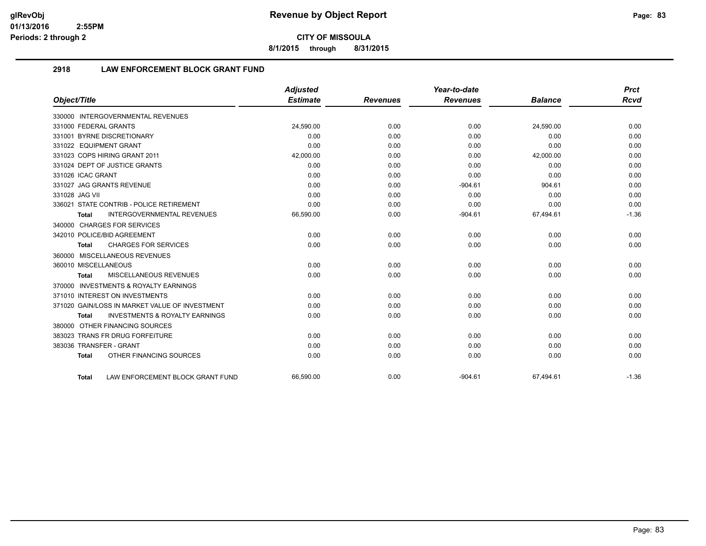**8/1/2015 through 8/31/2015**

## **2918 LAW ENFORCEMENT BLOCK GRANT FUND**

|                                                    | <b>Adjusted</b> |                 | Year-to-date    |                | <b>Prct</b> |
|----------------------------------------------------|-----------------|-----------------|-----------------|----------------|-------------|
| Object/Title                                       | <b>Estimate</b> | <b>Revenues</b> | <b>Revenues</b> | <b>Balance</b> | <b>Rcvd</b> |
| 330000 INTERGOVERNMENTAL REVENUES                  |                 |                 |                 |                |             |
| 331000 FEDERAL GRANTS                              | 24.590.00       | 0.00            | 0.00            | 24,590.00      | 0.00        |
| 331001 BYRNE DISCRETIONARY                         | 0.00            | 0.00            | 0.00            | 0.00           | 0.00        |
| 331022 EQUIPMENT GRANT                             | 0.00            | 0.00            | 0.00            | 0.00           | 0.00        |
| 331023 COPS HIRING GRANT 2011                      | 42,000.00       | 0.00            | 0.00            | 42,000.00      | 0.00        |
| 331024 DEPT OF JUSTICE GRANTS                      | 0.00            | 0.00            | 0.00            | 0.00           | 0.00        |
| 331026 ICAC GRANT                                  | 0.00            | 0.00            | 0.00            | 0.00           | 0.00        |
| 331027 JAG GRANTS REVENUE                          | 0.00            | 0.00            | $-904.61$       | 904.61         | 0.00        |
| 331028 JAG VII                                     | 0.00            | 0.00            | 0.00            | 0.00           | 0.00        |
| 336021 STATE CONTRIB - POLICE RETIREMENT           | 0.00            | 0.00            | 0.00            | 0.00           | 0.00        |
| <b>INTERGOVERNMENTAL REVENUES</b><br>Total         | 66,590.00       | 0.00            | $-904.61$       | 67,494.61      | $-1.36$     |
| 340000 CHARGES FOR SERVICES                        |                 |                 |                 |                |             |
| 342010 POLICE/BID AGREEMENT                        | 0.00            | 0.00            | 0.00            | 0.00           | 0.00        |
| <b>CHARGES FOR SERVICES</b><br><b>Total</b>        | 0.00            | 0.00            | 0.00            | 0.00           | 0.00        |
| 360000 MISCELLANEOUS REVENUES                      |                 |                 |                 |                |             |
| 360010 MISCELLANEOUS                               | 0.00            | 0.00            | 0.00            | 0.00           | 0.00        |
| MISCELLANEOUS REVENUES<br><b>Total</b>             | 0.00            | 0.00            | 0.00            | 0.00           | 0.00        |
| 370000 INVESTMENTS & ROYALTY EARNINGS              |                 |                 |                 |                |             |
| 371010 INTEREST ON INVESTMENTS                     | 0.00            | 0.00            | 0.00            | 0.00           | 0.00        |
| 371020 GAIN/LOSS IN MARKET VALUE OF INVESTMENT     | 0.00            | 0.00            | 0.00            | 0.00           | 0.00        |
| <b>INVESTMENTS &amp; ROYALTY EARNINGS</b><br>Total | 0.00            | 0.00            | 0.00            | 0.00           | 0.00        |
| 380000 OTHER FINANCING SOURCES                     |                 |                 |                 |                |             |
| 383023 TRANS FR DRUG FORFEITURE                    | 0.00            | 0.00            | 0.00            | 0.00           | 0.00        |
| 383036 TRANSFER - GRANT                            | 0.00            | 0.00            | 0.00            | 0.00           | 0.00        |
| OTHER FINANCING SOURCES<br><b>Total</b>            | 0.00            | 0.00            | 0.00            | 0.00           | 0.00        |
| LAW ENFORCEMENT BLOCK GRANT FUND<br>Total          | 66.590.00       | 0.00            | $-904.61$       | 67.494.61      | $-1.36$     |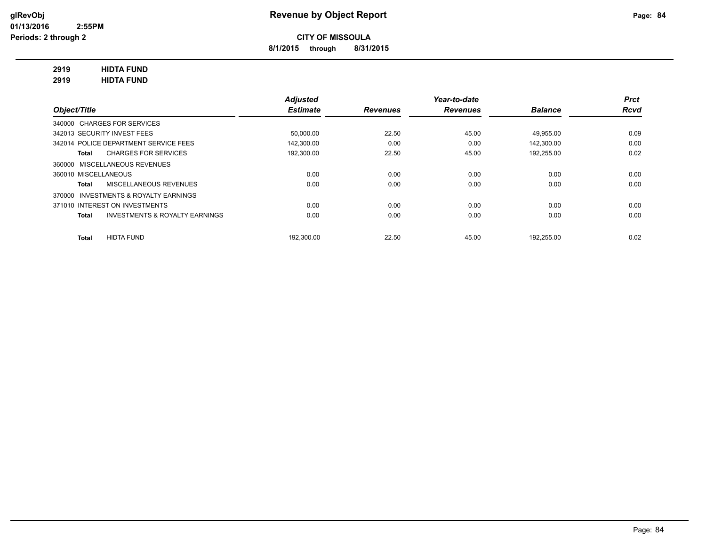**8/1/2015 through 8/31/2015**

## **2919 HIDTA FUND**

**2919 HIDTA FUND**

|                                                    | <b>Adjusted</b> |                 | Year-to-date    |                | <b>Prct</b> |
|----------------------------------------------------|-----------------|-----------------|-----------------|----------------|-------------|
| Object/Title                                       | <b>Estimate</b> | <b>Revenues</b> | <b>Revenues</b> | <b>Balance</b> | <b>Rcvd</b> |
| 340000 CHARGES FOR SERVICES                        |                 |                 |                 |                |             |
| 342013 SECURITY INVEST FEES                        | 50.000.00       | 22.50           | 45.00           | 49.955.00      | 0.09        |
| 342014 POLICE DEPARTMENT SERVICE FEES              | 142.300.00      | 0.00            | 0.00            | 142.300.00     | 0.00        |
| <b>CHARGES FOR SERVICES</b><br>Total               | 192,300.00      | 22.50           | 45.00           | 192,255.00     | 0.02        |
| 360000 MISCELLANEOUS REVENUES                      |                 |                 |                 |                |             |
| 360010 MISCELLANEOUS                               | 0.00            | 0.00            | 0.00            | 0.00           | 0.00        |
| MISCELLANEOUS REVENUES<br>Total                    | 0.00            | 0.00            | 0.00            | 0.00           | 0.00        |
| 370000 INVESTMENTS & ROYALTY EARNINGS              |                 |                 |                 |                |             |
| 371010 INTEREST ON INVESTMENTS                     | 0.00            | 0.00            | 0.00            | 0.00           | 0.00        |
| <b>INVESTMENTS &amp; ROYALTY EARNINGS</b><br>Total | 0.00            | 0.00            | 0.00            | 0.00           | 0.00        |
| <b>HIDTA FUND</b><br><b>Total</b>                  | 192.300.00      | 22.50           | 45.00           | 192,255.00     | 0.02        |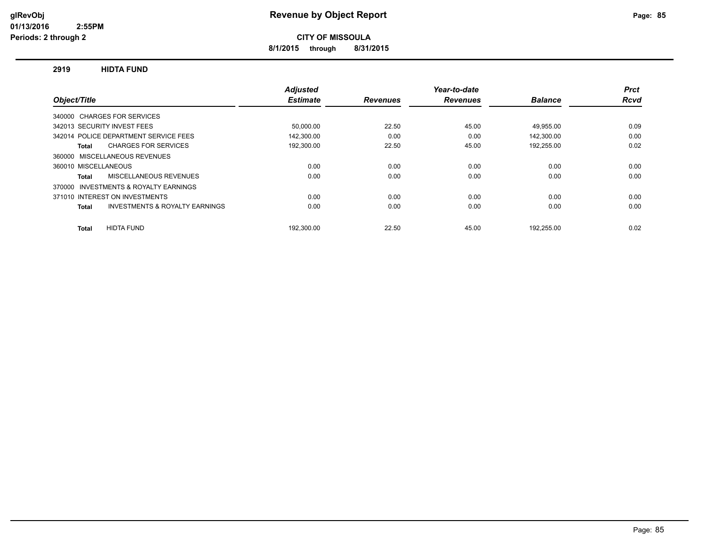**8/1/2015 through 8/31/2015**

#### **2919 HIDTA FUND**

|                                                    | <b>Adjusted</b> |                 | Year-to-date    |                | <b>Prct</b> |
|----------------------------------------------------|-----------------|-----------------|-----------------|----------------|-------------|
| Object/Title                                       | <b>Estimate</b> | <b>Revenues</b> | <b>Revenues</b> | <b>Balance</b> | <b>Rcvd</b> |
| 340000 CHARGES FOR SERVICES                        |                 |                 |                 |                |             |
| 342013 SECURITY INVEST FEES                        | 50,000.00       | 22.50           | 45.00           | 49,955.00      | 0.09        |
| 342014 POLICE DEPARTMENT SERVICE FEES              | 142,300.00      | 0.00            | 0.00            | 142,300.00     | 0.00        |
| <b>CHARGES FOR SERVICES</b><br>Total               | 192,300.00      | 22.50           | 45.00           | 192,255.00     | 0.02        |
| 360000 MISCELLANEOUS REVENUES                      |                 |                 |                 |                |             |
| 360010 MISCELLANEOUS                               | 0.00            | 0.00            | 0.00            | 0.00           | 0.00        |
| MISCELLANEOUS REVENUES<br><b>Total</b>             | 0.00            | 0.00            | 0.00            | 0.00           | 0.00        |
| 370000 INVESTMENTS & ROYALTY EARNINGS              |                 |                 |                 |                |             |
| 371010 INTEREST ON INVESTMENTS                     | 0.00            | 0.00            | 0.00            | 0.00           | 0.00        |
| <b>INVESTMENTS &amp; ROYALTY EARNINGS</b><br>Total | 0.00            | 0.00            | 0.00            | 0.00           | 0.00        |
| <b>HIDTA FUND</b><br><b>Total</b>                  | 192.300.00      | 22.50           | 45.00           | 192.255.00     | 0.02        |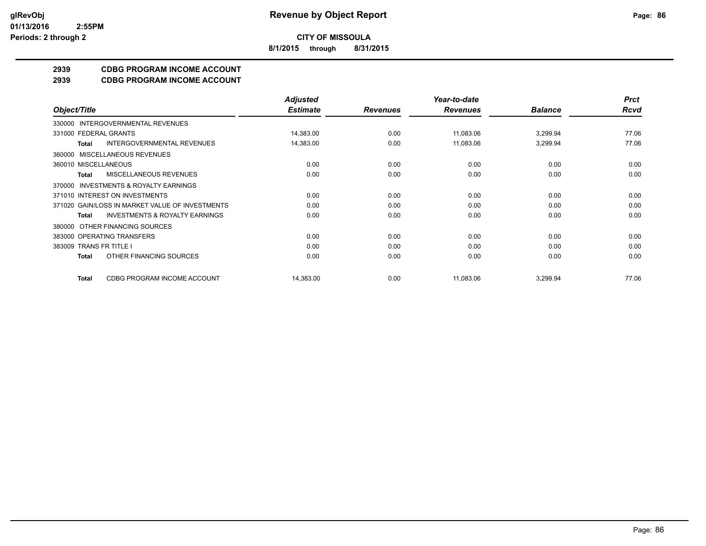**8/1/2015 through 8/31/2015**

## **2939 CDBG PROGRAM INCOME ACCOUNT**

**2939 CDBG PROGRAM INCOME ACCOUNT**

|                                                           | <b>Adjusted</b> |                 | Year-to-date    |                | <b>Prct</b> |
|-----------------------------------------------------------|-----------------|-----------------|-----------------|----------------|-------------|
| Object/Title                                              | <b>Estimate</b> | <b>Revenues</b> | <b>Revenues</b> | <b>Balance</b> | <b>Rcvd</b> |
| INTERGOVERNMENTAL REVENUES<br>330000                      |                 |                 |                 |                |             |
| 331000 FEDERAL GRANTS                                     | 14,383.00       | 0.00            | 11,083.06       | 3,299.94       | 77.06       |
| <b>INTERGOVERNMENTAL REVENUES</b><br><b>Total</b>         | 14,383.00       | 0.00            | 11,083.06       | 3,299.94       | 77.06       |
| MISCELLANEOUS REVENUES<br>360000                          |                 |                 |                 |                |             |
| 360010 MISCELLANEOUS                                      | 0.00            | 0.00            | 0.00            | 0.00           | 0.00        |
| MISCELLANEOUS REVENUES<br>Total                           | 0.00            | 0.00            | 0.00            | 0.00           | 0.00        |
| INVESTMENTS & ROYALTY EARNINGS<br>370000                  |                 |                 |                 |                |             |
| 371010 INTEREST ON INVESTMENTS                            | 0.00            | 0.00            | 0.00            | 0.00           | 0.00        |
| 371020 GAIN/LOSS IN MARKET VALUE OF INVESTMENTS           | 0.00            | 0.00            | 0.00            | 0.00           | 0.00        |
| <b>INVESTMENTS &amp; ROYALTY EARNINGS</b><br><b>Total</b> | 0.00            | 0.00            | 0.00            | 0.00           | 0.00        |
| OTHER FINANCING SOURCES<br>380000                         |                 |                 |                 |                |             |
| 383000 OPERATING TRANSFERS                                | 0.00            | 0.00            | 0.00            | 0.00           | 0.00        |
| 383009 TRANS FR TITLE I                                   | 0.00            | 0.00            | 0.00            | 0.00           | 0.00        |
| OTHER FINANCING SOURCES<br><b>Total</b>                   | 0.00            | 0.00            | 0.00            | 0.00           | 0.00        |
| <b>CDBG PROGRAM INCOME ACCOUNT</b><br><b>Total</b>        | 14,383.00       | 0.00            | 11,083.06       | 3,299.94       | 77.06       |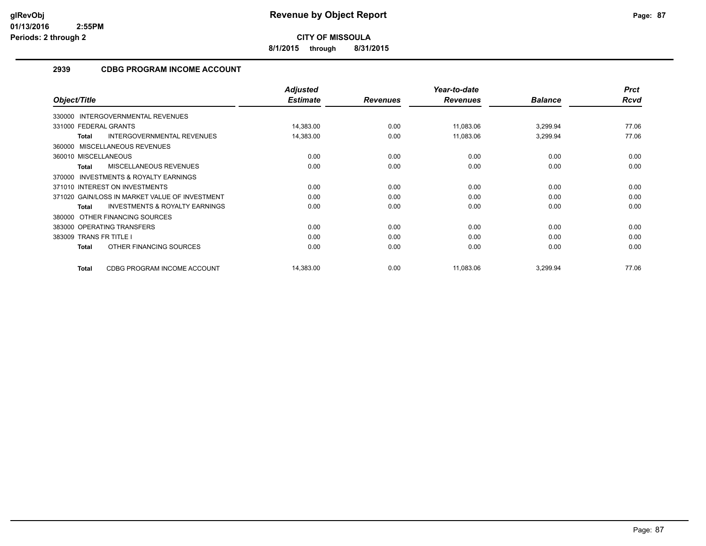**8/1/2015 through 8/31/2015**

## **2939 CDBG PROGRAM INCOME ACCOUNT**

|                                                           | <b>Adjusted</b> |                 | Year-to-date    |                | <b>Prct</b> |
|-----------------------------------------------------------|-----------------|-----------------|-----------------|----------------|-------------|
| Object/Title                                              | <b>Estimate</b> | <b>Revenues</b> | <b>Revenues</b> | <b>Balance</b> | Rcvd        |
| 330000 INTERGOVERNMENTAL REVENUES                         |                 |                 |                 |                |             |
| 331000 FEDERAL GRANTS                                     | 14,383.00       | 0.00            | 11,083.06       | 3,299.94       | 77.06       |
| <b>INTERGOVERNMENTAL REVENUES</b><br><b>Total</b>         | 14,383.00       | 0.00            | 11,083.06       | 3,299.94       | 77.06       |
| 360000 MISCELLANEOUS REVENUES                             |                 |                 |                 |                |             |
| 360010 MISCELLANEOUS                                      | 0.00            | 0.00            | 0.00            | 0.00           | 0.00        |
| MISCELLANEOUS REVENUES<br><b>Total</b>                    | 0.00            | 0.00            | 0.00            | 0.00           | 0.00        |
| INVESTMENTS & ROYALTY EARNINGS<br>370000                  |                 |                 |                 |                |             |
| 371010 INTEREST ON INVESTMENTS                            | 0.00            | 0.00            | 0.00            | 0.00           | 0.00        |
| 371020 GAIN/LOSS IN MARKET VALUE OF INVESTMENT            | 0.00            | 0.00            | 0.00            | 0.00           | 0.00        |
| <b>INVESTMENTS &amp; ROYALTY EARNINGS</b><br><b>Total</b> | 0.00            | 0.00            | 0.00            | 0.00           | 0.00        |
| OTHER FINANCING SOURCES<br>380000                         |                 |                 |                 |                |             |
| 383000 OPERATING TRANSFERS                                | 0.00            | 0.00            | 0.00            | 0.00           | 0.00        |
| 383009 TRANS FR TITLE I                                   | 0.00            | 0.00            | 0.00            | 0.00           | 0.00        |
| OTHER FINANCING SOURCES<br>Total                          | 0.00            | 0.00            | 0.00            | 0.00           | 0.00        |
| CDBG PROGRAM INCOME ACCOUNT<br><b>Total</b>               | 14,383.00       | 0.00            | 11,083.06       | 3,299.94       | 77.06       |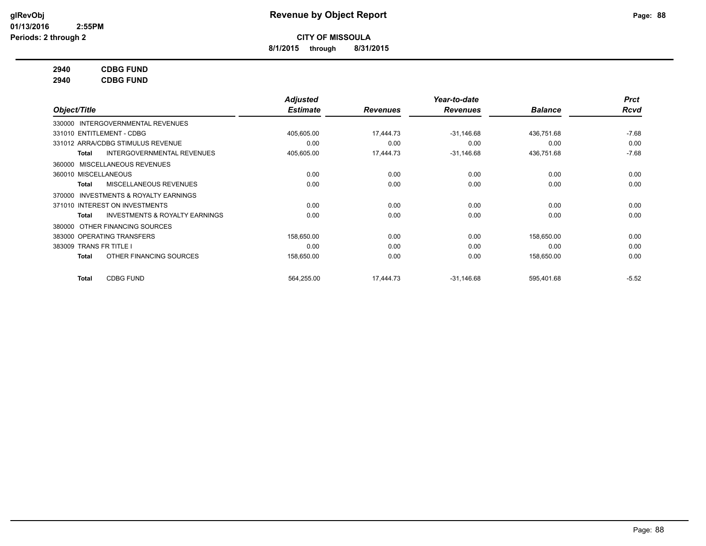**8/1/2015 through 8/31/2015**

### **2940 CDBG FUND**

**2940 CDBG FUND**

|                         |                                           | <b>Adjusted</b> |                 | Year-to-date    |                | <b>Prct</b> |
|-------------------------|-------------------------------------------|-----------------|-----------------|-----------------|----------------|-------------|
| Object/Title            |                                           | <b>Estimate</b> | <b>Revenues</b> | <b>Revenues</b> | <b>Balance</b> | <b>Rcvd</b> |
|                         | 330000 INTERGOVERNMENTAL REVENUES         |                 |                 |                 |                |             |
|                         | 331010 ENTITLEMENT - CDBG                 | 405,605.00      | 17,444.73       | $-31,146.68$    | 436,751.68     | $-7.68$     |
|                         | 331012 ARRA/CDBG STIMULUS REVENUE         | 0.00            | 0.00            | 0.00            | 0.00           | 0.00        |
| Total                   | <b>INTERGOVERNMENTAL REVENUES</b>         | 405,605.00      | 17,444.73       | $-31,146.68$    | 436,751.68     | $-7.68$     |
|                         | 360000 MISCELLANEOUS REVENUES             |                 |                 |                 |                |             |
| 360010 MISCELLANEOUS    |                                           | 0.00            | 0.00            | 0.00            | 0.00           | 0.00        |
| Total                   | MISCELLANEOUS REVENUES                    | 0.00            | 0.00            | 0.00            | 0.00           | 0.00        |
| 370000                  | <b>INVESTMENTS &amp; ROYALTY EARNINGS</b> |                 |                 |                 |                |             |
|                         | 371010 INTEREST ON INVESTMENTS            | 0.00            | 0.00            | 0.00            | 0.00           | 0.00        |
| Total                   | <b>INVESTMENTS &amp; ROYALTY EARNINGS</b> | 0.00            | 0.00            | 0.00            | 0.00           | 0.00        |
| 380000                  | OTHER FINANCING SOURCES                   |                 |                 |                 |                |             |
|                         | 383000 OPERATING TRANSFERS                | 158,650.00      | 0.00            | 0.00            | 158,650.00     | 0.00        |
| 383009 TRANS FR TITLE I |                                           | 0.00            | 0.00            | 0.00            | 0.00           | 0.00        |
| Total                   | OTHER FINANCING SOURCES                   | 158,650.00      | 0.00            | 0.00            | 158,650.00     | 0.00        |
| <b>Total</b>            | <b>CDBG FUND</b>                          | 564,255.00      | 17,444.73       | $-31,146.68$    | 595,401.68     | $-5.52$     |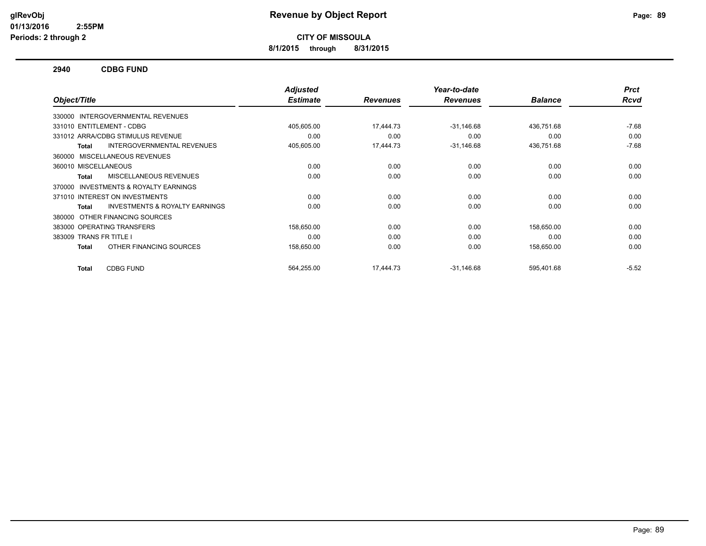**8/1/2015 through 8/31/2015**

#### **2940 CDBG FUND**

|                                                           | <b>Adjusted</b> |                 | Year-to-date    |                | <b>Prct</b> |
|-----------------------------------------------------------|-----------------|-----------------|-----------------|----------------|-------------|
| Object/Title                                              | <b>Estimate</b> | <b>Revenues</b> | <b>Revenues</b> | <b>Balance</b> | <b>Rcvd</b> |
| 330000 INTERGOVERNMENTAL REVENUES                         |                 |                 |                 |                |             |
| 331010 ENTITLEMENT - CDBG                                 | 405,605.00      | 17,444.73       | $-31,146.68$    | 436,751.68     | $-7.68$     |
| 331012 ARRA/CDBG STIMULUS REVENUE                         | 0.00            | 0.00            | 0.00            | 0.00           | 0.00        |
| INTERGOVERNMENTAL REVENUES<br><b>Total</b>                | 405,605.00      | 17,444.73       | $-31,146.68$    | 436,751.68     | $-7.68$     |
| MISCELLANEOUS REVENUES<br>360000                          |                 |                 |                 |                |             |
| 360010 MISCELLANEOUS                                      | 0.00            | 0.00            | 0.00            | 0.00           | 0.00        |
| <b>MISCELLANEOUS REVENUES</b><br><b>Total</b>             | 0.00            | 0.00            | 0.00            | 0.00           | 0.00        |
| INVESTMENTS & ROYALTY EARNINGS<br>370000                  |                 |                 |                 |                |             |
| 371010 INTEREST ON INVESTMENTS                            | 0.00            | 0.00            | 0.00            | 0.00           | 0.00        |
| <b>INVESTMENTS &amp; ROYALTY EARNINGS</b><br><b>Total</b> | 0.00            | 0.00            | 0.00            | 0.00           | 0.00        |
| OTHER FINANCING SOURCES<br>380000                         |                 |                 |                 |                |             |
| 383000 OPERATING TRANSFERS                                | 158,650.00      | 0.00            | 0.00            | 158,650.00     | 0.00        |
| 383009 TRANS FR TITLE I                                   | 0.00            | 0.00            | 0.00            | 0.00           | 0.00        |
| OTHER FINANCING SOURCES<br><b>Total</b>                   | 158,650.00      | 0.00            | 0.00            | 158,650.00     | 0.00        |
| <b>CDBG FUND</b><br><b>Total</b>                          | 564,255.00      | 17.444.73       | $-31.146.68$    | 595,401.68     | $-5.52$     |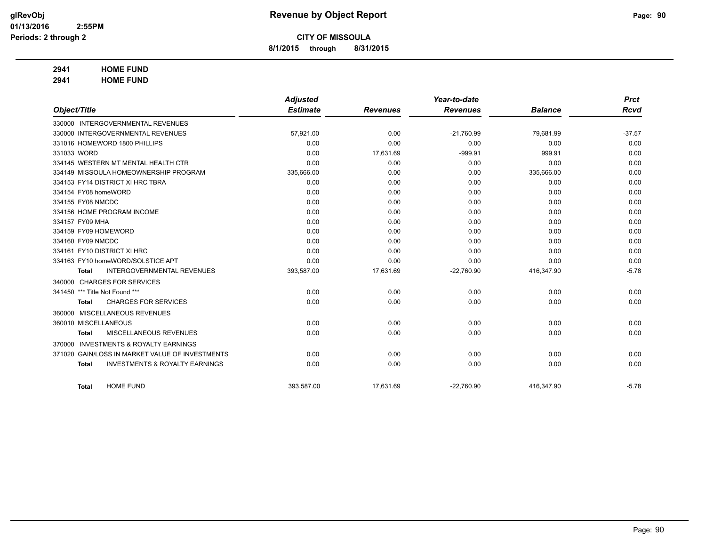**8/1/2015 through 8/31/2015**

## **2941 HOME FUND**

**2941 HOME FUND**

|                      |                                                 | <b>Adjusted</b> |                 | Year-to-date    |                | <b>Prct</b> |
|----------------------|-------------------------------------------------|-----------------|-----------------|-----------------|----------------|-------------|
| Object/Title         |                                                 | <b>Estimate</b> | <b>Revenues</b> | <b>Revenues</b> | <b>Balance</b> | <b>Rcvd</b> |
|                      | 330000 INTERGOVERNMENTAL REVENUES               |                 |                 |                 |                |             |
|                      | 330000 INTERGOVERNMENTAL REVENUES               | 57,921.00       | 0.00            | $-21,760.99$    | 79,681.99      | $-37.57$    |
|                      | 331016 HOMEWORD 1800 PHILLIPS                   | 0.00            | 0.00            | 0.00            | 0.00           | 0.00        |
| 331033 WORD          |                                                 | 0.00            | 17,631.69       | $-999.91$       | 999.91         | 0.00        |
|                      | 334145 WESTERN MT MENTAL HEALTH CTR             | 0.00            | 0.00            | 0.00            | 0.00           | 0.00        |
|                      | 334149 MISSOULA HOMEOWNERSHIP PROGRAM           | 335,666.00      | 0.00            | 0.00            | 335,666.00     | 0.00        |
|                      | 334153 FY14 DISTRICT XI HRC TBRA                | 0.00            | 0.00            | 0.00            | 0.00           | 0.00        |
| 334154 FY08 homeWORD |                                                 | 0.00            | 0.00            | 0.00            | 0.00           | 0.00        |
| 334155 FY08 NMCDC    |                                                 | 0.00            | 0.00            | 0.00            | 0.00           | 0.00        |
|                      | 334156 HOME PROGRAM INCOME                      | 0.00            | 0.00            | 0.00            | 0.00           | 0.00        |
| 334157 FY09 MHA      |                                                 | 0.00            | 0.00            | 0.00            | 0.00           | 0.00        |
| 334159 FY09 HOMEWORD |                                                 | 0.00            | 0.00            | 0.00            | 0.00           | 0.00        |
| 334160 FY09 NMCDC    |                                                 | 0.00            | 0.00            | 0.00            | 0.00           | 0.00        |
|                      | 334161 FY10 DISTRICT XI HRC                     | 0.00            | 0.00            | 0.00            | 0.00           | 0.00        |
|                      | 334163 FY10 homeWORD/SOLSTICE APT               | 0.00            | 0.00            | 0.00            | 0.00           | 0.00        |
| <b>Total</b>         | <b>INTERGOVERNMENTAL REVENUES</b>               | 393,587.00      | 17,631.69       | $-22,760.90$    | 416,347.90     | $-5.78$     |
|                      | 340000 CHARGES FOR SERVICES                     |                 |                 |                 |                |             |
| 341450               | *** Title Not Found ***                         | 0.00            | 0.00            | 0.00            | 0.00           | 0.00        |
| <b>Total</b>         | <b>CHARGES FOR SERVICES</b>                     | 0.00            | 0.00            | 0.00            | 0.00           | 0.00        |
|                      | 360000 MISCELLANEOUS REVENUES                   |                 |                 |                 |                |             |
| 360010 MISCELLANEOUS |                                                 | 0.00            | 0.00            | 0.00            | 0.00           | 0.00        |
| <b>Total</b>         | MISCELLANEOUS REVENUES                          | 0.00            | 0.00            | 0.00            | 0.00           | 0.00        |
| 370000               | <b>INVESTMENTS &amp; ROYALTY EARNINGS</b>       |                 |                 |                 |                |             |
|                      | 371020 GAIN/LOSS IN MARKET VALUE OF INVESTMENTS | 0.00            | 0.00            | 0.00            | 0.00           | 0.00        |
| <b>Total</b>         | <b>INVESTMENTS &amp; ROYALTY EARNINGS</b>       | 0.00            | 0.00            | 0.00            | 0.00           | 0.00        |
|                      |                                                 |                 |                 |                 |                |             |
| <b>Total</b>         | <b>HOME FUND</b>                                | 393,587.00      | 17,631.69       | $-22,760.90$    | 416,347.90     | $-5.78$     |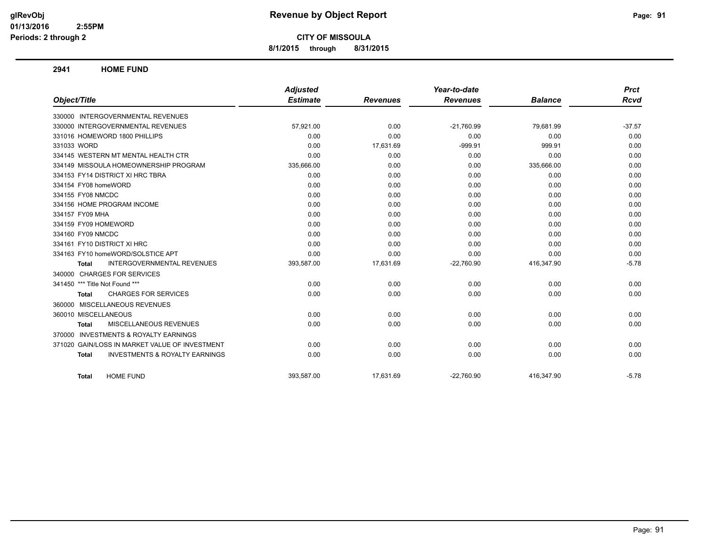## **glRevObj Revenue by Object Report Page: 91**

**CITY OF MISSOULA**

**8/1/2015 through 8/31/2015**

#### **2941 HOME FUND**

|                                                           | <b>Adjusted</b> |                 | Year-to-date    |                | <b>Prct</b> |
|-----------------------------------------------------------|-----------------|-----------------|-----------------|----------------|-------------|
| Object/Title                                              | <b>Estimate</b> | <b>Revenues</b> | <b>Revenues</b> | <b>Balance</b> | Rcvd        |
| 330000 INTERGOVERNMENTAL REVENUES                         |                 |                 |                 |                |             |
| 330000 INTERGOVERNMENTAL REVENUES                         | 57,921.00       | 0.00            | $-21,760.99$    | 79,681.99      | $-37.57$    |
| 331016 HOMEWORD 1800 PHILLIPS                             | 0.00            | 0.00            | 0.00            | 0.00           | 0.00        |
| 331033 WORD                                               | 0.00            | 17,631.69       | $-999.91$       | 999.91         | 0.00        |
| 334145 WESTERN MT MENTAL HEALTH CTR                       | 0.00            | 0.00            | 0.00            | 0.00           | 0.00        |
| 334149 MISSOULA HOMEOWNERSHIP PROGRAM                     | 335,666.00      | 0.00            | 0.00            | 335,666.00     | 0.00        |
| 334153 FY14 DISTRICT XI HRC TBRA                          | 0.00            | 0.00            | 0.00            | 0.00           | 0.00        |
| 334154 FY08 homeWORD                                      | 0.00            | 0.00            | 0.00            | 0.00           | 0.00        |
| 334155 FY08 NMCDC                                         | 0.00            | 0.00            | 0.00            | 0.00           | 0.00        |
| 334156 HOME PROGRAM INCOME                                | 0.00            | 0.00            | 0.00            | 0.00           | 0.00        |
| 334157 FY09 MHA                                           | 0.00            | 0.00            | 0.00            | 0.00           | 0.00        |
| 334159 FY09 HOMEWORD                                      | 0.00            | 0.00            | 0.00            | 0.00           | 0.00        |
| 334160 FY09 NMCDC                                         | 0.00            | 0.00            | 0.00            | 0.00           | 0.00        |
| 334161 FY10 DISTRICT XI HRC                               | 0.00            | 0.00            | 0.00            | 0.00           | 0.00        |
| 334163 FY10 homeWORD/SOLSTICE APT                         | 0.00            | 0.00            | 0.00            | 0.00           | 0.00        |
| <b>INTERGOVERNMENTAL REVENUES</b><br><b>Total</b>         | 393,587.00      | 17,631.69       | $-22,760.90$    | 416,347.90     | $-5.78$     |
| 340000 CHARGES FOR SERVICES                               |                 |                 |                 |                |             |
| 341450 *** Title Not Found ***                            | 0.00            | 0.00            | 0.00            | 0.00           | 0.00        |
| <b>CHARGES FOR SERVICES</b><br>Total                      | 0.00            | 0.00            | 0.00            | 0.00           | 0.00        |
| 360000 MISCELLANEOUS REVENUES                             |                 |                 |                 |                |             |
| 360010 MISCELLANEOUS                                      | 0.00            | 0.00            | 0.00            | 0.00           | 0.00        |
| MISCELLANEOUS REVENUES<br><b>Total</b>                    | 0.00            | 0.00            | 0.00            | 0.00           | 0.00        |
| 370000 INVESTMENTS & ROYALTY EARNINGS                     |                 |                 |                 |                |             |
| 371020 GAIN/LOSS IN MARKET VALUE OF INVESTMENT            | 0.00            | 0.00            | 0.00            | 0.00           | 0.00        |
| <b>INVESTMENTS &amp; ROYALTY EARNINGS</b><br><b>Total</b> | 0.00            | 0.00            | 0.00            | 0.00           | 0.00        |
| <b>HOME FUND</b><br>Total                                 | 393.587.00      | 17,631.69       | $-22,760.90$    | 416.347.90     | $-5.78$     |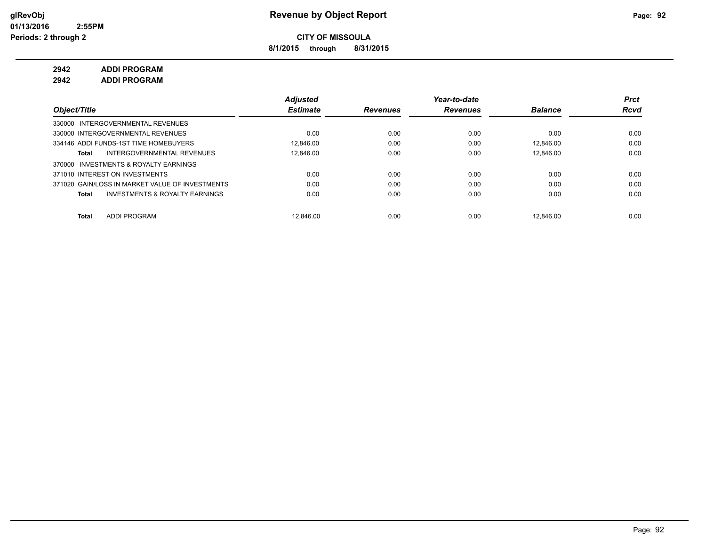**8/1/2015 through 8/31/2015**

**2942 ADDI PROGRAM**

**2942 ADDI PROGRAM**

|                                                    | <b>Adjusted</b> |                 | Year-to-date    |                | <b>Prct</b> |
|----------------------------------------------------|-----------------|-----------------|-----------------|----------------|-------------|
| Object/Title                                       | <b>Estimate</b> | <b>Revenues</b> | <b>Revenues</b> | <b>Balance</b> | <b>Rcvd</b> |
| 330000 INTERGOVERNMENTAL REVENUES                  |                 |                 |                 |                |             |
| 330000 INTERGOVERNMENTAL REVENUES                  | 0.00            | 0.00            | 0.00            | 0.00           | 0.00        |
| 334146 ADDI FUNDS-1ST TIME HOMEBUYERS              | 12.846.00       | 0.00            | 0.00            | 12.846.00      | 0.00        |
| INTERGOVERNMENTAL REVENUES<br>Total                | 12.846.00       | 0.00            | 0.00            | 12.846.00      | 0.00        |
| INVESTMENTS & ROYALTY EARNINGS<br>370000           |                 |                 |                 |                |             |
| 371010 INTEREST ON INVESTMENTS                     | 0.00            | 0.00            | 0.00            | 0.00           | 0.00        |
| 371020 GAIN/LOSS IN MARKET VALUE OF INVESTMENTS    | 0.00            | 0.00            | 0.00            | 0.00           | 0.00        |
| <b>INVESTMENTS &amp; ROYALTY EARNINGS</b><br>Total | 0.00            | 0.00            | 0.00            | 0.00           | 0.00        |
|                                                    |                 |                 |                 |                |             |
| <b>ADDI PROGRAM</b><br><b>Total</b>                | 12.846.00       | 0.00            | 0.00            | 12.846.00      | 0.00        |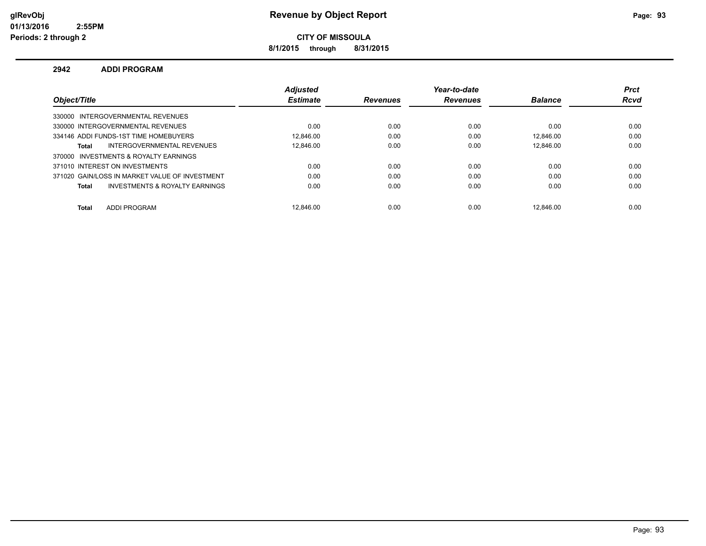**8/1/2015 through 8/31/2015**

#### **2942 ADDI PROGRAM**

|                                                | <b>Adjusted</b> |                 | Year-to-date    |                | <b>Prct</b> |
|------------------------------------------------|-----------------|-----------------|-----------------|----------------|-------------|
| Object/Title                                   | <b>Estimate</b> | <b>Revenues</b> | <b>Revenues</b> | <b>Balance</b> | <b>Rcvd</b> |
| 330000 INTERGOVERNMENTAL REVENUES              |                 |                 |                 |                |             |
| 330000 INTERGOVERNMENTAL REVENUES              | 0.00            | 0.00            | 0.00            | 0.00           | 0.00        |
| 334146 ADDI FUNDS-1ST TIME HOMEBUYERS          | 12.846.00       | 0.00            | 0.00            | 12.846.00      | 0.00        |
| INTERGOVERNMENTAL REVENUES<br>Total            | 12.846.00       | 0.00            | 0.00            | 12.846.00      | 0.00        |
| 370000 INVESTMENTS & ROYALTY EARNINGS          |                 |                 |                 |                |             |
| 371010 INTEREST ON INVESTMENTS                 | 0.00            | 0.00            | 0.00            | 0.00           | 0.00        |
| 371020 GAIN/LOSS IN MARKET VALUE OF INVESTMENT | 0.00            | 0.00            | 0.00            | 0.00           | 0.00        |
| INVESTMENTS & ROYALTY EARNINGS<br>Total        | 0.00            | 0.00            | 0.00            | 0.00           | 0.00        |
| <b>ADDI PROGRAM</b><br><b>Total</b>            | 12.846.00       | 0.00            | 0.00            | 12.846.00      | 0.00        |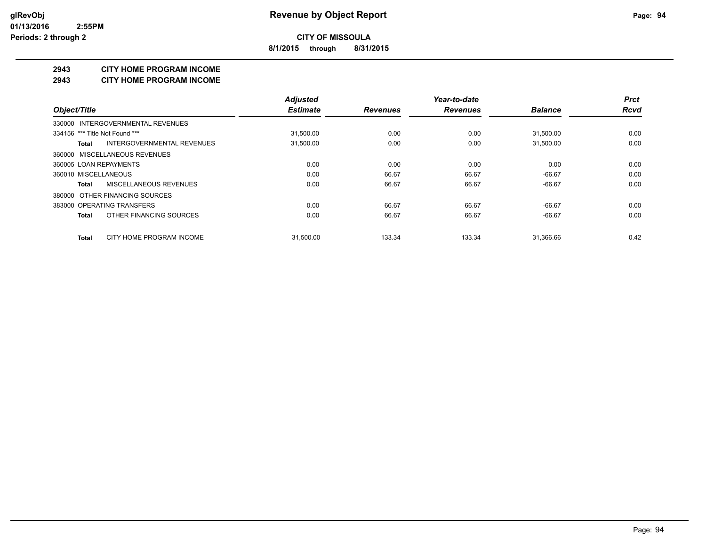**8/1/2015 through 8/31/2015**

#### **2943 CITY HOME PROGRAM INCOME**

#### **2943 CITY HOME PROGRAM INCOME**

|                                         | <b>Adjusted</b> |                 | Year-to-date    |                | <b>Prct</b> |
|-----------------------------------------|-----------------|-----------------|-----------------|----------------|-------------|
| Object/Title                            | <b>Estimate</b> | <b>Revenues</b> | <b>Revenues</b> | <b>Balance</b> | <b>Rcvd</b> |
| 330000 INTERGOVERNMENTAL REVENUES       |                 |                 |                 |                |             |
| 334156 *** Title Not Found ***          | 31,500.00       | 0.00            | 0.00            | 31,500.00      | 0.00        |
| INTERGOVERNMENTAL REVENUES<br>Total     | 31,500.00       | 0.00            | 0.00            | 31,500.00      | 0.00        |
| 360000 MISCELLANEOUS REVENUES           |                 |                 |                 |                |             |
| 360005 LOAN REPAYMENTS                  | 0.00            | 0.00            | 0.00            | 0.00           | 0.00        |
| 360010 MISCELLANEOUS                    | 0.00            | 66.67           | 66.67           | $-66.67$       | 0.00        |
| MISCELLANEOUS REVENUES<br>Total         | 0.00            | 66.67           | 66.67           | $-66.67$       | 0.00        |
| 380000 OTHER FINANCING SOURCES          |                 |                 |                 |                |             |
| 383000 OPERATING TRANSFERS              | 0.00            | 66.67           | 66.67           | $-66.67$       | 0.00        |
| OTHER FINANCING SOURCES<br><b>Total</b> | 0.00            | 66.67           | 66.67           | $-66.67$       | 0.00        |
| CITY HOME PROGRAM INCOME<br>Total       | 31.500.00       | 133.34          | 133.34          | 31.366.66      | 0.42        |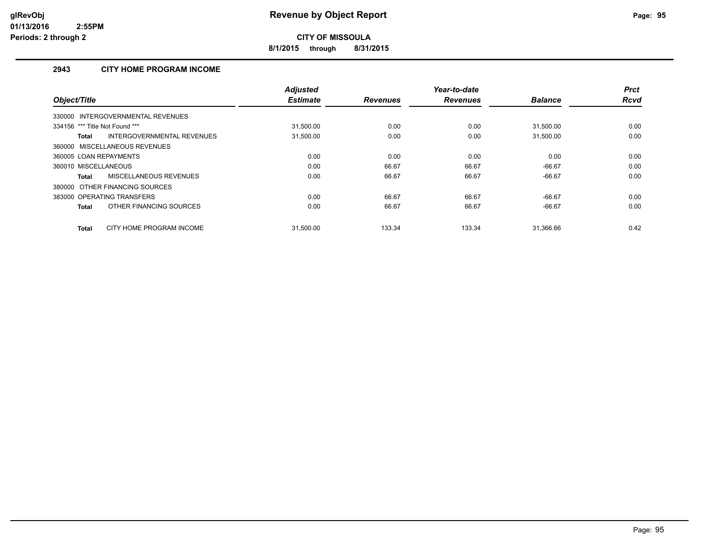**8/1/2015 through 8/31/2015**

## **2943 CITY HOME PROGRAM INCOME**

|                                          | <b>Adjusted</b><br><b>Estimate</b> |                 | Year-to-date    | <b>Balance</b> | <b>Prct</b><br><b>Rcvd</b> |
|------------------------------------------|------------------------------------|-----------------|-----------------|----------------|----------------------------|
| Object/Title                             |                                    | <b>Revenues</b> | <b>Revenues</b> |                |                            |
| 330000 INTERGOVERNMENTAL REVENUES        |                                    |                 |                 |                |                            |
| 334156 *** Title Not Found ***           | 31,500.00                          | 0.00            | 0.00            | 31,500.00      | 0.00                       |
| INTERGOVERNMENTAL REVENUES<br>Total      | 31,500.00                          | 0.00            | 0.00            | 31,500.00      | 0.00                       |
| 360000 MISCELLANEOUS REVENUES            |                                    |                 |                 |                |                            |
| 360005 LOAN REPAYMENTS                   | 0.00                               | 0.00            | 0.00            | 0.00           | 0.00                       |
| 360010 MISCELLANEOUS                     | 0.00                               | 66.67           | 66.67           | $-66.67$       | 0.00                       |
| MISCELLANEOUS REVENUES<br>Total          | 0.00                               | 66.67           | 66.67           | $-66.67$       | 0.00                       |
| 380000 OTHER FINANCING SOURCES           |                                    |                 |                 |                |                            |
| 383000 OPERATING TRANSFERS               | 0.00                               | 66.67           | 66.67           | $-66.67$       | 0.00                       |
| OTHER FINANCING SOURCES<br>Total         | 0.00                               | 66.67           | 66.67           | $-66.67$       | 0.00                       |
| CITY HOME PROGRAM INCOME<br><b>Total</b> | 31.500.00                          | 133.34          | 133.34          | 31.366.66      | 0.42                       |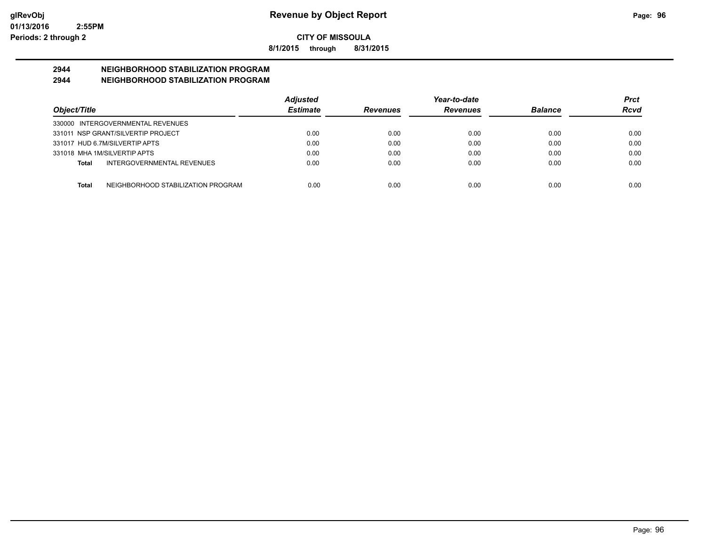**8/1/2015 through 8/31/2015**

# **2944 NEIGHBORHOOD STABILIZATION PROGRAM**

## **2944 NEIGHBORHOOD STABILIZATION PROGRAM**

|                                                    | <b>Adjusted</b> |                 | Year-to-date    |                | Prct |
|----------------------------------------------------|-----------------|-----------------|-----------------|----------------|------|
| Object/Title                                       | <b>Estimate</b> | <b>Revenues</b> | <b>Revenues</b> | <b>Balance</b> | Rcvd |
| 330000 INTERGOVERNMENTAL REVENUES                  |                 |                 |                 |                |      |
| 331011 NSP GRANT/SILVERTIP PROJECT                 | 0.00            | 0.00            | 0.00            | 0.00           | 0.00 |
| 331017 HUD 6.7M/SILVERTIP APTS                     | 0.00            | 0.00            | 0.00            | 0.00           | 0.00 |
| 331018 MHA 1M/SILVERTIP APTS                       | 0.00            | 0.00            | 0.00            | 0.00           | 0.00 |
| INTERGOVERNMENTAL REVENUES<br>Total                | 0.00            | 0.00            | 0.00            | 0.00           | 0.00 |
|                                                    |                 |                 |                 |                |      |
| NEIGHBORHOOD STABILIZATION PROGRAM<br><b>Total</b> | 0.00            | 0.00            | 0.00            | 0.00           | 0.00 |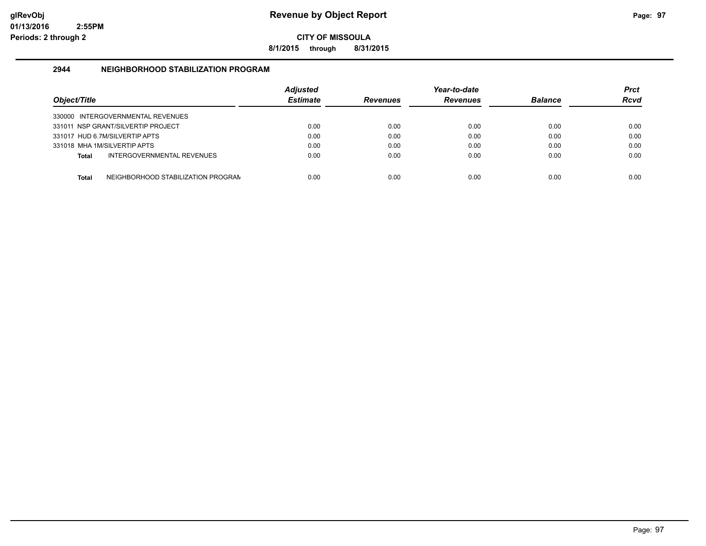**8/1/2015 through 8/31/2015**

#### **2944 NEIGHBORHOOD STABILIZATION PROGRAM**

| Object/Title |                                    | <b>Adiusted</b><br><b>Estimate</b> | <b>Revenues</b> | Year-to-date<br><b>Revenues</b> | <b>Balance</b> | Prct<br><b>Rcvd</b> |
|--------------|------------------------------------|------------------------------------|-----------------|---------------------------------|----------------|---------------------|
|              | 330000 INTERGOVERNMENTAL REVENUES  |                                    |                 |                                 |                |                     |
|              | 331011 NSP GRANT/SILVERTIP PROJECT | 0.00                               | 0.00            | 0.00                            | 0.00           | 0.00                |
|              | 331017 HUD 6.7M/SILVERTIP APTS     | 0.00                               | 0.00            | 0.00                            | 0.00           | 0.00                |
|              | 331018 MHA 1M/SILVERTIP APTS       | 0.00                               | 0.00            | 0.00                            | 0.00           | 0.00                |
| Total        | INTERGOVERNMENTAL REVENUES         | 0.00                               | 0.00            | 0.00                            | 0.00           | 0.00                |
| Total        | NEIGHBORHOOD STABILIZATION PROGRAN | 0.00                               | 0.00            | 0.00                            | 0.00           | 0.00                |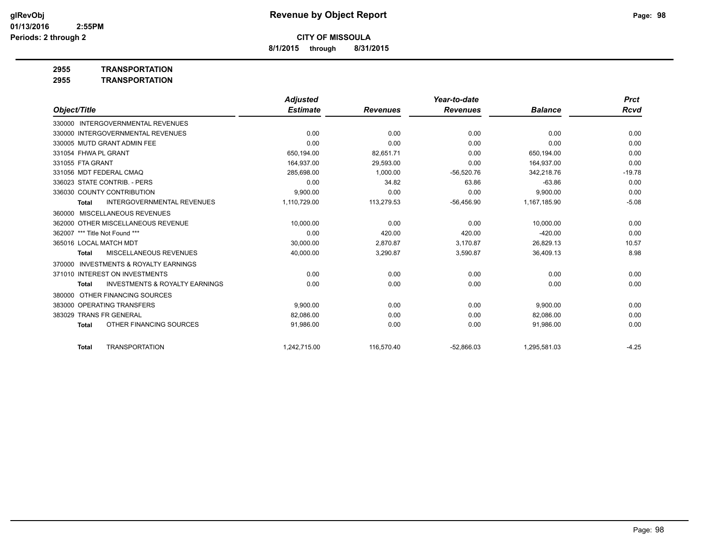**8/1/2015 through 8/31/2015**

**2955 TRANSPORTATION**

|                                                     | <b>Adjusted</b> |                 | Year-to-date    |                | <b>Prct</b> |
|-----------------------------------------------------|-----------------|-----------------|-----------------|----------------|-------------|
| Object/Title                                        | <b>Estimate</b> | <b>Revenues</b> | <b>Revenues</b> | <b>Balance</b> | Rcvd        |
| 330000 INTERGOVERNMENTAL REVENUES                   |                 |                 |                 |                |             |
| 330000 INTERGOVERNMENTAL REVENUES                   | 0.00            | 0.00            | 0.00            | 0.00           | 0.00        |
| 330005 MUTD GRANT ADMIN FEE                         | 0.00            | 0.00            | 0.00            | 0.00           | 0.00        |
| 331054 FHWA PL GRANT                                | 650,194.00      | 82,651.71       | 0.00            | 650,194.00     | 0.00        |
| 331055 FTA GRANT                                    | 164,937.00      | 29,593.00       | 0.00            | 164.937.00     | 0.00        |
| 331056 MDT FEDERAL CMAO                             | 285,698.00      | 1,000.00        | $-56,520.76$    | 342,218.76     | $-19.78$    |
| 336023 STATE CONTRIB. - PERS                        | 0.00            | 34.82           | 63.86           | $-63.86$       | 0.00        |
| 336030 COUNTY CONTRIBUTION                          | 9.900.00        | 0.00            | 0.00            | 9,900.00       | 0.00        |
| <b>INTERGOVERNMENTAL REVENUES</b><br>Total          | 1,110,729.00    | 113,279.53      | $-56,456.90$    | 1,167,185.90   | $-5.08$     |
| 360000 MISCELLANEOUS REVENUES                       |                 |                 |                 |                |             |
| 362000 OTHER MISCELLANEOUS REVENUE                  | 10,000.00       | 0.00            | 0.00            | 10,000.00      | 0.00        |
| 362007 *** Title Not Found ***                      | 0.00            | 420.00          | 420.00          | $-420.00$      | 0.00        |
| 365016 LOCAL MATCH MDT                              | 30,000.00       | 2,870.87        | 3,170.87        | 26,829.13      | 10.57       |
| MISCELLANEOUS REVENUES<br>Total                     | 40,000.00       | 3,290.87        | 3,590.87        | 36,409.13      | 8.98        |
| <b>INVESTMENTS &amp; ROYALTY EARNINGS</b><br>370000 |                 |                 |                 |                |             |
| 371010 INTEREST ON INVESTMENTS                      | 0.00            | 0.00            | 0.00            | 0.00           | 0.00        |
| <b>INVESTMENTS &amp; ROYALTY EARNINGS</b><br>Total  | 0.00            | 0.00            | 0.00            | 0.00           | 0.00        |
| OTHER FINANCING SOURCES<br>380000                   |                 |                 |                 |                |             |
| 383000 OPERATING TRANSFERS                          | 9.900.00        | 0.00            | 0.00            | 9.900.00       | 0.00        |
| 383029 TRANS FR GENERAL                             | 82,086.00       | 0.00            | 0.00            | 82,086.00      | 0.00        |
| OTHER FINANCING SOURCES<br>Total                    | 91,986.00       | 0.00            | 0.00            | 91,986.00      | 0.00        |
| <b>TRANSPORTATION</b><br>Total                      | 1,242,715.00    | 116,570.40      | $-52,866.03$    | 1,295,581.03   | $-4.25$     |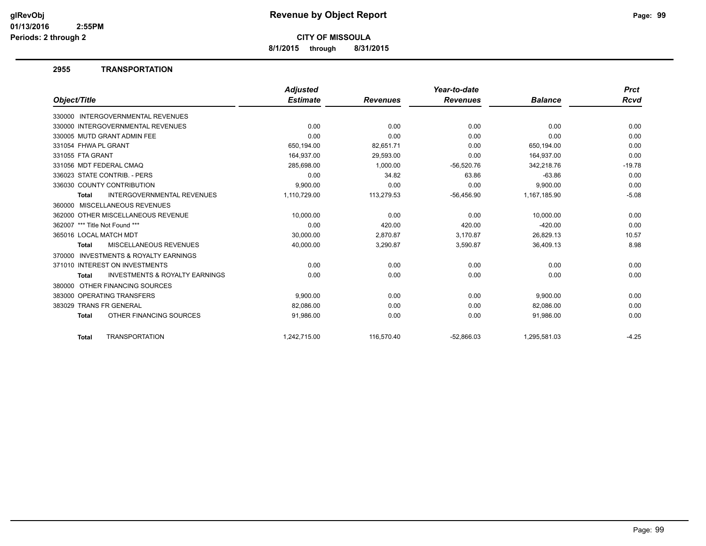**8/1/2015 through 8/31/2015**

#### **2955 TRANSPORTATION**

|                                                           | <b>Adjusted</b> |                 | Year-to-date    |                | <b>Prct</b> |
|-----------------------------------------------------------|-----------------|-----------------|-----------------|----------------|-------------|
| Object/Title                                              | <b>Estimate</b> | <b>Revenues</b> | <b>Revenues</b> | <b>Balance</b> | Rcvd        |
| 330000 INTERGOVERNMENTAL REVENUES                         |                 |                 |                 |                |             |
| 330000 INTERGOVERNMENTAL REVENUES                         | 0.00            | 0.00            | 0.00            | 0.00           | 0.00        |
| 330005 MUTD GRANT ADMIN FEE                               | 0.00            | 0.00            | 0.00            | 0.00           | 0.00        |
| 331054 FHWA PL GRANT                                      | 650,194.00      | 82,651.71       | 0.00            | 650,194.00     | 0.00        |
| 331055 FTA GRANT                                          | 164,937.00      | 29,593.00       | 0.00            | 164,937.00     | 0.00        |
| 331056 MDT FEDERAL CMAQ                                   | 285,698.00      | 1,000.00        | $-56,520.76$    | 342,218.76     | $-19.78$    |
| 336023 STATE CONTRIB. - PERS                              | 0.00            | 34.82           | 63.86           | $-63.86$       | 0.00        |
| 336030 COUNTY CONTRIBUTION                                | 9,900.00        | 0.00            | 0.00            | 9,900.00       | 0.00        |
| <b>INTERGOVERNMENTAL REVENUES</b><br><b>Total</b>         | 1,110,729.00    | 113,279.53      | $-56,456.90$    | 1,167,185.90   | $-5.08$     |
| MISCELLANEOUS REVENUES<br>360000                          |                 |                 |                 |                |             |
| 362000 OTHER MISCELLANEOUS REVENUE                        | 10,000.00       | 0.00            | 0.00            | 10,000.00      | 0.00        |
| 362007 *** Title Not Found ***                            | 0.00            | 420.00          | 420.00          | $-420.00$      | 0.00        |
| 365016 LOCAL MATCH MDT                                    | 30,000.00       | 2,870.87        | 3,170.87        | 26,829.13      | 10.57       |
| MISCELLANEOUS REVENUES<br><b>Total</b>                    | 40,000.00       | 3,290.87        | 3,590.87        | 36,409.13      | 8.98        |
| <b>INVESTMENTS &amp; ROYALTY EARNINGS</b><br>370000       |                 |                 |                 |                |             |
| 371010 INTEREST ON INVESTMENTS                            | 0.00            | 0.00            | 0.00            | 0.00           | 0.00        |
| <b>INVESTMENTS &amp; ROYALTY EARNINGS</b><br><b>Total</b> | 0.00            | 0.00            | 0.00            | 0.00           | 0.00        |
| OTHER FINANCING SOURCES<br>380000                         |                 |                 |                 |                |             |
| 383000 OPERATING TRANSFERS                                | 9,900.00        | 0.00            | 0.00            | 9,900.00       | 0.00        |
| 383029 TRANS FR GENERAL                                   | 82,086.00       | 0.00            | 0.00            | 82,086.00      | 0.00        |
| OTHER FINANCING SOURCES<br><b>Total</b>                   | 91,986.00       | 0.00            | 0.00            | 91,986.00      | 0.00        |
| <b>TRANSPORTATION</b><br>Total                            | 1.242.715.00    | 116.570.40      | $-52.866.03$    | 1.295.581.03   | $-4.25$     |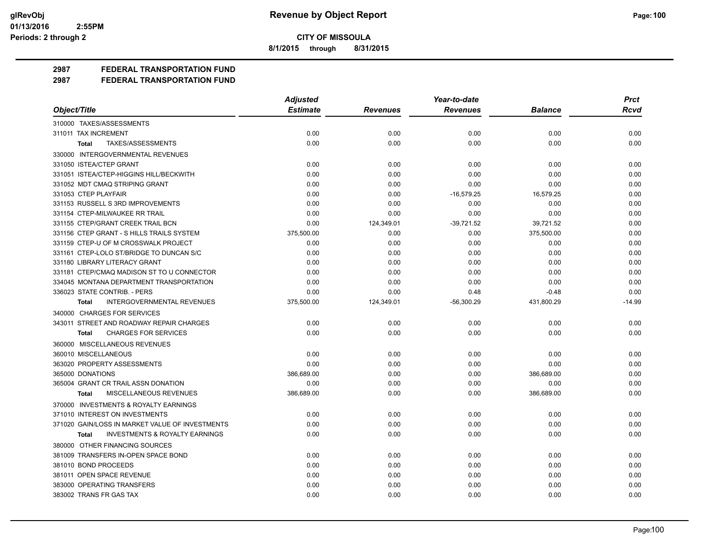**8/1/2015 through 8/31/2015**

**2987 FEDERAL TRANSPORTATION FUND**

|                                                           | <b>Adjusted</b> |                 | Year-to-date    |                | <b>Prct</b> |
|-----------------------------------------------------------|-----------------|-----------------|-----------------|----------------|-------------|
| Object/Title                                              | <b>Estimate</b> | <b>Revenues</b> | <b>Revenues</b> | <b>Balance</b> | Rcvd        |
| 310000 TAXES/ASSESSMENTS                                  |                 |                 |                 |                |             |
| 311011 TAX INCREMENT                                      | 0.00            | 0.00            | 0.00            | 0.00           | 0.00        |
| TAXES/ASSESSMENTS<br>Total                                | 0.00            | 0.00            | 0.00            | 0.00           | 0.00        |
| 330000 INTERGOVERNMENTAL REVENUES                         |                 |                 |                 |                |             |
| 331050 ISTEA/CTEP GRANT                                   | 0.00            | 0.00            | 0.00            | 0.00           | 0.00        |
| 331051 ISTEA/CTEP-HIGGINS HILL/BECKWITH                   | 0.00            | 0.00            | 0.00            | 0.00           | 0.00        |
| 331052 MDT CMAQ STRIPING GRANT                            | 0.00            | 0.00            | 0.00            | 0.00           | 0.00        |
| 331053 CTEP PLAYFAIR                                      | 0.00            | 0.00            | $-16,579.25$    | 16,579.25      | 0.00        |
| 331153 RUSSELL S 3RD IMPROVEMENTS                         | 0.00            | 0.00            | 0.00            | 0.00           | 0.00        |
| 331154 CTEP-MILWAUKEE RR TRAIL                            | 0.00            | 0.00            | 0.00            | 0.00           | 0.00        |
| 331155 CTEP/GRANT CREEK TRAIL BCN                         | 0.00            | 124,349.01      | $-39,721.52$    | 39,721.52      | 0.00        |
| 331156 CTEP GRANT - S HILLS TRAILS SYSTEM                 | 375,500.00      | 0.00            | 0.00            | 375,500.00     | 0.00        |
| 331159 CTEP-U OF M CROSSWALK PROJECT                      | 0.00            | 0.00            | 0.00            | 0.00           | 0.00        |
| 331161 CTEP-LOLO ST/BRIDGE TO DUNCAN S/C                  | 0.00            | 0.00            | 0.00            | 0.00           | 0.00        |
| 331180 LIBRARY LITERACY GRANT                             | 0.00            | 0.00            | 0.00            | 0.00           | 0.00        |
| 331181 CTEP/CMAQ MADISON ST TO U CONNECTOR                | 0.00            | 0.00            | 0.00            | 0.00           | 0.00        |
| 334045 MONTANA DEPARTMENT TRANSPORTATION                  | 0.00            | 0.00            | 0.00            | 0.00           | 0.00        |
| 336023 STATE CONTRIB. - PERS                              | 0.00            | 0.00            | 0.48            | $-0.48$        | 0.00        |
| INTERGOVERNMENTAL REVENUES<br>Total                       | 375,500.00      | 124,349.01      | $-56,300.29$    | 431,800.29     | $-14.99$    |
| 340000 CHARGES FOR SERVICES                               |                 |                 |                 |                |             |
| 343011 STREET AND ROADWAY REPAIR CHARGES                  | 0.00            | 0.00            | 0.00            | 0.00           | 0.00        |
| <b>CHARGES FOR SERVICES</b><br><b>Total</b>               | 0.00            | 0.00            | 0.00            | 0.00           | 0.00        |
| 360000 MISCELLANEOUS REVENUES                             |                 |                 |                 |                |             |
| 360010 MISCELLANEOUS                                      | 0.00            | 0.00            | 0.00            | 0.00           | 0.00        |
| 363020 PROPERTY ASSESSMENTS                               | 0.00            | 0.00            | 0.00            | 0.00           | 0.00        |
| 365000 DONATIONS                                          | 386,689.00      | 0.00            | 0.00            | 386,689.00     | 0.00        |
| 365004 GRANT CR TRAIL ASSN DONATION                       | 0.00            | 0.00            | 0.00            | 0.00           | 0.00        |
| MISCELLANEOUS REVENUES<br><b>Total</b>                    | 386,689.00      | 0.00            | 0.00            | 386,689.00     | 0.00        |
| 370000 INVESTMENTS & ROYALTY EARNINGS                     |                 |                 |                 |                |             |
| 371010 INTEREST ON INVESTMENTS                            | 0.00            | 0.00            | 0.00            | 0.00           | 0.00        |
| 371020 GAIN/LOSS IN MARKET VALUE OF INVESTMENTS           | 0.00            | 0.00            | 0.00            | 0.00           | 0.00        |
| <b>INVESTMENTS &amp; ROYALTY EARNINGS</b><br><b>Total</b> | 0.00            | 0.00            | 0.00            | 0.00           | 0.00        |
| 380000 OTHER FINANCING SOURCES                            |                 |                 |                 |                |             |
| 381009 TRANSFERS IN-OPEN SPACE BOND                       | 0.00            | 0.00            | 0.00            | 0.00           | 0.00        |
| 381010 BOND PROCEEDS                                      | 0.00            | 0.00            | 0.00            | 0.00           | 0.00        |
| 381011 OPEN SPACE REVENUE                                 | 0.00            | 0.00            | 0.00            | 0.00           | 0.00        |
| 383000 OPERATING TRANSFERS                                | 0.00            | 0.00            | 0.00            | 0.00           | 0.00        |
| 383002 TRANS FR GAS TAX                                   | 0.00            | 0.00            | 0.00            | 0.00           | 0.00        |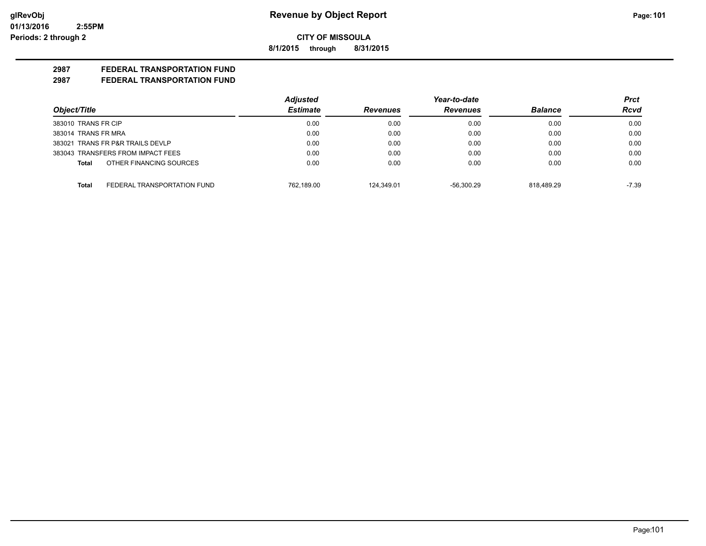**8/1/2015 through 8/31/2015**

## **2987 FEDERAL TRANSPORTATION FUND**

|                                      | <b>Adjusted</b> |                 | Year-to-date    |                | Prct        |
|--------------------------------------|-----------------|-----------------|-----------------|----------------|-------------|
| Object/Title                         | <b>Estimate</b> | <b>Revenues</b> | <b>Revenues</b> | <b>Balance</b> | <b>Rcvd</b> |
| 383010 TRANS FR CIP                  | 0.00            | 0.00            | 0.00            | 0.00           | 0.00        |
| 383014 TRANS FR MRA                  | 0.00            | 0.00            | 0.00            | 0.00           | 0.00        |
| 383021 TRANS FR P&R TRAILS DEVLP     | 0.00            | 0.00            | 0.00            | 0.00           | 0.00        |
| 383043 TRANSFERS FROM IMPACT FEES    | 0.00            | 0.00            | 0.00            | 0.00           | 0.00        |
| OTHER FINANCING SOURCES<br>Total     | 0.00            | 0.00            | 0.00            | 0.00           | 0.00        |
| FEDERAL TRANSPORTATION FUND<br>Total | 762.189.00      | 124.349.01      | $-56.300.29$    | 818.489.29     | $-7.39$     |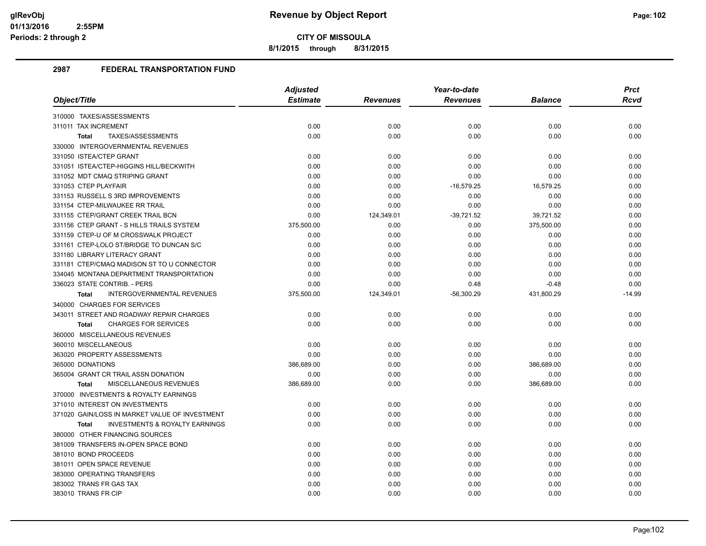**8/1/2015 through 8/31/2015**

|                                                           | <b>Adjusted</b> |                 | Year-to-date    |            | <b>Prct</b> |
|-----------------------------------------------------------|-----------------|-----------------|-----------------|------------|-------------|
| Object/Title                                              | <b>Estimate</b> | <b>Revenues</b> | <b>Revenues</b> | Balance    | Rcvd        |
| 310000 TAXES/ASSESSMENTS                                  |                 |                 |                 |            |             |
| 311011 TAX INCREMENT                                      | 0.00            | 0.00            | 0.00            | 0.00       | 0.00        |
| TAXES/ASSESSMENTS<br><b>Total</b>                         | 0.00            | 0.00            | 0.00            | 0.00       | 0.00        |
| 330000 INTERGOVERNMENTAL REVENUES                         |                 |                 |                 |            |             |
| 331050 ISTEA/CTEP GRANT                                   | 0.00            | 0.00            | 0.00            | 0.00       | 0.00        |
| 331051 ISTEA/CTEP-HIGGINS HILL/BECKWITH                   | 0.00            | 0.00            | 0.00            | 0.00       | 0.00        |
| 331052 MDT CMAQ STRIPING GRANT                            | 0.00            | 0.00            | 0.00            | 0.00       | 0.00        |
| 331053 CTEP PLAYFAIR                                      | 0.00            | 0.00            | $-16,579.25$    | 16,579.25  | 0.00        |
| 331153 RUSSELL S 3RD IMPROVEMENTS                         | 0.00            | 0.00            | 0.00            | 0.00       | 0.00        |
| 331154 CTEP-MILWAUKEE RR TRAIL                            | 0.00            | 0.00            | 0.00            | 0.00       | 0.00        |
| 331155 CTEP/GRANT CREEK TRAIL BCN                         | 0.00            | 124,349.01      | $-39,721.52$    | 39,721.52  | 0.00        |
| 331156 CTEP GRANT - S HILLS TRAILS SYSTEM                 | 375,500.00      | 0.00            | 0.00            | 375,500.00 | 0.00        |
| 331159 CTEP-U OF M CROSSWALK PROJECT                      | 0.00            | 0.00            | 0.00            | 0.00       | 0.00        |
| 331161 CTEP-LOLO ST/BRIDGE TO DUNCAN S/C                  | 0.00            | 0.00            | 0.00            | 0.00       | 0.00        |
| 331180 LIBRARY LITERACY GRANT                             | 0.00            | 0.00            | 0.00            | 0.00       | 0.00        |
| 331181 CTEP/CMAQ MADISON ST TO U CONNECTOR                | 0.00            | 0.00            | 0.00            | 0.00       | 0.00        |
| 334045 MONTANA DEPARTMENT TRANSPORTATION                  | 0.00            | 0.00            | 0.00            | 0.00       | 0.00        |
| 336023 STATE CONTRIB. - PERS                              | 0.00            | 0.00            | 0.48            | $-0.48$    | 0.00        |
| INTERGOVERNMENTAL REVENUES<br><b>Total</b>                | 375,500.00      | 124,349.01      | $-56,300.29$    | 431,800.29 | $-14.99$    |
| 340000 CHARGES FOR SERVICES                               |                 |                 |                 |            |             |
| 343011 STREET AND ROADWAY REPAIR CHARGES                  | 0.00            | 0.00            | 0.00            | 0.00       | 0.00        |
| <b>CHARGES FOR SERVICES</b><br><b>Total</b>               | 0.00            | 0.00            | 0.00            | 0.00       | 0.00        |
| 360000 MISCELLANEOUS REVENUES                             |                 |                 |                 |            |             |
| 360010 MISCELLANEOUS                                      | 0.00            | 0.00            | 0.00            | 0.00       | 0.00        |
| 363020 PROPERTY ASSESSMENTS                               | 0.00            | 0.00            | 0.00            | 0.00       | 0.00        |
| 365000 DONATIONS                                          | 386,689.00      | 0.00            | 0.00            | 386,689.00 | 0.00        |
| 365004 GRANT CR TRAIL ASSN DONATION                       | 0.00            | 0.00            | 0.00            | 0.00       | 0.00        |
| MISCELLANEOUS REVENUES<br><b>Total</b>                    | 386,689.00      | 0.00            | 0.00            | 386,689.00 | 0.00        |
| 370000 INVESTMENTS & ROYALTY EARNINGS                     |                 |                 |                 |            |             |
| 371010 INTEREST ON INVESTMENTS                            | 0.00            | 0.00            | 0.00            | 0.00       | 0.00        |
| 371020 GAIN/LOSS IN MARKET VALUE OF INVESTMENT            | 0.00            | 0.00            | 0.00            | 0.00       | 0.00        |
| <b>INVESTMENTS &amp; ROYALTY EARNINGS</b><br><b>Total</b> | 0.00            | 0.00            | 0.00            | 0.00       | 0.00        |
| 380000 OTHER FINANCING SOURCES                            |                 |                 |                 |            |             |
| 381009 TRANSFERS IN-OPEN SPACE BOND                       | 0.00            | 0.00            | 0.00            | 0.00       | 0.00        |
| 381010 BOND PROCEEDS                                      | 0.00            | 0.00            | 0.00            | 0.00       | 0.00        |
| 381011 OPEN SPACE REVENUE                                 | 0.00            | 0.00            | 0.00            | 0.00       | 0.00        |
| 383000 OPERATING TRANSFERS                                | 0.00            | 0.00            | 0.00            | 0.00       | 0.00        |
| 383002 TRANS FR GAS TAX                                   | 0.00            | 0.00            | 0.00            | 0.00       | 0.00        |
| 383010 TRANS FR CIP                                       | 0.00            | 0.00            | 0.00            | 0.00       | 0.00        |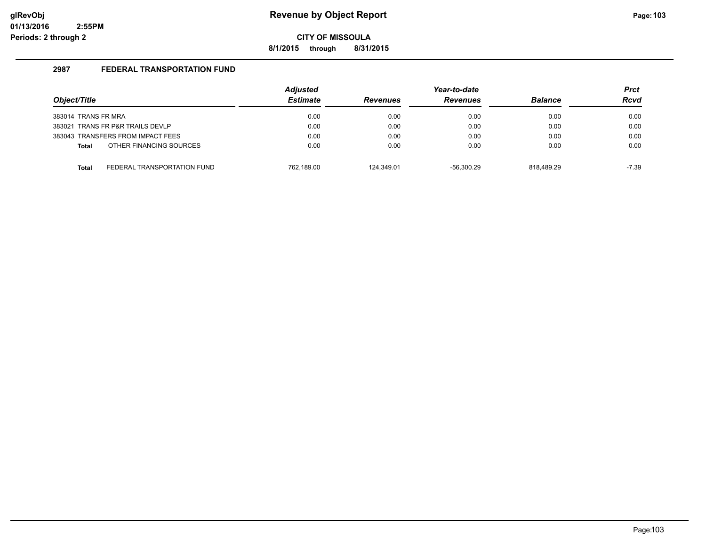**8/1/2015 through 8/31/2015**

| Object/Title        |                                   | <b>Adjusted</b><br><b>Estimate</b> | <b>Revenues</b> | Year-to-date<br><b>Revenues</b> | <b>Balance</b> | <b>Prct</b><br><b>Rcvd</b> |
|---------------------|-----------------------------------|------------------------------------|-----------------|---------------------------------|----------------|----------------------------|
|                     |                                   |                                    |                 |                                 |                |                            |
| 383014 TRANS FR MRA |                                   | 0.00                               | 0.00            | 0.00                            | 0.00           | 0.00                       |
|                     | 383021 TRANS FR P&R TRAILS DEVLP  | 0.00                               | 0.00            | 0.00                            | 0.00           | 0.00                       |
|                     | 383043 TRANSFERS FROM IMPACT FEES | 0.00                               | 0.00            | 0.00                            | 0.00           | 0.00                       |
| <b>Total</b>        | OTHER FINANCING SOURCES           | 0.00                               | 0.00            | 0.00                            | 0.00           | 0.00                       |
| <b>Total</b>        | FEDERAL TRANSPORTATION FUND       | 762.189.00                         | 124.349.01      | $-56.300.29$                    | 818.489.29     | -7.39                      |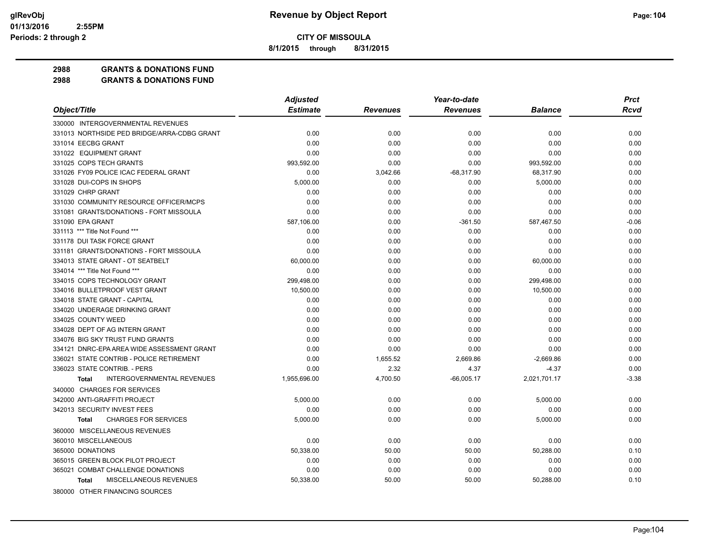**8/1/2015 through 8/31/2015**

**2988 GRANTS & DONATIONS FUND**

| <b>Estimate</b><br>Object/Title<br><b>Revenues</b><br><b>Balance</b><br><b>Revenues</b><br>330000 INTERGOVERNMENTAL REVENUES | <b>Rcvd</b><br>0.00 |
|------------------------------------------------------------------------------------------------------------------------------|---------------------|
|                                                                                                                              |                     |
|                                                                                                                              |                     |
| 331013 NORTHSIDE PED BRIDGE/ARRA-CDBG GRANT<br>0.00<br>0.00<br>0.00<br>0.00                                                  |                     |
| 331014 EECBG GRANT<br>0.00<br>0.00<br>0.00<br>0.00                                                                           | 0.00                |
| 331022 EQUIPMENT GRANT<br>0.00<br>0.00<br>0.00<br>0.00                                                                       | 0.00                |
| 331025 COPS TECH GRANTS<br>993,592.00<br>0.00<br>0.00<br>993,592.00                                                          | 0.00                |
| 331026 FY09 POLICE ICAC FEDERAL GRANT<br>0.00<br>3,042.66<br>$-68,317.90$<br>68,317.90                                       | 0.00                |
| 331028 DUI-COPS IN SHOPS<br>5,000.00<br>0.00<br>0.00<br>5,000.00                                                             | 0.00                |
| 331029 CHRP GRANT<br>0.00<br>0.00<br>0.00<br>0.00                                                                            | 0.00                |
| 331030 COMMUNITY RESOURCE OFFICER/MCPS<br>0.00<br>0.00<br>0.00<br>0.00                                                       | 0.00                |
| 331081 GRANTS/DONATIONS - FORT MISSOULA<br>0.00<br>0.00<br>0.00<br>0.00                                                      | 0.00                |
| 331090 EPA GRANT<br>587,106.00<br>0.00<br>$-361.50$<br>587,467.50                                                            | $-0.06$             |
| 331113 *** Title Not Found ***<br>0.00<br>0.00<br>0.00<br>0.00                                                               | 0.00                |
| 331178 DUI TASK FORCE GRANT<br>0.00<br>0.00<br>0.00<br>0.00                                                                  | 0.00                |
| 331181 GRANTS/DONATIONS - FORT MISSOULA<br>0.00<br>0.00<br>0.00<br>0.00                                                      | 0.00                |
| 334013 STATE GRANT - OT SEATBELT<br>60,000.00<br>0.00<br>0.00<br>60,000.00                                                   | 0.00                |
| 334014 *** Title Not Found ***<br>0.00<br>0.00<br>0.00<br>0.00                                                               | 0.00                |
| 334015 COPS TECHNOLOGY GRANT<br>299,498.00<br>0.00<br>0.00<br>299,498.00                                                     | 0.00                |
| 334016 BULLETPROOF VEST GRANT<br>10,500.00<br>0.00<br>0.00<br>10,500.00                                                      | 0.00                |
| 334018 STATE GRANT - CAPITAL<br>0.00<br>0.00<br>0.00<br>0.00                                                                 | 0.00                |
| 334020 UNDERAGE DRINKING GRANT<br>0.00<br>0.00<br>0.00<br>0.00                                                               | 0.00                |
| 334025 COUNTY WEED<br>0.00<br>0.00<br>0.00<br>0.00                                                                           | 0.00                |
| 334028 DEPT OF AG INTERN GRANT<br>0.00<br>0.00<br>0.00<br>0.00                                                               | 0.00                |
| 334076 BIG SKY TRUST FUND GRANTS<br>0.00<br>0.00<br>0.00<br>0.00                                                             | 0.00                |
| 0.00<br>0.00<br>334121 DNRC-EPA AREA WIDE ASSESSMENT GRANT<br>0.00<br>0.00                                                   | 0.00                |
| 336021 STATE CONTRIB - POLICE RETIREMENT<br>0.00<br>1,655.52<br>2,669.86<br>$-2,669.86$                                      | 0.00                |
| 336023 STATE CONTRIB. - PERS<br>0.00<br>2.32<br>$-4.37$<br>4.37                                                              | 0.00                |
| <b>INTERGOVERNMENTAL REVENUES</b><br>1,955,696.00<br>4,700.50<br>$-66,005.17$<br>2,021,701.17<br><b>Total</b>                | $-3.38$             |
| 340000 CHARGES FOR SERVICES                                                                                                  |                     |
| 342000 ANTI-GRAFFITI PROJECT<br>5.000.00<br>0.00<br>0.00<br>5,000.00                                                         | 0.00                |
| 342013 SECURITY INVEST FEES<br>0.00<br>0.00<br>0.00<br>0.00                                                                  | 0.00                |
| <b>CHARGES FOR SERVICES</b><br>5,000.00<br>0.00<br>0.00<br>5,000.00<br>Total                                                 | 0.00                |
| 360000 MISCELLANEOUS REVENUES                                                                                                |                     |
| 360010 MISCELLANEOUS<br>0.00<br>0.00<br>0.00<br>0.00                                                                         | 0.00                |
| 365000 DONATIONS<br>50,338.00<br>50.00<br>50.00<br>50,288.00                                                                 | 0.10                |
| 365015 GREEN BLOCK PILOT PROJECT<br>0.00<br>0.00<br>0.00<br>0.00                                                             | 0.00                |
| 365021 COMBAT CHALLENGE DONATIONS<br>0.00<br>0.00<br>0.00<br>0.00                                                            | 0.00                |
| MISCELLANEOUS REVENUES<br>50,338.00<br>50.00<br>50.00<br>50,288.00<br><b>Total</b>                                           | 0.10                |
| 380000 OTHER FINANCING SOURCES                                                                                               |                     |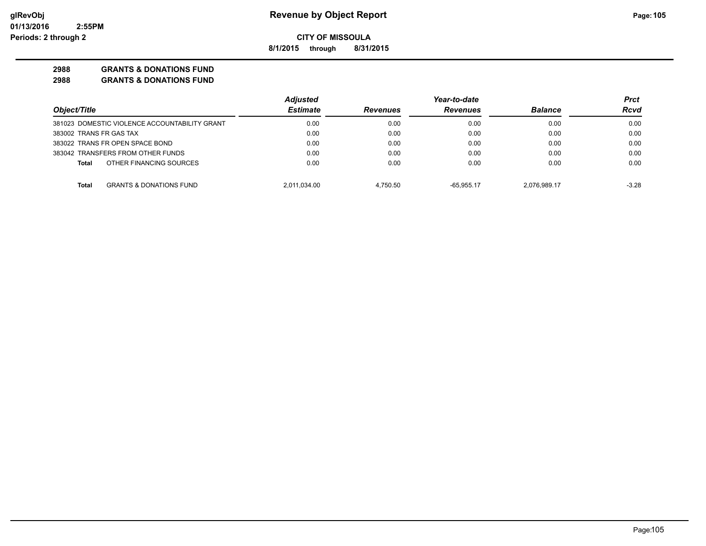**8/1/2015 through 8/31/2015**

### **2988 GRANTS & DONATIONS FUND**

|                                                    | <b>Adjusted</b> |                 | Year-to-date    |                | Prct    |
|----------------------------------------------------|-----------------|-----------------|-----------------|----------------|---------|
| Object/Title                                       | <b>Estimate</b> | <b>Revenues</b> | <b>Revenues</b> | <b>Balance</b> | Rcvd    |
| 381023 DOMESTIC VIOLENCE ACCOUNTABILITY GRANT      | 0.00            | 0.00            | 0.00            | 0.00           | 0.00    |
| 383002 TRANS FR GAS TAX                            | 0.00            | 0.00            | 0.00            | 0.00           | 0.00    |
| 383022 TRANS FR OPEN SPACE BOND                    | 0.00            | 0.00            | 0.00            | 0.00           | 0.00    |
| 383042 TRANSFERS FROM OTHER FUNDS                  | 0.00            | 0.00            | 0.00            | 0.00           | 0.00    |
| OTHER FINANCING SOURCES<br>Total                   | 0.00            | 0.00            | 0.00            | 0.00           | 0.00    |
| <b>GRANTS &amp; DONATIONS FUND</b><br><b>Total</b> | 2,011,034.00    | 4.750.50        | $-65.955.17$    | 2.076.989.17   | $-3.28$ |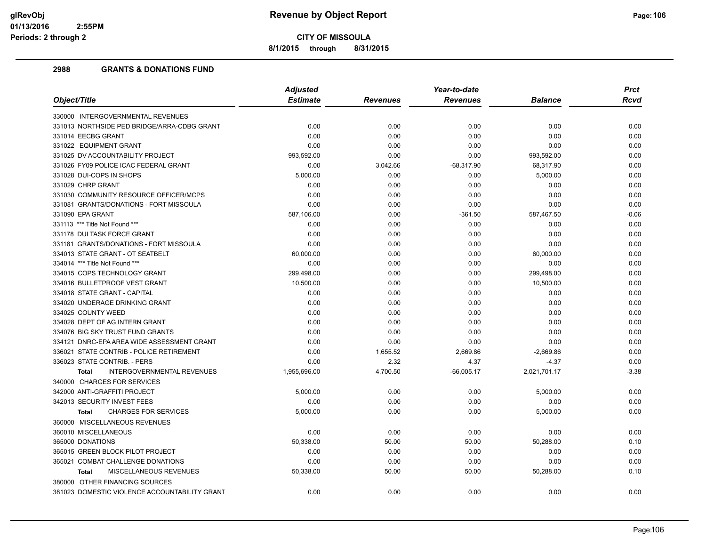**8/1/2015 through 8/31/2015**

|                                                   | <b>Adjusted</b> |                 | Year-to-date    |                | <b>Prct</b> |
|---------------------------------------------------|-----------------|-----------------|-----------------|----------------|-------------|
| Object/Title                                      | <b>Estimate</b> | <b>Revenues</b> | <b>Revenues</b> | <b>Balance</b> | Rcvd        |
| 330000 INTERGOVERNMENTAL REVENUES                 |                 |                 |                 |                |             |
| 331013 NORTHSIDE PED BRIDGE/ARRA-CDBG GRANT       | 0.00            | 0.00            | 0.00            | 0.00           | 0.00        |
| 331014 EECBG GRANT                                | 0.00            | 0.00            | 0.00            | 0.00           | 0.00        |
| 331022 EQUIPMENT GRANT                            | 0.00            | 0.00            | 0.00            | 0.00           | 0.00        |
| 331025 DV ACCOUNTABILITY PROJECT                  | 993,592.00      | 0.00            | 0.00            | 993,592.00     | 0.00        |
| 331026 FY09 POLICE ICAC FEDERAL GRANT             | 0.00            | 3,042.66        | $-68,317.90$    | 68.317.90      | 0.00        |
| 331028 DUI-COPS IN SHOPS                          | 5,000.00        | 0.00            | 0.00            | 5,000.00       | 0.00        |
| 331029 CHRP GRANT                                 | 0.00            | 0.00            | 0.00            | 0.00           | 0.00        |
| 331030 COMMUNITY RESOURCE OFFICER/MCPS            | 0.00            | 0.00            | 0.00            | 0.00           | 0.00        |
| 331081 GRANTS/DONATIONS - FORT MISSOULA           | 0.00            | 0.00            | 0.00            | 0.00           | 0.00        |
| 331090 EPA GRANT                                  | 587,106.00      | 0.00            | $-361.50$       | 587,467.50     | $-0.06$     |
| 331113 *** Title Not Found ***                    | 0.00            | 0.00            | 0.00            | 0.00           | 0.00        |
| 331178 DUI TASK FORCE GRANT                       | 0.00            | 0.00            | 0.00            | 0.00           | 0.00        |
| 331181 GRANTS/DONATIONS - FORT MISSOULA           | 0.00            | 0.00            | 0.00            | 0.00           | 0.00        |
| 334013 STATE GRANT - OT SEATBELT                  | 60,000.00       | 0.00            | 0.00            | 60,000.00      | 0.00        |
| 334014 *** Title Not Found ***                    | 0.00            | 0.00            | 0.00            | 0.00           | 0.00        |
| 334015 COPS TECHNOLOGY GRANT                      | 299,498.00      | 0.00            | 0.00            | 299,498.00     | 0.00        |
| 334016 BULLETPROOF VEST GRANT                     | 10,500.00       | 0.00            | 0.00            | 10,500.00      | 0.00        |
| 334018 STATE GRANT - CAPITAL                      | 0.00            | 0.00            | 0.00            | 0.00           | 0.00        |
| 334020 UNDERAGE DRINKING GRANT                    | 0.00            | 0.00            | 0.00            | 0.00           | 0.00        |
| 334025 COUNTY WEED                                | 0.00            | 0.00            | 0.00            | 0.00           | 0.00        |
| 334028 DEPT OF AG INTERN GRANT                    | 0.00            | 0.00            | 0.00            | 0.00           | 0.00        |
| 334076 BIG SKY TRUST FUND GRANTS                  | 0.00            | 0.00            | 0.00            | 0.00           | 0.00        |
| 334121 DNRC-EPA AREA WIDE ASSESSMENT GRANT        | 0.00            | 0.00            | 0.00            | 0.00           | 0.00        |
| 336021 STATE CONTRIB - POLICE RETIREMENT          | 0.00            | 1,655.52        | 2,669.86        | $-2,669.86$    | 0.00        |
| 336023 STATE CONTRIB. - PERS                      | 0.00            | 2.32            | 4.37            | $-4.37$        | 0.00        |
| <b>INTERGOVERNMENTAL REVENUES</b><br><b>Total</b> | 1,955,696.00    | 4,700.50        | $-66,005.17$    | 2,021,701.17   | $-3.38$     |
| 340000 CHARGES FOR SERVICES                       |                 |                 |                 |                |             |
| 342000 ANTI-GRAFFITI PROJECT                      | 5,000.00        | 0.00            | 0.00            | 5,000.00       | 0.00        |
| 342013 SECURITY INVEST FEES                       | 0.00            | 0.00            | 0.00            | 0.00           | 0.00        |
| <b>CHARGES FOR SERVICES</b><br><b>Total</b>       | 5,000.00        | 0.00            | 0.00            | 5,000.00       | 0.00        |
| 360000 MISCELLANEOUS REVENUES                     |                 |                 |                 |                |             |
| 360010 MISCELLANEOUS                              | 0.00            | 0.00            | 0.00            | 0.00           | 0.00        |
| 365000 DONATIONS                                  | 50,338.00       | 50.00           | 50.00           | 50,288.00      | 0.10        |
| 365015 GREEN BLOCK PILOT PROJECT                  | 0.00            | 0.00            | 0.00            | 0.00           | 0.00        |
| 365021 COMBAT CHALLENGE DONATIONS                 | 0.00            | 0.00            | 0.00            | 0.00           | 0.00        |
| MISCELLANEOUS REVENUES<br><b>Total</b>            | 50,338.00       | 50.00           | 50.00           | 50,288.00      | 0.10        |
| 380000 OTHER FINANCING SOURCES                    |                 |                 |                 |                |             |
| 381023 DOMESTIC VIOLENCE ACCOUNTABILITY GRANT     | 0.00            | 0.00            | 0.00            | 0.00           | 0.00        |
|                                                   |                 |                 |                 |                |             |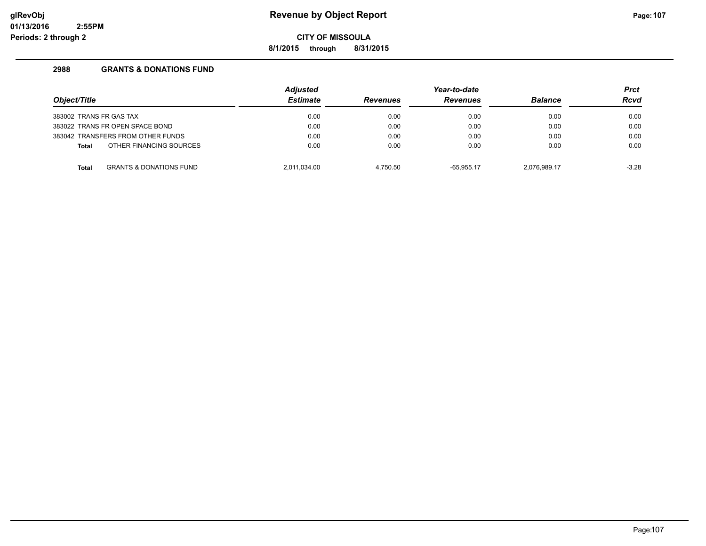**8/1/2015 through 8/31/2015**

| Object/Title                                       | <b>Adjusted</b><br><b>Estimate</b> | <b>Revenues</b> | Year-to-date<br><b>Revenues</b> | <b>Balance</b> | <b>Prct</b><br><b>Rcvd</b> |
|----------------------------------------------------|------------------------------------|-----------------|---------------------------------|----------------|----------------------------|
| 383002 TRANS FR GAS TAX                            | 0.00                               | 0.00            | 0.00                            | 0.00           | 0.00                       |
| 383022 TRANS FR OPEN SPACE BOND                    | 0.00                               | 0.00            | 0.00                            | 0.00           | 0.00                       |
| 383042 TRANSFERS FROM OTHER FUNDS                  | 0.00                               | 0.00            | 0.00                            | 0.00           | 0.00                       |
| OTHER FINANCING SOURCES<br><b>Total</b>            | 0.00                               | 0.00            | 0.00                            | 0.00           | 0.00                       |
| <b>GRANTS &amp; DONATIONS FUND</b><br><b>Total</b> | 2.011.034.00                       | 4.750.50        | $-65.955.17$                    | 2.076.989.17   | $-3.28$                    |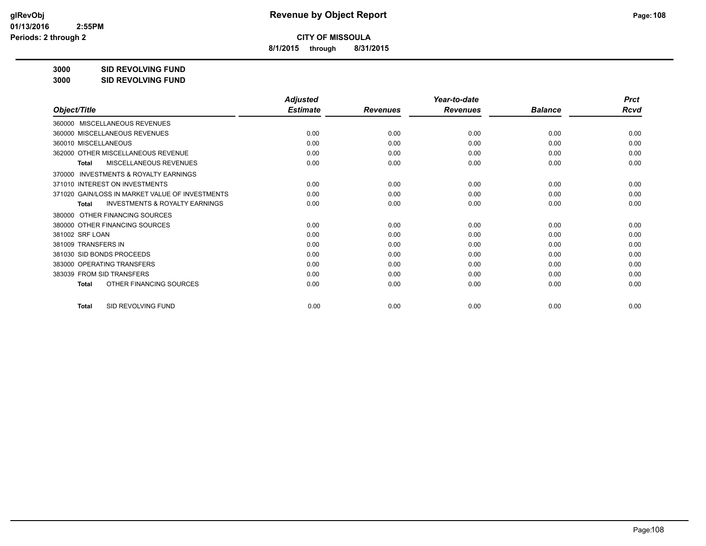**8/1/2015 through 8/31/2015**

**3000 SID REVOLVING FUND**

**3000 SID REVOLVING FUND**

| Object/Title                                              | <b>Adjusted</b><br><b>Estimate</b> |                 | Year-to-date<br><b>Revenues</b> | <b>Balance</b> | <b>Prct</b><br><b>Rcvd</b> |
|-----------------------------------------------------------|------------------------------------|-----------------|---------------------------------|----------------|----------------------------|
|                                                           |                                    | <b>Revenues</b> |                                 |                |                            |
| MISCELLANEOUS REVENUES<br>360000                          |                                    |                 |                                 |                |                            |
| 360000 MISCELLANEOUS REVENUES                             | 0.00                               | 0.00            | 0.00                            | 0.00           | 0.00                       |
| 360010 MISCELLANEOUS                                      | 0.00                               | 0.00            | 0.00                            | 0.00           | 0.00                       |
| 362000 OTHER MISCELLANEOUS REVENUE                        | 0.00                               | 0.00            | 0.00                            | 0.00           | 0.00                       |
| MISCELLANEOUS REVENUES<br><b>Total</b>                    | 0.00                               | 0.00            | 0.00                            | 0.00           | 0.00                       |
| <b>INVESTMENTS &amp; ROYALTY EARNINGS</b><br>370000       |                                    |                 |                                 |                |                            |
| 371010 INTEREST ON INVESTMENTS                            | 0.00                               | 0.00            | 0.00                            | 0.00           | 0.00                       |
| 371020 GAIN/LOSS IN MARKET VALUE OF INVESTMENTS           | 0.00                               | 0.00            | 0.00                            | 0.00           | 0.00                       |
| <b>INVESTMENTS &amp; ROYALTY EARNINGS</b><br><b>Total</b> | 0.00                               | 0.00            | 0.00                            | 0.00           | 0.00                       |
| OTHER FINANCING SOURCES<br>380000                         |                                    |                 |                                 |                |                            |
| 380000 OTHER FINANCING SOURCES                            | 0.00                               | 0.00            | 0.00                            | 0.00           | 0.00                       |
| 381002 SRF LOAN                                           | 0.00                               | 0.00            | 0.00                            | 0.00           | 0.00                       |
| 381009 TRANSFERS IN                                       | 0.00                               | 0.00            | 0.00                            | 0.00           | 0.00                       |
| 381030 SID BONDS PROCEEDS                                 | 0.00                               | 0.00            | 0.00                            | 0.00           | 0.00                       |
| 383000 OPERATING TRANSFERS                                | 0.00                               | 0.00            | 0.00                            | 0.00           | 0.00                       |
| 383039 FROM SID TRANSFERS                                 | 0.00                               | 0.00            | 0.00                            | 0.00           | 0.00                       |
| OTHER FINANCING SOURCES<br>Total                          | 0.00                               | 0.00            | 0.00                            | 0.00           | 0.00                       |
| SID REVOLVING FUND<br><b>Total</b>                        | 0.00                               | 0.00            | 0.00                            | 0.00           | 0.00                       |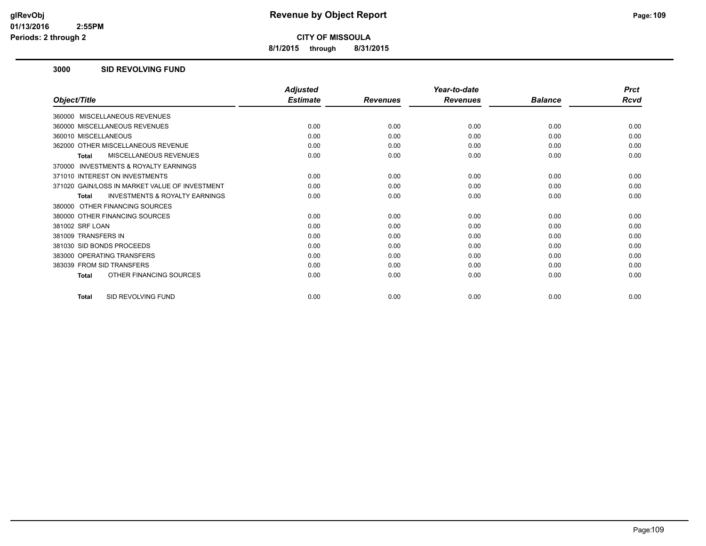**8/1/2015 through 8/31/2015**

#### **3000 SID REVOLVING FUND**

|                                                    | <b>Adjusted</b> |                 | Year-to-date    |                | <b>Prct</b> |
|----------------------------------------------------|-----------------|-----------------|-----------------|----------------|-------------|
| Object/Title                                       | <b>Estimate</b> | <b>Revenues</b> | <b>Revenues</b> | <b>Balance</b> | Rcvd        |
| 360000 MISCELLANEOUS REVENUES                      |                 |                 |                 |                |             |
| 360000 MISCELLANEOUS REVENUES                      | 0.00            | 0.00            | 0.00            | 0.00           | 0.00        |
| 360010 MISCELLANEOUS                               | 0.00            | 0.00            | 0.00            | 0.00           | 0.00        |
| 362000 OTHER MISCELLANEOUS REVENUE                 | 0.00            | 0.00            | 0.00            | 0.00           | 0.00        |
| <b>MISCELLANEOUS REVENUES</b><br><b>Total</b>      | 0.00            | 0.00            | 0.00            | 0.00           | 0.00        |
| INVESTMENTS & ROYALTY EARNINGS<br>370000           |                 |                 |                 |                |             |
| 371010 INTEREST ON INVESTMENTS                     | 0.00            | 0.00            | 0.00            | 0.00           | 0.00        |
| 371020 GAIN/LOSS IN MARKET VALUE OF INVESTMENT     | 0.00            | 0.00            | 0.00            | 0.00           | 0.00        |
| <b>INVESTMENTS &amp; ROYALTY EARNINGS</b><br>Total | 0.00            | 0.00            | 0.00            | 0.00           | 0.00        |
| 380000 OTHER FINANCING SOURCES                     |                 |                 |                 |                |             |
| 380000 OTHER FINANCING SOURCES                     | 0.00            | 0.00            | 0.00            | 0.00           | 0.00        |
| 381002 SRF LOAN                                    | 0.00            | 0.00            | 0.00            | 0.00           | 0.00        |
| 381009 TRANSFERS IN                                | 0.00            | 0.00            | 0.00            | 0.00           | 0.00        |
| 381030 SID BONDS PROCEEDS                          | 0.00            | 0.00            | 0.00            | 0.00           | 0.00        |
| 383000 OPERATING TRANSFERS                         | 0.00            | 0.00            | 0.00            | 0.00           | 0.00        |
| 383039 FROM SID TRANSFERS                          | 0.00            | 0.00            | 0.00            | 0.00           | 0.00        |
| OTHER FINANCING SOURCES<br><b>Total</b>            | 0.00            | 0.00            | 0.00            | 0.00           | 0.00        |
| SID REVOLVING FUND<br><b>Total</b>                 | 0.00            | 0.00            | 0.00            | 0.00           | 0.00        |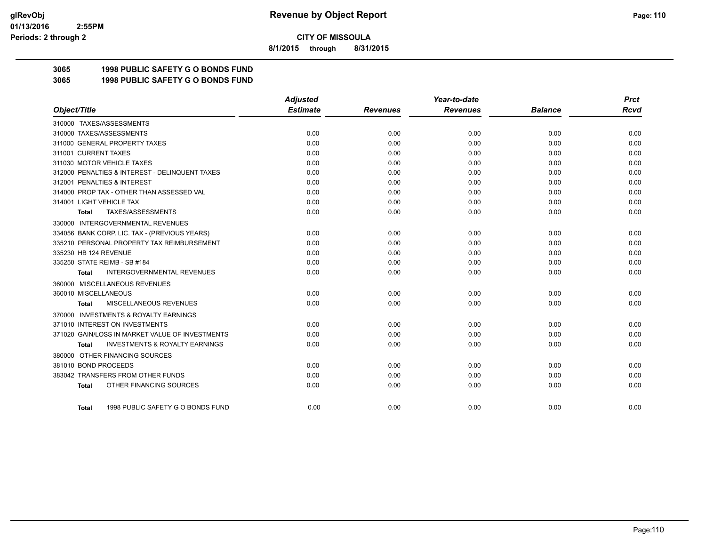**8/1/2015 through 8/31/2015**

# **3065 1998 PUBLIC SAFETY G O BONDS FUND**

**3065 1998 PUBLIC SAFETY G O BONDS FUND**

|                                                     | <b>Adjusted</b> |                 | Year-to-date    |                | <b>Prct</b> |
|-----------------------------------------------------|-----------------|-----------------|-----------------|----------------|-------------|
| Object/Title                                        | <b>Estimate</b> | <b>Revenues</b> | <b>Revenues</b> | <b>Balance</b> | Rcvd        |
| 310000 TAXES/ASSESSMENTS                            |                 |                 |                 |                |             |
| 310000 TAXES/ASSESSMENTS                            | 0.00            | 0.00            | 0.00            | 0.00           | 0.00        |
| 311000 GENERAL PROPERTY TAXES                       | 0.00            | 0.00            | 0.00            | 0.00           | 0.00        |
| 311001 CURRENT TAXES                                | 0.00            | 0.00            | 0.00            | 0.00           | 0.00        |
| 311030 MOTOR VEHICLE TAXES                          | 0.00            | 0.00            | 0.00            | 0.00           | 0.00        |
| 312000 PENALTIES & INTEREST - DELINQUENT TAXES      | 0.00            | 0.00            | 0.00            | 0.00           | 0.00        |
| 312001 PENALTIES & INTEREST                         | 0.00            | 0.00            | 0.00            | 0.00           | 0.00        |
| 314000 PROP TAX - OTHER THAN ASSESSED VAL           | 0.00            | 0.00            | 0.00            | 0.00           | 0.00        |
| 314001 LIGHT VEHICLE TAX                            | 0.00            | 0.00            | 0.00            | 0.00           | 0.00        |
| TAXES/ASSESSMENTS<br>Total                          | 0.00            | 0.00            | 0.00            | 0.00           | 0.00        |
| 330000 INTERGOVERNMENTAL REVENUES                   |                 |                 |                 |                |             |
| 334056 BANK CORP. LIC. TAX - (PREVIOUS YEARS)       | 0.00            | 0.00            | 0.00            | 0.00           | 0.00        |
| 335210 PERSONAL PROPERTY TAX REIMBURSEMENT          | 0.00            | 0.00            | 0.00            | 0.00           | 0.00        |
| 335230 HB 124 REVENUE                               | 0.00            | 0.00            | 0.00            | 0.00           | 0.00        |
| 335250 STATE REIMB - SB #184                        | 0.00            | 0.00            | 0.00            | 0.00           | 0.00        |
| <b>INTERGOVERNMENTAL REVENUES</b><br><b>Total</b>   | 0.00            | 0.00            | 0.00            | 0.00           | 0.00        |
| 360000 MISCELLANEOUS REVENUES                       |                 |                 |                 |                |             |
| 360010 MISCELLANEOUS                                | 0.00            | 0.00            | 0.00            | 0.00           | 0.00        |
| MISCELLANEOUS REVENUES<br>Total                     | 0.00            | 0.00            | 0.00            | 0.00           | 0.00        |
| <b>INVESTMENTS &amp; ROYALTY EARNINGS</b><br>370000 |                 |                 |                 |                |             |
| 371010 INTEREST ON INVESTMENTS                      | 0.00            | 0.00            | 0.00            | 0.00           | 0.00        |
| 371020 GAIN/LOSS IN MARKET VALUE OF INVESTMENTS     | 0.00            | 0.00            | 0.00            | 0.00           | 0.00        |
| <b>INVESTMENTS &amp; ROYALTY EARNINGS</b><br>Total  | 0.00            | 0.00            | 0.00            | 0.00           | 0.00        |
| 380000 OTHER FINANCING SOURCES                      |                 |                 |                 |                |             |
| 381010 BOND PROCEEDS                                | 0.00            | 0.00            | 0.00            | 0.00           | 0.00        |
| 383042 TRANSFERS FROM OTHER FUNDS                   | 0.00            | 0.00            | 0.00            | 0.00           | 0.00        |
| OTHER FINANCING SOURCES<br><b>Total</b>             | 0.00            | 0.00            | 0.00            | 0.00           | 0.00        |
| 1998 PUBLIC SAFETY G O BONDS FUND<br>Total          | 0.00            | 0.00            | 0.00            | 0.00           | 0.00        |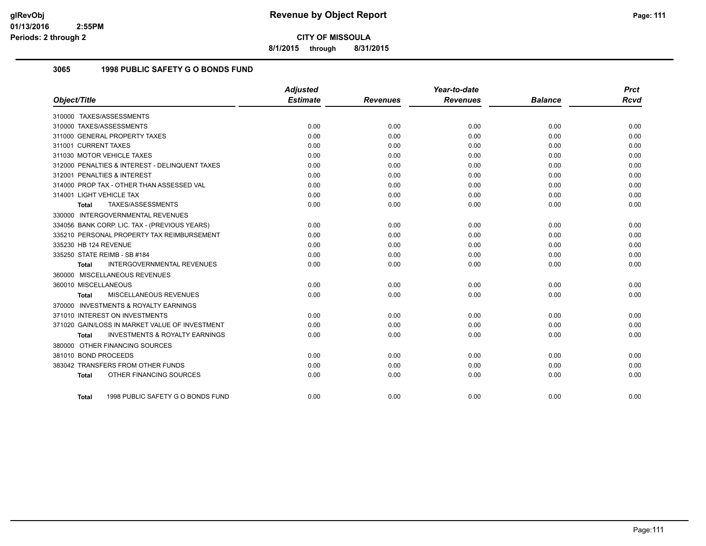**8/1/2015 through 8/31/2015**

# **3065 1998 PUBLIC SAFETY G O BONDS FUND**

|                                                    | <b>Adjusted</b> |                 | Year-to-date    |                | <b>Prct</b> |
|----------------------------------------------------|-----------------|-----------------|-----------------|----------------|-------------|
| Object/Title                                       | <b>Estimate</b> | <b>Revenues</b> | <b>Revenues</b> | <b>Balance</b> | <b>Rcvd</b> |
| 310000 TAXES/ASSESSMENTS                           |                 |                 |                 |                |             |
| 310000 TAXES/ASSESSMENTS                           | 0.00            | 0.00            | 0.00            | 0.00           | 0.00        |
| 311000 GENERAL PROPERTY TAXES                      | 0.00            | 0.00            | 0.00            | 0.00           | 0.00        |
| 311001 CURRENT TAXES                               | 0.00            | 0.00            | 0.00            | 0.00           | 0.00        |
| 311030 MOTOR VEHICLE TAXES                         | 0.00            | 0.00            | 0.00            | 0.00           | 0.00        |
| 312000 PENALTIES & INTEREST - DELINQUENT TAXES     | 0.00            | 0.00            | 0.00            | 0.00           | 0.00        |
| 312001 PENALTIES & INTEREST                        | 0.00            | 0.00            | 0.00            | 0.00           | 0.00        |
| 314000 PROP TAX - OTHER THAN ASSESSED VAL          | 0.00            | 0.00            | 0.00            | 0.00           | 0.00        |
| 314001 LIGHT VEHICLE TAX                           | 0.00            | 0.00            | 0.00            | 0.00           | 0.00        |
| TAXES/ASSESSMENTS<br>Total                         | 0.00            | 0.00            | 0.00            | 0.00           | 0.00        |
| 330000 INTERGOVERNMENTAL REVENUES                  |                 |                 |                 |                |             |
| 334056 BANK CORP. LIC. TAX - (PREVIOUS YEARS)      | 0.00            | 0.00            | 0.00            | 0.00           | 0.00        |
| 335210 PERSONAL PROPERTY TAX REIMBURSEMENT         | 0.00            | 0.00            | 0.00            | 0.00           | 0.00        |
| 335230 HB 124 REVENUE                              | 0.00            | 0.00            | 0.00            | 0.00           | 0.00        |
| 335250 STATE REIMB - SB #184                       | 0.00            | 0.00            | 0.00            | 0.00           | 0.00        |
| <b>INTERGOVERNMENTAL REVENUES</b><br><b>Total</b>  | 0.00            | 0.00            | 0.00            | 0.00           | 0.00        |
| 360000 MISCELLANEOUS REVENUES                      |                 |                 |                 |                |             |
| 360010 MISCELLANEOUS                               | 0.00            | 0.00            | 0.00            | 0.00           | 0.00        |
| MISCELLANEOUS REVENUES<br><b>Total</b>             | 0.00            | 0.00            | 0.00            | 0.00           | 0.00        |
| 370000 INVESTMENTS & ROYALTY EARNINGS              |                 |                 |                 |                |             |
| 371010 INTEREST ON INVESTMENTS                     | 0.00            | 0.00            | 0.00            | 0.00           | 0.00        |
| 371020 GAIN/LOSS IN MARKET VALUE OF INVESTMENT     | 0.00            | 0.00            | 0.00            | 0.00           | 0.00        |
| <b>INVESTMENTS &amp; ROYALTY EARNINGS</b><br>Total | 0.00            | 0.00            | 0.00            | 0.00           | 0.00        |
| 380000 OTHER FINANCING SOURCES                     |                 |                 |                 |                |             |
| 381010 BOND PROCEEDS                               | 0.00            | 0.00            | 0.00            | 0.00           | 0.00        |
| 383042 TRANSFERS FROM OTHER FUNDS                  | 0.00            | 0.00            | 0.00            | 0.00           | 0.00        |
| OTHER FINANCING SOURCES<br><b>Total</b>            | 0.00            | 0.00            | 0.00            | 0.00           | 0.00        |
|                                                    |                 |                 |                 |                |             |
| 1998 PUBLIC SAFETY G O BONDS FUND<br>Total         | 0.00            | 0.00            | 0.00            | 0.00           | 0.00        |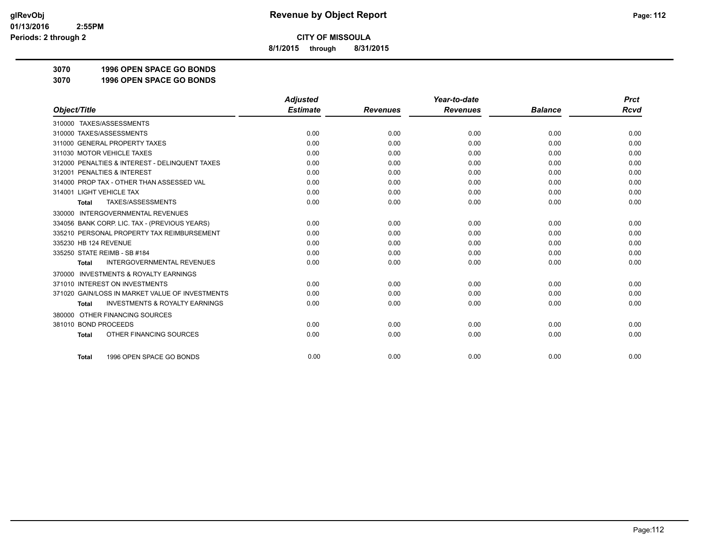**8/1/2015 through 8/31/2015**

**3070 1996 OPEN SPACE GO BONDS**

**3070 1996 OPEN SPACE GO BONDS**

|                                                           | <b>Adjusted</b> |                 | Year-to-date    |                | <b>Prct</b> |
|-----------------------------------------------------------|-----------------|-----------------|-----------------|----------------|-------------|
| Object/Title                                              | <b>Estimate</b> | <b>Revenues</b> | <b>Revenues</b> | <b>Balance</b> | <b>Rcvd</b> |
| 310000 TAXES/ASSESSMENTS                                  |                 |                 |                 |                |             |
| 310000 TAXES/ASSESSMENTS                                  | 0.00            | 0.00            | 0.00            | 0.00           | 0.00        |
| 311000 GENERAL PROPERTY TAXES                             | 0.00            | 0.00            | 0.00            | 0.00           | 0.00        |
| 311030 MOTOR VEHICLE TAXES                                | 0.00            | 0.00            | 0.00            | 0.00           | 0.00        |
| 312000 PENALTIES & INTEREST - DELINQUENT TAXES            | 0.00            | 0.00            | 0.00            | 0.00           | 0.00        |
| 312001 PENALTIES & INTEREST                               | 0.00            | 0.00            | 0.00            | 0.00           | 0.00        |
| 314000 PROP TAX - OTHER THAN ASSESSED VAL                 | 0.00            | 0.00            | 0.00            | 0.00           | 0.00        |
| 314001 LIGHT VEHICLE TAX                                  | 0.00            | 0.00            | 0.00            | 0.00           | 0.00        |
| TAXES/ASSESSMENTS<br><b>Total</b>                         | 0.00            | 0.00            | 0.00            | 0.00           | 0.00        |
| 330000 INTERGOVERNMENTAL REVENUES                         |                 |                 |                 |                |             |
| 334056 BANK CORP. LIC. TAX - (PREVIOUS YEARS)             | 0.00            | 0.00            | 0.00            | 0.00           | 0.00        |
| 335210 PERSONAL PROPERTY TAX REIMBURSEMENT                | 0.00            | 0.00            | 0.00            | 0.00           | 0.00        |
| 335230 HB 124 REVENUE                                     | 0.00            | 0.00            | 0.00            | 0.00           | 0.00        |
| 335250 STATE REIMB - SB #184                              | 0.00            | 0.00            | 0.00            | 0.00           | 0.00        |
| <b>INTERGOVERNMENTAL REVENUES</b><br><b>Total</b>         | 0.00            | 0.00            | 0.00            | 0.00           | 0.00        |
| <b>INVESTMENTS &amp; ROYALTY EARNINGS</b><br>370000       |                 |                 |                 |                |             |
| 371010 INTEREST ON INVESTMENTS                            | 0.00            | 0.00            | 0.00            | 0.00           | 0.00        |
| 371020 GAIN/LOSS IN MARKET VALUE OF INVESTMENTS           | 0.00            | 0.00            | 0.00            | 0.00           | 0.00        |
| <b>INVESTMENTS &amp; ROYALTY EARNINGS</b><br><b>Total</b> | 0.00            | 0.00            | 0.00            | 0.00           | 0.00        |
| OTHER FINANCING SOURCES<br>380000                         |                 |                 |                 |                |             |
| 381010 BOND PROCEEDS                                      | 0.00            | 0.00            | 0.00            | 0.00           | 0.00        |
| OTHER FINANCING SOURCES<br><b>Total</b>                   | 0.00            | 0.00            | 0.00            | 0.00           | 0.00        |
| 1996 OPEN SPACE GO BONDS<br><b>Total</b>                  | 0.00            | 0.00            | 0.00            | 0.00           | 0.00        |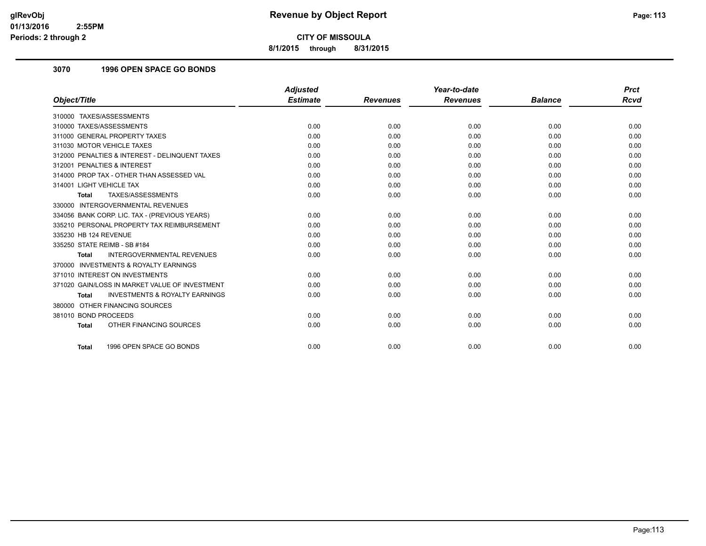**8/1/2015 through 8/31/2015**

## **3070 1996 OPEN SPACE GO BONDS**

|                                                           | <b>Adjusted</b> |                 | Year-to-date    |                | <b>Prct</b> |
|-----------------------------------------------------------|-----------------|-----------------|-----------------|----------------|-------------|
| Object/Title                                              | <b>Estimate</b> | <b>Revenues</b> | <b>Revenues</b> | <b>Balance</b> | <b>Rcvd</b> |
| 310000 TAXES/ASSESSMENTS                                  |                 |                 |                 |                |             |
| 310000 TAXES/ASSESSMENTS                                  | 0.00            | 0.00            | 0.00            | 0.00           | 0.00        |
| 311000 GENERAL PROPERTY TAXES                             | 0.00            | 0.00            | 0.00            | 0.00           | 0.00        |
| 311030 MOTOR VEHICLE TAXES                                | 0.00            | 0.00            | 0.00            | 0.00           | 0.00        |
| 312000 PENALTIES & INTEREST - DELINQUENT TAXES            | 0.00            | 0.00            | 0.00            | 0.00           | 0.00        |
| 312001 PENALTIES & INTEREST                               | 0.00            | 0.00            | 0.00            | 0.00           | 0.00        |
| 314000 PROP TAX - OTHER THAN ASSESSED VAL                 | 0.00            | 0.00            | 0.00            | 0.00           | 0.00        |
| 314001 LIGHT VEHICLE TAX                                  | 0.00            | 0.00            | 0.00            | 0.00           | 0.00        |
| TAXES/ASSESSMENTS<br>Total                                | 0.00            | 0.00            | 0.00            | 0.00           | 0.00        |
| 330000 INTERGOVERNMENTAL REVENUES                         |                 |                 |                 |                |             |
| 334056 BANK CORP. LIC. TAX - (PREVIOUS YEARS)             | 0.00            | 0.00            | 0.00            | 0.00           | 0.00        |
| 335210 PERSONAL PROPERTY TAX REIMBURSEMENT                | 0.00            | 0.00            | 0.00            | 0.00           | 0.00        |
| 335230 HB 124 REVENUE                                     | 0.00            | 0.00            | 0.00            | 0.00           | 0.00        |
| 335250 STATE REIMB - SB #184                              | 0.00            | 0.00            | 0.00            | 0.00           | 0.00        |
| <b>INTERGOVERNMENTAL REVENUES</b><br><b>Total</b>         | 0.00            | 0.00            | 0.00            | 0.00           | 0.00        |
| 370000 INVESTMENTS & ROYALTY EARNINGS                     |                 |                 |                 |                |             |
| 371010 INTEREST ON INVESTMENTS                            | 0.00            | 0.00            | 0.00            | 0.00           | 0.00        |
| 371020 GAIN/LOSS IN MARKET VALUE OF INVESTMENT            | 0.00            | 0.00            | 0.00            | 0.00           | 0.00        |
| <b>INVESTMENTS &amp; ROYALTY EARNINGS</b><br><b>Total</b> | 0.00            | 0.00            | 0.00            | 0.00           | 0.00        |
| 380000 OTHER FINANCING SOURCES                            |                 |                 |                 |                |             |
| 381010 BOND PROCEEDS                                      | 0.00            | 0.00            | 0.00            | 0.00           | 0.00        |
| OTHER FINANCING SOURCES<br><b>Total</b>                   | 0.00            | 0.00            | 0.00            | 0.00           | 0.00        |
|                                                           |                 |                 |                 |                |             |
| 1996 OPEN SPACE GO BONDS<br><b>Total</b>                  | 0.00            | 0.00            | 0.00            | 0.00           | 0.00        |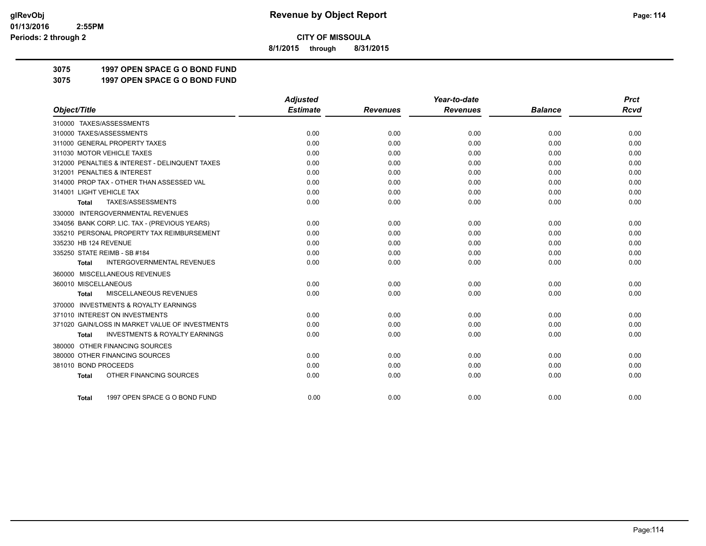**8/1/2015 through 8/31/2015**

# **3075 1997 OPEN SPACE G O BOND FUND**

**3075 1997 OPEN SPACE G O BOND FUND**

|                                                           | <b>Adjusted</b> |                 | Year-to-date    |                | <b>Prct</b> |
|-----------------------------------------------------------|-----------------|-----------------|-----------------|----------------|-------------|
| Object/Title                                              | <b>Estimate</b> | <b>Revenues</b> | <b>Revenues</b> | <b>Balance</b> | <b>Rcvd</b> |
| 310000 TAXES/ASSESSMENTS                                  |                 |                 |                 |                |             |
| 310000 TAXES/ASSESSMENTS                                  | 0.00            | 0.00            | 0.00            | 0.00           | 0.00        |
| 311000 GENERAL PROPERTY TAXES                             | 0.00            | 0.00            | 0.00            | 0.00           | 0.00        |
| 311030 MOTOR VEHICLE TAXES                                | 0.00            | 0.00            | 0.00            | 0.00           | 0.00        |
| 312000 PENALTIES & INTEREST - DELINQUENT TAXES            | 0.00            | 0.00            | 0.00            | 0.00           | 0.00        |
| 312001 PENALTIES & INTEREST                               | 0.00            | 0.00            | 0.00            | 0.00           | 0.00        |
| 314000 PROP TAX - OTHER THAN ASSESSED VAL                 | 0.00            | 0.00            | 0.00            | 0.00           | 0.00        |
| 314001 LIGHT VEHICLE TAX                                  | 0.00            | 0.00            | 0.00            | 0.00           | 0.00        |
| TAXES/ASSESSMENTS<br>Total                                | 0.00            | 0.00            | 0.00            | 0.00           | 0.00        |
| 330000 INTERGOVERNMENTAL REVENUES                         |                 |                 |                 |                |             |
| 334056 BANK CORP. LIC. TAX - (PREVIOUS YEARS)             | 0.00            | 0.00            | 0.00            | 0.00           | 0.00        |
| 335210 PERSONAL PROPERTY TAX REIMBURSEMENT                | 0.00            | 0.00            | 0.00            | 0.00           | 0.00        |
| 335230 HB 124 REVENUE                                     | 0.00            | 0.00            | 0.00            | 0.00           | 0.00        |
| 335250 STATE REIMB - SB #184                              | 0.00            | 0.00            | 0.00            | 0.00           | 0.00        |
| <b>INTERGOVERNMENTAL REVENUES</b><br><b>Total</b>         | 0.00            | 0.00            | 0.00            | 0.00           | 0.00        |
| 360000 MISCELLANEOUS REVENUES                             |                 |                 |                 |                |             |
| 360010 MISCELLANEOUS                                      | 0.00            | 0.00            | 0.00            | 0.00           | 0.00        |
| MISCELLANEOUS REVENUES<br><b>Total</b>                    | 0.00            | 0.00            | 0.00            | 0.00           | 0.00        |
| <b>INVESTMENTS &amp; ROYALTY EARNINGS</b><br>370000       |                 |                 |                 |                |             |
| 371010 INTEREST ON INVESTMENTS                            | 0.00            | 0.00            | 0.00            | 0.00           | 0.00        |
| 371020 GAIN/LOSS IN MARKET VALUE OF INVESTMENTS           | 0.00            | 0.00            | 0.00            | 0.00           | 0.00        |
| <b>INVESTMENTS &amp; ROYALTY EARNINGS</b><br><b>Total</b> | 0.00            | 0.00            | 0.00            | 0.00           | 0.00        |
| 380000 OTHER FINANCING SOURCES                            |                 |                 |                 |                |             |
| 380000 OTHER FINANCING SOURCES                            | 0.00            | 0.00            | 0.00            | 0.00           | 0.00        |
| 381010 BOND PROCEEDS                                      | 0.00            | 0.00            | 0.00            | 0.00           | 0.00        |
| OTHER FINANCING SOURCES<br><b>Total</b>                   | 0.00            | 0.00            | 0.00            | 0.00           | 0.00        |
|                                                           |                 |                 |                 |                |             |
| 1997 OPEN SPACE G O BOND FUND<br>Total                    | 0.00            | 0.00            | 0.00            | 0.00           | 0.00        |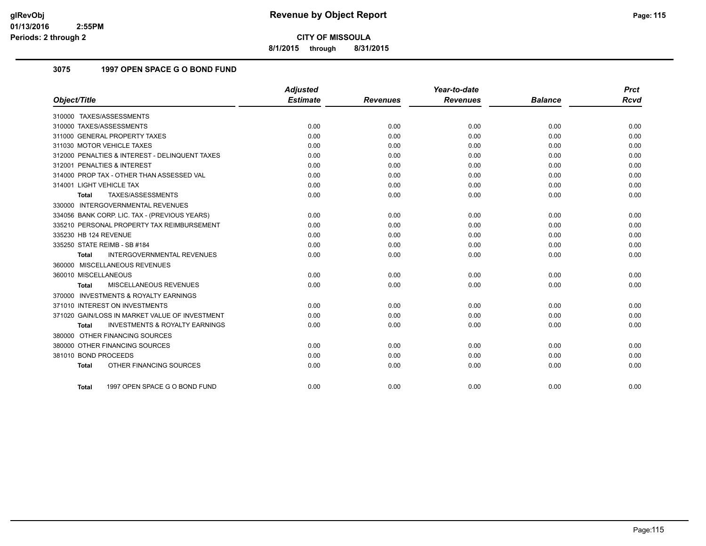**8/1/2015 through 8/31/2015**

# **3075 1997 OPEN SPACE G O BOND FUND**

|                                                           | Adjusted        |                 | Year-to-date    |                | <b>Prct</b> |
|-----------------------------------------------------------|-----------------|-----------------|-----------------|----------------|-------------|
| Object/Title                                              | <b>Estimate</b> | <b>Revenues</b> | <b>Revenues</b> | <b>Balance</b> | <b>Rcvd</b> |
| 310000 TAXES/ASSESSMENTS                                  |                 |                 |                 |                |             |
| 310000 TAXES/ASSESSMENTS                                  | 0.00            | 0.00            | 0.00            | 0.00           | 0.00        |
| 311000 GENERAL PROPERTY TAXES                             | 0.00            | 0.00            | 0.00            | 0.00           | 0.00        |
| 311030 MOTOR VEHICLE TAXES                                | 0.00            | 0.00            | 0.00            | 0.00           | 0.00        |
| 312000 PENALTIES & INTEREST - DELINQUENT TAXES            | 0.00            | 0.00            | 0.00            | 0.00           | 0.00        |
| 312001 PENALTIES & INTEREST                               | 0.00            | 0.00            | 0.00            | 0.00           | 0.00        |
| 314000 PROP TAX - OTHER THAN ASSESSED VAL                 | 0.00            | 0.00            | 0.00            | 0.00           | 0.00        |
| 314001 LIGHT VEHICLE TAX                                  | 0.00            | 0.00            | 0.00            | 0.00           | 0.00        |
| TAXES/ASSESSMENTS<br>Total                                | 0.00            | 0.00            | 0.00            | 0.00           | 0.00        |
| 330000 INTERGOVERNMENTAL REVENUES                         |                 |                 |                 |                |             |
| 334056 BANK CORP. LIC. TAX - (PREVIOUS YEARS)             | 0.00            | 0.00            | 0.00            | 0.00           | 0.00        |
| 335210 PERSONAL PROPERTY TAX REIMBURSEMENT                | 0.00            | 0.00            | 0.00            | 0.00           | 0.00        |
| 335230 HB 124 REVENUE                                     | 0.00            | 0.00            | 0.00            | 0.00           | 0.00        |
| 335250 STATE REIMB - SB #184                              | 0.00            | 0.00            | 0.00            | 0.00           | 0.00        |
| INTERGOVERNMENTAL REVENUES<br><b>Total</b>                | 0.00            | 0.00            | 0.00            | 0.00           | 0.00        |
| 360000 MISCELLANEOUS REVENUES                             |                 |                 |                 |                |             |
| 360010 MISCELLANEOUS                                      | 0.00            | 0.00            | 0.00            | 0.00           | 0.00        |
| MISCELLANEOUS REVENUES<br>Total                           | 0.00            | 0.00            | 0.00            | 0.00           | 0.00        |
| 370000 INVESTMENTS & ROYALTY EARNINGS                     |                 |                 |                 |                |             |
| 371010 INTEREST ON INVESTMENTS                            | 0.00            | 0.00            | 0.00            | 0.00           | 0.00        |
| 371020 GAIN/LOSS IN MARKET VALUE OF INVESTMENT            | 0.00            | 0.00            | 0.00            | 0.00           | 0.00        |
| <b>INVESTMENTS &amp; ROYALTY EARNINGS</b><br><b>Total</b> | 0.00            | 0.00            | 0.00            | 0.00           | 0.00        |
| 380000 OTHER FINANCING SOURCES                            |                 |                 |                 |                |             |
| 380000 OTHER FINANCING SOURCES                            | 0.00            | 0.00            | 0.00            | 0.00           | 0.00        |
| 381010 BOND PROCEEDS                                      | 0.00            | 0.00            | 0.00            | 0.00           | 0.00        |
| OTHER FINANCING SOURCES<br><b>Total</b>                   | 0.00            | 0.00            | 0.00            | 0.00           | 0.00        |
|                                                           |                 |                 |                 |                |             |
| 1997 OPEN SPACE G O BOND FUND<br>Total                    | 0.00            | 0.00            | 0.00            | 0.00           | 0.00        |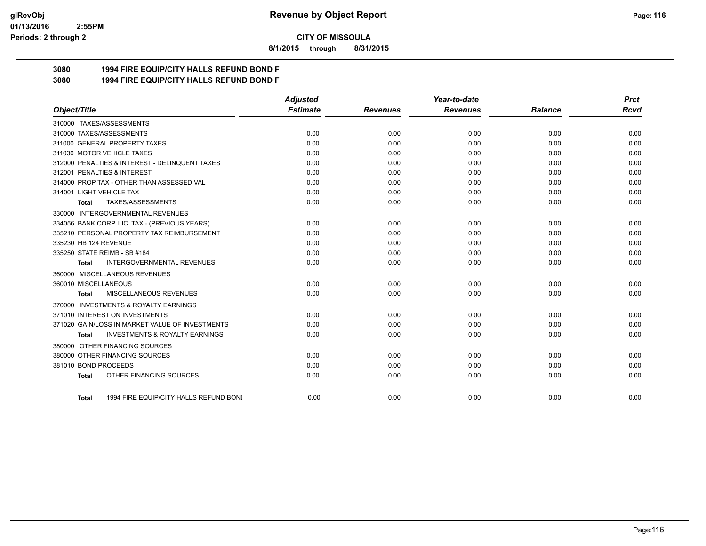#### **01/13/2016 2:55PM Periods: 2 through 2**

**CITY OF MISSOULA**

**8/1/2015 through 8/31/2015**

# **3080 1994 FIRE EQUIP/CITY HALLS REFUND BOND F**

**3080 1994 FIRE EQUIP/CITY HALLS REFUND BOND F**

|                                                           | <b>Adjusted</b> |                 | Year-to-date    |                | <b>Prct</b> |
|-----------------------------------------------------------|-----------------|-----------------|-----------------|----------------|-------------|
| Object/Title                                              | <b>Estimate</b> | <b>Revenues</b> | <b>Revenues</b> | <b>Balance</b> | Rcvd        |
| 310000 TAXES/ASSESSMENTS                                  |                 |                 |                 |                |             |
| 310000 TAXES/ASSESSMENTS                                  | 0.00            | 0.00            | 0.00            | 0.00           | 0.00        |
| 311000 GENERAL PROPERTY TAXES                             | 0.00            | 0.00            | 0.00            | 0.00           | 0.00        |
| 311030 MOTOR VEHICLE TAXES                                | 0.00            | 0.00            | 0.00            | 0.00           | 0.00        |
| 312000 PENALTIES & INTEREST - DELINQUENT TAXES            | 0.00            | 0.00            | 0.00            | 0.00           | 0.00        |
| 312001 PENALTIES & INTEREST                               | 0.00            | 0.00            | 0.00            | 0.00           | 0.00        |
| 314000 PROP TAX - OTHER THAN ASSESSED VAL                 | 0.00            | 0.00            | 0.00            | 0.00           | 0.00        |
| 314001 LIGHT VEHICLE TAX                                  | 0.00            | 0.00            | 0.00            | 0.00           | 0.00        |
| TAXES/ASSESSMENTS<br><b>Total</b>                         | 0.00            | 0.00            | 0.00            | 0.00           | 0.00        |
| 330000 INTERGOVERNMENTAL REVENUES                         |                 |                 |                 |                |             |
| 334056 BANK CORP. LIC. TAX - (PREVIOUS YEARS)             | 0.00            | 0.00            | 0.00            | 0.00           | 0.00        |
| 335210 PERSONAL PROPERTY TAX REIMBURSEMENT                | 0.00            | 0.00            | 0.00            | 0.00           | 0.00        |
| 335230 HB 124 REVENUE                                     | 0.00            | 0.00            | 0.00            | 0.00           | 0.00        |
| 335250 STATE REIMB - SB #184                              | 0.00            | 0.00            | 0.00            | 0.00           | 0.00        |
| <b>INTERGOVERNMENTAL REVENUES</b><br>Total                | 0.00            | 0.00            | 0.00            | 0.00           | 0.00        |
| 360000 MISCELLANEOUS REVENUES                             |                 |                 |                 |                |             |
| 360010 MISCELLANEOUS                                      | 0.00            | 0.00            | 0.00            | 0.00           | 0.00        |
| MISCELLANEOUS REVENUES<br><b>Total</b>                    | 0.00            | 0.00            | 0.00            | 0.00           | 0.00        |
| 370000 INVESTMENTS & ROYALTY EARNINGS                     |                 |                 |                 |                |             |
| 371010 INTEREST ON INVESTMENTS                            | 0.00            | 0.00            | 0.00            | 0.00           | 0.00        |
| 371020 GAIN/LOSS IN MARKET VALUE OF INVESTMENTS           | 0.00            | 0.00            | 0.00            | 0.00           | 0.00        |
| <b>INVESTMENTS &amp; ROYALTY EARNINGS</b><br><b>Total</b> | 0.00            | 0.00            | 0.00            | 0.00           | 0.00        |
| 380000 OTHER FINANCING SOURCES                            |                 |                 |                 |                |             |
| 380000 OTHER FINANCING SOURCES                            | 0.00            | 0.00            | 0.00            | 0.00           | 0.00        |
| 381010 BOND PROCEEDS                                      | 0.00            | 0.00            | 0.00            | 0.00           | 0.00        |
| OTHER FINANCING SOURCES<br><b>Total</b>                   | 0.00            | 0.00            | 0.00            | 0.00           | 0.00        |
| 1994 FIRE EQUIP/CITY HALLS REFUND BONI<br>Total           | 0.00            | 0.00            | 0.00            | 0.00           | 0.00        |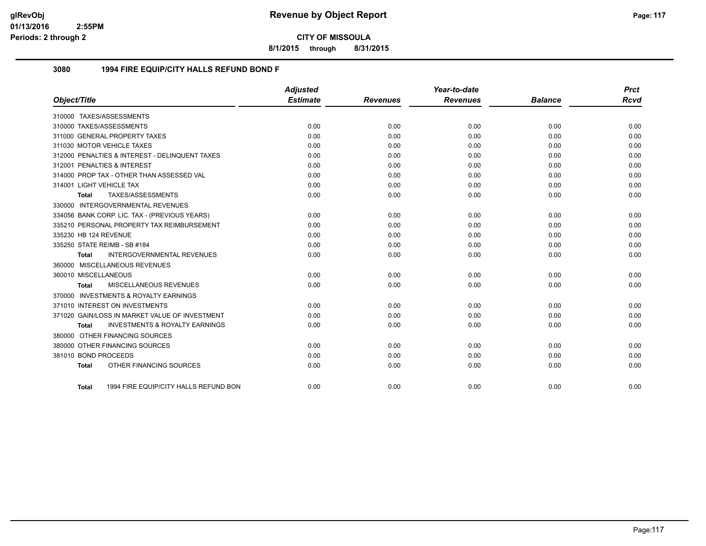**8/1/2015 through 8/31/2015**

### **3080 1994 FIRE EQUIP/CITY HALLS REFUND BOND F**

|                              |                                                | <b>Adjusted</b> |                 | Year-to-date    |                | <b>Prct</b> |
|------------------------------|------------------------------------------------|-----------------|-----------------|-----------------|----------------|-------------|
| Object/Title                 |                                                | <b>Estimate</b> | <b>Revenues</b> | <b>Revenues</b> | <b>Balance</b> | <b>Rcvd</b> |
| 310000 TAXES/ASSESSMENTS     |                                                |                 |                 |                 |                |             |
| 310000 TAXES/ASSESSMENTS     |                                                | 0.00            | 0.00            | 0.00            | 0.00           | 0.00        |
|                              | 311000 GENERAL PROPERTY TAXES                  | 0.00            | 0.00            | 0.00            | 0.00           | 0.00        |
|                              | 311030 MOTOR VEHICLE TAXES                     | 0.00            | 0.00            | 0.00            | 0.00           | 0.00        |
|                              | 312000 PENALTIES & INTEREST - DELINQUENT TAXES | 0.00            | 0.00            | 0.00            | 0.00           | 0.00        |
|                              | 312001 PENALTIES & INTEREST                    | 0.00            | 0.00            | 0.00            | 0.00           | 0.00        |
|                              | 314000 PROP TAX - OTHER THAN ASSESSED VAL      | 0.00            | 0.00            | 0.00            | 0.00           | 0.00        |
| 314001 LIGHT VEHICLE TAX     |                                                | 0.00            | 0.00            | 0.00            | 0.00           | 0.00        |
| <b>Total</b>                 | TAXES/ASSESSMENTS                              | 0.00            | 0.00            | 0.00            | 0.00           | 0.00        |
|                              | 330000 INTERGOVERNMENTAL REVENUES              |                 |                 |                 |                |             |
|                              | 334056 BANK CORP. LIC. TAX - (PREVIOUS YEARS)  | 0.00            | 0.00            | 0.00            | 0.00           | 0.00        |
|                              | 335210 PERSONAL PROPERTY TAX REIMBURSEMENT     | 0.00            | 0.00            | 0.00            | 0.00           | 0.00        |
| 335230 HB 124 REVENUE        |                                                | 0.00            | 0.00            | 0.00            | 0.00           | 0.00        |
| 335250 STATE REIMB - SB #184 |                                                | 0.00            | 0.00            | 0.00            | 0.00           | 0.00        |
| <b>Total</b>                 | <b>INTERGOVERNMENTAL REVENUES</b>              | 0.00            | 0.00            | 0.00            | 0.00           | 0.00        |
|                              | 360000 MISCELLANEOUS REVENUES                  |                 |                 |                 |                |             |
| 360010 MISCELLANEOUS         |                                                | 0.00            | 0.00            | 0.00            | 0.00           | 0.00        |
| Total                        | MISCELLANEOUS REVENUES                         | 0.00            | 0.00            | 0.00            | 0.00           | 0.00        |
|                              | 370000 INVESTMENTS & ROYALTY EARNINGS          |                 |                 |                 |                |             |
|                              | 371010 INTEREST ON INVESTMENTS                 | 0.00            | 0.00            | 0.00            | 0.00           | 0.00        |
|                              | 371020 GAIN/LOSS IN MARKET VALUE OF INVESTMENT | 0.00            | 0.00            | 0.00            | 0.00           | 0.00        |
| <b>Total</b>                 | <b>INVESTMENTS &amp; ROYALTY EARNINGS</b>      | 0.00            | 0.00            | 0.00            | 0.00           | 0.00        |
|                              | 380000 OTHER FINANCING SOURCES                 |                 |                 |                 |                |             |
|                              | 380000 OTHER FINANCING SOURCES                 | 0.00            | 0.00            | 0.00            | 0.00           | 0.00        |
| 381010 BOND PROCEEDS         |                                                | 0.00            | 0.00            | 0.00            | 0.00           | 0.00        |
| <b>Total</b>                 | OTHER FINANCING SOURCES                        | 0.00            | 0.00            | 0.00            | 0.00           | 0.00        |
|                              |                                                |                 |                 |                 |                |             |
| Total                        | 1994 FIRE EQUIP/CITY HALLS REFUND BON          | 0.00            | 0.00            | 0.00            | 0.00           | 0.00        |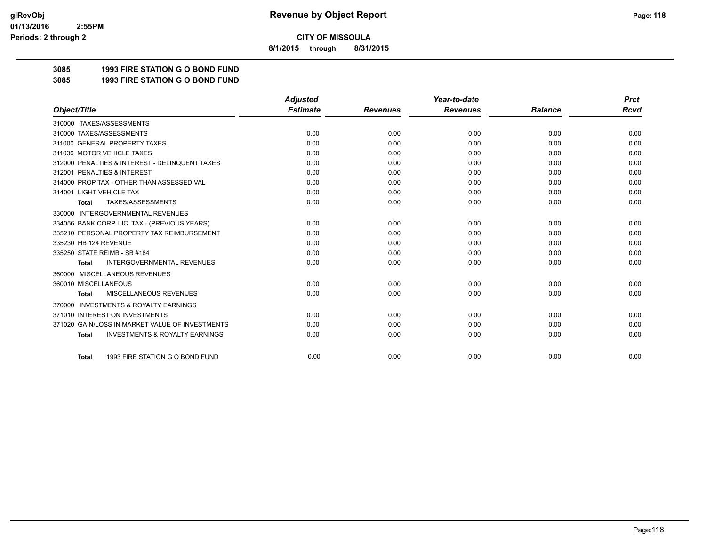**8/1/2015 through 8/31/2015**

# **3085 1993 FIRE STATION G O BOND FUND**

**3085 1993 FIRE STATION G O BOND FUND**

|                                                           | <b>Adjusted</b> |                 | Year-to-date    |                | <b>Prct</b> |
|-----------------------------------------------------------|-----------------|-----------------|-----------------|----------------|-------------|
| Object/Title                                              | <b>Estimate</b> | <b>Revenues</b> | <b>Revenues</b> | <b>Balance</b> | <b>Rcvd</b> |
| 310000 TAXES/ASSESSMENTS                                  |                 |                 |                 |                |             |
| 310000 TAXES/ASSESSMENTS                                  | 0.00            | 0.00            | 0.00            | 0.00           | 0.00        |
| 311000 GENERAL PROPERTY TAXES                             | 0.00            | 0.00            | 0.00            | 0.00           | 0.00        |
| 311030 MOTOR VEHICLE TAXES                                | 0.00            | 0.00            | 0.00            | 0.00           | 0.00        |
| 312000 PENALTIES & INTEREST - DELINQUENT TAXES            | 0.00            | 0.00            | 0.00            | 0.00           | 0.00        |
| 312001 PENALTIES & INTEREST                               | 0.00            | 0.00            | 0.00            | 0.00           | 0.00        |
| 314000 PROP TAX - OTHER THAN ASSESSED VAL                 | 0.00            | 0.00            | 0.00            | 0.00           | 0.00        |
| 314001 LIGHT VEHICLE TAX                                  | 0.00            | 0.00            | 0.00            | 0.00           | 0.00        |
| TAXES/ASSESSMENTS<br><b>Total</b>                         | 0.00            | 0.00            | 0.00            | 0.00           | 0.00        |
| <b>INTERGOVERNMENTAL REVENUES</b><br>330000               |                 |                 |                 |                |             |
| 334056 BANK CORP. LIC. TAX - (PREVIOUS YEARS)             | 0.00            | 0.00            | 0.00            | 0.00           | 0.00        |
| 335210 PERSONAL PROPERTY TAX REIMBURSEMENT                | 0.00            | 0.00            | 0.00            | 0.00           | 0.00        |
| 335230 HB 124 REVENUE                                     | 0.00            | 0.00            | 0.00            | 0.00           | 0.00        |
| 335250 STATE REIMB - SB #184                              | 0.00            | 0.00            | 0.00            | 0.00           | 0.00        |
| <b>INTERGOVERNMENTAL REVENUES</b><br><b>Total</b>         | 0.00            | 0.00            | 0.00            | 0.00           | 0.00        |
| MISCELLANEOUS REVENUES<br>360000                          |                 |                 |                 |                |             |
| 360010 MISCELLANEOUS                                      | 0.00            | 0.00            | 0.00            | 0.00           | 0.00        |
| <b>MISCELLANEOUS REVENUES</b><br><b>Total</b>             | 0.00            | 0.00            | 0.00            | 0.00           | 0.00        |
| <b>INVESTMENTS &amp; ROYALTY EARNINGS</b><br>370000       |                 |                 |                 |                |             |
| 371010 INTEREST ON INVESTMENTS                            | 0.00            | 0.00            | 0.00            | 0.00           | 0.00        |
| 371020 GAIN/LOSS IN MARKET VALUE OF INVESTMENTS           | 0.00            | 0.00            | 0.00            | 0.00           | 0.00        |
| <b>INVESTMENTS &amp; ROYALTY EARNINGS</b><br><b>Total</b> | 0.00            | 0.00            | 0.00            | 0.00           | 0.00        |
|                                                           |                 |                 |                 |                |             |
| 1993 FIRE STATION G O BOND FUND<br><b>Total</b>           | 0.00            | 0.00            | 0.00            | 0.00           | 0.00        |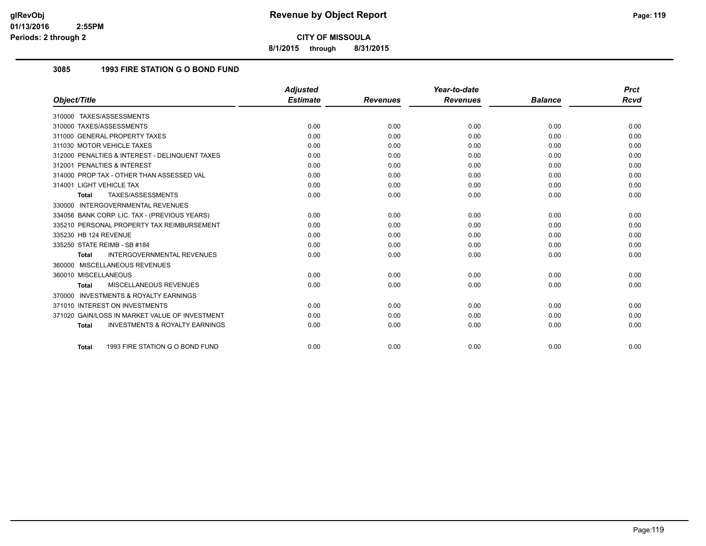**8/1/2015 through 8/31/2015**

## **3085 1993 FIRE STATION G O BOND FUND**

|                                                           | <b>Adjusted</b> |                 | Year-to-date    |                | <b>Prct</b> |
|-----------------------------------------------------------|-----------------|-----------------|-----------------|----------------|-------------|
| Object/Title                                              | <b>Estimate</b> | <b>Revenues</b> | <b>Revenues</b> | <b>Balance</b> | Rcvd        |
| 310000 TAXES/ASSESSMENTS                                  |                 |                 |                 |                |             |
| 310000 TAXES/ASSESSMENTS                                  | 0.00            | 0.00            | 0.00            | 0.00           | 0.00        |
| 311000 GENERAL PROPERTY TAXES                             | 0.00            | 0.00            | 0.00            | 0.00           | 0.00        |
| 311030 MOTOR VEHICLE TAXES                                | 0.00            | 0.00            | 0.00            | 0.00           | 0.00        |
| 312000 PENALTIES & INTEREST - DELINQUENT TAXES            | 0.00            | 0.00            | 0.00            | 0.00           | 0.00        |
| 312001 PENALTIES & INTEREST                               | 0.00            | 0.00            | 0.00            | 0.00           | 0.00        |
| 314000 PROP TAX - OTHER THAN ASSESSED VAL                 | 0.00            | 0.00            | 0.00            | 0.00           | 0.00        |
| 314001 LIGHT VEHICLE TAX                                  | 0.00            | 0.00            | 0.00            | 0.00           | 0.00        |
| TAXES/ASSESSMENTS<br><b>Total</b>                         | 0.00            | 0.00            | 0.00            | 0.00           | 0.00        |
| 330000 INTERGOVERNMENTAL REVENUES                         |                 |                 |                 |                |             |
| 334056 BANK CORP. LIC. TAX - (PREVIOUS YEARS)             | 0.00            | 0.00            | 0.00            | 0.00           | 0.00        |
| 335210 PERSONAL PROPERTY TAX REIMBURSEMENT                | 0.00            | 0.00            | 0.00            | 0.00           | 0.00        |
| 335230 HB 124 REVENUE                                     | 0.00            | 0.00            | 0.00            | 0.00           | 0.00        |
| 335250 STATE REIMB - SB #184                              | 0.00            | 0.00            | 0.00            | 0.00           | 0.00        |
| <b>INTERGOVERNMENTAL REVENUES</b><br><b>Total</b>         | 0.00            | 0.00            | 0.00            | 0.00           | 0.00        |
| 360000 MISCELLANEOUS REVENUES                             |                 |                 |                 |                |             |
| 360010 MISCELLANEOUS                                      | 0.00            | 0.00            | 0.00            | 0.00           | 0.00        |
| MISCELLANEOUS REVENUES<br><b>Total</b>                    | 0.00            | 0.00            | 0.00            | 0.00           | 0.00        |
| 370000 INVESTMENTS & ROYALTY EARNINGS                     |                 |                 |                 |                |             |
| 371010 INTEREST ON INVESTMENTS                            | 0.00            | 0.00            | 0.00            | 0.00           | 0.00        |
| 371020 GAIN/LOSS IN MARKET VALUE OF INVESTMENT            | 0.00            | 0.00            | 0.00            | 0.00           | 0.00        |
| <b>INVESTMENTS &amp; ROYALTY EARNINGS</b><br><b>Total</b> | 0.00            | 0.00            | 0.00            | 0.00           | 0.00        |
| 1993 FIRE STATION G O BOND FUND<br><b>Total</b>           | 0.00            | 0.00            | 0.00            | 0.00           | 0.00        |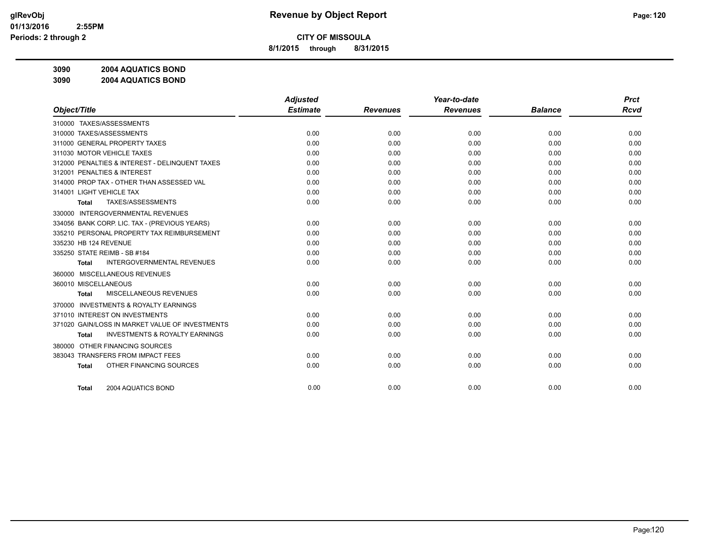**8/1/2015 through 8/31/2015**

**3090 2004 AQUATICS BOND**

**3090 2004 AQUATICS BOND**

|                                                           | <b>Adjusted</b> |                 | Year-to-date    |                | <b>Prct</b> |
|-----------------------------------------------------------|-----------------|-----------------|-----------------|----------------|-------------|
| Object/Title                                              | <b>Estimate</b> | <b>Revenues</b> | <b>Revenues</b> | <b>Balance</b> | <b>Rcvd</b> |
| 310000 TAXES/ASSESSMENTS                                  |                 |                 |                 |                |             |
| 310000 TAXES/ASSESSMENTS                                  | 0.00            | 0.00            | 0.00            | 0.00           | 0.00        |
| 311000 GENERAL PROPERTY TAXES                             | 0.00            | 0.00            | 0.00            | 0.00           | 0.00        |
| 311030 MOTOR VEHICLE TAXES                                | 0.00            | 0.00            | 0.00            | 0.00           | 0.00        |
| 312000 PENALTIES & INTEREST - DELINQUENT TAXES            | 0.00            | 0.00            | 0.00            | 0.00           | 0.00        |
| 312001 PENALTIES & INTEREST                               | 0.00            | 0.00            | 0.00            | 0.00           | 0.00        |
| 314000 PROP TAX - OTHER THAN ASSESSED VAL                 | 0.00            | 0.00            | 0.00            | 0.00           | 0.00        |
| 314001 LIGHT VEHICLE TAX                                  | 0.00            | 0.00            | 0.00            | 0.00           | 0.00        |
| TAXES/ASSESSMENTS<br><b>Total</b>                         | 0.00            | 0.00            | 0.00            | 0.00           | 0.00        |
| <b>INTERGOVERNMENTAL REVENUES</b><br>330000               |                 |                 |                 |                |             |
| 334056 BANK CORP. LIC. TAX - (PREVIOUS YEARS)             | 0.00            | 0.00            | 0.00            | 0.00           | 0.00        |
| 335210 PERSONAL PROPERTY TAX REIMBURSEMENT                | 0.00            | 0.00            | 0.00            | 0.00           | 0.00        |
| 335230 HB 124 REVENUE                                     | 0.00            | 0.00            | 0.00            | 0.00           | 0.00        |
| 335250 STATE REIMB - SB #184                              | 0.00            | 0.00            | 0.00            | 0.00           | 0.00        |
| <b>INTERGOVERNMENTAL REVENUES</b><br>Total                | 0.00            | 0.00            | 0.00            | 0.00           | 0.00        |
| 360000 MISCELLANEOUS REVENUES                             |                 |                 |                 |                |             |
| 360010 MISCELLANEOUS                                      | 0.00            | 0.00            | 0.00            | 0.00           | 0.00        |
| <b>MISCELLANEOUS REVENUES</b><br>Total                    | 0.00            | 0.00            | 0.00            | 0.00           | 0.00        |
| <b>INVESTMENTS &amp; ROYALTY EARNINGS</b><br>370000       |                 |                 |                 |                |             |
| 371010 INTEREST ON INVESTMENTS                            | 0.00            | 0.00            | 0.00            | 0.00           | 0.00        |
| 371020 GAIN/LOSS IN MARKET VALUE OF INVESTMENTS           | 0.00            | 0.00            | 0.00            | 0.00           | 0.00        |
| <b>INVESTMENTS &amp; ROYALTY EARNINGS</b><br><b>Total</b> | 0.00            | 0.00            | 0.00            | 0.00           | 0.00        |
| 380000 OTHER FINANCING SOURCES                            |                 |                 |                 |                |             |
| 383043 TRANSFERS FROM IMPACT FEES                         | 0.00            | 0.00            | 0.00            | 0.00           | 0.00        |
| OTHER FINANCING SOURCES<br><b>Total</b>                   | 0.00            | 0.00            | 0.00            | 0.00           | 0.00        |
|                                                           |                 |                 |                 |                |             |
| 2004 AQUATICS BOND<br><b>Total</b>                        | 0.00            | 0.00            | 0.00            | 0.00           | 0.00        |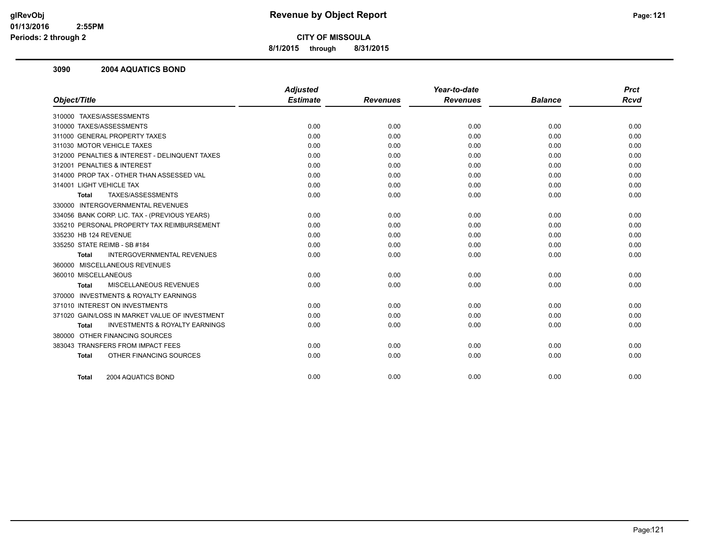**8/1/2015 through 8/31/2015**

#### **3090 2004 AQUATICS BOND**

|                                                           |                 |                 |                 |                | <b>Prct</b> |
|-----------------------------------------------------------|-----------------|-----------------|-----------------|----------------|-------------|
| Object/Title                                              | <b>Estimate</b> | <b>Revenues</b> | <b>Revenues</b> | <b>Balance</b> | <b>Rcvd</b> |
| 310000 TAXES/ASSESSMENTS                                  |                 |                 |                 |                |             |
| 310000 TAXES/ASSESSMENTS                                  | 0.00            | 0.00            | 0.00            | 0.00           | 0.00        |
| 311000 GENERAL PROPERTY TAXES                             | 0.00            | 0.00            | 0.00            | 0.00           | 0.00        |
| 311030 MOTOR VEHICLE TAXES                                | 0.00            | 0.00            | 0.00            | 0.00           | 0.00        |
| 312000 PENALTIES & INTEREST - DELINQUENT TAXES            | 0.00            | 0.00            | 0.00            | 0.00           | 0.00        |
| 312001 PENALTIES & INTEREST                               | 0.00            | 0.00            | 0.00            | 0.00           | 0.00        |
| 314000 PROP TAX - OTHER THAN ASSESSED VAL                 | 0.00            | 0.00            | 0.00            | 0.00           | 0.00        |
| 314001 LIGHT VEHICLE TAX                                  | 0.00            | 0.00            | 0.00            | 0.00           | 0.00        |
| TAXES/ASSESSMENTS<br><b>Total</b>                         | 0.00            | 0.00            | 0.00            | 0.00           | 0.00        |
| 330000 INTERGOVERNMENTAL REVENUES                         |                 |                 |                 |                |             |
| 334056 BANK CORP. LIC. TAX - (PREVIOUS YEARS)             | 0.00            | 0.00            | 0.00            | 0.00           | 0.00        |
| 335210 PERSONAL PROPERTY TAX REIMBURSEMENT                | 0.00            | 0.00            | 0.00            | 0.00           | 0.00        |
| 335230 HB 124 REVENUE                                     | 0.00            | 0.00            | 0.00            | 0.00           | 0.00        |
| 335250 STATE REIMB - SB #184                              | 0.00            | 0.00            | 0.00            | 0.00           | 0.00        |
| <b>INTERGOVERNMENTAL REVENUES</b><br><b>Total</b>         | 0.00            | 0.00            | 0.00            | 0.00           | 0.00        |
| 360000 MISCELLANEOUS REVENUES                             |                 |                 |                 |                |             |
| 360010 MISCELLANEOUS                                      | 0.00            | 0.00            | 0.00            | 0.00           | 0.00        |
| MISCELLANEOUS REVENUES<br><b>Total</b>                    | 0.00            | 0.00            | 0.00            | 0.00           | 0.00        |
| 370000 INVESTMENTS & ROYALTY EARNINGS                     |                 |                 |                 |                |             |
| 371010 INTEREST ON INVESTMENTS                            | 0.00            | 0.00            | 0.00            | 0.00           | 0.00        |
| 371020 GAIN/LOSS IN MARKET VALUE OF INVESTMENT            | 0.00            | 0.00            | 0.00            | 0.00           | 0.00        |
| <b>INVESTMENTS &amp; ROYALTY EARNINGS</b><br><b>Total</b> | 0.00            | 0.00            | 0.00            | 0.00           | 0.00        |
| 380000 OTHER FINANCING SOURCES                            |                 |                 |                 |                |             |
| 383043 TRANSFERS FROM IMPACT FEES                         | 0.00            | 0.00            | 0.00            | 0.00           | 0.00        |
| OTHER FINANCING SOURCES<br><b>Total</b>                   | 0.00            | 0.00            | 0.00            | 0.00           | 0.00        |
| 2004 AQUATICS BOND<br><b>Total</b>                        | 0.00            | 0.00            | 0.00            | 0.00           | 0.00        |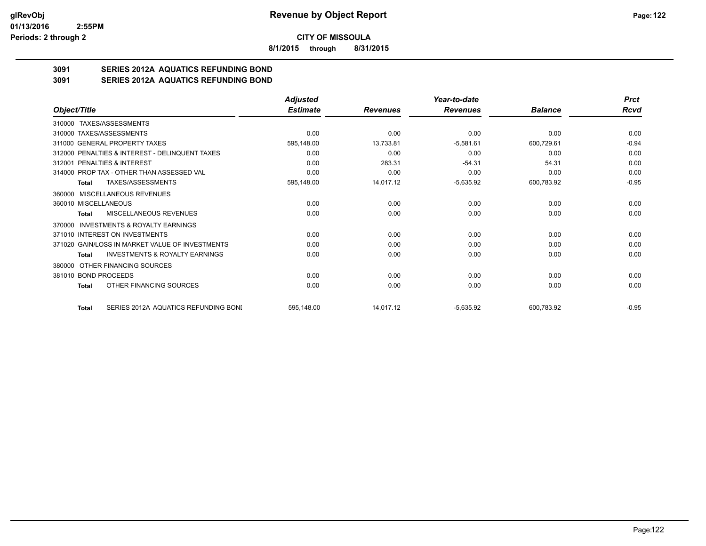**8/1/2015 through 8/31/2015**

# **3091 SERIES 2012A AQUATICS REFUNDING BOND**

**3091 SERIES 2012A AQUATICS REFUNDING BOND**

|                                                    | <b>Adjusted</b> |                 | Year-to-date    |                | <b>Prct</b> |
|----------------------------------------------------|-----------------|-----------------|-----------------|----------------|-------------|
| Object/Title                                       | <b>Estimate</b> | <b>Revenues</b> | <b>Revenues</b> | <b>Balance</b> | Rcvd        |
| TAXES/ASSESSMENTS<br>310000                        |                 |                 |                 |                |             |
| 310000 TAXES/ASSESSMENTS                           | 0.00            | 0.00            | 0.00            | 0.00           | 0.00        |
| 311000 GENERAL PROPERTY TAXES                      | 595,148.00      | 13,733.81       | $-5,581.61$     | 600,729.61     | $-0.94$     |
| 312000 PENALTIES & INTEREST - DELINQUENT TAXES     | 0.00            | 0.00            | 0.00            | 0.00           | 0.00        |
| 312001 PENALTIES & INTEREST                        | 0.00            | 283.31          | $-54.31$        | 54.31          | 0.00        |
| 314000 PROP TAX - OTHER THAN ASSESSED VAL          | 0.00            | 0.00            | 0.00            | 0.00           | 0.00        |
| TAXES/ASSESSMENTS<br>Total                         | 595,148.00      | 14,017.12       | $-5,635.92$     | 600,783.92     | $-0.95$     |
| 360000 MISCELLANEOUS REVENUES                      |                 |                 |                 |                |             |
| 360010 MISCELLANEOUS                               | 0.00            | 0.00            | 0.00            | 0.00           | 0.00        |
| MISCELLANEOUS REVENUES<br>Total                    | 0.00            | 0.00            | 0.00            | 0.00           | 0.00        |
| INVESTMENTS & ROYALTY EARNINGS<br>370000           |                 |                 |                 |                |             |
| 371010 INTEREST ON INVESTMENTS                     | 0.00            | 0.00            | 0.00            | 0.00           | 0.00        |
| 371020 GAIN/LOSS IN MARKET VALUE OF INVESTMENTS    | 0.00            | 0.00            | 0.00            | 0.00           | 0.00        |
| <b>INVESTMENTS &amp; ROYALTY EARNINGS</b><br>Total | 0.00            | 0.00            | 0.00            | 0.00           | 0.00        |
| OTHER FINANCING SOURCES<br>380000                  |                 |                 |                 |                |             |
| 381010 BOND PROCEEDS                               | 0.00            | 0.00            | 0.00            | 0.00           | 0.00        |
| OTHER FINANCING SOURCES<br>Total                   | 0.00            | 0.00            | 0.00            | 0.00           | 0.00        |
| SERIES 2012A AQUATICS REFUNDING BONI<br>Total      | 595,148.00      | 14,017.12       | $-5,635.92$     | 600,783.92     | $-0.95$     |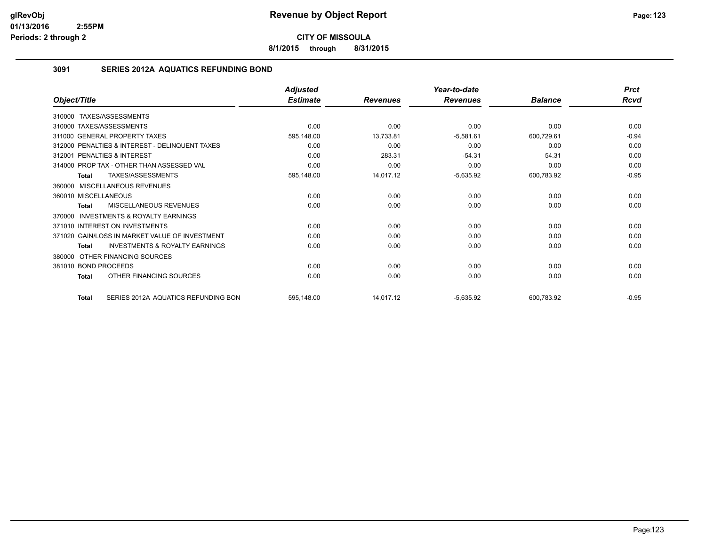**8/1/2015 through 8/31/2015**

## **3091 SERIES 2012A AQUATICS REFUNDING BOND**

|                                                           | <b>Adjusted</b> |                 | Year-to-date    |                | <b>Prct</b> |
|-----------------------------------------------------------|-----------------|-----------------|-----------------|----------------|-------------|
| Object/Title                                              | <b>Estimate</b> | <b>Revenues</b> | <b>Revenues</b> | <b>Balance</b> | <b>Rcvd</b> |
| TAXES/ASSESSMENTS<br>310000                               |                 |                 |                 |                |             |
| 310000 TAXES/ASSESSMENTS                                  | 0.00            | 0.00            | 0.00            | 0.00           | 0.00        |
| 311000 GENERAL PROPERTY TAXES                             | 595,148.00      | 13,733.81       | $-5,581.61$     | 600,729.61     | $-0.94$     |
| 312000 PENALTIES & INTEREST - DELINQUENT TAXES            | 0.00            | 0.00            | 0.00            | 0.00           | 0.00        |
| 312001 PENALTIES & INTEREST                               | 0.00            | 283.31          | $-54.31$        | 54.31          | 0.00        |
| 314000 PROP TAX - OTHER THAN ASSESSED VAL                 | 0.00            | 0.00            | 0.00            | 0.00           | 0.00        |
| TAXES/ASSESSMENTS<br><b>Total</b>                         | 595,148.00      | 14,017.12       | $-5,635.92$     | 600,783.92     | $-0.95$     |
| MISCELLANEOUS REVENUES<br>360000                          |                 |                 |                 |                |             |
| 360010 MISCELLANEOUS                                      | 0.00            | 0.00            | 0.00            | 0.00           | 0.00        |
| MISCELLANEOUS REVENUES<br><b>Total</b>                    | 0.00            | 0.00            | 0.00            | 0.00           | 0.00        |
| <b>INVESTMENTS &amp; ROYALTY EARNINGS</b><br>370000       |                 |                 |                 |                |             |
| 371010 INTEREST ON INVESTMENTS                            | 0.00            | 0.00            | 0.00            | 0.00           | 0.00        |
| 371020 GAIN/LOSS IN MARKET VALUE OF INVESTMENT            | 0.00            | 0.00            | 0.00            | 0.00           | 0.00        |
| <b>INVESTMENTS &amp; ROYALTY EARNINGS</b><br><b>Total</b> | 0.00            | 0.00            | 0.00            | 0.00           | 0.00        |
| OTHER FINANCING SOURCES<br>380000                         |                 |                 |                 |                |             |
| 381010 BOND PROCEEDS                                      | 0.00            | 0.00            | 0.00            | 0.00           | 0.00        |
| OTHER FINANCING SOURCES<br><b>Total</b>                   | 0.00            | 0.00            | 0.00            | 0.00           | 0.00        |
| SERIES 2012A AQUATICS REFUNDING BON<br><b>Total</b>       | 595,148.00      | 14,017.12       | $-5,635.92$     | 600,783.92     | $-0.95$     |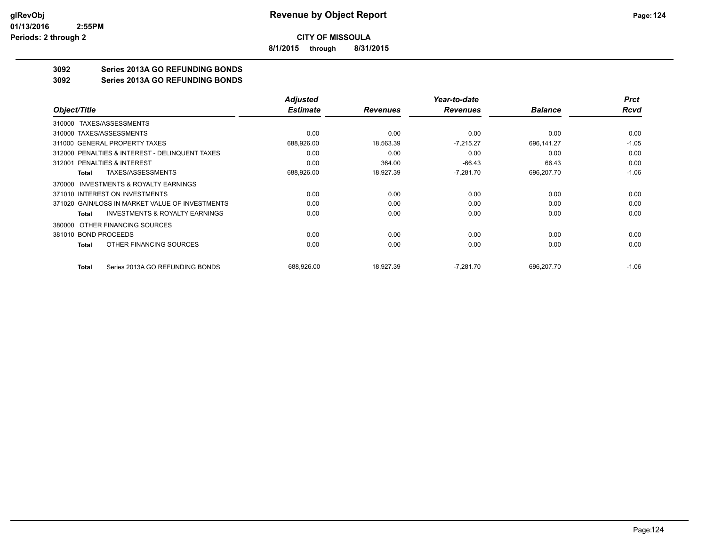**8/1/2015 through 8/31/2015**

# **3092 Series 2013A GO REFUNDING BONDS**

**3092 Series 2013A GO REFUNDING BONDS**

|                                                    | <b>Adjusted</b> |                 | Year-to-date    |                | <b>Prct</b> |
|----------------------------------------------------|-----------------|-----------------|-----------------|----------------|-------------|
| Object/Title                                       | <b>Estimate</b> | <b>Revenues</b> | <b>Revenues</b> | <b>Balance</b> | Rcvd        |
| 310000 TAXES/ASSESSMENTS                           |                 |                 |                 |                |             |
| 310000 TAXES/ASSESSMENTS                           | 0.00            | 0.00            | 0.00            | 0.00           | 0.00        |
| 311000 GENERAL PROPERTY TAXES                      | 688,926.00      | 18,563.39       | $-7,215.27$     | 696,141.27     | $-1.05$     |
| 312000 PENALTIES & INTEREST - DELINQUENT TAXES     | 0.00            | 0.00            | 0.00            | 0.00           | 0.00        |
| PENALTIES & INTEREST<br>312001                     | 0.00            | 364.00          | $-66.43$        | 66.43          | 0.00        |
| TAXES/ASSESSMENTS<br>Total                         | 688,926.00      | 18,927.39       | $-7,281.70$     | 696,207.70     | $-1.06$     |
| INVESTMENTS & ROYALTY EARNINGS<br>370000           |                 |                 |                 |                |             |
| 371010 INTEREST ON INVESTMENTS                     | 0.00            | 0.00            | 0.00            | 0.00           | 0.00        |
| 371020 GAIN/LOSS IN MARKET VALUE OF INVESTMENTS    | 0.00            | 0.00            | 0.00            | 0.00           | 0.00        |
| <b>INVESTMENTS &amp; ROYALTY EARNINGS</b><br>Total | 0.00            | 0.00            | 0.00            | 0.00           | 0.00        |
| OTHER FINANCING SOURCES<br>380000                  |                 |                 |                 |                |             |
| 381010 BOND PROCEEDS                               | 0.00            | 0.00            | 0.00            | 0.00           | 0.00        |
| OTHER FINANCING SOURCES<br>Total                   | 0.00            | 0.00            | 0.00            | 0.00           | 0.00        |
| Series 2013A GO REFUNDING BONDS<br><b>Total</b>    | 688,926.00      | 18,927.39       | $-7,281.70$     | 696,207.70     | $-1.06$     |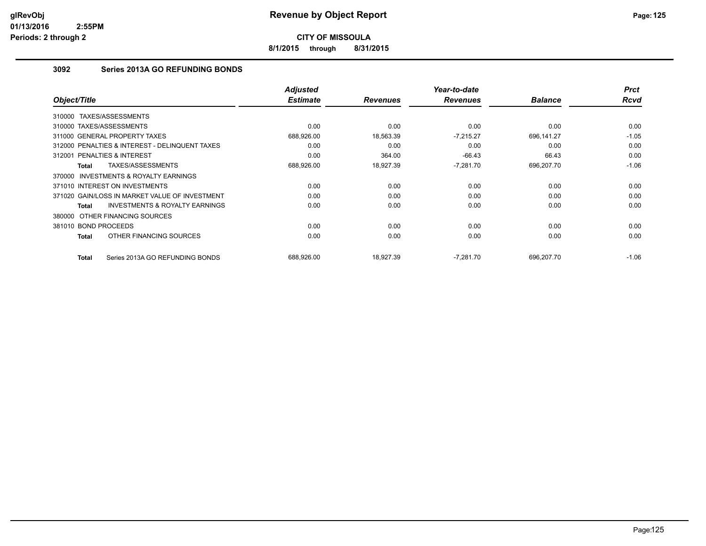**8/1/2015 through 8/31/2015**

# **3092 Series 2013A GO REFUNDING BONDS**

| Object/Title                                        | <b>Adjusted</b><br><b>Estimate</b> | <b>Revenues</b> | Year-to-date<br><b>Revenues</b> | <b>Balance</b> | <b>Prct</b><br><b>Rcvd</b> |
|-----------------------------------------------------|------------------------------------|-----------------|---------------------------------|----------------|----------------------------|
| TAXES/ASSESSMENTS<br>310000                         |                                    |                 |                                 |                |                            |
| 310000 TAXES/ASSESSMENTS                            | 0.00                               | 0.00            | 0.00                            | 0.00           | 0.00                       |
| 311000 GENERAL PROPERTY TAXES                       | 688,926.00                         | 18,563.39       | $-7,215.27$                     | 696,141.27     | $-1.05$                    |
| 312000 PENALTIES & INTEREST - DELINQUENT TAXES      | 0.00                               | 0.00            | 0.00                            | 0.00           | 0.00                       |
| 312001 PENALTIES & INTEREST                         | 0.00                               | 364.00          | $-66.43$                        | 66.43          | 0.00                       |
| TAXES/ASSESSMENTS<br>Total                          | 688,926.00                         | 18,927.39       | $-7,281.70$                     | 696,207.70     | $-1.06$                    |
| <b>INVESTMENTS &amp; ROYALTY EARNINGS</b><br>370000 |                                    |                 |                                 |                |                            |
| 371010 INTEREST ON INVESTMENTS                      | 0.00                               | 0.00            | 0.00                            | 0.00           | 0.00                       |
| 371020 GAIN/LOSS IN MARKET VALUE OF INVESTMENT      | 0.00                               | 0.00            | 0.00                            | 0.00           | 0.00                       |
| <b>INVESTMENTS &amp; ROYALTY EARNINGS</b><br>Total  | 0.00                               | 0.00            | 0.00                            | 0.00           | 0.00                       |
| 380000 OTHER FINANCING SOURCES                      |                                    |                 |                                 |                |                            |
| 381010 BOND PROCEEDS                                | 0.00                               | 0.00            | 0.00                            | 0.00           | 0.00                       |
| OTHER FINANCING SOURCES<br>Total                    | 0.00                               | 0.00            | 0.00                            | 0.00           | 0.00                       |
| Series 2013A GO REFUNDING BONDS<br>Total            | 688,926.00                         | 18.927.39       | $-7,281.70$                     | 696.207.70     | $-1.06$                    |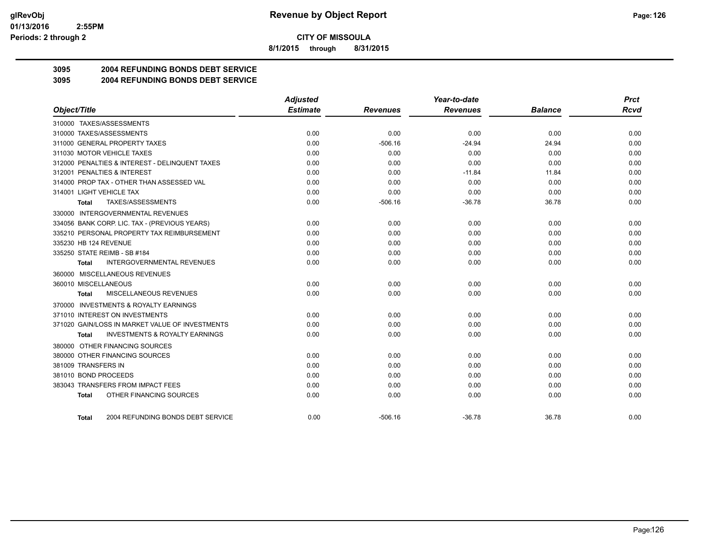**8/1/2015 through 8/31/2015**

# **3095 2004 REFUNDING BONDS DEBT SERVICE**

**3095 2004 REFUNDING BONDS DEBT SERVICE**

|                                                           | <b>Adjusted</b> |                 | Year-to-date    |                | <b>Prct</b> |
|-----------------------------------------------------------|-----------------|-----------------|-----------------|----------------|-------------|
| Object/Title                                              | <b>Estimate</b> | <b>Revenues</b> | <b>Revenues</b> | <b>Balance</b> | <b>Rcvd</b> |
| 310000 TAXES/ASSESSMENTS                                  |                 |                 |                 |                |             |
| 310000 TAXES/ASSESSMENTS                                  | 0.00            | 0.00            | 0.00            | 0.00           | 0.00        |
| 311000 GENERAL PROPERTY TAXES                             | 0.00            | $-506.16$       | $-24.94$        | 24.94          | 0.00        |
| 311030 MOTOR VEHICLE TAXES                                | 0.00            | 0.00            | 0.00            | 0.00           | 0.00        |
| 312000 PENALTIES & INTEREST - DELINQUENT TAXES            | 0.00            | 0.00            | 0.00            | 0.00           | 0.00        |
| 312001 PENALTIES & INTEREST                               | 0.00            | 0.00            | $-11.84$        | 11.84          | 0.00        |
| 314000 PROP TAX - OTHER THAN ASSESSED VAL                 | 0.00            | 0.00            | 0.00            | 0.00           | 0.00        |
| 314001 LIGHT VEHICLE TAX                                  | 0.00            | 0.00            | 0.00            | 0.00           | 0.00        |
| TAXES/ASSESSMENTS<br>Total                                | 0.00            | $-506.16$       | $-36.78$        | 36.78          | 0.00        |
| 330000 INTERGOVERNMENTAL REVENUES                         |                 |                 |                 |                |             |
| 334056 BANK CORP. LIC. TAX - (PREVIOUS YEARS)             | 0.00            | 0.00            | 0.00            | 0.00           | 0.00        |
| 335210 PERSONAL PROPERTY TAX REIMBURSEMENT                | 0.00            | 0.00            | 0.00            | 0.00           | 0.00        |
| 335230 HB 124 REVENUE                                     | 0.00            | 0.00            | 0.00            | 0.00           | 0.00        |
| 335250 STATE REIMB - SB #184                              | 0.00            | 0.00            | 0.00            | 0.00           | 0.00        |
| <b>INTERGOVERNMENTAL REVENUES</b><br>Total                | 0.00            | 0.00            | 0.00            | 0.00           | 0.00        |
| 360000 MISCELLANEOUS REVENUES                             |                 |                 |                 |                |             |
| 360010 MISCELLANEOUS                                      | 0.00            | 0.00            | 0.00            | 0.00           | 0.00        |
| MISCELLANEOUS REVENUES<br>Total                           | 0.00            | 0.00            | 0.00            | 0.00           | 0.00        |
| 370000 INVESTMENTS & ROYALTY EARNINGS                     |                 |                 |                 |                |             |
| 371010 INTEREST ON INVESTMENTS                            | 0.00            | 0.00            | 0.00            | 0.00           | 0.00        |
| 371020 GAIN/LOSS IN MARKET VALUE OF INVESTMENTS           | 0.00            | 0.00            | 0.00            | 0.00           | 0.00        |
| <b>INVESTMENTS &amp; ROYALTY EARNINGS</b><br><b>Total</b> | 0.00            | 0.00            | 0.00            | 0.00           | 0.00        |
| 380000 OTHER FINANCING SOURCES                            |                 |                 |                 |                |             |
| 380000 OTHER FINANCING SOURCES                            | 0.00            | 0.00            | 0.00            | 0.00           | 0.00        |
| 381009 TRANSFERS IN                                       | 0.00            | 0.00            | 0.00            | 0.00           | 0.00        |
| 381010 BOND PROCEEDS                                      | 0.00            | 0.00            | 0.00            | 0.00           | 0.00        |
| 383043 TRANSFERS FROM IMPACT FEES                         | 0.00            | 0.00            | 0.00            | 0.00           | 0.00        |
| OTHER FINANCING SOURCES<br><b>Total</b>                   | 0.00            | 0.00            | 0.00            | 0.00           | 0.00        |
| 2004 REFUNDING BONDS DEBT SERVICE<br><b>Total</b>         | 0.00            | $-506.16$       | $-36.78$        | 36.78          | 0.00        |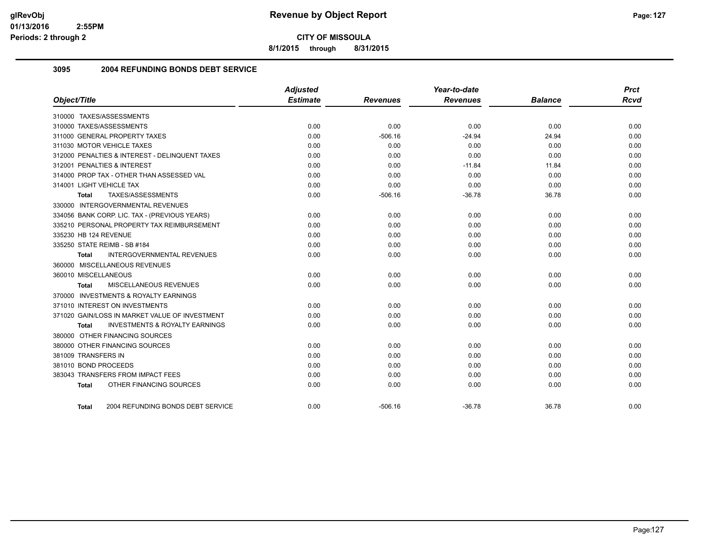**8/1/2015 through 8/31/2015**

### **3095 2004 REFUNDING BONDS DEBT SERVICE**

| Object/Title                                       | <b>Adjusted</b><br><b>Estimate</b> | <b>Revenues</b> | Year-to-date<br><b>Revenues</b> | <b>Balance</b> | <b>Prct</b><br><b>Rcvd</b> |
|----------------------------------------------------|------------------------------------|-----------------|---------------------------------|----------------|----------------------------|
|                                                    |                                    |                 |                                 |                |                            |
| 310000 TAXES/ASSESSMENTS                           |                                    |                 |                                 |                |                            |
| 310000 TAXES/ASSESSMENTS                           | 0.00                               | 0.00            | 0.00                            | 0.00           | 0.00                       |
| 311000 GENERAL PROPERTY TAXES                      | 0.00                               | $-506.16$       | $-24.94$                        | 24.94          | 0.00                       |
| 311030 MOTOR VEHICLE TAXES                         | 0.00                               | 0.00            | 0.00                            | 0.00           | 0.00                       |
| 312000 PENALTIES & INTEREST - DELINQUENT TAXES     | 0.00                               | 0.00            | 0.00                            | 0.00           | 0.00                       |
| 312001 PENALTIES & INTEREST                        | 0.00                               | 0.00            | $-11.84$                        | 11.84          | 0.00                       |
| 314000 PROP TAX - OTHER THAN ASSESSED VAL          | 0.00                               | 0.00            | 0.00                            | 0.00           | 0.00                       |
| 314001 LIGHT VEHICLE TAX                           | 0.00                               | 0.00            | 0.00                            | 0.00           | 0.00                       |
| TAXES/ASSESSMENTS<br>Total                         | 0.00                               | $-506.16$       | $-36.78$                        | 36.78          | 0.00                       |
| 330000 INTERGOVERNMENTAL REVENUES                  |                                    |                 |                                 |                |                            |
| 334056 BANK CORP. LIC. TAX - (PREVIOUS YEARS)      | 0.00                               | 0.00            | 0.00                            | 0.00           | 0.00                       |
| 335210 PERSONAL PROPERTY TAX REIMBURSEMENT         | 0.00                               | 0.00            | 0.00                            | 0.00           | 0.00                       |
| 335230 HB 124 REVENUE                              | 0.00                               | 0.00            | 0.00                            | 0.00           | 0.00                       |
| 335250 STATE REIMB - SB #184                       | 0.00                               | 0.00            | 0.00                            | 0.00           | 0.00                       |
| <b>INTERGOVERNMENTAL REVENUES</b><br>Total         | 0.00                               | 0.00            | 0.00                            | 0.00           | 0.00                       |
| 360000 MISCELLANEOUS REVENUES                      |                                    |                 |                                 |                |                            |
| 360010 MISCELLANEOUS                               | 0.00                               | 0.00            | 0.00                            | 0.00           | 0.00                       |
| MISCELLANEOUS REVENUES<br>Total                    | 0.00                               | 0.00            | 0.00                            | 0.00           | 0.00                       |
| 370000 INVESTMENTS & ROYALTY EARNINGS              |                                    |                 |                                 |                |                            |
| 371010 INTEREST ON INVESTMENTS                     | 0.00                               | 0.00            | 0.00                            | 0.00           | 0.00                       |
| 371020 GAIN/LOSS IN MARKET VALUE OF INVESTMENT     | 0.00                               | 0.00            | 0.00                            | 0.00           | 0.00                       |
| <b>INVESTMENTS &amp; ROYALTY EARNINGS</b><br>Total | 0.00                               | 0.00            | 0.00                            | 0.00           | 0.00                       |
| 380000 OTHER FINANCING SOURCES                     |                                    |                 |                                 |                |                            |
| 380000 OTHER FINANCING SOURCES                     | 0.00                               | 0.00            | 0.00                            | 0.00           | 0.00                       |
| 381009 TRANSFERS IN                                | 0.00                               | 0.00            | 0.00                            | 0.00           | 0.00                       |
| 381010 BOND PROCEEDS                               | 0.00                               | 0.00            | 0.00                            | 0.00           | 0.00                       |
| 383043 TRANSFERS FROM IMPACT FEES                  | 0.00                               | 0.00            | 0.00                            | 0.00           | 0.00                       |
| OTHER FINANCING SOURCES<br><b>Total</b>            | 0.00                               | 0.00            | 0.00                            | 0.00           | 0.00                       |
| 2004 REFUNDING BONDS DEBT SERVICE<br>Total         | 0.00                               | $-506.16$       | $-36.78$                        | 36.78          | 0.00                       |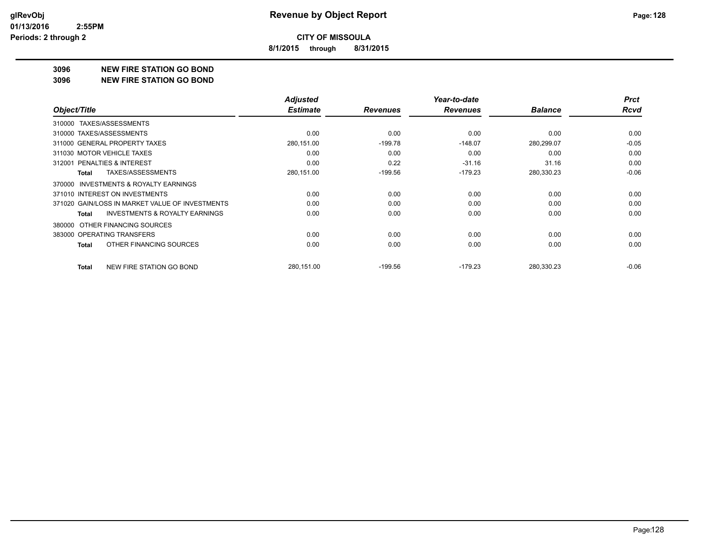**8/1/2015 through 8/31/2015**

#### **3096 NEW FIRE STATION GO BOND**

#### **3096 NEW FIRE STATION GO BOND**

|                                                     | <b>Adjusted</b> |                 | Year-to-date    |                | <b>Prct</b> |
|-----------------------------------------------------|-----------------|-----------------|-----------------|----------------|-------------|
| Object/Title                                        | <b>Estimate</b> | <b>Revenues</b> | <b>Revenues</b> | <b>Balance</b> | <b>Rcvd</b> |
| TAXES/ASSESSMENTS<br>310000                         |                 |                 |                 |                |             |
| 310000 TAXES/ASSESSMENTS                            | 0.00            | 0.00            | 0.00            | 0.00           | 0.00        |
| 311000 GENERAL PROPERTY TAXES                       | 280,151.00      | $-199.78$       | $-148.07$       | 280,299.07     | $-0.05$     |
| 311030 MOTOR VEHICLE TAXES                          | 0.00            | 0.00            | 0.00            | 0.00           | 0.00        |
| 312001 PENALTIES & INTEREST                         | 0.00            | 0.22            | $-31.16$        | 31.16          | 0.00        |
| <b>TAXES/ASSESSMENTS</b><br>Total                   | 280,151.00      | $-199.56$       | $-179.23$       | 280,330.23     | $-0.06$     |
| <b>INVESTMENTS &amp; ROYALTY EARNINGS</b><br>370000 |                 |                 |                 |                |             |
| 371010 INTEREST ON INVESTMENTS                      | 0.00            | 0.00            | 0.00            | 0.00           | 0.00        |
| 371020 GAIN/LOSS IN MARKET VALUE OF INVESTMENTS     | 0.00            | 0.00            | 0.00            | 0.00           | 0.00        |
| <b>INVESTMENTS &amp; ROYALTY EARNINGS</b><br>Total  | 0.00            | 0.00            | 0.00            | 0.00           | 0.00        |
| OTHER FINANCING SOURCES<br>380000                   |                 |                 |                 |                |             |
| 383000 OPERATING TRANSFERS                          | 0.00            | 0.00            | 0.00            | 0.00           | 0.00        |
| OTHER FINANCING SOURCES<br>Total                    | 0.00            | 0.00            | 0.00            | 0.00           | 0.00        |
| NEW FIRE STATION GO BOND<br>Total                   | 280,151.00      | $-199.56$       | $-179.23$       | 280,330.23     | $-0.06$     |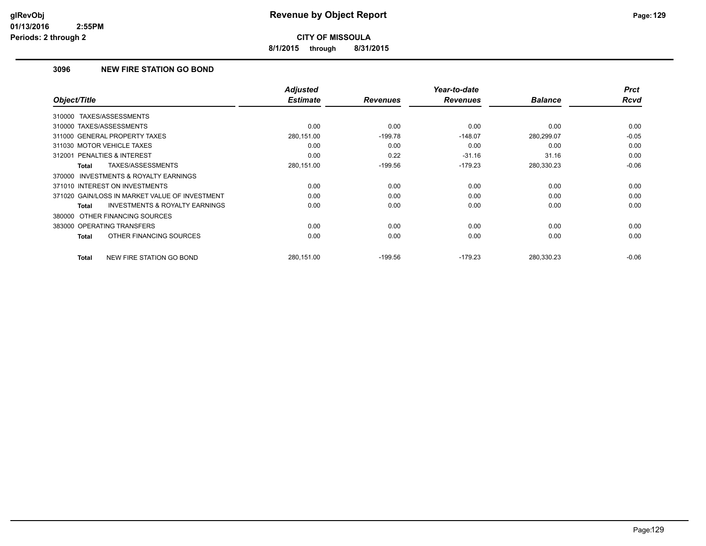**8/1/2015 through 8/31/2015**

# **3096 NEW FIRE STATION GO BOND**

| Object/Title                                       | <b>Adjusted</b><br><b>Estimate</b> | <b>Revenues</b> | Year-to-date<br><b>Revenues</b> | <b>Balance</b> | <b>Prct</b><br><b>Rcvd</b> |
|----------------------------------------------------|------------------------------------|-----------------|---------------------------------|----------------|----------------------------|
| TAXES/ASSESSMENTS<br>310000                        |                                    |                 |                                 |                |                            |
| 310000 TAXES/ASSESSMENTS                           | 0.00                               | 0.00            | 0.00                            | 0.00           | 0.00                       |
| 311000 GENERAL PROPERTY TAXES                      | 280,151.00                         | $-199.78$       | $-148.07$                       | 280,299.07     | $-0.05$                    |
| 311030 MOTOR VEHICLE TAXES                         | 0.00                               | 0.00            | 0.00                            | 0.00           | 0.00                       |
| PENALTIES & INTEREST<br>312001                     | 0.00                               | 0.22            | $-31.16$                        | 31.16          | 0.00                       |
| TAXES/ASSESSMENTS<br>Total                         | 280,151.00                         | $-199.56$       | $-179.23$                       | 280,330.23     | $-0.06$                    |
| 370000 INVESTMENTS & ROYALTY EARNINGS              |                                    |                 |                                 |                |                            |
| 371010 INTEREST ON INVESTMENTS                     | 0.00                               | 0.00            | 0.00                            | 0.00           | 0.00                       |
| 371020 GAIN/LOSS IN MARKET VALUE OF INVESTMENT     | 0.00                               | 0.00            | 0.00                            | 0.00           | 0.00                       |
| <b>INVESTMENTS &amp; ROYALTY EARNINGS</b><br>Total | 0.00                               | 0.00            | 0.00                            | 0.00           | 0.00                       |
| 380000 OTHER FINANCING SOURCES                     |                                    |                 |                                 |                |                            |
| 383000 OPERATING TRANSFERS                         | 0.00                               | 0.00            | 0.00                            | 0.00           | 0.00                       |
| OTHER FINANCING SOURCES<br>Total                   | 0.00                               | 0.00            | 0.00                            | 0.00           | 0.00                       |
| NEW FIRE STATION GO BOND<br>Total                  | 280.151.00                         | $-199.56$       | $-179.23$                       | 280.330.23     | $-0.06$                    |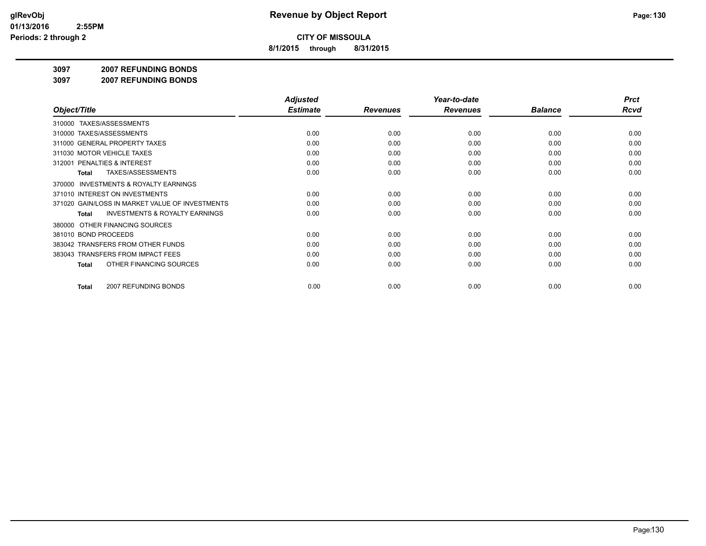**8/1/2015 through 8/31/2015**

#### **3097 2007 REFUNDING BONDS**

**3097 2007 REFUNDING BONDS**

|                                                           | <b>Adjusted</b> |                 | Year-to-date    |                | <b>Prct</b> |
|-----------------------------------------------------------|-----------------|-----------------|-----------------|----------------|-------------|
| Object/Title                                              | <b>Estimate</b> | <b>Revenues</b> | <b>Revenues</b> | <b>Balance</b> | <b>Rcvd</b> |
| 310000 TAXES/ASSESSMENTS                                  |                 |                 |                 |                |             |
| 310000 TAXES/ASSESSMENTS                                  | 0.00            | 0.00            | 0.00            | 0.00           | 0.00        |
| 311000 GENERAL PROPERTY TAXES                             | 0.00            | 0.00            | 0.00            | 0.00           | 0.00        |
| 311030 MOTOR VEHICLE TAXES                                | 0.00            | 0.00            | 0.00            | 0.00           | 0.00        |
| 312001 PENALTIES & INTEREST                               | 0.00            | 0.00            | 0.00            | 0.00           | 0.00        |
| <b>TAXES/ASSESSMENTS</b><br>Total                         | 0.00            | 0.00            | 0.00            | 0.00           | 0.00        |
| <b>INVESTMENTS &amp; ROYALTY EARNINGS</b><br>370000       |                 |                 |                 |                |             |
| 371010 INTEREST ON INVESTMENTS                            | 0.00            | 0.00            | 0.00            | 0.00           | 0.00        |
| 371020 GAIN/LOSS IN MARKET VALUE OF INVESTMENTS           | 0.00            | 0.00            | 0.00            | 0.00           | 0.00        |
| <b>INVESTMENTS &amp; ROYALTY EARNINGS</b><br><b>Total</b> | 0.00            | 0.00            | 0.00            | 0.00           | 0.00        |
| OTHER FINANCING SOURCES<br>380000                         |                 |                 |                 |                |             |
| 381010 BOND PROCEEDS                                      | 0.00            | 0.00            | 0.00            | 0.00           | 0.00        |
| 383042 TRANSFERS FROM OTHER FUNDS                         | 0.00            | 0.00            | 0.00            | 0.00           | 0.00        |
| 383043 TRANSFERS FROM IMPACT FEES                         | 0.00            | 0.00            | 0.00            | 0.00           | 0.00        |
| OTHER FINANCING SOURCES<br>Total                          | 0.00            | 0.00            | 0.00            | 0.00           | 0.00        |
|                                                           |                 |                 |                 |                | 0.00        |
| 2007 REFUNDING BONDS<br>Total                             | 0.00            | 0.00            | 0.00            | 0.00           |             |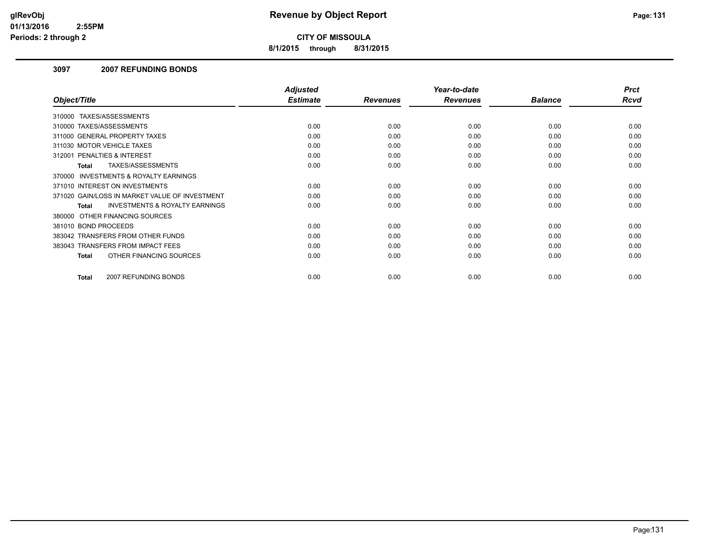**8/1/2015 through 8/31/2015**

## **3097 2007 REFUNDING BONDS**

|                                                    | <b>Adjusted</b> |                 | Year-to-date    |                | <b>Prct</b> |
|----------------------------------------------------|-----------------|-----------------|-----------------|----------------|-------------|
| Object/Title                                       | <b>Estimate</b> | <b>Revenues</b> | <b>Revenues</b> | <b>Balance</b> | <b>Rcvd</b> |
| 310000 TAXES/ASSESSMENTS                           |                 |                 |                 |                |             |
| 310000 TAXES/ASSESSMENTS                           | 0.00            | 0.00            | 0.00            | 0.00           | 0.00        |
| 311000 GENERAL PROPERTY TAXES                      | 0.00            | 0.00            | 0.00            | 0.00           | 0.00        |
| 311030 MOTOR VEHICLE TAXES                         | 0.00            | 0.00            | 0.00            | 0.00           | 0.00        |
| PENALTIES & INTEREST<br>312001                     | 0.00            | 0.00            | 0.00            | 0.00           | 0.00        |
| TAXES/ASSESSMENTS<br><b>Total</b>                  | 0.00            | 0.00            | 0.00            | 0.00           | 0.00        |
| 370000 INVESTMENTS & ROYALTY EARNINGS              |                 |                 |                 |                |             |
| 371010 INTEREST ON INVESTMENTS                     | 0.00            | 0.00            | 0.00            | 0.00           | 0.00        |
| 371020 GAIN/LOSS IN MARKET VALUE OF INVESTMENT     | 0.00            | 0.00            | 0.00            | 0.00           | 0.00        |
| <b>INVESTMENTS &amp; ROYALTY EARNINGS</b><br>Total | 0.00            | 0.00            | 0.00            | 0.00           | 0.00        |
| 380000 OTHER FINANCING SOURCES                     |                 |                 |                 |                |             |
| 381010 BOND PROCEEDS                               | 0.00            | 0.00            | 0.00            | 0.00           | 0.00        |
| 383042 TRANSFERS FROM OTHER FUNDS                  | 0.00            | 0.00            | 0.00            | 0.00           | 0.00        |
| 383043 TRANSFERS FROM IMPACT FEES                  | 0.00            | 0.00            | 0.00            | 0.00           | 0.00        |
| OTHER FINANCING SOURCES<br><b>Total</b>            | 0.00            | 0.00            | 0.00            | 0.00           | 0.00        |
|                                                    |                 |                 |                 |                |             |
| 2007 REFUNDING BONDS<br><b>Total</b>               | 0.00            | 0.00            | 0.00            | 0.00           | 0.00        |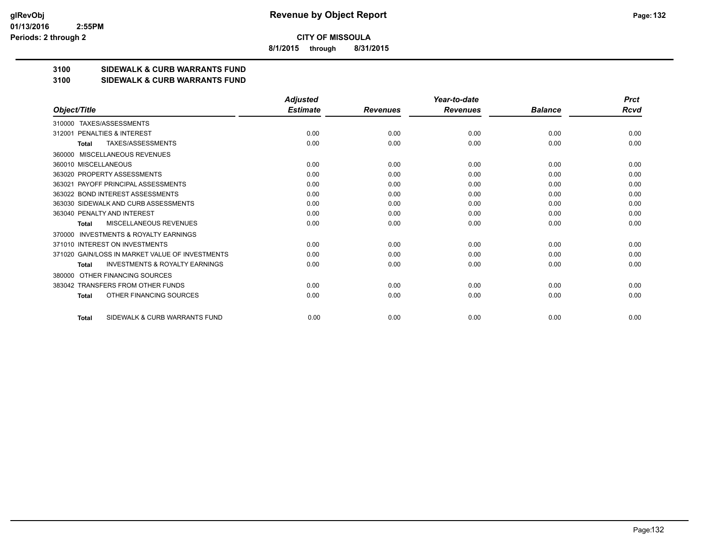**8/1/2015 through 8/31/2015**

## **3100 SIDEWALK & CURB WARRANTS FUND**

#### **3100 SIDEWALK & CURB WARRANTS FUND**

|                                                           | <b>Adjusted</b> |                 | Year-to-date    |                | <b>Prct</b> |
|-----------------------------------------------------------|-----------------|-----------------|-----------------|----------------|-------------|
| Object/Title                                              | <b>Estimate</b> | <b>Revenues</b> | <b>Revenues</b> | <b>Balance</b> | Rcvd        |
| TAXES/ASSESSMENTS<br>310000                               |                 |                 |                 |                |             |
| PENALTIES & INTEREST<br>312001                            | 0.00            | 0.00            | 0.00            | 0.00           | 0.00        |
| TAXES/ASSESSMENTS<br><b>Total</b>                         | 0.00            | 0.00            | 0.00            | 0.00           | 0.00        |
| MISCELLANEOUS REVENUES<br>360000                          |                 |                 |                 |                |             |
| 360010 MISCELLANEOUS                                      | 0.00            | 0.00            | 0.00            | 0.00           | 0.00        |
| 363020 PROPERTY ASSESSMENTS                               | 0.00            | 0.00            | 0.00            | 0.00           | 0.00        |
| 363021 PAYOFF PRINCIPAL ASSESSMENTS                       | 0.00            | 0.00            | 0.00            | 0.00           | 0.00        |
| 363022 BOND INTEREST ASSESSMENTS                          | 0.00            | 0.00            | 0.00            | 0.00           | 0.00        |
| 363030 SIDEWALK AND CURB ASSESSMENTS                      | 0.00            | 0.00            | 0.00            | 0.00           | 0.00        |
| 363040 PENALTY AND INTEREST                               | 0.00            | 0.00            | 0.00            | 0.00           | 0.00        |
| MISCELLANEOUS REVENUES<br><b>Total</b>                    | 0.00            | 0.00            | 0.00            | 0.00           | 0.00        |
| <b>INVESTMENTS &amp; ROYALTY EARNINGS</b><br>370000       |                 |                 |                 |                |             |
| 371010 INTEREST ON INVESTMENTS                            | 0.00            | 0.00            | 0.00            | 0.00           | 0.00        |
| 371020 GAIN/LOSS IN MARKET VALUE OF INVESTMENTS           | 0.00            | 0.00            | 0.00            | 0.00           | 0.00        |
| <b>INVESTMENTS &amp; ROYALTY EARNINGS</b><br><b>Total</b> | 0.00            | 0.00            | 0.00            | 0.00           | 0.00        |
| OTHER FINANCING SOURCES<br>380000                         |                 |                 |                 |                |             |
| 383042 TRANSFERS FROM OTHER FUNDS                         | 0.00            | 0.00            | 0.00            | 0.00           | 0.00        |
| OTHER FINANCING SOURCES<br><b>Total</b>                   | 0.00            | 0.00            | 0.00            | 0.00           | 0.00        |
| SIDEWALK & CURB WARRANTS FUND<br><b>Total</b>             | 0.00            | 0.00            | 0.00            | 0.00           | 0.00        |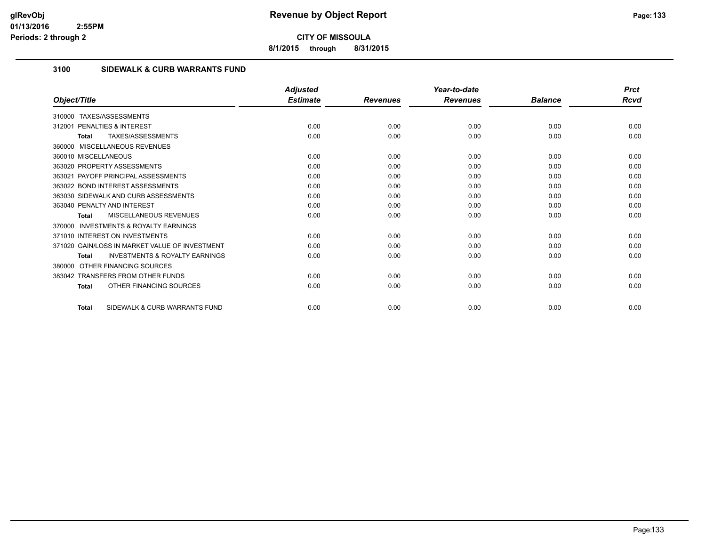**8/1/2015 through 8/31/2015**

# **3100 SIDEWALK & CURB WARRANTS FUND**

|                                                           | <b>Adjusted</b> |                 | Year-to-date    |                | <b>Prct</b> |
|-----------------------------------------------------------|-----------------|-----------------|-----------------|----------------|-------------|
| Object/Title                                              | <b>Estimate</b> | <b>Revenues</b> | <b>Revenues</b> | <b>Balance</b> | Rcvd        |
| TAXES/ASSESSMENTS<br>310000                               |                 |                 |                 |                |             |
| 312001 PENALTIES & INTEREST                               | 0.00            | 0.00            | 0.00            | 0.00           | 0.00        |
| <b>TAXES/ASSESSMENTS</b><br><b>Total</b>                  | 0.00            | 0.00            | 0.00            | 0.00           | 0.00        |
| 360000 MISCELLANEOUS REVENUES                             |                 |                 |                 |                |             |
| 360010 MISCELLANEOUS                                      | 0.00            | 0.00            | 0.00            | 0.00           | 0.00        |
| 363020 PROPERTY ASSESSMENTS                               | 0.00            | 0.00            | 0.00            | 0.00           | 0.00        |
| 363021 PAYOFF PRINCIPAL ASSESSMENTS                       | 0.00            | 0.00            | 0.00            | 0.00           | 0.00        |
| 363022 BOND INTEREST ASSESSMENTS                          | 0.00            | 0.00            | 0.00            | 0.00           | 0.00        |
| 363030 SIDEWALK AND CURB ASSESSMENTS                      | 0.00            | 0.00            | 0.00            | 0.00           | 0.00        |
| 363040 PENALTY AND INTEREST                               | 0.00            | 0.00            | 0.00            | 0.00           | 0.00        |
| MISCELLANEOUS REVENUES<br><b>Total</b>                    | 0.00            | 0.00            | 0.00            | 0.00           | 0.00        |
| <b>INVESTMENTS &amp; ROYALTY EARNINGS</b><br>370000       |                 |                 |                 |                |             |
| 371010 INTEREST ON INVESTMENTS                            | 0.00            | 0.00            | 0.00            | 0.00           | 0.00        |
| 371020 GAIN/LOSS IN MARKET VALUE OF INVESTMENT            | 0.00            | 0.00            | 0.00            | 0.00           | 0.00        |
| <b>INVESTMENTS &amp; ROYALTY EARNINGS</b><br><b>Total</b> | 0.00            | 0.00            | 0.00            | 0.00           | 0.00        |
| OTHER FINANCING SOURCES<br>380000                         |                 |                 |                 |                |             |
| 383042 TRANSFERS FROM OTHER FUNDS                         | 0.00            | 0.00            | 0.00            | 0.00           | 0.00        |
| OTHER FINANCING SOURCES<br><b>Total</b>                   | 0.00            | 0.00            | 0.00            | 0.00           | 0.00        |
| SIDEWALK & CURB WARRANTS FUND<br><b>Total</b>             | 0.00            | 0.00            | 0.00            | 0.00           | 0.00        |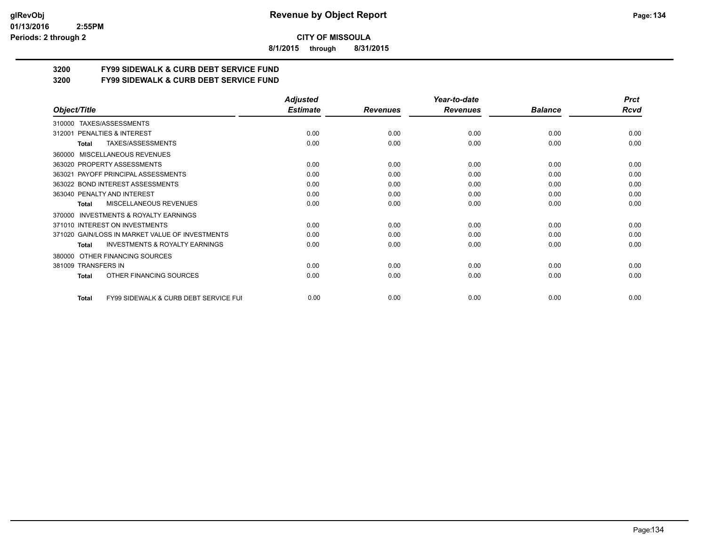#### **01/13/2016 2:55PM Periods: 2 through 2**

**CITY OF MISSOULA**

**8/1/2015 through 8/31/2015**

# **3200 FY99 SIDEWALK & CURB DEBT SERVICE FUND**

**3200 FY99 SIDEWALK & CURB DEBT SERVICE FUND**

|                                                           | <b>Adjusted</b> |                 | Year-to-date    |                | <b>Prct</b> |
|-----------------------------------------------------------|-----------------|-----------------|-----------------|----------------|-------------|
| Object/Title                                              | <b>Estimate</b> | <b>Revenues</b> | <b>Revenues</b> | <b>Balance</b> | Rcvd        |
| TAXES/ASSESSMENTS<br>310000                               |                 |                 |                 |                |             |
| PENALTIES & INTEREST<br>312001                            | 0.00            | 0.00            | 0.00            | 0.00           | 0.00        |
| TAXES/ASSESSMENTS<br>Total                                | 0.00            | 0.00            | 0.00            | 0.00           | 0.00        |
| MISCELLANEOUS REVENUES<br>360000                          |                 |                 |                 |                |             |
| 363020 PROPERTY ASSESSMENTS                               | 0.00            | 0.00            | 0.00            | 0.00           | 0.00        |
| 363021 PAYOFF PRINCIPAL ASSESSMENTS                       | 0.00            | 0.00            | 0.00            | 0.00           | 0.00        |
| 363022 BOND INTEREST ASSESSMENTS                          | 0.00            | 0.00            | 0.00            | 0.00           | 0.00        |
| 363040 PENALTY AND INTEREST                               | 0.00            | 0.00            | 0.00            | 0.00           | 0.00        |
| <b>MISCELLANEOUS REVENUES</b><br>Total                    | 0.00            | 0.00            | 0.00            | 0.00           | 0.00        |
| <b>INVESTMENTS &amp; ROYALTY EARNINGS</b><br>370000       |                 |                 |                 |                |             |
| 371010 INTEREST ON INVESTMENTS                            | 0.00            | 0.00            | 0.00            | 0.00           | 0.00        |
| 371020 GAIN/LOSS IN MARKET VALUE OF INVESTMENTS           | 0.00            | 0.00            | 0.00            | 0.00           | 0.00        |
| <b>INVESTMENTS &amp; ROYALTY EARNINGS</b><br><b>Total</b> | 0.00            | 0.00            | 0.00            | 0.00           | 0.00        |
| OTHER FINANCING SOURCES<br>380000                         |                 |                 |                 |                |             |
| 381009 TRANSFERS IN                                       | 0.00            | 0.00            | 0.00            | 0.00           | 0.00        |
| OTHER FINANCING SOURCES<br><b>Total</b>                   | 0.00            | 0.00            | 0.00            | 0.00           | 0.00        |
| FY99 SIDEWALK & CURB DEBT SERVICE FUI<br><b>Total</b>     | 0.00            | 0.00            | 0.00            | 0.00           | 0.00        |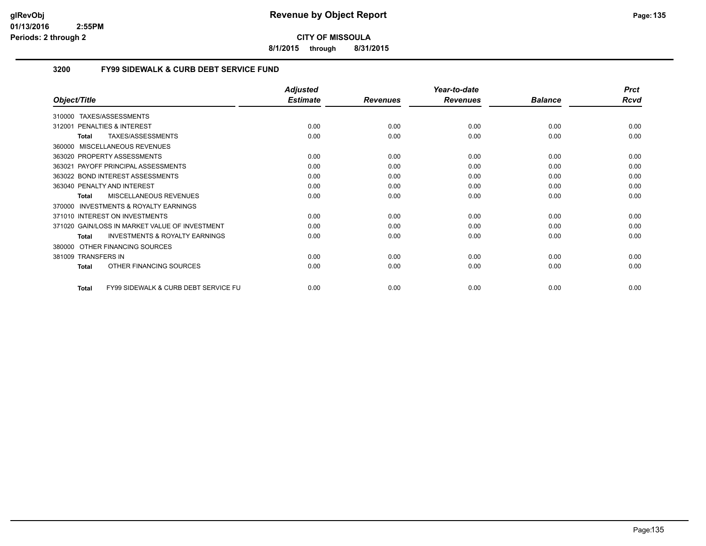**8/1/2015 through 8/31/2015**

# **3200 FY99 SIDEWALK & CURB DEBT SERVICE FUND**

|                                                                 | <b>Adjusted</b> |                 | Year-to-date    |                | <b>Prct</b> |
|-----------------------------------------------------------------|-----------------|-----------------|-----------------|----------------|-------------|
| Object/Title                                                    | <b>Estimate</b> | <b>Revenues</b> | <b>Revenues</b> | <b>Balance</b> | <b>Rcvd</b> |
| TAXES/ASSESSMENTS<br>310000                                     |                 |                 |                 |                |             |
| <b>PENALTIES &amp; INTEREST</b><br>312001                       | 0.00            | 0.00            | 0.00            | 0.00           | 0.00        |
| TAXES/ASSESSMENTS<br><b>Total</b>                               | 0.00            | 0.00            | 0.00            | 0.00           | 0.00        |
| MISCELLANEOUS REVENUES<br>360000                                |                 |                 |                 |                |             |
| 363020 PROPERTY ASSESSMENTS                                     | 0.00            | 0.00            | 0.00            | 0.00           | 0.00        |
| PAYOFF PRINCIPAL ASSESSMENTS<br>363021                          | 0.00            | 0.00            | 0.00            | 0.00           | 0.00        |
| 363022 BOND INTEREST ASSESSMENTS                                | 0.00            | 0.00            | 0.00            | 0.00           | 0.00        |
| 363040 PENALTY AND INTEREST                                     | 0.00            | 0.00            | 0.00            | 0.00           | 0.00        |
| MISCELLANEOUS REVENUES<br>Total                                 | 0.00            | 0.00            | 0.00            | 0.00           | 0.00        |
| INVESTMENTS & ROYALTY EARNINGS<br>370000                        |                 |                 |                 |                |             |
| 371010 INTEREST ON INVESTMENTS                                  | 0.00            | 0.00            | 0.00            | 0.00           | 0.00        |
| 371020 GAIN/LOSS IN MARKET VALUE OF INVESTMENT                  | 0.00            | 0.00            | 0.00            | 0.00           | 0.00        |
| <b>INVESTMENTS &amp; ROYALTY EARNINGS</b><br><b>Total</b>       | 0.00            | 0.00            | 0.00            | 0.00           | 0.00        |
| OTHER FINANCING SOURCES<br>380000                               |                 |                 |                 |                |             |
| 381009 TRANSFERS IN                                             | 0.00            | 0.00            | 0.00            | 0.00           | 0.00        |
| OTHER FINANCING SOURCES<br><b>Total</b>                         | 0.00            | 0.00            | 0.00            | 0.00           | 0.00        |
| <b>FY99 SIDEWALK &amp; CURB DEBT SERVICE FU</b><br><b>Total</b> | 0.00            | 0.00            | 0.00            | 0.00           | 0.00        |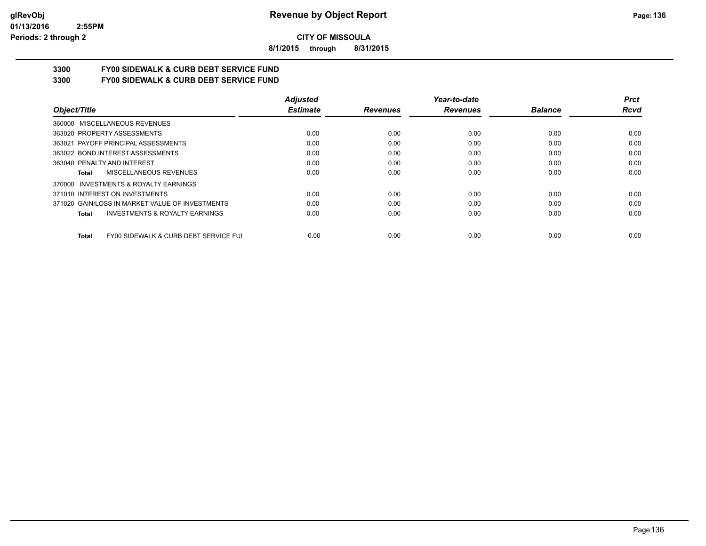**8/1/2015 through 8/31/2015**

# **3300 FY00 SIDEWALK & CURB DEBT SERVICE FUND**

**3300 FY00 SIDEWALK & CURB DEBT SERVICE FUND**

|                                                           | <b>Adjusted</b> |                 | Year-to-date    |                | <b>Prct</b> |
|-----------------------------------------------------------|-----------------|-----------------|-----------------|----------------|-------------|
| Object/Title                                              | <b>Estimate</b> | <b>Revenues</b> | <b>Revenues</b> | <b>Balance</b> | Rcvd        |
| 360000 MISCELLANEOUS REVENUES                             |                 |                 |                 |                |             |
| 363020 PROPERTY ASSESSMENTS                               | 0.00            | 0.00            | 0.00            | 0.00           | 0.00        |
| 363021 PAYOFF PRINCIPAL ASSESSMENTS                       | 0.00            | 0.00            | 0.00            | 0.00           | 0.00        |
| 363022 BOND INTEREST ASSESSMENTS                          | 0.00            | 0.00            | 0.00            | 0.00           | 0.00        |
| 363040 PENALTY AND INTEREST                               | 0.00            | 0.00            | 0.00            | 0.00           | 0.00        |
| MISCELLANEOUS REVENUES<br>Total                           | 0.00            | 0.00            | 0.00            | 0.00           | 0.00        |
| INVESTMENTS & ROYALTY EARNINGS<br>370000                  |                 |                 |                 |                |             |
| 371010 INTEREST ON INVESTMENTS                            | 0.00            | 0.00            | 0.00            | 0.00           | 0.00        |
| 371020 GAIN/LOSS IN MARKET VALUE OF INVESTMENTS           | 0.00            | 0.00            | 0.00            | 0.00           | 0.00        |
| <b>INVESTMENTS &amp; ROYALTY EARNINGS</b><br><b>Total</b> | 0.00            | 0.00            | 0.00            | 0.00           | 0.00        |
| FY00 SIDEWALK & CURB DEBT SERVICE FUI<br><b>Total</b>     | 0.00            | 0.00            | 0.00            | 0.00           | 0.00        |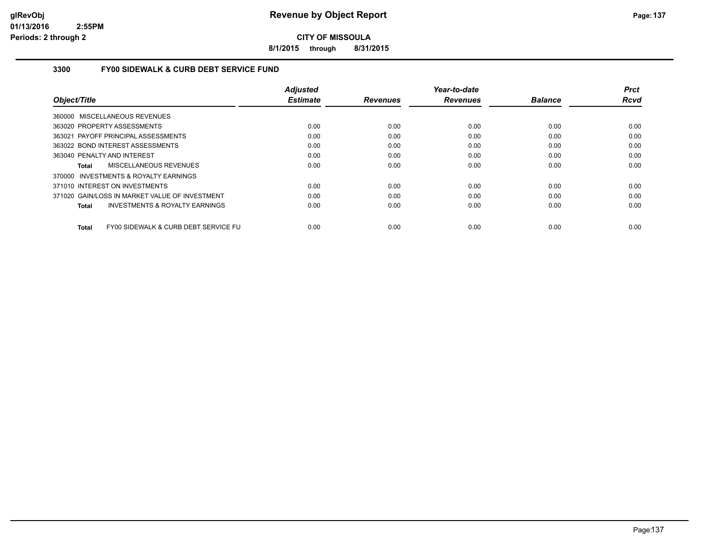**8/1/2015 through 8/31/2015**

# **3300 FY00 SIDEWALK & CURB DEBT SERVICE FUND**

|                                                    | <b>Adjusted</b> |                 | Year-to-date    |                | <b>Prct</b> |
|----------------------------------------------------|-----------------|-----------------|-----------------|----------------|-------------|
| Object/Title                                       | <b>Estimate</b> | <b>Revenues</b> | <b>Revenues</b> | <b>Balance</b> | <b>Rcvd</b> |
| 360000 MISCELLANEOUS REVENUES                      |                 |                 |                 |                |             |
| 363020 PROPERTY ASSESSMENTS                        | 0.00            | 0.00            | 0.00            | 0.00           | 0.00        |
| 363021 PAYOFF PRINCIPAL ASSESSMENTS                | 0.00            | 0.00            | 0.00            | 0.00           | 0.00        |
| 363022 BOND INTEREST ASSESSMENTS                   | 0.00            | 0.00            | 0.00            | 0.00           | 0.00        |
| 363040 PENALTY AND INTEREST                        | 0.00            | 0.00            | 0.00            | 0.00           | 0.00        |
| MISCELLANEOUS REVENUES<br>Total                    | 0.00            | 0.00            | 0.00            | 0.00           | 0.00        |
| 370000 INVESTMENTS & ROYALTY EARNINGS              |                 |                 |                 |                |             |
| 371010 INTEREST ON INVESTMENTS                     | 0.00            | 0.00            | 0.00            | 0.00           | 0.00        |
| 371020 GAIN/LOSS IN MARKET VALUE OF INVESTMENT     | 0.00            | 0.00            | 0.00            | 0.00           | 0.00        |
| <b>INVESTMENTS &amp; ROYALTY EARNINGS</b><br>Total | 0.00            | 0.00            | 0.00            | 0.00           | 0.00        |
| FY00 SIDEWALK & CURB DEBT SERVICE FU<br>Total      | 0.00            | 0.00            | 0.00            | 0.00           | 0.00        |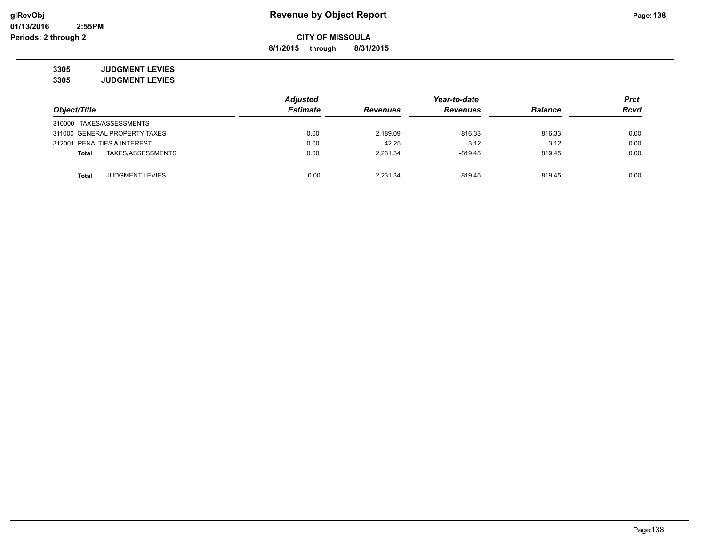**8/1/2015 through 8/31/2015**

**3305 JUDGMENT LEVIES 3305 JUDGMENT LEVIES**

|                                   | <b>Adjusted</b> |                 | Year-to-date    |                | <b>Prct</b> |
|-----------------------------------|-----------------|-----------------|-----------------|----------------|-------------|
| Object/Title                      | <b>Estimate</b> | <b>Revenues</b> | <b>Revenues</b> | <b>Balance</b> | <b>Rcvd</b> |
| 310000 TAXES/ASSESSMENTS          |                 |                 |                 |                |             |
| 311000 GENERAL PROPERTY TAXES     | 0.00            | 2,189.09        | $-816.33$       | 816.33         | 0.00        |
| 312001 PENALTIES & INTEREST       | 0.00            | 42.25           | $-3.12$         | 3.12           | 0.00        |
| TAXES/ASSESSMENTS<br><b>Total</b> | 0.00            | 2.231.34        | $-819.45$       | 819.45         | 0.00        |
| <b>JUDGMENT LEVIES</b><br>Total   | 0.00            | 2.231.34        | $-819.45$       | 819.45         | 0.00        |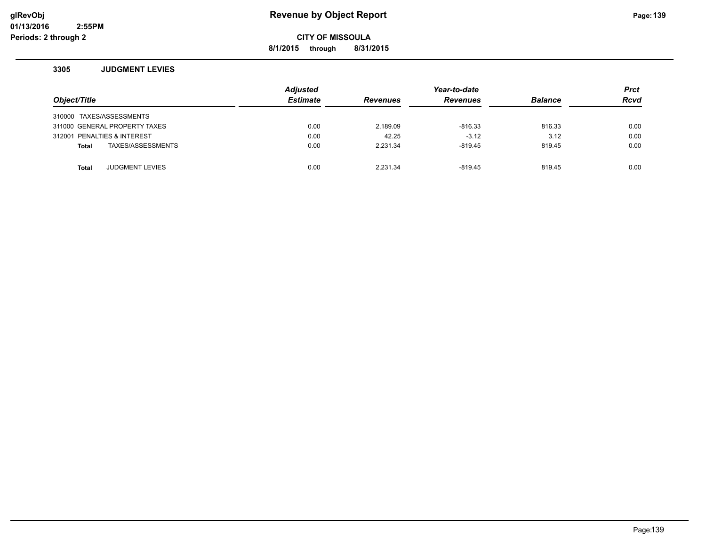**8/1/2015 through 8/31/2015**

#### **3305 JUDGMENT LEVIES**

| Object/Title                           | <b>Adjusted</b><br><b>Estimate</b> | <b>Revenues</b> | Year-to-date<br><b>Revenues</b> | <b>Balance</b> | <b>Prct</b><br><b>Rcvd</b> |
|----------------------------------------|------------------------------------|-----------------|---------------------------------|----------------|----------------------------|
| 310000 TAXES/ASSESSMENTS               |                                    |                 |                                 |                |                            |
| 311000 GENERAL PROPERTY TAXES          | 0.00                               | 2,189.09        | $-816.33$                       | 816.33         | 0.00                       |
| 312001 PENALTIES & INTEREST            | 0.00                               | 42.25           | $-3.12$                         | 3.12           | 0.00                       |
| TAXES/ASSESSMENTS<br>Total             | 0.00                               | 2.231.34        | $-819.45$                       | 819.45         | 0.00                       |
|                                        |                                    |                 |                                 |                |                            |
| <b>JUDGMENT LEVIES</b><br><b>Total</b> | 0.00                               | 2.231.34        | $-819.45$                       | 819.45         | 0.00                       |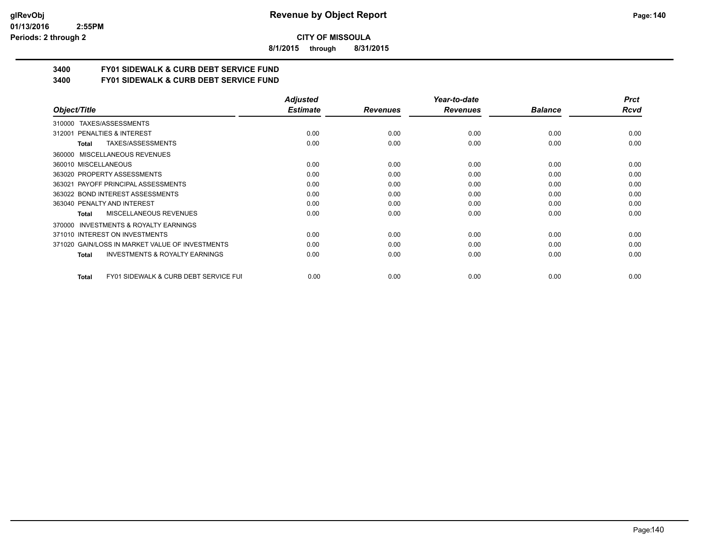#### **01/13/2016 2:55PM Periods: 2 through 2**

**CITY OF MISSOULA**

**8/1/2015 through 8/31/2015**

# **3400 FY01 SIDEWALK & CURB DEBT SERVICE FUND**

**3400 FY01 SIDEWALK & CURB DEBT SERVICE FUND**

|                                                           | <b>Adjusted</b> |                 | Year-to-date    |                | <b>Prct</b> |
|-----------------------------------------------------------|-----------------|-----------------|-----------------|----------------|-------------|
| Object/Title                                              | <b>Estimate</b> | <b>Revenues</b> | <b>Revenues</b> | <b>Balance</b> | Rcvd        |
| TAXES/ASSESSMENTS<br>310000                               |                 |                 |                 |                |             |
| 312001 PENALTIES & INTEREST                               | 0.00            | 0.00            | 0.00            | 0.00           | 0.00        |
| TAXES/ASSESSMENTS<br>Total                                | 0.00            | 0.00            | 0.00            | 0.00           | 0.00        |
| MISCELLANEOUS REVENUES<br>360000                          |                 |                 |                 |                |             |
| 360010 MISCELLANEOUS                                      | 0.00            | 0.00            | 0.00            | 0.00           | 0.00        |
| 363020 PROPERTY ASSESSMENTS                               | 0.00            | 0.00            | 0.00            | 0.00           | 0.00        |
| 363021 PAYOFF PRINCIPAL ASSESSMENTS                       | 0.00            | 0.00            | 0.00            | 0.00           | 0.00        |
| 363022 BOND INTEREST ASSESSMENTS                          | 0.00            | 0.00            | 0.00            | 0.00           | 0.00        |
| 363040 PENALTY AND INTEREST                               | 0.00            | 0.00            | 0.00            | 0.00           | 0.00        |
| MISCELLANEOUS REVENUES<br>Total                           | 0.00            | 0.00            | 0.00            | 0.00           | 0.00        |
| <b>INVESTMENTS &amp; ROYALTY EARNINGS</b><br>370000       |                 |                 |                 |                |             |
| 371010 INTEREST ON INVESTMENTS                            | 0.00            | 0.00            | 0.00            | 0.00           | 0.00        |
| 371020 GAIN/LOSS IN MARKET VALUE OF INVESTMENTS           | 0.00            | 0.00            | 0.00            | 0.00           | 0.00        |
| <b>INVESTMENTS &amp; ROYALTY EARNINGS</b><br><b>Total</b> | 0.00            | 0.00            | 0.00            | 0.00           | 0.00        |
| <b>FY01 SIDEWALK &amp; CURB DEBT SERVICE FUI</b><br>Total | 0.00            | 0.00            | 0.00            | 0.00           | 0.00        |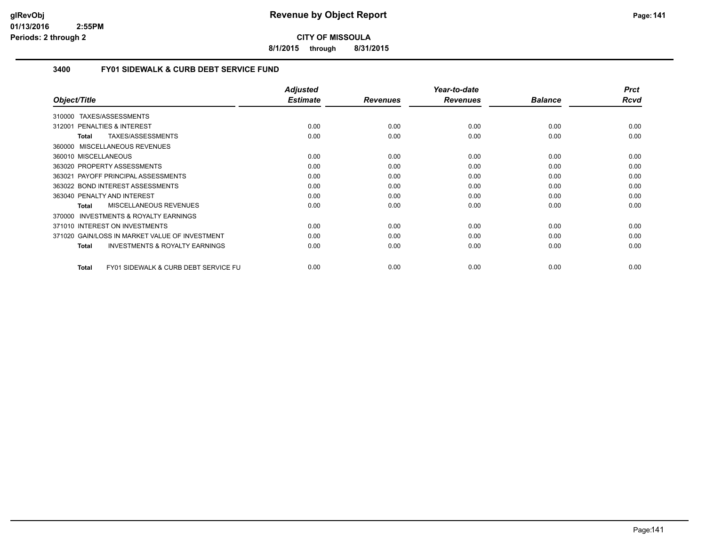**8/1/2015 through 8/31/2015**

## **3400 FY01 SIDEWALK & CURB DEBT SERVICE FUND**

| Object/Title                                                    | <b>Adjusted</b><br><b>Estimate</b> | <b>Revenues</b> | Year-to-date<br><b>Revenues</b> | <b>Balance</b> | <b>Prct</b><br>Rcvd |
|-----------------------------------------------------------------|------------------------------------|-----------------|---------------------------------|----------------|---------------------|
|                                                                 |                                    |                 |                                 |                |                     |
| TAXES/ASSESSMENTS<br>310000                                     |                                    |                 |                                 |                |                     |
| 312001 PENALTIES & INTEREST                                     | 0.00                               | 0.00            | 0.00                            | 0.00           | 0.00                |
| TAXES/ASSESSMENTS<br><b>Total</b>                               | 0.00                               | 0.00            | 0.00                            | 0.00           | 0.00                |
| MISCELLANEOUS REVENUES<br>360000                                |                                    |                 |                                 |                |                     |
| 360010 MISCELLANEOUS                                            | 0.00                               | 0.00            | 0.00                            | 0.00           | 0.00                |
| 363020 PROPERTY ASSESSMENTS                                     | 0.00                               | 0.00            | 0.00                            | 0.00           | 0.00                |
| 363021 PAYOFF PRINCIPAL ASSESSMENTS                             | 0.00                               | 0.00            | 0.00                            | 0.00           | 0.00                |
| 363022 BOND INTEREST ASSESSMENTS                                | 0.00                               | 0.00            | 0.00                            | 0.00           | 0.00                |
| 363040 PENALTY AND INTEREST                                     | 0.00                               | 0.00            | 0.00                            | 0.00           | 0.00                |
| MISCELLANEOUS REVENUES<br><b>Total</b>                          | 0.00                               | 0.00            | 0.00                            | 0.00           | 0.00                |
| INVESTMENTS & ROYALTY EARNINGS<br>370000                        |                                    |                 |                                 |                |                     |
| 371010 INTEREST ON INVESTMENTS                                  | 0.00                               | 0.00            | 0.00                            | 0.00           | 0.00                |
| 371020 GAIN/LOSS IN MARKET VALUE OF INVESTMENT                  | 0.00                               | 0.00            | 0.00                            | 0.00           | 0.00                |
| <b>INVESTMENTS &amp; ROYALTY EARNINGS</b><br><b>Total</b>       | 0.00                               | 0.00            | 0.00                            | 0.00           | 0.00                |
|                                                                 |                                    |                 |                                 |                |                     |
| <b>FY01 SIDEWALK &amp; CURB DEBT SERVICE FU</b><br><b>Total</b> | 0.00                               | 0.00            | 0.00                            | 0.00           | 0.00                |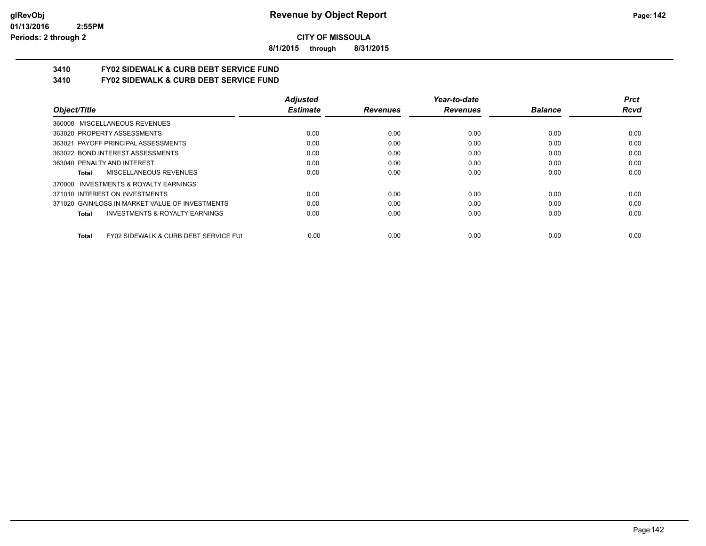**8/1/2015 through 8/31/2015**

# **3410 FY02 SIDEWALK & CURB DEBT SERVICE FUND**

**3410 FY02 SIDEWALK & CURB DEBT SERVICE FUND**

|                                                           | <b>Adjusted</b> |                 | Year-to-date    |                | <b>Prct</b> |
|-----------------------------------------------------------|-----------------|-----------------|-----------------|----------------|-------------|
| Object/Title                                              | <b>Estimate</b> | <b>Revenues</b> | <b>Revenues</b> | <b>Balance</b> | Rcvd        |
| 360000 MISCELLANEOUS REVENUES                             |                 |                 |                 |                |             |
| 363020 PROPERTY ASSESSMENTS                               | 0.00            | 0.00            | 0.00            | 0.00           | 0.00        |
| 363021 PAYOFF PRINCIPAL ASSESSMENTS                       | 0.00            | 0.00            | 0.00            | 0.00           | 0.00        |
| 363022 BOND INTEREST ASSESSMENTS                          | 0.00            | 0.00            | 0.00            | 0.00           | 0.00        |
| 363040 PENALTY AND INTEREST                               | 0.00            | 0.00            | 0.00            | 0.00           | 0.00        |
| MISCELLANEOUS REVENUES<br>Total                           | 0.00            | 0.00            | 0.00            | 0.00           | 0.00        |
| 370000 INVESTMENTS & ROYALTY EARNINGS                     |                 |                 |                 |                |             |
| 371010 INTEREST ON INVESTMENTS                            | 0.00            | 0.00            | 0.00            | 0.00           | 0.00        |
| 371020 GAIN/LOSS IN MARKET VALUE OF INVESTMENTS           | 0.00            | 0.00            | 0.00            | 0.00           | 0.00        |
| <b>INVESTMENTS &amp; ROYALTY EARNINGS</b><br><b>Total</b> | 0.00            | 0.00            | 0.00            | 0.00           | 0.00        |
| FY02 SIDEWALK & CURB DEBT SERVICE FUI<br><b>Total</b>     | 0.00            | 0.00            | 0.00            | 0.00           | 0.00        |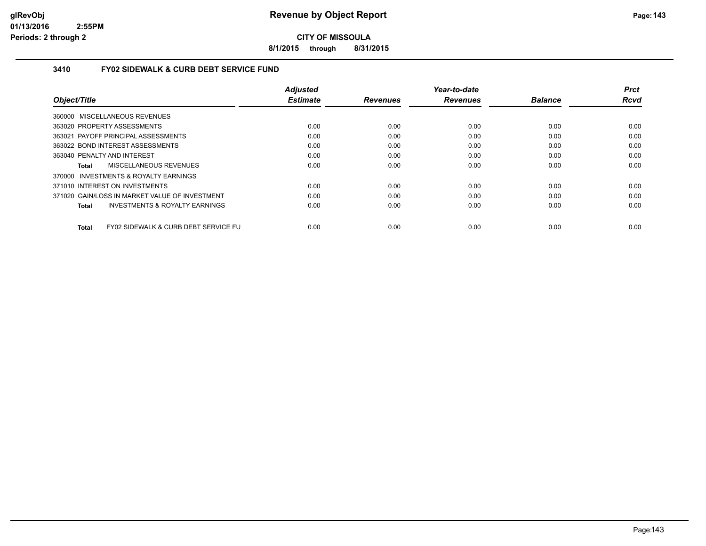**8/1/2015 through 8/31/2015**

# **3410 FY02 SIDEWALK & CURB DEBT SERVICE FUND**

|                                                    | <b>Adjusted</b> |                 | Year-to-date    |                | <b>Prct</b> |
|----------------------------------------------------|-----------------|-----------------|-----------------|----------------|-------------|
| Object/Title                                       | <b>Estimate</b> | <b>Revenues</b> | <b>Revenues</b> | <b>Balance</b> | <b>Rcvd</b> |
| 360000 MISCELLANEOUS REVENUES                      |                 |                 |                 |                |             |
| 363020 PROPERTY ASSESSMENTS                        | 0.00            | 0.00            | 0.00            | 0.00           | 0.00        |
| 363021 PAYOFF PRINCIPAL ASSESSMENTS                | 0.00            | 0.00            | 0.00            | 0.00           | 0.00        |
| 363022 BOND INTEREST ASSESSMENTS                   | 0.00            | 0.00            | 0.00            | 0.00           | 0.00        |
| 363040 PENALTY AND INTEREST                        | 0.00            | 0.00            | 0.00            | 0.00           | 0.00        |
| MISCELLANEOUS REVENUES<br>Total                    | 0.00            | 0.00            | 0.00            | 0.00           | 0.00        |
| 370000 INVESTMENTS & ROYALTY EARNINGS              |                 |                 |                 |                |             |
| 371010 INTEREST ON INVESTMENTS                     | 0.00            | 0.00            | 0.00            | 0.00           | 0.00        |
| 371020 GAIN/LOSS IN MARKET VALUE OF INVESTMENT     | 0.00            | 0.00            | 0.00            | 0.00           | 0.00        |
| <b>INVESTMENTS &amp; ROYALTY EARNINGS</b><br>Total | 0.00            | 0.00            | 0.00            | 0.00           | 0.00        |
| FY02 SIDEWALK & CURB DEBT SERVICE FU<br>Total      | 0.00            | 0.00            | 0.00            | 0.00           | 0.00        |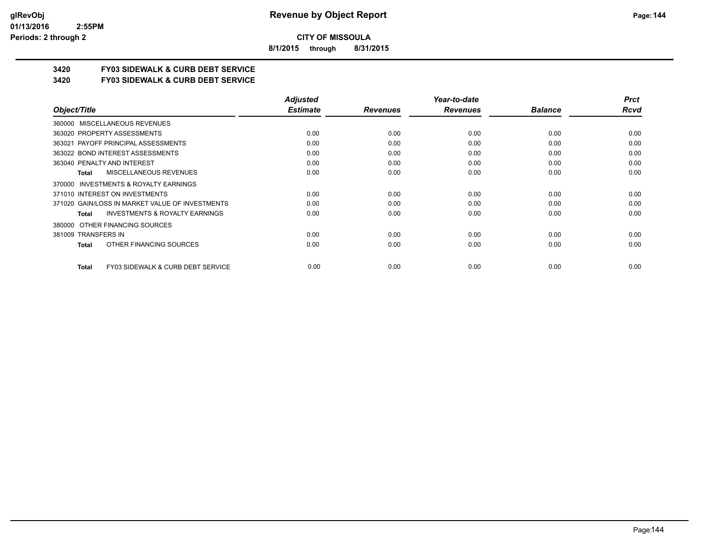**8/1/2015 through 8/31/2015**

# **3420 FY03 SIDEWALK & CURB DEBT SERVICE**

**3420 FY03 SIDEWALK & CURB DEBT SERVICE**

|                                                    | <b>Adjusted</b> |                 | Year-to-date    |                | <b>Prct</b> |
|----------------------------------------------------|-----------------|-----------------|-----------------|----------------|-------------|
| Object/Title                                       | <b>Estimate</b> | <b>Revenues</b> | <b>Revenues</b> | <b>Balance</b> | Rcvd        |
| 360000 MISCELLANEOUS REVENUES                      |                 |                 |                 |                |             |
| 363020 PROPERTY ASSESSMENTS                        | 0.00            | 0.00            | 0.00            | 0.00           | 0.00        |
| 363021 PAYOFF PRINCIPAL ASSESSMENTS                | 0.00            | 0.00            | 0.00            | 0.00           | 0.00        |
| 363022 BOND INTEREST ASSESSMENTS                   | 0.00            | 0.00            | 0.00            | 0.00           | 0.00        |
| 363040 PENALTY AND INTEREST                        | 0.00            | 0.00            | 0.00            | 0.00           | 0.00        |
| <b>MISCELLANEOUS REVENUES</b><br><b>Total</b>      | 0.00            | 0.00            | 0.00            | 0.00           | 0.00        |
| INVESTMENTS & ROYALTY EARNINGS<br>370000           |                 |                 |                 |                |             |
| 371010 INTEREST ON INVESTMENTS                     | 0.00            | 0.00            | 0.00            | 0.00           | 0.00        |
| 371020 GAIN/LOSS IN MARKET VALUE OF INVESTMENTS    | 0.00            | 0.00            | 0.00            | 0.00           | 0.00        |
| <b>INVESTMENTS &amp; ROYALTY EARNINGS</b><br>Total | 0.00            | 0.00            | 0.00            | 0.00           | 0.00        |
| OTHER FINANCING SOURCES<br>380000                  |                 |                 |                 |                |             |
| 381009 TRANSFERS IN                                | 0.00            | 0.00            | 0.00            | 0.00           | 0.00        |
| OTHER FINANCING SOURCES<br><b>Total</b>            | 0.00            | 0.00            | 0.00            | 0.00           | 0.00        |
|                                                    |                 |                 |                 |                |             |
| FY03 SIDEWALK & CURB DEBT SERVICE<br><b>Total</b>  | 0.00            | 0.00            | 0.00            | 0.00           | 0.00        |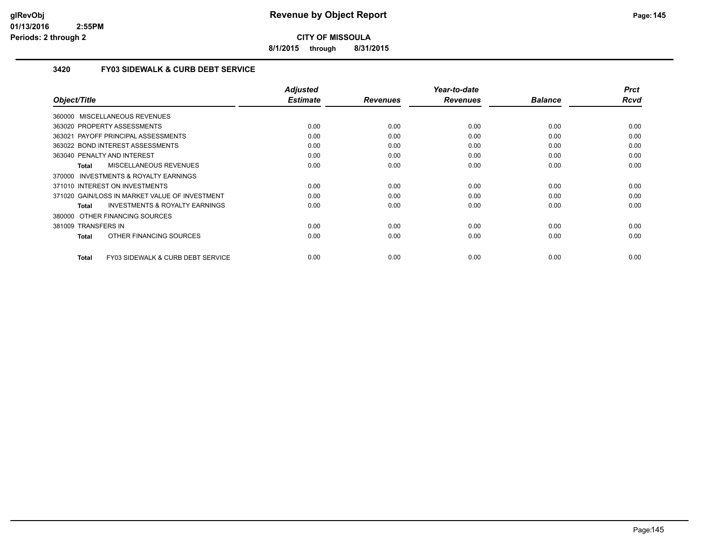**8/1/2015 through 8/31/2015**

### **3420 FY03 SIDEWALK & CURB DEBT SERVICE**

| Object/Title                                       | <b>Adjusted</b><br><b>Estimate</b> | <b>Revenues</b> | Year-to-date<br><b>Revenues</b> | <b>Balance</b> | <b>Prct</b><br><b>Rcvd</b> |
|----------------------------------------------------|------------------------------------|-----------------|---------------------------------|----------------|----------------------------|
| 360000 MISCELLANEOUS REVENUES                      |                                    |                 |                                 |                |                            |
|                                                    |                                    |                 |                                 |                |                            |
| 363020 PROPERTY ASSESSMENTS                        | 0.00                               | 0.00            | 0.00                            | 0.00           | 0.00                       |
| 363021 PAYOFF PRINCIPAL ASSESSMENTS                | 0.00                               | 0.00            | 0.00                            | 0.00           | 0.00                       |
| 363022 BOND INTEREST ASSESSMENTS                   | 0.00                               | 0.00            | 0.00                            | 0.00           | 0.00                       |
| 363040 PENALTY AND INTEREST                        | 0.00                               | 0.00            | 0.00                            | 0.00           | 0.00                       |
| MISCELLANEOUS REVENUES<br>Total                    | 0.00                               | 0.00            | 0.00                            | 0.00           | 0.00                       |
| 370000 INVESTMENTS & ROYALTY EARNINGS              |                                    |                 |                                 |                |                            |
| 371010 INTEREST ON INVESTMENTS                     | 0.00                               | 0.00            | 0.00                            | 0.00           | 0.00                       |
| 371020 GAIN/LOSS IN MARKET VALUE OF INVESTMENT     | 0.00                               | 0.00            | 0.00                            | 0.00           | 0.00                       |
| <b>INVESTMENTS &amp; ROYALTY EARNINGS</b><br>Total | 0.00                               | 0.00            | 0.00                            | 0.00           | 0.00                       |
| 380000 OTHER FINANCING SOURCES                     |                                    |                 |                                 |                |                            |
| 381009 TRANSFERS IN                                | 0.00                               | 0.00            | 0.00                            | 0.00           | 0.00                       |
| OTHER FINANCING SOURCES<br>Total                   | 0.00                               | 0.00            | 0.00                            | 0.00           | 0.00                       |
|                                                    |                                    |                 |                                 |                |                            |
| FY03 SIDEWALK & CURB DEBT SERVICE<br>Total         | 0.00                               | 0.00            | 0.00                            | 0.00           | 0.00                       |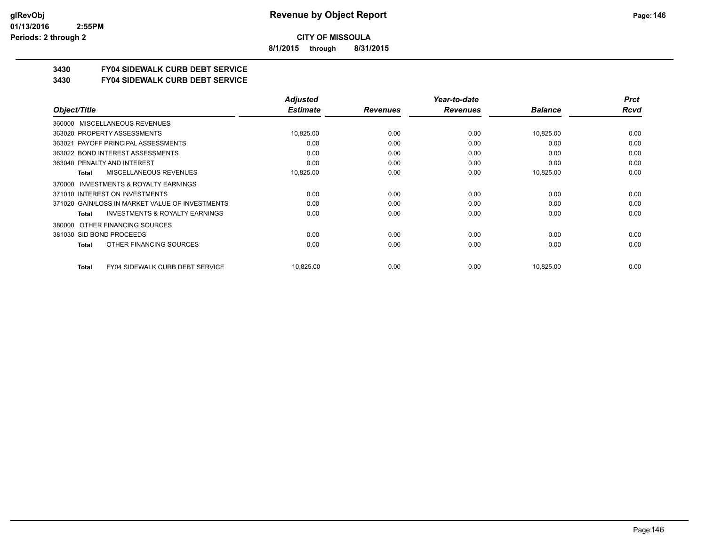**8/1/2015 through 8/31/2015**

## **3430 FY04 SIDEWALK CURB DEBT SERVICE**

#### **3430 FY04 SIDEWALK CURB DEBT SERVICE**

|                                                           | <b>Adjusted</b> |                 | Year-to-date    |                | <b>Prct</b> |
|-----------------------------------------------------------|-----------------|-----------------|-----------------|----------------|-------------|
| Object/Title                                              | <b>Estimate</b> | <b>Revenues</b> | <b>Revenues</b> | <b>Balance</b> | Rcvd        |
| MISCELLANEOUS REVENUES<br>360000                          |                 |                 |                 |                |             |
| 363020 PROPERTY ASSESSMENTS                               | 10,825.00       | 0.00            | 0.00            | 10,825.00      | 0.00        |
| 363021 PAYOFF PRINCIPAL ASSESSMENTS                       | 0.00            | 0.00            | 0.00            | 0.00           | 0.00        |
| 363022 BOND INTEREST ASSESSMENTS                          | 0.00            | 0.00            | 0.00            | 0.00           | 0.00        |
| 363040 PENALTY AND INTEREST                               | 0.00            | 0.00            | 0.00            | 0.00           | 0.00        |
| MISCELLANEOUS REVENUES<br><b>Total</b>                    | 10,825.00       | 0.00            | 0.00            | 10,825.00      | 0.00        |
| INVESTMENTS & ROYALTY EARNINGS<br>370000                  |                 |                 |                 |                |             |
| 371010 INTEREST ON INVESTMENTS                            | 0.00            | 0.00            | 0.00            | 0.00           | 0.00        |
| 371020 GAIN/LOSS IN MARKET VALUE OF INVESTMENTS           | 0.00            | 0.00            | 0.00            | 0.00           | 0.00        |
| <b>INVESTMENTS &amp; ROYALTY EARNINGS</b><br><b>Total</b> | 0.00            | 0.00            | 0.00            | 0.00           | 0.00        |
| OTHER FINANCING SOURCES<br>380000                         |                 |                 |                 |                |             |
| 381030 SID BOND PROCEEDS                                  | 0.00            | 0.00            | 0.00            | 0.00           | 0.00        |
| OTHER FINANCING SOURCES<br><b>Total</b>                   | 0.00            | 0.00            | 0.00            | 0.00           | 0.00        |
| <b>FY04 SIDEWALK CURB DEBT SERVICE</b><br><b>Total</b>    | 10,825.00       | 0.00            | 0.00            | 10,825.00      | 0.00        |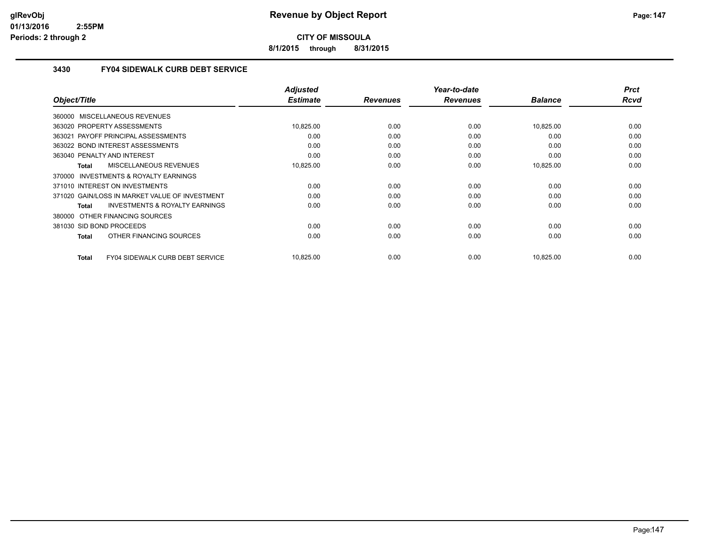**8/1/2015 through 8/31/2015**

### **3430 FY04 SIDEWALK CURB DEBT SERVICE**

| Object/Title                                        | <b>Adjusted</b><br><b>Estimate</b> | <b>Revenues</b> | Year-to-date<br><b>Revenues</b> | <b>Balance</b> | <b>Prct</b><br><b>Rcvd</b> |
|-----------------------------------------------------|------------------------------------|-----------------|---------------------------------|----------------|----------------------------|
|                                                     |                                    |                 |                                 |                |                            |
| 360000 MISCELLANEOUS REVENUES                       |                                    |                 |                                 |                |                            |
| 363020 PROPERTY ASSESSMENTS                         | 10,825.00                          | 0.00            | 0.00                            | 10,825.00      | 0.00                       |
| 363021 PAYOFF PRINCIPAL ASSESSMENTS                 | 0.00                               | 0.00            | 0.00                            | 0.00           | 0.00                       |
| 363022 BOND INTEREST ASSESSMENTS                    | 0.00                               | 0.00            | 0.00                            | 0.00           | 0.00                       |
| 363040 PENALTY AND INTEREST                         | 0.00                               | 0.00            | 0.00                            | 0.00           | 0.00                       |
| MISCELLANEOUS REVENUES<br>Total                     | 10,825.00                          | 0.00            | 0.00                            | 10,825.00      | 0.00                       |
| <b>INVESTMENTS &amp; ROYALTY EARNINGS</b><br>370000 |                                    |                 |                                 |                |                            |
| 371010 INTEREST ON INVESTMENTS                      | 0.00                               | 0.00            | 0.00                            | 0.00           | 0.00                       |
| 371020 GAIN/LOSS IN MARKET VALUE OF INVESTMENT      | 0.00                               | 0.00            | 0.00                            | 0.00           | 0.00                       |
| <b>INVESTMENTS &amp; ROYALTY EARNINGS</b><br>Total  | 0.00                               | 0.00            | 0.00                            | 0.00           | 0.00                       |
| 380000 OTHER FINANCING SOURCES                      |                                    |                 |                                 |                |                            |
| 381030 SID BOND PROCEEDS                            | 0.00                               | 0.00            | 0.00                            | 0.00           | 0.00                       |
| OTHER FINANCING SOURCES<br>Total                    | 0.00                               | 0.00            | 0.00                            | 0.00           | 0.00                       |
|                                                     |                                    |                 |                                 |                |                            |
| FY04 SIDEWALK CURB DEBT SERVICE<br><b>Total</b>     | 10,825.00                          | 0.00            | 0.00                            | 10,825.00      | 0.00                       |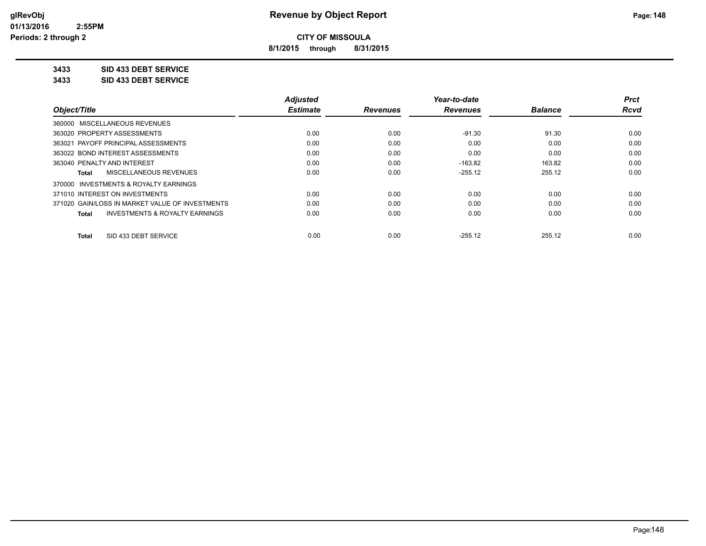**8/1/2015 through 8/31/2015**

## **3433 SID 433 DEBT SERVICE**

**3433 SID 433 DEBT SERVICE**

|                                                    | <b>Adjusted</b> |                 | Year-to-date    |                | <b>Prct</b> |
|----------------------------------------------------|-----------------|-----------------|-----------------|----------------|-------------|
| Object/Title                                       | <b>Estimate</b> | <b>Revenues</b> | <b>Revenues</b> | <b>Balance</b> | Rcvd        |
| 360000 MISCELLANEOUS REVENUES                      |                 |                 |                 |                |             |
| 363020 PROPERTY ASSESSMENTS                        | 0.00            | 0.00            | $-91.30$        | 91.30          | 0.00        |
| 363021 PAYOFF PRINCIPAL ASSESSMENTS                | 0.00            | 0.00            | 0.00            | 0.00           | 0.00        |
| 363022 BOND INTEREST ASSESSMENTS                   | 0.00            | 0.00            | 0.00            | 0.00           | 0.00        |
| 363040 PENALTY AND INTEREST                        | 0.00            | 0.00            | $-163.82$       | 163.82         | 0.00        |
| MISCELLANEOUS REVENUES<br><b>Total</b>             | 0.00            | 0.00            | $-255.12$       | 255.12         | 0.00        |
| 370000 INVESTMENTS & ROYALTY EARNINGS              |                 |                 |                 |                |             |
| 371010 INTEREST ON INVESTMENTS                     | 0.00            | 0.00            | 0.00            | 0.00           | 0.00        |
| 371020 GAIN/LOSS IN MARKET VALUE OF INVESTMENTS    | 0.00            | 0.00            | 0.00            | 0.00           | 0.00        |
| <b>INVESTMENTS &amp; ROYALTY EARNINGS</b><br>Total | 0.00            | 0.00            | 0.00            | 0.00           | 0.00        |
| SID 433 DEBT SERVICE<br><b>Total</b>               | 0.00            | 0.00            | $-255.12$       | 255.12         | 0.00        |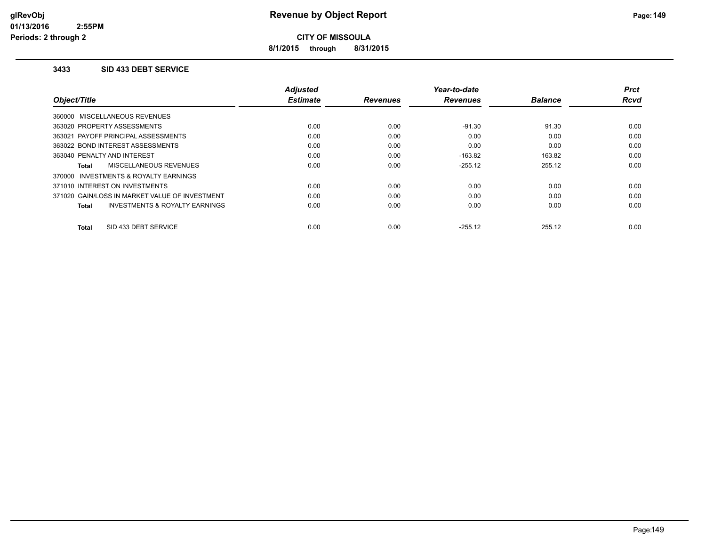**8/1/2015 through 8/31/2015**

### **3433 SID 433 DEBT SERVICE**

|                                                    | <b>Adjusted</b> |                 | Year-to-date    |                | Prct        |
|----------------------------------------------------|-----------------|-----------------|-----------------|----------------|-------------|
| Object/Title                                       | <b>Estimate</b> | <b>Revenues</b> | <b>Revenues</b> | <b>Balance</b> | <b>Rcvd</b> |
| 360000 MISCELLANEOUS REVENUES                      |                 |                 |                 |                |             |
| 363020 PROPERTY ASSESSMENTS                        | 0.00            | 0.00            | $-91.30$        | 91.30          | 0.00        |
| 363021 PAYOFF PRINCIPAL ASSESSMENTS                | 0.00            | 0.00            | 0.00            | 0.00           | 0.00        |
| 363022 BOND INTEREST ASSESSMENTS                   | 0.00            | 0.00            | 0.00            | 0.00           | 0.00        |
| 363040 PENALTY AND INTEREST                        | 0.00            | 0.00            | $-163.82$       | 163.82         | 0.00        |
| MISCELLANEOUS REVENUES<br>Total                    | 0.00            | 0.00            | $-255.12$       | 255.12         | 0.00        |
| 370000 INVESTMENTS & ROYALTY EARNINGS              |                 |                 |                 |                |             |
| 371010 INTEREST ON INVESTMENTS                     | 0.00            | 0.00            | 0.00            | 0.00           | 0.00        |
| 371020 GAIN/LOSS IN MARKET VALUE OF INVESTMENT     | 0.00            | 0.00            | 0.00            | 0.00           | 0.00        |
| <b>INVESTMENTS &amp; ROYALTY EARNINGS</b><br>Total | 0.00            | 0.00            | 0.00            | 0.00           | 0.00        |
| SID 433 DEBT SERVICE<br><b>Total</b>               | 0.00            | 0.00            | $-255.12$       | 255.12         | 0.00        |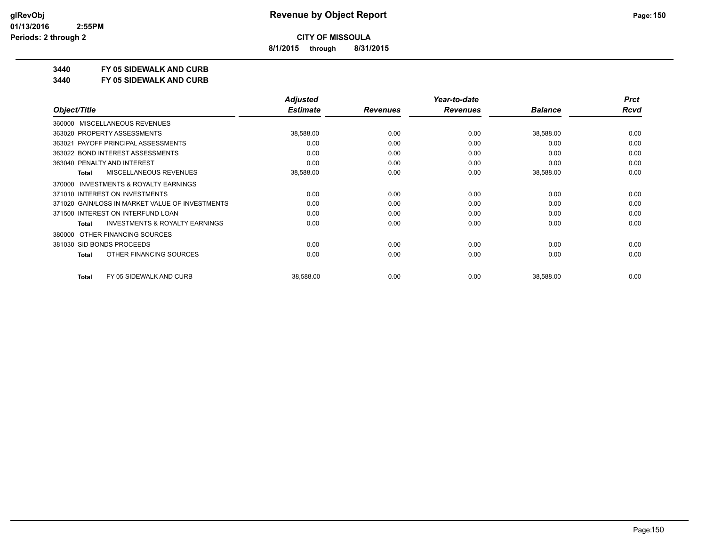**8/1/2015 through 8/31/2015**

## **3440 FY 05 SIDEWALK AND CURB**

**3440 FY 05 SIDEWALK AND CURB**

|              |                                                 | <b>Adjusted</b> |                 | Year-to-date    |                | <b>Prct</b> |
|--------------|-------------------------------------------------|-----------------|-----------------|-----------------|----------------|-------------|
| Object/Title |                                                 | <b>Estimate</b> | <b>Revenues</b> | <b>Revenues</b> | <b>Balance</b> | Rcvd        |
| 360000       | <b>MISCELLANEOUS REVENUES</b>                   |                 |                 |                 |                |             |
|              | 363020 PROPERTY ASSESSMENTS                     | 38,588.00       | 0.00            | 0.00            | 38,588.00      | 0.00        |
|              | 363021 PAYOFF PRINCIPAL ASSESSMENTS             | 0.00            | 0.00            | 0.00            | 0.00           | 0.00        |
|              | 363022 BOND INTEREST ASSESSMENTS                | 0.00            | 0.00            | 0.00            | 0.00           | 0.00        |
|              | 363040 PENALTY AND INTEREST                     | 0.00            | 0.00            | 0.00            | 0.00           | 0.00        |
| Total        | MISCELLANEOUS REVENUES                          | 38,588.00       | 0.00            | 0.00            | 38,588.00      | 0.00        |
| 370000       | <b>INVESTMENTS &amp; ROYALTY EARNINGS</b>       |                 |                 |                 |                |             |
|              | 371010 INTEREST ON INVESTMENTS                  | 0.00            | 0.00            | 0.00            | 0.00           | 0.00        |
|              | 371020 GAIN/LOSS IN MARKET VALUE OF INVESTMENTS | 0.00            | 0.00            | 0.00            | 0.00           | 0.00        |
|              | 371500 INTEREST ON INTERFUND LOAN               | 0.00            | 0.00            | 0.00            | 0.00           | 0.00        |
| <b>Total</b> | <b>INVESTMENTS &amp; ROYALTY EARNINGS</b>       | 0.00            | 0.00            | 0.00            | 0.00           | 0.00        |
| 380000       | OTHER FINANCING SOURCES                         |                 |                 |                 |                |             |
|              | 381030 SID BONDS PROCEEDS                       | 0.00            | 0.00            | 0.00            | 0.00           | 0.00        |
| <b>Total</b> | OTHER FINANCING SOURCES                         | 0.00            | 0.00            | 0.00            | 0.00           | 0.00        |
| <b>Total</b> | FY 05 SIDEWALK AND CURB                         | 38,588.00       | 0.00            | 0.00            | 38,588.00      | 0.00        |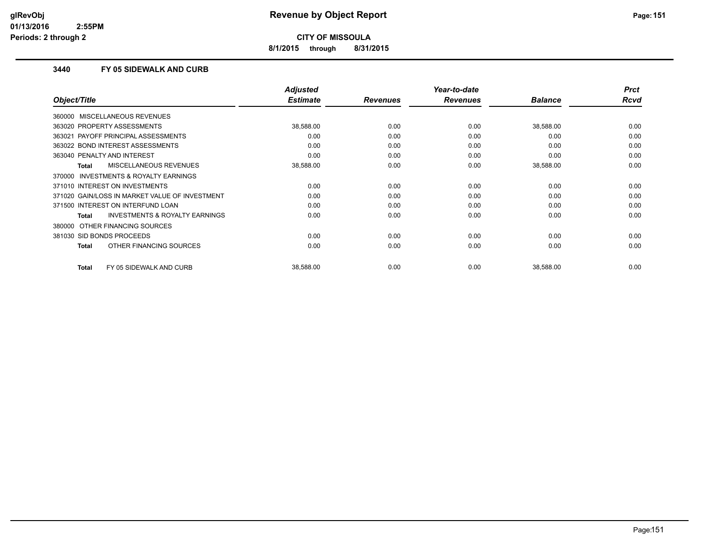**8/1/2015 through 8/31/2015**

### **3440 FY 05 SIDEWALK AND CURB**

|                                                | Adjusted        |                 | Year-to-date    |                | <b>Prct</b> |
|------------------------------------------------|-----------------|-----------------|-----------------|----------------|-------------|
| Object/Title                                   | <b>Estimate</b> | <b>Revenues</b> | <b>Revenues</b> | <b>Balance</b> | Rcvd        |
| 360000 MISCELLANEOUS REVENUES                  |                 |                 |                 |                |             |
| 363020 PROPERTY ASSESSMENTS                    | 38,588.00       | 0.00            | 0.00            | 38,588.00      | 0.00        |
| 363021 PAYOFF PRINCIPAL ASSESSMENTS            | 0.00            | 0.00            | 0.00            | 0.00           | 0.00        |
| 363022 BOND INTEREST ASSESSMENTS               | 0.00            | 0.00            | 0.00            | 0.00           | 0.00        |
| 363040 PENALTY AND INTEREST                    | 0.00            | 0.00            | 0.00            | 0.00           | 0.00        |
| MISCELLANEOUS REVENUES<br><b>Total</b>         | 38,588.00       | 0.00            | 0.00            | 38,588.00      | 0.00        |
| 370000 INVESTMENTS & ROYALTY EARNINGS          |                 |                 |                 |                |             |
| 371010 INTEREST ON INVESTMENTS                 | 0.00            | 0.00            | 0.00            | 0.00           | 0.00        |
| 371020 GAIN/LOSS IN MARKET VALUE OF INVESTMENT | 0.00            | 0.00            | 0.00            | 0.00           | 0.00        |
| 371500 INTEREST ON INTERFUND LOAN              | 0.00            | 0.00            | 0.00            | 0.00           | 0.00        |
| INVESTMENTS & ROYALTY EARNINGS<br><b>Total</b> | 0.00            | 0.00            | 0.00            | 0.00           | 0.00        |
| 380000 OTHER FINANCING SOURCES                 |                 |                 |                 |                |             |
| 381030 SID BONDS PROCEEDS                      | 0.00            | 0.00            | 0.00            | 0.00           | 0.00        |
| OTHER FINANCING SOURCES<br><b>Total</b>        | 0.00            | 0.00            | 0.00            | 0.00           | 0.00        |
|                                                |                 |                 |                 |                |             |
| FY 05 SIDEWALK AND CURB<br><b>Total</b>        | 38,588.00       | 0.00            | 0.00            | 38,588.00      | 0.00        |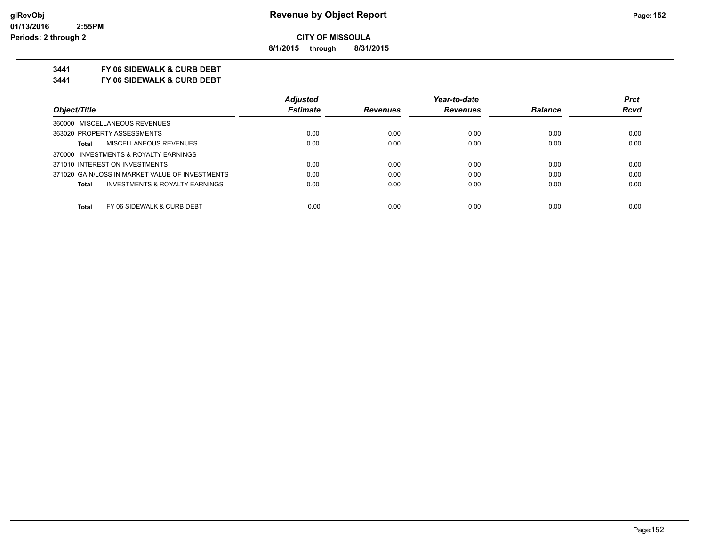**8/1/2015 through 8/31/2015**

## **3441 FY 06 SIDEWALK & CURB DEBT**

**3441 FY 06 SIDEWALK & CURB DEBT**

|                                                 | <b>Adjusted</b> |                 | Year-to-date    |                | <b>Prct</b> |
|-------------------------------------------------|-----------------|-----------------|-----------------|----------------|-------------|
| Object/Title                                    | <b>Estimate</b> | <b>Revenues</b> | <b>Revenues</b> | <b>Balance</b> | <b>Rcvd</b> |
| 360000 MISCELLANEOUS REVENUES                   |                 |                 |                 |                |             |
| 363020 PROPERTY ASSESSMENTS                     | 0.00            | 0.00            | 0.00            | 0.00           | 0.00        |
| MISCELLANEOUS REVENUES<br><b>Total</b>          | 0.00            | 0.00            | 0.00            | 0.00           | 0.00        |
| 370000 INVESTMENTS & ROYALTY EARNINGS           |                 |                 |                 |                |             |
| 371010 INTEREST ON INVESTMENTS                  | 0.00            | 0.00            | 0.00            | 0.00           | 0.00        |
| 371020 GAIN/LOSS IN MARKET VALUE OF INVESTMENTS | 0.00            | 0.00            | 0.00            | 0.00           | 0.00        |
| INVESTMENTS & ROYALTY EARNINGS<br>Total         | 0.00            | 0.00            | 0.00            | 0.00           | 0.00        |
| FY 06 SIDEWALK & CURB DEBT<br><b>Total</b>      | 0.00            | 0.00            | 0.00            | 0.00           | 0.00        |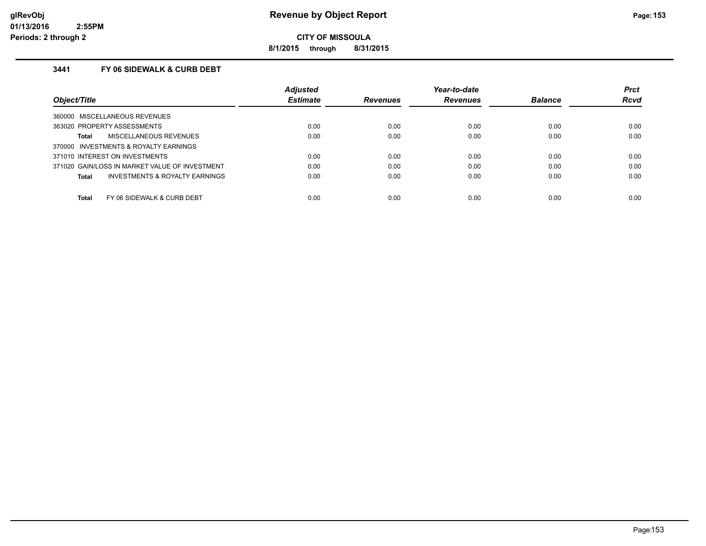**8/1/2015 through 8/31/2015**

## **3441 FY 06 SIDEWALK & CURB DEBT**

|                                                    | <b>Adjusted</b> |                 | Year-to-date    |                | <b>Prct</b> |
|----------------------------------------------------|-----------------|-----------------|-----------------|----------------|-------------|
| Object/Title                                       | <b>Estimate</b> | <b>Revenues</b> | <b>Revenues</b> | <b>Balance</b> | <b>Rcvd</b> |
| MISCELLANEOUS REVENUES<br>360000                   |                 |                 |                 |                |             |
| 363020 PROPERTY ASSESSMENTS                        | 0.00            | 0.00            | 0.00            | 0.00           | 0.00        |
| MISCELLANEOUS REVENUES<br>Total                    | 0.00            | 0.00            | 0.00            | 0.00           | 0.00        |
| 370000 INVESTMENTS & ROYALTY EARNINGS              |                 |                 |                 |                |             |
| 371010 INTEREST ON INVESTMENTS                     | 0.00            | 0.00            | 0.00            | 0.00           | 0.00        |
| 371020 GAIN/LOSS IN MARKET VALUE OF INVESTMENT     | 0.00            | 0.00            | 0.00            | 0.00           | 0.00        |
| <b>INVESTMENTS &amp; ROYALTY EARNINGS</b><br>Total | 0.00            | 0.00            | 0.00            | 0.00           | 0.00        |
| Total<br>FY 06 SIDEWALK & CURB DEBT                | 0.00            | 0.00            | 0.00            | 0.00           | 0.00        |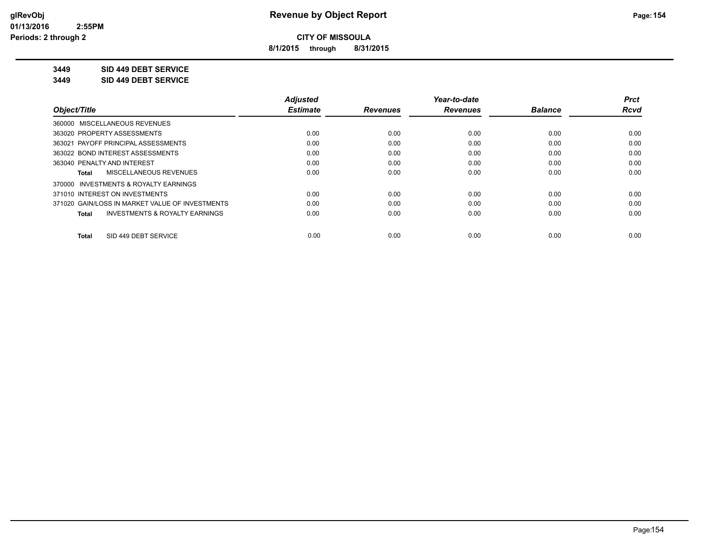**8/1/2015 through 8/31/2015**

### **3449 SID 449 DEBT SERVICE**

**3449 SID 449 DEBT SERVICE**

|                                                    | <b>Adjusted</b> |                 | Year-to-date    |                | <b>Prct</b> |
|----------------------------------------------------|-----------------|-----------------|-----------------|----------------|-------------|
| Object/Title                                       | <b>Estimate</b> | <b>Revenues</b> | <b>Revenues</b> | <b>Balance</b> | Rcvd        |
| 360000 MISCELLANEOUS REVENUES                      |                 |                 |                 |                |             |
| 363020 PROPERTY ASSESSMENTS                        | 0.00            | 0.00            | 0.00            | 0.00           | 0.00        |
| 363021 PAYOFF PRINCIPAL ASSESSMENTS                | 0.00            | 0.00            | 0.00            | 0.00           | 0.00        |
| 363022 BOND INTEREST ASSESSMENTS                   | 0.00            | 0.00            | 0.00            | 0.00           | 0.00        |
| 363040 PENALTY AND INTEREST                        | 0.00            | 0.00            | 0.00            | 0.00           | 0.00        |
| MISCELLANEOUS REVENUES<br>Total                    | 0.00            | 0.00            | 0.00            | 0.00           | 0.00        |
| 370000 INVESTMENTS & ROYALTY EARNINGS              |                 |                 |                 |                |             |
| 371010 INTEREST ON INVESTMENTS                     | 0.00            | 0.00            | 0.00            | 0.00           | 0.00        |
| 371020 GAIN/LOSS IN MARKET VALUE OF INVESTMENTS    | 0.00            | 0.00            | 0.00            | 0.00           | 0.00        |
| <b>INVESTMENTS &amp; ROYALTY EARNINGS</b><br>Total | 0.00            | 0.00            | 0.00            | 0.00           | 0.00        |
| SID 449 DEBT SERVICE<br><b>Total</b>               | 0.00            | 0.00            | 0.00            | 0.00           | 0.00        |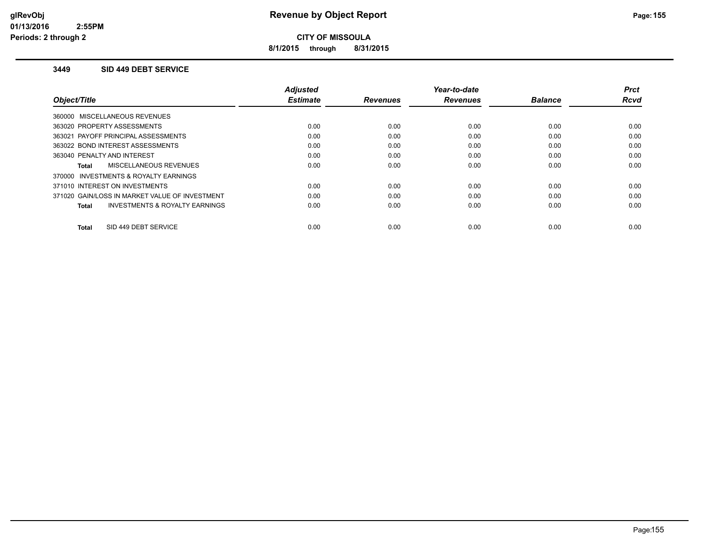**8/1/2015 through 8/31/2015**

### **3449 SID 449 DEBT SERVICE**

|                                                    | <b>Adjusted</b> |                 | Year-to-date    |                | <b>Prct</b> |
|----------------------------------------------------|-----------------|-----------------|-----------------|----------------|-------------|
| Object/Title                                       | <b>Estimate</b> | <b>Revenues</b> | <b>Revenues</b> | <b>Balance</b> | <b>Rcvd</b> |
| 360000 MISCELLANEOUS REVENUES                      |                 |                 |                 |                |             |
| 363020 PROPERTY ASSESSMENTS                        | 0.00            | 0.00            | 0.00            | 0.00           | 0.00        |
| 363021 PAYOFF PRINCIPAL ASSESSMENTS                | 0.00            | 0.00            | 0.00            | 0.00           | 0.00        |
| 363022 BOND INTEREST ASSESSMENTS                   | 0.00            | 0.00            | 0.00            | 0.00           | 0.00        |
| 363040 PENALTY AND INTEREST                        | 0.00            | 0.00            | 0.00            | 0.00           | 0.00        |
| MISCELLANEOUS REVENUES<br>Total                    | 0.00            | 0.00            | 0.00            | 0.00           | 0.00        |
| 370000 INVESTMENTS & ROYALTY EARNINGS              |                 |                 |                 |                |             |
| 371010 INTEREST ON INVESTMENTS                     | 0.00            | 0.00            | 0.00            | 0.00           | 0.00        |
| 371020 GAIN/LOSS IN MARKET VALUE OF INVESTMENT     | 0.00            | 0.00            | 0.00            | 0.00           | 0.00        |
| <b>INVESTMENTS &amp; ROYALTY EARNINGS</b><br>Total | 0.00            | 0.00            | 0.00            | 0.00           | 0.00        |
|                                                    |                 |                 |                 |                |             |
| SID 449 DEBT SERVICE<br>Total                      | 0.00            | 0.00            | 0.00            | 0.00           | 0.00        |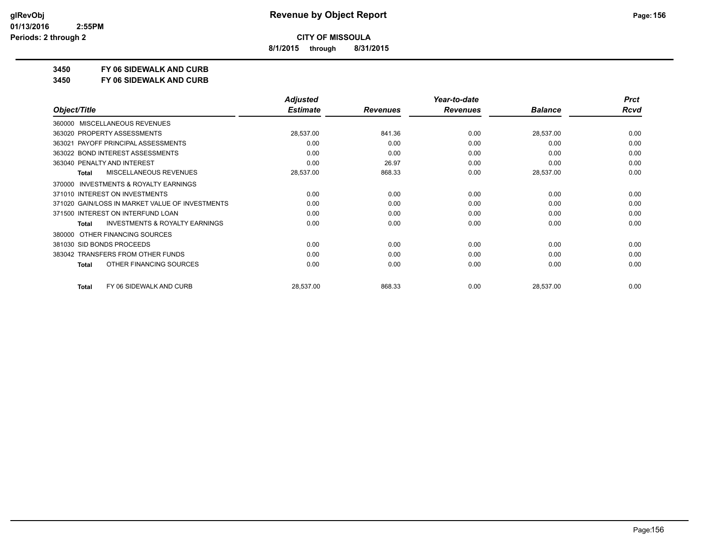**8/1/2015 through 8/31/2015**

## **3450 FY 06 SIDEWALK AND CURB**

**3450 FY 06 SIDEWALK AND CURB**

|                                                           | <b>Adjusted</b> |                 | Year-to-date    |                | <b>Prct</b> |
|-----------------------------------------------------------|-----------------|-----------------|-----------------|----------------|-------------|
| Object/Title                                              | <b>Estimate</b> | <b>Revenues</b> | <b>Revenues</b> | <b>Balance</b> | <b>Rcvd</b> |
| MISCELLANEOUS REVENUES<br>360000                          |                 |                 |                 |                |             |
| 363020 PROPERTY ASSESSMENTS                               | 28,537.00       | 841.36          | 0.00            | 28,537.00      | 0.00        |
| 363021 PAYOFF PRINCIPAL ASSESSMENTS                       | 0.00            | 0.00            | 0.00            | 0.00           | 0.00        |
| 363022 BOND INTEREST ASSESSMENTS                          | 0.00            | 0.00            | 0.00            | 0.00           | 0.00        |
| 363040 PENALTY AND INTEREST                               | 0.00            | 26.97           | 0.00            | 0.00           | 0.00        |
| MISCELLANEOUS REVENUES<br><b>Total</b>                    | 28,537.00       | 868.33          | 0.00            | 28,537.00      | 0.00        |
| <b>INVESTMENTS &amp; ROYALTY EARNINGS</b><br>370000       |                 |                 |                 |                |             |
| 371010 INTEREST ON INVESTMENTS                            | 0.00            | 0.00            | 0.00            | 0.00           | 0.00        |
| 371020 GAIN/LOSS IN MARKET VALUE OF INVESTMENTS           | 0.00            | 0.00            | 0.00            | 0.00           | 0.00        |
| 371500 INTEREST ON INTERFUND LOAN                         | 0.00            | 0.00            | 0.00            | 0.00           | 0.00        |
| <b>INVESTMENTS &amp; ROYALTY EARNINGS</b><br><b>Total</b> | 0.00            | 0.00            | 0.00            | 0.00           | 0.00        |
| OTHER FINANCING SOURCES<br>380000                         |                 |                 |                 |                |             |
| 381030 SID BONDS PROCEEDS                                 | 0.00            | 0.00            | 0.00            | 0.00           | 0.00        |
| 383042 TRANSFERS FROM OTHER FUNDS                         | 0.00            | 0.00            | 0.00            | 0.00           | 0.00        |
| OTHER FINANCING SOURCES<br><b>Total</b>                   | 0.00            | 0.00            | 0.00            | 0.00           | 0.00        |
| FY 06 SIDEWALK AND CURB<br><b>Total</b>                   | 28,537.00       | 868.33          | 0.00            | 28,537.00      | 0.00        |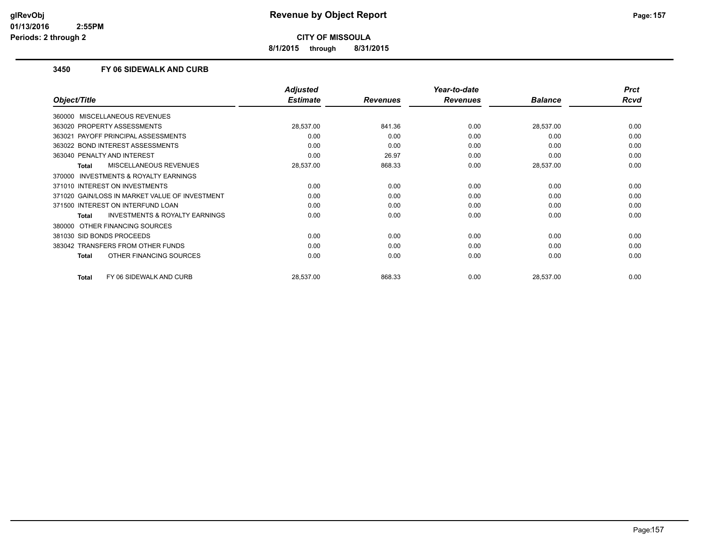**8/1/2015 through 8/31/2015**

### **3450 FY 06 SIDEWALK AND CURB**

|                                                     | <b>Adjusted</b> |                 | Year-to-date    |                | <b>Prct</b> |
|-----------------------------------------------------|-----------------|-----------------|-----------------|----------------|-------------|
| Object/Title                                        | <b>Estimate</b> | <b>Revenues</b> | <b>Revenues</b> | <b>Balance</b> | <b>Rcvd</b> |
| 360000 MISCELLANEOUS REVENUES                       |                 |                 |                 |                |             |
| 363020 PROPERTY ASSESSMENTS                         | 28,537.00       | 841.36          | 0.00            | 28,537.00      | 0.00        |
| 363021 PAYOFF PRINCIPAL ASSESSMENTS                 | 0.00            | 0.00            | 0.00            | 0.00           | 0.00        |
| 363022 BOND INTEREST ASSESSMENTS                    | 0.00            | 0.00            | 0.00            | 0.00           | 0.00        |
| 363040 PENALTY AND INTEREST                         | 0.00            | 26.97           | 0.00            | 0.00           | 0.00        |
| MISCELLANEOUS REVENUES<br><b>Total</b>              | 28,537.00       | 868.33          | 0.00            | 28,537.00      | 0.00        |
| <b>INVESTMENTS &amp; ROYALTY EARNINGS</b><br>370000 |                 |                 |                 |                |             |
| 371010 INTEREST ON INVESTMENTS                      | 0.00            | 0.00            | 0.00            | 0.00           | 0.00        |
| 371020 GAIN/LOSS IN MARKET VALUE OF INVESTMENT      | 0.00            | 0.00            | 0.00            | 0.00           | 0.00        |
| 371500 INTEREST ON INTERFUND LOAN                   | 0.00            | 0.00            | 0.00            | 0.00           | 0.00        |
| <b>INVESTMENTS &amp; ROYALTY EARNINGS</b><br>Total  | 0.00            | 0.00            | 0.00            | 0.00           | 0.00        |
| 380000 OTHER FINANCING SOURCES                      |                 |                 |                 |                |             |
| 381030 SID BONDS PROCEEDS                           | 0.00            | 0.00            | 0.00            | 0.00           | 0.00        |
| 383042 TRANSFERS FROM OTHER FUNDS                   | 0.00            | 0.00            | 0.00            | 0.00           | 0.00        |
| OTHER FINANCING SOURCES<br><b>Total</b>             | 0.00            | 0.00            | 0.00            | 0.00           | 0.00        |
| FY 06 SIDEWALK AND CURB<br><b>Total</b>             | 28,537.00       | 868.33          | 0.00            | 28,537.00      | 0.00        |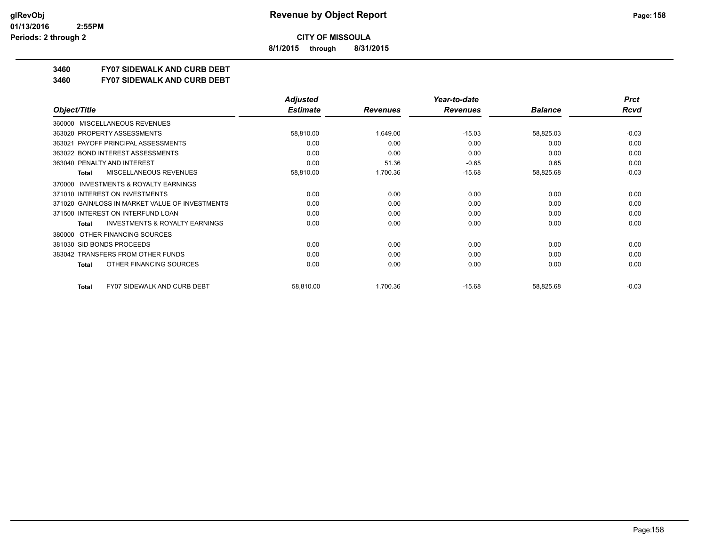**8/1/2015 through 8/31/2015**

## **3460 FY07 SIDEWALK AND CURB DEBT**

#### **3460 FY07 SIDEWALK AND CURB DEBT**

|                                                           | <b>Adjusted</b> |                 | Year-to-date    |                | <b>Prct</b> |
|-----------------------------------------------------------|-----------------|-----------------|-----------------|----------------|-------------|
| Object/Title                                              | <b>Estimate</b> | <b>Revenues</b> | <b>Revenues</b> | <b>Balance</b> | <b>Rcvd</b> |
| <b>MISCELLANEOUS REVENUES</b><br>360000                   |                 |                 |                 |                |             |
| 363020 PROPERTY ASSESSMENTS                               | 58,810.00       | 1,649.00        | $-15.03$        | 58,825.03      | $-0.03$     |
| 363021 PAYOFF PRINCIPAL ASSESSMENTS                       | 0.00            | 0.00            | 0.00            | 0.00           | 0.00        |
| 363022 BOND INTEREST ASSESSMENTS                          | 0.00            | 0.00            | 0.00            | 0.00           | 0.00        |
| 363040 PENALTY AND INTEREST                               | 0.00            | 51.36           | $-0.65$         | 0.65           | 0.00        |
| <b>MISCELLANEOUS REVENUES</b><br><b>Total</b>             | 58,810.00       | 1,700.36        | $-15.68$        | 58,825.68      | $-0.03$     |
| <b>INVESTMENTS &amp; ROYALTY EARNINGS</b><br>370000       |                 |                 |                 |                |             |
| 371010 INTEREST ON INVESTMENTS                            | 0.00            | 0.00            | 0.00            | 0.00           | 0.00        |
| 371020 GAIN/LOSS IN MARKET VALUE OF INVESTMENTS           | 0.00            | 0.00            | 0.00            | 0.00           | 0.00        |
| 371500 INTEREST ON INTERFUND LOAN                         | 0.00            | 0.00            | 0.00            | 0.00           | 0.00        |
| <b>INVESTMENTS &amp; ROYALTY EARNINGS</b><br><b>Total</b> | 0.00            | 0.00            | 0.00            | 0.00           | 0.00        |
| OTHER FINANCING SOURCES<br>380000                         |                 |                 |                 |                |             |
| 381030 SID BONDS PROCEEDS                                 | 0.00            | 0.00            | 0.00            | 0.00           | 0.00        |
| 383042 TRANSFERS FROM OTHER FUNDS                         | 0.00            | 0.00            | 0.00            | 0.00           | 0.00        |
| OTHER FINANCING SOURCES<br><b>Total</b>                   | 0.00            | 0.00            | 0.00            | 0.00           | 0.00        |
| <b>FY07 SIDEWALK AND CURB DEBT</b><br><b>Total</b>        | 58,810.00       | 1,700.36        | $-15.68$        | 58,825.68      | $-0.03$     |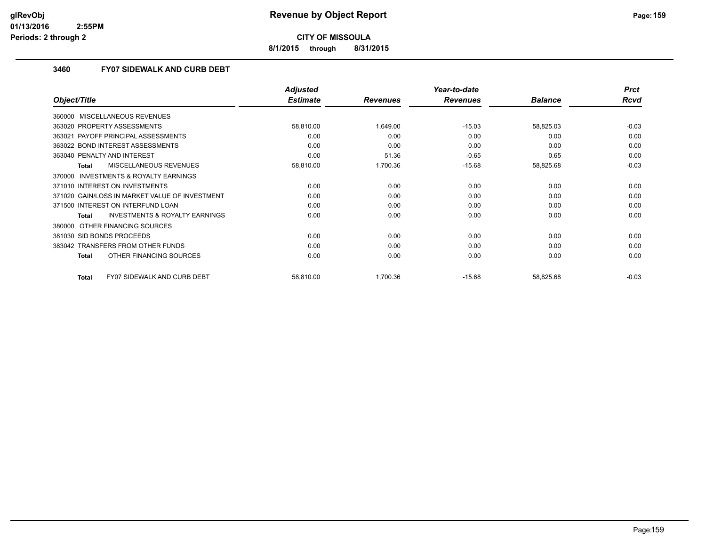**8/1/2015 through 8/31/2015**

### **3460 FY07 SIDEWALK AND CURB DEBT**

|                                                    | <b>Adjusted</b> |                 | Year-to-date    |                | <b>Prct</b> |
|----------------------------------------------------|-----------------|-----------------|-----------------|----------------|-------------|
| Object/Title                                       | <b>Estimate</b> | <b>Revenues</b> | <b>Revenues</b> | <b>Balance</b> | <b>Rcvd</b> |
| 360000 MISCELLANEOUS REVENUES                      |                 |                 |                 |                |             |
| 363020 PROPERTY ASSESSMENTS                        | 58,810.00       | 1,649.00        | $-15.03$        | 58,825.03      | $-0.03$     |
| PAYOFF PRINCIPAL ASSESSMENTS<br>363021             | 0.00            | 0.00            | 0.00            | 0.00           | 0.00        |
| 363022 BOND INTEREST ASSESSMENTS                   | 0.00            | 0.00            | 0.00            | 0.00           | 0.00        |
| 363040 PENALTY AND INTEREST                        | 0.00            | 51.36           | $-0.65$         | 0.65           | 0.00        |
| MISCELLANEOUS REVENUES<br>Total                    | 58,810.00       | 1,700.36        | $-15.68$        | 58,825.68      | $-0.03$     |
| 370000 INVESTMENTS & ROYALTY EARNINGS              |                 |                 |                 |                |             |
| 371010 INTEREST ON INVESTMENTS                     | 0.00            | 0.00            | 0.00            | 0.00           | 0.00        |
| 371020 GAIN/LOSS IN MARKET VALUE OF INVESTMENT     | 0.00            | 0.00            | 0.00            | 0.00           | 0.00        |
| 371500 INTEREST ON INTERFUND LOAN                  | 0.00            | 0.00            | 0.00            | 0.00           | 0.00        |
| <b>INVESTMENTS &amp; ROYALTY EARNINGS</b><br>Total | 0.00            | 0.00            | 0.00            | 0.00           | 0.00        |
| OTHER FINANCING SOURCES<br>380000                  |                 |                 |                 |                |             |
| 381030 SID BONDS PROCEEDS                          | 0.00            | 0.00            | 0.00            | 0.00           | 0.00        |
| 383042 TRANSFERS FROM OTHER FUNDS                  | 0.00            | 0.00            | 0.00            | 0.00           | 0.00        |
| OTHER FINANCING SOURCES<br><b>Total</b>            | 0.00            | 0.00            | 0.00            | 0.00           | 0.00        |
| <b>FY07 SIDEWALK AND CURB DEBT</b><br><b>Total</b> | 58,810.00       | 1,700.36        | $-15.68$        | 58,825.68      | $-0.03$     |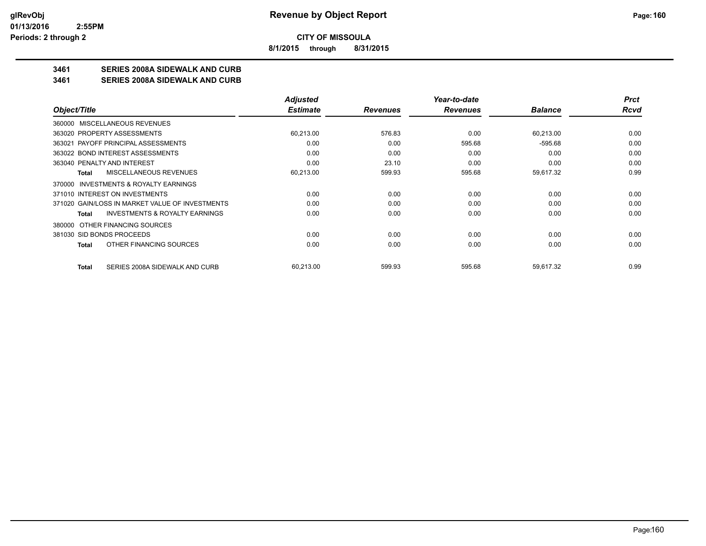**8/1/2015 through 8/31/2015**

## **3461 SERIES 2008A SIDEWALK AND CURB**

**3461 SERIES 2008A SIDEWALK AND CURB**

|                                                           | <b>Adjusted</b> |                 | Year-to-date    |                | <b>Prct</b> |
|-----------------------------------------------------------|-----------------|-----------------|-----------------|----------------|-------------|
| Object/Title                                              | <b>Estimate</b> | <b>Revenues</b> | <b>Revenues</b> | <b>Balance</b> | Rcvd        |
| 360000 MISCELLANEOUS REVENUES                             |                 |                 |                 |                |             |
| 363020 PROPERTY ASSESSMENTS                               | 60,213.00       | 576.83          | 0.00            | 60,213.00      | 0.00        |
| 363021 PAYOFF PRINCIPAL ASSESSMENTS                       | 0.00            | 0.00            | 595.68          | $-595.68$      | 0.00        |
| 363022 BOND INTEREST ASSESSMENTS                          | 0.00            | 0.00            | 0.00            | 0.00           | 0.00        |
| 363040 PENALTY AND INTEREST                               | 0.00            | 23.10           | 0.00            | 0.00           | 0.00        |
| MISCELLANEOUS REVENUES<br><b>Total</b>                    | 60,213.00       | 599.93          | 595.68          | 59,617.32      | 0.99        |
| INVESTMENTS & ROYALTY EARNINGS<br>370000                  |                 |                 |                 |                |             |
| 371010 INTEREST ON INVESTMENTS                            | 0.00            | 0.00            | 0.00            | 0.00           | 0.00        |
| 371020 GAIN/LOSS IN MARKET VALUE OF INVESTMENTS           | 0.00            | 0.00            | 0.00            | 0.00           | 0.00        |
| <b>INVESTMENTS &amp; ROYALTY EARNINGS</b><br><b>Total</b> | 0.00            | 0.00            | 0.00            | 0.00           | 0.00        |
| OTHER FINANCING SOURCES<br>380000                         |                 |                 |                 |                |             |
| 381030 SID BONDS PROCEEDS                                 | 0.00            | 0.00            | 0.00            | 0.00           | 0.00        |
| OTHER FINANCING SOURCES<br><b>Total</b>                   | 0.00            | 0.00            | 0.00            | 0.00           | 0.00        |
| SERIES 2008A SIDEWALK AND CURB<br><b>Total</b>            | 60,213.00       | 599.93          | 595.68          | 59,617.32      | 0.99        |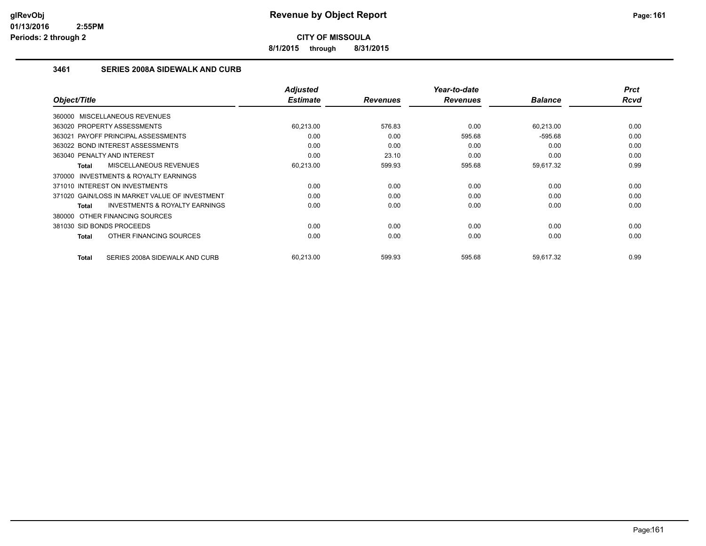**8/1/2015 through 8/31/2015**

### **3461 SERIES 2008A SIDEWALK AND CURB**

| Object/Title                                       | <b>Adjusted</b><br><b>Estimate</b> | <b>Revenues</b> | Year-to-date<br><b>Revenues</b> | <b>Balance</b> | <b>Prct</b><br>Rcvd |
|----------------------------------------------------|------------------------------------|-----------------|---------------------------------|----------------|---------------------|
|                                                    |                                    |                 |                                 |                |                     |
| 360000 MISCELLANEOUS REVENUES                      |                                    |                 |                                 |                |                     |
| 363020 PROPERTY ASSESSMENTS                        | 60.213.00                          | 576.83          | 0.00                            | 60,213.00      | 0.00                |
| 363021 PAYOFF PRINCIPAL ASSESSMENTS                | 0.00                               | 0.00            | 595.68                          | $-595.68$      | 0.00                |
| 363022 BOND INTEREST ASSESSMENTS                   | 0.00                               | 0.00            | 0.00                            | 0.00           | 0.00                |
| 363040 PENALTY AND INTEREST                        | 0.00                               | 23.10           | 0.00                            | 0.00           | 0.00                |
| MISCELLANEOUS REVENUES<br>Total                    | 60,213.00                          | 599.93          | 595.68                          | 59,617.32      | 0.99                |
| 370000 INVESTMENTS & ROYALTY EARNINGS              |                                    |                 |                                 |                |                     |
| 371010 INTEREST ON INVESTMENTS                     | 0.00                               | 0.00            | 0.00                            | 0.00           | 0.00                |
| 371020 GAIN/LOSS IN MARKET VALUE OF INVESTMENT     | 0.00                               | 0.00            | 0.00                            | 0.00           | 0.00                |
| <b>INVESTMENTS &amp; ROYALTY EARNINGS</b><br>Total | 0.00                               | 0.00            | 0.00                            | 0.00           | 0.00                |
| 380000 OTHER FINANCING SOURCES                     |                                    |                 |                                 |                |                     |
| 381030 SID BONDS PROCEEDS                          | 0.00                               | 0.00            | 0.00                            | 0.00           | 0.00                |
| OTHER FINANCING SOURCES<br>Total                   | 0.00                               | 0.00            | 0.00                            | 0.00           | 0.00                |
|                                                    |                                    |                 |                                 |                |                     |
| SERIES 2008A SIDEWALK AND CURB<br>Total            | 60,213.00                          | 599.93          | 595.68                          | 59,617.32      | 0.99                |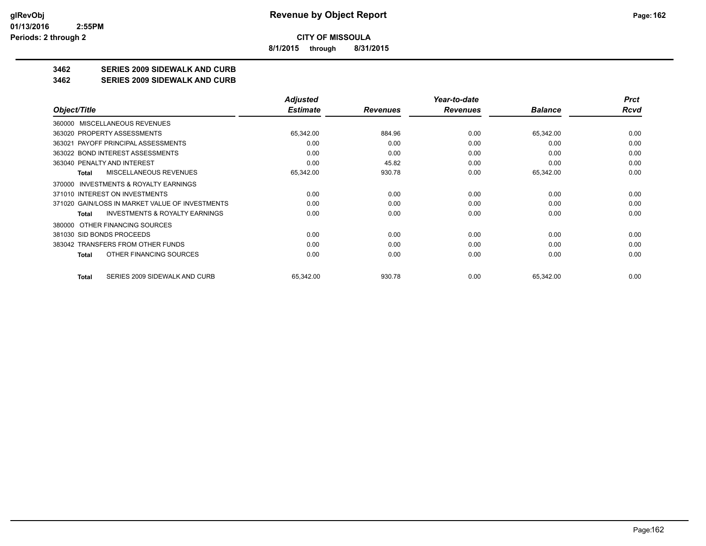**8/1/2015 through 8/31/2015**

## **3462 SERIES 2009 SIDEWALK AND CURB**

#### **3462 SERIES 2009 SIDEWALK AND CURB**

|                                                     | <b>Adjusted</b> |                 | Year-to-date    |                | <b>Prct</b> |
|-----------------------------------------------------|-----------------|-----------------|-----------------|----------------|-------------|
| Object/Title                                        | <b>Estimate</b> | <b>Revenues</b> | <b>Revenues</b> | <b>Balance</b> | Rcvd        |
| MISCELLANEOUS REVENUES<br>360000                    |                 |                 |                 |                |             |
| 363020 PROPERTY ASSESSMENTS                         | 65,342.00       | 884.96          | 0.00            | 65,342.00      | 0.00        |
| 363021 PAYOFF PRINCIPAL ASSESSMENTS                 | 0.00            | 0.00            | 0.00            | 0.00           | 0.00        |
| 363022 BOND INTEREST ASSESSMENTS                    | 0.00            | 0.00            | 0.00            | 0.00           | 0.00        |
| 363040 PENALTY AND INTEREST                         | 0.00            | 45.82           | 0.00            | 0.00           | 0.00        |
| MISCELLANEOUS REVENUES<br>Total                     | 65,342.00       | 930.78          | 0.00            | 65,342.00      | 0.00        |
| <b>INVESTMENTS &amp; ROYALTY EARNINGS</b><br>370000 |                 |                 |                 |                |             |
| 371010 INTEREST ON INVESTMENTS                      | 0.00            | 0.00            | 0.00            | 0.00           | 0.00        |
| 371020 GAIN/LOSS IN MARKET VALUE OF INVESTMENTS     | 0.00            | 0.00            | 0.00            | 0.00           | 0.00        |
| <b>INVESTMENTS &amp; ROYALTY EARNINGS</b><br>Total  | 0.00            | 0.00            | 0.00            | 0.00           | 0.00        |
| OTHER FINANCING SOURCES<br>380000                   |                 |                 |                 |                |             |
| 381030 SID BONDS PROCEEDS                           | 0.00            | 0.00            | 0.00            | 0.00           | 0.00        |
| 383042 TRANSFERS FROM OTHER FUNDS                   | 0.00            | 0.00            | 0.00            | 0.00           | 0.00        |
| OTHER FINANCING SOURCES<br>Total                    | 0.00            | 0.00            | 0.00            | 0.00           | 0.00        |
| SERIES 2009 SIDEWALK AND CURB<br>Total              | 65,342.00       | 930.78          | 0.00            | 65,342.00      | 0.00        |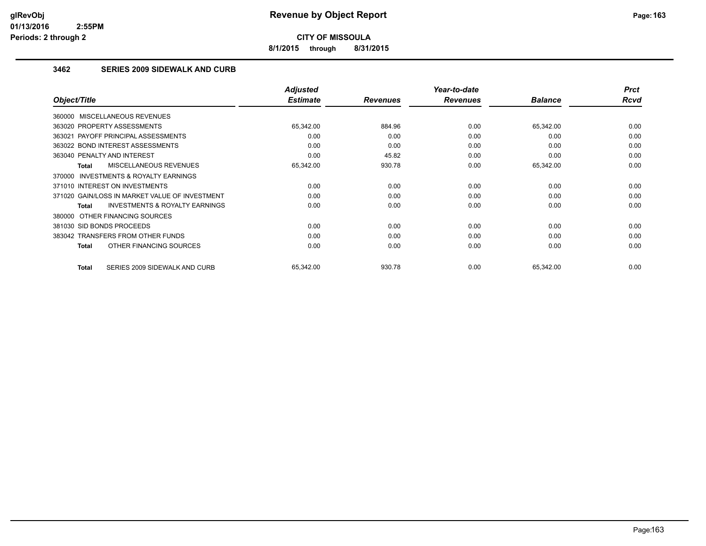**8/1/2015 through 8/31/2015**

### **3462 SERIES 2009 SIDEWALK AND CURB**

|                                                     | <b>Adjusted</b> |                 | Year-to-date    |                | <b>Prct</b> |
|-----------------------------------------------------|-----------------|-----------------|-----------------|----------------|-------------|
| Object/Title                                        | <b>Estimate</b> | <b>Revenues</b> | <b>Revenues</b> | <b>Balance</b> | Rcvd        |
| 360000 MISCELLANEOUS REVENUES                       |                 |                 |                 |                |             |
| 363020 PROPERTY ASSESSMENTS                         | 65,342.00       | 884.96          | 0.00            | 65,342.00      | 0.00        |
| 363021 PAYOFF PRINCIPAL ASSESSMENTS                 | 0.00            | 0.00            | 0.00            | 0.00           | 0.00        |
| 363022 BOND INTEREST ASSESSMENTS                    | 0.00            | 0.00            | 0.00            | 0.00           | 0.00        |
| 363040 PENALTY AND INTEREST                         | 0.00            | 45.82           | 0.00            | 0.00           | 0.00        |
| <b>MISCELLANEOUS REVENUES</b><br>Total              | 65,342.00       | 930.78          | 0.00            | 65,342.00      | 0.00        |
| <b>INVESTMENTS &amp; ROYALTY EARNINGS</b><br>370000 |                 |                 |                 |                |             |
| 371010 INTEREST ON INVESTMENTS                      | 0.00            | 0.00            | 0.00            | 0.00           | 0.00        |
| 371020 GAIN/LOSS IN MARKET VALUE OF INVESTMENT      | 0.00            | 0.00            | 0.00            | 0.00           | 0.00        |
| <b>INVESTMENTS &amp; ROYALTY EARNINGS</b><br>Total  | 0.00            | 0.00            | 0.00            | 0.00           | 0.00        |
| OTHER FINANCING SOURCES<br>380000                   |                 |                 |                 |                |             |
| 381030 SID BONDS PROCEEDS                           | 0.00            | 0.00            | 0.00            | 0.00           | 0.00        |
| 383042 TRANSFERS FROM OTHER FUNDS                   | 0.00            | 0.00            | 0.00            | 0.00           | 0.00        |
| OTHER FINANCING SOURCES<br>Total                    | 0.00            | 0.00            | 0.00            | 0.00           | 0.00        |
|                                                     |                 |                 |                 |                |             |
| SERIES 2009 SIDEWALK AND CURB<br>Total              | 65,342.00       | 930.78          | 0.00            | 65,342.00      | 0.00        |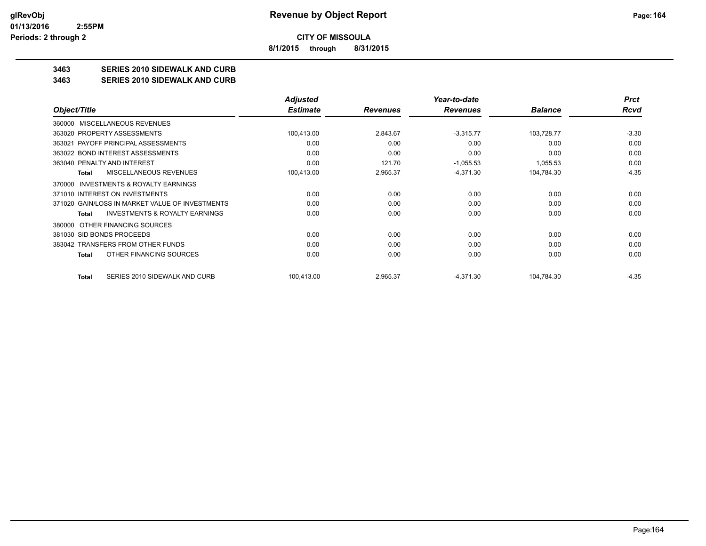**8/1/2015 through 8/31/2015**

## **3463 SERIES 2010 SIDEWALK AND CURB**

**3463 SERIES 2010 SIDEWALK AND CURB**

|                                                     | <b>Adjusted</b> |                 | Year-to-date    |                | <b>Prct</b> |
|-----------------------------------------------------|-----------------|-----------------|-----------------|----------------|-------------|
| Object/Title                                        | <b>Estimate</b> | <b>Revenues</b> | <b>Revenues</b> | <b>Balance</b> | Rcvd        |
| MISCELLANEOUS REVENUES<br>360000                    |                 |                 |                 |                |             |
| 363020 PROPERTY ASSESSMENTS                         | 100,413.00      | 2,843.67        | $-3,315.77$     | 103,728.77     | $-3.30$     |
| 363021 PAYOFF PRINCIPAL ASSESSMENTS                 | 0.00            | 0.00            | 0.00            | 0.00           | 0.00        |
| 363022 BOND INTEREST ASSESSMENTS                    | 0.00            | 0.00            | 0.00            | 0.00           | 0.00        |
| 363040 PENALTY AND INTEREST                         | 0.00            | 121.70          | $-1,055.53$     | 1,055.53       | 0.00        |
| <b>MISCELLANEOUS REVENUES</b><br>Total              | 100,413.00      | 2,965.37        | $-4,371.30$     | 104,784.30     | $-4.35$     |
| <b>INVESTMENTS &amp; ROYALTY EARNINGS</b><br>370000 |                 |                 |                 |                |             |
| 371010 INTEREST ON INVESTMENTS                      | 0.00            | 0.00            | 0.00            | 0.00           | 0.00        |
| 371020 GAIN/LOSS IN MARKET VALUE OF INVESTMENTS     | 0.00            | 0.00            | 0.00            | 0.00           | 0.00        |
| <b>INVESTMENTS &amp; ROYALTY EARNINGS</b><br>Total  | 0.00            | 0.00            | 0.00            | 0.00           | 0.00        |
| 380000 OTHER FINANCING SOURCES                      |                 |                 |                 |                |             |
| 381030 SID BONDS PROCEEDS                           | 0.00            | 0.00            | 0.00            | 0.00           | 0.00        |
| 383042 TRANSFERS FROM OTHER FUNDS                   | 0.00            | 0.00            | 0.00            | 0.00           | 0.00        |
| OTHER FINANCING SOURCES<br>Total                    | 0.00            | 0.00            | 0.00            | 0.00           | 0.00        |
| SERIES 2010 SIDEWALK AND CURB<br>Total              | 100,413.00      | 2,965.37        | $-4,371.30$     | 104,784.30     | $-4.35$     |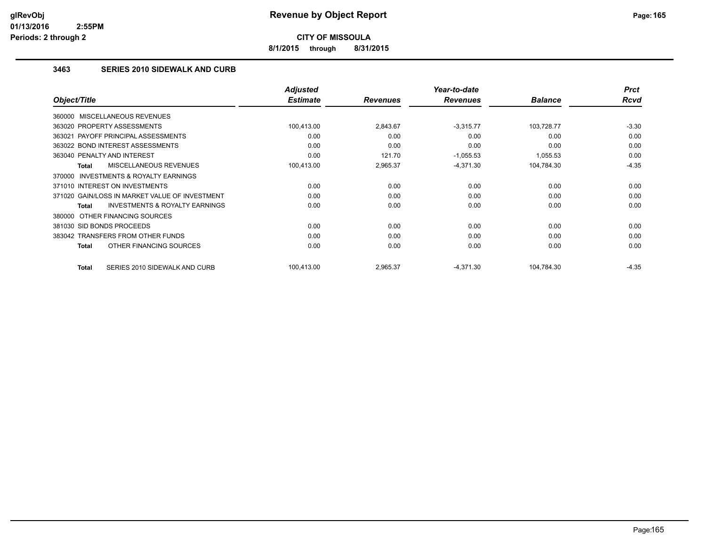**8/1/2015 through 8/31/2015**

### **3463 SERIES 2010 SIDEWALK AND CURB**

|                                                           | <b>Adjusted</b> |                 | Year-to-date    |                | <b>Prct</b> |
|-----------------------------------------------------------|-----------------|-----------------|-----------------|----------------|-------------|
| Object/Title                                              | <b>Estimate</b> | <b>Revenues</b> | <b>Revenues</b> | <b>Balance</b> | Rcvd        |
| 360000 MISCELLANEOUS REVENUES                             |                 |                 |                 |                |             |
| 363020 PROPERTY ASSESSMENTS                               | 100,413.00      | 2,843.67        | $-3,315.77$     | 103,728.77     | $-3.30$     |
| 363021 PAYOFF PRINCIPAL ASSESSMENTS                       | 0.00            | 0.00            | 0.00            | 0.00           | 0.00        |
| 363022 BOND INTEREST ASSESSMENTS                          | 0.00            | 0.00            | 0.00            | 0.00           | 0.00        |
| 363040 PENALTY AND INTEREST                               | 0.00            | 121.70          | $-1,055.53$     | 1,055.53       | 0.00        |
| MISCELLANEOUS REVENUES<br><b>Total</b>                    | 100,413.00      | 2,965.37        | $-4,371.30$     | 104,784.30     | $-4.35$     |
| <b>INVESTMENTS &amp; ROYALTY EARNINGS</b><br>370000       |                 |                 |                 |                |             |
| 371010 INTEREST ON INVESTMENTS                            | 0.00            | 0.00            | 0.00            | 0.00           | 0.00        |
| 371020 GAIN/LOSS IN MARKET VALUE OF INVESTMENT            | 0.00            | 0.00            | 0.00            | 0.00           | 0.00        |
| <b>INVESTMENTS &amp; ROYALTY EARNINGS</b><br><b>Total</b> | 0.00            | 0.00            | 0.00            | 0.00           | 0.00        |
| 380000 OTHER FINANCING SOURCES                            |                 |                 |                 |                |             |
| 381030 SID BONDS PROCEEDS                                 | 0.00            | 0.00            | 0.00            | 0.00           | 0.00        |
| 383042 TRANSFERS FROM OTHER FUNDS                         | 0.00            | 0.00            | 0.00            | 0.00           | 0.00        |
| OTHER FINANCING SOURCES<br><b>Total</b>                   | 0.00            | 0.00            | 0.00            | 0.00           | 0.00        |
| SERIES 2010 SIDEWALK AND CURB<br><b>Total</b>             | 100,413.00      | 2,965.37        | $-4,371.30$     | 104,784.30     | $-4.35$     |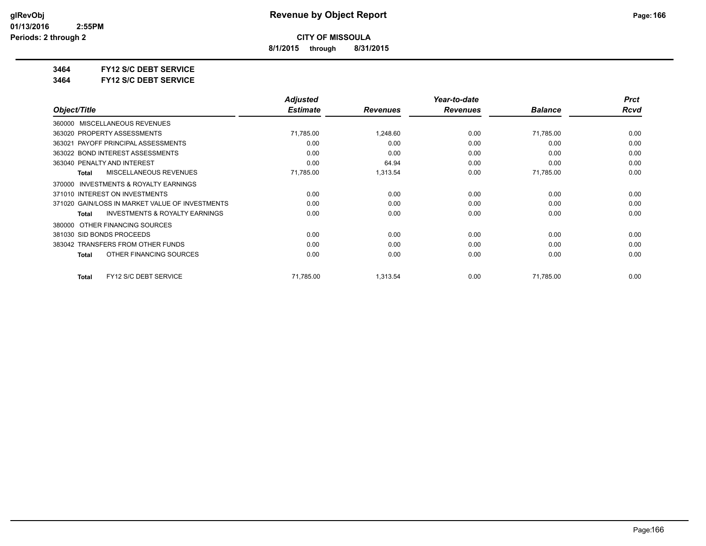**8/1/2015 through 8/31/2015**

**3464 FY12 S/C DEBT SERVICE**

**3464 FY12 S/C DEBT SERVICE**

|                                                    | <b>Adjusted</b> |                 | Year-to-date    |                | <b>Prct</b> |
|----------------------------------------------------|-----------------|-----------------|-----------------|----------------|-------------|
| Object/Title                                       | <b>Estimate</b> | <b>Revenues</b> | <b>Revenues</b> | <b>Balance</b> | Rcvd        |
| MISCELLANEOUS REVENUES<br>360000                   |                 |                 |                 |                |             |
| 363020 PROPERTY ASSESSMENTS                        | 71,785.00       | 1,248.60        | 0.00            | 71,785.00      | 0.00        |
| 363021 PAYOFF PRINCIPAL ASSESSMENTS                | 0.00            | 0.00            | 0.00            | 0.00           | 0.00        |
| 363022 BOND INTEREST ASSESSMENTS                   | 0.00            | 0.00            | 0.00            | 0.00           | 0.00        |
| 363040 PENALTY AND INTEREST                        | 0.00            | 64.94           | 0.00            | 0.00           | 0.00        |
| <b>MISCELLANEOUS REVENUES</b><br><b>Total</b>      | 71,785.00       | 1,313.54        | 0.00            | 71,785.00      | 0.00        |
| INVESTMENTS & ROYALTY EARNINGS<br>370000           |                 |                 |                 |                |             |
| 371010 INTEREST ON INVESTMENTS                     | 0.00            | 0.00            | 0.00            | 0.00           | 0.00        |
| 371020 GAIN/LOSS IN MARKET VALUE OF INVESTMENTS    | 0.00            | 0.00            | 0.00            | 0.00           | 0.00        |
| <b>INVESTMENTS &amp; ROYALTY EARNINGS</b><br>Total | 0.00            | 0.00            | 0.00            | 0.00           | 0.00        |
| OTHER FINANCING SOURCES<br>380000                  |                 |                 |                 |                |             |
| 381030 SID BONDS PROCEEDS                          | 0.00            | 0.00            | 0.00            | 0.00           | 0.00        |
| 383042 TRANSFERS FROM OTHER FUNDS                  | 0.00            | 0.00            | 0.00            | 0.00           | 0.00        |
| OTHER FINANCING SOURCES<br>Total                   | 0.00            | 0.00            | 0.00            | 0.00           | 0.00        |
| FY12 S/C DEBT SERVICE<br><b>Total</b>              | 71,785.00       | 1,313.54        | 0.00            | 71,785.00      | 0.00        |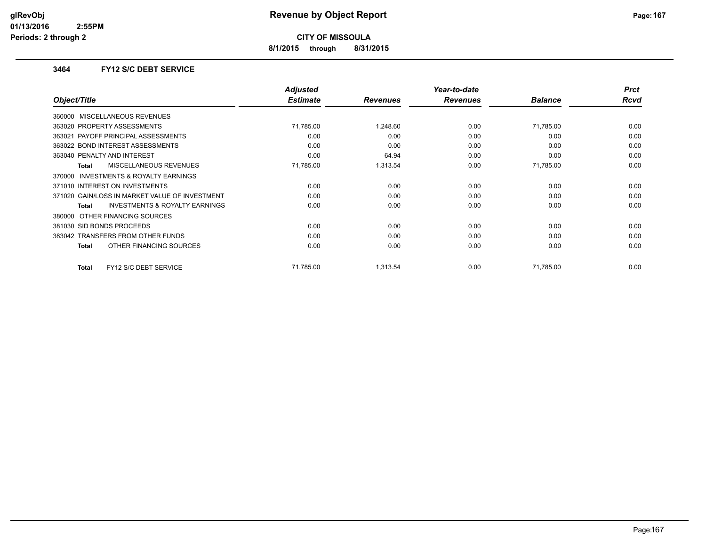**8/1/2015 through 8/31/2015**

### **3464 FY12 S/C DEBT SERVICE**

|                                                     | <b>Adjusted</b> |                 | Year-to-date    |                | <b>Prct</b> |
|-----------------------------------------------------|-----------------|-----------------|-----------------|----------------|-------------|
| Object/Title                                        | <b>Estimate</b> | <b>Revenues</b> | <b>Revenues</b> | <b>Balance</b> | Rcvd        |
| 360000 MISCELLANEOUS REVENUES                       |                 |                 |                 |                |             |
| 363020 PROPERTY ASSESSMENTS                         | 71,785.00       | 1,248.60        | 0.00            | 71,785.00      | 0.00        |
| 363021 PAYOFF PRINCIPAL ASSESSMENTS                 | 0.00            | 0.00            | 0.00            | 0.00           | 0.00        |
| 363022 BOND INTEREST ASSESSMENTS                    | 0.00            | 0.00            | 0.00            | 0.00           | 0.00        |
| 363040 PENALTY AND INTEREST                         | 0.00            | 64.94           | 0.00            | 0.00           | 0.00        |
| <b>MISCELLANEOUS REVENUES</b><br>Total              | 71,785.00       | 1,313.54        | 0.00            | 71,785.00      | 0.00        |
| <b>INVESTMENTS &amp; ROYALTY EARNINGS</b><br>370000 |                 |                 |                 |                |             |
| 371010 INTEREST ON INVESTMENTS                      | 0.00            | 0.00            | 0.00            | 0.00           | 0.00        |
| 371020 GAIN/LOSS IN MARKET VALUE OF INVESTMENT      | 0.00            | 0.00            | 0.00            | 0.00           | 0.00        |
| <b>INVESTMENTS &amp; ROYALTY EARNINGS</b><br>Total  | 0.00            | 0.00            | 0.00            | 0.00           | 0.00        |
| OTHER FINANCING SOURCES<br>380000                   |                 |                 |                 |                |             |
| 381030 SID BONDS PROCEEDS                           | 0.00            | 0.00            | 0.00            | 0.00           | 0.00        |
| 383042 TRANSFERS FROM OTHER FUNDS                   | 0.00            | 0.00            | 0.00            | 0.00           | 0.00        |
| OTHER FINANCING SOURCES<br>Total                    | 0.00            | 0.00            | 0.00            | 0.00           | 0.00        |
|                                                     |                 |                 |                 |                |             |
| FY12 S/C DEBT SERVICE<br>Total                      | 71.785.00       | 1.313.54        | 0.00            | 71,785.00      | 0.00        |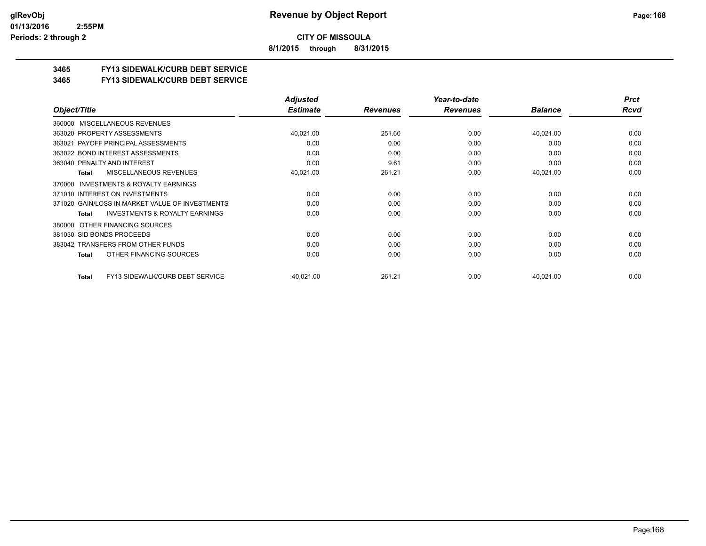**8/1/2015 through 8/31/2015**

## **3465 FY13 SIDEWALK/CURB DEBT SERVICE**

### **3465 FY13 SIDEWALK/CURB DEBT SERVICE**

|                                                           | <b>Adjusted</b> |                 | Year-to-date    |                | <b>Prct</b> |
|-----------------------------------------------------------|-----------------|-----------------|-----------------|----------------|-------------|
| Object/Title                                              | <b>Estimate</b> | <b>Revenues</b> | <b>Revenues</b> | <b>Balance</b> | Rcvd        |
| MISCELLANEOUS REVENUES<br>360000                          |                 |                 |                 |                |             |
| 363020 PROPERTY ASSESSMENTS                               | 40,021.00       | 251.60          | 0.00            | 40,021.00      | 0.00        |
| 363021 PAYOFF PRINCIPAL ASSESSMENTS                       | 0.00            | 0.00            | 0.00            | 0.00           | 0.00        |
| 363022 BOND INTEREST ASSESSMENTS                          | 0.00            | 0.00            | 0.00            | 0.00           | 0.00        |
| 363040 PENALTY AND INTEREST                               | 0.00            | 9.61            | 0.00            | 0.00           | 0.00        |
| MISCELLANEOUS REVENUES<br>Total                           | 40,021.00       | 261.21          | 0.00            | 40,021.00      | 0.00        |
| INVESTMENTS & ROYALTY EARNINGS<br>370000                  |                 |                 |                 |                |             |
| 371010 INTEREST ON INVESTMENTS                            | 0.00            | 0.00            | 0.00            | 0.00           | 0.00        |
| 371020 GAIN/LOSS IN MARKET VALUE OF INVESTMENTS           | 0.00            | 0.00            | 0.00            | 0.00           | 0.00        |
| <b>INVESTMENTS &amp; ROYALTY EARNINGS</b><br><b>Total</b> | 0.00            | 0.00            | 0.00            | 0.00           | 0.00        |
| OTHER FINANCING SOURCES<br>380000                         |                 |                 |                 |                |             |
| 381030 SID BONDS PROCEEDS                                 | 0.00            | 0.00            | 0.00            | 0.00           | 0.00        |
| 383042 TRANSFERS FROM OTHER FUNDS                         | 0.00            | 0.00            | 0.00            | 0.00           | 0.00        |
| OTHER FINANCING SOURCES<br>Total                          | 0.00            | 0.00            | 0.00            | 0.00           | 0.00        |
| FY13 SIDEWALK/CURB DEBT SERVICE<br>Total                  | 40,021.00       | 261.21          | 0.00            | 40,021.00      | 0.00        |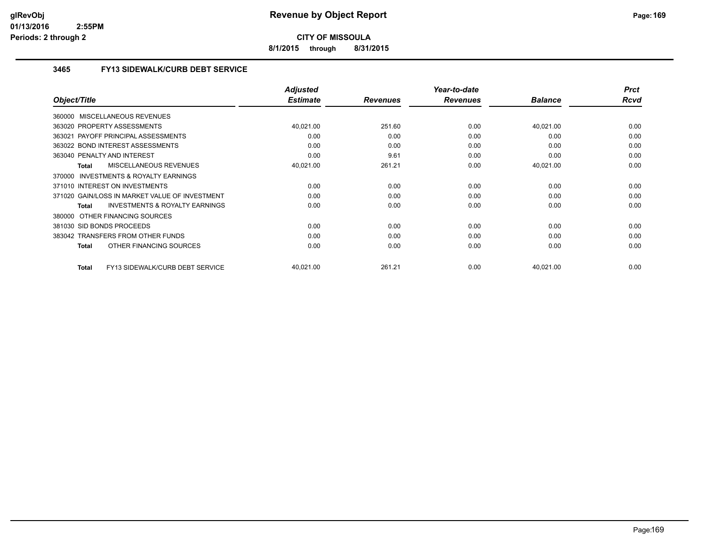**8/1/2015 through 8/31/2015**

## **3465 FY13 SIDEWALK/CURB DEBT SERVICE**

|                                                           | <b>Adjusted</b> |                 | Year-to-date    |                | <b>Prct</b> |
|-----------------------------------------------------------|-----------------|-----------------|-----------------|----------------|-------------|
| Object/Title                                              | <b>Estimate</b> | <b>Revenues</b> | <b>Revenues</b> | <b>Balance</b> | Rcvd        |
| 360000 MISCELLANEOUS REVENUES                             |                 |                 |                 |                |             |
| 363020 PROPERTY ASSESSMENTS                               | 40,021.00       | 251.60          | 0.00            | 40,021.00      | 0.00        |
| 363021 PAYOFF PRINCIPAL ASSESSMENTS                       | 0.00            | 0.00            | 0.00            | 0.00           | 0.00        |
| 363022 BOND INTEREST ASSESSMENTS                          | 0.00            | 0.00            | 0.00            | 0.00           | 0.00        |
| 363040 PENALTY AND INTEREST                               | 0.00            | 9.61            | 0.00            | 0.00           | 0.00        |
| <b>MISCELLANEOUS REVENUES</b><br><b>Total</b>             | 40,021.00       | 261.21          | 0.00            | 40,021.00      | 0.00        |
| 370000 INVESTMENTS & ROYALTY EARNINGS                     |                 |                 |                 |                |             |
| 371010 INTEREST ON INVESTMENTS                            | 0.00            | 0.00            | 0.00            | 0.00           | 0.00        |
| 371020 GAIN/LOSS IN MARKET VALUE OF INVESTMENT            | 0.00            | 0.00            | 0.00            | 0.00           | 0.00        |
| <b>INVESTMENTS &amp; ROYALTY EARNINGS</b><br><b>Total</b> | 0.00            | 0.00            | 0.00            | 0.00           | 0.00        |
| OTHER FINANCING SOURCES<br>380000                         |                 |                 |                 |                |             |
| 381030 SID BONDS PROCEEDS                                 | 0.00            | 0.00            | 0.00            | 0.00           | 0.00        |
| 383042 TRANSFERS FROM OTHER FUNDS                         | 0.00            | 0.00            | 0.00            | 0.00           | 0.00        |
| OTHER FINANCING SOURCES<br><b>Total</b>                   | 0.00            | 0.00            | 0.00            | 0.00           | 0.00        |
| FY13 SIDEWALK/CURB DEBT SERVICE<br><b>Total</b>           | 40,021.00       | 261.21          | 0.00            | 40,021.00      | 0.00        |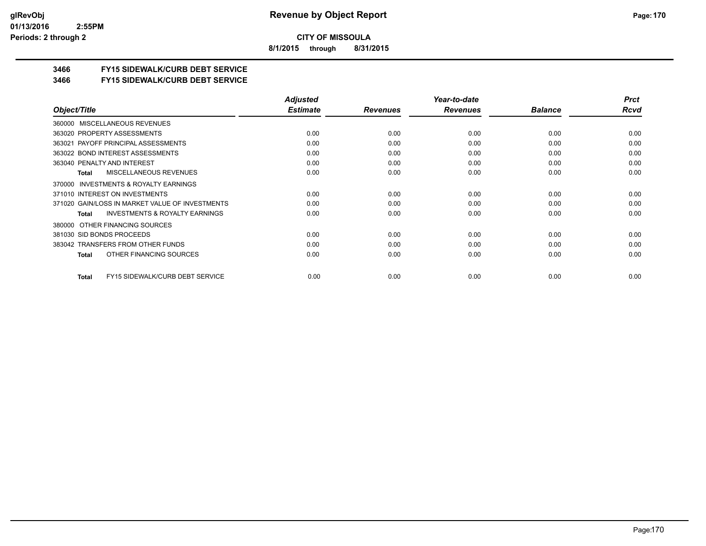**8/1/2015 through 8/31/2015**

## **3466 FY15 SIDEWALK/CURB DEBT SERVICE**

### **3466 FY15 SIDEWALK/CURB DEBT SERVICE**

|                                                           | <b>Adjusted</b> |                 | Year-to-date    |                | <b>Prct</b> |
|-----------------------------------------------------------|-----------------|-----------------|-----------------|----------------|-------------|
| Object/Title                                              | <b>Estimate</b> | <b>Revenues</b> | <b>Revenues</b> | <b>Balance</b> | Rcvd        |
| MISCELLANEOUS REVENUES<br>360000                          |                 |                 |                 |                |             |
| 363020 PROPERTY ASSESSMENTS                               | 0.00            | 0.00            | 0.00            | 0.00           | 0.00        |
| 363021 PAYOFF PRINCIPAL ASSESSMENTS                       | 0.00            | 0.00            | 0.00            | 0.00           | 0.00        |
| 363022 BOND INTEREST ASSESSMENTS                          | 0.00            | 0.00            | 0.00            | 0.00           | 0.00        |
| 363040 PENALTY AND INTEREST                               | 0.00            | 0.00            | 0.00            | 0.00           | 0.00        |
| MISCELLANEOUS REVENUES<br>Total                           | 0.00            | 0.00            | 0.00            | 0.00           | 0.00        |
| <b>INVESTMENTS &amp; ROYALTY EARNINGS</b><br>370000       |                 |                 |                 |                |             |
| 371010 INTEREST ON INVESTMENTS                            | 0.00            | 0.00            | 0.00            | 0.00           | 0.00        |
| 371020 GAIN/LOSS IN MARKET VALUE OF INVESTMENTS           | 0.00            | 0.00            | 0.00            | 0.00           | 0.00        |
| <b>INVESTMENTS &amp; ROYALTY EARNINGS</b><br><b>Total</b> | 0.00            | 0.00            | 0.00            | 0.00           | 0.00        |
| OTHER FINANCING SOURCES<br>380000                         |                 |                 |                 |                |             |
| 381030 SID BONDS PROCEEDS                                 | 0.00            | 0.00            | 0.00            | 0.00           | 0.00        |
| 383042 TRANSFERS FROM OTHER FUNDS                         | 0.00            | 0.00            | 0.00            | 0.00           | 0.00        |
| OTHER FINANCING SOURCES<br>Total                          | 0.00            | 0.00            | 0.00            | 0.00           | 0.00        |
| FY15 SIDEWALK/CURB DEBT SERVICE<br>Total                  | 0.00            | 0.00            | 0.00            | 0.00           | 0.00        |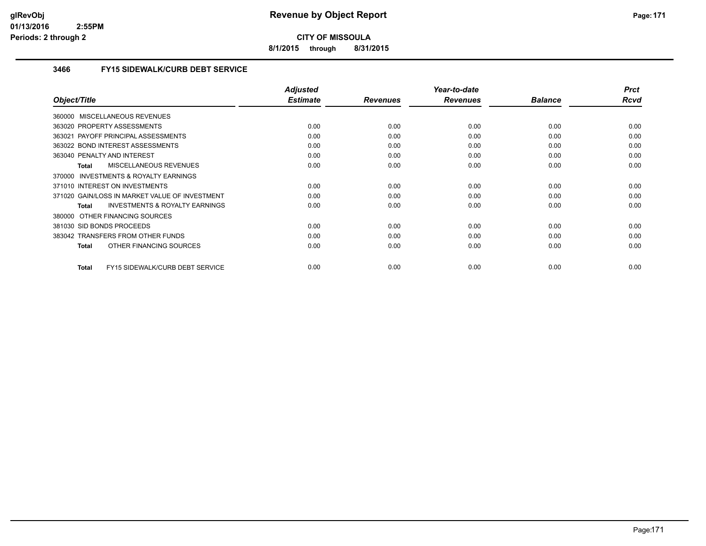**8/1/2015 through 8/31/2015**

### **3466 FY15 SIDEWALK/CURB DEBT SERVICE**

| Object/Title                                       | <b>Adjusted</b><br><b>Estimate</b> | <b>Revenues</b> | Year-to-date<br><b>Revenues</b> | <b>Balance</b> | <b>Prct</b><br>Rcvd |
|----------------------------------------------------|------------------------------------|-----------------|---------------------------------|----------------|---------------------|
|                                                    |                                    |                 |                                 |                |                     |
| 360000 MISCELLANEOUS REVENUES                      |                                    |                 |                                 |                |                     |
| 363020 PROPERTY ASSESSMENTS                        | 0.00                               | 0.00            | 0.00                            | 0.00           | 0.00                |
| 363021 PAYOFF PRINCIPAL ASSESSMENTS                | 0.00                               | 0.00            | 0.00                            | 0.00           | 0.00                |
| 363022 BOND INTEREST ASSESSMENTS                   | 0.00                               | 0.00            | 0.00                            | 0.00           | 0.00                |
| 363040 PENALTY AND INTEREST                        | 0.00                               | 0.00            | 0.00                            | 0.00           | 0.00                |
| <b>MISCELLANEOUS REVENUES</b><br>Total             | 0.00                               | 0.00            | 0.00                            | 0.00           | 0.00                |
| 370000 INVESTMENTS & ROYALTY EARNINGS              |                                    |                 |                                 |                |                     |
| 371010 INTEREST ON INVESTMENTS                     | 0.00                               | 0.00            | 0.00                            | 0.00           | 0.00                |
| 371020 GAIN/LOSS IN MARKET VALUE OF INVESTMENT     | 0.00                               | 0.00            | 0.00                            | 0.00           | 0.00                |
| <b>INVESTMENTS &amp; ROYALTY EARNINGS</b><br>Total | 0.00                               | 0.00            | 0.00                            | 0.00           | 0.00                |
| OTHER FINANCING SOURCES<br>380000                  |                                    |                 |                                 |                |                     |
| 381030 SID BONDS PROCEEDS                          | 0.00                               | 0.00            | 0.00                            | 0.00           | 0.00                |
| 383042 TRANSFERS FROM OTHER FUNDS                  | 0.00                               | 0.00            | 0.00                            | 0.00           | 0.00                |
| OTHER FINANCING SOURCES<br><b>Total</b>            | 0.00                               | 0.00            | 0.00                            | 0.00           | 0.00                |
|                                                    |                                    |                 |                                 |                |                     |
| FY15 SIDEWALK/CURB DEBT SERVICE<br><b>Total</b>    | 0.00                               | 0.00            | 0.00                            | 0.00           | 0.00                |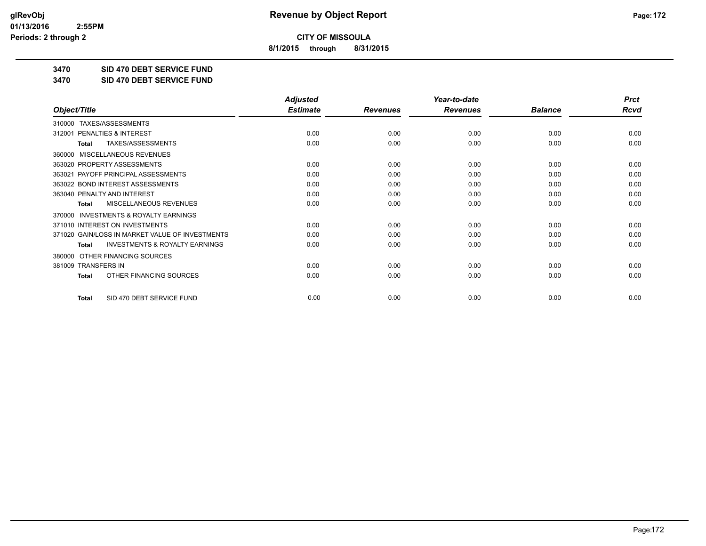**8/1/2015 through 8/31/2015**

**3470 SID 470 DEBT SERVICE FUND**

**3470 SID 470 DEBT SERVICE FUND**

|                                                           | <b>Adjusted</b> |                 | Year-to-date    |                | <b>Prct</b> |
|-----------------------------------------------------------|-----------------|-----------------|-----------------|----------------|-------------|
| Object/Title                                              | <b>Estimate</b> | <b>Revenues</b> | <b>Revenues</b> | <b>Balance</b> | <b>Rcvd</b> |
| TAXES/ASSESSMENTS<br>310000                               |                 |                 |                 |                |             |
| PENALTIES & INTEREST<br>312001                            | 0.00            | 0.00            | 0.00            | 0.00           | 0.00        |
| TAXES/ASSESSMENTS<br><b>Total</b>                         | 0.00            | 0.00            | 0.00            | 0.00           | 0.00        |
| MISCELLANEOUS REVENUES<br>360000                          |                 |                 |                 |                |             |
| 363020 PROPERTY ASSESSMENTS                               | 0.00            | 0.00            | 0.00            | 0.00           | 0.00        |
| 363021 PAYOFF PRINCIPAL ASSESSMENTS                       | 0.00            | 0.00            | 0.00            | 0.00           | 0.00        |
| 363022 BOND INTEREST ASSESSMENTS                          | 0.00            | 0.00            | 0.00            | 0.00           | 0.00        |
| 363040 PENALTY AND INTEREST                               | 0.00            | 0.00            | 0.00            | 0.00           | 0.00        |
| MISCELLANEOUS REVENUES<br><b>Total</b>                    | 0.00            | 0.00            | 0.00            | 0.00           | 0.00        |
| <b>INVESTMENTS &amp; ROYALTY EARNINGS</b><br>370000       |                 |                 |                 |                |             |
| 371010 INTEREST ON INVESTMENTS                            | 0.00            | 0.00            | 0.00            | 0.00           | 0.00        |
| 371020 GAIN/LOSS IN MARKET VALUE OF INVESTMENTS           | 0.00            | 0.00            | 0.00            | 0.00           | 0.00        |
| <b>INVESTMENTS &amp; ROYALTY EARNINGS</b><br><b>Total</b> | 0.00            | 0.00            | 0.00            | 0.00           | 0.00        |
| OTHER FINANCING SOURCES<br>380000                         |                 |                 |                 |                |             |
| 381009 TRANSFERS IN                                       | 0.00            | 0.00            | 0.00            | 0.00           | 0.00        |
| OTHER FINANCING SOURCES<br><b>Total</b>                   | 0.00            | 0.00            | 0.00            | 0.00           | 0.00        |
| SID 470 DEBT SERVICE FUND<br><b>Total</b>                 | 0.00            | 0.00            | 0.00            | 0.00           | 0.00        |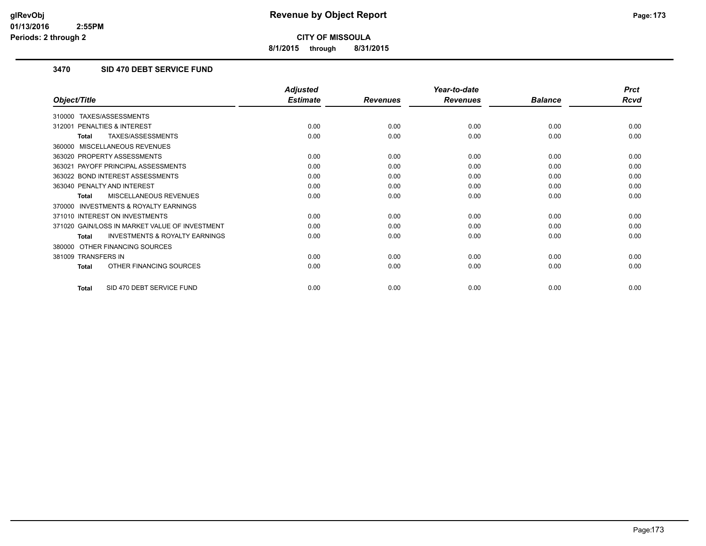**8/1/2015 through 8/31/2015**

## **3470 SID 470 DEBT SERVICE FUND**

|                                                           | <b>Adjusted</b> |                 | Year-to-date    |                | <b>Prct</b> |
|-----------------------------------------------------------|-----------------|-----------------|-----------------|----------------|-------------|
| Object/Title                                              | <b>Estimate</b> | <b>Revenues</b> | <b>Revenues</b> | <b>Balance</b> | <b>Rcvd</b> |
| TAXES/ASSESSMENTS<br>310000                               |                 |                 |                 |                |             |
| PENALTIES & INTEREST<br>312001                            | 0.00            | 0.00            | 0.00            | 0.00           | 0.00        |
| TAXES/ASSESSMENTS<br><b>Total</b>                         | 0.00            | 0.00            | 0.00            | 0.00           | 0.00        |
| MISCELLANEOUS REVENUES<br>360000                          |                 |                 |                 |                |             |
| 363020 PROPERTY ASSESSMENTS                               | 0.00            | 0.00            | 0.00            | 0.00           | 0.00        |
| 363021 PAYOFF PRINCIPAL ASSESSMENTS                       | 0.00            | 0.00            | 0.00            | 0.00           | 0.00        |
| 363022 BOND INTEREST ASSESSMENTS                          | 0.00            | 0.00            | 0.00            | 0.00           | 0.00        |
| 363040 PENALTY AND INTEREST                               | 0.00            | 0.00            | 0.00            | 0.00           | 0.00        |
| <b>MISCELLANEOUS REVENUES</b><br><b>Total</b>             | 0.00            | 0.00            | 0.00            | 0.00           | 0.00        |
| <b>INVESTMENTS &amp; ROYALTY EARNINGS</b><br>370000       |                 |                 |                 |                |             |
| 371010 INTEREST ON INVESTMENTS                            | 0.00            | 0.00            | 0.00            | 0.00           | 0.00        |
| 371020 GAIN/LOSS IN MARKET VALUE OF INVESTMENT            | 0.00            | 0.00            | 0.00            | 0.00           | 0.00        |
| <b>INVESTMENTS &amp; ROYALTY EARNINGS</b><br><b>Total</b> | 0.00            | 0.00            | 0.00            | 0.00           | 0.00        |
| OTHER FINANCING SOURCES<br>380000                         |                 |                 |                 |                |             |
| 381009 TRANSFERS IN                                       | 0.00            | 0.00            | 0.00            | 0.00           | 0.00        |
| OTHER FINANCING SOURCES<br><b>Total</b>                   | 0.00            | 0.00            | 0.00            | 0.00           | 0.00        |
| SID 470 DEBT SERVICE FUND<br><b>Total</b>                 | 0.00            | 0.00            | 0.00            | 0.00           | 0.00        |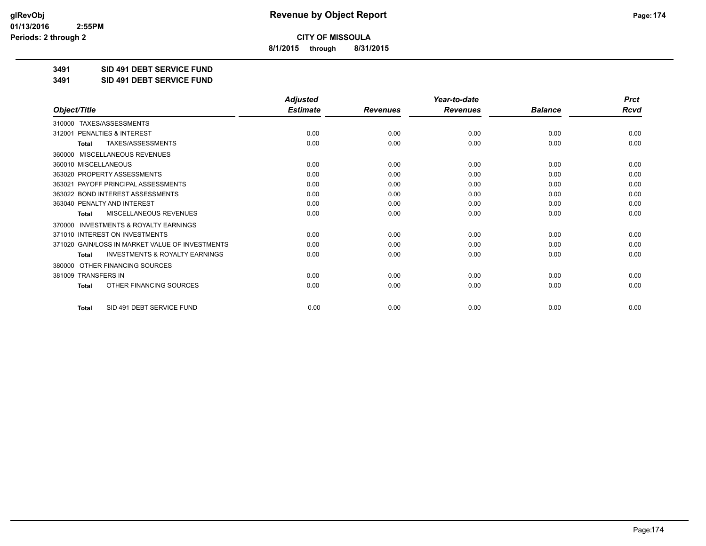**8/1/2015 through 8/31/2015**

**3491 SID 491 DEBT SERVICE FUND**

**3491 SID 491 DEBT SERVICE FUND**

|                                                           | <b>Adjusted</b> |                 | Year-to-date    |                | <b>Prct</b> |
|-----------------------------------------------------------|-----------------|-----------------|-----------------|----------------|-------------|
| Object/Title                                              | <b>Estimate</b> | <b>Revenues</b> | <b>Revenues</b> | <b>Balance</b> | <b>Rcvd</b> |
| TAXES/ASSESSMENTS<br>310000                               |                 |                 |                 |                |             |
| 312001 PENALTIES & INTEREST                               | 0.00            | 0.00            | 0.00            | 0.00           | 0.00        |
| TAXES/ASSESSMENTS<br><b>Total</b>                         | 0.00            | 0.00            | 0.00            | 0.00           | 0.00        |
| MISCELLANEOUS REVENUES<br>360000                          |                 |                 |                 |                |             |
| 360010 MISCELLANEOUS                                      | 0.00            | 0.00            | 0.00            | 0.00           | 0.00        |
| 363020 PROPERTY ASSESSMENTS                               | 0.00            | 0.00            | 0.00            | 0.00           | 0.00        |
| 363021 PAYOFF PRINCIPAL ASSESSMENTS                       | 0.00            | 0.00            | 0.00            | 0.00           | 0.00        |
| 363022 BOND INTEREST ASSESSMENTS                          | 0.00            | 0.00            | 0.00            | 0.00           | 0.00        |
| 363040 PENALTY AND INTEREST                               | 0.00            | 0.00            | 0.00            | 0.00           | 0.00        |
| <b>MISCELLANEOUS REVENUES</b><br><b>Total</b>             | 0.00            | 0.00            | 0.00            | 0.00           | 0.00        |
| <b>INVESTMENTS &amp; ROYALTY EARNINGS</b><br>370000       |                 |                 |                 |                |             |
| 371010 INTEREST ON INVESTMENTS                            | 0.00            | 0.00            | 0.00            | 0.00           | 0.00        |
| 371020 GAIN/LOSS IN MARKET VALUE OF INVESTMENTS           | 0.00            | 0.00            | 0.00            | 0.00           | 0.00        |
| <b>INVESTMENTS &amp; ROYALTY EARNINGS</b><br><b>Total</b> | 0.00            | 0.00            | 0.00            | 0.00           | 0.00        |
| OTHER FINANCING SOURCES<br>380000                         |                 |                 |                 |                |             |
| 381009 TRANSFERS IN                                       | 0.00            | 0.00            | 0.00            | 0.00           | 0.00        |
| OTHER FINANCING SOURCES<br>Total                          | 0.00            | 0.00            | 0.00            | 0.00           | 0.00        |
| SID 491 DEBT SERVICE FUND<br><b>Total</b>                 | 0.00            | 0.00            | 0.00            | 0.00           | 0.00        |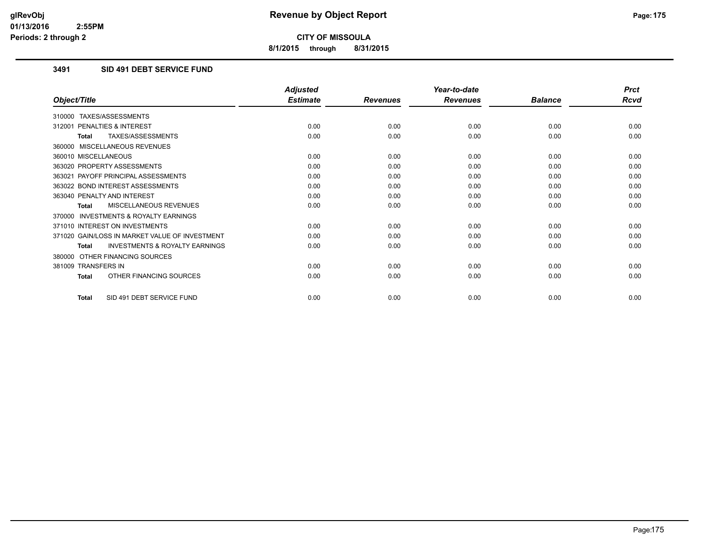**8/1/2015 through 8/31/2015**

## **3491 SID 491 DEBT SERVICE FUND**

|                                                           | <b>Adjusted</b> |                 | Year-to-date    |                | <b>Prct</b> |
|-----------------------------------------------------------|-----------------|-----------------|-----------------|----------------|-------------|
| Object/Title                                              | <b>Estimate</b> | <b>Revenues</b> | <b>Revenues</b> | <b>Balance</b> | <b>Rcvd</b> |
| 310000 TAXES/ASSESSMENTS                                  |                 |                 |                 |                |             |
| 312001 PENALTIES & INTEREST                               | 0.00            | 0.00            | 0.00            | 0.00           | 0.00        |
| TAXES/ASSESSMENTS<br><b>Total</b>                         | 0.00            | 0.00            | 0.00            | 0.00           | 0.00        |
| 360000 MISCELLANEOUS REVENUES                             |                 |                 |                 |                |             |
| 360010 MISCELLANEOUS                                      | 0.00            | 0.00            | 0.00            | 0.00           | 0.00        |
| 363020 PROPERTY ASSESSMENTS                               | 0.00            | 0.00            | 0.00            | 0.00           | 0.00        |
| 363021 PAYOFF PRINCIPAL ASSESSMENTS                       | 0.00            | 0.00            | 0.00            | 0.00           | 0.00        |
| 363022 BOND INTEREST ASSESSMENTS                          | 0.00            | 0.00            | 0.00            | 0.00           | 0.00        |
| 363040 PENALTY AND INTEREST                               | 0.00            | 0.00            | 0.00            | 0.00           | 0.00        |
| MISCELLANEOUS REVENUES<br>Total                           | 0.00            | 0.00            | 0.00            | 0.00           | 0.00        |
| 370000 INVESTMENTS & ROYALTY EARNINGS                     |                 |                 |                 |                |             |
| 371010 INTEREST ON INVESTMENTS                            | 0.00            | 0.00            | 0.00            | 0.00           | 0.00        |
| 371020 GAIN/LOSS IN MARKET VALUE OF INVESTMENT            | 0.00            | 0.00            | 0.00            | 0.00           | 0.00        |
| <b>INVESTMENTS &amp; ROYALTY EARNINGS</b><br><b>Total</b> | 0.00            | 0.00            | 0.00            | 0.00           | 0.00        |
| 380000 OTHER FINANCING SOURCES                            |                 |                 |                 |                |             |
| 381009 TRANSFERS IN                                       | 0.00            | 0.00            | 0.00            | 0.00           | 0.00        |
| OTHER FINANCING SOURCES<br><b>Total</b>                   | 0.00            | 0.00            | 0.00            | 0.00           | 0.00        |
| SID 491 DEBT SERVICE FUND<br><b>Total</b>                 | 0.00            | 0.00            | 0.00            | 0.00           | 0.00        |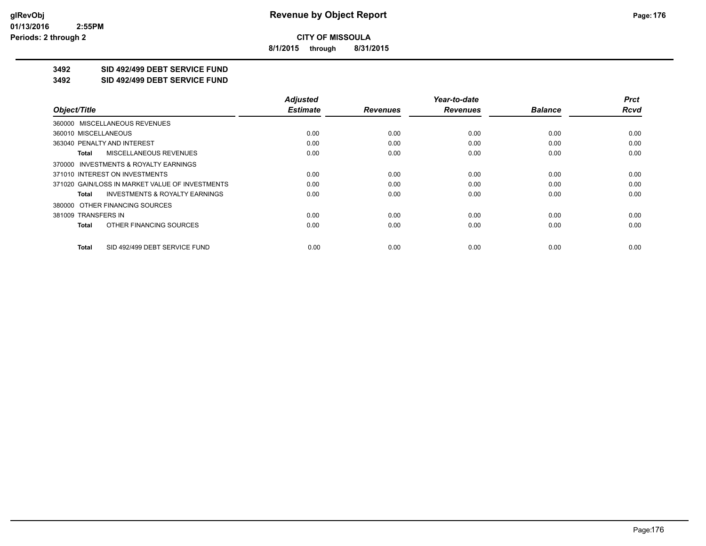**8/1/2015 through 8/31/2015**

## **3492 SID 492/499 DEBT SERVICE FUND**

**3492 SID 492/499 DEBT SERVICE FUND**

|                                                    | <b>Adjusted</b> |                 | Year-to-date    |                | <b>Prct</b> |
|----------------------------------------------------|-----------------|-----------------|-----------------|----------------|-------------|
| Object/Title                                       | <b>Estimate</b> | <b>Revenues</b> | <b>Revenues</b> | <b>Balance</b> | <b>Rcvd</b> |
| 360000 MISCELLANEOUS REVENUES                      |                 |                 |                 |                |             |
| 360010 MISCELLANEOUS                               | 0.00            | 0.00            | 0.00            | 0.00           | 0.00        |
| 363040 PENALTY AND INTEREST                        | 0.00            | 0.00            | 0.00            | 0.00           | 0.00        |
| <b>MISCELLANEOUS REVENUES</b><br>Total             | 0.00            | 0.00            | 0.00            | 0.00           | 0.00        |
| 370000 INVESTMENTS & ROYALTY EARNINGS              |                 |                 |                 |                |             |
| 371010 INTEREST ON INVESTMENTS                     | 0.00            | 0.00            | 0.00            | 0.00           | 0.00        |
| 371020 GAIN/LOSS IN MARKET VALUE OF INVESTMENTS    | 0.00            | 0.00            | 0.00            | 0.00           | 0.00        |
| <b>INVESTMENTS &amp; ROYALTY EARNINGS</b><br>Total | 0.00            | 0.00            | 0.00            | 0.00           | 0.00        |
| 380000 OTHER FINANCING SOURCES                     |                 |                 |                 |                |             |
| 381009 TRANSFERS IN                                | 0.00            | 0.00            | 0.00            | 0.00           | 0.00        |
| OTHER FINANCING SOURCES<br>Total                   | 0.00            | 0.00            | 0.00            | 0.00           | 0.00        |
| SID 492/499 DEBT SERVICE FUND<br>Total             | 0.00            | 0.00            | 0.00            | 0.00           | 0.00        |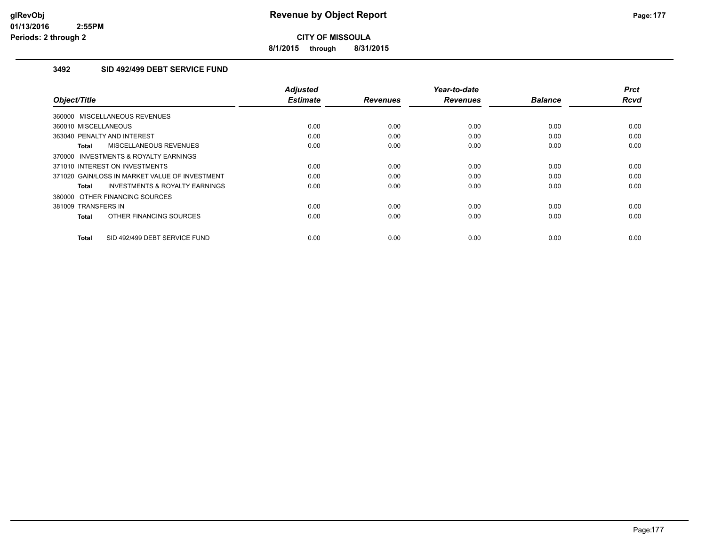**8/1/2015 through 8/31/2015**

### **3492 SID 492/499 DEBT SERVICE FUND**

| Object/Title                                              | <b>Adjusted</b><br><b>Estimate</b> | <b>Revenues</b> | Year-to-date<br><b>Revenues</b> | <b>Balance</b> | <b>Prct</b><br>Rcvd |
|-----------------------------------------------------------|------------------------------------|-----------------|---------------------------------|----------------|---------------------|
| 360000 MISCELLANEOUS REVENUES                             |                                    |                 |                                 |                |                     |
| 360010 MISCELLANEOUS                                      | 0.00                               | 0.00            | 0.00                            | 0.00           | 0.00                |
| 363040 PENALTY AND INTEREST                               | 0.00                               | 0.00            | 0.00                            | 0.00           | 0.00                |
| MISCELLANEOUS REVENUES<br><b>Total</b>                    | 0.00                               | 0.00            | 0.00                            | 0.00           | 0.00                |
| <b>INVESTMENTS &amp; ROYALTY EARNINGS</b><br>370000       |                                    |                 |                                 |                |                     |
| 371010 INTEREST ON INVESTMENTS                            | 0.00                               | 0.00            | 0.00                            | 0.00           | 0.00                |
| 371020 GAIN/LOSS IN MARKET VALUE OF INVESTMENT            | 0.00                               | 0.00            | 0.00                            | 0.00           | 0.00                |
| <b>INVESTMENTS &amp; ROYALTY EARNINGS</b><br><b>Total</b> | 0.00                               | 0.00            | 0.00                            | 0.00           | 0.00                |
| 380000 OTHER FINANCING SOURCES                            |                                    |                 |                                 |                |                     |
| 381009 TRANSFERS IN                                       | 0.00                               | 0.00            | 0.00                            | 0.00           | 0.00                |
| OTHER FINANCING SOURCES<br><b>Total</b>                   | 0.00                               | 0.00            | 0.00                            | 0.00           | 0.00                |
| SID 492/499 DEBT SERVICE FUND<br><b>Total</b>             | 0.00                               | 0.00            | 0.00                            | 0.00           | 0.00                |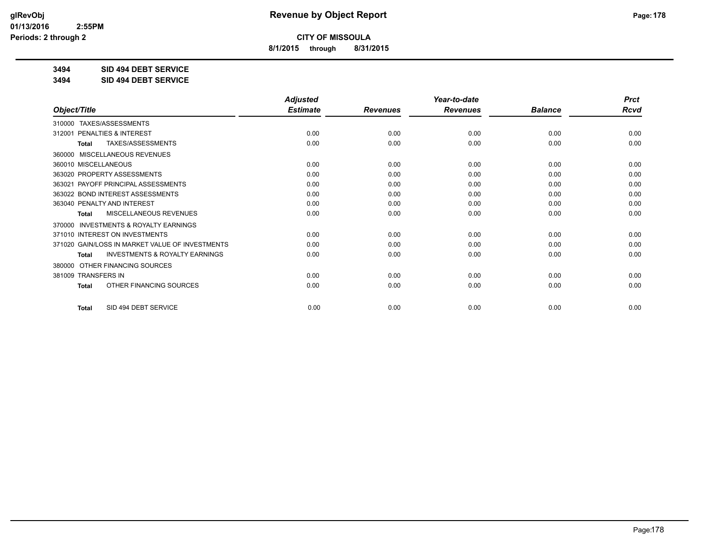**8/1/2015 through 8/31/2015**

**3494 SID 494 DEBT SERVICE**

**3494 SID 494 DEBT SERVICE**

|                                                           | <b>Adjusted</b> |                 | Year-to-date    |                | <b>Prct</b> |
|-----------------------------------------------------------|-----------------|-----------------|-----------------|----------------|-------------|
| Object/Title                                              | <b>Estimate</b> | <b>Revenues</b> | <b>Revenues</b> | <b>Balance</b> | <b>Rcvd</b> |
| 310000 TAXES/ASSESSMENTS                                  |                 |                 |                 |                |             |
| 312001 PENALTIES & INTEREST                               | 0.00            | 0.00            | 0.00            | 0.00           | 0.00        |
| TAXES/ASSESSMENTS<br><b>Total</b>                         | 0.00            | 0.00            | 0.00            | 0.00           | 0.00        |
| MISCELLANEOUS REVENUES<br>360000                          |                 |                 |                 |                |             |
| 360010 MISCELLANEOUS                                      | 0.00            | 0.00            | 0.00            | 0.00           | 0.00        |
| 363020 PROPERTY ASSESSMENTS                               | 0.00            | 0.00            | 0.00            | 0.00           | 0.00        |
| 363021 PAYOFF PRINCIPAL ASSESSMENTS                       | 0.00            | 0.00            | 0.00            | 0.00           | 0.00        |
| 363022 BOND INTEREST ASSESSMENTS                          | 0.00            | 0.00            | 0.00            | 0.00           | 0.00        |
| 363040 PENALTY AND INTEREST                               | 0.00            | 0.00            | 0.00            | 0.00           | 0.00        |
| MISCELLANEOUS REVENUES<br><b>Total</b>                    | 0.00            | 0.00            | 0.00            | 0.00           | 0.00        |
| <b>INVESTMENTS &amp; ROYALTY EARNINGS</b><br>370000       |                 |                 |                 |                |             |
| 371010 INTEREST ON INVESTMENTS                            | 0.00            | 0.00            | 0.00            | 0.00           | 0.00        |
| 371020 GAIN/LOSS IN MARKET VALUE OF INVESTMENTS           | 0.00            | 0.00            | 0.00            | 0.00           | 0.00        |
| <b>INVESTMENTS &amp; ROYALTY EARNINGS</b><br><b>Total</b> | 0.00            | 0.00            | 0.00            | 0.00           | 0.00        |
| OTHER FINANCING SOURCES<br>380000                         |                 |                 |                 |                |             |
| 381009 TRANSFERS IN                                       | 0.00            | 0.00            | 0.00            | 0.00           | 0.00        |
| OTHER FINANCING SOURCES<br><b>Total</b>                   | 0.00            | 0.00            | 0.00            | 0.00           | 0.00        |
| SID 494 DEBT SERVICE<br><b>Total</b>                      | 0.00            | 0.00            | 0.00            | 0.00           | 0.00        |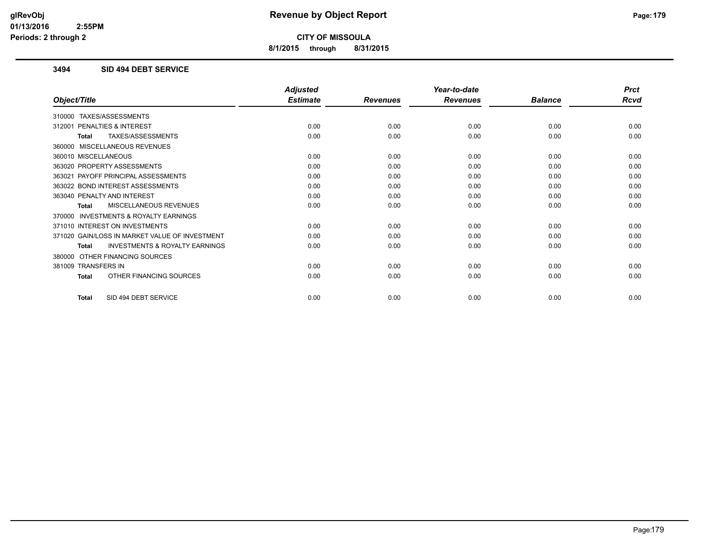**8/1/2015 through 8/31/2015**

### **3494 SID 494 DEBT SERVICE**

|                                                           | <b>Adjusted</b> |                 | Year-to-date    |                | <b>Prct</b> |
|-----------------------------------------------------------|-----------------|-----------------|-----------------|----------------|-------------|
| Object/Title                                              | <b>Estimate</b> | <b>Revenues</b> | <b>Revenues</b> | <b>Balance</b> | <b>Rcvd</b> |
| 310000 TAXES/ASSESSMENTS                                  |                 |                 |                 |                |             |
| PENALTIES & INTEREST<br>312001                            | 0.00            | 0.00            | 0.00            | 0.00           | 0.00        |
| TAXES/ASSESSMENTS<br><b>Total</b>                         | 0.00            | 0.00            | 0.00            | 0.00           | 0.00        |
| 360000 MISCELLANEOUS REVENUES                             |                 |                 |                 |                |             |
| 360010 MISCELLANEOUS                                      | 0.00            | 0.00            | 0.00            | 0.00           | 0.00        |
| 363020 PROPERTY ASSESSMENTS                               | 0.00            | 0.00            | 0.00            | 0.00           | 0.00        |
| 363021 PAYOFF PRINCIPAL ASSESSMENTS                       | 0.00            | 0.00            | 0.00            | 0.00           | 0.00        |
| 363022 BOND INTEREST ASSESSMENTS                          | 0.00            | 0.00            | 0.00            | 0.00           | 0.00        |
| 363040 PENALTY AND INTEREST                               | 0.00            | 0.00            | 0.00            | 0.00           | 0.00        |
| MISCELLANEOUS REVENUES<br><b>Total</b>                    | 0.00            | 0.00            | 0.00            | 0.00           | 0.00        |
| 370000 INVESTMENTS & ROYALTY EARNINGS                     |                 |                 |                 |                |             |
| 371010 INTEREST ON INVESTMENTS                            | 0.00            | 0.00            | 0.00            | 0.00           | 0.00        |
| 371020 GAIN/LOSS IN MARKET VALUE OF INVESTMENT            | 0.00            | 0.00            | 0.00            | 0.00           | 0.00        |
| <b>INVESTMENTS &amp; ROYALTY EARNINGS</b><br><b>Total</b> | 0.00            | 0.00            | 0.00            | 0.00           | 0.00        |
| 380000 OTHER FINANCING SOURCES                            |                 |                 |                 |                |             |
| 381009 TRANSFERS IN                                       | 0.00            | 0.00            | 0.00            | 0.00           | 0.00        |
| OTHER FINANCING SOURCES<br><b>Total</b>                   | 0.00            | 0.00            | 0.00            | 0.00           | 0.00        |
| SID 494 DEBT SERVICE<br><b>Total</b>                      | 0.00            | 0.00            | 0.00            | 0.00           | 0.00        |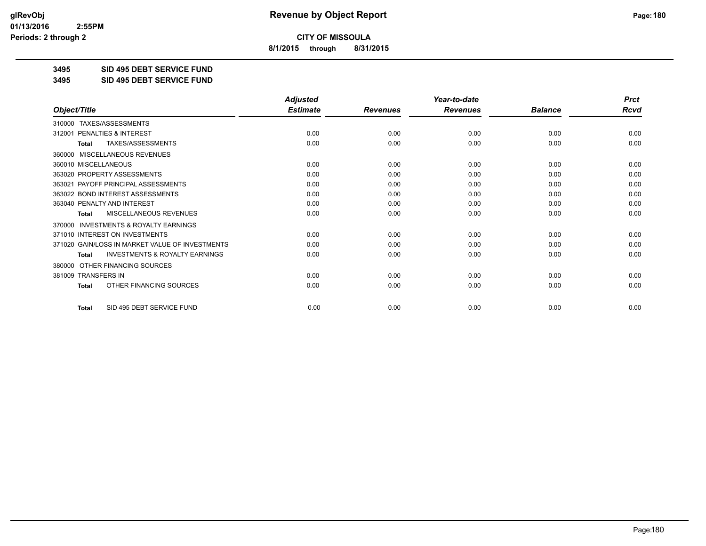**8/1/2015 through 8/31/2015**

**3495 SID 495 DEBT SERVICE FUND**

**3495 SID 495 DEBT SERVICE FUND**

|                                                           | <b>Adjusted</b> |                 | Year-to-date    |                | <b>Prct</b> |
|-----------------------------------------------------------|-----------------|-----------------|-----------------|----------------|-------------|
| Object/Title                                              | <b>Estimate</b> | <b>Revenues</b> | <b>Revenues</b> | <b>Balance</b> | <b>Rcvd</b> |
| TAXES/ASSESSMENTS<br>310000                               |                 |                 |                 |                |             |
| 312001 PENALTIES & INTEREST                               | 0.00            | 0.00            | 0.00            | 0.00           | 0.00        |
| TAXES/ASSESSMENTS<br><b>Total</b>                         | 0.00            | 0.00            | 0.00            | 0.00           | 0.00        |
| MISCELLANEOUS REVENUES<br>360000                          |                 |                 |                 |                |             |
| 360010 MISCELLANEOUS                                      | 0.00            | 0.00            | 0.00            | 0.00           | 0.00        |
| 363020 PROPERTY ASSESSMENTS                               | 0.00            | 0.00            | 0.00            | 0.00           | 0.00        |
| 363021 PAYOFF PRINCIPAL ASSESSMENTS                       | 0.00            | 0.00            | 0.00            | 0.00           | 0.00        |
| 363022 BOND INTEREST ASSESSMENTS                          | 0.00            | 0.00            | 0.00            | 0.00           | 0.00        |
| 363040 PENALTY AND INTEREST                               | 0.00            | 0.00            | 0.00            | 0.00           | 0.00        |
| <b>MISCELLANEOUS REVENUES</b><br><b>Total</b>             | 0.00            | 0.00            | 0.00            | 0.00           | 0.00        |
| <b>INVESTMENTS &amp; ROYALTY EARNINGS</b><br>370000       |                 |                 |                 |                |             |
| 371010 INTEREST ON INVESTMENTS                            | 0.00            | 0.00            | 0.00            | 0.00           | 0.00        |
| 371020 GAIN/LOSS IN MARKET VALUE OF INVESTMENTS           | 0.00            | 0.00            | 0.00            | 0.00           | 0.00        |
| <b>INVESTMENTS &amp; ROYALTY EARNINGS</b><br><b>Total</b> | 0.00            | 0.00            | 0.00            | 0.00           | 0.00        |
| OTHER FINANCING SOURCES<br>380000                         |                 |                 |                 |                |             |
| 381009 TRANSFERS IN                                       | 0.00            | 0.00            | 0.00            | 0.00           | 0.00        |
| OTHER FINANCING SOURCES<br><b>Total</b>                   | 0.00            | 0.00            | 0.00            | 0.00           | 0.00        |
| SID 495 DEBT SERVICE FUND<br><b>Total</b>                 | 0.00            | 0.00            | 0.00            | 0.00           | 0.00        |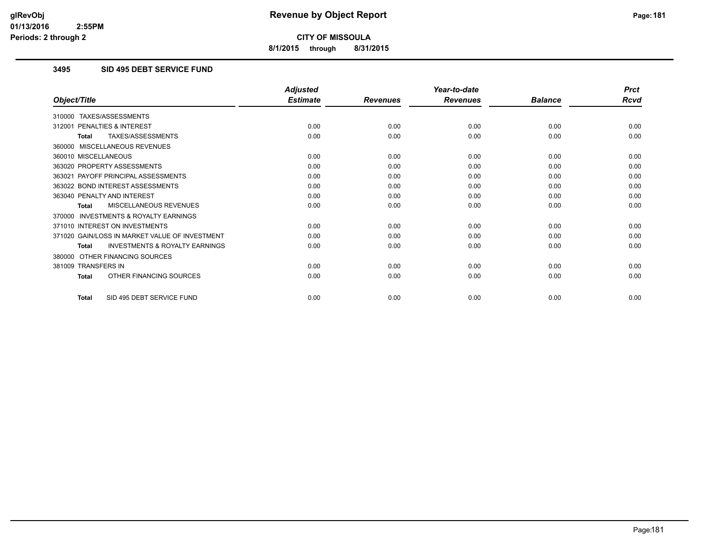**8/1/2015 through 8/31/2015**

# **3495 SID 495 DEBT SERVICE FUND**

|                                                           | <b>Adjusted</b> |                 | Year-to-date    |                | <b>Prct</b> |
|-----------------------------------------------------------|-----------------|-----------------|-----------------|----------------|-------------|
| Object/Title                                              | <b>Estimate</b> | <b>Revenues</b> | <b>Revenues</b> | <b>Balance</b> | <b>Rcvd</b> |
| 310000 TAXES/ASSESSMENTS                                  |                 |                 |                 |                |             |
| 312001 PENALTIES & INTEREST                               | 0.00            | 0.00            | 0.00            | 0.00           | 0.00        |
| <b>TAXES/ASSESSMENTS</b><br><b>Total</b>                  | 0.00            | 0.00            | 0.00            | 0.00           | 0.00        |
| 360000 MISCELLANEOUS REVENUES                             |                 |                 |                 |                |             |
| 360010 MISCELLANEOUS                                      | 0.00            | 0.00            | 0.00            | 0.00           | 0.00        |
| 363020 PROPERTY ASSESSMENTS                               | 0.00            | 0.00            | 0.00            | 0.00           | 0.00        |
| 363021 PAYOFF PRINCIPAL ASSESSMENTS                       | 0.00            | 0.00            | 0.00            | 0.00           | 0.00        |
| 363022 BOND INTEREST ASSESSMENTS                          | 0.00            | 0.00            | 0.00            | 0.00           | 0.00        |
| 363040 PENALTY AND INTEREST                               | 0.00            | 0.00            | 0.00            | 0.00           | 0.00        |
| MISCELLANEOUS REVENUES<br><b>Total</b>                    | 0.00            | 0.00            | 0.00            | 0.00           | 0.00        |
| <b>INVESTMENTS &amp; ROYALTY EARNINGS</b><br>370000       |                 |                 |                 |                |             |
| 371010 INTEREST ON INVESTMENTS                            | 0.00            | 0.00            | 0.00            | 0.00           | 0.00        |
| 371020 GAIN/LOSS IN MARKET VALUE OF INVESTMENT            | 0.00            | 0.00            | 0.00            | 0.00           | 0.00        |
| <b>INVESTMENTS &amp; ROYALTY EARNINGS</b><br><b>Total</b> | 0.00            | 0.00            | 0.00            | 0.00           | 0.00        |
| 380000 OTHER FINANCING SOURCES                            |                 |                 |                 |                |             |
| 381009 TRANSFERS IN                                       | 0.00            | 0.00            | 0.00            | 0.00           | 0.00        |
| OTHER FINANCING SOURCES<br><b>Total</b>                   | 0.00            | 0.00            | 0.00            | 0.00           | 0.00        |
| SID 495 DEBT SERVICE FUND<br>Total                        | 0.00            | 0.00            | 0.00            | 0.00           | 0.00        |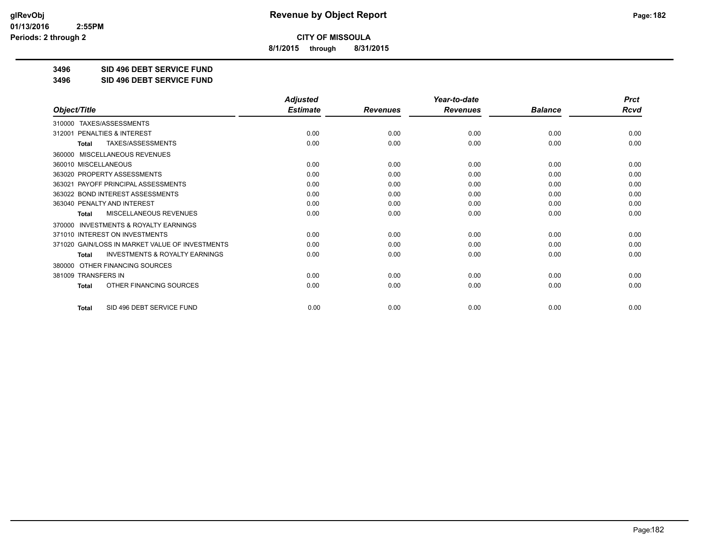**8/1/2015 through 8/31/2015**

**3496 SID 496 DEBT SERVICE FUND**

**3496 SID 496 DEBT SERVICE FUND**

|                                                           | <b>Adjusted</b> |                 | Year-to-date    |                | <b>Prct</b> |
|-----------------------------------------------------------|-----------------|-----------------|-----------------|----------------|-------------|
| Object/Title                                              | <b>Estimate</b> | <b>Revenues</b> | <b>Revenues</b> | <b>Balance</b> | <b>Rcvd</b> |
| TAXES/ASSESSMENTS<br>310000                               |                 |                 |                 |                |             |
| 312001 PENALTIES & INTEREST                               | 0.00            | 0.00            | 0.00            | 0.00           | 0.00        |
| TAXES/ASSESSMENTS<br><b>Total</b>                         | 0.00            | 0.00            | 0.00            | 0.00           | 0.00        |
| MISCELLANEOUS REVENUES<br>360000                          |                 |                 |                 |                |             |
| 360010 MISCELLANEOUS                                      | 0.00            | 0.00            | 0.00            | 0.00           | 0.00        |
| 363020 PROPERTY ASSESSMENTS                               | 0.00            | 0.00            | 0.00            | 0.00           | 0.00        |
| 363021 PAYOFF PRINCIPAL ASSESSMENTS                       | 0.00            | 0.00            | 0.00            | 0.00           | 0.00        |
| 363022 BOND INTEREST ASSESSMENTS                          | 0.00            | 0.00            | 0.00            | 0.00           | 0.00        |
| 363040 PENALTY AND INTEREST                               | 0.00            | 0.00            | 0.00            | 0.00           | 0.00        |
| MISCELLANEOUS REVENUES<br><b>Total</b>                    | 0.00            | 0.00            | 0.00            | 0.00           | 0.00        |
| <b>INVESTMENTS &amp; ROYALTY EARNINGS</b><br>370000       |                 |                 |                 |                |             |
| 371010 INTEREST ON INVESTMENTS                            | 0.00            | 0.00            | 0.00            | 0.00           | 0.00        |
| 371020 GAIN/LOSS IN MARKET VALUE OF INVESTMENTS           | 0.00            | 0.00            | 0.00            | 0.00           | 0.00        |
| <b>INVESTMENTS &amp; ROYALTY EARNINGS</b><br><b>Total</b> | 0.00            | 0.00            | 0.00            | 0.00           | 0.00        |
| OTHER FINANCING SOURCES<br>380000                         |                 |                 |                 |                |             |
| 381009 TRANSFERS IN                                       | 0.00            | 0.00            | 0.00            | 0.00           | 0.00        |
| OTHER FINANCING SOURCES<br>Total                          | 0.00            | 0.00            | 0.00            | 0.00           | 0.00        |
| SID 496 DEBT SERVICE FUND<br><b>Total</b>                 | 0.00            | 0.00            | 0.00            | 0.00           | 0.00        |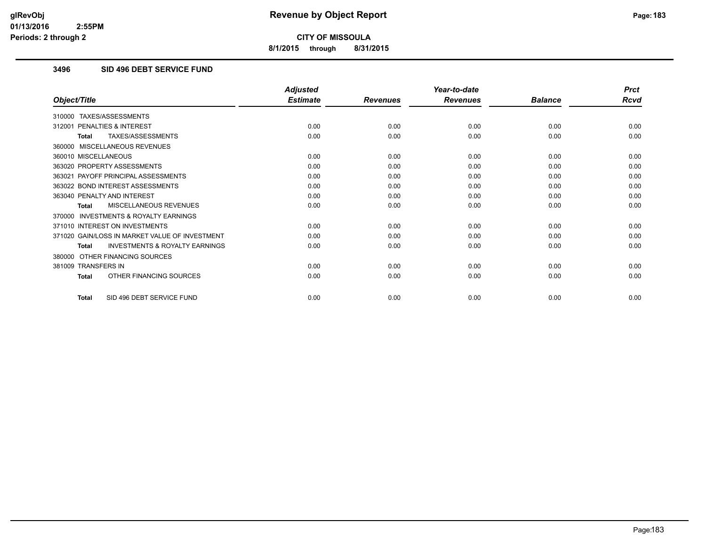**8/1/2015 through 8/31/2015**

# **3496 SID 496 DEBT SERVICE FUND**

|                                                           | <b>Adjusted</b> |                 | Year-to-date    |                | <b>Prct</b> |
|-----------------------------------------------------------|-----------------|-----------------|-----------------|----------------|-------------|
| Object/Title                                              | <b>Estimate</b> | <b>Revenues</b> | <b>Revenues</b> | <b>Balance</b> | <b>Rcvd</b> |
| 310000 TAXES/ASSESSMENTS                                  |                 |                 |                 |                |             |
| PENALTIES & INTEREST<br>312001                            | 0.00            | 0.00            | 0.00            | 0.00           | 0.00        |
| TAXES/ASSESSMENTS<br><b>Total</b>                         | 0.00            | 0.00            | 0.00            | 0.00           | 0.00        |
| 360000 MISCELLANEOUS REVENUES                             |                 |                 |                 |                |             |
| 360010 MISCELLANEOUS                                      | 0.00            | 0.00            | 0.00            | 0.00           | 0.00        |
| 363020 PROPERTY ASSESSMENTS                               | 0.00            | 0.00            | 0.00            | 0.00           | 0.00        |
| 363021 PAYOFF PRINCIPAL ASSESSMENTS                       | 0.00            | 0.00            | 0.00            | 0.00           | 0.00        |
| 363022 BOND INTEREST ASSESSMENTS                          | 0.00            | 0.00            | 0.00            | 0.00           | 0.00        |
| 363040 PENALTY AND INTEREST                               | 0.00            | 0.00            | 0.00            | 0.00           | 0.00        |
| MISCELLANEOUS REVENUES<br><b>Total</b>                    | 0.00            | 0.00            | 0.00            | 0.00           | 0.00        |
| <b>INVESTMENTS &amp; ROYALTY EARNINGS</b><br>370000       |                 |                 |                 |                |             |
| 371010 INTEREST ON INVESTMENTS                            | 0.00            | 0.00            | 0.00            | 0.00           | 0.00        |
| 371020 GAIN/LOSS IN MARKET VALUE OF INVESTMENT            | 0.00            | 0.00            | 0.00            | 0.00           | 0.00        |
| <b>INVESTMENTS &amp; ROYALTY EARNINGS</b><br><b>Total</b> | 0.00            | 0.00            | 0.00            | 0.00           | 0.00        |
| 380000 OTHER FINANCING SOURCES                            |                 |                 |                 |                |             |
| 381009 TRANSFERS IN                                       | 0.00            | 0.00            | 0.00            | 0.00           | 0.00        |
| OTHER FINANCING SOURCES<br><b>Total</b>                   | 0.00            | 0.00            | 0.00            | 0.00           | 0.00        |
| SID 496 DEBT SERVICE FUND<br><b>Total</b>                 | 0.00            | 0.00            | 0.00            | 0.00           | 0.00        |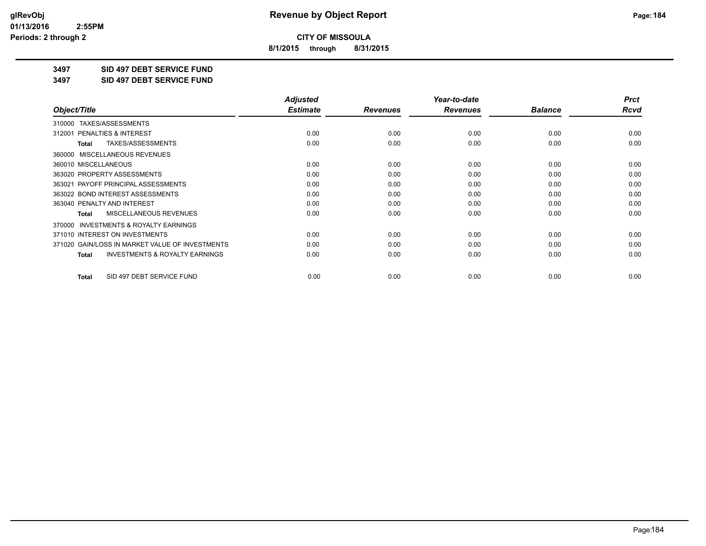**8/1/2015 through 8/31/2015**

**3497 SID 497 DEBT SERVICE FUND**

**3497 SID 497 DEBT SERVICE FUND**

|                                                           | <b>Adjusted</b> |                 | Year-to-date    |                | <b>Prct</b> |
|-----------------------------------------------------------|-----------------|-----------------|-----------------|----------------|-------------|
| Object/Title                                              | <b>Estimate</b> | <b>Revenues</b> | <b>Revenues</b> | <b>Balance</b> | Rcvd        |
| TAXES/ASSESSMENTS<br>310000                               |                 |                 |                 |                |             |
| 312001 PENALTIES & INTEREST                               | 0.00            | 0.00            | 0.00            | 0.00           | 0.00        |
| TAXES/ASSESSMENTS<br>Total                                | 0.00            | 0.00            | 0.00            | 0.00           | 0.00        |
| MISCELLANEOUS REVENUES<br>360000                          |                 |                 |                 |                |             |
| 360010 MISCELLANEOUS                                      | 0.00            | 0.00            | 0.00            | 0.00           | 0.00        |
| 363020 PROPERTY ASSESSMENTS                               | 0.00            | 0.00            | 0.00            | 0.00           | 0.00        |
| 363021 PAYOFF PRINCIPAL ASSESSMENTS                       | 0.00            | 0.00            | 0.00            | 0.00           | 0.00        |
| 363022 BOND INTEREST ASSESSMENTS                          | 0.00            | 0.00            | 0.00            | 0.00           | 0.00        |
| 363040 PENALTY AND INTEREST                               | 0.00            | 0.00            | 0.00            | 0.00           | 0.00        |
| <b>MISCELLANEOUS REVENUES</b><br><b>Total</b>             | 0.00            | 0.00            | 0.00            | 0.00           | 0.00        |
| 370000 INVESTMENTS & ROYALTY EARNINGS                     |                 |                 |                 |                |             |
| 371010 INTEREST ON INVESTMENTS                            | 0.00            | 0.00            | 0.00            | 0.00           | 0.00        |
| 371020 GAIN/LOSS IN MARKET VALUE OF INVESTMENTS           | 0.00            | 0.00            | 0.00            | 0.00           | 0.00        |
| <b>INVESTMENTS &amp; ROYALTY EARNINGS</b><br><b>Total</b> | 0.00            | 0.00            | 0.00            | 0.00           | 0.00        |
| SID 497 DEBT SERVICE FUND<br><b>Total</b>                 | 0.00            | 0.00            | 0.00            | 0.00           | 0.00        |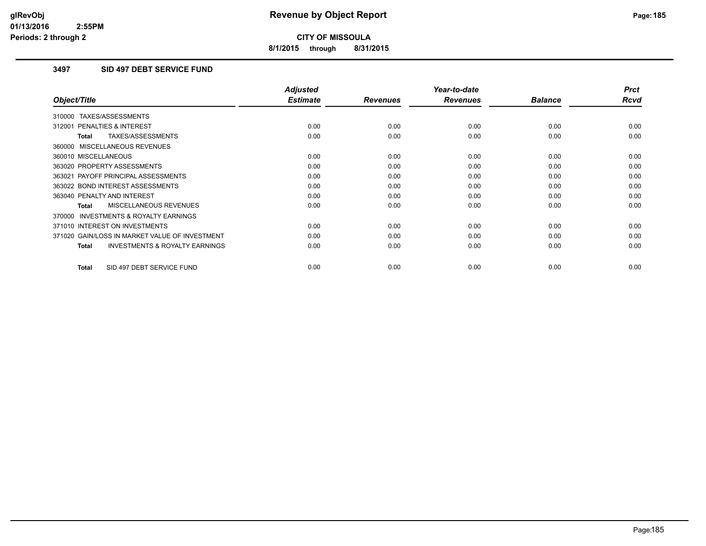**8/1/2015 through 8/31/2015**

# **3497 SID 497 DEBT SERVICE FUND**

|                                                           | <b>Adjusted</b> |                 | Year-to-date    |                | <b>Prct</b> |
|-----------------------------------------------------------|-----------------|-----------------|-----------------|----------------|-------------|
| Object/Title                                              | <b>Estimate</b> | <b>Revenues</b> | <b>Revenues</b> | <b>Balance</b> | <b>Rcvd</b> |
| 310000 TAXES/ASSESSMENTS                                  |                 |                 |                 |                |             |
| 312001 PENALTIES & INTEREST                               | 0.00            | 0.00            | 0.00            | 0.00           | 0.00        |
| <b>TAXES/ASSESSMENTS</b><br><b>Total</b>                  | 0.00            | 0.00            | 0.00            | 0.00           | 0.00        |
| 360000 MISCELLANEOUS REVENUES                             |                 |                 |                 |                |             |
| 360010 MISCELLANEOUS                                      | 0.00            | 0.00            | 0.00            | 0.00           | 0.00        |
| 363020 PROPERTY ASSESSMENTS                               | 0.00            | 0.00            | 0.00            | 0.00           | 0.00        |
| 363021 PAYOFF PRINCIPAL ASSESSMENTS                       | 0.00            | 0.00            | 0.00            | 0.00           | 0.00        |
| 363022 BOND INTEREST ASSESSMENTS                          | 0.00            | 0.00            | 0.00            | 0.00           | 0.00        |
| 363040 PENALTY AND INTEREST                               | 0.00            | 0.00            | 0.00            | 0.00           | 0.00        |
| MISCELLANEOUS REVENUES<br><b>Total</b>                    | 0.00            | 0.00            | 0.00            | 0.00           | 0.00        |
| <b>INVESTMENTS &amp; ROYALTY EARNINGS</b><br>370000       |                 |                 |                 |                |             |
| 371010 INTEREST ON INVESTMENTS                            | 0.00            | 0.00            | 0.00            | 0.00           | 0.00        |
| 371020 GAIN/LOSS IN MARKET VALUE OF INVESTMENT            | 0.00            | 0.00            | 0.00            | 0.00           | 0.00        |
| <b>INVESTMENTS &amp; ROYALTY EARNINGS</b><br><b>Total</b> | 0.00            | 0.00            | 0.00            | 0.00           | 0.00        |
| SID 497 DEBT SERVICE FUND<br><b>Total</b>                 | 0.00            | 0.00            | 0.00            | 0.00           | 0.00        |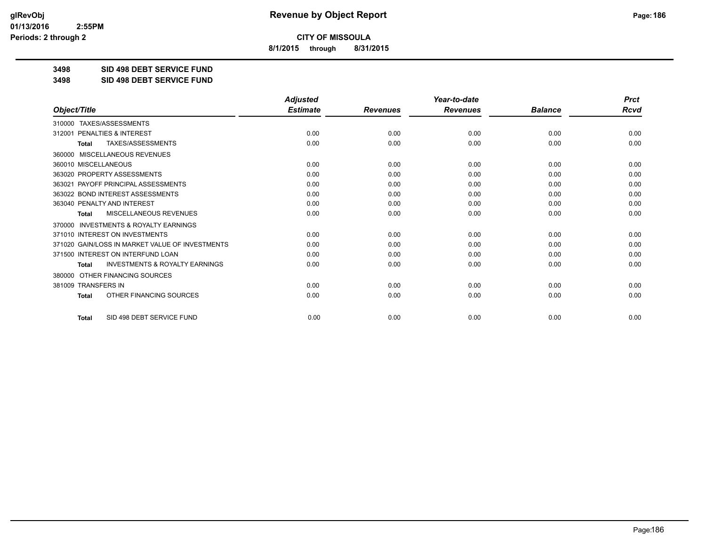**8/1/2015 through 8/31/2015**

**3498 SID 498 DEBT SERVICE FUND**

**3498 SID 498 DEBT SERVICE FUND**

|                                                           | <b>Adjusted</b> |                 | Year-to-date    |                | <b>Prct</b> |
|-----------------------------------------------------------|-----------------|-----------------|-----------------|----------------|-------------|
| Object/Title                                              | <b>Estimate</b> | <b>Revenues</b> | <b>Revenues</b> | <b>Balance</b> | Rcvd        |
| TAXES/ASSESSMENTS<br>310000                               |                 |                 |                 |                |             |
| 312001 PENALTIES & INTEREST                               | 0.00            | 0.00            | 0.00            | 0.00           | 0.00        |
| <b>TAXES/ASSESSMENTS</b><br><b>Total</b>                  | 0.00            | 0.00            | 0.00            | 0.00           | 0.00        |
| MISCELLANEOUS REVENUES<br>360000                          |                 |                 |                 |                |             |
| 360010 MISCELLANEOUS                                      | 0.00            | 0.00            | 0.00            | 0.00           | 0.00        |
| 363020 PROPERTY ASSESSMENTS                               | 0.00            | 0.00            | 0.00            | 0.00           | 0.00        |
| 363021 PAYOFF PRINCIPAL ASSESSMENTS                       | 0.00            | 0.00            | 0.00            | 0.00           | 0.00        |
| 363022 BOND INTEREST ASSESSMENTS                          | 0.00            | 0.00            | 0.00            | 0.00           | 0.00        |
| 363040 PENALTY AND INTEREST                               | 0.00            | 0.00            | 0.00            | 0.00           | 0.00        |
| MISCELLANEOUS REVENUES<br><b>Total</b>                    | 0.00            | 0.00            | 0.00            | 0.00           | 0.00        |
| 370000 INVESTMENTS & ROYALTY EARNINGS                     |                 |                 |                 |                |             |
| 371010 INTEREST ON INVESTMENTS                            | 0.00            | 0.00            | 0.00            | 0.00           | 0.00        |
| 371020 GAIN/LOSS IN MARKET VALUE OF INVESTMENTS           | 0.00            | 0.00            | 0.00            | 0.00           | 0.00        |
| 371500 INTEREST ON INTERFUND LOAN                         | 0.00            | 0.00            | 0.00            | 0.00           | 0.00        |
| <b>INVESTMENTS &amp; ROYALTY EARNINGS</b><br><b>Total</b> | 0.00            | 0.00            | 0.00            | 0.00           | 0.00        |
| OTHER FINANCING SOURCES<br>380000                         |                 |                 |                 |                |             |
| 381009 TRANSFERS IN                                       | 0.00            | 0.00            | 0.00            | 0.00           | 0.00        |
| OTHER FINANCING SOURCES<br><b>Total</b>                   | 0.00            | 0.00            | 0.00            | 0.00           | 0.00        |
| SID 498 DEBT SERVICE FUND<br><b>Total</b>                 | 0.00            | 0.00            | 0.00            | 0.00           | 0.00        |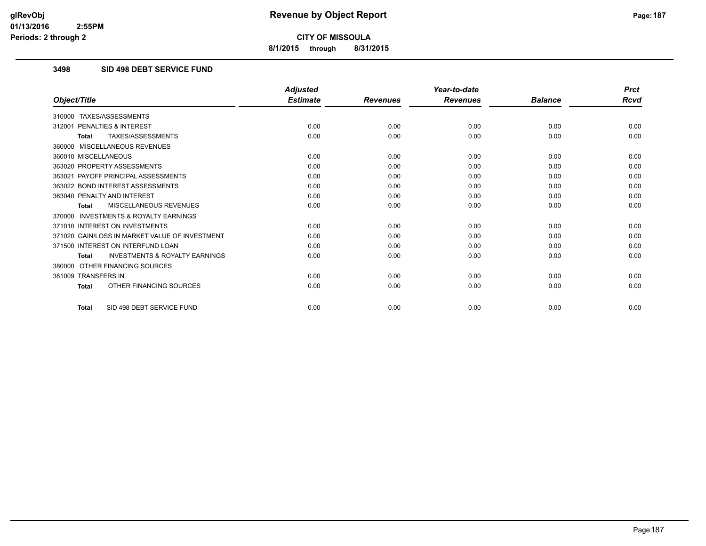**8/1/2015 through 8/31/2015**

# **3498 SID 498 DEBT SERVICE FUND**

|                                                           | <b>Adjusted</b> |                 | Year-to-date    |                | <b>Prct</b> |
|-----------------------------------------------------------|-----------------|-----------------|-----------------|----------------|-------------|
| Object/Title                                              | <b>Estimate</b> | <b>Revenues</b> | <b>Revenues</b> | <b>Balance</b> | Rcvd        |
| TAXES/ASSESSMENTS<br>310000                               |                 |                 |                 |                |             |
| 312001 PENALTIES & INTEREST                               | 0.00            | 0.00            | 0.00            | 0.00           | 0.00        |
| <b>TAXES/ASSESSMENTS</b><br><b>Total</b>                  | 0.00            | 0.00            | 0.00            | 0.00           | 0.00        |
| 360000 MISCELLANEOUS REVENUES                             |                 |                 |                 |                |             |
| 360010 MISCELLANEOUS                                      | 0.00            | 0.00            | 0.00            | 0.00           | 0.00        |
| 363020 PROPERTY ASSESSMENTS                               | 0.00            | 0.00            | 0.00            | 0.00           | 0.00        |
| 363021 PAYOFF PRINCIPAL ASSESSMENTS                       | 0.00            | 0.00            | 0.00            | 0.00           | 0.00        |
| 363022 BOND INTEREST ASSESSMENTS                          | 0.00            | 0.00            | 0.00            | 0.00           | 0.00        |
| 363040 PENALTY AND INTEREST                               | 0.00            | 0.00            | 0.00            | 0.00           | 0.00        |
| MISCELLANEOUS REVENUES<br><b>Total</b>                    | 0.00            | 0.00            | 0.00            | 0.00           | 0.00        |
| <b>INVESTMENTS &amp; ROYALTY EARNINGS</b><br>370000       |                 |                 |                 |                |             |
| 371010 INTEREST ON INVESTMENTS                            | 0.00            | 0.00            | 0.00            | 0.00           | 0.00        |
| 371020 GAIN/LOSS IN MARKET VALUE OF INVESTMENT            | 0.00            | 0.00            | 0.00            | 0.00           | 0.00        |
| 371500 INTEREST ON INTERFUND LOAN                         | 0.00            | 0.00            | 0.00            | 0.00           | 0.00        |
| <b>INVESTMENTS &amp; ROYALTY EARNINGS</b><br><b>Total</b> | 0.00            | 0.00            | 0.00            | 0.00           | 0.00        |
| OTHER FINANCING SOURCES<br>380000                         |                 |                 |                 |                |             |
| 381009 TRANSFERS IN                                       | 0.00            | 0.00            | 0.00            | 0.00           | 0.00        |
| OTHER FINANCING SOURCES<br>Total                          | 0.00            | 0.00            | 0.00            | 0.00           | 0.00        |
| SID 498 DEBT SERVICE FUND<br>Total                        | 0.00            | 0.00            | 0.00            | 0.00           | 0.00        |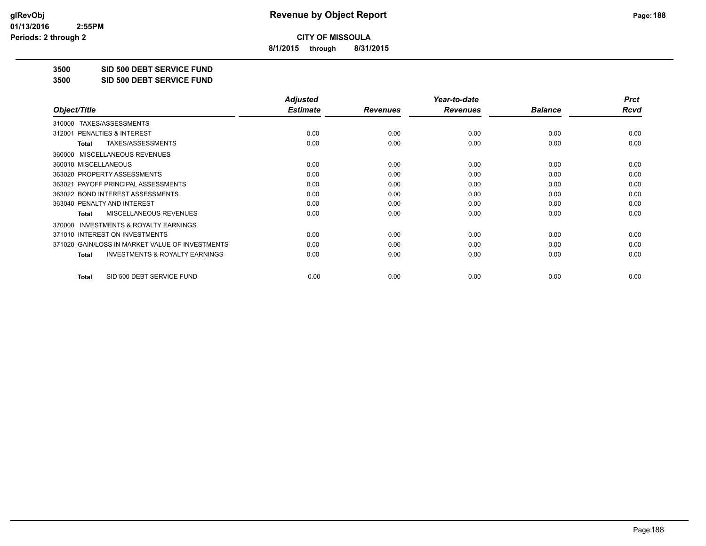**8/1/2015 through 8/31/2015**

**3500 SID 500 DEBT SERVICE FUND**

**3500 SID 500 DEBT SERVICE FUND**

|                                                           | <b>Adjusted</b> |                 | Year-to-date    |                | <b>Prct</b> |
|-----------------------------------------------------------|-----------------|-----------------|-----------------|----------------|-------------|
| Object/Title                                              | <b>Estimate</b> | <b>Revenues</b> | <b>Revenues</b> | <b>Balance</b> | Rcvd        |
| TAXES/ASSESSMENTS<br>310000                               |                 |                 |                 |                |             |
| <b>PENALTIES &amp; INTEREST</b><br>312001                 | 0.00            | 0.00            | 0.00            | 0.00           | 0.00        |
| TAXES/ASSESSMENTS<br><b>Total</b>                         | 0.00            | 0.00            | 0.00            | 0.00           | 0.00        |
| 360000 MISCELLANEOUS REVENUES                             |                 |                 |                 |                |             |
| 360010 MISCELLANEOUS                                      | 0.00            | 0.00            | 0.00            | 0.00           | 0.00        |
| 363020 PROPERTY ASSESSMENTS                               | 0.00            | 0.00            | 0.00            | 0.00           | 0.00        |
| 363021 PAYOFF PRINCIPAL ASSESSMENTS                       | 0.00            | 0.00            | 0.00            | 0.00           | 0.00        |
| 363022 BOND INTEREST ASSESSMENTS                          | 0.00            | 0.00            | 0.00            | 0.00           | 0.00        |
| 363040 PENALTY AND INTEREST                               | 0.00            | 0.00            | 0.00            | 0.00           | 0.00        |
| MISCELLANEOUS REVENUES<br><b>Total</b>                    | 0.00            | 0.00            | 0.00            | 0.00           | 0.00        |
| 370000 INVESTMENTS & ROYALTY EARNINGS                     |                 |                 |                 |                |             |
| 371010 INTEREST ON INVESTMENTS                            | 0.00            | 0.00            | 0.00            | 0.00           | 0.00        |
| 371020 GAIN/LOSS IN MARKET VALUE OF INVESTMENTS           | 0.00            | 0.00            | 0.00            | 0.00           | 0.00        |
| <b>INVESTMENTS &amp; ROYALTY EARNINGS</b><br><b>Total</b> | 0.00            | 0.00            | 0.00            | 0.00           | 0.00        |
| SID 500 DEBT SERVICE FUND<br>Total                        | 0.00            | 0.00            | 0.00            | 0.00           | 0.00        |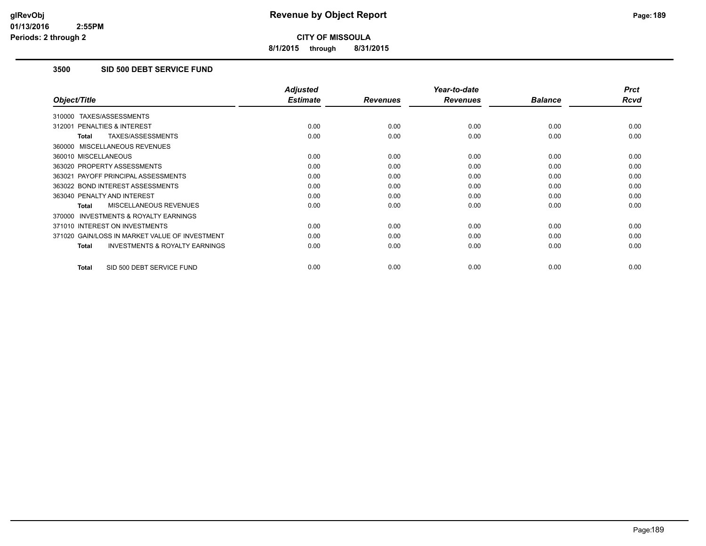**8/1/2015 through 8/31/2015**

# **3500 SID 500 DEBT SERVICE FUND**

|                                                     | <b>Adjusted</b> |                 | Year-to-date    |                | <b>Prct</b> |
|-----------------------------------------------------|-----------------|-----------------|-----------------|----------------|-------------|
| Object/Title                                        | <b>Estimate</b> | <b>Revenues</b> | <b>Revenues</b> | <b>Balance</b> | <b>Rcvd</b> |
| 310000 TAXES/ASSESSMENTS                            |                 |                 |                 |                |             |
| 312001 PENALTIES & INTEREST                         | 0.00            | 0.00            | 0.00            | 0.00           | 0.00        |
| TAXES/ASSESSMENTS<br><b>Total</b>                   | 0.00            | 0.00            | 0.00            | 0.00           | 0.00        |
| 360000 MISCELLANEOUS REVENUES                       |                 |                 |                 |                |             |
| 360010 MISCELLANEOUS                                | 0.00            | 0.00            | 0.00            | 0.00           | 0.00        |
| 363020 PROPERTY ASSESSMENTS                         | 0.00            | 0.00            | 0.00            | 0.00           | 0.00        |
| 363021 PAYOFF PRINCIPAL ASSESSMENTS                 | 0.00            | 0.00            | 0.00            | 0.00           | 0.00        |
| 363022 BOND INTEREST ASSESSMENTS                    | 0.00            | 0.00            | 0.00            | 0.00           | 0.00        |
| 363040 PENALTY AND INTEREST                         | 0.00            | 0.00            | 0.00            | 0.00           | 0.00        |
| <b>MISCELLANEOUS REVENUES</b><br>Total              | 0.00            | 0.00            | 0.00            | 0.00           | 0.00        |
| <b>INVESTMENTS &amp; ROYALTY EARNINGS</b><br>370000 |                 |                 |                 |                |             |
| 371010 INTEREST ON INVESTMENTS                      | 0.00            | 0.00            | 0.00            | 0.00           | 0.00        |
| 371020 GAIN/LOSS IN MARKET VALUE OF INVESTMENT      | 0.00            | 0.00            | 0.00            | 0.00           | 0.00        |
| <b>INVESTMENTS &amp; ROYALTY EARNINGS</b><br>Total  | 0.00            | 0.00            | 0.00            | 0.00           | 0.00        |
| SID 500 DEBT SERVICE FUND<br><b>Total</b>           | 0.00            | 0.00            | 0.00            | 0.00           | 0.00        |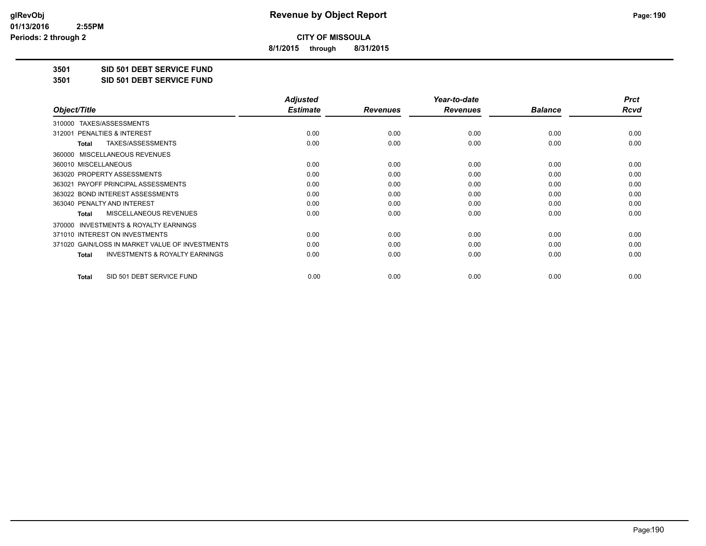**8/1/2015 through 8/31/2015**

**3501 SID 501 DEBT SERVICE FUND**

**3501 SID 501 DEBT SERVICE FUND**

|                                                           | <b>Adjusted</b> |                 | Year-to-date    |                | <b>Prct</b> |
|-----------------------------------------------------------|-----------------|-----------------|-----------------|----------------|-------------|
| Object/Title                                              | <b>Estimate</b> | <b>Revenues</b> | <b>Revenues</b> | <b>Balance</b> | Rcvd        |
| TAXES/ASSESSMENTS<br>310000                               |                 |                 |                 |                |             |
| 312001 PENALTIES & INTEREST                               | 0.00            | 0.00            | 0.00            | 0.00           | 0.00        |
| TAXES/ASSESSMENTS<br>Total                                | 0.00            | 0.00            | 0.00            | 0.00           | 0.00        |
| MISCELLANEOUS REVENUES<br>360000                          |                 |                 |                 |                |             |
| 360010 MISCELLANEOUS                                      | 0.00            | 0.00            | 0.00            | 0.00           | 0.00        |
| 363020 PROPERTY ASSESSMENTS                               | 0.00            | 0.00            | 0.00            | 0.00           | 0.00        |
| 363021 PAYOFF PRINCIPAL ASSESSMENTS                       | 0.00            | 0.00            | 0.00            | 0.00           | 0.00        |
| 363022 BOND INTEREST ASSESSMENTS                          | 0.00            | 0.00            | 0.00            | 0.00           | 0.00        |
| 363040 PENALTY AND INTEREST                               | 0.00            | 0.00            | 0.00            | 0.00           | 0.00        |
| MISCELLANEOUS REVENUES<br><b>Total</b>                    | 0.00            | 0.00            | 0.00            | 0.00           | 0.00        |
| <b>INVESTMENTS &amp; ROYALTY EARNINGS</b><br>370000       |                 |                 |                 |                |             |
| 371010 INTEREST ON INVESTMENTS                            | 0.00            | 0.00            | 0.00            | 0.00           | 0.00        |
| 371020 GAIN/LOSS IN MARKET VALUE OF INVESTMENTS           | 0.00            | 0.00            | 0.00            | 0.00           | 0.00        |
| <b>INVESTMENTS &amp; ROYALTY EARNINGS</b><br><b>Total</b> | 0.00            | 0.00            | 0.00            | 0.00           | 0.00        |
| SID 501 DEBT SERVICE FUND<br><b>Total</b>                 | 0.00            | 0.00            | 0.00            | 0.00           | 0.00        |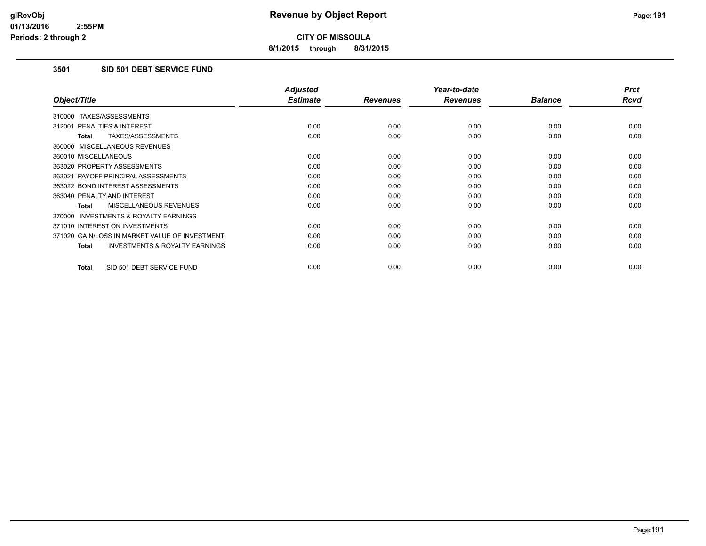**8/1/2015 through 8/31/2015**

# **3501 SID 501 DEBT SERVICE FUND**

|                                                           | <b>Adjusted</b> |                 | Year-to-date    |                | <b>Prct</b> |
|-----------------------------------------------------------|-----------------|-----------------|-----------------|----------------|-------------|
| Object/Title                                              | <b>Estimate</b> | <b>Revenues</b> | <b>Revenues</b> | <b>Balance</b> | <b>Rcvd</b> |
| 310000 TAXES/ASSESSMENTS                                  |                 |                 |                 |                |             |
| 312001 PENALTIES & INTEREST                               | 0.00            | 0.00            | 0.00            | 0.00           | 0.00        |
| TAXES/ASSESSMENTS<br><b>Total</b>                         | 0.00            | 0.00            | 0.00            | 0.00           | 0.00        |
| 360000 MISCELLANEOUS REVENUES                             |                 |                 |                 |                |             |
| 360010 MISCELLANEOUS                                      | 0.00            | 0.00            | 0.00            | 0.00           | 0.00        |
| 363020 PROPERTY ASSESSMENTS                               | 0.00            | 0.00            | 0.00            | 0.00           | 0.00        |
| 363021 PAYOFF PRINCIPAL ASSESSMENTS                       | 0.00            | 0.00            | 0.00            | 0.00           | 0.00        |
| 363022 BOND INTEREST ASSESSMENTS                          | 0.00            | 0.00            | 0.00            | 0.00           | 0.00        |
| 363040 PENALTY AND INTEREST                               | 0.00            | 0.00            | 0.00            | 0.00           | 0.00        |
| <b>MISCELLANEOUS REVENUES</b><br><b>Total</b>             | 0.00            | 0.00            | 0.00            | 0.00           | 0.00        |
| <b>INVESTMENTS &amp; ROYALTY EARNINGS</b><br>370000       |                 |                 |                 |                |             |
| 371010 INTEREST ON INVESTMENTS                            | 0.00            | 0.00            | 0.00            | 0.00           | 0.00        |
| 371020 GAIN/LOSS IN MARKET VALUE OF INVESTMENT            | 0.00            | 0.00            | 0.00            | 0.00           | 0.00        |
| <b>INVESTMENTS &amp; ROYALTY EARNINGS</b><br><b>Total</b> | 0.00            | 0.00            | 0.00            | 0.00           | 0.00        |
| SID 501 DEBT SERVICE FUND<br><b>Total</b>                 | 0.00            | 0.00            | 0.00            | 0.00           | 0.00        |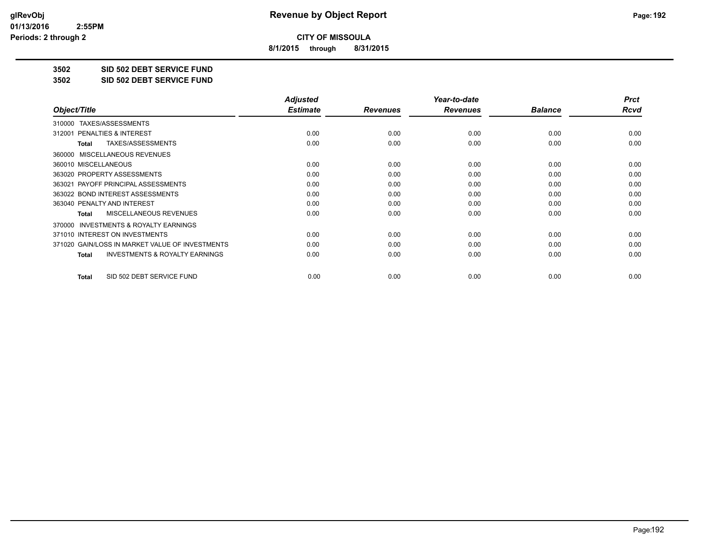**8/1/2015 through 8/31/2015**

**3502 SID 502 DEBT SERVICE FUND**

**3502 SID 502 DEBT SERVICE FUND**

|                                                           | <b>Adjusted</b> |                 | Year-to-date    |                | <b>Prct</b> |
|-----------------------------------------------------------|-----------------|-----------------|-----------------|----------------|-------------|
| Object/Title                                              | <b>Estimate</b> | <b>Revenues</b> | <b>Revenues</b> | <b>Balance</b> | Rcvd        |
| TAXES/ASSESSMENTS<br>310000                               |                 |                 |                 |                |             |
| 312001 PENALTIES & INTEREST                               | 0.00            | 0.00            | 0.00            | 0.00           | 0.00        |
| TAXES/ASSESSMENTS<br><b>Total</b>                         | 0.00            | 0.00            | 0.00            | 0.00           | 0.00        |
| MISCELLANEOUS REVENUES<br>360000                          |                 |                 |                 |                |             |
| 360010 MISCELLANEOUS                                      | 0.00            | 0.00            | 0.00            | 0.00           | 0.00        |
| 363020 PROPERTY ASSESSMENTS                               | 0.00            | 0.00            | 0.00            | 0.00           | 0.00        |
| 363021 PAYOFF PRINCIPAL ASSESSMENTS                       | 0.00            | 0.00            | 0.00            | 0.00           | 0.00        |
| 363022 BOND INTEREST ASSESSMENTS                          | 0.00            | 0.00            | 0.00            | 0.00           | 0.00        |
| 363040 PENALTY AND INTEREST                               | 0.00            | 0.00            | 0.00            | 0.00           | 0.00        |
| <b>MISCELLANEOUS REVENUES</b><br><b>Total</b>             | 0.00            | 0.00            | 0.00            | 0.00           | 0.00        |
| 370000 INVESTMENTS & ROYALTY EARNINGS                     |                 |                 |                 |                |             |
| 371010 INTEREST ON INVESTMENTS                            | 0.00            | 0.00            | 0.00            | 0.00           | 0.00        |
| 371020 GAIN/LOSS IN MARKET VALUE OF INVESTMENTS           | 0.00            | 0.00            | 0.00            | 0.00           | 0.00        |
| <b>INVESTMENTS &amp; ROYALTY EARNINGS</b><br><b>Total</b> | 0.00            | 0.00            | 0.00            | 0.00           | 0.00        |
| SID 502 DEBT SERVICE FUND<br><b>Total</b>                 | 0.00            | 0.00            | 0.00            | 0.00           | 0.00        |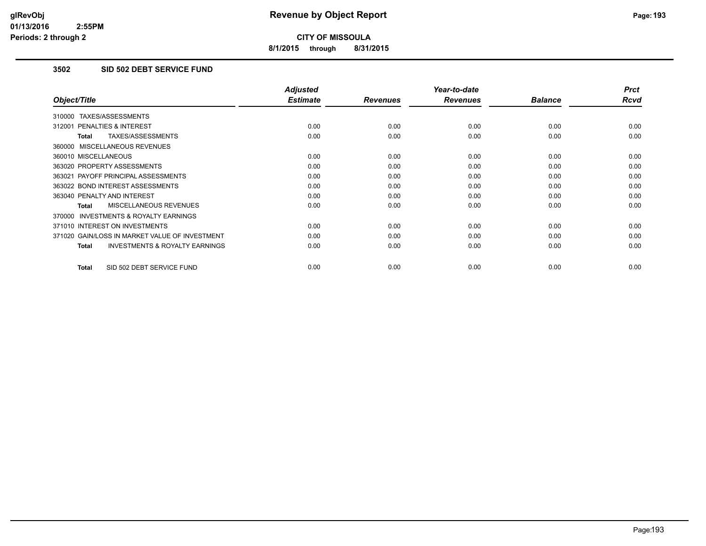**8/1/2015 through 8/31/2015**

# **3502 SID 502 DEBT SERVICE FUND**

|                                                     | <b>Adjusted</b> |                 | Year-to-date    |                | <b>Prct</b> |
|-----------------------------------------------------|-----------------|-----------------|-----------------|----------------|-------------|
| Object/Title                                        | <b>Estimate</b> | <b>Revenues</b> | <b>Revenues</b> | <b>Balance</b> | Rcvd        |
| 310000 TAXES/ASSESSMENTS                            |                 |                 |                 |                |             |
| 312001 PENALTIES & INTEREST                         | 0.00            | 0.00            | 0.00            | 0.00           | 0.00        |
| TAXES/ASSESSMENTS<br><b>Total</b>                   | 0.00            | 0.00            | 0.00            | 0.00           | 0.00        |
| 360000 MISCELLANEOUS REVENUES                       |                 |                 |                 |                |             |
| 360010 MISCELLANEOUS                                | 0.00            | 0.00            | 0.00            | 0.00           | 0.00        |
| 363020 PROPERTY ASSESSMENTS                         | 0.00            | 0.00            | 0.00            | 0.00           | 0.00        |
| 363021 PAYOFF PRINCIPAL ASSESSMENTS                 | 0.00            | 0.00            | 0.00            | 0.00           | 0.00        |
| 363022 BOND INTEREST ASSESSMENTS                    | 0.00            | 0.00            | 0.00            | 0.00           | 0.00        |
| 363040 PENALTY AND INTEREST                         | 0.00            | 0.00            | 0.00            | 0.00           | 0.00        |
| <b>MISCELLANEOUS REVENUES</b><br>Total              | 0.00            | 0.00            | 0.00            | 0.00           | 0.00        |
| <b>INVESTMENTS &amp; ROYALTY EARNINGS</b><br>370000 |                 |                 |                 |                |             |
| 371010 INTEREST ON INVESTMENTS                      | 0.00            | 0.00            | 0.00            | 0.00           | 0.00        |
| 371020 GAIN/LOSS IN MARKET VALUE OF INVESTMENT      | 0.00            | 0.00            | 0.00            | 0.00           | 0.00        |
| <b>INVESTMENTS &amp; ROYALTY EARNINGS</b><br>Total  | 0.00            | 0.00            | 0.00            | 0.00           | 0.00        |
| SID 502 DEBT SERVICE FUND<br><b>Total</b>           | 0.00            | 0.00            | 0.00            | 0.00           | 0.00        |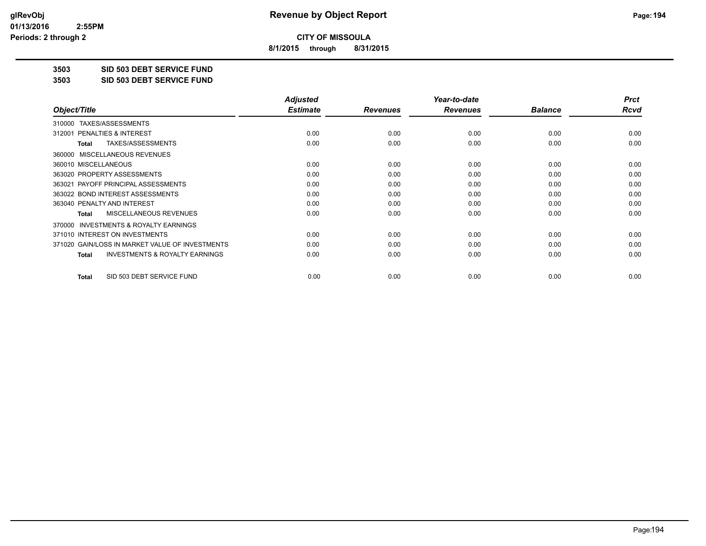**8/1/2015 through 8/31/2015**

**3503 SID 503 DEBT SERVICE FUND**

**3503 SID 503 DEBT SERVICE FUND**

|                                                           | <b>Adjusted</b> |                 | Year-to-date    |                | <b>Prct</b> |
|-----------------------------------------------------------|-----------------|-----------------|-----------------|----------------|-------------|
| Object/Title                                              | <b>Estimate</b> | <b>Revenues</b> | <b>Revenues</b> | <b>Balance</b> | Rcvd        |
| TAXES/ASSESSMENTS<br>310000                               |                 |                 |                 |                |             |
| 312001 PENALTIES & INTEREST                               | 0.00            | 0.00            | 0.00            | 0.00           | 0.00        |
| TAXES/ASSESSMENTS<br><b>Total</b>                         | 0.00            | 0.00            | 0.00            | 0.00           | 0.00        |
| MISCELLANEOUS REVENUES<br>360000                          |                 |                 |                 |                |             |
| 360010 MISCELLANEOUS                                      | 0.00            | 0.00            | 0.00            | 0.00           | 0.00        |
| 363020 PROPERTY ASSESSMENTS                               | 0.00            | 0.00            | 0.00            | 0.00           | 0.00        |
| 363021 PAYOFF PRINCIPAL ASSESSMENTS                       | 0.00            | 0.00            | 0.00            | 0.00           | 0.00        |
| 363022 BOND INTEREST ASSESSMENTS                          | 0.00            | 0.00            | 0.00            | 0.00           | 0.00        |
| 363040 PENALTY AND INTEREST                               | 0.00            | 0.00            | 0.00            | 0.00           | 0.00        |
| MISCELLANEOUS REVENUES<br>Total                           | 0.00            | 0.00            | 0.00            | 0.00           | 0.00        |
| INVESTMENTS & ROYALTY EARNINGS<br>370000                  |                 |                 |                 |                |             |
| 371010 INTEREST ON INVESTMENTS                            | 0.00            | 0.00            | 0.00            | 0.00           | 0.00        |
| 371020 GAIN/LOSS IN MARKET VALUE OF INVESTMENTS           | 0.00            | 0.00            | 0.00            | 0.00           | 0.00        |
| <b>INVESTMENTS &amp; ROYALTY EARNINGS</b><br><b>Total</b> | 0.00            | 0.00            | 0.00            | 0.00           | 0.00        |
| SID 503 DEBT SERVICE FUND<br>Total                        | 0.00            | 0.00            | 0.00            | 0.00           | 0.00        |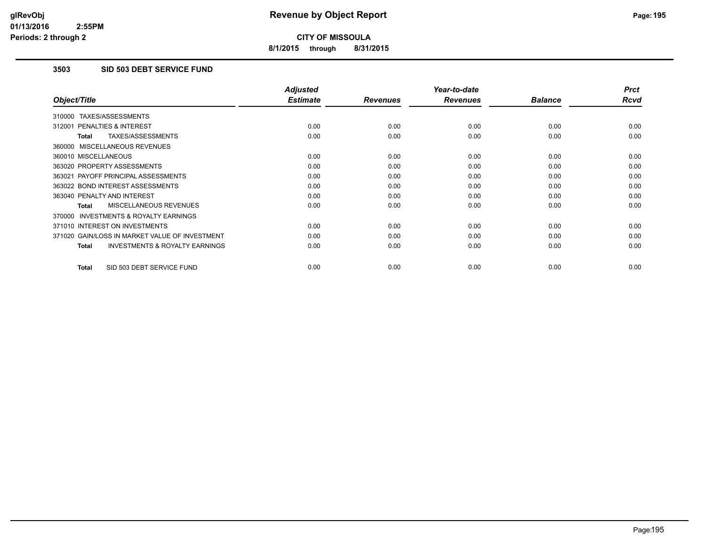**8/1/2015 through 8/31/2015**

# **3503 SID 503 DEBT SERVICE FUND**

|                                                     | <b>Adjusted</b> |                 | Year-to-date    |                | <b>Prct</b> |
|-----------------------------------------------------|-----------------|-----------------|-----------------|----------------|-------------|
| Object/Title                                        | <b>Estimate</b> | <b>Revenues</b> | <b>Revenues</b> | <b>Balance</b> | <b>Rcvd</b> |
| 310000 TAXES/ASSESSMENTS                            |                 |                 |                 |                |             |
| 312001 PENALTIES & INTEREST                         | 0.00            | 0.00            | 0.00            | 0.00           | 0.00        |
| TAXES/ASSESSMENTS<br><b>Total</b>                   | 0.00            | 0.00            | 0.00            | 0.00           | 0.00        |
| 360000 MISCELLANEOUS REVENUES                       |                 |                 |                 |                |             |
| 360010 MISCELLANEOUS                                | 0.00            | 0.00            | 0.00            | 0.00           | 0.00        |
| 363020 PROPERTY ASSESSMENTS                         | 0.00            | 0.00            | 0.00            | 0.00           | 0.00        |
| 363021 PAYOFF PRINCIPAL ASSESSMENTS                 | 0.00            | 0.00            | 0.00            | 0.00           | 0.00        |
| 363022 BOND INTEREST ASSESSMENTS                    | 0.00            | 0.00            | 0.00            | 0.00           | 0.00        |
| 363040 PENALTY AND INTEREST                         | 0.00            | 0.00            | 0.00            | 0.00           | 0.00        |
| <b>MISCELLANEOUS REVENUES</b><br>Total              | 0.00            | 0.00            | 0.00            | 0.00           | 0.00        |
| <b>INVESTMENTS &amp; ROYALTY EARNINGS</b><br>370000 |                 |                 |                 |                |             |
| 371010 INTEREST ON INVESTMENTS                      | 0.00            | 0.00            | 0.00            | 0.00           | 0.00        |
| 371020 GAIN/LOSS IN MARKET VALUE OF INVESTMENT      | 0.00            | 0.00            | 0.00            | 0.00           | 0.00        |
| <b>INVESTMENTS &amp; ROYALTY EARNINGS</b><br>Total  | 0.00            | 0.00            | 0.00            | 0.00           | 0.00        |
| SID 503 DEBT SERVICE FUND<br><b>Total</b>           | 0.00            | 0.00            | 0.00            | 0.00           | 0.00        |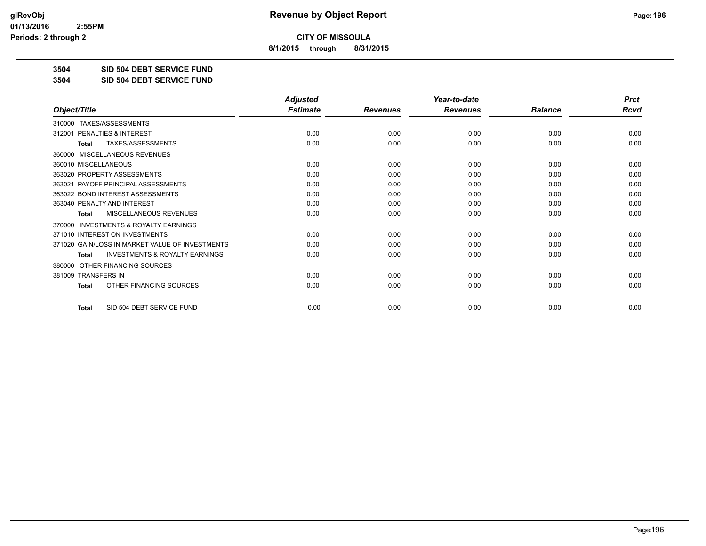**8/1/2015 through 8/31/2015**

**3504 SID 504 DEBT SERVICE FUND**

**3504 SID 504 DEBT SERVICE FUND**

|                                                           | <b>Adjusted</b> |                 | Year-to-date    |                | <b>Prct</b> |
|-----------------------------------------------------------|-----------------|-----------------|-----------------|----------------|-------------|
| Object/Title                                              | <b>Estimate</b> | <b>Revenues</b> | <b>Revenues</b> | <b>Balance</b> | <b>Rcvd</b> |
| TAXES/ASSESSMENTS<br>310000                               |                 |                 |                 |                |             |
| 312001 PENALTIES & INTEREST                               | 0.00            | 0.00            | 0.00            | 0.00           | 0.00        |
| TAXES/ASSESSMENTS<br><b>Total</b>                         | 0.00            | 0.00            | 0.00            | 0.00           | 0.00        |
| MISCELLANEOUS REVENUES<br>360000                          |                 |                 |                 |                |             |
| 360010 MISCELLANEOUS                                      | 0.00            | 0.00            | 0.00            | 0.00           | 0.00        |
| 363020 PROPERTY ASSESSMENTS                               | 0.00            | 0.00            | 0.00            | 0.00           | 0.00        |
| 363021 PAYOFF PRINCIPAL ASSESSMENTS                       | 0.00            | 0.00            | 0.00            | 0.00           | 0.00        |
| 363022 BOND INTEREST ASSESSMENTS                          | 0.00            | 0.00            | 0.00            | 0.00           | 0.00        |
| 363040 PENALTY AND INTEREST                               | 0.00            | 0.00            | 0.00            | 0.00           | 0.00        |
| MISCELLANEOUS REVENUES<br><b>Total</b>                    | 0.00            | 0.00            | 0.00            | 0.00           | 0.00        |
| <b>INVESTMENTS &amp; ROYALTY EARNINGS</b><br>370000       |                 |                 |                 |                |             |
| 371010 INTEREST ON INVESTMENTS                            | 0.00            | 0.00            | 0.00            | 0.00           | 0.00        |
| 371020 GAIN/LOSS IN MARKET VALUE OF INVESTMENTS           | 0.00            | 0.00            | 0.00            | 0.00           | 0.00        |
| <b>INVESTMENTS &amp; ROYALTY EARNINGS</b><br><b>Total</b> | 0.00            | 0.00            | 0.00            | 0.00           | 0.00        |
| OTHER FINANCING SOURCES<br>380000                         |                 |                 |                 |                |             |
| 381009 TRANSFERS IN                                       | 0.00            | 0.00            | 0.00            | 0.00           | 0.00        |
| OTHER FINANCING SOURCES<br><b>Total</b>                   | 0.00            | 0.00            | 0.00            | 0.00           | 0.00        |
| SID 504 DEBT SERVICE FUND<br><b>Total</b>                 | 0.00            | 0.00            | 0.00            | 0.00           | 0.00        |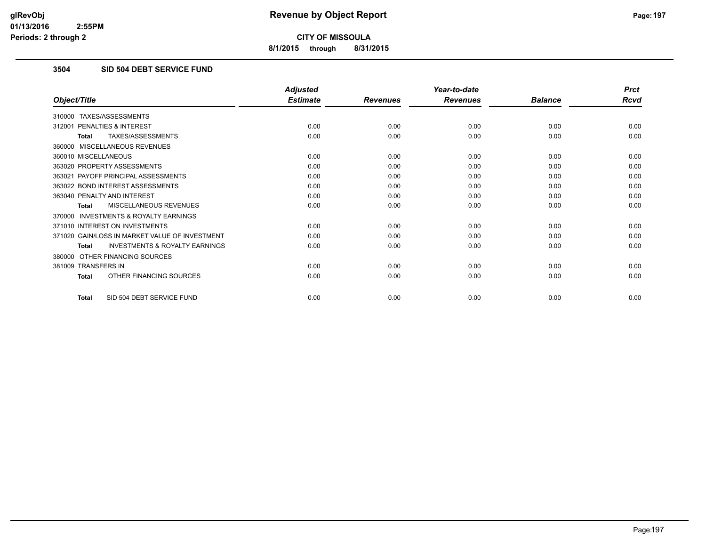**8/1/2015 through 8/31/2015**

# **3504 SID 504 DEBT SERVICE FUND**

|                                                           | <b>Adjusted</b> |                 | Year-to-date    |                | <b>Prct</b> |
|-----------------------------------------------------------|-----------------|-----------------|-----------------|----------------|-------------|
| Object/Title                                              | <b>Estimate</b> | <b>Revenues</b> | <b>Revenues</b> | <b>Balance</b> | <b>Rcvd</b> |
| 310000 TAXES/ASSESSMENTS                                  |                 |                 |                 |                |             |
| PENALTIES & INTEREST<br>312001                            | 0.00            | 0.00            | 0.00            | 0.00           | 0.00        |
| TAXES/ASSESSMENTS<br><b>Total</b>                         | 0.00            | 0.00            | 0.00            | 0.00           | 0.00        |
| 360000 MISCELLANEOUS REVENUES                             |                 |                 |                 |                |             |
| 360010 MISCELLANEOUS                                      | 0.00            | 0.00            | 0.00            | 0.00           | 0.00        |
| 363020 PROPERTY ASSESSMENTS                               | 0.00            | 0.00            | 0.00            | 0.00           | 0.00        |
| 363021 PAYOFF PRINCIPAL ASSESSMENTS                       | 0.00            | 0.00            | 0.00            | 0.00           | 0.00        |
| 363022 BOND INTEREST ASSESSMENTS                          | 0.00            | 0.00            | 0.00            | 0.00           | 0.00        |
| 363040 PENALTY AND INTEREST                               | 0.00            | 0.00            | 0.00            | 0.00           | 0.00        |
| MISCELLANEOUS REVENUES<br><b>Total</b>                    | 0.00            | 0.00            | 0.00            | 0.00           | 0.00        |
| <b>INVESTMENTS &amp; ROYALTY EARNINGS</b><br>370000       |                 |                 |                 |                |             |
| 371010 INTEREST ON INVESTMENTS                            | 0.00            | 0.00            | 0.00            | 0.00           | 0.00        |
| 371020 GAIN/LOSS IN MARKET VALUE OF INVESTMENT            | 0.00            | 0.00            | 0.00            | 0.00           | 0.00        |
| <b>INVESTMENTS &amp; ROYALTY EARNINGS</b><br><b>Total</b> | 0.00            | 0.00            | 0.00            | 0.00           | 0.00        |
| OTHER FINANCING SOURCES<br>380000                         |                 |                 |                 |                |             |
| 381009 TRANSFERS IN                                       | 0.00            | 0.00            | 0.00            | 0.00           | 0.00        |
| OTHER FINANCING SOURCES<br><b>Total</b>                   | 0.00            | 0.00            | 0.00            | 0.00           | 0.00        |
| SID 504 DEBT SERVICE FUND<br><b>Total</b>                 | 0.00            | 0.00            | 0.00            | 0.00           | 0.00        |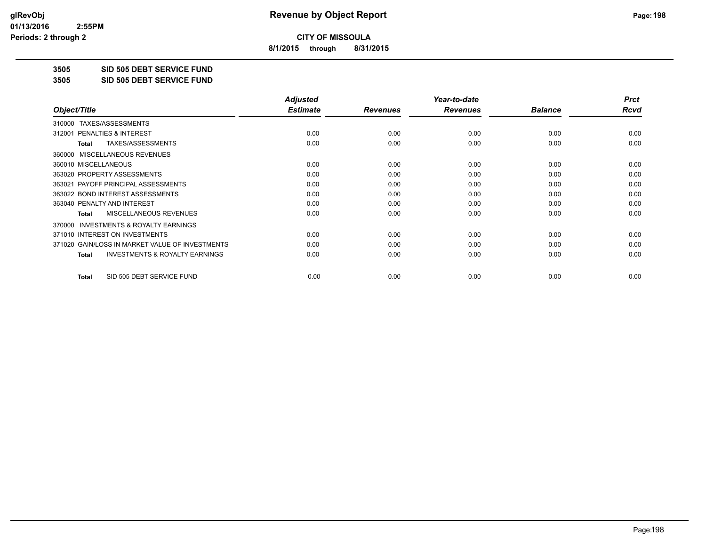**8/1/2015 through 8/31/2015**

**3505 SID 505 DEBT SERVICE FUND**

**3505 SID 505 DEBT SERVICE FUND**

|                                                           | <b>Adjusted</b> |                 | Year-to-date    |                | <b>Prct</b> |
|-----------------------------------------------------------|-----------------|-----------------|-----------------|----------------|-------------|
| Object/Title                                              | <b>Estimate</b> | <b>Revenues</b> | <b>Revenues</b> | <b>Balance</b> | Rcvd        |
| 310000 TAXES/ASSESSMENTS                                  |                 |                 |                 |                |             |
| <b>PENALTIES &amp; INTEREST</b><br>312001                 | 0.00            | 0.00            | 0.00            | 0.00           | 0.00        |
| TAXES/ASSESSMENTS<br>Total                                | 0.00            | 0.00            | 0.00            | 0.00           | 0.00        |
| 360000 MISCELLANEOUS REVENUES                             |                 |                 |                 |                |             |
| 360010 MISCELLANEOUS                                      | 0.00            | 0.00            | 0.00            | 0.00           | 0.00        |
| 363020 PROPERTY ASSESSMENTS                               | 0.00            | 0.00            | 0.00            | 0.00           | 0.00        |
| 363021 PAYOFF PRINCIPAL ASSESSMENTS                       | 0.00            | 0.00            | 0.00            | 0.00           | 0.00        |
| 363022 BOND INTEREST ASSESSMENTS                          | 0.00            | 0.00            | 0.00            | 0.00           | 0.00        |
| 363040 PENALTY AND INTEREST                               | 0.00            | 0.00            | 0.00            | 0.00           | 0.00        |
| <b>MISCELLANEOUS REVENUES</b><br>Total                    | 0.00            | 0.00            | 0.00            | 0.00           | 0.00        |
| <b>INVESTMENTS &amp; ROYALTY EARNINGS</b><br>370000       |                 |                 |                 |                |             |
| 371010 INTEREST ON INVESTMENTS                            | 0.00            | 0.00            | 0.00            | 0.00           | 0.00        |
| 371020 GAIN/LOSS IN MARKET VALUE OF INVESTMENTS           | 0.00            | 0.00            | 0.00            | 0.00           | 0.00        |
| <b>INVESTMENTS &amp; ROYALTY EARNINGS</b><br><b>Total</b> | 0.00            | 0.00            | 0.00            | 0.00           | 0.00        |
| SID 505 DEBT SERVICE FUND<br><b>Total</b>                 | 0.00            | 0.00            | 0.00            | 0.00           | 0.00        |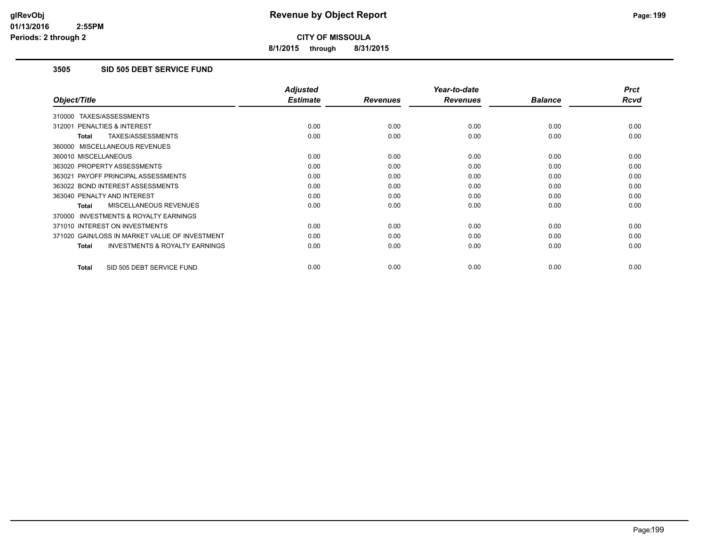**8/1/2015 through 8/31/2015**

# **3505 SID 505 DEBT SERVICE FUND**

|                                                     | <b>Adjusted</b> |                 | Year-to-date    |                | <b>Prct</b> |
|-----------------------------------------------------|-----------------|-----------------|-----------------|----------------|-------------|
| Object/Title                                        | <b>Estimate</b> | <b>Revenues</b> | <b>Revenues</b> | <b>Balance</b> | <b>Rcvd</b> |
| 310000 TAXES/ASSESSMENTS                            |                 |                 |                 |                |             |
| 312001 PENALTIES & INTEREST                         | 0.00            | 0.00            | 0.00            | 0.00           | 0.00        |
| TAXES/ASSESSMENTS<br><b>Total</b>                   | 0.00            | 0.00            | 0.00            | 0.00           | 0.00        |
| 360000 MISCELLANEOUS REVENUES                       |                 |                 |                 |                |             |
| 360010 MISCELLANEOUS                                | 0.00            | 0.00            | 0.00            | 0.00           | 0.00        |
| 363020 PROPERTY ASSESSMENTS                         | 0.00            | 0.00            | 0.00            | 0.00           | 0.00        |
| 363021 PAYOFF PRINCIPAL ASSESSMENTS                 | 0.00            | 0.00            | 0.00            | 0.00           | 0.00        |
| 363022 BOND INTEREST ASSESSMENTS                    | 0.00            | 0.00            | 0.00            | 0.00           | 0.00        |
| 363040 PENALTY AND INTEREST                         | 0.00            | 0.00            | 0.00            | 0.00           | 0.00        |
| <b>MISCELLANEOUS REVENUES</b><br>Total              | 0.00            | 0.00            | 0.00            | 0.00           | 0.00        |
| <b>INVESTMENTS &amp; ROYALTY EARNINGS</b><br>370000 |                 |                 |                 |                |             |
| 371010 INTEREST ON INVESTMENTS                      | 0.00            | 0.00            | 0.00            | 0.00           | 0.00        |
| 371020 GAIN/LOSS IN MARKET VALUE OF INVESTMENT      | 0.00            | 0.00            | 0.00            | 0.00           | 0.00        |
| <b>INVESTMENTS &amp; ROYALTY EARNINGS</b><br>Total  | 0.00            | 0.00            | 0.00            | 0.00           | 0.00        |
| SID 505 DEBT SERVICE FUND<br><b>Total</b>           | 0.00            | 0.00            | 0.00            | 0.00           | 0.00        |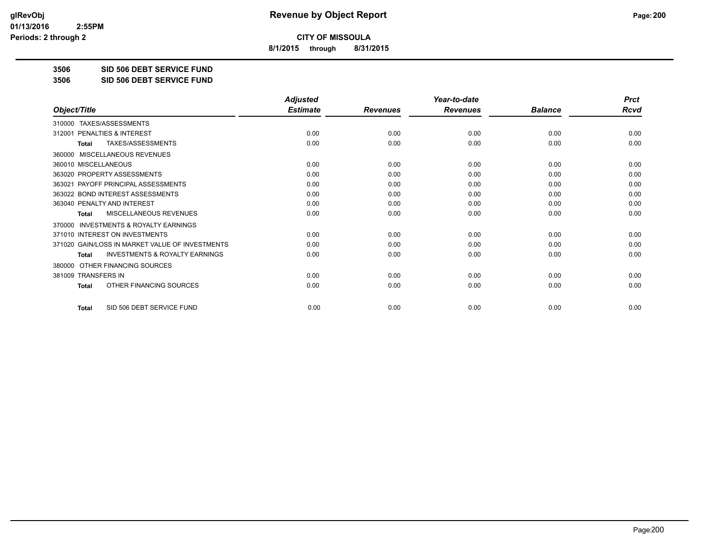**8/1/2015 through 8/31/2015**

**3506 SID 506 DEBT SERVICE FUND**

**3506 SID 506 DEBT SERVICE FUND**

|                                                           | <b>Adjusted</b> |                 | Year-to-date    |                | <b>Prct</b> |
|-----------------------------------------------------------|-----------------|-----------------|-----------------|----------------|-------------|
| Object/Title                                              | <b>Estimate</b> | <b>Revenues</b> | <b>Revenues</b> | <b>Balance</b> | <b>Rcvd</b> |
| TAXES/ASSESSMENTS<br>310000                               |                 |                 |                 |                |             |
| 312001 PENALTIES & INTEREST                               | 0.00            | 0.00            | 0.00            | 0.00           | 0.00        |
| TAXES/ASSESSMENTS<br><b>Total</b>                         | 0.00            | 0.00            | 0.00            | 0.00           | 0.00        |
| MISCELLANEOUS REVENUES<br>360000                          |                 |                 |                 |                |             |
| 360010 MISCELLANEOUS                                      | 0.00            | 0.00            | 0.00            | 0.00           | 0.00        |
| 363020 PROPERTY ASSESSMENTS                               | 0.00            | 0.00            | 0.00            | 0.00           | 0.00        |
| 363021 PAYOFF PRINCIPAL ASSESSMENTS                       | 0.00            | 0.00            | 0.00            | 0.00           | 0.00        |
| 363022 BOND INTEREST ASSESSMENTS                          | 0.00            | 0.00            | 0.00            | 0.00           | 0.00        |
| 363040 PENALTY AND INTEREST                               | 0.00            | 0.00            | 0.00            | 0.00           | 0.00        |
| MISCELLANEOUS REVENUES<br><b>Total</b>                    | 0.00            | 0.00            | 0.00            | 0.00           | 0.00        |
| <b>INVESTMENTS &amp; ROYALTY EARNINGS</b><br>370000       |                 |                 |                 |                |             |
| 371010 INTEREST ON INVESTMENTS                            | 0.00            | 0.00            | 0.00            | 0.00           | 0.00        |
| 371020 GAIN/LOSS IN MARKET VALUE OF INVESTMENTS           | 0.00            | 0.00            | 0.00            | 0.00           | 0.00        |
| <b>INVESTMENTS &amp; ROYALTY EARNINGS</b><br><b>Total</b> | 0.00            | 0.00            | 0.00            | 0.00           | 0.00        |
| OTHER FINANCING SOURCES<br>380000                         |                 |                 |                 |                |             |
| 381009 TRANSFERS IN                                       | 0.00            | 0.00            | 0.00            | 0.00           | 0.00        |
| OTHER FINANCING SOURCES<br><b>Total</b>                   | 0.00            | 0.00            | 0.00            | 0.00           | 0.00        |
| SID 506 DEBT SERVICE FUND<br><b>Total</b>                 | 0.00            | 0.00            | 0.00            | 0.00           | 0.00        |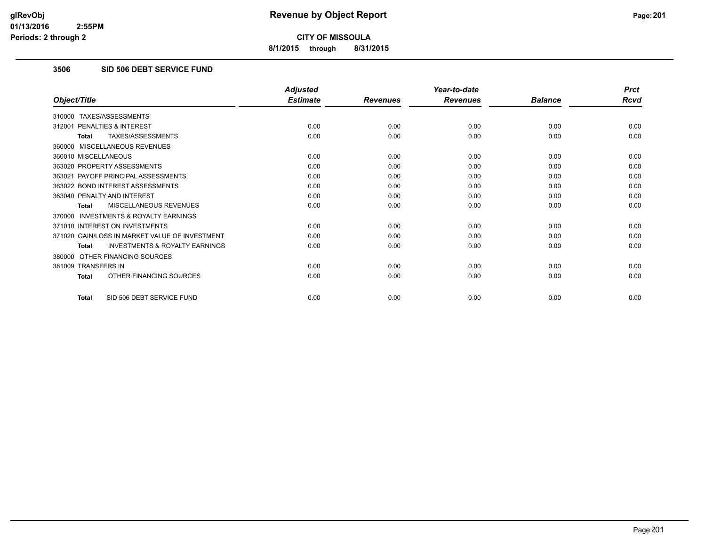**8/1/2015 through 8/31/2015**

# **3506 SID 506 DEBT SERVICE FUND**

|                                                           | <b>Adjusted</b> |                 | Year-to-date    |                | <b>Prct</b> |
|-----------------------------------------------------------|-----------------|-----------------|-----------------|----------------|-------------|
| Object/Title                                              | <b>Estimate</b> | <b>Revenues</b> | <b>Revenues</b> | <b>Balance</b> | <b>Rcvd</b> |
| 310000 TAXES/ASSESSMENTS                                  |                 |                 |                 |                |             |
| 312001 PENALTIES & INTEREST                               | 0.00            | 0.00            | 0.00            | 0.00           | 0.00        |
| TAXES/ASSESSMENTS<br><b>Total</b>                         | 0.00            | 0.00            | 0.00            | 0.00           | 0.00        |
| 360000 MISCELLANEOUS REVENUES                             |                 |                 |                 |                |             |
| 360010 MISCELLANEOUS                                      | 0.00            | 0.00            | 0.00            | 0.00           | 0.00        |
| 363020 PROPERTY ASSESSMENTS                               | 0.00            | 0.00            | 0.00            | 0.00           | 0.00        |
| 363021 PAYOFF PRINCIPAL ASSESSMENTS                       | 0.00            | 0.00            | 0.00            | 0.00           | 0.00        |
| 363022 BOND INTEREST ASSESSMENTS                          | 0.00            | 0.00            | 0.00            | 0.00           | 0.00        |
| 363040 PENALTY AND INTEREST                               | 0.00            | 0.00            | 0.00            | 0.00           | 0.00        |
| MISCELLANEOUS REVENUES<br><b>Total</b>                    | 0.00            | 0.00            | 0.00            | 0.00           | 0.00        |
| <b>INVESTMENTS &amp; ROYALTY EARNINGS</b><br>370000       |                 |                 |                 |                |             |
| 371010 INTEREST ON INVESTMENTS                            | 0.00            | 0.00            | 0.00            | 0.00           | 0.00        |
| 371020 GAIN/LOSS IN MARKET VALUE OF INVESTMENT            | 0.00            | 0.00            | 0.00            | 0.00           | 0.00        |
| <b>INVESTMENTS &amp; ROYALTY EARNINGS</b><br><b>Total</b> | 0.00            | 0.00            | 0.00            | 0.00           | 0.00        |
| 380000 OTHER FINANCING SOURCES                            |                 |                 |                 |                |             |
| 381009 TRANSFERS IN                                       | 0.00            | 0.00            | 0.00            | 0.00           | 0.00        |
| OTHER FINANCING SOURCES<br>Total                          | 0.00            | 0.00            | 0.00            | 0.00           | 0.00        |
| SID 506 DEBT SERVICE FUND<br><b>Total</b>                 | 0.00            | 0.00            | 0.00            | 0.00           | 0.00        |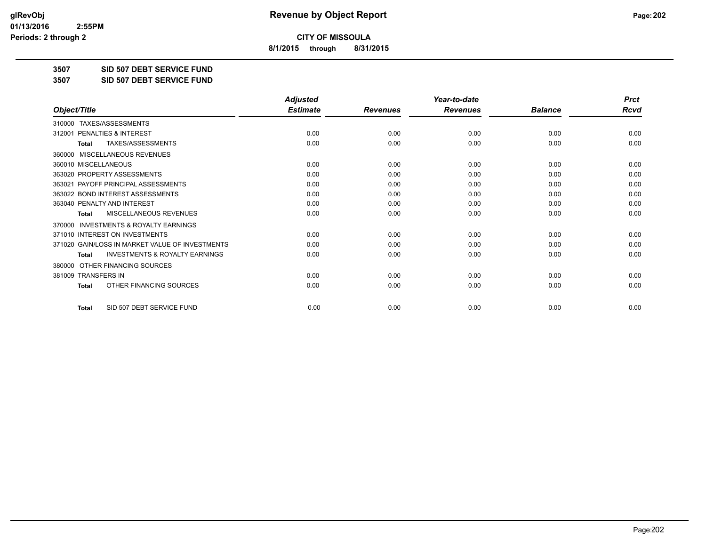**8/1/2015 through 8/31/2015**

**3507 SID 507 DEBT SERVICE FUND**

**3507 SID 507 DEBT SERVICE FUND**

|                                                           | <b>Adjusted</b> |                 | Year-to-date    |                | <b>Prct</b> |
|-----------------------------------------------------------|-----------------|-----------------|-----------------|----------------|-------------|
| Object/Title                                              | <b>Estimate</b> | <b>Revenues</b> | <b>Revenues</b> | <b>Balance</b> | <b>Rcvd</b> |
| TAXES/ASSESSMENTS<br>310000                               |                 |                 |                 |                |             |
| 312001 PENALTIES & INTEREST                               | 0.00            | 0.00            | 0.00            | 0.00           | 0.00        |
| TAXES/ASSESSMENTS<br><b>Total</b>                         | 0.00            | 0.00            | 0.00            | 0.00           | 0.00        |
| MISCELLANEOUS REVENUES<br>360000                          |                 |                 |                 |                |             |
| 360010 MISCELLANEOUS                                      | 0.00            | 0.00            | 0.00            | 0.00           | 0.00        |
| 363020 PROPERTY ASSESSMENTS                               | 0.00            | 0.00            | 0.00            | 0.00           | 0.00        |
| 363021 PAYOFF PRINCIPAL ASSESSMENTS                       | 0.00            | 0.00            | 0.00            | 0.00           | 0.00        |
| 363022 BOND INTEREST ASSESSMENTS                          | 0.00            | 0.00            | 0.00            | 0.00           | 0.00        |
| 363040 PENALTY AND INTEREST                               | 0.00            | 0.00            | 0.00            | 0.00           | 0.00        |
| MISCELLANEOUS REVENUES<br><b>Total</b>                    | 0.00            | 0.00            | 0.00            | 0.00           | 0.00        |
| <b>INVESTMENTS &amp; ROYALTY EARNINGS</b><br>370000       |                 |                 |                 |                |             |
| 371010 INTEREST ON INVESTMENTS                            | 0.00            | 0.00            | 0.00            | 0.00           | 0.00        |
| 371020 GAIN/LOSS IN MARKET VALUE OF INVESTMENTS           | 0.00            | 0.00            | 0.00            | 0.00           | 0.00        |
| <b>INVESTMENTS &amp; ROYALTY EARNINGS</b><br><b>Total</b> | 0.00            | 0.00            | 0.00            | 0.00           | 0.00        |
| OTHER FINANCING SOURCES<br>380000                         |                 |                 |                 |                |             |
| 381009 TRANSFERS IN                                       | 0.00            | 0.00            | 0.00            | 0.00           | 0.00        |
| OTHER FINANCING SOURCES<br><b>Total</b>                   | 0.00            | 0.00            | 0.00            | 0.00           | 0.00        |
| SID 507 DEBT SERVICE FUND<br><b>Total</b>                 | 0.00            | 0.00            | 0.00            | 0.00           | 0.00        |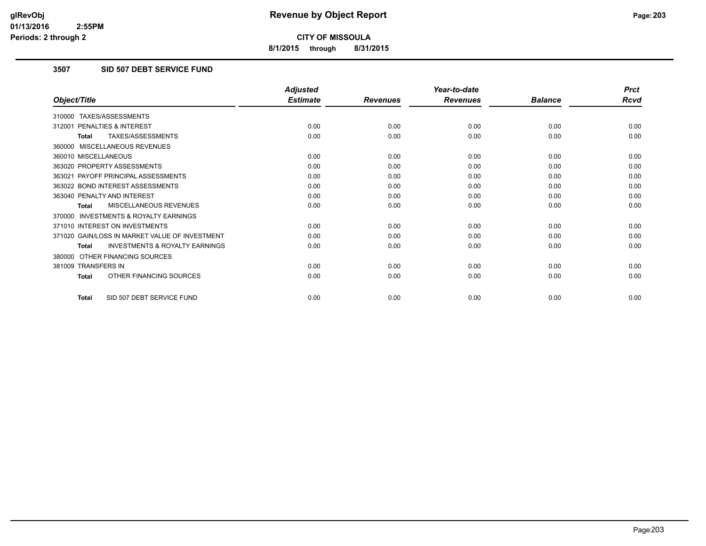**8/1/2015 through 8/31/2015**

# **3507 SID 507 DEBT SERVICE FUND**

|                                                           | <b>Adjusted</b> |                 | Year-to-date    |                | <b>Prct</b> |
|-----------------------------------------------------------|-----------------|-----------------|-----------------|----------------|-------------|
| Object/Title                                              | <b>Estimate</b> | <b>Revenues</b> | <b>Revenues</b> | <b>Balance</b> | <b>Rcvd</b> |
| 310000 TAXES/ASSESSMENTS                                  |                 |                 |                 |                |             |
| 312001 PENALTIES & INTEREST                               | 0.00            | 0.00            | 0.00            | 0.00           | 0.00        |
| TAXES/ASSESSMENTS<br><b>Total</b>                         | 0.00            | 0.00            | 0.00            | 0.00           | 0.00        |
| 360000 MISCELLANEOUS REVENUES                             |                 |                 |                 |                |             |
| 360010 MISCELLANEOUS                                      | 0.00            | 0.00            | 0.00            | 0.00           | 0.00        |
| 363020 PROPERTY ASSESSMENTS                               | 0.00            | 0.00            | 0.00            | 0.00           | 0.00        |
| 363021 PAYOFF PRINCIPAL ASSESSMENTS                       | 0.00            | 0.00            | 0.00            | 0.00           | 0.00        |
| 363022 BOND INTEREST ASSESSMENTS                          | 0.00            | 0.00            | 0.00            | 0.00           | 0.00        |
| 363040 PENALTY AND INTEREST                               | 0.00            | 0.00            | 0.00            | 0.00           | 0.00        |
| MISCELLANEOUS REVENUES<br><b>Total</b>                    | 0.00            | 0.00            | 0.00            | 0.00           | 0.00        |
| <b>INVESTMENTS &amp; ROYALTY EARNINGS</b><br>370000       |                 |                 |                 |                |             |
| 371010 INTEREST ON INVESTMENTS                            | 0.00            | 0.00            | 0.00            | 0.00           | 0.00        |
| 371020 GAIN/LOSS IN MARKET VALUE OF INVESTMENT            | 0.00            | 0.00            | 0.00            | 0.00           | 0.00        |
| <b>INVESTMENTS &amp; ROYALTY EARNINGS</b><br><b>Total</b> | 0.00            | 0.00            | 0.00            | 0.00           | 0.00        |
| 380000 OTHER FINANCING SOURCES                            |                 |                 |                 |                |             |
| 381009 TRANSFERS IN                                       | 0.00            | 0.00            | 0.00            | 0.00           | 0.00        |
| OTHER FINANCING SOURCES<br>Total                          | 0.00            | 0.00            | 0.00            | 0.00           | 0.00        |
| SID 507 DEBT SERVICE FUND<br><b>Total</b>                 | 0.00            | 0.00            | 0.00            | 0.00           | 0.00        |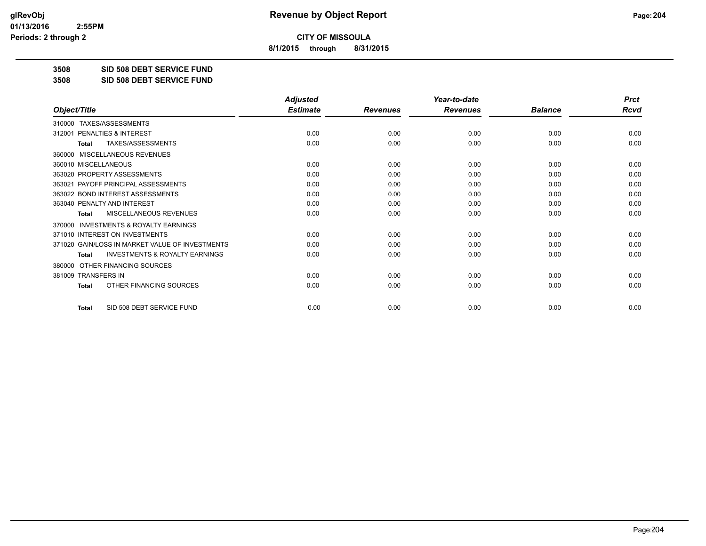**8/1/2015 through 8/31/2015**

**3508 SID 508 DEBT SERVICE FUND**

**3508 SID 508 DEBT SERVICE FUND**

|                                                           | <b>Adjusted</b> |                 | Year-to-date    |                | <b>Prct</b> |
|-----------------------------------------------------------|-----------------|-----------------|-----------------|----------------|-------------|
| Object/Title                                              | <b>Estimate</b> | <b>Revenues</b> | <b>Revenues</b> | <b>Balance</b> | <b>Rcvd</b> |
| TAXES/ASSESSMENTS<br>310000                               |                 |                 |                 |                |             |
| 312001 PENALTIES & INTEREST                               | 0.00            | 0.00            | 0.00            | 0.00           | 0.00        |
| TAXES/ASSESSMENTS<br><b>Total</b>                         | 0.00            | 0.00            | 0.00            | 0.00           | 0.00        |
| MISCELLANEOUS REVENUES<br>360000                          |                 |                 |                 |                |             |
| 360010 MISCELLANEOUS                                      | 0.00            | 0.00            | 0.00            | 0.00           | 0.00        |
| 363020 PROPERTY ASSESSMENTS                               | 0.00            | 0.00            | 0.00            | 0.00           | 0.00        |
| 363021 PAYOFF PRINCIPAL ASSESSMENTS                       | 0.00            | 0.00            | 0.00            | 0.00           | 0.00        |
| 363022 BOND INTEREST ASSESSMENTS                          | 0.00            | 0.00            | 0.00            | 0.00           | 0.00        |
| 363040 PENALTY AND INTEREST                               | 0.00            | 0.00            | 0.00            | 0.00           | 0.00        |
| MISCELLANEOUS REVENUES<br><b>Total</b>                    | 0.00            | 0.00            | 0.00            | 0.00           | 0.00        |
| <b>INVESTMENTS &amp; ROYALTY EARNINGS</b><br>370000       |                 |                 |                 |                |             |
| 371010 INTEREST ON INVESTMENTS                            | 0.00            | 0.00            | 0.00            | 0.00           | 0.00        |
| 371020 GAIN/LOSS IN MARKET VALUE OF INVESTMENTS           | 0.00            | 0.00            | 0.00            | 0.00           | 0.00        |
| <b>INVESTMENTS &amp; ROYALTY EARNINGS</b><br><b>Total</b> | 0.00            | 0.00            | 0.00            | 0.00           | 0.00        |
| OTHER FINANCING SOURCES<br>380000                         |                 |                 |                 |                |             |
| 381009 TRANSFERS IN                                       | 0.00            | 0.00            | 0.00            | 0.00           | 0.00        |
| OTHER FINANCING SOURCES<br><b>Total</b>                   | 0.00            | 0.00            | 0.00            | 0.00           | 0.00        |
| SID 508 DEBT SERVICE FUND<br><b>Total</b>                 | 0.00            | 0.00            | 0.00            | 0.00           | 0.00        |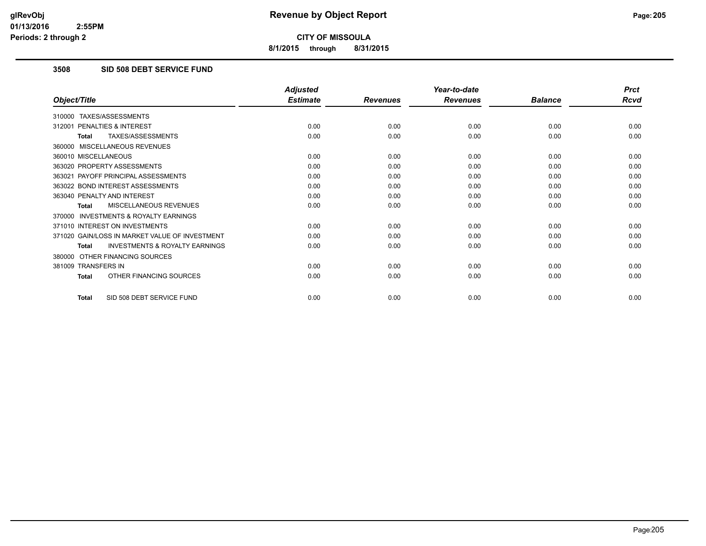**8/1/2015 through 8/31/2015**

# **3508 SID 508 DEBT SERVICE FUND**

|                                                           | <b>Adjusted</b> |                 | Year-to-date    |                | <b>Prct</b> |
|-----------------------------------------------------------|-----------------|-----------------|-----------------|----------------|-------------|
| Object/Title                                              | <b>Estimate</b> | <b>Revenues</b> | <b>Revenues</b> | <b>Balance</b> | <b>Rcvd</b> |
| 310000 TAXES/ASSESSMENTS                                  |                 |                 |                 |                |             |
| PENALTIES & INTEREST<br>312001                            | 0.00            | 0.00            | 0.00            | 0.00           | 0.00        |
| TAXES/ASSESSMENTS<br><b>Total</b>                         | 0.00            | 0.00            | 0.00            | 0.00           | 0.00        |
| 360000 MISCELLANEOUS REVENUES                             |                 |                 |                 |                |             |
| 360010 MISCELLANEOUS                                      | 0.00            | 0.00            | 0.00            | 0.00           | 0.00        |
| 363020 PROPERTY ASSESSMENTS                               | 0.00            | 0.00            | 0.00            | 0.00           | 0.00        |
| 363021 PAYOFF PRINCIPAL ASSESSMENTS                       | 0.00            | 0.00            | 0.00            | 0.00           | 0.00        |
| 363022 BOND INTEREST ASSESSMENTS                          | 0.00            | 0.00            | 0.00            | 0.00           | 0.00        |
| 363040 PENALTY AND INTEREST                               | 0.00            | 0.00            | 0.00            | 0.00           | 0.00        |
| MISCELLANEOUS REVENUES<br><b>Total</b>                    | 0.00            | 0.00            | 0.00            | 0.00           | 0.00        |
| <b>INVESTMENTS &amp; ROYALTY EARNINGS</b><br>370000       |                 |                 |                 |                |             |
| 371010 INTEREST ON INVESTMENTS                            | 0.00            | 0.00            | 0.00            | 0.00           | 0.00        |
| 371020 GAIN/LOSS IN MARKET VALUE OF INVESTMENT            | 0.00            | 0.00            | 0.00            | 0.00           | 0.00        |
| <b>INVESTMENTS &amp; ROYALTY EARNINGS</b><br><b>Total</b> | 0.00            | 0.00            | 0.00            | 0.00           | 0.00        |
| OTHER FINANCING SOURCES<br>380000                         |                 |                 |                 |                |             |
| 381009 TRANSFERS IN                                       | 0.00            | 0.00            | 0.00            | 0.00           | 0.00        |
| OTHER FINANCING SOURCES<br><b>Total</b>                   | 0.00            | 0.00            | 0.00            | 0.00           | 0.00        |
| SID 508 DEBT SERVICE FUND<br><b>Total</b>                 | 0.00            | 0.00            | 0.00            | 0.00           | 0.00        |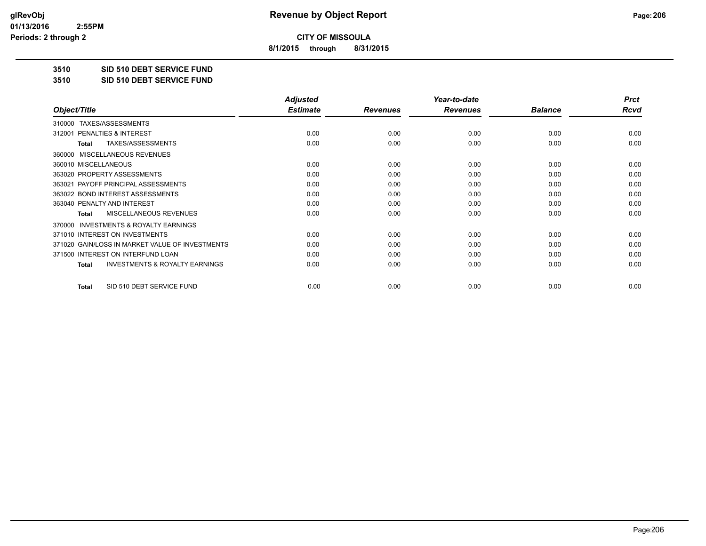**8/1/2015 through 8/31/2015**

**3510 SID 510 DEBT SERVICE FUND**

**3510 SID 510 DEBT SERVICE FUND**

|                                                           | <b>Adjusted</b> |                 | Year-to-date    |                | <b>Prct</b> |
|-----------------------------------------------------------|-----------------|-----------------|-----------------|----------------|-------------|
| Object/Title                                              | <b>Estimate</b> | <b>Revenues</b> | <b>Revenues</b> | <b>Balance</b> | <b>Rcvd</b> |
| TAXES/ASSESSMENTS<br>310000                               |                 |                 |                 |                |             |
| 312001 PENALTIES & INTEREST                               | 0.00            | 0.00            | 0.00            | 0.00           | 0.00        |
| TAXES/ASSESSMENTS<br><b>Total</b>                         | 0.00            | 0.00            | 0.00            | 0.00           | 0.00        |
| <b>MISCELLANEOUS REVENUES</b><br>360000                   |                 |                 |                 |                |             |
| 360010 MISCELLANEOUS                                      | 0.00            | 0.00            | 0.00            | 0.00           | 0.00        |
| 363020 PROPERTY ASSESSMENTS                               | 0.00            | 0.00            | 0.00            | 0.00           | 0.00        |
| 363021 PAYOFF PRINCIPAL ASSESSMENTS                       | 0.00            | 0.00            | 0.00            | 0.00           | 0.00        |
| 363022 BOND INTEREST ASSESSMENTS                          | 0.00            | 0.00            | 0.00            | 0.00           | 0.00        |
| 363040 PENALTY AND INTEREST                               | 0.00            | 0.00            | 0.00            | 0.00           | 0.00        |
| <b>MISCELLANEOUS REVENUES</b><br><b>Total</b>             | 0.00            | 0.00            | 0.00            | 0.00           | 0.00        |
| <b>INVESTMENTS &amp; ROYALTY EARNINGS</b><br>370000       |                 |                 |                 |                |             |
| 371010 INTEREST ON INVESTMENTS                            | 0.00            | 0.00            | 0.00            | 0.00           | 0.00        |
| 371020 GAIN/LOSS IN MARKET VALUE OF INVESTMENTS           | 0.00            | 0.00            | 0.00            | 0.00           | 0.00        |
| 371500 INTEREST ON INTERFUND LOAN                         | 0.00            | 0.00            | 0.00            | 0.00           | 0.00        |
| <b>INVESTMENTS &amp; ROYALTY EARNINGS</b><br><b>Total</b> | 0.00            | 0.00            | 0.00            | 0.00           | 0.00        |
| SID 510 DEBT SERVICE FUND<br>Total                        | 0.00            | 0.00            | 0.00            | 0.00           | 0.00        |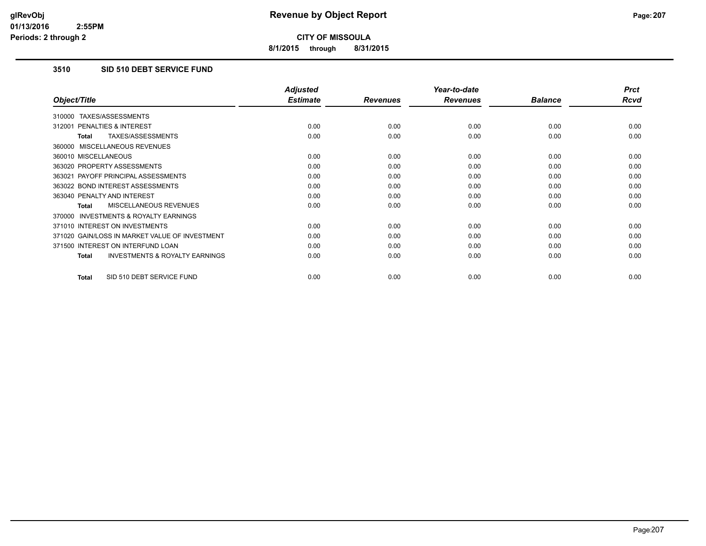**8/1/2015 through 8/31/2015**

# **3510 SID 510 DEBT SERVICE FUND**

|                                                     | <b>Adjusted</b> |                 | Year-to-date    |                | <b>Prct</b> |
|-----------------------------------------------------|-----------------|-----------------|-----------------|----------------|-------------|
| Object/Title                                        | <b>Estimate</b> | <b>Revenues</b> | <b>Revenues</b> | <b>Balance</b> | Rcvd        |
| TAXES/ASSESSMENTS<br>310000                         |                 |                 |                 |                |             |
| PENALTIES & INTEREST<br>312001                      | 0.00            | 0.00            | 0.00            | 0.00           | 0.00        |
| TAXES/ASSESSMENTS<br>Total                          | 0.00            | 0.00            | 0.00            | 0.00           | 0.00        |
| 360000 MISCELLANEOUS REVENUES                       |                 |                 |                 |                |             |
| 360010 MISCELLANEOUS                                | 0.00            | 0.00            | 0.00            | 0.00           | 0.00        |
| 363020 PROPERTY ASSESSMENTS                         | 0.00            | 0.00            | 0.00            | 0.00           | 0.00        |
| 363021 PAYOFF PRINCIPAL ASSESSMENTS                 | 0.00            | 0.00            | 0.00            | 0.00           | 0.00        |
| 363022 BOND INTEREST ASSESSMENTS                    | 0.00            | 0.00            | 0.00            | 0.00           | 0.00        |
| 363040 PENALTY AND INTEREST                         | 0.00            | 0.00            | 0.00            | 0.00           | 0.00        |
| <b>MISCELLANEOUS REVENUES</b><br><b>Total</b>       | 0.00            | 0.00            | 0.00            | 0.00           | 0.00        |
| <b>INVESTMENTS &amp; ROYALTY EARNINGS</b><br>370000 |                 |                 |                 |                |             |
| 371010 INTEREST ON INVESTMENTS                      | 0.00            | 0.00            | 0.00            | 0.00           | 0.00        |
| 371020 GAIN/LOSS IN MARKET VALUE OF INVESTMENT      | 0.00            | 0.00            | 0.00            | 0.00           | 0.00        |
| 371500 INTEREST ON INTERFUND LOAN                   | 0.00            | 0.00            | 0.00            | 0.00           | 0.00        |
| <b>INVESTMENTS &amp; ROYALTY EARNINGS</b><br>Total  | 0.00            | 0.00            | 0.00            | 0.00           | 0.00        |
| SID 510 DEBT SERVICE FUND<br><b>Total</b>           | 0.00            | 0.00            | 0.00            | 0.00           | 0.00        |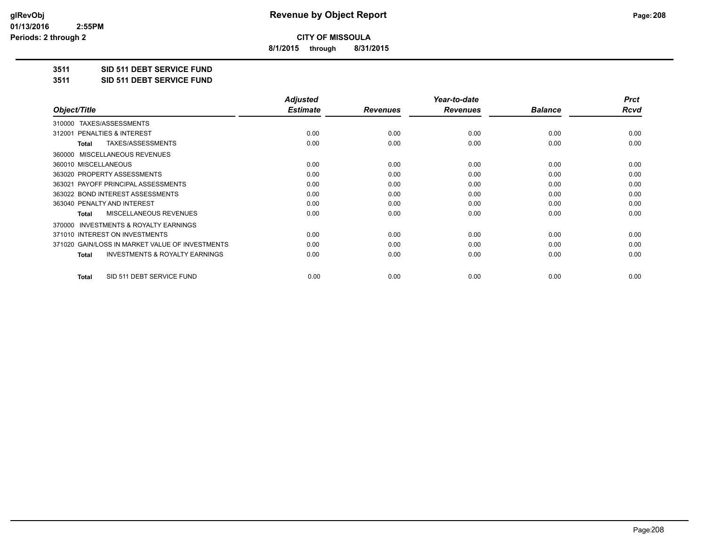**8/1/2015 through 8/31/2015**

**3511 SID 511 DEBT SERVICE FUND**

**3511 SID 511 DEBT SERVICE FUND**

|                                                           | <b>Adjusted</b> |                 | Year-to-date    |                | <b>Prct</b> |
|-----------------------------------------------------------|-----------------|-----------------|-----------------|----------------|-------------|
| Object/Title                                              | <b>Estimate</b> | <b>Revenues</b> | <b>Revenues</b> | <b>Balance</b> | Rcvd        |
| TAXES/ASSESSMENTS<br>310000                               |                 |                 |                 |                |             |
| 312001 PENALTIES & INTEREST                               | 0.00            | 0.00            | 0.00            | 0.00           | 0.00        |
| TAXES/ASSESSMENTS<br>Total                                | 0.00            | 0.00            | 0.00            | 0.00           | 0.00        |
| MISCELLANEOUS REVENUES<br>360000                          |                 |                 |                 |                |             |
| 360010 MISCELLANEOUS                                      | 0.00            | 0.00            | 0.00            | 0.00           | 0.00        |
| 363020 PROPERTY ASSESSMENTS                               | 0.00            | 0.00            | 0.00            | 0.00           | 0.00        |
| 363021 PAYOFF PRINCIPAL ASSESSMENTS                       | 0.00            | 0.00            | 0.00            | 0.00           | 0.00        |
| 363022 BOND INTEREST ASSESSMENTS                          | 0.00            | 0.00            | 0.00            | 0.00           | 0.00        |
| 363040 PENALTY AND INTEREST                               | 0.00            | 0.00            | 0.00            | 0.00           | 0.00        |
| MISCELLANEOUS REVENUES<br><b>Total</b>                    | 0.00            | 0.00            | 0.00            | 0.00           | 0.00        |
| <b>INVESTMENTS &amp; ROYALTY EARNINGS</b><br>370000       |                 |                 |                 |                |             |
| 371010 INTEREST ON INVESTMENTS                            | 0.00            | 0.00            | 0.00            | 0.00           | 0.00        |
| 371020 GAIN/LOSS IN MARKET VALUE OF INVESTMENTS           | 0.00            | 0.00            | 0.00            | 0.00           | 0.00        |
| <b>INVESTMENTS &amp; ROYALTY EARNINGS</b><br><b>Total</b> | 0.00            | 0.00            | 0.00            | 0.00           | 0.00        |
| SID 511 DEBT SERVICE FUND<br>Total                        | 0.00            | 0.00            | 0.00            | 0.00           | 0.00        |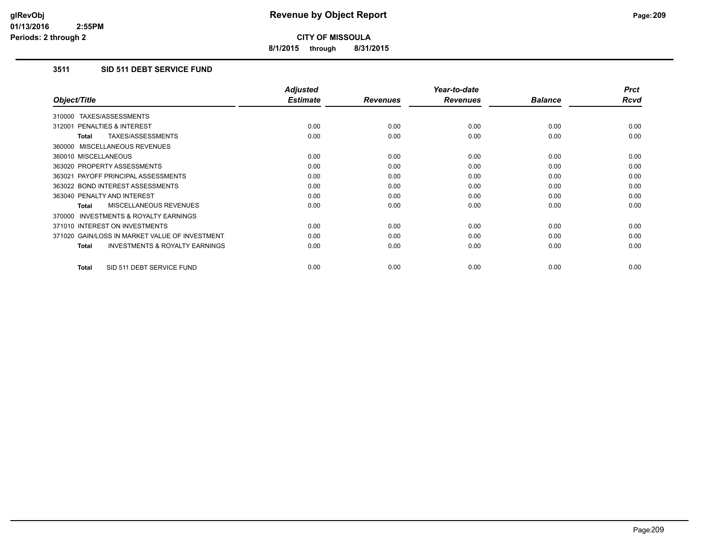**8/1/2015 through 8/31/2015**

# **3511 SID 511 DEBT SERVICE FUND**

|                                                     | <b>Adjusted</b> |                 | Year-to-date    |                | <b>Prct</b> |
|-----------------------------------------------------|-----------------|-----------------|-----------------|----------------|-------------|
| Object/Title                                        | <b>Estimate</b> | <b>Revenues</b> | <b>Revenues</b> | <b>Balance</b> | <b>Rcvd</b> |
| 310000 TAXES/ASSESSMENTS                            |                 |                 |                 |                |             |
| 312001 PENALTIES & INTEREST                         | 0.00            | 0.00            | 0.00            | 0.00           | 0.00        |
| TAXES/ASSESSMENTS<br><b>Total</b>                   | 0.00            | 0.00            | 0.00            | 0.00           | 0.00        |
| 360000 MISCELLANEOUS REVENUES                       |                 |                 |                 |                |             |
| 360010 MISCELLANEOUS                                | 0.00            | 0.00            | 0.00            | 0.00           | 0.00        |
| 363020 PROPERTY ASSESSMENTS                         | 0.00            | 0.00            | 0.00            | 0.00           | 0.00        |
| 363021 PAYOFF PRINCIPAL ASSESSMENTS                 | 0.00            | 0.00            | 0.00            | 0.00           | 0.00        |
| 363022 BOND INTEREST ASSESSMENTS                    | 0.00            | 0.00            | 0.00            | 0.00           | 0.00        |
| 363040 PENALTY AND INTEREST                         | 0.00            | 0.00            | 0.00            | 0.00           | 0.00        |
| <b>MISCELLANEOUS REVENUES</b><br>Total              | 0.00            | 0.00            | 0.00            | 0.00           | 0.00        |
| <b>INVESTMENTS &amp; ROYALTY EARNINGS</b><br>370000 |                 |                 |                 |                |             |
| 371010 INTEREST ON INVESTMENTS                      | 0.00            | 0.00            | 0.00            | 0.00           | 0.00        |
| 371020 GAIN/LOSS IN MARKET VALUE OF INVESTMENT      | 0.00            | 0.00            | 0.00            | 0.00           | 0.00        |
| <b>INVESTMENTS &amp; ROYALTY EARNINGS</b><br>Total  | 0.00            | 0.00            | 0.00            | 0.00           | 0.00        |
| SID 511 DEBT SERVICE FUND<br><b>Total</b>           | 0.00            | 0.00            | 0.00            | 0.00           | 0.00        |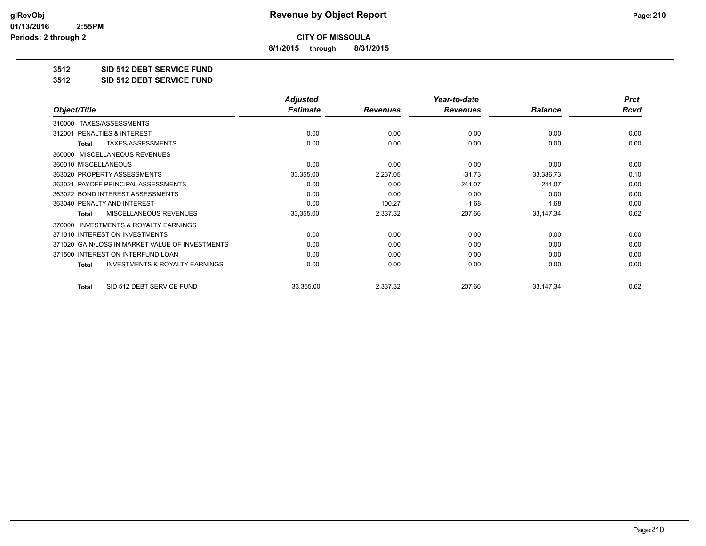**8/1/2015 through 8/31/2015**

#### **3512 SID 512 DEBT SERVICE FUND**

**3512 SID 512 DEBT SERVICE FUND**

|                                                           | <b>Adjusted</b> |                 | Year-to-date    |                | <b>Prct</b> |
|-----------------------------------------------------------|-----------------|-----------------|-----------------|----------------|-------------|
| Object/Title                                              | <b>Estimate</b> | <b>Revenues</b> | <b>Revenues</b> | <b>Balance</b> | Rcvd        |
| TAXES/ASSESSMENTS<br>310000                               |                 |                 |                 |                |             |
| 312001 PENALTIES & INTEREST                               | 0.00            | 0.00            | 0.00            | 0.00           | 0.00        |
| TAXES/ASSESSMENTS<br><b>Total</b>                         | 0.00            | 0.00            | 0.00            | 0.00           | 0.00        |
| <b>MISCELLANEOUS REVENUES</b><br>360000                   |                 |                 |                 |                |             |
| 360010 MISCELLANEOUS                                      | 0.00            | 0.00            | 0.00            | 0.00           | 0.00        |
| 363020 PROPERTY ASSESSMENTS                               | 33,355.00       | 2,237.05        | $-31.73$        | 33,386.73      | $-0.10$     |
| 363021 PAYOFF PRINCIPAL ASSESSMENTS                       | 0.00            | 0.00            | 241.07          | $-241.07$      | 0.00        |
| 363022 BOND INTEREST ASSESSMENTS                          | 0.00            | 0.00            | 0.00            | 0.00           | 0.00        |
| 363040 PENALTY AND INTEREST                               | 0.00            | 100.27          | $-1.68$         | 1.68           | 0.00        |
| <b>MISCELLANEOUS REVENUES</b><br><b>Total</b>             | 33,355.00       | 2,337.32        | 207.66          | 33,147.34      | 0.62        |
| <b>INVESTMENTS &amp; ROYALTY EARNINGS</b><br>370000       |                 |                 |                 |                |             |
| 371010 INTEREST ON INVESTMENTS                            | 0.00            | 0.00            | 0.00            | 0.00           | 0.00        |
| 371020 GAIN/LOSS IN MARKET VALUE OF INVESTMENTS           | 0.00            | 0.00            | 0.00            | 0.00           | 0.00        |
| 371500 INTEREST ON INTERFUND LOAN                         | 0.00            | 0.00            | 0.00            | 0.00           | 0.00        |
| <b>INVESTMENTS &amp; ROYALTY EARNINGS</b><br><b>Total</b> | 0.00            | 0.00            | 0.00            | 0.00           | 0.00        |
| SID 512 DEBT SERVICE FUND<br><b>Total</b>                 | 33,355.00       | 2,337.32        | 207.66          | 33,147.34      | 0.62        |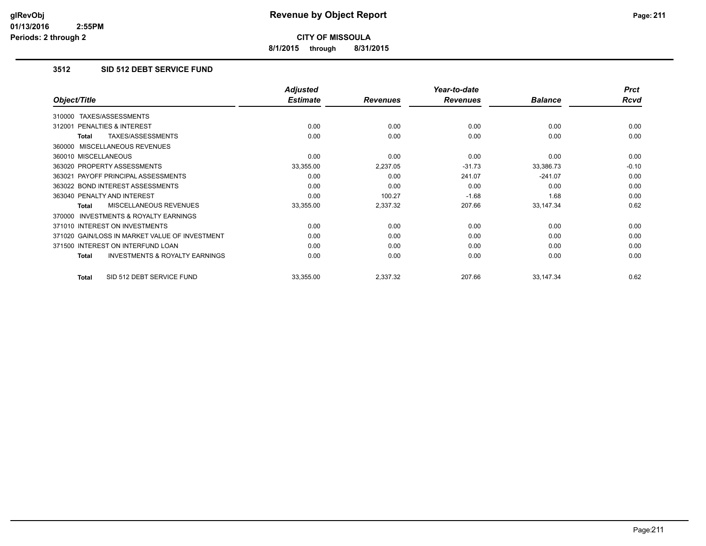**8/1/2015 through 8/31/2015**

# **3512 SID 512 DEBT SERVICE FUND**

|                                                    | <b>Adjusted</b> |                 | Year-to-date    |                | <b>Prct</b> |
|----------------------------------------------------|-----------------|-----------------|-----------------|----------------|-------------|
| Object/Title                                       | <b>Estimate</b> | <b>Revenues</b> | <b>Revenues</b> | <b>Balance</b> | <b>Rcvd</b> |
| TAXES/ASSESSMENTS<br>310000                        |                 |                 |                 |                |             |
| 312001 PENALTIES & INTEREST                        | 0.00            | 0.00            | 0.00            | 0.00           | 0.00        |
| TAXES/ASSESSMENTS<br>Total                         | 0.00            | 0.00            | 0.00            | 0.00           | 0.00        |
| 360000 MISCELLANEOUS REVENUES                      |                 |                 |                 |                |             |
| 360010 MISCELLANEOUS                               | 0.00            | 0.00            | 0.00            | 0.00           | 0.00        |
| 363020 PROPERTY ASSESSMENTS                        | 33,355.00       | 2,237.05        | $-31.73$        | 33,386.73      | $-0.10$     |
| 363021 PAYOFF PRINCIPAL ASSESSMENTS                | 0.00            | 0.00            | 241.07          | $-241.07$      | 0.00        |
| 363022 BOND INTEREST ASSESSMENTS                   | 0.00            | 0.00            | 0.00            | 0.00           | 0.00        |
| 363040 PENALTY AND INTEREST                        | 0.00            | 100.27          | $-1.68$         | 1.68           | 0.00        |
| MISCELLANEOUS REVENUES<br>Total                    | 33,355.00       | 2,337.32        | 207.66          | 33,147.34      | 0.62        |
| 370000 INVESTMENTS & ROYALTY EARNINGS              |                 |                 |                 |                |             |
| 371010 INTEREST ON INVESTMENTS                     | 0.00            | 0.00            | 0.00            | 0.00           | 0.00        |
| 371020 GAIN/LOSS IN MARKET VALUE OF INVESTMENT     | 0.00            | 0.00            | 0.00            | 0.00           | 0.00        |
| 371500 INTEREST ON INTERFUND LOAN                  | 0.00            | 0.00            | 0.00            | 0.00           | 0.00        |
| <b>INVESTMENTS &amp; ROYALTY EARNINGS</b><br>Total | 0.00            | 0.00            | 0.00            | 0.00           | 0.00        |
| SID 512 DEBT SERVICE FUND<br>Total                 | 33,355.00       | 2,337.32        | 207.66          | 33,147.34      | 0.62        |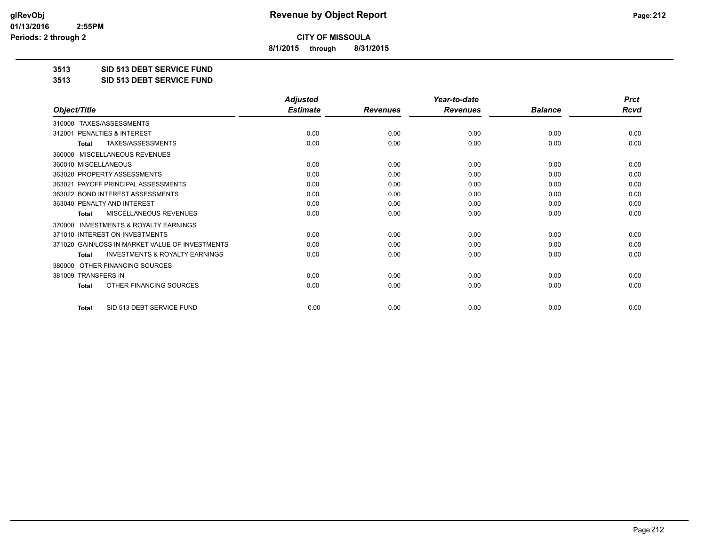**8/1/2015 through 8/31/2015**

**3513 SID 513 DEBT SERVICE FUND**

**3513 SID 513 DEBT SERVICE FUND**

|                                                           | <b>Adjusted</b> |                 | Year-to-date    |                | <b>Prct</b> |
|-----------------------------------------------------------|-----------------|-----------------|-----------------|----------------|-------------|
| Object/Title                                              | <b>Estimate</b> | <b>Revenues</b> | <b>Revenues</b> | <b>Balance</b> | <b>Rcvd</b> |
| 310000 TAXES/ASSESSMENTS                                  |                 |                 |                 |                |             |
| 312001 PENALTIES & INTEREST                               | 0.00            | 0.00            | 0.00            | 0.00           | 0.00        |
| TAXES/ASSESSMENTS<br><b>Total</b>                         | 0.00            | 0.00            | 0.00            | 0.00           | 0.00        |
| MISCELLANEOUS REVENUES<br>360000                          |                 |                 |                 |                |             |
| 360010 MISCELLANEOUS                                      | 0.00            | 0.00            | 0.00            | 0.00           | 0.00        |
| 363020 PROPERTY ASSESSMENTS                               | 0.00            | 0.00            | 0.00            | 0.00           | 0.00        |
| 363021 PAYOFF PRINCIPAL ASSESSMENTS                       | 0.00            | 0.00            | 0.00            | 0.00           | 0.00        |
| 363022 BOND INTEREST ASSESSMENTS                          | 0.00            | 0.00            | 0.00            | 0.00           | 0.00        |
| 363040 PENALTY AND INTEREST                               | 0.00            | 0.00            | 0.00            | 0.00           | 0.00        |
| MISCELLANEOUS REVENUES<br><b>Total</b>                    | 0.00            | 0.00            | 0.00            | 0.00           | 0.00        |
| <b>INVESTMENTS &amp; ROYALTY EARNINGS</b><br>370000       |                 |                 |                 |                |             |
| 371010 INTEREST ON INVESTMENTS                            | 0.00            | 0.00            | 0.00            | 0.00           | 0.00        |
| 371020 GAIN/LOSS IN MARKET VALUE OF INVESTMENTS           | 0.00            | 0.00            | 0.00            | 0.00           | 0.00        |
| <b>INVESTMENTS &amp; ROYALTY EARNINGS</b><br><b>Total</b> | 0.00            | 0.00            | 0.00            | 0.00           | 0.00        |
| OTHER FINANCING SOURCES<br>380000                         |                 |                 |                 |                |             |
| 381009 TRANSFERS IN                                       | 0.00            | 0.00            | 0.00            | 0.00           | 0.00        |
| OTHER FINANCING SOURCES<br><b>Total</b>                   | 0.00            | 0.00            | 0.00            | 0.00           | 0.00        |
| SID 513 DEBT SERVICE FUND<br><b>Total</b>                 | 0.00            | 0.00            | 0.00            | 0.00           | 0.00        |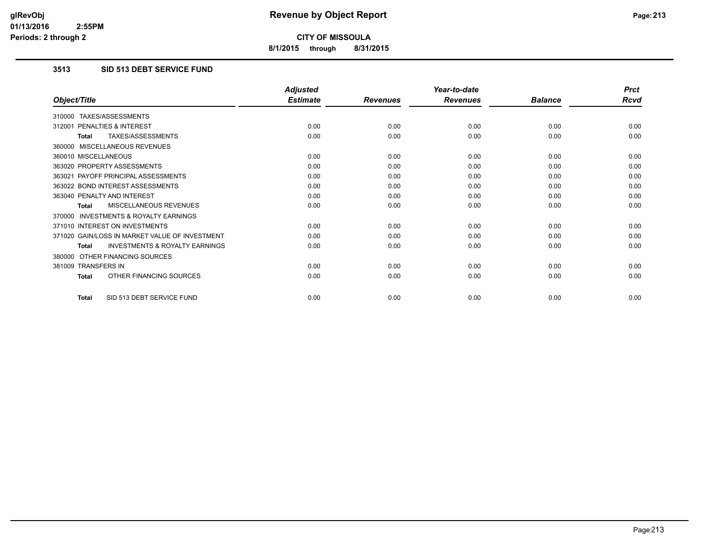**8/1/2015 through 8/31/2015**

# **3513 SID 513 DEBT SERVICE FUND**

|                                                           | <b>Adjusted</b> |                 | Year-to-date    |                | <b>Prct</b> |
|-----------------------------------------------------------|-----------------|-----------------|-----------------|----------------|-------------|
| Object/Title                                              | <b>Estimate</b> | <b>Revenues</b> | <b>Revenues</b> | <b>Balance</b> | Rcvd        |
| 310000 TAXES/ASSESSMENTS                                  |                 |                 |                 |                |             |
| 312001 PENALTIES & INTEREST                               | 0.00            | 0.00            | 0.00            | 0.00           | 0.00        |
| <b>TAXES/ASSESSMENTS</b><br><b>Total</b>                  | 0.00            | 0.00            | 0.00            | 0.00           | 0.00        |
| 360000 MISCELLANEOUS REVENUES                             |                 |                 |                 |                |             |
| 360010 MISCELLANEOUS                                      | 0.00            | 0.00            | 0.00            | 0.00           | 0.00        |
| 363020 PROPERTY ASSESSMENTS                               | 0.00            | 0.00            | 0.00            | 0.00           | 0.00        |
| 363021 PAYOFF PRINCIPAL ASSESSMENTS                       | 0.00            | 0.00            | 0.00            | 0.00           | 0.00        |
| 363022 BOND INTEREST ASSESSMENTS                          | 0.00            | 0.00            | 0.00            | 0.00           | 0.00        |
| 363040 PENALTY AND INTEREST                               | 0.00            | 0.00            | 0.00            | 0.00           | 0.00        |
| <b>MISCELLANEOUS REVENUES</b><br><b>Total</b>             | 0.00            | 0.00            | 0.00            | 0.00           | 0.00        |
| <b>INVESTMENTS &amp; ROYALTY EARNINGS</b><br>370000       |                 |                 |                 |                |             |
| 371010 INTEREST ON INVESTMENTS                            | 0.00            | 0.00            | 0.00            | 0.00           | 0.00        |
| 371020 GAIN/LOSS IN MARKET VALUE OF INVESTMENT            | 0.00            | 0.00            | 0.00            | 0.00           | 0.00        |
| <b>INVESTMENTS &amp; ROYALTY EARNINGS</b><br><b>Total</b> | 0.00            | 0.00            | 0.00            | 0.00           | 0.00        |
| 380000 OTHER FINANCING SOURCES                            |                 |                 |                 |                |             |
| 381009 TRANSFERS IN                                       | 0.00            | 0.00            | 0.00            | 0.00           | 0.00        |
| OTHER FINANCING SOURCES<br><b>Total</b>                   | 0.00            | 0.00            | 0.00            | 0.00           | 0.00        |
| SID 513 DEBT SERVICE FUND<br>Total                        | 0.00            | 0.00            | 0.00            | 0.00           | 0.00        |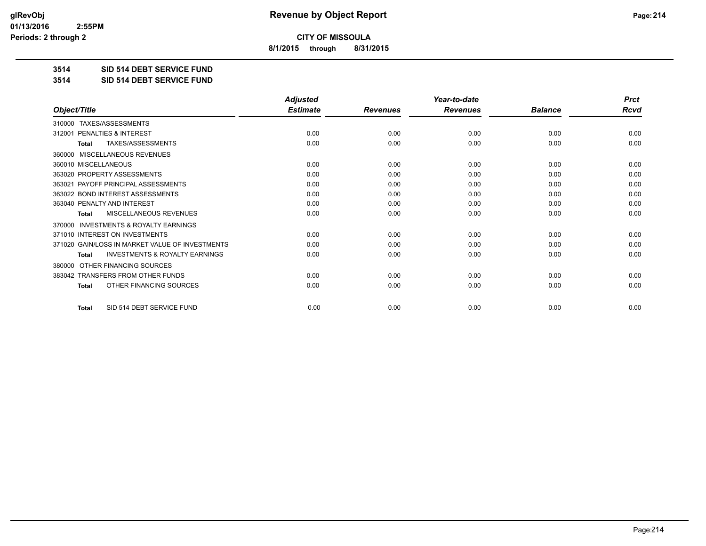**8/1/2015 through 8/31/2015**

**3514 SID 514 DEBT SERVICE FUND**

**3514 SID 514 DEBT SERVICE FUND**

|                                                           | <b>Adjusted</b> |                 | Year-to-date    |                | <b>Prct</b> |
|-----------------------------------------------------------|-----------------|-----------------|-----------------|----------------|-------------|
| Object/Title                                              | <b>Estimate</b> | <b>Revenues</b> | <b>Revenues</b> | <b>Balance</b> | <b>Rcvd</b> |
| TAXES/ASSESSMENTS<br>310000                               |                 |                 |                 |                |             |
| PENALTIES & INTEREST<br>312001                            | 0.00            | 0.00            | 0.00            | 0.00           | 0.00        |
| TAXES/ASSESSMENTS<br><b>Total</b>                         | 0.00            | 0.00            | 0.00            | 0.00           | 0.00        |
| MISCELLANEOUS REVENUES<br>360000                          |                 |                 |                 |                |             |
| 360010 MISCELLANEOUS                                      | 0.00            | 0.00            | 0.00            | 0.00           | 0.00        |
| 363020 PROPERTY ASSESSMENTS                               | 0.00            | 0.00            | 0.00            | 0.00           | 0.00        |
| 363021 PAYOFF PRINCIPAL ASSESSMENTS                       | 0.00            | 0.00            | 0.00            | 0.00           | 0.00        |
| 363022 BOND INTEREST ASSESSMENTS                          | 0.00            | 0.00            | 0.00            | 0.00           | 0.00        |
| 363040 PENALTY AND INTEREST                               | 0.00            | 0.00            | 0.00            | 0.00           | 0.00        |
| MISCELLANEOUS REVENUES<br><b>Total</b>                    | 0.00            | 0.00            | 0.00            | 0.00           | 0.00        |
| <b>INVESTMENTS &amp; ROYALTY EARNINGS</b><br>370000       |                 |                 |                 |                |             |
| 371010 INTEREST ON INVESTMENTS                            | 0.00            | 0.00            | 0.00            | 0.00           | 0.00        |
| 371020 GAIN/LOSS IN MARKET VALUE OF INVESTMENTS           | 0.00            | 0.00            | 0.00            | 0.00           | 0.00        |
| <b>INVESTMENTS &amp; ROYALTY EARNINGS</b><br><b>Total</b> | 0.00            | 0.00            | 0.00            | 0.00           | 0.00        |
| OTHER FINANCING SOURCES<br>380000                         |                 |                 |                 |                |             |
| 383042 TRANSFERS FROM OTHER FUNDS                         | 0.00            | 0.00            | 0.00            | 0.00           | 0.00        |
| OTHER FINANCING SOURCES<br><b>Total</b>                   | 0.00            | 0.00            | 0.00            | 0.00           | 0.00        |
| SID 514 DEBT SERVICE FUND<br><b>Total</b>                 | 0.00            | 0.00            | 0.00            | 0.00           | 0.00        |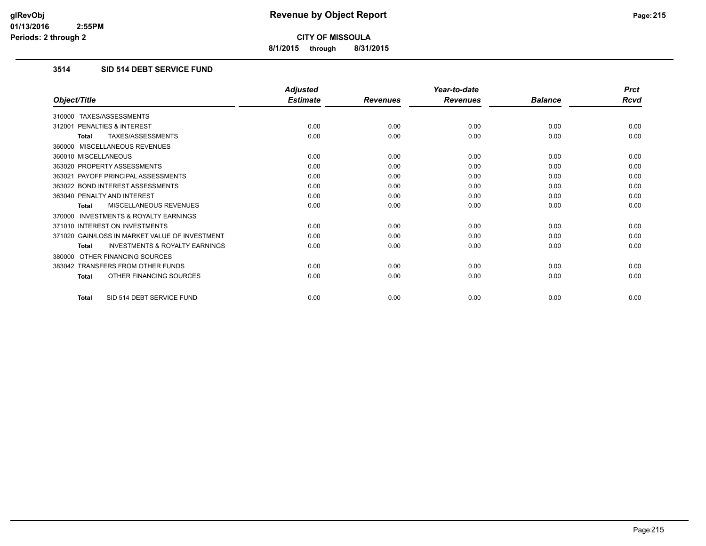**8/1/2015 through 8/31/2015**

# **3514 SID 514 DEBT SERVICE FUND**

|                                                           | <b>Adjusted</b> |                 | Year-to-date    |                | <b>Prct</b> |
|-----------------------------------------------------------|-----------------|-----------------|-----------------|----------------|-------------|
| Object/Title                                              | <b>Estimate</b> | <b>Revenues</b> | <b>Revenues</b> | <b>Balance</b> | Rcvd        |
| 310000 TAXES/ASSESSMENTS                                  |                 |                 |                 |                |             |
| 312001 PENALTIES & INTEREST                               | 0.00            | 0.00            | 0.00            | 0.00           | 0.00        |
| <b>TAXES/ASSESSMENTS</b><br><b>Total</b>                  | 0.00            | 0.00            | 0.00            | 0.00           | 0.00        |
| 360000 MISCELLANEOUS REVENUES                             |                 |                 |                 |                |             |
| 360010 MISCELLANEOUS                                      | 0.00            | 0.00            | 0.00            | 0.00           | 0.00        |
| 363020 PROPERTY ASSESSMENTS                               | 0.00            | 0.00            | 0.00            | 0.00           | 0.00        |
| 363021 PAYOFF PRINCIPAL ASSESSMENTS                       | 0.00            | 0.00            | 0.00            | 0.00           | 0.00        |
| 363022 BOND INTEREST ASSESSMENTS                          | 0.00            | 0.00            | 0.00            | 0.00           | 0.00        |
| 363040 PENALTY AND INTEREST                               | 0.00            | 0.00            | 0.00            | 0.00           | 0.00        |
| <b>MISCELLANEOUS REVENUES</b><br><b>Total</b>             | 0.00            | 0.00            | 0.00            | 0.00           | 0.00        |
| <b>INVESTMENTS &amp; ROYALTY EARNINGS</b><br>370000       |                 |                 |                 |                |             |
| 371010 INTEREST ON INVESTMENTS                            | 0.00            | 0.00            | 0.00            | 0.00           | 0.00        |
| 371020 GAIN/LOSS IN MARKET VALUE OF INVESTMENT            | 0.00            | 0.00            | 0.00            | 0.00           | 0.00        |
| <b>INVESTMENTS &amp; ROYALTY EARNINGS</b><br><b>Total</b> | 0.00            | 0.00            | 0.00            | 0.00           | 0.00        |
| OTHER FINANCING SOURCES<br>380000                         |                 |                 |                 |                |             |
| 383042 TRANSFERS FROM OTHER FUNDS                         | 0.00            | 0.00            | 0.00            | 0.00           | 0.00        |
| OTHER FINANCING SOURCES<br><b>Total</b>                   | 0.00            | 0.00            | 0.00            | 0.00           | 0.00        |
| SID 514 DEBT SERVICE FUND<br>Total                        | 0.00            | 0.00            | 0.00            | 0.00           | 0.00        |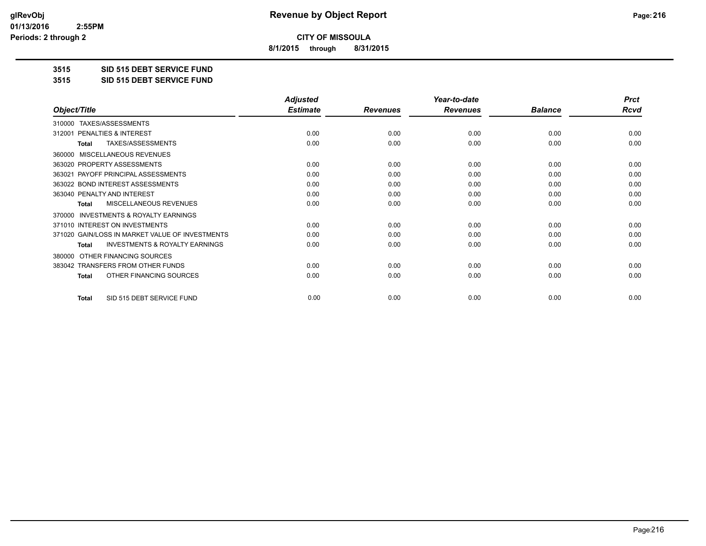**8/1/2015 through 8/31/2015**

**3515 SID 515 DEBT SERVICE FUND**

**3515 SID 515 DEBT SERVICE FUND**

|                                                     | <b>Adjusted</b> |                 | Year-to-date    | <b>Prct</b>    |             |
|-----------------------------------------------------|-----------------|-----------------|-----------------|----------------|-------------|
| Object/Title                                        | <b>Estimate</b> | <b>Revenues</b> | <b>Revenues</b> | <b>Balance</b> | <b>Rcvd</b> |
| TAXES/ASSESSMENTS<br>310000                         |                 |                 |                 |                |             |
| PENALTIES & INTEREST<br>312001                      | 0.00            | 0.00            | 0.00            | 0.00           | 0.00        |
| TAXES/ASSESSMENTS<br>Total                          | 0.00            | 0.00            | 0.00            | 0.00           | 0.00        |
| MISCELLANEOUS REVENUES<br>360000                    |                 |                 |                 |                |             |
| 363020 PROPERTY ASSESSMENTS                         | 0.00            | 0.00            | 0.00            | 0.00           | 0.00        |
| PAYOFF PRINCIPAL ASSESSMENTS<br>363021              | 0.00            | 0.00            | 0.00            | 0.00           | 0.00        |
| 363022 BOND INTEREST ASSESSMENTS                    | 0.00            | 0.00            | 0.00            | 0.00           | 0.00        |
| 363040 PENALTY AND INTEREST                         | 0.00            | 0.00            | 0.00            | 0.00           | 0.00        |
| MISCELLANEOUS REVENUES<br>Total                     | 0.00            | 0.00            | 0.00            | 0.00           | 0.00        |
| <b>INVESTMENTS &amp; ROYALTY EARNINGS</b><br>370000 |                 |                 |                 |                |             |
| 371010 INTEREST ON INVESTMENTS                      | 0.00            | 0.00            | 0.00            | 0.00           | 0.00        |
| 371020 GAIN/LOSS IN MARKET VALUE OF INVESTMENTS     | 0.00            | 0.00            | 0.00            | 0.00           | 0.00        |
| <b>INVESTMENTS &amp; ROYALTY EARNINGS</b><br>Total  | 0.00            | 0.00            | 0.00            | 0.00           | 0.00        |
| OTHER FINANCING SOURCES<br>380000                   |                 |                 |                 |                |             |
| 383042 TRANSFERS FROM OTHER FUNDS                   | 0.00            | 0.00            | 0.00            | 0.00           | 0.00        |
| OTHER FINANCING SOURCES<br><b>Total</b>             | 0.00            | 0.00            | 0.00            | 0.00           | 0.00        |
| SID 515 DEBT SERVICE FUND<br><b>Total</b>           | 0.00            | 0.00            | 0.00            | 0.00           | 0.00        |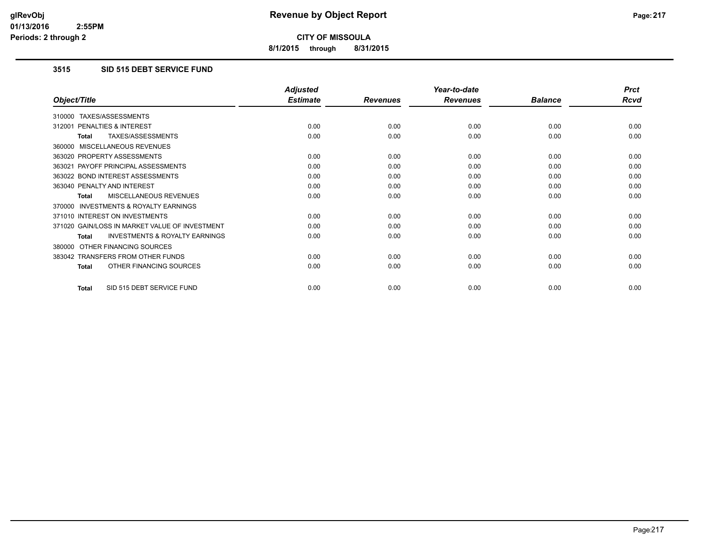**8/1/2015 through 8/31/2015**

## **3515 SID 515 DEBT SERVICE FUND**

|                                                           | <b>Adjusted</b> |                 | Year-to-date    |                | <b>Prct</b> |
|-----------------------------------------------------------|-----------------|-----------------|-----------------|----------------|-------------|
| Object/Title                                              | <b>Estimate</b> | <b>Revenues</b> | <b>Revenues</b> | <b>Balance</b> | <b>Rcvd</b> |
| TAXES/ASSESSMENTS<br>310000                               |                 |                 |                 |                |             |
| PENALTIES & INTEREST<br>312001                            | 0.00            | 0.00            | 0.00            | 0.00           | 0.00        |
| TAXES/ASSESSMENTS<br>Total                                | 0.00            | 0.00            | 0.00            | 0.00           | 0.00        |
| MISCELLANEOUS REVENUES<br>360000                          |                 |                 |                 |                |             |
| 363020 PROPERTY ASSESSMENTS                               | 0.00            | 0.00            | 0.00            | 0.00           | 0.00        |
| 363021 PAYOFF PRINCIPAL ASSESSMENTS                       | 0.00            | 0.00            | 0.00            | 0.00           | 0.00        |
| 363022 BOND INTEREST ASSESSMENTS                          | 0.00            | 0.00            | 0.00            | 0.00           | 0.00        |
| 363040 PENALTY AND INTEREST                               | 0.00            | 0.00            | 0.00            | 0.00           | 0.00        |
| <b>MISCELLANEOUS REVENUES</b><br><b>Total</b>             | 0.00            | 0.00            | 0.00            | 0.00           | 0.00        |
| <b>INVESTMENTS &amp; ROYALTY EARNINGS</b><br>370000       |                 |                 |                 |                |             |
| 371010 INTEREST ON INVESTMENTS                            | 0.00            | 0.00            | 0.00            | 0.00           | 0.00        |
| 371020 GAIN/LOSS IN MARKET VALUE OF INVESTMENT            | 0.00            | 0.00            | 0.00            | 0.00           | 0.00        |
| <b>INVESTMENTS &amp; ROYALTY EARNINGS</b><br><b>Total</b> | 0.00            | 0.00            | 0.00            | 0.00           | 0.00        |
| OTHER FINANCING SOURCES<br>380000                         |                 |                 |                 |                |             |
| 383042 TRANSFERS FROM OTHER FUNDS                         | 0.00            | 0.00            | 0.00            | 0.00           | 0.00        |
| OTHER FINANCING SOURCES<br><b>Total</b>                   | 0.00            | 0.00            | 0.00            | 0.00           | 0.00        |
| SID 515 DEBT SERVICE FUND<br><b>Total</b>                 | 0.00            | 0.00            | 0.00            | 0.00           | 0.00        |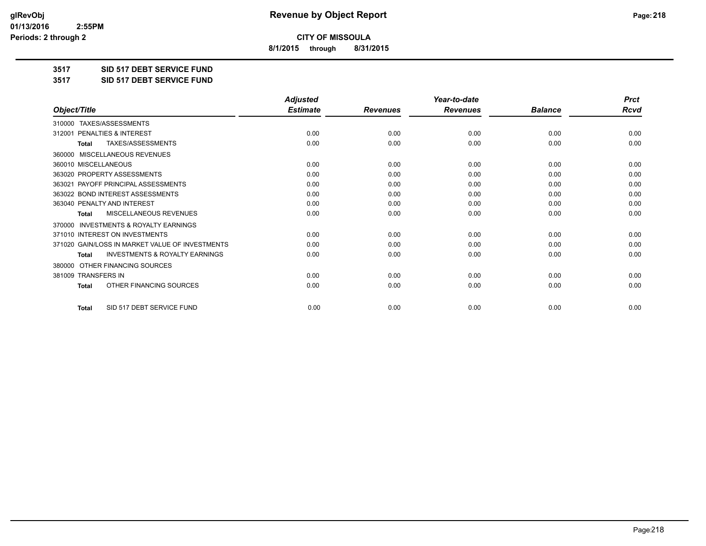**8/1/2015 through 8/31/2015**

**3517 SID 517 DEBT SERVICE FUND**

**3517 SID 517 DEBT SERVICE FUND**

|                                                           | <b>Adjusted</b> |                 | Year-to-date    |                | <b>Prct</b> |
|-----------------------------------------------------------|-----------------|-----------------|-----------------|----------------|-------------|
| Object/Title                                              | <b>Estimate</b> | <b>Revenues</b> | <b>Revenues</b> | <b>Balance</b> | <b>Rcvd</b> |
| 310000 TAXES/ASSESSMENTS                                  |                 |                 |                 |                |             |
| 312001 PENALTIES & INTEREST                               | 0.00            | 0.00            | 0.00            | 0.00           | 0.00        |
| <b>TAXES/ASSESSMENTS</b><br><b>Total</b>                  | 0.00            | 0.00            | 0.00            | 0.00           | 0.00        |
| MISCELLANEOUS REVENUES<br>360000                          |                 |                 |                 |                |             |
| 360010 MISCELLANEOUS                                      | 0.00            | 0.00            | 0.00            | 0.00           | 0.00        |
| 363020 PROPERTY ASSESSMENTS                               | 0.00            | 0.00            | 0.00            | 0.00           | 0.00        |
| 363021 PAYOFF PRINCIPAL ASSESSMENTS                       | 0.00            | 0.00            | 0.00            | 0.00           | 0.00        |
| 363022 BOND INTEREST ASSESSMENTS                          | 0.00            | 0.00            | 0.00            | 0.00           | 0.00        |
| 363040 PENALTY AND INTEREST                               | 0.00            | 0.00            | 0.00            | 0.00           | 0.00        |
| <b>MISCELLANEOUS REVENUES</b><br><b>Total</b>             | 0.00            | 0.00            | 0.00            | 0.00           | 0.00        |
| <b>INVESTMENTS &amp; ROYALTY EARNINGS</b><br>370000       |                 |                 |                 |                |             |
| 371010 INTEREST ON INVESTMENTS                            | 0.00            | 0.00            | 0.00            | 0.00           | 0.00        |
| 371020 GAIN/LOSS IN MARKET VALUE OF INVESTMENTS           | 0.00            | 0.00            | 0.00            | 0.00           | 0.00        |
| <b>INVESTMENTS &amp; ROYALTY EARNINGS</b><br><b>Total</b> | 0.00            | 0.00            | 0.00            | 0.00           | 0.00        |
| OTHER FINANCING SOURCES<br>380000                         |                 |                 |                 |                |             |
| 381009 TRANSFERS IN                                       | 0.00            | 0.00            | 0.00            | 0.00           | 0.00        |
| OTHER FINANCING SOURCES<br><b>Total</b>                   | 0.00            | 0.00            | 0.00            | 0.00           | 0.00        |
| SID 517 DEBT SERVICE FUND<br><b>Total</b>                 | 0.00            | 0.00            | 0.00            | 0.00           | 0.00        |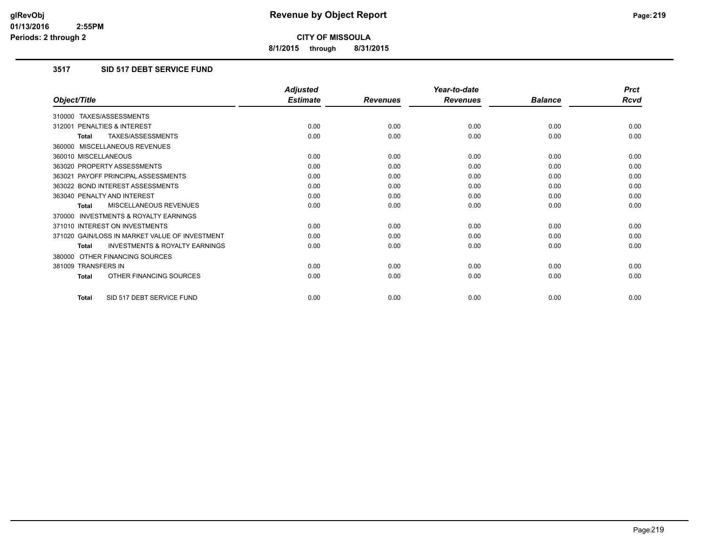**8/1/2015 through 8/31/2015**

## **3517 SID 517 DEBT SERVICE FUND**

|                                                           | <b>Adjusted</b> |                 | Year-to-date    |                | <b>Prct</b> |
|-----------------------------------------------------------|-----------------|-----------------|-----------------|----------------|-------------|
| Object/Title                                              | <b>Estimate</b> | <b>Revenues</b> | <b>Revenues</b> | <b>Balance</b> | <b>Rcvd</b> |
| 310000 TAXES/ASSESSMENTS                                  |                 |                 |                 |                |             |
| 312001 PENALTIES & INTEREST                               | 0.00            | 0.00            | 0.00            | 0.00           | 0.00        |
| TAXES/ASSESSMENTS<br><b>Total</b>                         | 0.00            | 0.00            | 0.00            | 0.00           | 0.00        |
| 360000 MISCELLANEOUS REVENUES                             |                 |                 |                 |                |             |
| 360010 MISCELLANEOUS                                      | 0.00            | 0.00            | 0.00            | 0.00           | 0.00        |
| 363020 PROPERTY ASSESSMENTS                               | 0.00            | 0.00            | 0.00            | 0.00           | 0.00        |
| 363021 PAYOFF PRINCIPAL ASSESSMENTS                       | 0.00            | 0.00            | 0.00            | 0.00           | 0.00        |
| 363022 BOND INTEREST ASSESSMENTS                          | 0.00            | 0.00            | 0.00            | 0.00           | 0.00        |
| 363040 PENALTY AND INTEREST                               | 0.00            | 0.00            | 0.00            | 0.00           | 0.00        |
| MISCELLANEOUS REVENUES<br><b>Total</b>                    | 0.00            | 0.00            | 0.00            | 0.00           | 0.00        |
| <b>INVESTMENTS &amp; ROYALTY EARNINGS</b><br>370000       |                 |                 |                 |                |             |
| 371010 INTEREST ON INVESTMENTS                            | 0.00            | 0.00            | 0.00            | 0.00           | 0.00        |
| 371020 GAIN/LOSS IN MARKET VALUE OF INVESTMENT            | 0.00            | 0.00            | 0.00            | 0.00           | 0.00        |
| <b>INVESTMENTS &amp; ROYALTY EARNINGS</b><br><b>Total</b> | 0.00            | 0.00            | 0.00            | 0.00           | 0.00        |
| 380000 OTHER FINANCING SOURCES                            |                 |                 |                 |                |             |
| 381009 TRANSFERS IN                                       | 0.00            | 0.00            | 0.00            | 0.00           | 0.00        |
| OTHER FINANCING SOURCES<br><b>Total</b>                   | 0.00            | 0.00            | 0.00            | 0.00           | 0.00        |
| SID 517 DEBT SERVICE FUND<br><b>Total</b>                 | 0.00            | 0.00            | 0.00            | 0.00           | 0.00        |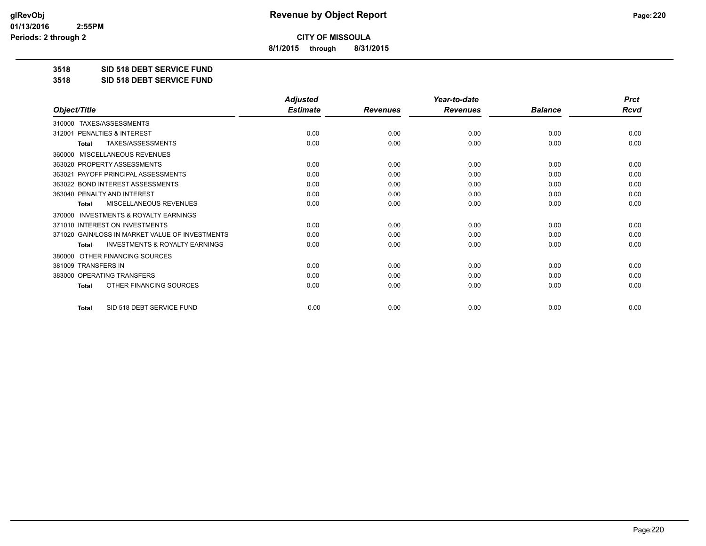**8/1/2015 through 8/31/2015**

**3518 SID 518 DEBT SERVICE FUND**

**3518 SID 518 DEBT SERVICE FUND**

|                                                           | <b>Adjusted</b> |                 | Year-to-date    |                | <b>Prct</b> |
|-----------------------------------------------------------|-----------------|-----------------|-----------------|----------------|-------------|
| Object/Title                                              | <b>Estimate</b> | <b>Revenues</b> | <b>Revenues</b> | <b>Balance</b> | <b>Rcvd</b> |
| 310000 TAXES/ASSESSMENTS                                  |                 |                 |                 |                |             |
| PENALTIES & INTEREST<br>312001                            | 0.00            | 0.00            | 0.00            | 0.00           | 0.00        |
| TAXES/ASSESSMENTS<br><b>Total</b>                         | 0.00            | 0.00            | 0.00            | 0.00           | 0.00        |
| MISCELLANEOUS REVENUES<br>360000                          |                 |                 |                 |                |             |
| 363020 PROPERTY ASSESSMENTS                               | 0.00            | 0.00            | 0.00            | 0.00           | 0.00        |
| 363021 PAYOFF PRINCIPAL ASSESSMENTS                       | 0.00            | 0.00            | 0.00            | 0.00           | 0.00        |
| 363022 BOND INTEREST ASSESSMENTS                          | 0.00            | 0.00            | 0.00            | 0.00           | 0.00        |
| 363040 PENALTY AND INTEREST                               | 0.00            | 0.00            | 0.00            | 0.00           | 0.00        |
| MISCELLANEOUS REVENUES<br><b>Total</b>                    | 0.00            | 0.00            | 0.00            | 0.00           | 0.00        |
| INVESTMENTS & ROYALTY EARNINGS<br>370000                  |                 |                 |                 |                |             |
| 371010 INTEREST ON INVESTMENTS                            | 0.00            | 0.00            | 0.00            | 0.00           | 0.00        |
| 371020 GAIN/LOSS IN MARKET VALUE OF INVESTMENTS           | 0.00            | 0.00            | 0.00            | 0.00           | 0.00        |
| <b>INVESTMENTS &amp; ROYALTY EARNINGS</b><br><b>Total</b> | 0.00            | 0.00            | 0.00            | 0.00           | 0.00        |
| OTHER FINANCING SOURCES<br>380000                         |                 |                 |                 |                |             |
| 381009 TRANSFERS IN                                       | 0.00            | 0.00            | 0.00            | 0.00           | 0.00        |
| 383000 OPERATING TRANSFERS                                | 0.00            | 0.00            | 0.00            | 0.00           | 0.00        |
| OTHER FINANCING SOURCES<br><b>Total</b>                   | 0.00            | 0.00            | 0.00            | 0.00           | 0.00        |
| SID 518 DEBT SERVICE FUND<br><b>Total</b>                 | 0.00            | 0.00            | 0.00            | 0.00           | 0.00        |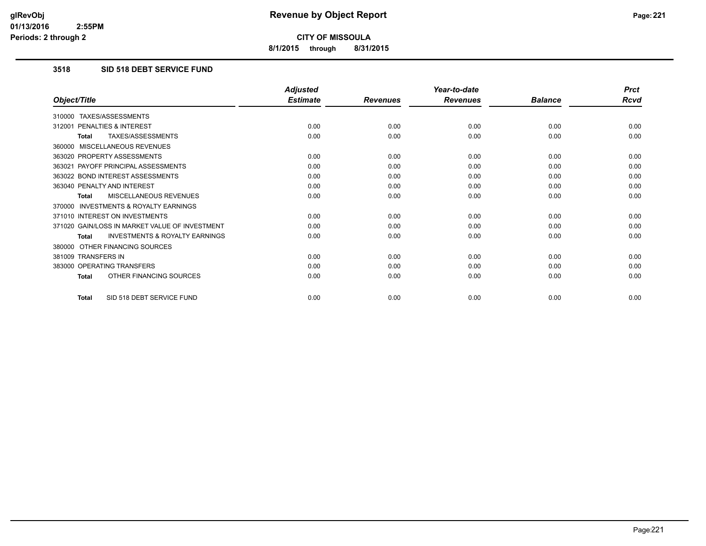**8/1/2015 through 8/31/2015**

## **3518 SID 518 DEBT SERVICE FUND**

|                                                           | <b>Adjusted</b> |                 | Year-to-date    |                | <b>Prct</b> |
|-----------------------------------------------------------|-----------------|-----------------|-----------------|----------------|-------------|
| Object/Title                                              | <b>Estimate</b> | <b>Revenues</b> | <b>Revenues</b> | <b>Balance</b> | <b>Rcvd</b> |
| 310000 TAXES/ASSESSMENTS                                  |                 |                 |                 |                |             |
| 312001 PENALTIES & INTEREST                               | 0.00            | 0.00            | 0.00            | 0.00           | 0.00        |
| <b>TAXES/ASSESSMENTS</b><br><b>Total</b>                  | 0.00            | 0.00            | 0.00            | 0.00           | 0.00        |
| 360000 MISCELLANEOUS REVENUES                             |                 |                 |                 |                |             |
| 363020 PROPERTY ASSESSMENTS                               | 0.00            | 0.00            | 0.00            | 0.00           | 0.00        |
| 363021 PAYOFF PRINCIPAL ASSESSMENTS                       | 0.00            | 0.00            | 0.00            | 0.00           | 0.00        |
| 363022 BOND INTEREST ASSESSMENTS                          | 0.00            | 0.00            | 0.00            | 0.00           | 0.00        |
| 363040 PENALTY AND INTEREST                               | 0.00            | 0.00            | 0.00            | 0.00           | 0.00        |
| MISCELLANEOUS REVENUES<br><b>Total</b>                    | 0.00            | 0.00            | 0.00            | 0.00           | 0.00        |
| <b>INVESTMENTS &amp; ROYALTY EARNINGS</b><br>370000       |                 |                 |                 |                |             |
| 371010 INTEREST ON INVESTMENTS                            | 0.00            | 0.00            | 0.00            | 0.00           | 0.00        |
| 371020 GAIN/LOSS IN MARKET VALUE OF INVESTMENT            | 0.00            | 0.00            | 0.00            | 0.00           | 0.00        |
| <b>INVESTMENTS &amp; ROYALTY EARNINGS</b><br><b>Total</b> | 0.00            | 0.00            | 0.00            | 0.00           | 0.00        |
| 380000 OTHER FINANCING SOURCES                            |                 |                 |                 |                |             |
| 381009 TRANSFERS IN                                       | 0.00            | 0.00            | 0.00            | 0.00           | 0.00        |
| 383000 OPERATING TRANSFERS                                | 0.00            | 0.00            | 0.00            | 0.00           | 0.00        |
| OTHER FINANCING SOURCES<br><b>Total</b>                   | 0.00            | 0.00            | 0.00            | 0.00           | 0.00        |
| SID 518 DEBT SERVICE FUND<br><b>Total</b>                 | 0.00            | 0.00            | 0.00            | 0.00           | 0.00        |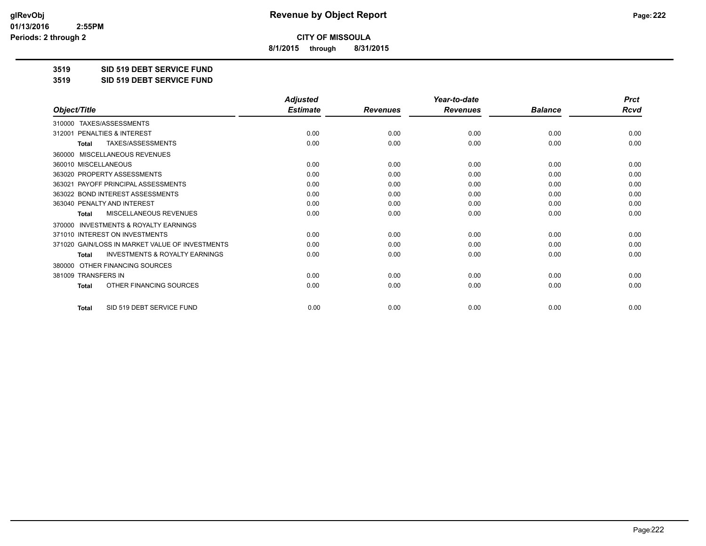**8/1/2015 through 8/31/2015**

**3519 SID 519 DEBT SERVICE FUND**

**3519 SID 519 DEBT SERVICE FUND**

|                                                           | <b>Adjusted</b> |                 | Year-to-date    |                | <b>Prct</b> |
|-----------------------------------------------------------|-----------------|-----------------|-----------------|----------------|-------------|
| Object/Title                                              | <b>Estimate</b> | <b>Revenues</b> | <b>Revenues</b> | <b>Balance</b> | <b>Rcvd</b> |
| TAXES/ASSESSMENTS<br>310000                               |                 |                 |                 |                |             |
| 312001 PENALTIES & INTEREST                               | 0.00            | 0.00            | 0.00            | 0.00           | 0.00        |
| TAXES/ASSESSMENTS<br><b>Total</b>                         | 0.00            | 0.00            | 0.00            | 0.00           | 0.00        |
| MISCELLANEOUS REVENUES<br>360000                          |                 |                 |                 |                |             |
| 360010 MISCELLANEOUS                                      | 0.00            | 0.00            | 0.00            | 0.00           | 0.00        |
| 363020 PROPERTY ASSESSMENTS                               | 0.00            | 0.00            | 0.00            | 0.00           | 0.00        |
| 363021 PAYOFF PRINCIPAL ASSESSMENTS                       | 0.00            | 0.00            | 0.00            | 0.00           | 0.00        |
| 363022 BOND INTEREST ASSESSMENTS                          | 0.00            | 0.00            | 0.00            | 0.00           | 0.00        |
| 363040 PENALTY AND INTEREST                               | 0.00            | 0.00            | 0.00            | 0.00           | 0.00        |
| <b>MISCELLANEOUS REVENUES</b><br><b>Total</b>             | 0.00            | 0.00            | 0.00            | 0.00           | 0.00        |
| <b>INVESTMENTS &amp; ROYALTY EARNINGS</b><br>370000       |                 |                 |                 |                |             |
| 371010 INTEREST ON INVESTMENTS                            | 0.00            | 0.00            | 0.00            | 0.00           | 0.00        |
| 371020 GAIN/LOSS IN MARKET VALUE OF INVESTMENTS           | 0.00            | 0.00            | 0.00            | 0.00           | 0.00        |
| <b>INVESTMENTS &amp; ROYALTY EARNINGS</b><br><b>Total</b> | 0.00            | 0.00            | 0.00            | 0.00           | 0.00        |
| OTHER FINANCING SOURCES<br>380000                         |                 |                 |                 |                |             |
| 381009 TRANSFERS IN                                       | 0.00            | 0.00            | 0.00            | 0.00           | 0.00        |
| OTHER FINANCING SOURCES<br>Total                          | 0.00            | 0.00            | 0.00            | 0.00           | 0.00        |
| SID 519 DEBT SERVICE FUND<br><b>Total</b>                 | 0.00            | 0.00            | 0.00            | 0.00           | 0.00        |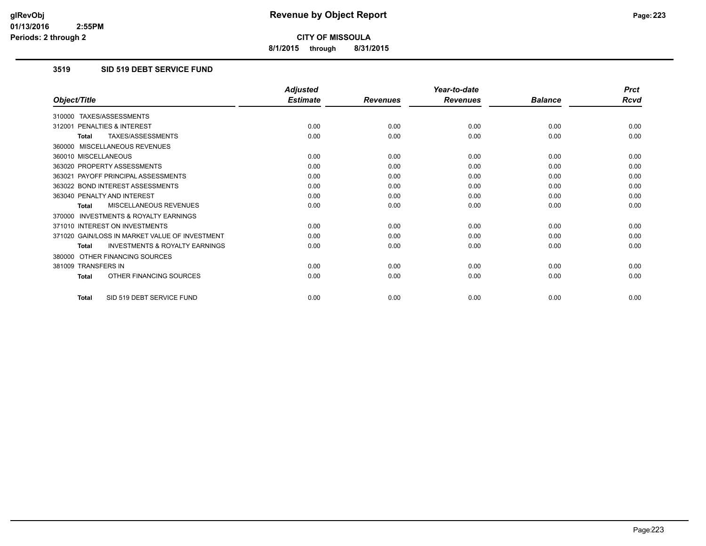**8/1/2015 through 8/31/2015**

## **3519 SID 519 DEBT SERVICE FUND**

|                                                           | <b>Adjusted</b> |                 | Year-to-date    |                | <b>Prct</b> |
|-----------------------------------------------------------|-----------------|-----------------|-----------------|----------------|-------------|
| Object/Title                                              | <b>Estimate</b> | <b>Revenues</b> | <b>Revenues</b> | <b>Balance</b> | Rcvd        |
| 310000 TAXES/ASSESSMENTS                                  |                 |                 |                 |                |             |
| 312001 PENALTIES & INTEREST                               | 0.00            | 0.00            | 0.00            | 0.00           | 0.00        |
| <b>TAXES/ASSESSMENTS</b><br><b>Total</b>                  | 0.00            | 0.00            | 0.00            | 0.00           | 0.00        |
| 360000 MISCELLANEOUS REVENUES                             |                 |                 |                 |                |             |
| 360010 MISCELLANEOUS                                      | 0.00            | 0.00            | 0.00            | 0.00           | 0.00        |
| 363020 PROPERTY ASSESSMENTS                               | 0.00            | 0.00            | 0.00            | 0.00           | 0.00        |
| 363021 PAYOFF PRINCIPAL ASSESSMENTS                       | 0.00            | 0.00            | 0.00            | 0.00           | 0.00        |
| 363022 BOND INTEREST ASSESSMENTS                          | 0.00            | 0.00            | 0.00            | 0.00           | 0.00        |
| 363040 PENALTY AND INTEREST                               | 0.00            | 0.00            | 0.00            | 0.00           | 0.00        |
| <b>MISCELLANEOUS REVENUES</b><br><b>Total</b>             | 0.00            | 0.00            | 0.00            | 0.00           | 0.00        |
| <b>INVESTMENTS &amp; ROYALTY EARNINGS</b><br>370000       |                 |                 |                 |                |             |
| 371010 INTEREST ON INVESTMENTS                            | 0.00            | 0.00            | 0.00            | 0.00           | 0.00        |
| 371020 GAIN/LOSS IN MARKET VALUE OF INVESTMENT            | 0.00            | 0.00            | 0.00            | 0.00           | 0.00        |
| <b>INVESTMENTS &amp; ROYALTY EARNINGS</b><br><b>Total</b> | 0.00            | 0.00            | 0.00            | 0.00           | 0.00        |
| 380000 OTHER FINANCING SOURCES                            |                 |                 |                 |                |             |
| 381009 TRANSFERS IN                                       | 0.00            | 0.00            | 0.00            | 0.00           | 0.00        |
| OTHER FINANCING SOURCES<br><b>Total</b>                   | 0.00            | 0.00            | 0.00            | 0.00           | 0.00        |
| SID 519 DEBT SERVICE FUND<br>Total                        | 0.00            | 0.00            | 0.00            | 0.00           | 0.00        |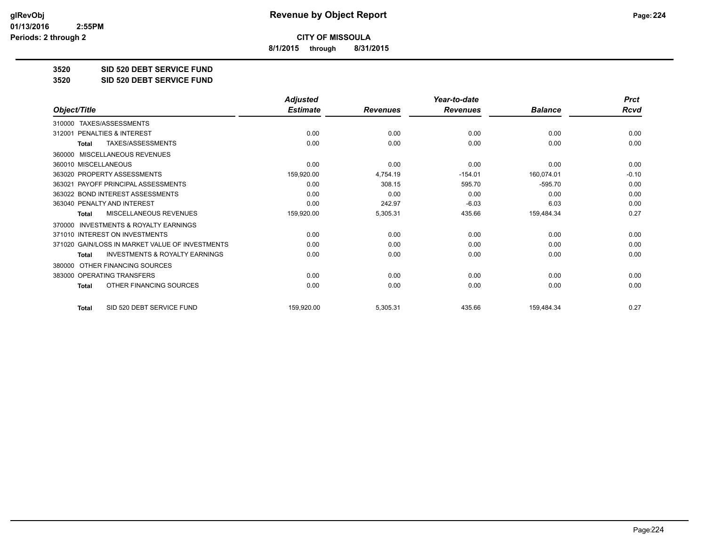**8/1/2015 through 8/31/2015**

**3520 SID 520 DEBT SERVICE FUND**

**3520 SID 520 DEBT SERVICE FUND**

|                                                           | <b>Adjusted</b> |                 | Year-to-date    |                | <b>Prct</b> |
|-----------------------------------------------------------|-----------------|-----------------|-----------------|----------------|-------------|
| Object/Title                                              | <b>Estimate</b> | <b>Revenues</b> | <b>Revenues</b> | <b>Balance</b> | <b>Rcvd</b> |
| TAXES/ASSESSMENTS<br>310000                               |                 |                 |                 |                |             |
| PENALTIES & INTEREST<br>312001                            | 0.00            | 0.00            | 0.00            | 0.00           | 0.00        |
| TAXES/ASSESSMENTS<br><b>Total</b>                         | 0.00            | 0.00            | 0.00            | 0.00           | 0.00        |
| <b>MISCELLANEOUS REVENUES</b><br>360000                   |                 |                 |                 |                |             |
| 360010 MISCELLANEOUS                                      | 0.00            | 0.00            | 0.00            | 0.00           | 0.00        |
| 363020 PROPERTY ASSESSMENTS                               | 159,920.00      | 4,754.19        | $-154.01$       | 160,074.01     | $-0.10$     |
| 363021 PAYOFF PRINCIPAL ASSESSMENTS                       | 0.00            | 308.15          | 595.70          | $-595.70$      | 0.00        |
| 363022 BOND INTEREST ASSESSMENTS                          | 0.00            | 0.00            | 0.00            | 0.00           | 0.00        |
| 363040 PENALTY AND INTEREST                               | 0.00            | 242.97          | $-6.03$         | 6.03           | 0.00        |
| MISCELLANEOUS REVENUES<br><b>Total</b>                    | 159,920.00      | 5,305.31        | 435.66          | 159,484.34     | 0.27        |
| <b>INVESTMENTS &amp; ROYALTY EARNINGS</b><br>370000       |                 |                 |                 |                |             |
| 371010 INTEREST ON INVESTMENTS                            | 0.00            | 0.00            | 0.00            | 0.00           | 0.00        |
| 371020 GAIN/LOSS IN MARKET VALUE OF INVESTMENTS           | 0.00            | 0.00            | 0.00            | 0.00           | 0.00        |
| <b>INVESTMENTS &amp; ROYALTY EARNINGS</b><br><b>Total</b> | 0.00            | 0.00            | 0.00            | 0.00           | 0.00        |
| OTHER FINANCING SOURCES<br>380000                         |                 |                 |                 |                |             |
| 383000 OPERATING TRANSFERS                                | 0.00            | 0.00            | 0.00            | 0.00           | 0.00        |
| OTHER FINANCING SOURCES<br><b>Total</b>                   | 0.00            | 0.00            | 0.00            | 0.00           | 0.00        |
| SID 520 DEBT SERVICE FUND<br><b>Total</b>                 | 159,920.00      | 5,305.31        | 435.66          | 159,484.34     | 0.27        |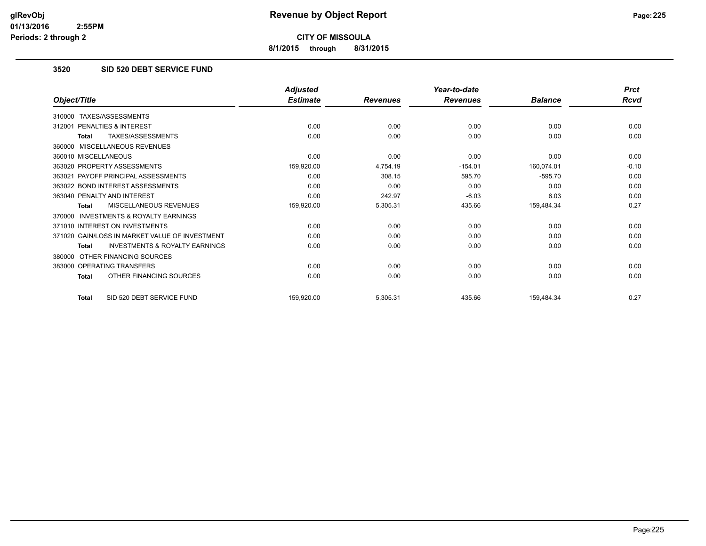**8/1/2015 through 8/31/2015**

## **3520 SID 520 DEBT SERVICE FUND**

|                                                           | <b>Adjusted</b> |                 | Year-to-date    |                | <b>Prct</b> |
|-----------------------------------------------------------|-----------------|-----------------|-----------------|----------------|-------------|
| Object/Title                                              | <b>Estimate</b> | <b>Revenues</b> | <b>Revenues</b> | <b>Balance</b> | Rcvd        |
| TAXES/ASSESSMENTS<br>310000                               |                 |                 |                 |                |             |
| PENALTIES & INTEREST<br>312001                            | 0.00            | 0.00            | 0.00            | 0.00           | 0.00        |
| TAXES/ASSESSMENTS<br><b>Total</b>                         | 0.00            | 0.00            | 0.00            | 0.00           | 0.00        |
| MISCELLANEOUS REVENUES<br>360000                          |                 |                 |                 |                |             |
| 360010 MISCELLANEOUS                                      | 0.00            | 0.00            | 0.00            | 0.00           | 0.00        |
| 363020 PROPERTY ASSESSMENTS                               | 159,920.00      | 4,754.19        | $-154.01$       | 160,074.01     | $-0.10$     |
| 363021 PAYOFF PRINCIPAL ASSESSMENTS                       | 0.00            | 308.15          | 595.70          | $-595.70$      | 0.00        |
| 363022 BOND INTEREST ASSESSMENTS                          | 0.00            | 0.00            | 0.00            | 0.00           | 0.00        |
| 363040 PENALTY AND INTEREST                               | 0.00            | 242.97          | $-6.03$         | 6.03           | 0.00        |
| MISCELLANEOUS REVENUES<br><b>Total</b>                    | 159,920.00      | 5,305.31        | 435.66          | 159,484.34     | 0.27        |
| INVESTMENTS & ROYALTY EARNINGS<br>370000                  |                 |                 |                 |                |             |
| 371010 INTEREST ON INVESTMENTS                            | 0.00            | 0.00            | 0.00            | 0.00           | 0.00        |
| 371020 GAIN/LOSS IN MARKET VALUE OF INVESTMENT            | 0.00            | 0.00            | 0.00            | 0.00           | 0.00        |
| <b>INVESTMENTS &amp; ROYALTY EARNINGS</b><br><b>Total</b> | 0.00            | 0.00            | 0.00            | 0.00           | 0.00        |
| OTHER FINANCING SOURCES<br>380000                         |                 |                 |                 |                |             |
| 383000 OPERATING TRANSFERS                                | 0.00            | 0.00            | 0.00            | 0.00           | 0.00        |
| OTHER FINANCING SOURCES<br><b>Total</b>                   | 0.00            | 0.00            | 0.00            | 0.00           | 0.00        |
| SID 520 DEBT SERVICE FUND<br><b>Total</b>                 | 159,920.00      | 5,305.31        | 435.66          | 159,484.34     | 0.27        |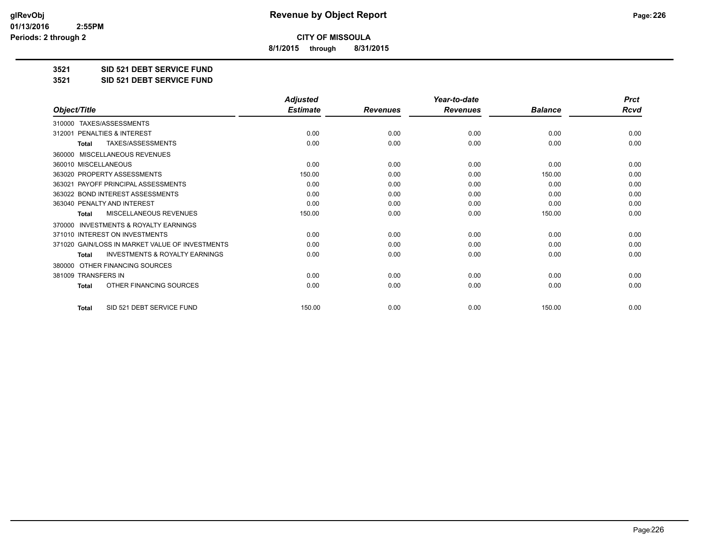**8/1/2015 through 8/31/2015**

**3521 SID 521 DEBT SERVICE FUND**

**3521 SID 521 DEBT SERVICE FUND**

|                                                           | <b>Adjusted</b> |                 | Year-to-date    |                | <b>Prct</b> |
|-----------------------------------------------------------|-----------------|-----------------|-----------------|----------------|-------------|
| Object/Title                                              | <b>Estimate</b> | <b>Revenues</b> | <b>Revenues</b> | <b>Balance</b> | <b>Rcvd</b> |
| TAXES/ASSESSMENTS<br>310000                               |                 |                 |                 |                |             |
| 312001 PENALTIES & INTEREST                               | 0.00            | 0.00            | 0.00            | 0.00           | 0.00        |
| TAXES/ASSESSMENTS<br><b>Total</b>                         | 0.00            | 0.00            | 0.00            | 0.00           | 0.00        |
| MISCELLANEOUS REVENUES<br>360000                          |                 |                 |                 |                |             |
| 360010 MISCELLANEOUS                                      | 0.00            | 0.00            | 0.00            | 0.00           | 0.00        |
| 363020 PROPERTY ASSESSMENTS                               | 150.00          | 0.00            | 0.00            | 150.00         | 0.00        |
| 363021 PAYOFF PRINCIPAL ASSESSMENTS                       | 0.00            | 0.00            | 0.00            | 0.00           | 0.00        |
| 363022 BOND INTEREST ASSESSMENTS                          | 0.00            | 0.00            | 0.00            | 0.00           | 0.00        |
| 363040 PENALTY AND INTEREST                               | 0.00            | 0.00            | 0.00            | 0.00           | 0.00        |
| <b>MISCELLANEOUS REVENUES</b><br><b>Total</b>             | 150.00          | 0.00            | 0.00            | 150.00         | 0.00        |
| <b>INVESTMENTS &amp; ROYALTY EARNINGS</b><br>370000       |                 |                 |                 |                |             |
| 371010 INTEREST ON INVESTMENTS                            | 0.00            | 0.00            | 0.00            | 0.00           | 0.00        |
| 371020 GAIN/LOSS IN MARKET VALUE OF INVESTMENTS           | 0.00            | 0.00            | 0.00            | 0.00           | 0.00        |
| <b>INVESTMENTS &amp; ROYALTY EARNINGS</b><br><b>Total</b> | 0.00            | 0.00            | 0.00            | 0.00           | 0.00        |
| OTHER FINANCING SOURCES<br>380000                         |                 |                 |                 |                |             |
| 381009 TRANSFERS IN                                       | 0.00            | 0.00            | 0.00            | 0.00           | 0.00        |
| OTHER FINANCING SOURCES<br><b>Total</b>                   | 0.00            | 0.00            | 0.00            | 0.00           | 0.00        |
| SID 521 DEBT SERVICE FUND<br><b>Total</b>                 | 150.00          | 0.00            | 0.00            | 150.00         | 0.00        |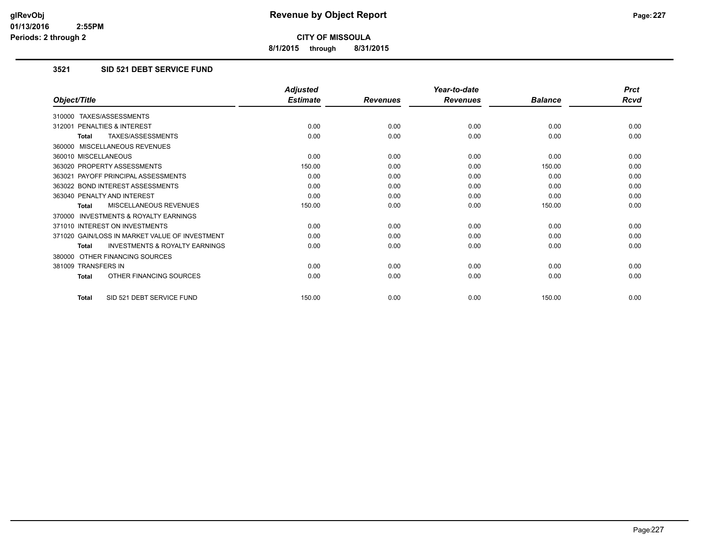**8/1/2015 through 8/31/2015**

## **3521 SID 521 DEBT SERVICE FUND**

|                                                           | <b>Adjusted</b> |                 | Year-to-date    |                | <b>Prct</b> |
|-----------------------------------------------------------|-----------------|-----------------|-----------------|----------------|-------------|
| Object/Title                                              | <b>Estimate</b> | <b>Revenues</b> | <b>Revenues</b> | <b>Balance</b> | <b>Rcvd</b> |
| 310000 TAXES/ASSESSMENTS                                  |                 |                 |                 |                |             |
| PENALTIES & INTEREST<br>312001                            | 0.00            | 0.00            | 0.00            | 0.00           | 0.00        |
| TAXES/ASSESSMENTS<br><b>Total</b>                         | 0.00            | 0.00            | 0.00            | 0.00           | 0.00        |
| 360000 MISCELLANEOUS REVENUES                             |                 |                 |                 |                |             |
| 360010 MISCELLANEOUS                                      | 0.00            | 0.00            | 0.00            | 0.00           | 0.00        |
| 363020 PROPERTY ASSESSMENTS                               | 150.00          | 0.00            | 0.00            | 150.00         | 0.00        |
| 363021 PAYOFF PRINCIPAL ASSESSMENTS                       | 0.00            | 0.00            | 0.00            | 0.00           | 0.00        |
| 363022 BOND INTEREST ASSESSMENTS                          | 0.00            | 0.00            | 0.00            | 0.00           | 0.00        |
| 363040 PENALTY AND INTEREST                               | 0.00            | 0.00            | 0.00            | 0.00           | 0.00        |
| MISCELLANEOUS REVENUES<br><b>Total</b>                    | 150.00          | 0.00            | 0.00            | 150.00         | 0.00        |
| <b>INVESTMENTS &amp; ROYALTY EARNINGS</b><br>370000       |                 |                 |                 |                |             |
| 371010 INTEREST ON INVESTMENTS                            | 0.00            | 0.00            | 0.00            | 0.00           | 0.00        |
| 371020 GAIN/LOSS IN MARKET VALUE OF INVESTMENT            | 0.00            | 0.00            | 0.00            | 0.00           | 0.00        |
| <b>INVESTMENTS &amp; ROYALTY EARNINGS</b><br><b>Total</b> | 0.00            | 0.00            | 0.00            | 0.00           | 0.00        |
| OTHER FINANCING SOURCES<br>380000                         |                 |                 |                 |                |             |
| 381009 TRANSFERS IN                                       | 0.00            | 0.00            | 0.00            | 0.00           | 0.00        |
| OTHER FINANCING SOURCES<br><b>Total</b>                   | 0.00            | 0.00            | 0.00            | 0.00           | 0.00        |
| SID 521 DEBT SERVICE FUND<br><b>Total</b>                 | 150.00          | 0.00            | 0.00            | 150.00         | 0.00        |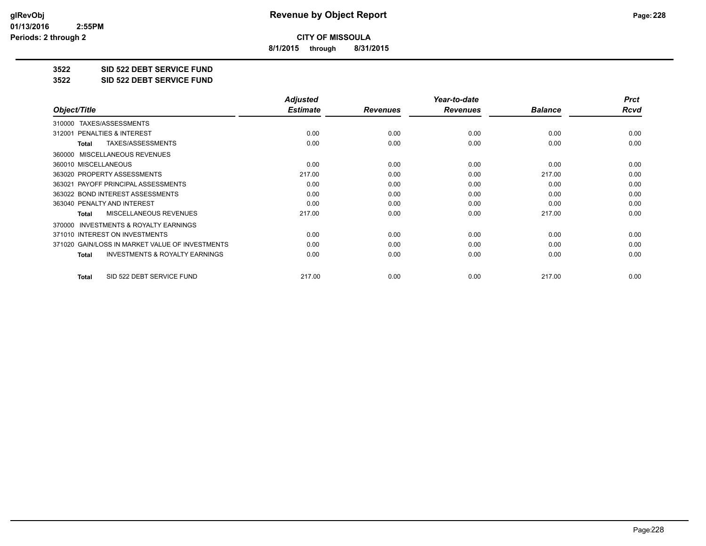**8/1/2015 through 8/31/2015**

**3522 SID 522 DEBT SERVICE FUND**

**3522 SID 522 DEBT SERVICE FUND**

|                                                    | <b>Adjusted</b> |                 | Year-to-date    |                | <b>Prct</b> |
|----------------------------------------------------|-----------------|-----------------|-----------------|----------------|-------------|
| Object/Title                                       | <b>Estimate</b> | <b>Revenues</b> | <b>Revenues</b> | <b>Balance</b> | Rcvd        |
| TAXES/ASSESSMENTS<br>310000                        |                 |                 |                 |                |             |
| PENALTIES & INTEREST<br>312001                     | 0.00            | 0.00            | 0.00            | 0.00           | 0.00        |
| TAXES/ASSESSMENTS<br>Total                         | 0.00            | 0.00            | 0.00            | 0.00           | 0.00        |
| 360000 MISCELLANEOUS REVENUES                      |                 |                 |                 |                |             |
| 360010 MISCELLANEOUS                               | 0.00            | 0.00            | 0.00            | 0.00           | 0.00        |
| 363020 PROPERTY ASSESSMENTS                        | 217.00          | 0.00            | 0.00            | 217.00         | 0.00        |
| 363021 PAYOFF PRINCIPAL ASSESSMENTS                | 0.00            | 0.00            | 0.00            | 0.00           | 0.00        |
| 363022 BOND INTEREST ASSESSMENTS                   | 0.00            | 0.00            | 0.00            | 0.00           | 0.00        |
| 363040 PENALTY AND INTEREST                        | 0.00            | 0.00            | 0.00            | 0.00           | 0.00        |
| MISCELLANEOUS REVENUES<br>Total                    | 217.00          | 0.00            | 0.00            | 217.00         | 0.00        |
| 370000 INVESTMENTS & ROYALTY EARNINGS              |                 |                 |                 |                |             |
| 371010 INTEREST ON INVESTMENTS                     | 0.00            | 0.00            | 0.00            | 0.00           | 0.00        |
| 371020 GAIN/LOSS IN MARKET VALUE OF INVESTMENTS    | 0.00            | 0.00            | 0.00            | 0.00           | 0.00        |
| <b>INVESTMENTS &amp; ROYALTY EARNINGS</b><br>Total | 0.00            | 0.00            | 0.00            | 0.00           | 0.00        |
| SID 522 DEBT SERVICE FUND<br>Total                 | 217.00          | 0.00            | 0.00            | 217.00         | 0.00        |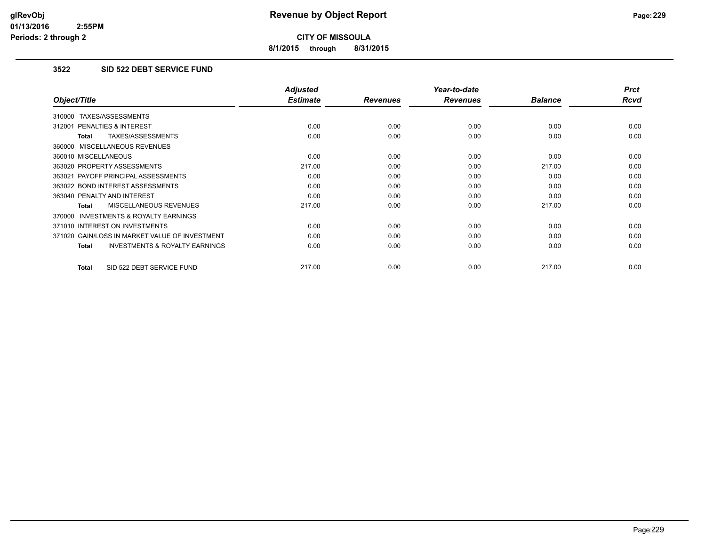**8/1/2015 through 8/31/2015**

## **3522 SID 522 DEBT SERVICE FUND**

|                                                     | <b>Adjusted</b> |                 | Year-to-date    |                | <b>Prct</b> |
|-----------------------------------------------------|-----------------|-----------------|-----------------|----------------|-------------|
| Object/Title                                        | <b>Estimate</b> | <b>Revenues</b> | <b>Revenues</b> | <b>Balance</b> | <b>Rcvd</b> |
| 310000 TAXES/ASSESSMENTS                            |                 |                 |                 |                |             |
| 312001 PENALTIES & INTEREST                         | 0.00            | 0.00            | 0.00            | 0.00           | 0.00        |
| TAXES/ASSESSMENTS<br><b>Total</b>                   | 0.00            | 0.00            | 0.00            | 0.00           | 0.00        |
| 360000 MISCELLANEOUS REVENUES                       |                 |                 |                 |                |             |
| 360010 MISCELLANEOUS                                | 0.00            | 0.00            | 0.00            | 0.00           | 0.00        |
| 363020 PROPERTY ASSESSMENTS                         | 217.00          | 0.00            | 0.00            | 217.00         | 0.00        |
| 363021 PAYOFF PRINCIPAL ASSESSMENTS                 | 0.00            | 0.00            | 0.00            | 0.00           | 0.00        |
| 363022 BOND INTEREST ASSESSMENTS                    | 0.00            | 0.00            | 0.00            | 0.00           | 0.00        |
| 363040 PENALTY AND INTEREST                         | 0.00            | 0.00            | 0.00            | 0.00           | 0.00        |
| <b>MISCELLANEOUS REVENUES</b><br><b>Total</b>       | 217.00          | 0.00            | 0.00            | 217.00         | 0.00        |
| <b>INVESTMENTS &amp; ROYALTY EARNINGS</b><br>370000 |                 |                 |                 |                |             |
| 371010 INTEREST ON INVESTMENTS                      | 0.00            | 0.00            | 0.00            | 0.00           | 0.00        |
| 371020 GAIN/LOSS IN MARKET VALUE OF INVESTMENT      | 0.00            | 0.00            | 0.00            | 0.00           | 0.00        |
| <b>INVESTMENTS &amp; ROYALTY EARNINGS</b><br>Total  | 0.00            | 0.00            | 0.00            | 0.00           | 0.00        |
| SID 522 DEBT SERVICE FUND<br><b>Total</b>           | 217.00          | 0.00            | 0.00            | 217.00         | 0.00        |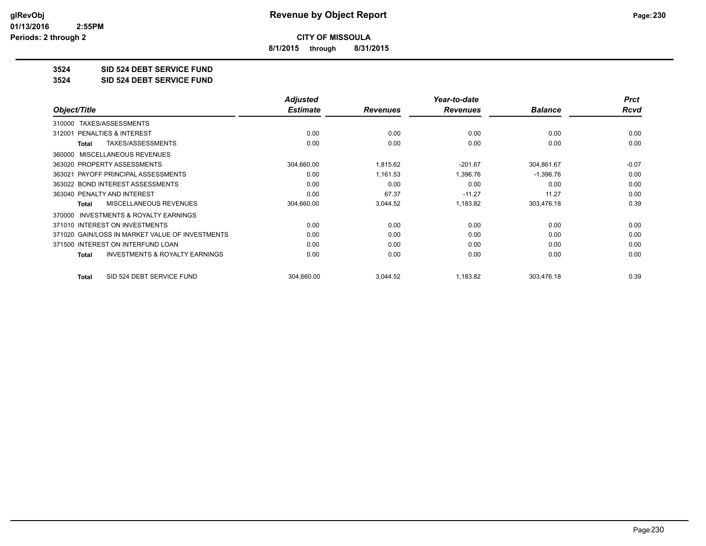**8/1/2015 through 8/31/2015**

### **3524 SID 524 DEBT SERVICE FUND**

**3524 SID 524 DEBT SERVICE FUND**

|                                                     | <b>Adjusted</b> |                 | Year-to-date    |                | <b>Prct</b> |
|-----------------------------------------------------|-----------------|-----------------|-----------------|----------------|-------------|
| Object/Title                                        | <b>Estimate</b> | <b>Revenues</b> | <b>Revenues</b> | <b>Balance</b> | <b>Rcvd</b> |
| TAXES/ASSESSMENTS<br>310000                         |                 |                 |                 |                |             |
| PENALTIES & INTEREST<br>312001                      | 0.00            | 0.00            | 0.00            | 0.00           | 0.00        |
| TAXES/ASSESSMENTS<br>Total                          | 0.00            | 0.00            | 0.00            | 0.00           | 0.00        |
| MISCELLANEOUS REVENUES<br>360000                    |                 |                 |                 |                |             |
| 363020 PROPERTY ASSESSMENTS                         | 304,660.00      | 1,815.62        | $-201.67$       | 304,861.67     | $-0.07$     |
| 363021 PAYOFF PRINCIPAL ASSESSMENTS                 | 0.00            | 1,161.53        | 1,396.76        | $-1,396.76$    | 0.00        |
| 363022 BOND INTEREST ASSESSMENTS                    | 0.00            | 0.00            | 0.00            | 0.00           | 0.00        |
| 363040 PENALTY AND INTEREST                         | 0.00            | 67.37           | $-11.27$        | 11.27          | 0.00        |
| <b>MISCELLANEOUS REVENUES</b><br>Total              | 304,660.00      | 3,044.52        | 1,183.82        | 303,476.18     | 0.39        |
| <b>INVESTMENTS &amp; ROYALTY EARNINGS</b><br>370000 |                 |                 |                 |                |             |
| 371010 INTEREST ON INVESTMENTS                      | 0.00            | 0.00            | 0.00            | 0.00           | 0.00        |
| 371020 GAIN/LOSS IN MARKET VALUE OF INVESTMENTS     | 0.00            | 0.00            | 0.00            | 0.00           | 0.00        |
| 371500 INTEREST ON INTERFUND LOAN                   | 0.00            | 0.00            | 0.00            | 0.00           | 0.00        |
| <b>INVESTMENTS &amp; ROYALTY EARNINGS</b><br>Total  | 0.00            | 0.00            | 0.00            | 0.00           | 0.00        |
| SID 524 DEBT SERVICE FUND<br><b>Total</b>           | 304,660.00      | 3,044.52        | 1,183.82        | 303,476.18     | 0.39        |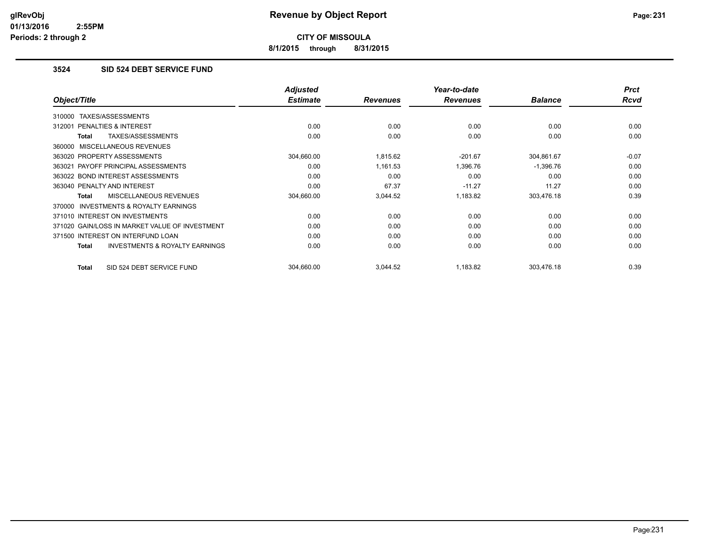**8/1/2015 through 8/31/2015**

## **3524 SID 524 DEBT SERVICE FUND**

|                                                    | <b>Adjusted</b> |                 | Year-to-date    |                | <b>Prct</b> |
|----------------------------------------------------|-----------------|-----------------|-----------------|----------------|-------------|
| Object/Title                                       | <b>Estimate</b> | <b>Revenues</b> | <b>Revenues</b> | <b>Balance</b> | Rcvd        |
| 310000 TAXES/ASSESSMENTS                           |                 |                 |                 |                |             |
| 312001 PENALTIES & INTEREST                        | 0.00            | 0.00            | 0.00            | 0.00           | 0.00        |
| TAXES/ASSESSMENTS<br>Total                         | 0.00            | 0.00            | 0.00            | 0.00           | 0.00        |
| 360000 MISCELLANEOUS REVENUES                      |                 |                 |                 |                |             |
| 363020 PROPERTY ASSESSMENTS                        | 304,660.00      | 1,815.62        | $-201.67$       | 304,861.67     | $-0.07$     |
| 363021 PAYOFF PRINCIPAL ASSESSMENTS                | 0.00            | 1,161.53        | 1,396.76        | $-1,396.76$    | 0.00        |
| 363022 BOND INTEREST ASSESSMENTS                   | 0.00            | 0.00            | 0.00            | 0.00           | 0.00        |
| 363040 PENALTY AND INTEREST                        | 0.00            | 67.37           | $-11.27$        | 11.27          | 0.00        |
| <b>MISCELLANEOUS REVENUES</b><br>Total             | 304,660.00      | 3,044.52        | 1,183.82        | 303,476.18     | 0.39        |
| INVESTMENTS & ROYALTY EARNINGS<br>370000           |                 |                 |                 |                |             |
| 371010 INTEREST ON INVESTMENTS                     | 0.00            | 0.00            | 0.00            | 0.00           | 0.00        |
| 371020 GAIN/LOSS IN MARKET VALUE OF INVESTMENT     | 0.00            | 0.00            | 0.00            | 0.00           | 0.00        |
| 371500 INTEREST ON INTERFUND LOAN                  | 0.00            | 0.00            | 0.00            | 0.00           | 0.00        |
| <b>INVESTMENTS &amp; ROYALTY EARNINGS</b><br>Total | 0.00            | 0.00            | 0.00            | 0.00           | 0.00        |
| SID 524 DEBT SERVICE FUND<br>Total                 | 304.660.00      | 3.044.52        | 1,183.82        | 303.476.18     | 0.39        |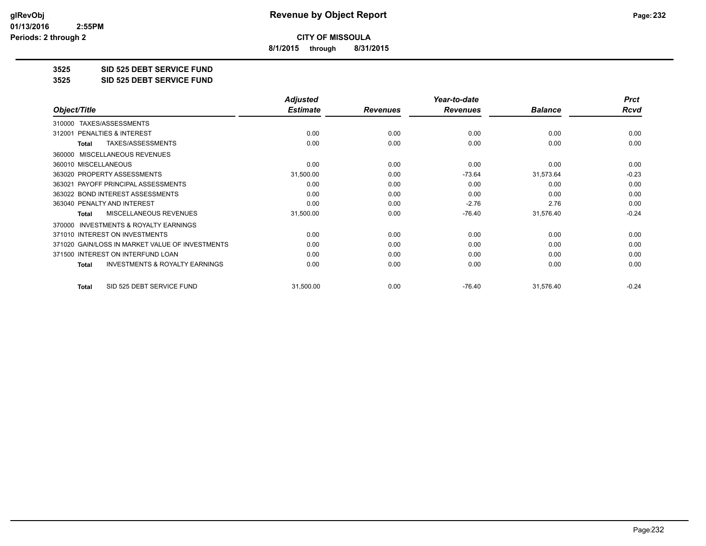**8/1/2015 through 8/31/2015**

**3525 SID 525 DEBT SERVICE FUND**

**3525 SID 525 DEBT SERVICE FUND**

|                                                           | <b>Adjusted</b> |                 | Year-to-date    |                | <b>Prct</b> |
|-----------------------------------------------------------|-----------------|-----------------|-----------------|----------------|-------------|
| Object/Title                                              | <b>Estimate</b> | <b>Revenues</b> | <b>Revenues</b> | <b>Balance</b> | <b>Rcvd</b> |
| TAXES/ASSESSMENTS<br>310000                               |                 |                 |                 |                |             |
| <b>PENALTIES &amp; INTEREST</b><br>312001                 | 0.00            | 0.00            | 0.00            | 0.00           | 0.00        |
| TAXES/ASSESSMENTS<br><b>Total</b>                         | 0.00            | 0.00            | 0.00            | 0.00           | 0.00        |
| 360000 MISCELLANEOUS REVENUES                             |                 |                 |                 |                |             |
| 360010 MISCELLANEOUS                                      | 0.00            | 0.00            | 0.00            | 0.00           | 0.00        |
| 363020 PROPERTY ASSESSMENTS                               | 31,500.00       | 0.00            | $-73.64$        | 31,573.64      | $-0.23$     |
| 363021 PAYOFF PRINCIPAL ASSESSMENTS                       | 0.00            | 0.00            | 0.00            | 0.00           | 0.00        |
| 363022 BOND INTEREST ASSESSMENTS                          | 0.00            | 0.00            | 0.00            | 0.00           | 0.00        |
| 363040 PENALTY AND INTEREST                               | 0.00            | 0.00            | $-2.76$         | 2.76           | 0.00        |
| <b>MISCELLANEOUS REVENUES</b><br><b>Total</b>             | 31,500.00       | 0.00            | $-76.40$        | 31,576.40      | $-0.24$     |
| <b>INVESTMENTS &amp; ROYALTY EARNINGS</b><br>370000       |                 |                 |                 |                |             |
| 371010 INTEREST ON INVESTMENTS                            | 0.00            | 0.00            | 0.00            | 0.00           | 0.00        |
| 371020 GAIN/LOSS IN MARKET VALUE OF INVESTMENTS           | 0.00            | 0.00            | 0.00            | 0.00           | 0.00        |
| 371500 INTEREST ON INTERFUND LOAN                         | 0.00            | 0.00            | 0.00            | 0.00           | 0.00        |
| <b>INVESTMENTS &amp; ROYALTY EARNINGS</b><br><b>Total</b> | 0.00            | 0.00            | 0.00            | 0.00           | 0.00        |
| SID 525 DEBT SERVICE FUND<br><b>Total</b>                 | 31,500.00       | 0.00            | $-76.40$        | 31,576.40      | $-0.24$     |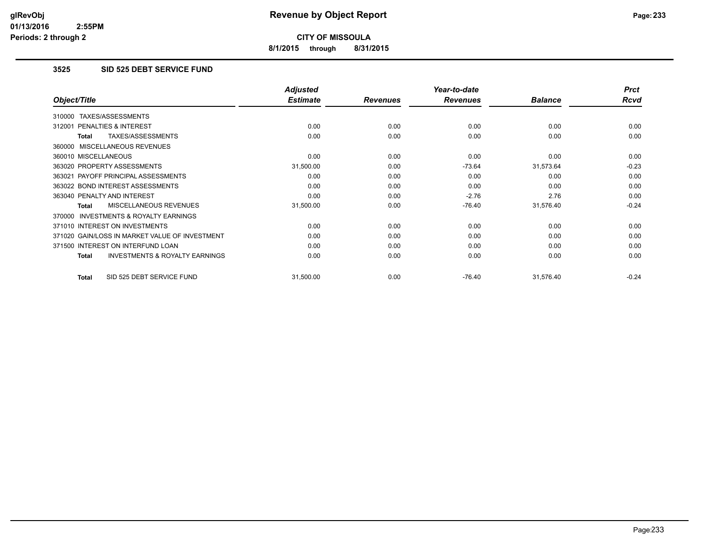**8/1/2015 through 8/31/2015**

## **3525 SID 525 DEBT SERVICE FUND**

|                                                    | <b>Adjusted</b> |                 | Year-to-date    |                | <b>Prct</b> |
|----------------------------------------------------|-----------------|-----------------|-----------------|----------------|-------------|
| Object/Title                                       | <b>Estimate</b> | <b>Revenues</b> | <b>Revenues</b> | <b>Balance</b> | <b>Rcvd</b> |
| TAXES/ASSESSMENTS<br>310000                        |                 |                 |                 |                |             |
| 312001 PENALTIES & INTEREST                        | 0.00            | 0.00            | 0.00            | 0.00           | 0.00        |
| TAXES/ASSESSMENTS<br>Total                         | 0.00            | 0.00            | 0.00            | 0.00           | 0.00        |
| 360000 MISCELLANEOUS REVENUES                      |                 |                 |                 |                |             |
| 360010 MISCELLANEOUS                               | 0.00            | 0.00            | 0.00            | 0.00           | 0.00        |
| 363020 PROPERTY ASSESSMENTS                        | 31,500.00       | 0.00            | $-73.64$        | 31,573.64      | $-0.23$     |
| 363021 PAYOFF PRINCIPAL ASSESSMENTS                | 0.00            | 0.00            | 0.00            | 0.00           | 0.00        |
| 363022 BOND INTEREST ASSESSMENTS                   | 0.00            | 0.00            | 0.00            | 0.00           | 0.00        |
| 363040 PENALTY AND INTEREST                        | 0.00            | 0.00            | $-2.76$         | 2.76           | 0.00        |
| MISCELLANEOUS REVENUES<br>Total                    | 31,500.00       | 0.00            | $-76.40$        | 31,576.40      | $-0.24$     |
| 370000 INVESTMENTS & ROYALTY EARNINGS              |                 |                 |                 |                |             |
| 371010 INTEREST ON INVESTMENTS                     | 0.00            | 0.00            | 0.00            | 0.00           | 0.00        |
| 371020 GAIN/LOSS IN MARKET VALUE OF INVESTMENT     | 0.00            | 0.00            | 0.00            | 0.00           | 0.00        |
| 371500 INTEREST ON INTERFUND LOAN                  | 0.00            | 0.00            | 0.00            | 0.00           | 0.00        |
| <b>INVESTMENTS &amp; ROYALTY EARNINGS</b><br>Total | 0.00            | 0.00            | 0.00            | 0.00           | 0.00        |
| SID 525 DEBT SERVICE FUND<br>Total                 | 31,500.00       | 0.00            | $-76.40$        | 31,576.40      | $-0.24$     |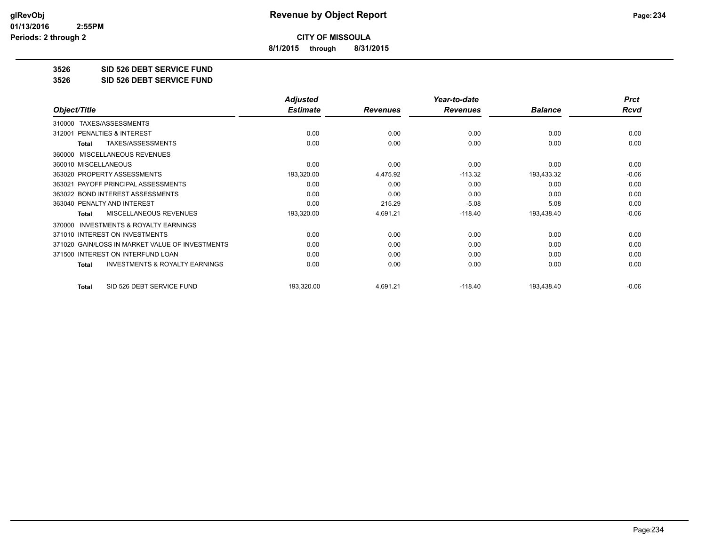**8/1/2015 through 8/31/2015**

**3526 SID 526 DEBT SERVICE FUND**

**3526 SID 526 DEBT SERVICE FUND**

|                                                           | <b>Adjusted</b> |                 | Year-to-date    |                | <b>Prct</b> |
|-----------------------------------------------------------|-----------------|-----------------|-----------------|----------------|-------------|
| Object/Title                                              | <b>Estimate</b> | <b>Revenues</b> | <b>Revenues</b> | <b>Balance</b> | Rcvd        |
| TAXES/ASSESSMENTS<br>310000                               |                 |                 |                 |                |             |
| <b>PENALTIES &amp; INTEREST</b><br>312001                 | 0.00            | 0.00            | 0.00            | 0.00           | 0.00        |
| TAXES/ASSESSMENTS<br><b>Total</b>                         | 0.00            | 0.00            | 0.00            | 0.00           | 0.00        |
| MISCELLANEOUS REVENUES<br>360000                          |                 |                 |                 |                |             |
| 360010 MISCELLANEOUS                                      | 0.00            | 0.00            | 0.00            | 0.00           | 0.00        |
| 363020 PROPERTY ASSESSMENTS                               | 193,320.00      | 4,475.92        | $-113.32$       | 193,433.32     | $-0.06$     |
| 363021 PAYOFF PRINCIPAL ASSESSMENTS                       | 0.00            | 0.00            | 0.00            | 0.00           | 0.00        |
| 363022 BOND INTEREST ASSESSMENTS                          | 0.00            | 0.00            | 0.00            | 0.00           | 0.00        |
| 363040 PENALTY AND INTEREST                               | 0.00            | 215.29          | $-5.08$         | 5.08           | 0.00        |
| <b>MISCELLANEOUS REVENUES</b><br>Total                    | 193,320.00      | 4,691.21        | $-118.40$       | 193,438.40     | $-0.06$     |
| <b>INVESTMENTS &amp; ROYALTY EARNINGS</b><br>370000       |                 |                 |                 |                |             |
| 371010 INTEREST ON INVESTMENTS                            | 0.00            | 0.00            | 0.00            | 0.00           | 0.00        |
| 371020 GAIN/LOSS IN MARKET VALUE OF INVESTMENTS           | 0.00            | 0.00            | 0.00            | 0.00           | 0.00        |
| 371500 INTEREST ON INTERFUND LOAN                         | 0.00            | 0.00            | 0.00            | 0.00           | 0.00        |
| <b>INVESTMENTS &amp; ROYALTY EARNINGS</b><br><b>Total</b> | 0.00            | 0.00            | 0.00            | 0.00           | 0.00        |
| SID 526 DEBT SERVICE FUND<br><b>Total</b>                 | 193,320.00      | 4,691.21        | $-118.40$       | 193,438.40     | $-0.06$     |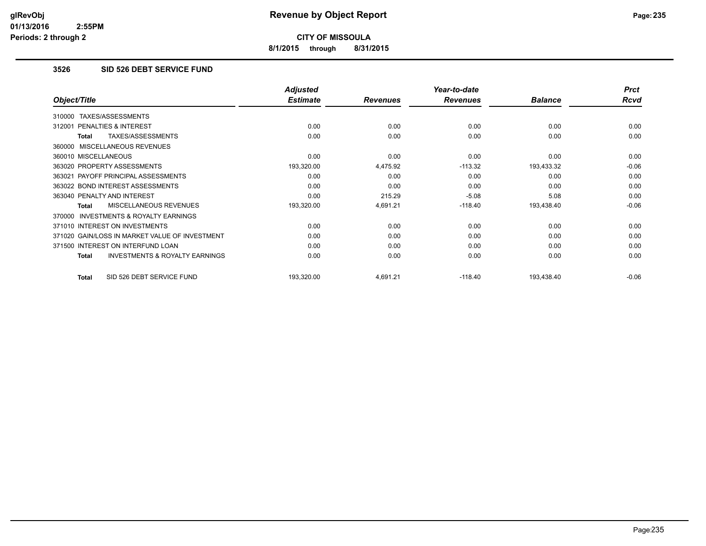**8/1/2015 through 8/31/2015**

## **3526 SID 526 DEBT SERVICE FUND**

|                                                    | <b>Adjusted</b> |                 | Year-to-date    |                | <b>Prct</b> |
|----------------------------------------------------|-----------------|-----------------|-----------------|----------------|-------------|
| Object/Title                                       | <b>Estimate</b> | <b>Revenues</b> | <b>Revenues</b> | <b>Balance</b> | <b>Rcvd</b> |
| TAXES/ASSESSMENTS<br>310000                        |                 |                 |                 |                |             |
| 312001 PENALTIES & INTEREST                        | 0.00            | 0.00            | 0.00            | 0.00           | 0.00        |
| TAXES/ASSESSMENTS<br>Total                         | 0.00            | 0.00            | 0.00            | 0.00           | 0.00        |
| 360000 MISCELLANEOUS REVENUES                      |                 |                 |                 |                |             |
| 360010 MISCELLANEOUS                               | 0.00            | 0.00            | 0.00            | 0.00           | 0.00        |
| 363020 PROPERTY ASSESSMENTS                        | 193,320.00      | 4,475.92        | $-113.32$       | 193,433.32     | $-0.06$     |
| 363021 PAYOFF PRINCIPAL ASSESSMENTS                | 0.00            | 0.00            | 0.00            | 0.00           | 0.00        |
| 363022 BOND INTEREST ASSESSMENTS                   | 0.00            | 0.00            | 0.00            | 0.00           | 0.00        |
| 363040 PENALTY AND INTEREST                        | 0.00            | 215.29          | $-5.08$         | 5.08           | 0.00        |
| <b>MISCELLANEOUS REVENUES</b><br>Total             | 193,320.00      | 4,691.21        | $-118.40$       | 193,438.40     | $-0.06$     |
| 370000 INVESTMENTS & ROYALTY EARNINGS              |                 |                 |                 |                |             |
| 371010 INTEREST ON INVESTMENTS                     | 0.00            | 0.00            | 0.00            | 0.00           | 0.00        |
| 371020 GAIN/LOSS IN MARKET VALUE OF INVESTMENT     | 0.00            | 0.00            | 0.00            | 0.00           | 0.00        |
| 371500 INTEREST ON INTERFUND LOAN                  | 0.00            | 0.00            | 0.00            | 0.00           | 0.00        |
| <b>INVESTMENTS &amp; ROYALTY EARNINGS</b><br>Total | 0.00            | 0.00            | 0.00            | 0.00           | 0.00        |
| SID 526 DEBT SERVICE FUND<br>Total                 | 193,320.00      | 4,691.21        | $-118.40$       | 193,438.40     | $-0.06$     |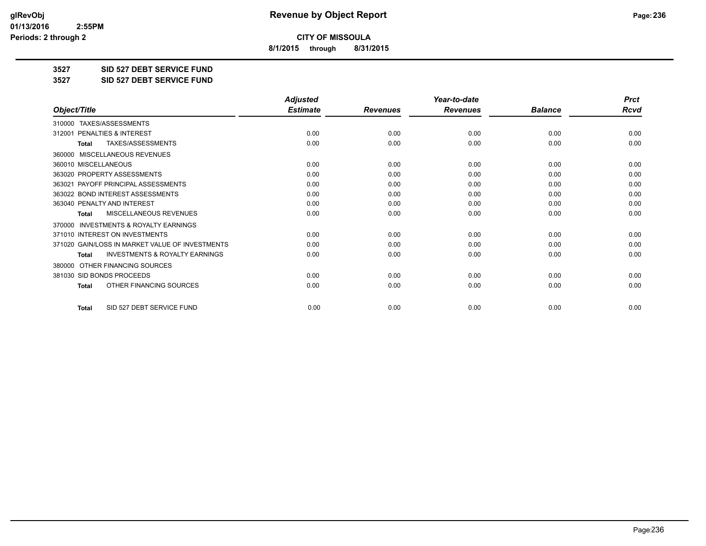**8/1/2015 through 8/31/2015**

**3527 SID 527 DEBT SERVICE FUND**

**3527 SID 527 DEBT SERVICE FUND**

|                                                           | <b>Adjusted</b> |                 | Year-to-date    |                | <b>Prct</b> |
|-----------------------------------------------------------|-----------------|-----------------|-----------------|----------------|-------------|
| Object/Title                                              | <b>Estimate</b> | <b>Revenues</b> | <b>Revenues</b> | <b>Balance</b> | <b>Rcvd</b> |
| 310000 TAXES/ASSESSMENTS                                  |                 |                 |                 |                |             |
| 312001 PENALTIES & INTEREST                               | 0.00            | 0.00            | 0.00            | 0.00           | 0.00        |
| TAXES/ASSESSMENTS<br><b>Total</b>                         | 0.00            | 0.00            | 0.00            | 0.00           | 0.00        |
| MISCELLANEOUS REVENUES<br>360000                          |                 |                 |                 |                |             |
| 360010 MISCELLANEOUS                                      | 0.00            | 0.00            | 0.00            | 0.00           | 0.00        |
| 363020 PROPERTY ASSESSMENTS                               | 0.00            | 0.00            | 0.00            | 0.00           | 0.00        |
| 363021 PAYOFF PRINCIPAL ASSESSMENTS                       | 0.00            | 0.00            | 0.00            | 0.00           | 0.00        |
| 363022 BOND INTEREST ASSESSMENTS                          | 0.00            | 0.00            | 0.00            | 0.00           | 0.00        |
| 363040 PENALTY AND INTEREST                               | 0.00            | 0.00            | 0.00            | 0.00           | 0.00        |
| MISCELLANEOUS REVENUES<br><b>Total</b>                    | 0.00            | 0.00            | 0.00            | 0.00           | 0.00        |
| <b>INVESTMENTS &amp; ROYALTY EARNINGS</b><br>370000       |                 |                 |                 |                |             |
| 371010 INTEREST ON INVESTMENTS                            | 0.00            | 0.00            | 0.00            | 0.00           | 0.00        |
| 371020 GAIN/LOSS IN MARKET VALUE OF INVESTMENTS           | 0.00            | 0.00            | 0.00            | 0.00           | 0.00        |
| <b>INVESTMENTS &amp; ROYALTY EARNINGS</b><br><b>Total</b> | 0.00            | 0.00            | 0.00            | 0.00           | 0.00        |
| OTHER FINANCING SOURCES<br>380000                         |                 |                 |                 |                |             |
| 381030 SID BONDS PROCEEDS                                 | 0.00            | 0.00            | 0.00            | 0.00           | 0.00        |
| OTHER FINANCING SOURCES<br><b>Total</b>                   | 0.00            | 0.00            | 0.00            | 0.00           | 0.00        |
| SID 527 DEBT SERVICE FUND<br><b>Total</b>                 | 0.00            | 0.00            | 0.00            | 0.00           | 0.00        |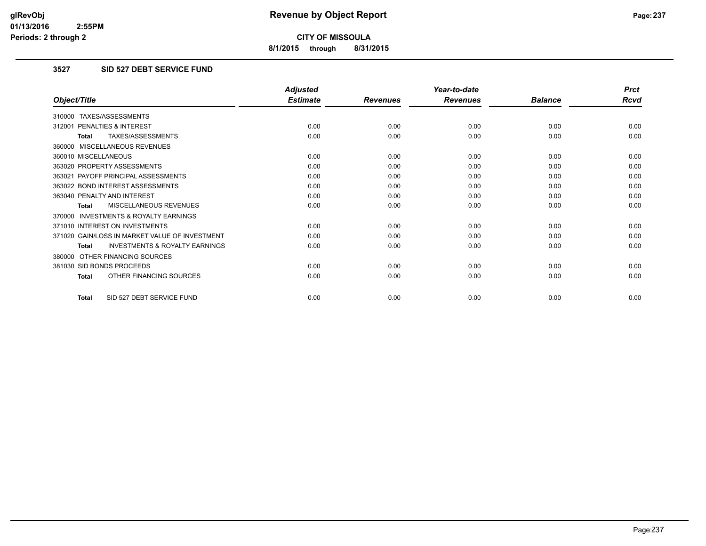**8/1/2015 through 8/31/2015**

## **3527 SID 527 DEBT SERVICE FUND**

|                                                           | <b>Adjusted</b> |                 | Year-to-date    |                | <b>Prct</b> |
|-----------------------------------------------------------|-----------------|-----------------|-----------------|----------------|-------------|
| Object/Title                                              | <b>Estimate</b> | <b>Revenues</b> | <b>Revenues</b> | <b>Balance</b> | <b>Rcvd</b> |
| 310000 TAXES/ASSESSMENTS                                  |                 |                 |                 |                |             |
| PENALTIES & INTEREST<br>312001                            | 0.00            | 0.00            | 0.00            | 0.00           | 0.00        |
| TAXES/ASSESSMENTS<br><b>Total</b>                         | 0.00            | 0.00            | 0.00            | 0.00           | 0.00        |
| 360000 MISCELLANEOUS REVENUES                             |                 |                 |                 |                |             |
| 360010 MISCELLANEOUS                                      | 0.00            | 0.00            | 0.00            | 0.00           | 0.00        |
| 363020 PROPERTY ASSESSMENTS                               | 0.00            | 0.00            | 0.00            | 0.00           | 0.00        |
| 363021 PAYOFF PRINCIPAL ASSESSMENTS                       | 0.00            | 0.00            | 0.00            | 0.00           | 0.00        |
| 363022 BOND INTEREST ASSESSMENTS                          | 0.00            | 0.00            | 0.00            | 0.00           | 0.00        |
| 363040 PENALTY AND INTEREST                               | 0.00            | 0.00            | 0.00            | 0.00           | 0.00        |
| MISCELLANEOUS REVENUES<br><b>Total</b>                    | 0.00            | 0.00            | 0.00            | 0.00           | 0.00        |
| <b>INVESTMENTS &amp; ROYALTY EARNINGS</b><br>370000       |                 |                 |                 |                |             |
| 371010 INTEREST ON INVESTMENTS                            | 0.00            | 0.00            | 0.00            | 0.00           | 0.00        |
| 371020 GAIN/LOSS IN MARKET VALUE OF INVESTMENT            | 0.00            | 0.00            | 0.00            | 0.00           | 0.00        |
| <b>INVESTMENTS &amp; ROYALTY EARNINGS</b><br><b>Total</b> | 0.00            | 0.00            | 0.00            | 0.00           | 0.00        |
| OTHER FINANCING SOURCES<br>380000                         |                 |                 |                 |                |             |
| 381030 SID BONDS PROCEEDS                                 | 0.00            | 0.00            | 0.00            | 0.00           | 0.00        |
| OTHER FINANCING SOURCES<br><b>Total</b>                   | 0.00            | 0.00            | 0.00            | 0.00           | 0.00        |
| SID 527 DEBT SERVICE FUND<br><b>Total</b>                 | 0.00            | 0.00            | 0.00            | 0.00           | 0.00        |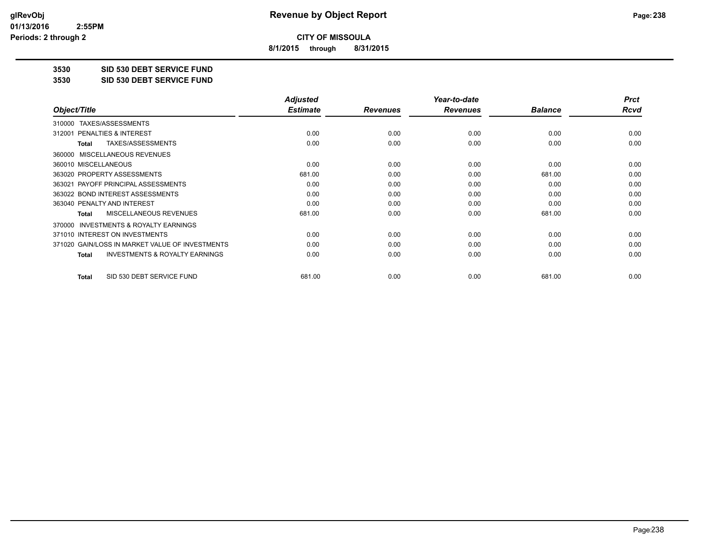**8/1/2015 through 8/31/2015**

**3530 SID 530 DEBT SERVICE FUND**

**3530 SID 530 DEBT SERVICE FUND**

|                                                           | <b>Adjusted</b> |                 | Year-to-date    |                | <b>Prct</b> |
|-----------------------------------------------------------|-----------------|-----------------|-----------------|----------------|-------------|
| Object/Title                                              | <b>Estimate</b> | <b>Revenues</b> | <b>Revenues</b> | <b>Balance</b> | Rcvd        |
| TAXES/ASSESSMENTS<br>310000                               |                 |                 |                 |                |             |
| 312001 PENALTIES & INTEREST                               | 0.00            | 0.00            | 0.00            | 0.00           | 0.00        |
| TAXES/ASSESSMENTS<br>Total                                | 0.00            | 0.00            | 0.00            | 0.00           | 0.00        |
| MISCELLANEOUS REVENUES<br>360000                          |                 |                 |                 |                |             |
| 360010 MISCELLANEOUS                                      | 0.00            | 0.00            | 0.00            | 0.00           | 0.00        |
| 363020 PROPERTY ASSESSMENTS                               | 681.00          | 0.00            | 0.00            | 681.00         | 0.00        |
| 363021 PAYOFF PRINCIPAL ASSESSMENTS                       | 0.00            | 0.00            | 0.00            | 0.00           | 0.00        |
| 363022 BOND INTEREST ASSESSMENTS                          | 0.00            | 0.00            | 0.00            | 0.00           | 0.00        |
| 363040 PENALTY AND INTEREST                               | 0.00            | 0.00            | 0.00            | 0.00           | 0.00        |
| MISCELLANEOUS REVENUES<br><b>Total</b>                    | 681.00          | 0.00            | 0.00            | 681.00         | 0.00        |
| <b>INVESTMENTS &amp; ROYALTY EARNINGS</b><br>370000       |                 |                 |                 |                |             |
| 371010 INTEREST ON INVESTMENTS                            | 0.00            | 0.00            | 0.00            | 0.00           | 0.00        |
| 371020 GAIN/LOSS IN MARKET VALUE OF INVESTMENTS           | 0.00            | 0.00            | 0.00            | 0.00           | 0.00        |
| <b>INVESTMENTS &amp; ROYALTY EARNINGS</b><br><b>Total</b> | 0.00            | 0.00            | 0.00            | 0.00           | 0.00        |
| SID 530 DEBT SERVICE FUND<br><b>Total</b>                 | 681.00          | 0.00            | 0.00            | 681.00         | 0.00        |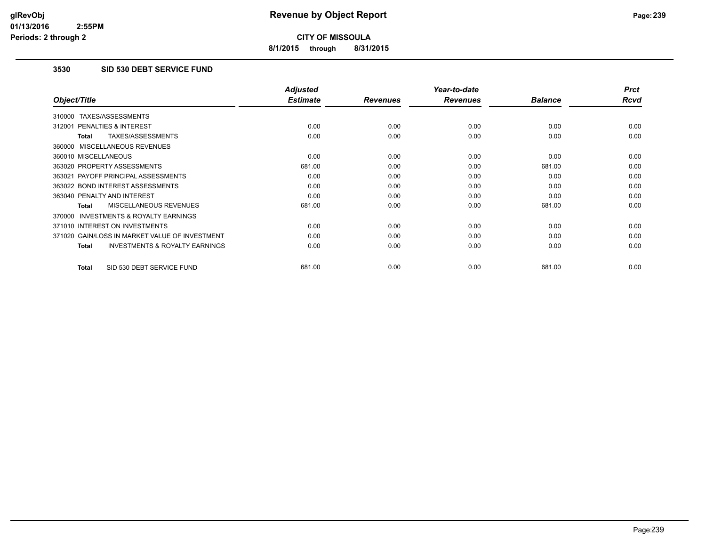**8/1/2015 through 8/31/2015**

## **3530 SID 530 DEBT SERVICE FUND**

|                                                           | <b>Adjusted</b> |                 | Year-to-date    |                | <b>Prct</b> |
|-----------------------------------------------------------|-----------------|-----------------|-----------------|----------------|-------------|
| Object/Title                                              | <b>Estimate</b> | <b>Revenues</b> | <b>Revenues</b> | <b>Balance</b> | <b>Rcvd</b> |
| 310000 TAXES/ASSESSMENTS                                  |                 |                 |                 |                |             |
| PENALTIES & INTEREST<br>312001                            | 0.00            | 0.00            | 0.00            | 0.00           | 0.00        |
| TAXES/ASSESSMENTS<br>Total                                | 0.00            | 0.00            | 0.00            | 0.00           | 0.00        |
| 360000 MISCELLANEOUS REVENUES                             |                 |                 |                 |                |             |
| 360010 MISCELLANEOUS                                      | 0.00            | 0.00            | 0.00            | 0.00           | 0.00        |
| 363020 PROPERTY ASSESSMENTS                               | 681.00          | 0.00            | 0.00            | 681.00         | 0.00        |
| 363021 PAYOFF PRINCIPAL ASSESSMENTS                       | 0.00            | 0.00            | 0.00            | 0.00           | 0.00        |
| 363022 BOND INTEREST ASSESSMENTS                          | 0.00            | 0.00            | 0.00            | 0.00           | 0.00        |
| 363040 PENALTY AND INTEREST                               | 0.00            | 0.00            | 0.00            | 0.00           | 0.00        |
| <b>MISCELLANEOUS REVENUES</b><br>Total                    | 681.00          | 0.00            | 0.00            | 681.00         | 0.00        |
| <b>INVESTMENTS &amp; ROYALTY EARNINGS</b><br>370000       |                 |                 |                 |                |             |
| 371010 INTEREST ON INVESTMENTS                            | 0.00            | 0.00            | 0.00            | 0.00           | 0.00        |
| 371020 GAIN/LOSS IN MARKET VALUE OF INVESTMENT            | 0.00            | 0.00            | 0.00            | 0.00           | 0.00        |
| <b>INVESTMENTS &amp; ROYALTY EARNINGS</b><br><b>Total</b> | 0.00            | 0.00            | 0.00            | 0.00           | 0.00        |
| SID 530 DEBT SERVICE FUND<br><b>Total</b>                 | 681.00          | 0.00            | 0.00            | 681.00         | 0.00        |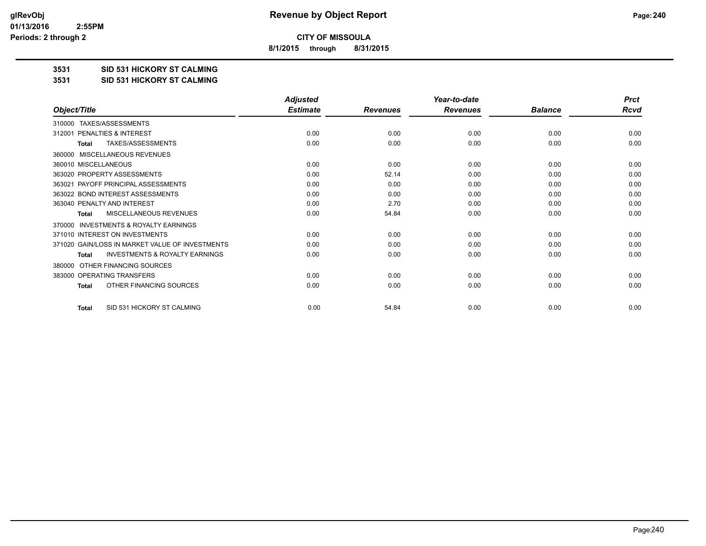**8/1/2015 through 8/31/2015**

**3531 SID 531 HICKORY ST CALMING**

**3531 SID 531 HICKORY ST CALMING**

|                                                           | <b>Adjusted</b> |                 | Year-to-date    |                | <b>Prct</b> |
|-----------------------------------------------------------|-----------------|-----------------|-----------------|----------------|-------------|
| Object/Title                                              | <b>Estimate</b> | <b>Revenues</b> | <b>Revenues</b> | <b>Balance</b> | <b>Rcvd</b> |
| TAXES/ASSESSMENTS<br>310000                               |                 |                 |                 |                |             |
| PENALTIES & INTEREST<br>312001                            | 0.00            | 0.00            | 0.00            | 0.00           | 0.00        |
| TAXES/ASSESSMENTS<br><b>Total</b>                         | 0.00            | 0.00            | 0.00            | 0.00           | 0.00        |
| MISCELLANEOUS REVENUES<br>360000                          |                 |                 |                 |                |             |
| 360010 MISCELLANEOUS                                      | 0.00            | 0.00            | 0.00            | 0.00           | 0.00        |
| 363020 PROPERTY ASSESSMENTS                               | 0.00            | 52.14           | 0.00            | 0.00           | 0.00        |
| 363021 PAYOFF PRINCIPAL ASSESSMENTS                       | 0.00            | 0.00            | 0.00            | 0.00           | 0.00        |
| 363022 BOND INTEREST ASSESSMENTS                          | 0.00            | 0.00            | 0.00            | 0.00           | 0.00        |
| 363040 PENALTY AND INTEREST                               | 0.00            | 2.70            | 0.00            | 0.00           | 0.00        |
| MISCELLANEOUS REVENUES<br><b>Total</b>                    | 0.00            | 54.84           | 0.00            | 0.00           | 0.00        |
| <b>INVESTMENTS &amp; ROYALTY EARNINGS</b><br>370000       |                 |                 |                 |                |             |
| 371010 INTEREST ON INVESTMENTS                            | 0.00            | 0.00            | 0.00            | 0.00           | 0.00        |
| 371020 GAIN/LOSS IN MARKET VALUE OF INVESTMENTS           | 0.00            | 0.00            | 0.00            | 0.00           | 0.00        |
| <b>INVESTMENTS &amp; ROYALTY EARNINGS</b><br><b>Total</b> | 0.00            | 0.00            | 0.00            | 0.00           | 0.00        |
| OTHER FINANCING SOURCES<br>380000                         |                 |                 |                 |                |             |
| 383000 OPERATING TRANSFERS                                | 0.00            | 0.00            | 0.00            | 0.00           | 0.00        |
| OTHER FINANCING SOURCES<br><b>Total</b>                   | 0.00            | 0.00            | 0.00            | 0.00           | 0.00        |
| SID 531 HICKORY ST CALMING<br><b>Total</b>                | 0.00            | 54.84           | 0.00            | 0.00           | 0.00        |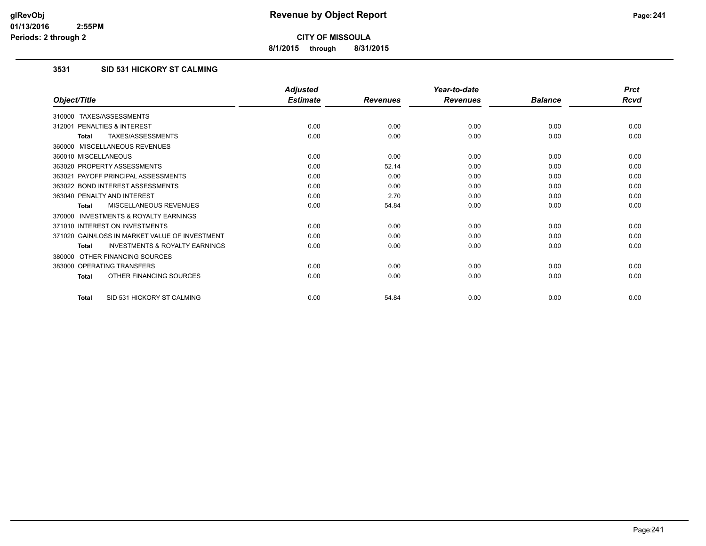**8/1/2015 through 8/31/2015**

## **3531 SID 531 HICKORY ST CALMING**

|                                                           | <b>Adjusted</b> |                 | Year-to-date    |                | <b>Prct</b> |
|-----------------------------------------------------------|-----------------|-----------------|-----------------|----------------|-------------|
| Object/Title                                              | <b>Estimate</b> | <b>Revenues</b> | <b>Revenues</b> | <b>Balance</b> | <b>Rcvd</b> |
| 310000 TAXES/ASSESSMENTS                                  |                 |                 |                 |                |             |
| PENALTIES & INTEREST<br>312001                            | 0.00            | 0.00            | 0.00            | 0.00           | 0.00        |
| TAXES/ASSESSMENTS<br><b>Total</b>                         | 0.00            | 0.00            | 0.00            | 0.00           | 0.00        |
| 360000 MISCELLANEOUS REVENUES                             |                 |                 |                 |                |             |
| 360010 MISCELLANEOUS                                      | 0.00            | 0.00            | 0.00            | 0.00           | 0.00        |
| 363020 PROPERTY ASSESSMENTS                               | 0.00            | 52.14           | 0.00            | 0.00           | 0.00        |
| 363021 PAYOFF PRINCIPAL ASSESSMENTS                       | 0.00            | 0.00            | 0.00            | 0.00           | 0.00        |
| 363022 BOND INTEREST ASSESSMENTS                          | 0.00            | 0.00            | 0.00            | 0.00           | 0.00        |
| 363040 PENALTY AND INTEREST                               | 0.00            | 2.70            | 0.00            | 0.00           | 0.00        |
| MISCELLANEOUS REVENUES<br><b>Total</b>                    | 0.00            | 54.84           | 0.00            | 0.00           | 0.00        |
| <b>INVESTMENTS &amp; ROYALTY EARNINGS</b><br>370000       |                 |                 |                 |                |             |
| 371010 INTEREST ON INVESTMENTS                            | 0.00            | 0.00            | 0.00            | 0.00           | 0.00        |
| 371020 GAIN/LOSS IN MARKET VALUE OF INVESTMENT            | 0.00            | 0.00            | 0.00            | 0.00           | 0.00        |
| <b>INVESTMENTS &amp; ROYALTY EARNINGS</b><br><b>Total</b> | 0.00            | 0.00            | 0.00            | 0.00           | 0.00        |
| OTHER FINANCING SOURCES<br>380000                         |                 |                 |                 |                |             |
| 383000 OPERATING TRANSFERS                                | 0.00            | 0.00            | 0.00            | 0.00           | 0.00        |
| OTHER FINANCING SOURCES<br><b>Total</b>                   | 0.00            | 0.00            | 0.00            | 0.00           | 0.00        |
| SID 531 HICKORY ST CALMING<br><b>Total</b>                | 0.00            | 54.84           | 0.00            | 0.00           | 0.00        |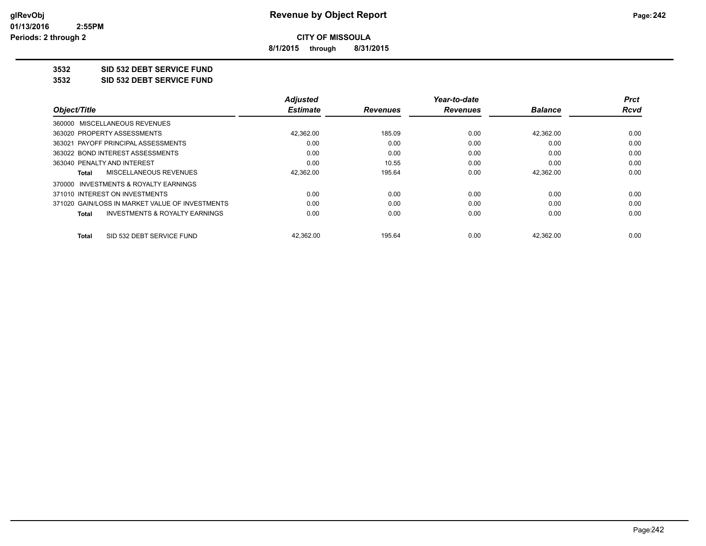**8/1/2015 through 8/31/2015**

## **3532 SID 532 DEBT SERVICE FUND**

**3532 SID 532 DEBT SERVICE FUND**

|                                                           | <b>Adjusted</b> |                 | Year-to-date    |                | Prct |
|-----------------------------------------------------------|-----------------|-----------------|-----------------|----------------|------|
| Object/Title                                              | <b>Estimate</b> | <b>Revenues</b> | <b>Revenues</b> | <b>Balance</b> | Rcvd |
| 360000 MISCELLANEOUS REVENUES                             |                 |                 |                 |                |      |
| 363020 PROPERTY ASSESSMENTS                               | 42,362.00       | 185.09          | 0.00            | 42,362.00      | 0.00 |
| 363021 PAYOFF PRINCIPAL ASSESSMENTS                       | 0.00            | 0.00            | 0.00            | 0.00           | 0.00 |
| 363022 BOND INTEREST ASSESSMENTS                          | 0.00            | 0.00            | 0.00            | 0.00           | 0.00 |
| 363040 PENALTY AND INTEREST                               | 0.00            | 10.55           | 0.00            | 0.00           | 0.00 |
| MISCELLANEOUS REVENUES<br>Total                           | 42,362.00       | 195.64          | 0.00            | 42.362.00      | 0.00 |
| 370000 INVESTMENTS & ROYALTY EARNINGS                     |                 |                 |                 |                |      |
| 371010 INTEREST ON INVESTMENTS                            | 0.00            | 0.00            | 0.00            | 0.00           | 0.00 |
| 371020 GAIN/LOSS IN MARKET VALUE OF INVESTMENTS           | 0.00            | 0.00            | 0.00            | 0.00           | 0.00 |
| <b>INVESTMENTS &amp; ROYALTY EARNINGS</b><br><b>Total</b> | 0.00            | 0.00            | 0.00            | 0.00           | 0.00 |
| SID 532 DEBT SERVICE FUND<br>Total                        | 42,362.00       | 195.64          | 0.00            | 42,362.00      | 0.00 |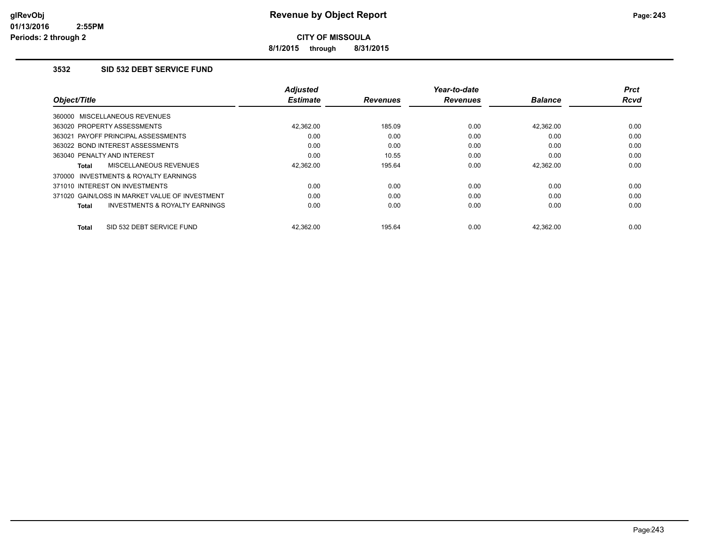**8/1/2015 through 8/31/2015**

### **3532 SID 532 DEBT SERVICE FUND**

|                                                     | <b>Adjusted</b> |                 | Year-to-date    |                | Prct        |
|-----------------------------------------------------|-----------------|-----------------|-----------------|----------------|-------------|
| Object/Title                                        | <b>Estimate</b> | <b>Revenues</b> | <b>Revenues</b> | <b>Balance</b> | <b>Rcvd</b> |
| 360000 MISCELLANEOUS REVENUES                       |                 |                 |                 |                |             |
| 363020 PROPERTY ASSESSMENTS                         | 42.362.00       | 185.09          | 0.00            | 42.362.00      | 0.00        |
| 363021 PAYOFF PRINCIPAL ASSESSMENTS                 | 0.00            | 0.00            | 0.00            | 0.00           | 0.00        |
| 363022 BOND INTEREST ASSESSMENTS                    | 0.00            | 0.00            | 0.00            | 0.00           | 0.00        |
| 363040 PENALTY AND INTEREST                         | 0.00            | 10.55           | 0.00            | 0.00           | 0.00        |
| MISCELLANEOUS REVENUES<br>Total                     | 42.362.00       | 195.64          | 0.00            | 42,362.00      | 0.00        |
| <b>INVESTMENTS &amp; ROYALTY EARNINGS</b><br>370000 |                 |                 |                 |                |             |
| 371010 INTEREST ON INVESTMENTS                      | 0.00            | 0.00            | 0.00            | 0.00           | 0.00        |
| 371020 GAIN/LOSS IN MARKET VALUE OF INVESTMENT      | 0.00            | 0.00            | 0.00            | 0.00           | 0.00        |
| <b>INVESTMENTS &amp; ROYALTY EARNINGS</b><br>Total  | 0.00            | 0.00            | 0.00            | 0.00           | 0.00        |
| SID 532 DEBT SERVICE FUND<br>Total                  | 42.362.00       | 195.64          | 0.00            | 42.362.00      | 0.00        |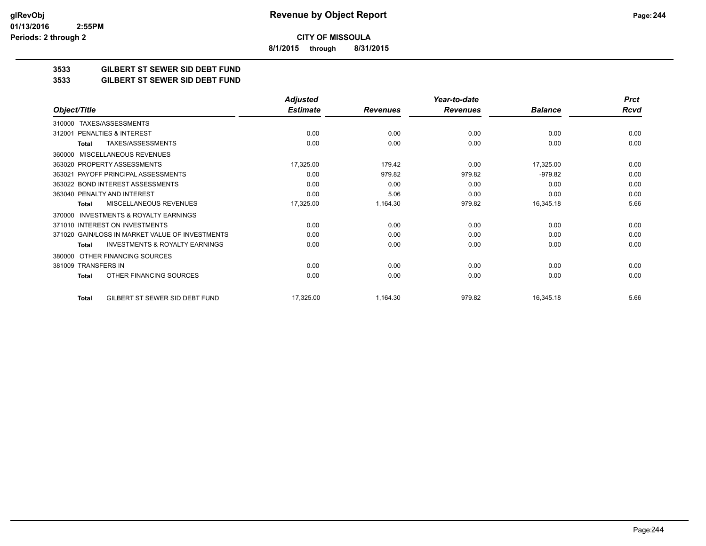**8/1/2015 through 8/31/2015**

## **3533 GILBERT ST SEWER SID DEBT FUND**

### **3533 GILBERT ST SEWER SID DEBT FUND**

|                                                           | <b>Adjusted</b> |                 | Year-to-date    |                | <b>Prct</b> |
|-----------------------------------------------------------|-----------------|-----------------|-----------------|----------------|-------------|
| Object/Title                                              | <b>Estimate</b> | <b>Revenues</b> | <b>Revenues</b> | <b>Balance</b> | <b>Rcvd</b> |
| TAXES/ASSESSMENTS<br>310000                               |                 |                 |                 |                |             |
| PENALTIES & INTEREST<br>312001                            | 0.00            | 0.00            | 0.00            | 0.00           | 0.00        |
| <b>TAXES/ASSESSMENTS</b><br>Total                         | 0.00            | 0.00            | 0.00            | 0.00           | 0.00        |
| <b>MISCELLANEOUS REVENUES</b><br>360000                   |                 |                 |                 |                |             |
| 363020 PROPERTY ASSESSMENTS                               | 17,325.00       | 179.42          | 0.00            | 17,325.00      | 0.00        |
| 363021 PAYOFF PRINCIPAL ASSESSMENTS                       | 0.00            | 979.82          | 979.82          | $-979.82$      | 0.00        |
| 363022 BOND INTEREST ASSESSMENTS                          | 0.00            | 0.00            | 0.00            | 0.00           | 0.00        |
| 363040 PENALTY AND INTEREST                               | 0.00            | 5.06            | 0.00            | 0.00           | 0.00        |
| <b>MISCELLANEOUS REVENUES</b><br><b>Total</b>             | 17,325.00       | 1,164.30        | 979.82          | 16,345.18      | 5.66        |
| <b>INVESTMENTS &amp; ROYALTY EARNINGS</b><br>370000       |                 |                 |                 |                |             |
| 371010 INTEREST ON INVESTMENTS                            | 0.00            | 0.00            | 0.00            | 0.00           | 0.00        |
| 371020 GAIN/LOSS IN MARKET VALUE OF INVESTMENTS           | 0.00            | 0.00            | 0.00            | 0.00           | 0.00        |
| <b>INVESTMENTS &amp; ROYALTY EARNINGS</b><br><b>Total</b> | 0.00            | 0.00            | 0.00            | 0.00           | 0.00        |
| OTHER FINANCING SOURCES<br>380000                         |                 |                 |                 |                |             |
| 381009 TRANSFERS IN                                       | 0.00            | 0.00            | 0.00            | 0.00           | 0.00        |
| OTHER FINANCING SOURCES<br><b>Total</b>                   | 0.00            | 0.00            | 0.00            | 0.00           | 0.00        |
| GILBERT ST SEWER SID DEBT FUND<br><b>Total</b>            | 17,325.00       | 1,164.30        | 979.82          | 16,345.18      | 5.66        |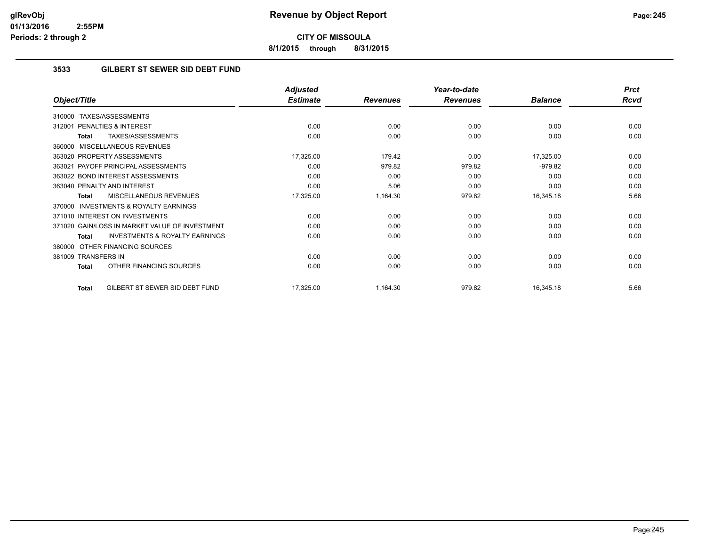**8/1/2015 through 8/31/2015**

## **3533 GILBERT ST SEWER SID DEBT FUND**

|                                                           | <b>Adjusted</b> |                 | Year-to-date    |                | <b>Prct</b> |
|-----------------------------------------------------------|-----------------|-----------------|-----------------|----------------|-------------|
| Object/Title                                              | <b>Estimate</b> | <b>Revenues</b> | <b>Revenues</b> | <b>Balance</b> | <b>Rcvd</b> |
| TAXES/ASSESSMENTS<br>310000                               |                 |                 |                 |                |             |
| <b>PENALTIES &amp; INTEREST</b><br>312001                 | 0.00            | 0.00            | 0.00            | 0.00           | 0.00        |
| TAXES/ASSESSMENTS<br><b>Total</b>                         | 0.00            | 0.00            | 0.00            | 0.00           | 0.00        |
| MISCELLANEOUS REVENUES<br>360000                          |                 |                 |                 |                |             |
| 363020 PROPERTY ASSESSMENTS                               | 17,325.00       | 179.42          | 0.00            | 17,325.00      | 0.00        |
| PAYOFF PRINCIPAL ASSESSMENTS<br>363021                    | 0.00            | 979.82          | 979.82          | $-979.82$      | 0.00        |
| 363022 BOND INTEREST ASSESSMENTS                          | 0.00            | 0.00            | 0.00            | 0.00           | 0.00        |
| 363040 PENALTY AND INTEREST                               | 0.00            | 5.06            | 0.00            | 0.00           | 0.00        |
| <b>MISCELLANEOUS REVENUES</b><br>Total                    | 17,325.00       | 1,164.30        | 979.82          | 16,345.18      | 5.66        |
| <b>INVESTMENTS &amp; ROYALTY EARNINGS</b><br>370000       |                 |                 |                 |                |             |
| 371010 INTEREST ON INVESTMENTS                            | 0.00            | 0.00            | 0.00            | 0.00           | 0.00        |
| 371020 GAIN/LOSS IN MARKET VALUE OF INVESTMENT            | 0.00            | 0.00            | 0.00            | 0.00           | 0.00        |
| <b>INVESTMENTS &amp; ROYALTY EARNINGS</b><br><b>Total</b> | 0.00            | 0.00            | 0.00            | 0.00           | 0.00        |
| OTHER FINANCING SOURCES<br>380000                         |                 |                 |                 |                |             |
| 381009 TRANSFERS IN                                       | 0.00            | 0.00            | 0.00            | 0.00           | 0.00        |
| OTHER FINANCING SOURCES<br><b>Total</b>                   | 0.00            | 0.00            | 0.00            | 0.00           | 0.00        |
| GILBERT ST SEWER SID DEBT FUND<br><b>Total</b>            | 17,325.00       | 1,164.30        | 979.82          | 16,345.18      | 5.66        |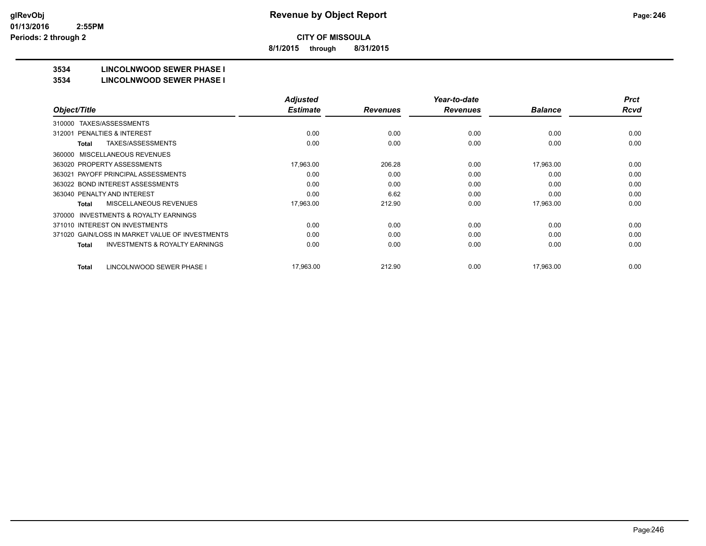**8/1/2015 through 8/31/2015**

# **3534 LINCOLNWOOD SEWER PHASE I**

#### **3534 LINCOLNWOOD SEWER PHASE I**

|                                                     | <b>Adjusted</b> |                 | Year-to-date    |                | <b>Prct</b> |
|-----------------------------------------------------|-----------------|-----------------|-----------------|----------------|-------------|
| Object/Title                                        | <b>Estimate</b> | <b>Revenues</b> | <b>Revenues</b> | <b>Balance</b> | <b>Rcvd</b> |
| TAXES/ASSESSMENTS<br>310000                         |                 |                 |                 |                |             |
| <b>PENALTIES &amp; INTEREST</b><br>312001           | 0.00            | 0.00            | 0.00            | 0.00           | 0.00        |
| TAXES/ASSESSMENTS<br>Total                          | 0.00            | 0.00            | 0.00            | 0.00           | 0.00        |
| MISCELLANEOUS REVENUES<br>360000                    |                 |                 |                 |                |             |
| 363020 PROPERTY ASSESSMENTS                         | 17,963.00       | 206.28          | 0.00            | 17,963.00      | 0.00        |
| 363021 PAYOFF PRINCIPAL ASSESSMENTS                 | 0.00            | 0.00            | 0.00            | 0.00           | 0.00        |
| 363022 BOND INTEREST ASSESSMENTS                    | 0.00            | 0.00            | 0.00            | 0.00           | 0.00        |
| 363040 PENALTY AND INTEREST                         | 0.00            | 6.62            | 0.00            | 0.00           | 0.00        |
| <b>MISCELLANEOUS REVENUES</b><br>Total              | 17,963.00       | 212.90          | 0.00            | 17.963.00      | 0.00        |
| <b>INVESTMENTS &amp; ROYALTY EARNINGS</b><br>370000 |                 |                 |                 |                |             |
| 371010 INTEREST ON INVESTMENTS                      | 0.00            | 0.00            | 0.00            | 0.00           | 0.00        |
| 371020 GAIN/LOSS IN MARKET VALUE OF INVESTMENTS     | 0.00            | 0.00            | 0.00            | 0.00           | 0.00        |
| <b>INVESTMENTS &amp; ROYALTY EARNINGS</b><br>Total  | 0.00            | 0.00            | 0.00            | 0.00           | 0.00        |
| LINCOLNWOOD SEWER PHASE I<br>Total                  | 17,963.00       | 212.90          | 0.00            | 17,963.00      | 0.00        |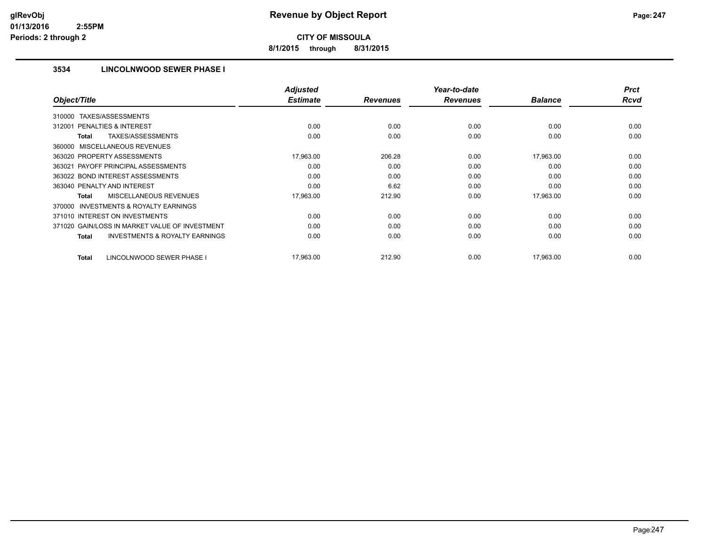**8/1/2015 through 8/31/2015**

## **3534 LINCOLNWOOD SEWER PHASE I**

|                                                           | <b>Adjusted</b> |                 | Year-to-date    |                | <b>Prct</b> |
|-----------------------------------------------------------|-----------------|-----------------|-----------------|----------------|-------------|
| Object/Title                                              | <b>Estimate</b> | <b>Revenues</b> | <b>Revenues</b> | <b>Balance</b> | <b>Rcvd</b> |
| TAXES/ASSESSMENTS<br>310000                               |                 |                 |                 |                |             |
| <b>PENALTIES &amp; INTEREST</b><br>312001                 | 0.00            | 0.00            | 0.00            | 0.00           | 0.00        |
| TAXES/ASSESSMENTS<br>Total                                | 0.00            | 0.00            | 0.00            | 0.00           | 0.00        |
| 360000 MISCELLANEOUS REVENUES                             |                 |                 |                 |                |             |
| 363020 PROPERTY ASSESSMENTS                               | 17,963.00       | 206.28          | 0.00            | 17,963.00      | 0.00        |
| 363021 PAYOFF PRINCIPAL ASSESSMENTS                       | 0.00            | 0.00            | 0.00            | 0.00           | 0.00        |
| 363022 BOND INTEREST ASSESSMENTS                          | 0.00            | 0.00            | 0.00            | 0.00           | 0.00        |
| 363040 PENALTY AND INTEREST                               | 0.00            | 6.62            | 0.00            | 0.00           | 0.00        |
| <b>MISCELLANEOUS REVENUES</b><br>Total                    | 17,963.00       | 212.90          | 0.00            | 17,963.00      | 0.00        |
| <b>INVESTMENTS &amp; ROYALTY EARNINGS</b><br>370000       |                 |                 |                 |                |             |
| 371010 INTEREST ON INVESTMENTS                            | 0.00            | 0.00            | 0.00            | 0.00           | 0.00        |
| 371020 GAIN/LOSS IN MARKET VALUE OF INVESTMENT            | 0.00            | 0.00            | 0.00            | 0.00           | 0.00        |
| <b>INVESTMENTS &amp; ROYALTY EARNINGS</b><br><b>Total</b> | 0.00            | 0.00            | 0.00            | 0.00           | 0.00        |
| LINCOLNWOOD SEWER PHASE I<br><b>Total</b>                 | 17,963.00       | 212.90          | 0.00            | 17,963.00      | 0.00        |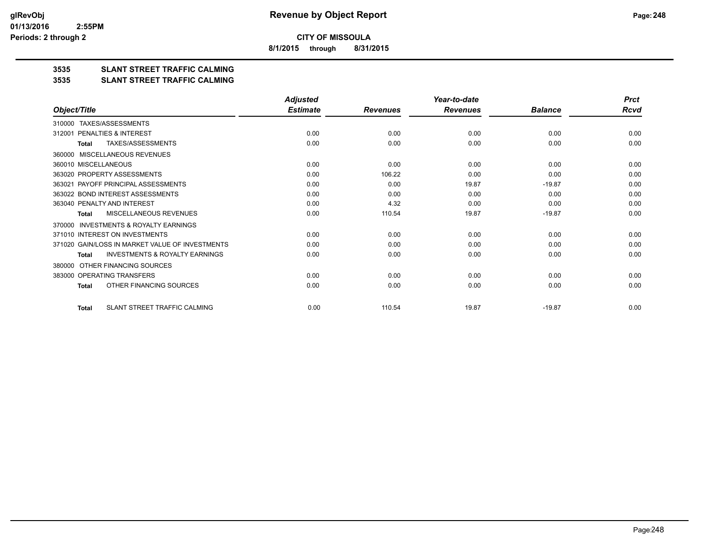**8/1/2015 through 8/31/2015**

## **3535 SLANT STREET TRAFFIC CALMING**

#### **3535 SLANT STREET TRAFFIC CALMING**

|                                                           | <b>Adjusted</b> |                 | Year-to-date    |                | <b>Prct</b> |
|-----------------------------------------------------------|-----------------|-----------------|-----------------|----------------|-------------|
| Object/Title                                              | <b>Estimate</b> | <b>Revenues</b> | <b>Revenues</b> | <b>Balance</b> | Rcvd        |
| TAXES/ASSESSMENTS<br>310000                               |                 |                 |                 |                |             |
| PENALTIES & INTEREST<br>312001                            | 0.00            | 0.00            | 0.00            | 0.00           | 0.00        |
| <b>TAXES/ASSESSMENTS</b><br><b>Total</b>                  | 0.00            | 0.00            | 0.00            | 0.00           | 0.00        |
| MISCELLANEOUS REVENUES<br>360000                          |                 |                 |                 |                |             |
| 360010 MISCELLANEOUS                                      | 0.00            | 0.00            | 0.00            | 0.00           | 0.00        |
| 363020 PROPERTY ASSESSMENTS                               | 0.00            | 106.22          | 0.00            | 0.00           | 0.00        |
| 363021 PAYOFF PRINCIPAL ASSESSMENTS                       | 0.00            | 0.00            | 19.87           | $-19.87$       | 0.00        |
| 363022 BOND INTEREST ASSESSMENTS                          | 0.00            | 0.00            | 0.00            | 0.00           | 0.00        |
| 363040 PENALTY AND INTEREST                               | 0.00            | 4.32            | 0.00            | 0.00           | 0.00        |
| MISCELLANEOUS REVENUES<br><b>Total</b>                    | 0.00            | 110.54          | 19.87           | $-19.87$       | 0.00        |
| <b>INVESTMENTS &amp; ROYALTY EARNINGS</b><br>370000       |                 |                 |                 |                |             |
| 371010 INTEREST ON INVESTMENTS                            | 0.00            | 0.00            | 0.00            | 0.00           | 0.00        |
| 371020 GAIN/LOSS IN MARKET VALUE OF INVESTMENTS           | 0.00            | 0.00            | 0.00            | 0.00           | 0.00        |
| <b>INVESTMENTS &amp; ROYALTY EARNINGS</b><br><b>Total</b> | 0.00            | 0.00            | 0.00            | 0.00           | 0.00        |
| OTHER FINANCING SOURCES<br>380000                         |                 |                 |                 |                |             |
| 383000 OPERATING TRANSFERS                                | 0.00            | 0.00            | 0.00            | 0.00           | 0.00        |
| OTHER FINANCING SOURCES<br><b>Total</b>                   | 0.00            | 0.00            | 0.00            | 0.00           | 0.00        |
| SLANT STREET TRAFFIC CALMING<br><b>Total</b>              | 0.00            | 110.54          | 19.87           | $-19.87$       | 0.00        |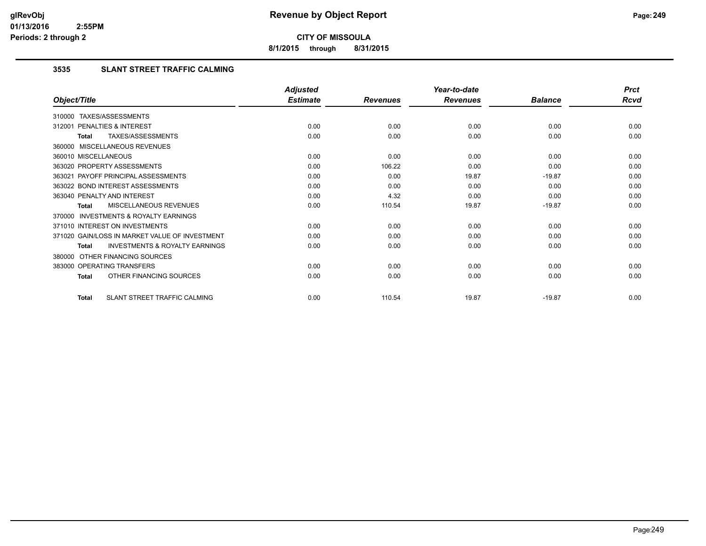**8/1/2015 through 8/31/2015**

## **3535 SLANT STREET TRAFFIC CALMING**

|                                                    | <b>Adjusted</b> |                 | Year-to-date    |                | <b>Prct</b> |
|----------------------------------------------------|-----------------|-----------------|-----------------|----------------|-------------|
| Object/Title                                       | <b>Estimate</b> | <b>Revenues</b> | <b>Revenues</b> | <b>Balance</b> | Rcvd        |
| 310000 TAXES/ASSESSMENTS                           |                 |                 |                 |                |             |
| PENALTIES & INTEREST<br>312001                     | 0.00            | 0.00            | 0.00            | 0.00           | 0.00        |
| TAXES/ASSESSMENTS<br>Total                         | 0.00            | 0.00            | 0.00            | 0.00           | 0.00        |
| 360000 MISCELLANEOUS REVENUES                      |                 |                 |                 |                |             |
| 360010 MISCELLANEOUS                               | 0.00            | 0.00            | 0.00            | 0.00           | 0.00        |
| 363020 PROPERTY ASSESSMENTS                        | 0.00            | 106.22          | 0.00            | 0.00           | 0.00        |
| 363021 PAYOFF PRINCIPAL ASSESSMENTS                | 0.00            | 0.00            | 19.87           | $-19.87$       | 0.00        |
| 363022 BOND INTEREST ASSESSMENTS                   | 0.00            | 0.00            | 0.00            | 0.00           | 0.00        |
| 363040 PENALTY AND INTEREST                        | 0.00            | 4.32            | 0.00            | 0.00           | 0.00        |
| MISCELLANEOUS REVENUES<br>Total                    | 0.00            | 110.54          | 19.87           | $-19.87$       | 0.00        |
| 370000 INVESTMENTS & ROYALTY EARNINGS              |                 |                 |                 |                |             |
| 371010 INTEREST ON INVESTMENTS                     | 0.00            | 0.00            | 0.00            | 0.00           | 0.00        |
| 371020 GAIN/LOSS IN MARKET VALUE OF INVESTMENT     | 0.00            | 0.00            | 0.00            | 0.00           | 0.00        |
| <b>INVESTMENTS &amp; ROYALTY EARNINGS</b><br>Total | 0.00            | 0.00            | 0.00            | 0.00           | 0.00        |
| 380000 OTHER FINANCING SOURCES                     |                 |                 |                 |                |             |
| 383000 OPERATING TRANSFERS                         | 0.00            | 0.00            | 0.00            | 0.00           | 0.00        |
| OTHER FINANCING SOURCES<br>Total                   | 0.00            | 0.00            | 0.00            | 0.00           | 0.00        |
| SLANT STREET TRAFFIC CALMING<br><b>Total</b>       | 0.00            | 110.54          | 19.87           | $-19.87$       | 0.00        |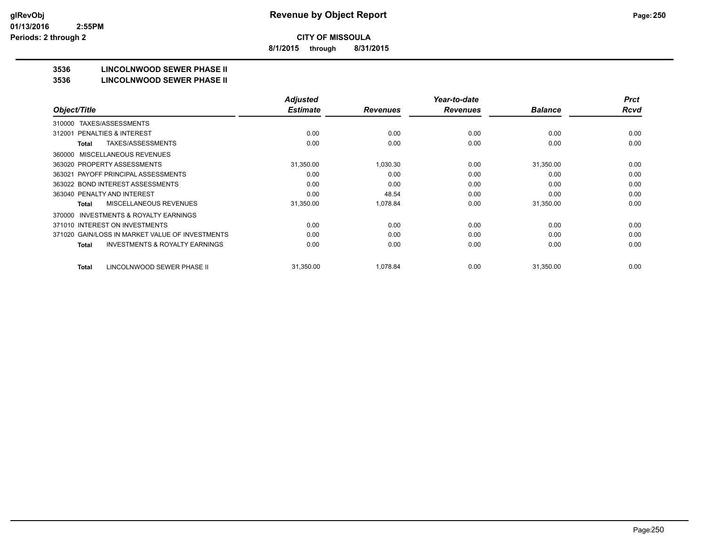**8/1/2015 through 8/31/2015**

## **3536 LINCOLNWOOD SEWER PHASE II**

### **3536 LINCOLNWOOD SEWER PHASE II**

|                                                    | <b>Adjusted</b> |                 | Year-to-date    |                | <b>Prct</b> |
|----------------------------------------------------|-----------------|-----------------|-----------------|----------------|-------------|
| Object/Title                                       | <b>Estimate</b> | <b>Revenues</b> | <b>Revenues</b> | <b>Balance</b> | <b>Rcvd</b> |
| TAXES/ASSESSMENTS<br>310000                        |                 |                 |                 |                |             |
| PENALTIES & INTEREST<br>312001                     | 0.00            | 0.00            | 0.00            | 0.00           | 0.00        |
| TAXES/ASSESSMENTS<br>Total                         | 0.00            | 0.00            | 0.00            | 0.00           | 0.00        |
| MISCELLANEOUS REVENUES<br>360000                   |                 |                 |                 |                |             |
| 363020 PROPERTY ASSESSMENTS                        | 31,350.00       | 1,030.30        | 0.00            | 31,350.00      | 0.00        |
| 363021 PAYOFF PRINCIPAL ASSESSMENTS                | 0.00            | 0.00            | 0.00            | 0.00           | 0.00        |
| 363022 BOND INTEREST ASSESSMENTS                   | 0.00            | 0.00            | 0.00            | 0.00           | 0.00        |
| 363040 PENALTY AND INTEREST                        | 0.00            | 48.54           | 0.00            | 0.00           | 0.00        |
| MISCELLANEOUS REVENUES<br>Total                    | 31,350.00       | 1,078.84        | 0.00            | 31,350.00      | 0.00        |
| INVESTMENTS & ROYALTY EARNINGS<br>370000           |                 |                 |                 |                |             |
| 371010 INTEREST ON INVESTMENTS                     | 0.00            | 0.00            | 0.00            | 0.00           | 0.00        |
| 371020 GAIN/LOSS IN MARKET VALUE OF INVESTMENTS    | 0.00            | 0.00            | 0.00            | 0.00           | 0.00        |
| <b>INVESTMENTS &amp; ROYALTY EARNINGS</b><br>Total | 0.00            | 0.00            | 0.00            | 0.00           | 0.00        |
| LINCOLNWOOD SEWER PHASE II<br><b>Total</b>         | 31,350.00       | 1.078.84        | 0.00            | 31,350.00      | 0.00        |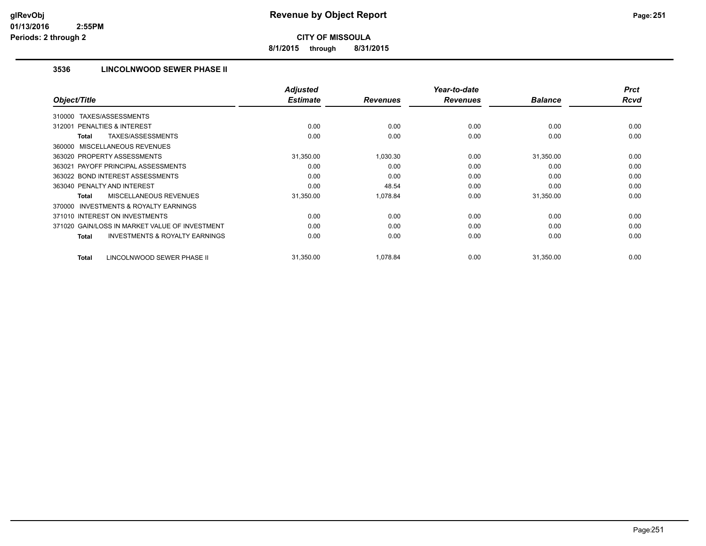**8/1/2015 through 8/31/2015**

## **3536 LINCOLNWOOD SEWER PHASE II**

| Object/Title                                              | <b>Adjusted</b><br><b>Estimate</b> | <b>Revenues</b> | Year-to-date<br><b>Revenues</b> | <b>Balance</b> | <b>Prct</b><br><b>Rcvd</b> |
|-----------------------------------------------------------|------------------------------------|-----------------|---------------------------------|----------------|----------------------------|
|                                                           |                                    |                 |                                 |                |                            |
| TAXES/ASSESSMENTS<br>310000                               |                                    |                 |                                 |                |                            |
| PENALTIES & INTEREST<br>312001                            | 0.00                               | 0.00            | 0.00                            | 0.00           | 0.00                       |
| TAXES/ASSESSMENTS<br>Total                                | 0.00                               | 0.00            | 0.00                            | 0.00           | 0.00                       |
| 360000 MISCELLANEOUS REVENUES                             |                                    |                 |                                 |                |                            |
| 363020 PROPERTY ASSESSMENTS                               | 31,350.00                          | 1,030.30        | 0.00                            | 31,350.00      | 0.00                       |
| 363021 PAYOFF PRINCIPAL ASSESSMENTS                       | 0.00                               | 0.00            | 0.00                            | 0.00           | 0.00                       |
| 363022 BOND INTEREST ASSESSMENTS                          | 0.00                               | 0.00            | 0.00                            | 0.00           | 0.00                       |
| 363040 PENALTY AND INTEREST                               | 0.00                               | 48.54           | 0.00                            | 0.00           | 0.00                       |
| MISCELLANEOUS REVENUES<br>Total                           | 31,350.00                          | 1,078.84        | 0.00                            | 31,350.00      | 0.00                       |
| <b>INVESTMENTS &amp; ROYALTY EARNINGS</b><br>370000       |                                    |                 |                                 |                |                            |
| 371010 INTEREST ON INVESTMENTS                            | 0.00                               | 0.00            | 0.00                            | 0.00           | 0.00                       |
| 371020 GAIN/LOSS IN MARKET VALUE OF INVESTMENT            | 0.00                               | 0.00            | 0.00                            | 0.00           | 0.00                       |
| <b>INVESTMENTS &amp; ROYALTY EARNINGS</b><br><b>Total</b> | 0.00                               | 0.00            | 0.00                            | 0.00           | 0.00                       |
| LINCOLNWOOD SEWER PHASE II<br><b>Total</b>                | 31,350.00                          | 1,078.84        | 0.00                            | 31,350.00      | 0.00                       |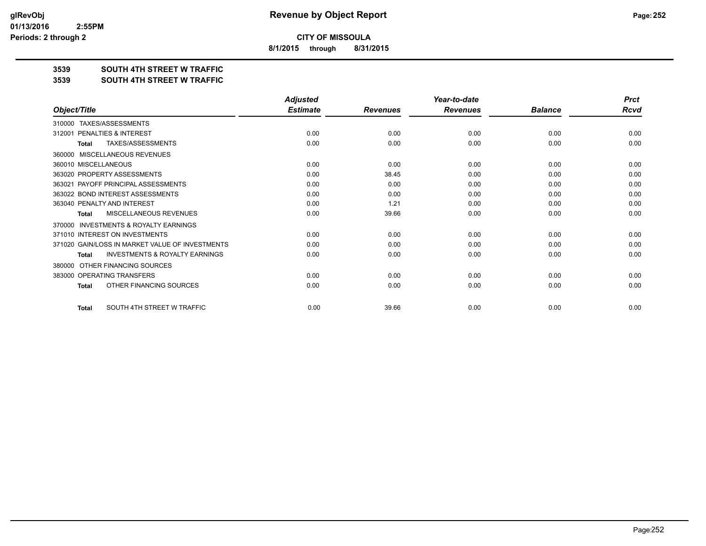**8/1/2015 through 8/31/2015**

### **3539 SOUTH 4TH STREET W TRAFFIC**

#### **3539 SOUTH 4TH STREET W TRAFFIC**

|                                                           | <b>Adjusted</b> |                 | Year-to-date    |                | <b>Prct</b> |
|-----------------------------------------------------------|-----------------|-----------------|-----------------|----------------|-------------|
| Object/Title                                              | <b>Estimate</b> | <b>Revenues</b> | <b>Revenues</b> | <b>Balance</b> | <b>Rcvd</b> |
| TAXES/ASSESSMENTS<br>310000                               |                 |                 |                 |                |             |
| PENALTIES & INTEREST<br>312001                            | 0.00            | 0.00            | 0.00            | 0.00           | 0.00        |
| <b>TAXES/ASSESSMENTS</b><br><b>Total</b>                  | 0.00            | 0.00            | 0.00            | 0.00           | 0.00        |
| MISCELLANEOUS REVENUES<br>360000                          |                 |                 |                 |                |             |
| 360010 MISCELLANEOUS                                      | 0.00            | 0.00            | 0.00            | 0.00           | 0.00        |
| 363020 PROPERTY ASSESSMENTS                               | 0.00            | 38.45           | 0.00            | 0.00           | 0.00        |
| 363021 PAYOFF PRINCIPAL ASSESSMENTS                       | 0.00            | 0.00            | 0.00            | 0.00           | 0.00        |
| 363022 BOND INTEREST ASSESSMENTS                          | 0.00            | 0.00            | 0.00            | 0.00           | 0.00        |
| 363040 PENALTY AND INTEREST                               | 0.00            | 1.21            | 0.00            | 0.00           | 0.00        |
| MISCELLANEOUS REVENUES<br><b>Total</b>                    | 0.00            | 39.66           | 0.00            | 0.00           | 0.00        |
| <b>INVESTMENTS &amp; ROYALTY EARNINGS</b><br>370000       |                 |                 |                 |                |             |
| 371010 INTEREST ON INVESTMENTS                            | 0.00            | 0.00            | 0.00            | 0.00           | 0.00        |
| 371020 GAIN/LOSS IN MARKET VALUE OF INVESTMENTS           | 0.00            | 0.00            | 0.00            | 0.00           | 0.00        |
| <b>INVESTMENTS &amp; ROYALTY EARNINGS</b><br><b>Total</b> | 0.00            | 0.00            | 0.00            | 0.00           | 0.00        |
| OTHER FINANCING SOURCES<br>380000                         |                 |                 |                 |                |             |
| 383000 OPERATING TRANSFERS                                | 0.00            | 0.00            | 0.00            | 0.00           | 0.00        |
| OTHER FINANCING SOURCES<br><b>Total</b>                   | 0.00            | 0.00            | 0.00            | 0.00           | 0.00        |
| SOUTH 4TH STREET W TRAFFIC<br><b>Total</b>                | 0.00            | 39.66           | 0.00            | 0.00           | 0.00        |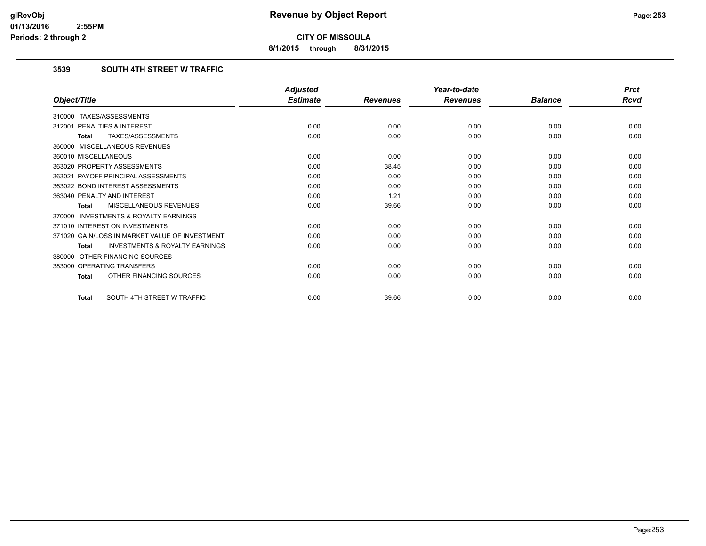**8/1/2015 through 8/31/2015**

# **3539 SOUTH 4TH STREET W TRAFFIC**

|                                                           | <b>Adjusted</b> |                 | Year-to-date    |                | <b>Prct</b> |
|-----------------------------------------------------------|-----------------|-----------------|-----------------|----------------|-------------|
| Object/Title                                              | <b>Estimate</b> | <b>Revenues</b> | <b>Revenues</b> | <b>Balance</b> | Rcvd        |
| 310000 TAXES/ASSESSMENTS                                  |                 |                 |                 |                |             |
| PENALTIES & INTEREST<br>312001                            | 0.00            | 0.00            | 0.00            | 0.00           | 0.00        |
| TAXES/ASSESSMENTS<br><b>Total</b>                         | 0.00            | 0.00            | 0.00            | 0.00           | 0.00        |
| 360000 MISCELLANEOUS REVENUES                             |                 |                 |                 |                |             |
| 360010 MISCELLANEOUS                                      | 0.00            | 0.00            | 0.00            | 0.00           | 0.00        |
| 363020 PROPERTY ASSESSMENTS                               | 0.00            | 38.45           | 0.00            | 0.00           | 0.00        |
| 363021 PAYOFF PRINCIPAL ASSESSMENTS                       | 0.00            | 0.00            | 0.00            | 0.00           | 0.00        |
| 363022 BOND INTEREST ASSESSMENTS                          | 0.00            | 0.00            | 0.00            | 0.00           | 0.00        |
| 363040 PENALTY AND INTEREST                               | 0.00            | 1.21            | 0.00            | 0.00           | 0.00        |
| MISCELLANEOUS REVENUES<br><b>Total</b>                    | 0.00            | 39.66           | 0.00            | 0.00           | 0.00        |
| <b>INVESTMENTS &amp; ROYALTY EARNINGS</b><br>370000       |                 |                 |                 |                |             |
| 371010 INTEREST ON INVESTMENTS                            | 0.00            | 0.00            | 0.00            | 0.00           | 0.00        |
| 371020 GAIN/LOSS IN MARKET VALUE OF INVESTMENT            | 0.00            | 0.00            | 0.00            | 0.00           | 0.00        |
| <b>INVESTMENTS &amp; ROYALTY EARNINGS</b><br><b>Total</b> | 0.00            | 0.00            | 0.00            | 0.00           | 0.00        |
| OTHER FINANCING SOURCES<br>380000                         |                 |                 |                 |                |             |
| 383000 OPERATING TRANSFERS                                | 0.00            | 0.00            | 0.00            | 0.00           | 0.00        |
| OTHER FINANCING SOURCES<br><b>Total</b>                   | 0.00            | 0.00            | 0.00            | 0.00           | 0.00        |
| SOUTH 4TH STREET W TRAFFIC<br><b>Total</b>                | 0.00            | 39.66           | 0.00            | 0.00           | 0.00        |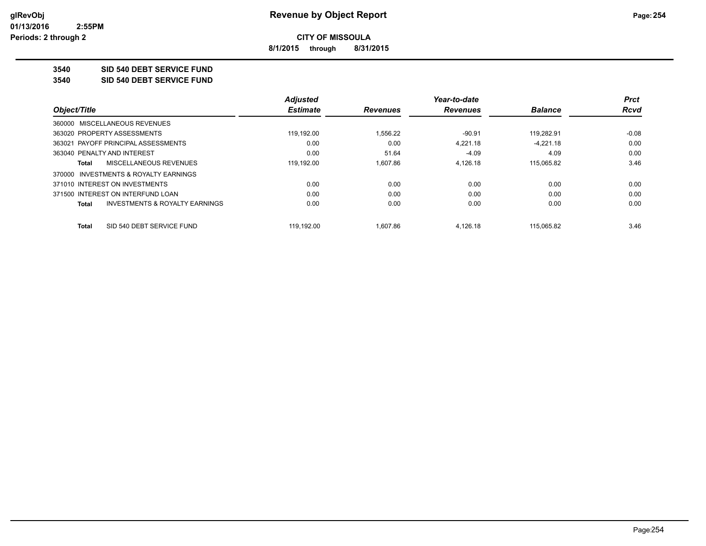**8/1/2015 through 8/31/2015**

**3540 SID 540 DEBT SERVICE FUND**

**3540 SID 540 DEBT SERVICE FUND**

|                                                    | <b>Adjusted</b> |                 | Year-to-date    |                | <b>Prct</b> |
|----------------------------------------------------|-----------------|-----------------|-----------------|----------------|-------------|
| Object/Title                                       | <b>Estimate</b> | <b>Revenues</b> | <b>Revenues</b> | <b>Balance</b> | <b>Rcvd</b> |
| 360000 MISCELLANEOUS REVENUES                      |                 |                 |                 |                |             |
| 363020 PROPERTY ASSESSMENTS                        | 119.192.00      | 1.556.22        | $-90.91$        | 119.282.91     | $-0.08$     |
| 363021 PAYOFF PRINCIPAL ASSESSMENTS                | 0.00            | 0.00            | 4.221.18        | $-4.221.18$    | 0.00        |
| 363040 PENALTY AND INTEREST                        | 0.00            | 51.64           | $-4.09$         | 4.09           | 0.00        |
| MISCELLANEOUS REVENUES<br>Total                    | 119,192.00      | 1.607.86        | 4,126.18        | 115,065.82     | 3.46        |
| 370000 INVESTMENTS & ROYALTY EARNINGS              |                 |                 |                 |                |             |
| 371010 INTEREST ON INVESTMENTS                     | 0.00            | 0.00            | 0.00            | 0.00           | 0.00        |
| 371500 INTEREST ON INTERFUND LOAN                  | 0.00            | 0.00            | 0.00            | 0.00           | 0.00        |
| <b>INVESTMENTS &amp; ROYALTY EARNINGS</b><br>Total | 0.00            | 0.00            | 0.00            | 0.00           | 0.00        |
| SID 540 DEBT SERVICE FUND<br>Total                 | 119.192.00      | 1.607.86        | 4.126.18        | 115.065.82     | 3.46        |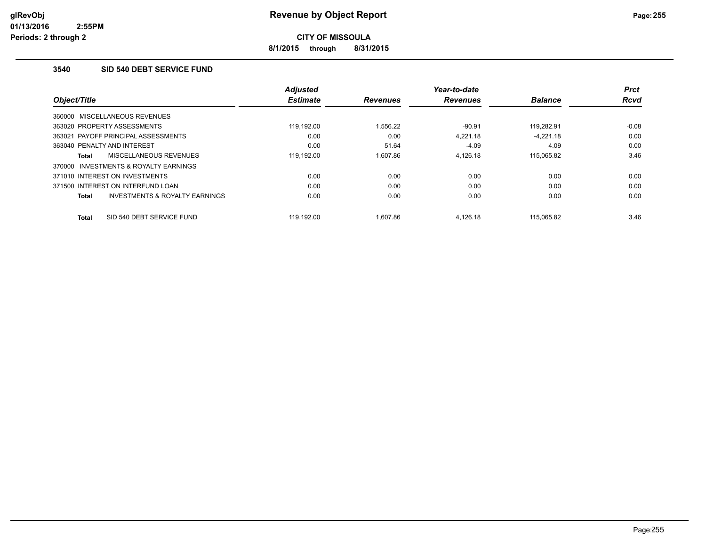**8/1/2015 through 8/31/2015**

# **3540 SID 540 DEBT SERVICE FUND**

| Object/Title                |                                           | <b>Adjusted</b><br><b>Estimate</b> | <b>Revenues</b> | Year-to-date<br><b>Revenues</b> | <b>Balance</b> | <b>Prct</b><br><b>Rcvd</b> |
|-----------------------------|-------------------------------------------|------------------------------------|-----------------|---------------------------------|----------------|----------------------------|
|                             | 360000 MISCELLANEOUS REVENUES             |                                    |                 |                                 |                |                            |
| 363020 PROPERTY ASSESSMENTS |                                           | 119.192.00                         | 1.556.22        | $-90.91$                        | 119.282.91     | $-0.08$                    |
|                             | 363021 PAYOFF PRINCIPAL ASSESSMENTS       | 0.00                               | 0.00            | 4.221.18                        | $-4.221.18$    | 0.00                       |
| 363040 PENALTY AND INTEREST |                                           | 0.00                               | 51.64           | $-4.09$                         | 4.09           | 0.00                       |
| Total                       | MISCELLANEOUS REVENUES                    | 119.192.00                         | 1.607.86        | 4,126.18                        | 115,065.82     | 3.46                       |
| 370000                      | INVESTMENTS & ROYALTY EARNINGS            |                                    |                 |                                 |                |                            |
|                             | 371010 INTEREST ON INVESTMENTS            | 0.00                               | 0.00            | 0.00                            | 0.00           | 0.00                       |
|                             | 371500 INTEREST ON INTERFUND LOAN         | 0.00                               | 0.00            | 0.00                            | 0.00           | 0.00                       |
| Total                       | <b>INVESTMENTS &amp; ROYALTY EARNINGS</b> | 0.00                               | 0.00            | 0.00                            | 0.00           | 0.00                       |
| Total                       | SID 540 DEBT SERVICE FUND                 | 119.192.00                         | 1.607.86        | 4.126.18                        | 115.065.82     | 3.46                       |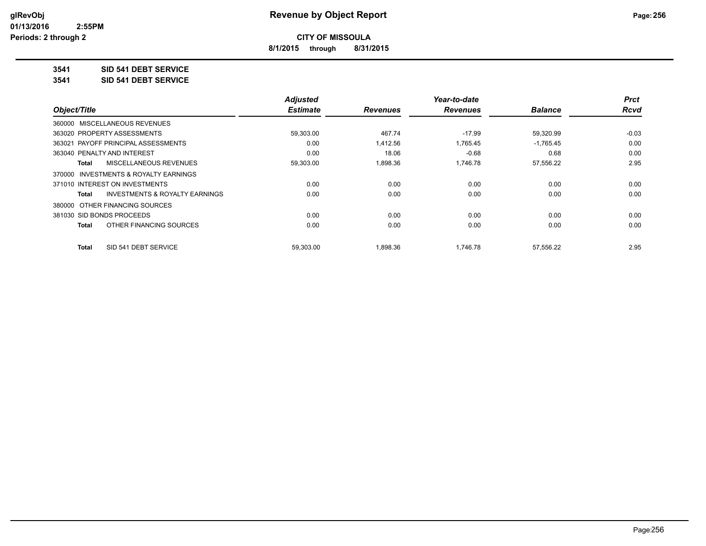**8/1/2015 through 8/31/2015**

## **3541 SID 541 DEBT SERVICE**

**3541 SID 541 DEBT SERVICE**

|                                         | <b>Adjusted</b> |                 | Year-to-date    |                | <b>Prct</b> |
|-----------------------------------------|-----------------|-----------------|-----------------|----------------|-------------|
| Object/Title                            | <b>Estimate</b> | <b>Revenues</b> | <b>Revenues</b> | <b>Balance</b> | <b>Rcvd</b> |
| 360000 MISCELLANEOUS REVENUES           |                 |                 |                 |                |             |
| 363020 PROPERTY ASSESSMENTS             | 59,303.00       | 467.74          | $-17.99$        | 59,320.99      | $-0.03$     |
| 363021 PAYOFF PRINCIPAL ASSESSMENTS     | 0.00            | 1,412.56        | 1,765.45        | $-1,765.45$    | 0.00        |
| 363040 PENALTY AND INTEREST             | 0.00            | 18.06           | $-0.68$         | 0.68           | 0.00        |
| MISCELLANEOUS REVENUES<br>Total         | 59,303.00       | 1,898.36        | 1,746.78        | 57,556.22      | 2.95        |
| 370000 INVESTMENTS & ROYALTY EARNINGS   |                 |                 |                 |                |             |
| 371010 INTEREST ON INVESTMENTS          | 0.00            | 0.00            | 0.00            | 0.00           | 0.00        |
| INVESTMENTS & ROYALTY EARNINGS<br>Total | 0.00            | 0.00            | 0.00            | 0.00           | 0.00        |
| 380000 OTHER FINANCING SOURCES          |                 |                 |                 |                |             |
| 381030 SID BONDS PROCEEDS               | 0.00            | 0.00            | 0.00            | 0.00           | 0.00        |
| OTHER FINANCING SOURCES<br>Total        | 0.00            | 0.00            | 0.00            | 0.00           | 0.00        |
| SID 541 DEBT SERVICE<br>Total           | 59.303.00       | 1.898.36        | 1.746.78        | 57.556.22      | 2.95        |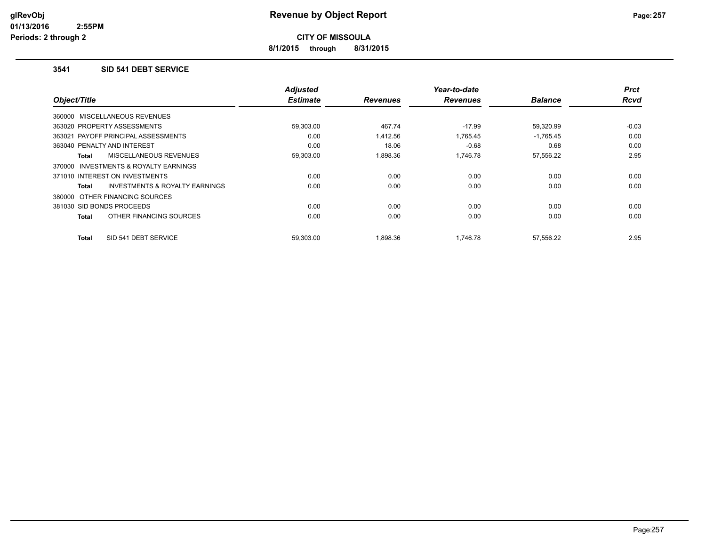**8/1/2015 through 8/31/2015**

#### **3541 SID 541 DEBT SERVICE**

| Object/Title                                       | <b>Adjusted</b><br><b>Estimate</b> | <b>Revenues</b> | Year-to-date<br><b>Revenues</b> | <b>Balance</b> | <b>Prct</b><br><b>Rcvd</b> |
|----------------------------------------------------|------------------------------------|-----------------|---------------------------------|----------------|----------------------------|
|                                                    |                                    |                 |                                 |                |                            |
| 360000 MISCELLANEOUS REVENUES                      |                                    |                 |                                 |                |                            |
| 363020 PROPERTY ASSESSMENTS                        | 59,303.00                          | 467.74          | -17.99                          | 59,320.99      | $-0.03$                    |
| 363021 PAYOFF PRINCIPAL ASSESSMENTS                | 0.00                               | 1,412.56        | 1,765.45                        | $-1,765.45$    | 0.00                       |
| 363040 PENALTY AND INTEREST                        | 0.00                               | 18.06           | $-0.68$                         | 0.68           | 0.00                       |
| <b>MISCELLANEOUS REVENUES</b><br>Total             | 59,303.00                          | 1.898.36        | 1.746.78                        | 57,556.22      | 2.95                       |
| INVESTMENTS & ROYALTY EARNINGS<br>370000           |                                    |                 |                                 |                |                            |
| 371010 INTEREST ON INVESTMENTS                     | 0.00                               | 0.00            | 0.00                            | 0.00           | 0.00                       |
| <b>INVESTMENTS &amp; ROYALTY EARNINGS</b><br>Total | 0.00                               | 0.00            | 0.00                            | 0.00           | 0.00                       |
| 380000 OTHER FINANCING SOURCES                     |                                    |                 |                                 |                |                            |
| 381030 SID BONDS PROCEEDS                          | 0.00                               | 0.00            | 0.00                            | 0.00           | 0.00                       |
| OTHER FINANCING SOURCES<br>Total                   | 0.00                               | 0.00            | 0.00                            | 0.00           | 0.00                       |
| SID 541 DEBT SERVICE<br>Total                      | 59,303.00                          | 1,898.36        | 1,746.78                        | 57,556.22      | 2.95                       |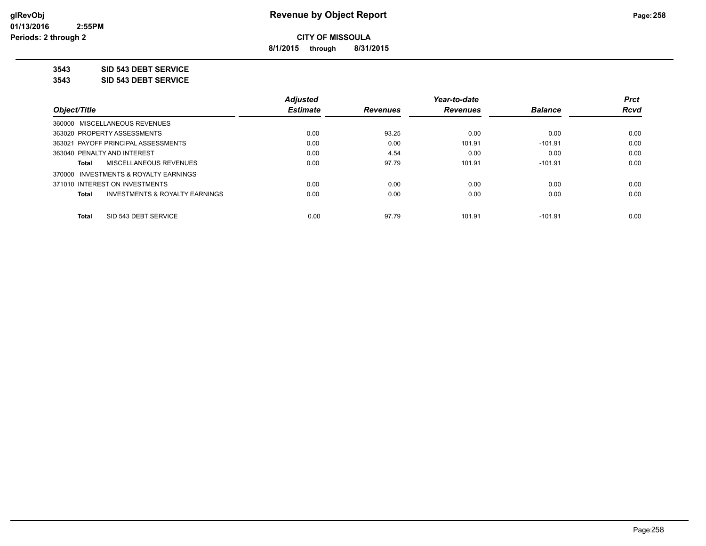**8/1/2015 through 8/31/2015**

**3543 SID 543 DEBT SERVICE**

**3543 SID 543 DEBT SERVICE**

| <b>Adjusted</b> |                 | Year-to-date    |                | <b>Prct</b> |
|-----------------|-----------------|-----------------|----------------|-------------|
| <b>Estimate</b> | <b>Revenues</b> | <b>Revenues</b> | <b>Balance</b> | <b>Rcvd</b> |
|                 |                 |                 |                |             |
| 0.00            | 93.25           | 0.00            | 0.00           | 0.00        |
| 0.00            | 0.00            | 101.91          | $-101.91$      | 0.00        |
| 0.00            | 4.54            | 0.00            | 0.00           | 0.00        |
| 0.00            | 97.79           | 101.91          | $-101.91$      | 0.00        |
|                 |                 |                 |                |             |
| 0.00            | 0.00            | 0.00            | 0.00           | 0.00        |
| 0.00            | 0.00            | 0.00            | 0.00           | 0.00        |
|                 |                 |                 | $-101.91$      | 0.00        |
|                 | 0.00            | 97.79           | 101.91         |             |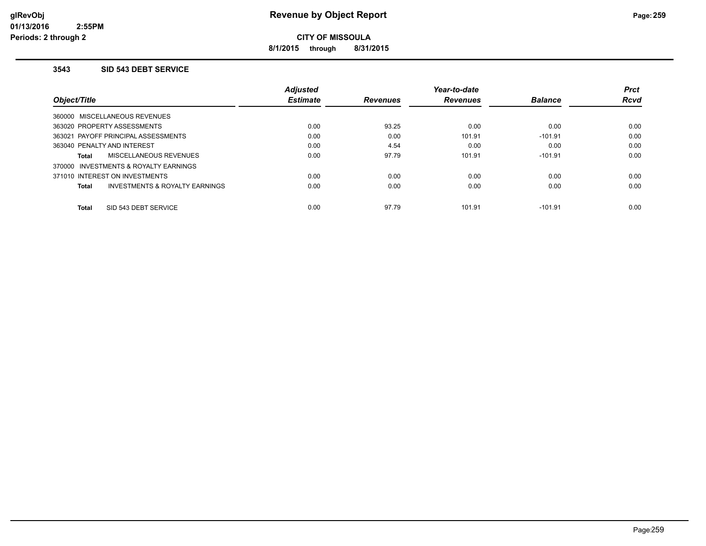**8/1/2015 through 8/31/2015**

#### **3543 SID 543 DEBT SERVICE**

|                                         | <b>Adjusted</b> |                 | Year-to-date    |                | <b>Prct</b> |
|-----------------------------------------|-----------------|-----------------|-----------------|----------------|-------------|
| Object/Title                            | <b>Estimate</b> | <b>Revenues</b> | <b>Revenues</b> | <b>Balance</b> | <b>Rcvd</b> |
| 360000 MISCELLANEOUS REVENUES           |                 |                 |                 |                |             |
| 363020 PROPERTY ASSESSMENTS             | 0.00            | 93.25           | 0.00            | 0.00           | 0.00        |
| 363021 PAYOFF PRINCIPAL ASSESSMENTS     | 0.00            | 0.00            | 101.91          | $-101.91$      | 0.00        |
| 363040 PENALTY AND INTEREST             | 0.00            | 4.54            | 0.00            | 0.00           | 0.00        |
| MISCELLANEOUS REVENUES<br>Total         | 0.00            | 97.79           | 101.91          | $-101.91$      | 0.00        |
| 370000 INVESTMENTS & ROYALTY EARNINGS   |                 |                 |                 |                |             |
| 371010 INTEREST ON INVESTMENTS          | 0.00            | 0.00            | 0.00            | 0.00           | 0.00        |
| INVESTMENTS & ROYALTY EARNINGS<br>Total | 0.00            | 0.00            | 0.00            | 0.00           | 0.00        |
| SID 543 DEBT SERVICE<br><b>Total</b>    | 0.00            | 97.79           | 101.91          | $-101.91$      | 0.00        |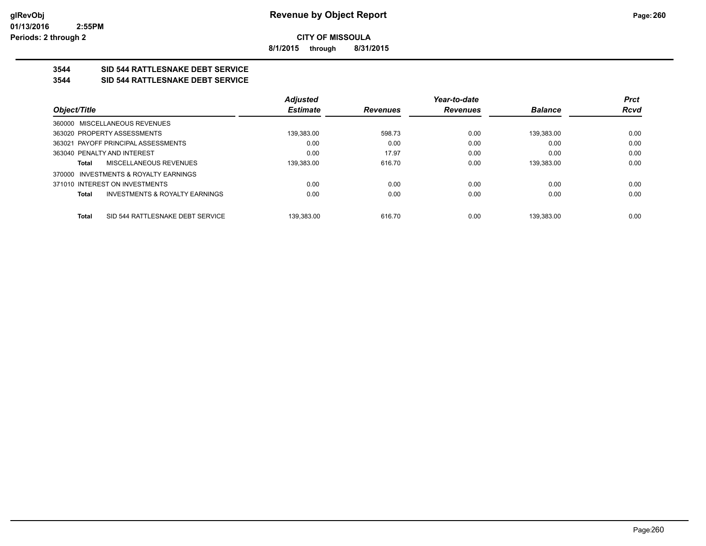**8/1/2015 through 8/31/2015**

# **3544 SID 544 RATTLESNAKE DEBT SERVICE**

#### **3544 SID 544 RATTLESNAKE DEBT SERVICE**

|                                                           | <b>Adjusted</b> |                 | Year-to-date    |                | <b>Prct</b> |
|-----------------------------------------------------------|-----------------|-----------------|-----------------|----------------|-------------|
| Object/Title                                              | <b>Estimate</b> | <b>Revenues</b> | <b>Revenues</b> | <b>Balance</b> | Rcvd        |
| 360000 MISCELLANEOUS REVENUES                             |                 |                 |                 |                |             |
| 363020 PROPERTY ASSESSMENTS                               | 139,383.00      | 598.73          | 0.00            | 139.383.00     | 0.00        |
| 363021 PAYOFF PRINCIPAL ASSESSMENTS                       | 0.00            | 0.00            | 0.00            | 0.00           | 0.00        |
| 363040 PENALTY AND INTEREST                               | 0.00            | 17.97           | 0.00            | 0.00           | 0.00        |
| MISCELLANEOUS REVENUES<br>Total                           | 139.383.00      | 616.70          | 0.00            | 139.383.00     | 0.00        |
| 370000 INVESTMENTS & ROYALTY EARNINGS                     |                 |                 |                 |                |             |
| 371010 INTEREST ON INVESTMENTS                            | 0.00            | 0.00            | 0.00            | 0.00           | 0.00        |
| <b>INVESTMENTS &amp; ROYALTY EARNINGS</b><br><b>Total</b> | 0.00            | 0.00            | 0.00            | 0.00           | 0.00        |
| SID 544 RATTLESNAKE DEBT SERVICE<br><b>Total</b>          | 139.383.00      | 616.70          | 0.00            | 139.383.00     | 0.00        |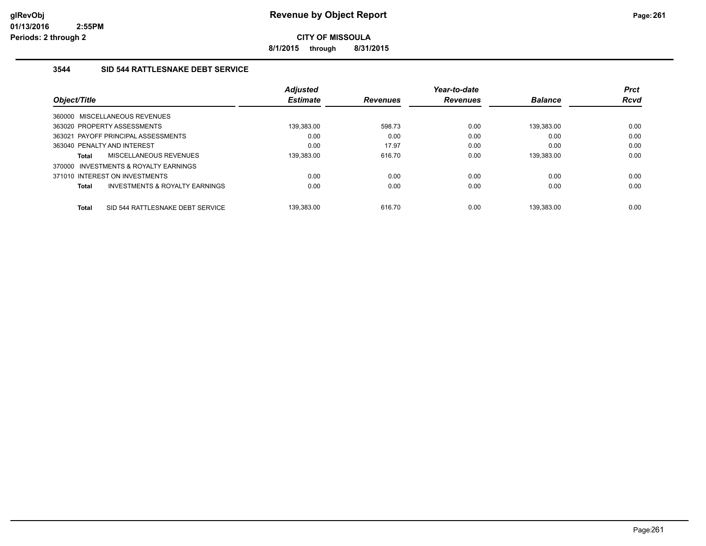**8/1/2015 through 8/31/2015**

# **3544 SID 544 RATTLESNAKE DEBT SERVICE**

|              |                                       | <b>Adjusted</b> |                 | Year-to-date    |                | <b>Prct</b> |
|--------------|---------------------------------------|-----------------|-----------------|-----------------|----------------|-------------|
| Object/Title |                                       | <b>Estimate</b> | <b>Revenues</b> | <b>Revenues</b> | <b>Balance</b> | <b>Rcvd</b> |
|              | 360000 MISCELLANEOUS REVENUES         |                 |                 |                 |                |             |
|              | 363020 PROPERTY ASSESSMENTS           | 139,383.00      | 598.73          | 0.00            | 139.383.00     | 0.00        |
|              | 363021 PAYOFF PRINCIPAL ASSESSMENTS   | 0.00            | 0.00            | 0.00            | 0.00           | 0.00        |
|              | 363040 PENALTY AND INTEREST           | 0.00            | 17.97           | 0.00            | 0.00           | 0.00        |
| <b>Total</b> | MISCELLANEOUS REVENUES                | 139.383.00      | 616.70          | 0.00            | 139.383.00     | 0.00        |
|              | 370000 INVESTMENTS & ROYALTY EARNINGS |                 |                 |                 |                |             |
|              | 371010 INTEREST ON INVESTMENTS        | 0.00            | 0.00            | 0.00            | 0.00           | 0.00        |
| Total        | INVESTMENTS & ROYALTY EARNINGS        | 0.00            | 0.00            | 0.00            | 0.00           | 0.00        |
| Total        | SID 544 RATTLESNAKE DEBT SERVICE      | 139.383.00      | 616.70          | 0.00            | 139.383.00     | 0.00        |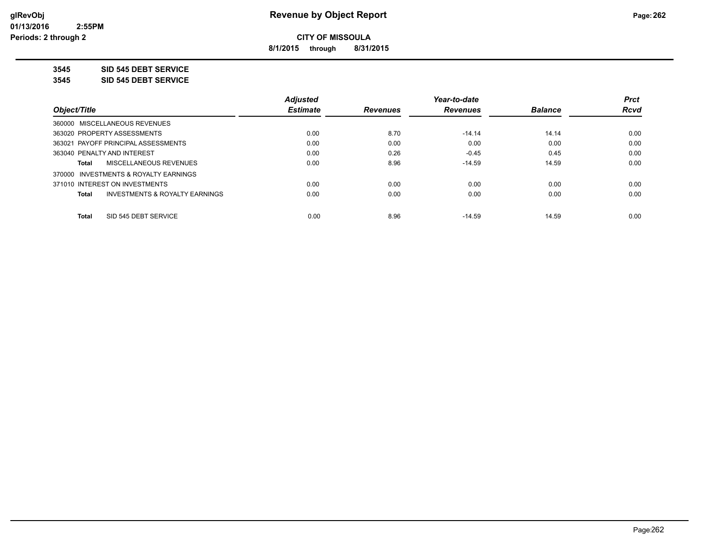**8/1/2015 through 8/31/2015**

**3545 SID 545 DEBT SERVICE**

**3545 SID 545 DEBT SERVICE**

|                                                    | <b>Adjusted</b> |                 | Year-to-date    |                | <b>Prct</b> |
|----------------------------------------------------|-----------------|-----------------|-----------------|----------------|-------------|
| Obiect/Title                                       | <b>Estimate</b> | <b>Revenues</b> | <b>Revenues</b> | <b>Balance</b> | <b>Rcvd</b> |
| 360000 MISCELLANEOUS REVENUES                      |                 |                 |                 |                |             |
| 363020 PROPERTY ASSESSMENTS                        | 0.00            | 8.70            | $-14.14$        | 14.14          | 0.00        |
| 363021 PAYOFF PRINCIPAL ASSESSMENTS                | 0.00            | 0.00            | 0.00            | 0.00           | 0.00        |
| 363040 PENALTY AND INTEREST                        | 0.00            | 0.26            | $-0.45$         | 0.45           | 0.00        |
| <b>MISCELLANEOUS REVENUES</b><br>Total             | 0.00            | 8.96            | $-14.59$        | 14.59          | 0.00        |
| 370000 INVESTMENTS & ROYALTY EARNINGS              |                 |                 |                 |                |             |
| 371010 INTEREST ON INVESTMENTS                     | 0.00            | 0.00            | 0.00            | 0.00           | 0.00        |
| <b>INVESTMENTS &amp; ROYALTY EARNINGS</b><br>Total | 0.00            | 0.00            | 0.00            | 0.00           | 0.00        |
| SID 545 DEBT SERVICE<br><b>Total</b>               | 0.00            | 8.96            | $-14.59$        | 14.59          | 0.00        |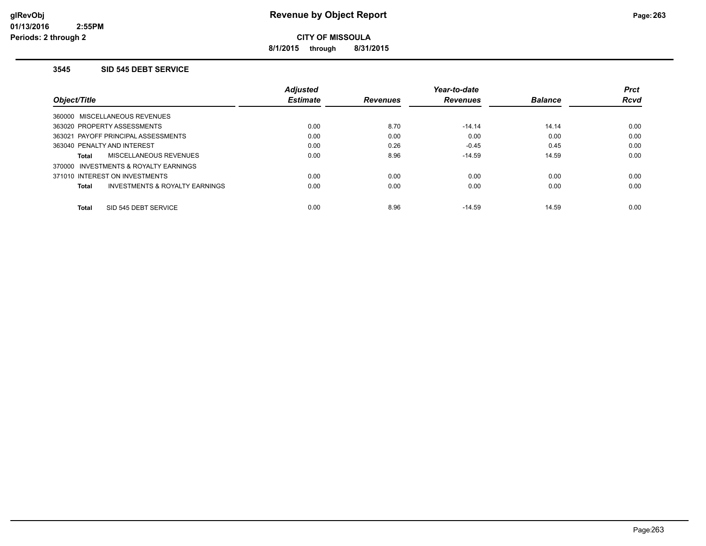**8/1/2015 through 8/31/2015**

#### **3545 SID 545 DEBT SERVICE**

|                                         | <b>Adjusted</b> |                 | Year-to-date    |                | <b>Prct</b> |
|-----------------------------------------|-----------------|-----------------|-----------------|----------------|-------------|
| Object/Title                            | <b>Estimate</b> | <b>Revenues</b> | <b>Revenues</b> | <b>Balance</b> | <b>Rcvd</b> |
| 360000 MISCELLANEOUS REVENUES           |                 |                 |                 |                |             |
| 363020 PROPERTY ASSESSMENTS             | 0.00            | 8.70            | $-14.14$        | 14.14          | 0.00        |
| 363021 PAYOFF PRINCIPAL ASSESSMENTS     | 0.00            | 0.00            | 0.00            | 0.00           | 0.00        |
| 363040 PENALTY AND INTEREST             | 0.00            | 0.26            | $-0.45$         | 0.45           | 0.00        |
| MISCELLANEOUS REVENUES<br>Total         | 0.00            | 8.96            | $-14.59$        | 14.59          | 0.00        |
| 370000 INVESTMENTS & ROYALTY EARNINGS   |                 |                 |                 |                |             |
| 371010 INTEREST ON INVESTMENTS          | 0.00            | 0.00            | 0.00            | 0.00           | 0.00        |
| INVESTMENTS & ROYALTY EARNINGS<br>Total | 0.00            | 0.00            | 0.00            | 0.00           | 0.00        |
|                                         |                 |                 |                 |                |             |
| SID 545 DEBT SERVICE<br><b>Total</b>    | 0.00            | 8.96            | $-14.59$        | 14.59          | 0.00        |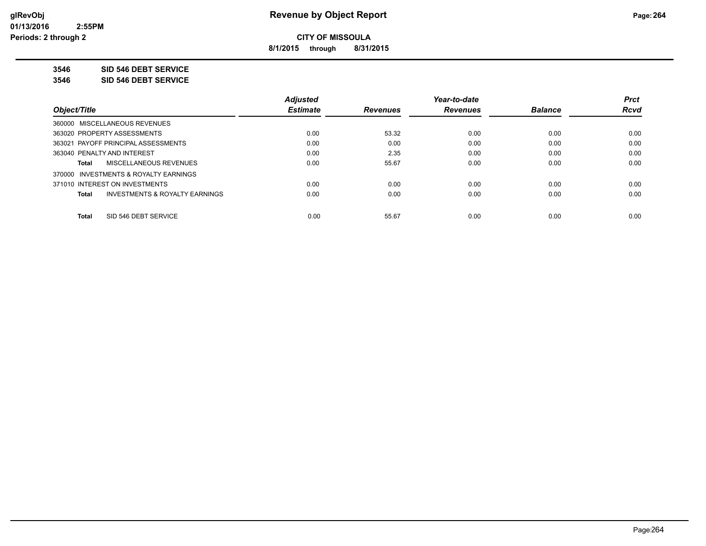**8/1/2015 through 8/31/2015**

**3546 SID 546 DEBT SERVICE**

**3546 SID 546 DEBT SERVICE**

|                                                    | <b>Adjusted</b> |                 | Year-to-date    |                | <b>Prct</b> |
|----------------------------------------------------|-----------------|-----------------|-----------------|----------------|-------------|
| Obiect/Title                                       | <b>Estimate</b> | <b>Revenues</b> | <b>Revenues</b> | <b>Balance</b> | <b>Rcvd</b> |
| 360000 MISCELLANEOUS REVENUES                      |                 |                 |                 |                |             |
| 363020 PROPERTY ASSESSMENTS                        | 0.00            | 53.32           | 0.00            | 0.00           | 0.00        |
| 363021 PAYOFF PRINCIPAL ASSESSMENTS                | 0.00            | 0.00            | 0.00            | 0.00           | 0.00        |
| 363040 PENALTY AND INTEREST                        | 0.00            | 2.35            | 0.00            | 0.00           | 0.00        |
| MISCELLANEOUS REVENUES<br>Total                    | 0.00            | 55.67           | 0.00            | 0.00           | 0.00        |
| 370000 INVESTMENTS & ROYALTY EARNINGS              |                 |                 |                 |                |             |
| 371010 INTEREST ON INVESTMENTS                     | 0.00            | 0.00            | 0.00            | 0.00           | 0.00        |
| <b>INVESTMENTS &amp; ROYALTY EARNINGS</b><br>Total | 0.00            | 0.00            | 0.00            | 0.00           | 0.00        |
|                                                    |                 |                 |                 |                |             |
| SID 546 DEBT SERVICE<br><b>Total</b>               | 0.00            | 55.67           | 0.00            | 0.00           | 0.00        |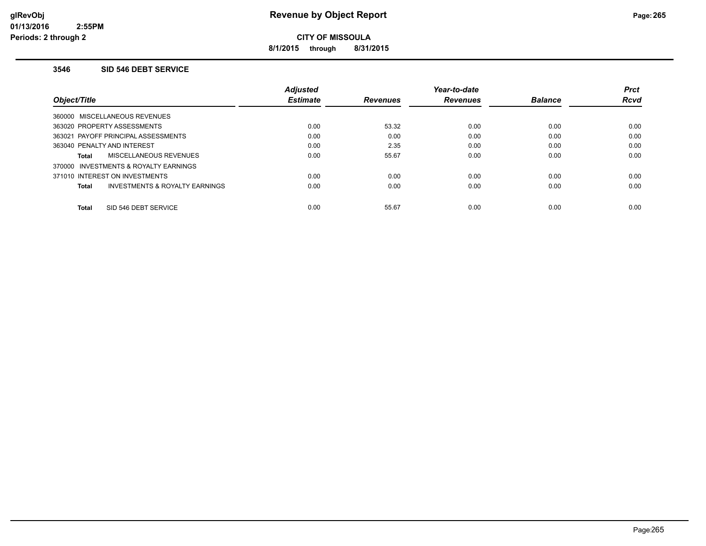**8/1/2015 through 8/31/2015**

#### **3546 SID 546 DEBT SERVICE**

|                                         | <b>Adjusted</b> |                 | Year-to-date    |                | <b>Prct</b> |
|-----------------------------------------|-----------------|-----------------|-----------------|----------------|-------------|
| Object/Title                            | <b>Estimate</b> | <b>Revenues</b> | <b>Revenues</b> | <b>Balance</b> | <b>Rcvd</b> |
| 360000 MISCELLANEOUS REVENUES           |                 |                 |                 |                |             |
| 363020 PROPERTY ASSESSMENTS             | 0.00            | 53.32           | 0.00            | 0.00           | 0.00        |
| 363021 PAYOFF PRINCIPAL ASSESSMENTS     | 0.00            | 0.00            | 0.00            | 0.00           | 0.00        |
| 363040 PENALTY AND INTEREST             | 0.00            | 2.35            | 0.00            | 0.00           | 0.00        |
| MISCELLANEOUS REVENUES<br>Total         | 0.00            | 55.67           | 0.00            | 0.00           | 0.00        |
| 370000 INVESTMENTS & ROYALTY EARNINGS   |                 |                 |                 |                |             |
| 371010 INTEREST ON INVESTMENTS          | 0.00            | 0.00            | 0.00            | 0.00           | 0.00        |
| INVESTMENTS & ROYALTY EARNINGS<br>Total | 0.00            | 0.00            | 0.00            | 0.00           | 0.00        |
|                                         |                 |                 |                 |                |             |
| SID 546 DEBT SERVICE<br><b>Total</b>    | 0.00            | 55.67           | 0.00            | 0.00           | 0.00        |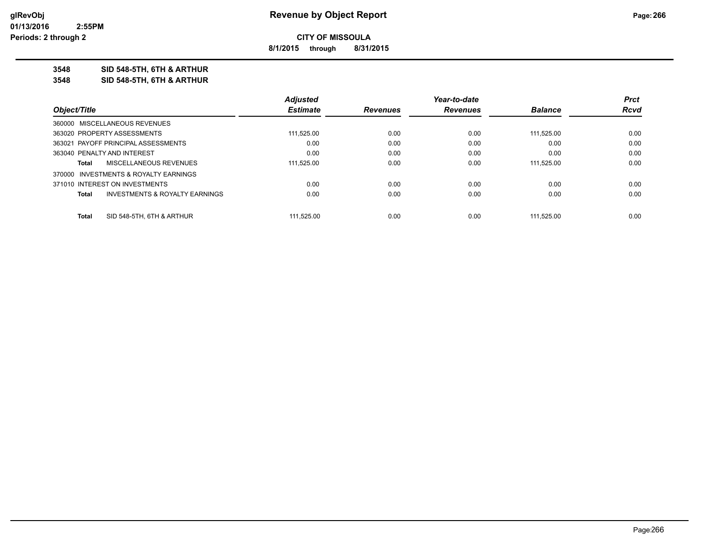**8/1/2015 through 8/31/2015**

**3548 SID 548-5TH, 6TH & ARTHUR**

**3548 SID 548-5TH, 6TH & ARTHUR**

|                                       |                                           | <b>Adjusted</b> |                 | Year-to-date    |                | <b>Prct</b> |
|---------------------------------------|-------------------------------------------|-----------------|-----------------|-----------------|----------------|-------------|
| Object/Title                          |                                           | <b>Estimate</b> | <b>Revenues</b> | <b>Revenues</b> | <b>Balance</b> | Rcvd        |
| 360000 MISCELLANEOUS REVENUES         |                                           |                 |                 |                 |                |             |
| 363020 PROPERTY ASSESSMENTS           |                                           | 111,525.00      | 0.00            | 0.00            | 111.525.00     | 0.00        |
| 363021 PAYOFF PRINCIPAL ASSESSMENTS   |                                           | 0.00            | 0.00            | 0.00            | 0.00           | 0.00        |
| 363040 PENALTY AND INTEREST           |                                           | 0.00            | 0.00            | 0.00            | 0.00           | 0.00        |
| Total                                 | MISCELLANEOUS REVENUES                    | 111.525.00      | 0.00            | 0.00            | 111.525.00     | 0.00        |
| 370000 INVESTMENTS & ROYALTY EARNINGS |                                           |                 |                 |                 |                |             |
| 371010 INTEREST ON INVESTMENTS        |                                           | 0.00            | 0.00            | 0.00            | 0.00           | 0.00        |
| <b>Total</b>                          | <b>INVESTMENTS &amp; ROYALTY EARNINGS</b> | 0.00            | 0.00            | 0.00            | 0.00           | 0.00        |
| Total                                 | SID 548-5TH, 6TH & ARTHUR                 | 111.525.00      | 0.00            | 0.00            | 111.525.00     | 0.00        |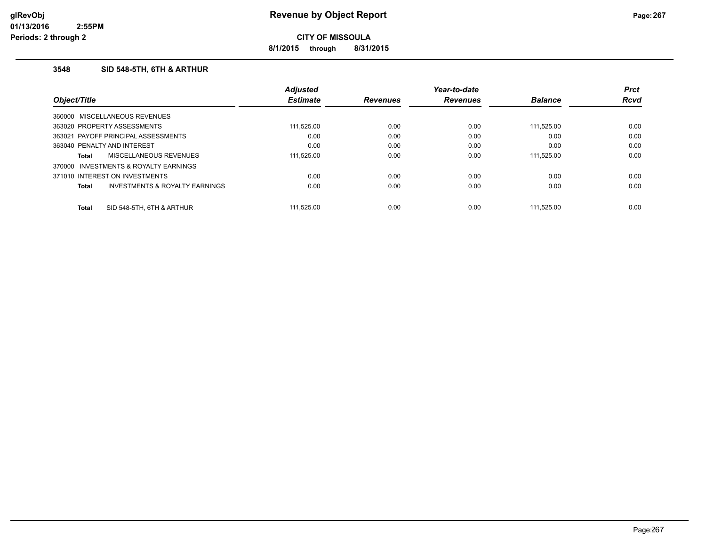**8/1/2015 through 8/31/2015**

## **3548 SID 548-5TH, 6TH & ARTHUR**

|              |                                       | <b>Adjusted</b> |                 | Year-to-date    |                | <b>Prct</b> |
|--------------|---------------------------------------|-----------------|-----------------|-----------------|----------------|-------------|
| Object/Title |                                       | <b>Estimate</b> | <b>Revenues</b> | <b>Revenues</b> | <b>Balance</b> | <b>Rcvd</b> |
|              | 360000 MISCELLANEOUS REVENUES         |                 |                 |                 |                |             |
|              | 363020 PROPERTY ASSESSMENTS           | 111,525.00      | 0.00            | 0.00            | 111,525.00     | 0.00        |
|              | 363021 PAYOFF PRINCIPAL ASSESSMENTS   | 0.00            | 0.00            | 0.00            | 0.00           | 0.00        |
|              | 363040 PENALTY AND INTEREST           | 0.00            | 0.00            | 0.00            | 0.00           | 0.00        |
| Total        | MISCELLANEOUS REVENUES                | 111,525.00      | 0.00            | 0.00            | 111.525.00     | 0.00        |
|              | 370000 INVESTMENTS & ROYALTY EARNINGS |                 |                 |                 |                |             |
|              | 371010 INTEREST ON INVESTMENTS        | 0.00            | 0.00            | 0.00            | 0.00           | 0.00        |
| Total        | INVESTMENTS & ROYALTY EARNINGS        | 0.00            | 0.00            | 0.00            | 0.00           | 0.00        |
| <b>Total</b> | SID 548-5TH, 6TH & ARTHUR             | 111.525.00      | 0.00            | 0.00            | 111.525.00     | 0.00        |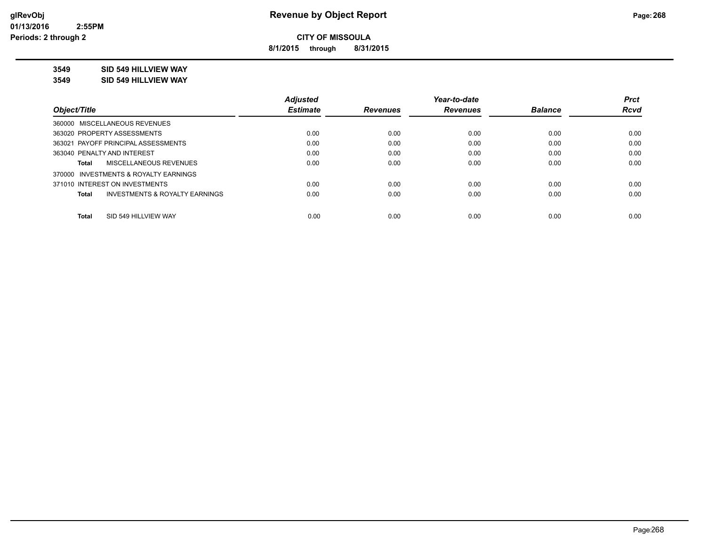**8/1/2015 through 8/31/2015**

# **3549 SID 549 HILLVIEW WAY**

**3549 SID 549 HILLVIEW WAY**

|                                                    | <b>Adjusted</b> |                 | Year-to-date    |                | <b>Prct</b> |
|----------------------------------------------------|-----------------|-----------------|-----------------|----------------|-------------|
| Obiect/Title                                       | <b>Estimate</b> | <b>Revenues</b> | <b>Revenues</b> | <b>Balance</b> | <b>Rcvd</b> |
| 360000 MISCELLANEOUS REVENUES                      |                 |                 |                 |                |             |
| 363020 PROPERTY ASSESSMENTS                        | 0.00            | 0.00            | 0.00            | 0.00           | 0.00        |
| 363021 PAYOFF PRINCIPAL ASSESSMENTS                | 0.00            | 0.00            | 0.00            | 0.00           | 0.00        |
| 363040 PENALTY AND INTEREST                        | 0.00            | 0.00            | 0.00            | 0.00           | 0.00        |
| <b>MISCELLANEOUS REVENUES</b><br>Total             | 0.00            | 0.00            | 0.00            | 0.00           | 0.00        |
| 370000 INVESTMENTS & ROYALTY EARNINGS              |                 |                 |                 |                |             |
| 371010 INTEREST ON INVESTMENTS                     | 0.00            | 0.00            | 0.00            | 0.00           | 0.00        |
| <b>INVESTMENTS &amp; ROYALTY EARNINGS</b><br>Total | 0.00            | 0.00            | 0.00            | 0.00           | 0.00        |
| SID 549 HILLVIEW WAY<br><b>Total</b>               | 0.00            | 0.00            | 0.00            | 0.00           | 0.00        |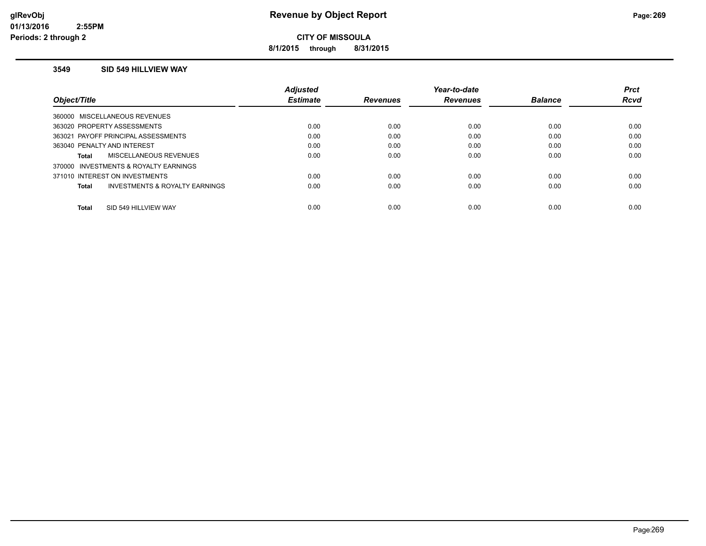**8/1/2015 through 8/31/2015**

#### **3549 SID 549 HILLVIEW WAY**

|                                         | <b>Adiusted</b> |                 | Year-to-date    |                | <b>Prct</b> |
|-----------------------------------------|-----------------|-----------------|-----------------|----------------|-------------|
| Obiect/Title                            | <b>Estimate</b> | <b>Revenues</b> | <b>Revenues</b> | <b>Balance</b> | <b>Rcvd</b> |
| 360000 MISCELLANEOUS REVENUES           |                 |                 |                 |                |             |
| 363020 PROPERTY ASSESSMENTS             | 0.00            | 0.00            | 0.00            | 0.00           | 0.00        |
| 363021 PAYOFF PRINCIPAL ASSESSMENTS     | 0.00            | 0.00            | 0.00            | 0.00           | 0.00        |
| 363040 PENALTY AND INTEREST             | 0.00            | 0.00            | 0.00            | 0.00           | 0.00        |
| MISCELLANEOUS REVENUES<br>Total         | 0.00            | 0.00            | 0.00            | 0.00           | 0.00        |
| 370000 INVESTMENTS & ROYALTY EARNINGS   |                 |                 |                 |                |             |
| 371010 INTEREST ON INVESTMENTS          | 0.00            | 0.00            | 0.00            | 0.00           | 0.00        |
| INVESTMENTS & ROYALTY EARNINGS<br>Total | 0.00            | 0.00            | 0.00            | 0.00           | 0.00        |
| SID 549 HILLVIEW WAY<br><b>Total</b>    | 0.00            | 0.00            | 0.00            | 0.00           | 0.00        |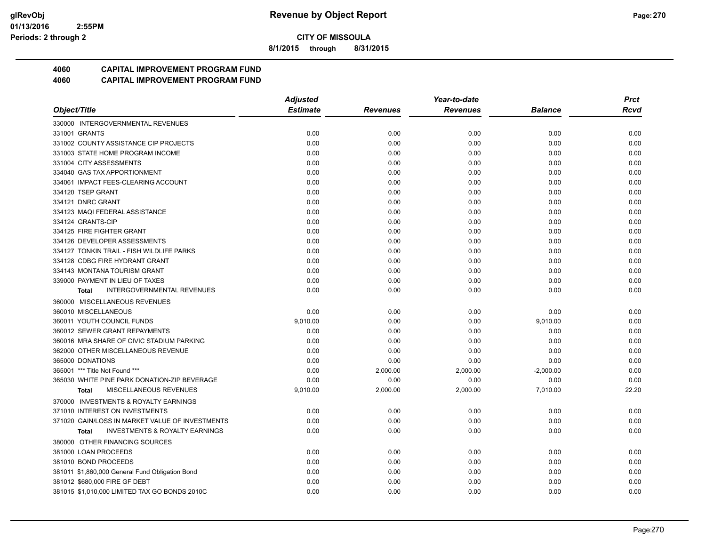**8/1/2015 through 8/31/2015**

# **4060 CAPITAL IMPROVEMENT PROGRAM FUND**

|                                                           | <b>Adjusted</b> | Year-to-date    |                 |                | <b>Prct</b> |
|-----------------------------------------------------------|-----------------|-----------------|-----------------|----------------|-------------|
| Object/Title                                              | <b>Estimate</b> | <b>Revenues</b> | <b>Revenues</b> | <b>Balance</b> | Rcvd        |
| 330000 INTERGOVERNMENTAL REVENUES                         |                 |                 |                 |                |             |
| 331001 GRANTS                                             | 0.00            | 0.00            | 0.00            | 0.00           | 0.00        |
| 331002 COUNTY ASSISTANCE CIP PROJECTS                     | 0.00            | 0.00            | 0.00            | 0.00           | 0.00        |
| 331003 STATE HOME PROGRAM INCOME                          | 0.00            | 0.00            | 0.00            | 0.00           | 0.00        |
| 331004 CITY ASSESSMENTS                                   | 0.00            | 0.00            | 0.00            | 0.00           | 0.00        |
| 334040 GAS TAX APPORTIONMENT                              | 0.00            | 0.00            | 0.00            | 0.00           | 0.00        |
| 334061 IMPACT FEES-CLEARING ACCOUNT                       | 0.00            | 0.00            | 0.00            | 0.00           | 0.00        |
| 334120 TSEP GRANT                                         | 0.00            | 0.00            | 0.00            | 0.00           | 0.00        |
| 334121 DNRC GRANT                                         | 0.00            | 0.00            | 0.00            | 0.00           | 0.00        |
| 334123 MAQI FEDERAL ASSISTANCE                            | 0.00            | 0.00            | 0.00            | 0.00           | 0.00        |
| 334124 GRANTS-CIP                                         | 0.00            | 0.00            | 0.00            | 0.00           | 0.00        |
| 334125 FIRE FIGHTER GRANT                                 | 0.00            | 0.00            | 0.00            | 0.00           | 0.00        |
| 334126 DEVELOPER ASSESSMENTS                              | 0.00            | 0.00            | 0.00            | 0.00           | 0.00        |
| 334127 TONKIN TRAIL - FISH WILDLIFE PARKS                 | 0.00            | 0.00            | 0.00            | 0.00           | 0.00        |
| 334128 CDBG FIRE HYDRANT GRANT                            | 0.00            | 0.00            | 0.00            | 0.00           | 0.00        |
| 334143 MONTANA TOURISM GRANT                              | 0.00            | 0.00            | 0.00            | 0.00           | 0.00        |
| 339000 PAYMENT IN LIEU OF TAXES                           | 0.00            | 0.00            | 0.00            | 0.00           | 0.00        |
| <b>INTERGOVERNMENTAL REVENUES</b><br>Total                | 0.00            | 0.00            | 0.00            | 0.00           | 0.00        |
| 360000 MISCELLANEOUS REVENUES                             |                 |                 |                 |                |             |
| 360010 MISCELLANEOUS                                      | 0.00            | 0.00            | 0.00            | 0.00           | 0.00        |
| 360011 YOUTH COUNCIL FUNDS                                | 9,010.00        | 0.00            | 0.00            | 9,010.00       | 0.00        |
| 360012 SEWER GRANT REPAYMENTS                             | 0.00            | 0.00            | 0.00            | 0.00           | 0.00        |
| 360016 MRA SHARE OF CIVIC STADIUM PARKING                 | 0.00            | 0.00            | 0.00            | 0.00           | 0.00        |
| 362000 OTHER MISCELLANEOUS REVENUE                        | 0.00            | 0.00            | 0.00            | 0.00           | 0.00        |
| 365000 DONATIONS                                          | 0.00            | 0.00            | 0.00            | 0.00           | 0.00        |
| 365001 *** Title Not Found ***                            | 0.00            | 2,000.00        | 2,000.00        | $-2,000.00$    | 0.00        |
| 365030 WHITE PINE PARK DONATION-ZIP BEVERAGE              | 0.00            | 0.00            | 0.00            | 0.00           | 0.00        |
| MISCELLANEOUS REVENUES<br><b>Total</b>                    | 9,010.00        | 2,000.00        | 2,000.00        | 7,010.00       | 22.20       |
| 370000 INVESTMENTS & ROYALTY EARNINGS                     |                 |                 |                 |                |             |
| 371010 INTEREST ON INVESTMENTS                            | 0.00            | 0.00            | 0.00            | 0.00           | 0.00        |
| 371020 GAIN/LOSS IN MARKET VALUE OF INVESTMENTS           | 0.00            | 0.00            | 0.00            | 0.00           | 0.00        |
| <b>INVESTMENTS &amp; ROYALTY EARNINGS</b><br><b>Total</b> | 0.00            | 0.00            | 0.00            | 0.00           | 0.00        |
| 380000 OTHER FINANCING SOURCES                            |                 |                 |                 |                |             |
| 381000 LOAN PROCEEDS                                      | 0.00            | 0.00            | 0.00            | 0.00           | 0.00        |
| 381010 BOND PROCEEDS                                      | 0.00            | 0.00            | 0.00            | 0.00           | 0.00        |
| 381011 \$1,860,000 General Fund Obligation Bond           | 0.00            | 0.00            | 0.00            | 0.00           | 0.00        |
| 381012 \$680,000 FIRE GF DEBT                             | 0.00            | 0.00            | 0.00            | 0.00           | 0.00        |
| 381015 \$1,010,000 LIMITED TAX GO BONDS 2010C             | 0.00            | 0.00            | 0.00            | 0.00           | 0.00        |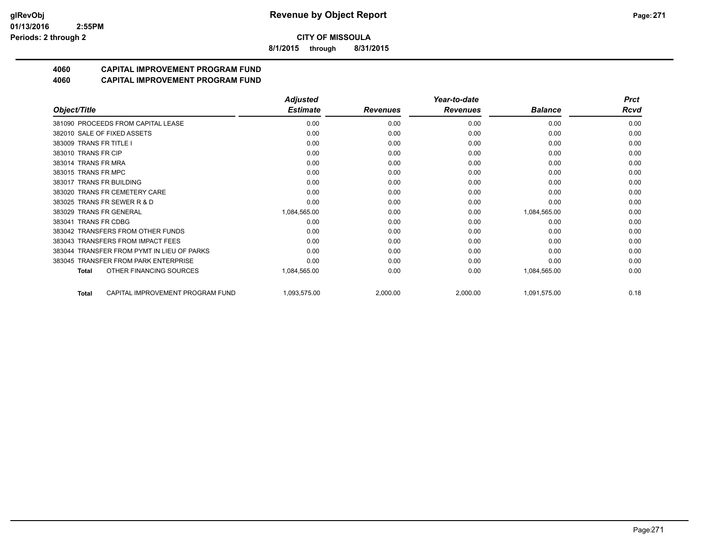**8/1/2015 through 8/31/2015**

# **4060 CAPITAL IMPROVEMENT PROGRAM FUND**

|                                                  | <b>Adjusted</b> |                 | Year-to-date    |                | <b>Prct</b> |
|--------------------------------------------------|-----------------|-----------------|-----------------|----------------|-------------|
| Object/Title                                     | <b>Estimate</b> | <b>Revenues</b> | <b>Revenues</b> | <b>Balance</b> | Rcvd        |
| 381090 PROCEEDS FROM CAPITAL LEASE               | 0.00            | 0.00            | 0.00            | 0.00           | 0.00        |
| 382010 SALE OF FIXED ASSETS                      | 0.00            | 0.00            | 0.00            | 0.00           | 0.00        |
| 383009 TRANS FR TITLE I                          | 0.00            | 0.00            | 0.00            | 0.00           | 0.00        |
| 383010 TRANS FR CIP                              | 0.00            | 0.00            | 0.00            | 0.00           | 0.00        |
| 383014 TRANS FR MRA                              | 0.00            | 0.00            | 0.00            | 0.00           | 0.00        |
| 383015 TRANS FR MPC                              | 0.00            | 0.00            | 0.00            | 0.00           | 0.00        |
| 383017 TRANS FR BUILDING                         | 0.00            | 0.00            | 0.00            | 0.00           | 0.00        |
| 383020 TRANS FR CEMETERY CARE                    | 0.00            | 0.00            | 0.00            | 0.00           | 0.00        |
| 383025 TRANS FR SEWER R & D                      | 0.00            | 0.00            | 0.00            | 0.00           | 0.00        |
| 383029 TRANS FR GENERAL                          | 1,084,565.00    | 0.00            | 0.00            | 1,084,565.00   | 0.00        |
| 383041 TRANS FR CDBG                             | 0.00            | 0.00            | 0.00            | 0.00           | 0.00        |
| 383042 TRANSFERS FROM OTHER FUNDS                | 0.00            | 0.00            | 0.00            | 0.00           | 0.00        |
| 383043 TRANSFERS FROM IMPACT FEES                | 0.00            | 0.00            | 0.00            | 0.00           | 0.00        |
| 383044 TRANSFER FROM PYMT IN LIEU OF PARKS       | 0.00            | 0.00            | 0.00            | 0.00           | 0.00        |
| 383045 TRANSFER FROM PARK ENTERPRISE             | 0.00            | 0.00            | 0.00            | 0.00           | 0.00        |
| OTHER FINANCING SOURCES<br><b>Total</b>          | 1,084,565.00    | 0.00            | 0.00            | 1,084,565.00   | 0.00        |
| CAPITAL IMPROVEMENT PROGRAM FUND<br><b>Total</b> | 1,093,575.00    | 2,000.00        | 2,000.00        | 1,091,575.00   | 0.18        |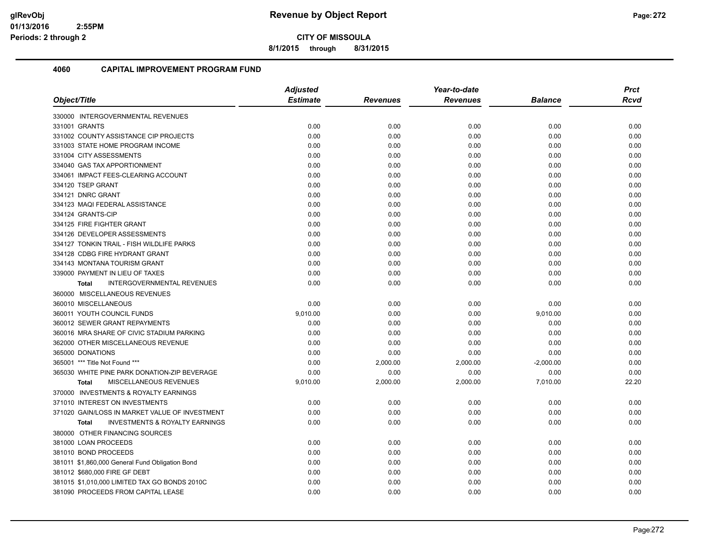**8/1/2015 through 8/31/2015**

|                                                           | <b>Adjusted</b> |                 | Year-to-date    | <b>Prct</b>    |             |
|-----------------------------------------------------------|-----------------|-----------------|-----------------|----------------|-------------|
| Object/Title                                              | <b>Estimate</b> | <b>Revenues</b> | <b>Revenues</b> | <b>Balance</b> | <b>Rcvd</b> |
| 330000 INTERGOVERNMENTAL REVENUES                         |                 |                 |                 |                |             |
| 331001 GRANTS                                             | 0.00            | 0.00            | 0.00            | 0.00           | 0.00        |
| 331002 COUNTY ASSISTANCE CIP PROJECTS                     | 0.00            | 0.00            | 0.00            | 0.00           | 0.00        |
| 331003 STATE HOME PROGRAM INCOME                          | 0.00            | 0.00            | 0.00            | 0.00           | 0.00        |
| 331004 CITY ASSESSMENTS                                   | 0.00            | 0.00            | 0.00            | 0.00           | 0.00        |
| 334040 GAS TAX APPORTIONMENT                              | 0.00            | 0.00            | 0.00            | 0.00           | 0.00        |
| 334061 IMPACT FEES-CLEARING ACCOUNT                       | 0.00            | 0.00            | 0.00            | 0.00           | 0.00        |
| 334120 TSEP GRANT                                         | 0.00            | 0.00            | 0.00            | 0.00           | 0.00        |
| 334121 DNRC GRANT                                         | 0.00            | 0.00            | 0.00            | 0.00           | 0.00        |
| 334123 MAQI FEDERAL ASSISTANCE                            | 0.00            | 0.00            | 0.00            | 0.00           | 0.00        |
| 334124 GRANTS-CIP                                         | 0.00            | 0.00            | 0.00            | 0.00           | 0.00        |
| 334125 FIRE FIGHTER GRANT                                 | 0.00            | 0.00            | 0.00            | 0.00           | 0.00        |
| 334126 DEVELOPER ASSESSMENTS                              | 0.00            | 0.00            | 0.00            | 0.00           | 0.00        |
| 334127 TONKIN TRAIL - FISH WILDLIFE PARKS                 | 0.00            | 0.00            | 0.00            | 0.00           | 0.00        |
| 334128 CDBG FIRE HYDRANT GRANT                            | 0.00            | 0.00            | 0.00            | 0.00           | 0.00        |
| 334143 MONTANA TOURISM GRANT                              | 0.00            | 0.00            | 0.00            | 0.00           | 0.00        |
| 339000 PAYMENT IN LIEU OF TAXES                           | 0.00            | 0.00            | 0.00            | 0.00           | 0.00        |
| INTERGOVERNMENTAL REVENUES<br><b>Total</b>                | 0.00            | 0.00            | 0.00            | 0.00           | 0.00        |
| 360000 MISCELLANEOUS REVENUES                             |                 |                 |                 |                |             |
| 360010 MISCELLANEOUS                                      | 0.00            | 0.00            | 0.00            | 0.00           | 0.00        |
| 360011 YOUTH COUNCIL FUNDS                                | 9,010.00        | 0.00            | 0.00            | 9,010.00       | 0.00        |
| 360012 SEWER GRANT REPAYMENTS                             | 0.00            | 0.00            | 0.00            | 0.00           | 0.00        |
| 360016 MRA SHARE OF CIVIC STADIUM PARKING                 | 0.00            | 0.00            | 0.00            | 0.00           | 0.00        |
| 362000 OTHER MISCELLANEOUS REVENUE                        | 0.00            | 0.00            | 0.00            | 0.00           | 0.00        |
| 365000 DONATIONS                                          | 0.00            | 0.00            | 0.00            | 0.00           | 0.00        |
| 365001 *** Title Not Found ***                            | 0.00            | 2,000.00        | 2,000.00        | $-2,000.00$    | 0.00        |
| 365030 WHITE PINE PARK DONATION-ZIP BEVERAGE              | 0.00            | 0.00            | 0.00            | 0.00           | 0.00        |
| MISCELLANEOUS REVENUES<br><b>Total</b>                    | 9,010.00        | 2,000.00        | 2,000.00        | 7,010.00       | 22.20       |
| 370000 INVESTMENTS & ROYALTY EARNINGS                     |                 |                 |                 |                |             |
| 371010 INTEREST ON INVESTMENTS                            | 0.00            | 0.00            | 0.00            | 0.00           | 0.00        |
| 371020 GAIN/LOSS IN MARKET VALUE OF INVESTMENT            | 0.00            | 0.00            | 0.00            | 0.00           | 0.00        |
| <b>INVESTMENTS &amp; ROYALTY EARNINGS</b><br><b>Total</b> | 0.00            | 0.00            | 0.00            | 0.00           | 0.00        |
| 380000 OTHER FINANCING SOURCES                            |                 |                 |                 |                |             |
| 381000 LOAN PROCEEDS                                      | 0.00            | 0.00            | 0.00            | 0.00           | 0.00        |
| 381010 BOND PROCEEDS                                      | 0.00            | 0.00            | 0.00            | 0.00           | 0.00        |
| 381011 \$1,860,000 General Fund Obligation Bond           | 0.00            | 0.00            | 0.00            | 0.00           | 0.00        |
| 381012 \$680,000 FIRE GF DEBT                             | 0.00            | 0.00            | 0.00            | 0.00           | 0.00        |
| 381015 \$1,010,000 LIMITED TAX GO BONDS 2010C             | 0.00            | 0.00            | 0.00            | 0.00           | 0.00        |
| 381090 PROCEEDS FROM CAPITAL LEASE                        | 0.00            | 0.00            | 0.00            | 0.00           | 0.00        |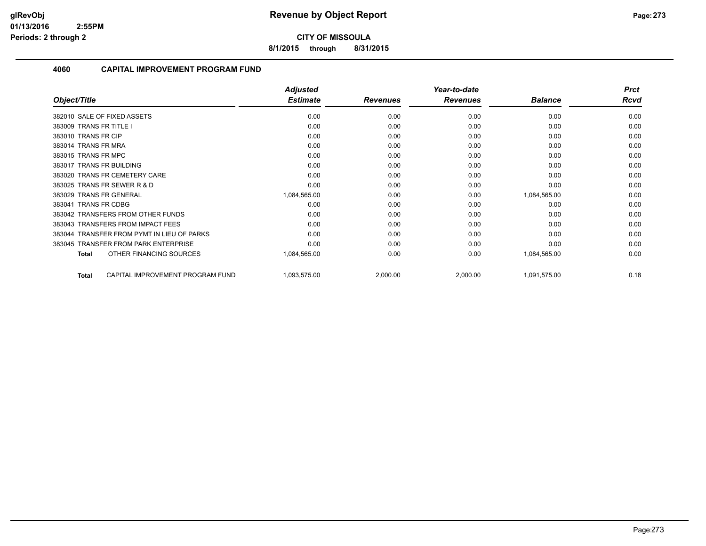**8/1/2015 through 8/31/2015**

|                                                  | <b>Adjusted</b> |                 | Year-to-date    |                | <b>Prct</b> |
|--------------------------------------------------|-----------------|-----------------|-----------------|----------------|-------------|
| Object/Title                                     | <b>Estimate</b> | <b>Revenues</b> | <b>Revenues</b> | <b>Balance</b> | Rcvd        |
| 382010 SALE OF FIXED ASSETS                      | 0.00            | 0.00            | 0.00            | 0.00           | 0.00        |
| 383009 TRANS FR TITLE I                          | 0.00            | 0.00            | 0.00            | 0.00           | 0.00        |
| 383010 TRANS FR CIP                              | 0.00            | 0.00            | 0.00            | 0.00           | 0.00        |
| 383014 TRANS FR MRA                              | 0.00            | 0.00            | 0.00            | 0.00           | 0.00        |
| 383015 TRANS FR MPC                              | 0.00            | 0.00            | 0.00            | 0.00           | 0.00        |
| 383017 TRANS FR BUILDING                         | 0.00            | 0.00            | 0.00            | 0.00           | 0.00        |
| 383020 TRANS FR CEMETERY CARE                    | 0.00            | 0.00            | 0.00            | 0.00           | 0.00        |
| 383025 TRANS FR SEWER R & D                      | 0.00            | 0.00            | 0.00            | 0.00           | 0.00        |
| 383029 TRANS FR GENERAL                          | 1,084,565.00    | 0.00            | 0.00            | 1,084,565.00   | 0.00        |
| 383041 TRANS FR CDBG                             | 0.00            | 0.00            | 0.00            | 0.00           | 0.00        |
| 383042 TRANSFERS FROM OTHER FUNDS                | 0.00            | 0.00            | 0.00            | 0.00           | 0.00        |
| 383043 TRANSFERS FROM IMPACT FEES                | 0.00            | 0.00            | 0.00            | 0.00           | 0.00        |
| 383044 TRANSFER FROM PYMT IN LIEU OF PARKS       | 0.00            | 0.00            | 0.00            | 0.00           | 0.00        |
| 383045 TRANSFER FROM PARK ENTERPRISE             | 0.00            | 0.00            | 0.00            | 0.00           | 0.00        |
| OTHER FINANCING SOURCES<br><b>Total</b>          | 1,084,565.00    | 0.00            | 0.00            | 1,084,565.00   | 0.00        |
| CAPITAL IMPROVEMENT PROGRAM FUND<br><b>Total</b> | 1,093,575.00    | 2,000.00        | 2,000.00        | 1,091,575.00   | 0.18        |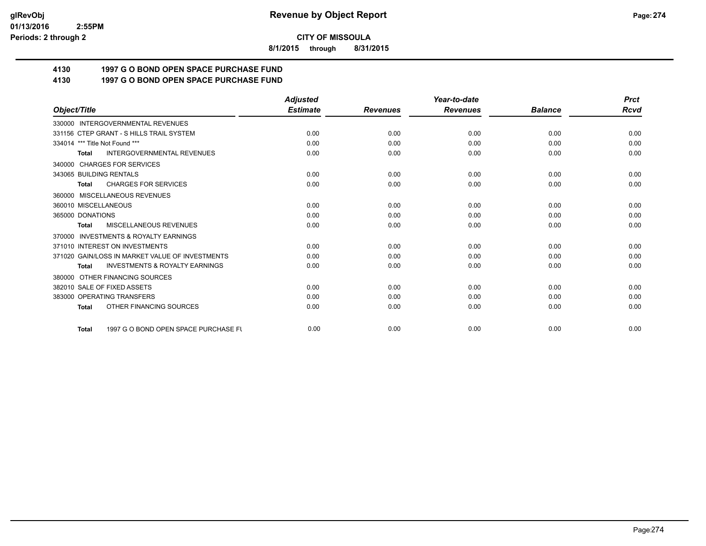**8/1/2015 through 8/31/2015**

# **4130 1997 G O BOND OPEN SPACE PURCHASE FUND**

# **4130 1997 G O BOND OPEN SPACE PURCHASE FUND**

|                                                           | <b>Adjusted</b> |                 | Year-to-date    |                | <b>Prct</b> |
|-----------------------------------------------------------|-----------------|-----------------|-----------------|----------------|-------------|
| Object/Title                                              | <b>Estimate</b> | <b>Revenues</b> | <b>Revenues</b> | <b>Balance</b> | <b>Rcvd</b> |
| 330000 INTERGOVERNMENTAL REVENUES                         |                 |                 |                 |                |             |
| 331156 CTEP GRANT - S HILLS TRAIL SYSTEM                  | 0.00            | 0.00            | 0.00            | 0.00           | 0.00        |
| 334014 *** Title Not Found ***                            | 0.00            | 0.00            | 0.00            | 0.00           | 0.00        |
| <b>INTERGOVERNMENTAL REVENUES</b><br><b>Total</b>         | 0.00            | 0.00            | 0.00            | 0.00           | 0.00        |
| 340000 CHARGES FOR SERVICES                               |                 |                 |                 |                |             |
| 343065 BUILDING RENTALS                                   | 0.00            | 0.00            | 0.00            | 0.00           | 0.00        |
| <b>CHARGES FOR SERVICES</b><br><b>Total</b>               | 0.00            | 0.00            | 0.00            | 0.00           | 0.00        |
| 360000 MISCELLANEOUS REVENUES                             |                 |                 |                 |                |             |
| 360010 MISCELLANEOUS                                      | 0.00            | 0.00            | 0.00            | 0.00           | 0.00        |
| 365000 DONATIONS                                          | 0.00            | 0.00            | 0.00            | 0.00           | 0.00        |
| MISCELLANEOUS REVENUES<br><b>Total</b>                    | 0.00            | 0.00            | 0.00            | 0.00           | 0.00        |
| <b>INVESTMENTS &amp; ROYALTY EARNINGS</b><br>370000       |                 |                 |                 |                |             |
| 371010 INTEREST ON INVESTMENTS                            | 0.00            | 0.00            | 0.00            | 0.00           | 0.00        |
| 371020 GAIN/LOSS IN MARKET VALUE OF INVESTMENTS           | 0.00            | 0.00            | 0.00            | 0.00           | 0.00        |
| <b>INVESTMENTS &amp; ROYALTY EARNINGS</b><br><b>Total</b> | 0.00            | 0.00            | 0.00            | 0.00           | 0.00        |
| 380000 OTHER FINANCING SOURCES                            |                 |                 |                 |                |             |
| 382010 SALE OF FIXED ASSETS                               | 0.00            | 0.00            | 0.00            | 0.00           | 0.00        |
| 383000 OPERATING TRANSFERS                                | 0.00            | 0.00            | 0.00            | 0.00           | 0.00        |
| OTHER FINANCING SOURCES<br><b>Total</b>                   | 0.00            | 0.00            | 0.00            | 0.00           | 0.00        |
| 1997 G O BOND OPEN SPACE PURCHASE FU<br><b>Total</b>      | 0.00            | 0.00            | 0.00            | 0.00           | 0.00        |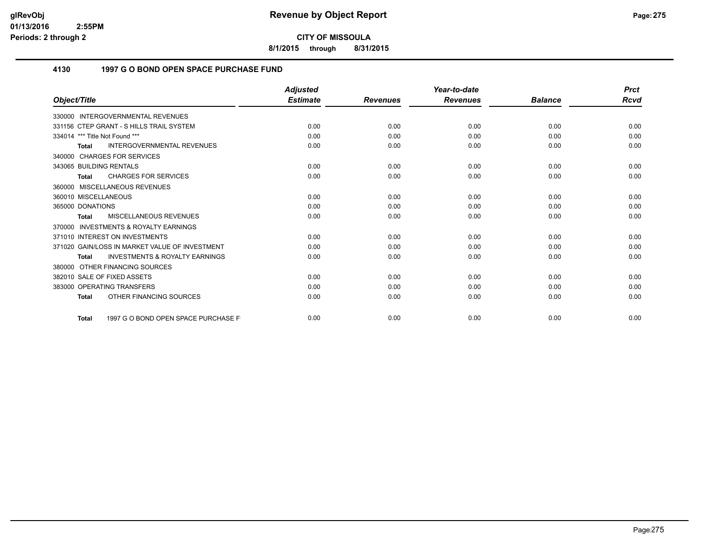**8/1/2015 through 8/31/2015**

## **4130 1997 G O BOND OPEN SPACE PURCHASE FUND**

|                                                           | <b>Adjusted</b> |                 | Year-to-date    |                | <b>Prct</b> |
|-----------------------------------------------------------|-----------------|-----------------|-----------------|----------------|-------------|
| Object/Title                                              | <b>Estimate</b> | <b>Revenues</b> | <b>Revenues</b> | <b>Balance</b> | Rcvd        |
| 330000 INTERGOVERNMENTAL REVENUES                         |                 |                 |                 |                |             |
| 331156 CTEP GRANT - S HILLS TRAIL SYSTEM                  | 0.00            | 0.00            | 0.00            | 0.00           | 0.00        |
| 334014 *** Title Not Found ***                            | 0.00            | 0.00            | 0.00            | 0.00           | 0.00        |
| <b>INTERGOVERNMENTAL REVENUES</b><br>Total                | 0.00            | 0.00            | 0.00            | 0.00           | 0.00        |
| 340000 CHARGES FOR SERVICES                               |                 |                 |                 |                |             |
| 343065 BUILDING RENTALS                                   | 0.00            | 0.00            | 0.00            | 0.00           | 0.00        |
| <b>CHARGES FOR SERVICES</b><br><b>Total</b>               | 0.00            | 0.00            | 0.00            | 0.00           | 0.00        |
| 360000 MISCELLANEOUS REVENUES                             |                 |                 |                 |                |             |
| 360010 MISCELLANEOUS                                      | 0.00            | 0.00            | 0.00            | 0.00           | 0.00        |
| 365000 DONATIONS                                          | 0.00            | 0.00            | 0.00            | 0.00           | 0.00        |
| MISCELLANEOUS REVENUES<br><b>Total</b>                    | 0.00            | 0.00            | 0.00            | 0.00           | 0.00        |
| <b>INVESTMENTS &amp; ROYALTY EARNINGS</b><br>370000       |                 |                 |                 |                |             |
| 371010 INTEREST ON INVESTMENTS                            | 0.00            | 0.00            | 0.00            | 0.00           | 0.00        |
| 371020 GAIN/LOSS IN MARKET VALUE OF INVESTMENT            | 0.00            | 0.00            | 0.00            | 0.00           | 0.00        |
| <b>INVESTMENTS &amp; ROYALTY EARNINGS</b><br><b>Total</b> | 0.00            | 0.00            | 0.00            | 0.00           | 0.00        |
| 380000 OTHER FINANCING SOURCES                            |                 |                 |                 |                |             |
| 382010 SALE OF FIXED ASSETS                               | 0.00            | 0.00            | 0.00            | 0.00           | 0.00        |
| 383000 OPERATING TRANSFERS                                | 0.00            | 0.00            | 0.00            | 0.00           | 0.00        |
| OTHER FINANCING SOURCES<br><b>Total</b>                   | 0.00            | 0.00            | 0.00            | 0.00           | 0.00        |
| 1997 G O BOND OPEN SPACE PURCHASE F<br><b>Total</b>       | 0.00            | 0.00            | 0.00            | 0.00           | 0.00        |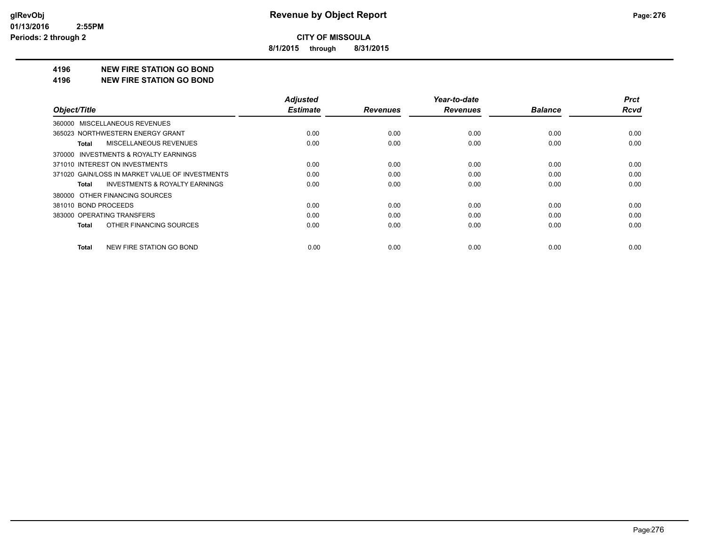**8/1/2015 through 8/31/2015**

#### **4196 NEW FIRE STATION GO BOND**

#### **4196 NEW FIRE STATION GO BOND**

|                                                    | <b>Adjusted</b> |                 | Year-to-date    |                | <b>Prct</b> |
|----------------------------------------------------|-----------------|-----------------|-----------------|----------------|-------------|
| Object/Title                                       | <b>Estimate</b> | <b>Revenues</b> | <b>Revenues</b> | <b>Balance</b> | <b>Rcvd</b> |
| 360000 MISCELLANEOUS REVENUES                      |                 |                 |                 |                |             |
| 365023 NORTHWESTERN ENERGY GRANT                   | 0.00            | 0.00            | 0.00            | 0.00           | 0.00        |
| MISCELLANEOUS REVENUES<br>Total                    | 0.00            | 0.00            | 0.00            | 0.00           | 0.00        |
| 370000 INVESTMENTS & ROYALTY EARNINGS              |                 |                 |                 |                |             |
| 371010 INTEREST ON INVESTMENTS                     | 0.00            | 0.00            | 0.00            | 0.00           | 0.00        |
| 371020 GAIN/LOSS IN MARKET VALUE OF INVESTMENTS    | 0.00            | 0.00            | 0.00            | 0.00           | 0.00        |
| <b>INVESTMENTS &amp; ROYALTY EARNINGS</b><br>Total | 0.00            | 0.00            | 0.00            | 0.00           | 0.00        |
| 380000 OTHER FINANCING SOURCES                     |                 |                 |                 |                |             |
| 381010 BOND PROCEEDS                               | 0.00            | 0.00            | 0.00            | 0.00           | 0.00        |
| 383000 OPERATING TRANSFERS                         | 0.00            | 0.00            | 0.00            | 0.00           | 0.00        |
| OTHER FINANCING SOURCES<br>Total                   | 0.00            | 0.00            | 0.00            | 0.00           | 0.00        |
| NEW FIRE STATION GO BOND<br>Total                  | 0.00            | 0.00            | 0.00            | 0.00           | 0.00        |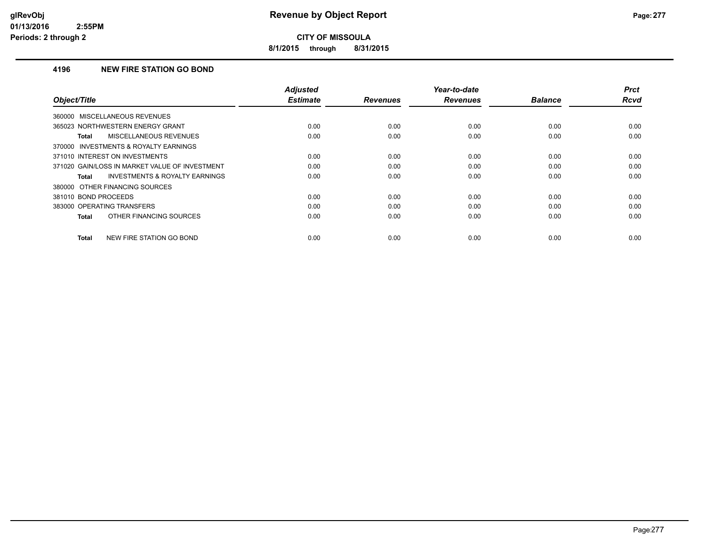**8/1/2015 through 8/31/2015**

## **4196 NEW FIRE STATION GO BOND**

| Object/Title                                       | <b>Adjusted</b><br><b>Estimate</b> | <b>Revenues</b> | Year-to-date<br><b>Revenues</b> | <b>Balance</b> | <b>Prct</b><br>Rcvd |
|----------------------------------------------------|------------------------------------|-----------------|---------------------------------|----------------|---------------------|
| 360000 MISCELLANEOUS REVENUES                      |                                    |                 |                                 |                |                     |
| 365023 NORTHWESTERN ENERGY GRANT                   | 0.00                               | 0.00            | 0.00                            | 0.00           | 0.00                |
| MISCELLANEOUS REVENUES<br><b>Total</b>             | 0.00                               | 0.00            | 0.00                            | 0.00           | 0.00                |
| 370000 INVESTMENTS & ROYALTY EARNINGS              |                                    |                 |                                 |                |                     |
| 371010 INTEREST ON INVESTMENTS                     | 0.00                               | 0.00            | 0.00                            | 0.00           | 0.00                |
| 371020 GAIN/LOSS IN MARKET VALUE OF INVESTMENT     | 0.00                               | 0.00            | 0.00                            | 0.00           | 0.00                |
| <b>INVESTMENTS &amp; ROYALTY EARNINGS</b><br>Total | 0.00                               | 0.00            | 0.00                            | 0.00           | 0.00                |
| 380000 OTHER FINANCING SOURCES                     |                                    |                 |                                 |                |                     |
| 381010 BOND PROCEEDS                               | 0.00                               | 0.00            | 0.00                            | 0.00           | 0.00                |
| 383000 OPERATING TRANSFERS                         | 0.00                               | 0.00            | 0.00                            | 0.00           | 0.00                |
| OTHER FINANCING SOURCES<br>Total                   | 0.00                               | 0.00            | 0.00                            | 0.00           | 0.00                |
| <b>Total</b><br><b>NEW FIRE STATION GO BOND</b>    | 0.00                               | 0.00            | 0.00                            | 0.00           | 0.00                |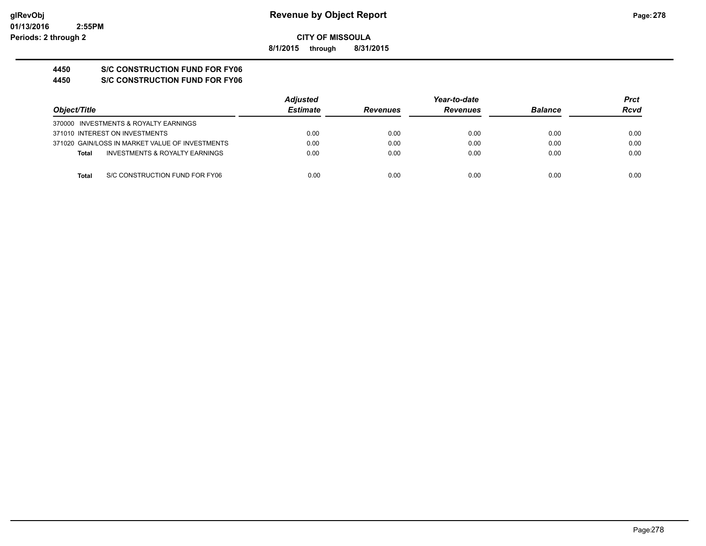**8/1/2015 through 8/31/2015**

# **4450 S/C CONSTRUCTION FUND FOR FY06**

**4450 S/C CONSTRUCTION FUND FOR FY06**

|                                                 | <b>Adjusted</b> |                 | Year-to-date    |                | <b>Prct</b> |
|-------------------------------------------------|-----------------|-----------------|-----------------|----------------|-------------|
| Object/Title                                    | <b>Estimate</b> | <b>Revenues</b> | <b>Revenues</b> | <b>Balance</b> | Rcvd        |
| 370000 INVESTMENTS & ROYALTY EARNINGS           |                 |                 |                 |                |             |
| 371010 INTEREST ON INVESTMENTS                  | 0.00            | 0.00            | 0.00            | 0.00           | 0.00        |
| 371020 GAIN/LOSS IN MARKET VALUE OF INVESTMENTS | 0.00            | 0.00            | 0.00            | 0.00           | 0.00        |
| INVESTMENTS & ROYALTY EARNINGS<br><b>Total</b>  | 0.00            | 0.00            | 0.00            | 0.00           | 0.00        |
|                                                 |                 |                 |                 |                |             |
| S/C CONSTRUCTION FUND FOR FY06<br>Total         | 0.00            | 0.00            | 0.00            | 0.00           | 0.00        |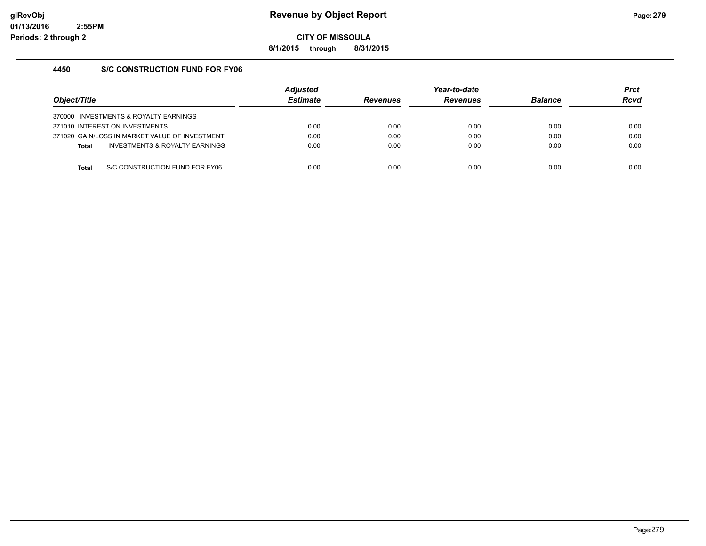**8/1/2015 through 8/31/2015**

## **4450 S/C CONSTRUCTION FUND FOR FY06**

| Object/Title |                                                | <b>Adiusted</b><br><b>Estimate</b> | <b>Revenues</b> | Year-to-date<br><b>Revenues</b> | <b>Balance</b> | <b>Prct</b><br><b>Rcvd</b> |
|--------------|------------------------------------------------|------------------------------------|-----------------|---------------------------------|----------------|----------------------------|
|              | 370000 INVESTMENTS & ROYALTY EARNINGS          |                                    |                 |                                 |                |                            |
|              | 371010 INTEREST ON INVESTMENTS                 | 0.00                               | 0.00            | 0.00                            | 0.00           | 0.00                       |
|              | 371020 GAIN/LOSS IN MARKET VALUE OF INVESTMENT | 0.00                               | 0.00            | 0.00                            | 0.00           | 0.00                       |
| <b>Total</b> | INVESTMENTS & ROYALTY EARNINGS                 | 0.00                               | 0.00            | 0.00                            | 0.00           | 0.00                       |
|              |                                                |                                    |                 |                                 |                |                            |
| Total        | S/C CONSTRUCTION FUND FOR FY06                 | 0.00                               | 0.00            | 0.00                            | 0.00           | 0.00                       |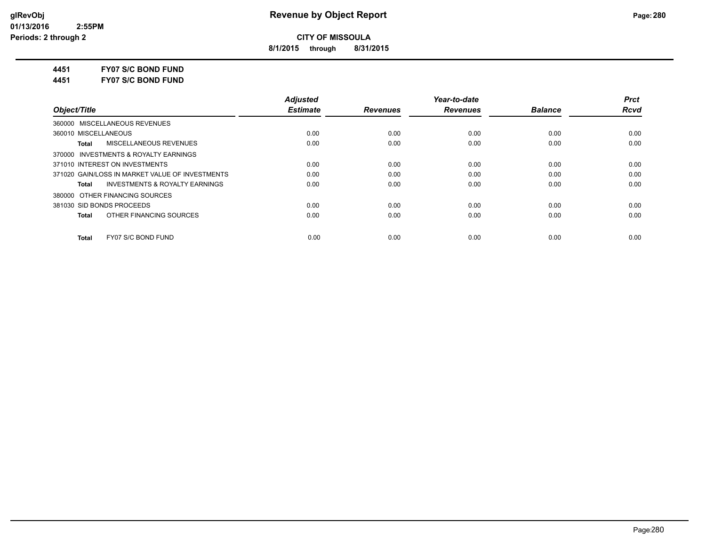**8/1/2015 through 8/31/2015**

**4451 FY07 S/C BOND FUND**

**4451 FY07 S/C BOND FUND**

|                                                    | <b>Adiusted</b> |                 | Year-to-date    |                | <b>Prct</b> |
|----------------------------------------------------|-----------------|-----------------|-----------------|----------------|-------------|
| Object/Title                                       | <b>Estimate</b> | <b>Revenues</b> | <b>Revenues</b> | <b>Balance</b> | <b>Rcvd</b> |
| 360000 MISCELLANEOUS REVENUES                      |                 |                 |                 |                |             |
| 360010 MISCELLANEOUS                               | 0.00            | 0.00            | 0.00            | 0.00           | 0.00        |
| MISCELLANEOUS REVENUES<br>Total                    | 0.00            | 0.00            | 0.00            | 0.00           | 0.00        |
| 370000 INVESTMENTS & ROYALTY EARNINGS              |                 |                 |                 |                |             |
| 371010 INTEREST ON INVESTMENTS                     | 0.00            | 0.00            | 0.00            | 0.00           | 0.00        |
| 371020 GAIN/LOSS IN MARKET VALUE OF INVESTMENTS    | 0.00            | 0.00            | 0.00            | 0.00           | 0.00        |
| <b>INVESTMENTS &amp; ROYALTY EARNINGS</b><br>Total | 0.00            | 0.00            | 0.00            | 0.00           | 0.00        |
| 380000 OTHER FINANCING SOURCES                     |                 |                 |                 |                |             |
| 381030 SID BONDS PROCEEDS                          | 0.00            | 0.00            | 0.00            | 0.00           | 0.00        |
| OTHER FINANCING SOURCES<br>Total                   | 0.00            | 0.00            | 0.00            | 0.00           | 0.00        |
| FY07 S/C BOND FUND<br><b>Total</b>                 | 0.00            | 0.00            | 0.00            | 0.00           | 0.00        |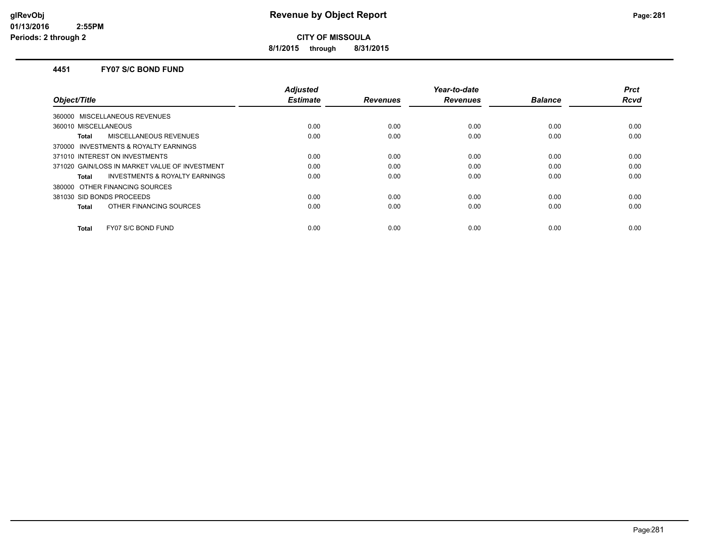**8/1/2015 through 8/31/2015**

#### **4451 FY07 S/C BOND FUND**

| Object/Title                                   | <b>Adjusted</b><br><b>Estimate</b> | <b>Revenues</b> | Year-to-date<br><b>Revenues</b> | <b>Balance</b> | <b>Prct</b><br><b>Rcvd</b> |
|------------------------------------------------|------------------------------------|-----------------|---------------------------------|----------------|----------------------------|
| MISCELLANEOUS REVENUES<br>360000               |                                    |                 |                                 |                |                            |
| 360010 MISCELLANEOUS                           | 0.00                               | 0.00            | 0.00                            | 0.00           | 0.00                       |
| MISCELLANEOUS REVENUES<br>Total                | 0.00                               | 0.00            | 0.00                            | 0.00           | 0.00                       |
| 370000 INVESTMENTS & ROYALTY EARNINGS          |                                    |                 |                                 |                |                            |
| 371010 INTEREST ON INVESTMENTS                 | 0.00                               | 0.00            | 0.00                            | 0.00           | 0.00                       |
| 371020 GAIN/LOSS IN MARKET VALUE OF INVESTMENT | 0.00                               | 0.00            | 0.00                            | 0.00           | 0.00                       |
| INVESTMENTS & ROYALTY EARNINGS<br>Total        | 0.00                               | 0.00            | 0.00                            | 0.00           | 0.00                       |
| 380000 OTHER FINANCING SOURCES                 |                                    |                 |                                 |                |                            |
| 381030 SID BONDS PROCEEDS                      | 0.00                               | 0.00            | 0.00                            | 0.00           | 0.00                       |
| OTHER FINANCING SOURCES<br><b>Total</b>        | 0.00                               | 0.00            | 0.00                            | 0.00           | 0.00                       |
| FY07 S/C BOND FUND<br><b>Total</b>             | 0.00                               | 0.00            | 0.00                            | 0.00           | 0.00                       |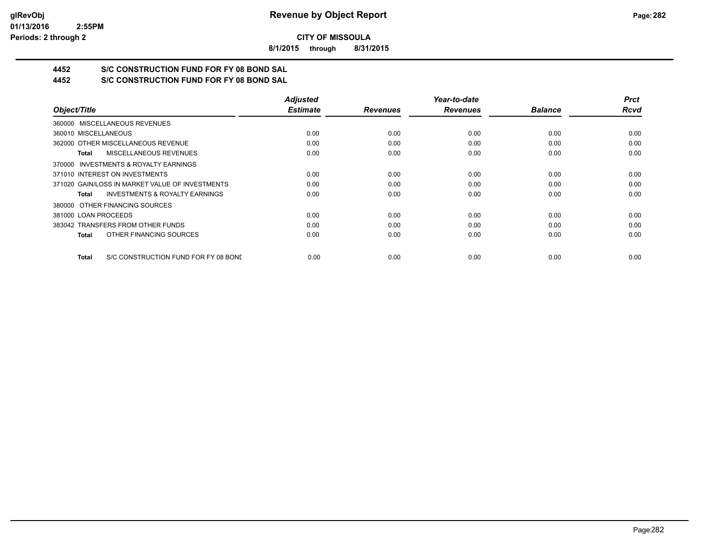**8/1/2015 through 8/31/2015**

# **4452 S/C CONSTRUCTION FUND FOR FY 08 BOND SAL**

**4452 S/C CONSTRUCTION FUND FOR FY 08 BOND SAL**

|                                                    | <b>Adjusted</b> |                 | Year-to-date    |                | <b>Prct</b> |
|----------------------------------------------------|-----------------|-----------------|-----------------|----------------|-------------|
| Object/Title                                       | <b>Estimate</b> | <b>Revenues</b> | <b>Revenues</b> | <b>Balance</b> | <b>Rcvd</b> |
| 360000 MISCELLANEOUS REVENUES                      |                 |                 |                 |                |             |
| 360010 MISCELLANEOUS                               | 0.00            | 0.00            | 0.00            | 0.00           | 0.00        |
| 362000 OTHER MISCELLANEOUS REVENUE                 | 0.00            | 0.00            | 0.00            | 0.00           | 0.00        |
| MISCELLANEOUS REVENUES<br>Total                    | 0.00            | 0.00            | 0.00            | 0.00           | 0.00        |
| 370000 INVESTMENTS & ROYALTY EARNINGS              |                 |                 |                 |                |             |
| 371010 INTEREST ON INVESTMENTS                     | 0.00            | 0.00            | 0.00            | 0.00           | 0.00        |
| 371020 GAIN/LOSS IN MARKET VALUE OF INVESTMENTS    | 0.00            | 0.00            | 0.00            | 0.00           | 0.00        |
| <b>INVESTMENTS &amp; ROYALTY EARNINGS</b><br>Total | 0.00            | 0.00            | 0.00            | 0.00           | 0.00        |
| 380000 OTHER FINANCING SOURCES                     |                 |                 |                 |                |             |
| 381000 LOAN PROCEEDS                               | 0.00            | 0.00            | 0.00            | 0.00           | 0.00        |
| 383042 TRANSFERS FROM OTHER FUNDS                  | 0.00            | 0.00            | 0.00            | 0.00           | 0.00        |
| OTHER FINANCING SOURCES<br>Total                   | 0.00            | 0.00            | 0.00            | 0.00           | 0.00        |
| S/C CONSTRUCTION FUND FOR FY 08 BONE<br>Total      | 0.00            | 0.00            | 0.00            | 0.00           | 0.00        |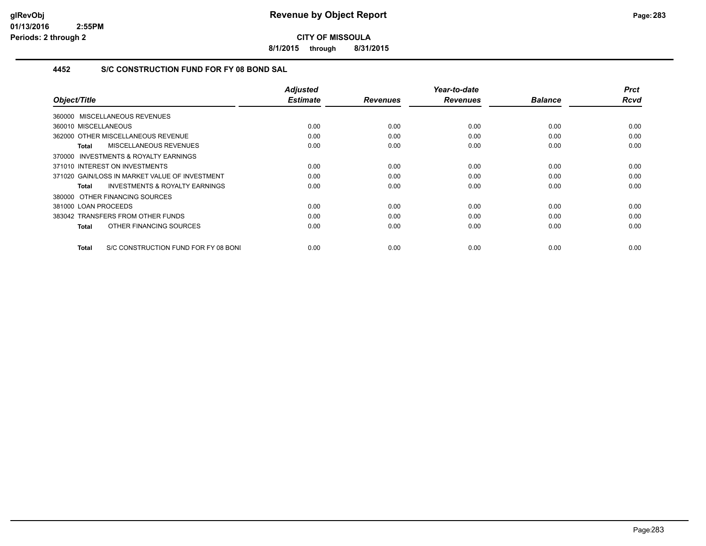**8/1/2015 through 8/31/2015**

## **4452 S/C CONSTRUCTION FUND FOR FY 08 BOND SAL**

| Object/Title                                         | <b>Adjusted</b><br><b>Estimate</b> | <b>Revenues</b> | Year-to-date<br><b>Revenues</b> | <b>Balance</b> | <b>Prct</b><br><b>Rcvd</b> |
|------------------------------------------------------|------------------------------------|-----------------|---------------------------------|----------------|----------------------------|
|                                                      |                                    |                 |                                 |                |                            |
| 360000 MISCELLANEOUS REVENUES                        |                                    |                 |                                 |                |                            |
| 360010 MISCELLANEOUS                                 | 0.00                               | 0.00            | 0.00                            | 0.00           | 0.00                       |
| 362000 OTHER MISCELLANEOUS REVENUE                   | 0.00                               | 0.00            | 0.00                            | 0.00           | 0.00                       |
| MISCELLANEOUS REVENUES<br>Total                      | 0.00                               | 0.00            | 0.00                            | 0.00           | 0.00                       |
| 370000 INVESTMENTS & ROYALTY EARNINGS                |                                    |                 |                                 |                |                            |
| 371010 INTEREST ON INVESTMENTS                       | 0.00                               | 0.00            | 0.00                            | 0.00           | 0.00                       |
| 371020 GAIN/LOSS IN MARKET VALUE OF INVESTMENT       | 0.00                               | 0.00            | 0.00                            | 0.00           | 0.00                       |
| <b>INVESTMENTS &amp; ROYALTY EARNINGS</b><br>Total   | 0.00                               | 0.00            | 0.00                            | 0.00           | 0.00                       |
| 380000 OTHER FINANCING SOURCES                       |                                    |                 |                                 |                |                            |
| 381000 LOAN PROCEEDS                                 | 0.00                               | 0.00            | 0.00                            | 0.00           | 0.00                       |
| 383042 TRANSFERS FROM OTHER FUNDS                    | 0.00                               | 0.00            | 0.00                            | 0.00           | 0.00                       |
| OTHER FINANCING SOURCES<br>Total                     | 0.00                               | 0.00            | 0.00                            | 0.00           | 0.00                       |
|                                                      |                                    |                 |                                 |                |                            |
| S/C CONSTRUCTION FUND FOR FY 08 BONI<br><b>Total</b> | 0.00                               | 0.00            | 0.00                            | 0.00           | 0.00                       |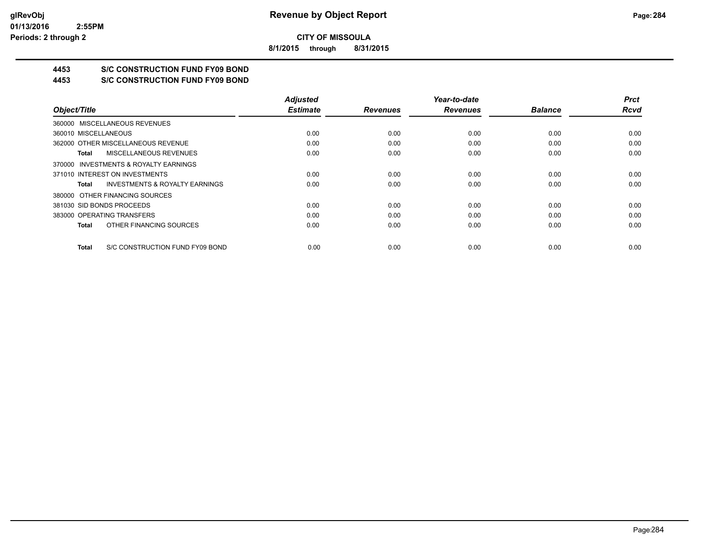**8/1/2015 through 8/31/2015**

# **4453 S/C CONSTRUCTION FUND FY09 BOND**

**4453 S/C CONSTRUCTION FUND FY09 BOND**

|                                                    | <b>Adjusted</b> |                 | Year-to-date    |                | <b>Prct</b> |
|----------------------------------------------------|-----------------|-----------------|-----------------|----------------|-------------|
| Object/Title                                       | <b>Estimate</b> | <b>Revenues</b> | <b>Revenues</b> | <b>Balance</b> | <b>Rcvd</b> |
| 360000 MISCELLANEOUS REVENUES                      |                 |                 |                 |                |             |
| 360010 MISCELLANEOUS                               | 0.00            | 0.00            | 0.00            | 0.00           | 0.00        |
| 362000 OTHER MISCELLANEOUS REVENUE                 | 0.00            | 0.00            | 0.00            | 0.00           | 0.00        |
| <b>MISCELLANEOUS REVENUES</b><br>Total             | 0.00            | 0.00            | 0.00            | 0.00           | 0.00        |
| 370000 INVESTMENTS & ROYALTY EARNINGS              |                 |                 |                 |                |             |
| 371010 INTEREST ON INVESTMENTS                     | 0.00            | 0.00            | 0.00            | 0.00           | 0.00        |
| <b>INVESTMENTS &amp; ROYALTY EARNINGS</b><br>Total | 0.00            | 0.00            | 0.00            | 0.00           | 0.00        |
| 380000 OTHER FINANCING SOURCES                     |                 |                 |                 |                |             |
| 381030 SID BONDS PROCEEDS                          | 0.00            | 0.00            | 0.00            | 0.00           | 0.00        |
| 383000 OPERATING TRANSFERS                         | 0.00            | 0.00            | 0.00            | 0.00           | 0.00        |
| OTHER FINANCING SOURCES<br><b>Total</b>            | 0.00            | 0.00            | 0.00            | 0.00           | 0.00        |
| S/C CONSTRUCTION FUND FY09 BOND<br>Total           | 0.00            | 0.00            | 0.00            | 0.00           | 0.00        |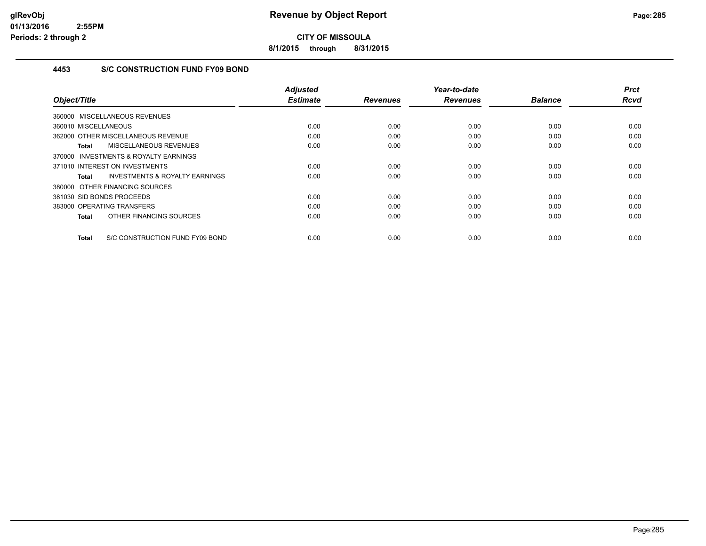**8/1/2015 through 8/31/2015**

# **4453 S/C CONSTRUCTION FUND FY09 BOND**

| Object/Title                                        | Adjusted<br><b>Estimate</b> | <b>Revenues</b> | Year-to-date<br><b>Revenues</b> | <b>Balance</b> | <b>Prct</b><br>Rcvd |
|-----------------------------------------------------|-----------------------------|-----------------|---------------------------------|----------------|---------------------|
|                                                     |                             |                 |                                 |                |                     |
| 360000 MISCELLANEOUS REVENUES                       |                             |                 |                                 |                |                     |
| 360010 MISCELLANEOUS                                | 0.00                        | 0.00            | 0.00                            | 0.00           | 0.00                |
| 362000 OTHER MISCELLANEOUS REVENUE                  | 0.00                        | 0.00            | 0.00                            | 0.00           | 0.00                |
| MISCELLANEOUS REVENUES<br>Total                     | 0.00                        | 0.00            | 0.00                            | 0.00           | 0.00                |
| <b>INVESTMENTS &amp; ROYALTY EARNINGS</b><br>370000 |                             |                 |                                 |                |                     |
| 371010 INTEREST ON INVESTMENTS                      | 0.00                        | 0.00            | 0.00                            | 0.00           | 0.00                |
| <b>INVESTMENTS &amp; ROYALTY EARNINGS</b><br>Total  | 0.00                        | 0.00            | 0.00                            | 0.00           | 0.00                |
| 380000 OTHER FINANCING SOURCES                      |                             |                 |                                 |                |                     |
| 381030 SID BONDS PROCEEDS                           | 0.00                        | 0.00            | 0.00                            | 0.00           | 0.00                |
| 383000 OPERATING TRANSFERS                          | 0.00                        | 0.00            | 0.00                            | 0.00           | 0.00                |
| OTHER FINANCING SOURCES<br>Total                    | 0.00                        | 0.00            | 0.00                            | 0.00           | 0.00                |
| S/C CONSTRUCTION FUND FY09 BOND<br>Total            | 0.00                        | 0.00            | 0.00                            | 0.00           | 0.00                |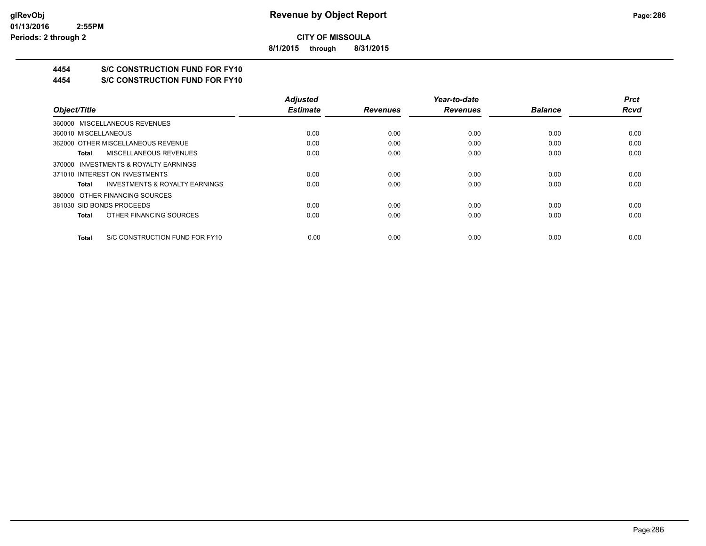**8/1/2015 through 8/31/2015**

# **4454 S/C CONSTRUCTION FUND FOR FY10**

**4454 S/C CONSTRUCTION FUND FOR FY10**

|                                                    | <b>Adjusted</b> |                 | Year-to-date    |                | <b>Prct</b> |
|----------------------------------------------------|-----------------|-----------------|-----------------|----------------|-------------|
| Object/Title                                       | <b>Estimate</b> | <b>Revenues</b> | <b>Revenues</b> | <b>Balance</b> | <b>Rcvd</b> |
| 360000 MISCELLANEOUS REVENUES                      |                 |                 |                 |                |             |
| 360010 MISCELLANEOUS                               | 0.00            | 0.00            | 0.00            | 0.00           | 0.00        |
| 362000 OTHER MISCELLANEOUS REVENUE                 | 0.00            | 0.00            | 0.00            | 0.00           | 0.00        |
| MISCELLANEOUS REVENUES<br>Total                    | 0.00            | 0.00            | 0.00            | 0.00           | 0.00        |
| 370000 INVESTMENTS & ROYALTY EARNINGS              |                 |                 |                 |                |             |
| 371010 INTEREST ON INVESTMENTS                     | 0.00            | 0.00            | 0.00            | 0.00           | 0.00        |
| <b>INVESTMENTS &amp; ROYALTY EARNINGS</b><br>Total | 0.00            | 0.00            | 0.00            | 0.00           | 0.00        |
| 380000 OTHER FINANCING SOURCES                     |                 |                 |                 |                |             |
| 381030 SID BONDS PROCEEDS                          | 0.00            | 0.00            | 0.00            | 0.00           | 0.00        |
| OTHER FINANCING SOURCES<br>Total                   | 0.00            | 0.00            | 0.00            | 0.00           | 0.00        |
| S/C CONSTRUCTION FUND FOR FY10<br>Total            | 0.00            | 0.00            | 0.00            | 0.00           | 0.00        |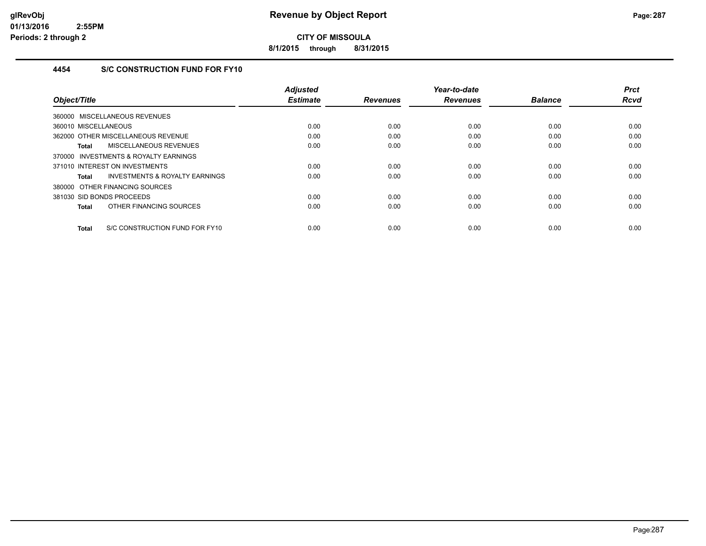**8/1/2015 through 8/31/2015**

# **4454 S/C CONSTRUCTION FUND FOR FY10**

| Object/Title                                   | <b>Adjusted</b><br><b>Estimate</b> | <b>Revenues</b> | Year-to-date<br><b>Revenues</b> | <b>Balance</b> | <b>Prct</b><br><b>Rcvd</b> |
|------------------------------------------------|------------------------------------|-----------------|---------------------------------|----------------|----------------------------|
|                                                |                                    |                 |                                 |                |                            |
| 360000 MISCELLANEOUS REVENUES                  |                                    |                 |                                 |                |                            |
| 360010 MISCELLANEOUS                           | 0.00                               | 0.00            | 0.00                            | 0.00           | 0.00                       |
| 362000 OTHER MISCELLANEOUS REVENUE             | 0.00                               | 0.00            | 0.00                            | 0.00           | 0.00                       |
| MISCELLANEOUS REVENUES<br><b>Total</b>         | 0.00                               | 0.00            | 0.00                            | 0.00           | 0.00                       |
| 370000 INVESTMENTS & ROYALTY EARNINGS          |                                    |                 |                                 |                |                            |
| 371010 INTEREST ON INVESTMENTS                 | 0.00                               | 0.00            | 0.00                            | 0.00           | 0.00                       |
| INVESTMENTS & ROYALTY EARNINGS<br><b>Total</b> | 0.00                               | 0.00            | 0.00                            | 0.00           | 0.00                       |
| 380000 OTHER FINANCING SOURCES                 |                                    |                 |                                 |                |                            |
| 381030 SID BONDS PROCEEDS                      | 0.00                               | 0.00            | 0.00                            | 0.00           | 0.00                       |
| OTHER FINANCING SOURCES<br><b>Total</b>        | 0.00                               | 0.00            | 0.00                            | 0.00           | 0.00                       |
| S/C CONSTRUCTION FUND FOR FY10<br><b>Total</b> | 0.00                               | 0.00            | 0.00                            | 0.00           | 0.00                       |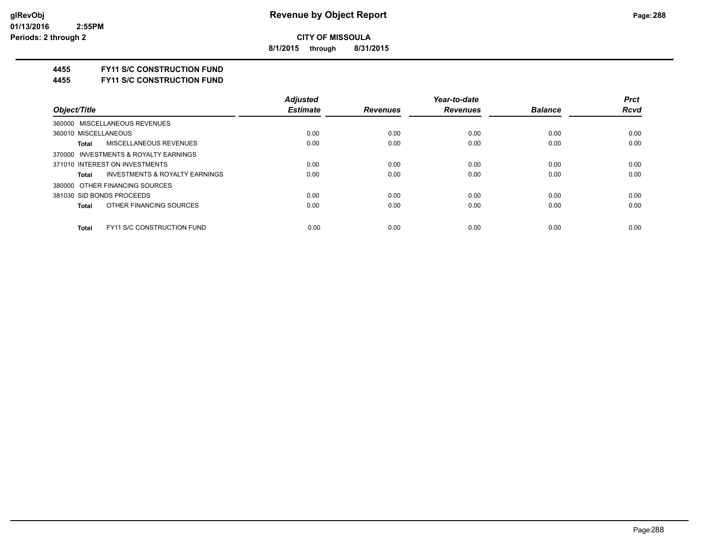**8/1/2015 through 8/31/2015**

#### **4455 FY11 S/C CONSTRUCTION FUND**

**4455 FY11 S/C CONSTRUCTION FUND**

|                                            | <b>Adjusted</b> |                 | Year-to-date    |                | <b>Prct</b> |
|--------------------------------------------|-----------------|-----------------|-----------------|----------------|-------------|
| Object/Title                               | <b>Estimate</b> | <b>Revenues</b> | <b>Revenues</b> | <b>Balance</b> | <b>Rcvd</b> |
| 360000 MISCELLANEOUS REVENUES              |                 |                 |                 |                |             |
| 360010 MISCELLANEOUS                       | 0.00            | 0.00            | 0.00            | 0.00           | 0.00        |
| MISCELLANEOUS REVENUES<br>Total            | 0.00            | 0.00            | 0.00            | 0.00           | 0.00        |
| 370000 INVESTMENTS & ROYALTY EARNINGS      |                 |                 |                 |                |             |
| 371010 INTEREST ON INVESTMENTS             | 0.00            | 0.00            | 0.00            | 0.00           | 0.00        |
| INVESTMENTS & ROYALTY EARNINGS<br>Total    | 0.00            | 0.00            | 0.00            | 0.00           | 0.00        |
| 380000 OTHER FINANCING SOURCES             |                 |                 |                 |                |             |
| 381030 SID BONDS PROCEEDS                  | 0.00            | 0.00            | 0.00            | 0.00           | 0.00        |
| OTHER FINANCING SOURCES<br>Total           | 0.00            | 0.00            | 0.00            | 0.00           | 0.00        |
|                                            |                 |                 |                 |                |             |
| <b>FY11 S/C CONSTRUCTION FUND</b><br>Total | 0.00            | 0.00            | 0.00            | 0.00           | 0.00        |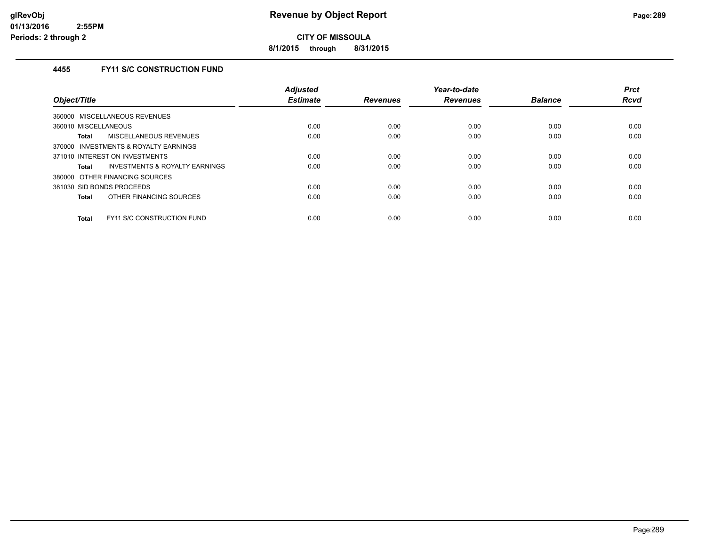**8/1/2015 through 8/31/2015**

## **4455 FY11 S/C CONSTRUCTION FUND**

| Object/Title                               | <b>Adjusted</b><br><b>Estimate</b> | <b>Revenues</b> | Year-to-date<br><b>Revenues</b> | <b>Balance</b> | <b>Prct</b><br><b>Rcvd</b> |
|--------------------------------------------|------------------------------------|-----------------|---------------------------------|----------------|----------------------------|
| 360000 MISCELLANEOUS REVENUES              |                                    |                 |                                 |                |                            |
| 360010 MISCELLANEOUS                       | 0.00                               | 0.00            | 0.00                            | 0.00           | 0.00                       |
| MISCELLANEOUS REVENUES<br>Total            | 0.00                               | 0.00            | 0.00                            | 0.00           | 0.00                       |
| 370000 INVESTMENTS & ROYALTY EARNINGS      |                                    |                 |                                 |                |                            |
| 371010 INTEREST ON INVESTMENTS             | 0.00                               | 0.00            | 0.00                            | 0.00           | 0.00                       |
| INVESTMENTS & ROYALTY EARNINGS<br>Total    | 0.00                               | 0.00            | 0.00                            | 0.00           | 0.00                       |
| 380000 OTHER FINANCING SOURCES             |                                    |                 |                                 |                |                            |
| 381030 SID BONDS PROCEEDS                  | 0.00                               | 0.00            | 0.00                            | 0.00           | 0.00                       |
| OTHER FINANCING SOURCES<br>Total           | 0.00                               | 0.00            | 0.00                            | 0.00           | 0.00                       |
| FY11 S/C CONSTRUCTION FUND<br><b>Total</b> | 0.00                               | 0.00            | 0.00                            | 0.00           | 0.00                       |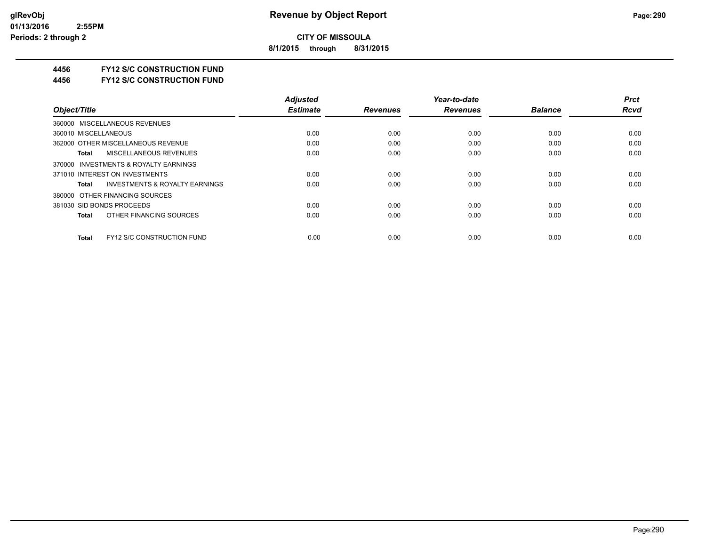**8/1/2015 through 8/31/2015**

#### **4456 FY12 S/C CONSTRUCTION FUND**

**4456 FY12 S/C CONSTRUCTION FUND**

|                                                    | <b>Adjusted</b> |                 | Year-to-date    |                | <b>Prct</b> |
|----------------------------------------------------|-----------------|-----------------|-----------------|----------------|-------------|
| Object/Title                                       | <b>Estimate</b> | <b>Revenues</b> | <b>Revenues</b> | <b>Balance</b> | <b>Rcvd</b> |
| 360000 MISCELLANEOUS REVENUES                      |                 |                 |                 |                |             |
| 360010 MISCELLANEOUS                               | 0.00            | 0.00            | 0.00            | 0.00           | 0.00        |
| 362000 OTHER MISCELLANEOUS REVENUE                 | 0.00            | 0.00            | 0.00            | 0.00           | 0.00        |
| MISCELLANEOUS REVENUES<br>Total                    | 0.00            | 0.00            | 0.00            | 0.00           | 0.00        |
| 370000 INVESTMENTS & ROYALTY EARNINGS              |                 |                 |                 |                |             |
| 371010 INTEREST ON INVESTMENTS                     | 0.00            | 0.00            | 0.00            | 0.00           | 0.00        |
| <b>INVESTMENTS &amp; ROYALTY EARNINGS</b><br>Total | 0.00            | 0.00            | 0.00            | 0.00           | 0.00        |
| 380000 OTHER FINANCING SOURCES                     |                 |                 |                 |                |             |
| 381030 SID BONDS PROCEEDS                          | 0.00            | 0.00            | 0.00            | 0.00           | 0.00        |
| OTHER FINANCING SOURCES<br>Total                   | 0.00            | 0.00            | 0.00            | 0.00           | 0.00        |
| <b>FY12 S/C CONSTRUCTION FUND</b><br>Total         | 0.00            | 0.00            | 0.00            | 0.00           | 0.00        |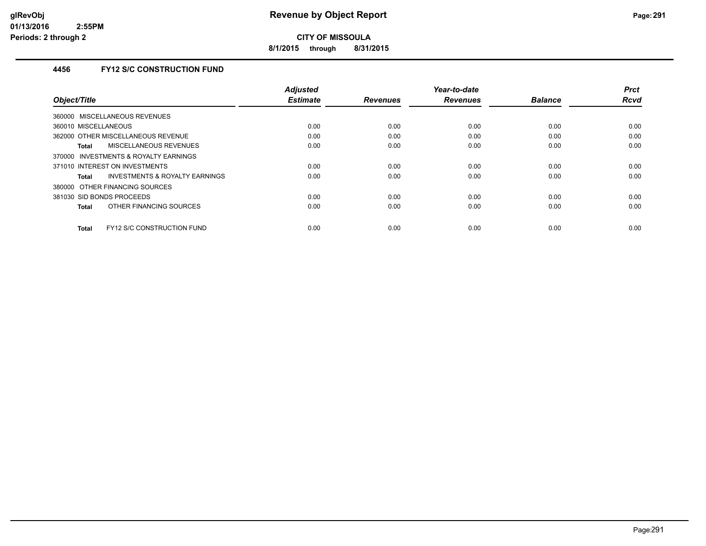**8/1/2015 through 8/31/2015**

### **4456 FY12 S/C CONSTRUCTION FUND**

| Object/Title                               | Adjusted<br><b>Estimate</b> | <b>Revenues</b> | Year-to-date<br><b>Revenues</b> | <b>Balance</b> | <b>Prct</b><br>Rcvd |
|--------------------------------------------|-----------------------------|-----------------|---------------------------------|----------------|---------------------|
|                                            |                             |                 |                                 |                |                     |
| 360000 MISCELLANEOUS REVENUES              |                             |                 |                                 |                |                     |
| 360010 MISCELLANEOUS                       | 0.00                        | 0.00            | 0.00                            | 0.00           | 0.00                |
| 362000 OTHER MISCELLANEOUS REVENUE         | 0.00                        | 0.00            | 0.00                            | 0.00           | 0.00                |
| MISCELLANEOUS REVENUES<br><b>Total</b>     | 0.00                        | 0.00            | 0.00                            | 0.00           | 0.00                |
| INVESTMENTS & ROYALTY EARNINGS<br>370000   |                             |                 |                                 |                |                     |
| 371010 INTEREST ON INVESTMENTS             | 0.00                        | 0.00            | 0.00                            | 0.00           | 0.00                |
| INVESTMENTS & ROYALTY EARNINGS<br>Total    | 0.00                        | 0.00            | 0.00                            | 0.00           | 0.00                |
| 380000 OTHER FINANCING SOURCES             |                             |                 |                                 |                |                     |
| 381030 SID BONDS PROCEEDS                  | 0.00                        | 0.00            | 0.00                            | 0.00           | 0.00                |
| OTHER FINANCING SOURCES<br><b>Total</b>    | 0.00                        | 0.00            | 0.00                            | 0.00           | 0.00                |
| FY12 S/C CONSTRUCTION FUND<br><b>Total</b> | 0.00                        | 0.00            | 0.00                            | 0.00           | 0.00                |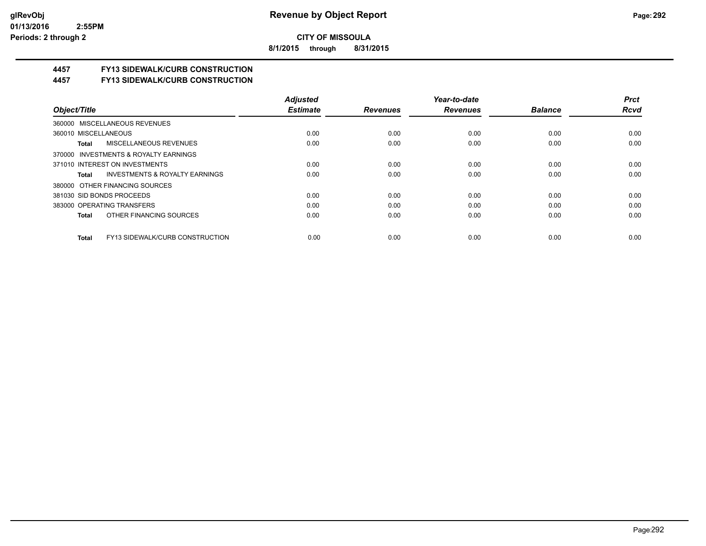**8/1/2015 through 8/31/2015**

## **4457 FY13 SIDEWALK/CURB CONSTRUCTION**

**4457 FY13 SIDEWALK/CURB CONSTRUCTION**

|                                                    | <b>Adjusted</b> |                 | Year-to-date    |                | <b>Prct</b> |
|----------------------------------------------------|-----------------|-----------------|-----------------|----------------|-------------|
| Object/Title                                       | <b>Estimate</b> | <b>Revenues</b> | <b>Revenues</b> | <b>Balance</b> | <b>Rcvd</b> |
| 360000 MISCELLANEOUS REVENUES                      |                 |                 |                 |                |             |
| 360010 MISCELLANEOUS                               | 0.00            | 0.00            | 0.00            | 0.00           | 0.00        |
| MISCELLANEOUS REVENUES<br>Total                    | 0.00            | 0.00            | 0.00            | 0.00           | 0.00        |
| 370000 INVESTMENTS & ROYALTY EARNINGS              |                 |                 |                 |                |             |
| 371010 INTEREST ON INVESTMENTS                     | 0.00            | 0.00            | 0.00            | 0.00           | 0.00        |
| <b>INVESTMENTS &amp; ROYALTY EARNINGS</b><br>Total | 0.00            | 0.00            | 0.00            | 0.00           | 0.00        |
| 380000 OTHER FINANCING SOURCES                     |                 |                 |                 |                |             |
| 381030 SID BONDS PROCEEDS                          | 0.00            | 0.00            | 0.00            | 0.00           | 0.00        |
| 383000 OPERATING TRANSFERS                         | 0.00            | 0.00            | 0.00            | 0.00           | 0.00        |
| OTHER FINANCING SOURCES<br>Total                   | 0.00            | 0.00            | 0.00            | 0.00           | 0.00        |
| FY13 SIDEWALK/CURB CONSTRUCTION<br>Total           | 0.00            | 0.00            | 0.00            | 0.00           | 0.00        |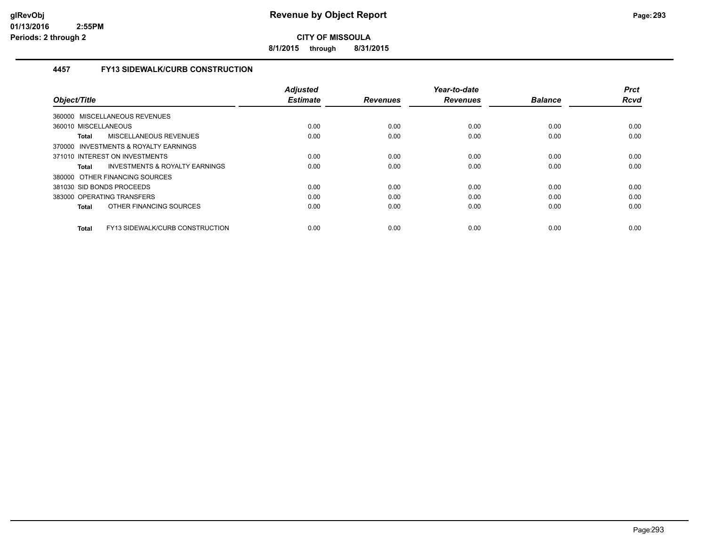**8/1/2015 through 8/31/2015**

### **4457 FY13 SIDEWALK/CURB CONSTRUCTION**

|                                                 | <b>Adjusted</b> |                 | Year-to-date    |                | <b>Prct</b> |
|-------------------------------------------------|-----------------|-----------------|-----------------|----------------|-------------|
| Object/Title                                    | <b>Estimate</b> | <b>Revenues</b> | <b>Revenues</b> | <b>Balance</b> | <b>Rcvd</b> |
| 360000 MISCELLANEOUS REVENUES                   |                 |                 |                 |                |             |
| 360010 MISCELLANEOUS                            | 0.00            | 0.00            | 0.00            | 0.00           | 0.00        |
| MISCELLANEOUS REVENUES<br><b>Total</b>          | 0.00            | 0.00            | 0.00            | 0.00           | 0.00        |
| 370000 INVESTMENTS & ROYALTY EARNINGS           |                 |                 |                 |                |             |
| 371010 INTEREST ON INVESTMENTS                  | 0.00            | 0.00            | 0.00            | 0.00           | 0.00        |
| INVESTMENTS & ROYALTY EARNINGS<br>Total         | 0.00            | 0.00            | 0.00            | 0.00           | 0.00        |
| 380000 OTHER FINANCING SOURCES                  |                 |                 |                 |                |             |
| 381030 SID BONDS PROCEEDS                       | 0.00            | 0.00            | 0.00            | 0.00           | 0.00        |
| 383000 OPERATING TRANSFERS                      | 0.00            | 0.00            | 0.00            | 0.00           | 0.00        |
| OTHER FINANCING SOURCES<br><b>Total</b>         | 0.00            | 0.00            | 0.00            | 0.00           | 0.00        |
| FY13 SIDEWALK/CURB CONSTRUCTION<br><b>Total</b> | 0.00            | 0.00            | 0.00            | 0.00           | 0.00        |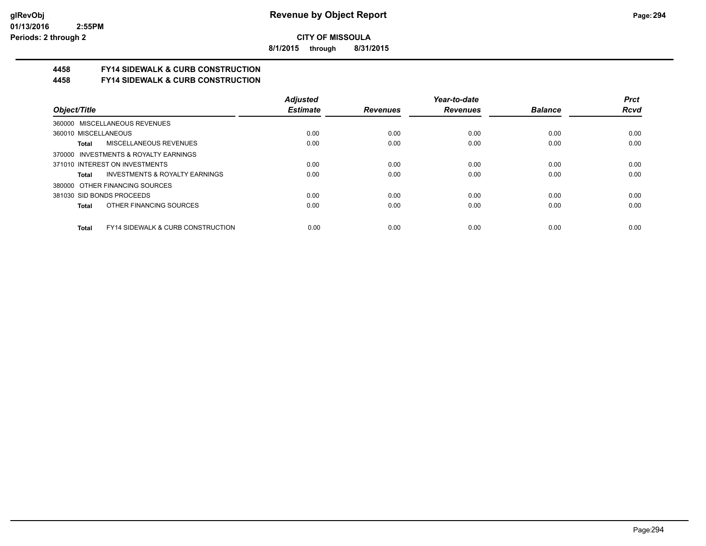**8/1/2015 through 8/31/2015**

# **4458 FY14 SIDEWALK & CURB CONSTRUCTION**

**4458 FY14 SIDEWALK & CURB CONSTRUCTION**

|                                                       | <b>Adjusted</b> |                 | Year-to-date    |                | <b>Prct</b> |
|-------------------------------------------------------|-----------------|-----------------|-----------------|----------------|-------------|
| Object/Title                                          | <b>Estimate</b> | <b>Revenues</b> | <b>Revenues</b> | <b>Balance</b> | <b>Rcvd</b> |
| 360000 MISCELLANEOUS REVENUES                         |                 |                 |                 |                |             |
| 360010 MISCELLANEOUS                                  | 0.00            | 0.00            | 0.00            | 0.00           | 0.00        |
| <b>MISCELLANEOUS REVENUES</b><br>Total                | 0.00            | 0.00            | 0.00            | 0.00           | 0.00        |
| 370000 INVESTMENTS & ROYALTY EARNINGS                 |                 |                 |                 |                |             |
| 371010 INTEREST ON INVESTMENTS                        | 0.00            | 0.00            | 0.00            | 0.00           | 0.00        |
| INVESTMENTS & ROYALTY EARNINGS<br>Total               | 0.00            | 0.00            | 0.00            | 0.00           | 0.00        |
| 380000 OTHER FINANCING SOURCES                        |                 |                 |                 |                |             |
| 381030 SID BONDS PROCEEDS                             | 0.00            | 0.00            | 0.00            | 0.00           | 0.00        |
| OTHER FINANCING SOURCES<br>Total                      | 0.00            | 0.00            | 0.00            | 0.00           | 0.00        |
| <b>FY14 SIDEWALK &amp; CURB CONSTRUCTION</b><br>Total | 0.00            | 0.00            | 0.00            | 0.00           | 0.00        |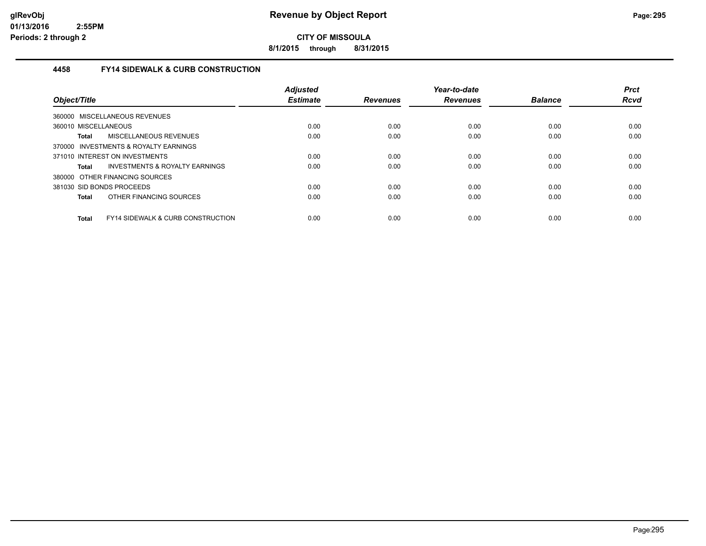**8/1/2015 through 8/31/2015**

#### **4458 FY14 SIDEWALK & CURB CONSTRUCTION**

| Object/Title                                                 | <b>Adjusted</b><br><b>Estimate</b> | <b>Revenues</b> | Year-to-date<br><b>Revenues</b> | <b>Balance</b> | <b>Prct</b><br><b>Rcvd</b> |
|--------------------------------------------------------------|------------------------------------|-----------------|---------------------------------|----------------|----------------------------|
| 360000 MISCELLANEOUS REVENUES                                |                                    |                 |                                 |                |                            |
| 360010 MISCELLANEOUS                                         | 0.00                               | 0.00            | 0.00                            | 0.00           | 0.00                       |
| MISCELLANEOUS REVENUES<br>Total                              | 0.00                               | 0.00            | 0.00                            | 0.00           | 0.00                       |
| 370000 INVESTMENTS & ROYALTY EARNINGS                        |                                    |                 |                                 |                |                            |
| 371010 INTEREST ON INVESTMENTS                               | 0.00                               | 0.00            | 0.00                            | 0.00           | 0.00                       |
| INVESTMENTS & ROYALTY EARNINGS<br>Total                      | 0.00                               | 0.00            | 0.00                            | 0.00           | 0.00                       |
| 380000 OTHER FINANCING SOURCES                               |                                    |                 |                                 |                |                            |
| 381030 SID BONDS PROCEEDS                                    | 0.00                               | 0.00            | 0.00                            | 0.00           | 0.00                       |
| OTHER FINANCING SOURCES<br><b>Total</b>                      | 0.00                               | 0.00            | 0.00                            | 0.00           | 0.00                       |
| <b>FY14 SIDEWALK &amp; CURB CONSTRUCTION</b><br><b>Total</b> | 0.00                               | 0.00            | 0.00                            | 0.00           | 0.00                       |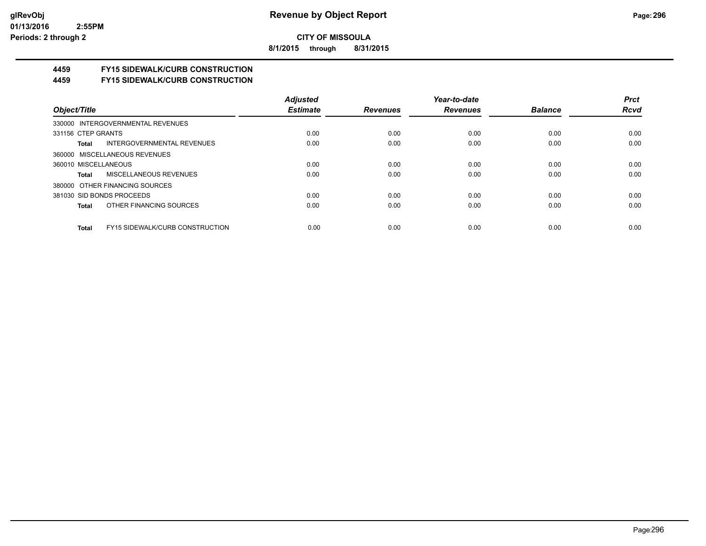**8/1/2015 through 8/31/2015**

# **4459 FY15 SIDEWALK/CURB CONSTRUCTION**

**4459 FY15 SIDEWALK/CURB CONSTRUCTION**

|                                                 | <b>Adjusted</b> |                 | Year-to-date    |                | <b>Prct</b> |
|-------------------------------------------------|-----------------|-----------------|-----------------|----------------|-------------|
| Object/Title                                    | <b>Estimate</b> | <b>Revenues</b> | <b>Revenues</b> | <b>Balance</b> | <b>Rcvd</b> |
| 330000 INTERGOVERNMENTAL REVENUES               |                 |                 |                 |                |             |
| 331156 CTEP GRANTS                              | 0.00            | 0.00            | 0.00            | 0.00           | 0.00        |
| INTERGOVERNMENTAL REVENUES<br>Total             | 0.00            | 0.00            | 0.00            | 0.00           | 0.00        |
| 360000 MISCELLANEOUS REVENUES                   |                 |                 |                 |                |             |
| 360010 MISCELLANEOUS                            | 0.00            | 0.00            | 0.00            | 0.00           | 0.00        |
| MISCELLANEOUS REVENUES<br>Total                 | 0.00            | 0.00            | 0.00            | 0.00           | 0.00        |
| 380000 OTHER FINANCING SOURCES                  |                 |                 |                 |                |             |
| 381030 SID BONDS PROCEEDS                       | 0.00            | 0.00            | 0.00            | 0.00           | 0.00        |
| OTHER FINANCING SOURCES<br>Total                | 0.00            | 0.00            | 0.00            | 0.00           | 0.00        |
| <b>FY15 SIDEWALK/CURB CONSTRUCTION</b><br>Total | 0.00            | 0.00            | 0.00            | 0.00           | 0.00        |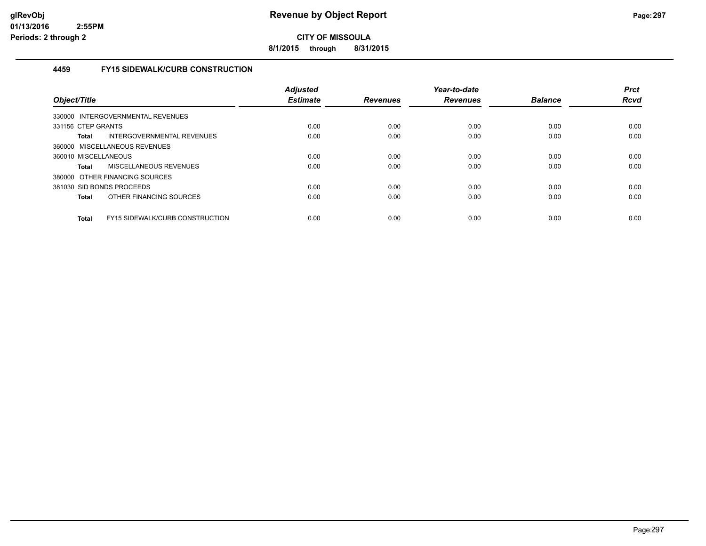**8/1/2015 through 8/31/2015**

#### **4459 FY15 SIDEWALK/CURB CONSTRUCTION**

| Object/Title         |                                        | Adjusted<br><b>Estimate</b> | <b>Revenues</b> | Year-to-date<br><b>Revenues</b> | <b>Balance</b> | <b>Prct</b><br><b>Rcvd</b> |
|----------------------|----------------------------------------|-----------------------------|-----------------|---------------------------------|----------------|----------------------------|
|                      | 330000 INTERGOVERNMENTAL REVENUES      |                             |                 |                                 |                |                            |
| 331156 CTEP GRANTS   |                                        | 0.00                        | 0.00            | 0.00                            | 0.00           | 0.00                       |
| <b>Total</b>         | INTERGOVERNMENTAL REVENUES             | 0.00                        | 0.00            | 0.00                            | 0.00           | 0.00                       |
|                      | 360000 MISCELLANEOUS REVENUES          |                             |                 |                                 |                |                            |
| 360010 MISCELLANEOUS |                                        | 0.00                        | 0.00            | 0.00                            | 0.00           | 0.00                       |
| Total                | <b>MISCELLANEOUS REVENUES</b>          | 0.00                        | 0.00            | 0.00                            | 0.00           | 0.00                       |
|                      | 380000 OTHER FINANCING SOURCES         |                             |                 |                                 |                |                            |
|                      | 381030 SID BONDS PROCEEDS              | 0.00                        | 0.00            | 0.00                            | 0.00           | 0.00                       |
| Total                | OTHER FINANCING SOURCES                | 0.00                        | 0.00            | 0.00                            | 0.00           | 0.00                       |
| <b>Total</b>         | <b>FY15 SIDEWALK/CURB CONSTRUCTION</b> | 0.00                        | 0.00            | 0.00                            | 0.00           | 0.00                       |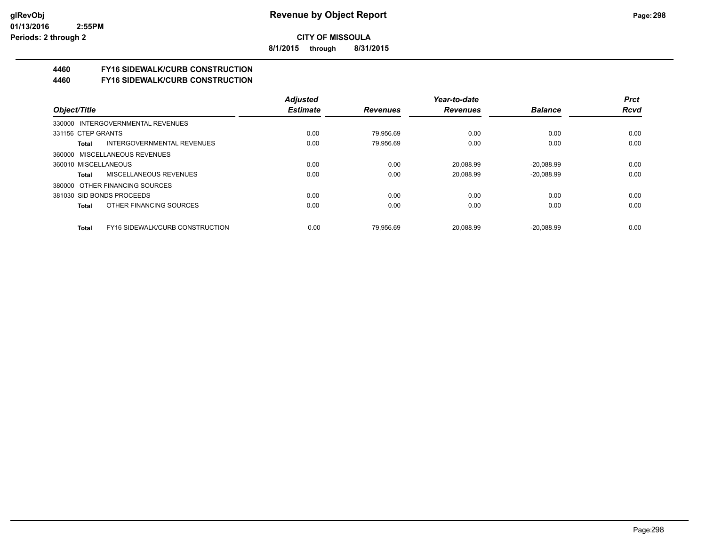**8/1/2015 through 8/31/2015**

# **4460 FY16 SIDEWALK/CURB CONSTRUCTION**

**4460 FY16 SIDEWALK/CURB CONSTRUCTION**

|                                          | <b>Adjusted</b> |                 | Year-to-date    |                | <b>Prct</b> |
|------------------------------------------|-----------------|-----------------|-----------------|----------------|-------------|
| Object/Title                             | <b>Estimate</b> | <b>Revenues</b> | <b>Revenues</b> | <b>Balance</b> | <b>Rcvd</b> |
| 330000 INTERGOVERNMENTAL REVENUES        |                 |                 |                 |                |             |
| 331156 CTEP GRANTS                       | 0.00            | 79.956.69       | 0.00            | 0.00           | 0.00        |
| INTERGOVERNMENTAL REVENUES<br>Total      | 0.00            | 79.956.69       | 0.00            | 0.00           | 0.00        |
| 360000 MISCELLANEOUS REVENUES            |                 |                 |                 |                |             |
| 360010 MISCELLANEOUS                     | 0.00            | 0.00            | 20.088.99       | $-20.088.99$   | 0.00        |
| MISCELLANEOUS REVENUES<br>Total          | 0.00            | 0.00            | 20.088.99       | $-20.088.99$   | 0.00        |
| 380000 OTHER FINANCING SOURCES           |                 |                 |                 |                |             |
| 381030 SID BONDS PROCEEDS                | 0.00            | 0.00            | 0.00            | 0.00           | 0.00        |
| OTHER FINANCING SOURCES<br>Total         | 0.00            | 0.00            | 0.00            | 0.00           | 0.00        |
| FY16 SIDEWALK/CURB CONSTRUCTION<br>Total | 0.00            | 79.956.69       | 20.088.99       | $-20.088.99$   | 0.00        |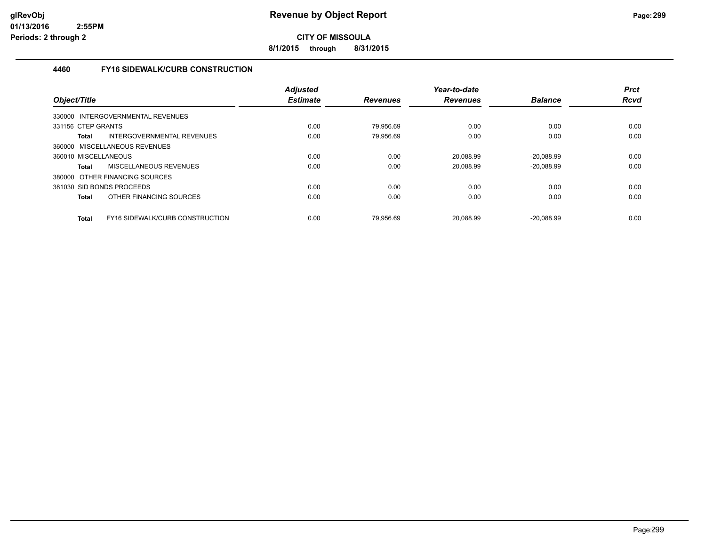**8/1/2015 through 8/31/2015**

### **4460 FY16 SIDEWALK/CURB CONSTRUCTION**

| Object/Title                                           | <b>Adjusted</b><br><b>Estimate</b> | <b>Revenues</b> | Year-to-date<br><b>Revenues</b> | <b>Balance</b> | <b>Prct</b><br><b>Rcvd</b> |
|--------------------------------------------------------|------------------------------------|-----------------|---------------------------------|----------------|----------------------------|
| 330000 INTERGOVERNMENTAL REVENUES                      |                                    |                 |                                 |                |                            |
| 331156 CTEP GRANTS                                     | 0.00                               | 79.956.69       | 0.00                            | 0.00           | 0.00                       |
| INTERGOVERNMENTAL REVENUES<br><b>Total</b>             | 0.00                               | 79.956.69       | 0.00                            | 0.00           | 0.00                       |
| 360000 MISCELLANEOUS REVENUES                          |                                    |                 |                                 |                |                            |
| 360010 MISCELLANEOUS                                   | 0.00                               | 0.00            | 20,088.99                       | $-20,088.99$   | 0.00                       |
| MISCELLANEOUS REVENUES<br><b>Total</b>                 | 0.00                               | 0.00            | 20.088.99                       | $-20.088.99$   | 0.00                       |
| 380000 OTHER FINANCING SOURCES                         |                                    |                 |                                 |                |                            |
| 381030 SID BONDS PROCEEDS                              | 0.00                               | 0.00            | 0.00                            | 0.00           | 0.00                       |
| OTHER FINANCING SOURCES<br><b>Total</b>                | 0.00                               | 0.00            | 0.00                            | 0.00           | 0.00                       |
| <b>FY16 SIDEWALK/CURB CONSTRUCTION</b><br><b>Total</b> | 0.00                               | 79.956.69       | 20.088.99                       | $-20.088.99$   | 0.00                       |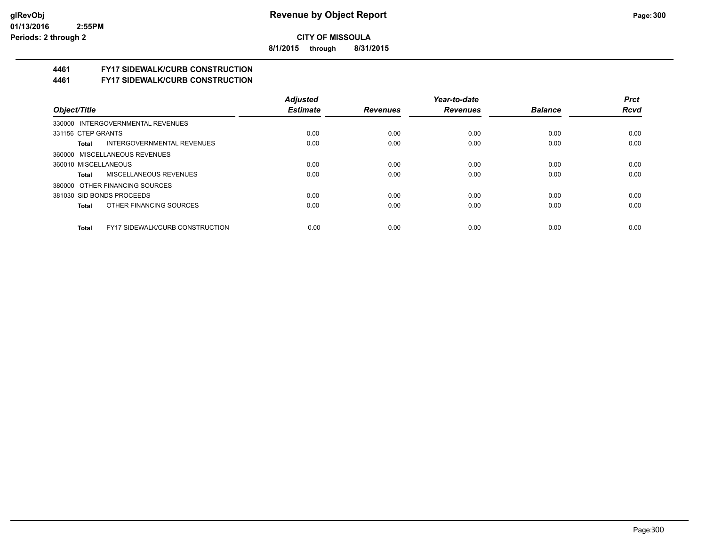**8/1/2015 through 8/31/2015**

# **4461 FY17 SIDEWALK/CURB CONSTRUCTION**

**4461 FY17 SIDEWALK/CURB CONSTRUCTION**

|                                                 | <b>Adjusted</b> |                 | Year-to-date    |                | <b>Prct</b> |
|-------------------------------------------------|-----------------|-----------------|-----------------|----------------|-------------|
| Object/Title                                    | <b>Estimate</b> | <b>Revenues</b> | <b>Revenues</b> | <b>Balance</b> | <b>Rcvd</b> |
| 330000 INTERGOVERNMENTAL REVENUES               |                 |                 |                 |                |             |
| 331156 CTEP GRANTS                              | 0.00            | 0.00            | 0.00            | 0.00           | 0.00        |
| INTERGOVERNMENTAL REVENUES<br>Total             | 0.00            | 0.00            | 0.00            | 0.00           | 0.00        |
| 360000 MISCELLANEOUS REVENUES                   |                 |                 |                 |                |             |
| 360010 MISCELLANEOUS                            | 0.00            | 0.00            | 0.00            | 0.00           | 0.00        |
| MISCELLANEOUS REVENUES<br>Total                 | 0.00            | 0.00            | 0.00            | 0.00           | 0.00        |
| 380000 OTHER FINANCING SOURCES                  |                 |                 |                 |                |             |
| 381030 SID BONDS PROCEEDS                       | 0.00            | 0.00            | 0.00            | 0.00           | 0.00        |
| OTHER FINANCING SOURCES<br>Total                | 0.00            | 0.00            | 0.00            | 0.00           | 0.00        |
|                                                 |                 |                 |                 |                |             |
| <b>FY17 SIDEWALK/CURB CONSTRUCTION</b><br>Total | 0.00            | 0.00            | 0.00            | 0.00           | 0.00        |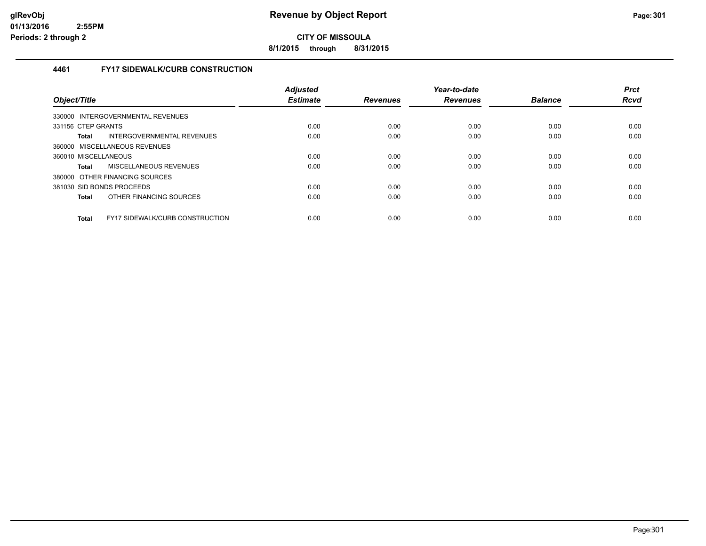**8/1/2015 through 8/31/2015**

### **4461 FY17 SIDEWALK/CURB CONSTRUCTION**

| Object/Title              |                                        | Adjusted<br><b>Estimate</b> | <b>Revenues</b> | Year-to-date<br><b>Revenues</b> | <b>Balance</b> | <b>Prct</b><br><b>Rcvd</b> |
|---------------------------|----------------------------------------|-----------------------------|-----------------|---------------------------------|----------------|----------------------------|
|                           | 330000 INTERGOVERNMENTAL REVENUES      |                             |                 |                                 |                |                            |
| 331156 CTEP GRANTS        |                                        | 0.00                        | 0.00            | 0.00                            | 0.00           | 0.00                       |
| Total                     | INTERGOVERNMENTAL REVENUES             | 0.00                        | 0.00            | 0.00                            | 0.00           | 0.00                       |
|                           | 360000 MISCELLANEOUS REVENUES          |                             |                 |                                 |                |                            |
| 360010 MISCELLANEOUS      |                                        | 0.00                        | 0.00            | 0.00                            | 0.00           | 0.00                       |
| <b>Total</b>              | MISCELLANEOUS REVENUES                 | 0.00                        | 0.00            | 0.00                            | 0.00           | 0.00                       |
|                           | 380000 OTHER FINANCING SOURCES         |                             |                 |                                 |                |                            |
| 381030 SID BONDS PROCEEDS |                                        | 0.00                        | 0.00            | 0.00                            | 0.00           | 0.00                       |
| <b>Total</b>              | OTHER FINANCING SOURCES                | 0.00                        | 0.00            | 0.00                            | 0.00           | 0.00                       |
| <b>Total</b>              | <b>FY17 SIDEWALK/CURB CONSTRUCTION</b> | 0.00                        | 0.00            | 0.00                            | 0.00           | 0.00                       |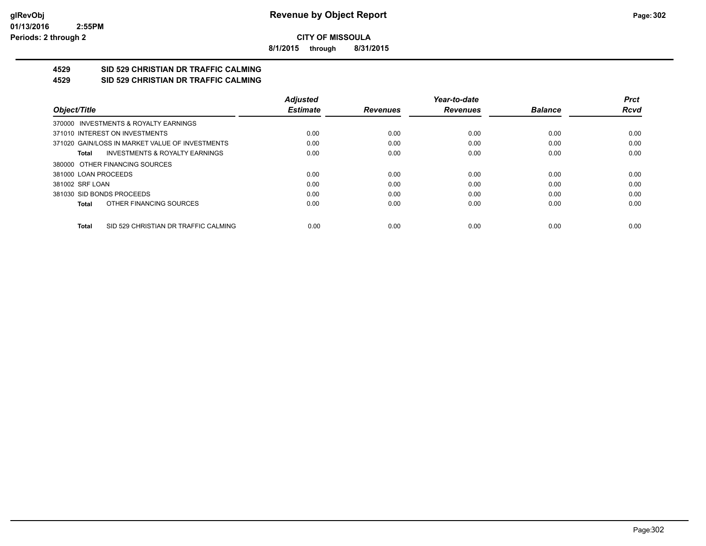**8/1/2015 through 8/31/2015**

#### **4529 SID 529 CHRISTIAN DR TRAFFIC CALMING 4529 SID 529 CHRISTIAN DR TRAFFIC CALMING**

|                      |                                                 | <b>Adjusted</b> |                 | Year-to-date    |                | <b>Prct</b> |
|----------------------|-------------------------------------------------|-----------------|-----------------|-----------------|----------------|-------------|
| Object/Title         |                                                 | <b>Estimate</b> | <b>Revenues</b> | <b>Revenues</b> | <b>Balance</b> | <b>Rcvd</b> |
|                      | 370000 INVESTMENTS & ROYALTY EARNINGS           |                 |                 |                 |                |             |
|                      | 371010 INTEREST ON INVESTMENTS                  | 0.00            | 0.00            | 0.00            | 0.00           | 0.00        |
|                      | 371020 GAIN/LOSS IN MARKET VALUE OF INVESTMENTS | 0.00            | 0.00            | 0.00            | 0.00           | 0.00        |
| Total                | <b>INVESTMENTS &amp; ROYALTY EARNINGS</b>       | 0.00            | 0.00            | 0.00            | 0.00           | 0.00        |
|                      | 380000 OTHER FINANCING SOURCES                  |                 |                 |                 |                |             |
| 381000 LOAN PROCEEDS |                                                 | 0.00            | 0.00            | 0.00            | 0.00           | 0.00        |
| 381002 SRF LOAN      |                                                 | 0.00            | 0.00            | 0.00            | 0.00           | 0.00        |
|                      | 381030 SID BONDS PROCEEDS                       | 0.00            | 0.00            | 0.00            | 0.00           | 0.00        |
| Total                | OTHER FINANCING SOURCES                         | 0.00            | 0.00            | 0.00            | 0.00           | 0.00        |
| <b>Total</b>         | SID 529 CHRISTIAN DR TRAFFIC CALMING            | 0.00            | 0.00            | 0.00            | 0.00           | 0.00        |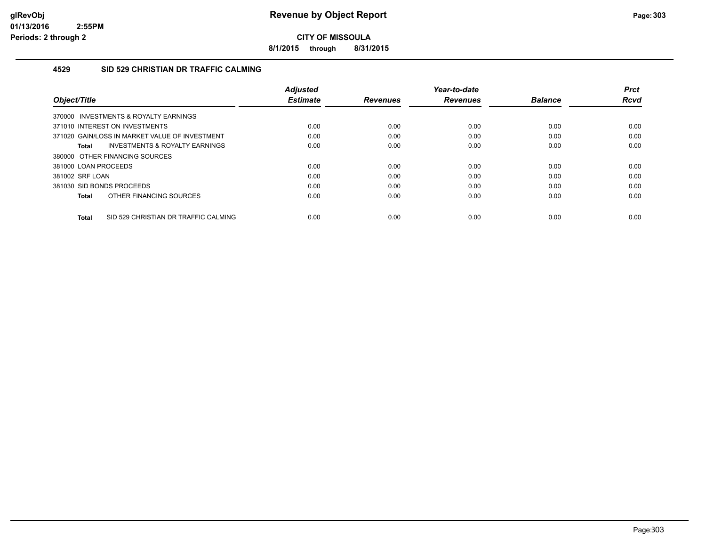**8/1/2015 through 8/31/2015**

#### **4529 SID 529 CHRISTIAN DR TRAFFIC CALMING**

| Object/Title                                   | <b>Adjusted</b><br><b>Estimate</b> | <b>Revenues</b> | Year-to-date<br><b>Revenues</b> | <b>Balance</b> | <b>Prct</b><br>Rcvd |
|------------------------------------------------|------------------------------------|-----------------|---------------------------------|----------------|---------------------|
| 370000 INVESTMENTS & ROYALTY EARNINGS          |                                    |                 |                                 |                |                     |
| 371010 INTEREST ON INVESTMENTS                 | 0.00                               | 0.00            | 0.00                            | 0.00           | 0.00                |
| 371020 GAIN/LOSS IN MARKET VALUE OF INVESTMENT | 0.00                               | 0.00            | 0.00                            | 0.00           | 0.00                |
| INVESTMENTS & ROYALTY EARNINGS<br>Total        | 0.00                               | 0.00            | 0.00                            | 0.00           | 0.00                |
| 380000 OTHER FINANCING SOURCES                 |                                    |                 |                                 |                |                     |
| 381000 LOAN PROCEEDS                           | 0.00                               | 0.00            | 0.00                            | 0.00           | 0.00                |
| 381002 SRF LOAN                                | 0.00                               | 0.00            | 0.00                            | 0.00           | 0.00                |
| 381030 SID BONDS PROCEEDS                      | 0.00                               | 0.00            | 0.00                            | 0.00           | 0.00                |
| OTHER FINANCING SOURCES<br>Total               | 0.00                               | 0.00            | 0.00                            | 0.00           | 0.00                |
| SID 529 CHRISTIAN DR TRAFFIC CALMING<br>Total  | 0.00                               | 0.00            | 0.00                            | 0.00           | 0.00                |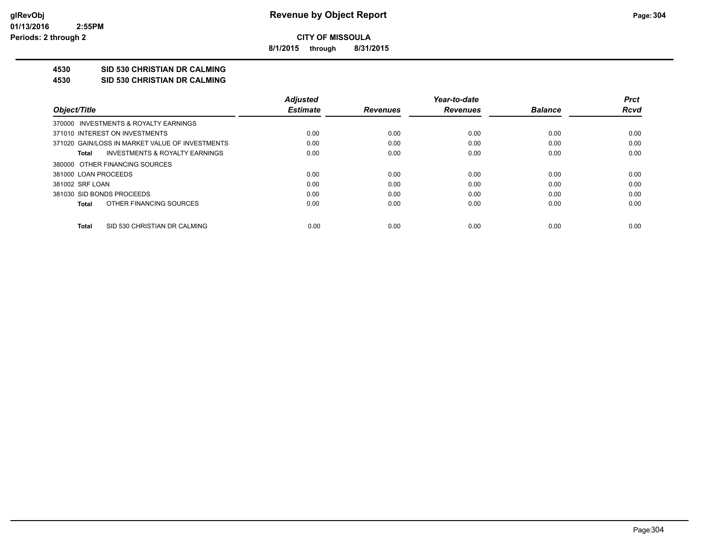**8/1/2015 through 8/31/2015**

## **4530 SID 530 CHRISTIAN DR CALMING**

**4530 SID 530 CHRISTIAN DR CALMING**

|                                                 | <b>Adiusted</b> |                 | Year-to-date    |                | <b>Prct</b> |
|-------------------------------------------------|-----------------|-----------------|-----------------|----------------|-------------|
| Object/Title                                    | <b>Estimate</b> | <b>Revenues</b> | <b>Revenues</b> | <b>Balance</b> | Rcvd        |
| 370000 INVESTMENTS & ROYALTY EARNINGS           |                 |                 |                 |                |             |
| 371010 INTEREST ON INVESTMENTS                  | 0.00            | 0.00            | 0.00            | 0.00           | 0.00        |
| 371020 GAIN/LOSS IN MARKET VALUE OF INVESTMENTS | 0.00            | 0.00            | 0.00            | 0.00           | 0.00        |
| INVESTMENTS & ROYALTY EARNINGS<br>Total         | 0.00            | 0.00            | 0.00            | 0.00           | 0.00        |
| 380000 OTHER FINANCING SOURCES                  |                 |                 |                 |                |             |
| 381000 LOAN PROCEEDS                            | 0.00            | 0.00            | 0.00            | 0.00           | 0.00        |
| 381002 SRF LOAN                                 | 0.00            | 0.00            | 0.00            | 0.00           | 0.00        |
| 381030 SID BONDS PROCEEDS                       | 0.00            | 0.00            | 0.00            | 0.00           | 0.00        |
| OTHER FINANCING SOURCES<br>Total                | 0.00            | 0.00            | 0.00            | 0.00           | 0.00        |
|                                                 |                 |                 |                 |                |             |
| SID 530 CHRISTIAN DR CALMING<br>Total           | 0.00            | 0.00            | 0.00            | 0.00           | 0.00        |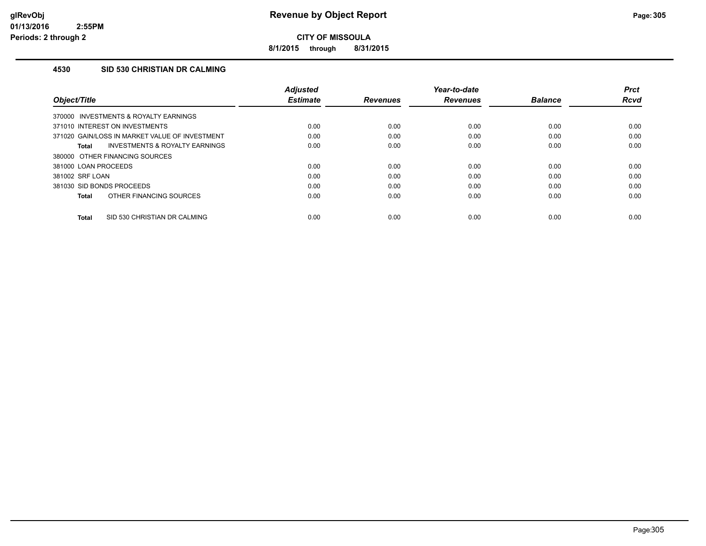**8/1/2015 through 8/31/2015**

### **4530 SID 530 CHRISTIAN DR CALMING**

| Object/Title                                       | <b>Adjusted</b><br><b>Estimate</b> | <b>Revenues</b> | Year-to-date<br><b>Revenues</b> | <b>Balance</b> | <b>Prct</b><br>Rcvd |
|----------------------------------------------------|------------------------------------|-----------------|---------------------------------|----------------|---------------------|
| 370000 INVESTMENTS & ROYALTY EARNINGS              |                                    |                 |                                 |                |                     |
| 371010 INTEREST ON INVESTMENTS                     | 0.00                               | 0.00            | 0.00                            | 0.00           | 0.00                |
| 371020 GAIN/LOSS IN MARKET VALUE OF INVESTMENT     | 0.00                               | 0.00            | 0.00                            | 0.00           | 0.00                |
| <b>INVESTMENTS &amp; ROYALTY EARNINGS</b><br>Total | 0.00                               | 0.00            | 0.00                            | 0.00           | 0.00                |
| 380000 OTHER FINANCING SOURCES                     |                                    |                 |                                 |                |                     |
| 381000 LOAN PROCEEDS                               | 0.00                               | 0.00            | 0.00                            | 0.00           | 0.00                |
| 381002 SRF LOAN                                    | 0.00                               | 0.00            | 0.00                            | 0.00           | 0.00                |
| 381030 SID BONDS PROCEEDS                          | 0.00                               | 0.00            | 0.00                            | 0.00           | 0.00                |
| OTHER FINANCING SOURCES<br>Total                   | 0.00                               | 0.00            | 0.00                            | 0.00           | 0.00                |
| SID 530 CHRISTIAN DR CALMING<br>Total              | 0.00                               | 0.00            | 0.00                            | 0.00           | 0.00                |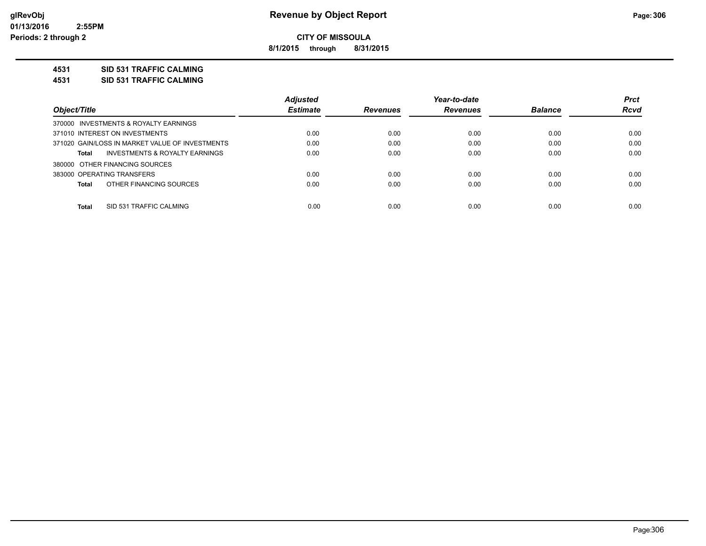**8/1/2015 through 8/31/2015**

### **4531 SID 531 TRAFFIC CALMING**

**4531 SID 531 TRAFFIC CALMING**

|                                                 | <b>Adjusted</b> |                 | Year-to-date    |                | <b>Prct</b> |
|-------------------------------------------------|-----------------|-----------------|-----------------|----------------|-------------|
| Object/Title                                    | <b>Estimate</b> | <b>Revenues</b> | <b>Revenues</b> | <b>Balance</b> | <b>Rcvd</b> |
| 370000 INVESTMENTS & ROYALTY EARNINGS           |                 |                 |                 |                |             |
| 371010 INTEREST ON INVESTMENTS                  | 0.00            | 0.00            | 0.00            | 0.00           | 0.00        |
| 371020 GAIN/LOSS IN MARKET VALUE OF INVESTMENTS | 0.00            | 0.00            | 0.00            | 0.00           | 0.00        |
| INVESTMENTS & ROYALTY EARNINGS<br>Total         | 0.00            | 0.00            | 0.00            | 0.00           | 0.00        |
| 380000 OTHER FINANCING SOURCES                  |                 |                 |                 |                |             |
| 383000 OPERATING TRANSFERS                      | 0.00            | 0.00            | 0.00            | 0.00           | 0.00        |
| OTHER FINANCING SOURCES<br>Total                | 0.00            | 0.00            | 0.00            | 0.00           | 0.00        |
|                                                 |                 |                 |                 |                |             |
| Total<br>SID 531 TRAFFIC CALMING                | 0.00            | 0.00            | 0.00            | 0.00           | 0.00        |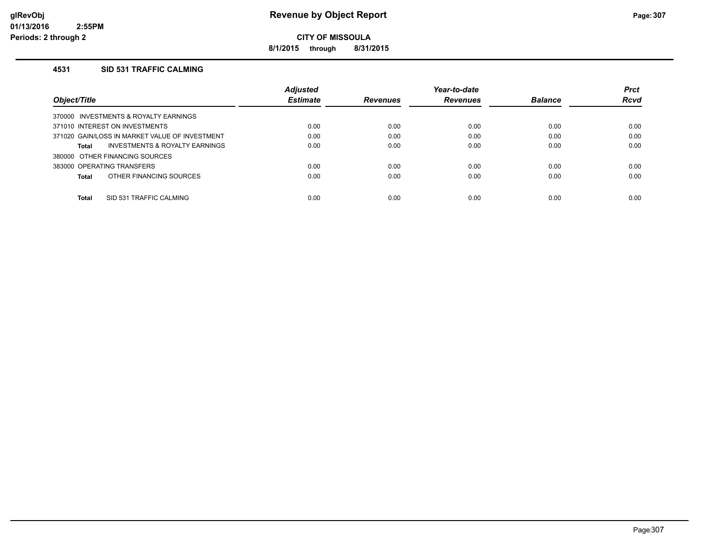**8/1/2015 through 8/31/2015**

#### **4531 SID 531 TRAFFIC CALMING**

|                                                    | <b>Adjusted</b> |                 | Year-to-date    |                | <b>Prct</b> |
|----------------------------------------------------|-----------------|-----------------|-----------------|----------------|-------------|
| Object/Title                                       | <b>Estimate</b> | <b>Revenues</b> | <b>Revenues</b> | <b>Balance</b> | Rcvd        |
| INVESTMENTS & ROYALTY EARNINGS<br>370000           |                 |                 |                 |                |             |
| 371010 INTEREST ON INVESTMENTS                     | 0.00            | 0.00            | 0.00            | 0.00           | 0.00        |
| 371020 GAIN/LOSS IN MARKET VALUE OF INVESTMENT     | 0.00            | 0.00            | 0.00            | 0.00           | 0.00        |
| <b>INVESTMENTS &amp; ROYALTY EARNINGS</b><br>Total | 0.00            | 0.00            | 0.00            | 0.00           | 0.00        |
| 380000 OTHER FINANCING SOURCES                     |                 |                 |                 |                |             |
| 383000 OPERATING TRANSFERS                         | 0.00            | 0.00            | 0.00            | 0.00           | 0.00        |
| OTHER FINANCING SOURCES<br>Total                   | 0.00            | 0.00            | 0.00            | 0.00           | 0.00        |
|                                                    |                 |                 |                 |                |             |
| Total<br>SID 531 TRAFFIC CALMING                   | 0.00            | 0.00            | 0.00            | 0.00           | 0.00        |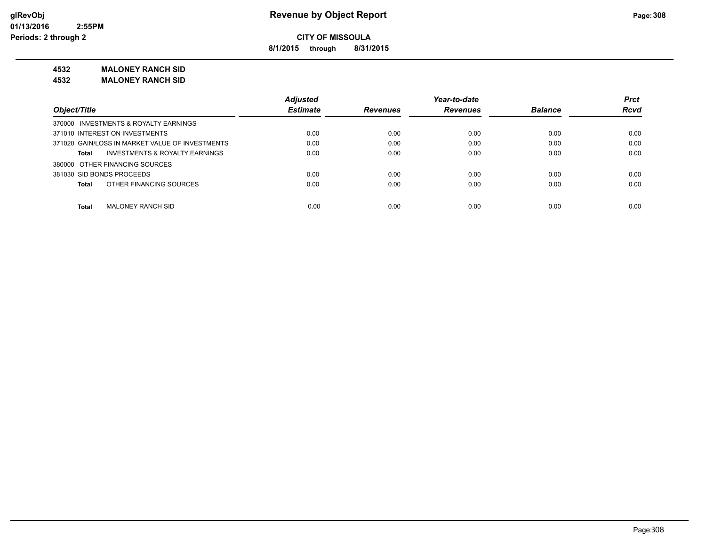**8/1/2015 through 8/31/2015**

#### **4532 MALONEY RANCH SID**

**4532 MALONEY RANCH SID**

|                                                    | <b>Adjusted</b> |                 | Year-to-date    |                | <b>Prct</b> |
|----------------------------------------------------|-----------------|-----------------|-----------------|----------------|-------------|
| Object/Title                                       | <b>Estimate</b> | <b>Revenues</b> | <b>Revenues</b> | <b>Balance</b> | <b>Rcvd</b> |
| 370000 INVESTMENTS & ROYALTY EARNINGS              |                 |                 |                 |                |             |
| 371010 INTEREST ON INVESTMENTS                     | 0.00            | 0.00            | 0.00            | 0.00           | 0.00        |
| 371020 GAIN/LOSS IN MARKET VALUE OF INVESTMENTS    | 0.00            | 0.00            | 0.00            | 0.00           | 0.00        |
| <b>INVESTMENTS &amp; ROYALTY EARNINGS</b><br>Total | 0.00            | 0.00            | 0.00            | 0.00           | 0.00        |
| 380000 OTHER FINANCING SOURCES                     |                 |                 |                 |                |             |
| 381030 SID BONDS PROCEEDS                          | 0.00            | 0.00            | 0.00            | 0.00           | 0.00        |
| OTHER FINANCING SOURCES<br><b>Total</b>            | 0.00            | 0.00            | 0.00            | 0.00           | 0.00        |
| <b>Total</b><br><b>MALONEY RANCH SID</b>           | 0.00            | 0.00            | 0.00            | 0.00           | 0.00        |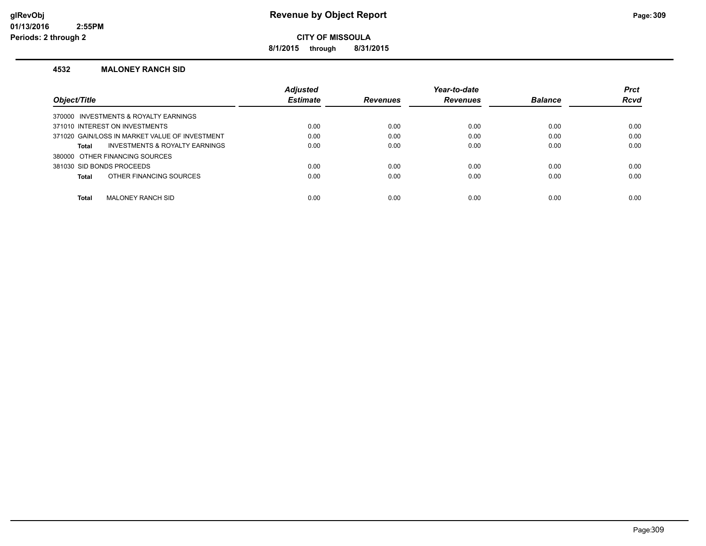**8/1/2015 through 8/31/2015**

#### **4532 MALONEY RANCH SID**

|                                                | <b>Adjusted</b> |                 | Year-to-date    |                | <b>Prct</b> |
|------------------------------------------------|-----------------|-----------------|-----------------|----------------|-------------|
| Object/Title                                   | <b>Estimate</b> | <b>Revenues</b> | <b>Revenues</b> | <b>Balance</b> | <b>Rcvd</b> |
| 370000 INVESTMENTS & ROYALTY EARNINGS          |                 |                 |                 |                |             |
| 371010 INTEREST ON INVESTMENTS                 | 0.00            | 0.00            | 0.00            | 0.00           | 0.00        |
| 371020 GAIN/LOSS IN MARKET VALUE OF INVESTMENT | 0.00            | 0.00            | 0.00            | 0.00           | 0.00        |
| INVESTMENTS & ROYALTY EARNINGS<br>Total        | 0.00            | 0.00            | 0.00            | 0.00           | 0.00        |
| 380000 OTHER FINANCING SOURCES                 |                 |                 |                 |                |             |
| 381030 SID BONDS PROCEEDS                      | 0.00            | 0.00            | 0.00            | 0.00           | 0.00        |
| OTHER FINANCING SOURCES<br>Total               | 0.00            | 0.00            | 0.00            | 0.00           | 0.00        |
|                                                |                 |                 |                 |                |             |
| <b>Total</b><br>MALONEY RANCH SID              | 0.00            | 0.00            | 0.00            | 0.00           | 0.00        |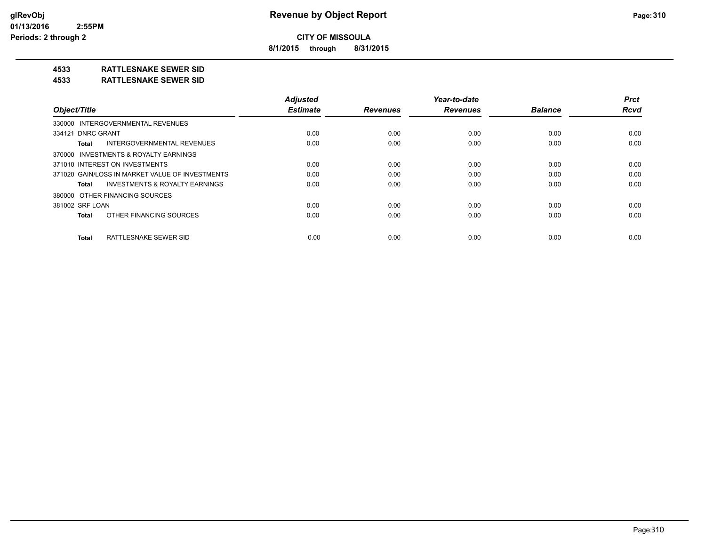**8/1/2015 through 8/31/2015**

### **4533 RATTLESNAKE SEWER SID**

#### **4533 RATTLESNAKE SEWER SID**

|                                                    | <b>Adjusted</b> |                 | Year-to-date    |                | <b>Prct</b> |
|----------------------------------------------------|-----------------|-----------------|-----------------|----------------|-------------|
| Object/Title                                       | <b>Estimate</b> | <b>Revenues</b> | <b>Revenues</b> | <b>Balance</b> | <b>Rcvd</b> |
| 330000 INTERGOVERNMENTAL REVENUES                  |                 |                 |                 |                |             |
| 334121 DNRC GRANT                                  | 0.00            | 0.00            | 0.00            | 0.00           | 0.00        |
| INTERGOVERNMENTAL REVENUES<br>Total                | 0.00            | 0.00            | 0.00            | 0.00           | 0.00        |
| 370000 INVESTMENTS & ROYALTY EARNINGS              |                 |                 |                 |                |             |
| 371010 INTEREST ON INVESTMENTS                     | 0.00            | 0.00            | 0.00            | 0.00           | 0.00        |
| 371020 GAIN/LOSS IN MARKET VALUE OF INVESTMENTS    | 0.00            | 0.00            | 0.00            | 0.00           | 0.00        |
| <b>INVESTMENTS &amp; ROYALTY EARNINGS</b><br>Total | 0.00            | 0.00            | 0.00            | 0.00           | 0.00        |
| 380000 OTHER FINANCING SOURCES                     |                 |                 |                 |                |             |
| 381002 SRF LOAN                                    | 0.00            | 0.00            | 0.00            | 0.00           | 0.00        |
| OTHER FINANCING SOURCES<br>Total                   | 0.00            | 0.00            | 0.00            | 0.00           | 0.00        |
| RATTLESNAKE SEWER SID<br><b>Total</b>              | 0.00            | 0.00            | 0.00            | 0.00           | 0.00        |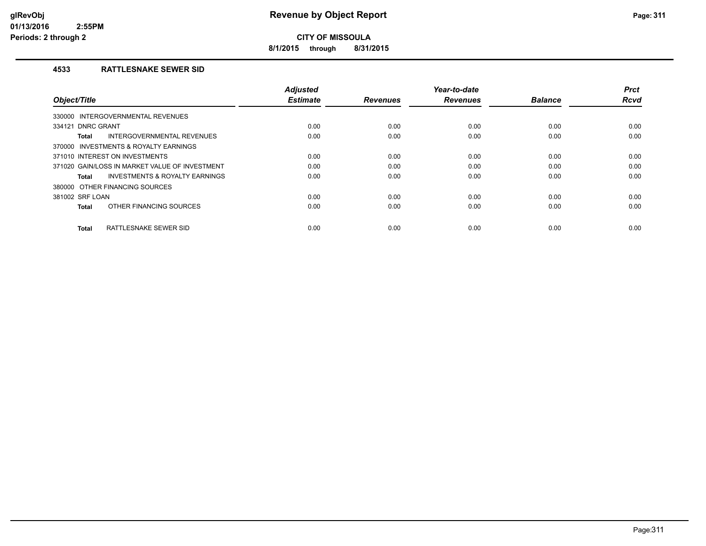**8/1/2015 through 8/31/2015**

#### **4533 RATTLESNAKE SEWER SID**

| Object/Title                                   | <b>Adjusted</b><br><b>Estimate</b> | <b>Revenues</b> | Year-to-date<br><b>Revenues</b> | <b>Balance</b> | <b>Prct</b><br><b>Rcvd</b> |
|------------------------------------------------|------------------------------------|-----------------|---------------------------------|----------------|----------------------------|
| INTERGOVERNMENTAL REVENUES<br>330000           |                                    |                 |                                 |                |                            |
| 334121 DNRC GRANT                              | 0.00                               | 0.00            | 0.00                            | 0.00           | 0.00                       |
| INTERGOVERNMENTAL REVENUES<br>Total            | 0.00                               | 0.00            | 0.00                            | 0.00           | 0.00                       |
| 370000 INVESTMENTS & ROYALTY EARNINGS          |                                    |                 |                                 |                |                            |
| 371010 INTEREST ON INVESTMENTS                 | 0.00                               | 0.00            | 0.00                            | 0.00           | 0.00                       |
| 371020 GAIN/LOSS IN MARKET VALUE OF INVESTMENT | 0.00                               | 0.00            | 0.00                            | 0.00           | 0.00                       |
| INVESTMENTS & ROYALTY EARNINGS<br>Total        | 0.00                               | 0.00            | 0.00                            | 0.00           | 0.00                       |
| 380000 OTHER FINANCING SOURCES                 |                                    |                 |                                 |                |                            |
| 381002 SRF LOAN                                | 0.00                               | 0.00            | 0.00                            | 0.00           | 0.00                       |
| OTHER FINANCING SOURCES<br><b>Total</b>        | 0.00                               | 0.00            | 0.00                            | 0.00           | 0.00                       |
| RATTLESNAKE SEWER SID<br><b>Total</b>          | 0.00                               | 0.00            | 0.00                            | 0.00           | 0.00                       |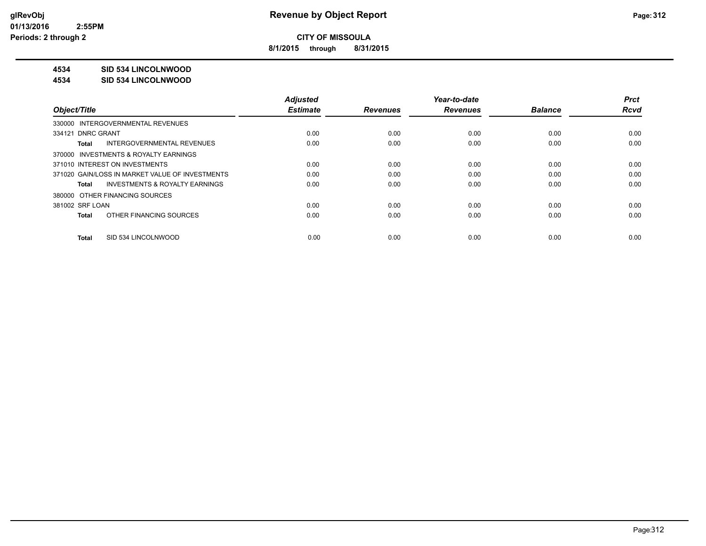**8/1/2015 through 8/31/2015**

### **4534 SID 534 LINCOLNWOOD**

#### **4534 SID 534 LINCOLNWOOD**

|                                                    | <b>Adjusted</b> |                 | Year-to-date    |                | <b>Prct</b> |
|----------------------------------------------------|-----------------|-----------------|-----------------|----------------|-------------|
| Object/Title                                       | <b>Estimate</b> | <b>Revenues</b> | <b>Revenues</b> | <b>Balance</b> | <b>Rcvd</b> |
| 330000 INTERGOVERNMENTAL REVENUES                  |                 |                 |                 |                |             |
| 334121 DNRC GRANT                                  | 0.00            | 0.00            | 0.00            | 0.00           | 0.00        |
| INTERGOVERNMENTAL REVENUES<br>Total                | 0.00            | 0.00            | 0.00            | 0.00           | 0.00        |
| 370000 INVESTMENTS & ROYALTY EARNINGS              |                 |                 |                 |                |             |
| 371010 INTEREST ON INVESTMENTS                     | 0.00            | 0.00            | 0.00            | 0.00           | 0.00        |
| 371020 GAIN/LOSS IN MARKET VALUE OF INVESTMENTS    | 0.00            | 0.00            | 0.00            | 0.00           | 0.00        |
| <b>INVESTMENTS &amp; ROYALTY EARNINGS</b><br>Total | 0.00            | 0.00            | 0.00            | 0.00           | 0.00        |
| 380000 OTHER FINANCING SOURCES                     |                 |                 |                 |                |             |
| 381002 SRF LOAN                                    | 0.00            | 0.00            | 0.00            | 0.00           | 0.00        |
| OTHER FINANCING SOURCES<br>Total                   | 0.00            | 0.00            | 0.00            | 0.00           | 0.00        |
| SID 534 LINCOLNWOOD<br>Total                       | 0.00            | 0.00            | 0.00            | 0.00           | 0.00        |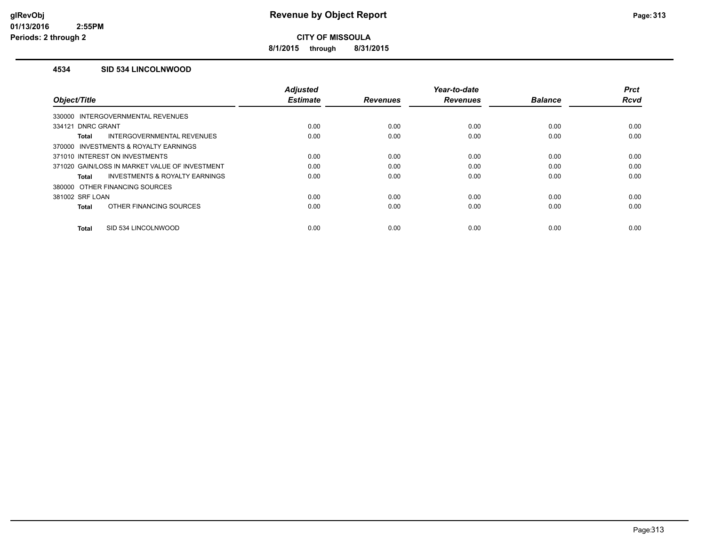**8/1/2015 through 8/31/2015**

#### **4534 SID 534 LINCOLNWOOD**

|                                                    | <b>Adjusted</b> |                 | Year-to-date    |                | <b>Prct</b> |
|----------------------------------------------------|-----------------|-----------------|-----------------|----------------|-------------|
| Object/Title                                       | <b>Estimate</b> | <b>Revenues</b> | <b>Revenues</b> | <b>Balance</b> | Rcvd        |
| 330000 INTERGOVERNMENTAL REVENUES                  |                 |                 |                 |                |             |
| 334121 DNRC GRANT                                  | 0.00            | 0.00            | 0.00            | 0.00           | 0.00        |
| <b>INTERGOVERNMENTAL REVENUES</b><br>Total         | 0.00            | 0.00            | 0.00            | 0.00           | 0.00        |
| 370000 INVESTMENTS & ROYALTY EARNINGS              |                 |                 |                 |                |             |
| 371010 INTEREST ON INVESTMENTS                     | 0.00            | 0.00            | 0.00            | 0.00           | 0.00        |
| 371020 GAIN/LOSS IN MARKET VALUE OF INVESTMENT     | 0.00            | 0.00            | 0.00            | 0.00           | 0.00        |
| <b>INVESTMENTS &amp; ROYALTY EARNINGS</b><br>Total | 0.00            | 0.00            | 0.00            | 0.00           | 0.00        |
| 380000 OTHER FINANCING SOURCES                     |                 |                 |                 |                |             |
| 381002 SRF LOAN                                    | 0.00            | 0.00            | 0.00            | 0.00           | 0.00        |
| OTHER FINANCING SOURCES<br>Total                   | 0.00            | 0.00            | 0.00            | 0.00           | 0.00        |
|                                                    |                 |                 |                 |                |             |
| SID 534 LINCOLNWOOD<br><b>Total</b>                | 0.00            | 0.00            | 0.00            | 0.00           | 0.00        |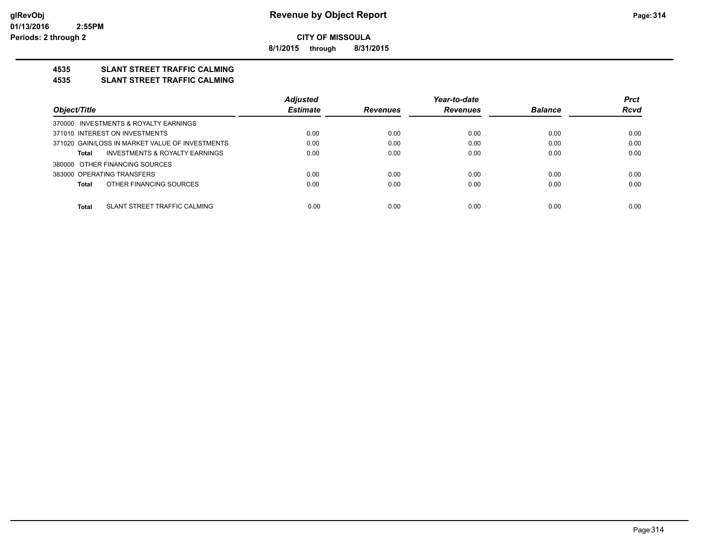**8/1/2015 through 8/31/2015**

## **4535 SLANT STREET TRAFFIC CALMING**

#### **4535 SLANT STREET TRAFFIC CALMING**

|                                                 | <b>Adjusted</b> |                 | Year-to-date    |                | <b>Prct</b> |
|-------------------------------------------------|-----------------|-----------------|-----------------|----------------|-------------|
| Object/Title                                    | <b>Estimate</b> | <b>Revenues</b> | <b>Revenues</b> | <b>Balance</b> | <b>Rcvd</b> |
| 370000 INVESTMENTS & ROYALTY EARNINGS           |                 |                 |                 |                |             |
| 371010 INTEREST ON INVESTMENTS                  | 0.00            | 0.00            | 0.00            | 0.00           | 0.00        |
| 371020 GAIN/LOSS IN MARKET VALUE OF INVESTMENTS | 0.00            | 0.00            | 0.00            | 0.00           | 0.00        |
| INVESTMENTS & ROYALTY EARNINGS<br>Total         | 0.00            | 0.00            | 0.00            | 0.00           | 0.00        |
| 380000 OTHER FINANCING SOURCES                  |                 |                 |                 |                |             |
| 383000 OPERATING TRANSFERS                      | 0.00            | 0.00            | 0.00            | 0.00           | 0.00        |
| OTHER FINANCING SOURCES<br>Total                | 0.00            | 0.00            | 0.00            | 0.00           | 0.00        |
|                                                 |                 |                 |                 |                |             |
| SLANT STREET TRAFFIC CALMING<br>Total           | 0.00            | 0.00            | 0.00            | 0.00           | 0.00        |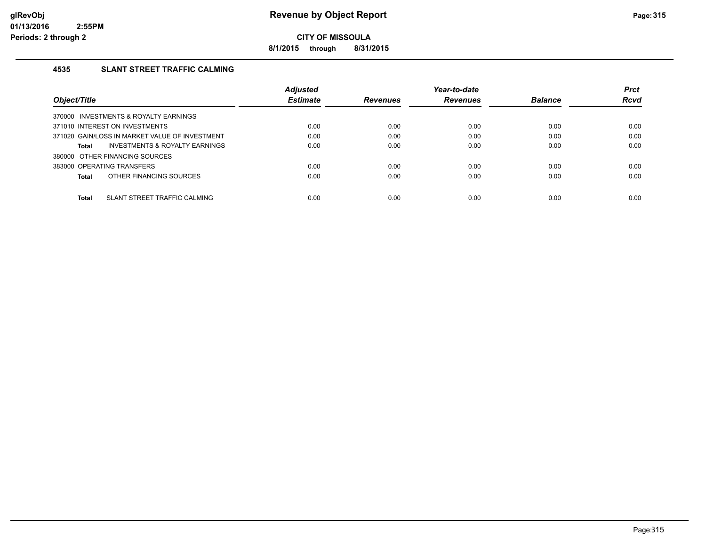**8/1/2015 through 8/31/2015**

### **4535 SLANT STREET TRAFFIC CALMING**

|                                                    | <b>Adjusted</b> |                 | Year-to-date    |                | <b>Prct</b> |
|----------------------------------------------------|-----------------|-----------------|-----------------|----------------|-------------|
| Object/Title                                       | <b>Estimate</b> | <b>Revenues</b> | <b>Revenues</b> | <b>Balance</b> | Rcvd        |
| 370000 INVESTMENTS & ROYALTY EARNINGS              |                 |                 |                 |                |             |
| 371010 INTEREST ON INVESTMENTS                     | 0.00            | 0.00            | 0.00            | 0.00           | 0.00        |
| 371020 GAIN/LOSS IN MARKET VALUE OF INVESTMENT     | 0.00            | 0.00            | 0.00            | 0.00           | 0.00        |
| <b>INVESTMENTS &amp; ROYALTY EARNINGS</b><br>Total | 0.00            | 0.00            | 0.00            | 0.00           | 0.00        |
| 380000 OTHER FINANCING SOURCES                     |                 |                 |                 |                |             |
| 383000 OPERATING TRANSFERS                         | 0.00            | 0.00            | 0.00            | 0.00           | 0.00        |
| OTHER FINANCING SOURCES<br>Total                   | 0.00            | 0.00            | 0.00            | 0.00           | 0.00        |
|                                                    |                 |                 |                 |                |             |
| <b>Total</b><br>SLANT STREET TRAFFIC CALMING       | 0.00            | 0.00            | 0.00            | 0.00           | 0.00        |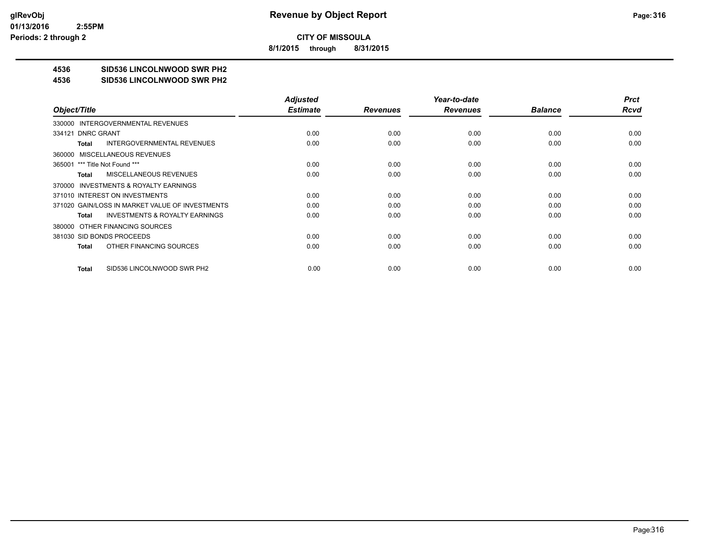**8/1/2015 through 8/31/2015**

## **4536 SID536 LINCOLNWOOD SWR PH2**

#### **4536 SID536 LINCOLNWOOD SWR PH2**

|                                                    | <b>Adjusted</b> |                 | Year-to-date    |                | <b>Prct</b> |
|----------------------------------------------------|-----------------|-----------------|-----------------|----------------|-------------|
| Object/Title                                       | <b>Estimate</b> | <b>Revenues</b> | <b>Revenues</b> | <b>Balance</b> | <b>Rcvd</b> |
| 330000 INTERGOVERNMENTAL REVENUES                  |                 |                 |                 |                |             |
| 334121 DNRC GRANT                                  | 0.00            | 0.00            | 0.00            | 0.00           | 0.00        |
| <b>INTERGOVERNMENTAL REVENUES</b><br>Total         | 0.00            | 0.00            | 0.00            | 0.00           | 0.00        |
| 360000 MISCELLANEOUS REVENUES                      |                 |                 |                 |                |             |
| 365001 *** Title Not Found ***                     | 0.00            | 0.00            | 0.00            | 0.00           | 0.00        |
| <b>MISCELLANEOUS REVENUES</b><br>Total             | 0.00            | 0.00            | 0.00            | 0.00           | 0.00        |
| 370000 INVESTMENTS & ROYALTY EARNINGS              |                 |                 |                 |                |             |
| 371010 INTEREST ON INVESTMENTS                     | 0.00            | 0.00            | 0.00            | 0.00           | 0.00        |
| 371020 GAIN/LOSS IN MARKET VALUE OF INVESTMENTS    | 0.00            | 0.00            | 0.00            | 0.00           | 0.00        |
| <b>INVESTMENTS &amp; ROYALTY EARNINGS</b><br>Total | 0.00            | 0.00            | 0.00            | 0.00           | 0.00        |
| 380000 OTHER FINANCING SOURCES                     |                 |                 |                 |                |             |
| 381030 SID BONDS PROCEEDS                          | 0.00            | 0.00            | 0.00            | 0.00           | 0.00        |
| OTHER FINANCING SOURCES<br>Total                   | 0.00            | 0.00            | 0.00            | 0.00           | 0.00        |
|                                                    |                 |                 |                 |                |             |
| SID536 LINCOLNWOOD SWR PH2<br>Total                | 0.00            | 0.00            | 0.00            | 0.00           | 0.00        |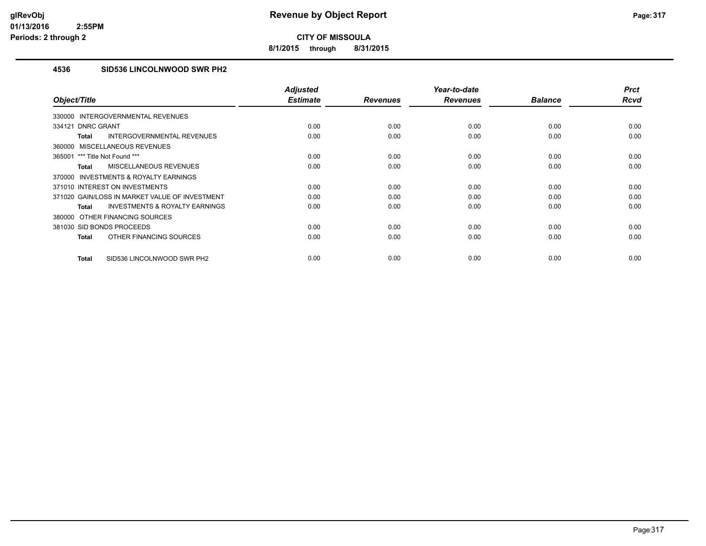**8/1/2015 through 8/31/2015**

### **4536 SID536 LINCOLNWOOD SWR PH2**

| Object/Title                                              | <b>Adjusted</b><br><b>Estimate</b> | <b>Revenues</b> | Year-to-date<br><b>Revenues</b> | <b>Balance</b> | <b>Prct</b><br><b>Rcvd</b> |
|-----------------------------------------------------------|------------------------------------|-----------------|---------------------------------|----------------|----------------------------|
| INTERGOVERNMENTAL REVENUES<br>330000                      |                                    |                 |                                 |                |                            |
| 334121 DNRC GRANT                                         | 0.00                               | 0.00            | 0.00                            | 0.00           | 0.00                       |
| INTERGOVERNMENTAL REVENUES                                | 0.00                               | 0.00            | 0.00                            | 0.00           | 0.00                       |
| <b>Total</b>                                              |                                    |                 |                                 |                |                            |
| MISCELLANEOUS REVENUES<br>360000                          |                                    |                 |                                 |                |                            |
| 365001 *** Title Not Found ***                            | 0.00                               | 0.00            | 0.00                            | 0.00           | 0.00                       |
| <b>MISCELLANEOUS REVENUES</b><br><b>Total</b>             | 0.00                               | 0.00            | 0.00                            | 0.00           | 0.00                       |
| <b>INVESTMENTS &amp; ROYALTY EARNINGS</b><br>370000       |                                    |                 |                                 |                |                            |
| 371010 INTEREST ON INVESTMENTS                            | 0.00                               | 0.00            | 0.00                            | 0.00           | 0.00                       |
| 371020 GAIN/LOSS IN MARKET VALUE OF INVESTMENT            | 0.00                               | 0.00            | 0.00                            | 0.00           | 0.00                       |
| <b>INVESTMENTS &amp; ROYALTY EARNINGS</b><br><b>Total</b> | 0.00                               | 0.00            | 0.00                            | 0.00           | 0.00                       |
| 380000 OTHER FINANCING SOURCES                            |                                    |                 |                                 |                |                            |
| 381030 SID BONDS PROCEEDS                                 | 0.00                               | 0.00            | 0.00                            | 0.00           | 0.00                       |
| OTHER FINANCING SOURCES<br><b>Total</b>                   | 0.00                               | 0.00            | 0.00                            | 0.00           | 0.00                       |
| SID536 LINCOLNWOOD SWR PH2<br><b>Total</b>                | 0.00                               | 0.00            | 0.00                            | 0.00           | 0.00                       |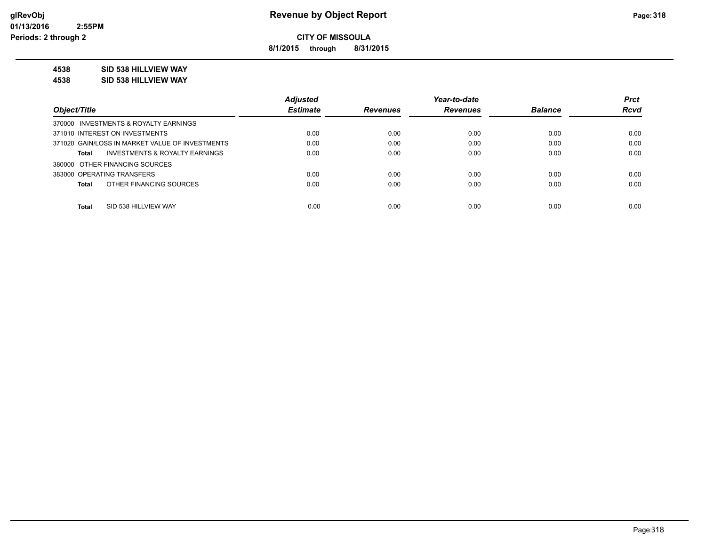**8/1/2015 through 8/31/2015**

### **4538 SID 538 HILLVIEW WAY**

**4538 SID 538 HILLVIEW WAY**

|                                                    | <b>Adjusted</b> |                 | Year-to-date    |                | <b>Prct</b> |
|----------------------------------------------------|-----------------|-----------------|-----------------|----------------|-------------|
| Object/Title                                       | <b>Estimate</b> | <b>Revenues</b> | <b>Revenues</b> | <b>Balance</b> | <b>Rcvd</b> |
| 370000 INVESTMENTS & ROYALTY EARNINGS              |                 |                 |                 |                |             |
| 371010 INTEREST ON INVESTMENTS                     | 0.00            | 0.00            | 0.00            | 0.00           | 0.00        |
| 371020 GAIN/LOSS IN MARKET VALUE OF INVESTMENTS    | 0.00            | 0.00            | 0.00            | 0.00           | 0.00        |
| <b>INVESTMENTS &amp; ROYALTY EARNINGS</b><br>Total | 0.00            | 0.00            | 0.00            | 0.00           | 0.00        |
| 380000 OTHER FINANCING SOURCES                     |                 |                 |                 |                |             |
| 383000 OPERATING TRANSFERS                         | 0.00            | 0.00            | 0.00            | 0.00           | 0.00        |
| OTHER FINANCING SOURCES<br><b>Total</b>            | 0.00            | 0.00            | 0.00            | 0.00           | 0.00        |
|                                                    |                 |                 |                 |                |             |
| <b>Total</b><br>SID 538 HILLVIEW WAY               | 0.00            | 0.00            | 0.00            | 0.00           | 0.00        |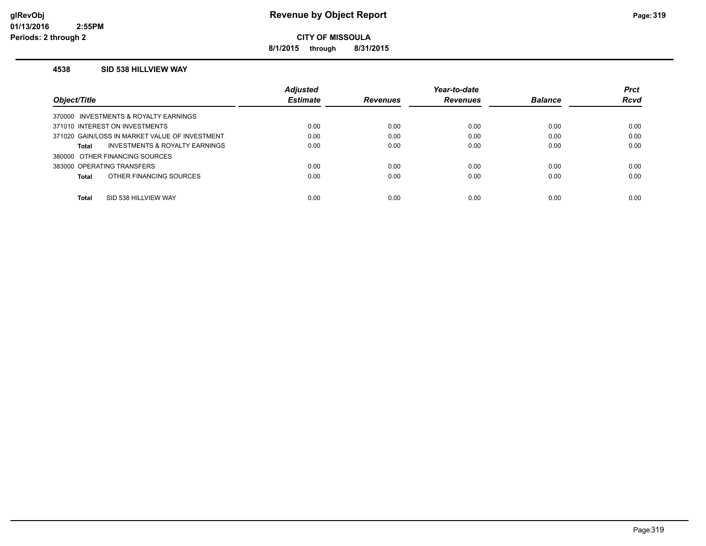**8/1/2015 through 8/31/2015**

#### **4538 SID 538 HILLVIEW WAY**

|                                                    | <b>Adjusted</b> |                 | Year-to-date    |                | <b>Prct</b> |
|----------------------------------------------------|-----------------|-----------------|-----------------|----------------|-------------|
| Object/Title                                       | <b>Estimate</b> | <b>Revenues</b> | <b>Revenues</b> | <b>Balance</b> | <b>Rcvd</b> |
| 370000 INVESTMENTS & ROYALTY EARNINGS              |                 |                 |                 |                |             |
| 371010 INTEREST ON INVESTMENTS                     | 0.00            | 0.00            | 0.00            | 0.00           | 0.00        |
| 371020 GAIN/LOSS IN MARKET VALUE OF INVESTMENT     | 0.00            | 0.00            | 0.00            | 0.00           | 0.00        |
| <b>INVESTMENTS &amp; ROYALTY EARNINGS</b><br>Total | 0.00            | 0.00            | 0.00            | 0.00           | 0.00        |
| 380000 OTHER FINANCING SOURCES                     |                 |                 |                 |                |             |
| 383000 OPERATING TRANSFERS                         | 0.00            | 0.00            | 0.00            | 0.00           | 0.00        |
| OTHER FINANCING SOURCES<br>Total                   | 0.00            | 0.00            | 0.00            | 0.00           | 0.00        |
|                                                    |                 |                 |                 |                |             |
| <b>Total</b><br>SID 538 HILLVIEW WAY               | 0.00            | 0.00            | 0.00            | 0.00           | 0.00        |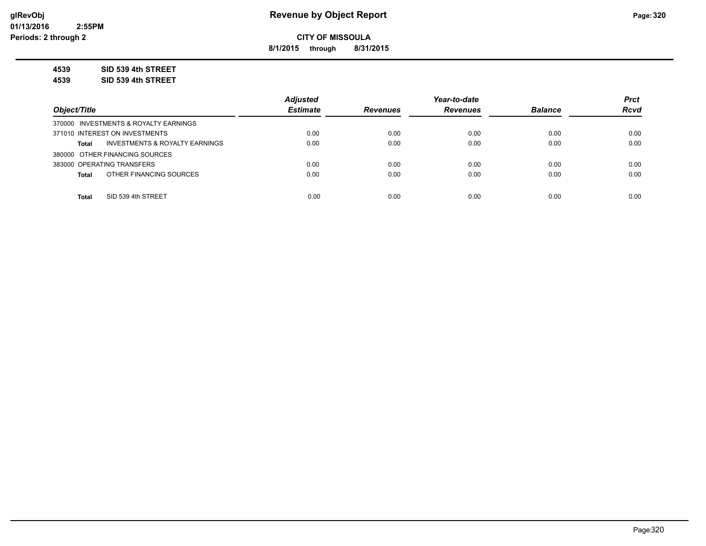**8/1/2015 through 8/31/2015**

**4539 SID 539 4th STREET**

**4539 SID 539 4th STREET**

|                                                | <b>Adjusted</b> |                 | Year-to-date    |                | <b>Prct</b> |
|------------------------------------------------|-----------------|-----------------|-----------------|----------------|-------------|
| Object/Title                                   | <b>Estimate</b> | <b>Revenues</b> | <b>Revenues</b> | <b>Balance</b> | <b>Rcvd</b> |
| 370000 INVESTMENTS & ROYALTY EARNINGS          |                 |                 |                 |                |             |
| 371010 INTEREST ON INVESTMENTS                 | 0.00            | 0.00            | 0.00            | 0.00           | 0.00        |
| INVESTMENTS & ROYALTY EARNINGS<br><b>Total</b> | 0.00            | 0.00            | 0.00            | 0.00           | 0.00        |
| 380000 OTHER FINANCING SOURCES                 |                 |                 |                 |                |             |
| 383000 OPERATING TRANSFERS                     | 0.00            | 0.00            | 0.00            | 0.00           | 0.00        |
| OTHER FINANCING SOURCES<br><b>Total</b>        | 0.00            | 0.00            | 0.00            | 0.00           | 0.00        |
|                                                |                 |                 |                 |                |             |
| SID 539 4th STREET<br><b>Total</b>             | 0.00            | 0.00            | 0.00            | 0.00           | 0.00        |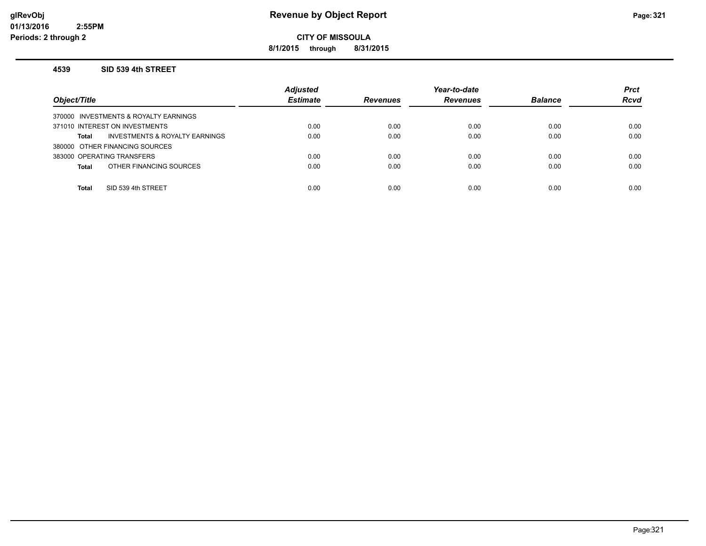### **glRevObj Revenue by Object Report Page:321**

**CITY OF MISSOULA**

**8/1/2015 through 8/31/2015**

#### **4539 SID 539 4th STREET**

| Object/Title                                   | <b>Adjusted</b><br><b>Estimate</b> | <b>Revenues</b> | Year-to-date<br><b>Revenues</b> | <b>Balance</b> | <b>Prct</b><br><b>Rcvd</b> |
|------------------------------------------------|------------------------------------|-----------------|---------------------------------|----------------|----------------------------|
| 370000 INVESTMENTS & ROYALTY EARNINGS          |                                    |                 |                                 |                |                            |
| 371010 INTEREST ON INVESTMENTS                 | 0.00                               | 0.00            | 0.00                            | 0.00           | 0.00                       |
| INVESTMENTS & ROYALTY EARNINGS<br><b>Total</b> | 0.00                               | 0.00            | 0.00                            | 0.00           | 0.00                       |
| 380000 OTHER FINANCING SOURCES                 |                                    |                 |                                 |                |                            |
| 383000 OPERATING TRANSFERS                     | 0.00                               | 0.00            | 0.00                            | 0.00           | 0.00                       |
| OTHER FINANCING SOURCES<br><b>Total</b>        | 0.00                               | 0.00            | 0.00                            | 0.00           | 0.00                       |
|                                                |                                    |                 |                                 |                |                            |
| SID 539 4th STREET<br><b>Total</b>             | 0.00                               | 0.00            | 0.00                            | 0.00           | 0.00                       |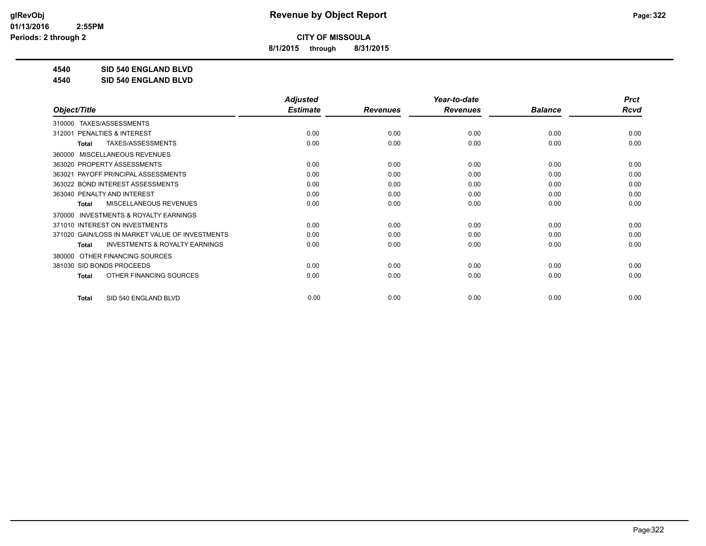**8/1/2015 through 8/31/2015**

**4540 SID 540 ENGLAND BLVD**

**4540 SID 540 ENGLAND BLVD**

|                                                           | <b>Adjusted</b> |                 | Year-to-date    |                | <b>Prct</b> |
|-----------------------------------------------------------|-----------------|-----------------|-----------------|----------------|-------------|
| Object/Title                                              | <b>Estimate</b> | <b>Revenues</b> | <b>Revenues</b> | <b>Balance</b> | <b>Rcvd</b> |
| TAXES/ASSESSMENTS<br>310000                               |                 |                 |                 |                |             |
| <b>PENALTIES &amp; INTEREST</b><br>312001                 | 0.00            | 0.00            | 0.00            | 0.00           | 0.00        |
| TAXES/ASSESSMENTS<br><b>Total</b>                         | 0.00            | 0.00            | 0.00            | 0.00           | 0.00        |
| MISCELLANEOUS REVENUES<br>360000                          |                 |                 |                 |                |             |
| 363020 PROPERTY ASSESSMENTS                               | 0.00            | 0.00            | 0.00            | 0.00           | 0.00        |
| PAYOFF PRINCIPAL ASSESSMENTS<br>363021                    | 0.00            | 0.00            | 0.00            | 0.00           | 0.00        |
| 363022 BOND INTEREST ASSESSMENTS                          | 0.00            | 0.00            | 0.00            | 0.00           | 0.00        |
| 363040 PENALTY AND INTEREST                               | 0.00            | 0.00            | 0.00            | 0.00           | 0.00        |
| <b>MISCELLANEOUS REVENUES</b><br><b>Total</b>             | 0.00            | 0.00            | 0.00            | 0.00           | 0.00        |
| <b>INVESTMENTS &amp; ROYALTY EARNINGS</b><br>370000       |                 |                 |                 |                |             |
| 371010 INTEREST ON INVESTMENTS                            | 0.00            | 0.00            | 0.00            | 0.00           | 0.00        |
| 371020 GAIN/LOSS IN MARKET VALUE OF INVESTMENTS           | 0.00            | 0.00            | 0.00            | 0.00           | 0.00        |
| <b>INVESTMENTS &amp; ROYALTY EARNINGS</b><br><b>Total</b> | 0.00            | 0.00            | 0.00            | 0.00           | 0.00        |
| OTHER FINANCING SOURCES<br>380000                         |                 |                 |                 |                |             |
| 381030 SID BONDS PROCEEDS                                 | 0.00            | 0.00            | 0.00            | 0.00           | 0.00        |
| OTHER FINANCING SOURCES<br><b>Total</b>                   | 0.00            | 0.00            | 0.00            | 0.00           | 0.00        |
|                                                           |                 |                 |                 |                |             |
| SID 540 ENGLAND BLVD<br><b>Total</b>                      | 0.00            | 0.00            | 0.00            | 0.00           | 0.00        |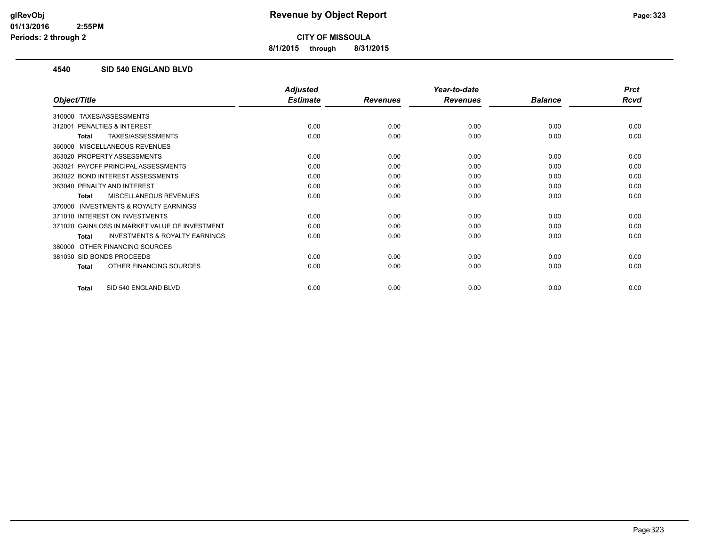**8/1/2015 through 8/31/2015**

### **4540 SID 540 ENGLAND BLVD**

|                                                           | <b>Adjusted</b> |                 | Year-to-date    |                | <b>Prct</b> |
|-----------------------------------------------------------|-----------------|-----------------|-----------------|----------------|-------------|
| Object/Title                                              | <b>Estimate</b> | <b>Revenues</b> | <b>Revenues</b> | <b>Balance</b> | Rcvd        |
| TAXES/ASSESSMENTS<br>310000                               |                 |                 |                 |                |             |
| 312001 PENALTIES & INTEREST                               | 0.00            | 0.00            | 0.00            | 0.00           | 0.00        |
| TAXES/ASSESSMENTS<br><b>Total</b>                         | 0.00            | 0.00            | 0.00            | 0.00           | 0.00        |
| 360000 MISCELLANEOUS REVENUES                             |                 |                 |                 |                |             |
| 363020 PROPERTY ASSESSMENTS                               | 0.00            | 0.00            | 0.00            | 0.00           | 0.00        |
| 363021 PAYOFF PRINCIPAL ASSESSMENTS                       | 0.00            | 0.00            | 0.00            | 0.00           | 0.00        |
| 363022 BOND INTEREST ASSESSMENTS                          | 0.00            | 0.00            | 0.00            | 0.00           | 0.00        |
| 363040 PENALTY AND INTEREST                               | 0.00            | 0.00            | 0.00            | 0.00           | 0.00        |
| <b>MISCELLANEOUS REVENUES</b><br><b>Total</b>             | 0.00            | 0.00            | 0.00            | 0.00           | 0.00        |
| 370000 INVESTMENTS & ROYALTY EARNINGS                     |                 |                 |                 |                |             |
| 371010 INTEREST ON INVESTMENTS                            | 0.00            | 0.00            | 0.00            | 0.00           | 0.00        |
| 371020 GAIN/LOSS IN MARKET VALUE OF INVESTMENT            | 0.00            | 0.00            | 0.00            | 0.00           | 0.00        |
| <b>INVESTMENTS &amp; ROYALTY EARNINGS</b><br><b>Total</b> | 0.00            | 0.00            | 0.00            | 0.00           | 0.00        |
| OTHER FINANCING SOURCES<br>380000                         |                 |                 |                 |                |             |
| 381030 SID BONDS PROCEEDS                                 | 0.00            | 0.00            | 0.00            | 0.00           | 0.00        |
| OTHER FINANCING SOURCES<br>Total                          | 0.00            | 0.00            | 0.00            | 0.00           | 0.00        |
| SID 540 ENGLAND BLVD<br><b>Total</b>                      | 0.00            | 0.00            | 0.00            | 0.00           | 0.00        |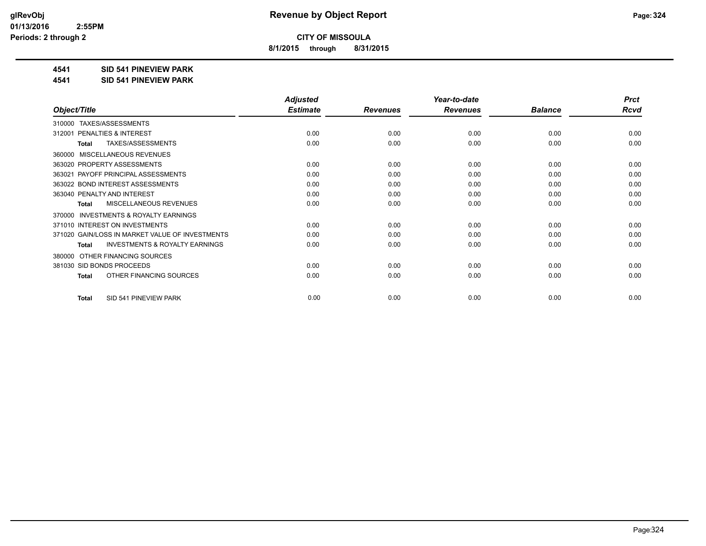**8/1/2015 through 8/31/2015**

#### **4541 SID 541 PINEVIEW PARK**

**4541 SID 541 PINEVIEW PARK**

|                                                           | <b>Adjusted</b> |                 | Year-to-date    |                | <b>Prct</b> |
|-----------------------------------------------------------|-----------------|-----------------|-----------------|----------------|-------------|
| Object/Title                                              | <b>Estimate</b> | <b>Revenues</b> | <b>Revenues</b> | <b>Balance</b> | <b>Rcvd</b> |
| TAXES/ASSESSMENTS<br>310000                               |                 |                 |                 |                |             |
| PENALTIES & INTEREST<br>312001                            | 0.00            | 0.00            | 0.00            | 0.00           | 0.00        |
| TAXES/ASSESSMENTS<br><b>Total</b>                         | 0.00            | 0.00            | 0.00            | 0.00           | 0.00        |
| MISCELLANEOUS REVENUES<br>360000                          |                 |                 |                 |                |             |
| 363020 PROPERTY ASSESSMENTS                               | 0.00            | 0.00            | 0.00            | 0.00           | 0.00        |
| PAYOFF PRINCIPAL ASSESSMENTS<br>363021                    | 0.00            | 0.00            | 0.00            | 0.00           | 0.00        |
| 363022 BOND INTEREST ASSESSMENTS                          | 0.00            | 0.00            | 0.00            | 0.00           | 0.00        |
| 363040 PENALTY AND INTEREST                               | 0.00            | 0.00            | 0.00            | 0.00           | 0.00        |
| <b>MISCELLANEOUS REVENUES</b><br>Total                    | 0.00            | 0.00            | 0.00            | 0.00           | 0.00        |
| <b>INVESTMENTS &amp; ROYALTY EARNINGS</b><br>370000       |                 |                 |                 |                |             |
| 371010 INTEREST ON INVESTMENTS                            | 0.00            | 0.00            | 0.00            | 0.00           | 0.00        |
| 371020 GAIN/LOSS IN MARKET VALUE OF INVESTMENTS           | 0.00            | 0.00            | 0.00            | 0.00           | 0.00        |
| <b>INVESTMENTS &amp; ROYALTY EARNINGS</b><br><b>Total</b> | 0.00            | 0.00            | 0.00            | 0.00           | 0.00        |
| OTHER FINANCING SOURCES<br>380000                         |                 |                 |                 |                |             |
| 381030 SID BONDS PROCEEDS                                 | 0.00            | 0.00            | 0.00            | 0.00           | 0.00        |
| OTHER FINANCING SOURCES<br><b>Total</b>                   | 0.00            | 0.00            | 0.00            | 0.00           | 0.00        |
|                                                           |                 |                 |                 |                |             |
| SID 541 PINEVIEW PARK<br><b>Total</b>                     | 0.00            | 0.00            | 0.00            | 0.00           | 0.00        |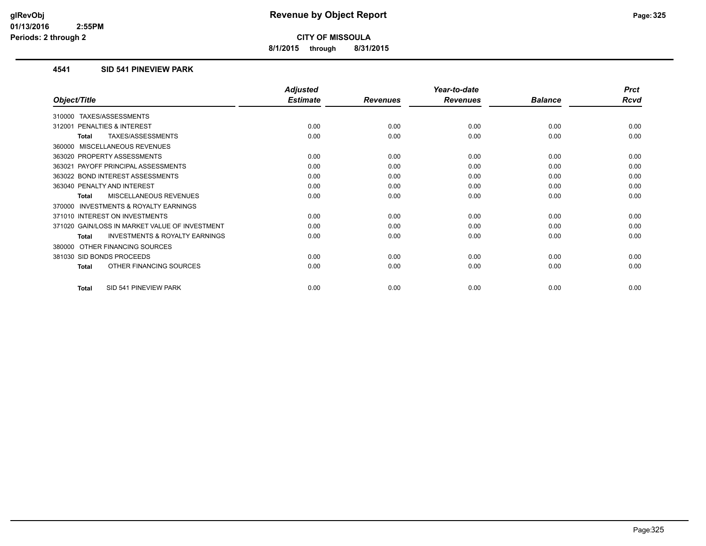**8/1/2015 through 8/31/2015**

#### **4541 SID 541 PINEVIEW PARK**

|                                                           | <b>Adjusted</b> |                 | Year-to-date    |                | <b>Prct</b> |
|-----------------------------------------------------------|-----------------|-----------------|-----------------|----------------|-------------|
| Object/Title                                              | <b>Estimate</b> | <b>Revenues</b> | <b>Revenues</b> | <b>Balance</b> | <b>Rcvd</b> |
| <b>TAXES/ASSESSMENTS</b><br>310000                        |                 |                 |                 |                |             |
| 312001 PENALTIES & INTEREST                               | 0.00            | 0.00            | 0.00            | 0.00           | 0.00        |
| TAXES/ASSESSMENTS<br><b>Total</b>                         | 0.00            | 0.00            | 0.00            | 0.00           | 0.00        |
| 360000 MISCELLANEOUS REVENUES                             |                 |                 |                 |                |             |
| 363020 PROPERTY ASSESSMENTS                               | 0.00            | 0.00            | 0.00            | 0.00           | 0.00        |
| 363021 PAYOFF PRINCIPAL ASSESSMENTS                       | 0.00            | 0.00            | 0.00            | 0.00           | 0.00        |
| 363022 BOND INTEREST ASSESSMENTS                          | 0.00            | 0.00            | 0.00            | 0.00           | 0.00        |
| 363040 PENALTY AND INTEREST                               | 0.00            | 0.00            | 0.00            | 0.00           | 0.00        |
| <b>MISCELLANEOUS REVENUES</b><br><b>Total</b>             | 0.00            | 0.00            | 0.00            | 0.00           | 0.00        |
| <b>INVESTMENTS &amp; ROYALTY EARNINGS</b><br>370000       |                 |                 |                 |                |             |
| 371010 INTEREST ON INVESTMENTS                            | 0.00            | 0.00            | 0.00            | 0.00           | 0.00        |
| 371020 GAIN/LOSS IN MARKET VALUE OF INVESTMENT            | 0.00            | 0.00            | 0.00            | 0.00           | 0.00        |
| <b>INVESTMENTS &amp; ROYALTY EARNINGS</b><br><b>Total</b> | 0.00            | 0.00            | 0.00            | 0.00           | 0.00        |
| OTHER FINANCING SOURCES<br>380000                         |                 |                 |                 |                |             |
| 381030 SID BONDS PROCEEDS                                 | 0.00            | 0.00            | 0.00            | 0.00           | 0.00        |
| OTHER FINANCING SOURCES<br>Total                          | 0.00            | 0.00            | 0.00            | 0.00           | 0.00        |
| SID 541 PINEVIEW PARK<br><b>Total</b>                     | 0.00            | 0.00            | 0.00            | 0.00           | 0.00        |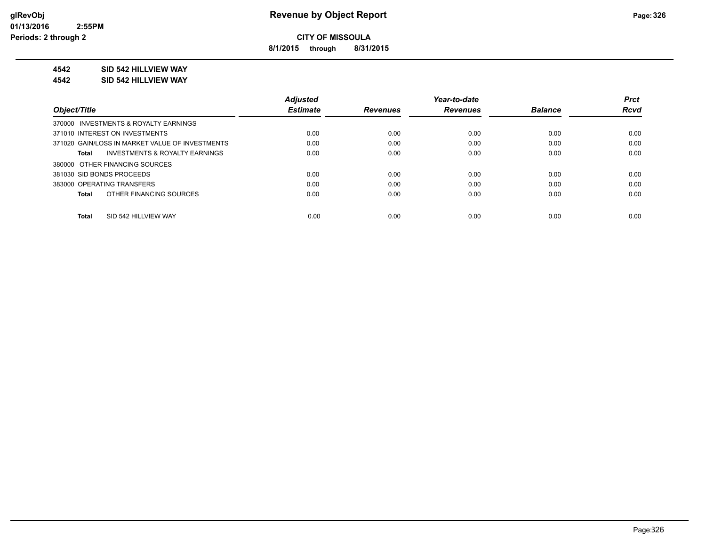**8/1/2015 through 8/31/2015**

#### **4542 SID 542 HILLVIEW WAY**

#### **4542 SID 542 HILLVIEW WAY**

|                                                    | <b>Adjusted</b> |                 | Year-to-date    |                | <b>Prct</b> |
|----------------------------------------------------|-----------------|-----------------|-----------------|----------------|-------------|
| Object/Title                                       | <b>Estimate</b> | <b>Revenues</b> | <b>Revenues</b> | <b>Balance</b> | <b>Rcvd</b> |
| 370000 INVESTMENTS & ROYALTY EARNINGS              |                 |                 |                 |                |             |
| 371010 INTEREST ON INVESTMENTS                     | 0.00            | 0.00            | 0.00            | 0.00           | 0.00        |
| 371020 GAIN/LOSS IN MARKET VALUE OF INVESTMENTS    | 0.00            | 0.00            | 0.00            | 0.00           | 0.00        |
| <b>INVESTMENTS &amp; ROYALTY EARNINGS</b><br>Total | 0.00            | 0.00            | 0.00            | 0.00           | 0.00        |
| 380000 OTHER FINANCING SOURCES                     |                 |                 |                 |                |             |
| 381030 SID BONDS PROCEEDS                          | 0.00            | 0.00            | 0.00            | 0.00           | 0.00        |
| 383000 OPERATING TRANSFERS                         | 0.00            | 0.00            | 0.00            | 0.00           | 0.00        |
| OTHER FINANCING SOURCES<br>Total                   | 0.00            | 0.00            | 0.00            | 0.00           | 0.00        |
|                                                    |                 |                 |                 |                |             |
| SID 542 HILLVIEW WAY<br>Total                      | 0.00            | 0.00            | 0.00            | 0.00           | 0.00        |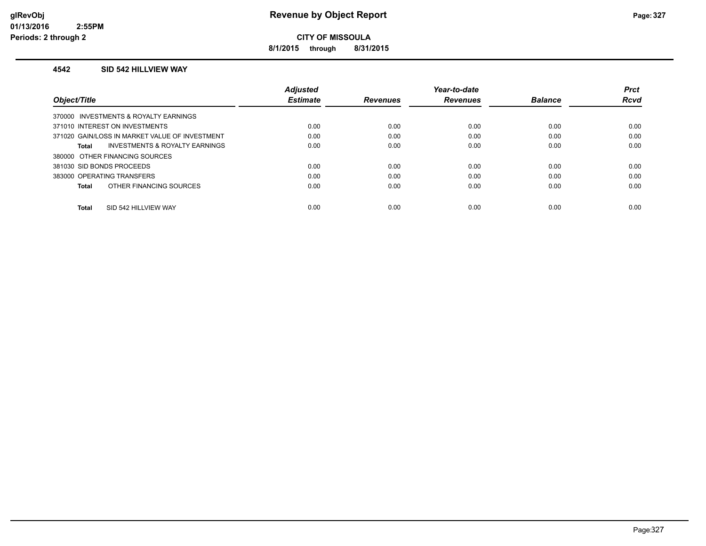**8/1/2015 through 8/31/2015**

#### **4542 SID 542 HILLVIEW WAY**

|                                                    | <b>Adjusted</b> |                 | Year-to-date    |                | <b>Prct</b> |
|----------------------------------------------------|-----------------|-----------------|-----------------|----------------|-------------|
| Object/Title                                       | <b>Estimate</b> | <b>Revenues</b> | <b>Revenues</b> | <b>Balance</b> | <b>Rcvd</b> |
| 370000 INVESTMENTS & ROYALTY EARNINGS              |                 |                 |                 |                |             |
| 371010 INTEREST ON INVESTMENTS                     | 0.00            | 0.00            | 0.00            | 0.00           | 0.00        |
| 371020 GAIN/LOSS IN MARKET VALUE OF INVESTMENT     | 0.00            | 0.00            | 0.00            | 0.00           | 0.00        |
| <b>INVESTMENTS &amp; ROYALTY EARNINGS</b><br>Total | 0.00            | 0.00            | 0.00            | 0.00           | 0.00        |
| 380000 OTHER FINANCING SOURCES                     |                 |                 |                 |                |             |
| 381030 SID BONDS PROCEEDS                          | 0.00            | 0.00            | 0.00            | 0.00           | 0.00        |
| 383000 OPERATING TRANSFERS                         | 0.00            | 0.00            | 0.00            | 0.00           | 0.00        |
| OTHER FINANCING SOURCES<br>Total                   | 0.00            | 0.00            | 0.00            | 0.00           | 0.00        |
|                                                    |                 |                 |                 |                |             |
| SID 542 HILLVIEW WAY<br><b>Total</b>               | 0.00            | 0.00            | 0.00            | 0.00           | 0.00        |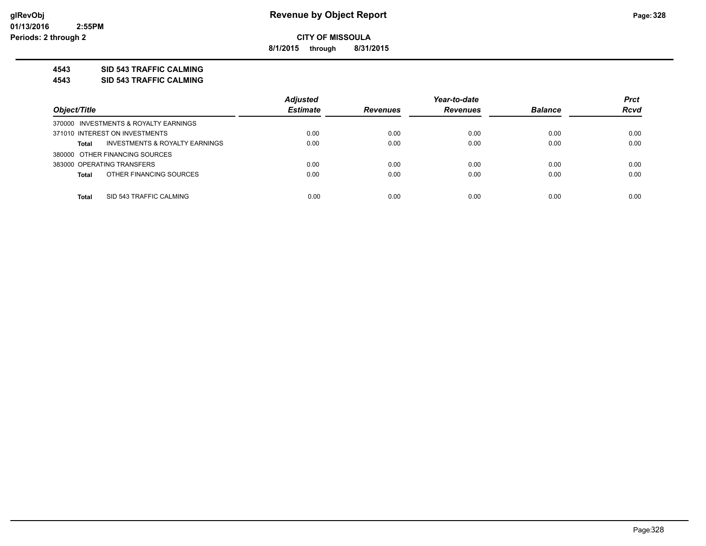**8/1/2015 through 8/31/2015**

#### **4543 SID 543 TRAFFIC CALMING**

**4543 SID 543 TRAFFIC CALMING**

|                                                           | <b>Adjusted</b> |                 | Year-to-date    |                | <b>Prct</b> |
|-----------------------------------------------------------|-----------------|-----------------|-----------------|----------------|-------------|
| Object/Title                                              | <b>Estimate</b> | <b>Revenues</b> | <b>Revenues</b> | <b>Balance</b> | <b>Rcvd</b> |
| 370000 INVESTMENTS & ROYALTY EARNINGS                     |                 |                 |                 |                |             |
| 371010 INTEREST ON INVESTMENTS                            | 0.00            | 0.00            | 0.00            | 0.00           | 0.00        |
| <b>INVESTMENTS &amp; ROYALTY EARNINGS</b><br><b>Total</b> | 0.00            | 0.00            | 0.00            | 0.00           | 0.00        |
| 380000 OTHER FINANCING SOURCES                            |                 |                 |                 |                |             |
| 383000 OPERATING TRANSFERS                                | 0.00            | 0.00            | 0.00            | 0.00           | 0.00        |
| OTHER FINANCING SOURCES<br><b>Total</b>                   | 0.00            | 0.00            | 0.00            | 0.00           | 0.00        |
|                                                           |                 |                 |                 |                |             |
| SID 543 TRAFFIC CALMING<br><b>Total</b>                   | 0.00            | 0.00            | 0.00            | 0.00           | 0.00        |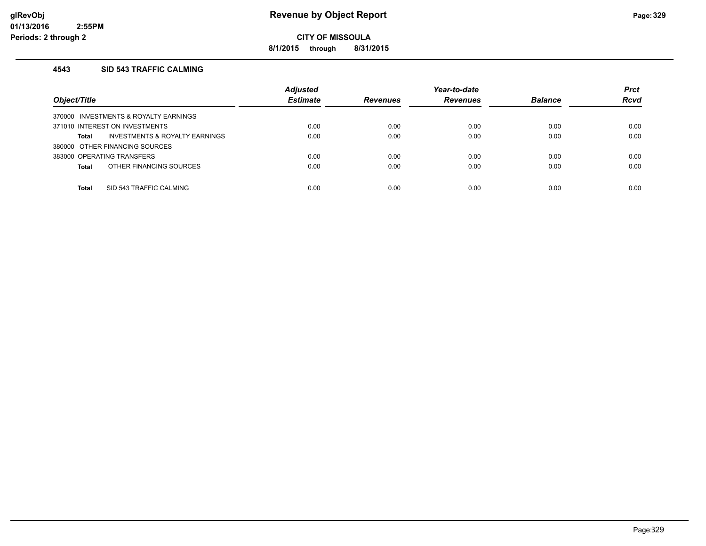**8/1/2015 through 8/31/2015**

#### **4543 SID 543 TRAFFIC CALMING**

| Object/Title                            | <b>Adjusted</b><br><b>Estimate</b> | <b>Revenues</b> | Year-to-date<br><b>Revenues</b> | <b>Balance</b> | <b>Prct</b><br><b>Rcvd</b> |
|-----------------------------------------|------------------------------------|-----------------|---------------------------------|----------------|----------------------------|
| 370000 INVESTMENTS & ROYALTY EARNINGS   |                                    |                 |                                 |                |                            |
| 371010 INTEREST ON INVESTMENTS          | 0.00                               | 0.00            | 0.00                            | 0.00           | 0.00                       |
| INVESTMENTS & ROYALTY EARNINGS<br>Total | 0.00                               | 0.00            | 0.00                            | 0.00           | 0.00                       |
| 380000 OTHER FINANCING SOURCES          |                                    |                 |                                 |                |                            |
| 383000 OPERATING TRANSFERS              | 0.00                               | 0.00            | 0.00                            | 0.00           | 0.00                       |
| OTHER FINANCING SOURCES<br><b>Total</b> | 0.00                               | 0.00            | 0.00                            | 0.00           | 0.00                       |
|                                         |                                    |                 |                                 |                |                            |
| SID 543 TRAFFIC CALMING<br>Total        | 0.00                               | 0.00            | 0.00                            | 0.00           | 0.00                       |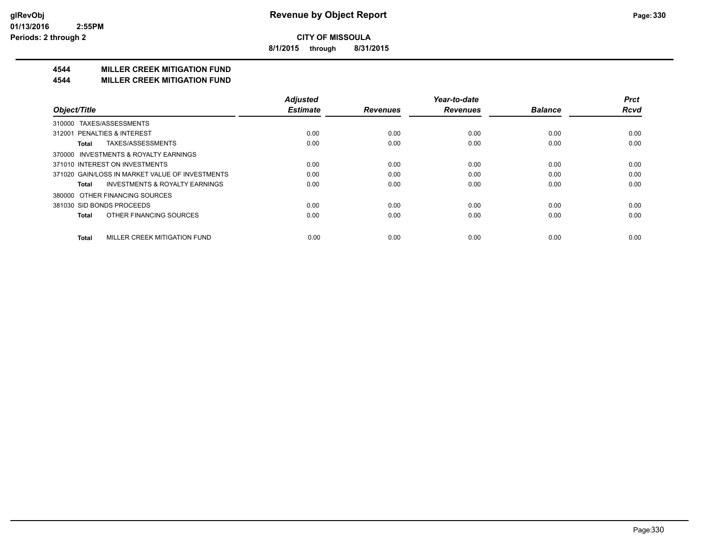**8/1/2015 through 8/31/2015**

### **4544 MILLER CREEK MITIGATION FUND**

#### **4544 MILLER CREEK MITIGATION FUND**

|                                                    | <b>Adjusted</b> |                 | Year-to-date    |                | <b>Prct</b> |
|----------------------------------------------------|-----------------|-----------------|-----------------|----------------|-------------|
| Object/Title                                       | <b>Estimate</b> | <b>Revenues</b> | <b>Revenues</b> | <b>Balance</b> | <b>Rcvd</b> |
| TAXES/ASSESSMENTS<br>310000                        |                 |                 |                 |                |             |
| 312001 PENALTIES & INTEREST                        | 0.00            | 0.00            | 0.00            | 0.00           | 0.00        |
| TAXES/ASSESSMENTS<br>Total                         | 0.00            | 0.00            | 0.00            | 0.00           | 0.00        |
| 370000 INVESTMENTS & ROYALTY EARNINGS              |                 |                 |                 |                |             |
| 371010 INTEREST ON INVESTMENTS                     | 0.00            | 0.00            | 0.00            | 0.00           | 0.00        |
| 371020 GAIN/LOSS IN MARKET VALUE OF INVESTMENTS    | 0.00            | 0.00            | 0.00            | 0.00           | 0.00        |
| <b>INVESTMENTS &amp; ROYALTY EARNINGS</b><br>Total | 0.00            | 0.00            | 0.00            | 0.00           | 0.00        |
| OTHER FINANCING SOURCES<br>380000                  |                 |                 |                 |                |             |
| 381030 SID BONDS PROCEEDS                          | 0.00            | 0.00            | 0.00            | 0.00           | 0.00        |
| OTHER FINANCING SOURCES<br><b>Total</b>            | 0.00            | 0.00            | 0.00            | 0.00           | 0.00        |
| MILLER CREEK MITIGATION FUND<br><b>Total</b>       | 0.00            | 0.00            | 0.00            | 0.00           | 0.00        |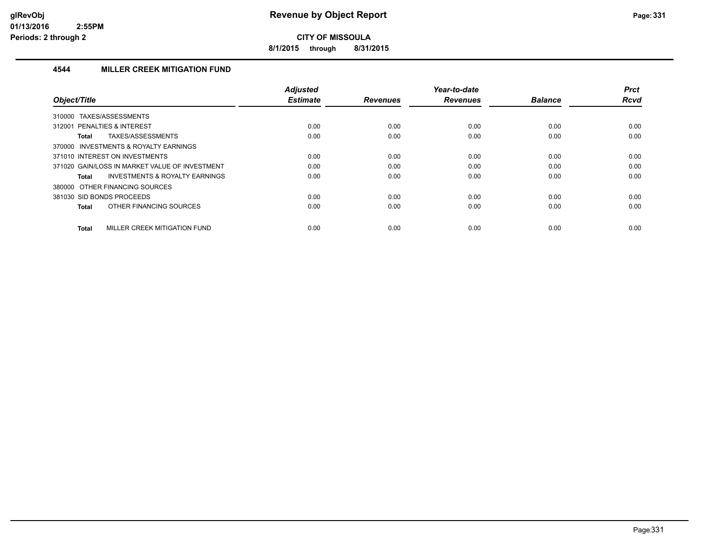**8/1/2015 through 8/31/2015**

#### **4544 MILLER CREEK MITIGATION FUND**

|                                                    | <b>Adjusted</b> |                 | Year-to-date    |                | <b>Prct</b> |
|----------------------------------------------------|-----------------|-----------------|-----------------|----------------|-------------|
| Object/Title                                       | <b>Estimate</b> | <b>Revenues</b> | <b>Revenues</b> | <b>Balance</b> | <b>Rcvd</b> |
| TAXES/ASSESSMENTS<br>310000                        |                 |                 |                 |                |             |
| 312001 PENALTIES & INTEREST                        | 0.00            | 0.00            | 0.00            | 0.00           | 0.00        |
| TAXES/ASSESSMENTS<br><b>Total</b>                  | 0.00            | 0.00            | 0.00            | 0.00           | 0.00        |
| 370000 INVESTMENTS & ROYALTY EARNINGS              |                 |                 |                 |                |             |
| 371010 INTEREST ON INVESTMENTS                     | 0.00            | 0.00            | 0.00            | 0.00           | 0.00        |
| 371020 GAIN/LOSS IN MARKET VALUE OF INVESTMENT     | 0.00            | 0.00            | 0.00            | 0.00           | 0.00        |
| <b>INVESTMENTS &amp; ROYALTY EARNINGS</b><br>Total | 0.00            | 0.00            | 0.00            | 0.00           | 0.00        |
| 380000 OTHER FINANCING SOURCES                     |                 |                 |                 |                |             |
| 381030 SID BONDS PROCEEDS                          | 0.00            | 0.00            | 0.00            | 0.00           | 0.00        |
| OTHER FINANCING SOURCES<br><b>Total</b>            | 0.00            | 0.00            | 0.00            | 0.00           | 0.00        |
|                                                    |                 |                 |                 |                |             |
| MILLER CREEK MITIGATION FUND<br><b>Total</b>       | 0.00            | 0.00            | 0.00            | 0.00           | 0.00        |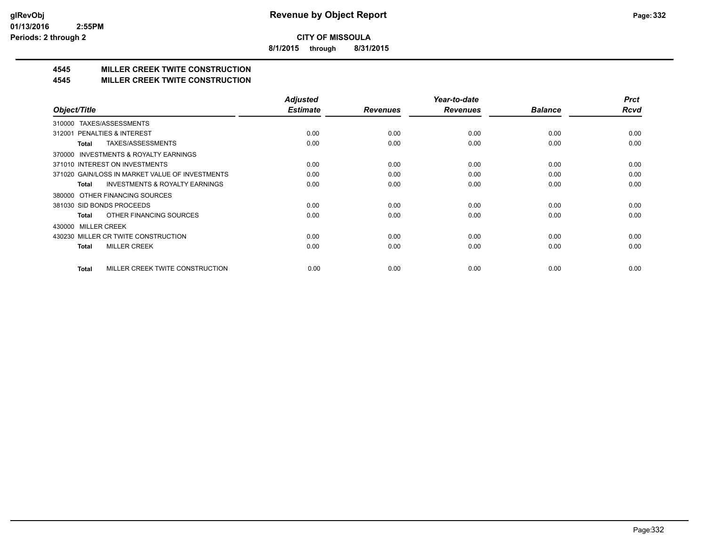**8/1/2015 through 8/31/2015**

# **4545 MILLER CREEK TWITE CONSTRUCTION**

#### **4545 MILLER CREEK TWITE CONSTRUCTION**

|                                                     | <b>Adjusted</b> |                 | Year-to-date    |                | <b>Prct</b> |
|-----------------------------------------------------|-----------------|-----------------|-----------------|----------------|-------------|
| Object/Title                                        | <b>Estimate</b> | <b>Revenues</b> | <b>Revenues</b> | <b>Balance</b> | <b>Rcvd</b> |
| TAXES/ASSESSMENTS<br>310000                         |                 |                 |                 |                |             |
| 312001 PENALTIES & INTEREST                         | 0.00            | 0.00            | 0.00            | 0.00           | 0.00        |
| TAXES/ASSESSMENTS<br>Total                          | 0.00            | 0.00            | 0.00            | 0.00           | 0.00        |
| <b>INVESTMENTS &amp; ROYALTY EARNINGS</b><br>370000 |                 |                 |                 |                |             |
| 371010 INTEREST ON INVESTMENTS                      | 0.00            | 0.00            | 0.00            | 0.00           | 0.00        |
| 371020 GAIN/LOSS IN MARKET VALUE OF INVESTMENTS     | 0.00            | 0.00            | 0.00            | 0.00           | 0.00        |
| <b>INVESTMENTS &amp; ROYALTY EARNINGS</b><br>Total  | 0.00            | 0.00            | 0.00            | 0.00           | 0.00        |
| OTHER FINANCING SOURCES<br>380000                   |                 |                 |                 |                |             |
| 381030 SID BONDS PROCEEDS                           | 0.00            | 0.00            | 0.00            | 0.00           | 0.00        |
| OTHER FINANCING SOURCES<br>Total                    | 0.00            | 0.00            | 0.00            | 0.00           | 0.00        |
| <b>MILLER CREEK</b><br>430000                       |                 |                 |                 |                |             |
| 430230 MILLER CR TWITE CONSTRUCTION                 | 0.00            | 0.00            | 0.00            | 0.00           | 0.00        |
| <b>MILLER CREEK</b><br>Total                        | 0.00            | 0.00            | 0.00            | 0.00           | 0.00        |
|                                                     |                 |                 |                 |                |             |
| MILLER CREEK TWITE CONSTRUCTION<br><b>Total</b>     | 0.00            | 0.00            | 0.00            | 0.00           | 0.00        |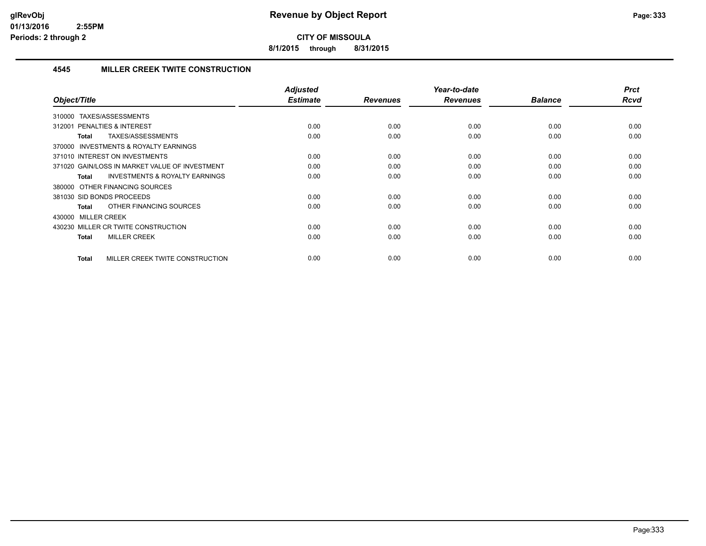**8/1/2015 through 8/31/2015**

#### **4545 MILLER CREEK TWITE CONSTRUCTION**

| Object/Title                                              | Adjusted<br><b>Estimate</b> | <b>Revenues</b> | Year-to-date<br><b>Revenues</b> | <b>Balance</b> | <b>Prct</b><br>Rcvd |
|-----------------------------------------------------------|-----------------------------|-----------------|---------------------------------|----------------|---------------------|
|                                                           |                             |                 |                                 |                |                     |
| TAXES/ASSESSMENTS<br>310000                               |                             |                 |                                 |                |                     |
| PENALTIES & INTEREST<br>312001                            | 0.00                        | 0.00            | 0.00                            | 0.00           | 0.00                |
| TAXES/ASSESSMENTS<br>Total                                | 0.00                        | 0.00            | 0.00                            | 0.00           | 0.00                |
| 370000 INVESTMENTS & ROYALTY EARNINGS                     |                             |                 |                                 |                |                     |
| 371010 INTEREST ON INVESTMENTS                            | 0.00                        | 0.00            | 0.00                            | 0.00           | 0.00                |
| 371020 GAIN/LOSS IN MARKET VALUE OF INVESTMENT            | 0.00                        | 0.00            | 0.00                            | 0.00           | 0.00                |
| <b>INVESTMENTS &amp; ROYALTY EARNINGS</b><br><b>Total</b> | 0.00                        | 0.00            | 0.00                            | 0.00           | 0.00                |
| 380000 OTHER FINANCING SOURCES                            |                             |                 |                                 |                |                     |
| 381030 SID BONDS PROCEEDS                                 | 0.00                        | 0.00            | 0.00                            | 0.00           | 0.00                |
| OTHER FINANCING SOURCES<br><b>Total</b>                   | 0.00                        | 0.00            | 0.00                            | 0.00           | 0.00                |
| 430000 MILLER CREEK                                       |                             |                 |                                 |                |                     |
| 430230 MILLER CR TWITE CONSTRUCTION                       | 0.00                        | 0.00            | 0.00                            | 0.00           | 0.00                |
| <b>MILLER CREEK</b><br><b>Total</b>                       | 0.00                        | 0.00            | 0.00                            | 0.00           | 0.00                |
|                                                           |                             |                 |                                 |                |                     |
| MILLER CREEK TWITE CONSTRUCTION<br><b>Total</b>           | 0.00                        | 0.00            | 0.00                            | 0.00           | 0.00                |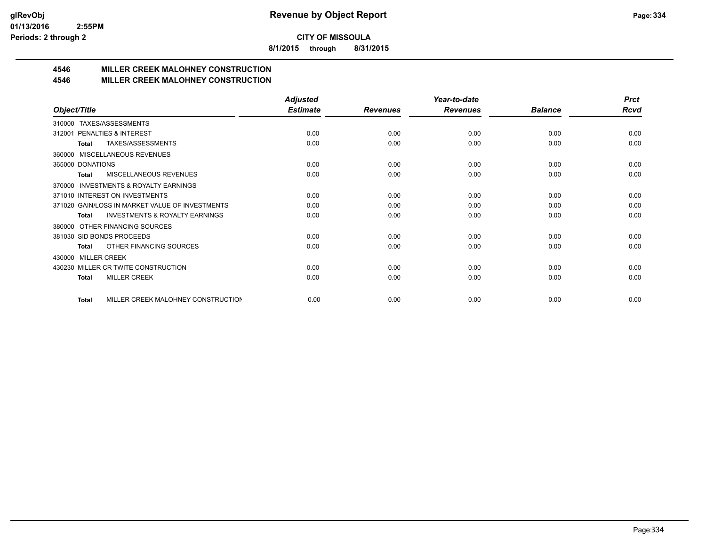**8/1/2015 through 8/31/2015**

# **4546 MILLER CREEK MALOHNEY CONSTRUCTION**

#### **4546 MILLER CREEK MALOHNEY CONSTRUCTION**

|                                                           | <b>Adjusted</b> |                 | Year-to-date    |                | <b>Prct</b> |
|-----------------------------------------------------------|-----------------|-----------------|-----------------|----------------|-------------|
| Object/Title                                              | <b>Estimate</b> | <b>Revenues</b> | <b>Revenues</b> | <b>Balance</b> | <b>Rcvd</b> |
| TAXES/ASSESSMENTS<br>310000                               |                 |                 |                 |                |             |
| PENALTIES & INTEREST<br>312001                            | 0.00            | 0.00            | 0.00            | 0.00           | 0.00        |
| TAXES/ASSESSMENTS<br>Total                                | 0.00            | 0.00            | 0.00            | 0.00           | 0.00        |
| MISCELLANEOUS REVENUES<br>360000                          |                 |                 |                 |                |             |
| 365000 DONATIONS                                          | 0.00            | 0.00            | 0.00            | 0.00           | 0.00        |
| MISCELLANEOUS REVENUES<br><b>Total</b>                    | 0.00            | 0.00            | 0.00            | 0.00           | 0.00        |
| <b>INVESTMENTS &amp; ROYALTY EARNINGS</b><br>370000       |                 |                 |                 |                |             |
| 371010 INTEREST ON INVESTMENTS                            | 0.00            | 0.00            | 0.00            | 0.00           | 0.00        |
| 371020 GAIN/LOSS IN MARKET VALUE OF INVESTMENTS           | 0.00            | 0.00            | 0.00            | 0.00           | 0.00        |
| <b>INVESTMENTS &amp; ROYALTY EARNINGS</b><br><b>Total</b> | 0.00            | 0.00            | 0.00            | 0.00           | 0.00        |
| OTHER FINANCING SOURCES<br>380000                         |                 |                 |                 |                |             |
| 381030 SID BONDS PROCEEDS                                 | 0.00            | 0.00            | 0.00            | 0.00           | 0.00        |
| OTHER FINANCING SOURCES<br><b>Total</b>                   | 0.00            | 0.00            | 0.00            | 0.00           | 0.00        |
| <b>MILLER CREEK</b><br>430000                             |                 |                 |                 |                |             |
| 430230 MILLER CR TWITE CONSTRUCTION                       | 0.00            | 0.00            | 0.00            | 0.00           | 0.00        |
| <b>MILLER CREEK</b><br><b>Total</b>                       | 0.00            | 0.00            | 0.00            | 0.00           | 0.00        |
|                                                           |                 |                 |                 |                |             |
| MILLER CREEK MALOHNEY CONSTRUCTION<br><b>Total</b>        | 0.00            | 0.00            | 0.00            | 0.00           | 0.00        |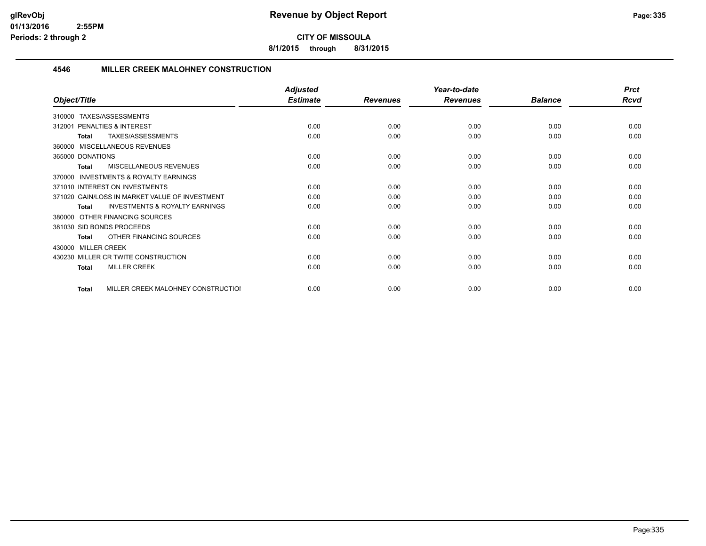**8/1/2015 through 8/31/2015**

#### **4546 MILLER CREEK MALOHNEY CONSTRUCTION**

|                                                           | <b>Adjusted</b> |                 | Year-to-date    |                | <b>Prct</b> |
|-----------------------------------------------------------|-----------------|-----------------|-----------------|----------------|-------------|
| Object/Title                                              | <b>Estimate</b> | <b>Revenues</b> | <b>Revenues</b> | <b>Balance</b> | <b>Rcvd</b> |
| 310000 TAXES/ASSESSMENTS                                  |                 |                 |                 |                |             |
| PENALTIES & INTEREST<br>312001                            | 0.00            | 0.00            | 0.00            | 0.00           | 0.00        |
| TAXES/ASSESSMENTS<br><b>Total</b>                         | 0.00            | 0.00            | 0.00            | 0.00           | 0.00        |
| 360000 MISCELLANEOUS REVENUES                             |                 |                 |                 |                |             |
| 365000 DONATIONS                                          | 0.00            | 0.00            | 0.00            | 0.00           | 0.00        |
| MISCELLANEOUS REVENUES<br>Total                           | 0.00            | 0.00            | 0.00            | 0.00           | 0.00        |
| INVESTMENTS & ROYALTY EARNINGS<br>370000                  |                 |                 |                 |                |             |
| 371010 INTEREST ON INVESTMENTS                            | 0.00            | 0.00            | 0.00            | 0.00           | 0.00        |
| 371020 GAIN/LOSS IN MARKET VALUE OF INVESTMENT            | 0.00            | 0.00            | 0.00            | 0.00           | 0.00        |
| <b>INVESTMENTS &amp; ROYALTY EARNINGS</b><br><b>Total</b> | 0.00            | 0.00            | 0.00            | 0.00           | 0.00        |
| 380000 OTHER FINANCING SOURCES                            |                 |                 |                 |                |             |
| 381030 SID BONDS PROCEEDS                                 | 0.00            | 0.00            | 0.00            | 0.00           | 0.00        |
| OTHER FINANCING SOURCES<br>Total                          | 0.00            | 0.00            | 0.00            | 0.00           | 0.00        |
| 430000 MILLER CREEK                                       |                 |                 |                 |                |             |
| 430230 MILLER CR TWITE CONSTRUCTION                       | 0.00            | 0.00            | 0.00            | 0.00           | 0.00        |
| <b>MILLER CREEK</b><br><b>Total</b>                       | 0.00            | 0.00            | 0.00            | 0.00           | 0.00        |
| MILLER CREEK MALOHNEY CONSTRUCTIOI<br>Total               | 0.00            | 0.00            | 0.00            | 0.00           | 0.00        |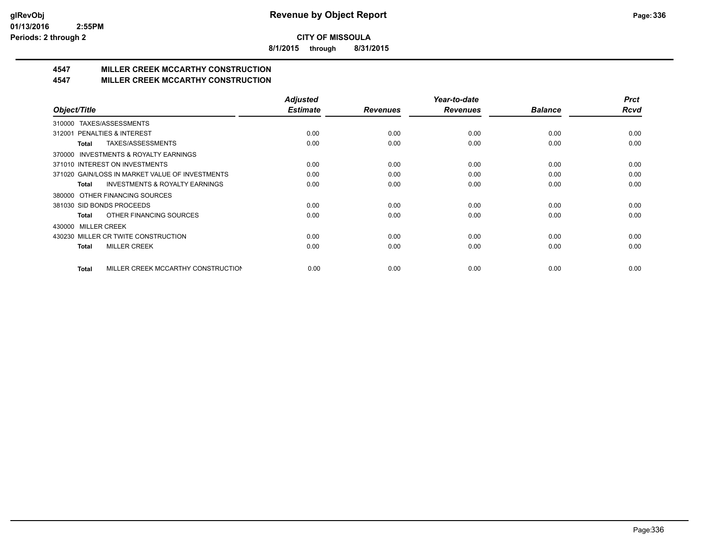**8/1/2015 through 8/31/2015**

# **4547 MILLER CREEK MCCARTHY CONSTRUCTION**

#### **4547 MILLER CREEK MCCARTHY CONSTRUCTION**

|                                                     | <b>Adjusted</b> |                 | Year-to-date    |                | <b>Prct</b> |
|-----------------------------------------------------|-----------------|-----------------|-----------------|----------------|-------------|
| Object/Title                                        | <b>Estimate</b> | <b>Revenues</b> | <b>Revenues</b> | <b>Balance</b> | Rcvd        |
| TAXES/ASSESSMENTS<br>310000                         |                 |                 |                 |                |             |
| 312001 PENALTIES & INTEREST                         | 0.00            | 0.00            | 0.00            | 0.00           | 0.00        |
| TAXES/ASSESSMENTS<br>Total                          | 0.00            | 0.00            | 0.00            | 0.00           | 0.00        |
| <b>INVESTMENTS &amp; ROYALTY EARNINGS</b><br>370000 |                 |                 |                 |                |             |
| 371010 INTEREST ON INVESTMENTS                      | 0.00            | 0.00            | 0.00            | 0.00           | 0.00        |
| 371020 GAIN/LOSS IN MARKET VALUE OF INVESTMENTS     | 0.00            | 0.00            | 0.00            | 0.00           | 0.00        |
| <b>INVESTMENTS &amp; ROYALTY EARNINGS</b><br>Total  | 0.00            | 0.00            | 0.00            | 0.00           | 0.00        |
| 380000 OTHER FINANCING SOURCES                      |                 |                 |                 |                |             |
| 381030 SID BONDS PROCEEDS                           | 0.00            | 0.00            | 0.00            | 0.00           | 0.00        |
| OTHER FINANCING SOURCES<br>Total                    | 0.00            | 0.00            | 0.00            | 0.00           | 0.00        |
| <b>MILLER CREEK</b><br>430000                       |                 |                 |                 |                |             |
| 430230 MILLER CR TWITE CONSTRUCTION                 | 0.00            | 0.00            | 0.00            | 0.00           | 0.00        |
| <b>MILLER CREEK</b><br>Total                        | 0.00            | 0.00            | 0.00            | 0.00           | 0.00        |
|                                                     |                 |                 |                 |                |             |
| MILLER CREEK MCCARTHY CONSTRUCTION<br><b>Total</b>  | 0.00            | 0.00            | 0.00            | 0.00           | 0.00        |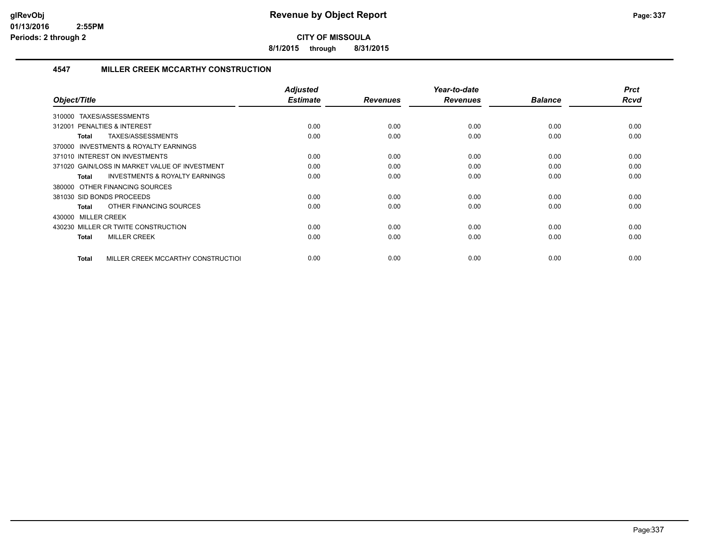**8/1/2015 through 8/31/2015**

#### **4547 MILLER CREEK MCCARTHY CONSTRUCTION**

| Object/Title                                              | <b>Adjusted</b><br><b>Estimate</b> | <b>Revenues</b> | Year-to-date<br><b>Revenues</b> | <b>Balance</b> | <b>Prct</b><br>Rcvd |
|-----------------------------------------------------------|------------------------------------|-----------------|---------------------------------|----------------|---------------------|
| TAXES/ASSESSMENTS<br>310000                               |                                    |                 |                                 |                |                     |
| <b>PENALTIES &amp; INTEREST</b><br>312001                 | 0.00                               | 0.00            | 0.00                            | 0.00           | 0.00                |
| TAXES/ASSESSMENTS<br>Total                                | 0.00                               | 0.00            | 0.00                            | 0.00           | 0.00                |
| <b>INVESTMENTS &amp; ROYALTY EARNINGS</b><br>370000       |                                    |                 |                                 |                |                     |
| 371010 INTEREST ON INVESTMENTS                            | 0.00                               | 0.00            | 0.00                            | 0.00           | 0.00                |
| 371020 GAIN/LOSS IN MARKET VALUE OF INVESTMENT            | 0.00                               | 0.00            | 0.00                            | 0.00           | 0.00                |
| <b>INVESTMENTS &amp; ROYALTY EARNINGS</b><br><b>Total</b> | 0.00                               | 0.00            | 0.00                            | 0.00           | 0.00                |
| 380000 OTHER FINANCING SOURCES                            |                                    |                 |                                 |                |                     |
| 381030 SID BONDS PROCEEDS                                 | 0.00                               | 0.00            | 0.00                            | 0.00           | 0.00                |
| OTHER FINANCING SOURCES<br>Total                          | 0.00                               | 0.00            | 0.00                            | 0.00           | 0.00                |
| 430000 MILLER CREEK                                       |                                    |                 |                                 |                |                     |
| 430230 MILLER CR TWITE CONSTRUCTION                       | 0.00                               | 0.00            | 0.00                            | 0.00           | 0.00                |
| <b>MILLER CREEK</b><br><b>Total</b>                       | 0.00                               | 0.00            | 0.00                            | 0.00           | 0.00                |
| MILLER CREEK MCCARTHY CONSTRUCTIOL<br>Total               | 0.00                               | 0.00            | 0.00                            | 0.00           | 0.00                |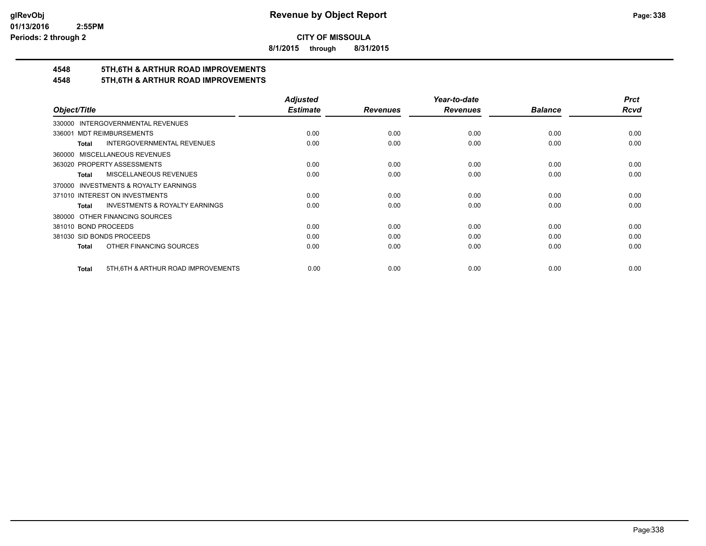**8/1/2015 through 8/31/2015**

# **4548 5TH,6TH & ARTHUR ROAD IMPROVEMENTS**

### **4548 5TH,6TH & ARTHUR ROAD IMPROVEMENTS**

|                                                    | <b>Adjusted</b> |                 | Year-to-date    |                | <b>Prct</b> |
|----------------------------------------------------|-----------------|-----------------|-----------------|----------------|-------------|
| Object/Title                                       | <b>Estimate</b> | <b>Revenues</b> | <b>Revenues</b> | <b>Balance</b> | <b>Rcvd</b> |
| 330000 INTERGOVERNMENTAL REVENUES                  |                 |                 |                 |                |             |
| <b>MDT REIMBURSEMENTS</b><br>336001                | 0.00            | 0.00            | 0.00            | 0.00           | 0.00        |
| <b>INTERGOVERNMENTAL REVENUES</b><br><b>Total</b>  | 0.00            | 0.00            | 0.00            | 0.00           | 0.00        |
| 360000 MISCELLANEOUS REVENUES                      |                 |                 |                 |                |             |
| 363020 PROPERTY ASSESSMENTS                        | 0.00            | 0.00            | 0.00            | 0.00           | 0.00        |
| MISCELLANEOUS REVENUES<br>Total                    | 0.00            | 0.00            | 0.00            | 0.00           | 0.00        |
| 370000 INVESTMENTS & ROYALTY EARNINGS              |                 |                 |                 |                |             |
| 371010 INTEREST ON INVESTMENTS                     | 0.00            | 0.00            | 0.00            | 0.00           | 0.00        |
| <b>INVESTMENTS &amp; ROYALTY EARNINGS</b><br>Total | 0.00            | 0.00            | 0.00            | 0.00           | 0.00        |
| 380000 OTHER FINANCING SOURCES                     |                 |                 |                 |                |             |
| 381010 BOND PROCEEDS                               | 0.00            | 0.00            | 0.00            | 0.00           | 0.00        |
| 381030 SID BONDS PROCEEDS                          | 0.00            | 0.00            | 0.00            | 0.00           | 0.00        |
| OTHER FINANCING SOURCES<br>Total                   | 0.00            | 0.00            | 0.00            | 0.00           | 0.00        |
| 5TH, 6TH & ARTHUR ROAD IMPROVEMENTS<br>Total       | 0.00            | 0.00            | 0.00            | 0.00           | 0.00        |
|                                                    |                 |                 |                 |                |             |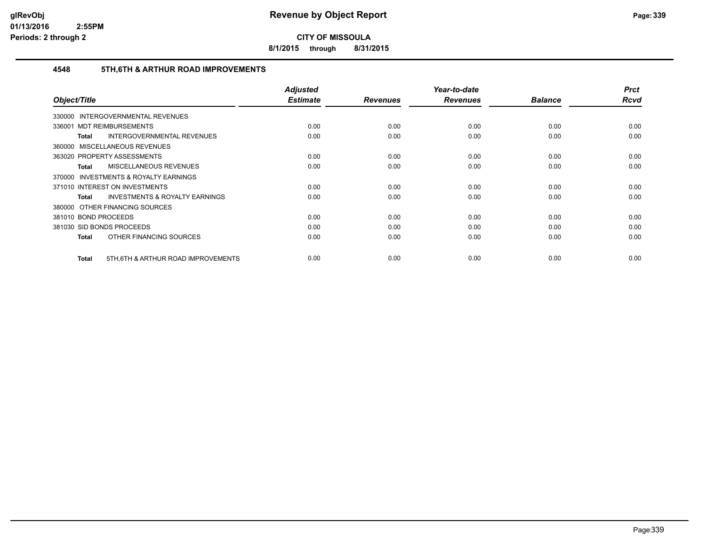**8/1/2015 through 8/31/2015**

#### **4548 5TH,6TH & ARTHUR ROAD IMPROVEMENTS**

|                                                    | <b>Adjusted</b><br><b>Estimate</b> |                 | Year-to-date    | <b>Balance</b> | <b>Prct</b><br>Rcvd |
|----------------------------------------------------|------------------------------------|-----------------|-----------------|----------------|---------------------|
| Object/Title                                       |                                    | <b>Revenues</b> | <b>Revenues</b> |                |                     |
| <b>INTERGOVERNMENTAL REVENUES</b><br>330000        |                                    |                 |                 |                |                     |
| 336001 MDT REIMBURSEMENTS                          | 0.00                               | 0.00            | 0.00            | 0.00           | 0.00                |
| INTERGOVERNMENTAL REVENUES<br>Total                | 0.00                               | 0.00            | 0.00            | 0.00           | 0.00                |
| 360000 MISCELLANEOUS REVENUES                      |                                    |                 |                 |                |                     |
| 363020 PROPERTY ASSESSMENTS                        | 0.00                               | 0.00            | 0.00            | 0.00           | 0.00                |
| <b>MISCELLANEOUS REVENUES</b><br>Total             | 0.00                               | 0.00            | 0.00            | 0.00           | 0.00                |
| 370000 INVESTMENTS & ROYALTY EARNINGS              |                                    |                 |                 |                |                     |
| 371010 INTEREST ON INVESTMENTS                     | 0.00                               | 0.00            | 0.00            | 0.00           | 0.00                |
| <b>INVESTMENTS &amp; ROYALTY EARNINGS</b><br>Total | 0.00                               | 0.00            | 0.00            | 0.00           | 0.00                |
| 380000 OTHER FINANCING SOURCES                     |                                    |                 |                 |                |                     |
| 381010 BOND PROCEEDS                               | 0.00                               | 0.00            | 0.00            | 0.00           | 0.00                |
| 381030 SID BONDS PROCEEDS                          | 0.00                               | 0.00            | 0.00            | 0.00           | 0.00                |
| OTHER FINANCING SOURCES<br><b>Total</b>            | 0.00                               | 0.00            | 0.00            | 0.00           | 0.00                |
|                                                    |                                    |                 |                 |                |                     |
| 5TH, 6TH & ARTHUR ROAD IMPROVEMENTS<br>Total       | 0.00                               | 0.00            | 0.00            | 0.00           | 0.00                |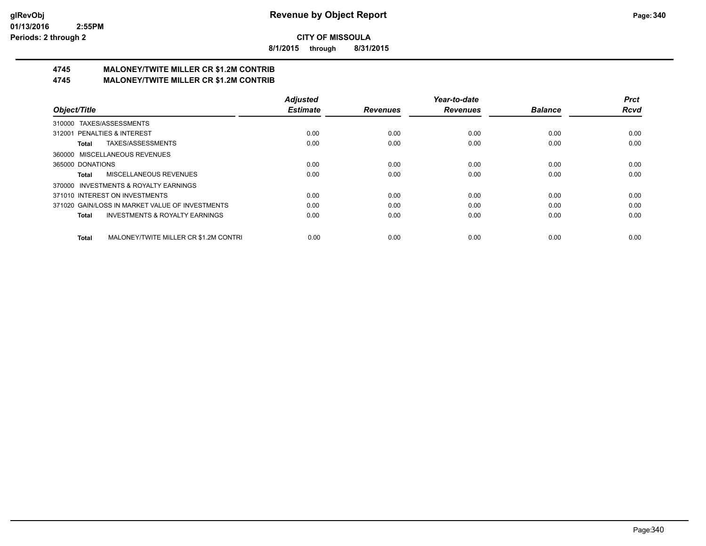**8/1/2015 through 8/31/2015**

# **4745 MALONEY/TWITE MILLER CR \$1.2M CONTRIB**

**4745 MALONEY/TWITE MILLER CR \$1.2M CONTRIB**

|                                                           | <b>Adjusted</b> |                 | Year-to-date    |                | <b>Prct</b> |
|-----------------------------------------------------------|-----------------|-----------------|-----------------|----------------|-------------|
| Object/Title                                              | <b>Estimate</b> | <b>Revenues</b> | <b>Revenues</b> | <b>Balance</b> | <b>Rcvd</b> |
| 310000 TAXES/ASSESSMENTS                                  |                 |                 |                 |                |             |
| 312001 PENALTIES & INTEREST                               | 0.00            | 0.00            | 0.00            | 0.00           | 0.00        |
| TAXES/ASSESSMENTS<br>Total                                | 0.00            | 0.00            | 0.00            | 0.00           | 0.00        |
| 360000 MISCELLANEOUS REVENUES                             |                 |                 |                 |                |             |
| 365000 DONATIONS                                          | 0.00            | 0.00            | 0.00            | 0.00           | 0.00        |
| MISCELLANEOUS REVENUES<br>Total                           | 0.00            | 0.00            | 0.00            | 0.00           | 0.00        |
| 370000 INVESTMENTS & ROYALTY EARNINGS                     |                 |                 |                 |                |             |
| 371010 INTEREST ON INVESTMENTS                            | 0.00            | 0.00            | 0.00            | 0.00           | 0.00        |
| 371020 GAIN/LOSS IN MARKET VALUE OF INVESTMENTS           | 0.00            | 0.00            | 0.00            | 0.00           | 0.00        |
| <b>INVESTMENTS &amp; ROYALTY EARNINGS</b><br><b>Total</b> | 0.00            | 0.00            | 0.00            | 0.00           | 0.00        |
| MALONEY/TWITE MILLER CR \$1.2M CONTRI<br><b>Total</b>     | 0.00            | 0.00            | 0.00            | 0.00           | 0.00        |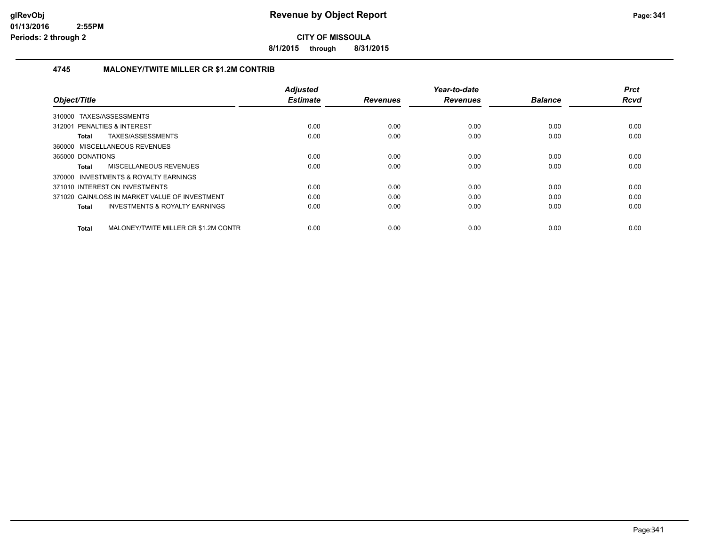**8/1/2015 through 8/31/2015**

#### **4745 MALONEY/TWITE MILLER CR \$1.2M CONTRIB**

| Object/Title                                       | <b>Adjusted</b><br><b>Estimate</b> | <b>Revenues</b> | Year-to-date<br><b>Revenues</b> | <b>Balance</b> | <b>Prct</b><br><b>Rcvd</b> |
|----------------------------------------------------|------------------------------------|-----------------|---------------------------------|----------------|----------------------------|
|                                                    |                                    |                 |                                 |                |                            |
| TAXES/ASSESSMENTS<br>310000                        |                                    |                 |                                 |                |                            |
| 312001 PENALTIES & INTEREST                        | 0.00                               | 0.00            | 0.00                            | 0.00           | 0.00                       |
| <b>TAXES/ASSESSMENTS</b><br>Total                  | 0.00                               | 0.00            | 0.00                            | 0.00           | 0.00                       |
| 360000 MISCELLANEOUS REVENUES                      |                                    |                 |                                 |                |                            |
| 365000 DONATIONS                                   | 0.00                               | 0.00            | 0.00                            | 0.00           | 0.00                       |
| <b>MISCELLANEOUS REVENUES</b><br>Total             | 0.00                               | 0.00            | 0.00                            | 0.00           | 0.00                       |
| 370000 INVESTMENTS & ROYALTY EARNINGS              |                                    |                 |                                 |                |                            |
| 371010 INTEREST ON INVESTMENTS                     | 0.00                               | 0.00            | 0.00                            | 0.00           | 0.00                       |
| 371020 GAIN/LOSS IN MARKET VALUE OF INVESTMENT     | 0.00                               | 0.00            | 0.00                            | 0.00           | 0.00                       |
| <b>INVESTMENTS &amp; ROYALTY EARNINGS</b><br>Total | 0.00                               | 0.00            | 0.00                            | 0.00           | 0.00                       |
|                                                    |                                    |                 |                                 |                |                            |
| MALONEY/TWITE MILLER CR \$1.2M CONTR<br>Total      | 0.00                               | 0.00            | 0.00                            | 0.00           | 0.00                       |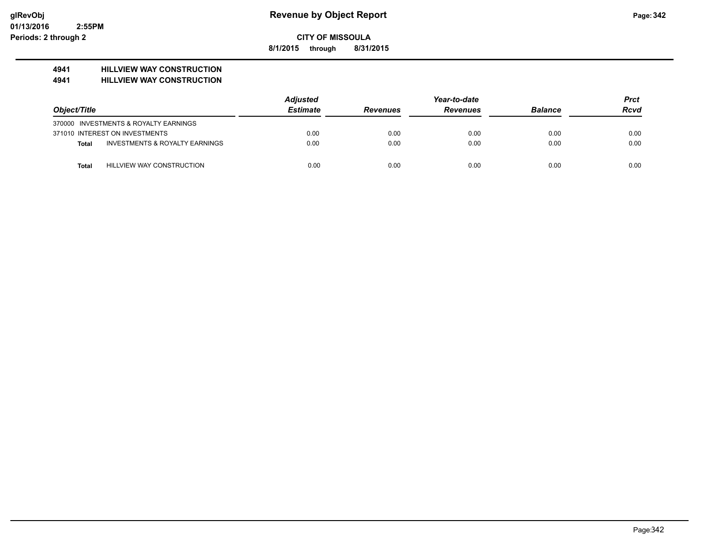**8/1/2015 through 8/31/2015**

### **4941 HILLVIEW WAY CONSTRUCTION**

**4941 HILLVIEW WAY CONSTRUCTION**

|                                           | <b>Adjusted</b> |                 | Year-to-date    |                | Prct |
|-------------------------------------------|-----------------|-----------------|-----------------|----------------|------|
| Object/Title                              | <b>Estimate</b> | <b>Revenues</b> | <b>Revenues</b> | <b>Balance</b> | Rcvd |
| 370000 INVESTMENTS & ROYALTY EARNINGS     |                 |                 |                 |                |      |
| 371010 INTEREST ON INVESTMENTS            | 0.00            | 0.00            | 0.00            | 0.00           | 0.00 |
| INVESTMENTS & ROYALTY EARNINGS<br>Total   | 0.00            | 0.00            | 0.00            | 0.00           | 0.00 |
| HILLVIEW WAY CONSTRUCTION<br><b>Total</b> | 0.00            | 0.00            | 0.00            | 0.00           | 0.00 |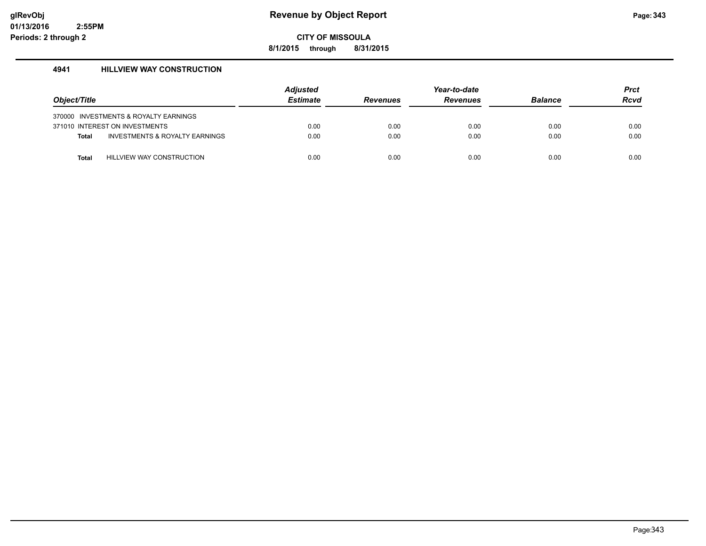**8/1/2015 through 8/31/2015**

#### **4941 HILLVIEW WAY CONSTRUCTION**

|              |                                           | <b>Adjusted</b> |                 | Year-to-date    |                | <b>Prct</b> |
|--------------|-------------------------------------------|-----------------|-----------------|-----------------|----------------|-------------|
| Object/Title |                                           | <b>Estimate</b> | <b>Revenues</b> | <b>Revenues</b> | <b>Balance</b> | <b>Rcvd</b> |
|              | 370000 INVESTMENTS & ROYALTY EARNINGS     |                 |                 |                 |                |             |
|              | 371010 INTEREST ON INVESTMENTS            | 0.00            | 0.00            | 0.00            | 0.00           | 0.00        |
| <b>Total</b> | <b>INVESTMENTS &amp; ROYALTY EARNINGS</b> | 0.00            | 0.00            | 0.00            | 0.00           | 0.00        |
| <b>Total</b> | <b>HILLVIEW WAY CONSTRUCTION</b>          | 0.00            | 0.00            | 0.00            | 0.00           | 0.00        |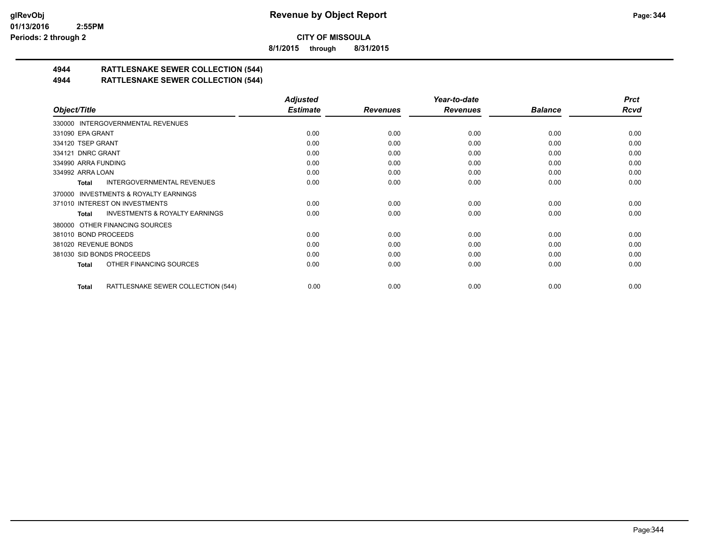**8/1/2015 through 8/31/2015**

# **4944 RATTLESNAKE SEWER COLLECTION (544)**

#### **4944 RATTLESNAKE SEWER COLLECTION (544)**

|                                                     | <b>Adjusted</b> |                 | Year-to-date    |                | <b>Prct</b> |
|-----------------------------------------------------|-----------------|-----------------|-----------------|----------------|-------------|
| Object/Title                                        | <b>Estimate</b> | <b>Revenues</b> | <b>Revenues</b> | <b>Balance</b> | <b>Rcvd</b> |
| 330000 INTERGOVERNMENTAL REVENUES                   |                 |                 |                 |                |             |
| 331090 EPA GRANT                                    | 0.00            | 0.00            | 0.00            | 0.00           | 0.00        |
| 334120 TSEP GRANT                                   | 0.00            | 0.00            | 0.00            | 0.00           | 0.00        |
| 334121 DNRC GRANT                                   | 0.00            | 0.00            | 0.00            | 0.00           | 0.00        |
| 334990 ARRA FUNDING                                 | 0.00            | 0.00            | 0.00            | 0.00           | 0.00        |
| 334992 ARRA LOAN                                    | 0.00            | 0.00            | 0.00            | 0.00           | 0.00        |
| INTERGOVERNMENTAL REVENUES<br>Total                 | 0.00            | 0.00            | 0.00            | 0.00           | 0.00        |
| <b>INVESTMENTS &amp; ROYALTY EARNINGS</b><br>370000 |                 |                 |                 |                |             |
| 371010 INTEREST ON INVESTMENTS                      | 0.00            | 0.00            | 0.00            | 0.00           | 0.00        |
| <b>INVESTMENTS &amp; ROYALTY EARNINGS</b><br>Total  | 0.00            | 0.00            | 0.00            | 0.00           | 0.00        |
| 380000 OTHER FINANCING SOURCES                      |                 |                 |                 |                |             |
| 381010 BOND PROCEEDS                                | 0.00            | 0.00            | 0.00            | 0.00           | 0.00        |
| 381020 REVENUE BONDS                                | 0.00            | 0.00            | 0.00            | 0.00           | 0.00        |
| 381030 SID BONDS PROCEEDS                           | 0.00            | 0.00            | 0.00            | 0.00           | 0.00        |
| OTHER FINANCING SOURCES<br>Total                    | 0.00            | 0.00            | 0.00            | 0.00           | 0.00        |
| RATTLESNAKE SEWER COLLECTION (544)<br>Total         | 0.00            | 0.00            | 0.00            | 0.00           | 0.00        |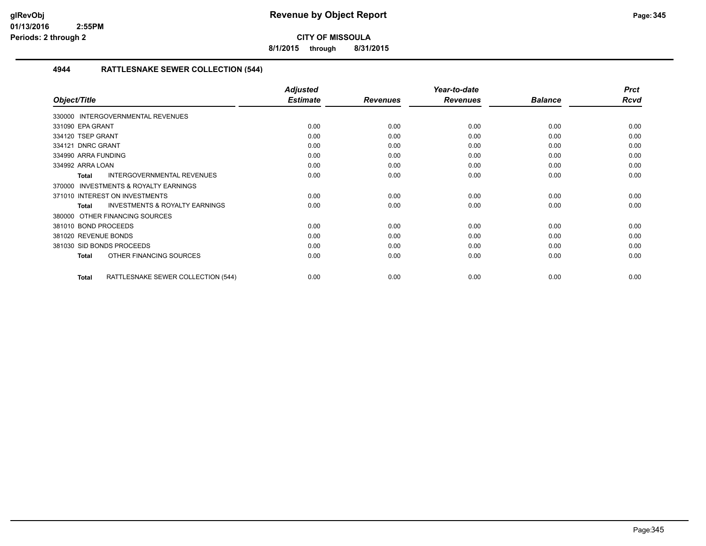**8/1/2015 through 8/31/2015**

#### **4944 RATTLESNAKE SEWER COLLECTION (544)**

|                                                           | <b>Adjusted</b> |                 | Year-to-date    |                | <b>Prct</b> |
|-----------------------------------------------------------|-----------------|-----------------|-----------------|----------------|-------------|
| Object/Title                                              | <b>Estimate</b> | <b>Revenues</b> | <b>Revenues</b> | <b>Balance</b> | <b>Rcvd</b> |
| 330000 INTERGOVERNMENTAL REVENUES                         |                 |                 |                 |                |             |
| 331090 EPA GRANT                                          | 0.00            | 0.00            | 0.00            | 0.00           | 0.00        |
| 334120 TSEP GRANT                                         | 0.00            | 0.00            | 0.00            | 0.00           | 0.00        |
| 334121 DNRC GRANT                                         | 0.00            | 0.00            | 0.00            | 0.00           | 0.00        |
| 334990 ARRA FUNDING                                       | 0.00            | 0.00            | 0.00            | 0.00           | 0.00        |
| 334992 ARRA LOAN                                          | 0.00            | 0.00            | 0.00            | 0.00           | 0.00        |
| INTERGOVERNMENTAL REVENUES<br><b>Total</b>                | 0.00            | 0.00            | 0.00            | 0.00           | 0.00        |
| <b>INVESTMENTS &amp; ROYALTY EARNINGS</b><br>370000       |                 |                 |                 |                |             |
| 371010 INTEREST ON INVESTMENTS                            | 0.00            | 0.00            | 0.00            | 0.00           | 0.00        |
| <b>INVESTMENTS &amp; ROYALTY EARNINGS</b><br><b>Total</b> | 0.00            | 0.00            | 0.00            | 0.00           | 0.00        |
| OTHER FINANCING SOURCES<br>380000                         |                 |                 |                 |                |             |
| 381010 BOND PROCEEDS                                      | 0.00            | 0.00            | 0.00            | 0.00           | 0.00        |
| 381020 REVENUE BONDS                                      | 0.00            | 0.00            | 0.00            | 0.00           | 0.00        |
| 381030 SID BONDS PROCEEDS                                 | 0.00            | 0.00            | 0.00            | 0.00           | 0.00        |
| OTHER FINANCING SOURCES<br><b>Total</b>                   | 0.00            | 0.00            | 0.00            | 0.00           | 0.00        |
| RATTLESNAKE SEWER COLLECTION (544)<br><b>Total</b>        | 0.00            | 0.00            | 0.00            | 0.00           | 0.00        |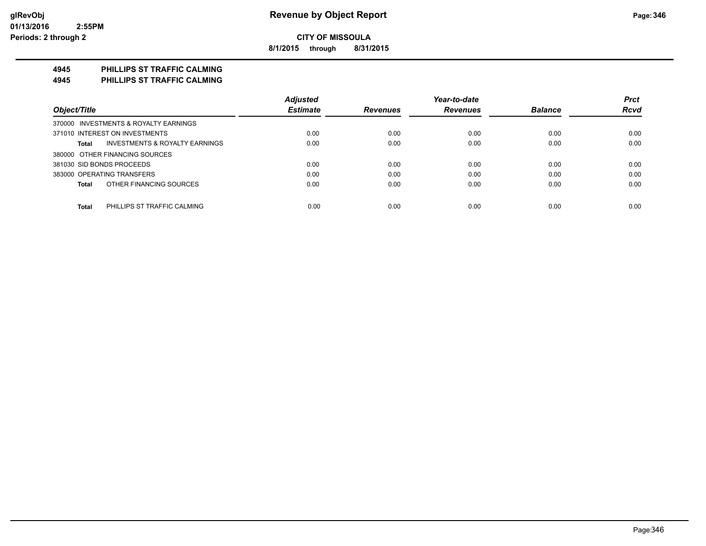**8/1/2015 through 8/31/2015**

#### **4945 PHILLIPS ST TRAFFIC CALMING**

**4945 PHILLIPS ST TRAFFIC CALMING**

|                                             | <b>Adjusted</b> |                 | Year-to-date    |                | <b>Prct</b> |
|---------------------------------------------|-----------------|-----------------|-----------------|----------------|-------------|
| Object/Title                                | <b>Estimate</b> | <b>Revenues</b> | <b>Revenues</b> | <b>Balance</b> | <b>Rcvd</b> |
| 370000 INVESTMENTS & ROYALTY EARNINGS       |                 |                 |                 |                |             |
| 371010 INTEREST ON INVESTMENTS              | 0.00            | 0.00            | 0.00            | 0.00           | 0.00        |
| INVESTMENTS & ROYALTY EARNINGS<br>Total     | 0.00            | 0.00            | 0.00            | 0.00           | 0.00        |
| 380000 OTHER FINANCING SOURCES              |                 |                 |                 |                |             |
| 381030 SID BONDS PROCEEDS                   | 0.00            | 0.00            | 0.00            | 0.00           | 0.00        |
| 383000 OPERATING TRANSFERS                  | 0.00            | 0.00            | 0.00            | 0.00           | 0.00        |
| OTHER FINANCING SOURCES<br>Total            | 0.00            | 0.00            | 0.00            | 0.00           | 0.00        |
|                                             |                 |                 |                 |                |             |
| <b>Total</b><br>PHILLIPS ST TRAFFIC CALMING | 0.00            | 0.00            | 0.00            | 0.00           | 0.00        |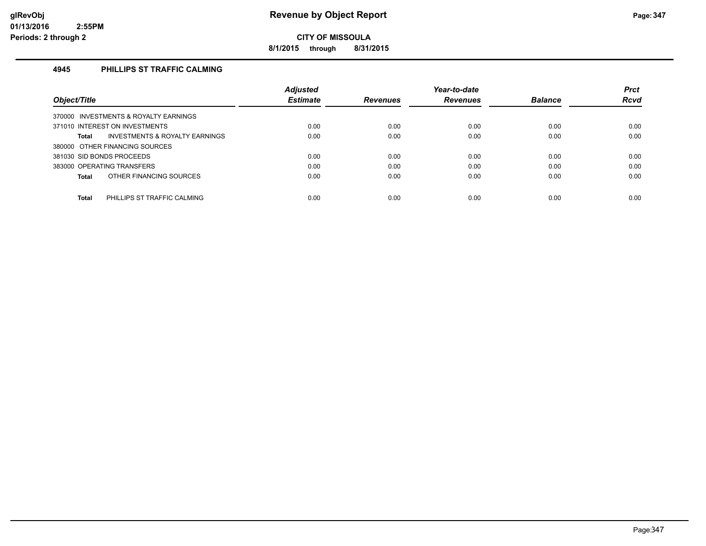**8/1/2015 through 8/31/2015**

#### **4945 PHILLIPS ST TRAFFIC CALMING**

|                                                    | <b>Adjusted</b> |                 | Year-to-date    |                | <b>Prct</b> |
|----------------------------------------------------|-----------------|-----------------|-----------------|----------------|-------------|
| Object/Title                                       | <b>Estimate</b> | <b>Revenues</b> | <b>Revenues</b> | <b>Balance</b> | Rcvd        |
| 370000 INVESTMENTS & ROYALTY EARNINGS              |                 |                 |                 |                |             |
| 371010 INTEREST ON INVESTMENTS                     | 0.00            | 0.00            | 0.00            | 0.00           | 0.00        |
| <b>INVESTMENTS &amp; ROYALTY EARNINGS</b><br>Total | 0.00            | 0.00            | 0.00            | 0.00           | 0.00        |
| 380000 OTHER FINANCING SOURCES                     |                 |                 |                 |                |             |
| 381030 SID BONDS PROCEEDS                          | 0.00            | 0.00            | 0.00            | 0.00           | 0.00        |
| 383000 OPERATING TRANSFERS                         | 0.00            | 0.00            | 0.00            | 0.00           | 0.00        |
| OTHER FINANCING SOURCES<br>Total                   | 0.00            | 0.00            | 0.00            | 0.00           | 0.00        |
|                                                    |                 |                 |                 |                |             |
| Total<br>PHILLIPS ST TRAFFIC CALMING               | 0.00            | 0.00            | 0.00            | 0.00           | 0.00        |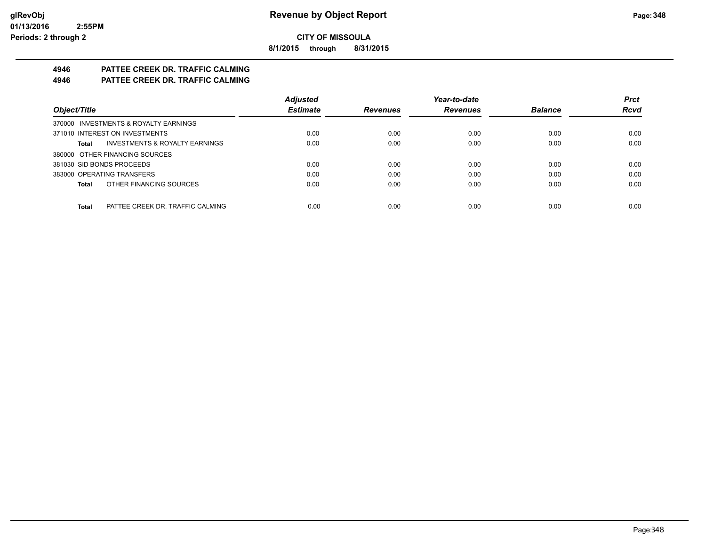**8/1/2015 through 8/31/2015**

# **4946 PATTEE CREEK DR. TRAFFIC CALMING**

**4946 PATTEE CREEK DR. TRAFFIC CALMING**

|                                                    | <b>Adjusted</b> |                 | Year-to-date    |                | <b>Prct</b> |
|----------------------------------------------------|-----------------|-----------------|-----------------|----------------|-------------|
| Object/Title                                       | <b>Estimate</b> | <b>Revenues</b> | <b>Revenues</b> | <b>Balance</b> | <b>Rcvd</b> |
| 370000 INVESTMENTS & ROYALTY EARNINGS              |                 |                 |                 |                |             |
| 371010 INTEREST ON INVESTMENTS                     | 0.00            | 0.00            | 0.00            | 0.00           | 0.00        |
| <b>INVESTMENTS &amp; ROYALTY EARNINGS</b><br>Total | 0.00            | 0.00            | 0.00            | 0.00           | 0.00        |
| 380000 OTHER FINANCING SOURCES                     |                 |                 |                 |                |             |
| 381030 SID BONDS PROCEEDS                          | 0.00            | 0.00            | 0.00            | 0.00           | 0.00        |
| 383000 OPERATING TRANSFERS                         | 0.00            | 0.00            | 0.00            | 0.00           | 0.00        |
| OTHER FINANCING SOURCES<br>Total                   | 0.00            | 0.00            | 0.00            | 0.00           | 0.00        |
|                                                    |                 |                 |                 |                |             |
| Total<br>PATTEE CREEK DR. TRAFFIC CALMING          | 0.00            | 0.00            | 0.00            | 0.00           | 0.00        |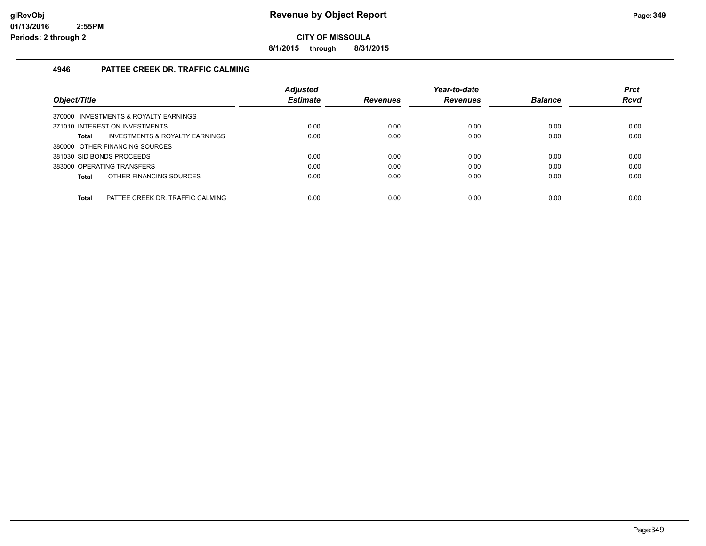**8/1/2015 through 8/31/2015**

#### **4946 PATTEE CREEK DR. TRAFFIC CALMING**

|                                                  | <b>Adjusted</b> |                 | Year-to-date    |                | <b>Prct</b> |
|--------------------------------------------------|-----------------|-----------------|-----------------|----------------|-------------|
| Object/Title                                     | <b>Estimate</b> | <b>Revenues</b> | <b>Revenues</b> | <b>Balance</b> | <b>Rcvd</b> |
| 370000 INVESTMENTS & ROYALTY EARNINGS            |                 |                 |                 |                |             |
| 371010 INTEREST ON INVESTMENTS                   | 0.00            | 0.00            | 0.00            | 0.00           | 0.00        |
| INVESTMENTS & ROYALTY EARNINGS<br>Total          | 0.00            | 0.00            | 0.00            | 0.00           | 0.00        |
| 380000 OTHER FINANCING SOURCES                   |                 |                 |                 |                |             |
| 381030 SID BONDS PROCEEDS                        | 0.00            | 0.00            | 0.00            | 0.00           | 0.00        |
| 383000 OPERATING TRANSFERS                       | 0.00            | 0.00            | 0.00            | 0.00           | 0.00        |
| OTHER FINANCING SOURCES<br>Total                 | 0.00            | 0.00            | 0.00            | 0.00           | 0.00        |
|                                                  |                 |                 |                 |                |             |
| <b>Total</b><br>PATTEE CREEK DR. TRAFFIC CALMING | 0.00            | 0.00            | 0.00            | 0.00           | 0.00        |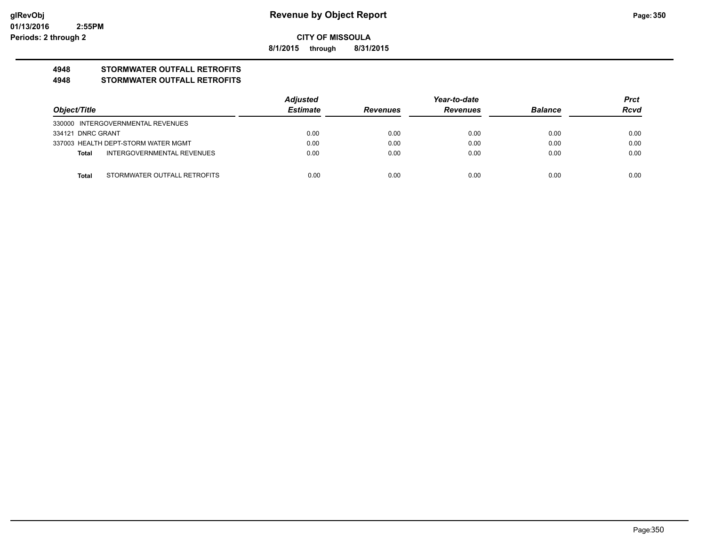**8/1/2015 through 8/31/2015**

## **4948 STORMWATER OUTFALL RETROFITS**

#### **4948 STORMWATER OUTFALL RETROFITS**

|                                       | <b>Adjusted</b> |                 | Year-to-date    |                |             |
|---------------------------------------|-----------------|-----------------|-----------------|----------------|-------------|
| Obiect/Title                          | <b>Estimate</b> | <b>Revenues</b> | <b>Revenues</b> | <b>Balance</b> | <b>Rcvd</b> |
| 330000 INTERGOVERNMENTAL REVENUES     |                 |                 |                 |                |             |
| 334121 DNRC GRANT                     | 0.00            | 0.00            | 0.00            | 0.00           | 0.00        |
| 337003 HEALTH DEPT-STORM WATER MGMT   | 0.00            | 0.00            | 0.00            | 0.00           | 0.00        |
| INTERGOVERNMENTAL REVENUES<br>Total   | 0.00            | 0.00            | 0.00            | 0.00           | 0.00        |
|                                       |                 |                 |                 |                |             |
| Total<br>STORMWATER OUTFALL RETROFITS | 0.00            | 0.00            | 0.00            | 0.00           | 0.00        |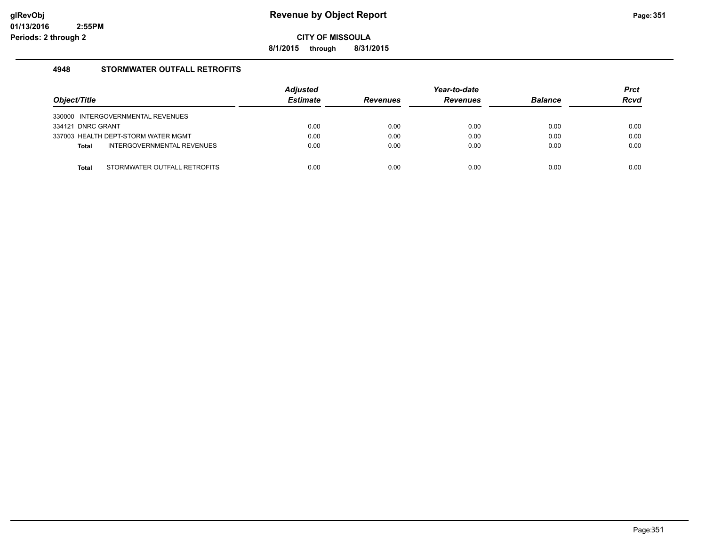**8/1/2015 through 8/31/2015**

#### **4948 STORMWATER OUTFALL RETROFITS**

|                                            | <b>Adjusted</b> |                 | Year-to-date    |                | <b>Prct</b> |
|--------------------------------------------|-----------------|-----------------|-----------------|----------------|-------------|
| Object/Title                               | <b>Estimate</b> | <b>Revenues</b> | <b>Revenues</b> | <b>Balance</b> | <b>Rcvd</b> |
| 330000 INTERGOVERNMENTAL REVENUES          |                 |                 |                 |                |             |
| 334121 DNRC GRANT                          | 0.00            | 0.00            | 0.00            | 0.00           | 0.00        |
| 337003 HEALTH DEPT-STORM WATER MGMT        | 0.00            | 0.00            | 0.00            | 0.00           | 0.00        |
| INTERGOVERNMENTAL REVENUES<br><b>Total</b> | 0.00            | 0.00            | 0.00            | 0.00           | 0.00        |
|                                            |                 |                 |                 |                |             |
| STORMWATER OUTFALL RETROFITS<br>Total      | 0.00            | 0.00            | 0.00            | 0.00           | 0.00        |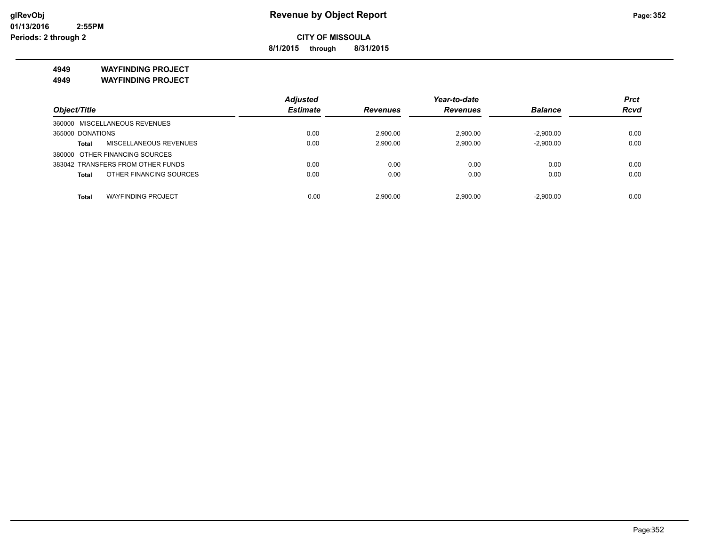**8/1/2015 through 8/31/2015**

**4949 WAYFINDING PROJECT**

**4949 WAYFINDING PROJECT**

|                                    | <b>Adjusted</b> |                 | Year-to-date    |                | <b>Prct</b> |
|------------------------------------|-----------------|-----------------|-----------------|----------------|-------------|
| Object/Title                       | <b>Estimate</b> | <b>Revenues</b> | <b>Revenues</b> | <b>Balance</b> | <b>Rcvd</b> |
| 360000 MISCELLANEOUS REVENUES      |                 |                 |                 |                |             |
| 365000 DONATIONS                   | 0.00            | 2,900.00        | 2,900.00        | $-2.900.00$    | 0.00        |
| MISCELLANEOUS REVENUES<br>Total    | 0.00            | 2,900.00        | 2,900.00        | $-2,900.00$    | 0.00        |
| 380000 OTHER FINANCING SOURCES     |                 |                 |                 |                |             |
| 383042 TRANSFERS FROM OTHER FUNDS  | 0.00            | 0.00            | 0.00            | 0.00           | 0.00        |
| OTHER FINANCING SOURCES<br>Total   | 0.00            | 0.00            | 0.00            | 0.00           | 0.00        |
|                                    |                 |                 |                 |                |             |
| <b>WAYFINDING PROJECT</b><br>Total | 0.00            | 2.900.00        | 2.900.00        | $-2.900.00$    | 0.00        |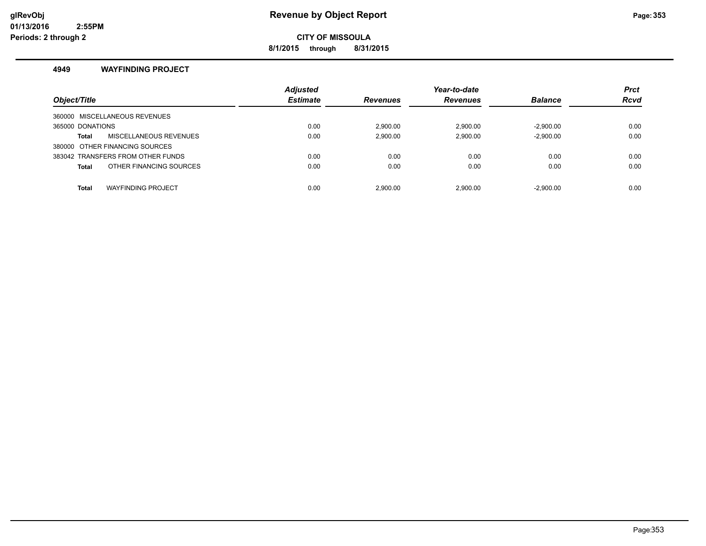**8/1/2015 through 8/31/2015**

#### **4949 WAYFINDING PROJECT**

| Object/Title                              | <b>Adjusted</b><br><b>Estimate</b> | <b>Revenues</b> | Year-to-date<br><b>Revenues</b> | <b>Balance</b> | <b>Prct</b><br><b>Rcvd</b> |
|-------------------------------------------|------------------------------------|-----------------|---------------------------------|----------------|----------------------------|
| 360000 MISCELLANEOUS REVENUES             |                                    |                 |                                 |                |                            |
| 365000 DONATIONS                          | 0.00                               | 2.900.00        | 2.900.00                        | $-2.900.00$    | 0.00                       |
| MISCELLANEOUS REVENUES<br>Total           | 0.00                               | 2,900.00        | 2,900.00                        | $-2,900.00$    | 0.00                       |
| 380000 OTHER FINANCING SOURCES            |                                    |                 |                                 |                |                            |
| 383042 TRANSFERS FROM OTHER FUNDS         | 0.00                               | 0.00            | 0.00                            | 0.00           | 0.00                       |
| OTHER FINANCING SOURCES<br><b>Total</b>   | 0.00                               | 0.00            | 0.00                            | 0.00           | 0.00                       |
| <b>WAYFINDING PROJECT</b><br><b>Total</b> | 0.00                               | 2.900.00        | 2.900.00                        | $-2.900.00$    | 0.00                       |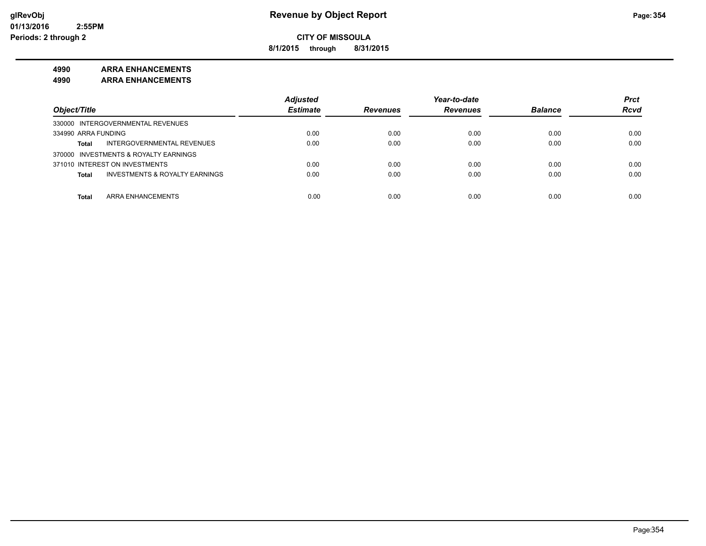**8/1/2015 through 8/31/2015**

#### **4990 ARRA ENHANCEMENTS**

**4990 ARRA ENHANCEMENTS**

|                                                    | <b>Adiusted</b> |                 | Year-to-date    |                | <b>Prct</b> |
|----------------------------------------------------|-----------------|-----------------|-----------------|----------------|-------------|
| Object/Title                                       | <b>Estimate</b> | <b>Revenues</b> | <b>Revenues</b> | <b>Balance</b> | <b>Rcvd</b> |
| 330000 INTERGOVERNMENTAL REVENUES                  |                 |                 |                 |                |             |
| 334990 ARRA FUNDING                                | 0.00            | 0.00            | 0.00            | 0.00           | 0.00        |
| INTERGOVERNMENTAL REVENUES<br><b>Total</b>         | 0.00            | 0.00            | 0.00            | 0.00           | 0.00        |
| 370000 INVESTMENTS & ROYALTY EARNINGS              |                 |                 |                 |                |             |
| 371010 INTEREST ON INVESTMENTS                     | 0.00            | 0.00            | 0.00            | 0.00           | 0.00        |
| <b>INVESTMENTS &amp; ROYALTY EARNINGS</b><br>Total | 0.00            | 0.00            | 0.00            | 0.00           | 0.00        |
| <b>ARRA ENHANCEMENTS</b><br>Total                  | 0.00            | 0.00            | 0.00            | 0.00           | 0.00        |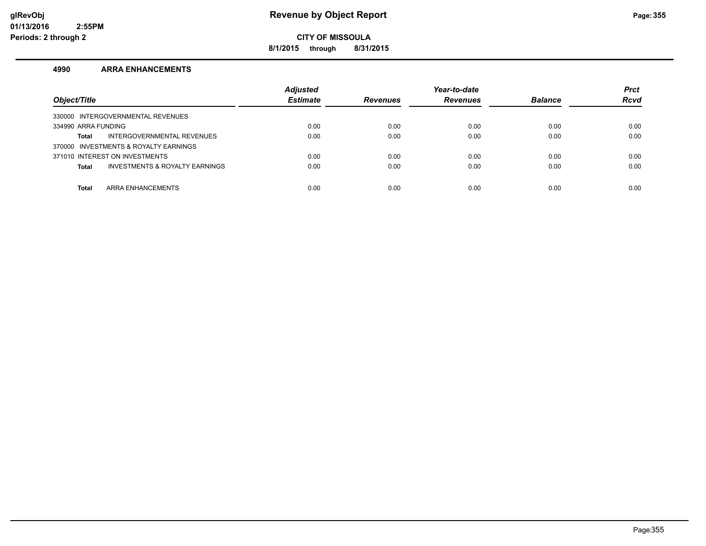**8/1/2015 through 8/31/2015**

#### **4990 ARRA ENHANCEMENTS**

| Object/Title                                              | <b>Adjusted</b><br><b>Estimate</b> | <b>Revenues</b> | Year-to-date<br><b>Revenues</b> | <b>Balance</b> | <b>Prct</b><br><b>Rcvd</b> |
|-----------------------------------------------------------|------------------------------------|-----------------|---------------------------------|----------------|----------------------------|
| 330000 INTERGOVERNMENTAL REVENUES                         |                                    |                 |                                 |                |                            |
| 334990 ARRA FUNDING                                       | 0.00                               | 0.00            | 0.00                            | 0.00           | 0.00                       |
| INTERGOVERNMENTAL REVENUES<br>Total                       | 0.00                               | 0.00            | 0.00                            | 0.00           | 0.00                       |
| 370000 INVESTMENTS & ROYALTY EARNINGS                     |                                    |                 |                                 |                |                            |
| 371010 INTEREST ON INVESTMENTS                            | 0.00                               | 0.00            | 0.00                            | 0.00           | 0.00                       |
| <b>INVESTMENTS &amp; ROYALTY EARNINGS</b><br><b>Total</b> | 0.00                               | 0.00            | 0.00                            | 0.00           | 0.00                       |
|                                                           |                                    |                 |                                 |                |                            |
| <b>ARRA ENHANCEMENTS</b><br><b>Total</b>                  | 0.00                               | 0.00            | 0.00                            | 0.00           | 0.00                       |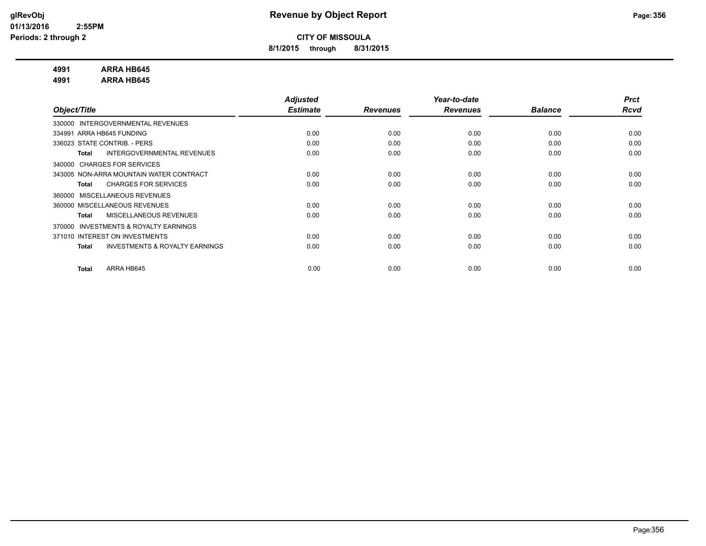**8/1/2015 through 8/31/2015**

#### **4991 ARRA HB645**

**4991 ARRA HB645**

|                                                    | <b>Adjusted</b> |                 | Year-to-date    |                | <b>Prct</b> |
|----------------------------------------------------|-----------------|-----------------|-----------------|----------------|-------------|
| Object/Title                                       | <b>Estimate</b> | <b>Revenues</b> | <b>Revenues</b> | <b>Balance</b> | Rcvd        |
| 330000 INTERGOVERNMENTAL REVENUES                  |                 |                 |                 |                |             |
| 334991 ARRA HB645 FUNDING                          | 0.00            | 0.00            | 0.00            | 0.00           | 0.00        |
| 336023 STATE CONTRIB. - PERS                       | 0.00            | 0.00            | 0.00            | 0.00           | 0.00        |
| INTERGOVERNMENTAL REVENUES<br><b>Total</b>         | 0.00            | 0.00            | 0.00            | 0.00           | 0.00        |
| 340000 CHARGES FOR SERVICES                        |                 |                 |                 |                |             |
| 343005 NON-ARRA MOUNTAIN WATER CONTRACT            | 0.00            | 0.00            | 0.00            | 0.00           | 0.00        |
| <b>CHARGES FOR SERVICES</b><br>Total               | 0.00            | 0.00            | 0.00            | 0.00           | 0.00        |
| 360000 MISCELLANEOUS REVENUES                      |                 |                 |                 |                |             |
| 360000 MISCELLANEOUS REVENUES                      | 0.00            | 0.00            | 0.00            | 0.00           | 0.00        |
| <b>MISCELLANEOUS REVENUES</b><br>Total             | 0.00            | 0.00            | 0.00            | 0.00           | 0.00        |
| INVESTMENTS & ROYALTY EARNINGS<br>370000           |                 |                 |                 |                |             |
| 371010 INTEREST ON INVESTMENTS                     | 0.00            | 0.00            | 0.00            | 0.00           | 0.00        |
| <b>INVESTMENTS &amp; ROYALTY EARNINGS</b><br>Total | 0.00            | 0.00            | 0.00            | 0.00           | 0.00        |
|                                                    |                 |                 |                 |                |             |
| ARRA HB645<br><b>Total</b>                         | 0.00            | 0.00            | 0.00            | 0.00           | 0.00        |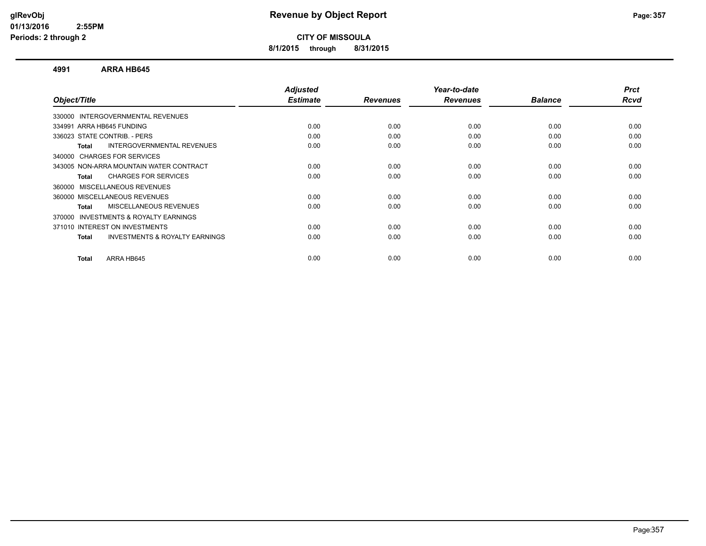**8/1/2015 through 8/31/2015**

#### **4991 ARRA HB645**

|      |                         |                         | <b>Balance</b>          | <b>Prct</b><br>Rcvd |
|------|-------------------------|-------------------------|-------------------------|---------------------|
|      |                         |                         |                         |                     |
|      |                         |                         |                         |                     |
| 0.00 | 0.00                    | 0.00                    | 0.00                    | 0.00                |
| 0.00 | 0.00                    | 0.00                    | 0.00                    | 0.00                |
| 0.00 | 0.00                    | 0.00                    | 0.00                    | 0.00                |
|      |                         |                         |                         |                     |
| 0.00 | 0.00                    | 0.00                    | 0.00                    | 0.00                |
| 0.00 | 0.00                    | 0.00                    | 0.00                    | 0.00                |
|      |                         |                         |                         |                     |
| 0.00 | 0.00                    | 0.00                    | 0.00                    | 0.00                |
| 0.00 | 0.00                    | 0.00                    | 0.00                    | 0.00                |
|      |                         |                         |                         |                     |
| 0.00 | 0.00                    | 0.00                    | 0.00                    | 0.00                |
| 0.00 | 0.00                    | 0.00                    | 0.00                    | 0.00                |
|      |                         |                         |                         | 0.00                |
|      | <b>Estimate</b><br>0.00 | <b>Revenues</b><br>0.00 | <b>Revenues</b><br>0.00 | 0.00                |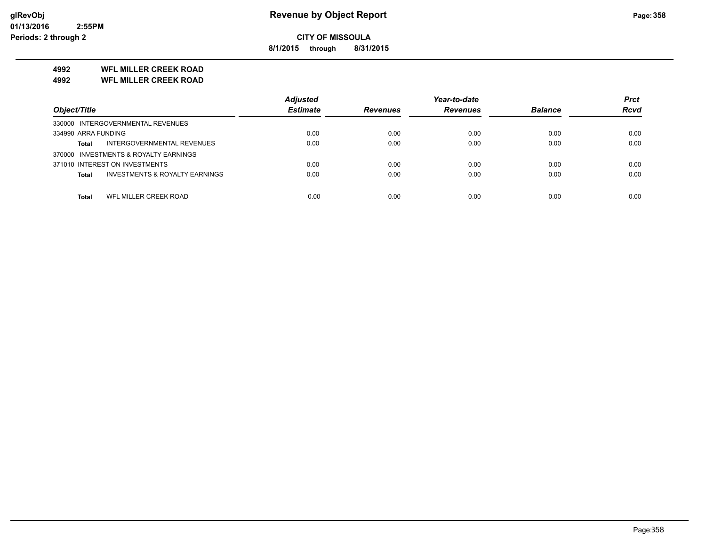**8/1/2015 through 8/31/2015**

#### **4992 WFL MILLER CREEK ROAD**

**4992 WFL MILLER CREEK ROAD**

|                                                           | <b>Adjusted</b> |                 | Year-to-date    |                | <b>Prct</b> |
|-----------------------------------------------------------|-----------------|-----------------|-----------------|----------------|-------------|
| Object/Title                                              | <b>Estimate</b> | <b>Revenues</b> | <b>Revenues</b> | <b>Balance</b> | <b>Rcvd</b> |
| 330000 INTERGOVERNMENTAL REVENUES                         |                 |                 |                 |                |             |
| 334990 ARRA FUNDING                                       | 0.00            | 0.00            | 0.00            | 0.00           | 0.00        |
| INTERGOVERNMENTAL REVENUES<br><b>Total</b>                | 0.00            | 0.00            | 0.00            | 0.00           | 0.00        |
| 370000 INVESTMENTS & ROYALTY EARNINGS                     |                 |                 |                 |                |             |
| 371010 INTEREST ON INVESTMENTS                            | 0.00            | 0.00            | 0.00            | 0.00           | 0.00        |
| <b>INVESTMENTS &amp; ROYALTY EARNINGS</b><br><b>Total</b> | 0.00            | 0.00            | 0.00            | 0.00           | 0.00        |
|                                                           |                 |                 |                 |                |             |
| WFL MILLER CREEK ROAD<br>Total                            | 0.00            | 0.00            | 0.00            | 0.00           | 0.00        |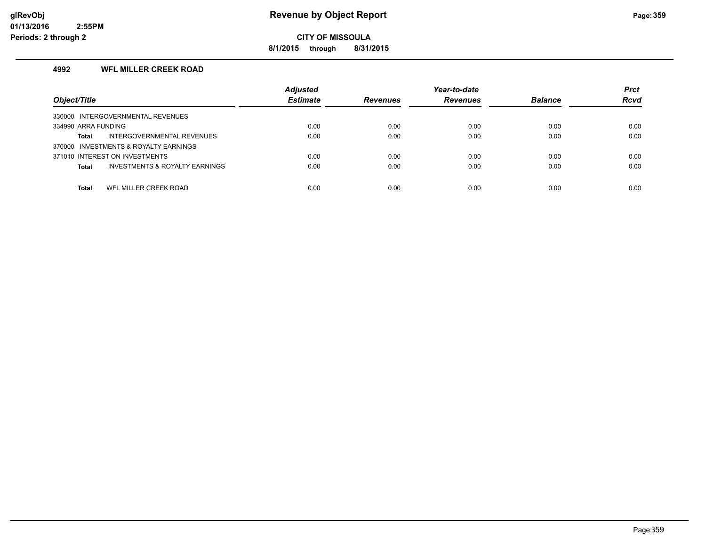**8/1/2015 through 8/31/2015**

#### **4992 WFL MILLER CREEK ROAD**

| Object/Title                                              | <b>Adjusted</b><br><b>Estimate</b> | <b>Revenues</b> | Year-to-date<br><b>Revenues</b> | <b>Balance</b> | <b>Prct</b><br><b>Rcvd</b> |
|-----------------------------------------------------------|------------------------------------|-----------------|---------------------------------|----------------|----------------------------|
| 330000 INTERGOVERNMENTAL REVENUES                         |                                    |                 |                                 |                |                            |
| 334990 ARRA FUNDING                                       | 0.00                               | 0.00            | 0.00                            | 0.00           | 0.00                       |
| INTERGOVERNMENTAL REVENUES<br>Total                       | 0.00                               | 0.00            | 0.00                            | 0.00           | 0.00                       |
| 370000 INVESTMENTS & ROYALTY EARNINGS                     |                                    |                 |                                 |                |                            |
| 371010 INTEREST ON INVESTMENTS                            | 0.00                               | 0.00            | 0.00                            | 0.00           | 0.00                       |
| <b>INVESTMENTS &amp; ROYALTY EARNINGS</b><br><b>Total</b> | 0.00                               | 0.00            | 0.00                            | 0.00           | 0.00                       |
|                                                           |                                    |                 |                                 |                |                            |
| WFL MILLER CREEK ROAD<br><b>Total</b>                     | 0.00                               | 0.00            | 0.00                            | 0.00           | 0.00                       |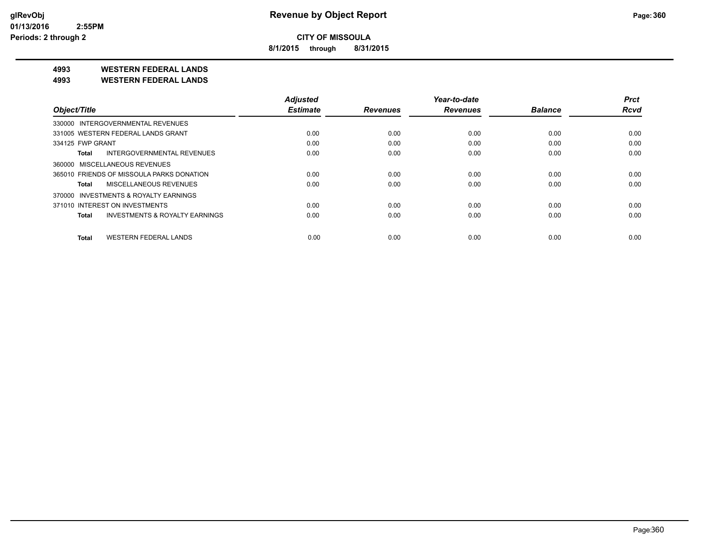**8/1/2015 through 8/31/2015**

**4993 WESTERN FEDERAL LANDS**

**4993 WESTERN FEDERAL LANDS**

|                                           | <b>Adjusted</b> |                 | Year-to-date    |                | <b>Prct</b> |
|-------------------------------------------|-----------------|-----------------|-----------------|----------------|-------------|
| Object/Title                              | <b>Estimate</b> | <b>Revenues</b> | <b>Revenues</b> | <b>Balance</b> | <b>Rcvd</b> |
| 330000 INTERGOVERNMENTAL REVENUES         |                 |                 |                 |                |             |
| 331005 WESTERN FEDERAL LANDS GRANT        | 0.00            | 0.00            | 0.00            | 0.00           | 0.00        |
| 334125 FWP GRANT                          | 0.00            | 0.00            | 0.00            | 0.00           | 0.00        |
| INTERGOVERNMENTAL REVENUES<br>Total       | 0.00            | 0.00            | 0.00            | 0.00           | 0.00        |
| 360000 MISCELLANEOUS REVENUES             |                 |                 |                 |                |             |
| 365010 FRIENDS OF MISSOULA PARKS DONATION | 0.00            | 0.00            | 0.00            | 0.00           | 0.00        |
| MISCELLANEOUS REVENUES<br>Total           | 0.00            | 0.00            | 0.00            | 0.00           | 0.00        |
| 370000 INVESTMENTS & ROYALTY EARNINGS     |                 |                 |                 |                |             |
| 371010 INTEREST ON INVESTMENTS            | 0.00            | 0.00            | 0.00            | 0.00           | 0.00        |
| INVESTMENTS & ROYALTY EARNINGS<br>Total   | 0.00            | 0.00            | 0.00            | 0.00           | 0.00        |
| <b>WESTERN FEDERAL LANDS</b><br>Total     | 0.00            | 0.00            | 0.00            | 0.00           | 0.00        |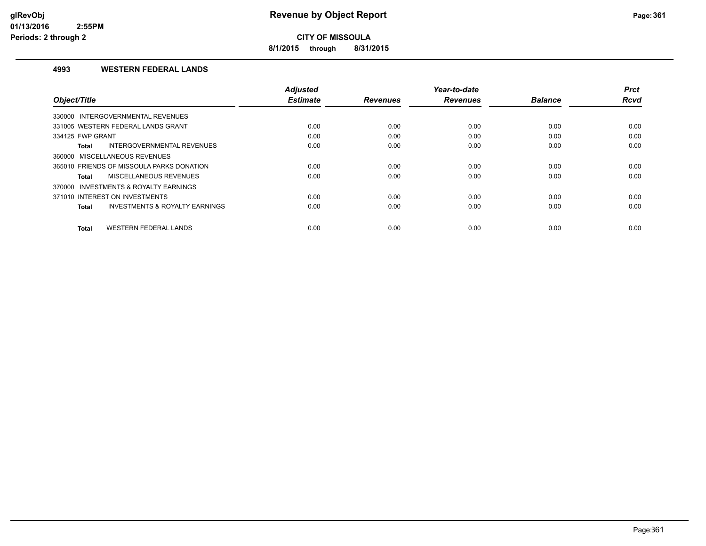**8/1/2015 through 8/31/2015**

### **4993 WESTERN FEDERAL LANDS**

|                                                           | <b>Adjusted</b> |                 | Year-to-date    |                | <b>Prct</b> |
|-----------------------------------------------------------|-----------------|-----------------|-----------------|----------------|-------------|
| Object/Title                                              | <b>Estimate</b> | <b>Revenues</b> | <b>Revenues</b> | <b>Balance</b> | <b>Rcvd</b> |
| 330000 INTERGOVERNMENTAL REVENUES                         |                 |                 |                 |                |             |
| 331005 WESTERN FEDERAL LANDS GRANT                        | 0.00            | 0.00            | 0.00            | 0.00           | 0.00        |
| 334125 FWP GRANT                                          | 0.00            | 0.00            | 0.00            | 0.00           | 0.00        |
| INTERGOVERNMENTAL REVENUES<br><b>Total</b>                | 0.00            | 0.00            | 0.00            | 0.00           | 0.00        |
| 360000 MISCELLANEOUS REVENUES                             |                 |                 |                 |                |             |
| 365010 FRIENDS OF MISSOULA PARKS DONATION                 | 0.00            | 0.00            | 0.00            | 0.00           | 0.00        |
| MISCELLANEOUS REVENUES<br><b>Total</b>                    | 0.00            | 0.00            | 0.00            | 0.00           | 0.00        |
| 370000 INVESTMENTS & ROYALTY EARNINGS                     |                 |                 |                 |                |             |
| 371010 INTEREST ON INVESTMENTS                            | 0.00            | 0.00            | 0.00            | 0.00           | 0.00        |
| <b>INVESTMENTS &amp; ROYALTY EARNINGS</b><br><b>Total</b> | 0.00            | 0.00            | 0.00            | 0.00           | 0.00        |
|                                                           |                 |                 |                 |                |             |
| <b>WESTERN FEDERAL LANDS</b><br><b>Total</b>              | 0.00            | 0.00            | 0.00            | 0.00           | 0.00        |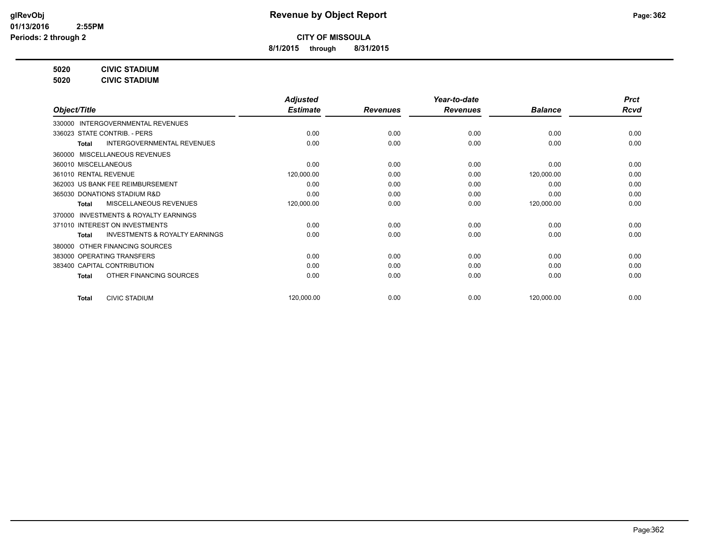**8/1/2015 through 8/31/2015**

**5020 CIVIC STADIUM**

**5020 CIVIC STADIUM**

|                                                           | <b>Adjusted</b> |                 | Year-to-date    |                | <b>Prct</b> |
|-----------------------------------------------------------|-----------------|-----------------|-----------------|----------------|-------------|
| Object/Title                                              | <b>Estimate</b> | <b>Revenues</b> | <b>Revenues</b> | <b>Balance</b> | Rcvd        |
| 330000 INTERGOVERNMENTAL REVENUES                         |                 |                 |                 |                |             |
| 336023 STATE CONTRIB. - PERS                              | 0.00            | 0.00            | 0.00            | 0.00           | 0.00        |
| <b>INTERGOVERNMENTAL REVENUES</b><br><b>Total</b>         | 0.00            | 0.00            | 0.00            | 0.00           | 0.00        |
| 360000 MISCELLANEOUS REVENUES                             |                 |                 |                 |                |             |
| 360010 MISCELLANEOUS                                      | 0.00            | 0.00            | 0.00            | 0.00           | 0.00        |
| 361010 RENTAL REVENUE                                     | 120,000.00      | 0.00            | 0.00            | 120,000.00     | 0.00        |
| 362003 US BANK FEE REIMBURSEMENT                          | 0.00            | 0.00            | 0.00            | 0.00           | 0.00        |
| 365030 DONATIONS STADIUM R&D                              | 0.00            | 0.00            | 0.00            | 0.00           | 0.00        |
| MISCELLANEOUS REVENUES<br><b>Total</b>                    | 120,000.00      | 0.00            | 0.00            | 120,000.00     | 0.00        |
| INVESTMENTS & ROYALTY EARNINGS<br>370000                  |                 |                 |                 |                |             |
| 371010 INTEREST ON INVESTMENTS                            | 0.00            | 0.00            | 0.00            | 0.00           | 0.00        |
| <b>INVESTMENTS &amp; ROYALTY EARNINGS</b><br><b>Total</b> | 0.00            | 0.00            | 0.00            | 0.00           | 0.00        |
| OTHER FINANCING SOURCES<br>380000                         |                 |                 |                 |                |             |
| 383000 OPERATING TRANSFERS                                | 0.00            | 0.00            | 0.00            | 0.00           | 0.00        |
| 383400 CAPITAL CONTRIBUTION                               | 0.00            | 0.00            | 0.00            | 0.00           | 0.00        |
| OTHER FINANCING SOURCES<br><b>Total</b>                   | 0.00            | 0.00            | 0.00            | 0.00           | 0.00        |
| <b>CIVIC STADIUM</b><br><b>Total</b>                      | 120,000.00      | 0.00            | 0.00            | 120,000.00     | 0.00        |
|                                                           |                 |                 |                 |                |             |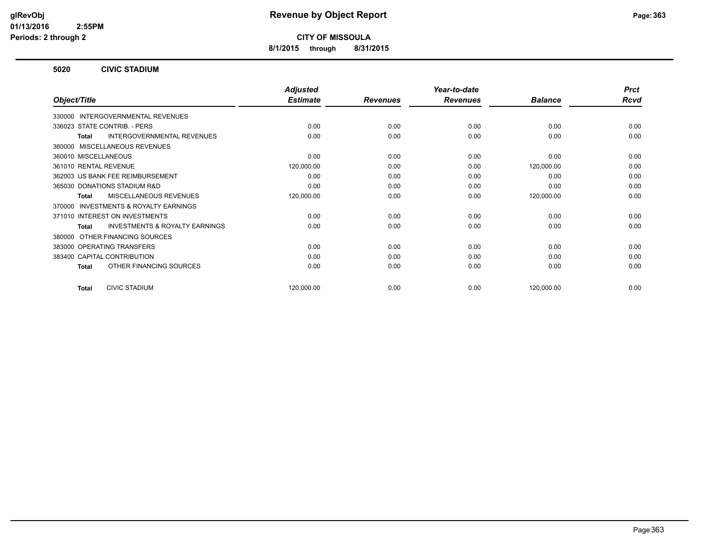**8/1/2015 through 8/31/2015**

#### **5020 CIVIC STADIUM**

|                                                           | <b>Adjusted</b> |                 | Year-to-date    |                | <b>Prct</b> |
|-----------------------------------------------------------|-----------------|-----------------|-----------------|----------------|-------------|
| Object/Title                                              | <b>Estimate</b> | <b>Revenues</b> | <b>Revenues</b> | <b>Balance</b> | <b>Rcvd</b> |
| INTERGOVERNMENTAL REVENUES<br>330000                      |                 |                 |                 |                |             |
| 336023 STATE CONTRIB. - PERS                              | 0.00            | 0.00            | 0.00            | 0.00           | 0.00        |
| <b>INTERGOVERNMENTAL REVENUES</b><br><b>Total</b>         | 0.00            | 0.00            | 0.00            | 0.00           | 0.00        |
| MISCELLANEOUS REVENUES<br>360000                          |                 |                 |                 |                |             |
| 360010 MISCELLANEOUS                                      | 0.00            | 0.00            | 0.00            | 0.00           | 0.00        |
| 361010 RENTAL REVENUE                                     | 120,000.00      | 0.00            | 0.00            | 120,000.00     | 0.00        |
| 362003 US BANK FEE REIMBURSEMENT                          | 0.00            | 0.00            | 0.00            | 0.00           | 0.00        |
| 365030 DONATIONS STADIUM R&D                              | 0.00            | 0.00            | 0.00            | 0.00           | 0.00        |
| MISCELLANEOUS REVENUES<br><b>Total</b>                    | 120,000.00      | 0.00            | 0.00            | 120,000.00     | 0.00        |
| <b>INVESTMENTS &amp; ROYALTY EARNINGS</b><br>370000       |                 |                 |                 |                |             |
| 371010 INTEREST ON INVESTMENTS                            | 0.00            | 0.00            | 0.00            | 0.00           | 0.00        |
| <b>INVESTMENTS &amp; ROYALTY EARNINGS</b><br><b>Total</b> | 0.00            | 0.00            | 0.00            | 0.00           | 0.00        |
| OTHER FINANCING SOURCES<br>380000                         |                 |                 |                 |                |             |
| 383000 OPERATING TRANSFERS                                | 0.00            | 0.00            | 0.00            | 0.00           | 0.00        |
| 383400 CAPITAL CONTRIBUTION                               | 0.00            | 0.00            | 0.00            | 0.00           | 0.00        |
| OTHER FINANCING SOURCES<br><b>Total</b>                   | 0.00            | 0.00            | 0.00            | 0.00           | 0.00        |
| <b>CIVIC STADIUM</b><br><b>Total</b>                      | 120,000.00      | 0.00            | 0.00            | 120,000.00     | 0.00        |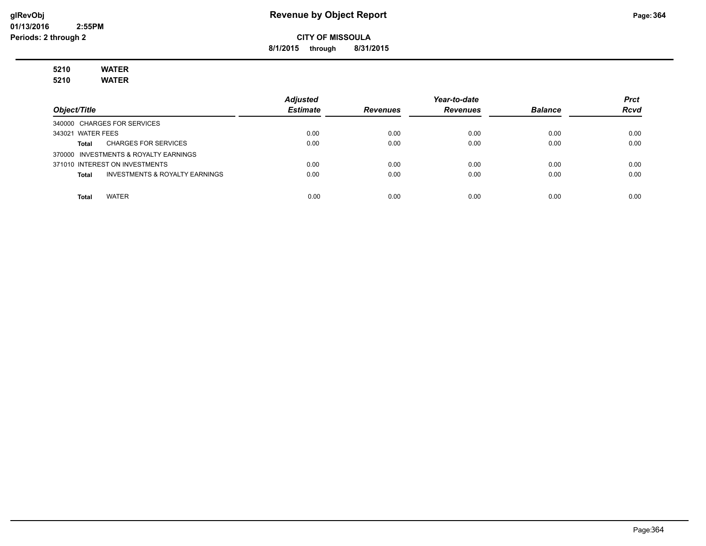**8/1/2015 through 8/31/2015**

# **5210 WATER**

**5210 WATER**

|                                                    | <b>Adjusted</b> |                 | Year-to-date    |                | <b>Prct</b> |
|----------------------------------------------------|-----------------|-----------------|-----------------|----------------|-------------|
| Object/Title                                       | <b>Estimate</b> | <b>Revenues</b> | <b>Revenues</b> | <b>Balance</b> | <b>Rcvd</b> |
| 340000 CHARGES FOR SERVICES                        |                 |                 |                 |                |             |
| 343021 WATER FEES                                  | 0.00            | 0.00            | 0.00            | 0.00           | 0.00        |
| <b>CHARGES FOR SERVICES</b><br>Total               | 0.00            | 0.00            | 0.00            | 0.00           | 0.00        |
| 370000 INVESTMENTS & ROYALTY EARNINGS              |                 |                 |                 |                |             |
| 371010 INTEREST ON INVESTMENTS                     | 0.00            | 0.00            | 0.00            | 0.00           | 0.00        |
| <b>INVESTMENTS &amp; ROYALTY EARNINGS</b><br>Total | 0.00            | 0.00            | 0.00            | 0.00           | 0.00        |
|                                                    |                 |                 |                 |                |             |
| <b>WATER</b><br>Total                              | 0.00            | 0.00            | 0.00            | 0.00           | 0.00        |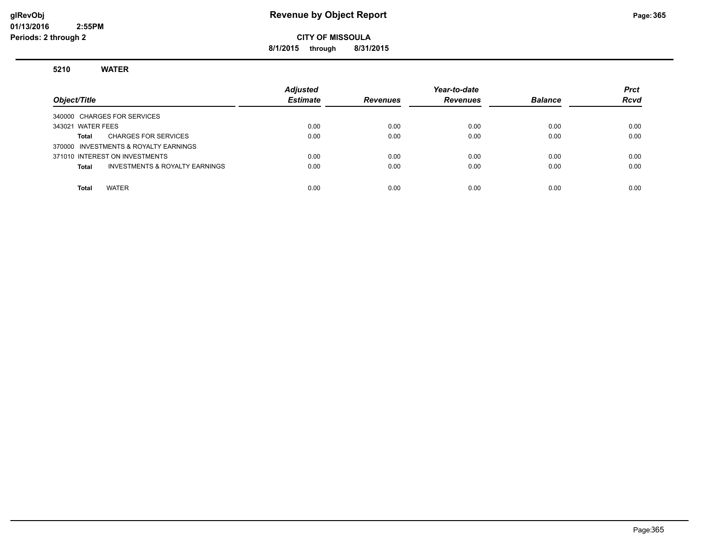## **glRevObj Revenue by Object Report Page:365**

**CITY OF MISSOULA**

**8/1/2015 through 8/31/2015**

#### **5210 WATER**

| Object/Title                                       | <b>Adjusted</b><br><b>Estimate</b> | <b>Revenues</b> | Year-to-date<br><b>Revenues</b> | <b>Balance</b> | <b>Prct</b><br><b>Rcvd</b> |
|----------------------------------------------------|------------------------------------|-----------------|---------------------------------|----------------|----------------------------|
| 340000 CHARGES FOR SERVICES                        |                                    |                 |                                 |                |                            |
| 343021 WATER FEES                                  | 0.00                               | 0.00            | 0.00                            | 0.00           | 0.00                       |
| <b>CHARGES FOR SERVICES</b><br>Total               | 0.00                               | 0.00            | 0.00                            | 0.00           | 0.00                       |
| 370000 INVESTMENTS & ROYALTY EARNINGS              |                                    |                 |                                 |                |                            |
| 371010 INTEREST ON INVESTMENTS                     | 0.00                               | 0.00            | 0.00                            | 0.00           | 0.00                       |
| <b>INVESTMENTS &amp; ROYALTY EARNINGS</b><br>Total | 0.00                               | 0.00            | 0.00                            | 0.00           | 0.00                       |
|                                                    |                                    |                 |                                 |                |                            |
| <b>WATER</b><br><b>Total</b>                       | 0.00                               | 0.00            | 0.00                            | 0.00           | 0.00                       |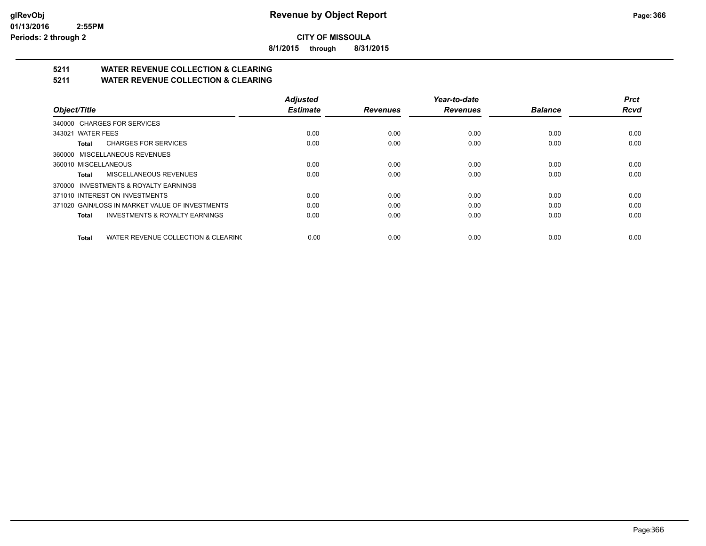**8/1/2015 through 8/31/2015**

## **5211 WATER REVENUE COLLECTION & CLEARING**

**5211 WATER REVENUE COLLECTION & CLEARING**

|                                                     | <b>Adjusted</b> |                 | Year-to-date    |                | <b>Prct</b> |
|-----------------------------------------------------|-----------------|-----------------|-----------------|----------------|-------------|
| Object/Title                                        | <b>Estimate</b> | <b>Revenues</b> | <b>Revenues</b> | <b>Balance</b> | Rcvd        |
| 340000 CHARGES FOR SERVICES                         |                 |                 |                 |                |             |
| 343021 WATER FEES                                   | 0.00            | 0.00            | 0.00            | 0.00           | 0.00        |
| <b>CHARGES FOR SERVICES</b><br>Total                | 0.00            | 0.00            | 0.00            | 0.00           | 0.00        |
| 360000 MISCELLANEOUS REVENUES                       |                 |                 |                 |                |             |
| 360010 MISCELLANEOUS                                | 0.00            | 0.00            | 0.00            | 0.00           | 0.00        |
| MISCELLANEOUS REVENUES<br>Total                     | 0.00            | 0.00            | 0.00            | 0.00           | 0.00        |
| 370000 INVESTMENTS & ROYALTY EARNINGS               |                 |                 |                 |                |             |
| 371010 INTEREST ON INVESTMENTS                      | 0.00            | 0.00            | 0.00            | 0.00           | 0.00        |
| 371020 GAIN/LOSS IN MARKET VALUE OF INVESTMENTS     | 0.00            | 0.00            | 0.00            | 0.00           | 0.00        |
| <b>INVESTMENTS &amp; ROYALTY EARNINGS</b><br>Total  | 0.00            | 0.00            | 0.00            | 0.00           | 0.00        |
| WATER REVENUE COLLECTION & CLEARING<br><b>Total</b> | 0.00            | 0.00            | 0.00            | 0.00           | 0.00        |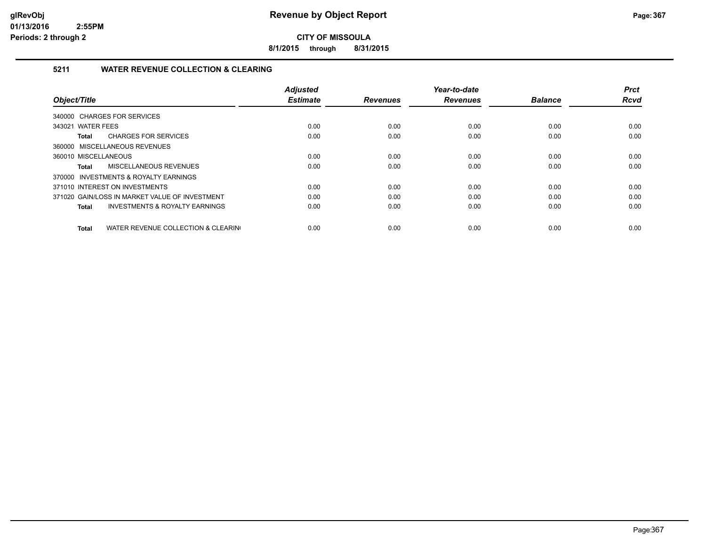**8/1/2015 through 8/31/2015**

## **5211 WATER REVENUE COLLECTION & CLEARING**

|                                                     | <b>Adjusted</b> |                 | Year-to-date    |                | <b>Prct</b> |
|-----------------------------------------------------|-----------------|-----------------|-----------------|----------------|-------------|
| Object/Title                                        | <b>Estimate</b> | <b>Revenues</b> | <b>Revenues</b> | <b>Balance</b> | <b>Rcvd</b> |
| 340000 CHARGES FOR SERVICES                         |                 |                 |                 |                |             |
| 343021 WATER FEES                                   | 0.00            | 0.00            | 0.00            | 0.00           | 0.00        |
| <b>CHARGES FOR SERVICES</b><br>Total                | 0.00            | 0.00            | 0.00            | 0.00           | 0.00        |
| 360000 MISCELLANEOUS REVENUES                       |                 |                 |                 |                |             |
| 360010 MISCELLANEOUS                                | 0.00            | 0.00            | 0.00            | 0.00           | 0.00        |
| MISCELLANEOUS REVENUES<br>Total                     | 0.00            | 0.00            | 0.00            | 0.00           | 0.00        |
| 370000 INVESTMENTS & ROYALTY EARNINGS               |                 |                 |                 |                |             |
| 371010 INTEREST ON INVESTMENTS                      | 0.00            | 0.00            | 0.00            | 0.00           | 0.00        |
| 371020 GAIN/LOSS IN MARKET VALUE OF INVESTMENT      | 0.00            | 0.00            | 0.00            | 0.00           | 0.00        |
| <b>INVESTMENTS &amp; ROYALTY EARNINGS</b><br>Total  | 0.00            | 0.00            | 0.00            | 0.00           | 0.00        |
|                                                     |                 |                 |                 |                |             |
| WATER REVENUE COLLECTION & CLEARING<br><b>Total</b> | 0.00            | 0.00            | 0.00            | 0.00           | 0.00        |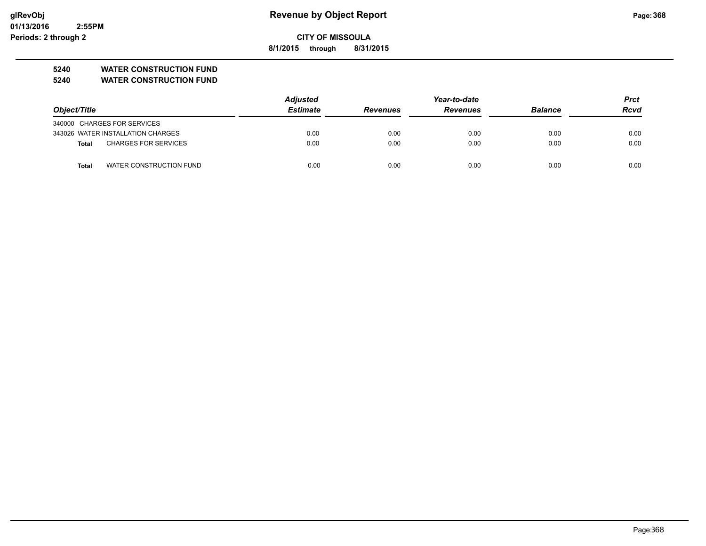**01/13/2016 2:55PM Periods: 2 through 2**

## **glRevObj Revenue by Object Report Page:368**

**CITY OF MISSOULA**

**8/1/2015 through 8/31/2015**

## **5240 WATER CONSTRUCTION FUND**

**5240 WATER CONSTRUCTION FUND**

|                                         | <b>Adjusted</b> |                 | Year-to-date    |                | <b>Prct</b> |
|-----------------------------------------|-----------------|-----------------|-----------------|----------------|-------------|
| Object/Title                            | <b>Estimate</b> | <b>Revenues</b> | <b>Revenues</b> | <b>Balance</b> | <b>Rcvd</b> |
| 340000 CHARGES FOR SERVICES             |                 |                 |                 |                |             |
| 343026 WATER INSTALLATION CHARGES       | 0.00            | 0.00            | 0.00            | 0.00           | 0.00        |
| <b>CHARGES FOR SERVICES</b><br>Total    | 0.00            | 0.00            | 0.00            | 0.00           | 0.00        |
| WATER CONSTRUCTION FUND<br><b>Total</b> | 0.00            | 0.00            | 0.00            | 0.00           | 0.00        |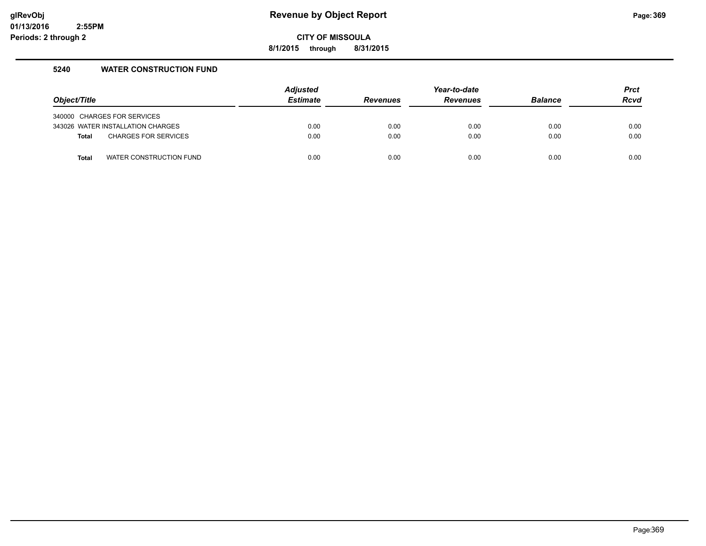**8/1/2015 through 8/31/2015**

### **5240 WATER CONSTRUCTION FUND**

| Object/Title |                                   | <b>Adjusted</b><br><b>Estimate</b> | <b>Revenues</b> | Year-to-date<br><b>Revenues</b> | <b>Balance</b> | <b>Prct</b><br><b>Rcvd</b> |
|--------------|-----------------------------------|------------------------------------|-----------------|---------------------------------|----------------|----------------------------|
|              | 340000 CHARGES FOR SERVICES       |                                    |                 |                                 |                |                            |
|              | 343026 WATER INSTALLATION CHARGES | 0.00                               | 0.00            | 0.00                            | 0.00           | 0.00                       |
| <b>Total</b> | <b>CHARGES FOR SERVICES</b>       | 0.00                               | 0.00            | 0.00                            | 0.00           | 0.00                       |
| <b>Total</b> | WATER CONSTRUCTION FUND           | 0.00                               | 0.00            | 0.00                            | 0.00           | 0.00                       |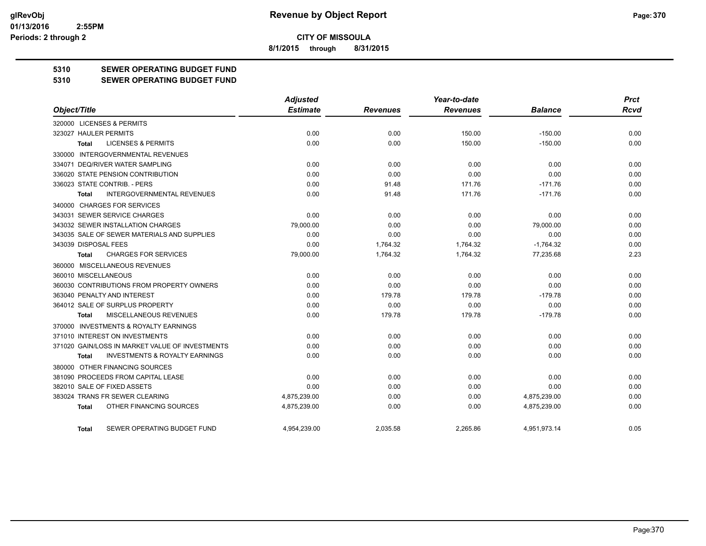**8/1/2015 through 8/31/2015**

## **5310 SEWER OPERATING BUDGET FUND**

#### **5310 SEWER OPERATING BUDGET FUND**

|                                                    | <b>Adjusted</b> |                 | Year-to-date    |                | <b>Prct</b> |
|----------------------------------------------------|-----------------|-----------------|-----------------|----------------|-------------|
| Object/Title                                       | <b>Estimate</b> | <b>Revenues</b> | <b>Revenues</b> | <b>Balance</b> | <b>Rcvd</b> |
| 320000 LICENSES & PERMITS                          |                 |                 |                 |                |             |
| 323027 HAULER PERMITS                              | 0.00            | 0.00            | 150.00          | $-150.00$      | 0.00        |
| <b>LICENSES &amp; PERMITS</b><br><b>Total</b>      | 0.00            | 0.00            | 150.00          | $-150.00$      | 0.00        |
| 330000 INTERGOVERNMENTAL REVENUES                  |                 |                 |                 |                |             |
| 334071 DEQ/RIVER WATER SAMPLING                    | 0.00            | 0.00            | 0.00            | 0.00           | 0.00        |
| 336020 STATE PENSION CONTRIBUTION                  | 0.00            | 0.00            | 0.00            | 0.00           | 0.00        |
| 336023 STATE CONTRIB. - PERS                       | 0.00            | 91.48           | 171.76          | $-171.76$      | 0.00        |
| <b>INTERGOVERNMENTAL REVENUES</b><br><b>Total</b>  | 0.00            | 91.48           | 171.76          | $-171.76$      | 0.00        |
| 340000 CHARGES FOR SERVICES                        |                 |                 |                 |                |             |
| 343031 SEWER SERVICE CHARGES                       | 0.00            | 0.00            | 0.00            | 0.00           | 0.00        |
| 343032 SEWER INSTALLATION CHARGES                  | 79,000.00       | 0.00            | 0.00            | 79,000.00      | 0.00        |
| 343035 SALE OF SEWER MATERIALS AND SUPPLIES        | 0.00            | 0.00            | 0.00            | 0.00           | 0.00        |
| 343039 DISPOSAL FEES                               | 0.00            | 1,764.32        | 1,764.32        | $-1,764.32$    | 0.00        |
| <b>CHARGES FOR SERVICES</b><br><b>Total</b>        | 79,000.00       | 1,764.32        | 1,764.32        | 77,235.68      | 2.23        |
| 360000 MISCELLANEOUS REVENUES                      |                 |                 |                 |                |             |
| 360010 MISCELLANEOUS                               | 0.00            | 0.00            | 0.00            | 0.00           | 0.00        |
| 360030 CONTRIBUTIONS FROM PROPERTY OWNERS          | 0.00            | 0.00            | 0.00            | 0.00           | 0.00        |
| 363040 PENALTY AND INTEREST                        | 0.00            | 179.78          | 179.78          | $-179.78$      | 0.00        |
| 364012 SALE OF SURPLUS PROPERTY                    | 0.00            | 0.00            | 0.00            | 0.00           | 0.00        |
| MISCELLANEOUS REVENUES<br>Total                    | 0.00            | 179.78          | 179.78          | $-179.78$      | 0.00        |
| 370000 INVESTMENTS & ROYALTY EARNINGS              |                 |                 |                 |                |             |
| 371010 INTEREST ON INVESTMENTS                     | 0.00            | 0.00            | 0.00            | 0.00           | 0.00        |
| 371020 GAIN/LOSS IN MARKET VALUE OF INVESTMENTS    | 0.00            | 0.00            | 0.00            | 0.00           | 0.00        |
| <b>INVESTMENTS &amp; ROYALTY EARNINGS</b><br>Total | 0.00            | 0.00            | 0.00            | 0.00           | 0.00        |
| 380000 OTHER FINANCING SOURCES                     |                 |                 |                 |                |             |
| 381090 PROCEEDS FROM CAPITAL LEASE                 | 0.00            | 0.00            | 0.00            | 0.00           | 0.00        |
| 382010 SALE OF FIXED ASSETS                        | 0.00            | 0.00            | 0.00            | 0.00           | 0.00        |
| 383024 TRANS FR SEWER CLEARING                     | 4,875,239.00    | 0.00            | 0.00            | 4,875,239.00   | 0.00        |
| OTHER FINANCING SOURCES<br><b>Total</b>            | 4,875,239.00    | 0.00            | 0.00            | 4,875,239.00   | 0.00        |
| SEWER OPERATING BUDGET FUND<br>Total               | 4.954.239.00    | 2.035.58        | 2.265.86        | 4,951,973.14   | 0.05        |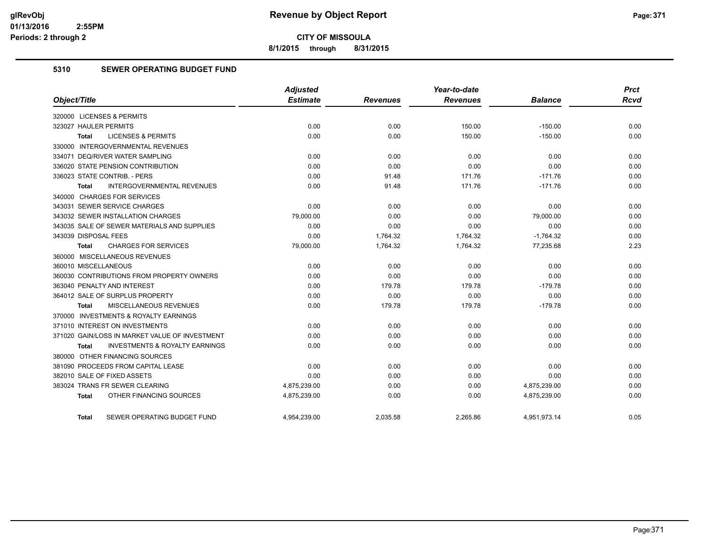**8/1/2015 through 8/31/2015**

## **5310 SEWER OPERATING BUDGET FUND**

|                                                    | Adjusted        |                 | Year-to-date    |                | <b>Prct</b> |
|----------------------------------------------------|-----------------|-----------------|-----------------|----------------|-------------|
| Object/Title                                       | <b>Estimate</b> | <b>Revenues</b> | <b>Revenues</b> | <b>Balance</b> | <b>Rcvd</b> |
| 320000 LICENSES & PERMITS                          |                 |                 |                 |                |             |
| 323027 HAULER PERMITS                              | 0.00            | 0.00            | 150.00          | $-150.00$      | 0.00        |
| <b>LICENSES &amp; PERMITS</b><br><b>Total</b>      | 0.00            | 0.00            | 150.00          | $-150.00$      | 0.00        |
| 330000 INTERGOVERNMENTAL REVENUES                  |                 |                 |                 |                |             |
| 334071 DEQ/RIVER WATER SAMPLING                    | 0.00            | 0.00            | 0.00            | 0.00           | 0.00        |
| 336020 STATE PENSION CONTRIBUTION                  | 0.00            | 0.00            | 0.00            | 0.00           | 0.00        |
| 336023 STATE CONTRIB. - PERS                       | 0.00            | 91.48           | 171.76          | $-171.76$      | 0.00        |
| <b>INTERGOVERNMENTAL REVENUES</b><br><b>Total</b>  | 0.00            | 91.48           | 171.76          | $-171.76$      | 0.00        |
| 340000 CHARGES FOR SERVICES                        |                 |                 |                 |                |             |
| 343031 SEWER SERVICE CHARGES                       | 0.00            | 0.00            | 0.00            | 0.00           | 0.00        |
| 343032 SEWER INSTALLATION CHARGES                  | 79,000.00       | 0.00            | 0.00            | 79,000.00      | 0.00        |
| 343035 SALE OF SEWER MATERIALS AND SUPPLIES        | 0.00            | 0.00            | 0.00            | 0.00           | 0.00        |
| 343039 DISPOSAL FEES                               | 0.00            | 1,764.32        | 1,764.32        | $-1,764.32$    | 0.00        |
| <b>CHARGES FOR SERVICES</b><br><b>Total</b>        | 79,000.00       | 1,764.32        | 1,764.32        | 77,235.68      | 2.23        |
| 360000 MISCELLANEOUS REVENUES                      |                 |                 |                 |                |             |
| 360010 MISCELLANEOUS                               | 0.00            | 0.00            | 0.00            | 0.00           | 0.00        |
| 360030 CONTRIBUTIONS FROM PROPERTY OWNERS          | 0.00            | 0.00            | 0.00            | 0.00           | 0.00        |
| 363040 PENALTY AND INTEREST                        | 0.00            | 179.78          | 179.78          | $-179.78$      | 0.00        |
| 364012 SALE OF SURPLUS PROPERTY                    | 0.00            | 0.00            | 0.00            | 0.00           | 0.00        |
| MISCELLANEOUS REVENUES<br>Total                    | 0.00            | 179.78          | 179.78          | $-179.78$      | 0.00        |
| 370000 INVESTMENTS & ROYALTY EARNINGS              |                 |                 |                 |                |             |
| 371010 INTEREST ON INVESTMENTS                     | 0.00            | 0.00            | 0.00            | 0.00           | 0.00        |
| 371020 GAIN/LOSS IN MARKET VALUE OF INVESTMENT     | 0.00            | 0.00            | 0.00            | 0.00           | 0.00        |
| <b>INVESTMENTS &amp; ROYALTY EARNINGS</b><br>Total | 0.00            | 0.00            | 0.00            | 0.00           | 0.00        |
| 380000 OTHER FINANCING SOURCES                     |                 |                 |                 |                |             |
| 381090 PROCEEDS FROM CAPITAL LEASE                 | 0.00            | 0.00            | 0.00            | 0.00           | 0.00        |
| 382010 SALE OF FIXED ASSETS                        | 0.00            | 0.00            | 0.00            | 0.00           | 0.00        |
| 383024 TRANS FR SEWER CLEARING                     | 4,875,239.00    | 0.00            | 0.00            | 4,875,239.00   | 0.00        |
| OTHER FINANCING SOURCES<br>Total                   | 4,875,239.00    | 0.00            | 0.00            | 4,875,239.00   | 0.00        |
| SEWER OPERATING BUDGET FUND<br>Total               | 4,954,239.00    | 2,035.58        | 2.265.86        | 4,951,973.14   | 0.05        |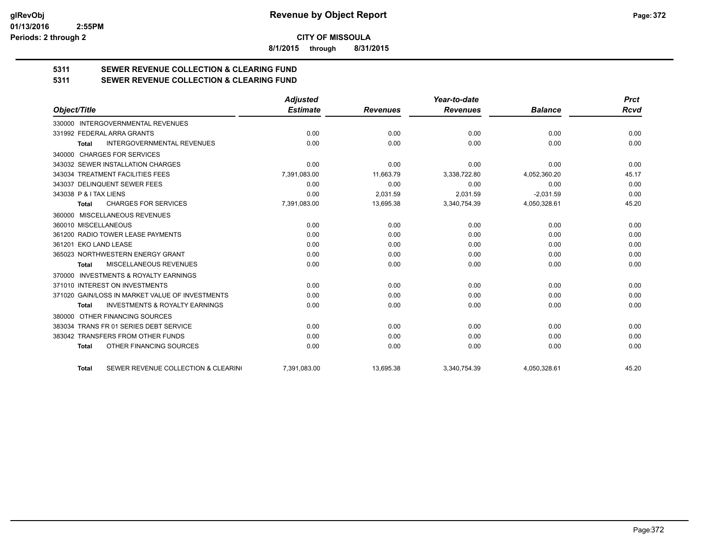**8/1/2015 through 8/31/2015**

# **5311 SEWER REVENUE COLLECTION & CLEARING FUND**

| 5311 | <b>SEWER REVENUE COLLECTION &amp; CLEARING FUND</b> |
|------|-----------------------------------------------------|
|      |                                                     |

|                                                           | <b>Adjusted</b> |                 | Year-to-date    |                | <b>Prct</b> |
|-----------------------------------------------------------|-----------------|-----------------|-----------------|----------------|-------------|
| Object/Title                                              | <b>Estimate</b> | <b>Revenues</b> | <b>Revenues</b> | <b>Balance</b> | <b>Rcvd</b> |
| 330000 INTERGOVERNMENTAL REVENUES                         |                 |                 |                 |                |             |
| 331992 FEDERAL ARRA GRANTS                                | 0.00            | 0.00            | 0.00            | 0.00           | 0.00        |
| <b>INTERGOVERNMENTAL REVENUES</b><br>Total                | 0.00            | 0.00            | 0.00            | 0.00           | 0.00        |
| 340000 CHARGES FOR SERVICES                               |                 |                 |                 |                |             |
| 343032 SEWER INSTALLATION CHARGES                         | 0.00            | 0.00            | 0.00            | 0.00           | 0.00        |
| 343034 TREATMENT FACILITIES FEES                          | 7,391,083.00    | 11,663.79       | 3,338,722.80    | 4,052,360.20   | 45.17       |
| 343037 DELINQUENT SEWER FEES                              | 0.00            | 0.00            | 0.00            | 0.00           | 0.00        |
| 343038 P & I TAX LIENS                                    | 0.00            | 2,031.59        | 2,031.59        | $-2,031.59$    | 0.00        |
| <b>CHARGES FOR SERVICES</b><br><b>Total</b>               | 7,391,083.00    | 13,695.38       | 3,340,754.39    | 4,050,328.61   | 45.20       |
| MISCELLANEOUS REVENUES<br>360000                          |                 |                 |                 |                |             |
| 360010 MISCELLANEOUS                                      | 0.00            | 0.00            | 0.00            | 0.00           | 0.00        |
| 361200 RADIO TOWER LEASE PAYMENTS                         | 0.00            | 0.00            | 0.00            | 0.00           | 0.00        |
| 361201 EKO LAND LEASE                                     | 0.00            | 0.00            | 0.00            | 0.00           | 0.00        |
| 365023 NORTHWESTERN ENERGY GRANT                          | 0.00            | 0.00            | 0.00            | 0.00           | 0.00        |
| MISCELLANEOUS REVENUES<br><b>Total</b>                    | 0.00            | 0.00            | 0.00            | 0.00           | 0.00        |
| <b>INVESTMENTS &amp; ROYALTY EARNINGS</b><br>370000       |                 |                 |                 |                |             |
| 371010 INTEREST ON INVESTMENTS                            | 0.00            | 0.00            | 0.00            | 0.00           | 0.00        |
| 371020 GAIN/LOSS IN MARKET VALUE OF INVESTMENTS           | 0.00            | 0.00            | 0.00            | 0.00           | 0.00        |
| <b>INVESTMENTS &amp; ROYALTY EARNINGS</b><br><b>Total</b> | 0.00            | 0.00            | 0.00            | 0.00           | 0.00        |
| OTHER FINANCING SOURCES<br>380000                         |                 |                 |                 |                |             |
| 383034 TRANS FR 01 SERIES DEBT SERVICE                    | 0.00            | 0.00            | 0.00            | 0.00           | 0.00        |
| 383042 TRANSFERS FROM OTHER FUNDS                         | 0.00            | 0.00            | 0.00            | 0.00           | 0.00        |
| OTHER FINANCING SOURCES<br><b>Total</b>                   | 0.00            | 0.00            | 0.00            | 0.00           | 0.00        |
| SEWER REVENUE COLLECTION & CLEARING<br><b>Total</b>       | 7,391,083.00    | 13,695.38       | 3,340,754.39    | 4,050,328.61   | 45.20       |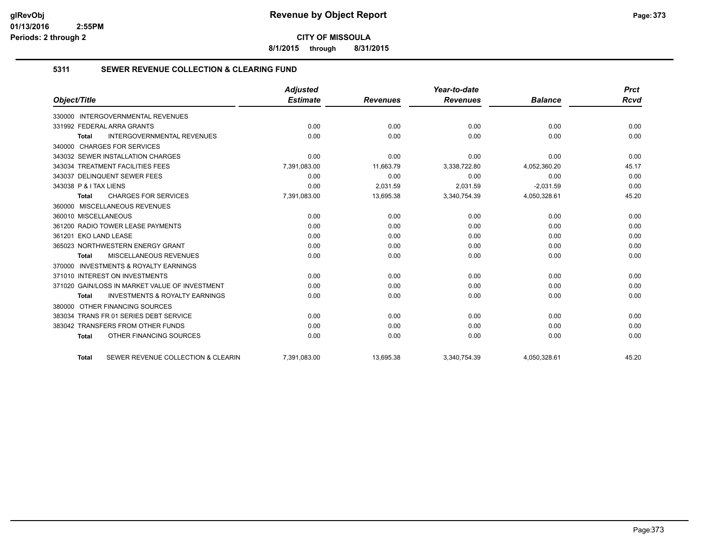**8/1/2015 through 8/31/2015**

## **5311 SEWER REVENUE COLLECTION & CLEARING FUND**

|                                                           | <b>Adjusted</b> |                 | Year-to-date    |                | <b>Prct</b> |
|-----------------------------------------------------------|-----------------|-----------------|-----------------|----------------|-------------|
| Object/Title                                              | <b>Estimate</b> | <b>Revenues</b> | <b>Revenues</b> | <b>Balance</b> | <b>Rcvd</b> |
| 330000 INTERGOVERNMENTAL REVENUES                         |                 |                 |                 |                |             |
| 331992 FEDERAL ARRA GRANTS                                | 0.00            | 0.00            | 0.00            | 0.00           | 0.00        |
| <b>INTERGOVERNMENTAL REVENUES</b><br><b>Total</b>         | 0.00            | 0.00            | 0.00            | 0.00           | 0.00        |
| 340000 CHARGES FOR SERVICES                               |                 |                 |                 |                |             |
| 343032 SEWER INSTALLATION CHARGES                         | 0.00            | 0.00            | 0.00            | 0.00           | 0.00        |
| 343034 TREATMENT FACILITIES FEES                          | 7,391,083.00    | 11,663.79       | 3,338,722.80    | 4,052,360.20   | 45.17       |
| 343037 DELINQUENT SEWER FEES                              | 0.00            | 0.00            | 0.00            | 0.00           | 0.00        |
| 343038 P & I TAX LIENS                                    | 0.00            | 2.031.59        | 2.031.59        | $-2.031.59$    | 0.00        |
| <b>CHARGES FOR SERVICES</b><br>Total                      | 7,391,083.00    | 13,695.38       | 3,340,754.39    | 4,050,328.61   | 45.20       |
| 360000 MISCELLANEOUS REVENUES                             |                 |                 |                 |                |             |
| 360010 MISCELLANEOUS                                      | 0.00            | 0.00            | 0.00            | 0.00           | 0.00        |
| 361200 RADIO TOWER LEASE PAYMENTS                         | 0.00            | 0.00            | 0.00            | 0.00           | 0.00        |
| 361201 EKO LAND LEASE                                     | 0.00            | 0.00            | 0.00            | 0.00           | 0.00        |
| 365023 NORTHWESTERN ENERGY GRANT                          | 0.00            | 0.00            | 0.00            | 0.00           | 0.00        |
| MISCELLANEOUS REVENUES<br>Total                           | 0.00            | 0.00            | 0.00            | 0.00           | 0.00        |
| 370000 INVESTMENTS & ROYALTY EARNINGS                     |                 |                 |                 |                |             |
| 371010 INTEREST ON INVESTMENTS                            | 0.00            | 0.00            | 0.00            | 0.00           | 0.00        |
| 371020 GAIN/LOSS IN MARKET VALUE OF INVESTMENT            | 0.00            | 0.00            | 0.00            | 0.00           | 0.00        |
| <b>INVESTMENTS &amp; ROYALTY EARNINGS</b><br><b>Total</b> | 0.00            | 0.00            | 0.00            | 0.00           | 0.00        |
| OTHER FINANCING SOURCES<br>380000                         |                 |                 |                 |                |             |
| 383034 TRANS FR 01 SERIES DEBT SERVICE                    | 0.00            | 0.00            | 0.00            | 0.00           | 0.00        |
| 383042 TRANSFERS FROM OTHER FUNDS                         | 0.00            | 0.00            | 0.00            | 0.00           | 0.00        |
| OTHER FINANCING SOURCES<br><b>Total</b>                   | 0.00            | 0.00            | 0.00            | 0.00           | 0.00        |
| SEWER REVENUE COLLECTION & CLEARIN<br><b>Total</b>        | 7,391,083.00    | 13,695.38       | 3,340,754.39    | 4,050,328.61   | 45.20       |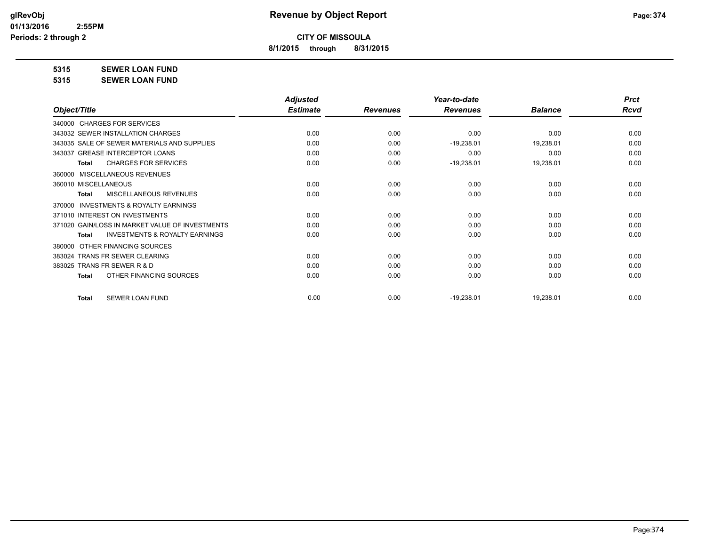**8/1/2015 through 8/31/2015**

**5315 SEWER LOAN FUND**

**5315 SEWER LOAN FUND**

|                                                           | <b>Adjusted</b> |                 | Year-to-date    |                | <b>Prct</b> |
|-----------------------------------------------------------|-----------------|-----------------|-----------------|----------------|-------------|
| Object/Title                                              | <b>Estimate</b> | <b>Revenues</b> | <b>Revenues</b> | <b>Balance</b> | <b>Rcvd</b> |
| 340000 CHARGES FOR SERVICES                               |                 |                 |                 |                |             |
| 343032 SEWER INSTALLATION CHARGES                         | 0.00            | 0.00            | 0.00            | 0.00           | 0.00        |
| 343035 SALE OF SEWER MATERIALS AND SUPPLIES               | 0.00            | 0.00            | $-19,238.01$    | 19,238.01      | 0.00        |
| 343037 GREASE INTERCEPTOR LOANS                           | 0.00            | 0.00            | 0.00            | 0.00           | 0.00        |
| <b>CHARGES FOR SERVICES</b><br><b>Total</b>               | 0.00            | 0.00            | $-19,238.01$    | 19,238.01      | 0.00        |
| MISCELLANEOUS REVENUES<br>360000                          |                 |                 |                 |                |             |
| 360010 MISCELLANEOUS                                      | 0.00            | 0.00            | 0.00            | 0.00           | 0.00        |
| MISCELLANEOUS REVENUES<br><b>Total</b>                    | 0.00            | 0.00            | 0.00            | 0.00           | 0.00        |
| <b>INVESTMENTS &amp; ROYALTY EARNINGS</b><br>370000       |                 |                 |                 |                |             |
| 371010 INTEREST ON INVESTMENTS                            | 0.00            | 0.00            | 0.00            | 0.00           | 0.00        |
| 371020 GAIN/LOSS IN MARKET VALUE OF INVESTMENTS           | 0.00            | 0.00            | 0.00            | 0.00           | 0.00        |
| <b>INVESTMENTS &amp; ROYALTY EARNINGS</b><br><b>Total</b> | 0.00            | 0.00            | 0.00            | 0.00           | 0.00        |
| OTHER FINANCING SOURCES<br>380000                         |                 |                 |                 |                |             |
| 383024 TRANS FR SEWER CLEARING                            | 0.00            | 0.00            | 0.00            | 0.00           | 0.00        |
| 383025 TRANS FR SEWER R & D                               | 0.00            | 0.00            | 0.00            | 0.00           | 0.00        |
| OTHER FINANCING SOURCES<br><b>Total</b>                   | 0.00            | 0.00            | 0.00            | 0.00           | 0.00        |
|                                                           |                 |                 |                 |                |             |
| <b>SEWER LOAN FUND</b><br><b>Total</b>                    | 0.00            | 0.00            | $-19,238.01$    | 19,238.01      | 0.00        |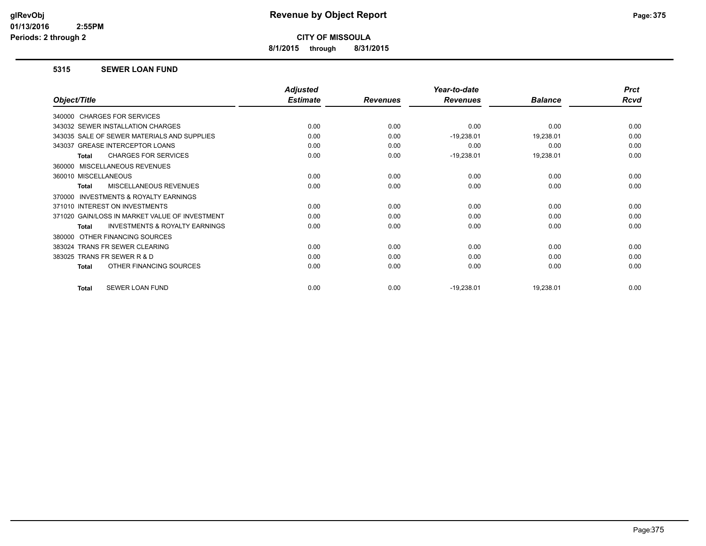**8/1/2015 through 8/31/2015**

#### **5315 SEWER LOAN FUND**

|                                                           | <b>Adjusted</b> |                 | Year-to-date    |                | <b>Prct</b> |
|-----------------------------------------------------------|-----------------|-----------------|-----------------|----------------|-------------|
| Object/Title                                              | <b>Estimate</b> | <b>Revenues</b> | <b>Revenues</b> | <b>Balance</b> | Rcvd        |
| 340000 CHARGES FOR SERVICES                               |                 |                 |                 |                |             |
| 343032 SEWER INSTALLATION CHARGES                         | 0.00            | 0.00            | 0.00            | 0.00           | 0.00        |
| 343035 SALE OF SEWER MATERIALS AND SUPPLIES               | 0.00            | 0.00            | $-19,238.01$    | 19,238.01      | 0.00        |
| 343037 GREASE INTERCEPTOR LOANS                           | 0.00            | 0.00            | 0.00            | 0.00           | 0.00        |
| <b>CHARGES FOR SERVICES</b><br><b>Total</b>               | 0.00            | 0.00            | $-19,238.01$    | 19,238.01      | 0.00        |
| MISCELLANEOUS REVENUES<br>360000                          |                 |                 |                 |                |             |
| 360010 MISCELLANEOUS                                      | 0.00            | 0.00            | 0.00            | 0.00           | 0.00        |
| MISCELLANEOUS REVENUES<br><b>Total</b>                    | 0.00            | 0.00            | 0.00            | 0.00           | 0.00        |
| INVESTMENTS & ROYALTY EARNINGS<br>370000                  |                 |                 |                 |                |             |
| 371010 INTEREST ON INVESTMENTS                            | 0.00            | 0.00            | 0.00            | 0.00           | 0.00        |
| 371020 GAIN/LOSS IN MARKET VALUE OF INVESTMENT            | 0.00            | 0.00            | 0.00            | 0.00           | 0.00        |
| <b>INVESTMENTS &amp; ROYALTY EARNINGS</b><br><b>Total</b> | 0.00            | 0.00            | 0.00            | 0.00           | 0.00        |
| OTHER FINANCING SOURCES<br>380000                         |                 |                 |                 |                |             |
| 383024 TRANS FR SEWER CLEARING                            | 0.00            | 0.00            | 0.00            | 0.00           | 0.00        |
| 383025 TRANS FR SEWER R & D                               | 0.00            | 0.00            | 0.00            | 0.00           | 0.00        |
| OTHER FINANCING SOURCES<br><b>Total</b>                   | 0.00            | 0.00            | 0.00            | 0.00           | 0.00        |
| SEWER LOAN FUND<br><b>Total</b>                           | 0.00            | 0.00            | $-19,238.01$    | 19,238.01      | 0.00        |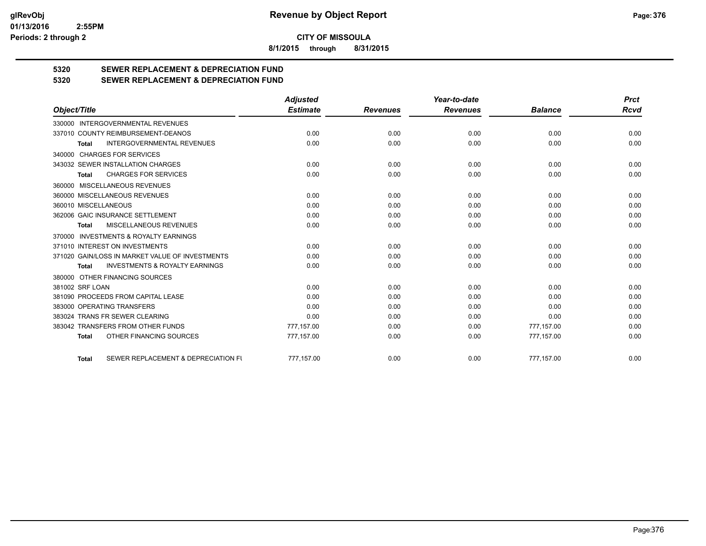**8/1/2015 through 8/31/2015**

# **5320 SEWER REPLACEMENT & DEPRECIATION FUND**

## **5320 SEWER REPLACEMENT & DEPRECIATION FUND**

|                                                           | <b>Adjusted</b> |                 | Year-to-date    |                | <b>Prct</b> |
|-----------------------------------------------------------|-----------------|-----------------|-----------------|----------------|-------------|
| Object/Title                                              | <b>Estimate</b> | <b>Revenues</b> | <b>Revenues</b> | <b>Balance</b> | Rcvd        |
| 330000 INTERGOVERNMENTAL REVENUES                         |                 |                 |                 |                |             |
| 337010 COUNTY REIMBURSEMENT-DEANOS                        | 0.00            | 0.00            | 0.00            | 0.00           | 0.00        |
| <b>INTERGOVERNMENTAL REVENUES</b><br><b>Total</b>         | 0.00            | 0.00            | 0.00            | 0.00           | 0.00        |
| 340000 CHARGES FOR SERVICES                               |                 |                 |                 |                |             |
| 343032 SEWER INSTALLATION CHARGES                         | 0.00            | 0.00            | 0.00            | 0.00           | 0.00        |
| <b>CHARGES FOR SERVICES</b><br><b>Total</b>               | 0.00            | 0.00            | 0.00            | 0.00           | 0.00        |
| 360000 MISCELLANEOUS REVENUES                             |                 |                 |                 |                |             |
| 360000 MISCELLANEOUS REVENUES                             | 0.00            | 0.00            | 0.00            | 0.00           | 0.00        |
| 360010 MISCELLANEOUS                                      | 0.00            | 0.00            | 0.00            | 0.00           | 0.00        |
| 362006 GAIC INSURANCE SETTLEMENT                          | 0.00            | 0.00            | 0.00            | 0.00           | 0.00        |
| MISCELLANEOUS REVENUES<br><b>Total</b>                    | 0.00            | 0.00            | 0.00            | 0.00           | 0.00        |
| 370000 INVESTMENTS & ROYALTY EARNINGS                     |                 |                 |                 |                |             |
| 371010 INTEREST ON INVESTMENTS                            | 0.00            | 0.00            | 0.00            | 0.00           | 0.00        |
| 371020 GAIN/LOSS IN MARKET VALUE OF INVESTMENTS           | 0.00            | 0.00            | 0.00            | 0.00           | 0.00        |
| <b>INVESTMENTS &amp; ROYALTY EARNINGS</b><br><b>Total</b> | 0.00            | 0.00            | 0.00            | 0.00           | 0.00        |
| 380000 OTHER FINANCING SOURCES                            |                 |                 |                 |                |             |
| 381002 SRF LOAN                                           | 0.00            | 0.00            | 0.00            | 0.00           | 0.00        |
| 381090 PROCEEDS FROM CAPITAL LEASE                        | 0.00            | 0.00            | 0.00            | 0.00           | 0.00        |
| 383000 OPERATING TRANSFERS                                | 0.00            | 0.00            | 0.00            | 0.00           | 0.00        |
| 383024 TRANS FR SEWER CLEARING                            | 0.00            | 0.00            | 0.00            | 0.00           | 0.00        |
| 383042 TRANSFERS FROM OTHER FUNDS                         | 777.157.00      | 0.00            | 0.00            | 777.157.00     | 0.00        |
| OTHER FINANCING SOURCES<br><b>Total</b>                   | 777,157.00      | 0.00            | 0.00            | 777,157.00     | 0.00        |
| SEWER REPLACEMENT & DEPRECIATION FI<br><b>Total</b>       | 777.157.00      | 0.00            | 0.00            | 777,157.00     | 0.00        |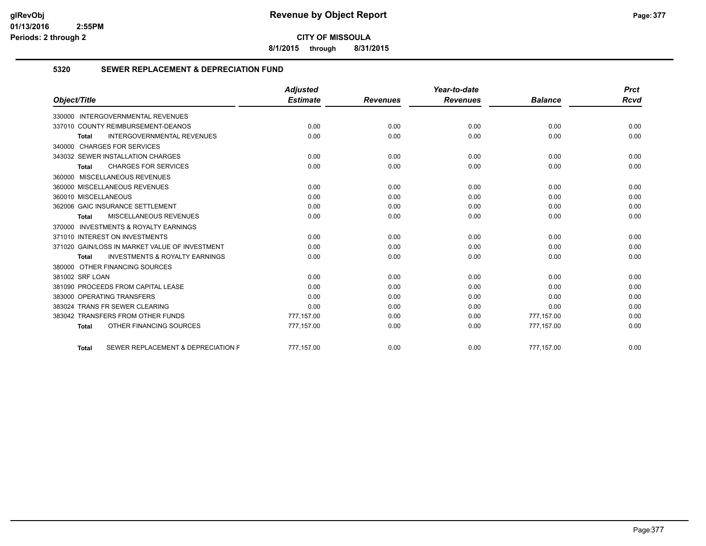**8/1/2015 through 8/31/2015**

## **5320 SEWER REPLACEMENT & DEPRECIATION FUND**

|                                                           | <b>Adjusted</b> |                 | Year-to-date    |                | <b>Prct</b> |
|-----------------------------------------------------------|-----------------|-----------------|-----------------|----------------|-------------|
| Object/Title                                              | <b>Estimate</b> | <b>Revenues</b> | <b>Revenues</b> | <b>Balance</b> | Rcvd        |
| 330000 INTERGOVERNMENTAL REVENUES                         |                 |                 |                 |                |             |
| 337010 COUNTY REIMBURSEMENT-DEANOS                        | 0.00            | 0.00            | 0.00            | 0.00           | 0.00        |
| <b>INTERGOVERNMENTAL REVENUES</b><br><b>Total</b>         | 0.00            | 0.00            | 0.00            | 0.00           | 0.00        |
| 340000 CHARGES FOR SERVICES                               |                 |                 |                 |                |             |
| 343032 SEWER INSTALLATION CHARGES                         | 0.00            | 0.00            | 0.00            | 0.00           | 0.00        |
| <b>CHARGES FOR SERVICES</b><br><b>Total</b>               | 0.00            | 0.00            | 0.00            | 0.00           | 0.00        |
| 360000 MISCELLANEOUS REVENUES                             |                 |                 |                 |                |             |
| 360000 MISCELLANEOUS REVENUES                             | 0.00            | 0.00            | 0.00            | 0.00           | 0.00        |
| 360010 MISCELLANEOUS                                      | 0.00            | 0.00            | 0.00            | 0.00           | 0.00        |
| 362006 GAIC INSURANCE SETTLEMENT                          | 0.00            | 0.00            | 0.00            | 0.00           | 0.00        |
| <b>MISCELLANEOUS REVENUES</b><br><b>Total</b>             | 0.00            | 0.00            | 0.00            | 0.00           | 0.00        |
| 370000 INVESTMENTS & ROYALTY EARNINGS                     |                 |                 |                 |                |             |
| 371010 INTEREST ON INVESTMENTS                            | 0.00            | 0.00            | 0.00            | 0.00           | 0.00        |
| 371020 GAIN/LOSS IN MARKET VALUE OF INVESTMENT            | 0.00            | 0.00            | 0.00            | 0.00           | 0.00        |
| <b>INVESTMENTS &amp; ROYALTY EARNINGS</b><br><b>Total</b> | 0.00            | 0.00            | 0.00            | 0.00           | 0.00        |
| 380000 OTHER FINANCING SOURCES                            |                 |                 |                 |                |             |
| 381002 SRF LOAN                                           | 0.00            | 0.00            | 0.00            | 0.00           | 0.00        |
| 381090 PROCEEDS FROM CAPITAL LEASE                        | 0.00            | 0.00            | 0.00            | 0.00           | 0.00        |
| 383000 OPERATING TRANSFERS                                | 0.00            | 0.00            | 0.00            | 0.00           | 0.00        |
| 383024 TRANS FR SEWER CLEARING                            | 0.00            | 0.00            | 0.00            | 0.00           | 0.00        |
| 383042 TRANSFERS FROM OTHER FUNDS                         | 777,157.00      | 0.00            | 0.00            | 777,157.00     | 0.00        |
| OTHER FINANCING SOURCES<br><b>Total</b>                   | 777,157.00      | 0.00            | 0.00            | 777,157.00     | 0.00        |
| SEWER REPLACEMENT & DEPRECIATION F<br><b>Total</b>        | 777.157.00      | 0.00            | 0.00            | 777.157.00     | 0.00        |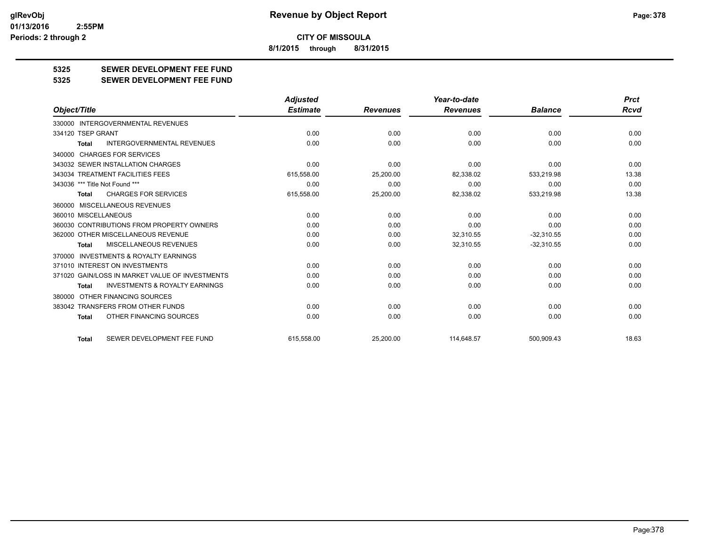**8/1/2015 through 8/31/2015**

## **5325 SEWER DEVELOPMENT FEE FUND**

#### **5325 SEWER DEVELOPMENT FEE FUND**

|                                                           | <b>Adjusted</b> |                 | Year-to-date    |                | <b>Prct</b> |
|-----------------------------------------------------------|-----------------|-----------------|-----------------|----------------|-------------|
| Object/Title                                              | <b>Estimate</b> | <b>Revenues</b> | <b>Revenues</b> | <b>Balance</b> | Rcvd        |
| 330000 INTERGOVERNMENTAL REVENUES                         |                 |                 |                 |                |             |
| 334120 TSEP GRANT                                         | 0.00            | 0.00            | 0.00            | 0.00           | 0.00        |
| <b>INTERGOVERNMENTAL REVENUES</b><br><b>Total</b>         | 0.00            | 0.00            | 0.00            | 0.00           | 0.00        |
| 340000 CHARGES FOR SERVICES                               |                 |                 |                 |                |             |
| 343032 SEWER INSTALLATION CHARGES                         | 0.00            | 0.00            | 0.00            | 0.00           | 0.00        |
| 343034 TREATMENT FACILITIES FEES                          | 615,558.00      | 25,200.00       | 82,338.02       | 533,219.98     | 13.38       |
| 343036 *** Title Not Found ***                            | 0.00            | 0.00            | 0.00            | 0.00           | 0.00        |
| <b>CHARGES FOR SERVICES</b><br><b>Total</b>               | 615,558.00      | 25,200.00       | 82,338.02       | 533,219.98     | 13.38       |
| 360000 MISCELLANEOUS REVENUES                             |                 |                 |                 |                |             |
| 360010 MISCELLANEOUS                                      | 0.00            | 0.00            | 0.00            | 0.00           | 0.00        |
| 360030 CONTRIBUTIONS FROM PROPERTY OWNERS                 | 0.00            | 0.00            | 0.00            | 0.00           | 0.00        |
| 362000 OTHER MISCELLANEOUS REVENUE                        | 0.00            | 0.00            | 32,310.55       | $-32,310.55$   | 0.00        |
| MISCELLANEOUS REVENUES<br><b>Total</b>                    | 0.00            | 0.00            | 32,310.55       | $-32,310.55$   | 0.00        |
| <b>INVESTMENTS &amp; ROYALTY EARNINGS</b><br>370000       |                 |                 |                 |                |             |
| 371010 INTEREST ON INVESTMENTS                            | 0.00            | 0.00            | 0.00            | 0.00           | 0.00        |
| 371020 GAIN/LOSS IN MARKET VALUE OF INVESTMENTS           | 0.00            | 0.00            | 0.00            | 0.00           | 0.00        |
| <b>INVESTMENTS &amp; ROYALTY EARNINGS</b><br><b>Total</b> | 0.00            | 0.00            | 0.00            | 0.00           | 0.00        |
| 380000 OTHER FINANCING SOURCES                            |                 |                 |                 |                |             |
| 383042 TRANSFERS FROM OTHER FUNDS                         | 0.00            | 0.00            | 0.00            | 0.00           | 0.00        |
| OTHER FINANCING SOURCES<br>Total                          | 0.00            | 0.00            | 0.00            | 0.00           | 0.00        |
| SEWER DEVELOPMENT FEE FUND<br><b>Total</b>                | 615.558.00      | 25,200.00       | 114.648.57      | 500.909.43     | 18.63       |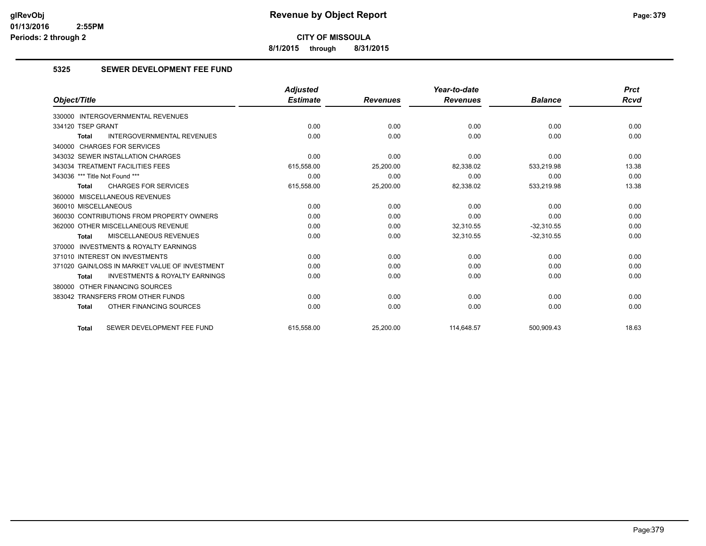**8/1/2015 through 8/31/2015**

## **5325 SEWER DEVELOPMENT FEE FUND**

|                                                           | <b>Adjusted</b> |                 | Year-to-date    |                | <b>Prct</b> |
|-----------------------------------------------------------|-----------------|-----------------|-----------------|----------------|-------------|
| Object/Title                                              | <b>Estimate</b> | <b>Revenues</b> | <b>Revenues</b> | <b>Balance</b> | <b>Rcvd</b> |
| <b>INTERGOVERNMENTAL REVENUES</b><br>330000               |                 |                 |                 |                |             |
| 334120 TSEP GRANT                                         | 0.00            | 0.00            | 0.00            | 0.00           | 0.00        |
| <b>INTERGOVERNMENTAL REVENUES</b><br><b>Total</b>         | 0.00            | 0.00            | 0.00            | 0.00           | 0.00        |
| 340000 CHARGES FOR SERVICES                               |                 |                 |                 |                |             |
| 343032 SEWER INSTALLATION CHARGES                         | 0.00            | 0.00            | 0.00            | 0.00           | 0.00        |
| 343034 TREATMENT FACILITIES FEES                          | 615,558.00      | 25,200.00       | 82,338.02       | 533,219.98     | 13.38       |
| 343036 *** Title Not Found ***                            | 0.00            | 0.00            | 0.00            | 0.00           | 0.00        |
| <b>CHARGES FOR SERVICES</b><br><b>Total</b>               | 615,558.00      | 25,200.00       | 82,338.02       | 533,219.98     | 13.38       |
| 360000 MISCELLANEOUS REVENUES                             |                 |                 |                 |                |             |
| 360010 MISCELLANEOUS                                      | 0.00            | 0.00            | 0.00            | 0.00           | 0.00        |
| 360030 CONTRIBUTIONS FROM PROPERTY OWNERS                 | 0.00            | 0.00            | 0.00            | 0.00           | 0.00        |
| 362000 OTHER MISCELLANEOUS REVENUE                        | 0.00            | 0.00            | 32.310.55       | $-32.310.55$   | 0.00        |
| MISCELLANEOUS REVENUES<br><b>Total</b>                    | 0.00            | 0.00            | 32,310.55       | $-32,310.55$   | 0.00        |
| 370000 INVESTMENTS & ROYALTY EARNINGS                     |                 |                 |                 |                |             |
| 371010 INTEREST ON INVESTMENTS                            | 0.00            | 0.00            | 0.00            | 0.00           | 0.00        |
| 371020 GAIN/LOSS IN MARKET VALUE OF INVESTMENT            | 0.00            | 0.00            | 0.00            | 0.00           | 0.00        |
| <b>INVESTMENTS &amp; ROYALTY EARNINGS</b><br><b>Total</b> | 0.00            | 0.00            | 0.00            | 0.00           | 0.00        |
| 380000 OTHER FINANCING SOURCES                            |                 |                 |                 |                |             |
| 383042 TRANSFERS FROM OTHER FUNDS                         | 0.00            | 0.00            | 0.00            | 0.00           | 0.00        |
| OTHER FINANCING SOURCES<br><b>Total</b>                   | 0.00            | 0.00            | 0.00            | 0.00           | 0.00        |
| SEWER DEVELOPMENT FEE FUND<br><b>Total</b>                | 615.558.00      | 25,200.00       | 114,648.57      | 500,909.43     | 18.63       |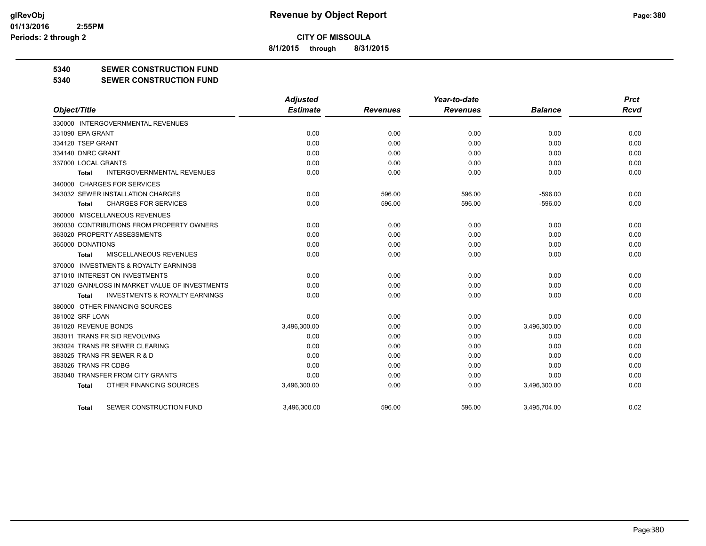**8/1/2015 through 8/31/2015**

### **5340 SEWER CONSTRUCTION FUND**

#### **5340 SEWER CONSTRUCTION FUND**

|                                                     | <b>Adjusted</b> |                 | Year-to-date    |                | <b>Prct</b> |
|-----------------------------------------------------|-----------------|-----------------|-----------------|----------------|-------------|
| Object/Title                                        | <b>Estimate</b> | <b>Revenues</b> | <b>Revenues</b> | <b>Balance</b> | <b>Rcvd</b> |
| 330000 INTERGOVERNMENTAL REVENUES                   |                 |                 |                 |                |             |
| 331090 EPA GRANT                                    | 0.00            | 0.00            | 0.00            | 0.00           | 0.00        |
| 334120 TSEP GRANT                                   | 0.00            | 0.00            | 0.00            | 0.00           | 0.00        |
| 334140 DNRC GRANT                                   | 0.00            | 0.00            | 0.00            | 0.00           | 0.00        |
| 337000 LOCAL GRANTS                                 | 0.00            | 0.00            | 0.00            | 0.00           | 0.00        |
| <b>INTERGOVERNMENTAL REVENUES</b><br>Total          | 0.00            | 0.00            | 0.00            | 0.00           | 0.00        |
| 340000 CHARGES FOR SERVICES                         |                 |                 |                 |                |             |
| 343032 SEWER INSTALLATION CHARGES                   | 0.00            | 596.00          | 596.00          | $-596.00$      | 0.00        |
| <b>CHARGES FOR SERVICES</b><br>Total                | 0.00            | 596.00          | 596.00          | $-596.00$      | 0.00        |
| 360000 MISCELLANEOUS REVENUES                       |                 |                 |                 |                |             |
| 360030 CONTRIBUTIONS FROM PROPERTY OWNERS           | 0.00            | 0.00            | 0.00            | 0.00           | 0.00        |
| 363020 PROPERTY ASSESSMENTS                         | 0.00            | 0.00            | 0.00            | 0.00           | 0.00        |
| 365000 DONATIONS                                    | 0.00            | 0.00            | 0.00            | 0.00           | 0.00        |
| MISCELLANEOUS REVENUES<br><b>Total</b>              | 0.00            | 0.00            | 0.00            | 0.00           | 0.00        |
| <b>INVESTMENTS &amp; ROYALTY EARNINGS</b><br>370000 |                 |                 |                 |                |             |
| 371010 INTEREST ON INVESTMENTS                      | 0.00            | 0.00            | 0.00            | 0.00           | 0.00        |
| 371020 GAIN/LOSS IN MARKET VALUE OF INVESTMENTS     | 0.00            | 0.00            | 0.00            | 0.00           | 0.00        |
| <b>INVESTMENTS &amp; ROYALTY EARNINGS</b><br>Total  | 0.00            | 0.00            | 0.00            | 0.00           | 0.00        |
| 380000 OTHER FINANCING SOURCES                      |                 |                 |                 |                |             |
| 381002 SRF LOAN                                     | 0.00            | 0.00            | 0.00            | 0.00           | 0.00        |
| 381020 REVENUE BONDS                                | 3,496,300.00    | 0.00            | 0.00            | 3,496,300.00   | 0.00        |
| 383011 TRANS FR SID REVOLVING                       | 0.00            | 0.00            | 0.00            | 0.00           | 0.00        |
| 383024 TRANS FR SEWER CLEARING                      | 0.00            | 0.00            | 0.00            | 0.00           | 0.00        |
| 383025 TRANS FR SEWER R & D                         | 0.00            | 0.00            | 0.00            | 0.00           | 0.00        |
| 383026 TRANS FR CDBG                                | 0.00            | 0.00            | 0.00            | 0.00           | 0.00        |
| 383040 TRANSFER FROM CITY GRANTS                    | 0.00            | 0.00            | 0.00            | 0.00           | 0.00        |
| OTHER FINANCING SOURCES<br><b>Total</b>             | 3,496,300.00    | 0.00            | 0.00            | 3,496,300.00   | 0.00        |
| SEWER CONSTRUCTION FUND<br>Total                    | 3.496.300.00    | 596.00          | 596.00          | 3.495.704.00   | 0.02        |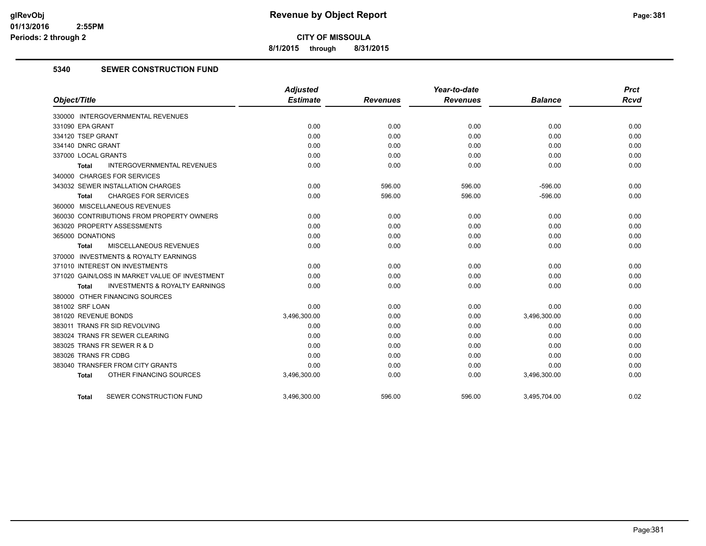**8/1/2015 through 8/31/2015**

## **5340 SEWER CONSTRUCTION FUND**

|                                                    | <b>Adjusted</b> |                 | Year-to-date    |                | <b>Prct</b> |
|----------------------------------------------------|-----------------|-----------------|-----------------|----------------|-------------|
| Object/Title                                       | <b>Estimate</b> | <b>Revenues</b> | <b>Revenues</b> | <b>Balance</b> | <b>Rcvd</b> |
| 330000 INTERGOVERNMENTAL REVENUES                  |                 |                 |                 |                |             |
| 331090 EPA GRANT                                   | 0.00            | 0.00            | 0.00            | 0.00           | 0.00        |
| 334120 TSEP GRANT                                  | 0.00            | 0.00            | 0.00            | 0.00           | 0.00        |
| 334140 DNRC GRANT                                  | 0.00            | 0.00            | 0.00            | 0.00           | 0.00        |
| 337000 LOCAL GRANTS                                | 0.00            | 0.00            | 0.00            | 0.00           | 0.00        |
| <b>INTERGOVERNMENTAL REVENUES</b><br>Total         | 0.00            | 0.00            | 0.00            | 0.00           | 0.00        |
| 340000 CHARGES FOR SERVICES                        |                 |                 |                 |                |             |
| 343032 SEWER INSTALLATION CHARGES                  | 0.00            | 596.00          | 596.00          | $-596.00$      | 0.00        |
| <b>CHARGES FOR SERVICES</b><br>Total               | 0.00            | 596.00          | 596.00          | $-596.00$      | 0.00        |
| 360000 MISCELLANEOUS REVENUES                      |                 |                 |                 |                |             |
| 360030 CONTRIBUTIONS FROM PROPERTY OWNERS          | 0.00            | 0.00            | 0.00            | 0.00           | 0.00        |
| 363020 PROPERTY ASSESSMENTS                        | 0.00            | 0.00            | 0.00            | 0.00           | 0.00        |
| 365000 DONATIONS                                   | 0.00            | 0.00            | 0.00            | 0.00           | 0.00        |
| <b>MISCELLANEOUS REVENUES</b><br>Total             | 0.00            | 0.00            | 0.00            | 0.00           | 0.00        |
| 370000 INVESTMENTS & ROYALTY EARNINGS              |                 |                 |                 |                |             |
| 371010 INTEREST ON INVESTMENTS                     | 0.00            | 0.00            | 0.00            | 0.00           | 0.00        |
| 371020 GAIN/LOSS IN MARKET VALUE OF INVESTMENT     | 0.00            | 0.00            | 0.00            | 0.00           | 0.00        |
| <b>INVESTMENTS &amp; ROYALTY EARNINGS</b><br>Total | 0.00            | 0.00            | 0.00            | 0.00           | 0.00        |
| 380000 OTHER FINANCING SOURCES                     |                 |                 |                 |                |             |
| 381002 SRF LOAN                                    | 0.00            | 0.00            | 0.00            | 0.00           | 0.00        |
| 381020 REVENUE BONDS                               | 3,496,300.00    | 0.00            | 0.00            | 3,496,300.00   | 0.00        |
| 383011 TRANS FR SID REVOLVING                      | 0.00            | 0.00            | 0.00            | 0.00           | 0.00        |
| 383024 TRANS FR SEWER CLEARING                     | 0.00            | 0.00            | 0.00            | 0.00           | 0.00        |
| 383025 TRANS FR SEWER R & D                        | 0.00            | 0.00            | 0.00            | 0.00           | 0.00        |
| 383026 TRANS FR CDBG                               | 0.00            | 0.00            | 0.00            | 0.00           | 0.00        |
| 383040 TRANSFER FROM CITY GRANTS                   | 0.00            | 0.00            | 0.00            | 0.00           | 0.00        |
| OTHER FINANCING SOURCES<br><b>Total</b>            | 3,496,300.00    | 0.00            | 0.00            | 3,496,300.00   | 0.00        |
| SEWER CONSTRUCTION FUND<br><b>Total</b>            | 3,496,300.00    | 596.00          | 596.00          | 3,495,704.00   | 0.02        |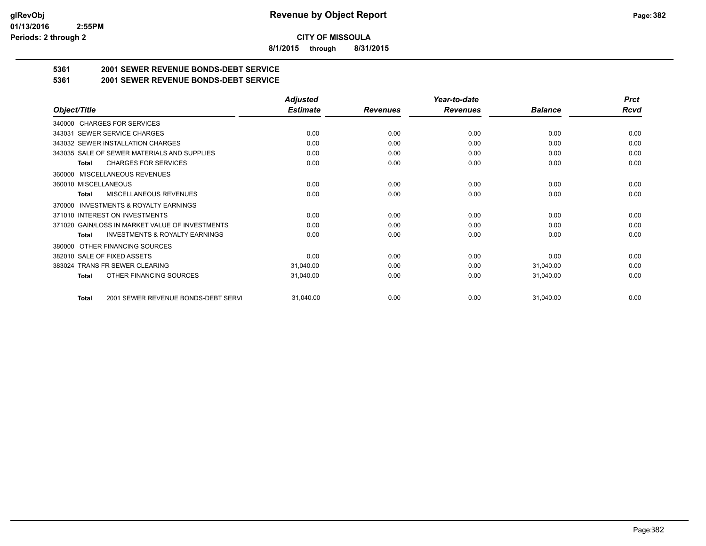**8/1/2015 through 8/31/2015**

## **5361 2001 SEWER REVENUE BONDS-DEBT SERVICE**

**5361 2001 SEWER REVENUE BONDS-DEBT SERVICE**

|                                                           | <b>Adjusted</b> |                 | Year-to-date    |                | <b>Prct</b> |
|-----------------------------------------------------------|-----------------|-----------------|-----------------|----------------|-------------|
| Object/Title                                              | <b>Estimate</b> | <b>Revenues</b> | <b>Revenues</b> | <b>Balance</b> | Rcvd        |
| 340000 CHARGES FOR SERVICES                               |                 |                 |                 |                |             |
| 343031 SEWER SERVICE CHARGES                              | 0.00            | 0.00            | 0.00            | 0.00           | 0.00        |
| 343032 SEWER INSTALLATION CHARGES                         | 0.00            | 0.00            | 0.00            | 0.00           | 0.00        |
| 343035 SALE OF SEWER MATERIALS AND SUPPLIES               | 0.00            | 0.00            | 0.00            | 0.00           | 0.00        |
| <b>CHARGES FOR SERVICES</b><br><b>Total</b>               | 0.00            | 0.00            | 0.00            | 0.00           | 0.00        |
| <b>MISCELLANEOUS REVENUES</b><br>360000                   |                 |                 |                 |                |             |
| 360010 MISCELLANEOUS                                      | 0.00            | 0.00            | 0.00            | 0.00           | 0.00        |
| MISCELLANEOUS REVENUES<br>Total                           | 0.00            | 0.00            | 0.00            | 0.00           | 0.00        |
| <b>INVESTMENTS &amp; ROYALTY EARNINGS</b><br>370000       |                 |                 |                 |                |             |
| 371010 INTEREST ON INVESTMENTS                            | 0.00            | 0.00            | 0.00            | 0.00           | 0.00        |
| 371020 GAIN/LOSS IN MARKET VALUE OF INVESTMENTS           | 0.00            | 0.00            | 0.00            | 0.00           | 0.00        |
| <b>INVESTMENTS &amp; ROYALTY EARNINGS</b><br><b>Total</b> | 0.00            | 0.00            | 0.00            | 0.00           | 0.00        |
| OTHER FINANCING SOURCES<br>380000                         |                 |                 |                 |                |             |
| 382010 SALE OF FIXED ASSETS                               | 0.00            | 0.00            | 0.00            | 0.00           | 0.00        |
| 383024 TRANS FR SEWER CLEARING                            | 31,040.00       | 0.00            | 0.00            | 31,040.00      | 0.00        |
| OTHER FINANCING SOURCES<br><b>Total</b>                   | 31,040.00       | 0.00            | 0.00            | 31,040.00      | 0.00        |
| 2001 SEWER REVENUE BONDS-DEBT SERVI<br><b>Total</b>       | 31,040.00       | 0.00            | 0.00            | 31,040.00      | 0.00        |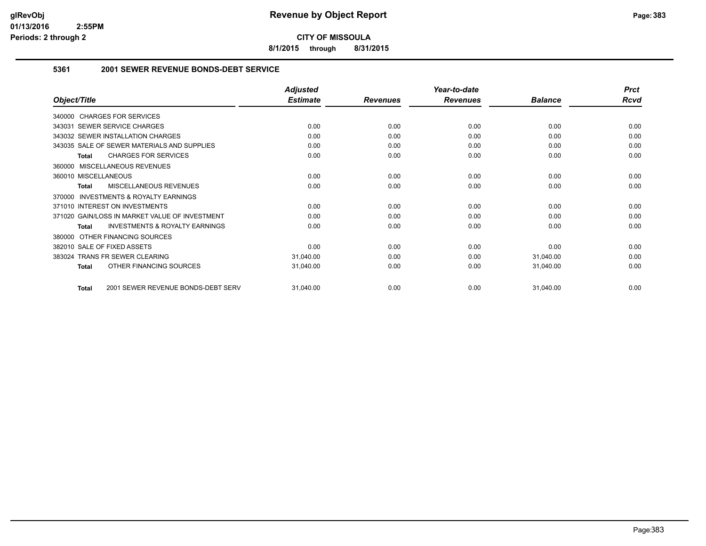**8/1/2015 through 8/31/2015**

### **5361 2001 SEWER REVENUE BONDS-DEBT SERVICE**

|                                                           | <b>Adjusted</b> |                 | Year-to-date    |                | <b>Prct</b> |
|-----------------------------------------------------------|-----------------|-----------------|-----------------|----------------|-------------|
| Object/Title                                              | <b>Estimate</b> | <b>Revenues</b> | <b>Revenues</b> | <b>Balance</b> | <b>Rcvd</b> |
| 340000 CHARGES FOR SERVICES                               |                 |                 |                 |                |             |
| 343031 SEWER SERVICE CHARGES                              | 0.00            | 0.00            | 0.00            | 0.00           | 0.00        |
| 343032 SEWER INSTALLATION CHARGES                         | 0.00            | 0.00            | 0.00            | 0.00           | 0.00        |
| 343035 SALE OF SEWER MATERIALS AND SUPPLIES               | 0.00            | 0.00            | 0.00            | 0.00           | 0.00        |
| <b>CHARGES FOR SERVICES</b><br><b>Total</b>               | 0.00            | 0.00            | 0.00            | 0.00           | 0.00        |
| MISCELLANEOUS REVENUES<br>360000                          |                 |                 |                 |                |             |
| 360010 MISCELLANEOUS                                      | 0.00            | 0.00            | 0.00            | 0.00           | 0.00        |
| MISCELLANEOUS REVENUES<br><b>Total</b>                    | 0.00            | 0.00            | 0.00            | 0.00           | 0.00        |
| <b>INVESTMENTS &amp; ROYALTY EARNINGS</b><br>370000       |                 |                 |                 |                |             |
| 371010 INTEREST ON INVESTMENTS                            | 0.00            | 0.00            | 0.00            | 0.00           | 0.00        |
| 371020 GAIN/LOSS IN MARKET VALUE OF INVESTMENT            | 0.00            | 0.00            | 0.00            | 0.00           | 0.00        |
| <b>INVESTMENTS &amp; ROYALTY EARNINGS</b><br><b>Total</b> | 0.00            | 0.00            | 0.00            | 0.00           | 0.00        |
| OTHER FINANCING SOURCES<br>380000                         |                 |                 |                 |                |             |
| 382010 SALE OF FIXED ASSETS                               | 0.00            | 0.00            | 0.00            | 0.00           | 0.00        |
| <b>TRANS FR SEWER CLEARING</b><br>383024                  | 31,040.00       | 0.00            | 0.00            | 31,040.00      | 0.00        |
| OTHER FINANCING SOURCES<br><b>Total</b>                   | 31,040.00       | 0.00            | 0.00            | 31,040.00      | 0.00        |
| 2001 SEWER REVENUE BONDS-DEBT SERV<br><b>Total</b>        | 31,040.00       | 0.00            | 0.00            | 31,040.00      | 0.00        |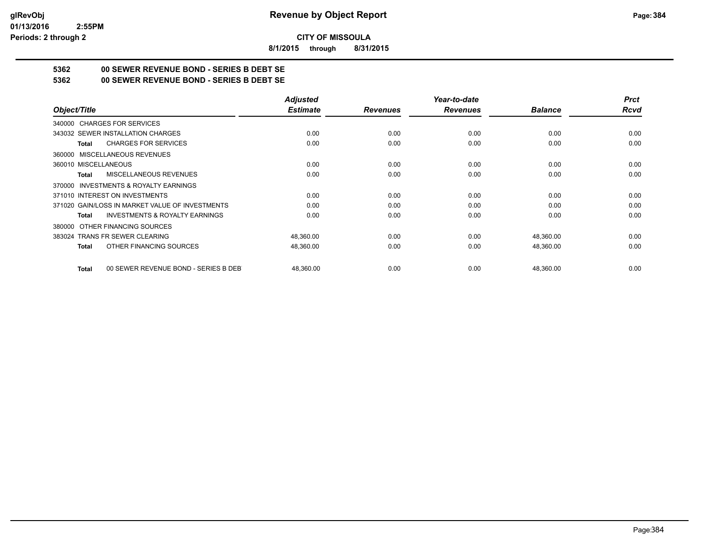**8/1/2015 through 8/31/2015**

## **5362 00 SEWER REVENUE BOND - SERIES B DEBT SE**

**5362 00 SEWER REVENUE BOND - SERIES B DEBT SE**

|                                                      | <b>Adjusted</b> |                 | Year-to-date    |                | <b>Prct</b> |
|------------------------------------------------------|-----------------|-----------------|-----------------|----------------|-------------|
| Object/Title                                         | <b>Estimate</b> | <b>Revenues</b> | <b>Revenues</b> | <b>Balance</b> | <b>Rcvd</b> |
| 340000 CHARGES FOR SERVICES                          |                 |                 |                 |                |             |
| 343032 SEWER INSTALLATION CHARGES                    | 0.00            | 0.00            | 0.00            | 0.00           | 0.00        |
| <b>CHARGES FOR SERVICES</b><br>Total                 | 0.00            | 0.00            | 0.00            | 0.00           | 0.00        |
| 360000 MISCELLANEOUS REVENUES                        |                 |                 |                 |                |             |
| 360010 MISCELLANEOUS                                 | 0.00            | 0.00            | 0.00            | 0.00           | 0.00        |
| <b>MISCELLANEOUS REVENUES</b><br>Total               | 0.00            | 0.00            | 0.00            | 0.00           | 0.00        |
| 370000 INVESTMENTS & ROYALTY EARNINGS                |                 |                 |                 |                |             |
| 371010 INTEREST ON INVESTMENTS                       | 0.00            | 0.00            | 0.00            | 0.00           | 0.00        |
| 371020 GAIN/LOSS IN MARKET VALUE OF INVESTMENTS      | 0.00            | 0.00            | 0.00            | 0.00           | 0.00        |
| <b>INVESTMENTS &amp; ROYALTY EARNINGS</b><br>Total   | 0.00            | 0.00            | 0.00            | 0.00           | 0.00        |
| 380000 OTHER FINANCING SOURCES                       |                 |                 |                 |                |             |
| 383024 TRANS FR SEWER CLEARING                       | 48,360.00       | 0.00            | 0.00            | 48,360.00      | 0.00        |
| OTHER FINANCING SOURCES<br>Total                     | 48,360.00       | 0.00            | 0.00            | 48,360.00      | 0.00        |
| 00 SEWER REVENUE BOND - SERIES B DEB<br><b>Total</b> | 48,360.00       | 0.00            | 0.00            | 48,360.00      | 0.00        |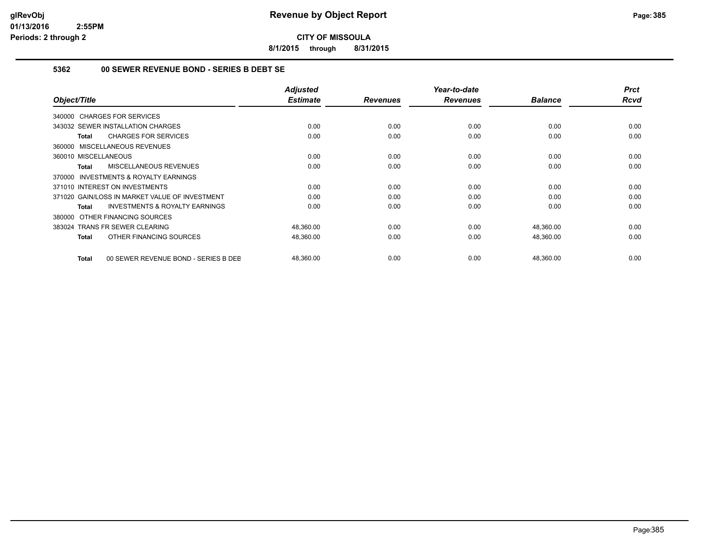**8/1/2015 through 8/31/2015**

## **5362 00 SEWER REVENUE BOND - SERIES B DEBT SE**

| Object/Title                                              | <b>Adjusted</b><br><b>Estimate</b> | <b>Revenues</b> | Year-to-date<br><b>Revenues</b> | <b>Balance</b> | <b>Prct</b><br><b>Rcvd</b> |
|-----------------------------------------------------------|------------------------------------|-----------------|---------------------------------|----------------|----------------------------|
| 340000 CHARGES FOR SERVICES                               |                                    |                 |                                 |                |                            |
| 343032 SEWER INSTALLATION CHARGES                         | 0.00                               | 0.00            | 0.00                            | 0.00           | 0.00                       |
| <b>CHARGES FOR SERVICES</b><br>Total                      | 0.00                               | 0.00            | 0.00                            | 0.00           | 0.00                       |
| 360000 MISCELLANEOUS REVENUES                             |                                    |                 |                                 |                |                            |
| 360010 MISCELLANEOUS                                      | 0.00                               | 0.00            | 0.00                            | 0.00           | 0.00                       |
| <b>MISCELLANEOUS REVENUES</b><br>Total                    | 0.00                               | 0.00            | 0.00                            | 0.00           | 0.00                       |
| <b>INVESTMENTS &amp; ROYALTY EARNINGS</b><br>370000       |                                    |                 |                                 |                |                            |
| 371010 INTEREST ON INVESTMENTS                            | 0.00                               | 0.00            | 0.00                            | 0.00           | 0.00                       |
| 371020 GAIN/LOSS IN MARKET VALUE OF INVESTMENT            | 0.00                               | 0.00            | 0.00                            | 0.00           | 0.00                       |
| <b>INVESTMENTS &amp; ROYALTY EARNINGS</b><br><b>Total</b> | 0.00                               | 0.00            | 0.00                            | 0.00           | 0.00                       |
| OTHER FINANCING SOURCES<br>380000                         |                                    |                 |                                 |                |                            |
| 383024 TRANS FR SEWER CLEARING                            | 48,360.00                          | 0.00            | 0.00                            | 48,360.00      | 0.00                       |
| OTHER FINANCING SOURCES<br>Total                          | 48,360.00                          | 0.00            | 0.00                            | 48,360.00      | 0.00                       |
| 00 SEWER REVENUE BOND - SERIES B DEE<br>Total             | 48,360.00                          | 0.00            | 0.00                            | 48,360.00      | 0.00                       |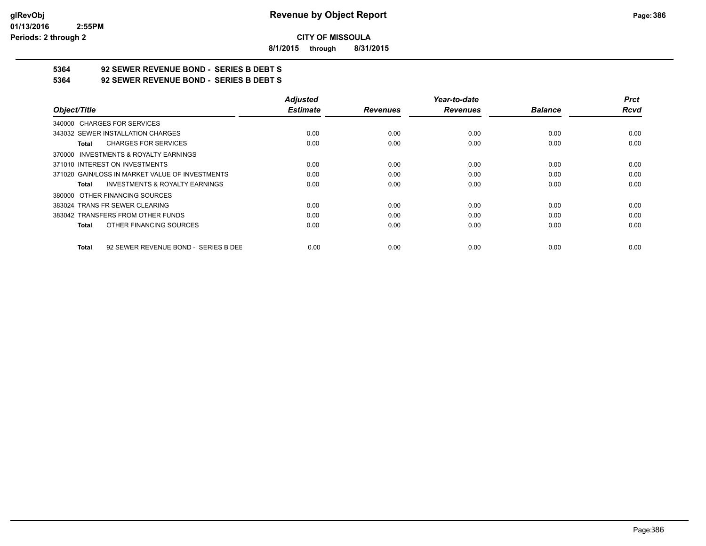**8/1/2015 through 8/31/2015**

# **5364 92 SEWER REVENUE BOND - SERIES B DEBT S**

**5364 92 SEWER REVENUE BOND - SERIES B DEBT S**

|                                                           | <b>Adjusted</b> |                 | Year-to-date    |                | <b>Prct</b> |
|-----------------------------------------------------------|-----------------|-----------------|-----------------|----------------|-------------|
| Object/Title                                              | <b>Estimate</b> | <b>Revenues</b> | <b>Revenues</b> | <b>Balance</b> | <b>Rcvd</b> |
| 340000 CHARGES FOR SERVICES                               |                 |                 |                 |                |             |
| 343032 SEWER INSTALLATION CHARGES                         | 0.00            | 0.00            | 0.00            | 0.00           | 0.00        |
| <b>CHARGES FOR SERVICES</b><br>Total                      | 0.00            | 0.00            | 0.00            | 0.00           | 0.00        |
| 370000 INVESTMENTS & ROYALTY EARNINGS                     |                 |                 |                 |                |             |
| 371010 INTEREST ON INVESTMENTS                            | 0.00            | 0.00            | 0.00            | 0.00           | 0.00        |
| 371020 GAIN/LOSS IN MARKET VALUE OF INVESTMENTS           | 0.00            | 0.00            | 0.00            | 0.00           | 0.00        |
| <b>INVESTMENTS &amp; ROYALTY EARNINGS</b><br><b>Total</b> | 0.00            | 0.00            | 0.00            | 0.00           | 0.00        |
| 380000 OTHER FINANCING SOURCES                            |                 |                 |                 |                |             |
| 383024 TRANS FR SEWER CLEARING                            | 0.00            | 0.00            | 0.00            | 0.00           | 0.00        |
| 383042 TRANSFERS FROM OTHER FUNDS                         | 0.00            | 0.00            | 0.00            | 0.00           | 0.00        |
| OTHER FINANCING SOURCES<br><b>Total</b>                   | 0.00            | 0.00            | 0.00            | 0.00           | 0.00        |
| 92 SEWER REVENUE BOND - SERIES B DEE<br><b>Total</b>      | 0.00            | 0.00            | 0.00            | 0.00           | 0.00        |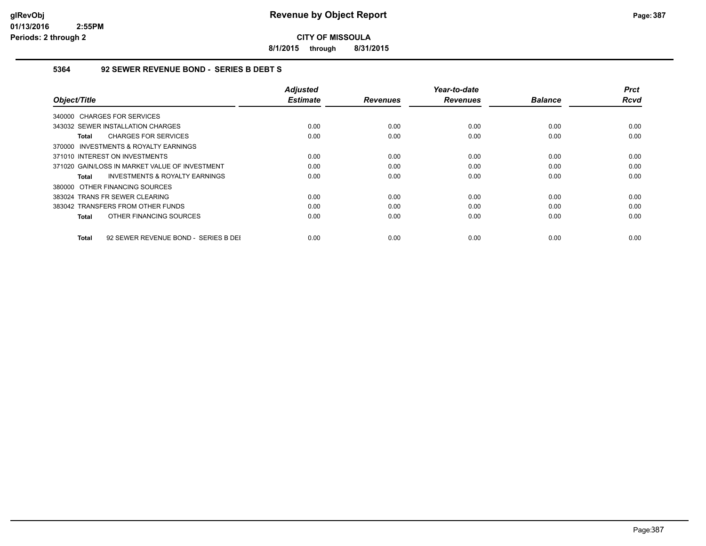**8/1/2015 through 8/31/2015**

### **5364 92 SEWER REVENUE BOND - SERIES B DEBT S**

| Object/Title                                         | <b>Adjusted</b><br><b>Estimate</b> | <b>Revenues</b> | Year-to-date<br><b>Revenues</b> | <b>Balance</b> | <b>Prct</b><br><b>Rcvd</b> |
|------------------------------------------------------|------------------------------------|-----------------|---------------------------------|----------------|----------------------------|
| 340000 CHARGES FOR SERVICES                          |                                    |                 |                                 |                |                            |
| 343032 SEWER INSTALLATION CHARGES                    | 0.00                               | 0.00            | 0.00                            | 0.00           | 0.00                       |
| <b>CHARGES FOR SERVICES</b><br>Total                 | 0.00                               | 0.00            | 0.00                            | 0.00           | 0.00                       |
| 370000 INVESTMENTS & ROYALTY EARNINGS                |                                    |                 |                                 |                |                            |
| 371010 INTEREST ON INVESTMENTS                       | 0.00                               | 0.00            | 0.00                            | 0.00           | 0.00                       |
| 371020 GAIN/LOSS IN MARKET VALUE OF INVESTMENT       | 0.00                               | 0.00            | 0.00                            | 0.00           | 0.00                       |
| <b>INVESTMENTS &amp; ROYALTY EARNINGS</b><br>Total   | 0.00                               | 0.00            | 0.00                            | 0.00           | 0.00                       |
| 380000 OTHER FINANCING SOURCES                       |                                    |                 |                                 |                |                            |
| 383024 TRANS FR SEWER CLEARING                       | 0.00                               | 0.00            | 0.00                            | 0.00           | 0.00                       |
| 383042 TRANSFERS FROM OTHER FUNDS                    | 0.00                               | 0.00            | 0.00                            | 0.00           | 0.00                       |
| OTHER FINANCING SOURCES<br>Total                     | 0.00                               | 0.00            | 0.00                            | 0.00           | 0.00                       |
| 92 SEWER REVENUE BOND - SERIES B DEI<br><b>Total</b> | 0.00                               | 0.00            | 0.00                            | 0.00           | 0.00                       |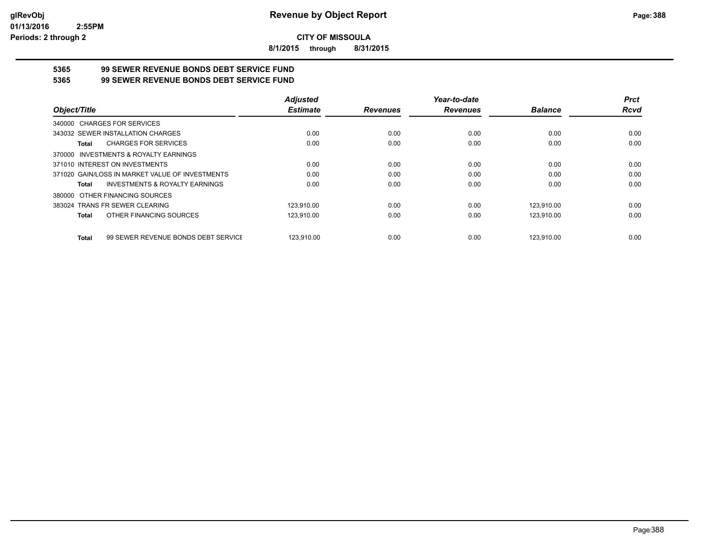**8/1/2015 through 8/31/2015**

# **5365 99 SEWER REVENUE BONDS DEBT SERVICE FUND**

| 5365 | 99 SEWER REVENUE BONDS DEBT SERVICE FUND |
|------|------------------------------------------|
|      |                                          |

|                                                           | <b>Adjusted</b> |                 | Year-to-date    |                | <b>Prct</b> |
|-----------------------------------------------------------|-----------------|-----------------|-----------------|----------------|-------------|
| Object/Title                                              | <b>Estimate</b> | <b>Revenues</b> | <b>Revenues</b> | <b>Balance</b> | <b>Rcvd</b> |
| 340000 CHARGES FOR SERVICES                               |                 |                 |                 |                |             |
| 343032 SEWER INSTALLATION CHARGES                         | 0.00            | 0.00            | 0.00            | 0.00           | 0.00        |
| <b>CHARGES FOR SERVICES</b><br>Total                      | 0.00            | 0.00            | 0.00            | 0.00           | 0.00        |
| 370000 INVESTMENTS & ROYALTY EARNINGS                     |                 |                 |                 |                |             |
| 371010 INTEREST ON INVESTMENTS                            | 0.00            | 0.00            | 0.00            | 0.00           | 0.00        |
| 371020 GAIN/LOSS IN MARKET VALUE OF INVESTMENTS           | 0.00            | 0.00            | 0.00            | 0.00           | 0.00        |
| <b>INVESTMENTS &amp; ROYALTY EARNINGS</b><br><b>Total</b> | 0.00            | 0.00            | 0.00            | 0.00           | 0.00        |
| 380000 OTHER FINANCING SOURCES                            |                 |                 |                 |                |             |
| 383024 TRANS FR SEWER CLEARING                            | 123.910.00      | 0.00            | 0.00            | 123,910.00     | 0.00        |
| OTHER FINANCING SOURCES<br>Total                          | 123,910.00      | 0.00            | 0.00            | 123,910.00     | 0.00        |
| 99 SEWER REVENUE BONDS DEBT SERVICE<br><b>Total</b>       | 123.910.00      | 0.00            | 0.00            | 123.910.00     | 0.00        |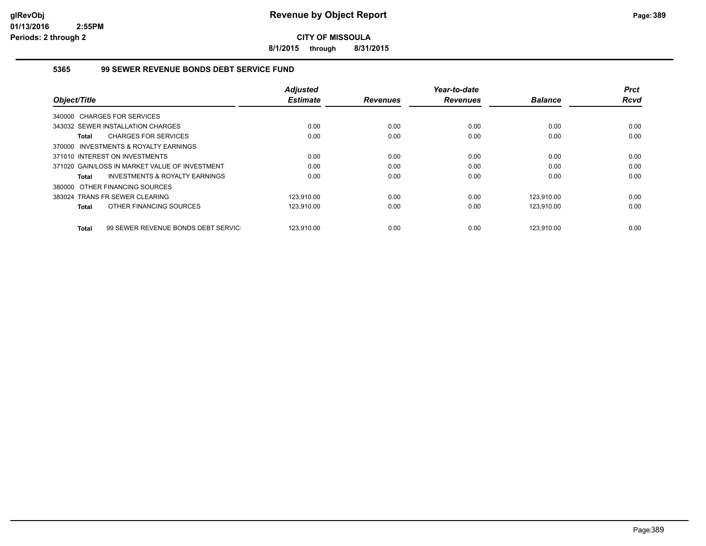**8/1/2015 through 8/31/2015**

## **5365 99 SEWER REVENUE BONDS DEBT SERVICE FUND**

|                                                    | <b>Adjusted</b> |                 | Year-to-date    |                | <b>Prct</b> |
|----------------------------------------------------|-----------------|-----------------|-----------------|----------------|-------------|
| Object/Title                                       | <b>Estimate</b> | <b>Revenues</b> | <b>Revenues</b> | <b>Balance</b> | <b>Rcvd</b> |
| 340000 CHARGES FOR SERVICES                        |                 |                 |                 |                |             |
| 343032 SEWER INSTALLATION CHARGES                  | 0.00            | 0.00            | 0.00            | 0.00           | 0.00        |
| <b>CHARGES FOR SERVICES</b><br>Total               | 0.00            | 0.00            | 0.00            | 0.00           | 0.00        |
| 370000 INVESTMENTS & ROYALTY EARNINGS              |                 |                 |                 |                |             |
| 371010 INTEREST ON INVESTMENTS                     | 0.00            | 0.00            | 0.00            | 0.00           | 0.00        |
| 371020 GAIN/LOSS IN MARKET VALUE OF INVESTMENT     | 0.00            | 0.00            | 0.00            | 0.00           | 0.00        |
| <b>INVESTMENTS &amp; ROYALTY EARNINGS</b><br>Total | 0.00            | 0.00            | 0.00            | 0.00           | 0.00        |
| 380000 OTHER FINANCING SOURCES                     |                 |                 |                 |                |             |
| 383024 TRANS FR SEWER CLEARING                     | 123.910.00      | 0.00            | 0.00            | 123.910.00     | 0.00        |
| OTHER FINANCING SOURCES<br>Total                   | 123,910.00      | 0.00            | 0.00            | 123,910.00     | 0.00        |
| 99 SEWER REVENUE BONDS DEBT SERVIC<br>Total        | 123.910.00      | 0.00            | 0.00            | 123.910.00     | 0.00        |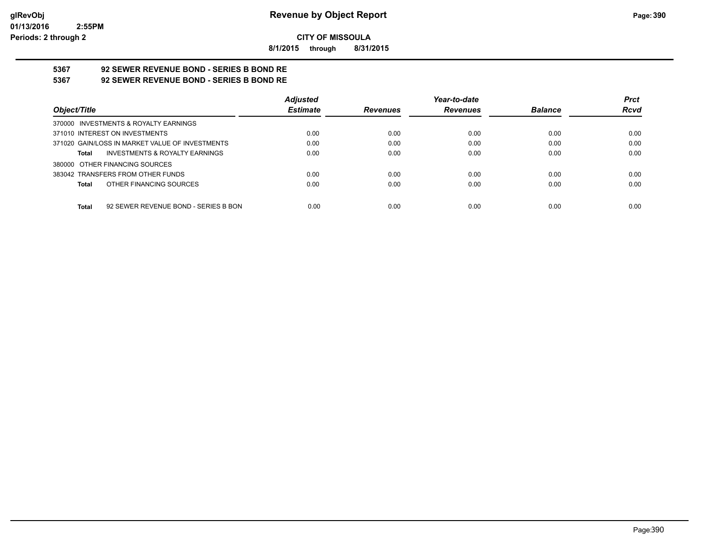**8/1/2015 through 8/31/2015**

# **5367 92 SEWER REVENUE BOND - SERIES B BOND RE**

**5367 92 SEWER REVENUE BOND - SERIES B BOND RE**

|                                                      | <b>Adjusted</b> |                 | Year-to-date    |                | <b>Prct</b> |
|------------------------------------------------------|-----------------|-----------------|-----------------|----------------|-------------|
| Object/Title                                         | <b>Estimate</b> | <b>Revenues</b> | <b>Revenues</b> | <b>Balance</b> | <b>Rcvd</b> |
| 370000 INVESTMENTS & ROYALTY EARNINGS                |                 |                 |                 |                |             |
| 371010 INTEREST ON INVESTMENTS                       | 0.00            | 0.00            | 0.00            | 0.00           | 0.00        |
| 371020 GAIN/LOSS IN MARKET VALUE OF INVESTMENTS      | 0.00            | 0.00            | 0.00            | 0.00           | 0.00        |
| <b>INVESTMENTS &amp; ROYALTY EARNINGS</b><br>Total   | 0.00            | 0.00            | 0.00            | 0.00           | 0.00        |
| 380000 OTHER FINANCING SOURCES                       |                 |                 |                 |                |             |
| 383042 TRANSFERS FROM OTHER FUNDS                    | 0.00            | 0.00            | 0.00            | 0.00           | 0.00        |
| OTHER FINANCING SOURCES<br>Total                     | 0.00            | 0.00            | 0.00            | 0.00           | 0.00        |
|                                                      |                 |                 |                 |                |             |
| 92 SEWER REVENUE BOND - SERIES B BON<br><b>Total</b> | 0.00            | 0.00            | 0.00            | 0.00           | 0.00        |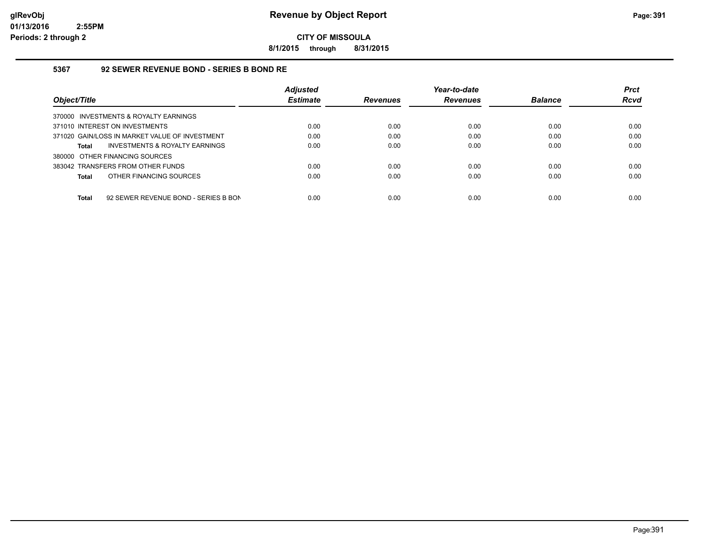**8/1/2015 through 8/31/2015**

### **5367 92 SEWER REVENUE BOND - SERIES B BOND RE**

|                                                      | <b>Adjusted</b> |                 | Year-to-date    |                | <b>Prct</b> |
|------------------------------------------------------|-----------------|-----------------|-----------------|----------------|-------------|
| Object/Title                                         | <b>Estimate</b> | <b>Revenues</b> | <b>Revenues</b> | <b>Balance</b> | <b>Rcvd</b> |
| 370000 INVESTMENTS & ROYALTY EARNINGS                |                 |                 |                 |                |             |
| 371010 INTEREST ON INVESTMENTS                       | 0.00            | 0.00            | 0.00            | 0.00           | 0.00        |
| 371020 GAIN/LOSS IN MARKET VALUE OF INVESTMENT       | 0.00            | 0.00            | 0.00            | 0.00           | 0.00        |
| INVESTMENTS & ROYALTY EARNINGS<br>Total              | 0.00            | 0.00            | 0.00            | 0.00           | 0.00        |
| 380000 OTHER FINANCING SOURCES                       |                 |                 |                 |                |             |
| 383042 TRANSFERS FROM OTHER FUNDS                    | 0.00            | 0.00            | 0.00            | 0.00           | 0.00        |
| OTHER FINANCING SOURCES<br>Total                     | 0.00            | 0.00            | 0.00            | 0.00           | 0.00        |
|                                                      |                 |                 |                 |                |             |
| 92 SEWER REVENUE BOND - SERIES B BON<br><b>Total</b> | 0.00            | 0.00            | 0.00            | 0.00           | 0.00        |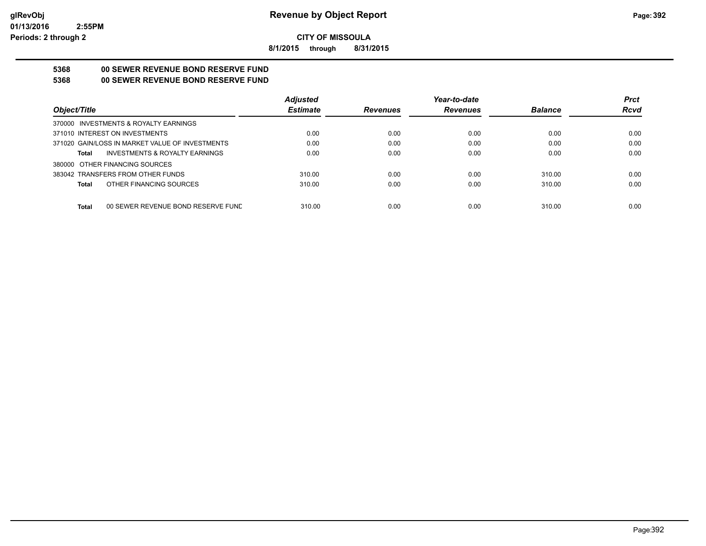**8/1/2015 through 8/31/2015**

## **5368 00 SEWER REVENUE BOND RESERVE FUND**

## **5368 00 SEWER REVENUE BOND RESERVE FUND**

|                                                    | <b>Adjusted</b> |                 | Year-to-date    |                | <b>Prct</b> |
|----------------------------------------------------|-----------------|-----------------|-----------------|----------------|-------------|
| Object/Title                                       | <b>Estimate</b> | <b>Revenues</b> | <b>Revenues</b> | <b>Balance</b> | <b>Rcvd</b> |
| 370000 INVESTMENTS & ROYALTY EARNINGS              |                 |                 |                 |                |             |
| 371010 INTEREST ON INVESTMENTS                     | 0.00            | 0.00            | 0.00            | 0.00           | 0.00        |
| 371020 GAIN/LOSS IN MARKET VALUE OF INVESTMENTS    | 0.00            | 0.00            | 0.00            | 0.00           | 0.00        |
| <b>INVESTMENTS &amp; ROYALTY EARNINGS</b><br>Total | 0.00            | 0.00            | 0.00            | 0.00           | 0.00        |
| 380000 OTHER FINANCING SOURCES                     |                 |                 |                 |                |             |
| 383042 TRANSFERS FROM OTHER FUNDS                  | 310.00          | 0.00            | 0.00            | 310.00         | 0.00        |
| OTHER FINANCING SOURCES<br>Total                   | 310.00          | 0.00            | 0.00            | 310.00         | 0.00        |
|                                                    |                 |                 |                 |                |             |
| <b>Total</b><br>00 SEWER REVENUE BOND RESERVE FUND | 310.00          | 0.00            | 0.00            | 310.00         | 0.00        |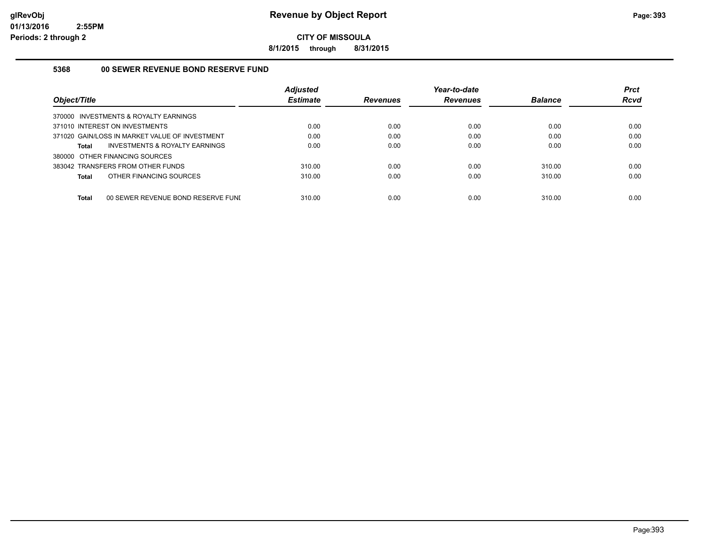**8/1/2015 through 8/31/2015**

## **5368 00 SEWER REVENUE BOND RESERVE FUND**

| Object/Title                                       | <b>Adjusted</b><br><b>Estimate</b> | <b>Revenues</b> | Year-to-date<br><b>Revenues</b> | <b>Balance</b> | <b>Prct</b><br><b>Rcvd</b> |
|----------------------------------------------------|------------------------------------|-----------------|---------------------------------|----------------|----------------------------|
| 370000 INVESTMENTS & ROYALTY EARNINGS              |                                    |                 |                                 |                |                            |
| 371010 INTEREST ON INVESTMENTS                     | 0.00                               | 0.00            | 0.00                            | 0.00           | 0.00                       |
| 371020 GAIN/LOSS IN MARKET VALUE OF INVESTMENT     | 0.00                               | 0.00            | 0.00                            | 0.00           | 0.00                       |
| INVESTMENTS & ROYALTY EARNINGS<br>Total            | 0.00                               | 0.00            | 0.00                            | 0.00           | 0.00                       |
| 380000 OTHER FINANCING SOURCES                     |                                    |                 |                                 |                |                            |
| 383042 TRANSFERS FROM OTHER FUNDS                  | 310.00                             | 0.00            | 0.00                            | 310.00         | 0.00                       |
| OTHER FINANCING SOURCES<br>Total                   | 310.00                             | 0.00            | 0.00                            | 310.00         | 0.00                       |
| 00 SEWER REVENUE BOND RESERVE FUNI<br><b>Total</b> | 310.00                             | 0.00            | 0.00                            | 310.00         | 0.00                       |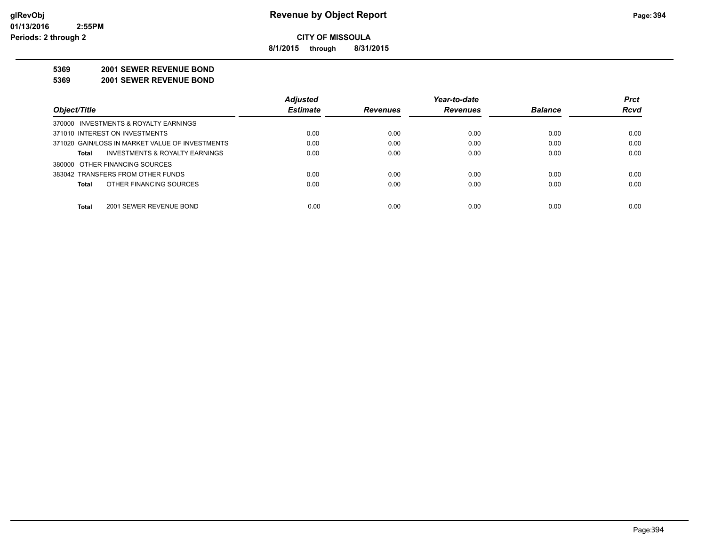**8/1/2015 through 8/31/2015**

#### **5369 2001 SEWER REVENUE BOND**

**5369 2001 SEWER REVENUE BOND**

|                                                 | <b>Adjusted</b> |                 | Year-to-date    |                | <b>Prct</b> |
|-------------------------------------------------|-----------------|-----------------|-----------------|----------------|-------------|
| Object/Title                                    | <b>Estimate</b> | <b>Revenues</b> | <b>Revenues</b> | <b>Balance</b> | <b>Rcvd</b> |
| 370000 INVESTMENTS & ROYALTY EARNINGS           |                 |                 |                 |                |             |
| 371010 INTEREST ON INVESTMENTS                  | 0.00            | 0.00            | 0.00            | 0.00           | 0.00        |
| 371020 GAIN/LOSS IN MARKET VALUE OF INVESTMENTS | 0.00            | 0.00            | 0.00            | 0.00           | 0.00        |
| INVESTMENTS & ROYALTY EARNINGS<br>Total         | 0.00            | 0.00            | 0.00            | 0.00           | 0.00        |
| 380000 OTHER FINANCING SOURCES                  |                 |                 |                 |                |             |
| 383042 TRANSFERS FROM OTHER FUNDS               | 0.00            | 0.00            | 0.00            | 0.00           | 0.00        |
| OTHER FINANCING SOURCES<br><b>Total</b>         | 0.00            | 0.00            | 0.00            | 0.00           | 0.00        |
|                                                 |                 |                 |                 |                |             |
| <b>Total</b><br>2001 SEWER REVENUE BOND         | 0.00            | 0.00            | 0.00            | 0.00           | 0.00        |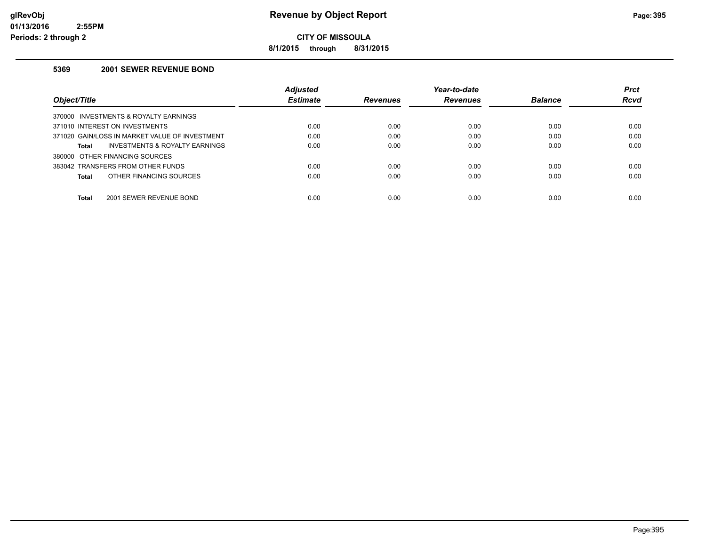**8/1/2015 through 8/31/2015**

### **5369 2001 SEWER REVENUE BOND**

|                                                    | <b>Adjusted</b><br><b>Estimate</b> |                 | Year-to-date    |                | <b>Prct</b><br>Rcvd |
|----------------------------------------------------|------------------------------------|-----------------|-----------------|----------------|---------------------|
| Object/Title                                       |                                    | <b>Revenues</b> | <b>Revenues</b> | <b>Balance</b> |                     |
| INVESTMENTS & ROYALTY EARNINGS<br>370000           |                                    |                 |                 |                |                     |
| 371010 INTEREST ON INVESTMENTS                     | 0.00                               | 0.00            | 0.00            | 0.00           | 0.00                |
| 371020 GAIN/LOSS IN MARKET VALUE OF INVESTMENT     | 0.00                               | 0.00            | 0.00            | 0.00           | 0.00                |
| <b>INVESTMENTS &amp; ROYALTY EARNINGS</b><br>Total | 0.00                               | 0.00            | 0.00            | 0.00           | 0.00                |
| 380000 OTHER FINANCING SOURCES                     |                                    |                 |                 |                |                     |
| 383042 TRANSFERS FROM OTHER FUNDS                  | 0.00                               | 0.00            | 0.00            | 0.00           | 0.00                |
| OTHER FINANCING SOURCES<br>Total                   | 0.00                               | 0.00            | 0.00            | 0.00           | 0.00                |
|                                                    |                                    |                 |                 |                |                     |
| Total<br>2001 SEWER REVENUE BOND                   | 0.00                               | 0.00            | 0.00            | 0.00           | 0.00                |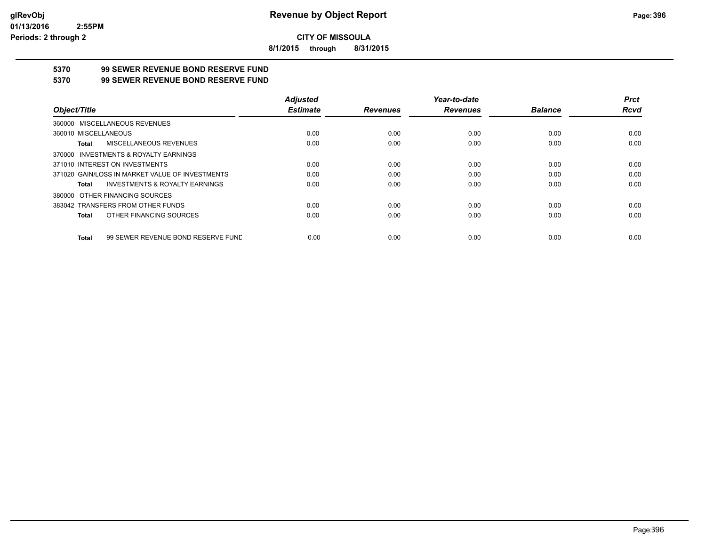**8/1/2015 through 8/31/2015**

## **5370 99 SEWER REVENUE BOND RESERVE FUND**

#### **5370 99 SEWER REVENUE BOND RESERVE FUND**

|                                                    | <b>Adjusted</b> |                 | Year-to-date    |                | <b>Prct</b> |
|----------------------------------------------------|-----------------|-----------------|-----------------|----------------|-------------|
| Object/Title                                       | <b>Estimate</b> | <b>Revenues</b> | <b>Revenues</b> | <b>Balance</b> | Rcvd        |
| 360000 MISCELLANEOUS REVENUES                      |                 |                 |                 |                |             |
| 360010 MISCELLANEOUS                               | 0.00            | 0.00            | 0.00            | 0.00           | 0.00        |
| MISCELLANEOUS REVENUES<br>Total                    | 0.00            | 0.00            | 0.00            | 0.00           | 0.00        |
| 370000 INVESTMENTS & ROYALTY EARNINGS              |                 |                 |                 |                |             |
| 371010 INTEREST ON INVESTMENTS                     | 0.00            | 0.00            | 0.00            | 0.00           | 0.00        |
| 371020 GAIN/LOSS IN MARKET VALUE OF INVESTMENTS    | 0.00            | 0.00            | 0.00            | 0.00           | 0.00        |
| <b>INVESTMENTS &amp; ROYALTY EARNINGS</b><br>Total | 0.00            | 0.00            | 0.00            | 0.00           | 0.00        |
| 380000 OTHER FINANCING SOURCES                     |                 |                 |                 |                |             |
| 383042 TRANSFERS FROM OTHER FUNDS                  | 0.00            | 0.00            | 0.00            | 0.00           | 0.00        |
| OTHER FINANCING SOURCES<br>Total                   | 0.00            | 0.00            | 0.00            | 0.00           | 0.00        |
| 99 SEWER REVENUE BOND RESERVE FUND<br>Total        | 0.00            | 0.00            | 0.00            | 0.00           | 0.00        |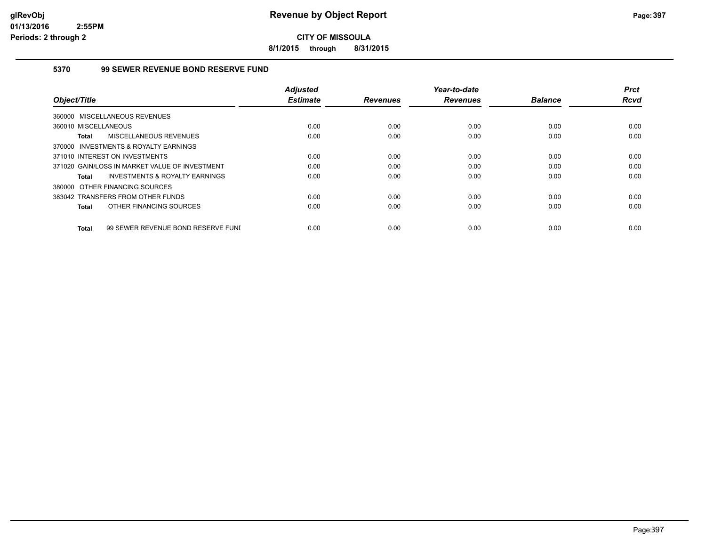**8/1/2015 through 8/31/2015**

#### **5370 99 SEWER REVENUE BOND RESERVE FUND**

|                                                    | <b>Adjusted</b> |                 | Year-to-date    |                | <b>Prct</b> |
|----------------------------------------------------|-----------------|-----------------|-----------------|----------------|-------------|
| Object/Title                                       | <b>Estimate</b> | <b>Revenues</b> | <b>Revenues</b> | <b>Balance</b> | <b>Rcvd</b> |
| 360000 MISCELLANEOUS REVENUES                      |                 |                 |                 |                |             |
| 360010 MISCELLANEOUS                               | 0.00            | 0.00            | 0.00            | 0.00           | 0.00        |
| MISCELLANEOUS REVENUES<br><b>Total</b>             | 0.00            | 0.00            | 0.00            | 0.00           | 0.00        |
| 370000 INVESTMENTS & ROYALTY EARNINGS              |                 |                 |                 |                |             |
| 371010 INTEREST ON INVESTMENTS                     | 0.00            | 0.00            | 0.00            | 0.00           | 0.00        |
| 371020 GAIN/LOSS IN MARKET VALUE OF INVESTMENT     | 0.00            | 0.00            | 0.00            | 0.00           | 0.00        |
| INVESTMENTS & ROYALTY EARNINGS<br>Total            | 0.00            | 0.00            | 0.00            | 0.00           | 0.00        |
| 380000 OTHER FINANCING SOURCES                     |                 |                 |                 |                |             |
| 383042 TRANSFERS FROM OTHER FUNDS                  | 0.00            | 0.00            | 0.00            | 0.00           | 0.00        |
| OTHER FINANCING SOURCES<br><b>Total</b>            | 0.00            | 0.00            | 0.00            | 0.00           | 0.00        |
|                                                    |                 |                 |                 |                |             |
| 99 SEWER REVENUE BOND RESERVE FUNI<br><b>Total</b> | 0.00            | 0.00            | 0.00            | 0.00           | 0.00        |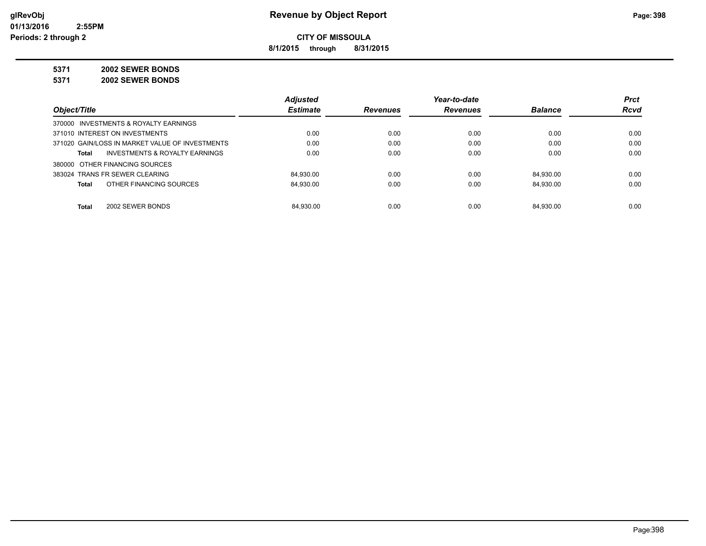**8/1/2015 through 8/31/2015**

**5371 2002 SEWER BONDS**

**5371 2002 SEWER BONDS**

|                                                 | <b>Adjusted</b> |                 | Year-to-date    |                | <b>Prct</b> |
|-------------------------------------------------|-----------------|-----------------|-----------------|----------------|-------------|
| Object/Title                                    | <b>Estimate</b> | <b>Revenues</b> | <b>Revenues</b> | <b>Balance</b> | Rcvd        |
| 370000 INVESTMENTS & ROYALTY EARNINGS           |                 |                 |                 |                |             |
| 371010 INTEREST ON INVESTMENTS                  | 0.00            | 0.00            | 0.00            | 0.00           | 0.00        |
| 371020 GAIN/LOSS IN MARKET VALUE OF INVESTMENTS | 0.00            | 0.00            | 0.00            | 0.00           | 0.00        |
| INVESTMENTS & ROYALTY EARNINGS<br>Total         | 0.00            | 0.00            | 0.00            | 0.00           | 0.00        |
| 380000 OTHER FINANCING SOURCES                  |                 |                 |                 |                |             |
| 383024 TRANS FR SEWER CLEARING                  | 84.930.00       | 0.00            | 0.00            | 84.930.00      | 0.00        |
| OTHER FINANCING SOURCES<br>Total                | 84.930.00       | 0.00            | 0.00            | 84.930.00      | 0.00        |
| Total<br>2002 SEWER BONDS                       | 84.930.00       | 0.00            | 0.00            | 84.930.00      | 0.00        |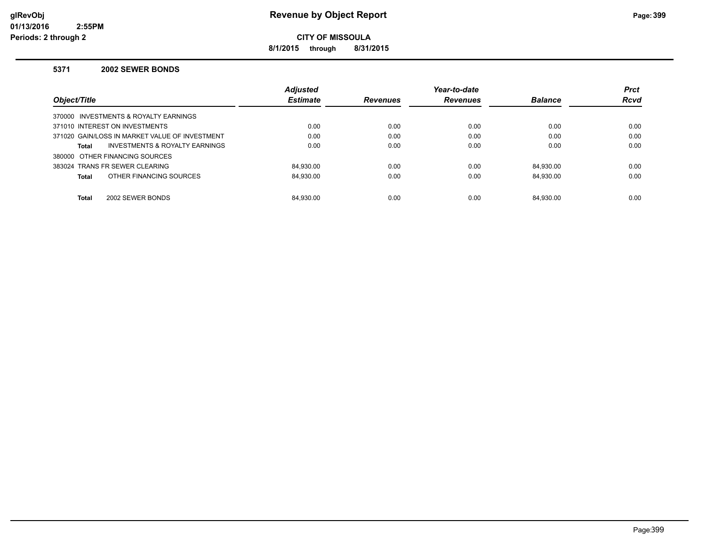**8/1/2015 through 8/31/2015**

#### **5371 2002 SEWER BONDS**

|                                                    | <b>Adjusted</b> |                 | Year-to-date    |                | <b>Prct</b> |
|----------------------------------------------------|-----------------|-----------------|-----------------|----------------|-------------|
| Object/Title                                       | <b>Estimate</b> | <b>Revenues</b> | <b>Revenues</b> | <b>Balance</b> | <b>Rcvd</b> |
| 370000 INVESTMENTS & ROYALTY EARNINGS              |                 |                 |                 |                |             |
| 371010 INTEREST ON INVESTMENTS                     | 0.00            | 0.00            | 0.00            | 0.00           | 0.00        |
| 371020 GAIN/LOSS IN MARKET VALUE OF INVESTMENT     | 0.00            | 0.00            | 0.00            | 0.00           | 0.00        |
| <b>INVESTMENTS &amp; ROYALTY EARNINGS</b><br>Total | 0.00            | 0.00            | 0.00            | 0.00           | 0.00        |
| 380000 OTHER FINANCING SOURCES                     |                 |                 |                 |                |             |
| 383024 TRANS FR SEWER CLEARING                     | 84.930.00       | 0.00            | 0.00            | 84.930.00      | 0.00        |
| OTHER FINANCING SOURCES<br><b>Total</b>            | 84.930.00       | 0.00            | 0.00            | 84.930.00      | 0.00        |
|                                                    |                 |                 |                 |                |             |
| <b>Total</b><br>2002 SEWER BONDS                   | 84.930.00       | 0.00            | 0.00            | 84.930.00      | 0.00        |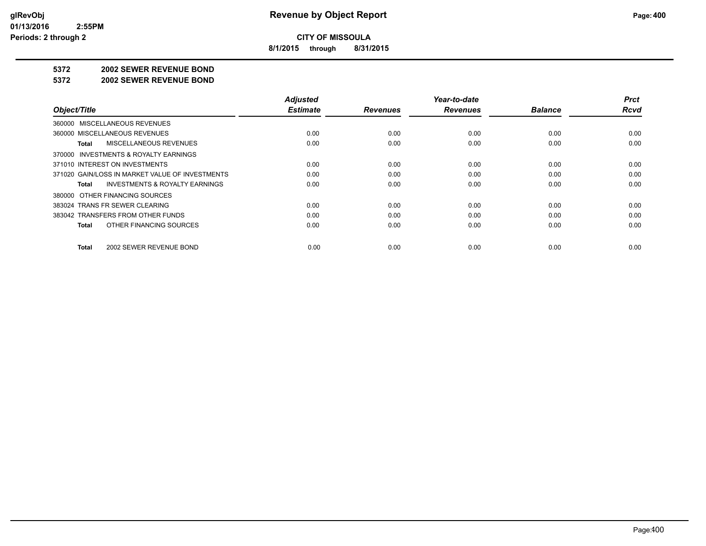**8/1/2015 through 8/31/2015**

#### **5372 2002 SEWER REVENUE BOND**

#### **5372 2002 SEWER REVENUE BOND**

|                                                    | <b>Adjusted</b><br><b>Estimate</b> |                 | Year-to-date    | <b>Balance</b> | <b>Prct</b><br><b>Rcvd</b> |
|----------------------------------------------------|------------------------------------|-----------------|-----------------|----------------|----------------------------|
| Object/Title                                       |                                    | <b>Revenues</b> | <b>Revenues</b> |                |                            |
| 360000 MISCELLANEOUS REVENUES                      |                                    |                 |                 |                |                            |
| 360000 MISCELLANEOUS REVENUES                      | 0.00                               | 0.00            | 0.00            | 0.00           | 0.00                       |
| MISCELLANEOUS REVENUES<br>Total                    | 0.00                               | 0.00            | 0.00            | 0.00           | 0.00                       |
| 370000 INVESTMENTS & ROYALTY EARNINGS              |                                    |                 |                 |                |                            |
| 371010 INTEREST ON INVESTMENTS                     | 0.00                               | 0.00            | 0.00            | 0.00           | 0.00                       |
| 371020 GAIN/LOSS IN MARKET VALUE OF INVESTMENTS    | 0.00                               | 0.00            | 0.00            | 0.00           | 0.00                       |
| <b>INVESTMENTS &amp; ROYALTY EARNINGS</b><br>Total | 0.00                               | 0.00            | 0.00            | 0.00           | 0.00                       |
| 380000 OTHER FINANCING SOURCES                     |                                    |                 |                 |                |                            |
| 383024 TRANS FR SEWER CLEARING                     | 0.00                               | 0.00            | 0.00            | 0.00           | 0.00                       |
| 383042 TRANSFERS FROM OTHER FUNDS                  | 0.00                               | 0.00            | 0.00            | 0.00           | 0.00                       |
| OTHER FINANCING SOURCES<br>Total                   | 0.00                               | 0.00            | 0.00            | 0.00           | 0.00                       |
| 2002 SEWER REVENUE BOND<br>Total                   | 0.00                               | 0.00            | 0.00            | 0.00           | 0.00                       |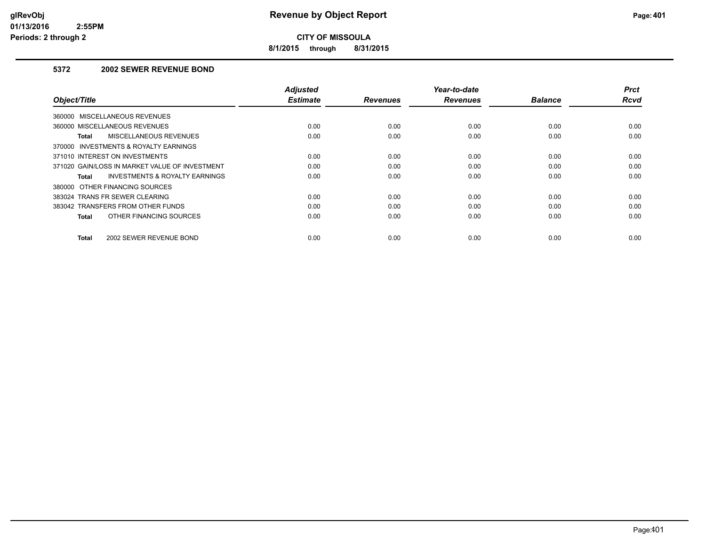**8/1/2015 through 8/31/2015**

#### **5372 2002 SEWER REVENUE BOND**

| Object/Title                                   | <b>Adjusted</b><br><b>Estimate</b> | <b>Revenues</b> | Year-to-date<br><b>Revenues</b> | <b>Balance</b> | <b>Prct</b><br>Rcvd |
|------------------------------------------------|------------------------------------|-----------------|---------------------------------|----------------|---------------------|
| 360000 MISCELLANEOUS REVENUES                  |                                    |                 |                                 |                |                     |
| 360000 MISCELLANEOUS REVENUES                  | 0.00                               | 0.00            | 0.00                            | 0.00           | 0.00                |
| MISCELLANEOUS REVENUES<br>Total                | 0.00                               | 0.00            | 0.00                            | 0.00           | 0.00                |
| 370000 INVESTMENTS & ROYALTY EARNINGS          |                                    |                 |                                 |                |                     |
| 371010 INTEREST ON INVESTMENTS                 | 0.00                               | 0.00            | 0.00                            | 0.00           | 0.00                |
| 371020 GAIN/LOSS IN MARKET VALUE OF INVESTMENT | 0.00                               | 0.00            | 0.00                            | 0.00           | 0.00                |
| INVESTMENTS & ROYALTY EARNINGS<br>Total        | 0.00                               | 0.00            | 0.00                            | 0.00           | 0.00                |
| 380000 OTHER FINANCING SOURCES                 |                                    |                 |                                 |                |                     |
| 383024 TRANS FR SEWER CLEARING                 | 0.00                               | 0.00            | 0.00                            | 0.00           | 0.00                |
| 383042 TRANSFERS FROM OTHER FUNDS              | 0.00                               | 0.00            | 0.00                            | 0.00           | 0.00                |
| OTHER FINANCING SOURCES<br><b>Total</b>        | 0.00                               | 0.00            | 0.00                            | 0.00           | 0.00                |
| 2002 SEWER REVENUE BOND<br><b>Total</b>        | 0.00                               | 0.00            | 0.00                            | 0.00           | 0.00                |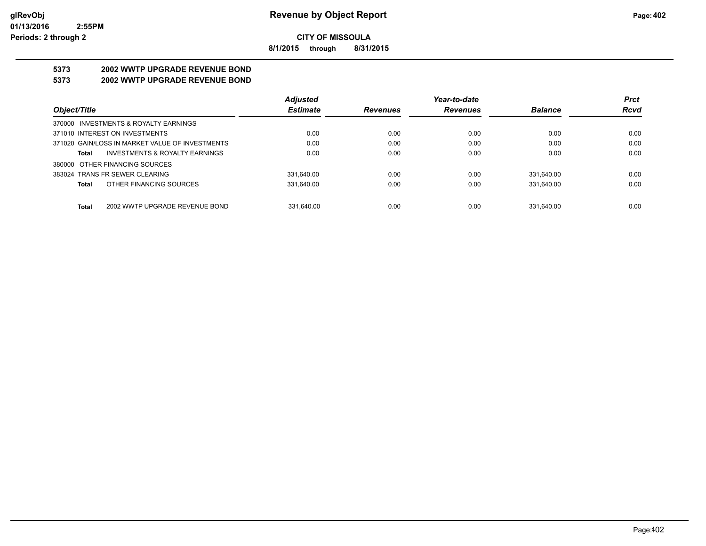**8/1/2015 through 8/31/2015**

# **5373 2002 WWTP UPGRADE REVENUE BOND**

#### **5373 2002 WWTP UPGRADE REVENUE BOND**

|                                                 | <b>Adjusted</b> |                 | Year-to-date    |                | <b>Prct</b> |
|-------------------------------------------------|-----------------|-----------------|-----------------|----------------|-------------|
| Object/Title                                    | <b>Estimate</b> | <b>Revenues</b> | <b>Revenues</b> | <b>Balance</b> | <b>Rcvd</b> |
| 370000 INVESTMENTS & ROYALTY EARNINGS           |                 |                 |                 |                |             |
| 371010 INTEREST ON INVESTMENTS                  | 0.00            | 0.00            | 0.00            | 0.00           | 0.00        |
| 371020 GAIN/LOSS IN MARKET VALUE OF INVESTMENTS | 0.00            | 0.00            | 0.00            | 0.00           | 0.00        |
| INVESTMENTS & ROYALTY EARNINGS<br>Total         | 0.00            | 0.00            | 0.00            | 0.00           | 0.00        |
| 380000 OTHER FINANCING SOURCES                  |                 |                 |                 |                |             |
| 383024 TRANS FR SEWER CLEARING                  | 331.640.00      | 0.00            | 0.00            | 331.640.00     | 0.00        |
| OTHER FINANCING SOURCES<br>Total                | 331.640.00      | 0.00            | 0.00            | 331.640.00     | 0.00        |
|                                                 |                 |                 |                 |                |             |
| 2002 WWTP UPGRADE REVENUE BOND<br><b>Total</b>  | 331.640.00      | 0.00            | 0.00            | 331.640.00     | 0.00        |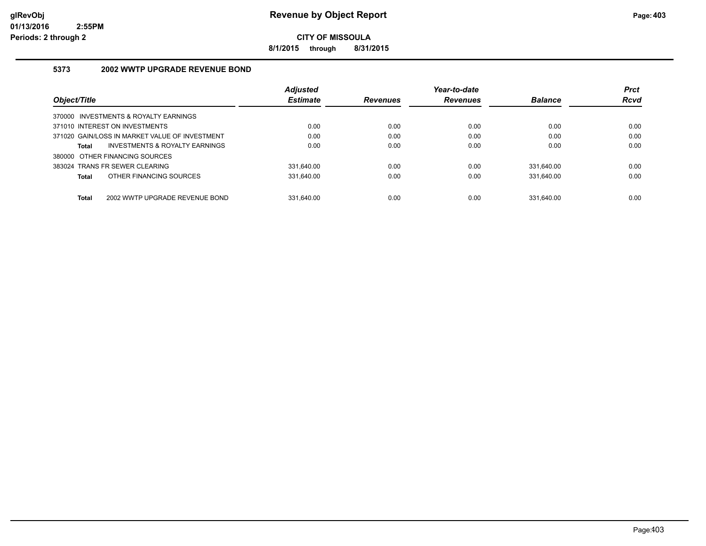**8/1/2015 through 8/31/2015**

#### **5373 2002 WWTP UPGRADE REVENUE BOND**

|                                                    | Adjusted        |                 | Year-to-date    |                | <b>Prct</b> |
|----------------------------------------------------|-----------------|-----------------|-----------------|----------------|-------------|
| Object/Title                                       | <b>Estimate</b> | <b>Revenues</b> | <b>Revenues</b> | <b>Balance</b> | <b>Rcvd</b> |
| 370000 INVESTMENTS & ROYALTY EARNINGS              |                 |                 |                 |                |             |
| 371010 INTEREST ON INVESTMENTS                     | 0.00            | 0.00            | 0.00            | 0.00           | 0.00        |
| 371020 GAIN/LOSS IN MARKET VALUE OF INVESTMENT     | 0.00            | 0.00            | 0.00            | 0.00           | 0.00        |
| <b>INVESTMENTS &amp; ROYALTY EARNINGS</b><br>Total | 0.00            | 0.00            | 0.00            | 0.00           | 0.00        |
| 380000 OTHER FINANCING SOURCES                     |                 |                 |                 |                |             |
| 383024 TRANS FR SEWER CLEARING                     | 331.640.00      | 0.00            | 0.00            | 331.640.00     | 0.00        |
| OTHER FINANCING SOURCES<br>Total                   | 331,640.00      | 0.00            | 0.00            | 331.640.00     | 0.00        |
|                                                    |                 |                 |                 |                |             |
| Total<br>2002 WWTP UPGRADE REVENUE BOND            | 331.640.00      | 0.00            | 0.00            | 331.640.00     | 0.00        |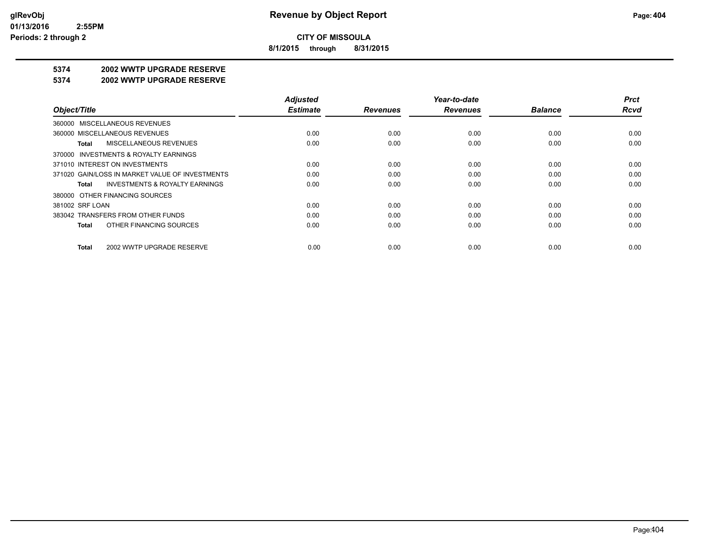**8/1/2015 through 8/31/2015**

### **5374 2002 WWTP UPGRADE RESERVE**

#### **5374 2002 WWTP UPGRADE RESERVE**

|                                                    | <b>Adjusted</b> |                 | Year-to-date    |                | <b>Prct</b> |
|----------------------------------------------------|-----------------|-----------------|-----------------|----------------|-------------|
| Object/Title                                       | <b>Estimate</b> | <b>Revenues</b> | <b>Revenues</b> | <b>Balance</b> | <b>Rcvd</b> |
| 360000 MISCELLANEOUS REVENUES                      |                 |                 |                 |                |             |
| 360000 MISCELLANEOUS REVENUES                      | 0.00            | 0.00            | 0.00            | 0.00           | 0.00        |
| <b>MISCELLANEOUS REVENUES</b><br>Total             | 0.00            | 0.00            | 0.00            | 0.00           | 0.00        |
| 370000 INVESTMENTS & ROYALTY EARNINGS              |                 |                 |                 |                |             |
| 371010 INTEREST ON INVESTMENTS                     | 0.00            | 0.00            | 0.00            | 0.00           | 0.00        |
| 371020 GAIN/LOSS IN MARKET VALUE OF INVESTMENTS    | 0.00            | 0.00            | 0.00            | 0.00           | 0.00        |
| <b>INVESTMENTS &amp; ROYALTY EARNINGS</b><br>Total | 0.00            | 0.00            | 0.00            | 0.00           | 0.00        |
| 380000 OTHER FINANCING SOURCES                     |                 |                 |                 |                |             |
| 381002 SRF LOAN                                    | 0.00            | 0.00            | 0.00            | 0.00           | 0.00        |
| 383042 TRANSFERS FROM OTHER FUNDS                  | 0.00            | 0.00            | 0.00            | 0.00           | 0.00        |
| OTHER FINANCING SOURCES<br>Total                   | 0.00            | 0.00            | 0.00            | 0.00           | 0.00        |
| 2002 WWTP UPGRADE RESERVE<br>Total                 | 0.00            | 0.00            | 0.00            | 0.00           | 0.00        |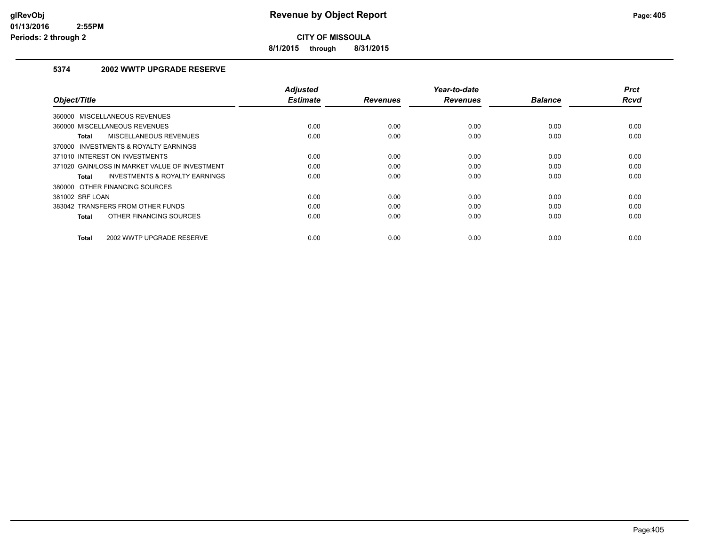**8/1/2015 through 8/31/2015**

#### **5374 2002 WWTP UPGRADE RESERVE**

| Object/Title                                   | <b>Adjusted</b><br><b>Estimate</b> | <b>Revenues</b> | Year-to-date<br><b>Revenues</b> | <b>Balance</b> | <b>Prct</b><br><b>Rcvd</b> |
|------------------------------------------------|------------------------------------|-----------------|---------------------------------|----------------|----------------------------|
| 360000 MISCELLANEOUS REVENUES                  |                                    |                 |                                 |                |                            |
| 360000 MISCELLANEOUS REVENUES                  | 0.00                               | 0.00            | 0.00                            | 0.00           | 0.00                       |
| MISCELLANEOUS REVENUES<br><b>Total</b>         | 0.00                               | 0.00            | 0.00                            | 0.00           | 0.00                       |
| 370000 INVESTMENTS & ROYALTY EARNINGS          |                                    |                 |                                 |                |                            |
| 371010 INTEREST ON INVESTMENTS                 | 0.00                               | 0.00            | 0.00                            | 0.00           | 0.00                       |
| 371020 GAIN/LOSS IN MARKET VALUE OF INVESTMENT | 0.00                               | 0.00            | 0.00                            | 0.00           | 0.00                       |
| INVESTMENTS & ROYALTY EARNINGS<br>Total        | 0.00                               | 0.00            | 0.00                            | 0.00           | 0.00                       |
| 380000 OTHER FINANCING SOURCES                 |                                    |                 |                                 |                |                            |
| 381002 SRF LOAN                                | 0.00                               | 0.00            | 0.00                            | 0.00           | 0.00                       |
| 383042 TRANSFERS FROM OTHER FUNDS              | 0.00                               | 0.00            | 0.00                            | 0.00           | 0.00                       |
| OTHER FINANCING SOURCES<br><b>Total</b>        | 0.00                               | 0.00            | 0.00                            | 0.00           | 0.00                       |
| 2002 WWTP UPGRADE RESERVE<br><b>Total</b>      | 0.00                               | 0.00            | 0.00                            | 0.00           | 0.00                       |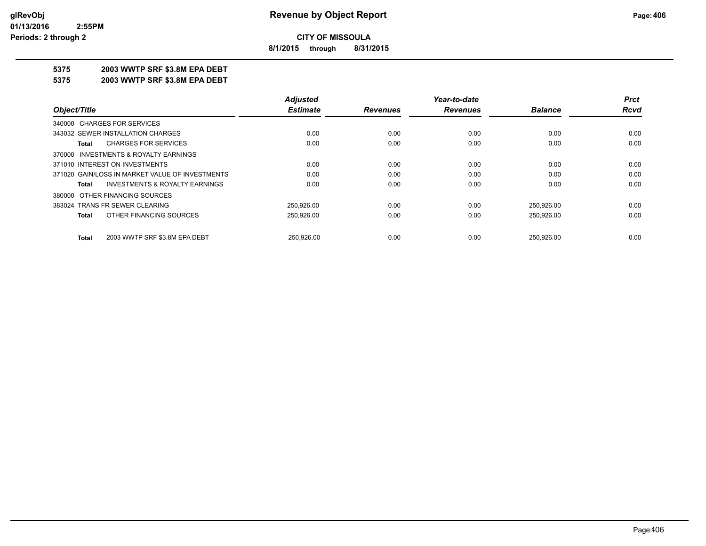**8/1/2015 through 8/31/2015**

#### **5375 2003 WWTP SRF \$3.8M EPA DEBT**

**5375 2003 WWTP SRF \$3.8M EPA DEBT**

|                                                    | <b>Adjusted</b> |                 | Year-to-date    |                | <b>Prct</b> |
|----------------------------------------------------|-----------------|-----------------|-----------------|----------------|-------------|
| Object/Title                                       | <b>Estimate</b> | <b>Revenues</b> | <b>Revenues</b> | <b>Balance</b> | Rcvd        |
| 340000 CHARGES FOR SERVICES                        |                 |                 |                 |                |             |
| 343032 SEWER INSTALLATION CHARGES                  | 0.00            | 0.00            | 0.00            | 0.00           | 0.00        |
| <b>CHARGES FOR SERVICES</b><br>Total               | 0.00            | 0.00            | 0.00            | 0.00           | 0.00        |
| 370000 INVESTMENTS & ROYALTY EARNINGS              |                 |                 |                 |                |             |
| 371010 INTEREST ON INVESTMENTS                     | 0.00            | 0.00            | 0.00            | 0.00           | 0.00        |
| 371020 GAIN/LOSS IN MARKET VALUE OF INVESTMENTS    | 0.00            | 0.00            | 0.00            | 0.00           | 0.00        |
| <b>INVESTMENTS &amp; ROYALTY EARNINGS</b><br>Total | 0.00            | 0.00            | 0.00            | 0.00           | 0.00        |
| 380000 OTHER FINANCING SOURCES                     |                 |                 |                 |                |             |
| 383024 TRANS FR SEWER CLEARING                     | 250.926.00      | 0.00            | 0.00            | 250,926.00     | 0.00        |
| OTHER FINANCING SOURCES<br>Total                   | 250,926.00      | 0.00            | 0.00            | 250,926.00     | 0.00        |
| 2003 WWTP SRF \$3.8M EPA DEBT<br>Total             | 250.926.00      | 0.00            | 0.00            | 250.926.00     | 0.00        |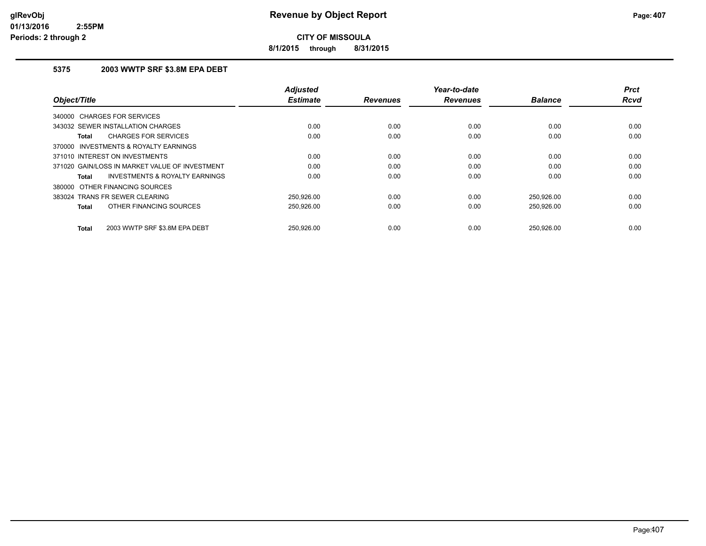**8/1/2015 through 8/31/2015**

#### **5375 2003 WWTP SRF \$3.8M EPA DEBT**

| Object/Title                                       | <b>Adjusted</b><br><b>Estimate</b> | <b>Revenues</b> | Year-to-date<br><b>Revenues</b> | <b>Balance</b> | <b>Prct</b><br><b>Rcvd</b> |
|----------------------------------------------------|------------------------------------|-----------------|---------------------------------|----------------|----------------------------|
|                                                    |                                    |                 |                                 |                |                            |
| 340000 CHARGES FOR SERVICES                        |                                    |                 |                                 |                |                            |
| 343032 SEWER INSTALLATION CHARGES                  | 0.00                               | 0.00            | 0.00                            | 0.00           | 0.00                       |
| <b>CHARGES FOR SERVICES</b><br>Total               | 0.00                               | 0.00            | 0.00                            | 0.00           | 0.00                       |
| 370000 INVESTMENTS & ROYALTY EARNINGS              |                                    |                 |                                 |                |                            |
| 371010 INTEREST ON INVESTMENTS                     | 0.00                               | 0.00            | 0.00                            | 0.00           | 0.00                       |
| 371020 GAIN/LOSS IN MARKET VALUE OF INVESTMENT     | 0.00                               | 0.00            | 0.00                            | 0.00           | 0.00                       |
| <b>INVESTMENTS &amp; ROYALTY EARNINGS</b><br>Total | 0.00                               | 0.00            | 0.00                            | 0.00           | 0.00                       |
| 380000 OTHER FINANCING SOURCES                     |                                    |                 |                                 |                |                            |
| 383024 TRANS FR SEWER CLEARING                     | 250,926.00                         | 0.00            | 0.00                            | 250,926.00     | 0.00                       |
| OTHER FINANCING SOURCES<br>Total                   | 250,926.00                         | 0.00            | 0.00                            | 250,926.00     | 0.00                       |
| 2003 WWTP SRF \$3.8M EPA DEBT<br>Total             | 250.926.00                         | 0.00            | 0.00                            | 250,926.00     | 0.00                       |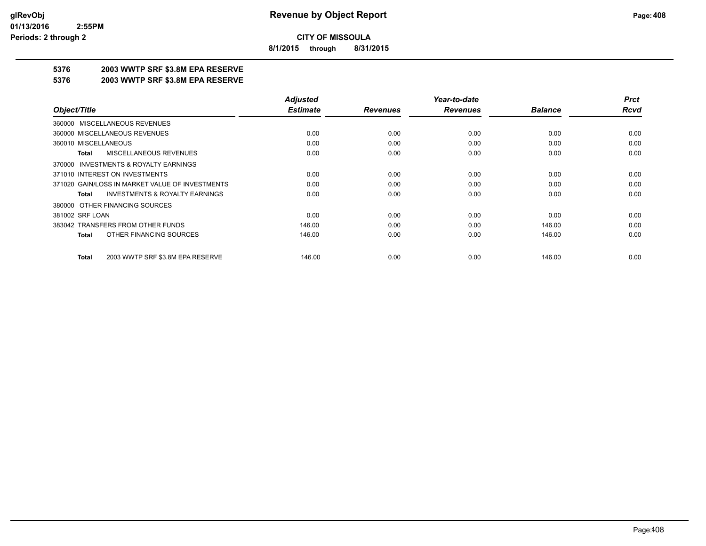**8/1/2015 through 8/31/2015**

### **5376 2003 WWTP SRF \$3.8M EPA RESERVE**

#### **5376 2003 WWTP SRF \$3.8M EPA RESERVE**

|                                                    | <b>Adjusted</b> |                 | Year-to-date    |                | <b>Prct</b> |
|----------------------------------------------------|-----------------|-----------------|-----------------|----------------|-------------|
| Object/Title                                       | <b>Estimate</b> | <b>Revenues</b> | <b>Revenues</b> | <b>Balance</b> | <b>Rcvd</b> |
| 360000 MISCELLANEOUS REVENUES                      |                 |                 |                 |                |             |
| 360000 MISCELLANEOUS REVENUES                      | 0.00            | 0.00            | 0.00            | 0.00           | 0.00        |
| 360010 MISCELLANEOUS                               | 0.00            | 0.00            | 0.00            | 0.00           | 0.00        |
| MISCELLANEOUS REVENUES<br>Total                    | 0.00            | 0.00            | 0.00            | 0.00           | 0.00        |
| 370000 INVESTMENTS & ROYALTY EARNINGS              |                 |                 |                 |                |             |
| 371010 INTEREST ON INVESTMENTS                     | 0.00            | 0.00            | 0.00            | 0.00           | 0.00        |
| 371020 GAIN/LOSS IN MARKET VALUE OF INVESTMENTS    | 0.00            | 0.00            | 0.00            | 0.00           | 0.00        |
| <b>INVESTMENTS &amp; ROYALTY EARNINGS</b><br>Total | 0.00            | 0.00            | 0.00            | 0.00           | 0.00        |
| 380000 OTHER FINANCING SOURCES                     |                 |                 |                 |                |             |
| 381002 SRF LOAN                                    | 0.00            | 0.00            | 0.00            | 0.00           | 0.00        |
| 383042 TRANSFERS FROM OTHER FUNDS                  | 146.00          | 0.00            | 0.00            | 146.00         | 0.00        |
| OTHER FINANCING SOURCES<br><b>Total</b>            | 146.00          | 0.00            | 0.00            | 146.00         | 0.00        |
| 2003 WWTP SRF \$3.8M EPA RESERVE<br><b>Total</b>   | 146.00          | 0.00            | 0.00            | 146.00         | 0.00        |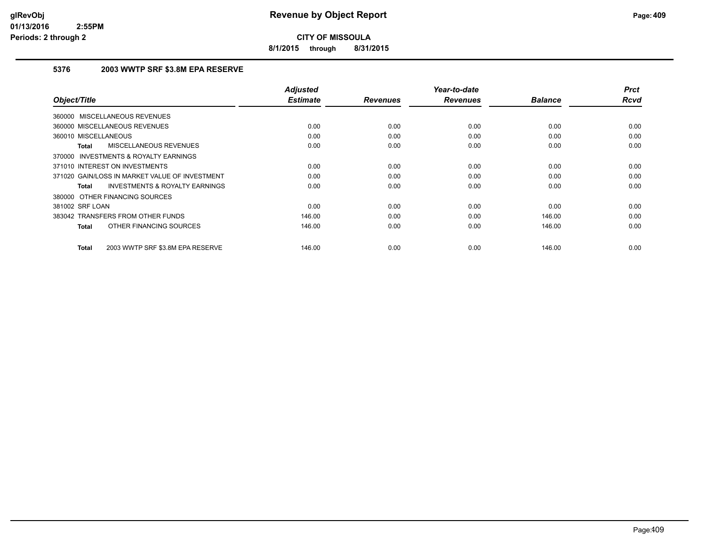**8/1/2015 through 8/31/2015**

#### **5376 2003 WWTP SRF \$3.8M EPA RESERVE**

|                                                           | <b>Adjusted</b> |                 | Year-to-date    |                | <b>Prct</b> |
|-----------------------------------------------------------|-----------------|-----------------|-----------------|----------------|-------------|
| Object/Title                                              | <b>Estimate</b> | <b>Revenues</b> | <b>Revenues</b> | <b>Balance</b> | <b>Rcvd</b> |
| 360000 MISCELLANEOUS REVENUES                             |                 |                 |                 |                |             |
| 360000 MISCELLANEOUS REVENUES                             | 0.00            | 0.00            | 0.00            | 0.00           | 0.00        |
| 360010 MISCELLANEOUS                                      | 0.00            | 0.00            | 0.00            | 0.00           | 0.00        |
| MISCELLANEOUS REVENUES<br>Total                           | 0.00            | 0.00            | 0.00            | 0.00           | 0.00        |
| 370000 INVESTMENTS & ROYALTY EARNINGS                     |                 |                 |                 |                |             |
| 371010 INTEREST ON INVESTMENTS                            | 0.00            | 0.00            | 0.00            | 0.00           | 0.00        |
| 371020 GAIN/LOSS IN MARKET VALUE OF INVESTMENT            | 0.00            | 0.00            | 0.00            | 0.00           | 0.00        |
| <b>INVESTMENTS &amp; ROYALTY EARNINGS</b><br><b>Total</b> | 0.00            | 0.00            | 0.00            | 0.00           | 0.00        |
| 380000 OTHER FINANCING SOURCES                            |                 |                 |                 |                |             |
| 381002 SRF LOAN                                           | 0.00            | 0.00            | 0.00            | 0.00           | 0.00        |
| 383042 TRANSFERS FROM OTHER FUNDS                         | 146.00          | 0.00            | 0.00            | 146.00         | 0.00        |
| OTHER FINANCING SOURCES<br><b>Total</b>                   | 146.00          | 0.00            | 0.00            | 146.00         | 0.00        |
| 2003 WWTP SRF \$3.8M EPA RESERVE<br><b>Total</b>          | 146.00          | 0.00            | 0.00            | 146.00         | 0.00        |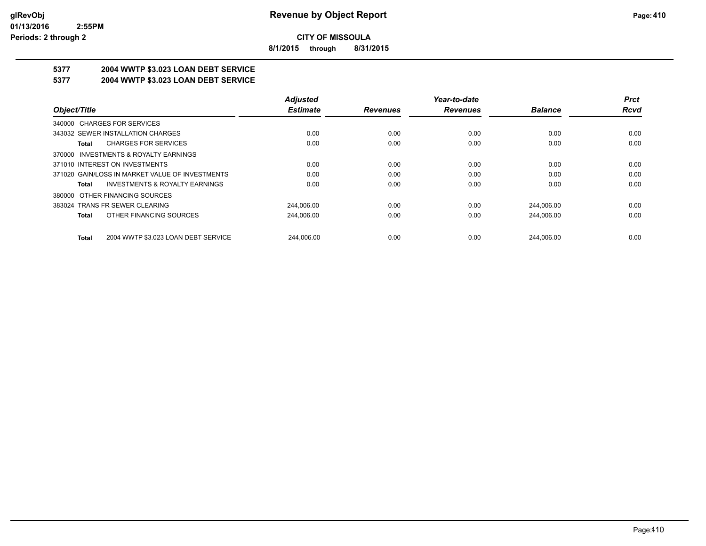**8/1/2015 through 8/31/2015**

# **5377 2004 WWTP \$3.023 LOAN DEBT SERVICE**

### **5377 2004 WWTP \$3.023 LOAN DEBT SERVICE**

|                                                     | <b>Adjusted</b> |                 | Year-to-date    |                | <b>Prct</b> |
|-----------------------------------------------------|-----------------|-----------------|-----------------|----------------|-------------|
| Object/Title                                        | <b>Estimate</b> | <b>Revenues</b> | <b>Revenues</b> | <b>Balance</b> | Rcvd        |
| 340000 CHARGES FOR SERVICES                         |                 |                 |                 |                |             |
| 343032 SEWER INSTALLATION CHARGES                   | 0.00            | 0.00            | 0.00            | 0.00           | 0.00        |
| <b>CHARGES FOR SERVICES</b><br>Total                | 0.00            | 0.00            | 0.00            | 0.00           | 0.00        |
| INVESTMENTS & ROYALTY EARNINGS<br>370000            |                 |                 |                 |                |             |
| 371010 INTEREST ON INVESTMENTS                      | 0.00            | 0.00            | 0.00            | 0.00           | 0.00        |
| 371020 GAIN/LOSS IN MARKET VALUE OF INVESTMENTS     | 0.00            | 0.00            | 0.00            | 0.00           | 0.00        |
| <b>INVESTMENTS &amp; ROYALTY EARNINGS</b><br>Total  | 0.00            | 0.00            | 0.00            | 0.00           | 0.00        |
| OTHER FINANCING SOURCES<br>380000                   |                 |                 |                 |                |             |
| 383024 TRANS FR SEWER CLEARING                      | 244.006.00      | 0.00            | 0.00            | 244.006.00     | 0.00        |
| OTHER FINANCING SOURCES<br><b>Total</b>             | 244,006.00      | 0.00            | 0.00            | 244,006.00     | 0.00        |
| 2004 WWTP \$3.023 LOAN DEBT SERVICE<br><b>Total</b> | 244.006.00      | 0.00            | 0.00            | 244.006.00     | 0.00        |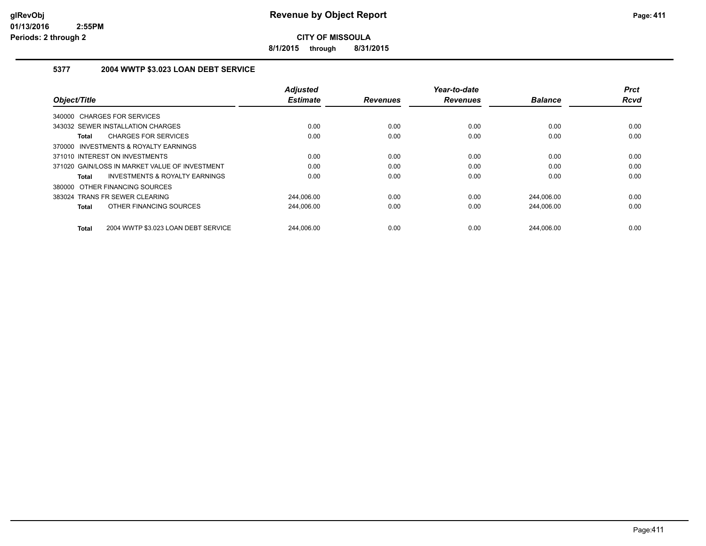**8/1/2015 through 8/31/2015**

#### **5377 2004 WWTP \$3.023 LOAN DEBT SERVICE**

| Object/Title                                              | <b>Adjusted</b><br><b>Estimate</b> | <b>Revenues</b> | Year-to-date<br><b>Revenues</b> | <b>Balance</b> | <b>Prct</b><br><b>Rcvd</b> |
|-----------------------------------------------------------|------------------------------------|-----------------|---------------------------------|----------------|----------------------------|
| 340000 CHARGES FOR SERVICES                               |                                    |                 |                                 |                |                            |
| 343032 SEWER INSTALLATION CHARGES                         | 0.00                               | 0.00            | 0.00                            | 0.00           | 0.00                       |
| <b>CHARGES FOR SERVICES</b><br><b>Total</b>               | 0.00                               | 0.00            | 0.00                            | 0.00           | 0.00                       |
| 370000 INVESTMENTS & ROYALTY EARNINGS                     |                                    |                 |                                 |                |                            |
| 371010 INTEREST ON INVESTMENTS                            | 0.00                               | 0.00            | 0.00                            | 0.00           | 0.00                       |
| 371020 GAIN/LOSS IN MARKET VALUE OF INVESTMENT            | 0.00                               | 0.00            | 0.00                            | 0.00           | 0.00                       |
| <b>INVESTMENTS &amp; ROYALTY EARNINGS</b><br><b>Total</b> | 0.00                               | 0.00            | 0.00                            | 0.00           | 0.00                       |
| 380000 OTHER FINANCING SOURCES                            |                                    |                 |                                 |                |                            |
| 383024 TRANS FR SEWER CLEARING                            | 244,006.00                         | 0.00            | 0.00                            | 244,006.00     | 0.00                       |
| OTHER FINANCING SOURCES<br><b>Total</b>                   | 244,006.00                         | 0.00            | 0.00                            | 244,006.00     | 0.00                       |
| 2004 WWTP \$3.023 LOAN DEBT SERVICE<br><b>Total</b>       | 244.006.00                         | 0.00            | 0.00                            | 244.006.00     | 0.00                       |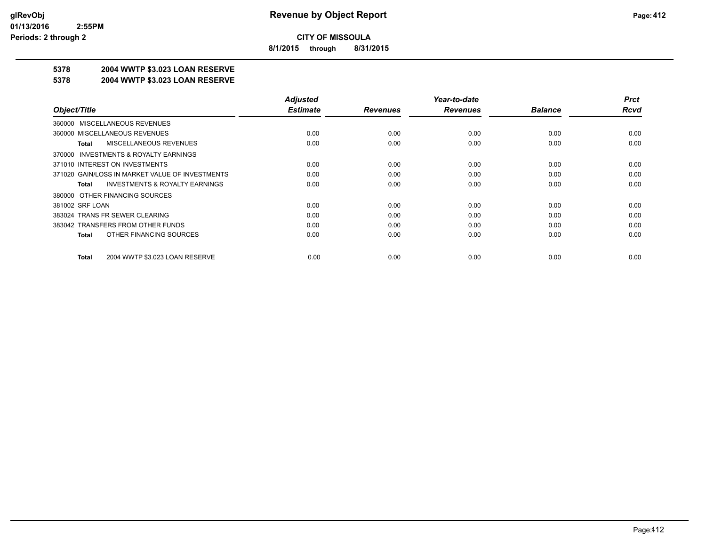**8/1/2015 through 8/31/2015**

### **5378 2004 WWTP \$3.023 LOAN RESERVE**

#### **5378 2004 WWTP \$3.023 LOAN RESERVE**

|                                                    | <b>Adjusted</b> |                 | Year-to-date    |                | <b>Prct</b> |
|----------------------------------------------------|-----------------|-----------------|-----------------|----------------|-------------|
| Object/Title                                       | <b>Estimate</b> | <b>Revenues</b> | <b>Revenues</b> | <b>Balance</b> | <b>Rcvd</b> |
| 360000 MISCELLANEOUS REVENUES                      |                 |                 |                 |                |             |
| 360000 MISCELLANEOUS REVENUES                      | 0.00            | 0.00            | 0.00            | 0.00           | 0.00        |
| MISCELLANEOUS REVENUES<br>Total                    | 0.00            | 0.00            | 0.00            | 0.00           | 0.00        |
| 370000 INVESTMENTS & ROYALTY EARNINGS              |                 |                 |                 |                |             |
| 371010 INTEREST ON INVESTMENTS                     | 0.00            | 0.00            | 0.00            | 0.00           | 0.00        |
| 371020 GAIN/LOSS IN MARKET VALUE OF INVESTMENTS    | 0.00            | 0.00            | 0.00            | 0.00           | 0.00        |
| <b>INVESTMENTS &amp; ROYALTY EARNINGS</b><br>Total | 0.00            | 0.00            | 0.00            | 0.00           | 0.00        |
| 380000 OTHER FINANCING SOURCES                     |                 |                 |                 |                |             |
| 381002 SRF LOAN                                    | 0.00            | 0.00            | 0.00            | 0.00           | 0.00        |
| 383024 TRANS FR SEWER CLEARING                     | 0.00            | 0.00            | 0.00            | 0.00           | 0.00        |
| 383042 TRANSFERS FROM OTHER FUNDS                  | 0.00            | 0.00            | 0.00            | 0.00           | 0.00        |
| OTHER FINANCING SOURCES<br>Total                   | 0.00            | 0.00            | 0.00            | 0.00           | 0.00        |
|                                                    |                 |                 |                 |                |             |
| 2004 WWTP \$3.023 LOAN RESERVE<br>Total            | 0.00            | 0.00            | 0.00            | 0.00           | 0.00        |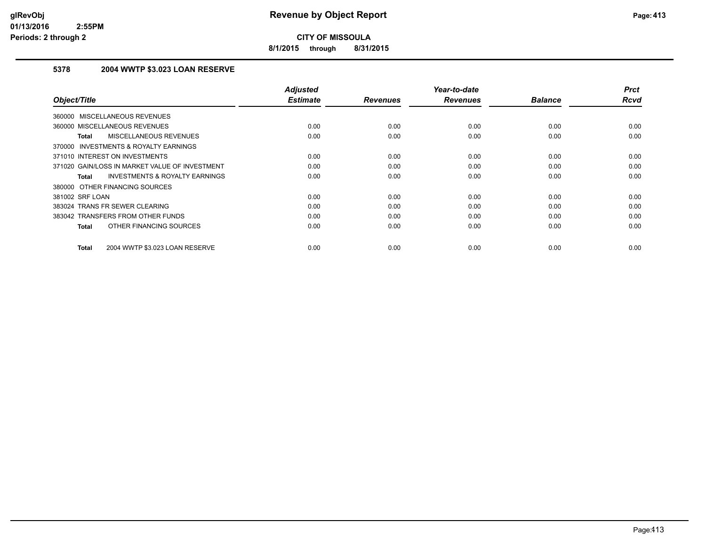**8/1/2015 through 8/31/2015**

#### **5378 2004 WWTP \$3.023 LOAN RESERVE**

| Object/Title                                              | <b>Adjusted</b><br><b>Estimate</b> | <b>Revenues</b> | Year-to-date<br><b>Revenues</b> | <b>Balance</b> | <b>Prct</b><br><b>Rcvd</b> |
|-----------------------------------------------------------|------------------------------------|-----------------|---------------------------------|----------------|----------------------------|
|                                                           |                                    |                 |                                 |                |                            |
| 360000 MISCELLANEOUS REVENUES                             |                                    |                 |                                 |                |                            |
| 360000 MISCELLANEOUS REVENUES                             | 0.00                               | 0.00            | 0.00                            | 0.00           | 0.00                       |
| MISCELLANEOUS REVENUES<br><b>Total</b>                    | 0.00                               | 0.00            | 0.00                            | 0.00           | 0.00                       |
| 370000 INVESTMENTS & ROYALTY EARNINGS                     |                                    |                 |                                 |                |                            |
| 371010 INTEREST ON INVESTMENTS                            | 0.00                               | 0.00            | 0.00                            | 0.00           | 0.00                       |
| 371020 GAIN/LOSS IN MARKET VALUE OF INVESTMENT            | 0.00                               | 0.00            | 0.00                            | 0.00           | 0.00                       |
| <b>INVESTMENTS &amp; ROYALTY EARNINGS</b><br><b>Total</b> | 0.00                               | 0.00            | 0.00                            | 0.00           | 0.00                       |
| 380000 OTHER FINANCING SOURCES                            |                                    |                 |                                 |                |                            |
| 381002 SRF LOAN                                           | 0.00                               | 0.00            | 0.00                            | 0.00           | 0.00                       |
| 383024 TRANS FR SEWER CLEARING                            | 0.00                               | 0.00            | 0.00                            | 0.00           | 0.00                       |
| 383042 TRANSFERS FROM OTHER FUNDS                         | 0.00                               | 0.00            | 0.00                            | 0.00           | 0.00                       |
| OTHER FINANCING SOURCES<br><b>Total</b>                   | 0.00                               | 0.00            | 0.00                            | 0.00           | 0.00                       |
|                                                           |                                    |                 |                                 |                |                            |
| 2004 WWTP \$3.023 LOAN RESERVE<br><b>Total</b>            | 0.00                               | 0.00            | 0.00                            | 0.00           | 0.00                       |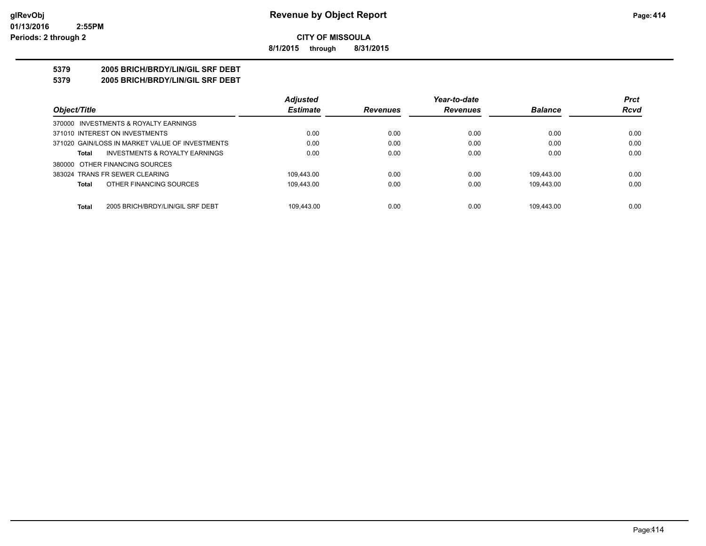**8/1/2015 through 8/31/2015**

### **5379 2005 BRICH/BRDY/LIN/GIL SRF DEBT**

**5379 2005 BRICH/BRDY/LIN/GIL SRF DEBT**

|                                                  | <b>Adjusted</b> |                 | Year-to-date    |                | <b>Prct</b> |
|--------------------------------------------------|-----------------|-----------------|-----------------|----------------|-------------|
| Object/Title                                     | <b>Estimate</b> | <b>Revenues</b> | <b>Revenues</b> | <b>Balance</b> | <b>Rcvd</b> |
| 370000 INVESTMENTS & ROYALTY EARNINGS            |                 |                 |                 |                |             |
| 371010 INTEREST ON INVESTMENTS                   | 0.00            | 0.00            | 0.00            | 0.00           | 0.00        |
| 371020 GAIN/LOSS IN MARKET VALUE OF INVESTMENTS  | 0.00            | 0.00            | 0.00            | 0.00           | 0.00        |
| INVESTMENTS & ROYALTY EARNINGS<br><b>Total</b>   | 0.00            | 0.00            | 0.00            | 0.00           | 0.00        |
| 380000 OTHER FINANCING SOURCES                   |                 |                 |                 |                |             |
| 383024 TRANS FR SEWER CLEARING                   | 109.443.00      | 0.00            | 0.00            | 109.443.00     | 0.00        |
| OTHER FINANCING SOURCES<br><b>Total</b>          | 109.443.00      | 0.00            | 0.00            | 109.443.00     | 0.00        |
| <b>Total</b><br>2005 BRICH/BRDY/LIN/GIL SRF DEBT | 109.443.00      | 0.00            | 0.00            | 109.443.00     | 0.00        |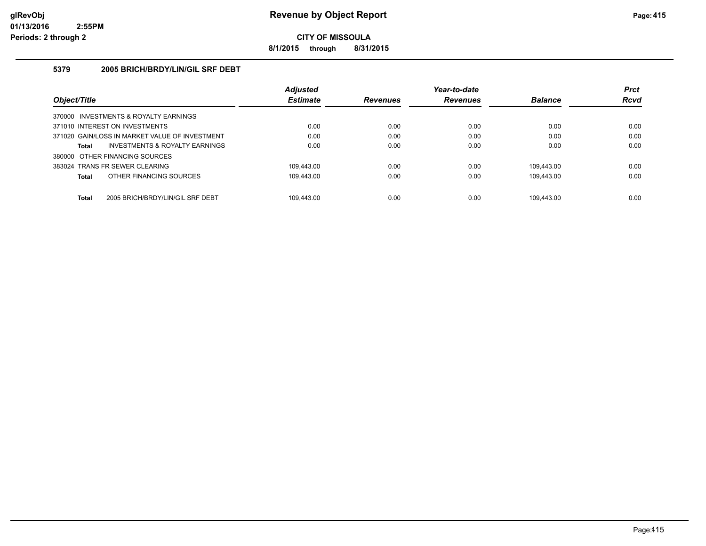**8/1/2015 through 8/31/2015**

#### **5379 2005 BRICH/BRDY/LIN/GIL SRF DEBT**

|                                                  | <b>Adjusted</b> |                 | Year-to-date    |                | <b>Prct</b> |
|--------------------------------------------------|-----------------|-----------------|-----------------|----------------|-------------|
| Object/Title                                     | <b>Estimate</b> | <b>Revenues</b> | <b>Revenues</b> | <b>Balance</b> | <b>Rcvd</b> |
| 370000 INVESTMENTS & ROYALTY EARNINGS            |                 |                 |                 |                |             |
| 371010 INTEREST ON INVESTMENTS                   | 0.00            | 0.00            | 0.00            | 0.00           | 0.00        |
| 371020 GAIN/LOSS IN MARKET VALUE OF INVESTMENT   | 0.00            | 0.00            | 0.00            | 0.00           | 0.00        |
| INVESTMENTS & ROYALTY EARNINGS<br>Total          | 0.00            | 0.00            | 0.00            | 0.00           | 0.00        |
| 380000 OTHER FINANCING SOURCES                   |                 |                 |                 |                |             |
| 383024 TRANS FR SEWER CLEARING                   | 109.443.00      | 0.00            | 0.00            | 109.443.00     | 0.00        |
| OTHER FINANCING SOURCES<br><b>Total</b>          | 109.443.00      | 0.00            | 0.00            | 109.443.00     | 0.00        |
|                                                  |                 |                 |                 |                |             |
| <b>Total</b><br>2005 BRICH/BRDY/LIN/GIL SRF DEBT | 109.443.00      | 0.00            | 0.00            | 109.443.00     | 0.00        |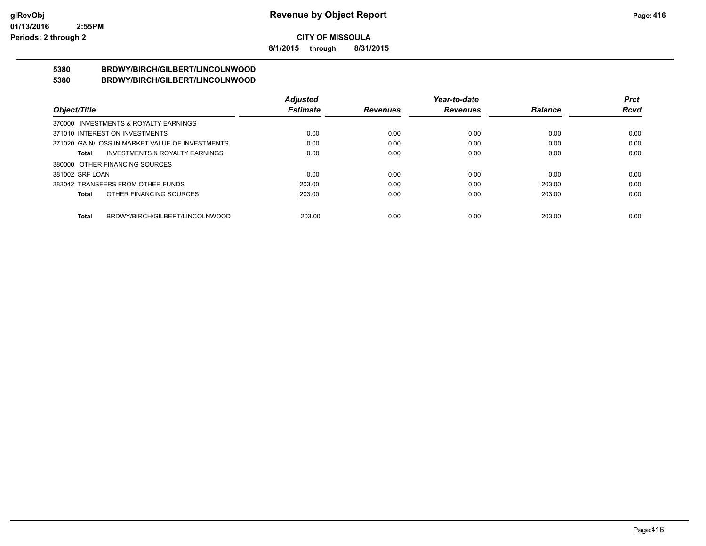**8/1/2015 through 8/31/2015**

#### **5380 BRDWY/BIRCH/GILBERT/LINCOLNWOOD 5380 BRDWY/BIRCH/GILBERT/LINCOLNWOOD**

|                                                    | <b>Adjusted</b> |                 | Year-to-date    |                | <b>Prct</b> |
|----------------------------------------------------|-----------------|-----------------|-----------------|----------------|-------------|
| Object/Title                                       | <b>Estimate</b> | <b>Revenues</b> | <b>Revenues</b> | <b>Balance</b> | <b>Rcvd</b> |
| 370000 INVESTMENTS & ROYALTY EARNINGS              |                 |                 |                 |                |             |
| 371010 INTEREST ON INVESTMENTS                     | 0.00            | 0.00            | 0.00            | 0.00           | 0.00        |
| 371020 GAIN/LOSS IN MARKET VALUE OF INVESTMENTS    | 0.00            | 0.00            | 0.00            | 0.00           | 0.00        |
| <b>INVESTMENTS &amp; ROYALTY EARNINGS</b><br>Total | 0.00            | 0.00            | 0.00            | 0.00           | 0.00        |
| 380000 OTHER FINANCING SOURCES                     |                 |                 |                 |                |             |
| 381002 SRF LOAN                                    | 0.00            | 0.00            | 0.00            | 0.00           | 0.00        |
| 383042 TRANSFERS FROM OTHER FUNDS                  | 203.00          | 0.00            | 0.00            | 203.00         | 0.00        |
| OTHER FINANCING SOURCES<br>Total                   | 203.00          | 0.00            | 0.00            | 203.00         | 0.00        |
|                                                    |                 |                 |                 |                |             |
| BRDWY/BIRCH/GILBERT/LINCOLNWOOD<br><b>Total</b>    | 203.00          | 0.00            | 0.00            | 203.00         | 0.00        |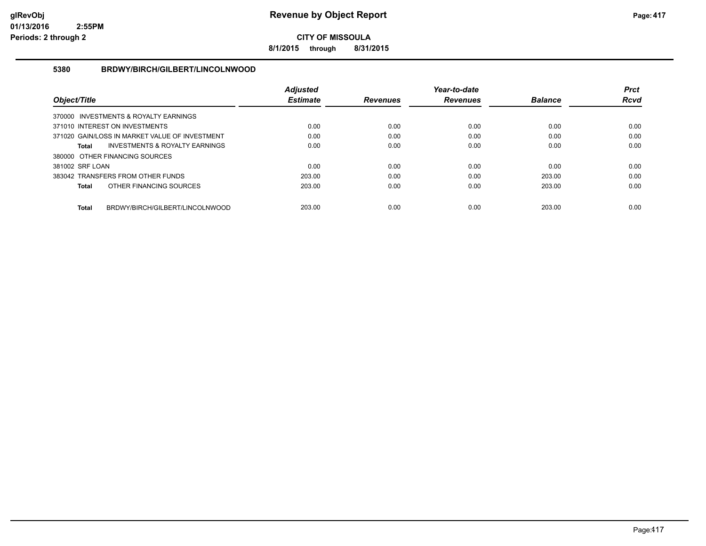**8/1/2015 through 8/31/2015**

#### **5380 BRDWY/BIRCH/GILBERT/LINCOLNWOOD**

|                                                 | <b>Adiusted</b> |                 | Year-to-date    |                | <b>Prct</b> |
|-------------------------------------------------|-----------------|-----------------|-----------------|----------------|-------------|
| Object/Title                                    | <b>Estimate</b> | <b>Revenues</b> | <b>Revenues</b> | <b>Balance</b> | Rcvd        |
| 370000 INVESTMENTS & ROYALTY EARNINGS           |                 |                 |                 |                |             |
| 371010 INTEREST ON INVESTMENTS                  | 0.00            | 0.00            | 0.00            | 0.00           | 0.00        |
| 371020 GAIN/LOSS IN MARKET VALUE OF INVESTMENT  | 0.00            | 0.00            | 0.00            | 0.00           | 0.00        |
| INVESTMENTS & ROYALTY EARNINGS<br>Total         | 0.00            | 0.00            | 0.00            | 0.00           | 0.00        |
| 380000 OTHER FINANCING SOURCES                  |                 |                 |                 |                |             |
| 381002 SRF LOAN                                 | 0.00            | 0.00            | 0.00            | 0.00           | 0.00        |
| 383042 TRANSFERS FROM OTHER FUNDS               | 203.00          | 0.00            | 0.00            | 203.00         | 0.00        |
| OTHER FINANCING SOURCES<br><b>Total</b>         | 203.00          | 0.00            | 0.00            | 203.00         | 0.00        |
|                                                 |                 |                 |                 |                |             |
| BRDWY/BIRCH/GILBERT/LINCOLNWOOD<br><b>Total</b> | 203.00          | 0.00            | 0.00            | 203.00         | 0.00        |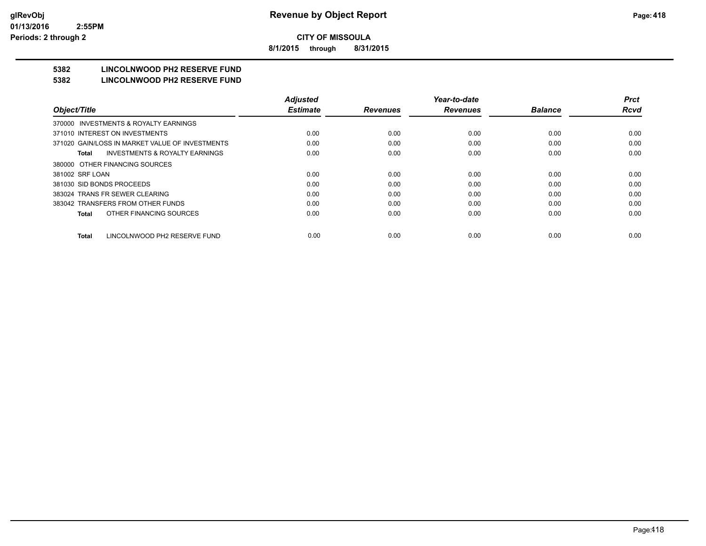**8/1/2015 through 8/31/2015**

# **5382 LINCOLNWOOD PH2 RESERVE FUND**

#### **5382 LINCOLNWOOD PH2 RESERVE FUND**

|                                                    | <b>Adjusted</b> |                 | Year-to-date    |                | <b>Prct</b> |
|----------------------------------------------------|-----------------|-----------------|-----------------|----------------|-------------|
| Object/Title                                       | <b>Estimate</b> | <b>Revenues</b> | <b>Revenues</b> | <b>Balance</b> | <b>Rcvd</b> |
| 370000 INVESTMENTS & ROYALTY EARNINGS              |                 |                 |                 |                |             |
| 371010 INTEREST ON INVESTMENTS                     | 0.00            | 0.00            | 0.00            | 0.00           | 0.00        |
| 371020 GAIN/LOSS IN MARKET VALUE OF INVESTMENTS    | 0.00            | 0.00            | 0.00            | 0.00           | 0.00        |
| <b>INVESTMENTS &amp; ROYALTY EARNINGS</b><br>Total | 0.00            | 0.00            | 0.00            | 0.00           | 0.00        |
| 380000 OTHER FINANCING SOURCES                     |                 |                 |                 |                |             |
| 381002 SRF LOAN                                    | 0.00            | 0.00            | 0.00            | 0.00           | 0.00        |
| 381030 SID BONDS PROCEEDS                          | 0.00            | 0.00            | 0.00            | 0.00           | 0.00        |
| 383024 TRANS FR SEWER CLEARING                     | 0.00            | 0.00            | 0.00            | 0.00           | 0.00        |
| 383042 TRANSFERS FROM OTHER FUNDS                  | 0.00            | 0.00            | 0.00            | 0.00           | 0.00        |
| OTHER FINANCING SOURCES<br>Total                   | 0.00            | 0.00            | 0.00            | 0.00           | 0.00        |
| LINCOLNWOOD PH2 RESERVE FUND<br><b>Total</b>       | 0.00            | 0.00            | 0.00            | 0.00           | 0.00        |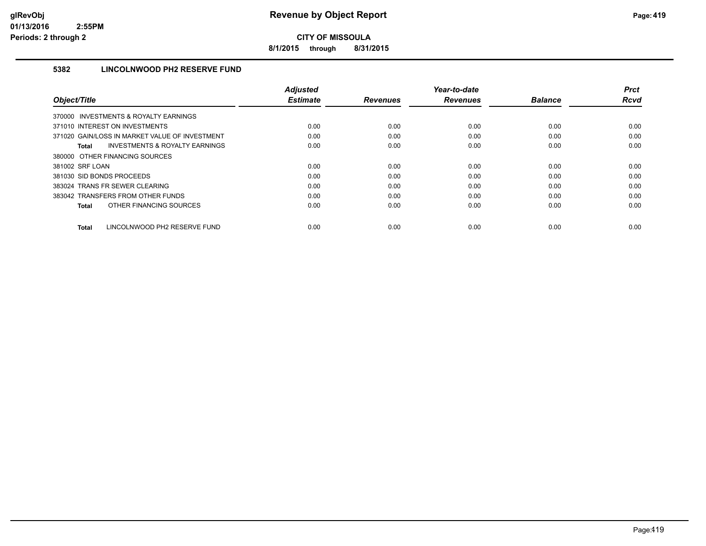**8/1/2015 through 8/31/2015**

#### **5382 LINCOLNWOOD PH2 RESERVE FUND**

|                                                           | <b>Adiusted</b> |                 | Year-to-date    |                | <b>Prct</b> |
|-----------------------------------------------------------|-----------------|-----------------|-----------------|----------------|-------------|
| Object/Title                                              | <b>Estimate</b> | <b>Revenues</b> | <b>Revenues</b> | <b>Balance</b> | <b>Rcvd</b> |
| 370000 INVESTMENTS & ROYALTY EARNINGS                     |                 |                 |                 |                |             |
| 371010 INTEREST ON INVESTMENTS                            | 0.00            | 0.00            | 0.00            | 0.00           | 0.00        |
| 371020 GAIN/LOSS IN MARKET VALUE OF INVESTMENT            | 0.00            | 0.00            | 0.00            | 0.00           | 0.00        |
| <b>INVESTMENTS &amp; ROYALTY EARNINGS</b><br><b>Total</b> | 0.00            | 0.00            | 0.00            | 0.00           | 0.00        |
| 380000 OTHER FINANCING SOURCES                            |                 |                 |                 |                |             |
| 381002 SRF LOAN                                           | 0.00            | 0.00            | 0.00            | 0.00           | 0.00        |
| 381030 SID BONDS PROCEEDS                                 | 0.00            | 0.00            | 0.00            | 0.00           | 0.00        |
| 383024 TRANS FR SEWER CLEARING                            | 0.00            | 0.00            | 0.00            | 0.00           | 0.00        |
| 383042 TRANSFERS FROM OTHER FUNDS                         | 0.00            | 0.00            | 0.00            | 0.00           | 0.00        |
| OTHER FINANCING SOURCES<br><b>Total</b>                   | 0.00            | 0.00            | 0.00            | 0.00           | 0.00        |
| LINCOLNWOOD PH2 RESERVE FUND<br><b>Total</b>              | 0.00            | 0.00            | 0.00            | 0.00           | 0.00        |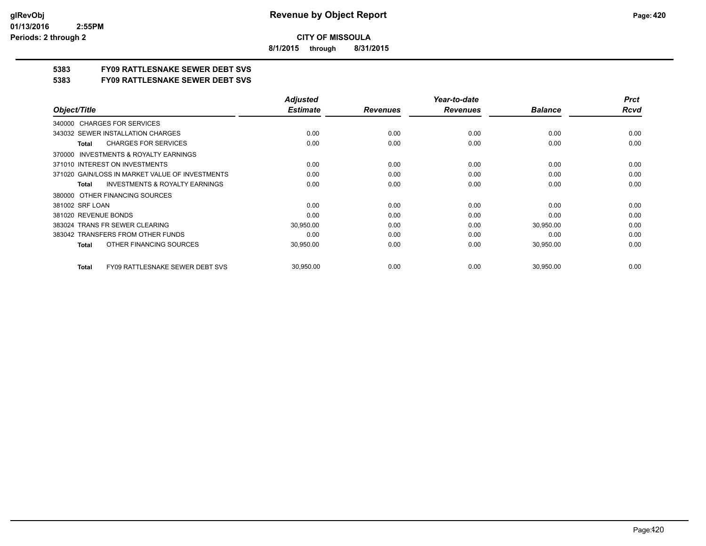**8/1/2015 through 8/31/2015**

## **5383 FY09 RATTLESNAKE SEWER DEBT SVS**

**5383 FY09 RATTLESNAKE SEWER DEBT SVS**

|                                                        | <b>Adjusted</b> |                 | Year-to-date    |                | <b>Prct</b> |
|--------------------------------------------------------|-----------------|-----------------|-----------------|----------------|-------------|
| Object/Title                                           | <b>Estimate</b> | <b>Revenues</b> | <b>Revenues</b> | <b>Balance</b> | <b>Rcvd</b> |
| 340000 CHARGES FOR SERVICES                            |                 |                 |                 |                |             |
| 343032 SEWER INSTALLATION CHARGES                      | 0.00            | 0.00            | 0.00            | 0.00           | 0.00        |
| <b>CHARGES FOR SERVICES</b><br>Total                   | 0.00            | 0.00            | 0.00            | 0.00           | 0.00        |
| <b>INVESTMENTS &amp; ROYALTY EARNINGS</b><br>370000    |                 |                 |                 |                |             |
| 371010 INTEREST ON INVESTMENTS                         | 0.00            | 0.00            | 0.00            | 0.00           | 0.00        |
| 371020 GAIN/LOSS IN MARKET VALUE OF INVESTMENTS        | 0.00            | 0.00            | 0.00            | 0.00           | 0.00        |
| <b>INVESTMENTS &amp; ROYALTY EARNINGS</b><br>Total     | 0.00            | 0.00            | 0.00            | 0.00           | 0.00        |
| OTHER FINANCING SOURCES<br>380000                      |                 |                 |                 |                |             |
| 381002 SRF LOAN                                        | 0.00            | 0.00            | 0.00            | 0.00           | 0.00        |
| 381020 REVENUE BONDS                                   | 0.00            | 0.00            | 0.00            | 0.00           | 0.00        |
| 383024 TRANS FR SEWER CLEARING                         | 30,950.00       | 0.00            | 0.00            | 30,950.00      | 0.00        |
| 383042 TRANSFERS FROM OTHER FUNDS                      | 0.00            | 0.00            | 0.00            | 0.00           | 0.00        |
| OTHER FINANCING SOURCES<br>Total                       | 30,950.00       | 0.00            | 0.00            | 30,950.00      | 0.00        |
| <b>FY09 RATTLESNAKE SEWER DEBT SVS</b><br><b>Total</b> | 30,950.00       | 0.00            | 0.00            | 30,950.00      | 0.00        |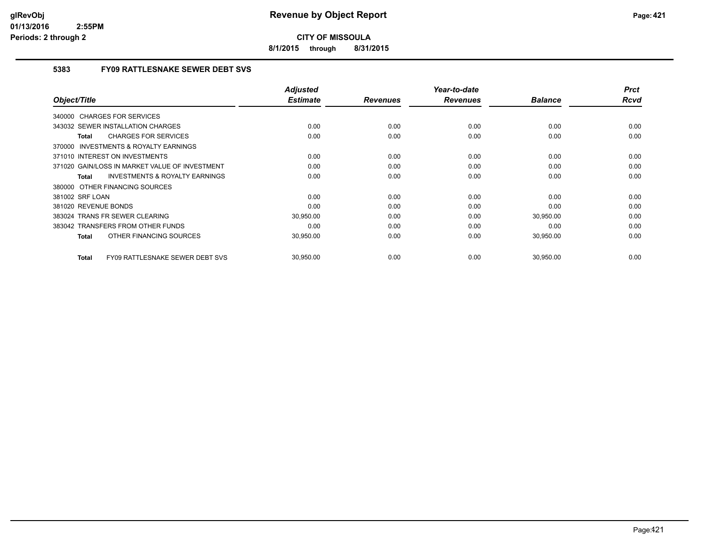**8/1/2015 through 8/31/2015**

#### **5383 FY09 RATTLESNAKE SEWER DEBT SVS**

| Object/Title                                              | <b>Adjusted</b><br><b>Estimate</b> | <b>Revenues</b> | Year-to-date<br><b>Revenues</b> | <b>Balance</b> | <b>Prct</b><br>Rcvd |
|-----------------------------------------------------------|------------------------------------|-----------------|---------------------------------|----------------|---------------------|
|                                                           |                                    |                 |                                 |                |                     |
| 340000 CHARGES FOR SERVICES                               |                                    |                 |                                 |                |                     |
| 343032 SEWER INSTALLATION CHARGES                         | 0.00                               | 0.00            | 0.00                            | 0.00           | 0.00                |
| <b>CHARGES FOR SERVICES</b><br>Total                      | 0.00                               | 0.00            | 0.00                            | 0.00           | 0.00                |
| <b>INVESTMENTS &amp; ROYALTY EARNINGS</b><br>370000       |                                    |                 |                                 |                |                     |
| 371010 INTEREST ON INVESTMENTS                            | 0.00                               | 0.00            | 0.00                            | 0.00           | 0.00                |
| 371020 GAIN/LOSS IN MARKET VALUE OF INVESTMENT            | 0.00                               | 0.00            | 0.00                            | 0.00           | 0.00                |
| <b>INVESTMENTS &amp; ROYALTY EARNINGS</b><br><b>Total</b> | 0.00                               | 0.00            | 0.00                            | 0.00           | 0.00                |
| 380000 OTHER FINANCING SOURCES                            |                                    |                 |                                 |                |                     |
| 381002 SRF LOAN                                           | 0.00                               | 0.00            | 0.00                            | 0.00           | 0.00                |
| 381020 REVENUE BONDS                                      | 0.00                               | 0.00            | 0.00                            | 0.00           | 0.00                |
| 383024 TRANS FR SEWER CLEARING                            | 30,950.00                          | 0.00            | 0.00                            | 30,950.00      | 0.00                |
| 383042 TRANSFERS FROM OTHER FUNDS                         | 0.00                               | 0.00            | 0.00                            | 0.00           | 0.00                |
| OTHER FINANCING SOURCES<br><b>Total</b>                   | 30,950.00                          | 0.00            | 0.00                            | 30,950.00      | 0.00                |
| <b>FY09 RATTLESNAKE SEWER DEBT SVS</b><br><b>Total</b>    | 30,950.00                          | 0.00            | 0.00                            | 30,950.00      | 0.00                |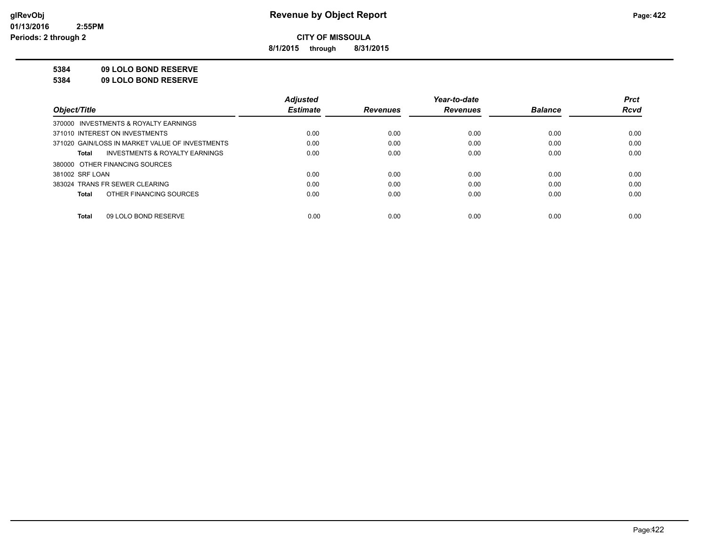**8/1/2015 through 8/31/2015**

#### **5384 09 LOLO BOND RESERVE**

**5384 09 LOLO BOND RESERVE**

|                                                    | <b>Adiusted</b> |                 | Year-to-date    |                | <b>Prct</b> |
|----------------------------------------------------|-----------------|-----------------|-----------------|----------------|-------------|
| Object/Title                                       | <b>Estimate</b> | <b>Revenues</b> | <b>Revenues</b> | <b>Balance</b> | <b>Rcvd</b> |
| 370000 INVESTMENTS & ROYALTY EARNINGS              |                 |                 |                 |                |             |
| 371010 INTEREST ON INVESTMENTS                     | 0.00            | 0.00            | 0.00            | 0.00           | 0.00        |
| 371020 GAIN/LOSS IN MARKET VALUE OF INVESTMENTS    | 0.00            | 0.00            | 0.00            | 0.00           | 0.00        |
| <b>INVESTMENTS &amp; ROYALTY EARNINGS</b><br>Total | 0.00            | 0.00            | 0.00            | 0.00           | 0.00        |
| 380000 OTHER FINANCING SOURCES                     |                 |                 |                 |                |             |
| 381002 SRF LOAN                                    | 0.00            | 0.00            | 0.00            | 0.00           | 0.00        |
| 383024 TRANS FR SEWER CLEARING                     | 0.00            | 0.00            | 0.00            | 0.00           | 0.00        |
| OTHER FINANCING SOURCES<br>Total                   | 0.00            | 0.00            | 0.00            | 0.00           | 0.00        |
|                                                    |                 |                 |                 |                |             |
| 09 LOLO BOND RESERVE<br>Total                      | 0.00            | 0.00            | 0.00            | 0.00           | 0.00        |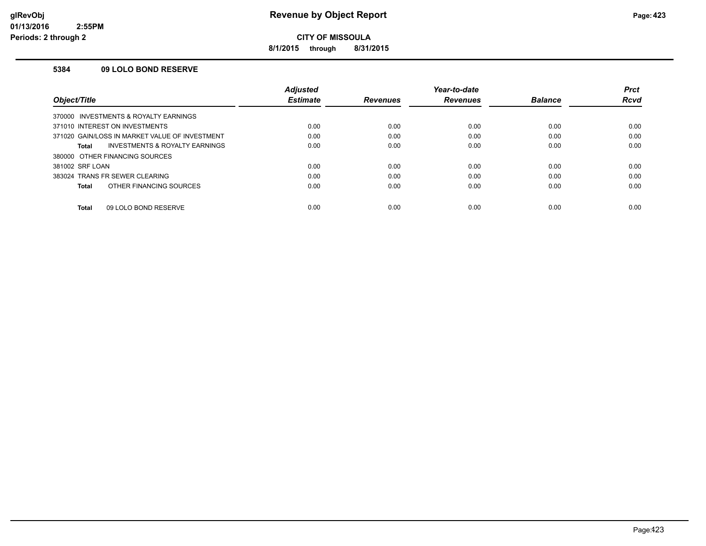**8/1/2015 through 8/31/2015**

#### **5384 09 LOLO BOND RESERVE**

|                                                | <b>Adjusted</b> |                 | Year-to-date    |                | <b>Prct</b> |
|------------------------------------------------|-----------------|-----------------|-----------------|----------------|-------------|
| Object/Title                                   | <b>Estimate</b> | <b>Revenues</b> | <b>Revenues</b> | <b>Balance</b> | Rcvd        |
| 370000 INVESTMENTS & ROYALTY EARNINGS          |                 |                 |                 |                |             |
| 371010 INTEREST ON INVESTMENTS                 | 0.00            | 0.00            | 0.00            | 0.00           | 0.00        |
| 371020 GAIN/LOSS IN MARKET VALUE OF INVESTMENT | 0.00            | 0.00            | 0.00            | 0.00           | 0.00        |
| INVESTMENTS & ROYALTY EARNINGS<br>Total        | 0.00            | 0.00            | 0.00            | 0.00           | 0.00        |
| 380000 OTHER FINANCING SOURCES                 |                 |                 |                 |                |             |
| 381002 SRF LOAN                                | 0.00            | 0.00            | 0.00            | 0.00           | 0.00        |
| 383024 TRANS FR SEWER CLEARING                 | 0.00            | 0.00            | 0.00            | 0.00           | 0.00        |
| OTHER FINANCING SOURCES<br>Total               | 0.00            | 0.00            | 0.00            | 0.00           | 0.00        |
| 09 LOLO BOND RESERVE<br><b>Total</b>           | 0.00            | 0.00            | 0.00            | 0.00           | 0.00        |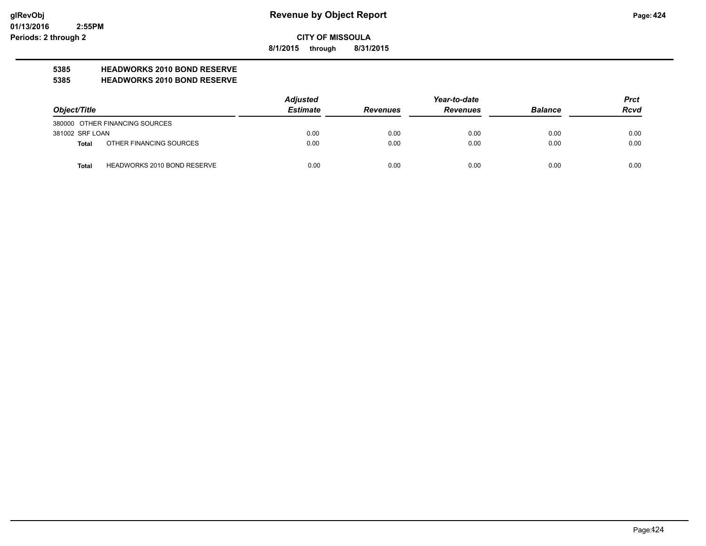**8/1/2015 through 8/31/2015**

# **5385 HEADWORKS 2010 BOND RESERVE**

#### **5385 HEADWORKS 2010 BOND RESERVE**

|                 |                                    | <b>Adjusted</b> |                 | <b>Prct</b>     |                |             |
|-----------------|------------------------------------|-----------------|-----------------|-----------------|----------------|-------------|
| Object/Title    |                                    | <b>Estimate</b> | <b>Revenues</b> | <b>Revenues</b> | <b>Balance</b> | <b>Rcvd</b> |
|                 | 380000 OTHER FINANCING SOURCES     |                 |                 |                 |                |             |
| 381002 SRF LOAN |                                    | 0.00            | 0.00            | 0.00            | 0.00           | 0.00        |
| Total           | OTHER FINANCING SOURCES            | 0.00            | 0.00            | 0.00            | 0.00           | 0.00        |
| <b>Total</b>    | <b>HEADWORKS 2010 BOND RESERVE</b> | 0.00            | 0.00            | 0.00            | 0.00           | 0.00        |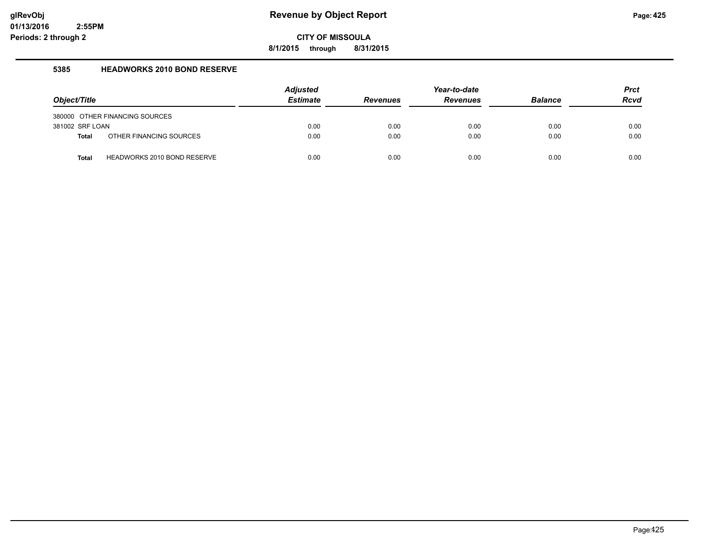**8/1/2015 through 8/31/2015**

#### **5385 HEADWORKS 2010 BOND RESERVE**

|                 |                                    | <b>Adjusted</b> |                 | Year-to-date    |                | <b>Prct</b> |
|-----------------|------------------------------------|-----------------|-----------------|-----------------|----------------|-------------|
| Object/Title    |                                    | <b>Estimate</b> | <b>Revenues</b> | <b>Revenues</b> | <b>Balance</b> | <b>Rcvd</b> |
|                 | 380000 OTHER FINANCING SOURCES     |                 |                 |                 |                |             |
| 381002 SRF LOAN |                                    | 0.00            | 0.00            | 0.00            | 0.00           | 0.00        |
| <b>Total</b>    | OTHER FINANCING SOURCES            | 0.00            | 0.00            | 0.00            | 0.00           | 0.00        |
| <b>Total</b>    | <b>HEADWORKS 2010 BOND RESERVE</b> | 0.00            | 0.00            | 0.00            | 0.00           | 0.00        |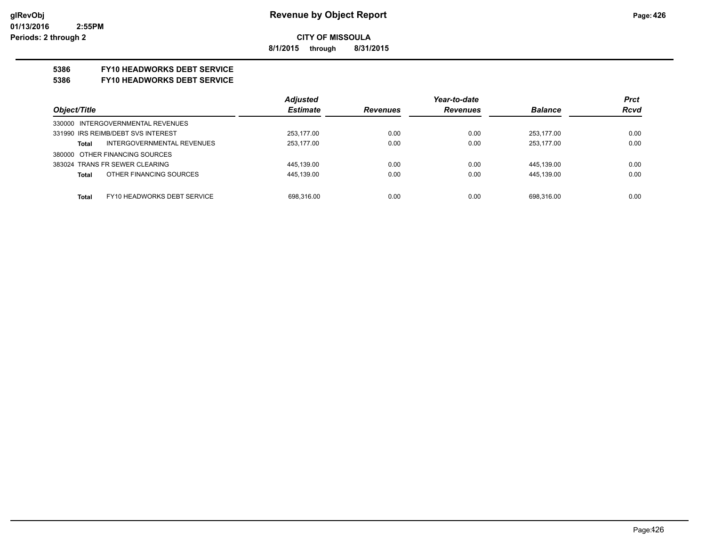**8/1/2015 through 8/31/2015**

#### **5386 FY10 HEADWORKS DEBT SERVICE**

#### **5386 FY10 HEADWORKS DEBT SERVICE**

|                                      | <b>Adjusted</b> |                 | Year-to-date    |                | <b>Prct</b> |
|--------------------------------------|-----------------|-----------------|-----------------|----------------|-------------|
| Object/Title                         | <b>Estimate</b> | <b>Revenues</b> | <b>Revenues</b> | <b>Balance</b> | <b>Rcvd</b> |
| 330000 INTERGOVERNMENTAL REVENUES    |                 |                 |                 |                |             |
| 331990 IRS REIMB/DEBT SVS INTEREST   | 253,177.00      | 0.00            | 0.00            | 253.177.00     | 0.00        |
| INTERGOVERNMENTAL REVENUES<br>Total  | 253,177.00      | 0.00            | 0.00            | 253.177.00     | 0.00        |
| 380000 OTHER FINANCING SOURCES       |                 |                 |                 |                |             |
| 383024 TRANS FR SEWER CLEARING       | 445,139.00      | 0.00            | 0.00            | 445,139.00     | 0.00        |
| OTHER FINANCING SOURCES<br>Total     | 445,139.00      | 0.00            | 0.00            | 445,139.00     | 0.00        |
|                                      |                 |                 |                 |                |             |
| FY10 HEADWORKS DEBT SERVICE<br>Total | 698,316.00      | 0.00            | 0.00            | 698.316.00     | 0.00        |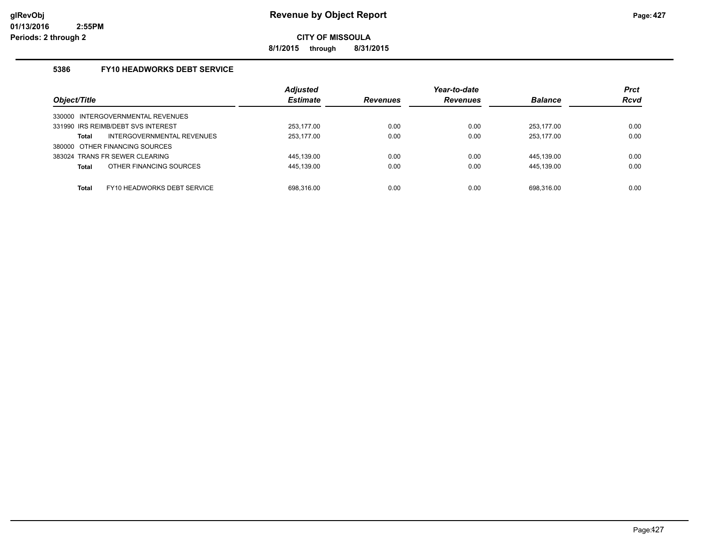**8/1/2015 through 8/31/2015**

#### **5386 FY10 HEADWORKS DEBT SERVICE**

|                                         | <b>Adjusted</b> |                 | Year-to-date    |                | <b>Prct</b> |
|-----------------------------------------|-----------------|-----------------|-----------------|----------------|-------------|
| Object/Title                            | <b>Estimate</b> | <b>Revenues</b> | <b>Revenues</b> | <b>Balance</b> | <b>Rcvd</b> |
| INTERGOVERNMENTAL REVENUES<br>330000    |                 |                 |                 |                |             |
| 331990 IRS REIMB/DEBT SVS INTEREST      | 253,177.00      | 0.00            | 0.00            | 253.177.00     | 0.00        |
| INTERGOVERNMENTAL REVENUES<br>Total     | 253.177.00      | 0.00            | 0.00            | 253.177.00     | 0.00        |
| 380000 OTHER FINANCING SOURCES          |                 |                 |                 |                |             |
| 383024 TRANS FR SEWER CLEARING          | 445.139.00      | 0.00            | 0.00            | 445.139.00     | 0.00        |
| OTHER FINANCING SOURCES<br><b>Total</b> | 445,139.00      | 0.00            | 0.00            | 445,139.00     | 0.00        |
|                                         |                 |                 |                 |                |             |
| FY10 HEADWORKS DEBT SERVICE<br>Total    | 698.316.00      | 0.00            | 0.00            | 698.316.00     | 0.00        |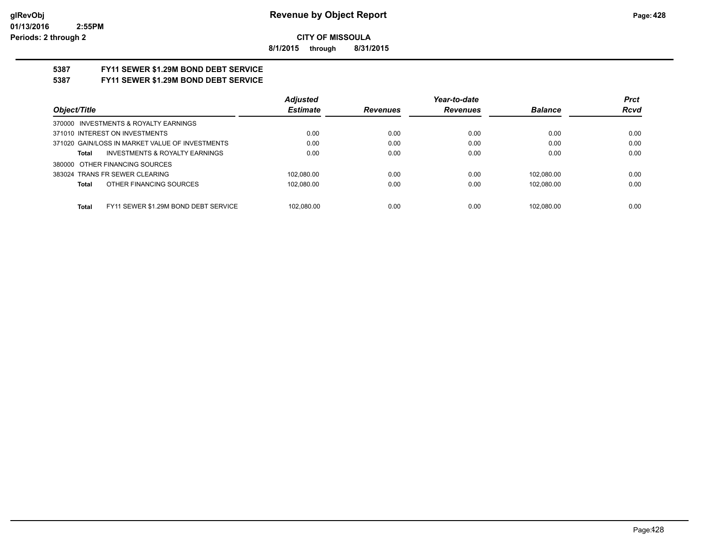**8/1/2015 through 8/31/2015**

# **5387 FY11 SEWER \$1.29M BOND DEBT SERVICE**

### **5387 FY11 SEWER \$1.29M BOND DEBT SERVICE**

|                                                      | <b>Adjusted</b> |                 | Year-to-date    |                | <b>Prct</b> |
|------------------------------------------------------|-----------------|-----------------|-----------------|----------------|-------------|
| Object/Title                                         | <b>Estimate</b> | <b>Revenues</b> | <b>Revenues</b> | <b>Balance</b> | <b>Rcvd</b> |
| 370000 INVESTMENTS & ROYALTY EARNINGS                |                 |                 |                 |                |             |
| 371010 INTEREST ON INVESTMENTS                       | 0.00            | 0.00            | 0.00            | 0.00           | 0.00        |
| 371020 GAIN/LOSS IN MARKET VALUE OF INVESTMENTS      | 0.00            | 0.00            | 0.00            | 0.00           | 0.00        |
| <b>INVESTMENTS &amp; ROYALTY EARNINGS</b><br>Total   | 0.00            | 0.00            | 0.00            | 0.00           | 0.00        |
| 380000 OTHER FINANCING SOURCES                       |                 |                 |                 |                |             |
| 383024 TRANS FR SEWER CLEARING                       | 102.080.00      | 0.00            | 0.00            | 102.080.00     | 0.00        |
| OTHER FINANCING SOURCES<br>Total                     | 102,080.00      | 0.00            | 0.00            | 102.080.00     | 0.00        |
|                                                      |                 |                 |                 |                |             |
| FY11 SEWER \$1.29M BOND DEBT SERVICE<br><b>Total</b> | 102.080.00      | 0.00            | 0.00            | 102.080.00     | 0.00        |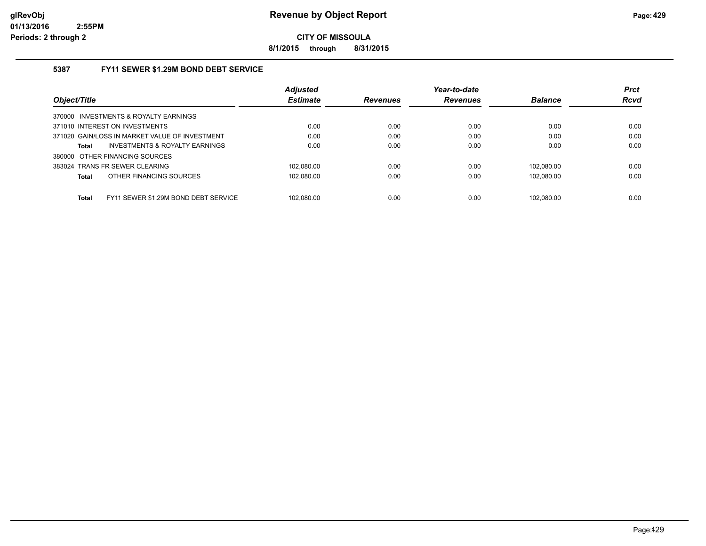**8/1/2015 through 8/31/2015**

#### **5387 FY11 SEWER \$1.29M BOND DEBT SERVICE**

|                                                      | <b>Adjusted</b> |                 | Year-to-date    |                | <b>Prct</b> |
|------------------------------------------------------|-----------------|-----------------|-----------------|----------------|-------------|
| Object/Title                                         | <b>Estimate</b> | <b>Revenues</b> | <b>Revenues</b> | <b>Balance</b> | <b>Rcvd</b> |
| 370000 INVESTMENTS & ROYALTY EARNINGS                |                 |                 |                 |                |             |
| 371010 INTEREST ON INVESTMENTS                       | 0.00            | 0.00            | 0.00            | 0.00           | 0.00        |
| 371020 GAIN/LOSS IN MARKET VALUE OF INVESTMENT       | 0.00            | 0.00            | 0.00            | 0.00           | 0.00        |
| INVESTMENTS & ROYALTY EARNINGS<br>Total              | 0.00            | 0.00            | 0.00            | 0.00           | 0.00        |
| 380000 OTHER FINANCING SOURCES                       |                 |                 |                 |                |             |
| 383024 TRANS FR SEWER CLEARING                       | 102.080.00      | 0.00            | 0.00            | 102.080.00     | 0.00        |
| OTHER FINANCING SOURCES<br><b>Total</b>              | 102.080.00      | 0.00            | 0.00            | 102.080.00     | 0.00        |
|                                                      |                 |                 |                 |                |             |
| <b>Total</b><br>FY11 SEWER \$1.29M BOND DEBT SERVICE | 102.080.00      | 0.00            | 0.00            | 102.080.00     | 0.00        |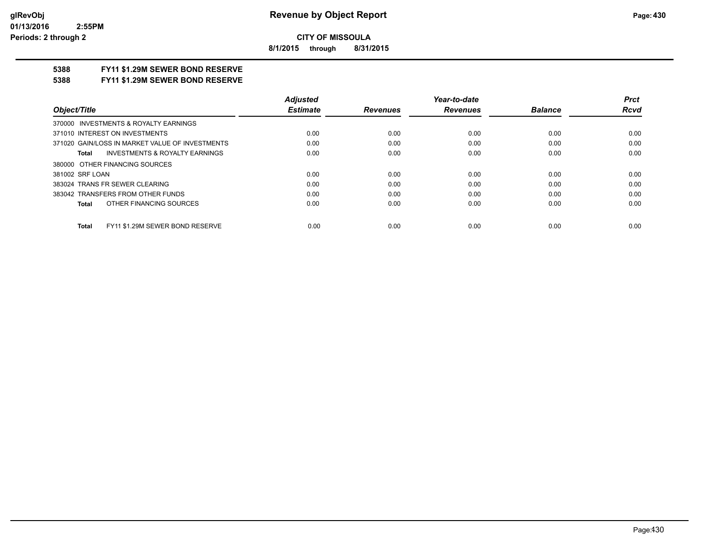**8/1/2015 through 8/31/2015**

#### **5388 FY11 \$1.29M SEWER BOND RESERVE**

**5388 FY11 \$1.29M SEWER BOND RESERVE**

|                                                    | <b>Adjusted</b> |                 | Year-to-date    |                | Prct        |
|----------------------------------------------------|-----------------|-----------------|-----------------|----------------|-------------|
| Obiect/Title                                       | <b>Estimate</b> | <b>Revenues</b> | <b>Revenues</b> | <b>Balance</b> | <b>Rcvd</b> |
| 370000 INVESTMENTS & ROYALTY EARNINGS              |                 |                 |                 |                |             |
| 371010 INTEREST ON INVESTMENTS                     | 0.00            | 0.00            | 0.00            | 0.00           | 0.00        |
| 371020 GAIN/LOSS IN MARKET VALUE OF INVESTMENTS    | 0.00            | 0.00            | 0.00            | 0.00           | 0.00        |
| <b>INVESTMENTS &amp; ROYALTY EARNINGS</b><br>Total | 0.00            | 0.00            | 0.00            | 0.00           | 0.00        |
| 380000 OTHER FINANCING SOURCES                     |                 |                 |                 |                |             |
| 381002 SRF LOAN                                    | 0.00            | 0.00            | 0.00            | 0.00           | 0.00        |
| 383024 TRANS FR SEWER CLEARING                     | 0.00            | 0.00            | 0.00            | 0.00           | 0.00        |
| 383042 TRANSFERS FROM OTHER FUNDS                  | 0.00            | 0.00            | 0.00            | 0.00           | 0.00        |
| OTHER FINANCING SOURCES<br>Total                   | 0.00            | 0.00            | 0.00            | 0.00           | 0.00        |
|                                                    |                 |                 |                 |                |             |
| FY11 \$1.29M SEWER BOND RESERVE<br><b>Total</b>    | 0.00            | 0.00            | 0.00            | 0.00           | 0.00        |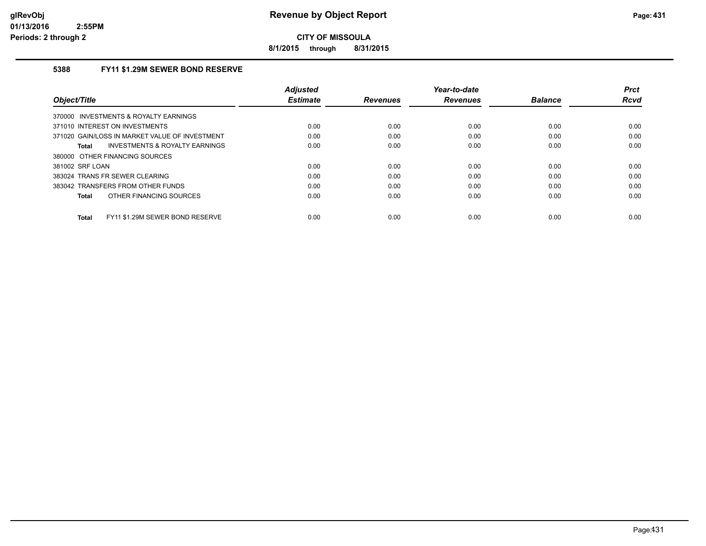**8/1/2015 through 8/31/2015**

#### **5388 FY11 \$1.29M SEWER BOND RESERVE**

| Object/Title                                    | <b>Adjusted</b><br><b>Estimate</b> | <b>Revenues</b> | Year-to-date<br><b>Revenues</b> | <b>Balance</b> | <b>Prct</b><br>Rcvd |
|-------------------------------------------------|------------------------------------|-----------------|---------------------------------|----------------|---------------------|
| 370000 INVESTMENTS & ROYALTY EARNINGS           |                                    |                 |                                 |                |                     |
| 371010 INTEREST ON INVESTMENTS                  | 0.00                               | 0.00            | 0.00                            | 0.00           | 0.00                |
| 371020 GAIN/LOSS IN MARKET VALUE OF INVESTMENT  | 0.00                               | 0.00            | 0.00                            | 0.00           | 0.00                |
| INVESTMENTS & ROYALTY EARNINGS<br>Total         | 0.00                               | 0.00            | 0.00                            | 0.00           | 0.00                |
| 380000 OTHER FINANCING SOURCES                  |                                    |                 |                                 |                |                     |
| 381002 SRF LOAN                                 | 0.00                               | 0.00            | 0.00                            | 0.00           | 0.00                |
| 383024 TRANS FR SEWER CLEARING                  | 0.00                               | 0.00            | 0.00                            | 0.00           | 0.00                |
| 383042 TRANSFERS FROM OTHER FUNDS               | 0.00                               | 0.00            | 0.00                            | 0.00           | 0.00                |
| OTHER FINANCING SOURCES<br><b>Total</b>         | 0.00                               | 0.00            | 0.00                            | 0.00           | 0.00                |
| FY11 \$1.29M SEWER BOND RESERVE<br><b>Total</b> | 0.00                               | 0.00            | 0.00                            | 0.00           | 0.00                |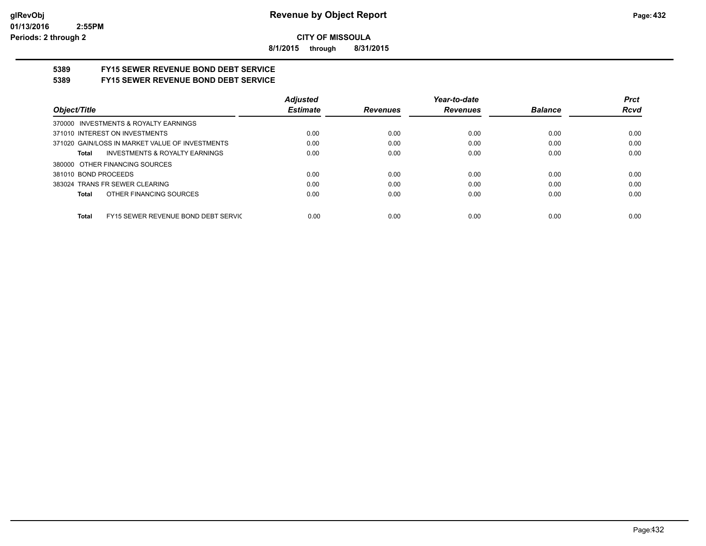**8/1/2015 through 8/31/2015**

# **5389 FY15 SEWER REVENUE BOND DEBT SERVICE**

## **5389 FY15 SEWER REVENUE BOND DEBT SERVICE**

|                                                     | <b>Adjusted</b> |          | Year-to-date    |                | <b>Prct</b> |
|-----------------------------------------------------|-----------------|----------|-----------------|----------------|-------------|
| Object/Title                                        | <b>Estimate</b> | Revenues | <b>Revenues</b> | <b>Balance</b> | <b>Rcvd</b> |
| 370000 INVESTMENTS & ROYALTY EARNINGS               |                 |          |                 |                |             |
| 371010 INTEREST ON INVESTMENTS                      | 0.00            | 0.00     | 0.00            | 0.00           | 0.00        |
| 371020 GAIN/LOSS IN MARKET VALUE OF INVESTMENTS     | 0.00            | 0.00     | 0.00            | 0.00           | 0.00        |
| <b>INVESTMENTS &amp; ROYALTY EARNINGS</b><br>Total  | 0.00            | 0.00     | 0.00            | 0.00           | 0.00        |
| 380000 OTHER FINANCING SOURCES                      |                 |          |                 |                |             |
| 381010 BOND PROCEEDS                                | 0.00            | 0.00     | 0.00            | 0.00           | 0.00        |
| 383024 TRANS FR SEWER CLEARING                      | 0.00            | 0.00     | 0.00            | 0.00           | 0.00        |
| OTHER FINANCING SOURCES<br>Total                    | 0.00            | 0.00     | 0.00            | 0.00           | 0.00        |
|                                                     |                 |          |                 |                |             |
| FY15 SEWER REVENUE BOND DEBT SERVIC<br><b>Total</b> | 0.00            | 0.00     | 0.00            | 0.00           | 0.00        |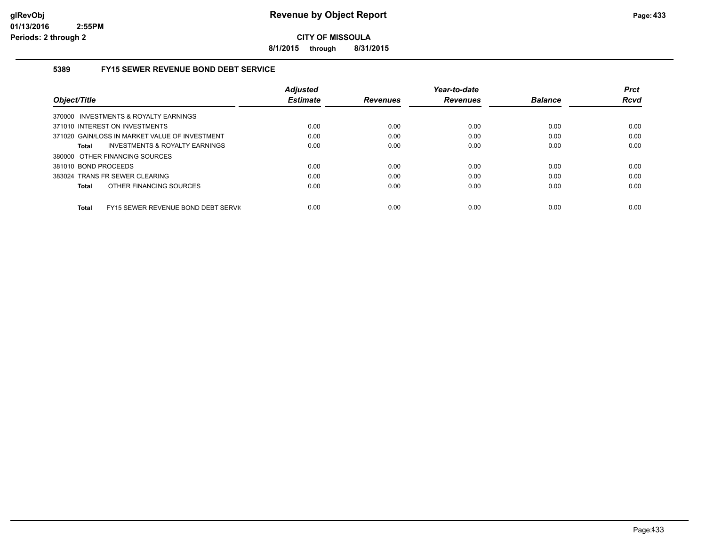**8/1/2015 through 8/31/2015**

### **5389 FY15 SEWER REVENUE BOND DEBT SERVICE**

|                                                     | <b>Adiusted</b> |                 | Year-to-date    |                | <b>Prct</b> |
|-----------------------------------------------------|-----------------|-----------------|-----------------|----------------|-------------|
| Object/Title                                        | <b>Estimate</b> | <b>Revenues</b> | <b>Revenues</b> | <b>Balance</b> | <b>Rcvd</b> |
| 370000 INVESTMENTS & ROYALTY EARNINGS               |                 |                 |                 |                |             |
| 371010 INTEREST ON INVESTMENTS                      | 0.00            | 0.00            | 0.00            | 0.00           | 0.00        |
| 371020 GAIN/LOSS IN MARKET VALUE OF INVESTMENT      | 0.00            | 0.00            | 0.00            | 0.00           | 0.00        |
| INVESTMENTS & ROYALTY EARNINGS<br>Total             | 0.00            | 0.00            | 0.00            | 0.00           | 0.00        |
| 380000 OTHER FINANCING SOURCES                      |                 |                 |                 |                |             |
| 381010 BOND PROCEEDS                                | 0.00            | 0.00            | 0.00            | 0.00           | 0.00        |
| 383024 TRANS FR SEWER CLEARING                      | 0.00            | 0.00            | 0.00            | 0.00           | 0.00        |
| OTHER FINANCING SOURCES<br><b>Total</b>             | 0.00            | 0.00            | 0.00            | 0.00           | 0.00        |
|                                                     |                 |                 |                 |                |             |
| FY15 SEWER REVENUE BOND DEBT SERVIC<br><b>Total</b> | 0.00            | 0.00            | 0.00            | 0.00           | 0.00        |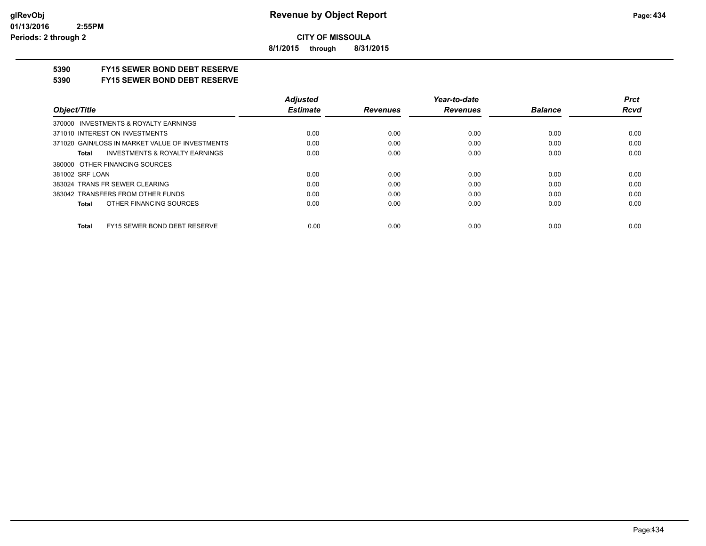**8/1/2015 through 8/31/2015**

# **5390 FY15 SEWER BOND DEBT RESERVE**

#### **5390 FY15 SEWER BOND DEBT RESERVE**

|                                                    | <b>Adjusted</b> |                 | Year-to-date    |                | <b>Prct</b> |
|----------------------------------------------------|-----------------|-----------------|-----------------|----------------|-------------|
| Object/Title                                       | <b>Estimate</b> | <b>Revenues</b> | <b>Revenues</b> | <b>Balance</b> | <b>Rcvd</b> |
| 370000 INVESTMENTS & ROYALTY EARNINGS              |                 |                 |                 |                |             |
| 371010 INTEREST ON INVESTMENTS                     | 0.00            | 0.00            | 0.00            | 0.00           | 0.00        |
| 371020 GAIN/LOSS IN MARKET VALUE OF INVESTMENTS    | 0.00            | 0.00            | 0.00            | 0.00           | 0.00        |
| <b>INVESTMENTS &amp; ROYALTY EARNINGS</b><br>Total | 0.00            | 0.00            | 0.00            | 0.00           | 0.00        |
| 380000 OTHER FINANCING SOURCES                     |                 |                 |                 |                |             |
| 381002 SRF LOAN                                    | 0.00            | 0.00            | 0.00            | 0.00           | 0.00        |
| 383024 TRANS FR SEWER CLEARING                     | 0.00            | 0.00            | 0.00            | 0.00           | 0.00        |
| 383042 TRANSFERS FROM OTHER FUNDS                  | 0.00            | 0.00            | 0.00            | 0.00           | 0.00        |
| OTHER FINANCING SOURCES<br>Total                   | 0.00            | 0.00            | 0.00            | 0.00           | 0.00        |
| FY15 SEWER BOND DEBT RESERVE<br><b>Total</b>       | 0.00            | 0.00            | 0.00            | 0.00           | 0.00        |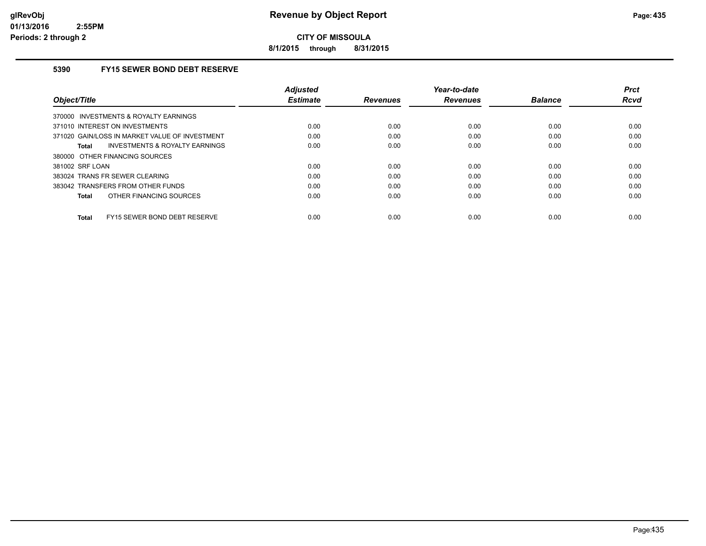**8/1/2015 through 8/31/2015**

# **5390 FY15 SEWER BOND DEBT RESERVE**

| Object/Title                                   | <b>Adjusted</b><br><b>Estimate</b> | <b>Revenues</b> | Year-to-date<br><b>Revenues</b> | <b>Balance</b> | <b>Prct</b><br>Rcvd |
|------------------------------------------------|------------------------------------|-----------------|---------------------------------|----------------|---------------------|
| 370000 INVESTMENTS & ROYALTY EARNINGS          |                                    |                 |                                 |                |                     |
| 371010 INTEREST ON INVESTMENTS                 | 0.00                               | 0.00            | 0.00                            | 0.00           | 0.00                |
| 371020 GAIN/LOSS IN MARKET VALUE OF INVESTMENT | 0.00                               | 0.00            | 0.00                            | 0.00           | 0.00                |
| INVESTMENTS & ROYALTY EARNINGS<br>Total        | 0.00                               | 0.00            | 0.00                            | 0.00           | 0.00                |
| 380000 OTHER FINANCING SOURCES                 |                                    |                 |                                 |                |                     |
| 381002 SRF LOAN                                | 0.00                               | 0.00            | 0.00                            | 0.00           | 0.00                |
| 383024 TRANS FR SEWER CLEARING                 | 0.00                               | 0.00            | 0.00                            | 0.00           | 0.00                |
| 383042 TRANSFERS FROM OTHER FUNDS              | 0.00                               | 0.00            | 0.00                            | 0.00           | 0.00                |
| OTHER FINANCING SOURCES<br>Total               | 0.00                               | 0.00            | 0.00                            | 0.00           | 0.00                |
| FY15 SEWER BOND DEBT RESERVE<br>Total          | 0.00                               | 0.00            | 0.00                            | 0.00           | 0.00                |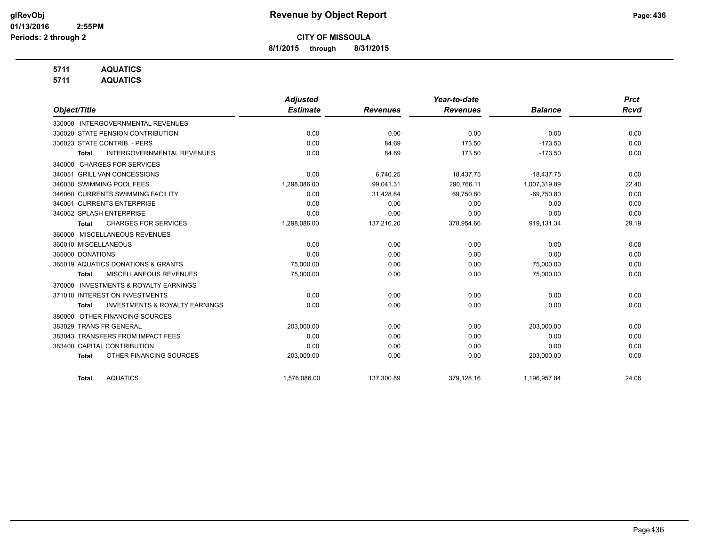**8/1/2015 through 8/31/2015**

# **5711 AQUATICS**

**5711 AQUATICS**

|                                                           | <b>Adjusted</b> |                 | Year-to-date    |                | <b>Prct</b> |
|-----------------------------------------------------------|-----------------|-----------------|-----------------|----------------|-------------|
| Object/Title                                              | <b>Estimate</b> | <b>Revenues</b> | <b>Revenues</b> | <b>Balance</b> | <b>Rcvd</b> |
| 330000 INTERGOVERNMENTAL REVENUES                         |                 |                 |                 |                |             |
| 336020 STATE PENSION CONTRIBUTION                         | 0.00            | 0.00            | 0.00            | 0.00           | 0.00        |
| 336023 STATE CONTRIB. - PERS                              | 0.00            | 84.69           | 173.50          | $-173.50$      | 0.00        |
| <b>INTERGOVERNMENTAL REVENUES</b><br>Total                | 0.00            | 84.69           | 173.50          | $-173.50$      | 0.00        |
| <b>CHARGES FOR SERVICES</b><br>340000                     |                 |                 |                 |                |             |
| 340051 GRILL VAN CONCESSIONS                              | 0.00            | 6,746.25        | 18,437.75       | $-18,437.75$   | 0.00        |
| 346030 SWIMMING POOL FEES                                 | 1,298,086.00    | 99,041.31       | 290,766.11      | 1,007,319.89   | 22.40       |
| 346060 CURRENTS SWIMMING FACILITY                         | 0.00            | 31,428.64       | 69,750.80       | $-69,750.80$   | 0.00        |
| 346061 CURRENTS ENTERPRISE                                | 0.00            | 0.00            | 0.00            | 0.00           | 0.00        |
| 346062 SPLASH ENTERPRISE                                  | 0.00            | 0.00            | 0.00            | 0.00           | 0.00        |
| <b>CHARGES FOR SERVICES</b><br><b>Total</b>               | 1,298,086.00    | 137,216.20      | 378,954.66      | 919,131.34     | 29.19       |
| 360000 MISCELLANEOUS REVENUES                             |                 |                 |                 |                |             |
| 360010 MISCELLANEOUS                                      | 0.00            | 0.00            | 0.00            | 0.00           | 0.00        |
| 365000 DONATIONS                                          | 0.00            | 0.00            | 0.00            | 0.00           | 0.00        |
| 365019 AQUATICS DONATIONS & GRANTS                        | 75,000.00       | 0.00            | 0.00            | 75,000.00      | 0.00        |
| <b>MISCELLANEOUS REVENUES</b><br><b>Total</b>             | 75,000.00       | 0.00            | 0.00            | 75,000.00      | 0.00        |
| <b>INVESTMENTS &amp; ROYALTY EARNINGS</b><br>370000       |                 |                 |                 |                |             |
| 371010 INTEREST ON INVESTMENTS                            | 0.00            | 0.00            | 0.00            | 0.00           | 0.00        |
| <b>INVESTMENTS &amp; ROYALTY EARNINGS</b><br><b>Total</b> | 0.00            | 0.00            | 0.00            | 0.00           | 0.00        |
| OTHER FINANCING SOURCES<br>380000                         |                 |                 |                 |                |             |
| 383029 TRANS FR GENERAL                                   | 203,000.00      | 0.00            | 0.00            | 203,000.00     | 0.00        |
| 383043 TRANSFERS FROM IMPACT FEES                         | 0.00            | 0.00            | 0.00            | 0.00           | 0.00        |
| 383400 CAPITAL CONTRIBUTION                               | 0.00            | 0.00            | 0.00            | 0.00           | 0.00        |
| OTHER FINANCING SOURCES<br><b>Total</b>                   | 203,000.00      | 0.00            | 0.00            | 203,000.00     | 0.00        |
| <b>AQUATICS</b><br><b>Total</b>                           | 1,576,086.00    | 137,300.89      | 379,128.16      | 1,196,957.84   | 24.06       |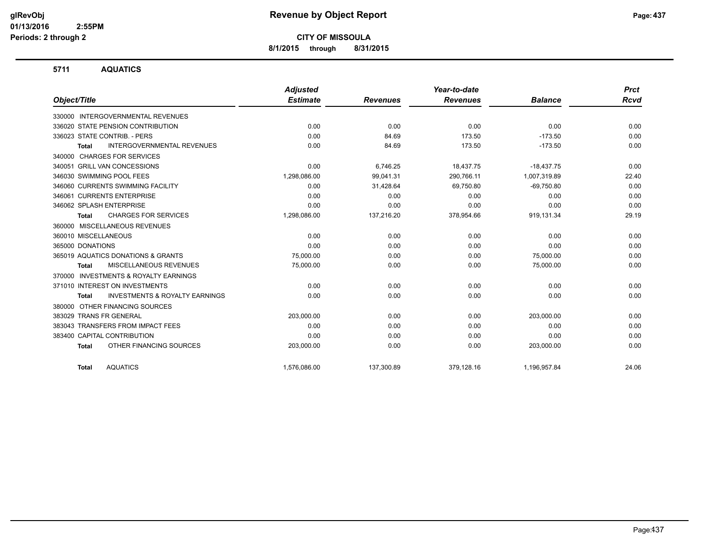**8/1/2015 through 8/31/2015**

### **5711 AQUATICS**

|                                                           | Adjusted        |                 | Year-to-date    |                | <b>Prct</b> |
|-----------------------------------------------------------|-----------------|-----------------|-----------------|----------------|-------------|
| Object/Title                                              | <b>Estimate</b> | <b>Revenues</b> | <b>Revenues</b> | <b>Balance</b> | <b>Rcvd</b> |
| 330000 INTERGOVERNMENTAL REVENUES                         |                 |                 |                 |                |             |
| 336020 STATE PENSION CONTRIBUTION                         | 0.00            | 0.00            | 0.00            | 0.00           | 0.00        |
| 336023 STATE CONTRIB. - PERS                              | 0.00            | 84.69           | 173.50          | $-173.50$      | 0.00        |
| <b>INTERGOVERNMENTAL REVENUES</b><br><b>Total</b>         | 0.00            | 84.69           | 173.50          | $-173.50$      | 0.00        |
| <b>CHARGES FOR SERVICES</b><br>340000                     |                 |                 |                 |                |             |
| 340051 GRILL VAN CONCESSIONS                              | 0.00            | 6,746.25        | 18,437.75       | $-18,437.75$   | 0.00        |
| 346030 SWIMMING POOL FEES                                 | 1,298,086.00    | 99,041.31       | 290,766.11      | 1,007,319.89   | 22.40       |
| 346060 CURRENTS SWIMMING FACILITY                         | 0.00            | 31,428.64       | 69.750.80       | $-69.750.80$   | 0.00        |
| 346061 CURRENTS ENTERPRISE                                | 0.00            | 0.00            | 0.00            | 0.00           | 0.00        |
| 346062 SPLASH ENTERPRISE                                  | 0.00            | 0.00            | 0.00            | 0.00           | 0.00        |
| <b>CHARGES FOR SERVICES</b><br><b>Total</b>               | 1,298,086.00    | 137,216.20      | 378,954.66      | 919,131.34     | 29.19       |
| 360000 MISCELLANEOUS REVENUES                             |                 |                 |                 |                |             |
| 360010 MISCELLANEOUS                                      | 0.00            | 0.00            | 0.00            | 0.00           | 0.00        |
| 365000 DONATIONS                                          | 0.00            | 0.00            | 0.00            | 0.00           | 0.00        |
| 365019 AQUATICS DONATIONS & GRANTS                        | 75,000.00       | 0.00            | 0.00            | 75,000.00      | 0.00        |
| MISCELLANEOUS REVENUES<br><b>Total</b>                    | 75,000.00       | 0.00            | 0.00            | 75,000.00      | 0.00        |
| <b>INVESTMENTS &amp; ROYALTY EARNINGS</b><br>370000       |                 |                 |                 |                |             |
| 371010 INTEREST ON INVESTMENTS                            | 0.00            | 0.00            | 0.00            | 0.00           | 0.00        |
| <b>INVESTMENTS &amp; ROYALTY EARNINGS</b><br><b>Total</b> | 0.00            | 0.00            | 0.00            | 0.00           | 0.00        |
| OTHER FINANCING SOURCES<br>380000                         |                 |                 |                 |                |             |
| 383029 TRANS FR GENERAL                                   | 203,000.00      | 0.00            | 0.00            | 203,000.00     | 0.00        |
| 383043 TRANSFERS FROM IMPACT FEES                         | 0.00            | 0.00            | 0.00            | 0.00           | 0.00        |
| 383400 CAPITAL CONTRIBUTION                               | 0.00            | 0.00            | 0.00            | 0.00           | 0.00        |
| OTHER FINANCING SOURCES<br><b>Total</b>                   | 203,000.00      | 0.00            | 0.00            | 203,000.00     | 0.00        |
| <b>AQUATICS</b><br><b>Total</b>                           | 1,576,086.00    | 137,300.89      | 379,128.16      | 1,196,957.84   | 24.06       |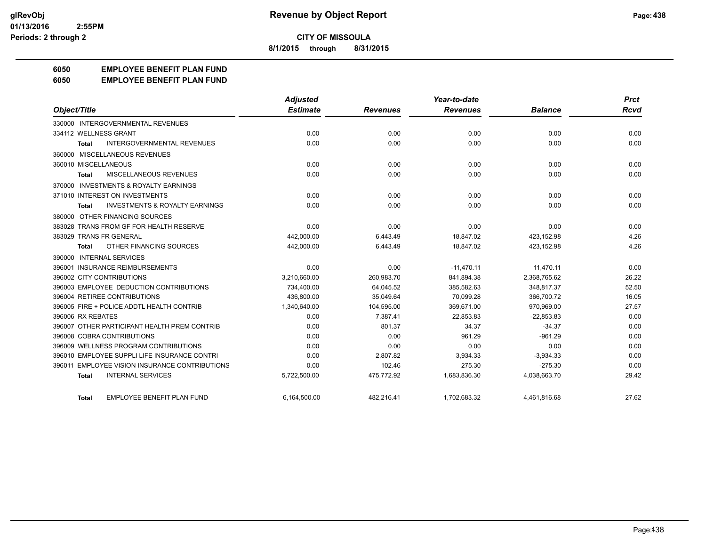**8/1/2015 through 8/31/2015**

# **6050 EMPLOYEE BENEFIT PLAN FUND**

#### **6050 EMPLOYEE BENEFIT PLAN FUND**

|                                                           | <b>Adjusted</b> |                 | Year-to-date    |                | <b>Prct</b> |
|-----------------------------------------------------------|-----------------|-----------------|-----------------|----------------|-------------|
| Object/Title                                              | <b>Estimate</b> | <b>Revenues</b> | <b>Revenues</b> | <b>Balance</b> | Rcvd        |
| 330000 INTERGOVERNMENTAL REVENUES                         |                 |                 |                 |                |             |
| 334112 WELLNESS GRANT                                     | 0.00            | 0.00            | 0.00            | 0.00           | 0.00        |
| <b>INTERGOVERNMENTAL REVENUES</b><br><b>Total</b>         | 0.00            | 0.00            | 0.00            | 0.00           | 0.00        |
| 360000 MISCELLANEOUS REVENUES                             |                 |                 |                 |                |             |
| 360010 MISCELLANEOUS                                      | 0.00            | 0.00            | 0.00            | 0.00           | 0.00        |
| MISCELLANEOUS REVENUES<br><b>Total</b>                    | 0.00            | 0.00            | 0.00            | 0.00           | 0.00        |
| 370000 INVESTMENTS & ROYALTY EARNINGS                     |                 |                 |                 |                |             |
| 371010 INTEREST ON INVESTMENTS                            | 0.00            | 0.00            | 0.00            | 0.00           | 0.00        |
| <b>INVESTMENTS &amp; ROYALTY EARNINGS</b><br><b>Total</b> | 0.00            | 0.00            | 0.00            | 0.00           | 0.00        |
| 380000 OTHER FINANCING SOURCES                            |                 |                 |                 |                |             |
| 383028 TRANS FROM GF FOR HEALTH RESERVE                   | 0.00            | 0.00            | 0.00            | 0.00           | 0.00        |
| 383029 TRANS FR GENERAL                                   | 442,000.00      | 6,443.49        | 18,847.02       | 423,152.98     | 4.26        |
| OTHER FINANCING SOURCES<br>Total                          | 442,000.00      | 6,443.49        | 18,847.02       | 423,152.98     | 4.26        |
| 390000 INTERNAL SERVICES                                  |                 |                 |                 |                |             |
| 396001 INSURANCE REIMBURSEMENTS                           | 0.00            | 0.00            | $-11,470.11$    | 11.470.11      | 0.00        |
| 396002 CITY CONTRIBUTIONS                                 | 3,210,660.00    | 260,983.70      | 841,894.38      | 2.368.765.62   | 26.22       |
| 396003 EMPLOYEE DEDUCTION CONTRIBUTIONS                   | 734,400.00      | 64,045.52       | 385,582.63      | 348,817.37     | 52.50       |
| 396004 RETIREE CONTRIBUTIONS                              | 436,800.00      | 35,049.64       | 70,099.28       | 366,700.72     | 16.05       |
| 396005 FIRE + POLICE ADDTL HEALTH CONTRIB                 | 1,340,640.00    | 104.595.00      | 369.671.00      | 970.969.00     | 27.57       |
| 396006 RX REBATES                                         | 0.00            | 7,387.41        | 22,853.83       | $-22,853.83$   | 0.00        |
| 396007 OTHER PARTICIPANT HEALTH PREM CONTRIB              | 0.00            | 801.37          | 34.37           | $-34.37$       | 0.00        |
| 396008 COBRA CONTRIBUTIONS                                | 0.00            | 0.00            | 961.29          | $-961.29$      | 0.00        |
| 396009 WELLNESS PROGRAM CONTRIBUTIONS                     | 0.00            | 0.00            | 0.00            | 0.00           | 0.00        |
| 396010 EMPLOYEE SUPPLI LIFE INSURANCE CONTRI              | 0.00            | 2,807.82        | 3,934.33        | $-3,934.33$    | 0.00        |
| 396011 EMPLOYEE VISION INSURANCE CONTRIBUTIONS            | 0.00            | 102.46          | 275.30          | $-275.30$      | 0.00        |
| <b>INTERNAL SERVICES</b><br><b>Total</b>                  | 5,722,500.00    | 475,772.92      | 1,683,836.30    | 4,038,663.70   | 29.42       |
| <b>EMPLOYEE BENEFIT PLAN FUND</b><br>Total                | 6,164,500.00    | 482,216.41      | 1,702,683.32    | 4,461,816.68   | 27.62       |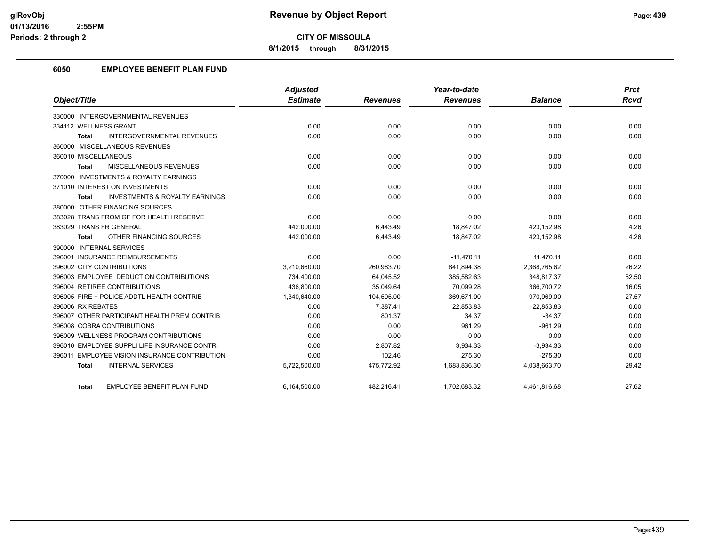**8/1/2015 through 8/31/2015**

# **6050 EMPLOYEE BENEFIT PLAN FUND**

|                                                    | <b>Adjusted</b> |                 | Year-to-date    |                | <b>Prct</b> |
|----------------------------------------------------|-----------------|-----------------|-----------------|----------------|-------------|
| Object/Title                                       | <b>Estimate</b> | <b>Revenues</b> | <b>Revenues</b> | <b>Balance</b> | <b>Rcvd</b> |
| 330000 INTERGOVERNMENTAL REVENUES                  |                 |                 |                 |                |             |
| 334112 WELLNESS GRANT                              | 0.00            | 0.00            | 0.00            | 0.00           | 0.00        |
| <b>INTERGOVERNMENTAL REVENUES</b><br><b>Total</b>  | 0.00            | 0.00            | 0.00            | 0.00           | 0.00        |
| 360000 MISCELLANEOUS REVENUES                      |                 |                 |                 |                |             |
| 360010 MISCELLANEOUS                               | 0.00            | 0.00            | 0.00            | 0.00           | 0.00        |
| MISCELLANEOUS REVENUES<br>Total                    | 0.00            | 0.00            | 0.00            | 0.00           | 0.00        |
| 370000 INVESTMENTS & ROYALTY EARNINGS              |                 |                 |                 |                |             |
| 371010 INTEREST ON INVESTMENTS                     | 0.00            | 0.00            | 0.00            | 0.00           | 0.00        |
| <b>INVESTMENTS &amp; ROYALTY EARNINGS</b><br>Total | 0.00            | 0.00            | 0.00            | 0.00           | 0.00        |
| 380000 OTHER FINANCING SOURCES                     |                 |                 |                 |                |             |
| 383028 TRANS FROM GF FOR HEALTH RESERVE            | 0.00            | 0.00            | 0.00            | 0.00           | 0.00        |
| 383029 TRANS FR GENERAL                            | 442,000.00      | 6,443.49        | 18.847.02       | 423,152.98     | 4.26        |
| OTHER FINANCING SOURCES<br>Total                   | 442,000.00      | 6,443.49        | 18,847.02       | 423,152.98     | 4.26        |
| 390000 INTERNAL SERVICES                           |                 |                 |                 |                |             |
| 396001 INSURANCE REIMBURSEMENTS                    | 0.00            | 0.00            | $-11,470.11$    | 11,470.11      | 0.00        |
| 396002 CITY CONTRIBUTIONS                          | 3,210,660.00    | 260,983.70      | 841,894.38      | 2,368,765.62   | 26.22       |
| 396003 EMPLOYEE DEDUCTION CONTRIBUTIONS            | 734,400.00      | 64,045.52       | 385,582.63      | 348,817.37     | 52.50       |
| 396004 RETIREE CONTRIBUTIONS                       | 436,800.00      | 35,049.64       | 70,099.28       | 366,700.72     | 16.05       |
| 396005 FIRE + POLICE ADDTL HEALTH CONTRIB          | 1,340,640.00    | 104,595.00      | 369,671.00      | 970,969.00     | 27.57       |
| 396006 RX REBATES                                  | 0.00            | 7,387.41        | 22,853.83       | $-22,853.83$   | 0.00        |
| 396007 OTHER PARTICIPANT HEALTH PREM CONTRIB       | 0.00            | 801.37          | 34.37           | $-34.37$       | 0.00        |
| 396008 COBRA CONTRIBUTIONS                         | 0.00            | 0.00            | 961.29          | $-961.29$      | 0.00        |
| 396009 WELLNESS PROGRAM CONTRIBUTIONS              | 0.00            | 0.00            | 0.00            | 0.00           | 0.00        |
| 396010 EMPLOYEE SUPPLI LIFE INSURANCE CONTRI       | 0.00            | 2.807.82        | 3,934.33        | $-3,934.33$    | 0.00        |
| 396011 EMPLOYEE VISION INSURANCE CONTRIBUTION      | 0.00            | 102.46          | 275.30          | $-275.30$      | 0.00        |
| <b>INTERNAL SERVICES</b><br><b>Total</b>           | 5,722,500.00    | 475,772.92      | 1,683,836.30    | 4,038,663.70   | 29.42       |
| <b>EMPLOYEE BENEFIT PLAN FUND</b><br>Total         | 6,164,500.00    | 482.216.41      | 1,702,683.32    | 4,461,816.68   | 27.62       |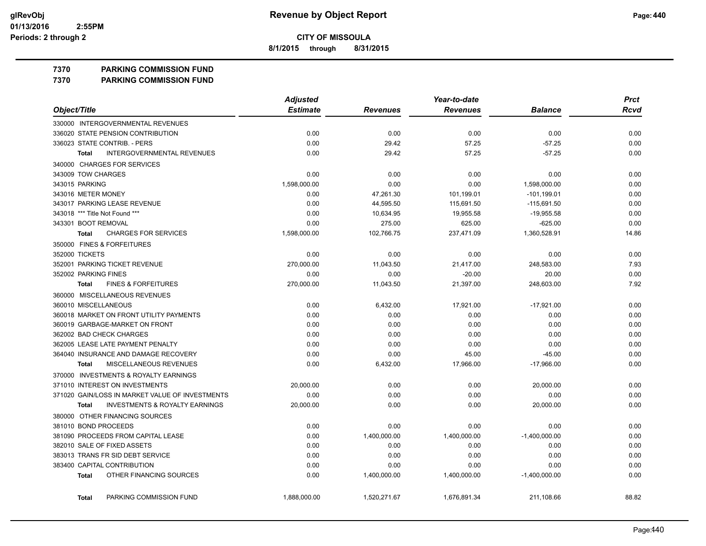**8/1/2015 through 8/31/2015**

**7370 PARKING COMMISSION FUND**

**7370 PARKING COMMISSION FUND**

|                                                           | <b>Adjusted</b> |                 | Year-to-date    |                 | <b>Prct</b> |
|-----------------------------------------------------------|-----------------|-----------------|-----------------|-----------------|-------------|
| Object/Title                                              | <b>Estimate</b> | <b>Revenues</b> | <b>Revenues</b> | <b>Balance</b>  | <b>Rcvd</b> |
| 330000 INTERGOVERNMENTAL REVENUES                         |                 |                 |                 |                 |             |
| 336020 STATE PENSION CONTRIBUTION                         | 0.00            | 0.00            | 0.00            | 0.00            | 0.00        |
| 336023 STATE CONTRIB. - PERS                              | 0.00            | 29.42           | 57.25           | $-57.25$        | 0.00        |
| <b>INTERGOVERNMENTAL REVENUES</b><br><b>Total</b>         | 0.00            | 29.42           | 57.25           | $-57.25$        | 0.00        |
| 340000 CHARGES FOR SERVICES                               |                 |                 |                 |                 |             |
| 343009 TOW CHARGES                                        | 0.00            | 0.00            | 0.00            | 0.00            | 0.00        |
| 343015 PARKING                                            | 1,598,000.00    | 0.00            | 0.00            | 1,598,000.00    | 0.00        |
| 343016 METER MONEY                                        | 0.00            | 47,261.30       | 101,199.01      | $-101, 199.01$  | 0.00        |
| 343017 PARKING LEASE REVENUE                              | 0.00            | 44,595.50       | 115,691.50      | $-115,691.50$   | 0.00        |
| 343018 *** Title Not Found ***                            | 0.00            | 10,634.95       | 19,955.58       | $-19,955.58$    | 0.00        |
| 343301 BOOT REMOVAL                                       | 0.00            | 275.00          | 625.00          | $-625.00$       | 0.00        |
| <b>CHARGES FOR SERVICES</b><br><b>Total</b>               | 1,598,000.00    | 102,766.75      | 237,471.09      | 1,360,528.91    | 14.86       |
| 350000 FINES & FORFEITURES                                |                 |                 |                 |                 |             |
| 352000 TICKETS                                            | 0.00            | 0.00            | 0.00            | 0.00            | 0.00        |
| 352001 PARKING TICKET REVENUE                             | 270,000.00      | 11,043.50       | 21,417.00       | 248,583.00      | 7.93        |
| 352002 PARKING FINES                                      | 0.00            | 0.00            | $-20.00$        | 20.00           | 0.00        |
| <b>FINES &amp; FORFEITURES</b><br><b>Total</b>            | 270,000.00      | 11,043.50       | 21,397.00       | 248,603.00      | 7.92        |
| 360000 MISCELLANEOUS REVENUES                             |                 |                 |                 |                 |             |
| 360010 MISCELLANEOUS                                      | 0.00            | 6,432.00        | 17,921.00       | $-17,921.00$    | 0.00        |
| 360018 MARKET ON FRONT UTILITY PAYMENTS                   | 0.00            | 0.00            | 0.00            | 0.00            | 0.00        |
| 360019 GARBAGE-MARKET ON FRONT                            | 0.00            | 0.00            | 0.00            | 0.00            | 0.00        |
| 362002 BAD CHECK CHARGES                                  | 0.00            | 0.00            | 0.00            | 0.00            | 0.00        |
| 362005 LEASE LATE PAYMENT PENALTY                         | 0.00            | 0.00            | 0.00            | 0.00            | 0.00        |
| 364040 INSURANCE AND DAMAGE RECOVERY                      | 0.00            | 0.00            | 45.00           | $-45.00$        | 0.00        |
| <b>MISCELLANEOUS REVENUES</b><br><b>Total</b>             | 0.00            | 6,432.00        | 17,966.00       | $-17,966.00$    | 0.00        |
| 370000 INVESTMENTS & ROYALTY EARNINGS                     |                 |                 |                 |                 |             |
| 371010 INTEREST ON INVESTMENTS                            | 20,000.00       | 0.00            | 0.00            | 20,000.00       | 0.00        |
| 371020 GAIN/LOSS IN MARKET VALUE OF INVESTMENTS           | 0.00            | 0.00            | 0.00            | 0.00            | 0.00        |
| <b>INVESTMENTS &amp; ROYALTY EARNINGS</b><br><b>Total</b> | 20,000.00       | 0.00            | 0.00            | 20,000.00       | 0.00        |
| 380000 OTHER FINANCING SOURCES                            |                 |                 |                 |                 |             |
| 381010 BOND PROCEEDS                                      | 0.00            | 0.00            | 0.00            | 0.00            | 0.00        |
| 381090 PROCEEDS FROM CAPITAL LEASE                        | 0.00            | 1,400,000.00    | 1,400,000.00    | $-1,400,000.00$ | 0.00        |
| 382010 SALE OF FIXED ASSETS                               | 0.00            | 0.00            | 0.00            | 0.00            | 0.00        |
| 383013 TRANS FR SID DEBT SERVICE                          | 0.00            | 0.00            | 0.00            | 0.00            | 0.00        |
| 383400 CAPITAL CONTRIBUTION                               | 0.00            | 0.00            | 0.00            | 0.00            | 0.00        |
| OTHER FINANCING SOURCES<br><b>Total</b>                   | 0.00            | 1,400,000.00    | 1,400,000.00    | $-1,400,000.00$ | 0.00        |
| PARKING COMMISSION FUND<br><b>Total</b>                   | 1,888,000.00    | 1,520,271.67    | 1,676,891.34    | 211,108.66      | 88.82       |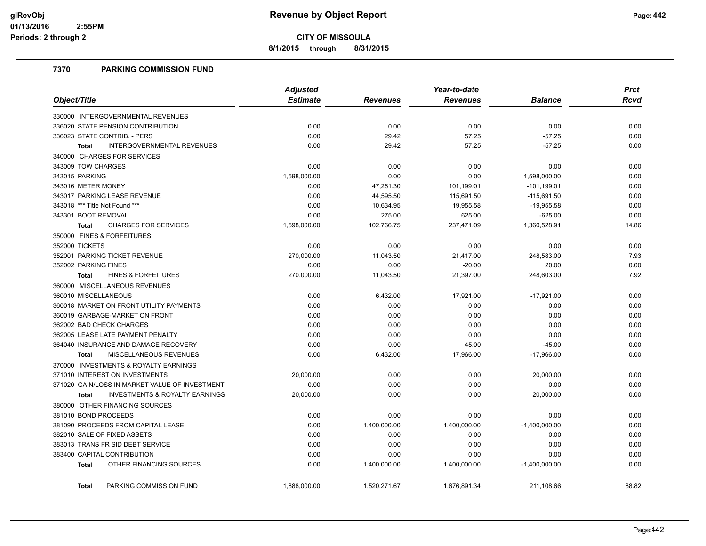**8/1/2015 through 8/31/2015**

# **7370 PARKING COMMISSION FUND**

|                                                           | <b>Adjusted</b> | Year-to-date    |                 |                 | <b>Prct</b> |
|-----------------------------------------------------------|-----------------|-----------------|-----------------|-----------------|-------------|
| Object/Title                                              | <b>Estimate</b> | <b>Revenues</b> | <b>Revenues</b> | <b>Balance</b>  | Rcvd        |
| 330000 INTERGOVERNMENTAL REVENUES                         |                 |                 |                 |                 |             |
| 336020 STATE PENSION CONTRIBUTION                         | 0.00            | 0.00            | 0.00            | 0.00            | 0.00        |
| 336023 STATE CONTRIB. - PERS                              | 0.00            | 29.42           | 57.25           | $-57.25$        | 0.00        |
| <b>INTERGOVERNMENTAL REVENUES</b><br><b>Total</b>         | 0.00            | 29.42           | 57.25           | $-57.25$        | 0.00        |
| 340000 CHARGES FOR SERVICES                               |                 |                 |                 |                 |             |
| 343009 TOW CHARGES                                        | 0.00            | 0.00            | 0.00            | 0.00            | 0.00        |
| 343015 PARKING                                            | 1,598,000.00    | 0.00            | 0.00            | 1,598,000.00    | 0.00        |
| 343016 METER MONEY                                        | 0.00            | 47,261.30       | 101,199.01      | $-101, 199.01$  | 0.00        |
| 343017 PARKING LEASE REVENUE                              | 0.00            | 44,595.50       | 115,691.50      | $-115,691.50$   | 0.00        |
| 343018 *** Title Not Found ***                            | 0.00            | 10,634.95       | 19,955.58       | $-19,955.58$    | 0.00        |
| 343301 BOOT REMOVAL                                       | 0.00            | 275.00          | 625.00          | $-625.00$       | 0.00        |
| <b>CHARGES FOR SERVICES</b><br><b>Total</b>               | 1,598,000.00    | 102,766.75      | 237,471.09      | 1,360,528.91    | 14.86       |
| 350000 FINES & FORFEITURES                                |                 |                 |                 |                 |             |
| 352000 TICKETS                                            | 0.00            | 0.00            | 0.00            | 0.00            | 0.00        |
| 352001 PARKING TICKET REVENUE                             | 270,000.00      | 11,043.50       | 21,417.00       | 248,583.00      | 7.93        |
| 352002 PARKING FINES                                      | 0.00            | 0.00            | $-20.00$        | 20.00           | 0.00        |
| <b>FINES &amp; FORFEITURES</b><br><b>Total</b>            | 270,000.00      | 11,043.50       | 21,397.00       | 248,603.00      | 7.92        |
| 360000 MISCELLANEOUS REVENUES                             |                 |                 |                 |                 |             |
| 360010 MISCELLANEOUS                                      | 0.00            | 6,432.00        | 17,921.00       | $-17,921.00$    | 0.00        |
| 360018 MARKET ON FRONT UTILITY PAYMENTS                   | 0.00            | 0.00            | 0.00            | 0.00            | 0.00        |
| 360019 GARBAGE-MARKET ON FRONT                            | 0.00            | 0.00            | 0.00            | 0.00            | 0.00        |
| 362002 BAD CHECK CHARGES                                  | 0.00            | 0.00            | 0.00            | 0.00            | 0.00        |
| 362005 LEASE LATE PAYMENT PENALTY                         | 0.00            | 0.00            | 0.00            | 0.00            | 0.00        |
| 364040 INSURANCE AND DAMAGE RECOVERY                      | 0.00            | 0.00            | 45.00           | $-45.00$        | 0.00        |
| MISCELLANEOUS REVENUES<br><b>Total</b>                    | 0.00            | 6,432.00        | 17,966.00       | $-17,966.00$    | 0.00        |
| 370000 INVESTMENTS & ROYALTY EARNINGS                     |                 |                 |                 |                 |             |
| 371010 INTEREST ON INVESTMENTS                            | 20,000.00       | 0.00            | 0.00            | 20,000.00       | 0.00        |
| 371020 GAIN/LOSS IN MARKET VALUE OF INVESTMENT            | 0.00            | 0.00            | 0.00            | 0.00            | 0.00        |
| <b>INVESTMENTS &amp; ROYALTY EARNINGS</b><br><b>Total</b> | 20,000.00       | 0.00            | 0.00            | 20,000.00       | 0.00        |
| 380000 OTHER FINANCING SOURCES                            |                 |                 |                 |                 |             |
| 381010 BOND PROCEEDS                                      | 0.00            | 0.00            | 0.00            | 0.00            | 0.00        |
| 381090 PROCEEDS FROM CAPITAL LEASE                        | 0.00            | 1,400,000.00    | 1,400,000.00    | $-1,400,000.00$ | 0.00        |
| 382010 SALE OF FIXED ASSETS                               | 0.00            | 0.00            | 0.00            | 0.00            | 0.00        |
| 383013 TRANS FR SID DEBT SERVICE                          | 0.00            | 0.00            | 0.00            | 0.00            | 0.00        |
| 383400 CAPITAL CONTRIBUTION                               | 0.00            | 0.00            | 0.00            | 0.00            | 0.00        |
| OTHER FINANCING SOURCES<br><b>Total</b>                   | 0.00            | 1,400,000.00    | 1,400,000.00    | $-1,400,000.00$ | 0.00        |
| PARKING COMMISSION FUND<br><b>Total</b>                   | 1.888.000.00    | 1.520.271.67    | 1,676,891.34    | 211.108.66      | 88.82       |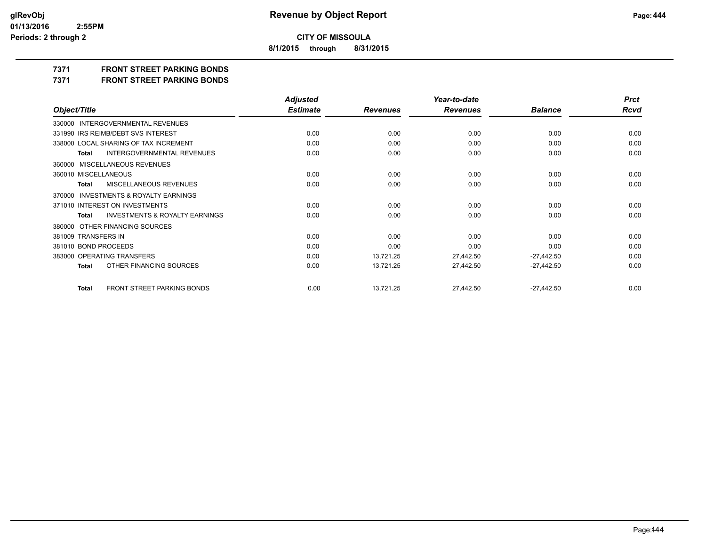**8/1/2015 through 8/31/2015**

# **7371 FRONT STREET PARKING BONDS**

**7371 FRONT STREET PARKING BONDS**

|                                                           | <b>Adjusted</b> |                 | Year-to-date    |                | <b>Prct</b> |
|-----------------------------------------------------------|-----------------|-----------------|-----------------|----------------|-------------|
| Object/Title                                              | <b>Estimate</b> | <b>Revenues</b> | <b>Revenues</b> | <b>Balance</b> | <b>Rcvd</b> |
| 330000 INTERGOVERNMENTAL REVENUES                         |                 |                 |                 |                |             |
| 331990 IRS REIMB/DEBT SVS INTEREST                        | 0.00            | 0.00            | 0.00            | 0.00           | 0.00        |
| 338000 LOCAL SHARING OF TAX INCREMENT                     | 0.00            | 0.00            | 0.00            | 0.00           | 0.00        |
| <b>INTERGOVERNMENTAL REVENUES</b><br><b>Total</b>         | 0.00            | 0.00            | 0.00            | 0.00           | 0.00        |
| 360000 MISCELLANEOUS REVENUES                             |                 |                 |                 |                |             |
| 360010 MISCELLANEOUS                                      | 0.00            | 0.00            | 0.00            | 0.00           | 0.00        |
| MISCELLANEOUS REVENUES<br><b>Total</b>                    | 0.00            | 0.00            | 0.00            | 0.00           | 0.00        |
| 370000 INVESTMENTS & ROYALTY EARNINGS                     |                 |                 |                 |                |             |
| 371010 INTEREST ON INVESTMENTS                            | 0.00            | 0.00            | 0.00            | 0.00           | 0.00        |
| <b>INVESTMENTS &amp; ROYALTY EARNINGS</b><br><b>Total</b> | 0.00            | 0.00            | 0.00            | 0.00           | 0.00        |
| 380000 OTHER FINANCING SOURCES                            |                 |                 |                 |                |             |
| 381009 TRANSFERS IN                                       | 0.00            | 0.00            | 0.00            | 0.00           | 0.00        |
| 381010 BOND PROCEEDS                                      | 0.00            | 0.00            | 0.00            | 0.00           | 0.00        |
| 383000 OPERATING TRANSFERS                                | 0.00            | 13,721.25       | 27,442.50       | $-27,442.50$   | 0.00        |
| OTHER FINANCING SOURCES<br><b>Total</b>                   | 0.00            | 13,721.25       | 27,442.50       | $-27,442.50$   | 0.00        |
| FRONT STREET PARKING BONDS<br><b>Total</b>                | 0.00            | 13,721.25       | 27,442.50       | $-27,442.50$   | 0.00        |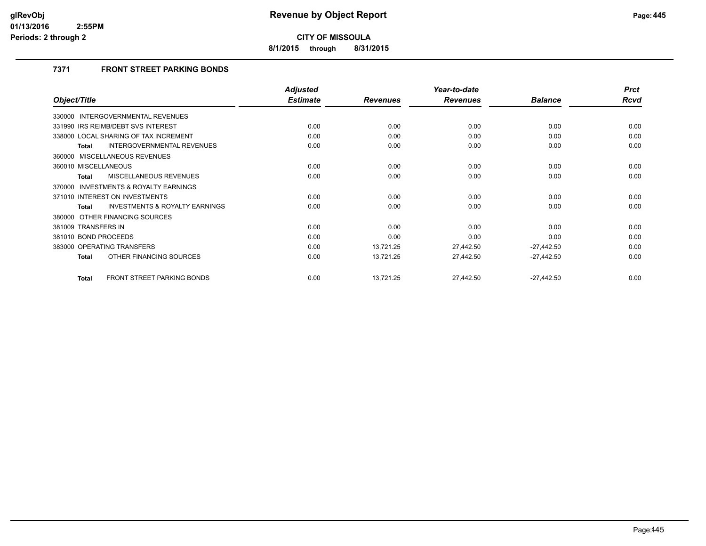**8/1/2015 through 8/31/2015**

# **7371 FRONT STREET PARKING BONDS**

|                                                    | <b>Adjusted</b> |                 | Year-to-date    |                | <b>Prct</b> |
|----------------------------------------------------|-----------------|-----------------|-----------------|----------------|-------------|
| Object/Title                                       | <b>Estimate</b> | <b>Revenues</b> | <b>Revenues</b> | <b>Balance</b> | <b>Rcvd</b> |
| 330000 INTERGOVERNMENTAL REVENUES                  |                 |                 |                 |                |             |
| 331990 IRS REIMB/DEBT SVS INTEREST                 | 0.00            | 0.00            | 0.00            | 0.00           | 0.00        |
| 338000 LOCAL SHARING OF TAX INCREMENT              | 0.00            | 0.00            | 0.00            | 0.00           | 0.00        |
| INTERGOVERNMENTAL REVENUES<br>Total                | 0.00            | 0.00            | 0.00            | 0.00           | 0.00        |
| 360000 MISCELLANEOUS REVENUES                      |                 |                 |                 |                |             |
| 360010 MISCELLANEOUS                               | 0.00            | 0.00            | 0.00            | 0.00           | 0.00        |
| MISCELLANEOUS REVENUES<br><b>Total</b>             | 0.00            | 0.00            | 0.00            | 0.00           | 0.00        |
| INVESTMENTS & ROYALTY EARNINGS<br>370000           |                 |                 |                 |                |             |
| 371010 INTEREST ON INVESTMENTS                     | 0.00            | 0.00            | 0.00            | 0.00           | 0.00        |
| <b>INVESTMENTS &amp; ROYALTY EARNINGS</b><br>Total | 0.00            | 0.00            | 0.00            | 0.00           | 0.00        |
| 380000 OTHER FINANCING SOURCES                     |                 |                 |                 |                |             |
| 381009 TRANSFERS IN                                | 0.00            | 0.00            | 0.00            | 0.00           | 0.00        |
| 381010 BOND PROCEEDS                               | 0.00            | 0.00            | 0.00            | 0.00           | 0.00        |
| 383000 OPERATING TRANSFERS                         | 0.00            | 13,721.25       | 27,442.50       | $-27,442.50$   | 0.00        |
| OTHER FINANCING SOURCES<br><b>Total</b>            | 0.00            | 13,721.25       | 27,442.50       | $-27,442.50$   | 0.00        |
| FRONT STREET PARKING BONDS<br><b>Total</b>         | 0.00            | 13,721.25       | 27,442.50       | $-27,442.50$   | 0.00        |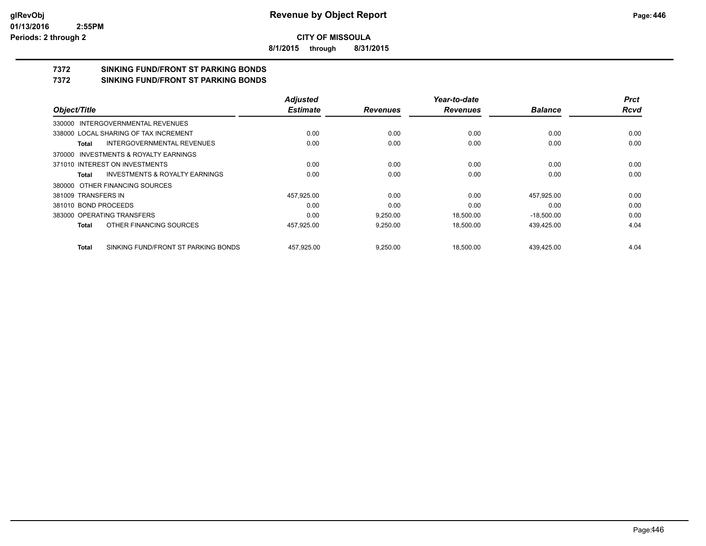**8/1/2015 through 8/31/2015**

# **7372 SINKING FUND/FRONT ST PARKING BONDS**

**7372 SINKING FUND/FRONT ST PARKING BONDS**

|                                   |                                           | <b>Adjusted</b> |                 | Year-to-date    |                | <b>Prct</b> |
|-----------------------------------|-------------------------------------------|-----------------|-----------------|-----------------|----------------|-------------|
| Object/Title                      |                                           | <b>Estimate</b> | <b>Revenues</b> | <b>Revenues</b> | <b>Balance</b> | <b>Rcvd</b> |
| 330000 INTERGOVERNMENTAL REVENUES |                                           |                 |                 |                 |                |             |
|                                   | 338000 LOCAL SHARING OF TAX INCREMENT     | 0.00            | 0.00            | 0.00            | 0.00           | 0.00        |
| Total                             | <b>INTERGOVERNMENTAL REVENUES</b>         | 0.00            | 0.00            | 0.00            | 0.00           | 0.00        |
|                                   | 370000 INVESTMENTS & ROYALTY EARNINGS     |                 |                 |                 |                |             |
| 371010 INTEREST ON INVESTMENTS    |                                           | 0.00            | 0.00            | 0.00            | 0.00           | 0.00        |
| Total                             | <b>INVESTMENTS &amp; ROYALTY EARNINGS</b> | 0.00            | 0.00            | 0.00            | 0.00           | 0.00        |
| 380000 OTHER FINANCING SOURCES    |                                           |                 |                 |                 |                |             |
| 381009 TRANSFERS IN               |                                           | 457,925.00      | 0.00            | 0.00            | 457,925.00     | 0.00        |
| 381010 BOND PROCEEDS              |                                           | 0.00            | 0.00            | 0.00            | 0.00           | 0.00        |
| 383000 OPERATING TRANSFERS        |                                           | 0.00            | 9.250.00        | 18.500.00       | $-18.500.00$   | 0.00        |
| Total                             | OTHER FINANCING SOURCES                   | 457,925.00      | 9,250.00        | 18,500.00       | 439,425.00     | 4.04        |
| Total                             | SINKING FUND/FRONT ST PARKING BONDS       | 457.925.00      | 9.250.00        | 18.500.00       | 439.425.00     | 4.04        |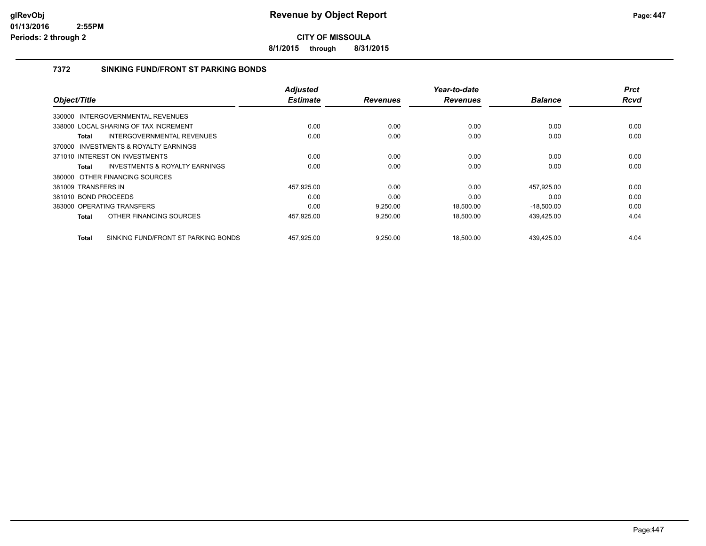**8/1/2015 through 8/31/2015**

### **7372 SINKING FUND/FRONT ST PARKING BONDS**

|                                                     | <b>Adjusted</b> |                 | Year-to-date    |                | <b>Prct</b> |
|-----------------------------------------------------|-----------------|-----------------|-----------------|----------------|-------------|
| Object/Title                                        | <b>Estimate</b> | <b>Revenues</b> | <b>Revenues</b> | <b>Balance</b> | <b>Rcvd</b> |
| 330000 INTERGOVERNMENTAL REVENUES                   |                 |                 |                 |                |             |
| 338000 LOCAL SHARING OF TAX INCREMENT               | 0.00            | 0.00            | 0.00            | 0.00           | 0.00        |
| INTERGOVERNMENTAL REVENUES<br>Total                 | 0.00            | 0.00            | 0.00            | 0.00           | 0.00        |
| 370000 INVESTMENTS & ROYALTY EARNINGS               |                 |                 |                 |                |             |
| 371010 INTEREST ON INVESTMENTS                      | 0.00            | 0.00            | 0.00            | 0.00           | 0.00        |
| INVESTMENTS & ROYALTY EARNINGS<br>Total             | 0.00            | 0.00            | 0.00            | 0.00           | 0.00        |
| 380000 OTHER FINANCING SOURCES                      |                 |                 |                 |                |             |
| 381009 TRANSFERS IN                                 | 457.925.00      | 0.00            | 0.00            | 457.925.00     | 0.00        |
| 381010 BOND PROCEEDS                                | 0.00            | 0.00            | 0.00            | 0.00           | 0.00        |
| 383000 OPERATING TRANSFERS                          | 0.00            | 9,250.00        | 18,500.00       | $-18,500.00$   | 0.00        |
| OTHER FINANCING SOURCES<br><b>Total</b>             | 457,925.00      | 9,250.00        | 18,500.00       | 439,425.00     | 4.04        |
| SINKING FUND/FRONT ST PARKING BONDS<br><b>Total</b> | 457,925.00      | 9.250.00        | 18.500.00       | 439.425.00     | 4.04        |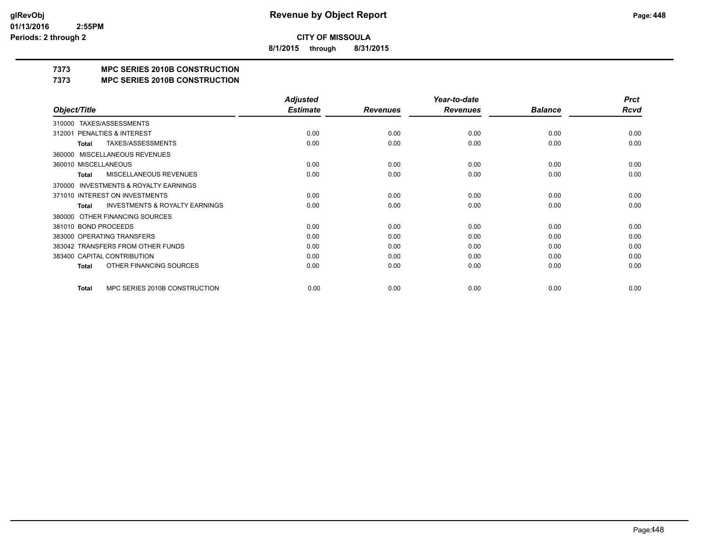**8/1/2015 through 8/31/2015**

# **7373 MPC SERIES 2010B CONSTRUCTION**

#### **7373 MPC SERIES 2010B CONSTRUCTION**

|                                                           | <b>Adjusted</b> |                 | Year-to-date    |                | <b>Prct</b> |
|-----------------------------------------------------------|-----------------|-----------------|-----------------|----------------|-------------|
| Object/Title                                              | <b>Estimate</b> | <b>Revenues</b> | <b>Revenues</b> | <b>Balance</b> | <b>Rcvd</b> |
| 310000 TAXES/ASSESSMENTS                                  |                 |                 |                 |                |             |
| PENALTIES & INTEREST<br>312001                            | 0.00            | 0.00            | 0.00            | 0.00           | 0.00        |
| TAXES/ASSESSMENTS<br>Total                                | 0.00            | 0.00            | 0.00            | 0.00           | 0.00        |
| <b>MISCELLANEOUS REVENUES</b><br>360000                   |                 |                 |                 |                |             |
| 360010 MISCELLANEOUS                                      | 0.00            | 0.00            | 0.00            | 0.00           | 0.00        |
| <b>MISCELLANEOUS REVENUES</b><br><b>Total</b>             | 0.00            | 0.00            | 0.00            | 0.00           | 0.00        |
| <b>INVESTMENTS &amp; ROYALTY EARNINGS</b><br>370000       |                 |                 |                 |                |             |
| 371010 INTEREST ON INVESTMENTS                            | 0.00            | 0.00            | 0.00            | 0.00           | 0.00        |
| <b>INVESTMENTS &amp; ROYALTY EARNINGS</b><br><b>Total</b> | 0.00            | 0.00            | 0.00            | 0.00           | 0.00        |
| OTHER FINANCING SOURCES<br>380000                         |                 |                 |                 |                |             |
| 381010 BOND PROCEEDS                                      | 0.00            | 0.00            | 0.00            | 0.00           | 0.00        |
| 383000 OPERATING TRANSFERS                                | 0.00            | 0.00            | 0.00            | 0.00           | 0.00        |
| 383042 TRANSFERS FROM OTHER FUNDS                         | 0.00            | 0.00            | 0.00            | 0.00           | 0.00        |
| 383400 CAPITAL CONTRIBUTION                               | 0.00            | 0.00            | 0.00            | 0.00           | 0.00        |
| OTHER FINANCING SOURCES<br><b>Total</b>                   | 0.00            | 0.00            | 0.00            | 0.00           | 0.00        |
| MPC SERIES 2010B CONSTRUCTION<br>Total                    | 0.00            | 0.00            | 0.00            | 0.00           | 0.00        |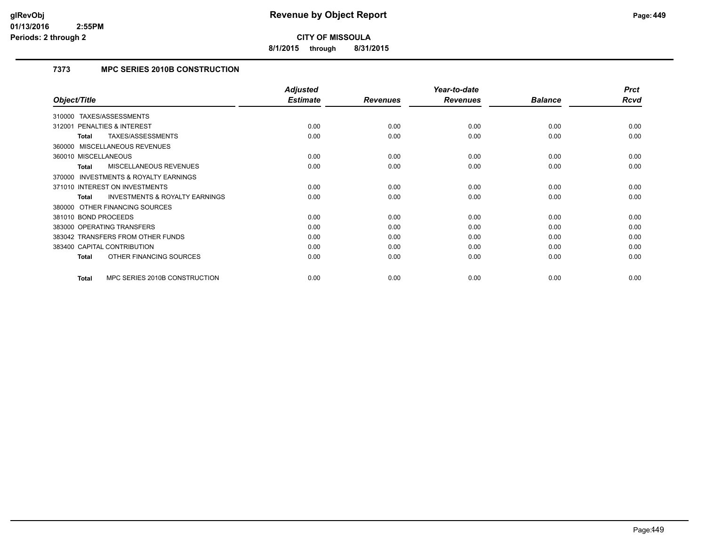**8/1/2015 through 8/31/2015**

# **7373 MPC SERIES 2010B CONSTRUCTION**

|                                                           | <b>Adjusted</b> |                 | Year-to-date    |                | <b>Prct</b> |
|-----------------------------------------------------------|-----------------|-----------------|-----------------|----------------|-------------|
| Object/Title                                              | <b>Estimate</b> | <b>Revenues</b> | <b>Revenues</b> | <b>Balance</b> | Rcvd        |
| TAXES/ASSESSMENTS<br>310000                               |                 |                 |                 |                |             |
| <b>PENALTIES &amp; INTEREST</b><br>312001                 | 0.00            | 0.00            | 0.00            | 0.00           | 0.00        |
| TAXES/ASSESSMENTS<br>Total                                | 0.00            | 0.00            | 0.00            | 0.00           | 0.00        |
| 360000 MISCELLANEOUS REVENUES                             |                 |                 |                 |                |             |
| 360010 MISCELLANEOUS                                      | 0.00            | 0.00            | 0.00            | 0.00           | 0.00        |
| <b>MISCELLANEOUS REVENUES</b><br><b>Total</b>             | 0.00            | 0.00            | 0.00            | 0.00           | 0.00        |
| <b>INVESTMENTS &amp; ROYALTY EARNINGS</b><br>370000       |                 |                 |                 |                |             |
| 371010 INTEREST ON INVESTMENTS                            | 0.00            | 0.00            | 0.00            | 0.00           | 0.00        |
| <b>INVESTMENTS &amp; ROYALTY EARNINGS</b><br><b>Total</b> | 0.00            | 0.00            | 0.00            | 0.00           | 0.00        |
| 380000 OTHER FINANCING SOURCES                            |                 |                 |                 |                |             |
| 381010 BOND PROCEEDS                                      | 0.00            | 0.00            | 0.00            | 0.00           | 0.00        |
| 383000 OPERATING TRANSFERS                                | 0.00            | 0.00            | 0.00            | 0.00           | 0.00        |
| 383042 TRANSFERS FROM OTHER FUNDS                         | 0.00            | 0.00            | 0.00            | 0.00           | 0.00        |
| 383400 CAPITAL CONTRIBUTION                               | 0.00            | 0.00            | 0.00            | 0.00           | 0.00        |
| OTHER FINANCING SOURCES<br><b>Total</b>                   | 0.00            | 0.00            | 0.00            | 0.00           | 0.00        |
| MPC SERIES 2010B CONSTRUCTION<br><b>Total</b>             | 0.00            | 0.00            | 0.00            | 0.00           | 0.00        |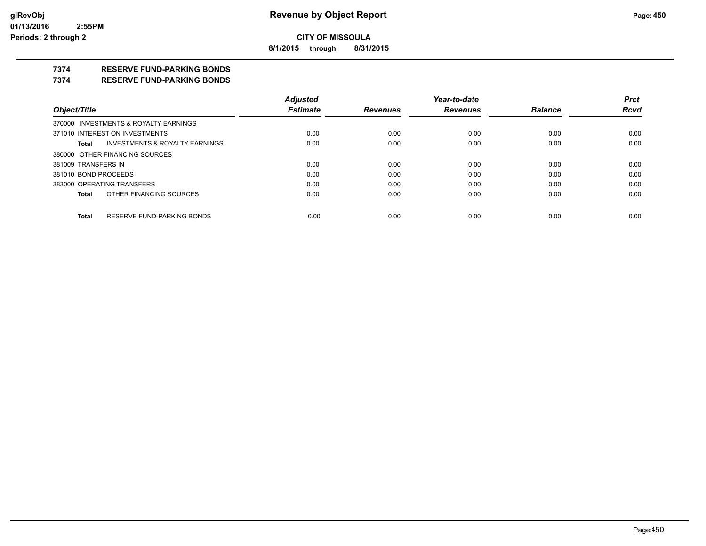**8/1/2015 through 8/31/2015**

# **7374 RESERVE FUND-PARKING BONDS**

#### **7374 RESERVE FUND-PARKING BONDS**

|                                         | <b>Adjusted</b> |                 | Year-to-date    |                | <b>Prct</b> |
|-----------------------------------------|-----------------|-----------------|-----------------|----------------|-------------|
| Object/Title                            | <b>Estimate</b> | <b>Revenues</b> | <b>Revenues</b> | <b>Balance</b> | <b>Rcvd</b> |
| 370000 INVESTMENTS & ROYALTY EARNINGS   |                 |                 |                 |                |             |
| 371010 INTEREST ON INVESTMENTS          | 0.00            | 0.00            | 0.00            | 0.00           | 0.00        |
| INVESTMENTS & ROYALTY EARNINGS<br>Total | 0.00            | 0.00            | 0.00            | 0.00           | 0.00        |
| 380000 OTHER FINANCING SOURCES          |                 |                 |                 |                |             |
| 381009 TRANSFERS IN                     | 0.00            | 0.00            | 0.00            | 0.00           | 0.00        |
| 381010 BOND PROCEEDS                    | 0.00            | 0.00            | 0.00            | 0.00           | 0.00        |
| 383000 OPERATING TRANSFERS              | 0.00            | 0.00            | 0.00            | 0.00           | 0.00        |
| OTHER FINANCING SOURCES<br>Total        | 0.00            | 0.00            | 0.00            | 0.00           | 0.00        |
| RESERVE FUND-PARKING BONDS              |                 |                 |                 |                |             |
| Total                                   | 0.00            | 0.00            | 0.00            | 0.00           | 0.00        |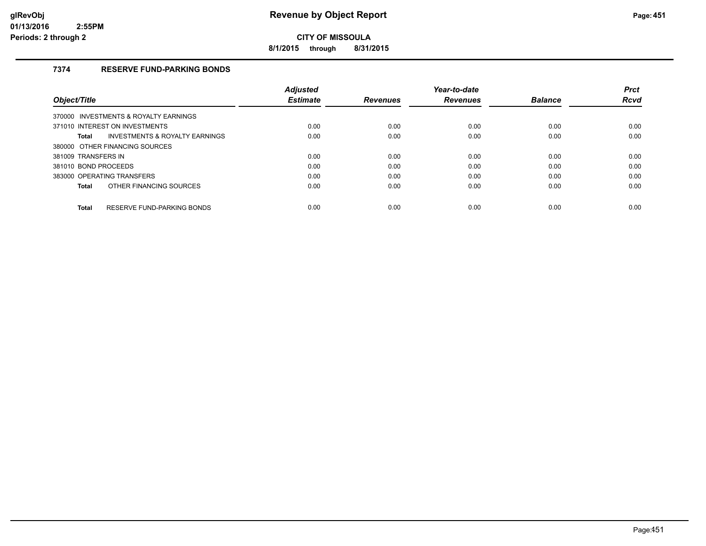**8/1/2015 through 8/31/2015**

# **7374 RESERVE FUND-PARKING BONDS**

|                                                           | <b>Adiusted</b> |                 | Year-to-date    |                | <b>Prct</b> |
|-----------------------------------------------------------|-----------------|-----------------|-----------------|----------------|-------------|
| Object/Title                                              | <b>Estimate</b> | <b>Revenues</b> | <b>Revenues</b> | <b>Balance</b> | <b>Rcvd</b> |
| 370000 INVESTMENTS & ROYALTY EARNINGS                     |                 |                 |                 |                |             |
| 371010 INTEREST ON INVESTMENTS                            | 0.00            | 0.00            | 0.00            | 0.00           | 0.00        |
| <b>INVESTMENTS &amp; ROYALTY EARNINGS</b><br><b>Total</b> | 0.00            | 0.00            | 0.00            | 0.00           | 0.00        |
| 380000 OTHER FINANCING SOURCES                            |                 |                 |                 |                |             |
| 381009 TRANSFERS IN                                       | 0.00            | 0.00            | 0.00            | 0.00           | 0.00        |
| 381010 BOND PROCEEDS                                      | 0.00            | 0.00            | 0.00            | 0.00           | 0.00        |
| 383000 OPERATING TRANSFERS                                | 0.00            | 0.00            | 0.00            | 0.00           | 0.00        |
| OTHER FINANCING SOURCES<br><b>Total</b>                   | 0.00            | 0.00            | 0.00            | 0.00           | 0.00        |
| RESERVE FUND-PARKING BONDS<br><b>Total</b>                | 0.00            | 0.00            | 0.00            | 0.00           | 0.00        |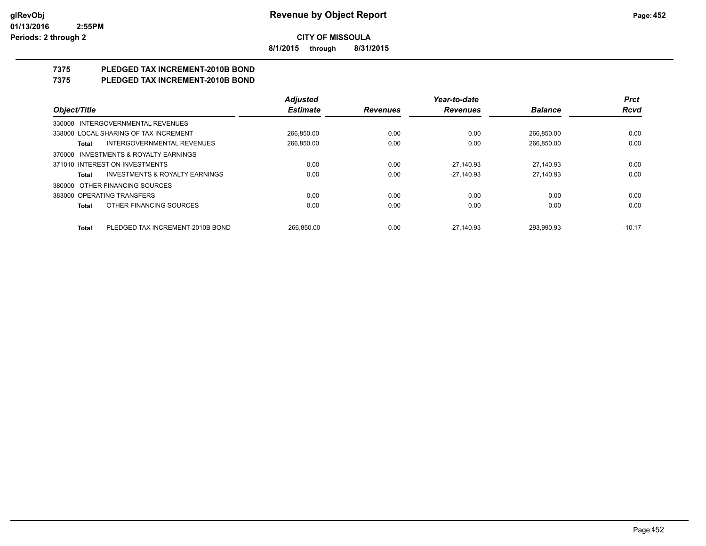**8/1/2015 through 8/31/2015**

# **7375 PLEDGED TAX INCREMENT-2010B BOND**

# **7375 PLEDGED TAX INCREMENT-2010B BOND**

|                                                    | <b>Adjusted</b> |                 | Year-to-date    |                | <b>Prct</b> |
|----------------------------------------------------|-----------------|-----------------|-----------------|----------------|-------------|
| Object/Title                                       | <b>Estimate</b> | <b>Revenues</b> | <b>Revenues</b> | <b>Balance</b> | <b>Rcvd</b> |
| 330000 INTERGOVERNMENTAL REVENUES                  |                 |                 |                 |                |             |
| 338000 LOCAL SHARING OF TAX INCREMENT              | 266,850.00      | 0.00            | 0.00            | 266,850.00     | 0.00        |
| INTERGOVERNMENTAL REVENUES<br>Total                | 266,850.00      | 0.00            | 0.00            | 266,850.00     | 0.00        |
| 370000 INVESTMENTS & ROYALTY EARNINGS              |                 |                 |                 |                |             |
| 371010 INTEREST ON INVESTMENTS                     | 0.00            | 0.00            | -27.140.93      | 27.140.93      | 0.00        |
| <b>INVESTMENTS &amp; ROYALTY EARNINGS</b><br>Total | 0.00            | 0.00            | $-27.140.93$    | 27.140.93      | 0.00        |
| 380000 OTHER FINANCING SOURCES                     |                 |                 |                 |                |             |
| 383000 OPERATING TRANSFERS                         | 0.00            | 0.00            | 0.00            | 0.00           | 0.00        |
| OTHER FINANCING SOURCES<br><b>Total</b>            | 0.00            | 0.00            | 0.00            | 0.00           | 0.00        |
| PLEDGED TAX INCREMENT-2010B BOND<br><b>Total</b>   | 266.850.00      | 0.00            | $-27.140.93$    | 293.990.93     | $-10.17$    |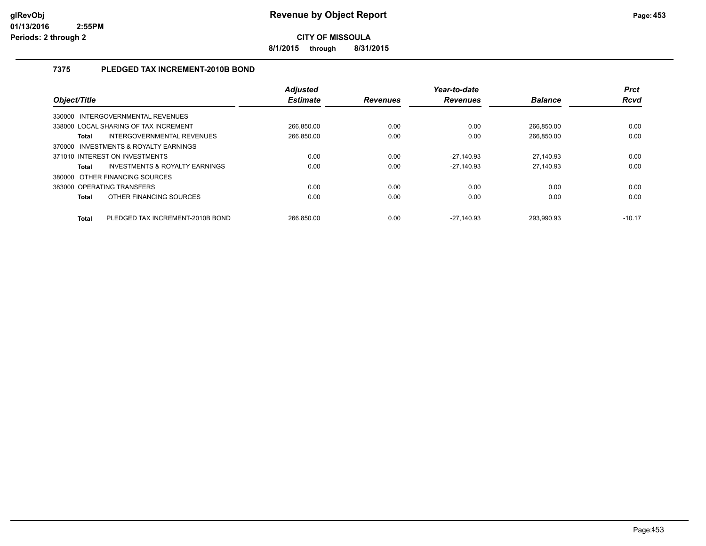**8/1/2015 through 8/31/2015**

# **7375 PLEDGED TAX INCREMENT-2010B BOND**

| Object/Title                                        | <b>Adjusted</b><br><b>Estimate</b> | <b>Revenues</b> | Year-to-date<br><b>Revenues</b> | <b>Balance</b> | <b>Prct</b><br>Rcvd |
|-----------------------------------------------------|------------------------------------|-----------------|---------------------------------|----------------|---------------------|
| INTERGOVERNMENTAL REVENUES<br>330000                |                                    |                 |                                 |                |                     |
| 338000 LOCAL SHARING OF TAX INCREMENT               | 266.850.00                         | 0.00            | 0.00                            | 266.850.00     | 0.00                |
| INTERGOVERNMENTAL REVENUES<br>Total                 | 266.850.00                         | 0.00            | 0.00                            | 266.850.00     | 0.00                |
| <b>INVESTMENTS &amp; ROYALTY EARNINGS</b><br>370000 |                                    |                 |                                 |                |                     |
| 371010 INTEREST ON INVESTMENTS                      | 0.00                               | 0.00            | -27,140.93                      | 27,140.93      | 0.00                |
| INVESTMENTS & ROYALTY EARNINGS<br><b>Total</b>      | 0.00                               | 0.00            | $-27.140.93$                    | 27,140.93      | 0.00                |
| 380000 OTHER FINANCING SOURCES                      |                                    |                 |                                 |                |                     |
| 383000 OPERATING TRANSFERS                          | 0.00                               | 0.00            | 0.00                            | 0.00           | 0.00                |
| OTHER FINANCING SOURCES<br><b>Total</b>             | 0.00                               | 0.00            | 0.00                            | 0.00           | 0.00                |
| PLEDGED TAX INCREMENT-2010B BOND<br><b>Total</b>    | 266.850.00                         | 0.00            | $-27.140.93$                    | 293.990.93     | $-10.17$            |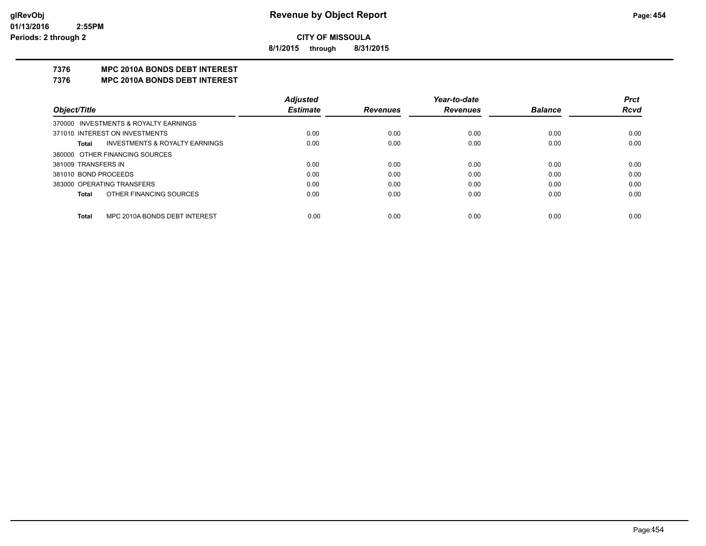**8/1/2015 through 8/31/2015**

# **7376 MPC 2010A BONDS DEBT INTEREST**

#### **7376 MPC 2010A BONDS DEBT INTEREST**

|                            |                                           | <b>Adjusted</b> |                 | Year-to-date    |                | <b>Prct</b> |
|----------------------------|-------------------------------------------|-----------------|-----------------|-----------------|----------------|-------------|
| Object/Title               |                                           | <b>Estimate</b> | <b>Revenues</b> | <b>Revenues</b> | <b>Balance</b> | <b>Rcvd</b> |
|                            | 370000 INVESTMENTS & ROYALTY EARNINGS     |                 |                 |                 |                |             |
|                            | 371010 INTEREST ON INVESTMENTS            | 0.00            | 0.00            | 0.00            | 0.00           | 0.00        |
| Total                      | <b>INVESTMENTS &amp; ROYALTY EARNINGS</b> | 0.00            | 0.00            | 0.00            | 0.00           | 0.00        |
|                            | 380000 OTHER FINANCING SOURCES            |                 |                 |                 |                |             |
| 381009 TRANSFERS IN        |                                           | 0.00            | 0.00            | 0.00            | 0.00           | 0.00        |
| 381010 BOND PROCEEDS       |                                           | 0.00            | 0.00            | 0.00            | 0.00           | 0.00        |
| 383000 OPERATING TRANSFERS |                                           | 0.00            | 0.00            | 0.00            | 0.00           | 0.00        |
| Total                      | OTHER FINANCING SOURCES                   | 0.00            | 0.00            | 0.00            | 0.00           | 0.00        |
|                            |                                           |                 |                 |                 |                |             |
| Total                      | MPC 2010A BONDS DEBT INTEREST             | 0.00            | 0.00            | 0.00            | 0.00           | 0.00        |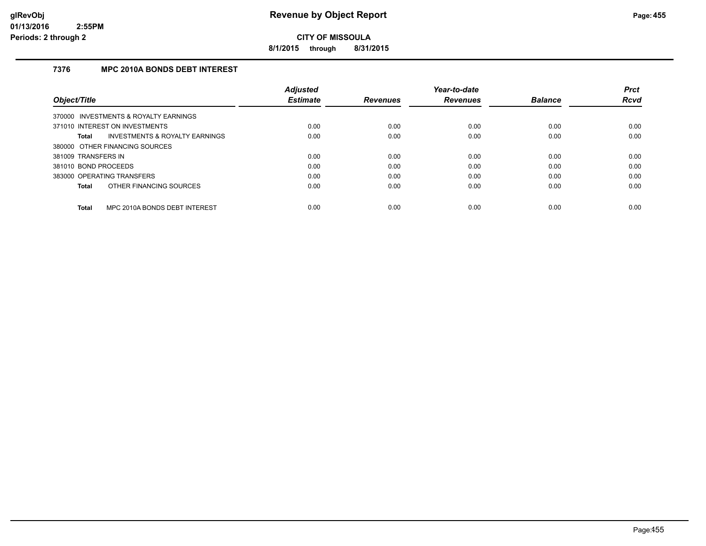**8/1/2015 through 8/31/2015**

# **7376 MPC 2010A BONDS DEBT INTEREST**

|                                               | <b>Adjusted</b> |                 | Year-to-date    |                | <b>Prct</b> |
|-----------------------------------------------|-----------------|-----------------|-----------------|----------------|-------------|
| Object/Title                                  | <b>Estimate</b> | <b>Revenues</b> | <b>Revenues</b> | <b>Balance</b> | <b>Rcvd</b> |
| 370000 INVESTMENTS & ROYALTY EARNINGS         |                 |                 |                 |                |             |
| 371010 INTEREST ON INVESTMENTS                | 0.00            | 0.00            | 0.00            | 0.00           | 0.00        |
| INVESTMENTS & ROYALTY EARNINGS<br>Total       | 0.00            | 0.00            | 0.00            | 0.00           | 0.00        |
| 380000 OTHER FINANCING SOURCES                |                 |                 |                 |                |             |
| 381009 TRANSFERS IN                           | 0.00            | 0.00            | 0.00            | 0.00           | 0.00        |
| 381010 BOND PROCEEDS                          | 0.00            | 0.00            | 0.00            | 0.00           | 0.00        |
| 383000 OPERATING TRANSFERS                    | 0.00            | 0.00            | 0.00            | 0.00           | 0.00        |
| OTHER FINANCING SOURCES<br>Total              | 0.00            | 0.00            | 0.00            | 0.00           | 0.00        |
| MPC 2010A BONDS DEBT INTEREST<br><b>Total</b> | 0.00            | 0.00            | 0.00            | 0.00           | 0.00        |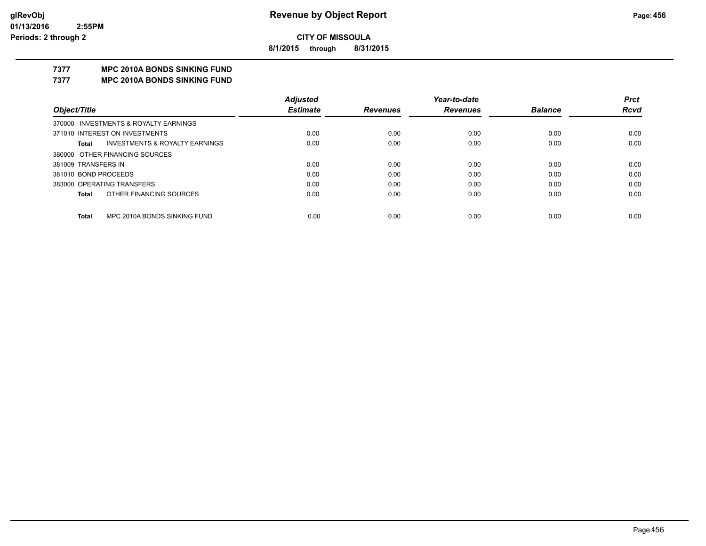**8/1/2015 through 8/31/2015**

# **7377 MPC 2010A BONDS SINKING FUND**

**7377 MPC 2010A BONDS SINKING FUND**

|                                         | <b>Adjusted</b> |                 | Year-to-date    |                | <b>Prct</b> |
|-----------------------------------------|-----------------|-----------------|-----------------|----------------|-------------|
| Object/Title                            | <b>Estimate</b> | <b>Revenues</b> | <b>Revenues</b> | <b>Balance</b> | <b>Rcvd</b> |
| 370000 INVESTMENTS & ROYALTY EARNINGS   |                 |                 |                 |                |             |
| 371010 INTEREST ON INVESTMENTS          | 0.00            | 0.00            | 0.00            | 0.00           | 0.00        |
| INVESTMENTS & ROYALTY EARNINGS<br>Total | 0.00            | 0.00            | 0.00            | 0.00           | 0.00        |
| 380000 OTHER FINANCING SOURCES          |                 |                 |                 |                |             |
| 381009 TRANSFERS IN                     | 0.00            | 0.00            | 0.00            | 0.00           | 0.00        |
| 381010 BOND PROCEEDS                    | 0.00            | 0.00            | 0.00            | 0.00           | 0.00        |
| 383000 OPERATING TRANSFERS              | 0.00            | 0.00            | 0.00            | 0.00           | 0.00        |
| OTHER FINANCING SOURCES<br><b>Total</b> | 0.00            | 0.00            | 0.00            | 0.00           | 0.00        |
|                                         |                 |                 |                 |                |             |
| MPC 2010A BONDS SINKING FUND<br>Total   | 0.00            | 0.00            | 0.00            | 0.00           | 0.00        |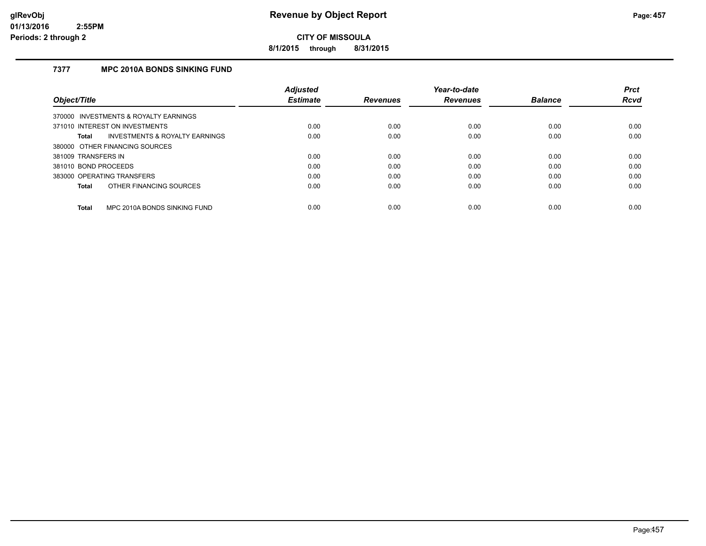**8/1/2015 through 8/31/2015**

# **7377 MPC 2010A BONDS SINKING FUND**

|                      |                                           | <b>Adjusted</b> |                 | Year-to-date    |                | <b>Prct</b> |
|----------------------|-------------------------------------------|-----------------|-----------------|-----------------|----------------|-------------|
| Object/Title         |                                           | <b>Estimate</b> | <b>Revenues</b> | <b>Revenues</b> | <b>Balance</b> | <b>Rcvd</b> |
|                      | 370000 INVESTMENTS & ROYALTY EARNINGS     |                 |                 |                 |                |             |
|                      | 371010 INTEREST ON INVESTMENTS            | 0.00            | 0.00            | 0.00            | 0.00           | 0.00        |
| Total                | <b>INVESTMENTS &amp; ROYALTY EARNINGS</b> | 0.00            | 0.00            | 0.00            | 0.00           | 0.00        |
|                      | 380000 OTHER FINANCING SOURCES            |                 |                 |                 |                |             |
| 381009 TRANSFERS IN  |                                           | 0.00            | 0.00            | 0.00            | 0.00           | 0.00        |
| 381010 BOND PROCEEDS |                                           | 0.00            | 0.00            | 0.00            | 0.00           | 0.00        |
|                      | 383000 OPERATING TRANSFERS                | 0.00            | 0.00            | 0.00            | 0.00           | 0.00        |
| Total                | OTHER FINANCING SOURCES                   | 0.00            | 0.00            | 0.00            | 0.00           | 0.00        |
| Total                | MPC 2010A BONDS SINKING FUND              | 0.00            | 0.00            | 0.00            | 0.00           | 0.00        |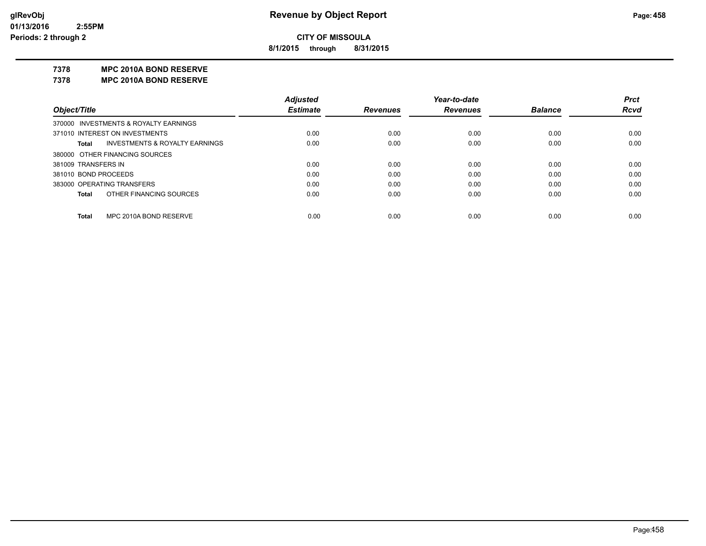**8/1/2015 through 8/31/2015**

#### **7378 MPC 2010A BOND RESERVE**

**7378 MPC 2010A BOND RESERVE**

|                      |                                       | <b>Adjusted</b> |                 | Year-to-date    |                | <b>Prct</b> |
|----------------------|---------------------------------------|-----------------|-----------------|-----------------|----------------|-------------|
| Object/Title         |                                       | <b>Estimate</b> | <b>Revenues</b> | <b>Revenues</b> | <b>Balance</b> | <b>Rcvd</b> |
|                      | 370000 INVESTMENTS & ROYALTY EARNINGS |                 |                 |                 |                |             |
|                      | 371010 INTEREST ON INVESTMENTS        | 0.00            | 0.00            | 0.00            | 0.00           | 0.00        |
| Total                | INVESTMENTS & ROYALTY EARNINGS        | 0.00            | 0.00            | 0.00            | 0.00           | 0.00        |
|                      | 380000 OTHER FINANCING SOURCES        |                 |                 |                 |                |             |
| 381009 TRANSFERS IN  |                                       | 0.00            | 0.00            | 0.00            | 0.00           | 0.00        |
| 381010 BOND PROCEEDS |                                       | 0.00            | 0.00            | 0.00            | 0.00           | 0.00        |
|                      | 383000 OPERATING TRANSFERS            | 0.00            | 0.00            | 0.00            | 0.00           | 0.00        |
| Total                | OTHER FINANCING SOURCES               | 0.00            | 0.00            | 0.00            | 0.00           | 0.00        |
|                      |                                       |                 |                 |                 |                |             |
| Total                | MPC 2010A BOND RESERVE                | 0.00            | 0.00            | 0.00            | 0.00           | 0.00        |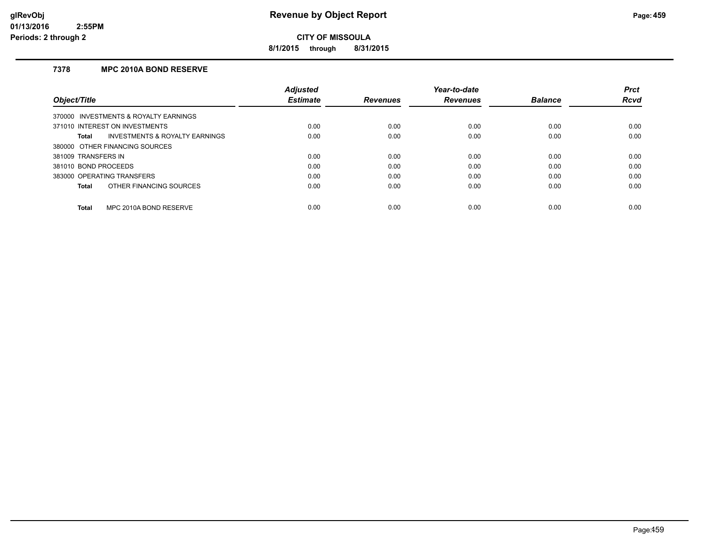**8/1/2015 through 8/31/2015**

# **7378 MPC 2010A BOND RESERVE**

|                                                           | <b>Adiusted</b> |                 | Year-to-date    |                | <b>Prct</b> |
|-----------------------------------------------------------|-----------------|-----------------|-----------------|----------------|-------------|
| Object/Title                                              | <b>Estimate</b> | <b>Revenues</b> | <b>Revenues</b> | <b>Balance</b> | <b>Rcvd</b> |
| 370000 INVESTMENTS & ROYALTY EARNINGS                     |                 |                 |                 |                |             |
| 371010 INTEREST ON INVESTMENTS                            | 0.00            | 0.00            | 0.00            | 0.00           | 0.00        |
| <b>INVESTMENTS &amp; ROYALTY EARNINGS</b><br><b>Total</b> | 0.00            | 0.00            | 0.00            | 0.00           | 0.00        |
| 380000 OTHER FINANCING SOURCES                            |                 |                 |                 |                |             |
| 381009 TRANSFERS IN                                       | 0.00            | 0.00            | 0.00            | 0.00           | 0.00        |
| 381010 BOND PROCEEDS                                      | 0.00            | 0.00            | 0.00            | 0.00           | 0.00        |
| 383000 OPERATING TRANSFERS                                | 0.00            | 0.00            | 0.00            | 0.00           | 0.00        |
| OTHER FINANCING SOURCES<br><b>Total</b>                   | 0.00            | 0.00            | 0.00            | 0.00           | 0.00        |
| MPC 2010A BOND RESERVE<br><b>Total</b>                    | 0.00            | 0.00            | 0.00            | 0.00           | 0.00        |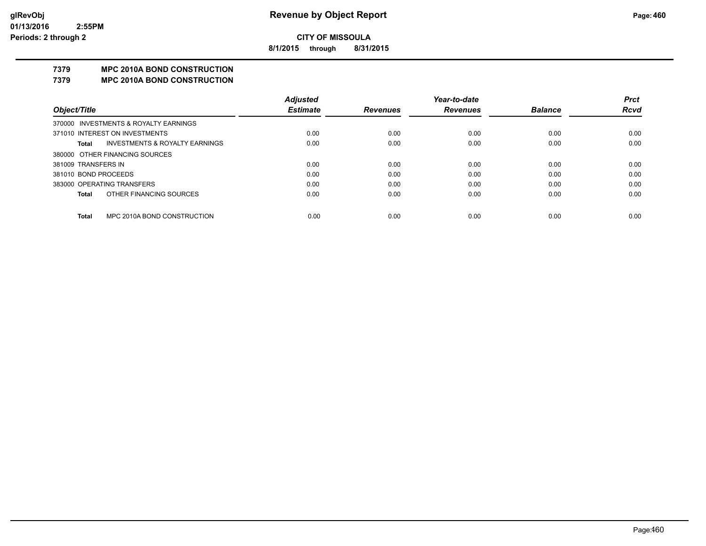**8/1/2015 through 8/31/2015**

# **7379 MPC 2010A BOND CONSTRUCTION**

#### **7379 MPC 2010A BOND CONSTRUCTION**

|                      |                                       | <b>Adjusted</b> |                 | Year-to-date    |                | <b>Prct</b> |
|----------------------|---------------------------------------|-----------------|-----------------|-----------------|----------------|-------------|
| Object/Title         |                                       | <b>Estimate</b> | <b>Revenues</b> | <b>Revenues</b> | <b>Balance</b> | <b>Rcvd</b> |
|                      | 370000 INVESTMENTS & ROYALTY EARNINGS |                 |                 |                 |                |             |
|                      | 371010 INTEREST ON INVESTMENTS        | 0.00            | 0.00            | 0.00            | 0.00           | 0.00        |
| Total                | INVESTMENTS & ROYALTY EARNINGS        | 0.00            | 0.00            | 0.00            | 0.00           | 0.00        |
|                      | 380000 OTHER FINANCING SOURCES        |                 |                 |                 |                |             |
| 381009 TRANSFERS IN  |                                       | 0.00            | 0.00            | 0.00            | 0.00           | 0.00        |
| 381010 BOND PROCEEDS |                                       | 0.00            | 0.00            | 0.00            | 0.00           | 0.00        |
|                      | 383000 OPERATING TRANSFERS            | 0.00            | 0.00            | 0.00            | 0.00           | 0.00        |
| Total                | OTHER FINANCING SOURCES               | 0.00            | 0.00            | 0.00            | 0.00           | 0.00        |
|                      |                                       |                 |                 |                 |                |             |
| Total                | MPC 2010A BOND CONSTRUCTION           | 0.00            | 0.00            | 0.00            | 0.00           | 0.00        |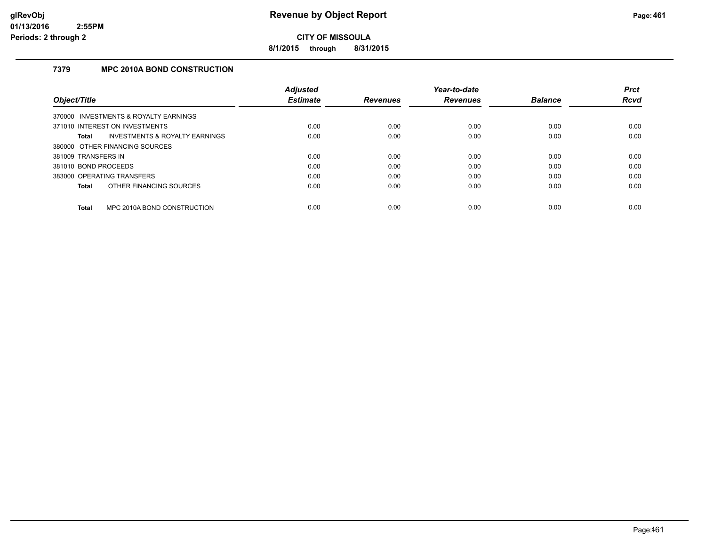**8/1/2015 through 8/31/2015**

# **7379 MPC 2010A BOND CONSTRUCTION**

|                                                    | <b>Adiusted</b> |                 | Year-to-date    |                | <b>Prct</b> |
|----------------------------------------------------|-----------------|-----------------|-----------------|----------------|-------------|
| Object/Title                                       | <b>Estimate</b> | <b>Revenues</b> | <b>Revenues</b> | <b>Balance</b> | <b>Rcvd</b> |
| 370000 INVESTMENTS & ROYALTY EARNINGS              |                 |                 |                 |                |             |
| 371010 INTEREST ON INVESTMENTS                     | 0.00            | 0.00            | 0.00            | 0.00           | 0.00        |
| <b>INVESTMENTS &amp; ROYALTY EARNINGS</b><br>Total | 0.00            | 0.00            | 0.00            | 0.00           | 0.00        |
| 380000 OTHER FINANCING SOURCES                     |                 |                 |                 |                |             |
| 381009 TRANSFERS IN                                | 0.00            | 0.00            | 0.00            | 0.00           | 0.00        |
| 381010 BOND PROCEEDS                               | 0.00            | 0.00            | 0.00            | 0.00           | 0.00        |
| 383000 OPERATING TRANSFERS                         | 0.00            | 0.00            | 0.00            | 0.00           | 0.00        |
| OTHER FINANCING SOURCES<br><b>Total</b>            | 0.00            | 0.00            | 0.00            | 0.00           | 0.00        |
|                                                    |                 |                 |                 |                |             |
| MPC 2010A BOND CONSTRUCTION<br><b>Total</b>        | 0.00            | 0.00            | 0.00            | 0.00           | 0.00        |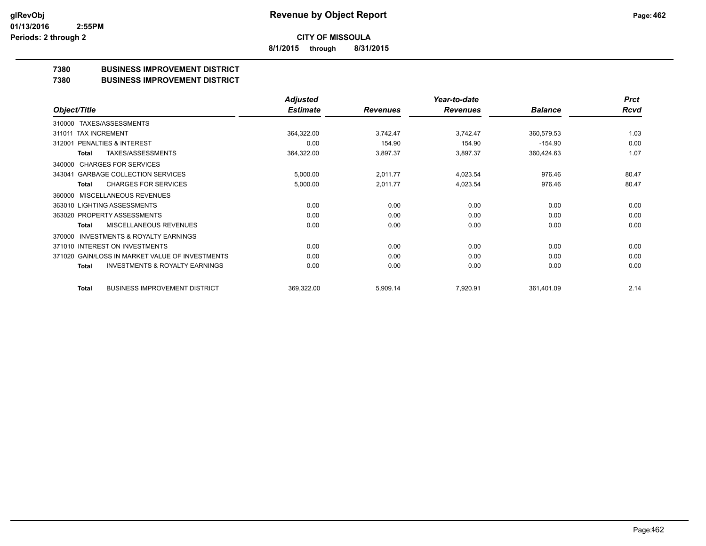**8/1/2015 through 8/31/2015**

# **7380 BUSINESS IMPROVEMENT DISTRICT**

**7380 BUSINESS IMPROVEMENT DISTRICT**

|                                                     | <b>Adjusted</b> |                 | Year-to-date    |                | <b>Prct</b> |
|-----------------------------------------------------|-----------------|-----------------|-----------------|----------------|-------------|
| Object/Title                                        | <b>Estimate</b> | <b>Revenues</b> | <b>Revenues</b> | <b>Balance</b> | Rcvd        |
| TAXES/ASSESSMENTS<br>310000                         |                 |                 |                 |                |             |
| 311011 TAX INCREMENT                                | 364,322.00      | 3,742.47        | 3,742.47        | 360,579.53     | 1.03        |
| <b>PENALTIES &amp; INTEREST</b><br>312001           | 0.00            | 154.90          | 154.90          | $-154.90$      | 0.00        |
| <b>TAXES/ASSESSMENTS</b><br>Total                   | 364,322.00      | 3,897.37        | 3,897.37        | 360,424.63     | 1.07        |
| <b>CHARGES FOR SERVICES</b><br>340000               |                 |                 |                 |                |             |
| <b>GARBAGE COLLECTION SERVICES</b><br>343041        | 5,000.00        | 2,011.77        | 4,023.54        | 976.46         | 80.47       |
| <b>CHARGES FOR SERVICES</b><br><b>Total</b>         | 5,000.00        | 2,011.77        | 4,023.54        | 976.46         | 80.47       |
| <b>MISCELLANEOUS REVENUES</b><br>360000             |                 |                 |                 |                |             |
| 363010 LIGHTING ASSESSMENTS                         | 0.00            | 0.00            | 0.00            | 0.00           | 0.00        |
| 363020 PROPERTY ASSESSMENTS                         | 0.00            | 0.00            | 0.00            | 0.00           | 0.00        |
| MISCELLANEOUS REVENUES<br>Total                     | 0.00            | 0.00            | 0.00            | 0.00           | 0.00        |
| <b>INVESTMENTS &amp; ROYALTY EARNINGS</b><br>370000 |                 |                 |                 |                |             |
| 371010 INTEREST ON INVESTMENTS                      | 0.00            | 0.00            | 0.00            | 0.00           | 0.00        |
| 371020 GAIN/LOSS IN MARKET VALUE OF INVESTMENTS     | 0.00            | 0.00            | 0.00            | 0.00           | 0.00        |
| <b>INVESTMENTS &amp; ROYALTY EARNINGS</b><br>Total  | 0.00            | 0.00            | 0.00            | 0.00           | 0.00        |
| <b>BUSINESS IMPROVEMENT DISTRICT</b><br>Total       | 369,322.00      | 5,909.14        | 7,920.91        | 361,401.09     | 2.14        |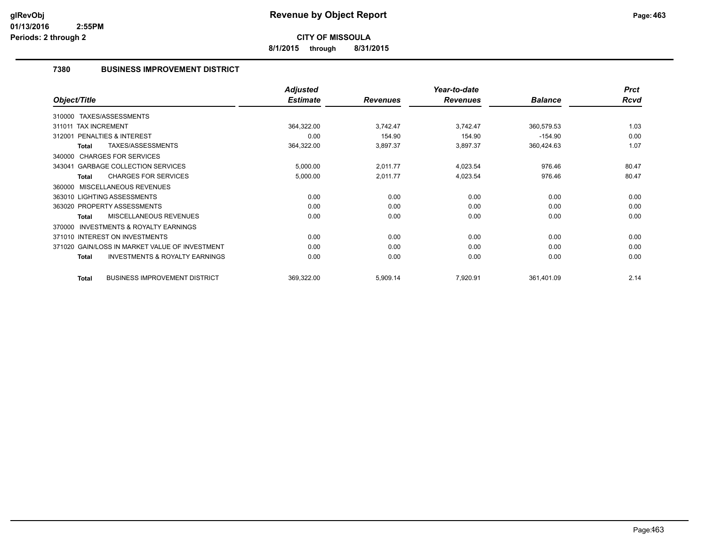**8/1/2015 through 8/31/2015**

# **7380 BUSINESS IMPROVEMENT DISTRICT**

|                                                           | <b>Adjusted</b> |                 | Year-to-date    |                | <b>Prct</b> |
|-----------------------------------------------------------|-----------------|-----------------|-----------------|----------------|-------------|
| Object/Title                                              | <b>Estimate</b> | <b>Revenues</b> | <b>Revenues</b> | <b>Balance</b> | <b>Rcvd</b> |
| 310000 TAXES/ASSESSMENTS                                  |                 |                 |                 |                |             |
| <b>TAX INCREMENT</b><br>311011                            | 364,322.00      | 3,742.47        | 3,742.47        | 360,579.53     | 1.03        |
| PENALTIES & INTEREST<br>312001                            | 0.00            | 154.90          | 154.90          | $-154.90$      | 0.00        |
| TAXES/ASSESSMENTS<br>Total                                | 364,322.00      | 3,897.37        | 3,897.37        | 360,424.63     | 1.07        |
| 340000 CHARGES FOR SERVICES                               |                 |                 |                 |                |             |
| <b>GARBAGE COLLECTION SERVICES</b><br>343041              | 5,000.00        | 2,011.77        | 4,023.54        | 976.46         | 80.47       |
| <b>CHARGES FOR SERVICES</b><br><b>Total</b>               | 5,000.00        | 2,011.77        | 4,023.54        | 976.46         | 80.47       |
| MISCELLANEOUS REVENUES<br>360000                          |                 |                 |                 |                |             |
| 363010 LIGHTING ASSESSMENTS                               | 0.00            | 0.00            | 0.00            | 0.00           | 0.00        |
| 363020 PROPERTY ASSESSMENTS                               | 0.00            | 0.00            | 0.00            | 0.00           | 0.00        |
| <b>MISCELLANEOUS REVENUES</b><br><b>Total</b>             | 0.00            | 0.00            | 0.00            | 0.00           | 0.00        |
| <b>INVESTMENTS &amp; ROYALTY EARNINGS</b><br>370000       |                 |                 |                 |                |             |
| 371010 INTEREST ON INVESTMENTS                            | 0.00            | 0.00            | 0.00            | 0.00           | 0.00        |
| 371020 GAIN/LOSS IN MARKET VALUE OF INVESTMENT            | 0.00            | 0.00            | 0.00            | 0.00           | 0.00        |
| <b>INVESTMENTS &amp; ROYALTY EARNINGS</b><br><b>Total</b> | 0.00            | 0.00            | 0.00            | 0.00           | 0.00        |
| <b>BUSINESS IMPROVEMENT DISTRICT</b><br><b>Total</b>      | 369,322.00      | 5,909.14        | 7,920.91        | 361,401.09     | 2.14        |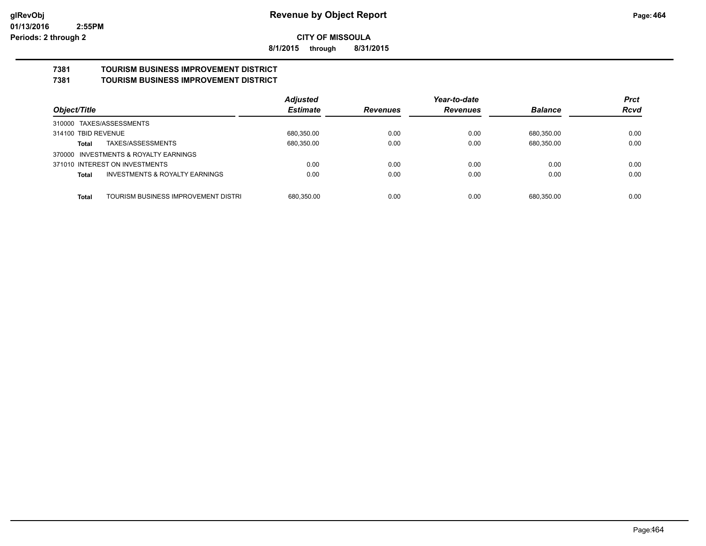**8/1/2015 through 8/31/2015**

#### **7381 TOURISM BUSINESS IMPROVEMENT DISTRICT 7381 TOURISM BUSINESS IMPROVEMENT DISTRICT**

|                                                           | <b>Adjusted</b> |                 | Year-to-date    |                | <b>Prct</b> |
|-----------------------------------------------------------|-----------------|-----------------|-----------------|----------------|-------------|
| Object/Title                                              | <b>Estimate</b> | <b>Revenues</b> | <b>Revenues</b> | <b>Balance</b> | <b>Rcvd</b> |
| 310000 TAXES/ASSESSMENTS                                  |                 |                 |                 |                |             |
| 314100 TBID REVENUE                                       | 680,350.00      | 0.00            | 0.00            | 680,350.00     | 0.00        |
| TAXES/ASSESSMENTS<br>Total                                | 680,350.00      | 0.00            | 0.00            | 680,350.00     | 0.00        |
| INVESTMENTS & ROYALTY EARNINGS<br>370000                  |                 |                 |                 |                |             |
| 371010 INTEREST ON INVESTMENTS                            | 0.00            | 0.00            | 0.00            | 0.00           | 0.00        |
| <b>INVESTMENTS &amp; ROYALTY EARNINGS</b><br><b>Total</b> | 0.00            | 0.00            | 0.00            | 0.00           | 0.00        |
|                                                           |                 |                 |                 |                |             |
| TOURISM BUSINESS IMPROVEMENT DISTRI<br><b>Total</b>       | 680,350.00      | 0.00            | 0.00            | 680.350.00     | 0.00        |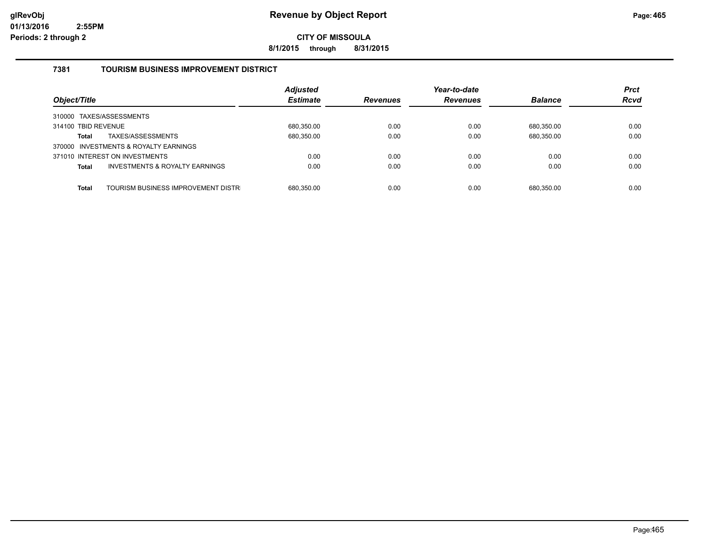**8/1/2015 through 8/31/2015**

# **7381 TOURISM BUSINESS IMPROVEMENT DISTRICT**

| Object/Title                                              | <b>Adjusted</b><br><b>Estimate</b> | <b>Revenues</b> | Year-to-date<br><b>Revenues</b> | <b>Balance</b> | <b>Prct</b><br><b>Rcvd</b> |
|-----------------------------------------------------------|------------------------------------|-----------------|---------------------------------|----------------|----------------------------|
| 310000 TAXES/ASSESSMENTS                                  |                                    |                 |                                 |                |                            |
| 314100 TBID REVENUE                                       | 680,350.00                         | 0.00            | 0.00                            | 680.350.00     | 0.00                       |
| TAXES/ASSESSMENTS<br><b>Total</b>                         | 680,350.00                         | 0.00            | 0.00                            | 680,350.00     | 0.00                       |
| 370000 INVESTMENTS & ROYALTY EARNINGS                     |                                    |                 |                                 |                |                            |
| 371010 INTEREST ON INVESTMENTS                            | 0.00                               | 0.00            | 0.00                            | 0.00           | 0.00                       |
| <b>INVESTMENTS &amp; ROYALTY EARNINGS</b><br><b>Total</b> | 0.00                               | 0.00            | 0.00                            | 0.00           | 0.00                       |
|                                                           |                                    |                 |                                 |                |                            |
| TOURISM BUSINESS IMPROVEMENT DISTR<br><b>Total</b>        | 680.350.00                         | 0.00            | 0.00                            | 680.350.00     | 0.00                       |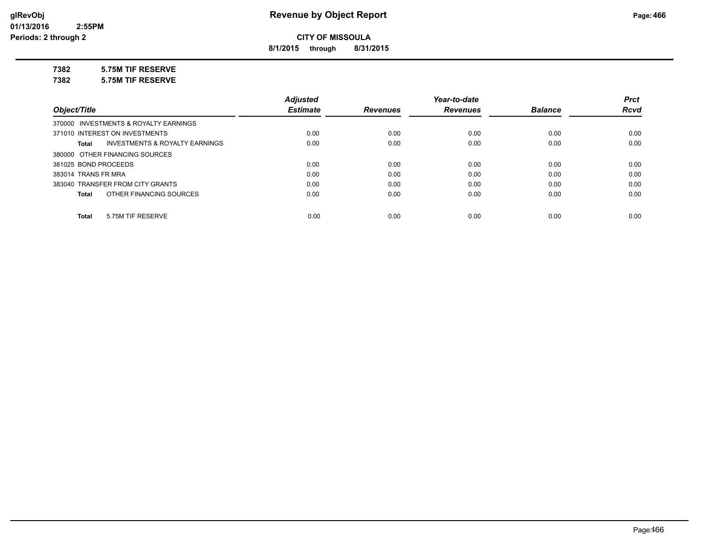**8/1/2015 through 8/31/2015**

# **7382 5.75M TIF RESERVE**

**7382 5.75M TIF RESERVE**

|                                                    | <b>Adjusted</b> |                 | Year-to-date    |                | <b>Prct</b> |
|----------------------------------------------------|-----------------|-----------------|-----------------|----------------|-------------|
| Object/Title                                       | <b>Estimate</b> | <b>Revenues</b> | <b>Revenues</b> | <b>Balance</b> | <b>Rcvd</b> |
| 370000 INVESTMENTS & ROYALTY EARNINGS              |                 |                 |                 |                |             |
| 371010 INTEREST ON INVESTMENTS                     | 0.00            | 0.00            | 0.00            | 0.00           | 0.00        |
| <b>INVESTMENTS &amp; ROYALTY EARNINGS</b><br>Total | 0.00            | 0.00            | 0.00            | 0.00           | 0.00        |
| 380000 OTHER FINANCING SOURCES                     |                 |                 |                 |                |             |
| 381025 BOND PROCEEDS                               | 0.00            | 0.00            | 0.00            | 0.00           | 0.00        |
| 383014 TRANS FR MRA                                | 0.00            | 0.00            | 0.00            | 0.00           | 0.00        |
| 383040 TRANSFER FROM CITY GRANTS                   | 0.00            | 0.00            | 0.00            | 0.00           | 0.00        |
| OTHER FINANCING SOURCES<br>Total                   | 0.00            | 0.00            | 0.00            | 0.00           | 0.00        |
| 5.75M TIF RESERVE<br>Total                         | 0.00            | 0.00            | 0.00            | 0.00           | 0.00        |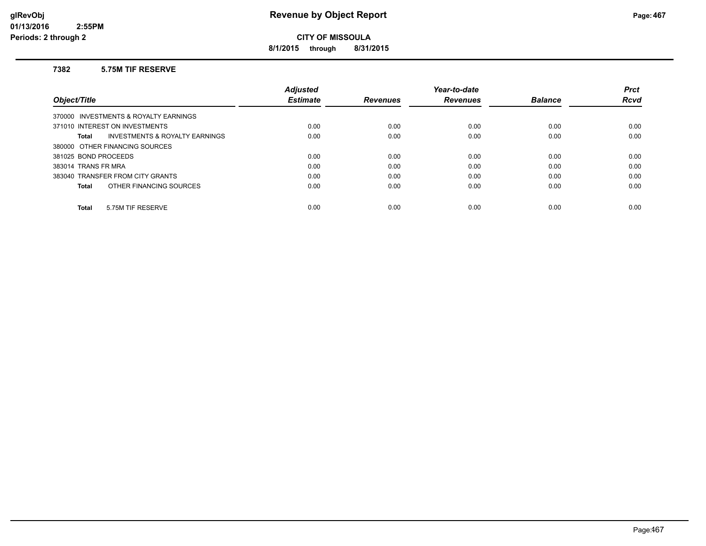**8/1/2015 through 8/31/2015**

### **7382 5.75M TIF RESERVE**

|                                                    | <b>Adjusted</b> |                 | Year-to-date    |                | <b>Prct</b> |
|----------------------------------------------------|-----------------|-----------------|-----------------|----------------|-------------|
| Object/Title                                       | <b>Estimate</b> | <b>Revenues</b> | <b>Revenues</b> | <b>Balance</b> | <b>Rcvd</b> |
| 370000 INVESTMENTS & ROYALTY EARNINGS              |                 |                 |                 |                |             |
| 371010 INTEREST ON INVESTMENTS                     | 0.00            | 0.00            | 0.00            | 0.00           | 0.00        |
| <b>INVESTMENTS &amp; ROYALTY EARNINGS</b><br>Total | 0.00            | 0.00            | 0.00            | 0.00           | 0.00        |
| 380000 OTHER FINANCING SOURCES                     |                 |                 |                 |                |             |
| 381025 BOND PROCEEDS                               | 0.00            | 0.00            | 0.00            | 0.00           | 0.00        |
| 383014 TRANS FR MRA                                | 0.00            | 0.00            | 0.00            | 0.00           | 0.00        |
| 383040 TRANSFER FROM CITY GRANTS                   | 0.00            | 0.00            | 0.00            | 0.00           | 0.00        |
| OTHER FINANCING SOURCES<br>Total                   | 0.00            | 0.00            | 0.00            | 0.00           | 0.00        |
|                                                    |                 |                 |                 |                |             |
| 5.75M TIF RESERVE<br><b>Total</b>                  | 0.00            | 0.00            | 0.00            | 0.00           | 0.00        |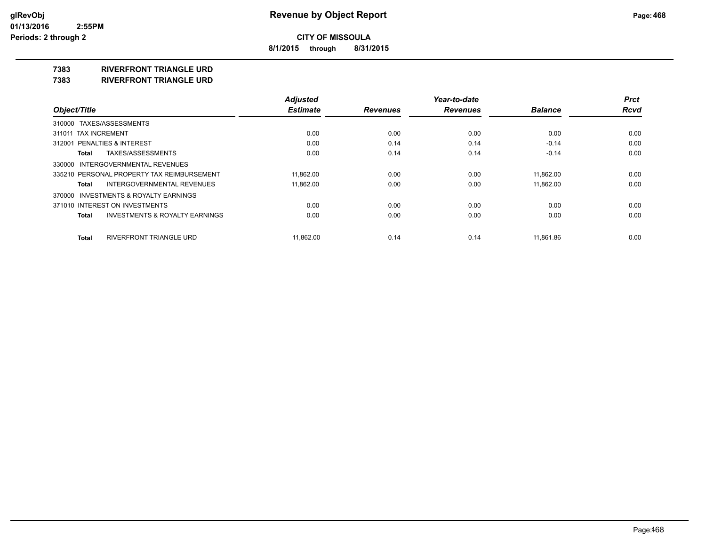**8/1/2015 through 8/31/2015**

### **7383 RIVERFRONT TRIANGLE URD**

**7383 RIVERFRONT TRIANGLE URD**

|                                                    | <b>Adjusted</b> |                 | Year-to-date    |                | <b>Prct</b> |
|----------------------------------------------------|-----------------|-----------------|-----------------|----------------|-------------|
| Object/Title                                       | <b>Estimate</b> | <b>Revenues</b> | <b>Revenues</b> | <b>Balance</b> | <b>Rcvd</b> |
| 310000 TAXES/ASSESSMENTS                           |                 |                 |                 |                |             |
| 311011 TAX INCREMENT                               | 0.00            | 0.00            | 0.00            | 0.00           | 0.00        |
| 312001 PENALTIES & INTEREST                        | 0.00            | 0.14            | 0.14            | $-0.14$        | 0.00        |
| TAXES/ASSESSMENTS<br>Total                         | 0.00            | 0.14            | 0.14            | $-0.14$        | 0.00        |
| 330000 INTERGOVERNMENTAL REVENUES                  |                 |                 |                 |                |             |
| 335210 PERSONAL PROPERTY TAX REIMBURSEMENT         | 11,862.00       | 0.00            | 0.00            | 11.862.00      | 0.00        |
| INTERGOVERNMENTAL REVENUES<br>Total                | 11.862.00       | 0.00            | 0.00            | 11.862.00      | 0.00        |
| 370000 INVESTMENTS & ROYALTY EARNINGS              |                 |                 |                 |                |             |
| 371010 INTEREST ON INVESTMENTS                     | 0.00            | 0.00            | 0.00            | 0.00           | 0.00        |
| <b>INVESTMENTS &amp; ROYALTY EARNINGS</b><br>Total | 0.00            | 0.00            | 0.00            | 0.00           | 0.00        |
| RIVERFRONT TRIANGLE URD<br>Total                   | 11.862.00       | 0.14            | 0.14            | 11.861.86      | 0.00        |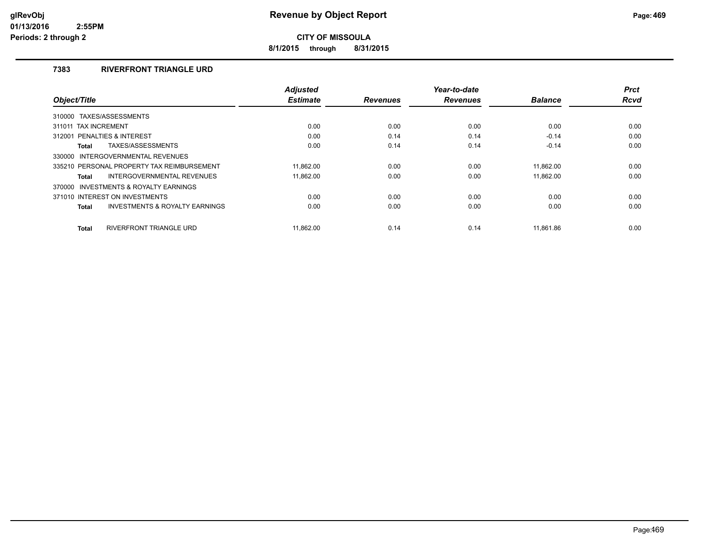**8/1/2015 through 8/31/2015**

## **7383 RIVERFRONT TRIANGLE URD**

| Object/Title                                              | <b>Adjusted</b><br><b>Estimate</b> | <b>Revenues</b> | Year-to-date<br><b>Revenues</b> | <b>Balance</b> | <b>Prct</b><br><b>Rcvd</b> |
|-----------------------------------------------------------|------------------------------------|-----------------|---------------------------------|----------------|----------------------------|
|                                                           |                                    |                 |                                 |                |                            |
| 310000 TAXES/ASSESSMENTS                                  |                                    |                 |                                 |                |                            |
| 311011 TAX INCREMENT                                      | 0.00                               | 0.00            | 0.00                            | 0.00           | 0.00                       |
| PENALTIES & INTEREST<br>312001                            | 0.00                               | 0.14            | 0.14                            | $-0.14$        | 0.00                       |
| TAXES/ASSESSMENTS<br><b>Total</b>                         | 0.00                               | 0.14            | 0.14                            | $-0.14$        | 0.00                       |
| INTERGOVERNMENTAL REVENUES<br>330000                      |                                    |                 |                                 |                |                            |
| 335210 PERSONAL PROPERTY TAX REIMBURSEMENT                | 11.862.00                          | 0.00            | 0.00                            | 11.862.00      | 0.00                       |
| INTERGOVERNMENTAL REVENUES<br>Total                       | 11,862.00                          | 0.00            | 0.00                            | 11,862.00      | 0.00                       |
| 370000 INVESTMENTS & ROYALTY EARNINGS                     |                                    |                 |                                 |                |                            |
| 371010 INTEREST ON INVESTMENTS                            | 0.00                               | 0.00            | 0.00                            | 0.00           | 0.00                       |
| <b>INVESTMENTS &amp; ROYALTY EARNINGS</b><br><b>Total</b> | 0.00                               | 0.00            | 0.00                            | 0.00           | 0.00                       |
|                                                           |                                    |                 |                                 |                |                            |
| <b>RIVERFRONT TRIANGLE URD</b><br><b>Total</b>            | 11.862.00                          | 0.14            | 0.14                            | 11.861.86      | 0.00                       |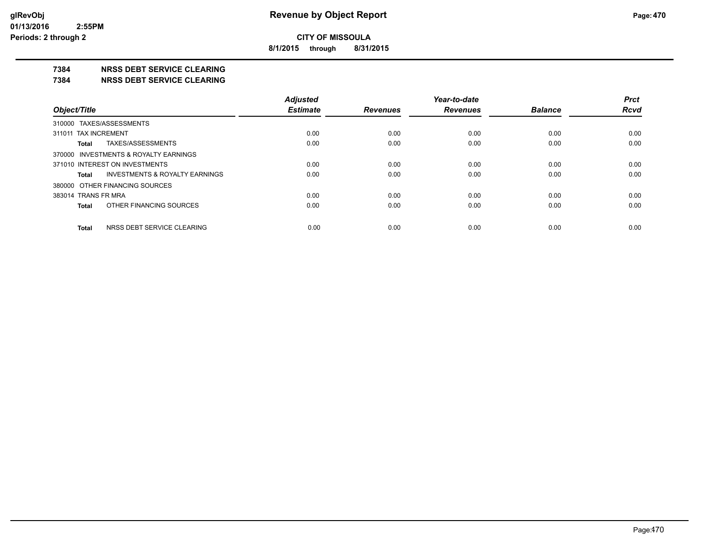**8/1/2015 through 8/31/2015**

### **7384 NRSS DEBT SERVICE CLEARING**

**7384 NRSS DEBT SERVICE CLEARING**

|                                                    | <b>Adjusted</b> |                 | Year-to-date    |                | <b>Prct</b> |
|----------------------------------------------------|-----------------|-----------------|-----------------|----------------|-------------|
| Object/Title                                       | <b>Estimate</b> | <b>Revenues</b> | <b>Revenues</b> | <b>Balance</b> | <b>Rcvd</b> |
| 310000 TAXES/ASSESSMENTS                           |                 |                 |                 |                |             |
| 311011 TAX INCREMENT                               | 0.00            | 0.00            | 0.00            | 0.00           | 0.00        |
| TAXES/ASSESSMENTS<br>Total                         | 0.00            | 0.00            | 0.00            | 0.00           | 0.00        |
| 370000 INVESTMENTS & ROYALTY EARNINGS              |                 |                 |                 |                |             |
| 371010 INTEREST ON INVESTMENTS                     | 0.00            | 0.00            | 0.00            | 0.00           | 0.00        |
| <b>INVESTMENTS &amp; ROYALTY EARNINGS</b><br>Total | 0.00            | 0.00            | 0.00            | 0.00           | 0.00        |
| 380000 OTHER FINANCING SOURCES                     |                 |                 |                 |                |             |
| 383014 TRANS FR MRA                                | 0.00            | 0.00            | 0.00            | 0.00           | 0.00        |
| OTHER FINANCING SOURCES<br>Total                   | 0.00            | 0.00            | 0.00            | 0.00           | 0.00        |
| NRSS DEBT SERVICE CLEARING<br>Total                | 0.00            | 0.00            | 0.00            | 0.00           | 0.00        |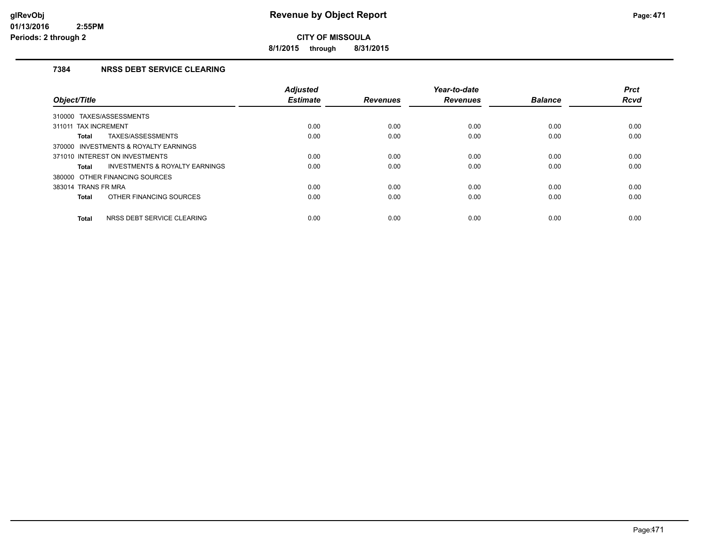**8/1/2015 through 8/31/2015**

## **7384 NRSS DEBT SERVICE CLEARING**

| Object/Title                                       | <b>Adjusted</b><br><b>Estimate</b> | <b>Revenues</b> | Year-to-date<br><b>Revenues</b> | <b>Balance</b> | <b>Prct</b><br><b>Rcvd</b> |
|----------------------------------------------------|------------------------------------|-----------------|---------------------------------|----------------|----------------------------|
| TAXES/ASSESSMENTS<br>310000                        |                                    |                 |                                 |                |                            |
| 311011 TAX INCREMENT                               | 0.00                               | 0.00            | 0.00                            | 0.00           | 0.00                       |
| TAXES/ASSESSMENTS<br>Total                         | 0.00                               | 0.00            | 0.00                            | 0.00           | 0.00                       |
| 370000 INVESTMENTS & ROYALTY EARNINGS              |                                    |                 |                                 |                |                            |
| 371010 INTEREST ON INVESTMENTS                     | 0.00                               | 0.00            | 0.00                            | 0.00           | 0.00                       |
| <b>INVESTMENTS &amp; ROYALTY EARNINGS</b><br>Total | 0.00                               | 0.00            | 0.00                            | 0.00           | 0.00                       |
| 380000 OTHER FINANCING SOURCES                     |                                    |                 |                                 |                |                            |
| 383014 TRANS FR MRA                                | 0.00                               | 0.00            | 0.00                            | 0.00           | 0.00                       |
| OTHER FINANCING SOURCES<br>Total                   | 0.00                               | 0.00            | 0.00                            | 0.00           | 0.00                       |
| NRSS DEBT SERVICE CLEARING<br><b>Total</b>         | 0.00                               | 0.00            | 0.00                            | 0.00           | 0.00                       |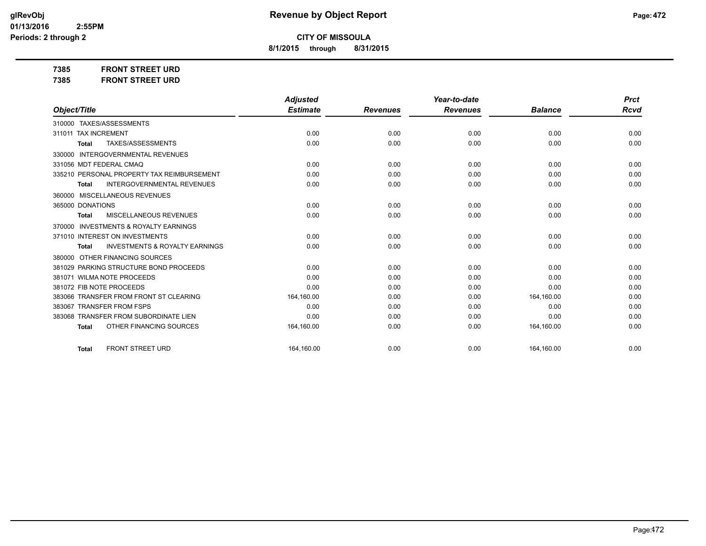**8/1/2015 through 8/31/2015**

**7385 FRONT STREET URD 7385 FRONT STREET URD**

|                                                     | <b>Adjusted</b> |                 | Year-to-date    |                | <b>Prct</b> |
|-----------------------------------------------------|-----------------|-----------------|-----------------|----------------|-------------|
| Object/Title                                        | <b>Estimate</b> | <b>Revenues</b> | <b>Revenues</b> | <b>Balance</b> | Rcvd        |
| 310000 TAXES/ASSESSMENTS                            |                 |                 |                 |                |             |
| 311011 TAX INCREMENT                                | 0.00            | 0.00            | 0.00            | 0.00           | 0.00        |
| TAXES/ASSESSMENTS<br>Total                          | 0.00            | 0.00            | 0.00            | 0.00           | 0.00        |
| <b>INTERGOVERNMENTAL REVENUES</b><br>330000         |                 |                 |                 |                |             |
| 331056 MDT FEDERAL CMAQ                             | 0.00            | 0.00            | 0.00            | 0.00           | 0.00        |
| 335210 PERSONAL PROPERTY TAX REIMBURSEMENT          | 0.00            | 0.00            | 0.00            | 0.00           | 0.00        |
| <b>INTERGOVERNMENTAL REVENUES</b><br>Total          | 0.00            | 0.00            | 0.00            | 0.00           | 0.00        |
| 360000 MISCELLANEOUS REVENUES                       |                 |                 |                 |                |             |
| 365000 DONATIONS                                    | 0.00            | 0.00            | 0.00            | 0.00           | 0.00        |
| <b>MISCELLANEOUS REVENUES</b><br>Total              | 0.00            | 0.00            | 0.00            | 0.00           | 0.00        |
| <b>INVESTMENTS &amp; ROYALTY EARNINGS</b><br>370000 |                 |                 |                 |                |             |
| 371010 INTEREST ON INVESTMENTS                      | 0.00            | 0.00            | 0.00            | 0.00           | 0.00        |
| <b>INVESTMENTS &amp; ROYALTY EARNINGS</b><br>Total  | 0.00            | 0.00            | 0.00            | 0.00           | 0.00        |
| 380000 OTHER FINANCING SOURCES                      |                 |                 |                 |                |             |
| 381029 PARKING STRUCTURE BOND PROCEEDS              | 0.00            | 0.00            | 0.00            | 0.00           | 0.00        |
| 381071 WILMA NOTE PROCEEDS                          | 0.00            | 0.00            | 0.00            | 0.00           | 0.00        |
| 381072 FIB NOTE PROCEEDS                            | 0.00            | 0.00            | 0.00            | 0.00           | 0.00        |
| 383066 TRANSFER FROM FRONT ST CLEARING              | 164,160.00      | 0.00            | 0.00            | 164,160.00     | 0.00        |
| 383067 TRANSFER FROM FSPS                           | 0.00            | 0.00            | 0.00            | 0.00           | 0.00        |
| 383068 TRANSFER FROM SUBORDINATE LIEN               | 0.00            | 0.00            | 0.00            | 0.00           | 0.00        |
| OTHER FINANCING SOURCES<br><b>Total</b>             | 164,160.00      | 0.00            | 0.00            | 164,160.00     | 0.00        |
| <b>FRONT STREET URD</b><br>Total                    | 164,160.00      | 0.00            | 0.00            | 164,160.00     | 0.00        |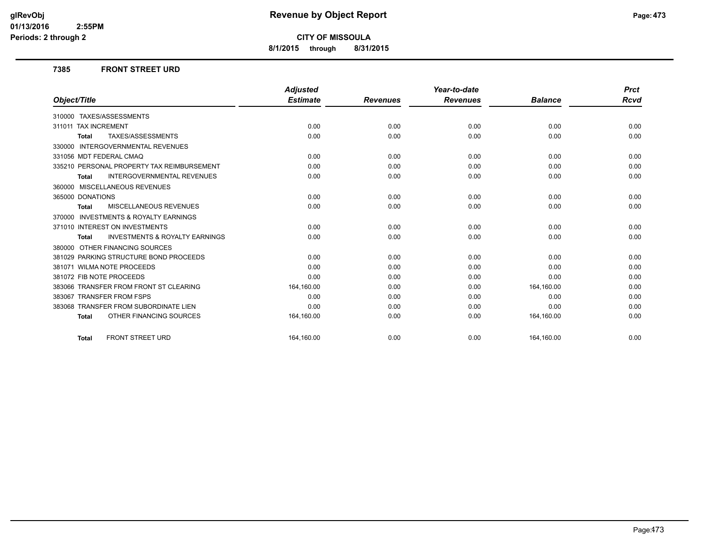**8/1/2015 through 8/31/2015**

#### **7385 FRONT STREET URD**

|                                                           | <b>Adjusted</b> |                 | Year-to-date    |                | <b>Prct</b> |
|-----------------------------------------------------------|-----------------|-----------------|-----------------|----------------|-------------|
| Object/Title                                              | <b>Estimate</b> | <b>Revenues</b> | <b>Revenues</b> | <b>Balance</b> | <b>Rcvd</b> |
| 310000 TAXES/ASSESSMENTS                                  |                 |                 |                 |                |             |
| 311011 TAX INCREMENT                                      | 0.00            | 0.00            | 0.00            | 0.00           | 0.00        |
| TAXES/ASSESSMENTS<br><b>Total</b>                         | 0.00            | 0.00            | 0.00            | 0.00           | 0.00        |
| <b>INTERGOVERNMENTAL REVENUES</b><br>330000               |                 |                 |                 |                |             |
| 331056 MDT FEDERAL CMAQ                                   | 0.00            | 0.00            | 0.00            | 0.00           | 0.00        |
| 335210 PERSONAL PROPERTY TAX REIMBURSEMENT                | 0.00            | 0.00            | 0.00            | 0.00           | 0.00        |
| <b>INTERGOVERNMENTAL REVENUES</b><br><b>Total</b>         | 0.00            | 0.00            | 0.00            | 0.00           | 0.00        |
| 360000 MISCELLANEOUS REVENUES                             |                 |                 |                 |                |             |
| 365000 DONATIONS                                          | 0.00            | 0.00            | 0.00            | 0.00           | 0.00        |
| MISCELLANEOUS REVENUES<br><b>Total</b>                    | 0.00            | 0.00            | 0.00            | 0.00           | 0.00        |
| <b>INVESTMENTS &amp; ROYALTY EARNINGS</b><br>370000       |                 |                 |                 |                |             |
| 371010 INTEREST ON INVESTMENTS                            | 0.00            | 0.00            | 0.00            | 0.00           | 0.00        |
| <b>INVESTMENTS &amp; ROYALTY EARNINGS</b><br><b>Total</b> | 0.00            | 0.00            | 0.00            | 0.00           | 0.00        |
| 380000 OTHER FINANCING SOURCES                            |                 |                 |                 |                |             |
| 381029 PARKING STRUCTURE BOND PROCEEDS                    | 0.00            | 0.00            | 0.00            | 0.00           | 0.00        |
| 381071 WILMA NOTE PROCEEDS                                | 0.00            | 0.00            | 0.00            | 0.00           | 0.00        |
| 381072 FIB NOTE PROCEEDS                                  | 0.00            | 0.00            | 0.00            | 0.00           | 0.00        |
| 383066 TRANSFER FROM FRONT ST CLEARING                    | 164,160.00      | 0.00            | 0.00            | 164,160.00     | 0.00        |
| 383067 TRANSFER FROM FSPS                                 | 0.00            | 0.00            | 0.00            | 0.00           | 0.00        |
| 383068 TRANSFER FROM SUBORDINATE LIEN                     | 0.00            | 0.00            | 0.00            | 0.00           | 0.00        |
| OTHER FINANCING SOURCES<br><b>Total</b>                   | 164,160.00      | 0.00            | 0.00            | 164,160.00     | 0.00        |
| <b>FRONT STREET URD</b><br><b>Total</b>                   | 164.160.00      | 0.00            | 0.00            | 164,160.00     | 0.00        |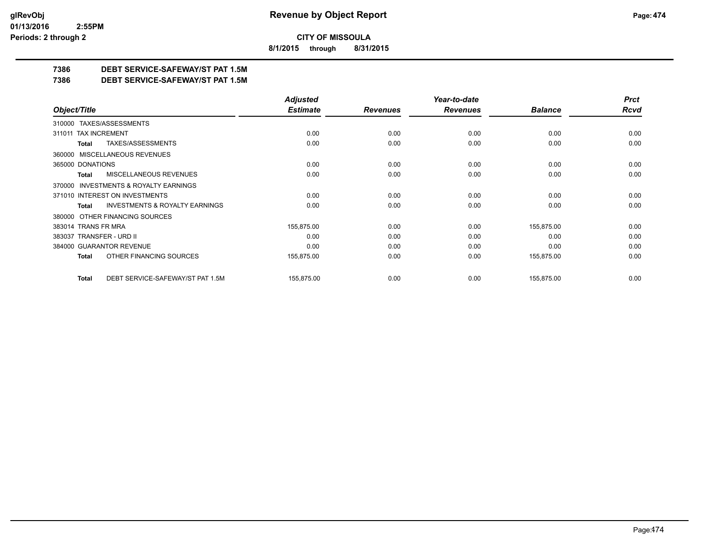**8/1/2015 through 8/31/2015**

## **7386 DEBT SERVICE-SAFEWAY/ST PAT 1.5M**

**7386 DEBT SERVICE-SAFEWAY/ST PAT 1.5M**

|                                                     | <b>Adjusted</b> |                 | Year-to-date    |                | <b>Prct</b> |
|-----------------------------------------------------|-----------------|-----------------|-----------------|----------------|-------------|
| Object/Title                                        | <b>Estimate</b> | <b>Revenues</b> | <b>Revenues</b> | <b>Balance</b> | <b>Rcvd</b> |
| 310000 TAXES/ASSESSMENTS                            |                 |                 |                 |                |             |
| 311011 TAX INCREMENT                                | 0.00            | 0.00            | 0.00            | 0.00           | 0.00        |
| TAXES/ASSESSMENTS<br>Total                          | 0.00            | 0.00            | 0.00            | 0.00           | 0.00        |
| MISCELLANEOUS REVENUES<br>360000                    |                 |                 |                 |                |             |
| 365000 DONATIONS                                    | 0.00            | 0.00            | 0.00            | 0.00           | 0.00        |
| MISCELLANEOUS REVENUES<br>Total                     | 0.00            | 0.00            | 0.00            | 0.00           | 0.00        |
| <b>INVESTMENTS &amp; ROYALTY EARNINGS</b><br>370000 |                 |                 |                 |                |             |
| 371010 INTEREST ON INVESTMENTS                      | 0.00            | 0.00            | 0.00            | 0.00           | 0.00        |
| <b>INVESTMENTS &amp; ROYALTY EARNINGS</b><br>Total  | 0.00            | 0.00            | 0.00            | 0.00           | 0.00        |
| OTHER FINANCING SOURCES<br>380000                   |                 |                 |                 |                |             |
| 383014 TRANS FR MRA                                 | 155,875.00      | 0.00            | 0.00            | 155,875.00     | 0.00        |
| 383037 TRANSFER - URD II                            | 0.00            | 0.00            | 0.00            | 0.00           | 0.00        |
| 384000 GUARANTOR REVENUE                            | 0.00            | 0.00            | 0.00            | 0.00           | 0.00        |
| OTHER FINANCING SOURCES<br><b>Total</b>             | 155,875.00      | 0.00            | 0.00            | 155,875.00     | 0.00        |
| DEBT SERVICE-SAFEWAY/ST PAT 1.5M<br><b>Total</b>    | 155,875.00      | 0.00            | 0.00            | 155,875.00     | 0.00        |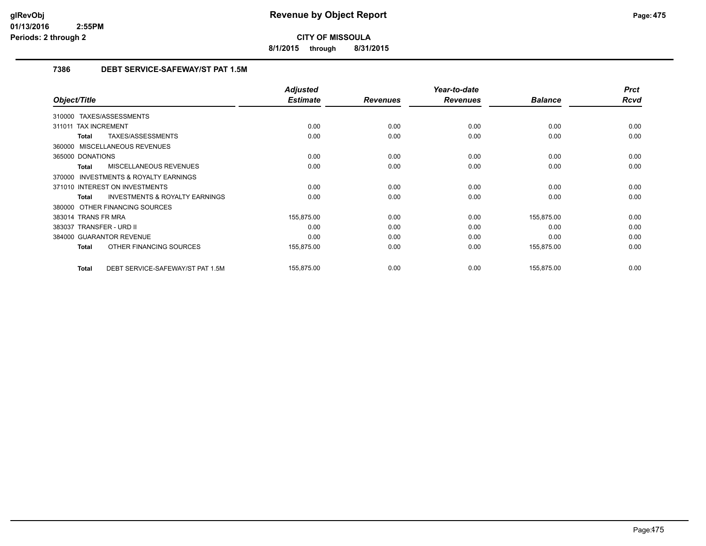**8/1/2015 through 8/31/2015**

## **7386 DEBT SERVICE-SAFEWAY/ST PAT 1.5M**

|                                                           | <b>Adjusted</b> |                 | Year-to-date    |                | <b>Prct</b> |
|-----------------------------------------------------------|-----------------|-----------------|-----------------|----------------|-------------|
| Object/Title                                              | <b>Estimate</b> | <b>Revenues</b> | <b>Revenues</b> | <b>Balance</b> | <b>Rcvd</b> |
| 310000 TAXES/ASSESSMENTS                                  |                 |                 |                 |                |             |
| 311011 TAX INCREMENT                                      | 0.00            | 0.00            | 0.00            | 0.00           | 0.00        |
| TAXES/ASSESSMENTS<br>Total                                | 0.00            | 0.00            | 0.00            | 0.00           | 0.00        |
| 360000 MISCELLANEOUS REVENUES                             |                 |                 |                 |                |             |
| 365000 DONATIONS                                          | 0.00            | 0.00            | 0.00            | 0.00           | 0.00        |
| MISCELLANEOUS REVENUES<br>Total                           | 0.00            | 0.00            | 0.00            | 0.00           | 0.00        |
| <b>INVESTMENTS &amp; ROYALTY EARNINGS</b><br>370000       |                 |                 |                 |                |             |
| 371010 INTEREST ON INVESTMENTS                            | 0.00            | 0.00            | 0.00            | 0.00           | 0.00        |
| <b>INVESTMENTS &amp; ROYALTY EARNINGS</b><br><b>Total</b> | 0.00            | 0.00            | 0.00            | 0.00           | 0.00        |
| 380000 OTHER FINANCING SOURCES                            |                 |                 |                 |                |             |
| 383014 TRANS FR MRA                                       | 155,875.00      | 0.00            | 0.00            | 155,875.00     | 0.00        |
| 383037 TRANSFER - URD II                                  | 0.00            | 0.00            | 0.00            | 0.00           | 0.00        |
| 384000 GUARANTOR REVENUE                                  | 0.00            | 0.00            | 0.00            | 0.00           | 0.00        |
| OTHER FINANCING SOURCES<br>Total                          | 155,875.00      | 0.00            | 0.00            | 155,875.00     | 0.00        |
| DEBT SERVICE-SAFEWAY/ST PAT 1.5M<br>Total                 | 155,875.00      | 0.00            | 0.00            | 155,875.00     | 0.00        |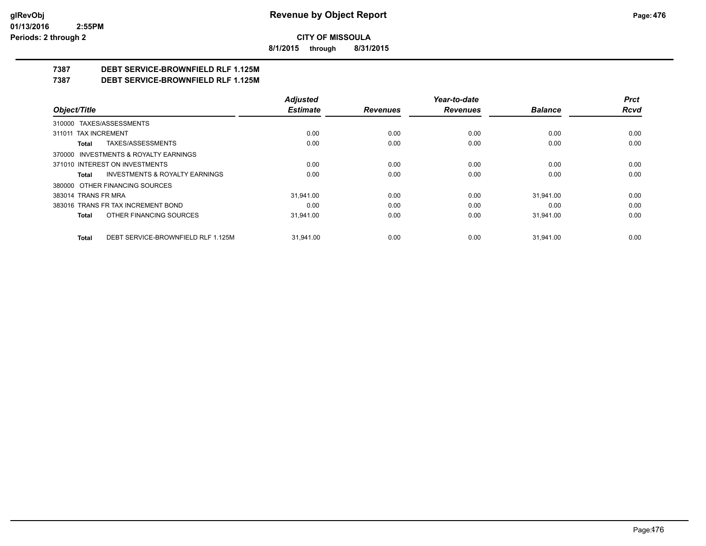**8/1/2015 through 8/31/2015**

## **7387 DEBT SERVICE-BROWNFIELD RLF 1.125M**

**7387 DEBT SERVICE-BROWNFIELD RLF 1.125M**

|                                                    | <b>Adjusted</b> |                 | Year-to-date    |                | <b>Prct</b> |
|----------------------------------------------------|-----------------|-----------------|-----------------|----------------|-------------|
| Object/Title                                       | <b>Estimate</b> | <b>Revenues</b> | <b>Revenues</b> | <b>Balance</b> | Rcvd        |
| 310000 TAXES/ASSESSMENTS                           |                 |                 |                 |                |             |
| 311011 TAX INCREMENT                               | 0.00            | 0.00            | 0.00            | 0.00           | 0.00        |
| TAXES/ASSESSMENTS<br>Total                         | 0.00            | 0.00            | 0.00            | 0.00           | 0.00        |
| 370000 INVESTMENTS & ROYALTY EARNINGS              |                 |                 |                 |                |             |
| 371010 INTEREST ON INVESTMENTS                     | 0.00            | 0.00            | 0.00            | 0.00           | 0.00        |
| <b>INVESTMENTS &amp; ROYALTY EARNINGS</b><br>Total | 0.00            | 0.00            | 0.00            | 0.00           | 0.00        |
| 380000 OTHER FINANCING SOURCES                     |                 |                 |                 |                |             |
| 383014 TRANS FR MRA                                | 31.941.00       | 0.00            | 0.00            | 31.941.00      | 0.00        |
| 383016 TRANS FR TAX INCREMENT BOND                 | 0.00            | 0.00            | 0.00            | 0.00           | 0.00        |
| OTHER FINANCING SOURCES<br>Total                   | 31.941.00       | 0.00            | 0.00            | 31.941.00      | 0.00        |
| DEBT SERVICE-BROWNFIELD RLF 1.125M<br><b>Total</b> | 31.941.00       | 0.00            | 0.00            | 31.941.00      | 0.00        |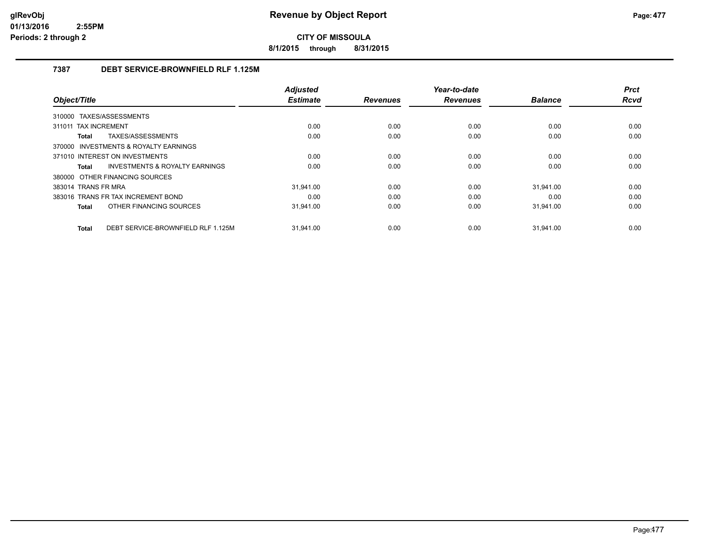**8/1/2015 through 8/31/2015**

### **7387 DEBT SERVICE-BROWNFIELD RLF 1.125M**

|                                                    | <b>Adjusted</b> |                 | Year-to-date    |                | <b>Prct</b> |
|----------------------------------------------------|-----------------|-----------------|-----------------|----------------|-------------|
| Object/Title                                       | <b>Estimate</b> | <b>Revenues</b> | <b>Revenues</b> | <b>Balance</b> | <b>Rcvd</b> |
| 310000 TAXES/ASSESSMENTS                           |                 |                 |                 |                |             |
| 311011 TAX INCREMENT                               | 0.00            | 0.00            | 0.00            | 0.00           | 0.00        |
| TAXES/ASSESSMENTS<br>Total                         | 0.00            | 0.00            | 0.00            | 0.00           | 0.00        |
| 370000 INVESTMENTS & ROYALTY EARNINGS              |                 |                 |                 |                |             |
| 371010 INTEREST ON INVESTMENTS                     | 0.00            | 0.00            | 0.00            | 0.00           | 0.00        |
| <b>INVESTMENTS &amp; ROYALTY EARNINGS</b><br>Total | 0.00            | 0.00            | 0.00            | 0.00           | 0.00        |
| 380000 OTHER FINANCING SOURCES                     |                 |                 |                 |                |             |
| 383014 TRANS FR MRA                                | 31.941.00       | 0.00            | 0.00            | 31.941.00      | 0.00        |
| 383016 TRANS FR TAX INCREMENT BOND                 | 0.00            | 0.00            | 0.00            | 0.00           | 0.00        |
| OTHER FINANCING SOURCES<br>Total                   | 31,941.00       | 0.00            | 0.00            | 31,941.00      | 0.00        |
|                                                    |                 |                 |                 |                |             |
| DEBT SERVICE-BROWNFIELD RLF 1.125M<br><b>Total</b> | 31.941.00       | 0.00            | 0.00            | 31.941.00      | 0.00        |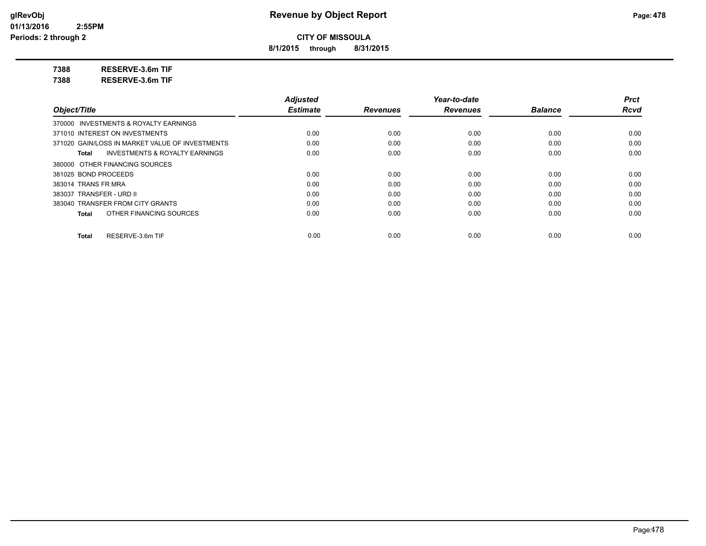**8/1/2015 through 8/31/2015**

**7388 RESERVE-3.6m TIF**

**7388 RESERVE-3.6m TIF**

|                                                 | <b>Adjusted</b> |                 | Year-to-date    |                | <b>Prct</b> |
|-------------------------------------------------|-----------------|-----------------|-----------------|----------------|-------------|
| Object/Title                                    | <b>Estimate</b> | <b>Revenues</b> | <b>Revenues</b> | <b>Balance</b> | <b>Rcvd</b> |
| 370000 INVESTMENTS & ROYALTY EARNINGS           |                 |                 |                 |                |             |
| 371010 INTEREST ON INVESTMENTS                  | 0.00            | 0.00            | 0.00            | 0.00           | 0.00        |
| 371020 GAIN/LOSS IN MARKET VALUE OF INVESTMENTS | 0.00            | 0.00            | 0.00            | 0.00           | 0.00        |
| INVESTMENTS & ROYALTY EARNINGS<br>Total         | 0.00            | 0.00            | 0.00            | 0.00           | 0.00        |
| 380000 OTHER FINANCING SOURCES                  |                 |                 |                 |                |             |
| 381025 BOND PROCEEDS                            | 0.00            | 0.00            | 0.00            | 0.00           | 0.00        |
| 383014 TRANS FR MRA                             | 0.00            | 0.00            | 0.00            | 0.00           | 0.00        |
| 383037 TRANSFER - URD II                        | 0.00            | 0.00            | 0.00            | 0.00           | 0.00        |
| 383040 TRANSFER FROM CITY GRANTS                | 0.00            | 0.00            | 0.00            | 0.00           | 0.00        |
| OTHER FINANCING SOURCES<br>Total                | 0.00            | 0.00            | 0.00            | 0.00           | 0.00        |
| RESERVE-3.6m TIF<br>Total                       | 0.00            | 0.00            | 0.00            | 0.00           | 0.00        |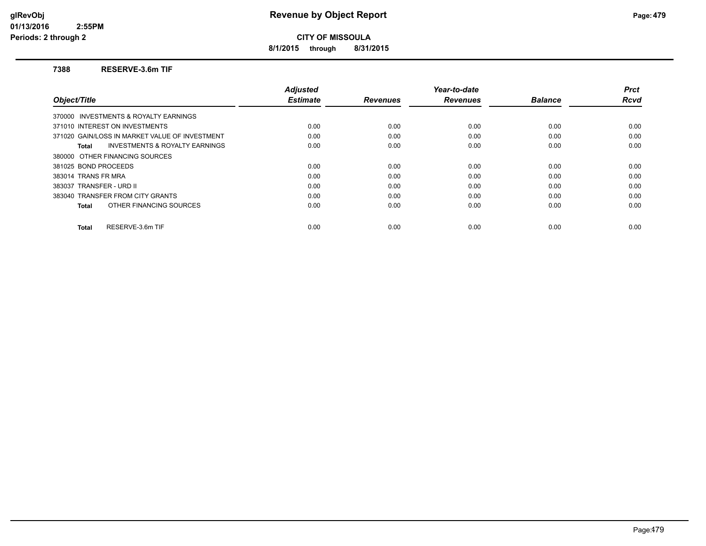**8/1/2015 through 8/31/2015**

#### **7388 RESERVE-3.6m TIF**

|                                                    | <b>Adjusted</b> |                 | Year-to-date    |                | <b>Prct</b> |
|----------------------------------------------------|-----------------|-----------------|-----------------|----------------|-------------|
| Object/Title                                       | <b>Estimate</b> | <b>Revenues</b> | <b>Revenues</b> | <b>Balance</b> | Rcvd        |
| 370000 INVESTMENTS & ROYALTY EARNINGS              |                 |                 |                 |                |             |
| 371010 INTEREST ON INVESTMENTS                     | 0.00            | 0.00            | 0.00            | 0.00           | 0.00        |
| 371020 GAIN/LOSS IN MARKET VALUE OF INVESTMENT     | 0.00            | 0.00            | 0.00            | 0.00           | 0.00        |
| <b>INVESTMENTS &amp; ROYALTY EARNINGS</b><br>Total | 0.00            | 0.00            | 0.00            | 0.00           | 0.00        |
| 380000 OTHER FINANCING SOURCES                     |                 |                 |                 |                |             |
| 381025 BOND PROCEEDS                               | 0.00            | 0.00            | 0.00            | 0.00           | 0.00        |
| 383014 TRANS FR MRA                                | 0.00            | 0.00            | 0.00            | 0.00           | 0.00        |
| 383037 TRANSFER - URD II                           | 0.00            | 0.00            | 0.00            | 0.00           | 0.00        |
| 383040 TRANSFER FROM CITY GRANTS                   | 0.00            | 0.00            | 0.00            | 0.00           | 0.00        |
| OTHER FINANCING SOURCES<br>Total                   | 0.00            | 0.00            | 0.00            | 0.00           | 0.00        |
| RESERVE-3.6m TIF<br><b>Total</b>                   | 0.00            | 0.00            | 0.00            | 0.00           | 0.00        |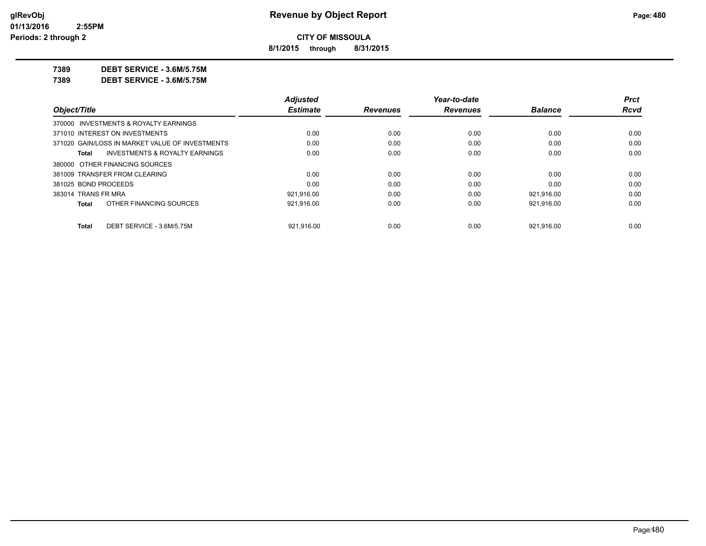**8/1/2015 through 8/31/2015**

**7389 DEBT SERVICE - 3.6M/5.75M**

**7389 DEBT SERVICE - 3.6M/5.75M**

|                                                 | <b>Adjusted</b> |                 | Year-to-date    |                | <b>Prct</b> |
|-------------------------------------------------|-----------------|-----------------|-----------------|----------------|-------------|
| Object/Title                                    | <b>Estimate</b> | <b>Revenues</b> | <b>Revenues</b> | <b>Balance</b> | Rcvd        |
| 370000 INVESTMENTS & ROYALTY EARNINGS           |                 |                 |                 |                |             |
| 371010 INTEREST ON INVESTMENTS                  | 0.00            | 0.00            | 0.00            | 0.00           | 0.00        |
| 371020 GAIN/LOSS IN MARKET VALUE OF INVESTMENTS | 0.00            | 0.00            | 0.00            | 0.00           | 0.00        |
| INVESTMENTS & ROYALTY EARNINGS<br>Total         | 0.00            | 0.00            | 0.00            | 0.00           | 0.00        |
| 380000 OTHER FINANCING SOURCES                  |                 |                 |                 |                |             |
| 381009 TRANSFER FROM CLEARING                   | 0.00            | 0.00            | 0.00            | 0.00           | 0.00        |
| 381025 BOND PROCEEDS                            | 0.00            | 0.00            | 0.00            | 0.00           | 0.00        |
| 383014 TRANS FR MRA                             | 921.916.00      | 0.00            | 0.00            | 921.916.00     | 0.00        |
| OTHER FINANCING SOURCES<br>Total                | 921,916.00      | 0.00            | 0.00            | 921.916.00     | 0.00        |
| DEBT SERVICE - 3.6M/5.75M<br>Total              | 921.916.00      | 0.00            | 0.00            | 921.916.00     | 0.00        |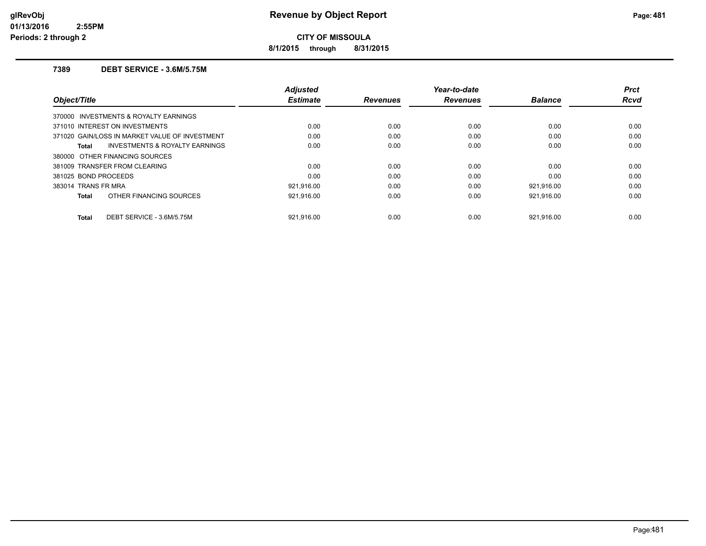**8/1/2015 through 8/31/2015**

### **7389 DEBT SERVICE - 3.6M/5.75M**

| Object/Title         |                                                | Adjusted<br><b>Estimate</b> | <b>Revenues</b> | Year-to-date<br><b>Revenues</b> | <b>Balance</b> | <b>Prct</b><br>Rcvd |
|----------------------|------------------------------------------------|-----------------------------|-----------------|---------------------------------|----------------|---------------------|
|                      | 370000 INVESTMENTS & ROYALTY EARNINGS          |                             |                 |                                 |                |                     |
|                      | 371010 INTEREST ON INVESTMENTS                 | 0.00                        | 0.00            | 0.00                            | 0.00           | 0.00                |
|                      | 371020 GAIN/LOSS IN MARKET VALUE OF INVESTMENT | 0.00                        | 0.00            | 0.00                            | 0.00           | 0.00                |
| Total                | <b>INVESTMENTS &amp; ROYALTY EARNINGS</b>      | 0.00                        | 0.00            | 0.00                            | 0.00           | 0.00                |
|                      | 380000 OTHER FINANCING SOURCES                 |                             |                 |                                 |                |                     |
|                      | 381009 TRANSFER FROM CLEARING                  | 0.00                        | 0.00            | 0.00                            | 0.00           | 0.00                |
| 381025 BOND PROCEEDS |                                                | 0.00                        | 0.00            | 0.00                            | 0.00           | 0.00                |
| 383014 TRANS FR MRA  |                                                | 921,916.00                  | 0.00            | 0.00                            | 921.916.00     | 0.00                |
| Total                | OTHER FINANCING SOURCES                        | 921,916.00                  | 0.00            | 0.00                            | 921,916.00     | 0.00                |
| Total                | DEBT SERVICE - 3.6M/5.75M                      | 921.916.00                  | 0.00            | 0.00                            | 921.916.00     | 0.00                |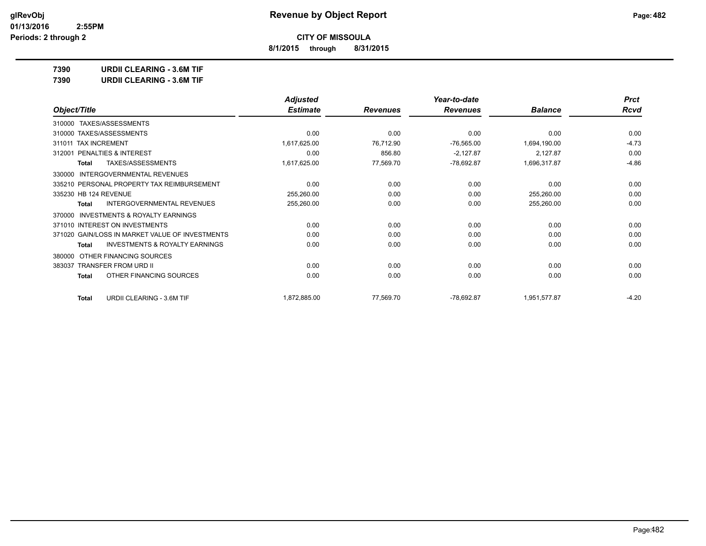**8/1/2015 through 8/31/2015**

**7390 URDII CLEARING - 3.6M TIF**

| 7390 | <b>URDII CLEARING - 3.6M TIF</b> |
|------|----------------------------------|
|      |                                  |

|                                                     | <b>Adjusted</b> |                 | Year-to-date    |                | <b>Prct</b> |
|-----------------------------------------------------|-----------------|-----------------|-----------------|----------------|-------------|
| Object/Title                                        | <b>Estimate</b> | <b>Revenues</b> | <b>Revenues</b> | <b>Balance</b> | Rcvd        |
| 310000 TAXES/ASSESSMENTS                            |                 |                 |                 |                |             |
| 310000 TAXES/ASSESSMENTS                            | 0.00            | 0.00            | 0.00            | 0.00           | 0.00        |
| <b>TAX INCREMENT</b><br>311011                      | 1,617,625.00    | 76,712.90       | $-76,565.00$    | 1,694,190.00   | $-4.73$     |
| PENALTIES & INTEREST<br>312001                      | 0.00            | 856.80          | $-2,127.87$     | 2,127.87       | 0.00        |
| TAXES/ASSESSMENTS<br>Total                          | 1,617,625.00    | 77,569.70       | $-78,692.87$    | 1,696,317.87   | $-4.86$     |
| <b>INTERGOVERNMENTAL REVENUES</b><br>330000         |                 |                 |                 |                |             |
| 335210 PERSONAL PROPERTY TAX REIMBURSEMENT          | 0.00            | 0.00            | 0.00            | 0.00           | 0.00        |
| 335230 HB 124 REVENUE                               | 255,260.00      | 0.00            | 0.00            | 255,260.00     | 0.00        |
| INTERGOVERNMENTAL REVENUES<br>Total                 | 255,260.00      | 0.00            | 0.00            | 255,260.00     | 0.00        |
| <b>INVESTMENTS &amp; ROYALTY EARNINGS</b><br>370000 |                 |                 |                 |                |             |
| 371010 INTEREST ON INVESTMENTS                      | 0.00            | 0.00            | 0.00            | 0.00           | 0.00        |
| 371020 GAIN/LOSS IN MARKET VALUE OF INVESTMENTS     | 0.00            | 0.00            | 0.00            | 0.00           | 0.00        |
| <b>INVESTMENTS &amp; ROYALTY EARNINGS</b><br>Total  | 0.00            | 0.00            | 0.00            | 0.00           | 0.00        |
| OTHER FINANCING SOURCES<br>380000                   |                 |                 |                 |                |             |
| <b>TRANSFER FROM URD II</b><br>383037               | 0.00            | 0.00            | 0.00            | 0.00           | 0.00        |
| OTHER FINANCING SOURCES<br>Total                    | 0.00            | 0.00            | 0.00            | 0.00           | 0.00        |
| URDII CLEARING - 3.6M TIF<br>Total                  | 1,872,885.00    | 77,569.70       | $-78,692.87$    | 1,951,577.87   | $-4.20$     |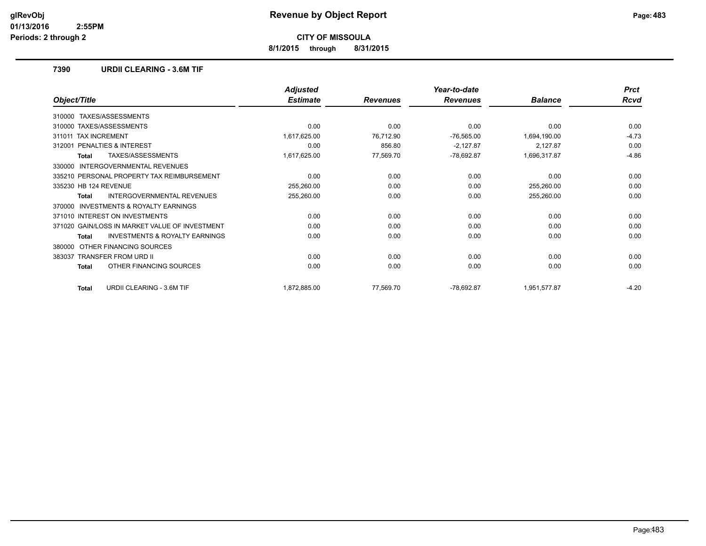**8/1/2015 through 8/31/2015**

### **7390 URDII CLEARING - 3.6M TIF**

|                                                    | <b>Adjusted</b> |                 | Year-to-date    |                | <b>Prct</b> |
|----------------------------------------------------|-----------------|-----------------|-----------------|----------------|-------------|
| Object/Title                                       | <b>Estimate</b> | <b>Revenues</b> | <b>Revenues</b> | <b>Balance</b> | <b>Rcvd</b> |
| TAXES/ASSESSMENTS<br>310000                        |                 |                 |                 |                |             |
| 310000 TAXES/ASSESSMENTS                           | 0.00            | 0.00            | 0.00            | 0.00           | 0.00        |
| <b>TAX INCREMENT</b><br>311011                     | 1,617,625.00    | 76,712.90       | $-76,565.00$    | 1,694,190.00   | $-4.73$     |
| <b>PENALTIES &amp; INTEREST</b><br>312001          | 0.00            | 856.80          | $-2,127.87$     | 2,127.87       | 0.00        |
| <b>TAXES/ASSESSMENTS</b><br>Total                  | 1,617,625.00    | 77,569.70       | $-78,692.87$    | 1,696,317.87   | $-4.86$     |
| INTERGOVERNMENTAL REVENUES<br>330000               |                 |                 |                 |                |             |
| 335210 PERSONAL PROPERTY TAX REIMBURSEMENT         | 0.00            | 0.00            | 0.00            | 0.00           | 0.00        |
| 335230 HB 124 REVENUE                              | 255,260.00      | 0.00            | 0.00            | 255,260.00     | 0.00        |
| <b>INTERGOVERNMENTAL REVENUES</b><br>Total         | 255,260.00      | 0.00            | 0.00            | 255,260.00     | 0.00        |
| INVESTMENTS & ROYALTY EARNINGS<br>370000           |                 |                 |                 |                |             |
| 371010 INTEREST ON INVESTMENTS                     | 0.00            | 0.00            | 0.00            | 0.00           | 0.00        |
| 371020 GAIN/LOSS IN MARKET VALUE OF INVESTMENT     | 0.00            | 0.00            | 0.00            | 0.00           | 0.00        |
| <b>INVESTMENTS &amp; ROYALTY EARNINGS</b><br>Total | 0.00            | 0.00            | 0.00            | 0.00           | 0.00        |
| OTHER FINANCING SOURCES<br>380000                  |                 |                 |                 |                |             |
| <b>TRANSFER FROM URD II</b><br>383037              | 0.00            | 0.00            | 0.00            | 0.00           | 0.00        |
| OTHER FINANCING SOURCES<br><b>Total</b>            | 0.00            | 0.00            | 0.00            | 0.00           | 0.00        |
| <b>URDII CLEARING - 3.6M TIF</b><br><b>Total</b>   | 1,872,885.00    | 77,569.70       | $-78,692.87$    | 1,951,577.87   | $-4.20$     |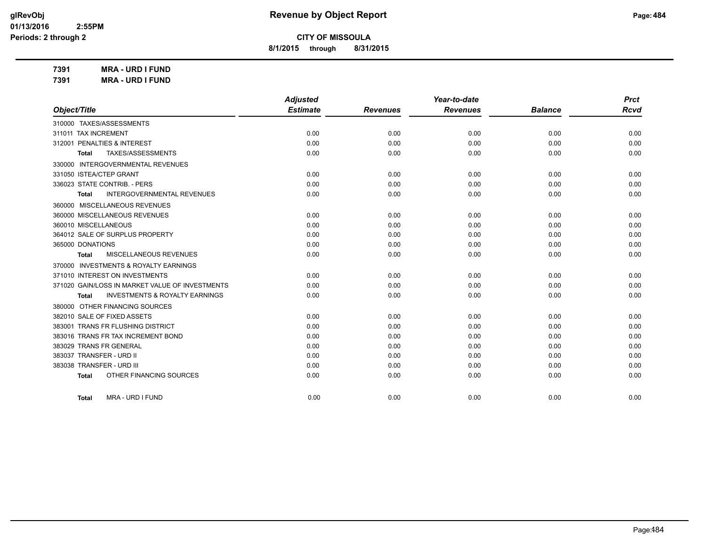**8/1/2015 through 8/31/2015**

**7391 MRA - URD I FUND 7391 MRA - URD I FUND**

|                                                    | <b>Adjusted</b> |                 | Year-to-date    |                | <b>Prct</b> |
|----------------------------------------------------|-----------------|-----------------|-----------------|----------------|-------------|
| Object/Title                                       | <b>Estimate</b> | <b>Revenues</b> | <b>Revenues</b> | <b>Balance</b> | <b>Rcvd</b> |
| 310000 TAXES/ASSESSMENTS                           |                 |                 |                 |                |             |
| 311011 TAX INCREMENT                               | 0.00            | 0.00            | 0.00            | 0.00           | 0.00        |
| 312001 PENALTIES & INTEREST                        | 0.00            | 0.00            | 0.00            | 0.00           | 0.00        |
| TAXES/ASSESSMENTS<br>Total                         | 0.00            | 0.00            | 0.00            | 0.00           | 0.00        |
| 330000 INTERGOVERNMENTAL REVENUES                  |                 |                 |                 |                |             |
| 331050 ISTEA/CTEP GRANT                            | 0.00            | 0.00            | 0.00            | 0.00           | 0.00        |
| 336023 STATE CONTRIB. - PERS                       | 0.00            | 0.00            | 0.00            | 0.00           | 0.00        |
| <b>INTERGOVERNMENTAL REVENUES</b><br><b>Total</b>  | 0.00            | 0.00            | 0.00            | 0.00           | 0.00        |
| 360000 MISCELLANEOUS REVENUES                      |                 |                 |                 |                |             |
| 360000 MISCELLANEOUS REVENUES                      | 0.00            | 0.00            | 0.00            | 0.00           | 0.00        |
| 360010 MISCELLANEOUS                               | 0.00            | 0.00            | 0.00            | 0.00           | 0.00        |
| 364012 SALE OF SURPLUS PROPERTY                    | 0.00            | 0.00            | 0.00            | 0.00           | 0.00        |
| 365000 DONATIONS                                   | 0.00            | 0.00            | 0.00            | 0.00           | 0.00        |
| MISCELLANEOUS REVENUES<br>Total                    | 0.00            | 0.00            | 0.00            | 0.00           | 0.00        |
| 370000 INVESTMENTS & ROYALTY EARNINGS              |                 |                 |                 |                |             |
| 371010 INTEREST ON INVESTMENTS                     | 0.00            | 0.00            | 0.00            | 0.00           | 0.00        |
| 371020 GAIN/LOSS IN MARKET VALUE OF INVESTMENTS    | 0.00            | 0.00            | 0.00            | 0.00           | 0.00        |
| <b>INVESTMENTS &amp; ROYALTY EARNINGS</b><br>Total | 0.00            | 0.00            | 0.00            | 0.00           | 0.00        |
| 380000 OTHER FINANCING SOURCES                     |                 |                 |                 |                |             |
| 382010 SALE OF FIXED ASSETS                        | 0.00            | 0.00            | 0.00            | 0.00           | 0.00        |
| 383001 TRANS FR FLUSHING DISTRICT                  | 0.00            | 0.00            | 0.00            | 0.00           | 0.00        |
| 383016 TRANS FR TAX INCREMENT BOND                 | 0.00            | 0.00            | 0.00            | 0.00           | 0.00        |
| 383029 TRANS FR GENERAL                            | 0.00            | 0.00            | 0.00            | 0.00           | 0.00        |
| 383037 TRANSFER - URD II                           | 0.00            | 0.00            | 0.00            | 0.00           | 0.00        |
| 383038 TRANSFER - URD III                          | 0.00            | 0.00            | 0.00            | 0.00           | 0.00        |
| OTHER FINANCING SOURCES<br><b>Total</b>            | 0.00            | 0.00            | 0.00            | 0.00           | 0.00        |
|                                                    |                 |                 |                 |                |             |
| MRA - URD I FUND<br>Total                          | 0.00            | 0.00            | 0.00            | 0.00           | 0.00        |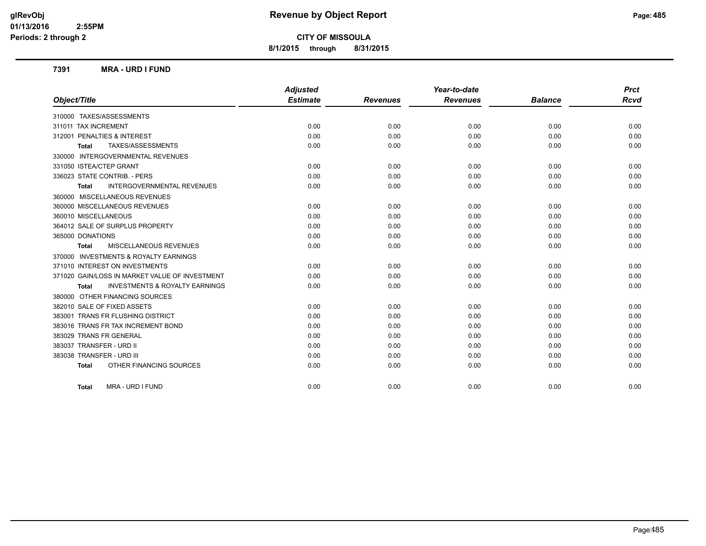## **glRevObj Revenue by Object Report Page:485**

## **CITY OF MISSOULA**

**8/1/2015 through 8/31/2015**

#### **7391 MRA - URD I FUND**

|                                                    | <b>Adjusted</b> |                 | Year-to-date    |                | <b>Prct</b> |
|----------------------------------------------------|-----------------|-----------------|-----------------|----------------|-------------|
| Object/Title                                       | <b>Estimate</b> | <b>Revenues</b> | <b>Revenues</b> | <b>Balance</b> | <b>Rcvd</b> |
| 310000 TAXES/ASSESSMENTS                           |                 |                 |                 |                |             |
| 311011 TAX INCREMENT                               | 0.00            | 0.00            | 0.00            | 0.00           | 0.00        |
| 312001 PENALTIES & INTEREST                        | 0.00            | 0.00            | 0.00            | 0.00           | 0.00        |
| TAXES/ASSESSMENTS<br><b>Total</b>                  | 0.00            | 0.00            | 0.00            | 0.00           | 0.00        |
| 330000 INTERGOVERNMENTAL REVENUES                  |                 |                 |                 |                |             |
| 331050 ISTEA/CTEP GRANT                            | 0.00            | 0.00            | 0.00            | 0.00           | 0.00        |
| 336023 STATE CONTRIB. - PERS                       | 0.00            | 0.00            | 0.00            | 0.00           | 0.00        |
| <b>INTERGOVERNMENTAL REVENUES</b><br>Total         | 0.00            | 0.00            | 0.00            | 0.00           | 0.00        |
| 360000 MISCELLANEOUS REVENUES                      |                 |                 |                 |                |             |
| 360000 MISCELLANEOUS REVENUES                      | 0.00            | 0.00            | 0.00            | 0.00           | 0.00        |
| 360010 MISCELLANEOUS                               | 0.00            | 0.00            | 0.00            | 0.00           | 0.00        |
| 364012 SALE OF SURPLUS PROPERTY                    | 0.00            | 0.00            | 0.00            | 0.00           | 0.00        |
| 365000 DONATIONS                                   | 0.00            | 0.00            | 0.00            | 0.00           | 0.00        |
| <b>MISCELLANEOUS REVENUES</b><br><b>Total</b>      | 0.00            | 0.00            | 0.00            | 0.00           | 0.00        |
| 370000 INVESTMENTS & ROYALTY EARNINGS              |                 |                 |                 |                |             |
| 371010 INTEREST ON INVESTMENTS                     | 0.00            | 0.00            | 0.00            | 0.00           | 0.00        |
| 371020 GAIN/LOSS IN MARKET VALUE OF INVESTMENT     | 0.00            | 0.00            | 0.00            | 0.00           | 0.00        |
| <b>INVESTMENTS &amp; ROYALTY EARNINGS</b><br>Total | 0.00            | 0.00            | 0.00            | 0.00           | 0.00        |
| 380000 OTHER FINANCING SOURCES                     |                 |                 |                 |                |             |
| 382010 SALE OF FIXED ASSETS                        | 0.00            | 0.00            | 0.00            | 0.00           | 0.00        |
| 383001 TRANS FR FLUSHING DISTRICT                  | 0.00            | 0.00            | 0.00            | 0.00           | 0.00        |
| 383016 TRANS FR TAX INCREMENT BOND                 | 0.00            | 0.00            | 0.00            | 0.00           | 0.00        |
| 383029 TRANS FR GENERAL                            | 0.00            | 0.00            | 0.00            | 0.00           | 0.00        |
| 383037 TRANSFER - URD II                           | 0.00            | 0.00            | 0.00            | 0.00           | 0.00        |
| 383038 TRANSFER - URD III                          | 0.00            | 0.00            | 0.00            | 0.00           | 0.00        |
| OTHER FINANCING SOURCES<br><b>Total</b>            | 0.00            | 0.00            | 0.00            | 0.00           | 0.00        |
| MRA - URD I FUND<br><b>Total</b>                   | 0.00            | 0.00            | 0.00            | 0.00           | 0.00        |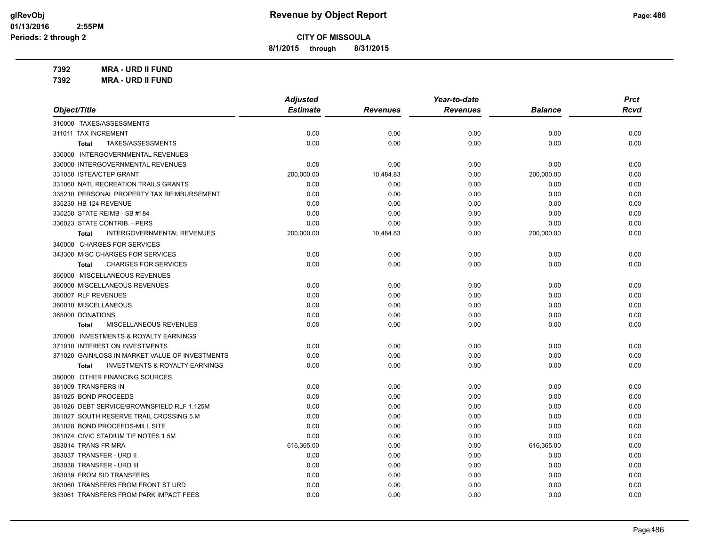**8/1/2015 through 8/31/2015**

**7392 MRA - URD II FUND 7392 MRA - URD II FUND**

| Object/Title                                       | <b>Adjusted</b><br><b>Estimate</b> | <b>Revenues</b> | Year-to-date<br><b>Revenues</b> | <b>Balance</b> | <b>Prct</b><br>Rcvd |
|----------------------------------------------------|------------------------------------|-----------------|---------------------------------|----------------|---------------------|
|                                                    |                                    |                 |                                 |                |                     |
| 310000 TAXES/ASSESSMENTS                           |                                    |                 |                                 |                |                     |
| 311011 TAX INCREMENT                               | 0.00                               | 0.00            | 0.00                            | 0.00           | 0.00                |
| TAXES/ASSESSMENTS<br><b>Total</b>                  | 0.00                               | 0.00            | 0.00                            | 0.00           | 0.00                |
| 330000 INTERGOVERNMENTAL REVENUES                  |                                    |                 |                                 |                |                     |
| 330000 INTERGOVERNMENTAL REVENUES                  | 0.00                               | 0.00            | 0.00                            | 0.00           | 0.00                |
| 331050 ISTEA/CTEP GRANT                            | 200,000.00                         | 10,484.83       | 0.00                            | 200,000.00     | 0.00                |
| 331060 NATL RECREATION TRAILS GRANTS               | 0.00                               | 0.00            | 0.00                            | 0.00           | 0.00                |
| 335210 PERSONAL PROPERTY TAX REIMBURSEMENT         | 0.00                               | 0.00            | 0.00                            | 0.00           | 0.00                |
| 335230 HB 124 REVENUE                              | 0.00                               | 0.00            | 0.00                            | 0.00           | 0.00                |
| 335250 STATE REIMB - SB #184                       | 0.00                               | 0.00            | 0.00                            | 0.00           | 0.00                |
| 336023 STATE CONTRIB. - PERS                       | 0.00                               | 0.00            | 0.00                            | 0.00           | 0.00                |
| INTERGOVERNMENTAL REVENUES<br>Total                | 200,000.00                         | 10,484.83       | 0.00                            | 200,000.00     | 0.00                |
| 340000 CHARGES FOR SERVICES                        |                                    |                 |                                 |                |                     |
| 343300 MISC CHARGES FOR SERVICES                   | 0.00                               | 0.00            | 0.00                            | 0.00           | 0.00                |
| <b>CHARGES FOR SERVICES</b><br><b>Total</b>        | 0.00                               | 0.00            | 0.00                            | 0.00           | 0.00                |
| 360000 MISCELLANEOUS REVENUES                      |                                    |                 |                                 |                |                     |
| 360000 MISCELLANEOUS REVENUES                      | 0.00                               | 0.00            | 0.00                            | 0.00           | 0.00                |
| 360007 RLF REVENUES                                | 0.00                               | 0.00            | 0.00                            | 0.00           | 0.00                |
| 360010 MISCELLANEOUS                               | 0.00                               | 0.00            | 0.00                            | 0.00           | 0.00                |
| 365000 DONATIONS                                   | 0.00                               | 0.00            | 0.00                            | 0.00           | 0.00                |
| MISCELLANEOUS REVENUES<br><b>Total</b>             | 0.00                               | 0.00            | 0.00                            | 0.00           | 0.00                |
| 370000 INVESTMENTS & ROYALTY EARNINGS              |                                    |                 |                                 |                |                     |
| 371010 INTEREST ON INVESTMENTS                     | 0.00                               | 0.00            | 0.00                            | 0.00           | 0.00                |
| 371020 GAIN/LOSS IN MARKET VALUE OF INVESTMENTS    | 0.00                               | 0.00            | 0.00                            | 0.00           | 0.00                |
| <b>INVESTMENTS &amp; ROYALTY EARNINGS</b><br>Total | 0.00                               | 0.00            | 0.00                            | 0.00           | 0.00                |
| 380000 OTHER FINANCING SOURCES                     |                                    |                 |                                 |                |                     |
| 381009 TRANSFERS IN                                | 0.00                               | 0.00            | 0.00                            | 0.00           | 0.00                |
| 381025 BOND PROCEEDS                               | 0.00                               | 0.00            | 0.00                            | 0.00           | 0.00                |
| 381026 DEBT SERVICE/BROWNSFIELD RLF 1.125M         | 0.00                               | 0.00            | 0.00                            | 0.00           | 0.00                |
| 381027 SOUTH RESERVE TRAIL CROSSING 5.M            | 0.00                               | 0.00            | 0.00                            | 0.00           | 0.00                |
| 381028 BOND PROCEEDS-MILL SITE                     | 0.00                               | 0.00            | 0.00                            | 0.00           | 0.00                |
| 381074 CIVIC STADIUM TIF NOTES 1.5M                | 0.00                               | 0.00            | 0.00                            | 0.00           | 0.00                |
| 383014 TRANS FR MRA                                | 616,365.00                         | 0.00            | 0.00                            | 616,365.00     | 0.00                |
| 383037 TRANSFER - URD II                           | 0.00                               | 0.00            | 0.00                            | 0.00           | 0.00                |
| 383038 TRANSFER - URD III                          | 0.00                               | 0.00            | 0.00                            | 0.00           | 0.00                |
| 383039 FROM SID TRANSFERS                          | 0.00                               | 0.00            | 0.00                            | 0.00           | 0.00                |
| 383060 TRANSFERS FROM FRONT ST URD                 | 0.00                               | 0.00            | 0.00                            | 0.00           | 0.00                |
| 383061 TRANSFERS FROM PARK IMPACT FEES             | 0.00                               | 0.00            | 0.00                            | 0.00           | 0.00                |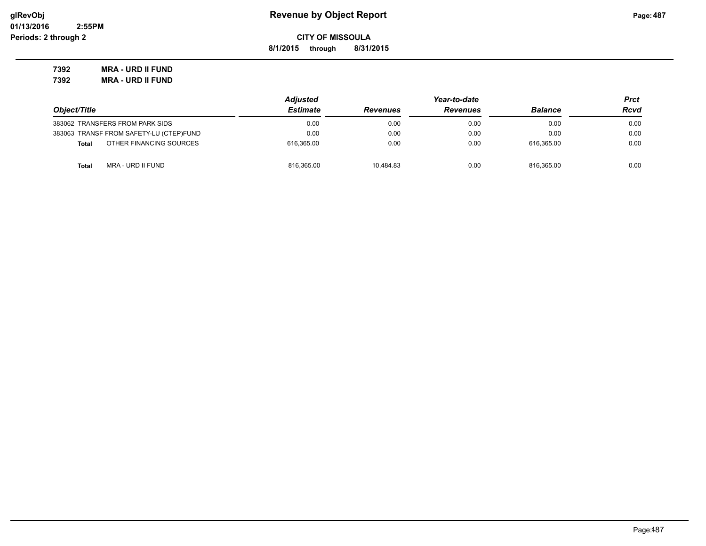**8/1/2015 through 8/31/2015**

**7392 MRA - URD II FUND 7392 MRA - URD II FUND**

|                                         | <b>Adjusted</b> | Year-to-date    |                 |                | Prct |
|-----------------------------------------|-----------------|-----------------|-----------------|----------------|------|
| Object/Title                            | <b>Estimate</b> | <b>Revenues</b> | <b>Revenues</b> | <b>Balance</b> | Rcvd |
| 383062 TRANSFERS FROM PARK SIDS         | 0.00            | 0.00            | 0.00            | 0.00           | 0.00 |
| 383063 TRANSF FROM SAFETY-LU (CTEP)FUND | 0.00            | 0.00            | 0.00            | 0.00           | 0.00 |
| OTHER FINANCING SOURCES<br><b>Total</b> | 616.365.00      | 0.00            | 0.00            | 616.365.00     | 0.00 |
| MRA - URD II FUND<br><b>Total</b>       | 816,365.00      | 10.484.83       | 0.00            | 816.365.00     | 0.00 |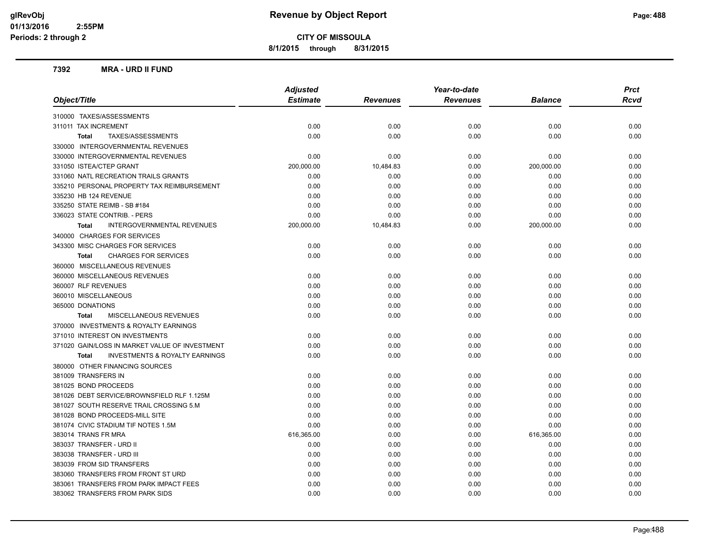**8/1/2015 through 8/31/2015**

#### **7392 MRA - URD II FUND**

|                                                           | <b>Adjusted</b> |                 | Year-to-date    |                | <b>Prct</b> |
|-----------------------------------------------------------|-----------------|-----------------|-----------------|----------------|-------------|
| Object/Title                                              | <b>Estimate</b> | <b>Revenues</b> | <b>Revenues</b> | <b>Balance</b> | Rcvd        |
| 310000 TAXES/ASSESSMENTS                                  |                 |                 |                 |                |             |
| 311011 TAX INCREMENT                                      | 0.00            | 0.00            | 0.00            | 0.00           | 0.00        |
| TAXES/ASSESSMENTS<br><b>Total</b>                         | 0.00            | 0.00            | 0.00            | 0.00           | 0.00        |
| 330000 INTERGOVERNMENTAL REVENUES                         |                 |                 |                 |                |             |
| 330000 INTERGOVERNMENTAL REVENUES                         | 0.00            | 0.00            | 0.00            | 0.00           | 0.00        |
| 331050 ISTEA/CTEP GRANT                                   | 200,000.00      | 10,484.83       | 0.00            | 200,000.00     | 0.00        |
| 331060 NATL RECREATION TRAILS GRANTS                      | 0.00            | 0.00            | 0.00            | 0.00           | 0.00        |
| 335210 PERSONAL PROPERTY TAX REIMBURSEMENT                | 0.00            | 0.00            | 0.00            | 0.00           | 0.00        |
| 335230 HB 124 REVENUE                                     | 0.00            | 0.00            | 0.00            | 0.00           | 0.00        |
| 335250 STATE REIMB - SB #184                              | 0.00            | 0.00            | 0.00            | 0.00           | 0.00        |
| 336023 STATE CONTRIB. - PERS                              | 0.00            | 0.00            | 0.00            | 0.00           | 0.00        |
| INTERGOVERNMENTAL REVENUES<br><b>Total</b>                | 200,000.00      | 10,484.83       | 0.00            | 200,000.00     | 0.00        |
| 340000 CHARGES FOR SERVICES                               |                 |                 |                 |                |             |
| 343300 MISC CHARGES FOR SERVICES                          | 0.00            | 0.00            | 0.00            | 0.00           | 0.00        |
| <b>CHARGES FOR SERVICES</b><br><b>Total</b>               | 0.00            | 0.00            | 0.00            | 0.00           | 0.00        |
| 360000 MISCELLANEOUS REVENUES                             |                 |                 |                 |                |             |
| 360000 MISCELLANEOUS REVENUES                             | 0.00            | 0.00            | 0.00            | 0.00           | 0.00        |
| 360007 RLF REVENUES                                       | 0.00            | 0.00            | 0.00            | 0.00           | 0.00        |
| 360010 MISCELLANEOUS                                      | 0.00            | 0.00            | 0.00            | 0.00           | 0.00        |
| 365000 DONATIONS                                          | 0.00            | 0.00            | 0.00            | 0.00           | 0.00        |
| <b>MISCELLANEOUS REVENUES</b><br><b>Total</b>             | 0.00            | 0.00            | 0.00            | 0.00           | 0.00        |
| 370000 INVESTMENTS & ROYALTY EARNINGS                     |                 |                 |                 |                |             |
| 371010 INTEREST ON INVESTMENTS                            | 0.00            | 0.00            | 0.00            | 0.00           | 0.00        |
| 371020 GAIN/LOSS IN MARKET VALUE OF INVESTMENT            | 0.00            | 0.00            | 0.00            | 0.00           | 0.00        |
| <b>INVESTMENTS &amp; ROYALTY EARNINGS</b><br><b>Total</b> | 0.00            | 0.00            | 0.00            | 0.00           | 0.00        |
| 380000 OTHER FINANCING SOURCES                            |                 |                 |                 |                |             |
| 381009 TRANSFERS IN                                       | 0.00            | 0.00            | 0.00            | 0.00           | 0.00        |
| 381025 BOND PROCEEDS                                      | 0.00            | 0.00            | 0.00            | 0.00           | 0.00        |
| 381026 DEBT SERVICE/BROWNSFIELD RLF 1.125M                | 0.00            | 0.00            | 0.00            | 0.00           | 0.00        |
| 381027 SOUTH RESERVE TRAIL CROSSING 5.M                   | 0.00            | 0.00            | 0.00            | 0.00           | 0.00        |
| 381028 BOND PROCEEDS-MILL SITE                            | 0.00            | 0.00            | 0.00            | 0.00           | 0.00        |
| 381074 CIVIC STADIUM TIF NOTES 1.5M                       | 0.00            | 0.00            | 0.00            | 0.00           | 0.00        |
| 383014 TRANS FR MRA                                       | 616,365.00      | 0.00            | 0.00            | 616,365.00     | 0.00        |
| 383037 TRANSFER - URD II                                  | 0.00            | 0.00            | 0.00            | 0.00           | 0.00        |
| 383038 TRANSFER - URD III                                 | 0.00            | 0.00            | 0.00            | 0.00           | 0.00        |
| 383039 FROM SID TRANSFERS                                 | 0.00            | 0.00            | 0.00            | 0.00           | 0.00        |
| 383060 TRANSFERS FROM FRONT ST URD                        | 0.00            | 0.00            | 0.00            | 0.00           | 0.00        |
| 383061 TRANSFERS FROM PARK IMPACT FEES                    | 0.00            | 0.00            | 0.00            | 0.00           | 0.00        |
| 383062 TRANSFERS FROM PARK SIDS                           | 0.00            | 0.00            | 0.00            | 0.00           | 0.00        |
|                                                           |                 |                 |                 |                |             |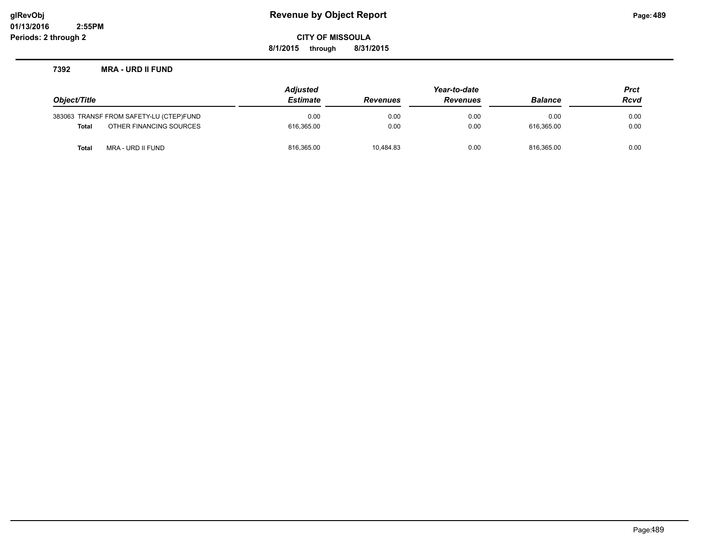**8/1/2015 through 8/31/2015**

#### **7392 MRA - URD II FUND**

| Object/Title |                                         | <b>Adjusted</b> | Year-to-date    |                 |                | <b>Prct</b> |
|--------------|-----------------------------------------|-----------------|-----------------|-----------------|----------------|-------------|
|              |                                         | <b>Estimate</b> | <b>Revenues</b> | <b>Revenues</b> | <b>Balance</b> | <b>Rcvd</b> |
|              | 383063 TRANSF FROM SAFETY-LU (CTEP)FUND | 0.00            | 0.00            | 0.00            | 0.00           | 0.00        |
| Total        | OTHER FINANCING SOURCES                 | 616.365.00      | 0.00            | 0.00            | 616.365.00     | 0.00        |
| Total        | MRA - URD II FUND                       | 816,365.00      | 10.484.83       | 0.00            | 816.365.00     | 0.00        |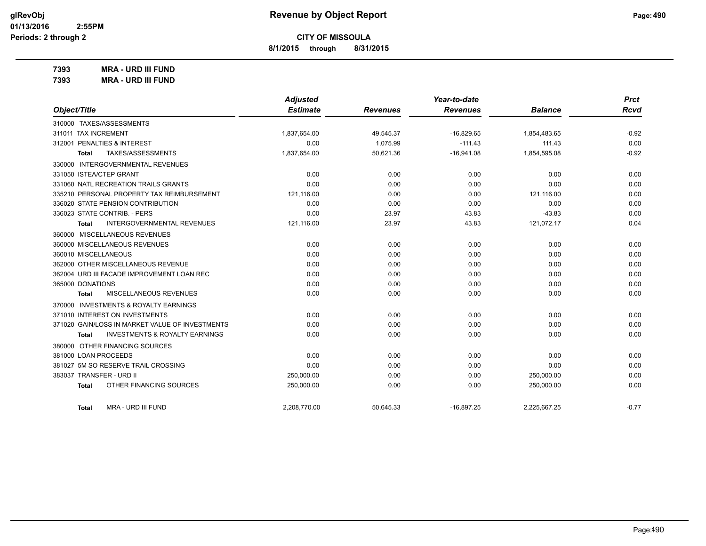**8/1/2015 through 8/31/2015**

**7393 MRA - URD III FUND**

**7393 MRA - URD III FUND**

|                                                    | <b>Adjusted</b> |                 | Year-to-date    |                | <b>Prct</b> |
|----------------------------------------------------|-----------------|-----------------|-----------------|----------------|-------------|
| Object/Title                                       | <b>Estimate</b> | <b>Revenues</b> | <b>Revenues</b> | <b>Balance</b> | Rcvd        |
| 310000 TAXES/ASSESSMENTS                           |                 |                 |                 |                |             |
| 311011 TAX INCREMENT                               | 1,837,654.00    | 49,545.37       | $-16,829.65$    | 1,854,483.65   | $-0.92$     |
| 312001 PENALTIES & INTEREST                        | 0.00            | 1,075.99        | $-111.43$       | 111.43         | 0.00        |
| TAXES/ASSESSMENTS<br>Total                         | 1,837,654.00    | 50,621.36       | $-16,941.08$    | 1,854,595.08   | $-0.92$     |
| 330000 INTERGOVERNMENTAL REVENUES                  |                 |                 |                 |                |             |
| 331050 ISTEA/CTEP GRANT                            | 0.00            | 0.00            | 0.00            | 0.00           | 0.00        |
| 331060 NATL RECREATION TRAILS GRANTS               | 0.00            | 0.00            | 0.00            | 0.00           | 0.00        |
| 335210 PERSONAL PROPERTY TAX REIMBURSEMENT         | 121,116.00      | 0.00            | 0.00            | 121,116.00     | 0.00        |
| 336020 STATE PENSION CONTRIBUTION                  | 0.00            | 0.00            | 0.00            | 0.00           | 0.00        |
| 336023 STATE CONTRIB. - PERS                       | 0.00            | 23.97           | 43.83           | $-43.83$       | 0.00        |
| <b>INTERGOVERNMENTAL REVENUES</b><br>Total         | 121,116.00      | 23.97           | 43.83           | 121,072.17     | 0.04        |
| 360000 MISCELLANEOUS REVENUES                      |                 |                 |                 |                |             |
| 360000 MISCELLANEOUS REVENUES                      | 0.00            | 0.00            | 0.00            | 0.00           | 0.00        |
| 360010 MISCELLANEOUS                               | 0.00            | 0.00            | 0.00            | 0.00           | 0.00        |
| 362000 OTHER MISCELLANEOUS REVENUE                 | 0.00            | 0.00            | 0.00            | 0.00           | 0.00        |
| 362004 URD III FACADE IMPROVEMENT LOAN REC         | 0.00            | 0.00            | 0.00            | 0.00           | 0.00        |
| 365000 DONATIONS                                   | 0.00            | 0.00            | 0.00            | 0.00           | 0.00        |
| MISCELLANEOUS REVENUES<br>Total                    | 0.00            | 0.00            | 0.00            | 0.00           | 0.00        |
| 370000 INVESTMENTS & ROYALTY EARNINGS              |                 |                 |                 |                |             |
| 371010 INTEREST ON INVESTMENTS                     | 0.00            | 0.00            | 0.00            | 0.00           | 0.00        |
| 371020 GAIN/LOSS IN MARKET VALUE OF INVESTMENTS    | 0.00            | 0.00            | 0.00            | 0.00           | 0.00        |
| <b>INVESTMENTS &amp; ROYALTY EARNINGS</b><br>Total | 0.00            | 0.00            | 0.00            | 0.00           | 0.00        |
| 380000 OTHER FINANCING SOURCES                     |                 |                 |                 |                |             |
| 381000 LOAN PROCEEDS                               | 0.00            | 0.00            | 0.00            | 0.00           | 0.00        |
| 381027 5M SO RESERVE TRAIL CROSSING                | 0.00            | 0.00            | 0.00            | 0.00           | 0.00        |
| 383037 TRANSFER - URD II                           | 250,000.00      | 0.00            | 0.00            | 250,000.00     | 0.00        |
| OTHER FINANCING SOURCES<br><b>Total</b>            | 250,000.00      | 0.00            | 0.00            | 250,000.00     | 0.00        |
| MRA - URD III FUND<br>Total                        | 2.208.770.00    | 50.645.33       | $-16,897.25$    | 2.225.667.25   | $-0.77$     |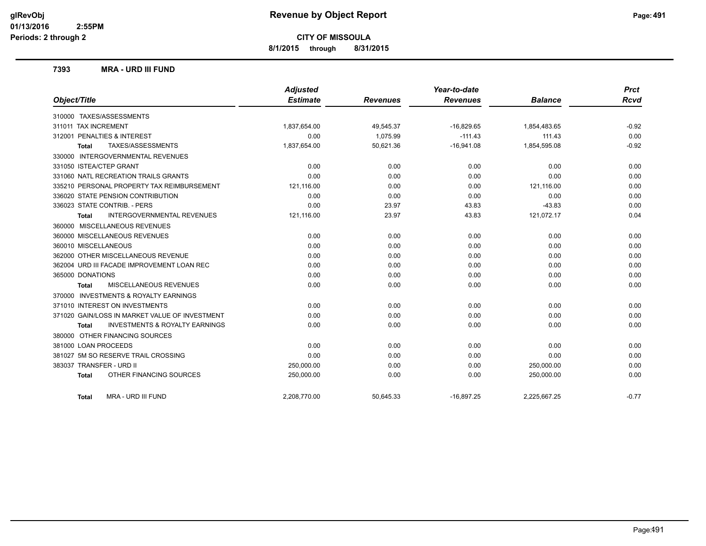**8/1/2015 through 8/31/2015**

#### **7393 MRA - URD III FUND**

|                                                    | <b>Adjusted</b> |                 | Year-to-date    |                | <b>Prct</b> |
|----------------------------------------------------|-----------------|-----------------|-----------------|----------------|-------------|
| Object/Title                                       | <b>Estimate</b> | <b>Revenues</b> | <b>Revenues</b> | <b>Balance</b> | <b>Rcvd</b> |
| 310000 TAXES/ASSESSMENTS                           |                 |                 |                 |                |             |
| 311011 TAX INCREMENT                               | 1,837,654.00    | 49,545.37       | $-16,829.65$    | 1,854,483.65   | $-0.92$     |
| 312001 PENALTIES & INTEREST                        | 0.00            | 1,075.99        | $-111.43$       | 111.43         | 0.00        |
| TAXES/ASSESSMENTS<br>Total                         | 1,837,654.00    | 50,621.36       | $-16,941.08$    | 1,854,595.08   | $-0.92$     |
| 330000 INTERGOVERNMENTAL REVENUES                  |                 |                 |                 |                |             |
| 331050 ISTEA/CTEP GRANT                            | 0.00            | 0.00            | 0.00            | 0.00           | 0.00        |
| 331060 NATL RECREATION TRAILS GRANTS               | 0.00            | 0.00            | 0.00            | 0.00           | 0.00        |
| 335210 PERSONAL PROPERTY TAX REIMBURSEMENT         | 121,116.00      | 0.00            | 0.00            | 121,116.00     | 0.00        |
| 336020 STATE PENSION CONTRIBUTION                  | 0.00            | 0.00            | 0.00            | 0.00           | 0.00        |
| 336023 STATE CONTRIB. - PERS                       | 0.00            | 23.97           | 43.83           | $-43.83$       | 0.00        |
| <b>INTERGOVERNMENTAL REVENUES</b><br><b>Total</b>  | 121,116.00      | 23.97           | 43.83           | 121,072.17     | 0.04        |
| 360000 MISCELLANEOUS REVENUES                      |                 |                 |                 |                |             |
| 360000 MISCELLANEOUS REVENUES                      | 0.00            | 0.00            | 0.00            | 0.00           | 0.00        |
| 360010 MISCELLANEOUS                               | 0.00            | 0.00            | 0.00            | 0.00           | 0.00        |
| 362000 OTHER MISCELLANEOUS REVENUE                 | 0.00            | 0.00            | 0.00            | 0.00           | 0.00        |
| 362004 URD III FACADE IMPROVEMENT LOAN REC         | 0.00            | 0.00            | 0.00            | 0.00           | 0.00        |
| 365000 DONATIONS                                   | 0.00            | 0.00            | 0.00            | 0.00           | 0.00        |
| <b>MISCELLANEOUS REVENUES</b><br><b>Total</b>      | 0.00            | 0.00            | 0.00            | 0.00           | 0.00        |
| 370000 INVESTMENTS & ROYALTY EARNINGS              |                 |                 |                 |                |             |
| 371010 INTEREST ON INVESTMENTS                     | 0.00            | 0.00            | 0.00            | 0.00           | 0.00        |
| 371020 GAIN/LOSS IN MARKET VALUE OF INVESTMENT     | 0.00            | 0.00            | 0.00            | 0.00           | 0.00        |
| <b>INVESTMENTS &amp; ROYALTY EARNINGS</b><br>Total | 0.00            | 0.00            | 0.00            | 0.00           | 0.00        |
| 380000 OTHER FINANCING SOURCES                     |                 |                 |                 |                |             |
| 381000 LOAN PROCEEDS                               | 0.00            | 0.00            | 0.00            | 0.00           | 0.00        |
| 381027 5M SO RESERVE TRAIL CROSSING                | 0.00            | 0.00            | 0.00            | 0.00           | 0.00        |
| 383037 TRANSFER - URD II                           | 250,000.00      | 0.00            | 0.00            | 250,000.00     | 0.00        |
| OTHER FINANCING SOURCES<br><b>Total</b>            | 250,000.00      | 0.00            | 0.00            | 250,000.00     | 0.00        |
| MRA - URD III FUND<br>Total                        | 2,208,770.00    | 50,645.33       | $-16,897.25$    | 2,225,667.25   | $-0.77$     |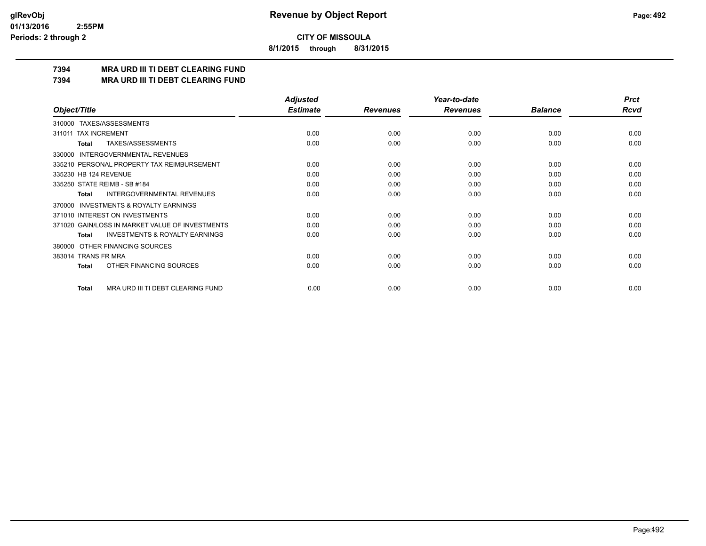**8/1/2015 through 8/31/2015**

## **7394 MRA URD III TI DEBT CLEARING FUND**

**7394 MRA URD III TI DEBT CLEARING FUND**

|                                                     | <b>Adjusted</b> |                 | Year-to-date    |                | <b>Prct</b> |
|-----------------------------------------------------|-----------------|-----------------|-----------------|----------------|-------------|
| Object/Title                                        | <b>Estimate</b> | <b>Revenues</b> | <b>Revenues</b> | <b>Balance</b> | <b>Rcvd</b> |
| 310000 TAXES/ASSESSMENTS                            |                 |                 |                 |                |             |
| <b>TAX INCREMENT</b><br>311011                      | 0.00            | 0.00            | 0.00            | 0.00           | 0.00        |
| TAXES/ASSESSMENTS<br>Total                          | 0.00            | 0.00            | 0.00            | 0.00           | 0.00        |
| <b>INTERGOVERNMENTAL REVENUES</b><br>330000         |                 |                 |                 |                |             |
| 335210 PERSONAL PROPERTY TAX REIMBURSEMENT          | 0.00            | 0.00            | 0.00            | 0.00           | 0.00        |
| 335230 HB 124 REVENUE                               | 0.00            | 0.00            | 0.00            | 0.00           | 0.00        |
| 335250 STATE REIMB - SB #184                        | 0.00            | 0.00            | 0.00            | 0.00           | 0.00        |
| <b>INTERGOVERNMENTAL REVENUES</b><br><b>Total</b>   | 0.00            | 0.00            | 0.00            | 0.00           | 0.00        |
| <b>INVESTMENTS &amp; ROYALTY EARNINGS</b><br>370000 |                 |                 |                 |                |             |
| 371010 INTEREST ON INVESTMENTS                      | 0.00            | 0.00            | 0.00            | 0.00           | 0.00        |
| 371020 GAIN/LOSS IN MARKET VALUE OF INVESTMENTS     | 0.00            | 0.00            | 0.00            | 0.00           | 0.00        |
| <b>INVESTMENTS &amp; ROYALTY EARNINGS</b><br>Total  | 0.00            | 0.00            | 0.00            | 0.00           | 0.00        |
| OTHER FINANCING SOURCES<br>380000                   |                 |                 |                 |                |             |
| 383014 TRANS FR MRA                                 | 0.00            | 0.00            | 0.00            | 0.00           | 0.00        |
| OTHER FINANCING SOURCES<br><b>Total</b>             | 0.00            | 0.00            | 0.00            | 0.00           | 0.00        |
|                                                     |                 |                 |                 |                |             |
| MRA URD III TI DEBT CLEARING FUND<br><b>Total</b>   | 0.00            | 0.00            | 0.00            | 0.00           | 0.00        |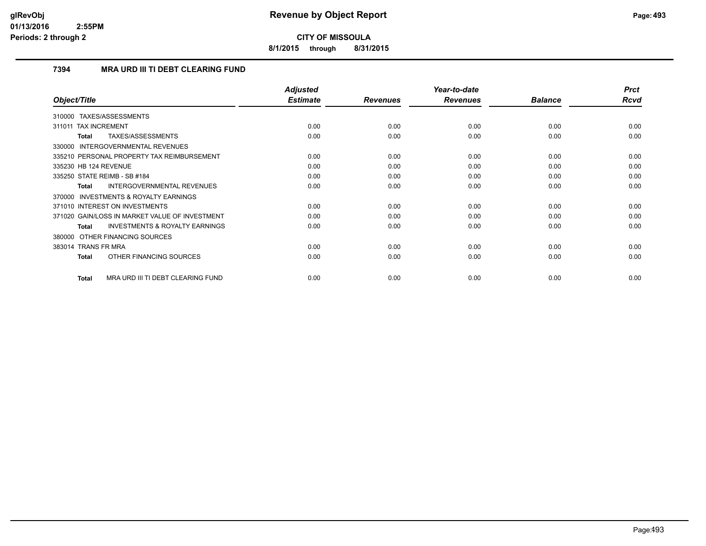**8/1/2015 through 8/31/2015**

## **7394 MRA URD III TI DEBT CLEARING FUND**

|                                                           | <b>Adjusted</b> |                 | Year-to-date    |                | <b>Prct</b> |
|-----------------------------------------------------------|-----------------|-----------------|-----------------|----------------|-------------|
| Object/Title                                              | <b>Estimate</b> | <b>Revenues</b> | <b>Revenues</b> | <b>Balance</b> | Rcvd        |
| TAXES/ASSESSMENTS<br>310000                               |                 |                 |                 |                |             |
| <b>TAX INCREMENT</b><br>311011                            | 0.00            | 0.00            | 0.00            | 0.00           | 0.00        |
| TAXES/ASSESSMENTS<br><b>Total</b>                         | 0.00            | 0.00            | 0.00            | 0.00           | 0.00        |
| 330000 INTERGOVERNMENTAL REVENUES                         |                 |                 |                 |                |             |
| 335210 PERSONAL PROPERTY TAX REIMBURSEMENT                | 0.00            | 0.00            | 0.00            | 0.00           | 0.00        |
| 335230 HB 124 REVENUE                                     | 0.00            | 0.00            | 0.00            | 0.00           | 0.00        |
| 335250 STATE REIMB - SB #184                              | 0.00            | 0.00            | 0.00            | 0.00           | 0.00        |
| <b>INTERGOVERNMENTAL REVENUES</b><br><b>Total</b>         | 0.00            | 0.00            | 0.00            | 0.00           | 0.00        |
| <b>INVESTMENTS &amp; ROYALTY EARNINGS</b><br>370000       |                 |                 |                 |                |             |
| 371010 INTEREST ON INVESTMENTS                            | 0.00            | 0.00            | 0.00            | 0.00           | 0.00        |
| 371020 GAIN/LOSS IN MARKET VALUE OF INVESTMENT            | 0.00            | 0.00            | 0.00            | 0.00           | 0.00        |
| <b>INVESTMENTS &amp; ROYALTY EARNINGS</b><br><b>Total</b> | 0.00            | 0.00            | 0.00            | 0.00           | 0.00        |
| 380000 OTHER FINANCING SOURCES                            |                 |                 |                 |                |             |
| 383014 TRANS FR MRA                                       | 0.00            | 0.00            | 0.00            | 0.00           | 0.00        |
| OTHER FINANCING SOURCES<br>Total                          | 0.00            | 0.00            | 0.00            | 0.00           | 0.00        |
| MRA URD III TI DEBT CLEARING FUND<br><b>Total</b>         | 0.00            | 0.00            | 0.00            | 0.00           | 0.00        |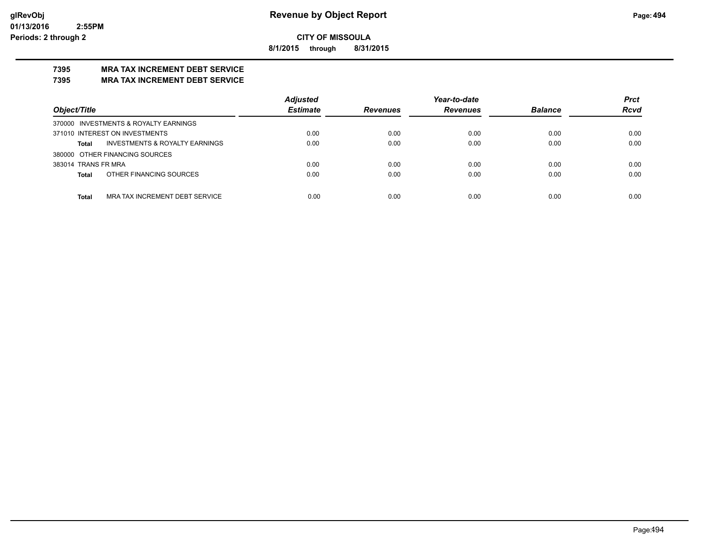**8/1/2015 through 8/31/2015**

## **7395 MRA TAX INCREMENT DEBT SERVICE**

### **7395 MRA TAX INCREMENT DEBT SERVICE**

|                                                | <b>Adjusted</b> |                 | Year-to-date    |                | <b>Prct</b> |
|------------------------------------------------|-----------------|-----------------|-----------------|----------------|-------------|
| Object/Title                                   | <b>Estimate</b> | <b>Revenues</b> | <b>Revenues</b> | <b>Balance</b> | <b>Rcvd</b> |
| 370000 INVESTMENTS & ROYALTY EARNINGS          |                 |                 |                 |                |             |
| 371010 INTEREST ON INVESTMENTS                 | 0.00            | 0.00            | 0.00            | 0.00           | 0.00        |
| INVESTMENTS & ROYALTY EARNINGS<br>Total        | 0.00            | 0.00            | 0.00            | 0.00           | 0.00        |
| 380000 OTHER FINANCING SOURCES                 |                 |                 |                 |                |             |
| 383014 TRANS FR MRA                            | 0.00            | 0.00            | 0.00            | 0.00           | 0.00        |
| OTHER FINANCING SOURCES<br>Total               | 0.00            | 0.00            | 0.00            | 0.00           | 0.00        |
|                                                |                 |                 |                 |                |             |
| MRA TAX INCREMENT DEBT SERVICE<br><b>Total</b> | 0.00            | 0.00            | 0.00            | 0.00           | 0.00        |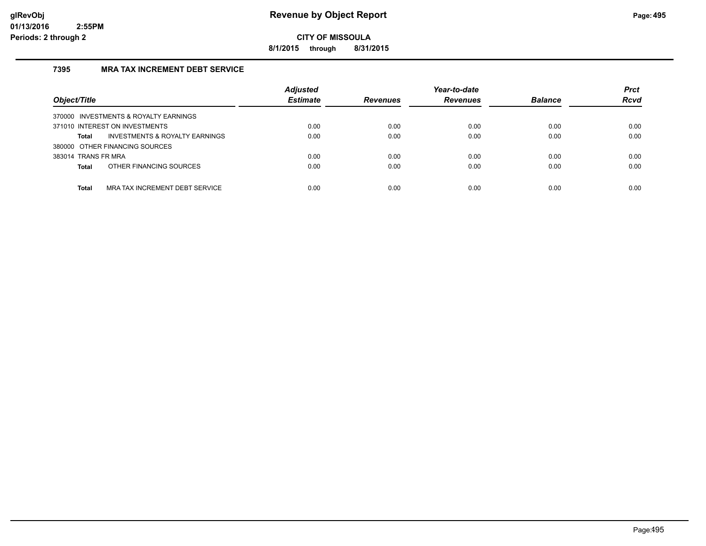**8/1/2015 through 8/31/2015**

## **7395 MRA TAX INCREMENT DEBT SERVICE**

| Object/Title                                       | <b>Adjusted</b><br><b>Estimate</b> | <b>Revenues</b> | Year-to-date<br><b>Revenues</b> | <b>Balance</b> | <b>Prct</b><br><b>Rcvd</b> |
|----------------------------------------------------|------------------------------------|-----------------|---------------------------------|----------------|----------------------------|
| 370000 INVESTMENTS & ROYALTY EARNINGS              |                                    |                 |                                 |                |                            |
| 371010 INTEREST ON INVESTMENTS                     | 0.00                               | 0.00            | 0.00                            | 0.00           | 0.00                       |
| <b>INVESTMENTS &amp; ROYALTY EARNINGS</b><br>Total | 0.00                               | 0.00            | 0.00                            | 0.00           | 0.00                       |
| 380000 OTHER FINANCING SOURCES                     |                                    |                 |                                 |                |                            |
| 383014 TRANS FR MRA                                | 0.00                               | 0.00            | 0.00                            | 0.00           | 0.00                       |
| OTHER FINANCING SOURCES<br><b>Total</b>            | 0.00                               | 0.00            | 0.00                            | 0.00           | 0.00                       |
|                                                    |                                    |                 |                                 |                |                            |
| MRA TAX INCREMENT DEBT SERVICE<br><b>Total</b>     | 0.00                               | 0.00            | 0.00                            | 0.00           | 0.00                       |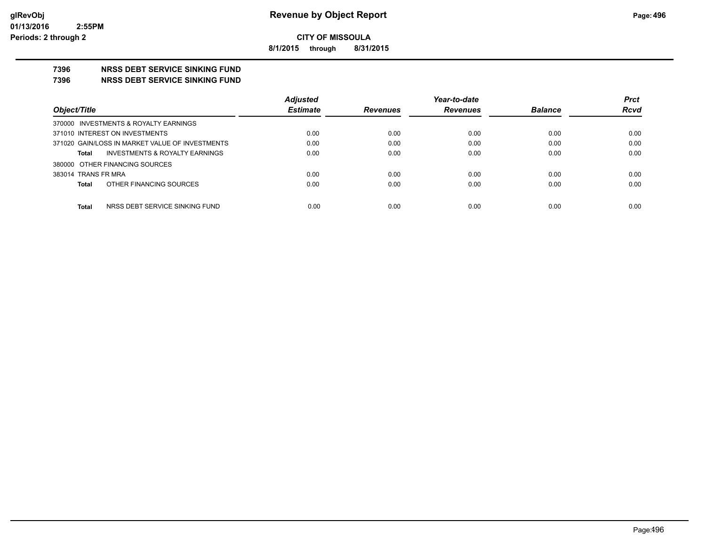**8/1/2015 through 8/31/2015**

## **7396 NRSS DEBT SERVICE SINKING FUND**

**7396 NRSS DEBT SERVICE SINKING FUND**

|                                                 | <b>Adjusted</b> |                 | Year-to-date    |                | <b>Prct</b> |
|-------------------------------------------------|-----------------|-----------------|-----------------|----------------|-------------|
| Object/Title                                    | <b>Estimate</b> | <b>Revenues</b> | <b>Revenues</b> | <b>Balance</b> | <b>Rcvd</b> |
| 370000 INVESTMENTS & ROYALTY EARNINGS           |                 |                 |                 |                |             |
| 371010 INTEREST ON INVESTMENTS                  | 0.00            | 0.00            | 0.00            | 0.00           | 0.00        |
| 371020 GAIN/LOSS IN MARKET VALUE OF INVESTMENTS | 0.00            | 0.00            | 0.00            | 0.00           | 0.00        |
| INVESTMENTS & ROYALTY EARNINGS<br><b>Total</b>  | 0.00            | 0.00            | 0.00            | 0.00           | 0.00        |
| 380000 OTHER FINANCING SOURCES                  |                 |                 |                 |                |             |
| 383014 TRANS FR MRA                             | 0.00            | 0.00            | 0.00            | 0.00           | 0.00        |
| OTHER FINANCING SOURCES<br><b>Total</b>         | 0.00            | 0.00            | 0.00            | 0.00           | 0.00        |
|                                                 |                 |                 |                 |                |             |
| <b>Total</b><br>NRSS DEBT SERVICE SINKING FUND  | 0.00            | 0.00            | 0.00            | 0.00           | 0.00        |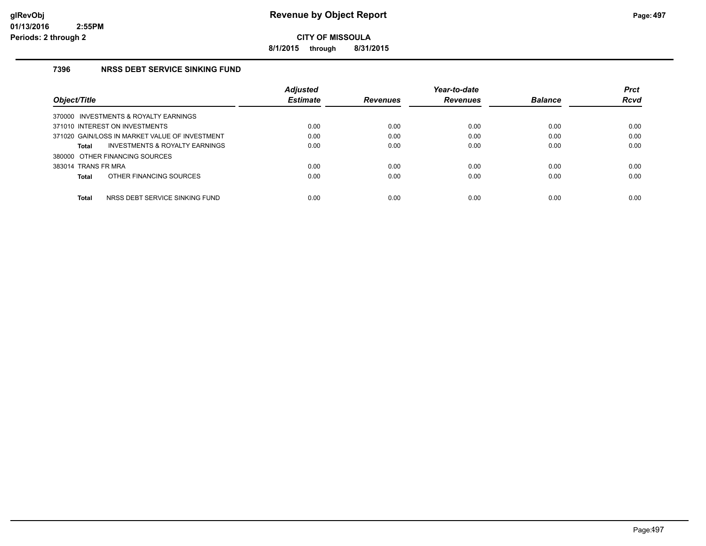**8/1/2015 through 8/31/2015**

## **7396 NRSS DEBT SERVICE SINKING FUND**

|                                                    | <b>Adjusted</b> |                 | Year-to-date    |                | <b>Prct</b> |
|----------------------------------------------------|-----------------|-----------------|-----------------|----------------|-------------|
| Object/Title                                       | <b>Estimate</b> | <b>Revenues</b> | <b>Revenues</b> | <b>Balance</b> | Rcvd        |
| 370000 INVESTMENTS & ROYALTY EARNINGS              |                 |                 |                 |                |             |
| 371010 INTEREST ON INVESTMENTS                     | 0.00            | 0.00            | 0.00            | 0.00           | 0.00        |
| 371020 GAIN/LOSS IN MARKET VALUE OF INVESTMENT     | 0.00            | 0.00            | 0.00            | 0.00           | 0.00        |
| <b>INVESTMENTS &amp; ROYALTY EARNINGS</b><br>Total | 0.00            | 0.00            | 0.00            | 0.00           | 0.00        |
| 380000 OTHER FINANCING SOURCES                     |                 |                 |                 |                |             |
| 383014 TRANS FR MRA                                | 0.00            | 0.00            | 0.00            | 0.00           | 0.00        |
| OTHER FINANCING SOURCES<br>Total                   | 0.00            | 0.00            | 0.00            | 0.00           | 0.00        |
|                                                    |                 |                 |                 |                |             |
| <b>Total</b><br>NRSS DEBT SERVICE SINKING FUND     | 0.00            | 0.00            | 0.00            | 0.00           | 0.00        |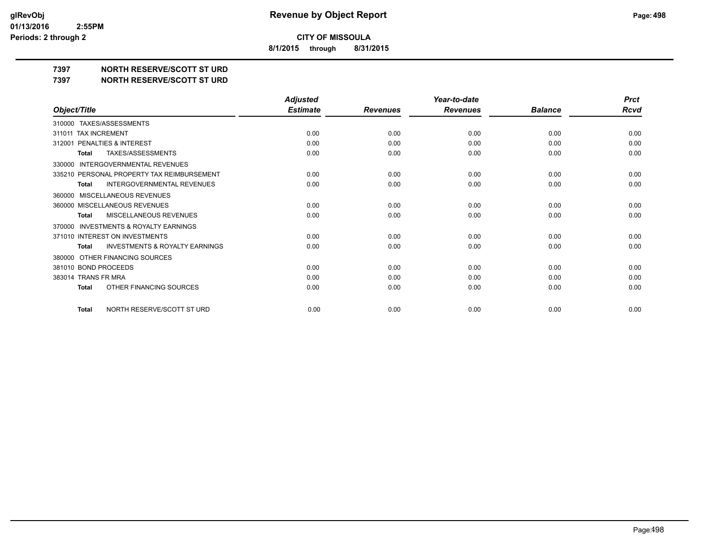**8/1/2015 through 8/31/2015**

**7397 NORTH RESERVE/SCOTT ST URD**

**7397 NORTH RESERVE/SCOTT ST URD**

|                                                     | <b>Adjusted</b> |                 | Year-to-date    |                | <b>Prct</b> |
|-----------------------------------------------------|-----------------|-----------------|-----------------|----------------|-------------|
| Object/Title                                        | <b>Estimate</b> | <b>Revenues</b> | <b>Revenues</b> | <b>Balance</b> | Rcvd        |
| 310000 TAXES/ASSESSMENTS                            |                 |                 |                 |                |             |
| <b>TAX INCREMENT</b><br>311011                      | 0.00            | 0.00            | 0.00            | 0.00           | 0.00        |
| PENALTIES & INTEREST<br>312001                      | 0.00            | 0.00            | 0.00            | 0.00           | 0.00        |
| TAXES/ASSESSMENTS<br><b>Total</b>                   | 0.00            | 0.00            | 0.00            | 0.00           | 0.00        |
| <b>INTERGOVERNMENTAL REVENUES</b><br>330000         |                 |                 |                 |                |             |
| 335210 PERSONAL PROPERTY TAX REIMBURSEMENT          | 0.00            | 0.00            | 0.00            | 0.00           | 0.00        |
| INTERGOVERNMENTAL REVENUES<br><b>Total</b>          | 0.00            | 0.00            | 0.00            | 0.00           | 0.00        |
| MISCELLANEOUS REVENUES<br>360000                    |                 |                 |                 |                |             |
| 360000 MISCELLANEOUS REVENUES                       | 0.00            | 0.00            | 0.00            | 0.00           | 0.00        |
| MISCELLANEOUS REVENUES<br><b>Total</b>              | 0.00            | 0.00            | 0.00            | 0.00           | 0.00        |
| <b>INVESTMENTS &amp; ROYALTY EARNINGS</b><br>370000 |                 |                 |                 |                |             |
| 371010 INTEREST ON INVESTMENTS                      | 0.00            | 0.00            | 0.00            | 0.00           | 0.00        |
| <b>INVESTMENTS &amp; ROYALTY EARNINGS</b><br>Total  | 0.00            | 0.00            | 0.00            | 0.00           | 0.00        |
| OTHER FINANCING SOURCES<br>380000                   |                 |                 |                 |                |             |
| 381010 BOND PROCEEDS                                | 0.00            | 0.00            | 0.00            | 0.00           | 0.00        |
| 383014 TRANS FR MRA                                 | 0.00            | 0.00            | 0.00            | 0.00           | 0.00        |
| OTHER FINANCING SOURCES<br><b>Total</b>             | 0.00            | 0.00            | 0.00            | 0.00           | 0.00        |
|                                                     |                 |                 |                 |                |             |
| NORTH RESERVE/SCOTT ST URD<br><b>Total</b>          | 0.00            | 0.00            | 0.00            | 0.00           | 0.00        |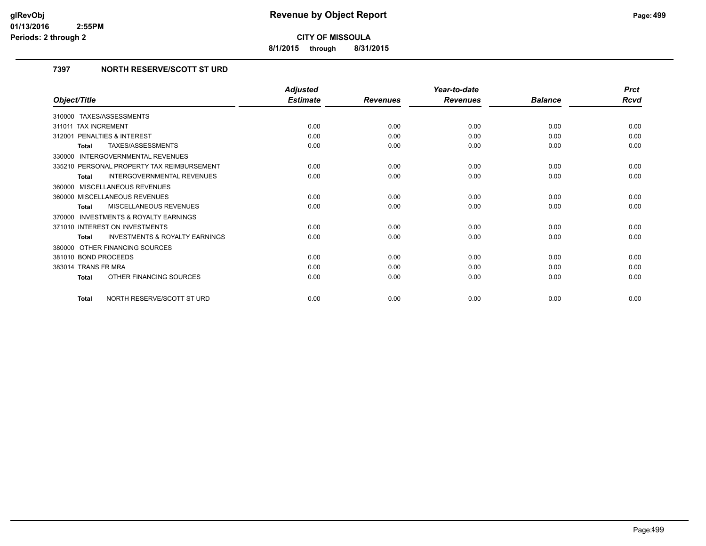**8/1/2015 through 8/31/2015**

## **7397 NORTH RESERVE/SCOTT ST URD**

|                                                    | <b>Adjusted</b> |                 | Year-to-date    |                | <b>Prct</b> |
|----------------------------------------------------|-----------------|-----------------|-----------------|----------------|-------------|
| Object/Title                                       | <b>Estimate</b> | <b>Revenues</b> | <b>Revenues</b> | <b>Balance</b> | Rcvd        |
| 310000 TAXES/ASSESSMENTS                           |                 |                 |                 |                |             |
| <b>TAX INCREMENT</b><br>311011                     | 0.00            | 0.00            | 0.00            | 0.00           | 0.00        |
| PENALTIES & INTEREST<br>312001                     | 0.00            | 0.00            | 0.00            | 0.00           | 0.00        |
| TAXES/ASSESSMENTS<br><b>Total</b>                  | 0.00            | 0.00            | 0.00            | 0.00           | 0.00        |
| <b>INTERGOVERNMENTAL REVENUES</b><br>330000        |                 |                 |                 |                |             |
| 335210 PERSONAL PROPERTY TAX REIMBURSEMENT         | 0.00            | 0.00            | 0.00            | 0.00           | 0.00        |
| <b>INTERGOVERNMENTAL REVENUES</b><br><b>Total</b>  | 0.00            | 0.00            | 0.00            | 0.00           | 0.00        |
| 360000 MISCELLANEOUS REVENUES                      |                 |                 |                 |                |             |
| 360000 MISCELLANEOUS REVENUES                      | 0.00            | 0.00            | 0.00            | 0.00           | 0.00        |
| MISCELLANEOUS REVENUES<br><b>Total</b>             | 0.00            | 0.00            | 0.00            | 0.00           | 0.00        |
| 370000 INVESTMENTS & ROYALTY EARNINGS              |                 |                 |                 |                |             |
| 371010 INTEREST ON INVESTMENTS                     | 0.00            | 0.00            | 0.00            | 0.00           | 0.00        |
| <b>INVESTMENTS &amp; ROYALTY EARNINGS</b><br>Total | 0.00            | 0.00            | 0.00            | 0.00           | 0.00        |
| 380000 OTHER FINANCING SOURCES                     |                 |                 |                 |                |             |
| 381010 BOND PROCEEDS                               | 0.00            | 0.00            | 0.00            | 0.00           | 0.00        |
| 383014 TRANS FR MRA                                | 0.00            | 0.00            | 0.00            | 0.00           | 0.00        |
| OTHER FINANCING SOURCES<br><b>Total</b>            | 0.00            | 0.00            | 0.00            | 0.00           | 0.00        |
| NORTH RESERVE/SCOTT ST URD<br><b>Total</b>         | 0.00            | 0.00            | 0.00            | 0.00           | 0.00        |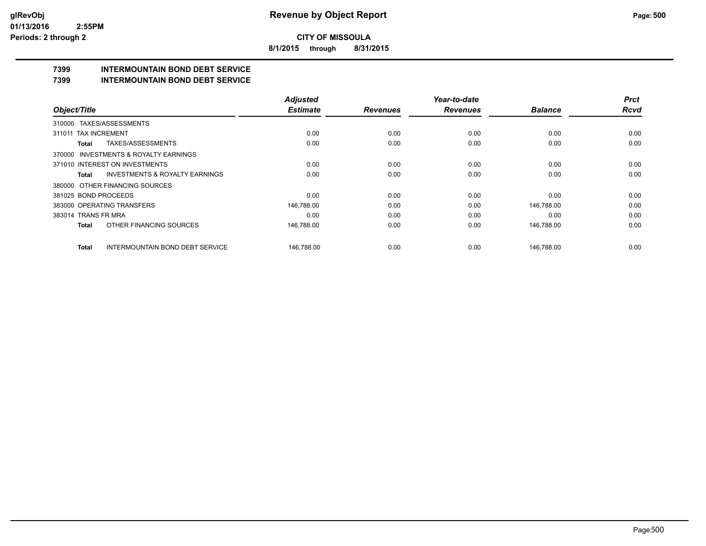**8/1/2015 through 8/31/2015**

## **7399 INTERMOUNTAIN BOND DEBT SERVICE**

#### **7399 INTERMOUNTAIN BOND DEBT SERVICE**

|                                                    | <b>Adjusted</b> |                 | Year-to-date    |                | <b>Prct</b> |
|----------------------------------------------------|-----------------|-----------------|-----------------|----------------|-------------|
| Object/Title                                       | <b>Estimate</b> | <b>Revenues</b> | <b>Revenues</b> | <b>Balance</b> | <b>Rcvd</b> |
| 310000 TAXES/ASSESSMENTS                           |                 |                 |                 |                |             |
| <b>TAX INCREMENT</b><br>311011                     | 0.00            | 0.00            | 0.00            | 0.00           | 0.00        |
| TAXES/ASSESSMENTS<br>Total                         | 0.00            | 0.00            | 0.00            | 0.00           | 0.00        |
| 370000 INVESTMENTS & ROYALTY EARNINGS              |                 |                 |                 |                |             |
| 371010 INTEREST ON INVESTMENTS                     | 0.00            | 0.00            | 0.00            | 0.00           | 0.00        |
| <b>INVESTMENTS &amp; ROYALTY EARNINGS</b><br>Total | 0.00            | 0.00            | 0.00            | 0.00           | 0.00        |
| 380000 OTHER FINANCING SOURCES                     |                 |                 |                 |                |             |
| 381025 BOND PROCEEDS                               | 0.00            | 0.00            | 0.00            | 0.00           | 0.00        |
| 383000 OPERATING TRANSFERS                         | 146,788.00      | 0.00            | 0.00            | 146.788.00     | 0.00        |
| 383014 TRANS FR MRA                                | 0.00            | 0.00            | 0.00            | 0.00           | 0.00        |
| OTHER FINANCING SOURCES<br>Total                   | 146,788.00      | 0.00            | 0.00            | 146,788.00     | 0.00        |
| <b>INTERMOUNTAIN BOND DEBT SERVICE</b><br>Total    | 146.788.00      | 0.00            | 0.00            | 146.788.00     | 0.00        |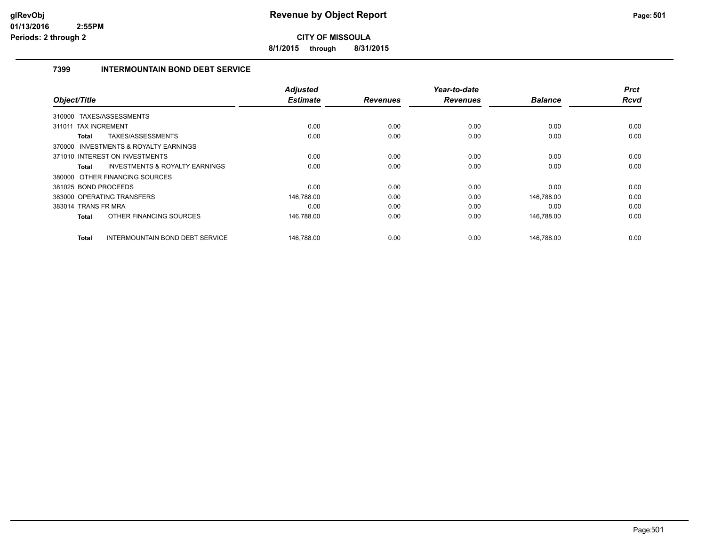**8/1/2015 through 8/31/2015**

## **7399 INTERMOUNTAIN BOND DEBT SERVICE**

| Object/Title         |                                           | <b>Adjusted</b><br><b>Estimate</b> | <b>Revenues</b> | Year-to-date<br><b>Revenues</b> | <b>Balance</b> | <b>Prct</b><br>Rcvd |
|----------------------|-------------------------------------------|------------------------------------|-----------------|---------------------------------|----------------|---------------------|
|                      |                                           |                                    |                 |                                 |                |                     |
|                      | 310000 TAXES/ASSESSMENTS                  |                                    |                 |                                 |                |                     |
| 311011               | <b>TAX INCREMENT</b>                      | 0.00                               | 0.00            | 0.00                            | 0.00           | 0.00                |
| Total                | <b>TAXES/ASSESSMENTS</b>                  | 0.00                               | 0.00            | 0.00                            | 0.00           | 0.00                |
|                      | 370000 INVESTMENTS & ROYALTY EARNINGS     |                                    |                 |                                 |                |                     |
|                      | 371010 INTEREST ON INVESTMENTS            | 0.00                               | 0.00            | 0.00                            | 0.00           | 0.00                |
| Total                | <b>INVESTMENTS &amp; ROYALTY EARNINGS</b> | 0.00                               | 0.00            | 0.00                            | 0.00           | 0.00                |
|                      | 380000 OTHER FINANCING SOURCES            |                                    |                 |                                 |                |                     |
| 381025 BOND PROCEEDS |                                           | 0.00                               | 0.00            | 0.00                            | 0.00           | 0.00                |
|                      | 383000 OPERATING TRANSFERS                | 146,788.00                         | 0.00            | 0.00                            | 146,788.00     | 0.00                |
| 383014 TRANS FR MRA  |                                           | 0.00                               | 0.00            | 0.00                            | 0.00           | 0.00                |
| <b>Total</b>         | OTHER FINANCING SOURCES                   | 146,788.00                         | 0.00            | 0.00                            | 146,788.00     | 0.00                |
| Total                | INTERMOUNTAIN BOND DEBT SERVICE           | 146,788.00                         | 0.00            | 0.00                            | 146,788.00     | 0.00                |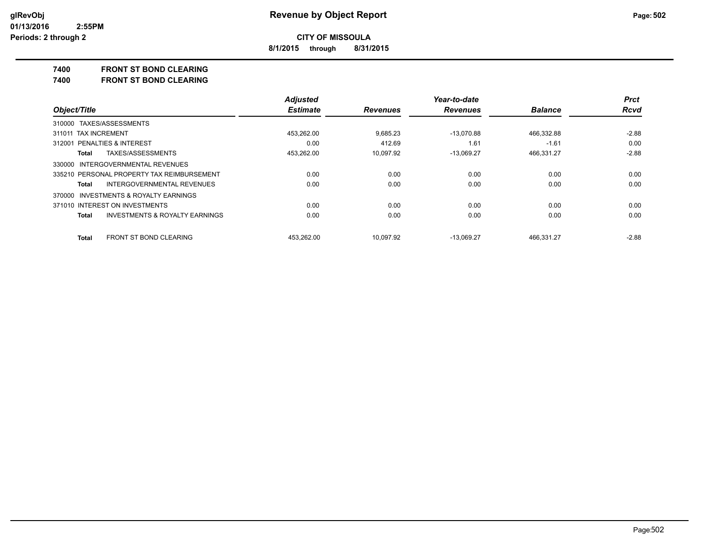**8/1/2015 through 8/31/2015**

#### **7400 FRONT ST BOND CLEARING**

**7400 FRONT ST BOND CLEARING**

|                                                    | <b>Adjusted</b> |                 | Year-to-date    |                | <b>Prct</b> |
|----------------------------------------------------|-----------------|-----------------|-----------------|----------------|-------------|
| Object/Title                                       | <b>Estimate</b> | <b>Revenues</b> | <b>Revenues</b> | <b>Balance</b> | <b>Rcvd</b> |
| 310000 TAXES/ASSESSMENTS                           |                 |                 |                 |                |             |
| 311011 TAX INCREMENT                               | 453.262.00      | 9.685.23        | $-13.070.88$    | 466,332.88     | $-2.88$     |
| 312001 PENALTIES & INTEREST                        | 0.00            | 412.69          | 1.61            | $-1.61$        | 0.00        |
| TAXES/ASSESSMENTS<br>Total                         | 453.262.00      | 10.097.92       | $-13,069.27$    | 466,331.27     | $-2.88$     |
| 330000 INTERGOVERNMENTAL REVENUES                  |                 |                 |                 |                |             |
| 335210 PERSONAL PROPERTY TAX REIMBURSEMENT         | 0.00            | 0.00            | 0.00            | 0.00           | 0.00        |
| INTERGOVERNMENTAL REVENUES<br>Total                | 0.00            | 0.00            | 0.00            | 0.00           | 0.00        |
| 370000 INVESTMENTS & ROYALTY EARNINGS              |                 |                 |                 |                |             |
| 371010 INTEREST ON INVESTMENTS                     | 0.00            | 0.00            | 0.00            | 0.00           | 0.00        |
| <b>INVESTMENTS &amp; ROYALTY EARNINGS</b><br>Total | 0.00            | 0.00            | 0.00            | 0.00           | 0.00        |
| <b>FRONT ST BOND CLEARING</b><br><b>Total</b>      | 453.262.00      | 10.097.92       | $-13.069.27$    | 466.331.27     | $-2.88$     |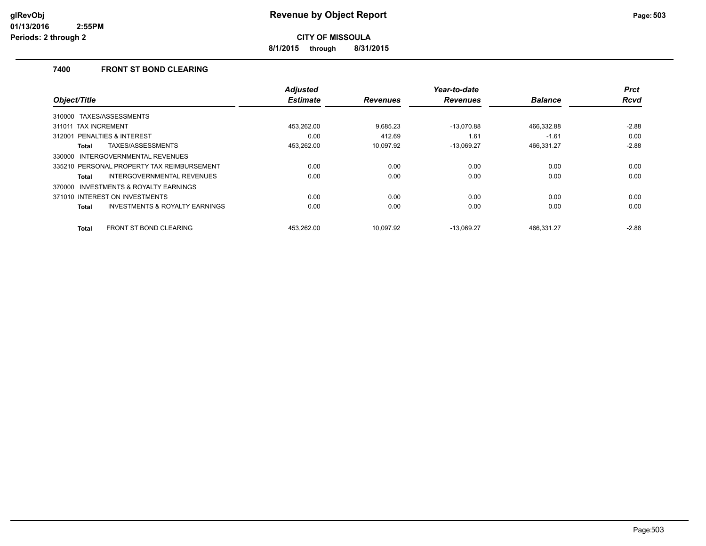**8/1/2015 through 8/31/2015**

### **7400 FRONT ST BOND CLEARING**

| Object/Title                                       | <b>Adjusted</b><br><b>Estimate</b> | <b>Revenues</b> | Year-to-date<br><b>Revenues</b> | <b>Balance</b> | <b>Prct</b><br>Rcvd |
|----------------------------------------------------|------------------------------------|-----------------|---------------------------------|----------------|---------------------|
|                                                    |                                    |                 |                                 |                |                     |
| TAXES/ASSESSMENTS<br>310000                        |                                    |                 |                                 |                |                     |
| 311011 TAX INCREMENT                               | 453,262.00                         | 9.685.23        | $-13.070.88$                    | 466,332.88     | $-2.88$             |
| PENALTIES & INTEREST<br>312001                     | 0.00                               | 412.69          | 1.61                            | $-1.61$        | 0.00                |
| TAXES/ASSESSMENTS<br>Total                         | 453,262.00                         | 10,097.92       | $-13,069.27$                    | 466,331.27     | $-2.88$             |
| INTERGOVERNMENTAL REVENUES<br>330000               |                                    |                 |                                 |                |                     |
| 335210 PERSONAL PROPERTY TAX REIMBURSEMENT         | 0.00                               | 0.00            | 0.00                            | 0.00           | 0.00                |
| <b>INTERGOVERNMENTAL REVENUES</b><br>Total         | 0.00                               | 0.00            | 0.00                            | 0.00           | 0.00                |
| INVESTMENTS & ROYALTY EARNINGS<br>370000           |                                    |                 |                                 |                |                     |
| 371010 INTEREST ON INVESTMENTS                     | 0.00                               | 0.00            | 0.00                            | 0.00           | 0.00                |
| <b>INVESTMENTS &amp; ROYALTY EARNINGS</b><br>Total | 0.00                               | 0.00            | 0.00                            | 0.00           | 0.00                |
| <b>FRONT ST BOND CLEARING</b><br>Total             | 453.262.00                         | 10.097.92       | $-13.069.27$                    | 466.331.27     | $-2.88$             |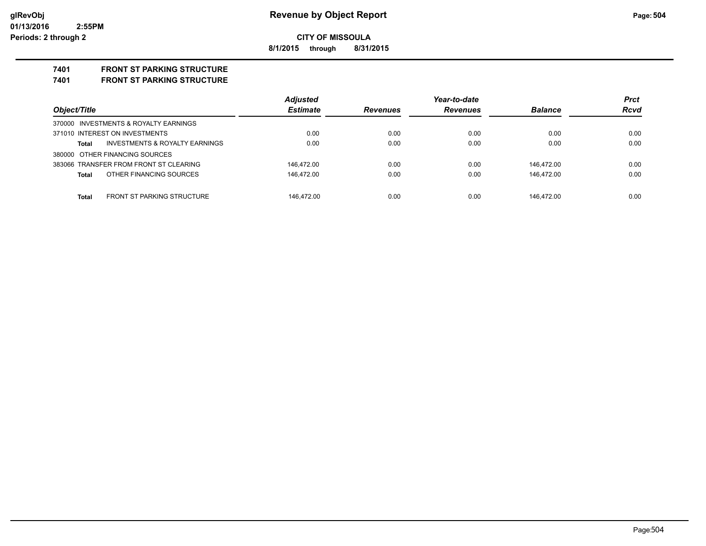**8/1/2015 through 8/31/2015**

## **7401 FRONT ST PARKING STRUCTURE**

**7401 FRONT ST PARKING STRUCTURE**

| Object/Title                               | <b>Adjusted</b><br><b>Estimate</b> |                 | Year-to-date    |                | <b>Prct</b><br><b>Rcvd</b> |
|--------------------------------------------|------------------------------------|-----------------|-----------------|----------------|----------------------------|
|                                            |                                    | <b>Revenues</b> | <b>Revenues</b> | <b>Balance</b> |                            |
| 370000 INVESTMENTS & ROYALTY EARNINGS      |                                    |                 |                 |                |                            |
| 371010 INTEREST ON INVESTMENTS             | 0.00                               | 0.00            | 0.00            | 0.00           | 0.00                       |
| INVESTMENTS & ROYALTY EARNINGS<br>Total    | 0.00                               | 0.00            | 0.00            | 0.00           | 0.00                       |
| 380000 OTHER FINANCING SOURCES             |                                    |                 |                 |                |                            |
| 383066 TRANSFER FROM FRONT ST CLEARING     | 146.472.00                         | 0.00            | 0.00            | 146.472.00     | 0.00                       |
| OTHER FINANCING SOURCES<br>Total           | 146.472.00                         | 0.00            | 0.00            | 146.472.00     | 0.00                       |
|                                            |                                    |                 |                 |                |                            |
| <b>FRONT ST PARKING STRUCTURE</b><br>Total | 146.472.00                         | 0.00            | 0.00            | 146.472.00     | 0.00                       |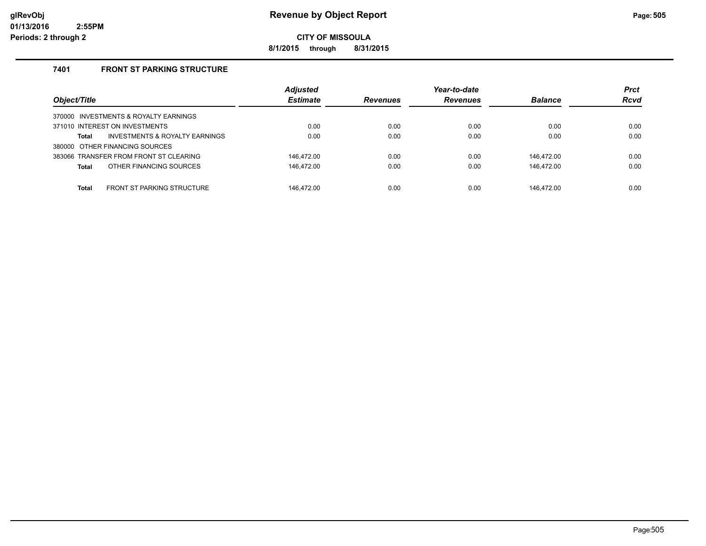**8/1/2015 through 8/31/2015**

## **7401 FRONT ST PARKING STRUCTURE**

| Object/Title                                      | <b>Adjusted</b><br><b>Estimate</b> | <b>Revenues</b> | Year-to-date<br><b>Revenues</b> | <b>Balance</b> | <b>Prct</b><br><b>Rcvd</b> |
|---------------------------------------------------|------------------------------------|-----------------|---------------------------------|----------------|----------------------------|
| 370000 INVESTMENTS & ROYALTY EARNINGS             |                                    |                 |                                 |                |                            |
| 371010 INTEREST ON INVESTMENTS                    | 0.00                               | 0.00            | 0.00                            | 0.00           | 0.00                       |
| INVESTMENTS & ROYALTY EARNINGS<br>Total           | 0.00                               | 0.00            | 0.00                            | 0.00           | 0.00                       |
| 380000 OTHER FINANCING SOURCES                    |                                    |                 |                                 |                |                            |
| 383066 TRANSFER FROM FRONT ST CLEARING            | 146.472.00                         | 0.00            | 0.00                            | 146.472.00     | 0.00                       |
| OTHER FINANCING SOURCES<br><b>Total</b>           | 146,472.00                         | 0.00            | 0.00                            | 146.472.00     | 0.00                       |
| <b>FRONT ST PARKING STRUCTURE</b><br><b>Total</b> | 146.472.00                         | 0.00            | 0.00                            | 146.472.00     | 0.00                       |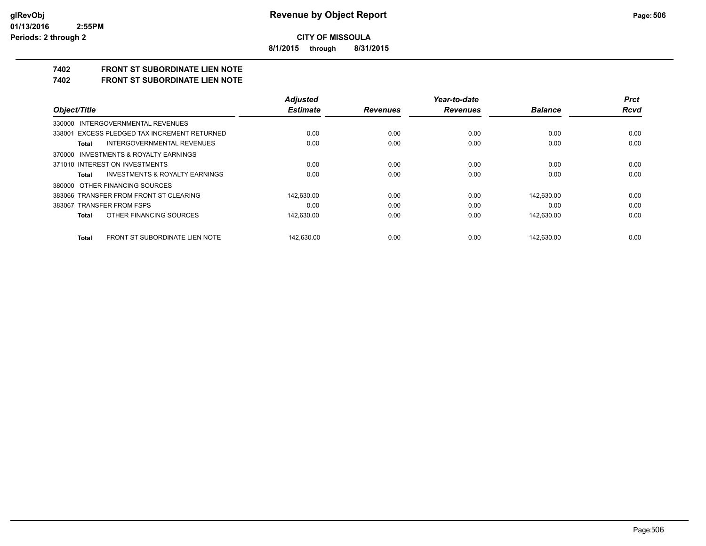**8/1/2015 through 8/31/2015**

# **7402 FRONT ST SUBORDINATE LIEN NOTE**

**7402 FRONT ST SUBORDINATE LIEN NOTE**

|                                                    | <b>Adjusted</b> |                 | Year-to-date    |                | <b>Prct</b> |
|----------------------------------------------------|-----------------|-----------------|-----------------|----------------|-------------|
| Object/Title                                       | <b>Estimate</b> | <b>Revenues</b> | <b>Revenues</b> | <b>Balance</b> | Rcvd        |
| 330000 INTERGOVERNMENTAL REVENUES                  |                 |                 |                 |                |             |
| 338001 EXCESS PLEDGED TAX INCREMENT RETURNED       | 0.00            | 0.00            | 0.00            | 0.00           | 0.00        |
| <b>INTERGOVERNMENTAL REVENUES</b><br>Total         | 0.00            | 0.00            | 0.00            | 0.00           | 0.00        |
| 370000 INVESTMENTS & ROYALTY EARNINGS              |                 |                 |                 |                |             |
| 371010 INTEREST ON INVESTMENTS                     | 0.00            | 0.00            | 0.00            | 0.00           | 0.00        |
| <b>INVESTMENTS &amp; ROYALTY EARNINGS</b><br>Total | 0.00            | 0.00            | 0.00            | 0.00           | 0.00        |
| 380000 OTHER FINANCING SOURCES                     |                 |                 |                 |                |             |
| 383066 TRANSFER FROM FRONT ST CLEARING             | 142.630.00      | 0.00            | 0.00            | 142.630.00     | 0.00        |
| 383067 TRANSFER FROM FSPS                          | 0.00            | 0.00            | 0.00            | 0.00           | 0.00        |
| OTHER FINANCING SOURCES<br>Total                   | 142,630.00      | 0.00            | 0.00            | 142,630.00     | 0.00        |
| FRONT ST SUBORDINATE LIEN NOTE<br>Total            | 142.630.00      | 0.00            | 0.00            | 142.630.00     | 0.00        |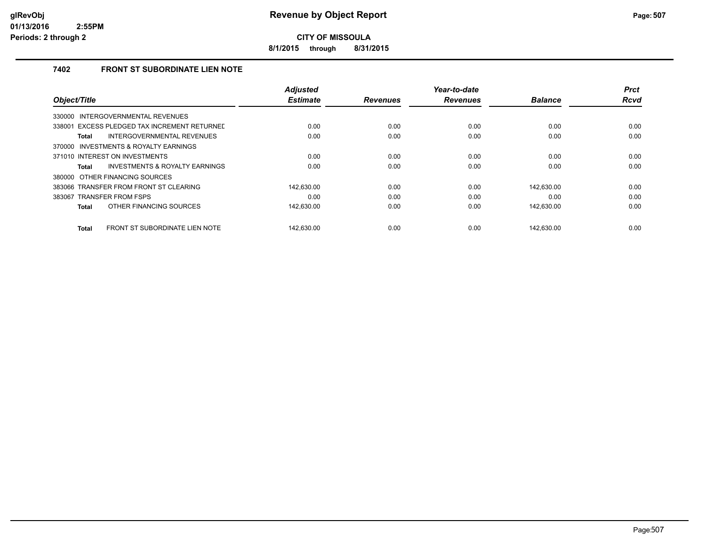**8/1/2015 through 8/31/2015**

## **7402 FRONT ST SUBORDINATE LIEN NOTE**

|                                                 | <b>Adjusted</b> |                 | Year-to-date    |                | <b>Prct</b> |
|-------------------------------------------------|-----------------|-----------------|-----------------|----------------|-------------|
| Object/Title                                    | <b>Estimate</b> | <b>Revenues</b> | <b>Revenues</b> | <b>Balance</b> | <b>Rcvd</b> |
| INTERGOVERNMENTAL REVENUES<br>330000            |                 |                 |                 |                |             |
| EXCESS PLEDGED TAX INCREMENT RETURNED<br>338001 | 0.00            | 0.00            | 0.00            | 0.00           | 0.00        |
| INTERGOVERNMENTAL REVENUES<br><b>Total</b>      | 0.00            | 0.00            | 0.00            | 0.00           | 0.00        |
| 370000 INVESTMENTS & ROYALTY EARNINGS           |                 |                 |                 |                |             |
| 371010 INTEREST ON INVESTMENTS                  | 0.00            | 0.00            | 0.00            | 0.00           | 0.00        |
| INVESTMENTS & ROYALTY EARNINGS<br><b>Total</b>  | 0.00            | 0.00            | 0.00            | 0.00           | 0.00        |
| 380000 OTHER FINANCING SOURCES                  |                 |                 |                 |                |             |
| 383066 TRANSFER FROM FRONT ST CLEARING          | 142.630.00      | 0.00            | 0.00            | 142.630.00     | 0.00        |
| 383067 TRANSFER FROM FSPS                       | 0.00            | 0.00            | 0.00            | 0.00           | 0.00        |
| OTHER FINANCING SOURCES<br><b>Total</b>         | 142,630.00      | 0.00            | 0.00            | 142,630.00     | 0.00        |
|                                                 |                 |                 |                 |                |             |
| FRONT ST SUBORDINATE LIEN NOTE<br><b>Total</b>  | 142.630.00      | 0.00            | 0.00            | 142.630.00     | 0.00        |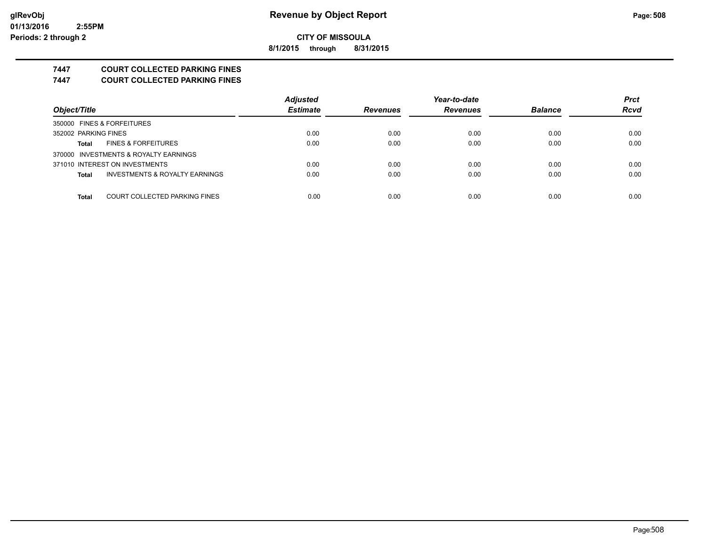**8/1/2015 through 8/31/2015**

## **7447 COURT COLLECTED PARKING FINES**

**7447 COURT COLLECTED PARKING FINES**

|                                         | <b>Adjusted</b> |                 | Year-to-date    |                | <b>Prct</b> |
|-----------------------------------------|-----------------|-----------------|-----------------|----------------|-------------|
| Object/Title                            | <b>Estimate</b> | <b>Revenues</b> | <b>Revenues</b> | <b>Balance</b> | <b>Rcvd</b> |
| 350000 FINES & FORFEITURES              |                 |                 |                 |                |             |
| 352002 PARKING FINES                    | 0.00            | 0.00            | 0.00            | 0.00           | 0.00        |
| <b>FINES &amp; FORFEITURES</b><br>Total | 0.00            | 0.00            | 0.00            | 0.00           | 0.00        |
| 370000 INVESTMENTS & ROYALTY EARNINGS   |                 |                 |                 |                |             |
| 371010 INTEREST ON INVESTMENTS          | 0.00            | 0.00            | 0.00            | 0.00           | 0.00        |
| INVESTMENTS & ROYALTY EARNINGS<br>Total | 0.00            | 0.00            | 0.00            | 0.00           | 0.00        |
|                                         |                 |                 |                 |                |             |
| COURT COLLECTED PARKING FINES<br>Total  | 0.00            | 0.00            | 0.00            | 0.00           | 0.00        |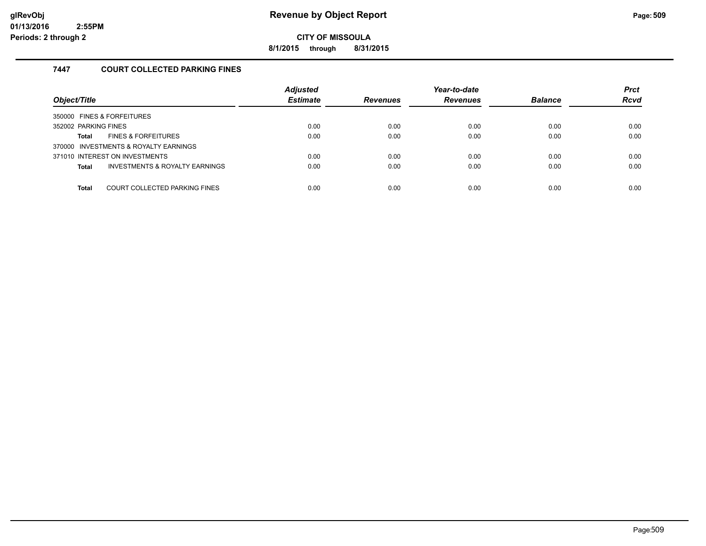**8/1/2015 through 8/31/2015**

## **7447 COURT COLLECTED PARKING FINES**

| Object/Title                                   | <b>Adjusted</b><br><b>Estimate</b> | <b>Revenues</b> | Year-to-date<br><b>Revenues</b> | <b>Balance</b> | <b>Prct</b><br><b>Rcvd</b> |
|------------------------------------------------|------------------------------------|-----------------|---------------------------------|----------------|----------------------------|
| 350000 FINES & FORFEITURES                     |                                    |                 |                                 |                |                            |
| 352002 PARKING FINES                           | 0.00                               | 0.00            | 0.00                            | 0.00           | 0.00                       |
| <b>FINES &amp; FORFEITURES</b><br>Total        | 0.00                               | 0.00            | 0.00                            | 0.00           | 0.00                       |
| 370000 INVESTMENTS & ROYALTY EARNINGS          |                                    |                 |                                 |                |                            |
| 371010 INTEREST ON INVESTMENTS                 | 0.00                               | 0.00            | 0.00                            | 0.00           | 0.00                       |
| INVESTMENTS & ROYALTY EARNINGS<br><b>Total</b> | 0.00                               | 0.00            | 0.00                            | 0.00           | 0.00                       |
|                                                |                                    |                 |                                 |                |                            |
| COURT COLLECTED PARKING FINES<br>Total         | 0.00                               | 0.00            | 0.00                            | 0.00           | 0.00                       |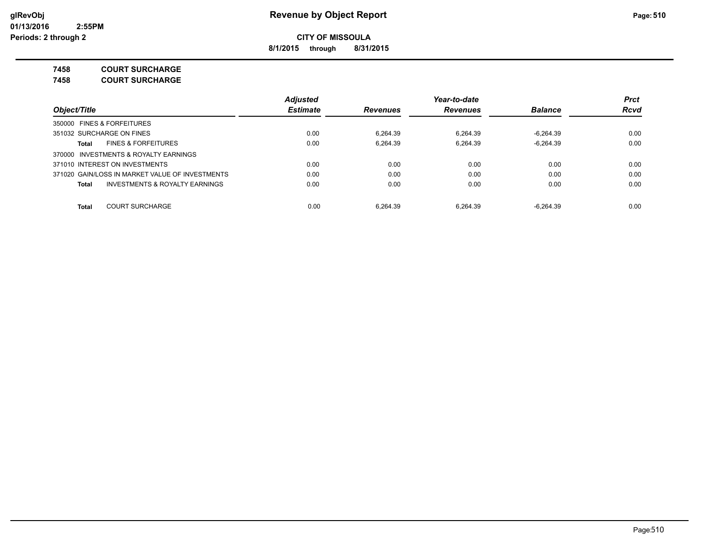**8/1/2015 through 8/31/2015**

**7458 COURT SURCHARGE**

**7458 COURT SURCHARGE**

|                                                 | <b>Adjusted</b> |                 | Year-to-date    |                | <b>Prct</b> |
|-------------------------------------------------|-----------------|-----------------|-----------------|----------------|-------------|
| Object/Title                                    | <b>Estimate</b> | <b>Revenues</b> | <b>Revenues</b> | <b>Balance</b> | <b>Rcvd</b> |
| 350000 FINES & FORFEITURES                      |                 |                 |                 |                |             |
| 351032 SURCHARGE ON FINES                       | 0.00            | 6.264.39        | 6.264.39        | $-6.264.39$    | 0.00        |
| <b>FINES &amp; FORFEITURES</b><br>Total         | 0.00            | 6.264.39        | 6.264.39        | $-6.264.39$    | 0.00        |
| 370000 INVESTMENTS & ROYALTY EARNINGS           |                 |                 |                 |                |             |
| 371010 INTEREST ON INVESTMENTS                  | 0.00            | 0.00            | 0.00            | 0.00           | 0.00        |
| 371020 GAIN/LOSS IN MARKET VALUE OF INVESTMENTS | 0.00            | 0.00            | 0.00            | 0.00           | 0.00        |
| INVESTMENTS & ROYALTY EARNINGS<br>Total         | 0.00            | 0.00            | 0.00            | 0.00           | 0.00        |
|                                                 |                 |                 |                 |                |             |
| <b>COURT SURCHARGE</b><br>Total                 | 0.00            | 6.264.39        | 6.264.39        | $-6.264.39$    | 0.00        |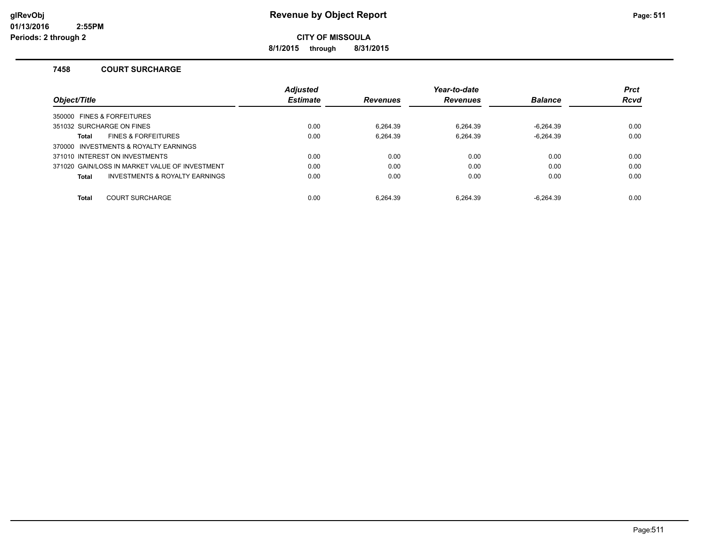**8/1/2015 through 8/31/2015**

### **7458 COURT SURCHARGE**

|                                                | <b>Adjusted</b> |                 | Year-to-date    |                | <b>Prct</b> |
|------------------------------------------------|-----------------|-----------------|-----------------|----------------|-------------|
| Object/Title                                   | <b>Estimate</b> | <b>Revenues</b> | <b>Revenues</b> | <b>Balance</b> | <b>Rcvd</b> |
| 350000 FINES & FORFEITURES                     |                 |                 |                 |                |             |
| 351032 SURCHARGE ON FINES                      | 0.00            | 6.264.39        | 6.264.39        | -6.264.39      | 0.00        |
| <b>FINES &amp; FORFEITURES</b><br><b>Total</b> | 0.00            | 6.264.39        | 6.264.39        | $-6.264.39$    | 0.00        |
| 370000 INVESTMENTS & ROYALTY EARNINGS          |                 |                 |                 |                |             |
| 371010 INTEREST ON INVESTMENTS                 | 0.00            | 0.00            | 0.00            | 0.00           | 0.00        |
| 371020 GAIN/LOSS IN MARKET VALUE OF INVESTMENT | 0.00            | 0.00            | 0.00            | 0.00           | 0.00        |
| INVESTMENTS & ROYALTY EARNINGS<br><b>Total</b> | 0.00            | 0.00            | 0.00            | 0.00           | 0.00        |
|                                                |                 |                 |                 |                |             |
| <b>COURT SURCHARGE</b><br><b>Total</b>         | 0.00            | 6.264.39        | 6.264.39        | $-6.264.39$    | 0.00        |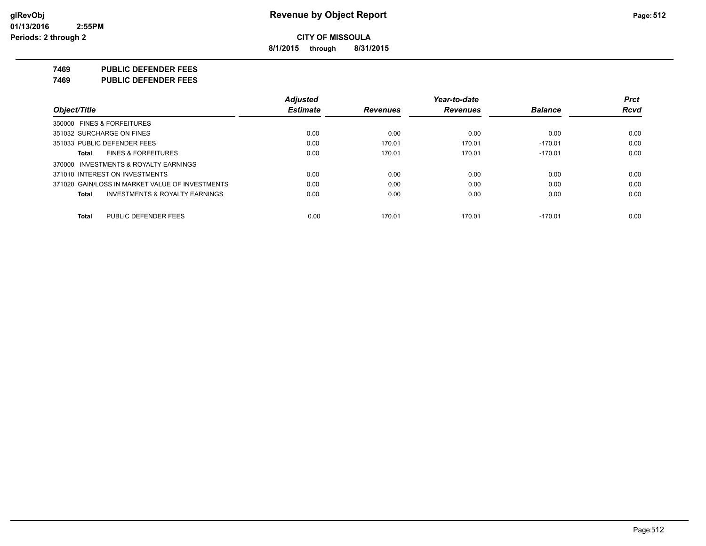**8/1/2015 through 8/31/2015**

**7469 PUBLIC DEFENDER FEES**

**7469 PUBLIC DEFENDER FEES**

|                                                    | <b>Adjusted</b> |                 | Year-to-date    |                | <b>Prct</b> |
|----------------------------------------------------|-----------------|-----------------|-----------------|----------------|-------------|
| Object/Title                                       | <b>Estimate</b> | <b>Revenues</b> | <b>Revenues</b> | <b>Balance</b> | <b>Rcvd</b> |
| 350000 FINES & FORFEITURES                         |                 |                 |                 |                |             |
| 351032 SURCHARGE ON FINES                          | 0.00            | 0.00            | 0.00            | 0.00           | 0.00        |
| 351033 PUBLIC DEFENDER FEES                        | 0.00            | 170.01          | 170.01          | $-170.01$      | 0.00        |
| <b>FINES &amp; FORFEITURES</b><br>Total            | 0.00            | 170.01          | 170.01          | $-170.01$      | 0.00        |
| 370000 INVESTMENTS & ROYALTY EARNINGS              |                 |                 |                 |                |             |
| 371010 INTEREST ON INVESTMENTS                     | 0.00            | 0.00            | 0.00            | 0.00           | 0.00        |
| 371020 GAIN/LOSS IN MARKET VALUE OF INVESTMENTS    | 0.00            | 0.00            | 0.00            | 0.00           | 0.00        |
| <b>INVESTMENTS &amp; ROYALTY EARNINGS</b><br>Total | 0.00            | 0.00            | 0.00            | 0.00           | 0.00        |
| PUBLIC DEFENDER FEES<br>Total                      | 0.00            | 170.01          | 170.01          | $-170.01$      | 0.00        |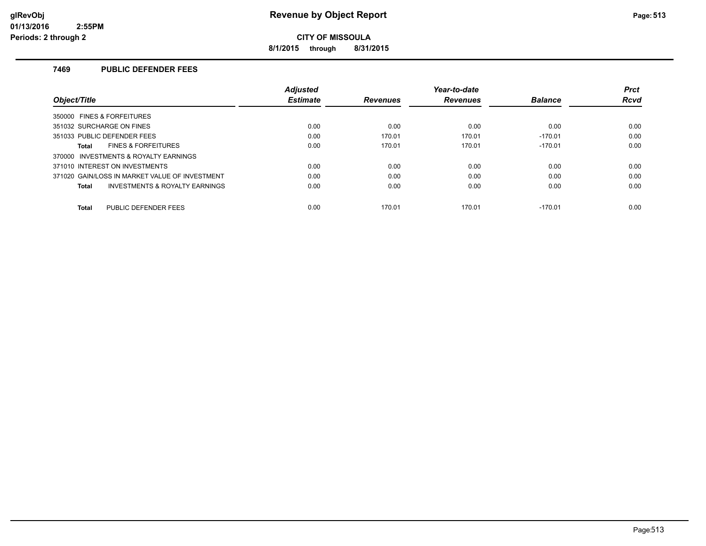**8/1/2015 through 8/31/2015**

### **7469 PUBLIC DEFENDER FEES**

|                                                           | <b>Adjusted</b> |                 | Year-to-date    |                | <b>Prct</b> |
|-----------------------------------------------------------|-----------------|-----------------|-----------------|----------------|-------------|
| Object/Title                                              | <b>Estimate</b> | <b>Revenues</b> | <b>Revenues</b> | <b>Balance</b> | <b>Rcvd</b> |
| 350000 FINES & FORFEITURES                                |                 |                 |                 |                |             |
| 351032 SURCHARGE ON FINES                                 | 0.00            | 0.00            | 0.00            | 0.00           | 0.00        |
| 351033 PUBLIC DEFENDER FEES                               | 0.00            | 170.01          | 170.01          | $-170.01$      | 0.00        |
| <b>FINES &amp; FORFEITURES</b><br>Total                   | 0.00            | 170.01          | 170.01          | $-170.01$      | 0.00        |
| 370000 INVESTMENTS & ROYALTY EARNINGS                     |                 |                 |                 |                |             |
| 371010 INTEREST ON INVESTMENTS                            | 0.00            | 0.00            | 0.00            | 0.00           | 0.00        |
| 371020 GAIN/LOSS IN MARKET VALUE OF INVESTMENT            | 0.00            | 0.00            | 0.00            | 0.00           | 0.00        |
| <b>INVESTMENTS &amp; ROYALTY EARNINGS</b><br><b>Total</b> | 0.00            | 0.00            | 0.00            | 0.00           | 0.00        |
| <b>PUBLIC DEFENDER FEES</b><br>Total                      | 0.00            | 170.01          | 170.01          | $-170.01$      | 0.00        |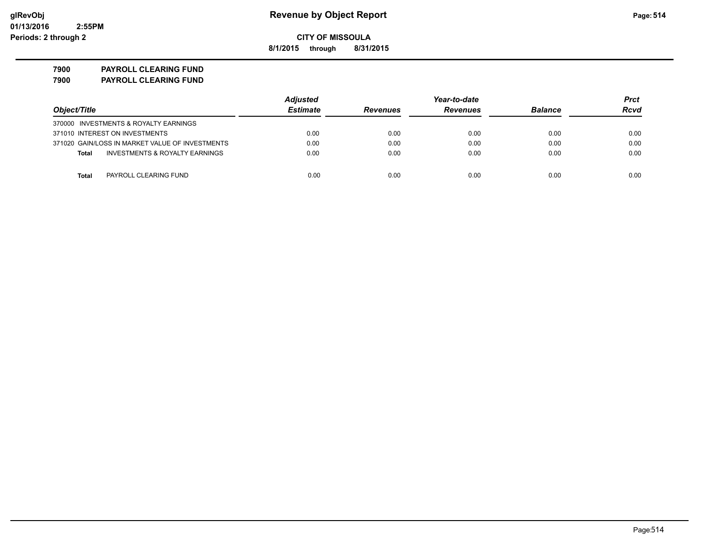**8/1/2015 through 8/31/2015**

**7900 PAYROLL CLEARING FUND 7900 PAYROLL CLEARING FUND**

|                                                 | <b>Adjusted</b> |                 | Year-to-date    |                |      |
|-------------------------------------------------|-----------------|-----------------|-----------------|----------------|------|
| Object/Title                                    | <b>Estimate</b> | <b>Revenues</b> | <b>Revenues</b> | <b>Balance</b> | Rcvd |
| 370000 INVESTMENTS & ROYALTY EARNINGS           |                 |                 |                 |                |      |
| 371010 INTEREST ON INVESTMENTS                  | 0.00            | 0.00            | 0.00            | 0.00           | 0.00 |
| 371020 GAIN/LOSS IN MARKET VALUE OF INVESTMENTS | 0.00            | 0.00            | 0.00            | 0.00           | 0.00 |
| INVESTMENTS & ROYALTY EARNINGS<br><b>Total</b>  | 0.00            | 0.00            | 0.00            | 0.00           | 0.00 |
|                                                 |                 |                 |                 |                |      |
| <b>Total</b><br>PAYROLL CLEARING FUND           | 0.00            | 0.00            | 0.00            | 0.00           | 0.00 |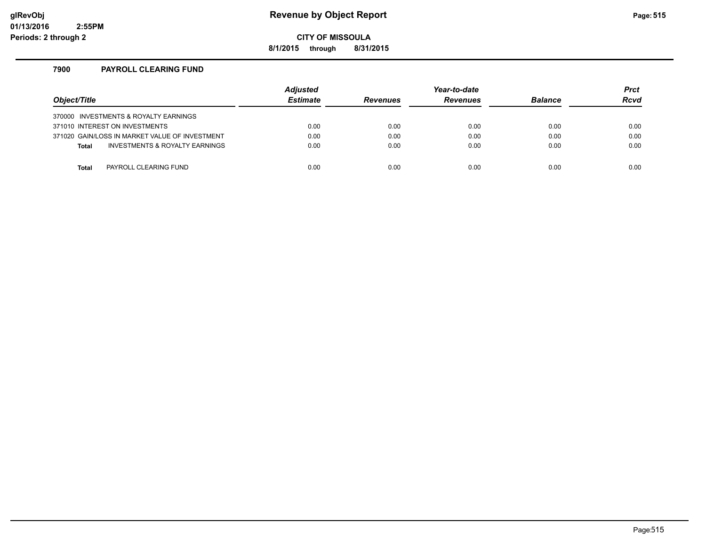## **glRevObj Revenue by Object Report Page:515**

**CITY OF MISSOULA**

**8/1/2015 through 8/31/2015**

### **7900 PAYROLL CLEARING FUND**

| Object/Title |                                                | <b>Adjusted</b><br><b>Estimate</b> | <b>Revenues</b> | Year-to-date<br><b>Revenues</b> | <b>Balance</b> | <b>Prct</b><br><b>Rcvd</b> |
|--------------|------------------------------------------------|------------------------------------|-----------------|---------------------------------|----------------|----------------------------|
|              | 370000 INVESTMENTS & ROYALTY EARNINGS          |                                    |                 |                                 |                |                            |
|              | 371010 INTEREST ON INVESTMENTS                 | 0.00                               | 0.00            | 0.00                            | 0.00           | 0.00                       |
|              | 371020 GAIN/LOSS IN MARKET VALUE OF INVESTMENT | 0.00                               | 0.00            | 0.00                            | 0.00           | 0.00                       |
| <b>Total</b> | INVESTMENTS & ROYALTY EARNINGS                 | 0.00                               | 0.00            | 0.00                            | 0.00           | 0.00                       |
|              |                                                |                                    |                 |                                 |                |                            |
| Total        | PAYROLL CLEARING FUND                          | 0.00                               | 0.00            | 0.00                            | 0.00           | 0.00                       |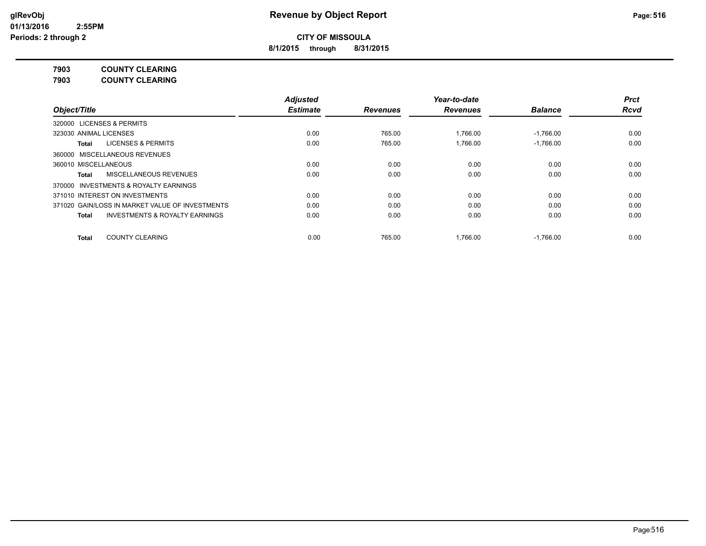**8/1/2015 through 8/31/2015**

**7903 COUNTY CLEARING**

**7903 COUNTY CLEARING**

|                                                           | <b>Adjusted</b> |                 | Year-to-date    |                | <b>Prct</b> |
|-----------------------------------------------------------|-----------------|-----------------|-----------------|----------------|-------------|
| Object/Title                                              | <b>Estimate</b> | <b>Revenues</b> | <b>Revenues</b> | <b>Balance</b> | <b>Rcvd</b> |
| <b>LICENSES &amp; PERMITS</b><br>320000                   |                 |                 |                 |                |             |
| 323030 ANIMAL LICENSES                                    | 0.00            | 765.00          | 1.766.00        | $-1.766.00$    | 0.00        |
| <b>LICENSES &amp; PERMITS</b><br>Total                    | 0.00            | 765.00          | 1.766.00        | $-1.766.00$    | 0.00        |
| 360000 MISCELLANEOUS REVENUES                             |                 |                 |                 |                |             |
| 360010 MISCELLANEOUS                                      | 0.00            | 0.00            | 0.00            | 0.00           | 0.00        |
| MISCELLANEOUS REVENUES<br>Total                           | 0.00            | 0.00            | 0.00            | 0.00           | 0.00        |
| <b>INVESTMENTS &amp; ROYALTY EARNINGS</b><br>370000       |                 |                 |                 |                |             |
| 371010 INTEREST ON INVESTMENTS                            | 0.00            | 0.00            | 0.00            | 0.00           | 0.00        |
| 371020 GAIN/LOSS IN MARKET VALUE OF INVESTMENTS           | 0.00            | 0.00            | 0.00            | 0.00           | 0.00        |
| <b>INVESTMENTS &amp; ROYALTY EARNINGS</b><br><b>Total</b> | 0.00            | 0.00            | 0.00            | 0.00           | 0.00        |
| <b>COUNTY CLEARING</b><br><b>Total</b>                    | 0.00            | 765.00          | 1.766.00        | $-1.766.00$    | 0.00        |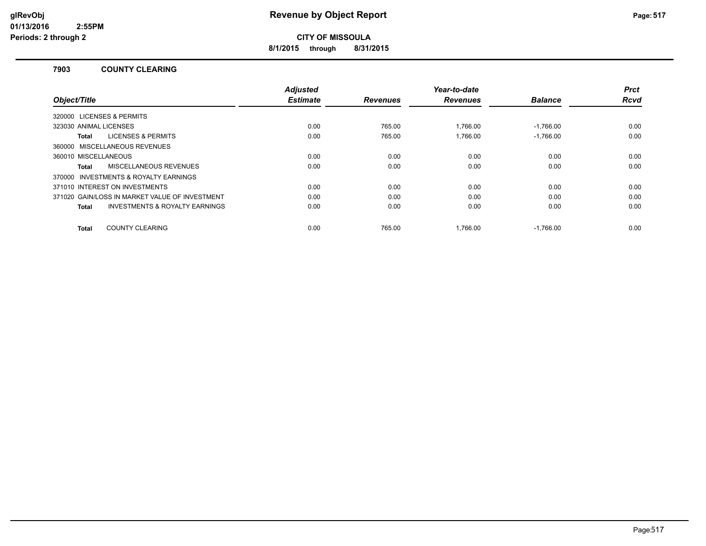**8/1/2015 through 8/31/2015**

### **7903 COUNTY CLEARING**

|                                                    | <b>Adjusted</b> |                 | Year-to-date    |                | <b>Prct</b> |
|----------------------------------------------------|-----------------|-----------------|-----------------|----------------|-------------|
| Object/Title                                       | <b>Estimate</b> | <b>Revenues</b> | <b>Revenues</b> | <b>Balance</b> | <b>Rcvd</b> |
| 320000 LICENSES & PERMITS                          |                 |                 |                 |                |             |
| 323030 ANIMAL LICENSES                             | 0.00            | 765.00          | 1.766.00        | $-1.766.00$    | 0.00        |
| <b>LICENSES &amp; PERMITS</b><br>Total             | 0.00            | 765.00          | 1.766.00        | $-1.766.00$    | 0.00        |
| 360000 MISCELLANEOUS REVENUES                      |                 |                 |                 |                |             |
| 360010 MISCELLANEOUS                               | 0.00            | 0.00            | 0.00            | 0.00           | 0.00        |
| MISCELLANEOUS REVENUES<br>Total                    | 0.00            | 0.00            | 0.00            | 0.00           | 0.00        |
| 370000 INVESTMENTS & ROYALTY EARNINGS              |                 |                 |                 |                |             |
| 371010 INTEREST ON INVESTMENTS                     | 0.00            | 0.00            | 0.00            | 0.00           | 0.00        |
| 371020 GAIN/LOSS IN MARKET VALUE OF INVESTMENT     | 0.00            | 0.00            | 0.00            | 0.00           | 0.00        |
| <b>INVESTMENTS &amp; ROYALTY EARNINGS</b><br>Total | 0.00            | 0.00            | 0.00            | 0.00           | 0.00        |
|                                                    |                 |                 |                 |                |             |
| <b>COUNTY CLEARING</b><br>Total                    | 0.00            | 765.00          | 1.766.00        | $-1.766.00$    | 0.00        |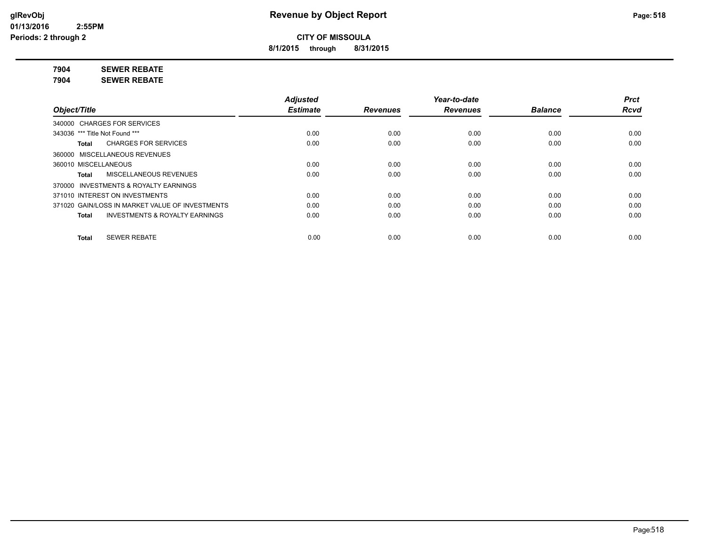**8/1/2015 through 8/31/2015**

**7904 SEWER REBATE**

**7904 SEWER REBATE**

|                                                           | <b>Adjusted</b> |                 | Year-to-date    |                | <b>Prct</b> |
|-----------------------------------------------------------|-----------------|-----------------|-----------------|----------------|-------------|
| Object/Title                                              | <b>Estimate</b> | <b>Revenues</b> | <b>Revenues</b> | <b>Balance</b> | <b>Rcvd</b> |
| 340000 CHARGES FOR SERVICES                               |                 |                 |                 |                |             |
| 343036 *** Title Not Found ***                            | 0.00            | 0.00            | 0.00            | 0.00           | 0.00        |
| <b>CHARGES FOR SERVICES</b><br>Total                      | 0.00            | 0.00            | 0.00            | 0.00           | 0.00        |
| 360000 MISCELLANEOUS REVENUES                             |                 |                 |                 |                |             |
| 360010 MISCELLANEOUS                                      | 0.00            | 0.00            | 0.00            | 0.00           | 0.00        |
| MISCELLANEOUS REVENUES<br>Total                           | 0.00            | 0.00            | 0.00            | 0.00           | 0.00        |
| 370000 INVESTMENTS & ROYALTY EARNINGS                     |                 |                 |                 |                |             |
| 371010 INTEREST ON INVESTMENTS                            | 0.00            | 0.00            | 0.00            | 0.00           | 0.00        |
| 371020 GAIN/LOSS IN MARKET VALUE OF INVESTMENTS           | 0.00            | 0.00            | 0.00            | 0.00           | 0.00        |
| <b>INVESTMENTS &amp; ROYALTY EARNINGS</b><br><b>Total</b> | 0.00            | 0.00            | 0.00            | 0.00           | 0.00        |
| <b>SEWER REBATE</b><br><b>Total</b>                       | 0.00            | 0.00            | 0.00            | 0.00           | 0.00        |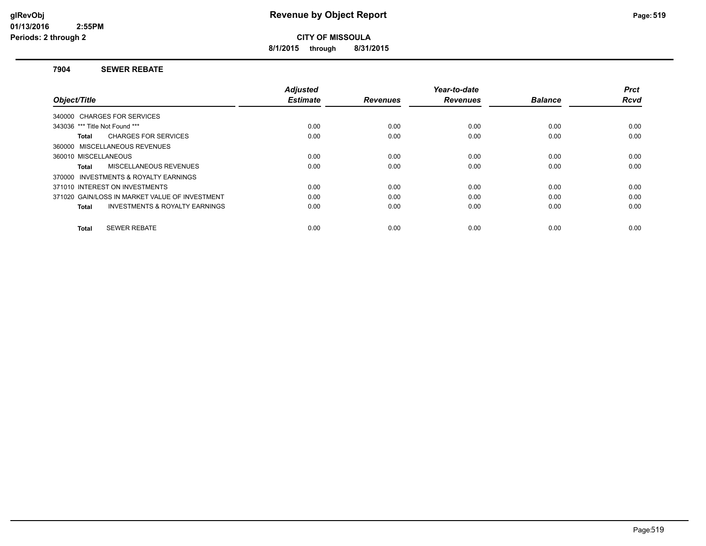**8/1/2015 through 8/31/2015**

### **7904 SEWER REBATE**

|                                                    | <b>Adjusted</b> |                 | Year-to-date    |                | <b>Prct</b> |
|----------------------------------------------------|-----------------|-----------------|-----------------|----------------|-------------|
| Object/Title                                       | <b>Estimate</b> | <b>Revenues</b> | <b>Revenues</b> | <b>Balance</b> | <b>Rcvd</b> |
| 340000 CHARGES FOR SERVICES                        |                 |                 |                 |                |             |
| 343036 *** Title Not Found ***                     | 0.00            | 0.00            | 0.00            | 0.00           | 0.00        |
| <b>CHARGES FOR SERVICES</b><br>Total               | 0.00            | 0.00            | 0.00            | 0.00           | 0.00        |
| 360000 MISCELLANEOUS REVENUES                      |                 |                 |                 |                |             |
| 360010 MISCELLANEOUS                               | 0.00            | 0.00            | 0.00            | 0.00           | 0.00        |
| MISCELLANEOUS REVENUES<br>Total                    | 0.00            | 0.00            | 0.00            | 0.00           | 0.00        |
| 370000 INVESTMENTS & ROYALTY EARNINGS              |                 |                 |                 |                |             |
| 371010 INTEREST ON INVESTMENTS                     | 0.00            | 0.00            | 0.00            | 0.00           | 0.00        |
| 371020 GAIN/LOSS IN MARKET VALUE OF INVESTMENT     | 0.00            | 0.00            | 0.00            | 0.00           | 0.00        |
| <b>INVESTMENTS &amp; ROYALTY EARNINGS</b><br>Total | 0.00            | 0.00            | 0.00            | 0.00           | 0.00        |
|                                                    |                 |                 |                 |                |             |
| <b>SEWER REBATE</b><br>Total                       | 0.00            | 0.00            | 0.00            | 0.00           | 0.00        |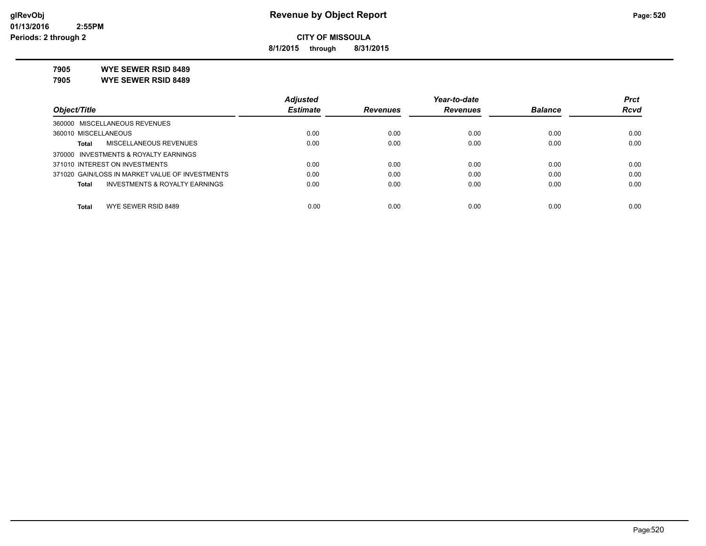**8/1/2015 through 8/31/2015**

**7905 WYE SEWER RSID 8489**

**7905 WYE SEWER RSID 8489**

|                                                 | <b>Adjusted</b> |                 | Year-to-date    |                | <b>Prct</b> |
|-------------------------------------------------|-----------------|-----------------|-----------------|----------------|-------------|
| Object/Title                                    | <b>Estimate</b> | <b>Revenues</b> | <b>Revenues</b> | <b>Balance</b> | <b>Rcvd</b> |
| 360000 MISCELLANEOUS REVENUES                   |                 |                 |                 |                |             |
| 360010 MISCELLANEOUS                            | 0.00            | 0.00            | 0.00            | 0.00           | 0.00        |
| MISCELLANEOUS REVENUES<br>Total                 | 0.00            | 0.00            | 0.00            | 0.00           | 0.00        |
| 370000 INVESTMENTS & ROYALTY EARNINGS           |                 |                 |                 |                |             |
| 371010 INTEREST ON INVESTMENTS                  | 0.00            | 0.00            | 0.00            | 0.00           | 0.00        |
| 371020 GAIN/LOSS IN MARKET VALUE OF INVESTMENTS | 0.00            | 0.00            | 0.00            | 0.00           | 0.00        |
| INVESTMENTS & ROYALTY EARNINGS<br>Total         | 0.00            | 0.00            | 0.00            | 0.00           | 0.00        |
|                                                 |                 |                 |                 |                |             |
| WYE SEWER RSID 8489<br><b>Total</b>             | 0.00            | 0.00            | 0.00            | 0.00           | 0.00        |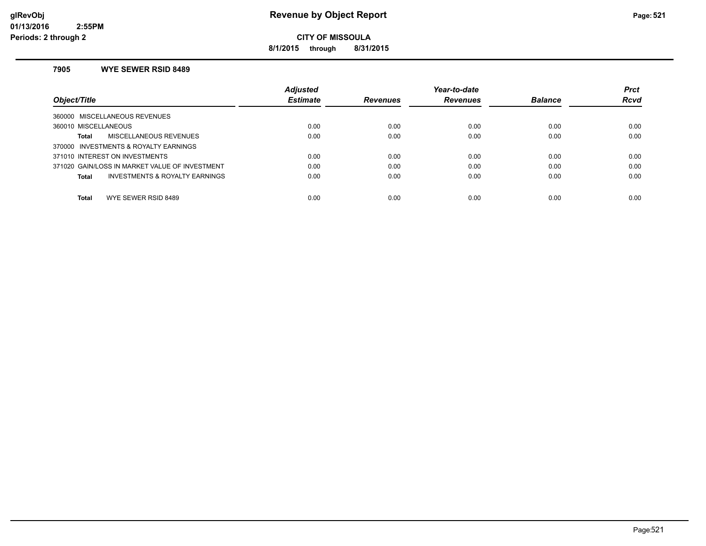**8/1/2015 through 8/31/2015**

### **7905 WYE SEWER RSID 8489**

|                                                | <b>Adjusted</b> |                 | Year-to-date    |                | <b>Prct</b> |
|------------------------------------------------|-----------------|-----------------|-----------------|----------------|-------------|
| Object/Title                                   | <b>Estimate</b> | <b>Revenues</b> | <b>Revenues</b> | <b>Balance</b> | <b>Rcvd</b> |
| 360000 MISCELLANEOUS REVENUES                  |                 |                 |                 |                |             |
| 360010 MISCELLANEOUS                           | 0.00            | 0.00            | 0.00            | 0.00           | 0.00        |
| MISCELLANEOUS REVENUES<br>Total                | 0.00            | 0.00            | 0.00            | 0.00           | 0.00        |
| 370000 INVESTMENTS & ROYALTY EARNINGS          |                 |                 |                 |                |             |
| 371010 INTEREST ON INVESTMENTS                 | 0.00            | 0.00            | 0.00            | 0.00           | 0.00        |
| 371020 GAIN/LOSS IN MARKET VALUE OF INVESTMENT | 0.00            | 0.00            | 0.00            | 0.00           | 0.00        |
| INVESTMENTS & ROYALTY EARNINGS<br>Total        | 0.00            | 0.00            | 0.00            | 0.00           | 0.00        |
|                                                |                 |                 |                 |                |             |
| <b>Total</b><br>WYE SEWER RSID 8489            | 0.00            | 0.00            | 0.00            | 0.00           | 0.00        |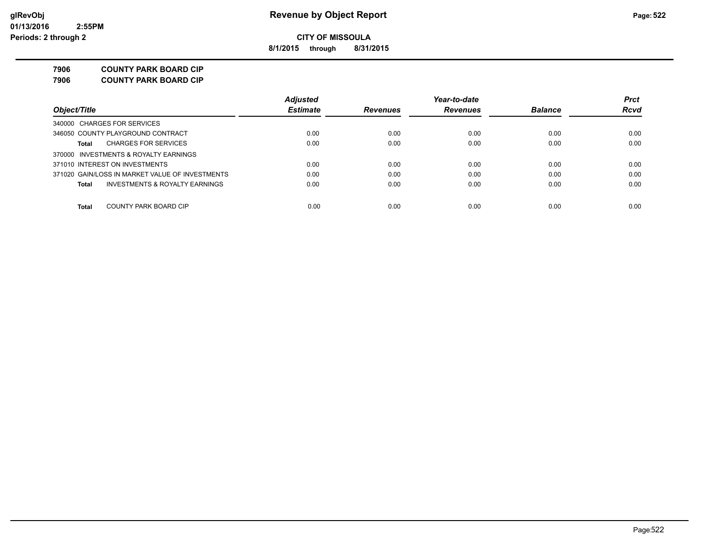**8/1/2015 through 8/31/2015**

**7906 COUNTY PARK BOARD CIP**

**7906 COUNTY PARK BOARD CIP**

|                                                    | <b>Adjusted</b> |                 | Year-to-date    |                | <b>Prct</b> |
|----------------------------------------------------|-----------------|-----------------|-----------------|----------------|-------------|
| Object/Title                                       | <b>Estimate</b> | <b>Revenues</b> | <b>Revenues</b> | <b>Balance</b> | <b>Rcvd</b> |
| 340000 CHARGES FOR SERVICES                        |                 |                 |                 |                |             |
| 346050 COUNTY PLAYGROUND CONTRACT                  | 0.00            | 0.00            | 0.00            | 0.00           | 0.00        |
| <b>CHARGES FOR SERVICES</b><br>Total               | 0.00            | 0.00            | 0.00            | 0.00           | 0.00        |
| 370000 INVESTMENTS & ROYALTY EARNINGS              |                 |                 |                 |                |             |
| 371010 INTEREST ON INVESTMENTS                     | 0.00            | 0.00            | 0.00            | 0.00           | 0.00        |
| 371020 GAIN/LOSS IN MARKET VALUE OF INVESTMENTS    | 0.00            | 0.00            | 0.00            | 0.00           | 0.00        |
| <b>INVESTMENTS &amp; ROYALTY EARNINGS</b><br>Total | 0.00            | 0.00            | 0.00            | 0.00           | 0.00        |
|                                                    |                 |                 |                 |                |             |
| Total<br>COUNTY PARK BOARD CIP                     | 0.00            | 0.00            | 0.00            | 0.00           | 0.00        |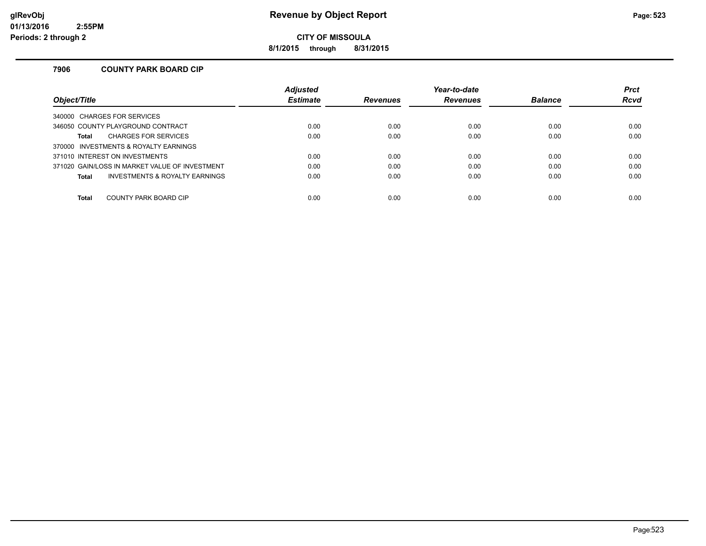**8/1/2015 through 8/31/2015**

### **7906 COUNTY PARK BOARD CIP**

|                                                | <b>Adjusted</b> |                 | Year-to-date    |                | <b>Prct</b> |
|------------------------------------------------|-----------------|-----------------|-----------------|----------------|-------------|
| Object/Title                                   | <b>Estimate</b> | <b>Revenues</b> | <b>Revenues</b> | <b>Balance</b> | <b>Rcvd</b> |
| 340000 CHARGES FOR SERVICES                    |                 |                 |                 |                |             |
| 346050 COUNTY PLAYGROUND CONTRACT              | 0.00            | 0.00            | 0.00            | 0.00           | 0.00        |
| <b>CHARGES FOR SERVICES</b><br><b>Total</b>    | 0.00            | 0.00            | 0.00            | 0.00           | 0.00        |
| 370000 INVESTMENTS & ROYALTY EARNINGS          |                 |                 |                 |                |             |
| 371010 INTEREST ON INVESTMENTS                 | 0.00            | 0.00            | 0.00            | 0.00           | 0.00        |
| 371020 GAIN/LOSS IN MARKET VALUE OF INVESTMENT | 0.00            | 0.00            | 0.00            | 0.00           | 0.00        |
| INVESTMENTS & ROYALTY EARNINGS<br><b>Total</b> | 0.00            | 0.00            | 0.00            | 0.00           | 0.00        |
|                                                |                 |                 |                 |                |             |
| <b>Total</b><br>COUNTY PARK BOARD CIP          | 0.00            | 0.00            | 0.00            | 0.00           | 0.00        |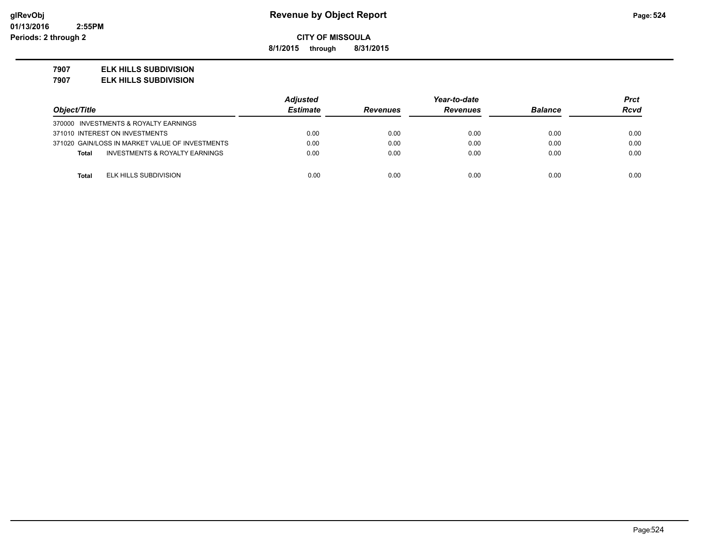**8/1/2015 through 8/31/2015**

### **7907 ELK HILLS SUBDIVISION**

**7907 ELK HILLS SUBDIVISION**

|                                                           | <b>Adjusted</b> | Year-to-date    |                 |                | Prct        |
|-----------------------------------------------------------|-----------------|-----------------|-----------------|----------------|-------------|
| Object/Title                                              | <b>Estimate</b> | <b>Revenues</b> | <b>Revenues</b> | <b>Balance</b> | <b>Rcvd</b> |
| 370000 INVESTMENTS & ROYALTY EARNINGS                     |                 |                 |                 |                |             |
| 371010 INTEREST ON INVESTMENTS                            | 0.00            | 0.00            | 0.00            | 0.00           | 0.00        |
| 371020 GAIN/LOSS IN MARKET VALUE OF INVESTMENTS           | 0.00            | 0.00            | 0.00            | 0.00           | 0.00        |
| <b>INVESTMENTS &amp; ROYALTY EARNINGS</b><br><b>Total</b> | 0.00            | 0.00            | 0.00            | 0.00           | 0.00        |
|                                                           |                 |                 |                 |                |             |
| ELK HILLS SUBDIVISION<br><b>Total</b>                     | 0.00            | 0.00            | 0.00            | 0.00           | 0.00        |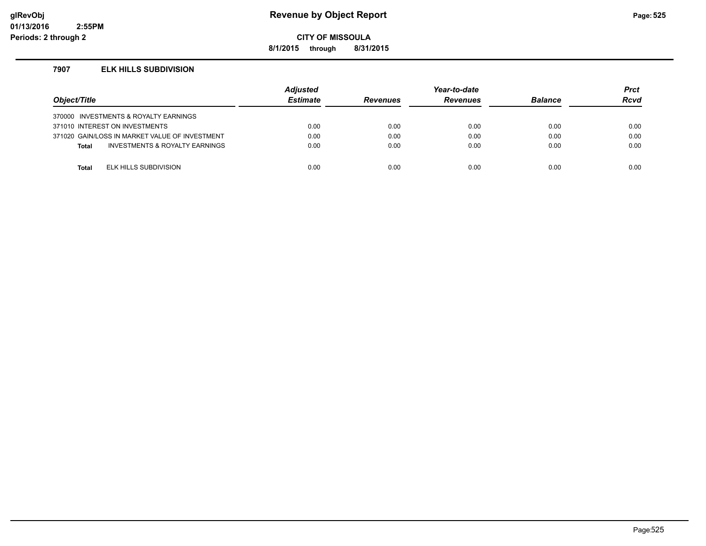## **glRevObj Revenue by Object Report Page:525**

**CITY OF MISSOULA**

**8/1/2015 through 8/31/2015**

### **7907 ELK HILLS SUBDIVISION**

| Object/Title |                                                | <b>Adjusted</b><br><b>Estimate</b> | <b>Revenues</b> | Year-to-date<br><b>Revenues</b> | <b>Balance</b> | <b>Prct</b><br>Rcvd |
|--------------|------------------------------------------------|------------------------------------|-----------------|---------------------------------|----------------|---------------------|
|              | 370000 INVESTMENTS & ROYALTY EARNINGS          |                                    |                 |                                 |                |                     |
|              | 371010 INTEREST ON INVESTMENTS                 | 0.00                               | 0.00            | 0.00                            | 0.00           | 0.00                |
|              | 371020 GAIN/LOSS IN MARKET VALUE OF INVESTMENT | 0.00                               | 0.00            | 0.00                            | 0.00           | 0.00                |
| <b>Total</b> | <b>INVESTMENTS &amp; ROYALTY EARNINGS</b>      | 0.00                               | 0.00            | 0.00                            | 0.00           | 0.00                |
|              |                                                |                                    |                 |                                 |                |                     |
| Total        | ELK HILLS SUBDIVISION                          | 0.00                               | 0.00            | 0.00                            | 0.00           | 0.00                |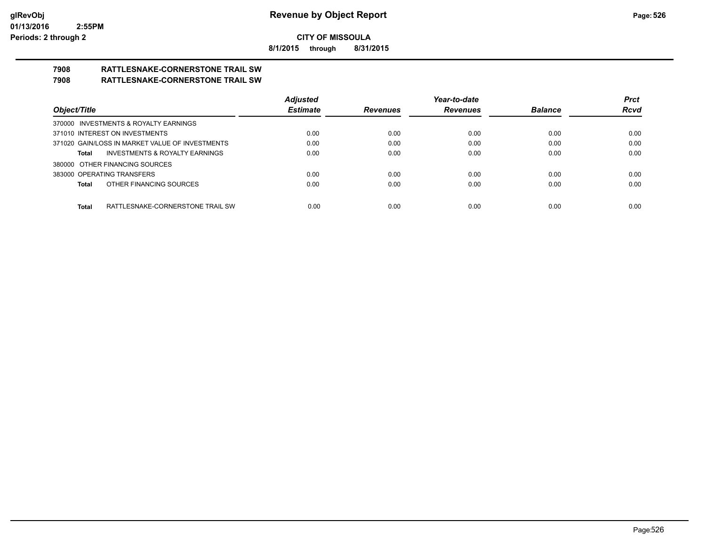**8/1/2015 through 8/31/2015**

# **7908 RATTLESNAKE-CORNERSTONE TRAIL SW**

## **7908 RATTLESNAKE-CORNERSTONE TRAIL SW**

|                                                    | <b>Adjusted</b> |                 | Year-to-date    |                | <b>Prct</b> |
|----------------------------------------------------|-----------------|-----------------|-----------------|----------------|-------------|
| Object/Title                                       | <b>Estimate</b> | <b>Revenues</b> | <b>Revenues</b> | <b>Balance</b> | <b>Rcvd</b> |
| 370000 INVESTMENTS & ROYALTY EARNINGS              |                 |                 |                 |                |             |
| 371010 INTEREST ON INVESTMENTS                     | 0.00            | 0.00            | 0.00            | 0.00           | 0.00        |
| 371020 GAIN/LOSS IN MARKET VALUE OF INVESTMENTS    | 0.00            | 0.00            | 0.00            | 0.00           | 0.00        |
| <b>INVESTMENTS &amp; ROYALTY EARNINGS</b><br>Total | 0.00            | 0.00            | 0.00            | 0.00           | 0.00        |
| 380000 OTHER FINANCING SOURCES                     |                 |                 |                 |                |             |
| 383000 OPERATING TRANSFERS                         | 0.00            | 0.00            | 0.00            | 0.00           | 0.00        |
| OTHER FINANCING SOURCES<br>Total                   | 0.00            | 0.00            | 0.00            | 0.00           | 0.00        |
|                                                    |                 |                 |                 |                |             |
| RATTLESNAKE-CORNERSTONE TRAIL SW<br>Total          | 0.00            | 0.00            | 0.00            | 0.00           | 0.00        |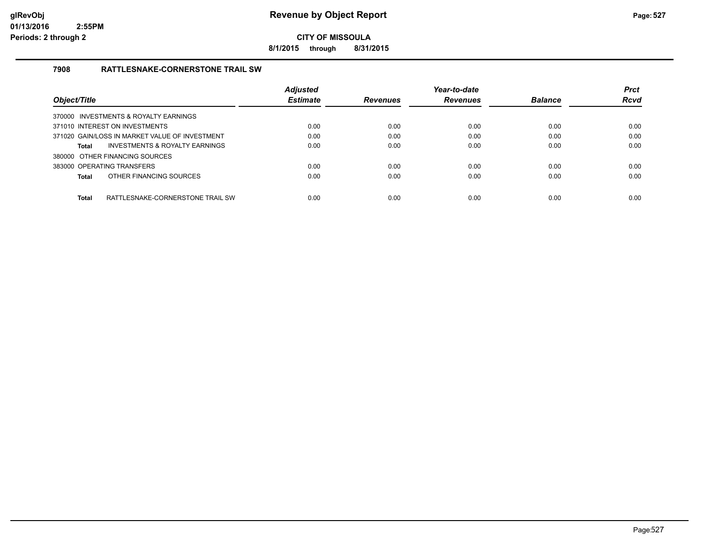**8/1/2015 through 8/31/2015**

## **7908 RATTLESNAKE-CORNERSTONE TRAIL SW**

|                                                | <b>Adjusted</b> |                 | Year-to-date    |                | <b>Prct</b> |
|------------------------------------------------|-----------------|-----------------|-----------------|----------------|-------------|
| Object/Title                                   | <b>Estimate</b> | <b>Revenues</b> | <b>Revenues</b> | <b>Balance</b> | <b>Rcvd</b> |
| 370000 INVESTMENTS & ROYALTY EARNINGS          |                 |                 |                 |                |             |
| 371010 INTEREST ON INVESTMENTS                 | 0.00            | 0.00            | 0.00            | 0.00           | 0.00        |
| 371020 GAIN/LOSS IN MARKET VALUE OF INVESTMENT | 0.00            | 0.00            | 0.00            | 0.00           | 0.00        |
| INVESTMENTS & ROYALTY EARNINGS<br>Total        | 0.00            | 0.00            | 0.00            | 0.00           | 0.00        |
| 380000 OTHER FINANCING SOURCES                 |                 |                 |                 |                |             |
| 383000 OPERATING TRANSFERS                     | 0.00            | 0.00            | 0.00            | 0.00           | 0.00        |
| OTHER FINANCING SOURCES<br>Total               | 0.00            | 0.00            | 0.00            | 0.00           | 0.00        |
| Total<br>RATTLESNAKE-CORNERSTONE TRAIL SW      | 0.00            | 0.00            | 0.00            | 0.00           | 0.00        |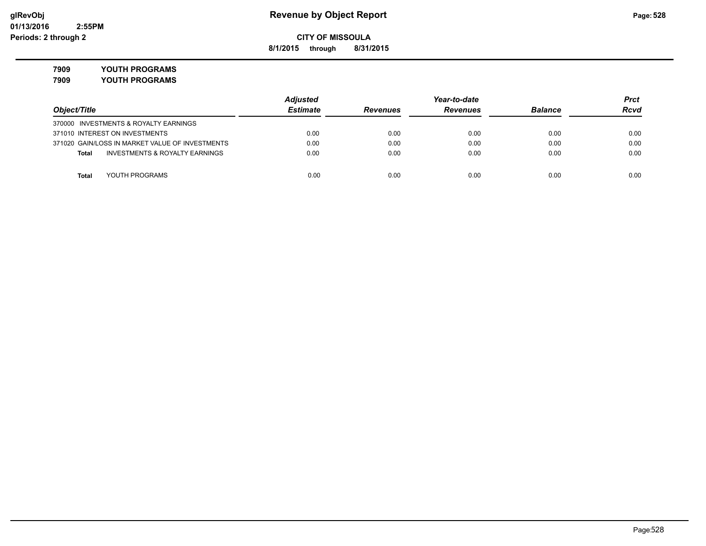**8/1/2015 through 8/31/2015**

**7909 YOUTH PROGRAMS**

|                                                    | <b>Adjusted</b> | Year-to-date    |                 |                | Prct |
|----------------------------------------------------|-----------------|-----------------|-----------------|----------------|------|
| Object/Title                                       | <b>Estimate</b> | <b>Revenues</b> | <b>Revenues</b> | <b>Balance</b> | Rcvd |
| 370000 INVESTMENTS & ROYALTY EARNINGS              |                 |                 |                 |                |      |
| 371010 INTEREST ON INVESTMENTS                     | 0.00            | 0.00            | 0.00            | 0.00           | 0.00 |
| 371020 GAIN/LOSS IN MARKET VALUE OF INVESTMENTS    | 0.00            | 0.00            | 0.00            | 0.00           | 0.00 |
| <b>INVESTMENTS &amp; ROYALTY EARNINGS</b><br>Total | 0.00            | 0.00            | 0.00            | 0.00           | 0.00 |
|                                                    |                 |                 |                 |                |      |
| YOUTH PROGRAMS<br><b>Total</b>                     | 0.00            | 0.00            | 0.00            | 0.00           | 0.00 |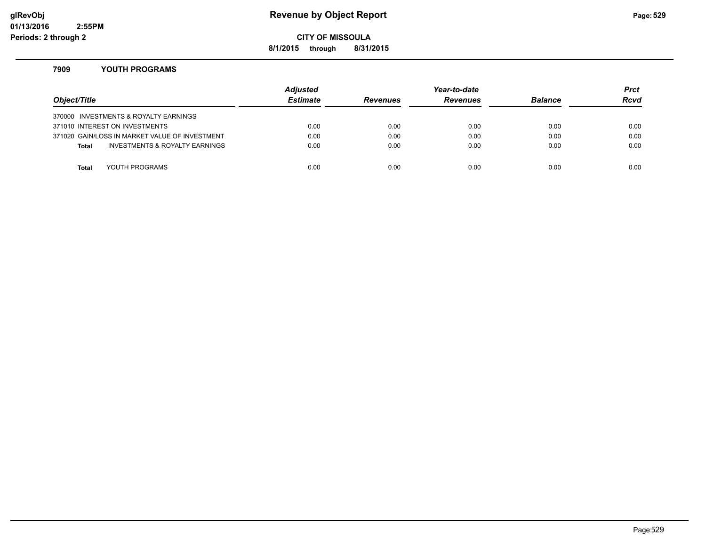## **glRevObj Revenue by Object Report Page:529**

**CITY OF MISSOULA**

**8/1/2015 through 8/31/2015**

### **7909 YOUTH PROGRAMS**

| Object/Title |                                                | <b>Adjusted</b><br><b>Estimate</b> | <b>Revenues</b> | Year-to-date<br><b>Revenues</b> | <b>Balance</b> | <b>Prct</b><br><b>Rcvd</b> |
|--------------|------------------------------------------------|------------------------------------|-----------------|---------------------------------|----------------|----------------------------|
|              | 370000 INVESTMENTS & ROYALTY EARNINGS          |                                    |                 |                                 |                |                            |
|              | 371010 INTEREST ON INVESTMENTS                 | 0.00                               | 0.00            | 0.00                            | 0.00           | 0.00                       |
|              | 371020 GAIN/LOSS IN MARKET VALUE OF INVESTMENT | 0.00                               | 0.00            | 0.00                            | 0.00           | 0.00                       |
| <b>Total</b> | INVESTMENTS & ROYALTY EARNINGS                 | 0.00                               | 0.00            | 0.00                            | 0.00           | 0.00                       |
|              |                                                |                                    |                 |                                 |                |                            |
| Total        | YOUTH PROGRAMS                                 | 0.00                               | 0.00            | 0.00                            | 0.00           | 0.00                       |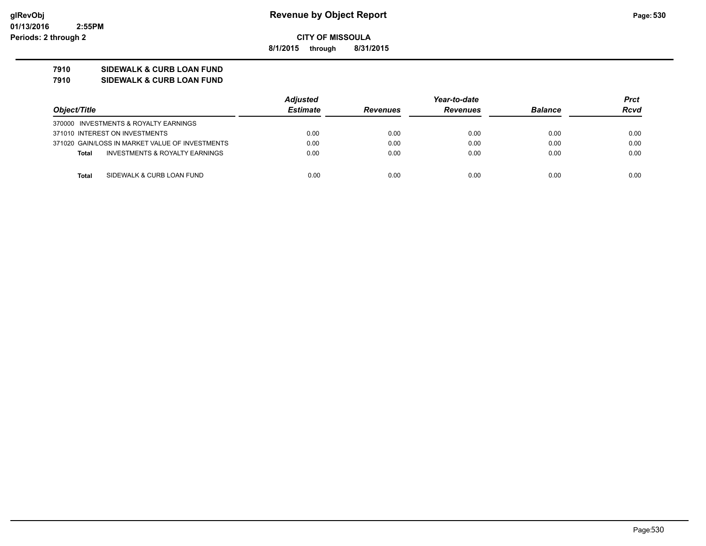**8/1/2015 through 8/31/2015**

## **7910 SIDEWALK & CURB LOAN FUND**

**7910 SIDEWALK & CURB LOAN FUND**

|                                |                                                 | <b>Adjusted</b> | Year-to-date    |                 |                | Prct        |
|--------------------------------|-------------------------------------------------|-----------------|-----------------|-----------------|----------------|-------------|
| Object/Title                   |                                                 | <b>Estimate</b> | <b>Revenues</b> | <b>Revenues</b> | <b>Balance</b> | <b>Rcvd</b> |
|                                | 370000 INVESTMENTS & ROYALTY EARNINGS           |                 |                 |                 |                |             |
| 371010 INTEREST ON INVESTMENTS |                                                 | 0.00            | 0.00            | 0.00            | 0.00           | 0.00        |
|                                | 371020 GAIN/LOSS IN MARKET VALUE OF INVESTMENTS | 0.00            | 0.00            | 0.00            | 0.00           | 0.00        |
| <b>Total</b>                   | INVESTMENTS & ROYALTY EARNINGS                  | 0.00            | 0.00            | 0.00            | 0.00           | 0.00        |
| Total                          | SIDEWALK & CURB LOAN FUND                       | 0.00            | 0.00            | 0.00            | 0.00           | 0.00        |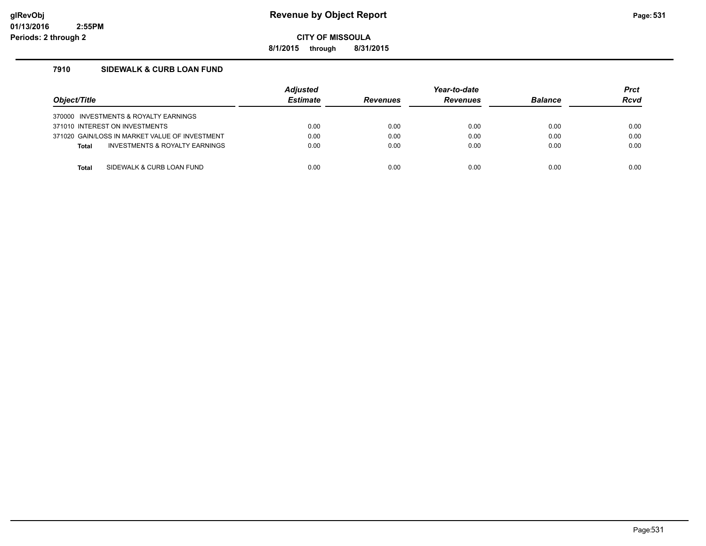## **glRevObj Revenue by Object Report Page:531**

**CITY OF MISSOULA**

**8/1/2015 through 8/31/2015**

## **7910 SIDEWALK & CURB LOAN FUND**

| Object/Title                                   | <b>Adjusted</b><br><b>Estimate</b> | <b>Revenues</b> | Year-to-date<br><b>Revenues</b> | <b>Balance</b> | <b>Prct</b><br>Rcvd |
|------------------------------------------------|------------------------------------|-----------------|---------------------------------|----------------|---------------------|
| 370000 INVESTMENTS & ROYALTY EARNINGS          |                                    |                 |                                 |                |                     |
| 371010 INTEREST ON INVESTMENTS                 | 0.00                               | 0.00            | 0.00                            | 0.00           | 0.00                |
| 371020 GAIN/LOSS IN MARKET VALUE OF INVESTMENT | 0.00                               | 0.00            | 0.00                            | 0.00           | 0.00                |
| INVESTMENTS & ROYALTY EARNINGS<br><b>Total</b> | 0.00                               | 0.00            | 0.00                            | 0.00           | 0.00                |
|                                                |                                    |                 |                                 |                |                     |
| SIDEWALK & CURB LOAN FUND<br>Total             | 0.00                               | 0.00            | 0.00                            | 0.00           | 0.00                |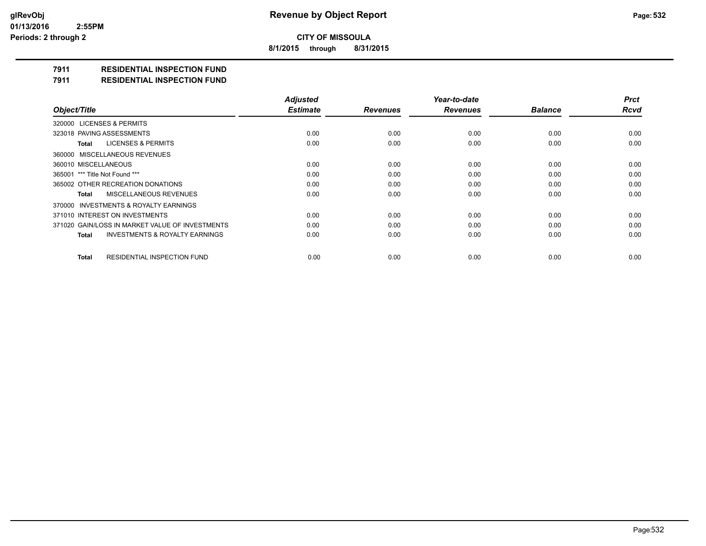**8/1/2015 through 8/31/2015**

## **7911 RESIDENTIAL INSPECTION FUND**

**7911 RESIDENTIAL INSPECTION FUND**

|                                                           | <b>Adjusted</b> |                 | Year-to-date    |                | <b>Prct</b> |
|-----------------------------------------------------------|-----------------|-----------------|-----------------|----------------|-------------|
| Object/Title                                              | <b>Estimate</b> | <b>Revenues</b> | <b>Revenues</b> | <b>Balance</b> | <b>Rcvd</b> |
| 320000 LICENSES & PERMITS                                 |                 |                 |                 |                |             |
| 323018 PAVING ASSESSMENTS                                 | 0.00            | 0.00            | 0.00            | 0.00           | 0.00        |
| LICENSES & PERMITS<br>Total                               | 0.00            | 0.00            | 0.00            | 0.00           | 0.00        |
| 360000 MISCELLANEOUS REVENUES                             |                 |                 |                 |                |             |
| 360010 MISCELLANEOUS                                      | 0.00            | 0.00            | 0.00            | 0.00           | 0.00        |
| 365001 *** Title Not Found ***                            | 0.00            | 0.00            | 0.00            | 0.00           | 0.00        |
| 365002 OTHER RECREATION DONATIONS                         | 0.00            | 0.00            | 0.00            | 0.00           | 0.00        |
| MISCELLANEOUS REVENUES<br>Total                           | 0.00            | 0.00            | 0.00            | 0.00           | 0.00        |
| 370000 INVESTMENTS & ROYALTY EARNINGS                     |                 |                 |                 |                |             |
| 371010 INTEREST ON INVESTMENTS                            | 0.00            | 0.00            | 0.00            | 0.00           | 0.00        |
| 371020 GAIN/LOSS IN MARKET VALUE OF INVESTMENTS           | 0.00            | 0.00            | 0.00            | 0.00           | 0.00        |
| <b>INVESTMENTS &amp; ROYALTY EARNINGS</b><br><b>Total</b> | 0.00            | 0.00            | 0.00            | 0.00           | 0.00        |
| RESIDENTIAL INSPECTION FUND<br><b>Total</b>               | 0.00            | 0.00            | 0.00            | 0.00           | 0.00        |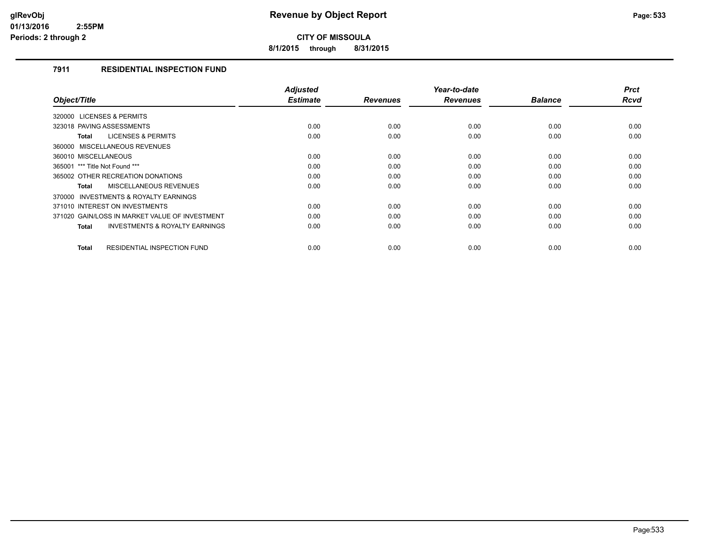**8/1/2015 through 8/31/2015**

## **7911 RESIDENTIAL INSPECTION FUND**

| Object/Title                                              | <b>Adjusted</b><br><b>Estimate</b> | <b>Revenues</b> | Year-to-date<br><b>Revenues</b> | <b>Balance</b> | <b>Prct</b><br><b>Rcvd</b> |
|-----------------------------------------------------------|------------------------------------|-----------------|---------------------------------|----------------|----------------------------|
|                                                           |                                    |                 |                                 |                |                            |
| 320000 LICENSES & PERMITS                                 |                                    |                 |                                 |                |                            |
| 323018 PAVING ASSESSMENTS                                 | 0.00                               | 0.00            | 0.00                            | 0.00           | 0.00                       |
| <b>LICENSES &amp; PERMITS</b><br><b>Total</b>             | 0.00                               | 0.00            | 0.00                            | 0.00           | 0.00                       |
| 360000 MISCELLANEOUS REVENUES                             |                                    |                 |                                 |                |                            |
| 360010 MISCELLANEOUS                                      | 0.00                               | 0.00            | 0.00                            | 0.00           | 0.00                       |
| 365001 *** Title Not Found ***                            | 0.00                               | 0.00            | 0.00                            | 0.00           | 0.00                       |
| 365002 OTHER RECREATION DONATIONS                         | 0.00                               | 0.00            | 0.00                            | 0.00           | 0.00                       |
| <b>MISCELLANEOUS REVENUES</b><br><b>Total</b>             | 0.00                               | 0.00            | 0.00                            | 0.00           | 0.00                       |
| <b>INVESTMENTS &amp; ROYALTY EARNINGS</b><br>370000       |                                    |                 |                                 |                |                            |
| 371010 INTEREST ON INVESTMENTS                            | 0.00                               | 0.00            | 0.00                            | 0.00           | 0.00                       |
| 371020 GAIN/LOSS IN MARKET VALUE OF INVESTMENT            | 0.00                               | 0.00            | 0.00                            | 0.00           | 0.00                       |
| <b>INVESTMENTS &amp; ROYALTY EARNINGS</b><br><b>Total</b> | 0.00                               | 0.00            | 0.00                            | 0.00           | 0.00                       |
|                                                           |                                    |                 |                                 |                |                            |
| <b>RESIDENTIAL INSPECTION FUND</b><br><b>Total</b>        | 0.00                               | 0.00            | 0.00                            | 0.00           | 0.00                       |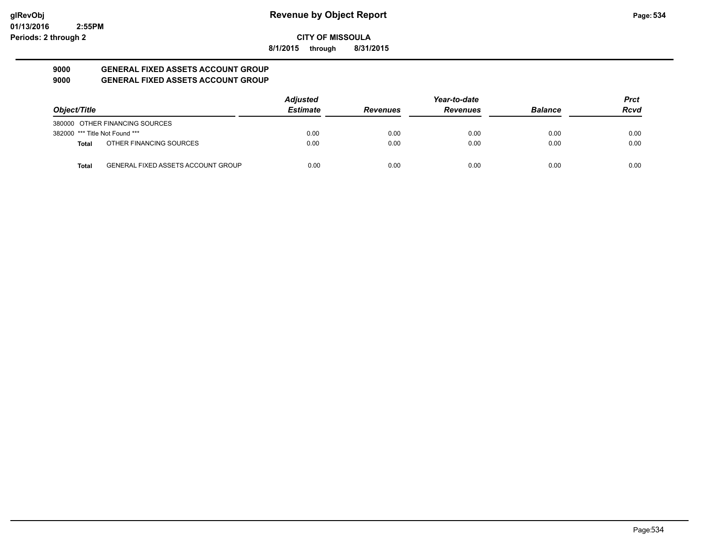**8/1/2015 through 8/31/2015**

#### **9000 GENERAL FIXED ASSETS ACCOUNT GROUP 9000 GENERAL FIXED ASSETS ACCOUNT GROUP**

| Object/Title                   |                                           | <b>Adjusted</b> |                 | Year-to-date    |                | Prct |
|--------------------------------|-------------------------------------------|-----------------|-----------------|-----------------|----------------|------|
|                                |                                           | <b>Estimate</b> | <b>Revenues</b> | <b>Revenues</b> | <b>Balance</b> | Rcvd |
|                                | 380000 OTHER FINANCING SOURCES            |                 |                 |                 |                |      |
| 382000 *** Title Not Found *** |                                           | 0.00            | 0.00            | 0.00            | 0.00           | 0.00 |
| <b>Total</b>                   | OTHER FINANCING SOURCES                   | 0.00            | 0.00            | 0.00            | 0.00           | 0.00 |
| <b>Total</b>                   | <b>GENERAL FIXED ASSETS ACCOUNT GROUP</b> | 0.00            | 0.00            | 0.00            | 0.00           | 0.00 |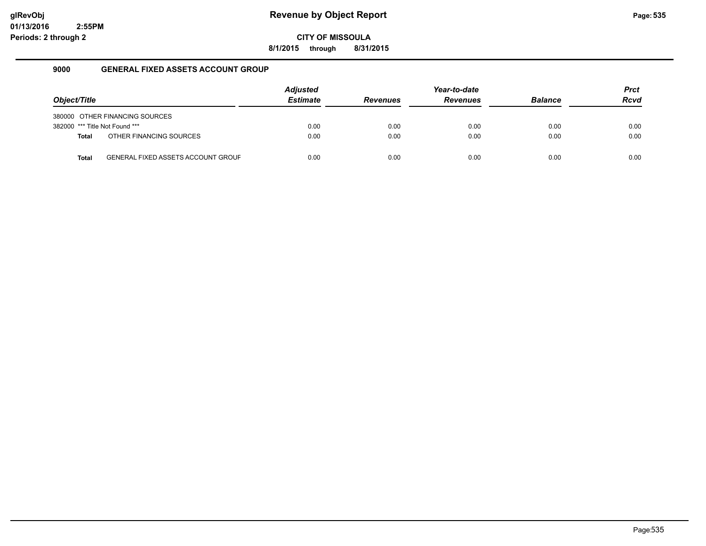**8/1/2015 through 8/31/2015**

### **9000 GENERAL FIXED ASSETS ACCOUNT GROUP**

| Object/Title                   |                                           | <b>Adjusted</b><br><b>Estimate</b> | <b>Revenues</b> | Year-to-date<br><b>Revenues</b> | <b>Balance</b> | <b>Prct</b><br><b>Rcvd</b> |
|--------------------------------|-------------------------------------------|------------------------------------|-----------------|---------------------------------|----------------|----------------------------|
|                                | 380000 OTHER FINANCING SOURCES            |                                    |                 |                                 |                |                            |
| 382000 *** Title Not Found *** |                                           | 0.00                               | 0.00            | 0.00                            | 0.00           | 0.00                       |
| <b>Total</b>                   | OTHER FINANCING SOURCES                   | 0.00                               | 0.00            | 0.00                            | 0.00           | 0.00                       |
| <b>Total</b>                   | <b>GENERAL FIXED ASSETS ACCOUNT GROUF</b> | 0.00                               | 0.00            | 0.00                            | 0.00           | 0.00                       |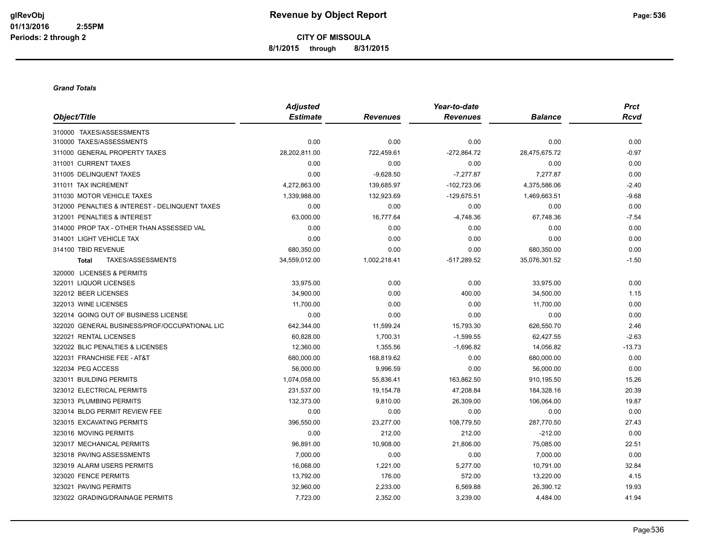**CITY OF MISSOULA 8/1/2015 through 8/31/2015**

#### *Grand Totals*

|                                                | <b>Adjusted</b> |                 | Year-to-date    |                | <b>Prct</b> |
|------------------------------------------------|-----------------|-----------------|-----------------|----------------|-------------|
| Object/Title                                   | <b>Estimate</b> | <b>Revenues</b> | <b>Revenues</b> | <b>Balance</b> | <b>Rcvd</b> |
| 310000 TAXES/ASSESSMENTS                       |                 |                 |                 |                |             |
| 310000 TAXES/ASSESSMENTS                       | 0.00            | 0.00            | 0.00            | 0.00           | 0.00        |
| 311000 GENERAL PROPERTY TAXES                  | 28,202,811.00   | 722,459.61      | $-272,864.72$   | 28,475,675.72  | $-0.97$     |
| 311001 CURRENT TAXES                           | 0.00            | 0.00            | 0.00            | 0.00           | 0.00        |
| 311005 DELINQUENT TAXES                        | 0.00            | $-9,628.50$     | $-7,277.87$     | 7,277.87       | 0.00        |
| 311011 TAX INCREMENT                           | 4,272,863.00    | 139,685.97      | $-102,723.06$   | 4,375,586.06   | $-2.40$     |
| 311030 MOTOR VEHICLE TAXES                     | 1,339,988.00    | 132,923.69      | $-129,675.51$   | 1,469,663.51   | $-9.68$     |
| 312000 PENALTIES & INTEREST - DELINQUENT TAXES | 0.00            | 0.00            | 0.00            | 0.00           | 0.00        |
| 312001 PENALTIES & INTEREST                    | 63,000.00       | 16,777.64       | $-4,748.36$     | 67,748.36      | $-7.54$     |
| 314000 PROP TAX - OTHER THAN ASSESSED VAL      | 0.00            | 0.00            | 0.00            | 0.00           | 0.00        |
| 314001 LIGHT VEHICLE TAX                       | 0.00            | 0.00            | 0.00            | 0.00           | 0.00        |
| 314100 TBID REVENUE                            | 680,350.00      | 0.00            | 0.00            | 680,350.00     | 0.00        |
| TAXES/ASSESSMENTS<br><b>Total</b>              | 34,559,012.00   | 1,002,218.41    | -517,289.52     | 35,076,301.52  | $-1.50$     |
| 320000 LICENSES & PERMITS                      |                 |                 |                 |                |             |
| 322011 LIQUOR LICENSES                         | 33,975.00       | 0.00            | 0.00            | 33,975.00      | 0.00        |
| 322012 BEER LICENSES                           | 34,900.00       | 0.00            | 400.00          | 34,500.00      | 1.15        |
| 322013 WINE LICENSES                           | 11,700.00       | 0.00            | 0.00            | 11,700.00      | 0.00        |
| 322014 GOING OUT OF BUSINESS LICENSE           | 0.00            | 0.00            | 0.00            | 0.00           | 0.00        |
| 322020 GENERAL BUSINESS/PROF/OCCUPATIONAL LIC  | 642,344.00      | 11,599.24       | 15,793.30       | 626,550.70     | 2.46        |
| 322021 RENTAL LICENSES                         | 60,828.00       | 1,700.31        | $-1,599.55$     | 62,427.55      | $-2.63$     |
| 322022 BLIC PENALTIES & LICENSES               | 12,360.00       | 1,355.56        | $-1,696.82$     | 14,056.82      | $-13.73$    |
| 322031 FRANCHISE FEE - AT&T                    | 680,000.00      | 168,819.62      | 0.00            | 680,000.00     | 0.00        |
| 322034 PEG ACCESS                              | 56,000.00       | 9,996.59        | 0.00            | 56,000.00      | 0.00        |
| 323011 BUILDING PERMITS                        | 1,074,058.00    | 55,836.41       | 163,862.50      | 910,195.50     | 15.26       |
| 323012 ELECTRICAL PERMITS                      | 231,537.00      | 19,154.78       | 47,208.84       | 184,328.16     | 20.39       |
| 323013 PLUMBING PERMITS                        | 132,373.00      | 9,810.00        | 26,309.00       | 106,064.00     | 19.87       |
| 323014 BLDG PERMIT REVIEW FEE                  | 0.00            | 0.00            | 0.00            | 0.00           | 0.00        |
| 323015 EXCAVATING PERMITS                      | 396,550.00      | 23,277.00       | 108,779.50      | 287,770.50     | 27.43       |
| 323016 MOVING PERMITS                          | 0.00            | 212.00          | 212.00          | $-212.00$      | 0.00        |
| 323017 MECHANICAL PERMITS                      | 96,891.00       | 10,908.00       | 21,806.00       | 75,085.00      | 22.51       |
| 323018 PAVING ASSESSMENTS                      | 7,000.00        | 0.00            | 0.00            | 7,000.00       | 0.00        |
| 323019 ALARM USERS PERMITS                     | 16,068.00       | 1,221.00        | 5,277.00        | 10,791.00      | 32.84       |
| 323020 FENCE PERMITS                           | 13,792.00       | 176.00          | 572.00          | 13,220.00      | 4.15        |
| 323021 PAVING PERMITS                          | 32,960.00       | 2,233.00        | 6,569.88        | 26,390.12      | 19.93       |
| 323022 GRADING/DRAINAGE PERMITS                | 7,723.00        | 2,352.00        | 3,239.00        | 4,484.00       | 41.94       |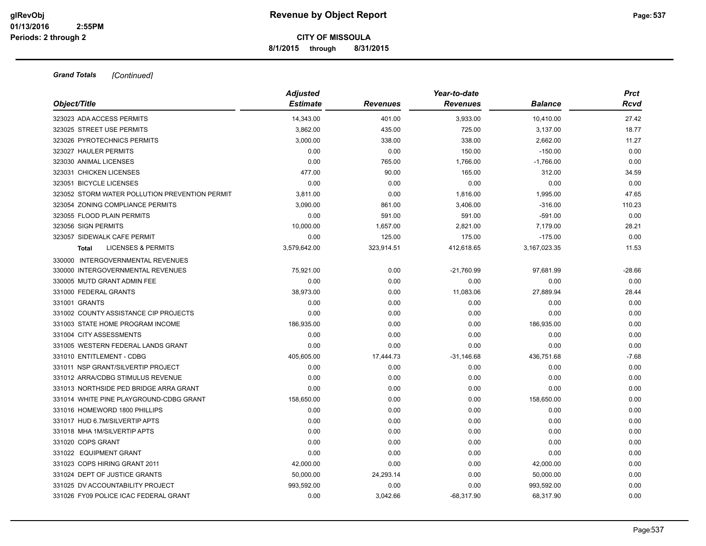**8/1/2015 through 8/31/2015**

| Object/Title                                   | <b>Adjusted</b><br><b>Estimate</b> | Revenues   | Year-to-date<br><b>Revenues</b> | <b>Balance</b> | <b>Prct</b><br><b>Rcvd</b> |
|------------------------------------------------|------------------------------------|------------|---------------------------------|----------------|----------------------------|
| 323023 ADA ACCESS PERMITS                      | 14,343.00                          | 401.00     | 3,933.00                        | 10,410.00      | 27.42                      |
| 323025 STREET USE PERMITS                      | 3,862.00                           | 435.00     | 725.00                          | 3,137.00       | 18.77                      |
| 323026 PYROTECHNICS PERMITS                    | 3,000.00                           | 338.00     | 338.00                          | 2,662.00       | 11.27                      |
| 323027 HAULER PERMITS                          | 0.00                               | 0.00       | 150.00                          | $-150.00$      | 0.00                       |
| 323030 ANIMAL LICENSES                         | 0.00                               | 765.00     | 1,766.00                        | $-1,766.00$    | 0.00                       |
| 323031 CHICKEN LICENSES                        | 477.00                             | 90.00      | 165.00                          | 312.00         | 34.59                      |
| 323051 BICYCLE LICENSES                        | 0.00                               | 0.00       | 0.00                            | 0.00           | 0.00                       |
| 323052 STORM WATER POLLUTION PREVENTION PERMIT | 3,811.00                           | 0.00       | 1,816.00                        | 1,995.00       | 47.65                      |
| 323054 ZONING COMPLIANCE PERMITS               | 3,090.00                           | 861.00     | 3,406.00                        | $-316.00$      | 110.23                     |
| 323055 FLOOD PLAIN PERMITS                     | 0.00                               | 591.00     | 591.00                          | $-591.00$      | 0.00                       |
| 323056 SIGN PERMITS                            | 10,000.00                          | 1,657.00   | 2,821.00                        | 7,179.00       | 28.21                      |
| 323057 SIDEWALK CAFE PERMIT                    | 0.00                               | 125.00     | 175.00                          | $-175.00$      | 0.00                       |
| <b>LICENSES &amp; PERMITS</b><br>Total         | 3,579,642.00                       | 323,914.51 | 412,618.65                      | 3,167,023.35   | 11.53                      |
| 330000 INTERGOVERNMENTAL REVENUES              |                                    |            |                                 |                |                            |
| 330000 INTERGOVERNMENTAL REVENUES              | 75,921.00                          | 0.00       | $-21,760.99$                    | 97,681.99      | $-28.66$                   |
| 330005 MUTD GRANT ADMIN FEE                    | 0.00                               | 0.00       | 0.00                            | 0.00           | 0.00                       |
| 331000 FEDERAL GRANTS                          | 38,973.00                          | 0.00       | 11,083.06                       | 27,889.94      | 28.44                      |
| 331001 GRANTS                                  | 0.00                               | 0.00       | 0.00                            | 0.00           | 0.00                       |
| 331002 COUNTY ASSISTANCE CIP PROJECTS          | 0.00                               | 0.00       | 0.00                            | 0.00           | 0.00                       |
| 331003 STATE HOME PROGRAM INCOME               | 186,935.00                         | 0.00       | 0.00                            | 186,935.00     | 0.00                       |
| 331004 CITY ASSESSMENTS                        | 0.00                               | 0.00       | 0.00                            | 0.00           | 0.00                       |
| 331005 WESTERN FEDERAL LANDS GRANT             | 0.00                               | 0.00       | 0.00                            | 0.00           | 0.00                       |
| 331010 ENTITLEMENT - CDBG                      | 405,605.00                         | 17,444.73  | $-31,146.68$                    | 436,751.68     | $-7.68$                    |
| 331011 NSP GRANT/SILVERTIP PROJECT             | 0.00                               | 0.00       | 0.00                            | 0.00           | 0.00                       |
| 331012 ARRA/CDBG STIMULUS REVENUE              | 0.00                               | 0.00       | 0.00                            | 0.00           | 0.00                       |
| 331013 NORTHSIDE PED BRIDGE ARRA GRANT         | 0.00                               | 0.00       | 0.00                            | 0.00           | 0.00                       |
| 331014 WHITE PINE PLAYGROUND-CDBG GRANT        | 158,650.00                         | 0.00       | 0.00                            | 158,650.00     | 0.00                       |
| 331016 HOMEWORD 1800 PHILLIPS                  | 0.00                               | 0.00       | 0.00                            | 0.00           | 0.00                       |
| 331017 HUD 6.7M/SILVERTIP APTS                 | 0.00                               | 0.00       | 0.00                            | 0.00           | 0.00                       |
| 331018 MHA 1M/SILVERTIP APTS                   | 0.00                               | 0.00       | 0.00                            | 0.00           | 0.00                       |
| 331020 COPS GRANT                              | 0.00                               | 0.00       | 0.00                            | 0.00           | 0.00                       |
| 331022 EQUIPMENT GRANT                         | 0.00                               | 0.00       | 0.00                            | 0.00           | 0.00                       |
| 331023 COPS HIRING GRANT 2011                  | 42,000.00                          | 0.00       | 0.00                            | 42,000.00      | 0.00                       |
| 331024 DEPT OF JUSTICE GRANTS                  | 50,000.00                          | 24,293.14  | 0.00                            | 50,000.00      | 0.00                       |
| 331025 DV ACCOUNTABILITY PROJECT               | 993,592.00                         | 0.00       | 0.00                            | 993,592.00     | 0.00                       |
| 331026 FY09 POLICE ICAC FEDERAL GRANT          | 0.00                               | 3.042.66   | $-68.317.90$                    | 68.317.90      | 0.00                       |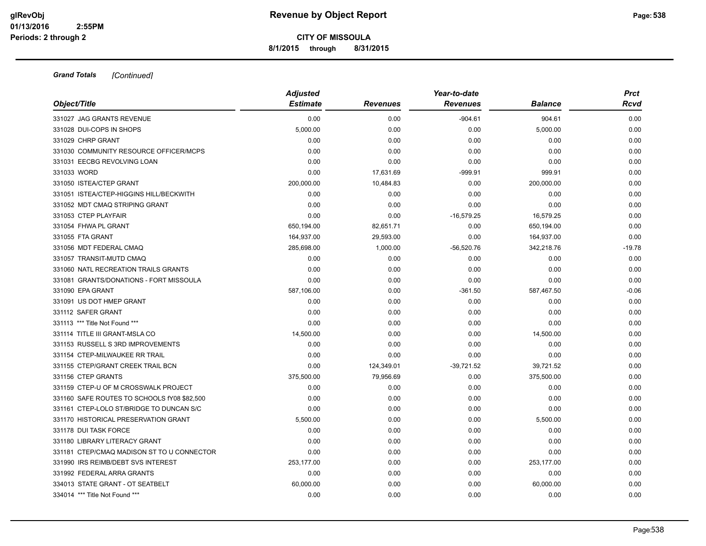**8/1/2015 through 8/31/2015**

|                                             | <b>Adjusted</b> |                 | Year-to-date    |                | <b>Prct</b> |
|---------------------------------------------|-----------------|-----------------|-----------------|----------------|-------------|
| Object/Title                                | <b>Estimate</b> | <b>Revenues</b> | <b>Revenues</b> | <b>Balance</b> | <b>Rcvd</b> |
| 331027 JAG GRANTS REVENUE                   | 0.00            | 0.00            | $-904.61$       | 904.61         | 0.00        |
| 331028 DUI-COPS IN SHOPS                    | 5,000.00        | 0.00            | 0.00            | 5,000.00       | 0.00        |
| 331029 CHRP GRANT                           | 0.00            | 0.00            | 0.00            | 0.00           | 0.00        |
| 331030 COMMUNITY RESOURCE OFFICER/MCPS      | 0.00            | 0.00            | 0.00            | 0.00           | 0.00        |
| 331031 EECBG REVOLVING LOAN                 | 0.00            | 0.00            | 0.00            | 0.00           | 0.00        |
| 331033 WORD                                 | 0.00            | 17,631.69       | $-999.91$       | 999.91         | 0.00        |
| 331050 ISTEA/CTEP GRANT                     | 200,000.00      | 10,484.83       | 0.00            | 200,000.00     | 0.00        |
| 331051 ISTEA/CTEP-HIGGINS HILL/BECKWITH     | 0.00            | 0.00            | 0.00            | 0.00           | 0.00        |
| 331052 MDT CMAQ STRIPING GRANT              | 0.00            | 0.00            | 0.00            | 0.00           | 0.00        |
| 331053 CTEP PLAYFAIR                        | 0.00            | 0.00            | $-16,579.25$    | 16,579.25      | 0.00        |
| 331054 FHWA PL GRANT                        | 650,194.00      | 82,651.71       | 0.00            | 650,194.00     | 0.00        |
| 331055 FTA GRANT                            | 164,937.00      | 29,593.00       | 0.00            | 164,937.00     | 0.00        |
| 331056 MDT FEDERAL CMAQ                     | 285,698.00      | 1,000.00        | $-56,520.76$    | 342,218.76     | $-19.78$    |
| 331057 TRANSIT-MUTD CMAQ                    | 0.00            | 0.00            | 0.00            | 0.00           | 0.00        |
| 331060 NATL RECREATION TRAILS GRANTS        | 0.00            | 0.00            | 0.00            | 0.00           | 0.00        |
| 331081 GRANTS/DONATIONS - FORT MISSOULA     | 0.00            | 0.00            | 0.00            | 0.00           | 0.00        |
| 331090 EPA GRANT                            | 587,106.00      | 0.00            | $-361.50$       | 587,467.50     | $-0.06$     |
| 331091 US DOT HMEP GRANT                    | 0.00            | 0.00            | 0.00            | 0.00           | 0.00        |
| 331112 SAFER GRANT                          | 0.00            | 0.00            | 0.00            | 0.00           | 0.00        |
| 331113 *** Title Not Found ***              | 0.00            | 0.00            | 0.00            | 0.00           | 0.00        |
| 331114 TITLE III GRANT-MSLA CO              | 14,500.00       | 0.00            | 0.00            | 14,500.00      | 0.00        |
| 331153 RUSSELL S 3RD IMPROVEMENTS           | 0.00            | 0.00            | 0.00            | 0.00           | 0.00        |
| 331154 CTEP-MILWAUKEE RR TRAIL              | 0.00            | 0.00            | 0.00            | 0.00           | 0.00        |
| 331155 CTEP/GRANT CREEK TRAIL BCN           | 0.00            | 124,349.01      | $-39,721.52$    | 39,721.52      | 0.00        |
| 331156 CTEP GRANTS                          | 375,500.00      | 79,956.69       | 0.00            | 375,500.00     | 0.00        |
| 331159 CTEP-U OF M CROSSWALK PROJECT        | 0.00            | 0.00            | 0.00            | 0.00           | 0.00        |
| 331160 SAFE ROUTES TO SCHOOLS fY08 \$82,500 | 0.00            | 0.00            | 0.00            | 0.00           | 0.00        |
| 331161 CTEP-LOLO ST/BRIDGE TO DUNCAN S/C    | 0.00            | 0.00            | 0.00            | 0.00           | 0.00        |
| 331170 HISTORICAL PRESERVATION GRANT        | 5,500.00        | 0.00            | 0.00            | 5,500.00       | 0.00        |
| 331178 DUI TASK FORCE                       | 0.00            | 0.00            | 0.00            | 0.00           | 0.00        |
| 331180 LIBRARY LITERACY GRANT               | 0.00            | 0.00            | 0.00            | 0.00           | 0.00        |
| 331181 CTEP/CMAQ MADISON ST TO U CONNECTOR  | 0.00            | 0.00            | 0.00            | 0.00           | 0.00        |
| 331990 IRS REIMB/DEBT SVS INTEREST          | 253,177.00      | 0.00            | 0.00            | 253,177.00     | 0.00        |
| 331992 FEDERAL ARRA GRANTS                  | 0.00            | 0.00            | 0.00            | 0.00           | 0.00        |
| 334013 STATE GRANT - OT SEATBELT            | 60,000.00       | 0.00            | 0.00            | 60,000.00      | 0.00        |
| 334014 *** Title Not Found ***              | 0.00            | 0.00            | 0.00            | 0.00           | 0.00        |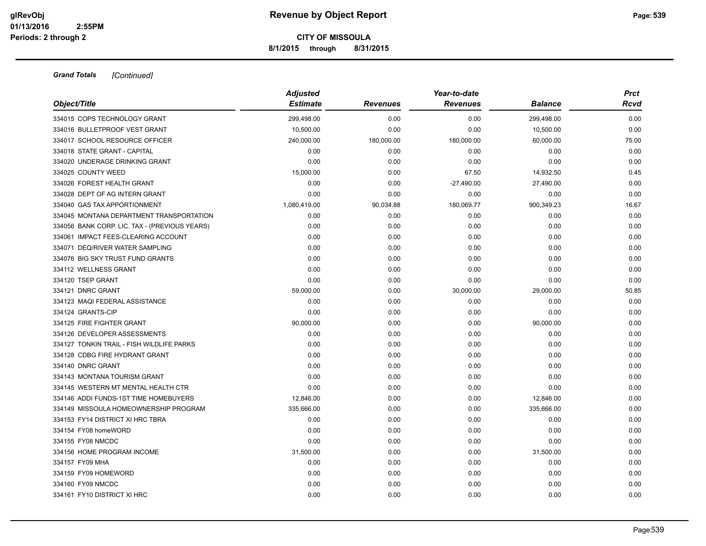**8/1/2015 through 8/31/2015**

| Object/Title                                  | <b>Adjusted</b><br><b>Estimate</b> | <b>Revenues</b> | Year-to-date<br><b>Revenues</b> | <b>Balance</b> | <b>Prct</b><br>Rcvd |
|-----------------------------------------------|------------------------------------|-----------------|---------------------------------|----------------|---------------------|
| 334015 COPS TECHNOLOGY GRANT                  | 299,498.00                         | 0.00            | 0.00                            | 299,498.00     | 0.00                |
| 334016 BULLETPROOF VEST GRANT                 | 10,500.00                          | 0.00            | 0.00                            | 10,500.00      | 0.00                |
| 334017 SCHOOL RESOURCE OFFICER                | 240,000.00                         | 180,000.00      | 180,000.00                      | 60,000.00      | 75.00               |
| 334018 STATE GRANT - CAPITAL                  | 0.00                               | 0.00            | 0.00                            | 0.00           | 0.00                |
| 334020 UNDERAGE DRINKING GRANT                | 0.00                               | 0.00            | 0.00                            | 0.00           | 0.00                |
| 334025 COUNTY WEED                            | 15,000.00                          | 0.00            | 67.50                           | 14,932.50      | 0.45                |
| 334026 FOREST HEALTH GRANT                    | 0.00                               | 0.00            | $-27,490.00$                    | 27,490.00      | 0.00                |
| 334028 DEPT OF AG INTERN GRANT                | 0.00                               | 0.00            | 0.00                            | 0.00           | 0.00                |
| 334040 GAS TAX APPORTIONMENT                  | 1,080,419.00                       | 90,034.88       | 180,069.77                      | 900,349.23     | 16.67               |
| 334045 MONTANA DEPARTMENT TRANSPORTATION      | 0.00                               | 0.00            | 0.00                            | 0.00           | 0.00                |
| 334056 BANK CORP. LIC. TAX - (PREVIOUS YEARS) | 0.00                               | 0.00            | 0.00                            | 0.00           | 0.00                |
| 334061 IMPACT FEES-CLEARING ACCOUNT           | 0.00                               | 0.00            | 0.00                            | 0.00           | 0.00                |
| 334071 DEQ/RIVER WATER SAMPLING               | 0.00                               | 0.00            | 0.00                            | 0.00           | 0.00                |
| 334076 BIG SKY TRUST FUND GRANTS              | 0.00                               | 0.00            | 0.00                            | 0.00           | 0.00                |
| 334112 WELLNESS GRANT                         | 0.00                               | 0.00            | 0.00                            | 0.00           | 0.00                |
| 334120 TSEP GRANT                             | 0.00                               | 0.00            | 0.00                            | 0.00           | 0.00                |
| 334121 DNRC GRANT                             | 59,000.00                          | 0.00            | 30,000.00                       | 29,000.00      | 50.85               |
| 334123 MAQI FEDERAL ASSISTANCE                | 0.00                               | 0.00            | 0.00                            | 0.00           | 0.00                |
| 334124 GRANTS-CIP                             | 0.00                               | 0.00            | 0.00                            | 0.00           | 0.00                |
| 334125 FIRE FIGHTER GRANT                     | 90,000.00                          | 0.00            | 0.00                            | 90,000.00      | 0.00                |
| 334126 DEVELOPER ASSESSMENTS                  | 0.00                               | 0.00            | 0.00                            | 0.00           | 0.00                |
| 334127 TONKIN TRAIL - FISH WILDLIFE PARKS     | 0.00                               | 0.00            | 0.00                            | 0.00           | 0.00                |
| 334128 CDBG FIRE HYDRANT GRANT                | 0.00                               | 0.00            | 0.00                            | 0.00           | 0.00                |
| 334140 DNRC GRANT                             | 0.00                               | 0.00            | 0.00                            | 0.00           | 0.00                |
| 334143 MONTANA TOURISM GRANT                  | 0.00                               | 0.00            | 0.00                            | 0.00           | 0.00                |
| 334145 WESTERN MT MENTAL HEALTH CTR           | 0.00                               | 0.00            | 0.00                            | 0.00           | 0.00                |
| 334146 ADDI FUNDS-1ST TIME HOMEBUYERS         | 12,846.00                          | 0.00            | 0.00                            | 12,846.00      | 0.00                |
| 334149 MISSOULA HOMEOWNERSHIP PROGRAM         | 335,666.00                         | 0.00            | 0.00                            | 335,666.00     | 0.00                |
| 334153 FY14 DISTRICT XI HRC TBRA              | 0.00                               | 0.00            | 0.00                            | 0.00           | 0.00                |
| 334154 FY08 homeWORD                          | 0.00                               | 0.00            | 0.00                            | 0.00           | 0.00                |
| 334155 FY08 NMCDC                             | 0.00                               | 0.00            | 0.00                            | 0.00           | 0.00                |
| 334156 HOME PROGRAM INCOME                    | 31,500.00                          | 0.00            | 0.00                            | 31,500.00      | 0.00                |
| 334157 FY09 MHA                               | 0.00                               | 0.00            | 0.00                            | 0.00           | 0.00                |
| 334159 FY09 HOMEWORD                          | 0.00                               | 0.00            | 0.00                            | 0.00           | 0.00                |
| 334160 FY09 NMCDC                             | 0.00                               | 0.00            | 0.00                            | 0.00           | 0.00                |
| 334161 FY10 DISTRICT XI HRC                   | 0.00                               | 0.00            | 0.00                            | 0.00           | 0.00                |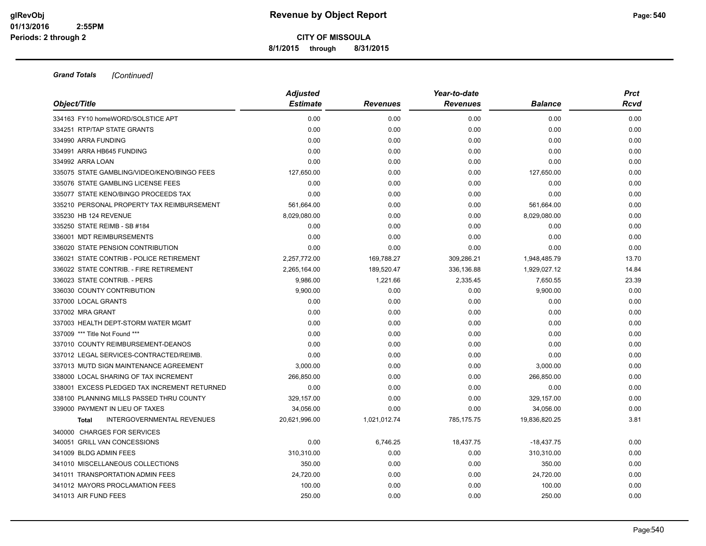**8/1/2015 through 8/31/2015**

| Object/Title                                      | <b>Adjusted</b> |                 | Year-to-date    |                | <b>Prct</b> |
|---------------------------------------------------|-----------------|-----------------|-----------------|----------------|-------------|
|                                                   | <b>Estimate</b> | <b>Revenues</b> | <b>Revenues</b> | <b>Balance</b> | Rcvd        |
| 334163 FY10 homeWORD/SOLSTICE APT                 | 0.00            | 0.00            | 0.00            | 0.00           | 0.00        |
| 334251 RTP/TAP STATE GRANTS                       | 0.00            | 0.00            | 0.00            | 0.00           | 0.00        |
| 334990 ARRA FUNDING                               | 0.00            | 0.00            | 0.00            | 0.00           | 0.00        |
| 334991 ARRA HB645 FUNDING                         | 0.00            | 0.00            | 0.00            | 0.00           | 0.00        |
| 334992 ARRA LOAN                                  | 0.00            | 0.00            | 0.00            | 0.00           | 0.00        |
| 335075 STATE GAMBLING/VIDEO/KENO/BINGO FEES       | 127,650.00      | 0.00            | 0.00            | 127,650.00     | 0.00        |
| 335076 STATE GAMBLING LICENSE FEES                | 0.00            | 0.00            | 0.00            | 0.00           | 0.00        |
| 335077 STATE KENO/BINGO PROCEEDS TAX              | 0.00            | 0.00            | 0.00            | 0.00           | 0.00        |
| 335210 PERSONAL PROPERTY TAX REIMBURSEMENT        | 561,664.00      | 0.00            | 0.00            | 561,664.00     | 0.00        |
| 335230 HB 124 REVENUE                             | 8,029,080.00    | 0.00            | 0.00            | 8,029,080.00   | 0.00        |
| 335250 STATE REIMB - SB #184                      | 0.00            | 0.00            | 0.00            | 0.00           | 0.00        |
| 336001 MDT REIMBURSEMENTS                         | 0.00            | 0.00            | 0.00            | 0.00           | 0.00        |
| 336020 STATE PENSION CONTRIBUTION                 | 0.00            | 0.00            | 0.00            | 0.00           | 0.00        |
| 336021 STATE CONTRIB - POLICE RETIREMENT          | 2,257,772.00    | 169,788.27      | 309,286.21      | 1,948,485.79   | 13.70       |
| 336022 STATE CONTRIB. - FIRE RETIREMENT           | 2,265,164.00    | 189,520.47      | 336,136.88      | 1,929,027.12   | 14.84       |
| 336023 STATE CONTRIB. - PERS                      | 9,986.00        | 1,221.66        | 2,335.45        | 7,650.55       | 23.39       |
| 336030 COUNTY CONTRIBUTION                        | 9,900.00        | 0.00            | 0.00            | 9,900.00       | 0.00        |
| 337000 LOCAL GRANTS                               | 0.00            | 0.00            | 0.00            | 0.00           | 0.00        |
| 337002 MRA GRANT                                  | 0.00            | 0.00            | 0.00            | 0.00           | 0.00        |
| 337003 HEALTH DEPT-STORM WATER MGMT               | 0.00            | 0.00            | 0.00            | 0.00           | 0.00        |
| 337009 *** Title Not Found ***                    | 0.00            | 0.00            | 0.00            | 0.00           | 0.00        |
| 337010 COUNTY REIMBURSEMENT-DEANOS                | 0.00            | 0.00            | 0.00            | 0.00           | 0.00        |
| 337012 LEGAL SERVICES-CONTRACTED/REIMB.           | 0.00            | 0.00            | 0.00            | 0.00           | 0.00        |
| 337013 MUTD SIGN MAINTENANCE AGREEMENT            | 3,000.00        | 0.00            | 0.00            | 3,000.00       | 0.00        |
| 338000 LOCAL SHARING OF TAX INCREMENT             | 266,850.00      | 0.00            | 0.00            | 266,850.00     | 0.00        |
| 338001 EXCESS PLEDGED TAX INCREMENT RETURNED      | 0.00            | 0.00            | 0.00            | 0.00           | 0.00        |
| 338100 PLANNING MILLS PASSED THRU COUNTY          | 329,157.00      | 0.00            | 0.00            | 329,157.00     | 0.00        |
| 339000 PAYMENT IN LIEU OF TAXES                   | 34,056.00       | 0.00            | 0.00            | 34,056.00      | 0.00        |
| <b>INTERGOVERNMENTAL REVENUES</b><br><b>Total</b> | 20,621,996.00   | 1,021,012.74    | 785,175.75      | 19,836,820.25  | 3.81        |
| 340000 CHARGES FOR SERVICES                       |                 |                 |                 |                |             |
| 340051 GRILL VAN CONCESSIONS                      | 0.00            | 6,746.25        | 18,437.75       | $-18,437.75$   | 0.00        |
| 341009 BLDG ADMIN FEES                            | 310,310.00      | 0.00            | 0.00            | 310,310.00     | 0.00        |
| 341010 MISCELLANEOUS COLLECTIONS                  | 350.00          | 0.00            | 0.00            | 350.00         | 0.00        |
| 341011 TRANSPORTATION ADMIN FEES                  | 24,720.00       | 0.00            | 0.00            | 24,720.00      | 0.00        |
| 341012 MAYORS PROCLAMATION FEES                   | 100.00          | 0.00            | 0.00            | 100.00         | 0.00        |
| 341013 AIR FUND FEES                              | 250.00          | 0.00            | 0.00            | 250.00         | 0.00        |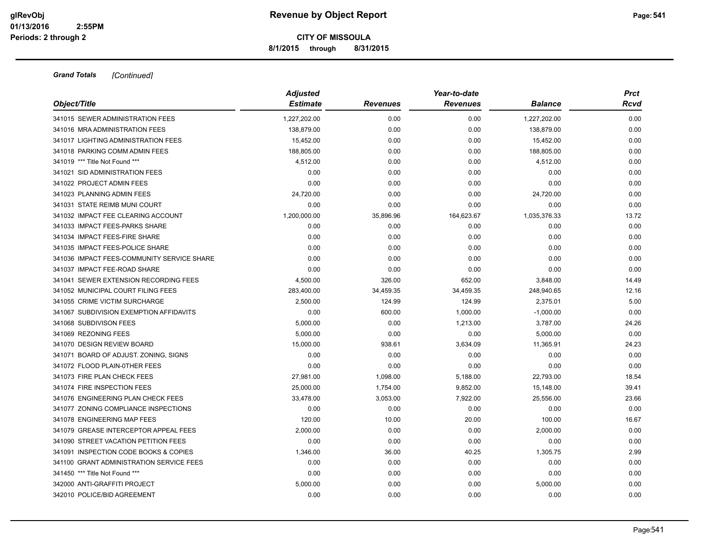### **CITY OF MISSOULA 8/1/2015 through 8/31/2015**

|                                            | <b>Adjusted</b> |                 | Year-to-date    |                |       |  |  |
|--------------------------------------------|-----------------|-----------------|-----------------|----------------|-------|--|--|
| Object/Title                               | <b>Estimate</b> | <b>Revenues</b> | <b>Revenues</b> | <b>Balance</b> | Rcvd  |  |  |
| 341015 SEWER ADMINISTRATION FEES           | 1,227,202.00    | 0.00            | 0.00            | 1,227,202.00   | 0.00  |  |  |
| 341016 MRA ADMINISTRATION FEES             | 138,879.00      | 0.00            | 0.00            | 138,879.00     | 0.00  |  |  |
| 341017 LIGHTING ADMINISTRATION FEES        | 15,452.00       | 0.00            | 0.00            | 15,452.00      | 0.00  |  |  |
| 341018 PARKING COMM ADMIN FEES             | 188,805.00      | 0.00            | 0.00            | 188,805.00     | 0.00  |  |  |
| 341019 *** Title Not Found ***             | 4,512.00        | 0.00            | 0.00            | 4,512.00       | 0.00  |  |  |
| 341021 SID ADMINISTRATION FEES             | 0.00            | 0.00            | 0.00            | 0.00           | 0.00  |  |  |
| 341022 PROJECT ADMIN FEES                  | 0.00            | 0.00            | 0.00            | 0.00           | 0.00  |  |  |
| 341023 PLANNING ADMIN FEES                 | 24,720.00       | 0.00            | 0.00            | 24,720.00      | 0.00  |  |  |
| 341031 STATE REIMB MUNI COURT              | 0.00            | 0.00            | 0.00            | 0.00           | 0.00  |  |  |
| 341032 IMPACT FEE CLEARING ACCOUNT         | 1,200,000.00    | 35,896.96       | 164,623.67      | 1,035,376.33   | 13.72 |  |  |
| 341033 IMPACT FEES-PARKS SHARE             | 0.00            | 0.00            | 0.00            | 0.00           | 0.00  |  |  |
| 341034 IMPACT FEES-FIRE SHARE              | 0.00            | 0.00            | 0.00            | 0.00           | 0.00  |  |  |
| 341035 IMPACT FEES-POLICE SHARE            | 0.00            | 0.00            | 0.00            | 0.00           | 0.00  |  |  |
| 341036 IMPACT FEES-COMMUNITY SERVICE SHARE | 0.00            | 0.00            | 0.00            | 0.00           | 0.00  |  |  |
| 341037 IMPACT FEE-ROAD SHARE               | 0.00            | 0.00            | 0.00            | 0.00           | 0.00  |  |  |
| 341041 SEWER EXTENSION RECORDING FEES      | 4,500.00        | 326.00          | 652.00          | 3,848.00       | 14.49 |  |  |
| 341052 MUNICIPAL COURT FILING FEES         | 283,400.00      | 34,459.35       | 34,459.35       | 248,940.65     | 12.16 |  |  |
| 341055 CRIME VICTIM SURCHARGE              | 2,500.00        | 124.99          | 124.99          | 2,375.01       | 5.00  |  |  |
| 341067 SUBDIVISION EXEMPTION AFFIDAVITS    | 0.00            | 600.00          | 1,000.00        | $-1,000.00$    | 0.00  |  |  |
| 341068 SUBDIVISON FEES                     | 5,000.00        | 0.00            | 1,213.00        | 3,787.00       | 24.26 |  |  |
| 341069 REZONING FEES                       | 5,000.00        | 0.00            | 0.00            | 5,000.00       | 0.00  |  |  |
| 341070 DESIGN REVIEW BOARD                 | 15,000.00       | 938.61          | 3,634.09        | 11,365.91      | 24.23 |  |  |
| 341071 BOARD OF ADJUST. ZONING, SIGNS      | 0.00            | 0.00            | 0.00            | 0.00           | 0.00  |  |  |
| 341072 FLOOD PLAIN-0THER FEES              | 0.00            | 0.00            | 0.00            | 0.00           | 0.00  |  |  |
| 341073 FIRE PLAN CHECK FEES                | 27,981.00       | 1,098.00        | 5,188.00        | 22,793.00      | 18.54 |  |  |
| 341074 FIRE INSPECTION FEES                | 25,000.00       | 1,754.00        | 9,852.00        | 15,148.00      | 39.41 |  |  |
| 341076 ENGINEERING PLAN CHECK FEES         | 33,478.00       | 3,053.00        | 7,922.00        | 25,556.00      | 23.66 |  |  |
| 341077 ZONING COMPLIANCE INSPECTIONS       | 0.00            | 0.00            | 0.00            | 0.00           | 0.00  |  |  |
| 341078 ENGINEERING MAP FEES                | 120.00          | 10.00           | 20.00           | 100.00         | 16.67 |  |  |
| 341079 GREASE INTERCEPTOR APPEAL FEES      | 2,000.00        | 0.00            | 0.00            | 2,000.00       | 0.00  |  |  |
| 341090 STREET VACATION PETITION FEES       | 0.00            | 0.00            | 0.00            | 0.00           | 0.00  |  |  |
| 341091 INSPECTION CODE BOOKS & COPIES      | 1,346.00        | 36.00           | 40.25           | 1,305.75       | 2.99  |  |  |
| 341100 GRANT ADMINISTRATION SERVICE FEES   | 0.00            | 0.00            | 0.00            | 0.00           | 0.00  |  |  |
| 341450 *** Title Not Found ***             | 0.00            | 0.00            | 0.00            | 0.00           | 0.00  |  |  |
| 342000 ANTI-GRAFFITI PROJECT               | 5,000.00        | 0.00            | 0.00            | 5,000.00       | 0.00  |  |  |
| 342010 POLICE/BID AGREEMENT                | 0.00            | 0.00            | 0.00            | 0.00           | 0.00  |  |  |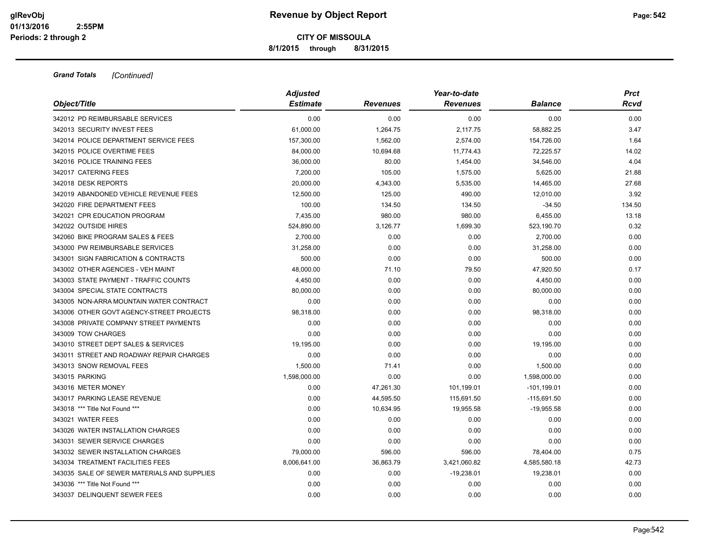**8/1/2015 through 8/31/2015**

|                                             | <b>Adjusted</b> |                 | <b>Prct</b>     |                |        |
|---------------------------------------------|-----------------|-----------------|-----------------|----------------|--------|
| Object/Title                                | <b>Estimate</b> | <b>Revenues</b> | <b>Revenues</b> | <b>Balance</b> | Rcvd   |
| 342012 PD REIMBURSABLE SERVICES             | 0.00            | 0.00            | 0.00            | 0.00           | 0.00   |
| 342013 SECURITY INVEST FEES                 | 61,000.00       | 1,264.75        | 2,117.75        | 58,882.25      | 3.47   |
| 342014 POLICE DEPARTMENT SERVICE FEES       | 157,300.00      | 1,562.00        | 2,574.00        | 154,726.00     | 1.64   |
| 342015 POLICE OVERTIME FEES                 | 84,000.00       | 10,694.68       | 11,774.43       | 72,225.57      | 14.02  |
| 342016 POLICE TRAINING FEES                 | 36,000.00       | 80.00           | 1,454.00        | 34,546.00      | 4.04   |
| 342017 CATERING FEES                        | 7,200.00        | 105.00          | 1,575.00        | 5,625.00       | 21.88  |
| 342018 DESK REPORTS                         | 20,000.00       | 4,343.00        | 5,535.00        | 14,465.00      | 27.68  |
| 342019 ABANDONED VEHICLE REVENUE FEES       | 12,500.00       | 125.00          | 490.00          | 12,010.00      | 3.92   |
| 342020 FIRE DEPARTMENT FEES                 | 100.00          | 134.50          | 134.50          | $-34.50$       | 134.50 |
| 342021 CPR EDUCATION PROGRAM                | 7,435.00        | 980.00          | 980.00          | 6,455.00       | 13.18  |
| 342022 OUTSIDE HIRES                        | 524,890.00      | 3,126.77        | 1,699.30        | 523,190.70     | 0.32   |
| 342060 BIKE PROGRAM SALES & FEES            | 2,700.00        | 0.00            | 0.00            | 2,700.00       | 0.00   |
| 343000 PW REIMBURSABLE SERVICES             | 31,258.00       | 0.00            | 0.00            | 31,258.00      | 0.00   |
| 343001 SIGN FABRICATION & CONTRACTS         | 500.00          | 0.00            | 0.00            | 500.00         | 0.00   |
| 343002 OTHER AGENCIES - VEH MAINT           | 48,000.00       | 71.10           | 79.50           | 47,920.50      | 0.17   |
| 343003 STATE PAYMENT - TRAFFIC COUNTS       | 4,450.00        | 0.00            | 0.00            | 4,450.00       | 0.00   |
| 343004 SPECIAL STATE CONTRACTS              | 80,000.00       | 0.00            | 0.00            | 80,000.00      | 0.00   |
| 343005 NON-ARRA MOUNTAIN WATER CONTRACT     | 0.00            | 0.00            | 0.00            | 0.00           | 0.00   |
| 343006 OTHER GOVT AGENCY-STREET PROJECTS    | 98,318.00       | 0.00            | 0.00            | 98,318.00      | 0.00   |
| 343008 PRIVATE COMPANY STREET PAYMENTS      | 0.00            | 0.00            | 0.00            | 0.00           | 0.00   |
| 343009 TOW CHARGES                          | 0.00            | 0.00            | 0.00            | 0.00           | 0.00   |
| 343010 STREET DEPT SALES & SERVICES         | 19,195.00       | 0.00            | 0.00            | 19,195.00      | 0.00   |
| 343011 STREET AND ROADWAY REPAIR CHARGES    | 0.00            | 0.00            | 0.00            | 0.00           | 0.00   |
| 343013 SNOW REMOVAL FEES                    | 1,500.00        | 71.41           | 0.00            | 1,500.00       | 0.00   |
| 343015 PARKING                              | 1,598,000.00    | 0.00            | 0.00            | 1,598,000.00   | 0.00   |
| 343016 METER MONEY                          | 0.00            | 47,261.30       | 101,199.01      | $-101, 199.01$ | 0.00   |
| 343017 PARKING LEASE REVENUE                | 0.00            | 44,595.50       | 115,691.50      | $-115,691.50$  | 0.00   |
| 343018 *** Title Not Found ***              | 0.00            | 10,634.95       | 19,955.58       | $-19,955.58$   | 0.00   |
| 343021 WATER FEES                           | 0.00            | 0.00            | 0.00            | 0.00           | 0.00   |
| 343026 WATER INSTALLATION CHARGES           | 0.00            | 0.00            | 0.00            | 0.00           | 0.00   |
| 343031 SEWER SERVICE CHARGES                | 0.00            | 0.00            | 0.00            | 0.00           | 0.00   |
| 343032 SEWER INSTALLATION CHARGES           | 79,000.00       | 596.00          | 596.00          | 78,404.00      | 0.75   |
| 343034 TREATMENT FACILITIES FEES            | 8,006,641.00    | 36,863.79       | 3,421,060.82    | 4,585,580.18   | 42.73  |
| 343035 SALE OF SEWER MATERIALS AND SUPPLIES | 0.00            | 0.00            | $-19,238.01$    | 19,238.01      | 0.00   |
| 343036 *** Title Not Found ***              | 0.00            | 0.00            | 0.00            | 0.00           | 0.00   |
| 343037 DELINQUENT SEWER FEES                | 0.00            | 0.00            | 0.00            | 0.00           | 0.00   |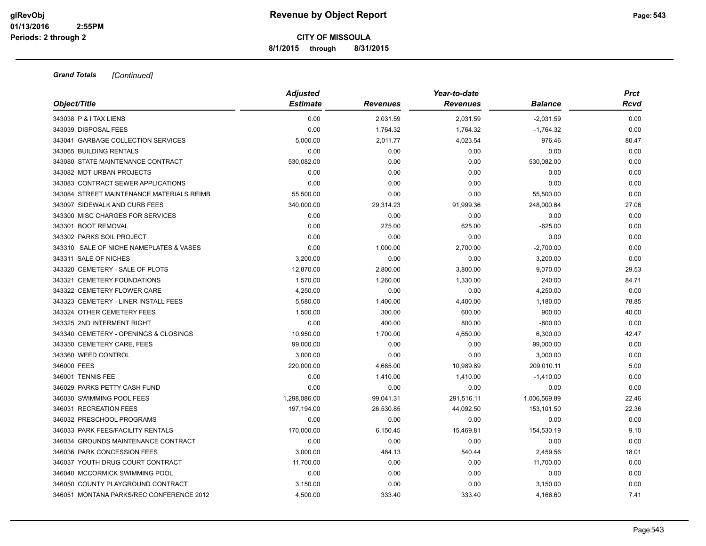**8/1/2015 through 8/31/2015**

|                                           | <b>Adjusted</b> |                 | Year-to-date    |                |             |  |  |
|-------------------------------------------|-----------------|-----------------|-----------------|----------------|-------------|--|--|
| Object/Title                              | <b>Estimate</b> | <b>Revenues</b> | <b>Revenues</b> | <b>Balance</b> | <b>Rcvd</b> |  |  |
| 343038 P & I TAX LIENS                    | 0.00            | 2,031.59        | 2,031.59        | $-2,031.59$    | 0.00        |  |  |
| 343039 DISPOSAL FEES                      | 0.00            | 1,764.32        | 1,764.32        | $-1,764.32$    | 0.00        |  |  |
| 343041 GARBAGE COLLECTION SERVICES        | 5,000.00        | 2,011.77        | 4,023.54        | 976.46         | 80.47       |  |  |
| 343065 BUILDING RENTALS                   | 0.00            | 0.00            | 0.00            | 0.00           | 0.00        |  |  |
| 343080 STATE MAINTENANCE CONTRACT         | 530,082.00      | 0.00            | 0.00            | 530,082.00     | 0.00        |  |  |
| 343082 MDT URBAN PROJECTS                 | 0.00            | 0.00            | 0.00            | 0.00           | 0.00        |  |  |
| 343083 CONTRACT SEWER APPLICATIONS        | 0.00            | 0.00            | 0.00            | 0.00           | 0.00        |  |  |
| 343084 STREET MAINTENANCE MATERIALS REIMB | 55,500.00       | 0.00            | 0.00            | 55,500.00      | 0.00        |  |  |
| 343097 SIDEWALK AND CURB FEES             | 340,000.00      | 29,314.23       | 91,999.36       | 248,000.64     | 27.06       |  |  |
| 343300 MISC CHARGES FOR SERVICES          | 0.00            | 0.00            | 0.00            | 0.00           | 0.00        |  |  |
| 343301 BOOT REMOVAL                       | 0.00            | 275.00          | 625.00          | $-625.00$      | 0.00        |  |  |
| 343302 PARKS SOIL PROJECT                 | 0.00            | 0.00            | 0.00            | 0.00           | 0.00        |  |  |
| 343310 SALE OF NICHE NAMEPLATES & VASES   | 0.00            | 1,000.00        | 2,700.00        | $-2,700.00$    | 0.00        |  |  |
| 343311 SALE OF NICHES                     | 3,200.00        | 0.00            | 0.00            | 3,200.00       | 0.00        |  |  |
| 343320 CEMETERY - SALE OF PLOTS           | 12,870.00       | 2,800.00        | 3,800.00        | 9,070.00       | 29.53       |  |  |
| 343321 CEMETERY FOUNDATIONS               | 1,570.00        | 1,260.00        | 1,330.00        | 240.00         | 84.71       |  |  |
| 343322 CEMETERY FLOWER CARE               | 4,250.00        | 0.00            | 0.00            | 4,250.00       | 0.00        |  |  |
| 343323 CEMETERY - LINER INSTALL FEES      | 5,580.00        | 1,400.00        | 4,400.00        | 1,180.00       | 78.85       |  |  |
| 343324 OTHER CEMETERY FEES                | 1,500.00        | 300.00          | 600.00          | 900.00         | 40.00       |  |  |
| 343325 2ND INTERMENT RIGHT                | 0.00            | 400.00          | 800.00          | $-800.00$      | 0.00        |  |  |
| 343340 CEMETERY - OPENINGS & CLOSINGS     | 10,950.00       | 1,700.00        | 4,650.00        | 6,300.00       | 42.47       |  |  |
| 343350 CEMETERY CARE, FEES                | 99,000.00       | 0.00            | 0.00            | 99,000.00      | 0.00        |  |  |
| 343360 WEED CONTROL                       | 3,000.00        | 0.00            | 0.00            | 3,000.00       | 0.00        |  |  |
| 346000 FEES                               | 220,000.00      | 4,685.00        | 10,989.89       | 209,010.11     | 5.00        |  |  |
| 346001 TENNIS FEE                         | 0.00            | 1,410.00        | 1,410.00        | $-1,410.00$    | 0.00        |  |  |
| 346029 PARKS PETTY CASH FUND              | 0.00            | 0.00            | 0.00            | 0.00           | 0.00        |  |  |
| 346030 SWIMMING POOL FEES                 | 1,298,086.00    | 99,041.31       | 291,516.11      | 1,006,569.89   | 22.46       |  |  |
| 346031 RECREATION FEES                    | 197,194.00      | 26,530.85       | 44,092.50       | 153,101.50     | 22.36       |  |  |
| 346032 PRESCHOOL PROGRAMS                 | 0.00            | 0.00            | 0.00            | 0.00           | 0.00        |  |  |
| 346033 PARK FEES/FACILITY RENTALS         | 170,000.00      | 6,150.45        | 15,469.81       | 154,530.19     | 9.10        |  |  |
| 346034 GROUNDS MAINTENANCE CONTRACT       | 0.00            | 0.00            | 0.00            | 0.00           | 0.00        |  |  |
| 346036 PARK CONCESSION FEES               | 3,000.00        | 484.13          | 540.44          | 2,459.56       | 18.01       |  |  |
| 346037 YOUTH DRUG COURT CONTRACT          | 11,700.00       | 0.00            | 0.00            | 11,700.00      | 0.00        |  |  |
| 346040 MCCORMICK SWIMMING POOL            | 0.00            | 0.00            | 0.00            | 0.00           | 0.00        |  |  |
| 346050 COUNTY PLAYGROUND CONTRACT         | 3,150.00        | 0.00            | 0.00            | 3,150.00       | 0.00        |  |  |
| 346051 MONTANA PARKS/REC CONFERENCE 2012  | 4,500.00        | 333.40          | 333.40          | 4,166.60       | 7.41        |  |  |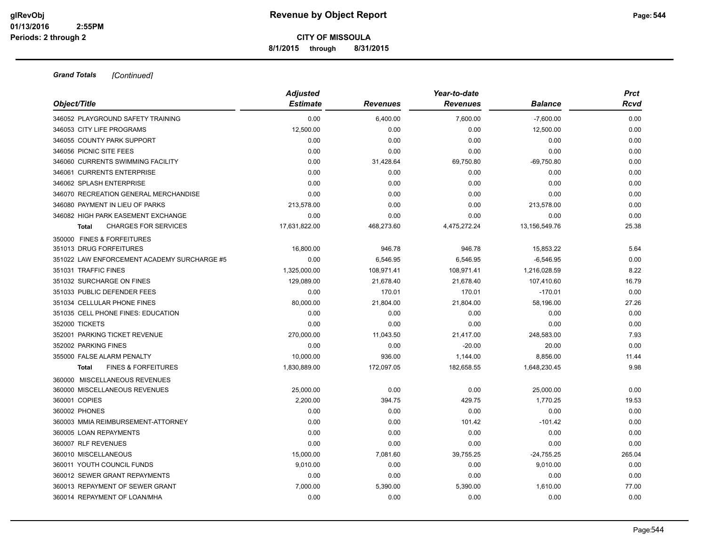**8/1/2015 through 8/31/2015**

|                                                | <b>Adjusted</b> |                 | Year-to-date    |               | <b>Prct</b> |
|------------------------------------------------|-----------------|-----------------|-----------------|---------------|-------------|
| Object/Title                                   | <b>Estimate</b> | <b>Revenues</b> | <b>Revenues</b> | Balance       | Rcvd        |
| 346052 PLAYGROUND SAFETY TRAINING              | 0.00            | 6,400.00        | 7,600.00        | $-7,600.00$   | 0.00        |
| 346053 CITY LIFE PROGRAMS                      | 12,500.00       | 0.00            | 0.00            | 12,500.00     | 0.00        |
| 346055 COUNTY PARK SUPPORT                     | 0.00            | 0.00            | 0.00            | 0.00          | 0.00        |
| 346056 PICNIC SITE FEES                        | 0.00            | 0.00            | 0.00            | 0.00          | 0.00        |
| 346060 CURRENTS SWIMMING FACILITY              | 0.00            | 31,428.64       | 69,750.80       | $-69,750.80$  | 0.00        |
| 346061 CURRENTS ENTERPRISE                     | 0.00            | 0.00            | 0.00            | 0.00          | 0.00        |
| 346062 SPLASH ENTERPRISE                       | 0.00            | 0.00            | 0.00            | 0.00          | 0.00        |
| 346070 RECREATION GENERAL MERCHANDISE          | 0.00            | 0.00            | 0.00            | 0.00          | 0.00        |
| 346080 PAYMENT IN LIEU OF PARKS                | 213,578.00      | 0.00            | 0.00            | 213,578.00    | 0.00        |
| 346082 HIGH PARK EASEMENT EXCHANGE             | 0.00            | 0.00            | 0.00            | 0.00          | 0.00        |
| <b>CHARGES FOR SERVICES</b><br><b>Total</b>    | 17,631,822.00   | 468,273.60      | 4,475,272.24    | 13,156,549.76 | 25.38       |
| 350000 FINES & FORFEITURES                     |                 |                 |                 |               |             |
| 351013 DRUG FORFEITURES                        | 16,800.00       | 946.78          | 946.78          | 15,853.22     | 5.64        |
| 351022 LAW ENFORCEMENT ACADEMY SURCHARGE #5    | 0.00            | 6,546.95        | 6,546.95        | $-6,546.95$   | 0.00        |
| 351031 TRAFFIC FINES                           | 1,325,000.00    | 108,971.41      | 108,971.41      | 1,216,028.59  | 8.22        |
| 351032 SURCHARGE ON FINES                      | 129,089.00      | 21,678.40       | 21,678.40       | 107,410.60    | 16.79       |
| 351033 PUBLIC DEFENDER FEES                    | 0.00            | 170.01          | 170.01          | $-170.01$     | 0.00        |
| 351034 CELLULAR PHONE FINES                    | 80,000.00       | 21,804.00       | 21,804.00       | 58,196.00     | 27.26       |
| 351035 CELL PHONE FINES: EDUCATION             | 0.00            | 0.00            | 0.00            | 0.00          | 0.00        |
| 352000 TICKETS                                 | 0.00            | 0.00            | 0.00            | 0.00          | 0.00        |
| 352001 PARKING TICKET REVENUE                  | 270,000.00      | 11,043.50       | 21,417.00       | 248,583.00    | 7.93        |
| 352002 PARKING FINES                           | 0.00            | 0.00            | $-20.00$        | 20.00         | 0.00        |
| 355000 FALSE ALARM PENALTY                     | 10,000.00       | 936.00          | 1,144.00        | 8,856.00      | 11.44       |
| <b>FINES &amp; FORFEITURES</b><br><b>Total</b> | 1,830,889.00    | 172,097.05      | 182,658.55      | 1,648,230.45  | 9.98        |
| 360000 MISCELLANEOUS REVENUES                  |                 |                 |                 |               |             |
| 360000 MISCELLANEOUS REVENUES                  | 25,000.00       | 0.00            | 0.00            | 25,000.00     | 0.00        |
| 360001 COPIES                                  | 2,200.00        | 394.75          | 429.75          | 1,770.25      | 19.53       |
| 360002 PHONES                                  | 0.00            | 0.00            | 0.00            | 0.00          | 0.00        |
| 360003 MMIA REIMBURSEMENT-ATTORNEY             | 0.00            | 0.00            | 101.42          | $-101.42$     | 0.00        |
| 360005 LOAN REPAYMENTS                         | 0.00            | 0.00            | 0.00            | 0.00          | 0.00        |
| 360007 RLF REVENUES                            | 0.00            | 0.00            | 0.00            | 0.00          | 0.00        |
| 360010 MISCELLANEOUS                           | 15,000.00       | 7,081.60        | 39,755.25       | $-24,755.25$  | 265.04      |
| 360011 YOUTH COUNCIL FUNDS                     | 9,010.00        | 0.00            | 0.00            | 9,010.00      | 0.00        |
| 360012 SEWER GRANT REPAYMENTS                  | 0.00            | 0.00            | 0.00            | 0.00          | 0.00        |
| 360013 REPAYMENT OF SEWER GRANT                | 7,000.00        | 5,390.00        | 5,390.00        | 1,610.00      | 77.00       |
| 360014 REPAYMENT OF LOAN/MHA                   | 0.00            | 0.00            | 0.00            | 0.00          | 0.00        |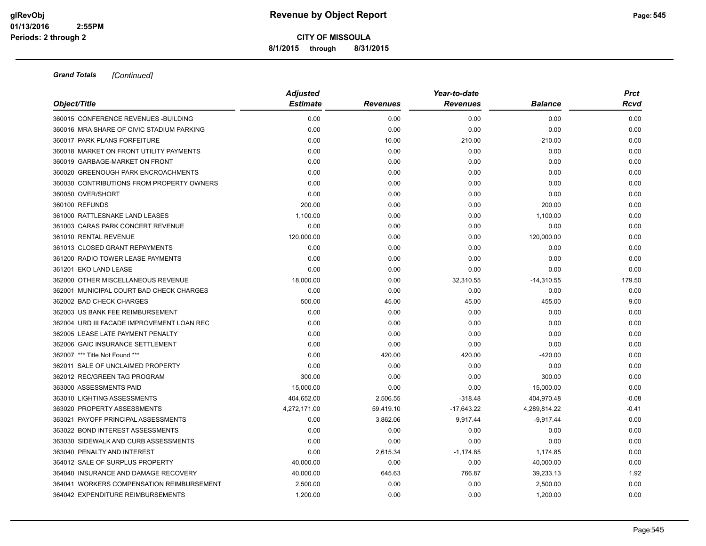**8/1/2015 through 8/31/2015**

|                                            | <b>Adjusted</b> |                 | Year-to-date    |                |         |  |  |
|--------------------------------------------|-----------------|-----------------|-----------------|----------------|---------|--|--|
| Object/Title                               | <b>Estimate</b> | <b>Revenues</b> | <b>Revenues</b> | <b>Balance</b> | Rcvd    |  |  |
| 360015 CONFERENCE REVENUES - BUILDING      | 0.00            | 0.00            | 0.00            | 0.00           | 0.00    |  |  |
| 360016 MRA SHARE OF CIVIC STADIUM PARKING  | 0.00            | 0.00            | 0.00            | 0.00           | 0.00    |  |  |
| 360017 PARK PLANS FORFEITURE               | 0.00            | 10.00           | 210.00          | $-210.00$      | 0.00    |  |  |
| 360018 MARKET ON FRONT UTILITY PAYMENTS    | 0.00            | 0.00            | 0.00            | 0.00           | 0.00    |  |  |
| 360019 GARBAGE-MARKET ON FRONT             | 0.00            | 0.00            | 0.00            | 0.00           | 0.00    |  |  |
| 360020 GREENOUGH PARK ENCROACHMENTS        | 0.00            | 0.00            | 0.00            | 0.00           | 0.00    |  |  |
| 360030 CONTRIBUTIONS FROM PROPERTY OWNERS  | 0.00            | 0.00            | 0.00            | 0.00           | 0.00    |  |  |
| 360050 OVER/SHORT                          | 0.00            | 0.00            | 0.00            | 0.00           | 0.00    |  |  |
| 360100 REFUNDS                             | 200.00          | 0.00            | 0.00            | 200.00         | 0.00    |  |  |
| 361000 RATTLESNAKE LAND LEASES             | 1,100.00        | 0.00            | 0.00            | 1,100.00       | 0.00    |  |  |
| 361003 CARAS PARK CONCERT REVENUE          | 0.00            | 0.00            | 0.00            | 0.00           | 0.00    |  |  |
| 361010 RENTAL REVENUE                      | 120,000.00      | 0.00            | 0.00            | 120,000.00     | 0.00    |  |  |
| 361013 CLOSED GRANT REPAYMENTS             | 0.00            | 0.00            | 0.00            | 0.00           | 0.00    |  |  |
| 361200 RADIO TOWER LEASE PAYMENTS          | 0.00            | 0.00            | 0.00            | 0.00           | 0.00    |  |  |
| 361201 EKO LAND LEASE                      | 0.00            | 0.00            | 0.00            | 0.00           | 0.00    |  |  |
| 362000 OTHER MISCELLANEOUS REVENUE         | 18,000.00       | 0.00            | 32,310.55       | $-14,310.55$   | 179.50  |  |  |
| 362001 MUNICIPAL COURT BAD CHECK CHARGES   | 0.00            | 0.00            | 0.00            | 0.00           | 0.00    |  |  |
| 362002 BAD CHECK CHARGES                   | 500.00          | 45.00           | 45.00           | 455.00         | 9.00    |  |  |
| 362003 US BANK FEE REIMBURSEMENT           | 0.00            | 0.00            | 0.00            | 0.00           | 0.00    |  |  |
| 362004 URD III FACADE IMPROVEMENT LOAN REC | 0.00            | 0.00            | 0.00            | 0.00           | 0.00    |  |  |
| 362005 LEASE LATE PAYMENT PENALTY          | 0.00            | 0.00            | 0.00            | 0.00           | 0.00    |  |  |
| 362006 GAIC INSURANCE SETTLEMENT           | 0.00            | 0.00            | 0.00            | 0.00           | 0.00    |  |  |
| 362007 *** Title Not Found ***             | 0.00            | 420.00          | 420.00          | $-420.00$      | 0.00    |  |  |
| 362011 SALE OF UNCLAIMED PROPERTY          | 0.00            | 0.00            | 0.00            | 0.00           | 0.00    |  |  |
| 362012 REC/GREEN TAG PROGRAM               | 300.00          | 0.00            | 0.00            | 300.00         | 0.00    |  |  |
| 363000 ASSESSMENTS PAID                    | 15,000.00       | 0.00            | 0.00            | 15,000.00      | 0.00    |  |  |
| 363010 LIGHTING ASSESSMENTS                | 404,652.00      | 2,506.55        | $-318.48$       | 404,970.48     | $-0.08$ |  |  |
| 363020 PROPERTY ASSESSMENTS                | 4,272,171.00    | 59,419.10       | $-17,643.22$    | 4,289,814.22   | $-0.41$ |  |  |
| 363021 PAYOFF PRINCIPAL ASSESSMENTS        | 0.00            | 3,862.06        | 9,917.44        | $-9,917.44$    | 0.00    |  |  |
| 363022 BOND INTEREST ASSESSMENTS           | 0.00            | 0.00            | 0.00            | 0.00           | 0.00    |  |  |
| 363030 SIDEWALK AND CURB ASSESSMENTS       | 0.00            | 0.00            | 0.00            | 0.00           | 0.00    |  |  |
| 363040 PENALTY AND INTEREST                | 0.00            | 2,615.34        | $-1,174.85$     | 1,174.85       | 0.00    |  |  |
| 364012 SALE OF SURPLUS PROPERTY            | 40,000.00       | 0.00            | 0.00            | 40,000.00      | 0.00    |  |  |
| 364040 INSURANCE AND DAMAGE RECOVERY       | 40,000.00       | 645.63          | 766.87          | 39,233.13      | 1.92    |  |  |
| 364041 WORKERS COMPENSATION REIMBURSEMENT  | 2,500.00        | 0.00            | 0.00            | 2,500.00       | 0.00    |  |  |
| 364042 EXPENDITURE REIMBURSEMENTS          | 1,200.00        | 0.00            | 0.00            | 1,200.00       | 0.00    |  |  |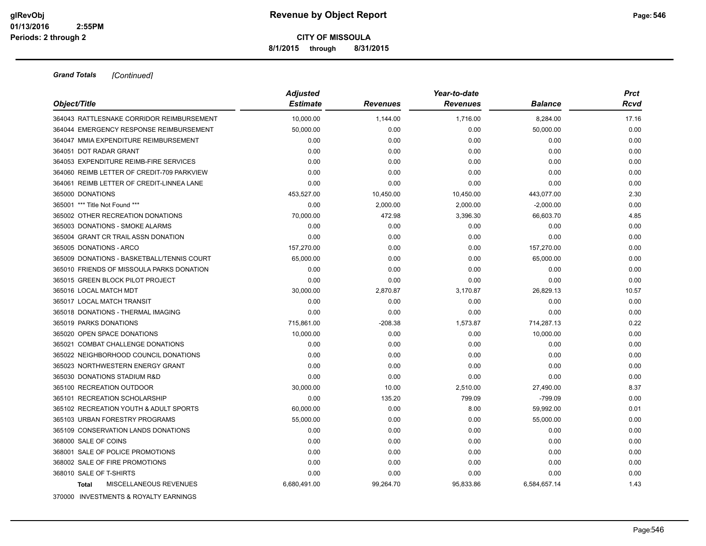**8/1/2015 through 8/31/2015**

|                                            | <b>Adjusted</b> |                 | <b>Prct</b>     |                |       |
|--------------------------------------------|-----------------|-----------------|-----------------|----------------|-------|
| Object/Title                               | <b>Estimate</b> | <b>Revenues</b> | <b>Revenues</b> | <b>Balance</b> | Rcvd  |
| 364043 RATTLESNAKE CORRIDOR REIMBURSEMENT  | 10,000.00       | 1,144.00        | 1,716.00        | 8,284.00       | 17.16 |
| 364044 EMERGENCY RESPONSE REIMBURSEMENT    | 50,000.00       | 0.00            | 0.00            | 50,000.00      | 0.00  |
| 364047 MMIA EXPENDITURE REIMBURSEMENT      | 0.00            | 0.00            | 0.00            | 0.00           | 0.00  |
| 364051 DOT RADAR GRANT                     | 0.00            | 0.00            | 0.00            | 0.00           | 0.00  |
| 364053 EXPENDITURE REIMB-FIRE SERVICES     | 0.00            | 0.00            | 0.00            | 0.00           | 0.00  |
| 364060 REIMB LETTER OF CREDIT-709 PARKVIEW | 0.00            | 0.00            | 0.00            | 0.00           | 0.00  |
| 364061 REIMB LETTER OF CREDIT-LINNEA LANE  | 0.00            | 0.00            | 0.00            | 0.00           | 0.00  |
| 365000 DONATIONS                           | 453,527.00      | 10,450.00       | 10,450.00       | 443,077.00     | 2.30  |
| 365001 *** Title Not Found ***             | 0.00            | 2,000.00        | 2,000.00        | $-2,000.00$    | 0.00  |
| 365002 OTHER RECREATION DONATIONS          | 70,000.00       | 472.98          | 3,396.30        | 66,603.70      | 4.85  |
| 365003 DONATIONS - SMOKE ALARMS            | 0.00            | 0.00            | 0.00            | 0.00           | 0.00  |
| 365004 GRANT CR TRAIL ASSN DONATION        | 0.00            | 0.00            | 0.00            | 0.00           | 0.00  |
| 365005 DONATIONS - ARCO                    | 157,270.00      | 0.00            | 0.00            | 157,270.00     | 0.00  |
| 365009 DONATIONS - BASKETBALL/TENNIS COURT | 65,000.00       | 0.00            | 0.00            | 65,000.00      | 0.00  |
| 365010 FRIENDS OF MISSOULA PARKS DONATION  | 0.00            | 0.00            | 0.00            | 0.00           | 0.00  |
| 365015 GREEN BLOCK PILOT PROJECT           | 0.00            | 0.00            | 0.00            | 0.00           | 0.00  |
| 365016 LOCAL MATCH MDT                     | 30,000.00       | 2,870.87        | 3,170.87        | 26,829.13      | 10.57 |
| 365017 LOCAL MATCH TRANSIT                 | 0.00            | 0.00            | 0.00            | 0.00           | 0.00  |
| 365018 DONATIONS - THERMAL IMAGING         | 0.00            | 0.00            | 0.00            | 0.00           | 0.00  |
| 365019 PARKS DONATIONS                     | 715,861.00      | $-208.38$       | 1,573.87        | 714,287.13     | 0.22  |
| 365020 OPEN SPACE DONATIONS                | 10.000.00       | 0.00            | 0.00            | 10,000.00      | 0.00  |
| 365021 COMBAT CHALLENGE DONATIONS          | 0.00            | 0.00            | 0.00            | 0.00           | 0.00  |
| 365022 NEIGHBORHOOD COUNCIL DONATIONS      | 0.00            | 0.00            | 0.00            | 0.00           | 0.00  |
| 365023 NORTHWESTERN ENERGY GRANT           | 0.00            | 0.00            | 0.00            | 0.00           | 0.00  |
| 365030 DONATIONS STADIUM R&D               | 0.00            | 0.00            | 0.00            | 0.00           | 0.00  |
| 365100 RECREATION OUTDOOR                  | 30,000.00       | 10.00           | 2,510.00        | 27,490.00      | 8.37  |
| 365101 RECREATION SCHOLARSHIP              | 0.00            | 135.20          | 799.09          | $-799.09$      | 0.00  |
| 365102 RECREATION YOUTH & ADULT SPORTS     | 60,000.00       | 0.00            | 8.00            | 59,992.00      | 0.01  |
| 365103 URBAN FORESTRY PROGRAMS             | 55,000.00       | 0.00            | 0.00            | 55,000.00      | 0.00  |
| 365109 CONSERVATION LANDS DONATIONS        | 0.00            | 0.00            | 0.00            | 0.00           | 0.00  |
| 368000 SALE OF COINS                       | 0.00            | 0.00            | 0.00            | 0.00           | 0.00  |
| 368001 SALE OF POLICE PROMOTIONS           | 0.00            | 0.00            | 0.00            | 0.00           | 0.00  |
| 368002 SALE OF FIRE PROMOTIONS             | 0.00            | 0.00            | 0.00            | 0.00           | 0.00  |
| 368010 SALE OF T-SHIRTS                    | 0.00            | 0.00            | 0.00            | 0.00           | 0.00  |
| MISCELLANEOUS REVENUES<br><b>Total</b>     | 6,680,491.00    | 99,264.70       | 95,833.86       | 6,584,657.14   | 1.43  |
| 370000 INVESTMENTS & ROYALTY EARNINGS      |                 |                 |                 |                |       |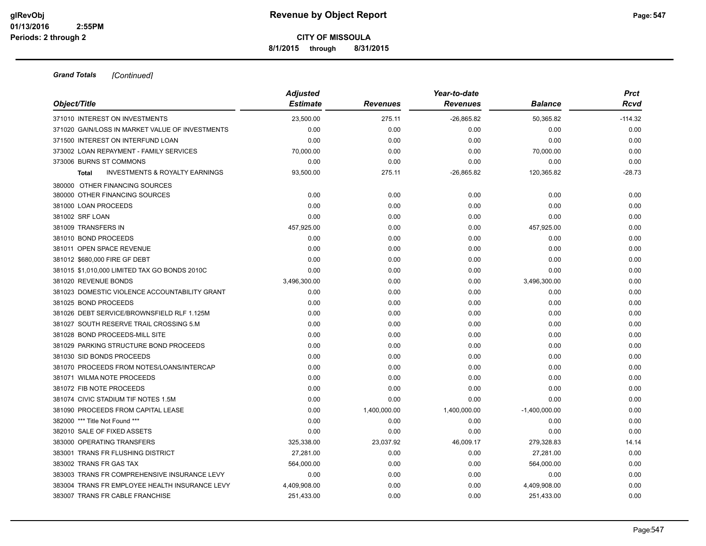**8/1/2015 through 8/31/2015**

|                                                           | <b>Adjusted</b> |                 | Year-to-date    |                 | <b>Prct</b> |
|-----------------------------------------------------------|-----------------|-----------------|-----------------|-----------------|-------------|
| Object/Title                                              | <b>Estimate</b> | <b>Revenues</b> | <b>Revenues</b> | <b>Balance</b>  | Rcvd        |
| 371010 INTEREST ON INVESTMENTS                            | 23.500.00       | 275.11          | $-26,865.82$    | 50,365.82       | $-114.32$   |
| 371020 GAIN/LOSS IN MARKET VALUE OF INVESTMENTS           | 0.00            | 0.00            | 0.00            | 0.00            | 0.00        |
| 371500 INTEREST ON INTERFUND LOAN                         | 0.00            | 0.00            | 0.00            | 0.00            | 0.00        |
| 373002 LOAN REPAYMENT - FAMILY SERVICES                   | 70,000.00       | 0.00            | 0.00            | 70,000.00       | 0.00        |
| 373006 BURNS ST COMMONS                                   | 0.00            | 0.00            | 0.00            | 0.00            | 0.00        |
| <b>INVESTMENTS &amp; ROYALTY EARNINGS</b><br><b>Total</b> | 93,500.00       | 275.11          | $-26,865.82$    | 120,365.82      | $-28.73$    |
| 380000 OTHER FINANCING SOURCES                            |                 |                 |                 |                 |             |
| 380000 OTHER FINANCING SOURCES                            | 0.00            | 0.00            | 0.00            | 0.00            | 0.00        |
| 381000 LOAN PROCEEDS                                      | 0.00            | 0.00            | 0.00            | 0.00            | 0.00        |
| 381002 SRF LOAN                                           | 0.00            | 0.00            | 0.00            | 0.00            | 0.00        |
| 381009 TRANSFERS IN                                       | 457,925.00      | 0.00            | 0.00            | 457,925.00      | 0.00        |
| 381010 BOND PROCEEDS                                      | 0.00            | 0.00            | 0.00            | 0.00            | 0.00        |
| 381011 OPEN SPACE REVENUE                                 | 0.00            | 0.00            | 0.00            | 0.00            | 0.00        |
| 381012 \$680,000 FIRE GF DEBT                             | 0.00            | 0.00            | 0.00            | 0.00            | 0.00        |
| 381015 \$1,010,000 LIMITED TAX GO BONDS 2010C             | 0.00            | 0.00            | 0.00            | 0.00            | 0.00        |
| 381020 REVENUE BONDS                                      | 3,496,300.00    | 0.00            | 0.00            | 3,496,300.00    | 0.00        |
| 381023 DOMESTIC VIOLENCE ACCOUNTABILITY GRANT             | 0.00            | 0.00            | 0.00            | 0.00            | 0.00        |
| 381025 BOND PROCEEDS                                      | 0.00            | 0.00            | 0.00            | 0.00            | 0.00        |
| 381026 DEBT SERVICE/BROWNSFIELD RLF 1.125M                | 0.00            | 0.00            | 0.00            | 0.00            | 0.00        |
| 381027 SOUTH RESERVE TRAIL CROSSING 5.M                   | 0.00            | 0.00            | 0.00            | 0.00            | 0.00        |
| 381028 BOND PROCEEDS-MILL SITE                            | 0.00            | 0.00            | 0.00            | 0.00            | 0.00        |
| 381029 PARKING STRUCTURE BOND PROCEEDS                    | 0.00            | 0.00            | 0.00            | 0.00            | 0.00        |
| 381030 SID BONDS PROCEEDS                                 | 0.00            | 0.00            | 0.00            | 0.00            | 0.00        |
| 381070 PROCEEDS FROM NOTES/LOANS/INTERCAP                 | 0.00            | 0.00            | 0.00            | 0.00            | 0.00        |
| 381071 WILMA NOTE PROCEEDS                                | 0.00            | 0.00            | 0.00            | 0.00            | 0.00        |
| 381072 FIB NOTE PROCEEDS                                  | 0.00            | 0.00            | 0.00            | 0.00            | 0.00        |
| 381074 CIVIC STADIUM TIF NOTES 1.5M                       | 0.00            | 0.00            | 0.00            | 0.00            | 0.00        |
| 381090 PROCEEDS FROM CAPITAL LEASE                        | 0.00            | 1,400,000.00    | 1,400,000.00    | $-1,400,000.00$ | 0.00        |
| 382000 *** Title Not Found ***                            | 0.00            | 0.00            | 0.00            | 0.00            | 0.00        |
| 382010 SALE OF FIXED ASSETS                               | 0.00            | 0.00            | 0.00            | 0.00            | 0.00        |
| 383000 OPERATING TRANSFERS                                | 325,338.00      | 23,037.92       | 46,009.17       | 279,328.83      | 14.14       |
| 383001 TRANS FR FLUSHING DISTRICT                         | 27,281.00       | 0.00            | 0.00            | 27,281.00       | 0.00        |
| 383002 TRANS FR GAS TAX                                   | 564,000.00      | 0.00            | 0.00            | 564,000.00      | 0.00        |
| 383003 TRANS FR COMPREHENSIVE INSURANCE LEVY              | 0.00            | 0.00            | 0.00            | 0.00            | 0.00        |
| 383004 TRANS FR EMPLOYEE HEALTH INSURANCE LEVY            | 4,409,908.00    | 0.00            | 0.00            | 4,409,908.00    | 0.00        |
| 383007 TRANS FR CABLE FRANCHISE                           | 251,433.00      | 0.00            | 0.00            | 251,433.00      | 0.00        |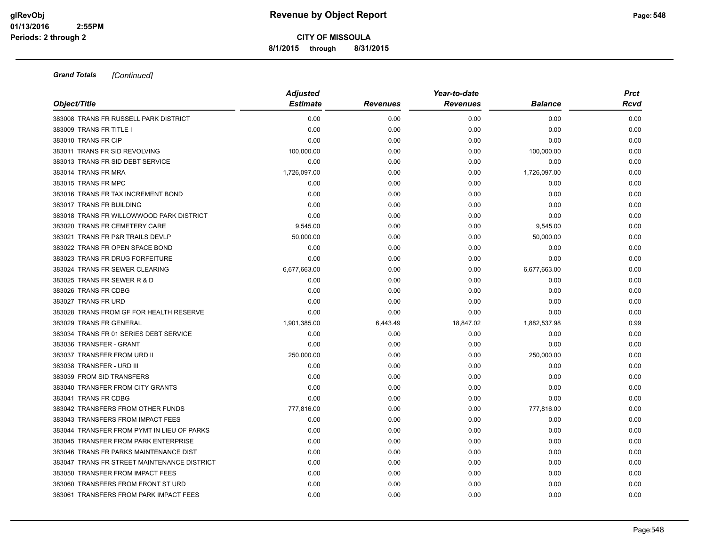**8/1/2015 through 8/31/2015**

|                                             | <b>Adjusted</b> |                 | <b>Prct</b>     |                |      |
|---------------------------------------------|-----------------|-----------------|-----------------|----------------|------|
| Object/Title                                | <b>Estimate</b> | <b>Revenues</b> | <b>Revenues</b> | <b>Balance</b> | Rcvd |
| 383008 TRANS FR RUSSELL PARK DISTRICT       | 0.00            | 0.00            | 0.00            | 0.00           | 0.00 |
| 383009 TRANS FR TITLE I                     | 0.00            | 0.00            | 0.00            | 0.00           | 0.00 |
| 383010 TRANS FR CIP                         | 0.00            | 0.00            | 0.00            | 0.00           | 0.00 |
| 383011 TRANS FR SID REVOLVING               | 100,000.00      | 0.00            | 0.00            | 100,000.00     | 0.00 |
| 383013 TRANS FR SID DEBT SERVICE            | 0.00            | 0.00            | 0.00            | 0.00           | 0.00 |
| 383014 TRANS FR MRA                         | 1,726,097.00    | 0.00            | 0.00            | 1,726,097.00   | 0.00 |
| 383015 TRANS FR MPC                         | 0.00            | 0.00            | 0.00            | 0.00           | 0.00 |
| 383016 TRANS FR TAX INCREMENT BOND          | 0.00            | 0.00            | 0.00            | 0.00           | 0.00 |
| 383017 TRANS FR BUILDING                    | 0.00            | 0.00            | 0.00            | 0.00           | 0.00 |
| 383018 TRANS FR WILLOWWOOD PARK DISTRICT    | 0.00            | 0.00            | 0.00            | 0.00           | 0.00 |
| 383020 TRANS FR CEMETERY CARE               | 9,545.00        | 0.00            | 0.00            | 9,545.00       | 0.00 |
| 383021 TRANS FR P&R TRAILS DEVLP            | 50,000.00       | 0.00            | 0.00            | 50,000.00      | 0.00 |
| 383022 TRANS FR OPEN SPACE BOND             | 0.00            | 0.00            | 0.00            | 0.00           | 0.00 |
| 383023 TRANS FR DRUG FORFEITURE             | 0.00            | 0.00            | 0.00            | 0.00           | 0.00 |
| 383024 TRANS FR SEWER CLEARING              | 6,677,663.00    | 0.00            | 0.00            | 6,677,663.00   | 0.00 |
| 383025 TRANS FR SEWER R & D                 | 0.00            | 0.00            | 0.00            | 0.00           | 0.00 |
| 383026 TRANS FR CDBG                        | 0.00            | 0.00            | 0.00            | 0.00           | 0.00 |
| 383027 TRANS FR URD                         | 0.00            | 0.00            | 0.00            | 0.00           | 0.00 |
| 383028 TRANS FROM GF FOR HEALTH RESERVE     | 0.00            | 0.00            | 0.00            | 0.00           | 0.00 |
| 383029 TRANS FR GENERAL                     | 1,901,385.00    | 6,443.49        | 18,847.02       | 1,882,537.98   | 0.99 |
| 383034 TRANS FR 01 SERIES DEBT SERVICE      | 0.00            | 0.00            | 0.00            | 0.00           | 0.00 |
| 383036 TRANSFER - GRANT                     | 0.00            | 0.00            | 0.00            | 0.00           | 0.00 |
| 383037 TRANSFER FROM URD II                 | 250,000.00      | 0.00            | 0.00            | 250,000.00     | 0.00 |
| 383038 TRANSFER - URD III                   | 0.00            | 0.00            | 0.00            | 0.00           | 0.00 |
| 383039 FROM SID TRANSFERS                   | 0.00            | 0.00            | 0.00            | 0.00           | 0.00 |
| 383040 TRANSFER FROM CITY GRANTS            | 0.00            | 0.00            | 0.00            | 0.00           | 0.00 |
| 383041 TRANS FR CDBG                        | 0.00            | 0.00            | 0.00            | 0.00           | 0.00 |
| 383042 TRANSFERS FROM OTHER FUNDS           | 777,816.00      | 0.00            | 0.00            | 777,816.00     | 0.00 |
| 383043 TRANSFERS FROM IMPACT FEES           | 0.00            | 0.00            | 0.00            | 0.00           | 0.00 |
| 383044 TRANSFER FROM PYMT IN LIEU OF PARKS  | 0.00            | 0.00            | 0.00            | 0.00           | 0.00 |
| 383045 TRANSFER FROM PARK ENTERPRISE        | 0.00            | 0.00            | 0.00            | 0.00           | 0.00 |
| 383046 TRANS FR PARKS MAINTENANCE DIST      | 0.00            | 0.00            | 0.00            | 0.00           | 0.00 |
| 383047 TRANS FR STREET MAINTENANCE DISTRICT | 0.00            | 0.00            | 0.00            | 0.00           | 0.00 |
| 383050 TRANSFER FROM IMPACT FEES            | 0.00            | 0.00            | 0.00            | 0.00           | 0.00 |
| 383060 TRANSFERS FROM FRONT ST URD          | 0.00            | 0.00            | 0.00            | 0.00           | 0.00 |
| 383061 TRANSFERS FROM PARK IMPACT FEES      | 0.00            | 0.00            | 0.00            | 0.00           | 0.00 |